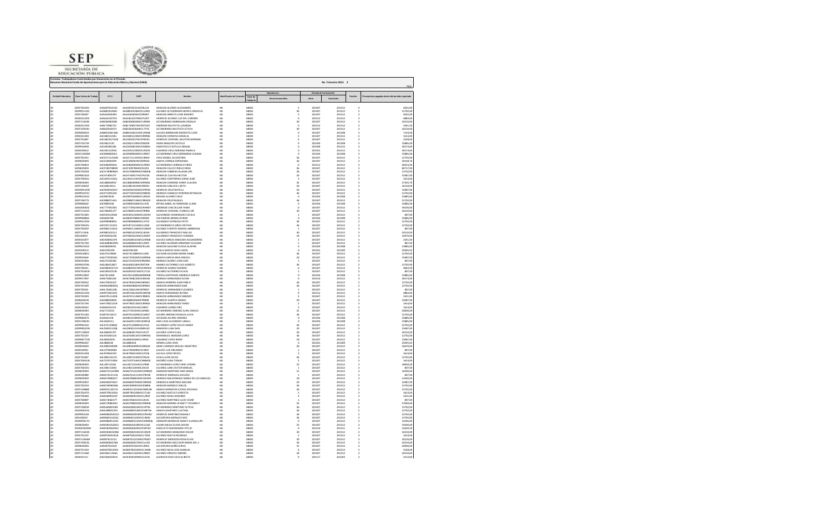

Formato: Trabajadores Contratados por Honorarios en el Periodo<br>Resumen Nacional Fondo de Aportaciones para la Educación Básica y Normal (FAEB) **Clave de Categoría Horas Semana Mes Inicio Conclusión** 20 200510220H AAAA970531GE AAAA970531HOCRLL03 ARAGON.ALONGO.NEOKANGER AB ABOOL - 5 201307 201312 3<br>20 2009R3114G AAABSI03269U AAABSI03CSMOCLUNO ALVAREZALTAMIRANGERITA.ARACELIS AB - ABOOL - 36 201307 201312 2<br>20 2005TO044T 20 20DES0123N AAAL821027K4 AAAL821027MOCPLZ07 APARICIO ALONSO LUZ DEL CARMEN AB AB001 0 201312 201312 3 4883,00 20 20DTV1633B AABC8408209B AABC840820MOCLRR08 ALTAMIRANO BARRAGAN CRISALIA AB AB001 30 201307 201312 3 24210,00 20 20DES0123N AABL7308275C AABL730827MVZNTG02 ANDRADE BAUTISTA LUGARDA AB AB001 0 201312 201312 3 2441,50 20 20DTV0910H AABL820426T4 AABL820426MOCLTT05 ALTAMIRANO BAUTISTA LETICIA AB AB001 30 201307 201312 3 24210,00 20 20DNS0001K AABM520615B6 AABM520615HOCLRD08 ALAVEZ BARRAGAN MODESTO LIDIO AB AB001 0 201307 201308 3 7134,00 20 20DES0130X AACA801223KL AACA801223MOCRRR06 ARAGON CORDOVA ARGELIA AB AB001 2 201307 201312 3 1614,00 20 200510184T AACA810527GW AACA810527HOCPRG02 APARICIO CORONELAGUSTIN GERMAN AB AB001 4 201312 201312 3 201312<br>20 200510573X AACA821120 AACA821120HOCRSD09 ADAN.ARAGON.CASTILLO AB AB001 40001 0 201304 201308 3 2013108 3 158 20 20DPR2694X AACA9208128I AACA920812MOCNSB03 ANASTACIO CASTILLO ABIGAIL AB AB001 0 201309 201312 3 30174,00 20091280914 AACA92081230 AACA92023021 ADAMANG CATHULO ABIGAIL A<br>2006128031 AACA92081220 AACA922220MOCLRB03 ALMARAZ CRUZ ADRIANA PAMELA<br>2002020300 AACB31882024 AACA920220MOCLRB03 ALMARAZ CRUZ ADRIANA PAMELA<br>200202030 AACA92 20 20DCC2030M AACB580820A2 AACB580820MOCLRR07 ALTAMIRANO CRUZ BERNARDA SUSANA AB AB001 0 201304 201308 3 15885,00 20 20DST0225C AACD7111234W AACD711123HOCLRN03 CRUZ DANIEL ALCANTARA AB AB001 36 201307 201312 2 12702,00 20 20ZNE0040V AACE580402RY AACE580402MVZNRS02 ANAYA CORREA ESPERANZA AB AB001 36 201307 201312 3 43418,76 20 20DST0081X AACE860904SA AACE860904MOCLRR09 ALTAMIRANO CARRASCO ERIKA AB AB001 0 201312 201312 3 40223,00 20 20ZNE0040V AACF590708RW AACF590708HOCRLD01 ARAGON CALVO FIDELIO RENE AB AB001 36 201307 201312 3 84717,00 20 20DST0203R AACG790809GH AACG790809MOCRBD08 ARAGON CABRERA GUADALUPE AB AB001 36 201307 201312 2 12702,00 20 20DPB0102G AACH740917IY AACH740917HOCPVC04 APARICIO CUEVAS HECTOR AB AB001 20 201307 201312 3 15087,00 20 20DST0043U AACJ691213DQ AACJ691213HVZLNR04 ALVAREZ CONTRERAS JORGE ALBE AB AB001 2 201307 201312 3 1614,00 20 20ZNE0040V AACJ880409GF AACJ880409MOCRRN08 ARAGON CORDERO JENNY CLAUDIA AB AB001 35 201307 201312 3 27335,70 20 20DTV0605Z AACL881201JJ AACL881201MOCRRZ01 ARAGON CARLOCK LIZETH AB AB001 30 201307 201312 3 24210,00 2007/00627 AACH9302010 AACN93020102020 AAGACOLOGICALISTI<br>2009/00021 AACH9302010 AACH930103UV AACADOCRASCORDISCORDISTIC AREA AB001 201302010310302003103030200310310310<br>2009/00275 AACR97010354 AACP970933MOCRASGORD REGINALMEN 20 20DPR1075H AACP710915EK AACP710915MOCRNR04 ARANGO CANSECO PORFIRIA REYNALDA AB AB001 36 201307 201312 20131<br>20 2009R155SO AACR870430 AACR870430MOCLRG03 REGINA ALVAREZ CRUZ AB AB001 201304 0 201304 201308 3 15885,00 20 20DTV0677S AACR880714JG AACR880714MOCRRQ03 ARAGON CRUZ RAQUEL AB AB001 36 201307 201312 2 12702,00 20 20DPB0656F AACR890106 AACR890106MVZLLY04 REYNA ISABEL ALTAMIRANO CLARA AB AB001 0 201304 201308 3 15885,00 20 20AGD0003Z AACT77092281 AACT770922MOCNHN07 ANDRADE CHICUELLAR TANIA AB AB001 0 201307 201312 3 34230,00 20 20DTV1415O AACY860911FT AACY860911MOCPRR06 APARICIO CORONEL YURIDIA LOR AB AB001 30 201307 201312 3 24210,00 20 20DST0158V AADC831220AE AADC831220MOCLMC05 ALAVARADO DOMINGUEZ CECILIA AB AB001 1 201307 201312 3 807,00 2010/2010/0866 AADIESIOTOS AADIESOTOSSOO ISS EMIGHE ARMAS OURAN, AS AS ASSOCIA - AB ABOO1 - 0 201304 201381 - 2<br>20 200702233M AAEPSISOOBLE AAEPSISOBMOCKSTOS ALVAMIADAD FLORE SUIT AS AB ABOO1 - 36 201307 201312 - 17702.00<br>2 20 20DES0187Y AAGA580421PE AAGA580421MOCLRN08 ALAVEZ GARCIA ANSELMA ALEJANDRINA AB AB001 3 201307 201312 3 2421,00 20 20DST0176K AAGA680823NN AAGA680823HOCLZR05 ALVAREZ GUZMAN ARMANDO ELEAZAR AB ABO01 1 201307 201312 3 807,00<br>20 20DPB155SO AAGE800903N1 AAGE800903MOCRLL06 ARAGON GALDINO ELOISA GLAFIRA AB AB001 1 201304 0 201308 201308 20 2040-000111 AGGPRESI29 AGGPRESO9 ACCARAGENATION ARE ARE ARENO 1 - 2013-01 201307 201312<br>20 2000-000101 AGGPRESO9 AGGPRESO9 ACCARAGENATION AGGER ARENO AGGRESO - 2013-01 - 2013-07 2013112 - 2013-07 2<br>2010 - 2013-000 AGGP 20 20DST0035L AAGN850527U3 AAGN850527MOCPMH02 APARICIO GOMEZ NOHEMI AB AB001 6 201307 201312 3 4842,00 20 20 2005 TOLA AAGO8102219L AAGO810221MOCLTL02 ALVAREZ GUTIERREZ OLIVIA<br>2008 201308 AAGTR11008 AAGTR11008MGRNRR08 TERESA GERTRUDIS ANDRACA GARCIA 20 20DPR1282P AAGT811008 AAGT811008MGRNRR08 TERESA GERTRUDIS ANDRACA GARCIA AB AB001 0 201304 201308 3 15885,00 20 20DPR1790T AAHE760812I6 AAHE760812MOCRRL08 ARANGO HERNANDEZ ELENA AB AB001 0 201310 201312 3 30174,00 20 20DST0055Z AAHJ790322CZ AAHJ790322HBCMRN01 AMAYA HERRERA JUAN PABLO AB AB001 36 201307 201312 2 12702,00 20 20DST0130P AAHK820806HQ AAHK820806HOCRRN04 ARAGON HERNANDEZ KAIN AB AB001 36 201307 201312 2 12702,00 20 2005100201 AAHL7405258 AAHL74052MV2P607 APARICIO-IERNANDEZ.IOURDES AB ABOOL - 1 201307 201312 3<br>20 20055023N ANH7505614YC AAHR750614MOCHR768 ANKYAHERMANDEZRUFINA - AB - ABOOL - 0 201312 201312 3<br>20 200510240V AAHS751114 20 20DBA0023S AAHS8802069C AAHS880206HDFPRR08 APARICIO HUERTA SERGIO AB AB001 20 201307 201312 3 15087,00 20 2013 AAHREMOOR ARASKAN (ARASKAN MARCHUNGER ARAGON HERNANDEZ MARCHUNGER ARAGON ARASKAN ARASKAN (ARASKAN ARAGON<br>2020 2013 AAHREMOOR ARAGON ARAGON HERNANDEZ INGENISATION ARAGON ARAGON ARAGON ARAGON ARAGON ARAGON ARAGON ARA 20 20DES0042C AAJE84102155 AAJE841021HOCLRR07 ALMARAZ JUAREZ ERIC AB AB001 2 201307 201312 3 1614,00 20 2021-024040 AUJ77015191 AUJ77015191CUMA00 ALTAMIRMOJIMENTZJUMCAUS AB ABODI – 31 201307 201312 3<br>20 2005T0118U AAIK791102C3 AAIK9311EXMOCLMAGS SOLEADAUMENTZAOSALIALUCIA – AB ABODI – 36 201307 201312 2<br>20 2005T0118U AAIK9 2020-02012 / ADAPTOISHING ADAPTOISHOCAMNOR ALTAMARANO MARNEZ MOMANOS AG A AB001 – 2013/07 – 2013/07 – 2013/02<br>2005-02013 / ADAPTOISHOCAMNOR SUCEDAD ALVARADO LOPEZ ALGANIS – AB AB001 – 2013/02/2013 – 2013/02<br>2006-02023- AAL 20 20DPR0022W AALD900131Q8 AALD900131HVZMNL02 AMADOR LUNA DAEL AB AB001 20 201307 201312 3 15087,00 2007V108181 AALE860917FF AALE860917MOCLPLO7 ALVAREZLOPEZELISA DA ASSOCIA ABOODI – 2013/2012 2013/2012 30 20131<br>2005T0222F AALE910811C6 AALE91081HOCMPMOG EMMAMULELAMADORLOPEZ – AB AB001 – AB001 – 36 201307 201312 2 20 20DST0222F AALE910811C6 AALE910811HOCMPM05 EMMANUEL AMADOR LOPEZ AB AB001 36 201307 201312 2 12702,00 20 20199772W AALB80455F1 AALB80613MOCLPROSANOCLPROSA ALMARAZLOUREN EMIS AB ABOOT 2001 201307 201312 31306 120870<br>20 2020-0060407 AALB804185 AALB804139HOCBROSA ABAAD.OBROSLOVE.UEDAETRO AB ABOOT 1 36 201307 201308 3<br>20 20053 20 2005/0041W AALT670714SW AALT670714HOCNNM00 ANTAÑO LUNATOMAS AB ABO01 2 201307 201312 3 201312 3 1614,000,00<br>20 20ZNE0040V AALU8711016I AALU871101HOCLPR08 ALTAMIRANO.LOPEZ.URIELEFRAIN AB AB001 23 201307 201312 3 201312 20 20DST0019U AALV8011304S AALV801130HOCLRC03 ALVAREZ LARA VICTOR MANUEL AB AB001 1 201307 201312 3 807,00 20 20ZNE0040V AAMA741101RM AAMA741101MOCMRN02 AMADOR MARTINEZ ANA DIGNA AB AB001 21 201307 201312 3 16200,00 20 20DES0098E AAMA76121134 AAMA761211HOCPRV08 APARICIO MORALES AVELINO AB AB001 1 201307 201312 3 807,00 20 2021-000407 AMMA788023117 AMMA788802MOCENUNA ARMGOMADADARADE (AS AMGELES AB ABOO1 – 18 201317 – 201312 – 3<br>20 2009R1992Y AMMA83870ALY AMMA83870AMOCENBO0 ARRAZOLAMARTNEZ-ADELINA AB – ABOO1 – 20 201307 – 201312 – 201312 20 20DST0255X AAMC900902BA AAMC900902HOCRNR06 ARAGON MENDEZ CARLOS AB AB001 36 201307 201312 2 12702,00  $\begin{array}{cccccccccccccccc} 20071004 & \text{AAM-0811336} & \text{AAM-0811336} & \text{AAM-081486} & \text{AAM-081486} & \text{AAM-081486} & \text{AAM-081486} & \text{AAM-081486} & \text{AAM-081486} & \text{AAM-081486} & \text{AAM-081486} & \text{AAM-081486} & \text{AAM-081486} & \text{AAM-081486} & \text{AAM-081486} & \text$ 20 20DST0247O AAMF790120SA AAMF790120MOCLTL06 ALVAREZ MATUS FLORECITA AB AB001 2 201307 201312 3 1614,00 20 20DST0036K AAMG800923JP AAMG800923HOCLZR04 ALVAREZ MEZA GERARDO AB AB001 3 201307 201312 3 2421,00 20 20051089/ AMAI/2006011 AMAI/200601HOCARDS ALVAREZAMENTRE/JUDOCESAR ABADA ABADOS 1 - 201307 201312 3 201307<br>20 201000319 AMAI/2008013101 AMAI/20080300CRMASS AMAGEM-MERROLE TOVARELY AB ABADOS<br>20 200903131 AMAI/200801319 20 20DLI0001F AAMN601102QC AAMN601102HOCLRX06 ALCANTARA MORALES NOE AB AB001 36 201307 201312 2 12702,00 20 20DNP0017O AAMN860512GS AAMO860512MOCMNN66 AMADORMENDOZANANCY GUADALUPE AB AB001 0 201312 3 201312 3 14346,00<br>20 20ZNE0040V AAMO810520G3 AAMO810520MOCLIL06 ALANIS MEJIA OLIVIA AB AB001 25 201307 201312 3 19500,00 20 20HMC0029M AAMO8206294U AAMO820629HOCNXT04 ANACLETO MAXIMIANO OTILIO AB AB001 0 201310 201311 3 22630,50 20 2007V1655N AAMOB4033LONB\_AAMOB403LOHOCAEX ALTAMIRANQ MANZANQ OSCAR AB ABOOL - 30 201307 201312 3<br>20 2005Y0123F AMARY8025AUB AAMR760254HOLCT004 ALVAREZ MATUS ROB AB ABOOL - 2 201307 201312 3<br>20 2007V1656M AAMR761221LI AA 20 20DTV0952G AAMS8306276N AAMS830627MOCLLC05 ALTAMIRANO MELCHOR MARIA DEL S AB AB001 30 201307 201312 3 24210,00 20 20ZNE0040V AANE8701032C AANE870103HOCLXR03 ALCANTARA NUÑEZ ERICK AB AB001 31 201307 201312 3 24000,00 20 20DST0135K AANM790319A3 AANM790319HOCLVN08 ALVAREZ NAVA JOSE MANUEL AB AB001 4 201307 201312 3 3228,00 20 20DTV1146K AAOA8211306A AAOA821139HOCLRN00 ALVAREZOROZCO ANDRES ABO ABO AB001 30 201317 201312 3 24210,000<br>20 2001-2011 AAOC830329UK AAOC830329MOCLSC05 ALARCON OSIOCECILIA IBETH AB AB001 2011 0 201117 201202 3 2313,00 **CURP Identificador del Contrato Equivalencia Percepciones pagadas dentro del periodo reportado Periodo de Contratación Entidad Federativa Clave Centro de Trabajo R.F.C. Nombre Función**

Hoja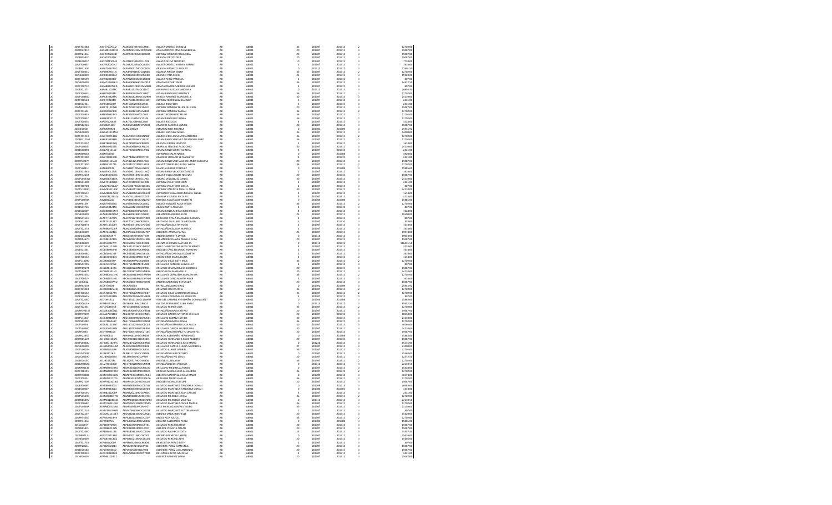| 20<br>20                                      | 20DST0128A               | AAOE760703J2<br>AAOM81032414 | AAOF760703HOCLBN01<br>AAOM810324MOCYRG08 | ALAVEZ OROZCO ENRIQUE<br>AYALA OROZCO MAGDA GABRIELA            | AR.<br>AB       | AB001<br>AB001        | 36<br>$\overline{20}$                         | 201307<br>201307 | 201312<br>201312 |                | 12702,00<br>15087,00    |
|-----------------------------------------------|--------------------------|------------------------------|------------------------------------------|-----------------------------------------------------------------|-----------------|-----------------------|-----------------------------------------------|------------------|------------------|----------------|-------------------------|
|                                               | 20DPR2291D<br>20DPR2136L | AAOR920223QF                 |                                          |                                                                 | AB              | A9001                 |                                               | 201307           |                  |                |                         |
| $\begin{array}{c} 20 \\ 20 \end{array}$       | 20DPR0543D               | AA05780525IK                 | AAOR920223MOCLRS02                       | ALVAREZ OROZCO ROSALINDA<br>ARAGON ORTIZ SOFIA                  | AB              | AB001                 | $\begin{array}{c} 20 \\ 20 \end{array}$       | 201307           | 201312<br>201312 |                | 15087,00<br>15087,00    |
| 20                                            | 20DEE0001Z               |                              | AAOT801109HOCLID01                       | ALAVEZ OJEDA TEODORO                                            | AB              | AB001                 | 10                                            | 201307           | 201312           |                | 7710,00                 |
| 20                                            | 20DST0065F               | AAOT8011094E<br>AA0Y820203CI | AAOY820203MOCLRS01                       | ALAVEZ OROZCO YASMIN KARIME                                     | AB              | AB001                 | $\overline{2}$                                | 201307           | 201312           | 3              | 1614.00                 |
| 20                                            | 20DPR31406               | AAPA750927UC                 | AAPA750927HOCRCD09                       | ARAGON PACHECO ADOLFO                                           | AB              | AB001                 |                                               | 201312           | 201312           |                | 17601,50                |
|                                               | 20DST0043U               | AAPIR909011N                 | AAPIS90901MOCLNN0S                       | AZAMAR PINEDA IENNY                                             | <b>AR</b>       | <b>AR001</b>          |                                               | 201307           | 201312           | 2              | 12702.00                |
| $\begin{array}{c} 20 \\ 20 \end{array}$       | 202NE0040V               | AAPR85090234                 | AAPR850902MCSRNC08                       | ARANGO PIÑA ROCIO                                               | AB              | AB001                 | $\frac{36}{25}$                               | 201307           | 201312           |                | 19383,00                |
|                                               | 20DST0059V               | AAPV8209039F                 | AAPV820903MOCLRN01                       |                                                                 |                 | <b>AR001</b>          |                                               | 201307           | 201312           | ۹              |                         |
| $\begin{array}{c} 20 \\ 20 \end{array}$       | 202NE0040V               | AARA730606KU                 | AARA730606HOCMZR12                       | ALAVEZ PEREZ VANESSA<br>AMAYA RUIZ ARTEMIO                      | AB<br>AB        | AB001                 | $\begin{array}{c} 1 \\ 36 \end{array}$        | 201307           | 201312           |                | 807,00<br>54412,50      |
|                                               | 20DST0071Q               | AARA800729KD                 |                                          | AMAYA RAMIREZ ABIUD EUGENIO                                     | AB              | <b>AR001</b>          | $\mathbf{1}$                                  | 201307           | 201312           |                |                         |
| 20<br>20                                      | 20DES0227                | AARA8110278C                 | AARA800729HOCMMB08<br>AARA811027MOCLZL07 | ALVARADO RUIZ ALEJANDRINA                                       | AB              | AB001                 |                                               | 201312           | 201312           |                | 807,00<br>26856,50      |
|                                               | 20DST0065F               |                              |                                          |                                                                 | AB              | AB001                 |                                               | 201307           | 201312           |                | 12702,00                |
| 20<br>20                                      | 20DTV0836Q               | AARB790902FJ<br>AARC810828RC | AARB790902MOCLZR07<br>AARC810828MOCVMR02 | ALTAMIRANO RUIZ BERENICE<br>AVALOS RAMIREZ MARIA DEL C          | AB              | AB001                 | $\begin{array}{c} 36 \\ 30 \end{array}$       | 201307           | 201312           |                | 24210,00                |
|                                               | 20DST0052B               |                              |                                          |                                                                 | AB              | AB003                 |                                               |                  |                  |                |                         |
| $\begin{array}{c} 20 \\ 20 \end{array}$       | 20DES0224L               | AARE750104FJ<br>AARF660520J7 | AARE750104MOCLDL09<br>AARF660520HOCLSL03 | ALVAREZ RODRIGUEZ ELIZABET<br>ALCALA RIOS FELIX                 | AB              | AB001                 |                                               | 201307<br>201307 | 201312<br>201312 |                | 2421,00<br>2421,00      |
|                                               |                          |                              |                                          |                                                                 |                 | AB003                 |                                               |                  |                  |                | 15087,00                |
| $\begin{array}{c} 20 \\ 20 \end{array}$       | 20HMC0027C<br>20DST0160J | AARF7912228H<br>AARF850123RK | AARF791222HOCLML01<br>AARF850123HPLLMB02 | ALVAREZ RAMIREZ FELIPE DE JESUS<br>ALVAREZ RAMIREZ FABIAN       | AB<br>AB        | AB001                 | $_{\rm 20}$<br>36                             | 201307<br>201307 | 201312<br>201312 |                | 12702.00                |
|                                               |                          |                              |                                          |                                                                 |                 |                       |                                               |                  |                  |                |                         |
| $\frac{20}{20}$                               | 20DST0083V<br>20DST00952 | AARF850526HY<br>AARI8311013T | AARF850526HTCLDL03<br>AARI831101MOCLZL04 | ALFARO RODRIGUEZ FELIPE<br>ALTAMIRANO RUIZ ILIANA               | AB<br>AB        | AB001<br>AB001        | 36                                            | 201307<br>201307 | 201312<br>201312 |                | 12702,00<br>12702.00    |
|                                               |                          |                              |                                          |                                                                 |                 |                       | 36                                            |                  |                  | $\overline{2}$ |                         |
| $\begin{array}{c} 20 \\ 20 \\ 20 \end{array}$ | 20DST00459<br>20DJN1226G | AARJ76120836<br>AARJ86051017 | AARJ761208HOCL2S06<br>AARJ860510MOCPMZ03 | ALAVEZ RUIZ JOSE<br>APARICIO RAMIREZ JAZMIN                     | AB<br>AB        | AB001<br>AB001        | 20                                            | 201307<br>201307 | 201312<br>201312 |                | 3228,00<br>15087.00     |
| $\overline{20}$                               |                          |                              | AARM690924                               |                                                                 |                 |                       |                                               |                  |                  |                |                         |
|                                               | 20ZNE0060I<br>207NF0040V | AARM690924<br>AASA691112NH   |                                          | ALMARAZ RIOS MICAELA<br>ALEARO SANCHEZ ANGEL                    | AB<br><b>AR</b> | AB001<br><b>AR001</b> | $\mathbf 0$                                   | 201301<br>201307 | 201309<br>201312 |                | 25945,92<br>54000.00    |
| $\begin{array}{c} 20 \\ 20 \end{array}$       |                          |                              |                                          |                                                                 |                 |                       | $\frac{36}{36}$                               |                  |                  |                |                         |
|                                               | 20DST0125D<br>20DPR3125M | AASA7007116G<br>AASA9102088R | AASA700711HGRLNN00                       | ALARCON DE LOS SANTOS ANTONIO                                   | AB<br>AB        | AB001<br><b>AR001</b> |                                               | 201307<br>201307 | 201312<br>201312 |                | 12702,00                |
| $\begin{array}{c} 20 \\ 20 \end{array}$       |                          |                              | AASA910208HOCLNL00                       | ALTAMIRANO SANCHEZ ALEJANDRO ABAD                               |                 |                       | 36                                            |                  |                  |                | 12702,00                |
|                                               | 20DST0205P               | AASE780919SQ                 | AASE780919HOCRRR05                       | ARAGON SIERRA ERNESTO                                           | AB              | AB001                 | $\overline{2}$                                | 201307           | 201312           |                | 1614,00                 |
| $\begin{array}{c} 20 \\ 20 \end{array}$       | 20DTV0826J               | AASF840628SB                 | AASF840628HOCPNL01                       | APARICIO SENOBIO FILOGONIC<br>ALTAMIRANO SERRET LORENA          | AB              | AB00                  | 30                                            | 201307           | 201312           |                | 24210,00                |
|                                               | 20DES0089X               | AASL79013162                 | AASL790131MOCLRR02                       |                                                                 | AB              | AB001                 | $\overline{3}$                                | 201307           | 201312           |                | 2421.00                 |
| $\frac{20}{20}$                               | 20DNS0001K               | AASN760919                   |                                          | ALVARADO SALAS NADIA                                            | AB              | AB001                 |                                               | 201307           | 201308           |                | 4920,00                 |
|                                               | 20DST0190D               | AASY740823RB                 | AASY740823MOCPRT01                       | APARICIO SORIANO YETLANELTSI                                    | AB              | AB001                 |                                               | 201307           | 201312           |                | 2421.00                 |
| $\begin{array}{c} 20 \\ 20 \\ 20 \end{array}$ | 20DPR3007Y               | AASY851125UX                 | AASY851125MOCLNL03                       | ALTAMIRANO SANTIAGO YOLANDA CATALINA                            | AB              | AB001                 | 20                                            | 201307           | 201312           |                | 15087,00                |
|                                               | 20DST0190D               | AATF8410272S                 | AATF841027MOCLRL03                       | ALAVEZ TORRES FLOR EDEL WEISS                                   | AB              | AB001                 | 36                                            | 201307           | 201312           |                | 12702.00                |
| $_{20}$                                       | 20DTV0041J<br>20DES0164N | AATG880129                   | AATG880129MSLLNL07<br>AAVAS90113HOCLINO2 | <b>GLADIS ALCAZAR TONCHEZ</b>                                   | AB<br><b>AR</b> | AB001<br><b>AR001</b> | $\mathbf 0$<br>$\overline{2}$                 | 201304<br>201307 | 201308<br>201312 |                | 15885,00<br>1614.00     |
| $\begin{array}{c} 20 \\ 20 \end{array}$       |                          | AAVA590113J6                 |                                          | ALTAMIRANO VELAZQUEZ ANGEL                                      |                 |                       |                                               |                  |                  | ۹              |                         |
|                                               | 20DPR1215R               | AAVC850910UC                 | AAVC850910HOCLLR06                       | ALAVEZ VILLA CARLOS NICOLAS                                     | AB              | AB001                 | 20                                            | 201307           | 201312           |                | 15087,00                |
| 20<br>20                                      | 20DTV0533W               | AAVD840518KA                 | AAVD840518HOCLLN01                       | ALFARO VELASQUEZ DANIEL                                         | AB              | AB001                 | 30                                            | 201307           | 201312           |                | 24210,00                |
|                                               | 20DES0140D               | AAVE791109QX                 | AAVE791109HOCLLD08                       | ALVAREZ VILLATORO EDEN                                          | AB              | AB001                 | 3                                             | 201307           | 201312           |                | 2421,00                 |
| 20                                            | 20DST0070R               | AAVG780726AV                 | AAVG780726MOCLLS06                       | ALVAREZ VILLATORO GISELA                                        | AB              | AB001                 | $\mathbf{1}$                                  | 201307           | 201312           |                | 807,00                  |
| 20                                            | 20DTV1099Q               | AAVM8301124C                 | AAVM830112HOCLLG08                       | ALVAREZ VALENCIA MIGUEL ANGE                                    | AB              | AB001                 | 30                                            | 201307           | 201312           |                | 24210.00                |
| 20                                            | 20DST0051C               | AAVM880425JQ                 | AAVM880425HOCLLG03                       | ALVARADO VILLALOBOS MIGUEL ANGEL                                | AB              | AB003                 | $\overline{\mathbf{2}}$                       | 201307           | 201312           |                | 1614,00                 |
| 20                                            | 20DST0175L               | AAVN791218SQ                 | AAVN791218HOCZLC09                       | AZAMAR VELASCO NICOLAS                                          | AB              | AB001                 |                                               | 201307           | 201312           | 3              | 3228.00                 |
| 20                                            | 20DTV0078X               | AAVN800221                   | AAVN800221MOCNLH07                       | NOHEMI ANASTACIO VALENTIN                                       | AB              | AB003                 |                                               | 201304           | 201308           |                | 15885,00                |
| 20                                            | 20DPR0159                | AAVR790505GJ                 | AAVR790505MOCLSS02                       | ALAVEZ VASQUEZ ROSA EVELIA                                      | AB              | AB001                 | $\begin{array}{c} 36 \\ 1 \end{array}$        | 201307           | 201312           |                | 12702.00                |
| 20                                            | 20DES0176S               | AAZA650421NJ                 | AAZA650421HOCBRR08                       | ABAD ZARATE ARSENIO                                             | AB              | AB001                 |                                               | 201307           | 201312           |                | 807,00                  |
| $\begin{array}{c} 20 \\ 20 \end{array}$       | 20DES0030Y               | AAZV800210NH                 | AAZV800210HPLLRC03                       | ALTAMIRANO ZURITA VICTOR HUGO                                   | <b>AR</b>       | <b>AR001</b>          |                                               | 201307           | 201312           |                | 3228.00                 |
|                                               | 202NE0040V               | AEAA8208285M                 | AEAA820828HOCQLL00                       | ALEJANDRO AQUINO ALDO                                           | AB              | AB001                 | $25$                                          | 201307           | 201312           |                | 19500,00                |
| 20<br>20                                      | 20DES0153H<br>20DES0146Y | AEAC771227KV<br>AEAE70101337 | AEAC771227MOCRYR09<br>AEAE701013HJCRGD19 | ARREGUIN AYALA MARIA DEL CARMEN<br>ARECHIGA AGUILAR EDUARDO ALB | AB              | <b>AR001</b>          |                                               | 201307           | 201312           |                | 807,00<br>538,00        |
|                                               |                          |                              |                                          |                                                                 | AB              | AB001                 |                                               | 201307           | 201310           |                |                         |
| 20                                            | 20DST0087R               | AEAH7105108Y                 | AEAH710510HOCVGG06                       | AVENDAÑO AGUSTIN HUGO                                           | AB              | AB001                 | $\overline{2}$                                | 201307           | 201312           |                | 1614,00                 |
| 20                                            | 20DST0227A               | <b>AEAM800728JF</b>          | AEAM800728MOCVGR00                       | AVENDAÑO AGUILAR MARISOL                                        | AB              | AB001                 | $\overline{2}$                                | 201307           | 201312           |                | 1614.00                 |
| 20                                            | 202NE0040V               | AEAR761024JG                 | AEAR761024HOCLMP07                       | ALDERETE AMAYA RAFAEL                                           | AB              | AB003                 | 25                                            | 201307           | 201312           |                | 19074,00                |
| 20                                            | 20ADG0023N               | AEBJ9309297T                 | AEBJ930929HOCNTV09                       | ANDRES BAUTISTA JAVIER                                          | AB              | AB001                 | $\circ$                                       | 201310           | 201312           | 3              | 19053.00                |
| 20                                            | 20DPR04670               | AECA881221A5                 | AECA881221MOCLHN06                       | ALEJANDREZ CHAVEZ ANGELA ELISA                                  | AB              | AB003                 | $20\,$                                        | 201307           | 201312           |                | 15087,00                |
| $\begin{array}{c} 20 \\ 20 \end{array}$       | 202NF0040V               | AFCCS30927PY                 | AFCC530927HOCRHS01                       | ARENAS CHIRINOS CASTULO IR                                      | AR              | <b>AR001</b>          | $\circ$                                       | 201312           | 201312           |                | 116451.50               |
|                                               | 20DST0232M               | AECE441123MP                 | AECE441123HOCLMD07                       | ALLEC CAMPOS EDMUNDO CLEMENTE                                   | AB              | AB001                 |                                               | 201307           | 201312           |                | 3228,00                 |
|                                               | 20DES0166L               | AFCES80930HD                 | <b>AFCES80930HOCNRD08</b>                |                                                                 | AB              | <b>AR001</b>          |                                               | 201307           | 201312           |                | 1614.00                 |
| $\begin{array}{c} 20 \\ 20 \end{array}$       | 20DES0038Q               | AECE6303124F                 | AECE630312MOCVRL08                       | ANGELES CRUZ EDUARDO HONORIO<br>AVENDAÑO CORDOVA ELIZABETH      | AB              | AB001                 | $\frac{2}{2}$                                 | 201307           | 201312           |                | 1614,00                 |
|                                               |                          |                              |                                          |                                                                 | AB              | <b>AR001</b>          | $\overline{2}$                                | 201307           | 201312           |                |                         |
| $\begin{array}{c} 20 \\ 20 \end{array}$       | 20DST0014Z<br>20DTV1409D | AECE690304C4<br>AECI9009079P | AECE690304MOCHRL07<br>AECI900907MOCCRB04 | AHEDO CRUZ MARIA ELENA<br>ACEVEDO CRUZ IBETH IRAIS              | AB              | AB001                 | 36                                            | 201307           | 201312           |                | $1614,00$<br>$12702,00$ |
| 20<br>20                                      | 20DES0229G               | AECL76121962<br>AECL840123R6 | AECL761219MDFRNS08                       |                                                                 | AB<br>AB        | AR001                 |                                               | 201307           | 201312           |                | 807,00                  |
|                                               | 20DPR0917B               |                              | AECL840123MOCRRR04                       |                                                                 |                 | AB001                 | $\begin{smallmatrix} 1\\20 \end{smallmatrix}$ | 201307           | 201312           |                | 15087,00                |
| $\frac{20}{20}$                               | 20DTV06872               | AECL840301H2<br>AECM800413HU | AELC840301MOCHNR06                       | AHEDO LEON MARIA DEL C                                          | AB              | AB00                  | $\begin{array}{c} 30 \\ 36 \end{array}$       | 201307           | 201312           |                | 24210,00                |
|                                               | 20DPR0205D               |                              | AECM800413MOCRRR00                       | ARELLANES CERQUEDA MARLEN MA                                    | AB              | AB001                 |                                               | 201307           | 201312           |                | 12702,00                |
| $\begin{array}{c} 20 \\ 20 \end{array}$       | 20DST0031P               | <b>AECM820519KL</b>          | AECM820519MOCRNY06                       | ARELLANES CANO MAYEM PILAR<br>ANDRES CARRASCO REYNALDA          | AB              | AB003                 |                                               | 201307           | 201312           |                | 1614,00                 |
|                                               | 20FSE00022               | AECR680507NU                 | AECR680507MOCNRY09                       |                                                                 | AB              | AB001                 | 20                                            | 201307           | 201312           |                | 15087.00                |
| $\frac{20}{20}$                               | 20DPR0225R               | AECR770503                   | AECR770503                               | RAFAEL ARELLANO CRUZ                                            | AB              | AB001                 |                                               | 201301           | 201309           |                | 25945,92                |
|                                               | 20DST0104R               | AECR850825UQ                 | AECR850825HOCRVL06                       | AREVALO CUEVAS ROEL                                             | AB              | AB001                 | 36                                            | 201307           | 201312           | $\overline{2}$ | 12702.00                |
| $\frac{20}{20}$                               | 20DST00542               | AECS700627TX                 | AECS700627MOCCRC07                       | ACEVEDO CRUZ SOCORRO MAGDALE                                    | AB              | AB001                 | 36                                            | 201307           | 201312           |                | 12702,00                |
|                                               | 20DES0065N               | AEDR750103TH                 | AEDR750103HVZNMB01                       | DEL ANGEL DOMINGUEZ ROBERTO                                     | AB              | AB001                 | $\mathbf{1}$                                  | 201307           | 201312           |                | 807.00                  |
| $\overline{20}$                               | 20DST0206O               | AEDY891211                   | AEDY891211MOCVMN07                       | YENI DEL CARMEN AVENDAÑO DOMINGUEZ                              | AB              | AB001                 | $\circ$                                       | 201304           | 201308           |                | 15885,00                |
| 20<br>20                                      | 20DES0013H               | AEFJ840618AV<br>AEFL750803C8 | AEFJ840618HVZLRN03                       | ALCEDA FERNANDEZ JUAN PABLO                                     | AB              | AB001                 |                                               | 201310           | 201312           |                | 85452,50                |
|                                               | 20DST0236                |                              | AEFL750803MOCCRL01                       | ACEVEDO FERRER LILIA                                            | AB              | AB001                 | $\begin{array}{c} 0 \\ 36 \end{array}$        | 201307           | 201312           |                | 12702,00                |
|                                               | 20DPR1961W               | AEGA830607QZ<br>AEGA8709118E | AEGA830607MOCVRS04                       |                                                                 | AB              | AB003                 |                                               | 201307           | 201312           |                | 15087,00                |
| $\frac{20}{20}$                               | 20DPR1949A               |                              | AEGA870911HOCCRN01                       |                                                                 | AB              | AB001                 | $\begin{array}{c} 20 \\ 20 \end{array}$       | 201307           | 201310           |                | 10058,00                |
|                                               | 20DTV1646F               | AEGE800409K4                 | AEGE800409MOCRMS01                       | ARELLANO GOMEZ ESTHER                                           | AB              | AB003                 | 30                                            | 201307           | 201312           |                | 24210,00                |
| $\begin{array}{c} 20 \\ 20 \end{array}$       | 20DJN1308Q               | AEGJ7106249P                 | AEGJ710624MOCVRN04                       | AVENDAÑO GARCIA JUANA                                           | AB              | AB001                 | 36                                            | 201307           | 201312           |                | 12702.00                |
|                                               | 20DTV0554I               | AEGL801125BE                 | AEGL801125MOVCZC08                       | AVENDAÑO GUSMAN LUCIA ALICIA                                    | AB              | AB001                 | $\overline{30}$                               | 201307           | 201312           |                | 46260,00                |
| $\frac{20}{20}$                               | 20DTV0898C               | AEGL8202267N                 | AEGL820226MOCRRR08                       | ARELLANES GARCIA LOURDES ISA                                    | AB              | AB001                 | 30                                            | 201307           | 201312           | ٩              | 24210.00                |
|                                               | 20DPR1033I               | AEGY900410U                  | AEGY900410MOCVTL05                       | AVENDAÑO GUTIERREZ YULMA NEYELI                                 | AB              | AB001                 | $\mathbf{20}$                                 | 201307           | 201312           |                | 15087,00                |
| $\frac{20}{20}$                               | 20DPR23952               | AEHI690811                   | AEHI690811HOCVRG09                       | IGNACIO AVENDAÑO HERNANDEZ                                      | AB              | AB001                 | $\circ$                                       | 201304           | 201308           |                | 15885.00                |
| $\overline{20}$                               | 20DPB0562R               | AEHJ900316QV                 | AEHJ900316HOCCRS00                       | ACEVEDO HERNANDEZ JESUS ALBERTO                                 | AB              | AB001                 | 20                                            | 201307           | 201312           |                | 15087,00                |
| $\begin{array}{c} 20 \\ 20 \end{array}$       | 20DTV0320U               | AFHMR71029FC                 | AFHM871029HOCCRROS                       | ACEVEDO HERNANDEZ JOSE MARIO                                    | <b>AR</b>       | <b>AR001</b>          | $\circ$                                       | 201220           | 201312           |                | 65535.00                |
|                                               | 20ZNE0040V               | <b>AEJG850924UM</b>          | AEJG850924MOCRRL08                       | ARELLANES JUAREZ GLADYS MERCEDES                                | AB              | AB001                 | $\overline{27}$                               | 201307           | 201312           |                | 21000,00                |
| $\begin{array}{c} 20 \\ 20 \end{array}$       | 20DTV0002H               | <b>AEJG890818AR</b>          | AEJG890818HOCCRB01                       | ACEVEDO JUAREZ GABRIEL<br>AVENDAÑO JUAREZ ROSELY                | AB              | AB001                 | 36                                            | 201307           | 201312           |                | 12702,00                |
|                                               | 20AGD0003Z               | AEJR831116JX                 | AEJR831116MOCVRS08                       |                                                                 | AB              | AB001                 | $\circ$                                       | 201307           | 201312           |                | 15468,00                |
| 20                                            | 20DCC0629D               | AELJ890506SM                 | AELJ890506HOCVPS09                       | AVENDAÑO LOPEZ JESUS                                            | AB              | AB001                 | $_{\rm 20}$                                   | 201307           | 201311           |                | 12572,50                |
| 20                                            | 20DEE0015C               | AELJ920327RL                 | AELJ920327HOCNNB00                       | ANGELES LUNA JOAB                                               | AB              | AB001                 | 36                                            | 201307           | 201312           |                | 12702.00                |
| 20                                            | 20DBA0042G               | AELV740128GR                 | AELV740128MOCVNR04                       | AVENDAÑO LEON VIRGINIA                                          | AB              | AB003                 | $\overline{0}$                                | 201312           | 201312           |                | 22630,50                |
| 20                                            | 20DNP0013S               | AEMA8S0510AS                 | AEMA850510HOCRDL00                       | ARELLANO MEDINA ALFONSO                                         | AB              | AB001                 | $\circ$                                       | 201307           | 201312           |                | 15420.00                |
| 20                                            | 20DST0019U               | AEMA85091993                 | AEMA850919MOCRRL05                       | ARREGUI MORA ALICIA ALEJANDRA                                   | AB              | AB003                 | 36                                            | 201307           | 201312           |                | 12702,00                |
| $_{20}$                                       | 20DPR18088               | AEMD710531SN                 | AEMD710531MOCLRV04                       | ALBERTO MARTINEZ DIVINA MAGD                                    | AB              | AB001                 | $\circ$                                       | 201309           | 201312           |                | 30174.00                |
| $\overline{20}$                               | 20DST0035L               | AEME850112T3                 | AEME850112MOCRNL06                       | ARREGUIN MUNGUIA ELIA                                           | AB              | AB001                 | 36                                            | 201307           | 201312           |                | 12702,00                |
| $\begin{array}{c} 20 \\ 20 \end{array}$       | 20DPR2710W               | AEMF910101BG                 | AFMER10101HOCNRL03                       | ANGELES MORALES FELIPE                                          | <b>AR</b>       | <b>AR001</b>          | 20                                            | 201307           | 201312           |                | 15087.00                |
|                                               | 20DES0006Y               | AEMI890330GJ                 | AEMI890330MOCCRT03                       | ACEVEDO MARTINEZ ITANDEHUI DONAJI                               | AB              | AB001                 | $\circ$                                       | 201209           | 201213           |                | 10585,00                |
|                                               | 20DES0006Y               | AEMI890330GJ                 | AEMI890330MOCCRT03                       | ACEVEDO MARTINEZ ITANDEHUI DONAJI                               | AB              | AB001                 | $\theta$                                      | 201304           | 201305           |                | 4234,00                 |
| $\frac{20}{20}$                               | 20DST0019U               | AEMJ820220DP                 | AEMJ820220HOCCRN01                       | ACEVEDO MARTINEZ JUAN CARLOS                                    | AB              | AB001                 |                                               | 201307           | 201312           |                | 2421,00                 |
| 20                                            | 20DTV0539Q               | AEML8908017N                 | AEML890801MOCCNT04                       | ACEVEDO MENDEZ LETICIA                                          | AB              | AB001                 | 36                                            | 201307           | 201312           | $\overline{z}$ | 12702,00                |
| 20                                            | 20DPB0609\               | AEMM81040125                 | AEMM810401MOCCNR03                       | ACEVEDO MENDOZA MARITZA                                         | AB              | AB001                 | $\circ$                                       | 201312           | 201312           |                | 22630.50                |
| 20                                            | 20DST0068C               | AEMO760310JB                 | AEMO760310HMCCRS05                       | ACEVEDO MARTINEZ OSCAR MANUE                                    | AB              | AB003                 | 36                                            | 201307           | 201312           |                | 12702,00                |
| 20                                            | 20DTV0538R               | AEMR800515A6                 | AEMR800515HCSRNF07                       | ARCE MENDOZA RAFAEL ISIDRO                                      | AB              | AB001                 |                                               | 201307           | 201312           | 3              | 23130.00                |
| 20                                            | 20DST0221G               | AEMV7901095F                 | AEMV790109HOCCRC02                       | ACEVEDO MARTINEZ VICTOR MANUEL                                  | AB              | AB003                 | $\begin{array}{c} 30 \\ 1 \end{array}$        | 201307           | 201312           |                | 807,00                  |
|                                               | 20DST0213Y               | AEOM921110ET                 | AFOM921110MOCLRC01                       | ALEGRIA ORDAZ MICHELLE                                          | AB              | AB001                 | 20                                            | 201307           | 201312           |                | 15420.00                |
| $\begin{array}{c} 20 \\ 20 \end{array}$       | 20DPR3454E               | AEPA810218NV                 | AEPA810218MOCNZZ07                       | ANGEL PEZA AZUCEL                                               | AB              | AB001                 | 36                                            | 201307           | 201312           |                | 12702,00                |
|                                               | 20DPR1136F               | AEPA900726                   | AFPA900726MOCVRD05                       | ADELINA AVENDAÑO PEREZ                                          | AB              | <b>AR001</b>          | $\circ$                                       | 201304           | 201308           |                | 15885.00                |
| $\begin{array}{c} 20 \\ 20 \end{array}$       | 20ESC0007Y               | AEPB850709SA                 | AEPB850709MOCCRT01                       | ACEVEDO PEREZ BEATRIZ                                           | AB              | AB001                 | 20                                            | 201307           | 201312           |                | 15087,00                |
|                                               |                          |                              |                                          |                                                                 | AB              | <b>AR001</b>          |                                               | 201307           | 201312           |                |                         |
| 20<br>20                                      | 20DPB0592L<br>20DST0206O | AEPC8802135N<br>AEPE86031156 | AEPC880213MOCLRT01<br>AEPE860311MOCCCD04 | ALLENDE PERALTA CITLALI<br>ACEVEDO PACHECO EDITH                | AB              | AB001                 | $\begin{array}{c} 20 \\ 25 \end{array}$       | 201307           | 201312           |                | 15087,00<br>35557,50    |
|                                               | 20DNP0011U               |                              | AEPG770213HOCNCS05                       | ANDRES PACHECO GASPAP                                           | AB              | <b>AR001</b>          |                                               | 201307           | 201312           |                | 15420.00                |
| $\begin{array}{c} 20 \\ 20 \end{array}$       | 202NE0040V               | AEPG770213RP<br>AEPG810213GZ | AEPG810213MOCCRL04                       | ACEVEDO PEREZ GLADYS                                            | AB              | AB001                 | $\begin{smallmatrix}0\\20\end{smallmatrix}$   | 201307           | 201312           |                | 15666.00                |
|                                               | 20DST0173N               |                              | AEPI860420MOCRRB04                       | ARREORTUA PEREZ IBETH                                           | AB              | AB003                 |                                               | 201307           | 201312           |                | 807,00                  |
| $\frac{20}{20}$                               | 20DPR2061L               | AEPI860420D7<br>AEPI820921Q3 | AEPJ820921HOCLRN06                       | ALDERETE PEREZ JUAN ENLIL                                       | AB              | AB001                 | $\begin{smallmatrix}1\\20\end{smallmatrix}$   | 201307           | 201312           |                | 15087,00                |
|                                               | 20DEE00182               | AEPL930506SD                 | AEPL930506HOCLRS00                       | ALDERETE PEREZ LUIS ANTONIO                                     | AB              | AB003                 | $_{\rm 20}$                                   | 201307           | 201312           |                | 15087,00                |
| $\begin{array}{c} 20 \\ 20 \end{array}$       | 20DST0032O               | AERA780802HK                 | AERA780802MOCNY200                       | DEL ANGEL REYES AZUCENA                                         | AB              | AB001                 | $\overline{a}$                                | 201307           | 201312           |                | 2421.00                 |
| $_{20}$                                       | 202NE0040V               | AERD681025C1                 |                                          | ALLENDE RAMIREZ DARIA                                           | AB              | AB001                 | 20                                            | 201307           | 201312           |                | 15087,00                |
|                                               |                          |                              |                                          |                                                                 |                 |                       |                                               |                  |                  |                |                         |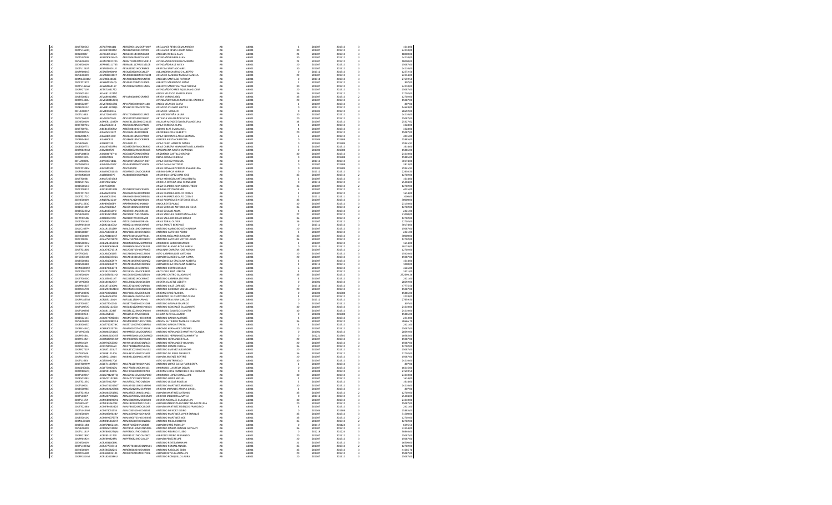|          |                          |                                     |                                           |                                                             |                 | 48001                 |                                         |                  | 201312           |                         |
|----------|--------------------------|-------------------------------------|-------------------------------------------|-------------------------------------------------------------|-----------------|-----------------------|-----------------------------------------|------------------|------------------|-------------------------|
| 20<br>20 | 20DST0054Z<br>20DTV1669Q | AERG790411/1<br>AERH870202T2        | AERG790411MOCRYM07<br>AERH870202HOCRYR09  | ARELLANES REYES GEMA MIREYA<br>ARELLANES REYES HIRAM ABSAL  | AB<br>AB        | AB001                 | $\overline{2}$<br>30                    | 201307<br>201307 | 201312           |                         |
|          | 20DLI0001F               | AERJ630514G3                        | AERJ630514HOCNBN04                        | ANGELES ROBLES JUAN                                         | AB              | AB001                 | 23                                      | 201307           | 201312           |                         |
| 20<br>20 | 20DTV07509               | AERJ790624MD                        | AERJ790624HOCVVN02                        | AVENDAÑO RIVERA JUAN                                        | AB              | AB001                 | 30                                      | 201307           | 201312           |                         |
| 20       | 202NE0040V               | <b>AERM710212KS</b>                 | AERM710212MOCVDR12                        | AVENDAÑO RODRIGUEZ MIRIAN                                   | AB              | AB001                 | 23                                      | 201307           | 201312           |                         |
|          | 202NE0040V               | AERM86111735                        | AERM861117MOCV2L08                        | AVENDAÑO RAUZ MEILY                                         | AB              | AB001                 | 20                                      | 201307           | 201312           |                         |
| 20<br>20 | 20DTV1262A               | <b>AESA850501UE</b>                 | AESA850501HOCRNB09                        | ARREOLA SANTIAGO ABEI                                       | AB              | AB001                 | 30                                      | 201307           | 201312           |                         |
| 20<br>20 | 20DPR0004G               | <b>AFSARSO90RNH</b>                 | AFSARS0908HOCLNL07                        | ALF IANDRO SANTIAGO ALBERTO                                 | <b>AR</b>       | <b>AR001</b>          | $\theta$                                | 201312           | 201312           |                         |
|          | 202NE0040V<br>20DML0031M | AESM880318F7<br>AFSPRODUCKE         | AESM880318MOCCNG04<br>AESP800406MOCNNT08  | ACEVEDO SANCHEZ MAGDA DANIELA<br>ANGELES SANTIAGO PATRICIA  | <br>АВ<br>AB    | AB001<br><b>AR001</b> | $\overline{29}$                         | 201307           | 201312           |                         |
| 20<br>20 | 20DST0197X               | AESS841204Q5                        | AESS841204MOCLRN00                        | ALBERTO SARMIENTO SONIA                                     | AB              | AB001                 | $\mathbb O$<br>$\mathbf{1}$             | 201310<br>201307 | 201312<br>201312 |                         |
|          | 20DTV1465W               | AESY8406011P                        | AESY840601MOCLNN05                        | ALBERTO SANDOVAL YANETH PANF                                | AB              | AB001                 |                                         | 201307           | 201312           |                         |
| 20<br>20 | 20DPR2710Y               | AETA710517E2                        |                                           | AVENDAÑO TORRES AQUILINA GLORIA                             | AB              | AB001                 | $\begin{array}{c} 30 \\ 20 \end{array}$ | 201307           | 201312           |                         |
| 20       | 20DJN0535E               | AEVA811122NZ                        |                                           | ANGEL VELASCO AMADO JESUS                                   | AB              | AB001                 | 36                                      | 201307           | 201312           |                         |
| 20       | 20DES0082D               | AEVA8401086C                        | AEVA840108HOCRRB05                        | ARVEA VARGAS ABEL                                           | AB              | AB001                 | 36                                      | 201307           | 201312           |                         |
| 20       | 20DPR3448U               | AEVC680412UQ                        |                                           | AVENDAÑO VARGAS MARIA DEL CARMEN                            | AB              | AB001                 | 20                                      | 201307           | 201312           |                         |
| 20       | 20DES0209T               | AEVC7805105Q                        | AEVC780510MOCNLL08                        | ANGEL VELASCO CLARA                                         | AB              | AB001                 | $\mathbf{1}$                            | 201307           | 201312           |                         |
| 20       | 20DEE00150<br>20FUE0001P | AEVH811222QS<br>AEVI49030536        | AEVH811222MOCCLY06                        | ACEVEDO VELASCO HAYDEE<br>ACEVEDO VIRGILIO                  | AB<br>AB        | AB001<br>AB001        | $\theta$                                | 201311<br>201301 | 201312<br>201312 |                         |
| 20<br>20 | 20DTV1643                | AEVL720416ED                        | AEVL720416MOCLXR05                        | ALEJANDRO VIÑA LAURA                                        | AB              | AB001                 | 30                                      | 201307           | 201312           |                         |
| 20       | 20DCC0692F               | AEVS870705PJ                        | AEVS870705MOCRLL00                        | ARTEAGA VILLASEÑOR SILVIA                                   | AB              | AB001                 | 20                                      | 201307           | 201312           |                         |
| 20       | 202NE0040V               | AGME8112027N                        | AGME811202MOCGNL06                        | AGUILAR MENDEZ ELOISA EVANGELINA                            | AB              | AB001                 | 33                                      | 201307           | 201312           |                         |
| 20<br>20 | 20DST0074N               | AIRA76062113                        | AIRA760621MOCVRL09                        | AVII A RARROSA ALMA                                         | <b>AR</b>       | <b>AR001</b>          | $\Delta$                                | 201307           | 201312           |                         |
|          | 20DST0076L               | AIBE810830FM                        | AIBE810830HOCLLM07                        | ALDINO BLAS EMMANUEL                                        | AB              | AB001                 |                                         | 201307           | 201312           |                         |
| 20       | 20DPR0873\               | AICA7604142P                        | AICA760414HOCRRL08                        | ARCINIEGA CRUZ ALBERTO                                      | AB              | AB001                 | 20                                      | 201307           | 201312           |                         |
| 20       | 20DBA0017H<br>20DPB0494K | AICA840511BF<br>AICA860813          | AICA840511MOCVRR05<br>AICA860813MOCRRR08  | AVILA CERVANTES ARELI GEMIMA                                | AB<br>AB        | AB001<br>AB001        | $\circ$                                 | 201307           | 201312<br>201308 |                         |
| 20<br>20 | 202NE0060I               | AICH900120                          | AICH900120                                | AURORA ARISTA CARMONA<br>AVILA CANO HANZETL DANIEL          | AB              | AB001                 | $\theta$                                | 201304<br>201301 | 201309           |                         |
| 20       | 20DES0077S               | AICM870507R4                        | AICM870507MOCRBR00                        | ARIAS CABRERA MARGARITA DEL CARMEN                          | AB              | AB001                 |                                         | 201307           | 201312           |                         |
|          | 20DPB0294M               | AICM880729                          | AICM880729MOCRRG05                        | MAGDALENA ARISTA CARMONA                                    | AB              | AB001                 | $\theta$                                | 201304           | 201308           |                         |
| 20<br>20 | 20DTV0845Y               | AICO840707HA                        | AICO840707MOCRSR00                        | ARIZMENDI CASTILLO ORENDI                                   | AB              | AB001                 | 30                                      | 201307           | 201312           |                         |
| 20<br>20 | 20DPR1319L               | AICR920106                          | AICR920106MOCRRN01                        | REINA ARISTA CARRERA                                        | <b>AR</b>       | <b>AR001</b>          | $\Omega$                                | 201304           | 201308           |                         |
|          | 20FUA0009L               | AICV690718QI                        | AICV690718MOCVHR07                        | AVILA CHAVEZ VIRGINIA                                       | AB              | AB001                 | $\bf{0}$                                | 201311           | 201312           |                         |
| 20       | 20DNS0001K               | AIGA490420KZ                        | AIGA490420HOCVLN05                        | AVILA GALAN ANTONIO                                         | AB              | AB001                 | $\theta$                                | 201307           | 201308           |                         |
| 20       | 20DST0108N<br>20DPB0608W | AIGC940308<br>AIGM9005103G          | AIGC940308<br>AIGM900510MOCLRR03          | ARIAS GONZALEZ CRISTAL EVANGELINA<br>ALBINO GARCIA MIRIAM   | AB<br>AB        | AB001<br>AB001        | $\bf{0}$<br>$\theta$                    | 201301<br>201312 | 201309<br>201312 |                         |
| 20<br>20 | 20HSM0001H               | AILI880805PE                        | AILJ880805HOCRPN08                        | ARCINIEGA LOPEZ JUAN JOSE                                   | AB              | AB001                 | 36                                      | 201307           | 201312           |                         |
| 20       | 20DST0038                | AIMA720715C8                        |                                           | AVILA MENDOZA ANTONIA BENITA                                | AB              | AB001                 | $\overline{2}$                          | 201307           | 201312           |                         |
| 20       | 20DES0176S               | AIOF790216RV                        |                                           | ARRIOLA ORTEGA JOSE FERNANDO                                | AB              | AB001                 | $\theta$                                | 201311           | 201312           |                         |
| 20       | 20DES0064C               | AIOJ750709KI                        |                                           | ARIZA OLMEDO JUAN GODOLFREDO                                | AB              | AB001                 | 36                                      | 201307           | 201312           |                         |
| 20<br>20 | 2005T0081X               | AIOO8202194N                        | AIOO820219HOCR5805                        | ARRIAGA OSTOS ORIVER                                        | <b>AR</b>       | <b>AR001</b>          | ×,                                      | 201307           | 201312           |                         |
|          | 20DST0172Q               | AIRA46092591                        | AIRA460925HOCRMD08                        | ARIAS RAMIREZ ADOLFO COSME                                  | AB              | AB001                 |                                         | 201307           | 201312           |                         |
| 20<br>20 | 20DST0172Q               | AIRA46092591                        | AIRA460925HOCRMD08                        | ARIAS RAMIREZ ADOLFO COSME                                  | AB              | <b>AR001</b>          | $\overline{2}$                          | 201311           | 201311           |                         |
|          | 202NE0040V               | AIRN871212DY<br><b>AIRPRADADEFV</b> | AIRN871212HOCRDS04                        | ARIAS RODRIGUEZ NESTOR DE JESUS                             | AB              | AB001<br><b>AR001</b> | 36                                      | 201307           | 201312           |                         |
| 20<br>20 | 20DTV15330<br>20DES0138F | AISA791001A7                        | AIRP890906HGRNYB00<br>AISA791001MOCRRN00  | ANICA REYES PABLO<br>ARIAS SORIANO ANTONIA DE JESUS         | AB<br>AB        | AB001                 | 30<br>36                                | 201307<br>201307 | 201312<br>201312 |                         |
| 20       | 20DES0223M               | AISA840512VD                        | AISA840512MOCRLL03                        | ARIAS SOLANO ALMA                                           | AB              | <b>AR001</b>          |                                         | 201307           | 201312           |                         |
| 20       | 20ZNE0040V               | AISC850817MD                        | AISC850817HOCRNH0E                        | ARIAS SANCHEZ CHRISTIAN NAHUM                               | AB              | AB001                 | $\overline{27}$                         | 201307           | 201312           |                         |
| 20       | 20FZT0014G               | AISD8007275K                        | AISD800727HOCRLV00                        | ARIAS SALGADO DAVID EDGAR                                   | AB              | AB001                 |                                         | 201307           | 201312           |                         |
| 20       | 20DST0016X               | AITO81041463                        | AITO810414HOCRRL06                        | ARIAS TORAL OLIVER                                          | AB              | <b>AR001</b>          | 36<br>36                                | 201307           | 201312           |                         |
| 20       | 20DPR0534W               | AIZB9211107N                        | AIZB921110MOCVRR09                        | AVILA ZARATE BERENICE                                       | AB              | AB001                 | $\theta$                                | 201311           | 201312           |                         |
| 20<br>20 | 20DCC1097N               | AOAL910612HY                        | AOAL910612HOCNMN02                        | ANTONIO AMBROSIO LEON NABOR                                 | <b>AR</b>       | <b>AR001</b>          | 20                                      | 201307           | 201312           |                         |
|          | 20DES0080F               | AOAP6804301X                        | AOAP680430HOCNND04                        | ANTONIO ANTONIO PEDRO                                       | AB              | AB001                 |                                         | 201307           | 201312           |                         |
| 20<br>20 | 202NE0040V<br>20DST0020J | AOAP831011C7<br>AOAV7507287R        | AOAP831011MDFRRL01<br>AOAV750728HOCNNC07  | ARROYO ARELLANES PAULINA<br>ANTONIO ANTONIO VICTOR HUGO     | AB<br>AB        | <b>AR001</b><br>AB001 | 36<br>36                                | 201307<br>201307 | 201312<br>201312 |                         |
|          | 20DES0024N               | AOBM840506VD                        | AOBM840506MGRMRR04                        | AMBROCIO BARROSO MAURI                                      |                 | AB001                 | $\overline{2}$                          | 201307           | 201312           |                         |
| 20<br>20 | 20DPR2147F               | AOBR890626MR                        | AOBR890626MOCNLS01                        | ANTONIO BLANCO ROSA KAREN                                   | AB<br>AB        | AB001                 | $\overline{0}$                          | 201310           | 201312           |                         |
| 20       | 20DST0180X               | AOCA7807131R                        | AOCA780713HOCPRM03                        | APOLINAR CARRERA JOSE ANTONI                                | AB              | AB001                 | 36                                      | 201307           | 201312           |                         |
| 20       | 20FZF0016L               | AOCA800610I5                        | AOCA800610HOCLBN04                        | ALTO CABRERA JOSE ANTONIO                                   | AB              | AB001                 | 20                                      | 201307           | 201312           |                         |
| 20       | 20FSE0011H               | AOCA810331GU                        | AOCA810331MOCLNN03                        | ALONSO CANSECO ALICIA ILIANA                                | AB              | AB001                 | 20                                      | 201307           | 201312           |                         |
| 20       | 20DES0048X               | AOCA8106297Y                        | AOCA810629MOCLRN02                        | ALONZO DE LA CRUZ ANA ALBERTA                               | AB              | AB001                 | $\overline{2}$                          | 201307           | 201312           |                         |
| 20       | 20DES0048X<br>20HMC00092 | AOCA8106297Y<br>AOCB700613TX        | AOCA810629MOCLRN02<br>AOCB700613HVZNRS07  | ALONZO DE LA CRUZ ANA ALBERTA<br>ANTONIO CORTES BASILIO     | AB<br>AB        | AB001<br>AB001        | 6                                       | 201311<br>201307 | 201311<br>201312 |                         |
| 20<br>20 | 20DST0017W               | AOCE810419PV                        | AOCE810419MOCRRR04                        | ARCO CRUZ EIRA LIZBETH                                      | AB              | AB001                 |                                         | 201307           | 201312           |                         |
| 20       | 202NE0040V               | AOCG630502H2                        | AOCG630502MCSLSD03                        | ALBORES CASTRO GUADALUPE                                    | AB              | AB001                 | 36                                      | 201307           | 201312           |                         |
| 20       | 20DST0030Q               | AOCJ830321KT                        | AOCJ830321HOCNBV07                        | ANTONIO CABRERA JEOVANI                                     | AB              | AB001                 |                                         | 201307           | 201312           |                         |
| 20<br>20 | 20EMP00051               | AOCL84012647                        | AOCL840126MOCCC200                        | ACOSTA CUACTLE LIZRETH                                      | AB              | <b>AR001</b>          | $\Omega$                                | 201301           | 201312           |                         |
|          | 20DPR0462T               | AOCL871130JM                        | AOCL871130HOCNRR08                        | ANTONIO CRUZ LORENZO                                        | AB              | AB001                 | $\bf{0}$                                | 201310           | 201312           |                         |
| 20       | 20DPB1679X               | AOCM920421KH                        | AOCM920421HOCNRG00                        | ANTONIO CARDOZA MIGUEL ANGEL                                | AB              | AB001                 | 20                                      | 201307           | 201312           |                         |
| 20       | 20DTV0339S               | AOCP600426B3<br>AOFA860610SR        | AOCP600426MOCRRL03                        | ARRONIZ CRUZ PLACIDA                                        | AB<br>AB        | AB001<br>AB001        | $\circ$                                 | 201304<br>201307 | 201308           |                         |
| 20<br>20 | 20DST0045S<br>20DPR1855M | AOFJ8311301H                        | AOFA860610HOCMLN03<br>AOFJ831130HPLPRN01  | AMBROSIO FELIX ANTONIO CESAR<br>APONTE FERIA JUAN CARLOS    | AB              | AB001                 | $\theta$                                | 201312           | 201312<br>201312 |                         |
| 20       | 20DST00552               | AOGE770425GI                        | AOGE770425HOCNSD08                        | ANTONIO GASPAR EDUARDO                                      | AB              | AB001                 | $\mathbf 0$                             | 201307           | 201312           |                         |
|          | 20DTV0072C               | AOGG821226QI                        | AOGG821226MOCNND04                        | ANTONIO GONZALEZ GUADALUPE                                  | AB              | AB001                 | 30                                      | 201307           | 201312           |                         |
| 20<br>20 | 20DTV0090S               | AOGJ811223JT                        | AOGJ811223MOCMLN02                        | AMBROSIO GALLEGOS JANETH                                    | AB              | AB001                 | 30                                      | 201307           | 201312           |                         |
| 20<br>20 | 20DCC0253H               | AOGL851127                          | 40GL851127MOCLL06                         | <b>HIJANA ALTO GALLARDO</b>                                 | <b>AR</b>       | <b>AR001</b>          | $\theta$                                | 201304           | 201308           |                         |
|          | 20DES0214E               | AOGM720921D4                        | AOGM720921HOCNRR03                        | ANTONIO GARCIA MARCOS                                       | AB              | AB001                 | 3                                       | 201307           | 201312           |                         |
| 20       | 202NE0040V               | AOGM810807LK                        | AOGM810807HOCNTN06                        | ANGON GUTIERREZ MANUEL FILEMON                              | AB              | AB001                 | 36                                      | 201307           | 201312           |                         |
| 20<br>20 | 20DES0045Z<br>20DPB1454Q | AOGT710307BX<br>AOHA90020744        | AOGT710307MOCNRR08<br>AOHA900207HOCLRN03  | ANTONIO GARCIA TERESA<br>ALFONSO HERNANDEZ ANDRES           | AB<br>AB        | AB001<br>AB001        | 20                                      | 201307<br>201307 | 201312<br>201312 |                         |
| 20       | 20FMP0019L               | <b>AOHM850516JG</b>                 | AOHM850516MOCNRR03                        | ANTONIO HERNANDEZ MARTHA YOLANDA                            | AB              | AB001                 | $\theta$                                | 201301           | 201312           |                         |
| 20       | 20DPR3464L               | AOHM85100455                        | AOHM851004MOCMRH02                        | AMBROSIO HERNANDEZ MAHYPATIA                                | AB              | AB001                 | $\overline{0}$                          | 201221           | 201302           |                         |
| 20       | 20DPR3492H               | AOHR8209052W                        | AOHR820905HOCNRL08                        | ANTONIO HERNANDEZ RAUL                                      | AB              | AB001                 | 20                                      | 201307           | 201312           |                         |
| 20       | 20DPB1619                | AOHY910523H2                        | AOHY910523MOCNRL04                        | ANTONIO HERNANDEZ YOLANDA                                   | AB              | AB001                 | 20                                      | 201307           | 201312           |                         |
| 20<br>20 | 20D IN 1436L             | AOIC7809166R                        | AOIC780916MOCNRC06                        | ANTONIO IRIARTE CECILIA                                     | <b>AR</b>       | <b>AR001</b>          | 36                                      | 201307           | 201312           |                         |
|          | 20DPR2702F<br>20FZF0034A | AOJA871025UT<br><b>AOIA881214C6</b> | AOJA871025MOCNML02<br>AO IA881214MOCNSN02 | ANTONIO JIMENEZ ALEJANDRA<br>ANTONIO DE JESUS ANGELICA      | AB<br>AB        | AB001<br><b>AR001</b> | $\overline{20}$                         | 201307<br>201307 | 201312<br>201312 |                         |
| 20<br>20 | 20DPB1955K               | AOJB92110814                        | AOJB921108MOCLMT03                        | ALONSO JIMENEZ BEATRIZ                                      | AB              | AB001                 | 36<br>20                                | 201307           | 201312           |                         |
|          | 20DTV1643I               | AOJT840617Q6                        |                                           | ALTO JULIAN TRINIDAD                                        |                 | <b>AR001</b>          | 30                                      | 201307           | 201312           |                         |
| 20<br>20 | 20DST0099W               | AOLE711207DH                        | AOLE711207MOCNPL06                        | ANTONIO LOPEZ ELENA FLORIBERTA                              | AB<br>AB        | AB001                 |                                         | 201307           | 201312           |                         |
| 20       | 20AGD0002A               | AOLF730301DU                        | AOLF730301HOCMSL03                        | AMBROSIO LUIS FELIX OSCAR                                   | AB              | <b>AR001</b>          | $\pmb{0}$                               | 201307           | 201312           |                         |
| 20       | 20DPR0052Q               | AOLF901230FG                        | AOLF901230MOCRRP03                        | ARRONIZ LOPEZ FRANCCELLY DEL CARMEN                         | AB              | AB001                 | $\theta$                                | 201309           | 201312           |                         |
| 20       | 20DTV0291F               | AOLG791215TQ                        | AOLG791215MOCMPD09                        | AMBROSIO LOPEZ GUADALUPE                                    | AB              | AB001                 | 30                                      | 201307           | 201312           |                         |
| 20       | 20DES0208U<br>20DST0135K | AOLM771023RU<br>AOLR750127LP        | AOLM771023HOCNPG01<br>AOLR750127HOCNSG00  | ANTONIO LOPEZ MIGUEL<br>ANTONIO LESCAS ROGELIC              | AB<br>AB        | AB001<br>AB001        | $\overline{2}$                          | 201307<br>201307 | 201312<br>201312 |                         |
| 20       | 20DTV0001                | AOMA741013GT                        | AOMA741013HOCNRR00                        | ANTONIO MARTINEZ ARMANDO                                    | <b>AR</b>       | <b>AR001</b>          | 30                                      | 201307           | 201312           |                         |
| 20<br>20 | 20DES0098E               | AOMA82120908                        | AOMA821209MCSRRR00                        | ARROYO MORALES ARIANA GRISEL                                | AB              | AB001                 |                                         | 201307           | 201312           |                         |
|          | 20DST0193A               | AOMA850519D2                        | AOMA850519HOCLRN01                        | ALONSO MARTINEZ ANTONIO                                     | AB              | <b>AR001</b>          |                                         | 201307           | 201312           |                         |
| 20<br>20 | 20DTV0397I               | AOMA870902DJ                        | AOMA870902MOCRNN09                        | ARROYO MENDOZA ANAYELI                                      | AB              | AB001                 | $\begin{array}{c} 36 \\ 0 \end{array}$  | 201312           | 201312           |                         |
| 20<br>20 | 20DTV1172                | AOMC800909V6                        | AOMC800909MOCCRL03                        | ACOSTA MORALES CLAUDIA JAN                                  | AB<br>AB        | AB001                 | $\frac{30}{20}$                         | 201307           | 201312           |                         |
|          | 20DIN0444Y               | AOMF820620RJ                        | AOMF820620MOCLNL01                        | ALONSO MENDOZA FLORENTINA MICAELINA                         |                 | AB001                 |                                         | 201307           | 201312           |                         |
| 20<br>20 | 20DST0248M<br>20DTV0195M | AOMF8406242S<br>AOM17805155X        | AOMF840624HOCLRD03<br>AOMI780515HOCNNS04  | ALONSO MARTINEZ FIDENCIO FRANCISCO<br>ANTONIO MENDEZ ISIDRO | AB<br>AB        | AB001<br>AB001        | $\bf{0}$                                | 201307<br>201304 | 201312<br>201308 |                         |
| 20       | 202NE0040V               | AOMJ8509028V                        | AOMJ850902HOCNRV08                        | ANTONIO MARTINEZ JAVIER ENRIQUE                             | AB              | AB001                 | 36                                      | 201307           | 201312           |                         |
| 20       | 20DES0010K               | AOMN900723TK                        | AOMN900723HOCNRX06                        | ANTONIO MARTINEZ NOE                                        | AB              | AB001                 | 36                                      | 201307           | 201312           |                         |
| 20       | 20DML0016U               | AOMR8506071T                        | AOMR850607HOCNZB02                        | ANTONIO MEZA ROBERTO                                        | AB              | AB001                 | 36                                      | 201307           | 201312           |                         |
|          | 20DES0118B               | AOOR710624M1                        | AOOR710624HPLLRB08                        | ALONSO ORTIZ RUBISLEY                                       | AB              | AB001                 | $\theta$                                | 201117           | 201124           |                         |
| 20<br>20 | 20ZNE0040V               | AOPD850119D8                        | AOPD850119MOCNNN06                        | ANTONIO PINEDA DENISSE GIOVANY                              | AB              | AB001                 | 36                                      | 201307           | 201312           |                         |
| 20       | 20DTV1141F               | AOPE800427QM                        | AOPE800427HOCNZL05                        | ANTONIO PIZARRO ELISEO                                      | AB              | AB001                 | $\theta$                                | 201216           | 201224           |                         |
| 20       | 20DPB2289O<br>20DPR0492N | AOPF8511177K<br>AOPER90823FU        | AOPF851117HOCMDR02<br>AOPF890823HOCLRL07  | ALBROSIO PEDRO FERNANDO<br>ALONSO PEREZ EFLIPE              | AB<br><b>AR</b> | AB001<br><b>AR001</b> | 20<br>20                                | 201307<br>201307 | 201312<br>201312 |                         |
| 20<br>20 | 20ZNE0040V               | AORA631008H1                        |                                           | ANTONIO REYES ABRAHAM                                       | AB              | AB001                 | 21                                      | 201307           | 201312           |                         |
| 20       | 20DTV1093W               | AORA77033114                        | AORA770331MOCNMN01                        | ANTONIO ROMAN ANABEL                                        | AB              | AB001                 | 36                                      | 201307           | 201312           |                         |
| 20       | 20ZNE0040V               | AORE8608224C                        | AORE860822HOCNSD08                        | ANTONIO RASGADO EDER                                        | AB              | AB001                 | 36                                      | 201307           | 201312           |                         |
| 20       | 20DPR16188               | AORG870221K1                        | AORG870221MOCLYD06                        | ALONSO REYES GUADALUPE                                      | AB              | AB001                 | 20                                      | 201307           | 201312           |                         |
| 20       | 20DPR1814M               | AORL820108HU                        |                                           | ANTONIO RONQUILLO LAURA                                     | AB              | AB001                 | 20                                      | 201307           | 201312           | $\overline{\mathbf{3}}$ |
|          |                          |                                     |                                           |                                                             |                 |                       |                                         |                  |                  |                         |

# 1614,00 3 24210,00 3 18000,00 3 24210,00 3 18000,00 3 15087,00 3 24210,00 3 12572,50 3 22254,00 3 27659,50 3 807,00 3 24210,00 3 15087,00 2 12702,00 2 12702,00 3 15087,00 3 807,00 3 14649,00 3 28692,00 3 24210,00 3 15087,00 3 25327,62 3 3228,00 3 3228,00 3 15087,00 3 4035,00 3 15885,00 3 25945,92 3 1614,00 3 15885,00 3 24210,00 3 15885,00 3 30174,00 3 3813,00 3 25945,92 3 22630,50 2 12702,00 3 1614,00 3 25404,00 2 12702,00 3 4035,00 3 1614,00 3 1000,00 3 30000,00 3 23130,00 2 12702,00 3 2421,00 3 21000,00 2 12702,00 2 12702,00 3 30174,00 3 15087,00 3 2421,00 3 30000,00 2 12702,00 3 1614,00 3 30174,00 2 12702,00 3 15420,00 3 15087,00 3 1614,00 3 1000,00 3 4626,00 3 2421,00 3 232690,36 3 2421,00 3 28692,00 3 47775,50 3 15087,00 3 15885,00 3 3228,00 3 27659,50 3 807,00 3 24210,00 3 24210,00 3 15885,00 3 2313,00 3 38666,70 3 2421,00 3 15087,00 3 28692,00 3 10585,00 3 15087,00 3 15087,00 2 12702,00 3 15087,00 2 12702,00 3 15087,00 3 24210,00 3 807,00 3 16216,00 3 27659,50 3 24210,00 3 1614,00 3 1614,00 3 24210,00 3 807,00 2 12702,00 3 25404,00 3 24210,00 3 15087,00 3 2421,00 3 15885,00 3 31500,00 2 12702,00 2 12702,00 3 6296,56 3 33354,00 3 30840,00 3 15087,00 3 15087,00 3 16500,00 2 12702,00 3 41666,70 3 15087,00 3 15087,00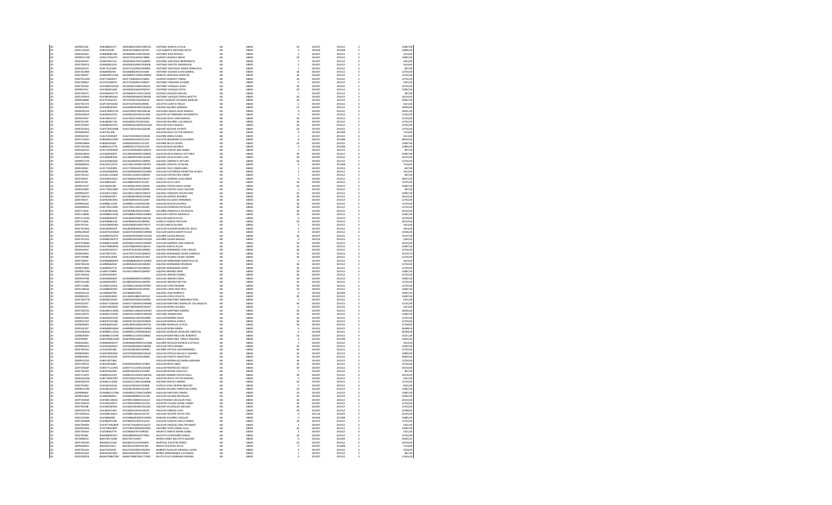| $_{20}$  | 20DPB1130J<br>20DCC16250 | AORL880415FT<br>AORL910108   | AORL880415MOCNMT01<br>AORL910108HOCNYS05 | ANTONIO RAMOS LETICIA<br>LUIS ALBERTO ANTONIO REYES                    | AB<br>AB        | AB001<br>AB001        | $_{\rm 20}$<br>$\circ$                  | 201307<br>201304 | 201312<br>201308 |  |
|----------|--------------------------|------------------------------|------------------------------------------|------------------------------------------------------------------------|-----------------|-----------------------|-----------------------------------------|------------------|------------------|--|
| 20       | 20DES0202Z               | AORR680811BZ                 | AORR680811MOCNSS01                       | ANTONIO RIOS ROSIVEL                                                   | AB              | AB001                 |                                         | 201307           | 201312           |  |
| 20       | 20DPR3173W               | AOSA721014TG                 | AOSA721014HOCLNB06                       | ALONSO SANCHEZ ABIUD                                                   | AB              | AB001                 | 20                                      | 201307           | 201312           |  |
| 20       | 20DES0042C               | AOSB700417J6                 | AOSB700417MOCNNR07                       | ANTONIO SANTIAGO BERNARDITA                                            | AB              | AB001                 |                                         | 201307           | 201312           |  |
|          | 20DST0047Q               | AOSE830510LA                 | AOSE830510MOCNNS08                       | ANTONIO SANTOS ESMERALDA                                               | AB              | <b>AR001</b>          | $\overline{ }$                          | 201307           | 201312           |  |
| 20<br>20 | 20DES0167K               | AOSF731224AF                 | AOSF731224MOCNNR05                       | ANTONIO SANTIAGO MARIA FRANCISCA                                       | AB              | AB001                 |                                         | 201307           | 201312           |  |
| 20<br>20 | 20DST0248N<br>20DST0003T | AOSJ800823RJ                 | AOSJ800823HOCNLN08<br>AOSM900715MOCRNR04 | ANTONIO SALINAS JUAN GABRIEL                                           | AB              | AB001                 | 36                                      | 201307           | 201312           |  |
|          |                          | AOSM900715D6                 |                                          | ARROYO SANTIAGO MARITSA                                                | AB              | AB001<br><b>AR001</b> | 36                                      | 201307           | 201312           |  |
| 20<br>20 | 20DST0133M<br>20DST0081X | AOST750826V7<br>AOTE70100976 | AOST750826HOCLNB03<br>AOTE701009HOCNRS07 | ALONSO SANCHEZ TOBIAS<br>ANTONIO TRINIDAD EUSEBIO                      | AB<br>AB        | AB001                 | 36<br>$\overline{\mathbf{3}}$           | 201307<br>201307 | 201312<br>201312 |  |
| 20       | 20DST0229Z               | AOVA840110CM                 | AOVA840110MOCNSL01                       | ANTONIO VASQUEZ ALMA                                                   | AB              | AB001                 | 36                                      | 201307           | 201312           |  |
| 20       | 20DPR3251J               | AOVD830516K1                 | AOVD830516MDFNZY07                       | ANTONIO VAZQUEZ DEYSI                                                  | AB              | AB001                 | 20                                      | 201307           | 201312           |  |
| 20       | 20DST0027C               | AOVM6010177F                 | AOVM601017HOCLZG04                       | ALONSO VAZQUEZ MIGUEL                                                  | AB              | AB001                 |                                         | 201307           | 201312           |  |
| 20       | 20DTV0391O               | <b>AOVN850816AE</b>          | AOVN850816MOCNSD06                       | ANTONIO VASQUEZ NIDYA ARLETTE                                          | AB              | AB001                 | 30                                      | 201307           | 201312           |  |
| 20       | 20DPR1898K               | AOVY9104215L                 | AOVY910421MVZRZL03                       | ARCOS VAZQUEZ YOLANDA MARLEN                                           | AB              | AB001                 | 20                                      | 201307           | 201312           |  |
| 20       | 20DST0237H               | AOZF7607033M                 | AOZF760703HOCZRR05                       | AZCOYTIA ZURITA FRELEY                                                 | AB              | AB001                 | $\overline{2}$                          | 201307           | 201312           |  |
| 20       | 202NE0040V<br>20FMP0012S | AUAA680305R2<br>AUAA790927CW | AUAA680305MOCQQD02<br>AUAA790927HOCGNL08 | AQUINO AQUINO ADRIANA<br>AGUILERA ANAYA ALDO SAMUEL                    | AB<br>AB        | AB001<br>AB001        | 31<br>$\circ$                           | 201307<br>201301 | 201312<br>201312 |  |
| 20<br>20 | 20DNL0001R               | AUAD810325L6                 | AUAD810325HOCGLG00                       | AGUSTIN ALTAMIRANO DAGOBERTO                                           | AB              | AB001                 | $\theta$                                | 201307           | 201312           |  |
| 20       | 20DJN1305T               | AUAJ76012123                 | AUAJ760121HMCSGN05                       | AGUILAR ALOE JUAN MANUEL                                               | AB              | AB001                 | 36                                      | 201307           | 201312           |  |
| 20       | 20DST0129Z               | AUAL8604173G                 | AUAL860417HV2GGS04                       | AGUILAR AGUIRRE LUIS MIGUEL                                            | AB              | AB001                 | 36                                      | 201307           | 201312           |  |
| 20<br>20 | 20DST0100V               | AUAM810223LC                 | AUAM810223MOCGVG00                       | AGUILAR AVILA MAGALL                                                   | <b>AR</b>       | <b>AR001</b>          | 36                                      | 201307           | 201312           |  |
|          | 20DST0245Q               | AUAV730525MB                 | AUAV730525HOCQZC08                       | AQUINO AZCONA VICENTE                                                  | AB              | AB001                 | 36                                      | 201307           | 201312           |  |
| 20       | 20DNS0001K               | AUAV761108                   |                                          | AGUILAR AVILA VICTOR MANUEL                                            | AB              | AB001                 | $\theta$                                | 201307           | 201308           |  |
| 20<br>20 | 20DES0219Z<br>20DTV1545H | AUA2720205KF<br>AUBG840210FM | AUAZ720205MOCGRL04<br>AUBG840210HOCGJL09 | AGUIRRE ARIAS ZULMA<br>AGUSTIN BEJARANO GUILLERMO                      | AB<br>AB        | AB001<br>AB001        | $\overline{2}$<br>$\theta$              | 201307<br>201221 | 201312<br>201308 |  |
| 20       | 20DPB1696N               | AUBJ820204DJ                 | AUBJ820204HOCGLV03                       | AGUIRRE BELLO JAVIER                                                   | AB              | AB001                 | 20                                      | 201307           | 201312           |  |
| 20       | 20DTV0013N               | AUBR810127TR                 | AUBR810127HOCGLC05                       | AGUILAR BLAS RICARDO                                                   | AB              | AB001                 | $\,$ 0                                  | 201304           | 201308           |  |
| 20       | 20DES0215D               | AUCA720505GB                 | AUCA720505MOCGHN15                       | AGUILAR CHAVEZ ANA ISABEL                                              | AB              | AB001                 | $\overline{1}$                          | 201307           | 201312           |  |
| 20       | 20DML0001S               | AUCA830306TS                 | AUCA830306MOCGRN09                       | AGUILAR CRUZ ANGELA VICTORIA                                           | AB              | AB001                 | 20                                      | 201307           | 201312           |  |
| 20       | 20DTV1099Q               | AUCA86090144                 | AUCA860901MOCOLN02                       | AQUINO CALLEJA ANA LUISA                                               | AB              | AB001                 | 30                                      | 201307           | 201312           |  |
| 20       | 20DPR2175N<br>20DNS0001K | AUCA910820AD<br>AUCC4611257H | AUCA910820HOCQRR00<br>AUCC461125MOCONT09 | AQUINO CARRASCO ARTURO<br>AQUINO CONCHA CATALINA                       | AB<br><b>AR</b> | AB001<br><b>AR001</b> | 36<br>$\Omega$                          | 201307<br>201307 | 201312<br>201308 |  |
| 20<br>20 | 20DES0093J               | AUCC72020285                 | AUCC720202HOCQRN08                       | AQUINO CRUZ CANDELARIO                                                 | AB              | AB001                 |                                         | 201307           | 201312           |  |
| 20       | 20DES00281               | ALICD640409HN                | AUCD640409MOCGSM00                       | AGUILAR CASTAÑEDA DEMETRIA ACASIA                                      | AB              | <b>AR001</b>          | $\overline{ }$                          | 201307           | 201312           |  |
| 20       | 20DST0225C               | AUCE8111056M                 | AUCE811105HOCGRR09                       | AGUILAR CORTES ERIC OMAR                                               | AB              | AB001                 | $\mathbf{1}$                            | 201307           | 201312           |  |
| 20       | 20F2F0005F               | AUCG830323EU                 | AUCG830323HOCDRL07                       | AUDELO CORDERO GUILLERMO                                               | AB              | AB001                 | $\Omega$                                | 201301           | 201312           |  |
| 20       | 20DST0120                | AUCJ6804162F                 | AUCJ680416HOCGLL00                       | AGUILAR CELIS JULIO                                                    | AB              | AB001                 | 36                                      | 201307           | 201312           |  |
| 20       | 20DPR1353T               | AUCJ820612BJ                 | AUCJ820612MOCQSN01                       | AQUINO CASTELLANOS JUANA                                               | AB              | AB001                 | 20                                      | 201307           | 201312           |  |
| 20       | 20DES0180E               | AUCL7904136M                 | AUCL790413HOCGRS08                       | AGUILAR CORTES LESLIE DALDIER                                          | AB<br>AB        | AB001                 | $\overline{1}$                          | 201307           | 201312           |  |
| 20<br>20 | 20DPR0433Y<br>20DTV0821O | AUCO85111825<br>AUCR830919E7 | AUCO851118HOCQNS07<br>AUCR830919MOCGRS08 | AQUINO CONDADO OSCAR IVAN<br>AGUILAR CERERO ROSARIO                    | AB              | AB001<br>AB001        | $^{20}$<br>30                           | 201307<br>201307 | 201312<br>201312 |  |
| 20       | 20DST0037J               | AUDF830923NU                 | AUDF830923HOCQLR07                       | AQUINO DELGADO FERNANDO                                                | AB              | AB001                 | 36                                      | 201307           | 201312           |  |
| 20       | 20DPR02342               | AUDR8811159P                 | AUDR881115HVZGGF06                       | AGUILAR DEGIVES RUFINO                                                 | AB              | AB001                 | 36                                      | 201307           | 201312           |  |
| 20       | 20DJN0092A               | AUEE7901136W                 | AUEE790113HOCGSS00                       | AGUILAR ESPERON EUSTIQUIO                                              | AB              | AB001                 | 36                                      | 201307           | 201312           |  |
| 20<br>20 | 200TV13041               | AUFASZOR15OS                 | AUFARZ0815MOCGRS05                       | AGUIRRE FRANCISCO ASUNCION                                             | <b>AR</b>       | <b>AR001</b>          | 30 <sub>0</sub>                         | 201307           | 201312           |  |
|          | 20DCC1689Z               | <b>AUFM880125VB</b>          | AUFM880125MOCGNR02                       | AGUILAR FUENTES MARISELA                                               | AB              | AB001                 | $\overline{20}$                         | 201307           | 201312           |  |
| 20<br>20 | 20DTV1314Q<br>20DTV1640L | AUGE8609192P<br>AUGF80060136 | AUGE860919MOCGRL09<br>AUGF800601HOCRRR06 | AGUILAR GARCIA FLVIA<br>AURELIO GARCIA FROYLAN                         | AB<br>AB        | <b>AR001</b><br>AB001 | $\Omega$                                | 201307<br>201307 | 201312           |  |
| 20       | 20DST0123F               | AUGG580401BH                 | AUGG580401MOCYRL07                       | AYUSO GARCIA GLORIA                                                    | AB              | AB001                 | $\overline{30}$<br>$\overline{2}$       | 201307           | 201312<br>201312 |  |
| 20       | 20DST0146Q               | AUGJ830903DP                 | AUGJ830903MOCGZS01                       | AGUILAR GUZMAN MARIA DE JESUS                                          | AB              | AB001                 | $\overline{2}$                          | 201307           | 201312           |  |
| 20       | 20DNL0001R               | AUGM7501046W                 | AUGM750104MOCGRR08                       | AGUILAR GARCIA MARTITA ELIA                                            | AB              | AB001                 | $\theta$                                | 201307           | 201312           |  |
| 20       | 20DST0122G               | AUGM810503TZ                 | AUGM810503MOCGSG03                       | AGUIRRE GASGA MAGALI                                                   | AB              | AB001                 | 36                                      | 201307           | 201312           |  |
| 20       | 20DST0122G               | AUGM810503TZ                 | AUGM810503MOCGSG03                       | AGUIRRE GASGA MAGALI                                                   | AB              | AB001                 | $\mathfrak{o}$                          | 201223           | 201223           |  |
| 20       | 20DTV0068Q               | AUGM841224A4                 | AUGM841224HOCGRN09                       | AGUILAR GARRIDO JOSE MANUEL                                            | AB              | AB001                 | 30                                      | 201307           | 201312           |  |
| 20<br>20 | 20HMC0019<br>20DJN1491E  | AUGS790829EM<br>AUHC870103V7 | AUGS790829MOCQRL05<br>AUHC870103HOCORR06 | AQUINO GARCIA SILVIA<br>AQUINO HERNANDEZ JOSE CARLOS                   | AB<br>AB        | AB001<br>AB001        | 20<br>36                                | 201307<br>201307 | 201312<br>201312 |  |
| 20       | 202NE0040V               | AUHJ790715HL                 | AUHJ790715HOCQRM03                       | AQUINO HERNANDEZ JAIME GONZALO                                         | AB              | AB001                 | $\overline{33}$                         | 201307           | 201312           |  |
|          | 20DTV0598F               | AUHL9105209A                 | AUHL910520MOCGLR01                       | AGUSTIN HILARIO LAURA YASMIN                                           | <b>AR</b>       | <b>AR001</b>          |                                         | 201307           | 201312           |  |
| 20<br>20 | 20DST0065F               | AUHM680826PX                 | AUHM680826MOCGRR02                       | AGUILAR HERNANDEZ MARTHA ELVA                                          | AB              | AB001                 | $\begin{array}{c} 36 \\ 2 \end{array}$  | 201307           | 201312           |  |
| 20<br>20 | 20DST0052B               | AUHR8506256F                 | AUHRSS062SHOCORD04                       | 40UINO HERNANDEZ RODRIGO                                               | AB<br>AB        | <b>AR001</b>          | 36                                      | 201307           | 201312           |  |
|          | 20DPR1390X               | AUHS89010715                 | AUHS890107HOCQRH02                       | AQUINO HERNANDEZ SAHID                                                 |                 | AB001                 | 36                                      | 201307           | 201312           |  |
| 20<br>20 | 20DPR0179W<br>20DTV0545A | AUJA611108PB                 | AUJA611108HOCQMR07                       | AQUINO JIMENEZ ARIEL                                                   | AB<br>AB        | <b>AR001</b><br>AB001 | $\begin{array}{c} 20 \\ 36 \end{array}$ | 201307           | 201312<br>201312 |  |
| 20       | 20DPR2979E               | AUJD910424HY<br>AUJE840830M7 | ALLIERADR20MOCCMR02                      | AGUILAR JIMENEZ DANIEL<br>AGUILAR JIMENEZ ERIKA                        | AB              | AB001                 |                                         | 201307<br>201307 | 201312           |  |
| 20       | 20DTV01280               | AUJN820929P3                 | AUJN820929HOCGMF00                       | AGUILAR JIMENEZ NEFTALI                                                | AB              | AB001                 | $\begin{array}{c} 20 \\ 36 \end{array}$ | 201307           | 201312           |  |
|          | 20DTV1309E               | AULM831226JA                 | AULM831226MOCGPR07                       | AGUILAR LOPEZ MARINA                                                   | AB              | AB001                 | 36                                      | 201307           | 201312           |  |
| 20<br>20 | 20DCC0854A               | AULN880301NC                 | AULN880301HOCGPX05                       | AGUSTIN LOPEZ NOE PAUL                                                 | AB              | AB001                 | 20                                      | 201307           | 201312           |  |
| 20       | 20DES0212G               | <b>AULR890607RE</b>          | AULR890607RE9                            | AQUINO LEON ROBERTO                                                    | AB              | AB001                 |                                         | 201301           | 201309           |  |
| 20       | 20DPB0322S               | AULV820528SD                 | AULV820528MOCGPL02                       | AGUILAR LOPEZ VIOLETA                                                  | AB              | AB001                 | 20                                      | 201307           | 201312           |  |
| 20       | 20DST0017W<br>20DES0233T | AUMA601026SI<br>AUMA771005N3 | AUMA601026HOCGRR02<br>AUMA771005MV7GRN08 | AGUILAR MARTINEZ ARMANDO NOEL<br>AGUILAR MARTINEZ MARIA DE LOS ANGELES | AB<br><b>AR</b> | AB001<br><b>AR001</b> |                                         | 201307<br>201307 | 201312<br>201312 |  |
| 20<br>20 | 20DES0091L               | AUMA78020455                 | AUMA780204MPLGRG07                       | AGUILAR MORA AGUEDA                                                    | $\overline{AB}$ | AB001                 | $\begin{array}{c} 36 \\ 2 \end{array}$  | 201307           | 201312           |  |
|          |                          | AUMA8511303Q                 | AUMA851130MOCGRN07                       | AGUILAR MARTINEZ ANDREA                                                | AB              | <b>AR001</b>          | 30                                      | 201307           | 201312           |  |
| 20<br>20 | 20DTV0672X<br>20DCC00375 | AUMA9211025H                 | AUMA921102MOCNED09                       | ANTUNEZ MARIN AIDA                                                     | AB              | AB001                 | 20                                      | 201307           | 201312           |  |
| 20<br>20 | 20DES0126K<br>20DPR2231P | AUME830214HY                 | AUME830214MVZGRR00                       | AGUILAR MERINO ERICA                                                   | AB              | <b>AR001</b>          | 36                                      | 201307           | 201312           |  |
|          |                          | AUME871013B5                 | AUME871013MVZGRN02                       | AGUILAR MORGA EUNICE                                                   | AB              | AB001                 | 36                                      | 201307           | 201312           |  |
| 20<br>20 | 202NE0040V<br>20DES0233T | AUML8605163K<br>AUMM800106SZ | AUML860516MOCGRT02<br>AUMM800106MPLGRR04 | AGUIRRE MORALES LETICIA<br>AGUILAR MORA MARIA                          | AB              | AB001                 | 36<br>$\circ$                           | 201307           | 201312<br>201312 |  |
|          | 20ADG0053                | AUMR801125GG                 | AUMR801125MGRQRS01                       | AQUINO MORALES ROSAURA LIBERTAD                                        | AB<br>AB        | AB001<br>AB001        | $\mathbf 0$                             | 201312<br>201309 | 201312           |  |
| 20<br>20 | 20ZNE0040V               | AUMR841115HB                 | AUMR841115HOCGRB01                       | AGUILAR MARTINEZ JOSE ROBERTO                                          | AB              | AB001                 | 33                                      | 201307           | 201312           |  |
| 20       | 20FZP0009I               | AUMY900612MO                 | AUMY900612MOC                            | MGULO MARTINEZ YARELY NAZARL                                           | AB              | AB001                 | $\bf{0}$                                | 201301           | 201309           |  |
| 20       | 20DES0185Z               | AUNM8404297Y                 | AUNM840429MOCGCN06                       | AGUIRRE NICOLAS MONICA EUSTOLIA                                        | AB              | AB001                 | $\overline{z}$                          | 201307           | 201312           |  |
| 20       | 20DPB0641D               | AUOA920620HT                 | AUOA920620MOCGRN01                       | AGUILAR ORTIZ ANABEL                                                   | AB              | AB001                 | 20                                      | 201307           | 201312           |  |
| 20       | 20DST0019U               | AU0J9108148C                 | AUQJ910814HOCGRR06                       | AGUIRRE ORTEGA JAIR BERNARDO                                           | AB              | AB001                 | 36                                      | 201307           | 201312           |  |
| 20<br>20 | 202NE0040V<br>20ZNE0040V | AUON790402KF<br>AUPA5704152B | AUON790402MOCGRL03<br>AUPA570415HOCGRN03 | AGUILAR ORTEGA NALLELY SAAHRAI<br>AGUILAR PUERTO ANASTACIO             | AB<br>AB        | AB001<br>AB001        | 18<br>23                                | 201307<br>201307 | 201312<br>201312 |  |
| 20       | 20DPR2523D               | AURA740718IX                 |                                          | AGUILAR RODRIGUEZ MARIA ADRIANA                                        | AB              | AB001                 | 36                                      | 201307           | 201312           |  |
|          | 20DTV0875S               | AURA920428EJ                 | AURA920428HOCGYR00                       | AGUILAR REYES ARIEL                                                    | AB              | AB001                 | 36                                      | 201307           | 201312           |  |
| 20<br>20 | 20DTV0564F               | AURD771113M1                 | AURD771113HOCGDG08                       | AGUILAR RODRIGUEZ DIEGO                                                | AB              | AB001                 | 30                                      | 201307           | 201312           |  |
| 20<br>20 | 20DST0016X               | AURI87061948                 | AURIS70619HOCGVN00                       | <b>AGUILAR RIVERA ILIAN LUIS</b>                                       | <b>AR</b>       | <b>AR001</b>          | $\overline{1}$                          | 201307           | 201312           |  |
|          | 20DTV1187K               | AURR8101235F                 | AURR810123MOCQMC00                       | AQUINO RAMIREZ ROCIO DALIL                                             | AB              | AB001                 | 30                                      | 201307           | 201312           |  |
| 20       | 20DES0223N               | AURV740427RH<br>AUSA651110D6 | AURV740427HCSGYC08                       | AGUSTIN REYES VICTOR MANUEL                                            | AB              | AB001                 | 36                                      | 201307           | 201312           |  |
| 20       | 20DEE0021N<br>20DST0194Z | AUSC6410254G                 | AUSA651110HOCQNN08<br>AUSC641025HOCDSR08 | AQUINO SANTOS ANDRES<br>AUDELO SOSA CRISPIN ABELINO                    | AB<br>AB        | AB001<br>AB001        |                                         | 201307<br>201307 | 201312<br>201312 |  |
| 20       | 20DPR1219N               | AUSC861203TD                 | AUSC861203HOCOLH05                       | AQUINO SOLANO CHRISTIAN ZURIEL                                         | AB              | AB001                 | 20                                      | 201307           | 201312           |  |
| 20       | 20DPB0694                | AUSM891127AW                 | AUSM891127MOCGNR05                       | AGUILAR SANTIAGO MARIA                                                 | AB              | AB001                 | 20                                      | 201307           | 201312           |  |
| 20       | 20DPB1563X               | AUSR820809JU                 | AUSR820809MOCGLY00                       | AGUILAR SALINAS REYNALDA                                               | AB              | AB001                 | 20                                      | 201307           | 201312           |  |
| 20       | 20DTV0504A               | AUSY801108GG                 | AUSY801108MOCGGS11                       | AGUSTINIANO SAGUILAN YISEL                                             | AB              | AB001                 | 30                                      | 201307           | 201312           |  |
| 20<br>20 | 20DTV0641D               | AUT2930109T4                 | AUTZ930109MOCGLY04                       | AGUSTIN TOLEDO ZAYRA VIANEY                                            | AB              | AB001                 | 36                                      | 201307           | 201312           |  |
| 20       | 20FZT0019B<br>20DES0107W | AUVA66100593<br>AUVJ83021449 | AUVA661005MOCQLD01<br>AUVJ830214HOCGRL09 | AQUINO VELASQUEZ ADELINA<br>AGUILAR VARGAS JULIO                       | AB<br>AB        | AB001<br>AB001        | 36<br>28                                | 201307<br>201307 | 201312<br>201312 |  |
| 20       | 20FUA0021G               | AUVK881106CC                 | AUVK881106HOCGCT07                       | AGUILAR VICENTE KATIA ITZEL                                            | AB              | AB001                 | $\circ$                                 | 201116           | 201202           |  |
|          | 20DCC03184               | ALIVMR60402                  | AUVMS60402MOCGSR06                       | MARLEN AGUIRRE VASOUEZ                                                 | AB              | <b>AR001</b>          | $\Omega$                                | 201304           | 201308           |  |
| 20<br>20 | 20DST0058W               | AUVN820513RJ                 | AUVN820513MOCLZL01                       | ALDUCIN VAZQUEZ NELLY MARIA                                            | AB              | AB001                 | 36                                      | 201307           | 201312           |  |
| 20       | 20DST0069B               | AUVW770618V8                 | AUVW770618HOCGSL07                       | AGUILAR VASQUEZ WALTER MARTI                                           | AB              | AB001                 |                                         | 201307           | 201312           |  |
| 20       | 20DJN0106N               | AUYD780109DF                 | AUYD780109MGRGPN05                       | AGUIRRE YEPEZ DIANA JULIA                                              | AB              | AB001                 | 20                                      | 201307           | 201312           |  |
| 20       | 20DST0016X               | AUZI580607TN                 | AUZI580607MTCBRS02                       | ABURTO ZARATE MARIA ISABEL                                             | AB              | AB001                 | $\overline{a}$                          | 201307           | 201312           |  |
| 20<br>20 | 20DST0038I<br>20TAR0001Z | BAAD880903U3<br>BAAI7407129M | BAAD880903HDFTVN01<br>BAAI7407129M7      | BAUTISTA AVENDAÑO DANIEL<br>MARIA ISABEL BAUTISTA AQUINO               | AB<br>AB        | AB001<br>AB001        | 36<br>$\overline{\mathbf{0}}$           | 201307<br>201301 | 201312<br>201309 |  |
| 20       | 20DTV0910H               | BAAI8201219Q                 | BAAI820121HOCRGR03                       | BARTOLO AGUSTIN IRINEO                                                 | AB              | AB001                 | 30                                      | 201307           | 201312           |  |
| 20       | 20DNS0001K               | BAAJ601224J2                 | BAAJ601224HOCRCS05                       | BRAVO ACEVEDO JESUS                                                    | AB              | AB001                 |                                         | 201307           | 201308           |  |
| 20       | 20DST0210A               | BAAJ7502039Z                 | BAAJ750203MOCRGR04                       | BARRIOS AGUILAR JORGINA LUCINA                                         | AB              | AB001                 | $\overline{4}$                          | 201307           | 201312           |  |
| 20       | 20DES0143A               | <b>BAAL810624AN</b>          | BAAL810624MOCXR207                       | BAÑOS ARMENDARIZ LUZ MARIA                                             | AB              | AB001                 |                                         | 201307           | 201312           |  |
| 20       | 20DCE0001B               | RAAM7908073M                 | BAAM790807MOCTLB05                       | <b>BALITISTA ALTAMIRANO MIRIAM</b>                                     | <b>AR</b>       | <b>AR001</b>          | $\Omega$                                | 201307           | 201312           |  |
|          |                          |                              |                                          |                                                                        |                 |                       |                                         |                  |                  |  |

# 15087,00 3 15885,00 3 1614,00 3 15087,00 3 1614,00 3 1614,00 3 807,00 2 12702,00 2 12702,00 2 12702,00 3 2421,00 2 12702,00 3 15087,00 3 807,00 3 24210,00 3 15087,00 3 1614,00 3 24000,00 3 26301,00 3 11565,00 2 12702,00 2 12702,00 2 12702,00 2 12702,00 3 7134,00 3 1614,00 3 38550,00 3 15087,00 3 15885,00 3 807,00 3 15087,00 3 24210,00 2 12702,00 3 7134,00 3 807,00 3 1614,00 3 807,00 3 49472,50 2 12702,00 3 15087,00 3 807,00 3 15087,00 3 24210,00 2 12702,00 2 12702,00 2 12702,00 3 24210,00 3 15087,00 3 23130,00 3 24210,00 3 1614,00 3 1614,00 3 14346,00 2 13107,00 3 2184,50 3 24210,00 3 15087,00 2 12702,00 3 25310,70 2 12702,00 3 1614,00 2 12702,00 2 12702,00 3 15087,00 2 12702,00 3 15087,00 2 12702,00 2 12702,00 3 15087,00 3 25945,92 3 15087,00 3 2421,00 2 12702,00 3 1614,00 3 46260,00 3 15087,00 2 12702,00 2 12702,00 3 51708,00 3 46388,50 3 65384,00 3 25311,00 3 25945,92 3 1614,00 3 15087,00 2 12702,00 3 13800,00 3 18000,00 2 12702,00 2 12702,00 3 24210,00 3 807,00 3 24210,00 3 2421,00 2 12702,00 3 4035,00 3 15087,00 3 15087,00 3 15087,00 3 24210,00 2 12702,00 2 12702,00 3 21588,00 3 25145,00 3 15885,00 2 12702,00 3 2421,00 3 15087,00 3 2421,00 2 12702,00 3 25945,92 3 24210,00 3 7134,00 3 3228,00 3 807,00 3 11565,00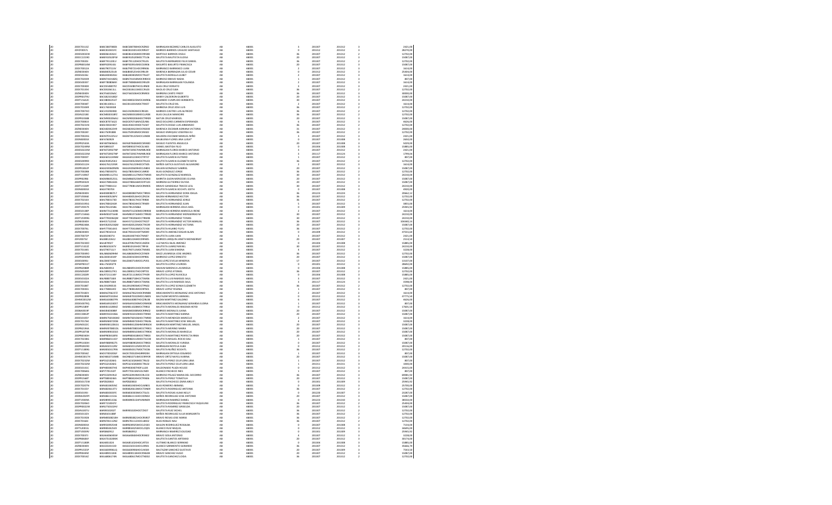| 20<br>20                         | 20DST0113Z<br>20FZF0057L | BABC580708EB<br>BABC810301FC        | BABC580708HOCRZR02<br>BABC810301HOCRRS07 | BARRAGAN BEZAREZ CARLOS AUGUSTO<br>BARRIOS BARRIOS CASILDO SANTIAGO                          | AB              | AB001<br>AB001        | $\theta$                                      | 201307<br>201312 | 201312<br>201312 |                |
|----------------------------------|--------------------------|-------------------------------------|------------------------------------------|----------------------------------------------------------------------------------------------|-----------------|-----------------------|-----------------------------------------------|------------------|------------------|----------------|
|                                  | 20DES0032W               | BABE8610261C                        | BABE861026MOCRRS08                       | BARTOLO BARRIOS EISELE                                                                       | AB              | AB001                 | 36                                            | 201307           | 201312           |                |
| --<br>20<br>20                   | 20DCC22190               | BABE910520FW                        | BABE910520MOCTTL06                       | <b>BAUTISTA BAUTISTA ELOISA</b>                                                              | AB              | AB001                 | 20                                            | 201307           | 201312           |                |
| 20                               | 20DST0020J               | BABF791120LV                        | BABF791120HOCTRL05                       | BAUTISTA BERNARDO FELIX DANIEL                                                               | AB              | AB001                 | 36                                            | 201307           | 201312           |                |
| 20<br>20                         | 20DPB0014N               | BABF9209143J                        | BABF920914MOCSSR06                       | BASURTO BASURTO FRANCISCA<br>BARRANCO BARRANCO JUAN                                          | AB<br>AB        | <b>AR001</b>          | $\frac{20}{2}$                                | 201307<br>201307 | 201312<br>201312 |                |
|                                  | 20DST0012A               | BABJ7907213V                        | BABJ790721HOCRRN06                       |                                                                                              |                 | AB001                 |                                               |                  |                  |                |
| 20<br>20                         | 202NE0040V<br>20DES0226J | BABJ840525UB<br>BABL840402GU        | BABJ840525HOCRRL09<br>BABL840402MOCTNL07 | BARENCA BARRAGAN JULIO CESAR<br>BAUTISTA BONILLA LILIBET                                     | AB              | AB001                 | $\begin{array}{c} 0 \\ 2 \end{array}$         | 201312           | 201312           |                |
|                                  |                          |                                     | BABN741018MOCRRD03                       |                                                                                              | AB              | AB001                 |                                               | 201307           | 201312           |                |
| 20<br>20                         | 20DST0203F<br>20DES0035T | BABN741018ZQ<br>BABY780806MI        | BABY780806MOCRRL09                       | BARROSO BRAVO NADIA<br>BARRAGAN BARRAGAN YOLANDA                                             | AB<br>AB        | AB001<br>AB001        | $\begin{smallmatrix}1\\1\\2\end{smallmatrix}$ | 201307<br>201307 | 201312<br>201312 |                |
|                                  | 20DST0040X               | BACD550807FZ                        | BACD550807HOCLRN00                       | <b>BLAS CRUZ DONATO</b>                                                                      | AB              | AB001                 |                                               | 201307           | 201312           |                |
| 20<br>20                         | 20DST0135K               | <b>BACE810611LL</b>                 | BACE810611MOCCRL03                       | BACILIO CRUZ ELBA                                                                            | AB              | AB001                 | 36                                            | 201307           | 201312           |                |
| 20                               | 202NE0040V               | BACF560106AC                        | BACF560106HOCRNR03                       | BARRERA CANTO FREDY                                                                          | AB              | AB001                 | 36                                            | 201307           | 201312           |                |
| 20<br>20                         | 20DPR0379U               | BACG821018QY                        |                                          | <b>BARAY CALDERON GILBERTO</b>                                                               | AB              | AB001                 | 20                                            | 201307           | 201312           |                |
|                                  | 20DTV1632C               | BACH80022537                        | BACH800225MOCJMR06                       | BAJANDO CUMPLIDO HERIBERTA                                                                   | AB              | AB001                 | $\begin{array}{c}\n30 \\ 2\n\end{array}$      | 201307           | 201312           |                |
| 20<br>20                         | 2005T0044T               | BACIS11001L1                        | BACIS11001MOCTRX07                       | <b>BALITISTA CRUZ IXIL</b>                                                                   | <b>AR</b>       | <b>AR001</b>          |                                               | 201307           | 201312           |                |
|                                  | 20DST0104R               | BACL760430J8                        |                                          | BARBOSA CRUZ JOSE LUIS                                                                       | AB              | AB001                 | 36                                            | 201307           | 201312           |                |
| 20<br>20                         | 20DST00730               | <b>BACL910920K8</b>                 | BACL910920HOCRSS01                       | BARRIOS CASTRO LUIS ALFREDO                                                                  | AB              | <b>AR001</b>          | 36<br>36                                      | 201307           | 201312           |                |
|                                  | 20DJN2218E               | BACM830318FZ<br>BACM900206AU        | BACM830318MOCLLR08<br>BACM900206MOCTRR09 | BLAS CALLEJA MARJOIRE<br>BATUN CRUZ MARISOL                                                  | AB<br>AB        | AB001<br>AB001        |                                               | 201307           | 201312           |                |
| 20<br>20                         | 20DPR3358B<br>20DST0081X | BADC87071622                        | BADC870716MVZZLR06                       | BAEZ DOLORES CARMEN ESPERANZA                                                                | AB              | AB001                 | 20                                            | 201307<br>201307 | 201312<br>201312 |                |
|                                  | 20DST0231N               | BADL93021947                        | BADL930219HOCTGS07                       | BAUTISTA DIEGO LUIS ARMANDO                                                                  | AB              | AB001                 | $\begin{array}{c} 6 \\ 36 \end{array}$        | 201307           | 201312           |                |
|                                  | 20ZNE0040V               | BAEA820422H9                        | BAEA820422MOCRSD00                       | BARENCA ESCOBAR ADRIANA VICTORIA                                                             | AB              | AB001                 |                                               | 201307           | 201312           |                |
| 20<br>20<br>20                   | 20DST0024F               | BAEJ7509188E                        | BAEJ750918MOCSNS02                       | BASILIO ENRIQUEZ JOSEFINA EU                                                                 | AB              | AB001                 | 31<br>36                                      | 201307           | 201312           |                |
| 20<br>20                         | 20DST0023G               | <b>BAEM701225LV</b>                 | BAEM701225HOCLSN08                       | BALDERA ESCOBAR MANUEL NIÑO                                                                  | AB              | AB001                 | $\overline{3}$                                | 201307           | 201312           |                |
|                                  | 20DNS0001K               | BAFA760929                          |                                          | BALBUENA FLORES ANA LUISA*                                                                   | AB              | AB001                 | $\ddot{\mathbf{0}}$                           | 201307           | 201308           |                |
| 20<br>20                         | 200PR2550A               | BAFA870606GG                        | BAFA870606MOCSNN00                       | <b>BASILIO FUENTES ANGELICA</b>                                                              | AB              | <b>AR001</b>          | $\begin{array}{c} 20 \\ 0 \end{array}$        | 201307           | 201308           |                |
|                                  | 20DST0249M               | BAFD890107                          | BAFD890107HOCSLN03                       | DANIEL BASTIDA FILIO                                                                         | AB              | AB001                 |                                               | 201304           | 201308           |                |
| 20<br>20                         | 20DES0223M               | BAFM720927NP                        | BAFM720927HMNRLR00                       | BARRAGAN FLORES MARCO ANTONIO                                                                | AB              | AB001                 | $\overline{3}$                                | 201307           | 201312           |                |
|                                  | 20DES0223M<br>20DST0003T | BAFM720927NP<br>BAGE601224NM        | BAFM720927HMNRLR00<br>BAGE601224HOCTRT07 | BARRAGAN FLORES MARCO ANTONIO<br>BAUTISTA GARCIA EUTIMIO                                     | AB<br>AB        | AB001<br>AB001        | $\overline{\mathbf{3}}$<br>$\mathbf{1}$       | 201117<br>201307 | 201124<br>201312 |                |
| 20<br>20<br>20<br>20<br>20       | 20DES0099D               | BAGE930525K2                        | BAGE930525MOCTRL03                       | BAUTISTA GARCIA ELIZABETH SOFIA                                                              | AB              | AB001                 | 36                                            | 201307           | 201312           |                |
|                                  | 20DES0112H               | BAGG7612195R                        | BAGG761219HOCXTS05                       | BAÑOS GATICA GUSTAVO ALEJANDRO                                                               | AB              | AB001                 | $\overline{2}$                                | 201307           | 201312           |                |
|                                  | 20DPR1852P               | BAGG920609MN                        | BAGG920609HOCLNB04                       | BALIAN GONZALEZ GABRIEL                                                                      | AB              | AB001                 | 20                                            | 201307           | 201312           |                |
|                                  | 20DST0028B               | BAGJ7805307G                        | BAGJ780530HOCLNR00                       | BLAS GONZALEZ JORGE                                                                          | AB              | AB001                 | 36                                            | 201307           | 201312           |                |
|                                  | 20DTV1096T               | <b>BAGM851127JU</b>                 | BAGM851127MOCTNR04                       | BAUTISTA GONZALEZ MARISOL                                                                    | AB              | AB001                 | 30                                            | 201307           | 201312           |                |
| 20<br>20                         | 20DPR0298J               | BAGM8605251L                        | BAGM860525MOCRJR03                       | BARRITA GUON MERCEDES ELVIRA                                                                 | AB              | AB001                 | $\overline{20}$                               | 201307           | 201312           |                |
| 20<br>20                         | 20DPR3032X               | BAGO780616S5                        | BAGOZ80616MOCRTL03                       | BARRERA GUTIERREZ OLFIDA                                                                     | AB<br>AB        | <b>AR001</b>          | $\begin{array}{c} 20 \\ 30 \end{array}$       | 201307           | 201312           |                |
|                                  | 20DTV1538Y               | BAGT7908113J                        | BAGT790811MOCRNR05                       | BRAVO GANDEAGA TRACEE LESI                                                                   |                 | AB001                 |                                               | 201307           | 201312           |                |
| 20<br>20                         | 20DNS0001K<br>20ZNE0040V | BAGX790704<br>BAHD800807L7          |                                          | BAUTISTA GARCIA XOCHITL EDITH<br>BAUTISTA HERNANDEZ DORA IDALIA                              | AB<br>AB        | AB001                 | $\begin{array}{c} 0 \\ 36 \end{array}$        | 201307<br>201223 | 201308<br>201224 |                |
|                                  |                          |                                     | BAHD800807MOCTRR03                       |                                                                                              |                 | AB001                 |                                               |                  |                  |                |
| 20<br>20                         | 20DTV0046E               | <b>BAHH830526PV</b><br>BAHJ7803173D | BAHH830526HOCZRC04<br>BAHJ780317HOCTRR08 | BAZAN HERNANDEZ HECTOR<br>BAUTISTA HERNANDEZ JORGE                                           | .<br>AB<br>AB   | AB001<br>AB001        | 36<br>36                                      | 201307<br>201307 | 201312<br>201312 |                |
|                                  | 20DES0195G               | BAHJ780424GR                        |                                          | BAUTISTA HERNANDEZ JUAN                                                                      |                 | AB00                  |                                               |                  |                  |                |
| 20<br>20                         | 20DTV0037X               | BAHJ781225B6                        | BAHJ780424HOCTRN09<br>BAHJ781225B6A      | BARRAGAN HERRERA JESUS AXEL                                                                  | AB<br>AB        | AB001                 | $\begin{smallmatrix}5\\0\end{smallmatrix}$    | 201307<br>201301 | 201312<br>201309 |                |
|                                  | 20DES0138P               | BAHM7312309E                        | BAHM731230MOCRRR00                       | BARRAGAN HERRERA MARICELA IRENE                                                              | AB              | AB001                 |                                               | 201307           | 201312           |                |
| 20<br>20                         | 20DTV1546G               | <b>BAHM8107164K</b>                 | BAHM810716MOCTRN00                       | BAUTISTA HERNANDEZ MONSERRAD M                                                               | AB              | AB001                 | 30                                            | 201307           | 201312           |                |
|                                  | 20DTV0399G               | BAHT790206QM                        | BAHT790206HOCTRM08                       | BAUTISTA HERNANDEZ TOMAS                                                                     | AB              | AB001                 | 30                                            | 201307           | 201312           |                |
|                                  | 20ZNE0040V               | <b>BAHV571223JE</b>                 | BAHV571223HOCTRC07                       | BAUTISTA HERNANDEZ VICTOR MANUEL                                                             | AB              | AB001                 | 36                                            | 201307           | 201312           |                |
| 20<br>20<br>20                   | 20DPB0248A               | BAHV820523QM                        | BAHV820523MOCTRC09                       | BAUTISTA HERNANDEZ VICTORIA                                                                  | AB              | AB001                 | $\overline{20}$                               | 201307           | 201312           |                |
| 20<br>20                         | 20DST0076L<br>20ZNE0040V | BAHY770414A5<br>BAJE7901011X        | BAHY770414MOCTLY04<br>BAJE790101HDFTMD09 | <b>BAUTISTA HILARIO YUYU<br/>BAUTISTA JIMENEZ EDGAR ALAIN</b>                                | AB<br>AB        | AB001                 | $\begin{array}{c} 36 \\ 0 \end{array}$        | 201307<br>201309 | 201312<br>201312 |                |
|                                  |                          |                                     |                                          |                                                                                              |                 | AB001                 |                                               |                  |                  |                |
| 20<br>20                         | 20DST0072P<br>20FIZ0073Z | BAJ81040711                         | BAJI810407HOCTNN07<br>BAJI881226MOCRRN05 | BAUTISTA JUAN JUAN                                                                           | .<br>AB<br>AB   | AB001                 | $\frac{3}{20}$                                | 201307<br>201307 | 201312<br>201307 |                |
|                                  |                          | BAJJ88122612                        |                                          | BARRIOS JARQUIN JANETH MONSERRAT                                                             |                 | AB001                 |                                               |                  |                  |                |
| 20<br>20                         | 20DST02300<br>20DTV1322Z | BAJL870927<br>BAJR8103247V          | BAJL870927MOCLM204<br>BAJR810324HOCTRF04 | LUZ NAYELI BLAS JIMENEZ<br>BAUTISTA JUAREZ RAFAEL                                            | AB<br>AB        | AB001<br>AB001        | $\pmb{0}$<br>30                               | 201304<br>201307 | 201308<br>201312 |                |
|                                  | 20DST0144S               | BAJS790711LY                        | BAJS790711MOCTNM01                       | BAUTISTA JUAN SIMONA                                                                         | AB              | AB001                 | $\overline{4}$                                | 201307           | 201312           |                |
| 20<br>20                         | 20DST0049Q               | BALA860609HM                        | BALA860609HOCZVN09                       | BAEZ LAVARIEGA JOSE ANDRES                                                                   | AB              | AB001                 | 36                                            | 201307           | 201312           |                |
|                                  | 20DPR3050M               | BALE830103AP                        | BALE830103HOCRPR06                       | BARROSO LOPEZ ERNESTO                                                                        | AB              | AB001                 |                                               | 201307           | 201312           |                |
| 20<br>20<br>20                   | 20DES0093J               | BALE8407146H                        | BALE840714MOCLPV01                       | BLAS LOPEZ EVELIA MINERVA                                                                    | AB              | AB001                 | $\begin{array}{c} 20 \\ 17 \end{array}$       | 201307           | 201312           |                |
|                                  | 20FMP0011T               | BALL750202T9                        |                                          | BAUTISTA LOPEZ LOURDES                                                                       | AB              | AB001                 | $\,$ 0 $\,$                                   | 201301           | 201312           |                |
| 20<br>20                         | 200PR20888               | <b>RAI N840913</b>                  | RAI NS40913HOCRVH09                      | NAHLIM RARENCA LAVARIEGA                                                                     | <b>AR</b>       | <b>AR001</b>          | $\Omega$                                      | 201304           | 201308           |                |
|                                  | 20DJN0500P               | BALO890127K1                        | BALO890127HOCRPT01                       | BRAVO LOPEZ ATONIEL                                                                          | AB              | AB001                 | 36                                            | 201307           | 201312           |                |
| 20<br>20                         | 20DCC2028Y               | BALR7211134Y                        | BALR721113MOCTPV09                       | BAUTISTA LOPEZ RUVICELA                                                                      | AB<br>AB        | <b>AR001</b>          | $\mathbf 0$                                   | 201304           | 201308           |                |
|                                  | 20DES0102A<br>20DES0102A | BALR880718JX                        | BALR880718HOCTSM06                       | BAUTISTA LUIS RAMSSES SAUL                                                                   | AB              | AB001<br>.<br>AB001   | $\overline{\mathbf{3}}$<br>$\overline{a}$     | 201307           | 201312<br>201124 |                |
| 20<br>20                         | 20DST0184T               | BALR880718JX<br>BALS91090533        | BALR880718HOCTSM06<br>BALS910905MOCTPN02 | BAUTISTA LUIS RAMSSES SAUL<br>BAUTISTA LOPEZ SONIA ELIZABETH                                 | AB              | AB001                 |                                               | 201117<br>201307 | 201312           |                |
| 20                               | 20DST0045S               | BALY780814FZ                        | BALY780814MOCRPS01                       | BRAVO LOPEZ YESENIA                                                                          | AB              | AB001                 | 36<br>$\,$ 1                                  | 201307           | 201312           |                |
| 20                               | 20DST0182V               | BAMA67062372                        | BAMA670623HOCRNN08                       | BRACAMONTES MONJARAZ JOSE ANTONIO                                                            | AB              | AB001                 | $\overline{2}$                                | 201307           | 201312           |                |
|                                  | 20DPR0289E               | BAMA87010264                        | BAMA870102MOCLNB05                       | BALTAZAR MONTES ABIMAEL                                                                      | AB              | AB003                 | $\ddot{\text{o}}$                             | 201312           | 201312           |                |
| 20<br>20<br>20                   | 20HMC0012M               | BAMG630807PX                        | BAMG630807HOCZRL08                       | BAZAN MARTINEZ GALDINO                                                                       | AB              | AB001                 | 6                                             | 201307           | 201312           |                |
|                                  | 20DES0079Q               | BAMG6910305T                        | BAMG691030MOCRNR08                       | BRACAMONTES MONJARAZ GERARDA ELOINA                                                          | AB              | AB001                 | $\,$ 1                                        | 201307           | 201312           |                |
| 20<br>20                         | 200PR1589E               | <b>RAMIS11028M2</b>                 | BAMIS11028MOCTRR02                       | BAUTISTA MORALES IRASEMA HEYDI                                                               | <b>AR</b>       | <b>AR001</b>          | $\theta$                                      | 201312           | 201312           |                |
|                                  | 20DBA0019F               | BAMJ840308BF                        | BAMJ840308MOCRRN02                       | BARRIOS MORALES JUANA                                                                        | AB              | AB001                 | 20                                            | 201307           | 201312           |                |
| 20<br>20                         | 20DCC0832P               | BAMK91021066                        | BAMK910210MOCTRR00                       | BAUTISTA MARTINEZ KARINA                                                                     | AB              | AB001                 | 20                                            | 201307           | 201312           |                |
|                                  | 20DES0105Y               | BAMM760106M2<br><b>BAMM840720SE</b> | BAMM760106HOCTNR00                       | BAUTISTA MENDOZA MARCELO                                                                     | AB<br>AB        | AB001<br>AB001        | $\overline{2}$<br>$\overline{a}$              | 201307           | 201312<br>201312 |                |
|                                  | 20DST0176K<br>20DJN0322C | BAMM8412061U                        | BAMM840720HOCTRG06<br>BAMM841206HMSRRG04 | BAUTISTA MARTINEZ JOSE MIGUEL<br>BARRAGAN MARTINEZ MIGUEL ANGEL                              | AB              | AB001                 | 20                                            | 201307<br>201307 | 201312           |                |
| 20<br>20<br>20                   | 20DPB2194A               | BAMM870801DL                        | BAMM870801MOCTRR01                       | BAUTISTA MERINO MARIA                                                                        | AB              | AB001                 | 20                                            | 201307           | 201312           |                |
|                                  | 20DPR1873B               | BAMM890103J3                        | BAMM890103MOCTRR04                       | <b>BAUTISTA MORALES MARICELA</b>                                                             | AB              | AB001                 | 20                                            | 201307           | 201312           |                |
|                                  | 20DPB0340H               | BAMP800418F8                        | BAMP800418MOCTRR03                       | BAUTISTA MARTINEZ PERFECTA IRMA                                                              | AB              | AB001                 | 20                                            | 201307           | 201312           |                |
| 20<br>20<br>20<br>20             | 20DST0238G               | BAMR8601141Y                        | BAMR860114MOCTGC00                       | BAUTISTA MIGUEL ROCIO DALI                                                                   | AB              | AB001                 | $\overline{1}$                                | 201307           | 201312           |                |
|                                  | 20DPR1430H               | BAMY8809027S                        | BAMY880902MOCTRR03                       | BAUTISTA MORALES YURIDIA                                                                     | AB              | AB001                 | $\mathfrak o$                                 | 201307           | 201312           |                |
| 20<br>20                         | 20DPR28190<br>20DTV1389G | <b>BANA810112RV</b><br>BANX850317RN | BANA810112MOCRYL04<br>BANX850317MOCTXC06 | BARRAGAN NOYOLA ALBA<br>BAUTISTA NUÑEZ XOCHITL                                               | AB<br>AB        | <b>AR001</b><br>AB001 | $\circ$<br>36                                 | 201312<br>201307 | 201312<br>201312 |                |
|                                  |                          |                                     |                                          |                                                                                              |                 | <b>AR001</b>          |                                               |                  |                  |                |
| 20<br>20                         | 20DST00542<br>20HMC0017H | BAOE700320GF<br>BAON810714MB        | BAOE700320HGRRRD04<br>BAON810714MOCRRY09 | BARRAGAN ORTEGA EDGARDO<br>BRAVO ORTIZ NAYELI KARINA                                         | AB<br>AB        | AB001                 | 20                                            | 201307<br>201307 | 201312<br>201312 |                |
|                                  |                          | BAPC621026IG                        |                                          | BAUTISTA PEREZ CELIFLORA LIBIA                                                               |                 | AB001                 | $\,$ 1 $\,$                                   | 201307           | 201312           |                |
| 20<br>20                         | 20DST0232M               | BAPC621026IG                        | BAPC621026MOCTRL02<br>BAPC621026MOCTRL02 | BAUTISTA PEREZ CELIFLORA LIBIA                                                               | AB<br>AB        | AB001                 | $\mathbf{1}$                                  | 201311           | 201311           |                |
| 20<br>20                         | 20DES0141C               | BAPH830407HE<br>BAPI770515DT        | BAPH830407HDFLLL04                       | BALDONADO PLAZA HOLISE                                                                       | AB              | AB001                 | $\pmb{0}$                                     | 201312           | 201312           |                |
|                                  | 20DST0064G               |                                     | BAPI770515MVZLCN09                       |                                                                                              | AB              | AB001                 | $\overline{1}$                                | 201307           | 201312           |                |
| 20                               | 202NE0040V               | BAPS550919U2                        | BAPS550919MOCRLC03                       | BARROSO PELAEZ MARIA DEL SOCORRO                                                             | AB              | AB001                 | 36                                            | 201307           | 201312           |                |
| 20<br>20                         | 200PR1568T               | <b>RAPTRR042465</b>                 | BAPT880424HOCTRN06                       | <b>RAUTISTA PEREZ TONATIUH</b>                                                               | <b>AR</b>       | <b>AR001</b>          | $\begin{array}{c} 20 \\ 0 \end{array}$        | 201307           | 201312           |                |
|                                  | 20DES0172W               | BAP2820810                          | BAP2820810                               | BAUTISTA PACHECO ZAIRA ARELY                                                                 | $\overline{AB}$ | AB001                 |                                               | 201301           | 201309           |                |
| 20<br>20                         | 20DST0207N<br>20DST0155Y | BARA810405NC<br>BARA820613TV        | BARA810405HOCLMB01<br>BARA820613MOCTDN09 | BLAS ROMERO ABIMAEL<br>BAUTISTA RODRIGUEZ ANTONIA                                            | AB<br>AB        | <b>AR001</b><br>AB001 | $\begin{array}{c} 0 \\ 36 \end{array}$        | 201309<br>201307 | 201312<br>201312 |                |
|                                  | 20DES0193I               | BARA830303FE                        | BARA830303MOCTSL01                       |                                                                                              |                 | AB001                 |                                               | 201220           |                  |                |
| 20<br>20                         | 20DML0029Y               | BARA86111516                        | BARA861115HOCXDN02                       | BAUTISTA ROSAS ALMA NELLY<br>BAÑOS RODRIGUEZ JOSE ANTONIO                                    | AB<br>AB        | AB001                 | $\begin{smallmatrix}0\0\0\end{smallmatrix}$   | 201307           | 201307<br>201312 |                |
|                                  |                          | BARD89051556                        | BARD890515HPLRMN09                       |                                                                                              | AB              | AB001                 |                                               |                  | 201310           |                |
| 20<br>20                         | 20DTV0009A               | BARF7210047Z                        |                                          | BARRAGAN RAMIREZ DANIEL<br>BARRAGAN RAMIREZ DANIEL<br>BAUTISTA RODRIGUEZ FRANCISCA YAQUELINE | AB              | AB001                 | $\begin{array}{c} 0 \\ 36 \end{array}$        | 201223<br>201307 | 201312           |                |
| 20<br>20                         | 20DPR0022W               | BARG750102HV                        |                                          | BAUTISTA RAMIREZ GRISELDA                                                                    | AB              | AB001                 | 20<br>36                                      | 201307           | 201312           |                |
|                                  | 20DJN1007U               | BARI9010202T                        | BARI901020HOCTZX07                       | BAUTISTA RUIZ IXCHEL                                                                         | AB              | AB001                 |                                               | 201307           | 201312           |                |
|                                  | 20DES0132V               | BARJ810118BF                        |                                          | BAÑOS RODRIGUEZ JULIA MARGARITA                                                              | AB              | AB001                 | 36                                            | 201307           | 201312           |                |
|                                  | 20DST0192B               | <b>BARM8508218H</b>                 | BARM850821HOCRSR07                       | BRAVO ROSAS JOSE MARIA                                                                       | AB              | AB001                 | 36                                            | 201307           | 201312           |                |
|                                  | 20DST0160J               | BARN781112NZ                        | BARN781112HOCLBX02                       | BLAS ROBLES NAU                                                                              | AB              | AB001                 | 36                                            | 201307           | 201312           |                |
|                                  | 20DNS0001K               | <b>BARR500925H8</b>                 | BARR500925MOCLDS03                       | BAILON RODRIGUEZ ROSALBA                                                                     | AB              | AB001<br>AB001        | $\circ$                                       | 201307<br>201312 | 201308<br>201312 |                |
|                                  | 20FTS2001G<br>20DTV0039V | BARR850425E9<br>BARS860912          | BARR850425MOCLZQ05<br>BARS860912         | BLANCO RUIZ RAQUEL<br>BARRANCA RAMIREZ SOLEDAD                                               | AB<br>AB        | AB001                 | $\bf{0}$<br>$\circ$                           | 201301           | 201309           |                |
| 20<br>20<br>20<br>20<br>20<br>20 | 20DST0037J               | BASA640604SW                        | BASA640604HOCRSN02                       | BRAVO SOSA ANTONIO                                                                           | AB              | AB001                 | $\ddot{4}$                                    | 201307           | 201312           |                |
|                                  | 20DPR0606Y               | <b>BASA751020MK</b>                 |                                          | BAUTISTA SANTOS ARTEMIO                                                                      | AB              | <b>AR001</b>          | 20                                            | 201307           | 201312           |                |
| 20<br>20                         | 20DTV1180R               | BASA851024                          | BASA851024HOCLRT03                       | AUTIMIO BLANCO SERRANO                                                                       | AB              | AB001                 | $\circ$                                       | 201304           | 201308           |                |
| 20<br>20                         | 20ZNE0040V               | BASG550315ID                        | BASG550315HOCLRR01                       | <b>BLANCO SARMIENTO GERARDO</b>                                                              | AB              | AB001                 | 36                                            | 201307           | 201312           |                |
|                                  | 20DPR1555P               | BASG600906LO                        | BASG600906HOCLNS04                       | BALTAZAR SANCHEZ GUSTAVO                                                                     | AB              | AB001                 | 20                                            | 201307           | 201309           |                |
| 20                               | 20DPR04492               | <b>BASH8901183E</b>                 | BASH890118HOCRNG08                       | <b>BRAVO SANCHEZ HUGO</b>                                                                    | AB              | AB001                 | 20                                            | 201307           | 201312           |                |
|                                  | 20DST0014Z               | BASL6806174N                        | BASL680617MOCTND02                       | BAUTISTA SANCHEZ LOIDA                                                                       | AB              | AB001                 | 36                                            | 201307           | 201312           | $\overline{2}$ |
|                                  |                          |                                     |                                          |                                                                                              |                 |                       |                                               |                  |                  |                |

# $\begin{array}{cccc} 141.1 & 141.0 & 141.0 & 141.0 & 141.0 & 141.0 & 141.0 & 141.0 & 141.0 & 141.0 & 141.0 & 141.0 & 141.0 & 141.0 & 141.0 & 141.0 & 141.0 & 141.0 & 141.0 & 141.0 & 141.0 & 141.0 & 141.0 & 141.0 & 141.0 & 141.0 & 141.0 & 141.0 & 141.0 & 141.0 & 14$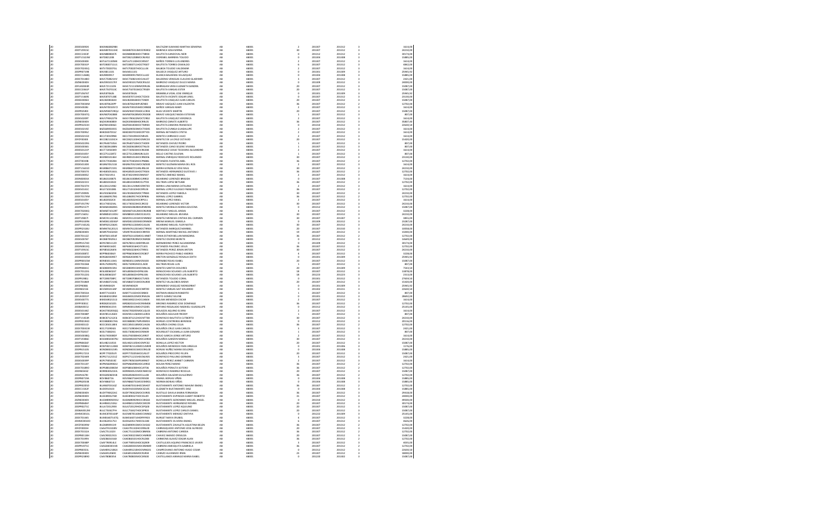| 20<br>20 | 20DES0092K<br>20DTV0915C | BASM66082984<br><b>BASM870313HC</b>        | BASM870313MOCRSR02                       | BALTAZAR SUMANO MARTHA SERAFINA<br>BARENCA SOSA MIRNA               | AB       | AB001<br>AB001        | 30                                            | 201307<br>201307 | 201312<br>201312 |                         |
|----------|--------------------------|--------------------------------------------|------------------------------------------|---------------------------------------------------------------------|----------|-----------------------|-----------------------------------------------|------------------|------------------|-------------------------|
| 20       | 20DCC2433F               | <b>BASN8808047E</b>                        | BASN880804HOCTNR04                       | BAUTISTA SANDOVAL NERI                                              | AB       | AB001                 | $\theta$                                      | 201312           | 201312           |                         |
| 20       | 20DTV1523W               | BATD821208                                 | BATD821208MOCRLR02                       | DORISBEL BARRERA TOLEDO                                             | AB       | AB001                 | $\theta$                                      | 201304           | 201308           |                         |
| 20       | 20DES0040E               | BATL671130M4                               | BATL671130HOCXRS07                       | BAÑOS TORNES LUIS ANDRES                                            | AB       | AB001                 |                                               | 201307           | 201312           |                         |
| 20<br>20 | 20DST0031P<br>20DST0245Q | BATO800711U1<br>BATV700207GL               | BATO800711HOCTRS07<br>BATV700207HOCLLL04 | BAUTISTA TORRES OSWALDO<br>BALBOA TOLEDO VALDEMAR                   | AB<br>AB | AB001                 | 6                                             | 201307           | 201312           |                         |
|          |                          |                                            |                                          |                                                                     |          | AB001                 |                                               | 201307           | 201312           |                         |
| 20<br>20 | 20DPR0719B<br>20DCC1268Q | BAVA811101<br>BAVB900917                   | BAVA811101<br>BAVB900917MOCLLL02         | BALSECA VASQUEZ ARTURO                                              | AB<br>AB | AB001<br>AB001        | $\begin{smallmatrix}0\\0\\0\end{smallmatrix}$ | 201301<br>201304 | 201309           |                         |
|          |                          |                                            |                                          |                                                                     |          |                       |                                               | 201307           | 201308<br>201312 |                         |
| 20<br>20 | 20DST01480<br>20ZNE0040V | BAVC750821HV<br><b>BAVD901017KF</b>        | BAVC750821HOCLNL07<br>BAVD901017MOCRSL02 | BALDERAS VENEGAS CLAUDIO GLADIMIR<br>BARROSO VASQUEZ DULCE MARIA    | AB<br>AB | AB001<br>AB001        | $\begin{array}{c} 3 \\ 0 \end{array}$         | 201309           | 201312           |                         |
| 20       | 20FUA0044R               | BAVE721110I5                               |                                          | BARRAGAN VERA ELIZABETH SANDRA                                      |          | AB001                 | 20                                            | 201307           | 201312           |                         |
| 20       | 20DCC0361P               | <b>BAVE7507013C</b>                        | BAVE721110MMCRRL06<br>BAVE750701MOCTRS09 | <b>BAUTISTA VARGAS ESTER</b>                                        | AB<br>AB | AB001                 | 20                                            | 201307           | 201312           |                         |
| 20       | 20DTV0676T               | BAVE870626                                 | BAVE870626                               | BRAMBILA VIDAL JOSE ENRIQUE                                         |          | AB001                 | $\pmb{0}$                                     | 201301           | 201309           |                         |
| 20       | 20DTV1469S               | <b>BAVE8707138E</b>                        | BAVE870713HOCTCD03                       | BAUTISTA VICENTE EDGAR URIEL                                        | AB<br>AB | AB001                 | $\theta$                                      | 201307           | 201312           |                         |
| 20       | 20DEE0006V               | BAVJ820818AX                               | BAVJ820818HOCTSN09                       | BAUTISTA VASQUEZ JUAN CARLOS                                        | AB       | AB001                 | 20                                            | 201307           | 201312           |                         |
| 20       | 20DST0034M               | BAVJ870624PP                               | BAVJ870624HPLRZN03                       | BRAVO VAZQUEZ JUAN VALENTIN                                         | AB       | AB001                 | 36                                            | 201307           | 201312           | $\frac{3}{2}$           |
| 20       | 20DES0028J               | BAVM70010572                               | BAVM700105MOCXRB08                       | BAÑOS VARGAS MABY                                                   | AB       | AB001                 |                                               | 201307           | 201312           |                         |
| 20       | 200PR3590L               | <b>RAVM940729OU</b>                        | RAVM940729HOCLCR04                       | <b>BLAS VICENTE MARTIN</b>                                          | AR       | <b>AR001</b>          | 20                                            | 201307           | 201312           |                         |
| 20       | 20DST0047Q<br>20DES0209T | BAVN8704288X<br>BAVV790422TB               | BAVN870428MOCRSD08<br>BAVV790422MOCTZR02 | BRAVO VASQUEZ NADIA ESTEFANI<br>BAUTISTA VASQUEZ VERONICA           | AB       | AB001<br><b>AR001</b> | $\,$ 1<br>$\overline{z}$                      | 201307<br>201307 | 201312<br>201312 |                         |
| 20<br>20 | 202NE0040V               | BAZA59040859                               | BAZA590408HOCRRL05                       | BARROSO ZARATE ALBERTO                                              | AB<br>AB | AB001                 | 36                                            | 201307           | 201312           |                         |
| 20       | 20DPR3253H               | BAZF84100463                               | BAZF841004HOCTMR04                       | BAUTISTA ZAMORA FRANCISCO                                           | AB       | AB001                 | $\pmb{0}$                                     | 201310           | 201312           |                         |
| 20       | 20DES0219Z               | BAZG690503S5                               | BAZG690503MOCTXD05                       | BAUTISTA ZUNIGA GUADALUPE                                           | AB       | AB001                 | $\overline{2}$                                | 201307           | 201312           |                         |
| 20       | 20DST0095Z               | BEBC830701SZ                               | BEBC830701MOCRTY03                       | BERNAL BETANZOS CYNTIA                                              | AB       | AB001                 | $\overline{2}$                                | 201307           | 201312           |                         |
| 20       | 20DES0215D               | BECJ730109NB                               | BECJ730109HOCNRL05                       | BENITES CARRASCO JULIO                                              | AB       | AB001                 | $\overline{ }$                                | 201307           | 201312           |                         |
| 20       | 20FZF0030E               | BECO821103CH                               | BECO821103HOCNRC03                       | BENITEZ DE LA CRUZ OCTAVIO                                          | AB       | AB001                 | $\overline{20}$                               | 201307           | 201312           |                         |
| 20       | 20DES0229G               | BECP6407105A                               | BECP640710HOCTHD09                       | BETANZOS CHEVEZ PEDRO                                               | AB       | AB001                 | $\mathbf{1}$                                  | 201307           | 201312           |                         |
| 20       | 20DES0036S               | BECS820618BN                               | BECS820618MOCTNL03                       | BETANZOS CANO SELENE VIVIANA                                        | AB       | AB001                 |                                               | 201307           | 201312           |                         |
| 20       | 200ES0121P               | BECT720503K9                               | BECT720503HOCR5D08                       | BERMUDEZ COSIO TEODORO ALEJANDRO                                    | AR       | <b>AR001</b>          | $\overline{ }$                                | 201307           | 201312           |                         |
| 20       | 20DES0105Y<br>20DTV1632C | BECZ751228T2<br>REFRR010146V               | BECZ751228MGRLSL03<br>BEER801014HOCRND06 | BELLO CASTRO ZULEMA<br>BERNAL ENRIQUEZ RODOLFO ROLANDO              | AB       | AB001<br><b>AR001</b> | 30                                            | 201307<br>201307 | 201312<br>201312 |                         |
| 20<br>20 | 20FZT0019B               | BEFA770302B4                               | BEFA770302HOCPNB06                       | BETANZOS FUENTES ABEL                                               | AB<br>AB | AB001                 | 36                                            | 201307           | 201312           |                         |
| 20       | 20DES0130X               | BEGR67052118                               | BEGR670521MOCNZS00                       | BENITEZ GUZMAN MARIA DEL ROS                                        | AB       | AB001                 | $\overline{z}$                                | 201307           | 201312           |                         |
| 20       | 20DTV1631D               | BEGR86072191                               | BEGR860721HNLRNL04                       | BERRA GONZALEZ JOSE RAUL                                            | AB       | AB001                 | 30                                            | 201307           | 201312           |                         |
| 20       | 20DST0057X               | BEHG850516UL                               | BEHG850516HOCTRS04                       | BETANZOS HERNANDEZ GUSTAVO J                                        | AB       | AB001                 | 36                                            | 201307           | 201312           | $\frac{3}{2}$           |
| 20       | 20DES00052               | BEJ173021911                               | BEJ1730219HOCNMS07                       | BENITEZ JIMENEZ ISMAEL                                              | AB       | AB001                 | $\overline{2}$                                | 201307           | 201312           |                         |
| 20       | 20DNS0001K               | BELB6310087S                               | BELB631008MOCJRR02                       | BEJARANO LORENZO BRIGIDA                                            | AB       | AB001                 | $\mathfrak{a}$                                | 201307           | 201308           |                         |
| 20       | 20DES0231V               | BELB81033022                               | BELB810330MOCLPT03                       | BELTRAN LOPEZ BETSABE                                               | AB       | AB001                 | 36                                            | 201307           | 201312           | $\overline{2}$          |
| 20       | 20DST0237H               | BELC811219B2                               | BELC811219MOCRNT03                       | BERRA LUNA MARIA CATALINA                                           | AB       | AB001                 |                                               | 201307           | 201312           |                         |
| 20       | 20DES0141C               | <b>BELE710310BS</b><br>BELF810602SN        | BELE710310HOCRPL04                       | BERNAL LOPEZ EULOGIO FRANCISCO                                      | AB       | AB001<br>AB001        | 36<br>$\overline{30}$                         | 201307<br>201307 | 201312<br>201312 | $\overline{2}$          |
| 20       | 20DTV0090S               | BELG860917BG                               | BELF810602MOCTPB04<br>BELG860917HOCRPB06 | BETANZOS LOPEZ FABIOLA                                              | AB       | <b>AR001</b>          |                                               | 201307           | 201312           |                         |
| 20<br>20 | 20DST0174M<br>20DES0105Y | BELI820502CK                               | BELI820502HOCRPS11                       | BERNAL LOPEZ GABRIEL<br>BERNAL LOPEZ ISRAEL                         | AB<br>AB | AB001                 | $\begin{array}{c} 36 \\ 2 \end{array}$        | 201307           | 201312           | $\frac{2}{3}$           |
|          |                          |                                            |                                          |                                                                     |          | AB001                 |                                               | 201307           | 201312           |                         |
| 20<br>20 | 20DTV0179V<br>20DPR2157Y | BELV740323AL<br>BEMA810828SS               | BELV740323HOCJRC02<br>BEMA810828MGRNRZ06 | BEJARANO LORENZO VICTOR<br>BENITEZ MORALES MARIA AZUCENA            | AB<br>AB | AB001                 | $\begin{array}{c} 30 \\ 0 \end{array}$        | 201312           | 201312           |                         |
|          | 20DST0204Q               | BEMA871012RT                               | BEMA871012MOCRGR08<br>BEMB850110MOCJGV01 | BERTHELY MIGUEL ARIDAI                                              |          | AB001                 |                                               | 201307           | 201312           |                         |
| 20<br>20 |                          |                                            |                                          |                                                                     | AB<br>AB | AB001                 | $\overline{30}$                               | 201307           | 201312           |                         |
| 20<br>20 | 20DTV0827                | BEMC911221BG                               | BEMC911221MOCNNN02<br>BEMD811003MOCRNN09 | BENITEZ MENESES CINTHIA DEL CARMEN<br>BRENA MANUEL DANIELA          | AB<br>AB | AB001                 | $\begin{array}{c} 30 \\ 0 \end{array}$        | 201307           | 201307           |                         |
|          |                          | BEMD811003GF                               |                                          |                                                                     |          | AB001                 |                                               | 201309           | 201312           |                         |
| 20       | 20DTV1652Q               | <b>BEMF821226AS</b>                        | BEMF821226MOCJGL06                       | BEJARANO MIGUEL FLOR NATIVI                                         | AB       | AB001                 | 30                                            | 201307           | 201312           |                         |
| 20       | 20DPR2318U               | BEMM761201J1                               | BEMM761201MOCTRR04                       | BETANZOS MARQUEZ MARIBEL                                            | AB       | AB001                 | 20                                            | 201307           | 201310           |                         |
| 20       | 202NE0040V<br>20DST01122 | BEMR7910245X<br><b>BEMT8211054F</b>        | VEMR791024HOCRRF00<br>BEMT821105MOCLNN07 | BERNAL MARTINEZ RAFAEL ANTONIO<br>TANIA ESTHER RELLAN MANZANII      | AB       | AB001<br><b>AR001</b> | 19                                            | 201307<br>201307 | 201312<br>201312 |                         |
| 20<br>20 | 20DES0076T               | BEOB870929L3                               | BEOB870929MOCNSR08                       | BENITEZ OSORIO BEIRETE                                              | AB<br>AB | AB001                 | $\begin{array}{c} 36 \\ 0 \end{array}$        | 201312           | 201312           | $\frac{2}{3}$           |
|          |                          |                                            |                                          |                                                                     |          | AB001                 | $\circ$                                       |                  | 201312           |                         |
| 20<br>20 | 20DPR1574D<br>20DJN0813Q | BEPA78011129<br>BEPJ690316DC               | BEPA780111MDFRRL04<br>BEPJ690316HOCTLS01 | BERNARDINO PEREZ ALEJANDRINA<br>BETANZOS PALOMEC JESUS              | AB<br>AB | AB001                 | 36                                            | 201309<br>201307 | 201312           |                         |
|          |                          |                                            |                                          |                                                                     |          | AB001                 |                                               | 201307           | 201312           |                         |
| 20<br>20 | 20DTV0915C<br>20DES0087Z | BEPJ850226KN<br>BEPP860306JY               | BEPJ850226HOCTRR01<br>BEPP860306HOCRCB07 | BETANZOS PEREZ JERAN ANTON<br>BERRA PACHECO PABLO ANDRES            | AB<br>AB | AB001                 | $\begin{array}{c} 30 \\ 4 \end{array}$        | 201307           | 201312           |                         |
| 20<br>20 | 20DES0165M               | BERG820309E7                               | BERG820309E73<br>BERG830111MMCRJS00      | BRETON GONZALEZ ROSALIA EDITH                                       | AB<br>AB | AB001                 | $\bf{0}$                                      | 201301           | 201309           |                         |
|          | 20DPR0015M               | BERI830111M1                               |                                          |                                                                     |          | AB001                 | 20                                            | 201307           | 201312           |                         |
| 20<br>20 | 20DST0226B<br>20DPR0841C | BERL750902PQ                               | BERL750902HOCLJS00                       | BELTRAN ROJAS LUIS<br>BENITES SANTOS DOLORES                        | AB<br>AB | AB001                 | $\begin{array}{c} 1 \\ 20 \end{array}$        | 201307           | 201312           |                         |
|          |                          | BESD800915N1                               | BESD800915MOCNNL06                       |                                                                     |          | AB001                 |                                               | 201307           | 201309           |                         |
| 20<br>20 | 20DST0122G<br>20DST0122G | BESL800602A7<br>BESL800602A7               | BESL800602HDFNLS06<br>BESL800602HDFNLS06 | BENGOCHEA SOLANO LUIS ALBERTO<br>BENGOCHEA SOLANO LUIS ALBERTO      | AB<br>AB | AB001<br>AB001        | 18<br>18                                      | 201307<br>201223 | 201312<br>201223 |                         |
| 20       | 20DPR1981J               | BETC890708FC                               | BETC890708MOCTLR05                       | BETANZOS TOLEDO CORAL                                               | AB       | AB001                 | $\overset{\cdot}{\mathbf{0}}$                 | 201301           | 201312           |                         |
| 20       | 20DST0186R               | BEVA8607214Q                               | BEVA860721MOCNLR00                       | BENITEZ VILLALOBOS AREMI                                            | AB       | AB001                 | 20                                            | 201307           | 201312           |                         |
| 20       | 20FZP0008J               | BEVM940429                                 | BEVM940429                               | BERNARDO VASQUEZ MONSERRAT                                          | AB       | AB001                 | $\mathbf 0$                                   | 201301           | 201309           |                         |
| 20       | 20DIN0215E               | BEVS891013AP                               | BEVS891013HOCNRT09                       | BENITEZ VARGAS SAIT EDUARDO                                         | AB       | AB001                 | $\mathbf 0$                                   | 201302           | 201311           |                         |
| 20       | 20DST0053A               | BIAR771102EX                               | BIAR771102HOCSRB03                       | BISTRAIN ARAGON ROBERTO                                             | AB       | AB001                 | $\,$ 1                                        | 201307           | 201312           |                         |
| 20<br>20 | 20EUF0001P               | RIGSR403228M                               | BIGS840322MOCRML06                       | BRITO GOMEZ SELENE                                                  | AR       | <b>AR001</b>          | $\circ$                                       | 201301           | 201312           |                         |
|          | 20DES0077S               | BIMO69021513                               | BIMO690215HOCLNS04                       | BIELMA MENDOZA OSCAR                                                | AB       | AB001                 |                                               | 201307           | 201312           |                         |
| 20<br>20 | 20FPF0001C               | BIRD820101D5                               | BIRD820101HOCRMM08                       | BRIONES RAMIREZ JOSE DOMINGO<br>BIFFANO REGALADO NADXIELI GUADALUPE | AB<br>AB | AB001                 | 36                                            | 201307           | 201312           |                         |
|          | 20DBA0015J               | BIRN900413V4                               | BIRN900413MOCFGD05                       |                                                                     |          | AB001                 | $\bf{0}$                                      | 201312           | 201312<br>201312 |                         |
| 20<br>20 | 20DES01442<br>20DST0048F | BOAE700205QQ<br><b>BOAF851126EH</b>        | BOAE700205MOCLQL03<br>BOAF851126HMCLGR03 | <b>BOLASOS AQUINO ELVIRA</b><br><b>BOLAÑOS AGUILAR FREDDY</b>       | AB<br>AB | AB001<br>AB001        |                                               | 201307<br>201307 | 201312           |                         |
| 20       | 20DTV1453R               | BOBC871212C6                               | BOBC871212HOCNTT08                       | BONIFACIO BAUTISTA CUTBERTO                                         | AB       | AB001                 | 30                                            | 201307           | 201312           |                         |
| 20       | 20DPR0194C               | BOCB880817HG                               | BOCB880817MPLRNR03                       | <b>BORGES CONTRERAS BERENISE</b>                                    | AB       | AB001                 | $\theta$                                      | 201312           | 201312           |                         |
| 20       | 20DDI0011D               | BOCC850118EK                               | BOCC850118MOCLHL06                       | BOLAÑOS CHONG CELIA                                                 | AB       | AB001                 | 36                                            | 201307           | 201312           |                         |
| 20       | 20DST0041W               | BOCJ710904JS                               | BOCJ710904HOCLRN05                       | <b>BOLAÑOS CRUZ JUAN CARLOS</b>                                     | AB       | AB001                 | $\overline{3}$                                | 201307           | 201312           | $\overline{\mathbf{3}}$ |
| 20       | 20DST0201T               | BOEJ73082411                               | BOEJ730824HOCRSN09                       | BOURGUET ESCAMILLA JUAN GENARO                                      | AB       | AB001                 | $\mathbf{1}$                                  | 201307           | 201312           |                         |
| 20<br>20 | 20DES00380               | <b>BOG1740308DF</b>                        | ROG1740308HOCLBR07                       | BOLIO GARCIA IORGE ARTURO                                           | AR       | <b>AR001</b>          | $\overline{z}$                                | 201307           | 201312           |                         |
|          | 20DTV0386C<br>20DPB0656F | BOGM850307NJ<br>BOLH82110513               | BOGM850307MOCLRR04<br>BOLH821105HOCNPC02 | BOLAÑOS GARZON MARILU<br>BONILLA LOPEZ HECTOR                       | AB       | AB001<br>AB001        | 30<br>20                                      | 201307<br>201307 | 201312<br>201312 |                         |
| 20<br>20 | 20DST0084U               | BOMY82112483                               | BOMY821124MOCLNR09                       | BOLAÑOS MENDOZA YARA ARGELIA                                        | AB<br>AB | AB001                 | $\bf{0}$                                      | 201301           | 201306           |                         |
| 20       | 20DPB1510S               | BOND84031595                               | BOND840315MOCRXL00                       | BORJAS NUÑEZ MARIA DOLORES                                          | AB       | AB001                 | $\circ$                                       | 201304           | 201308           |                         |
| 20       | 20DPR1721X               | BOPF7702053Y                               | BOPF770205MOCLRL07                       | <b>BOLAÑOS PROCOPIO FELIPA</b>                                      | AB       | AB001                 | 20                                            | 201307           | 201312           |                         |
| 20       | 20DST0244R               | BOPG7112151Z                               | BOPG711215HOCNLR05                       | BONIFACIO PAULINO GERMAN                                            | AB       | AB001                 | $\overline{\mathbf{3}}$                       | 201307           | 201312           |                         |
| 20       | 20DES0039P               | BOPJ7905019Z                               | BOPJ790501MPLNRN07                       | BONILLA PEREZ JANNET CARMEN                                         | AB       | AB001                 | $\overline{2}$                                | 201307           | 201312           |                         |
| 20       | 20DST0114Y               | BOPM660906IU                               | BOPM660906HOCLRR02                       | BOLAN PEREZ MARIO                                                   | AB       | AB001                 | 36                                            | 201307           | 201312           |                         |
| 20       | 20DST01890               | BOPS881008CM                               | BOPS881008HOCLRT06                       | <b>BOLAÑOS PERALTA SOTERO</b>                                       | AB       | AB001                 | 36                                            | 201307           | 201312           | $\overline{2}$          |
| 20       | 20DIN0343Z<br>2001N1678  | BORR830521KA                               | BORR830521MOCNMC02<br>BOSG850603HOCLLL08 | BONIFACIO RAMIREZ ROCELIA<br>BOLAÑOS SALAZAR GUILLERMO              | AB<br>AR | AB001<br><b>AR001</b> | $\overline{20}$<br>36                         | 201307<br>201307 | 201312<br>201312 |                         |
| 20<br>20 | 20DPB0719A               | BOSG8506031B<br>BOVI860716                 | BOVI860716HOCRXS08                       | ISMAEL BORJAS VIÑAS                                                 | AB       | AB001                 | ō                                             | 201304           | 201308           |                         |
|          | 20DPB2053B               | BOVN860713                                 | BOVN860731MOCRXR01                       | NORMA BORJAS VIÑAS                                                  |          | AB001                 | $\circ$                                       | 201304           | 201308           |                         |
| 20<br>20 | 20DPR0205D               | BUAN870314JZ                               | BUAN870314HOCSNH07                       | BUSTAMANTE ANTONIO NAHUM ISMAEL                                     | AB<br>AB | AB001                 | 36                                            | 201307           | 201312           |                         |
| 20       | 20DCC1542F               | BUDE910103                                 | BUDE910103MOCSZL05                       | ELIZABETH BUSTAMANTE DIAZ                                           | AB       | AB001                 | $\theta$                                      | 201304           | 201308           |                         |
| 20       | 20ZNE0040V               | <b>BUDF790422AC</b>                        | BUDF790422MOCSVR05                       | BUSTILLO DAVILA MARIA FERNANDA                                      | AB       | AB001                 | 36                                            | 201307           | 201312           |                         |
| 20       | 202NE0040V               | BUEE8903276R                               | BUEE890327HOCSSL09                       | BUSTAMANTE ESPINOZA ELBERT ROBERTO                                  | AB       | AB001                 | $\overline{31}$                               | 201307           | 201312           |                         |
| 20       | 20ZNE0040V               | BUGM8909293U                               | BUGN890929HOCSRG02                       | BUSTAMANTE GERONIMO MIGUEL ANGEL                                    | AB       | AB001                 | $\theta$                                      | 201310           | 201312           |                         |
| 20       | 20DPB0606                | BUHR841210GJ                               | BUHR841210MOCSRC09                       | BUSTAMANTE HERNANDEZ ROSIBEL                                        | AB       | AB001                 | 20                                            | 201307           | 201312           |                         |
| 20       | 20DPR0271C<br>20DBA0012M | <b>BULA720129EK</b><br><b>BULC750427FH</b> | BULA720129HOCSPO00<br>BULC750427HOCSPR03 | BUSTAMANTE LOPEZ AQUILINO<br>BUSTAMANTE LOPEZ CARLOS DANIEL         | AB       | AB001<br>AB001        | 20                                            | 201307<br>201307 | 201312<br>201312 |                         |
| 20       | 20HMC0013L               | <b>BUMC8705164P</b>                        | BUCM870516MOCSNN02                       | <b>BUSTAMENTE MENDEZ CINTHYA</b>                                    | AB<br>AR | <b>AR001</b>          | $\overline{20}$                               | 201222           | 201309           |                         |
| 20<br>20 | 20DST0144S               | BUME6407147Q                               | BUME640714HDFRYR03                       | <b>BURGET MAYA ERUBIEL</b>                                          | AB       | AB001                 | $\begin{array}{c} 0 \\ 4 \end{array}$         | 201307           | 201312           |                         |
|          | 20HMC0010C               |                                            | BUOI620517MOCSLS08                       |                                                                     |          | <b>AR001</b>          |                                               | 201307           | 201312           |                         |
| 20<br>20 | 20FZF0039W               | BUOI62051753<br>BUZA890915I9               | BUZA890915MOCSVG02                       | BUSTAMANTE OLIVERA ISMAEL<br>BUSTAMANTE ZAVALETA AGUSTINA BELEN     | AB<br>AB | AB001                 | $\begin{array}{c} 6 \\ 36 \end{array}$        | 201307           | 201312           |                         |
| 20<br>20 | 20FZF0003H               | CAAA7911028V                               | CAAA791102HOCRNL00<br>CAAC751102MOCBNR06 | CARRASQUEDO ANTONIO JOSE ALFREDO<br>CABRERA ANTONIO CARIDIA         | AB<br>AB | AB001                 | $\begin{array}{c} 20 \\ 36 \end{array}$       | 201307           | 201312           |                         |
|          |                          | CAAC751102II                               |                                          |                                                                     |          | AB001                 |                                               | 201307           | 201312           |                         |
| 20<br>20 | 20DPB0118H               | CAAC90022315<br>CAAE8601016X               | CAAC900223MOCHMR09<br>CAAE860101HOCRLD08 | CHAVEZ AMADO CRISELDA                                               | AB<br>AB | AB001                 | $\begin{array}{c} 20 \\ 36 \end{array}$       | 201307           | 201312           |                         |
|          |                          |                                            |                                          | CARMONA ALAVEZ EDGAR ALAN                                           |          | AB001                 |                                               | 201307           | 201312           |                         |
| 20<br>20 | 20DST0048P               | CAAF790914LE                               | CAAF790914HOCSQR09<br>CAAG840301MOCBMB09 | CASTILLEJOS AQUINO FRANCISCO JAVIER<br>CABRERA AMESQUITA GABRIELA   | AB<br>AB | AB001                 |                                               | 201307           | 201312           |                         |
|          | 20DPR1971C<br>20DPB0353L | CAAG840301VB<br>CAAH891218G4               | CAAH891218HOCMNG01                       | CAMPECHANO ANTONIO HUGO CESAR                                       | AB       | AB001<br>AB001        | 36                                            | 201307<br>201312 | 201312<br>201312 |                         |
| 20<br>20 | 20ZNE0040V               | CAAI6912069C                               | CAAI691206MOCRLR04                       | CARAZO ALVARADO IRMA                                                | AB       | AB001                 | 23                                            | 201307           | 201312           |                         |
| 20       | 20DPR2389C               | CAA178080354                               | CAAI780803MOCSRS00                       | CASTELLANOS ARANGO MARIA ISABEL                                     |          | AB001                 |                                               | 201220           | 201302           |                         |
|          |                          |                                            |                                          |                                                                     |          |                       |                                               |                  |                  |                         |

# 1614,00 3 24210,00 3 30174,00 3 15885,00 3 1614,00 3 4842,00 3 1614,00 3 25945,92 3 15885,00 3 2421,00 3 24000,00 3 15087,00 3 15087,00 3 25945,92 3 23130,00 3 15087,00 2 12702,00 3 1614,00 3 15087,00 3 807,00 3 1614,00 3 35807,40 3 22630,50 3 1614,00 3 1614,00 3 1614,00 3 15420,00 3 807,00 3 807,00 3 1614,00 3 807,00 3 23130,00 2 12702,00 3 1614,00 3 24210,00 2 12702,00 3 1614,00 3 7134,00 2 12702,00 3 1614,00 2 12702,00 3 24210,00 2 12702,00 3 1614,00 3 24210,00 3 15087,00 3 3228,00 3 24210,00 3 3855,00 3 23287,00 3 24210,00 3 10058,00 3 15000,00 2 12702,00 3 14649,00 3 30174,00 2 12702,00 3 24210,00 3 3228,00 3 25945,92 3 15087,00 3 807,00 3 7543,50 3 13878,00 3 2313,00 3 27659,50 3 15420,00 3 25945,92 3 22630,50 3 807,00 3 28692,00 3 1614,00 2 12702,00 3 25145,00 3 1614,00 3 807,00 3 24210,00 3 20116,00 2 12702,00 3 2421,00 3 807,00 3 1614,00 3 24210,00 3 15087,00 3 1176,00 3 15885,00 3 15087,00 3 2421,00 3 1614,00 2 12702,00 2 12702,00 3 15087,00 2 12702,00 3 15885,00 3 15885,00 2 12702,00 3 15885,00 3 29418,00 3 24000,00 3 49500,00 3 30174,00 3 15087,00 3 15087,00 3 25145,00 3 3228,00 3 4626,00 2 12702,00 3 15420,00 2 12702,00 3 15087,00 2 12702,00 3 4035,00 2 12702,00 3 22630,50 3 18000,00 3 15087,00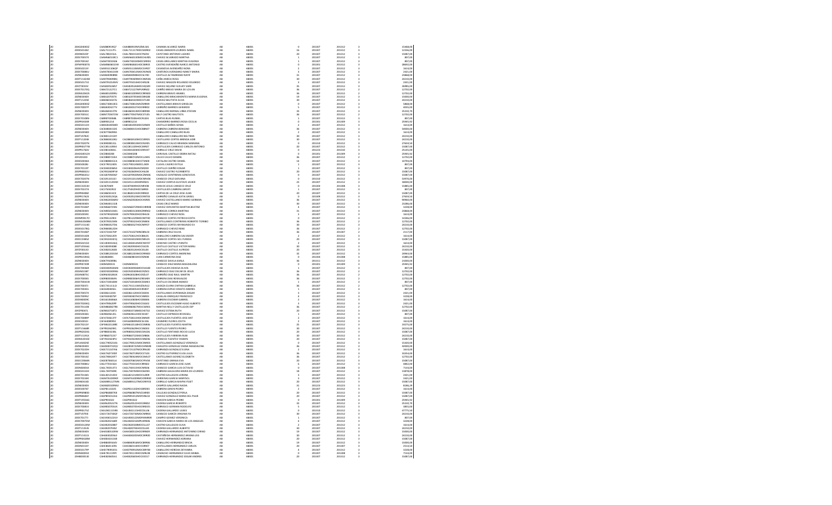| 20<br>20      | 20AGD0003Z               | CAAI880919Q7                  | CAAI880919MVZMLS01                       | MARA ALVAREZ ISAIRIS                                                   |           | AB001                 |                                            | 201307           | 201312           |                                           |
|---------------|--------------------------|-------------------------------|------------------------------------------|------------------------------------------------------------------------|-----------|-----------------------|--------------------------------------------|------------------|------------------|-------------------------------------------|
|               | 20DES01442               | CAAL711117FL                  | CAAL711117MOCSMR02                       | CASAS AMADOR LOURDES ISABEL                                            | AB        | AB001                 | 16                                         | 201307           | 201312           |                                           |
| 20<br>20      | 20DIN0535P<br>20DST0057X | CAAL780215UL<br>CAAM660130C1  | CAAL780215HOCYNZ02<br>CAAM660130MOCHLR05 | CAYETANO ANTONIO LAZARO<br>CHAVEZ ALVARADO MARTHA                      | AB<br>AB  | AB001<br>AB001        | 20<br>$\mathbf{1}$                         | 201307<br>201307 | 201312<br>201312 | $\overline{\mathbf{3}}$                   |
| 20            | 20DST00142               | CAAM740104J6                  | CAAM740104MOCSRR03                       | CASAS ARELLANES MARTHA EUGENIA                                         | AB        | AB001                 |                                            | 201307           | 201312           |                                           |
|               | 20FMP0007G               | CAAM8606015W                  |                                          | CASTRO AVENDAÑO NARCO ANTONIO                                          |           | <b>AR001</b>          |                                            | 201301           | 201312           | 3                                         |
| 20<br>20      | 20DES0213F               | CAAN551106QP                  | CAAM860601HOCSBR03<br>CAAN551106MOCSVR07 | CASANOVA AVENDAÑO NORA                                                 | AB<br>AB  | AB001                 | $\pmb{0}$<br>$\overline{2}$                | 201307           | 201312           | $\overline{\mathbf{3}}$                   |
|               |                          |                               |                                          |                                                                        |           | AB001                 |                                            | 201307           | 201312           |                                           |
| 20<br>20      | 20DST0084U               | CAAN7004133W                  | CAAN700413MOCNVN05<br>CAAN830908HOCSLY00 | CANTEROS AVENDANO NANCY MARIA<br>CASTILLO ALTAMIRANO NAYIF             | AB<br>AB  | AB001                 | $\frac{3}{31}$                             | 201307           | 201312           | $\overline{\mathbf{3}}$                   |
|               | 20DTV1424W               |                               | CAAR790409MOCXMS06                       |                                                                        |           | AB001                 | 30                                         | 201307           | 201312           |                                           |
| 20<br>20      | 20DES0171X               | CAAR790409BQ<br>CAAR791014MV  | CAAR791014HOCHRL08                       | CAÑA AMECA ROSA<br>CHAVEZ ARAGON ROLANDO EDUARDO                       | AB<br>AB  | AB001                 | $\overline{\mathbf{3}}$                    | 201307           | 201312           | $\overline{\mathbf{3}}$                   |
|               | 20FZT0033V               | CAAS820526N7                  | CAAS820526MOCHQS09                       | CHAVEZ AQUINO SUSUKY SAIRI                                             |           | AB001                 |                                            | 201307           | 201312           |                                           |
| 20<br>20      | 20DST0170Q               | CABA721227C1                  | CABA721227MPLRRN02                       | CARIÑO BRAVO MARIA DE LOS AN                                           | AB<br>AB  | AB001                 | 35<br>36                                   | 201307           | 201312           | $\overline{a}$                            |
| 20            | 20DML00429               | CABA831009RU                  | CABA831009MOCRRN00                       | CARRERA BRAVO ANABEL                                                   | AB        | AB001                 | 36                                         | 201307           | 201312           |                                           |
| $_{20}$       | 202NE0040V               | <b>CABE620705TK</b>           | CABE620705MOCBRG08                       | CABALLERO BRACAMONTES MARIA EUGENIA                                    | AB        | AB001                 | 19                                         | 201307           | 201312           | $\overline{\mathbf{3}}$                   |
| 20            | 20DTV1239Z               | CABE8601027G                  | CABE860102MOCHTL08                       | CHAVEZ BAUTISTA ELVIA                                                  | AB        | AB001                 | 30                                         | 201307           | 201312           |                                           |
| 20            | 20AGD00032               | CABG730813EG                  | CABG730813MVZSRR09                       | CASTELLANOS BRAVO GRISELDA                                             | AB        | AB001                 | $\circ$                                    | 201307           | 201312           | $\overline{\mathbf{3}}$                   |
| 20            | 20DST0007P               | CABG8303277V                  | CABG830327HOCRRR02                       | CARREÑO BARRIOS GERARDO                                                | AB        | AB001                 | $\overline{\mathbf{5}}$                    | 201307           | 201312           | $\overline{\mathbf{3}}$                   |
| 20<br>20      | 202NF0040V               | CABLB60413TN                  | CABLB60413MOCBRR08                       | CABALLERO BERNAL LIRBA STEFANI                                         | AR.       | <b>AR001</b>          | 33                                         | 201307           | 201312           | $\overline{a}$                            |
|               | 20DST0051C               | CABN7705072W                  | CABN770507MOCSTL05                       | NELY CASTRO BAUTISTA                                                   | AB        | AB001                 | 36                                         | 201307           | 201312           |                                           |
| 20<br>20      | 20DST0108N               | CABR870306BL                  | CABR870306HOCRLS04                       | CARTAS BLAS RUSBEL                                                     | AB<br>AB  | <b>AR001</b>          | $\mathbf{1}$                               | 201307           | 201312           | $\overline{a}$                            |
|               | 20DPR3434R               | CABR901214                    | CABR901214                               | CHAMORRO BARRIOS ROSA CECILIA                                          |           | AB001                 | $\mathbf 0$                                | 201301           | 201309           | 3                                         |
| 20<br>20      | 20DES0112H               | CABS581005MD                  | CABS581005MOCSXN09                       | CASTILLO BAÑOS SONIA                                                   | AB        | AB001                 | $\overline{2}$                             | 201307           | 201312           | $\overline{3}$                            |
|               | 20ZNE0040V               | CACB480415DE                  | CACB480415HOCBBN07                       | CABRERA CABRERA BENIGNO                                                | AB        | AB001                 | $\begin{array}{c} 36 \\ 2 \end{array}$     | 201307           | 201312           |                                           |
| 20            | 20DES0058D               | CACB770609KA                  |                                          | CABALLERO CABALLERO BLAS                                               | AB        | AB001                 |                                            | 201307           | 201312           | 3                                         |
| $_{20}$       | 20DTV0782C               | CACB811215DY                  |                                          | CABALLERO CABALLERO BELTRAN                                            | AB        | AB001<br>AB001        | 30                                         | 201307           | 201312           | $\overline{\mathbf{3}}$                   |
| 20<br>20      | 20DTV1204K               | CACB840410KU                  | CACB840410MOCSRR05                       | CASTILLERO CORTES BRENDA ADRI                                          | AB        |                       | 30                                         | 201307           | 201312           |                                           |
|               | 20DST0207N               | CACB9008131L                  | CACB900813MOCRLR05                       | CARRASCO CALVO BRIANDA MARIANA                                         | AB        | AB001                 | $\circ$                                    | 201310           | 201312           | $\overline{\mathbf{3}}$                   |
| 20            | 20DPR0377W<br>200PR1764V | CACC851109E4<br>CACD831004 II | CACC851109HOCSRR07<br>CACD831004HOCRRV07 | CASTILLEJOS CARRASCO CARLOS ANTONIO<br>CARRILLO CRUZ DAVID             | AB<br>AR. | AB001<br><b>AR001</b> | $^{20}$<br>$\mathbf 0$                     | 201307<br>201223 | 201312<br>201310 | $\overline{\mathbf{3}}$<br>$\overline{a}$ |
| 20<br>20      | 20ADG0012H               | CACD840208                    | CACD840208                               | CARVAIAL CASTILLO DEBRA NATALI                                         | AB        | AB001                 | $\rm ^{o}$                                 | 201301           | 201309           |                                           |
|               | 20E120102E               | CACD880722F4                  | CACDRR0722MOCLINOS                       | CALVO CALVO DANIRA                                                     |           | <b>AR001</b>          |                                            | 201307           | 201312           | $\mathcal{L}$                             |
| 20<br>20      | 20DES0044A               | CACD880815CA                  | CACD880815HOCTSN00                       | CATALAN CASTRO DANIEL                                                  | AB<br>AB  | AB001                 | $\begin{array}{c} 36 \\ 14 \end{array}$    | 201307           | 201312           |                                           |
|               | 20DES0028                | CACE790124DS                  | CACE790124MOCLIS09                       | CLAVEL CAJERO ESTELA                                                   | AB        | AB001                 | $\,$ 1 $\,$                                | 201307           | 201312           |                                           |
| 20<br>20      | 20DST0119T               | CACE840206N4                  | CACE840206HVZSRD00                       | CASTILLO CARIÑO EDGAR                                                  | AB        | AB001                 | $\mathbf{1}$                               | 201307           | 201312           |                                           |
| 20            | 20DPB0832U               | CACF810609FW                  | CACF810609HOCHSL08                       | CHAVEZ CASTRO FLORIBERTO                                               | AB        | AB001                 | 20                                         | 201307           | 201312           | 3                                         |
| $_{20}$       | 20DPR0635U               | CACG870920GF                  | CACG870920MOCZNN06                       | VAZQUEZ CONTRERAS GENOVEVA                                             | AB        | AB001                 | $\mathbf 0$                                | 201307           | 201312           | $\overline{\mathbf{3}}$                   |
| 20            | 20DST0207N               | CACG911011EI                  | CACG911011MOCNRV06                       | CANSECO CRUZ GIOVANA                                                   | AB        | AB001                 | $\ddot{\text{o}}$                          | 201310           | 201312           |                                           |
| $_{20}$       | 202NE0040V               | CACG9111203M                  | CACG911120HSPHRS01                       | CHAVEZ CORPUS GUSTAVO JAVIER                                           | AB        | AB001                 | 23                                         | 201307           | 201312           | $\overline{\mathbf{3}}$                   |
| 20            | 20DCC0253H               | CACI870409                    | CACI870409HOCNRV08                       | IVAN DE JESUS CANSECO CRUZ                                             | AB        | AB001                 | $\ddot{\text{o}}$                          | 201304           | 201308           |                                           |
| $_{20}$       | 20DST0227A               | CACJ75042922                  | CACJ750429HOCSBR03                       | CASTILLEJOS CABRERA JARVEY                                             | AB        | AB001                 | $\mathbf{1}$                               | 201307           | 201312           | $\overline{\mathbf{3}}$                   |
| 20            | 20DPR04082               | CACJ860413CK                  | CACJ860413HOCRRN02                       | CARTAS DE LA CRUZ JOSE JUAN                                            | AB        | AB001                 | $^{20}$                                    | 201307           | 201312           |                                           |
| 20<br>20      | 20DPR1762X               | CACK920523QA                  | CACK920523MOCRNT03                       | CARREÑO CANALES KATIA GRISEL                                           | AB<br>AB  | <b>AR001</b>          | $\begin{array}{c} 0 \\ 36 \end{array}$     | 201309           | 201312           |                                           |
|               | 202NE0040V               | CACM620506NV                  | CACM620506HOCHSR05                       | CHAVEZ CASTELLANOS MARIO GERMAN                                        |           | AB001                 |                                            | 201307           | 201312           | 3<br>3                                    |
| 20<br>20      | 202NE0040V<br>20DST0106P | CACM640115J8                  |                                          | CASAS CRUZ MARIO                                                       | AB<br>AB  | <b>AR001</b>          | $\begin{array}{c} 30 \\ 4 \end{array}$     | 201307           | 201312           |                                           |
|               |                          | CACM660729AI                  | CACM660729MOCHRR08                       | CHAVEZ CERVANTES MARTHA BEATRIZ                                        |           | AB001                 |                                            | 201307           | 201312           |                                           |
| 20<br>20      | 202NE0040V               | CACM85013041                  | CACM850130MVZRRR02                       | CARDOZA CORREA MARTINA                                                 | AB<br>AB  | <b>AR001</b>          | 31                                         | 201307           | 201312           |                                           |
|               | 20DES0059C               |                               | CACN790420HOCRHL04                       | CARRASCO CHEVEZ NOEL                                                   |           | AB001                 | $\overline{2}$                             | 201307           | 201312           | $\overline{\mathbf{3}}$                   |
| 20<br>20      | 20DNP00170               | CACP851229IH                  | CACP851229MOCNRT00<br>CACR790323HOCSNB04 | CANSECO CORTES PATRICIA EDITH<br>CASTELLANOS CONTRERAS ROBERTO TORIBIO | AB<br>AB  | AB001                 | $\begin{array}{c} 0 \\ 36 \end{array}$     | 201307           | 201312           | $\frac{3}{2}$                             |
|               | 20DML0048M               | CACR790323KN                  |                                          |                                                                        |           | AB001                 |                                            | 201307           | 201312           |                                           |
| 20            | 20DTV1514O               | CACR840327D6                  | CACR840327HOCNRY07                       | CANSECO CORTES RAYMUNDO EV                                             | AB        | AB001                 | 30                                         | 201307           | 201312           |                                           |
| $_{20}$       | 20DES0178Q               | <b>CACR840812DH</b>           |                                          | CARRASCO CHEVEZ RENE                                                   | AB        | AB001                 | 36<br>36                                   | 201307           | 201312           | $\overline{a}$                            |
| 20            | 20DST0106F               | CACS731027DP                  | CACS731027MNCBRL03                       | CABRERA CRUZ SILVIA                                                    | AB        | AB001                 |                                            | 201307           | 201307           |                                           |
| 20<br>20      | 20DES0142B               | CACS750612ER                  | <b>CACS750612HOCBBL05</b>                | CARALLERO CARRERA SALVADOR                                             | AB<br>AB  | <b>AR001</b>          | $\begin{smallmatrix}2\20\end{smallmatrix}$ | 201307           | 201312           |                                           |
|               | 20DCC03852               | CACS910410CQ                  | CACS910410MOCNRL01                       | CANSECO CORTES SOL YURIDIA                                             |           | AB001<br><b>AR001</b> |                                            | 201307           | 201312           |                                           |
| 20<br>20      | 20DES0215D<br>20DTV0556G | CACU830414LQ<br>CACV8209308K  | CACU830414MOCNSY07                       | CANCINO CASTRO UYANITH<br>CASTILLO CASTILLO VICTOR MANU                | AB<br>AB  | AB001                 | $\frac{2}{30}$                             | 201307<br>201307 | 201312<br>201312 |                                           |
|               | 20FZF0013O               | CACX820126EB                  | CACV820930HOCSSC05<br>CXCA820126HOCSSL04 |                                                                        |           | <b>AR001</b>          |                                            | 201307           | 201312           |                                           |
| 20<br>20      | 20ZNE0040V               | CACX8812031M                  | CXCA881203MOCRRN03                       | CASTILLO CASTILLO ALFREDO<br>CARRASCO CORTES ANDREINA                  | AB<br>AB  | AB001                 | 20<br>32                                   | 201307           |                  | $\overline{\mathbf{3}}$                   |
|               |                          | CADJ860801                    | CADJ860801HOCRZN08                       |                                                                        |           | AB001                 |                                            | 201304           | 201312<br>201308 |                                           |
| 20<br>20      | 20DPB1594Q<br>20ZNE0040V | CADK791009BL                  |                                          | JUAN CARMONA DIAZ                                                      | AB<br>AB  | AB001                 | $\begin{array}{c} 0 \\ 36 \end{array}$     | 201311           | 201312           | $\overline{\mathbf{3}}$                   |
|               | 20DPR0720F               | CADM690331                    | ADM690331                                | CANSECO DIAZ MARIA MAGDALENA                                           |           | AB001                 | $\,$ 0 $\,$                                | 201301           | 201309           |                                           |
| 20<br>20      | 20DST0046F               | CADO830926M4                  | CADO830926MOCSHL08                       | CASTILLEJOS DEHESA OLIVIA                                              | AB<br>AB  | AB001                 | $\overline{1}$                             | 201307           | 201312           | 3                                         |
|               | 20DJN0158T               | CADO920309NG                  | CADO920309HOCRZS01                       | CARRASCO DIAZ OSCAR DE JESUS                                           |           | AB001                 | 36                                         | 201307           | 201312           |                                           |
| 20<br>20      | 20DJN08750               | CADR630328UK                  | CADR630328HOCRZL07                       | CARREÑO DIAZ RAUL MARTIN                                               | AB<br>AB  | AB001                 | 36                                         | 201307           | 201312           |                                           |
| 20            | 20DST0004S               | CADR800306F6                  | CADR800306HVZRSM09                       | CARRERA DIAS ROMUALDO                                                  | AB        | AB001                 | 36                                         | 201307           | 201312           |                                           |
| $_{20}$       | 20DST0041W               | CAEA710418JM                  | CAEA710418HOCSSM03                       | CASTILLO ESCOBAR AMADO                                                 | AB        | AB001                 | $\overline{1}$                             | 201307           | 201312           | $\overline{\mathbf{3}}$                   |
| 20            | 20DST0037J               | CAEC741111LD                  | CAEC741111MVZDLN12                       | CADEZA ELVIRA CINTHIA GABRIELA                                         | AB        | AB001                 | 36                                         | 201307           | 201312           |                                           |
| 20            | 20DST00455               | CAEE690405EL                  | CAEE690405HOCRSR07                       | CARRERA ESPEJO ERASTO ANDRES                                           | AB        | AB001                 | $\mathbf{1}$                               | 201307           | 201312           | $\overline{\mathbf{3}}$                   |
| 20            | 20DST0057X               | CAEE8611203I                  | CAEE861120HOCSSD04                       | CASTELLANOS ESPERANZA EDGAR                                            | AB        | AB001                 |                                            | 201307           | 201312           | $\overline{\mathbf{3}}$                   |
| 20<br>20      | 2005T00952               | CAFFR30407SP                  | CAFFR30407HOCSNR03                       | CASILLAS ENRIQUEZ FRANCISCO                                            | AB        | <b>AR001</b>          | $\overline{a}$                             | 201307           | 201312           | $\overline{\mathbf{a}}$                   |
|               | 20DSN0009C               | CAEG6106066A                  | CAEG610606HOCBSB06                       | CABRERA ESCOBAR GABRIEL                                                | <br>АВ    | AB001                 | $\overline{2}$                             | 201307           | 201312           | $\overline{\mathbf{3}}$                   |
| 20<br>20      | 20DST0204Q               | CAEH790620PF                  | CAEH790620HOCSSG02                       | CASTILLEJOS ESCOBAR HUGO ALBERTO                                       | AB<br>AB  | AB001                 |                                            | 201307           | 201312           |                                           |
|               | 20DST0110B               | CAEM86082798                  | CAEM860827MOCSSR01                       | MARTHA NELLY CASTILLEJOS ESP                                           |           | AB001                 | 36                                         | 201307           | 201312           | $\overline{ }$                            |
| 20<br>20      | 20FZP0047L               | CAER810718T3                  | CAER810718MOCHST02                       | CHAVEZ ESTEBA RUTH                                                     | AB<br>AB  | AB001                 | 20                                         | 201307           | 201312           |                                           |
|               | 20DES00369               | CAER820612EL                  | CAER820612HOCSSS07                       | CASTILLO ESPINOZA ROOSSELL                                             |           | AB001                 |                                            | 201307           | 201312           |                                           |
| 20<br>$_{20}$ | 20DST0089F<br>20DES0053  | CAFA750613TF<br>CAFJ6408095E  | CAFA750613HOCSNN09<br>CAFJ640809MOCSLV06 | CASTILLEJOS FUENTES JOSE ANT<br>CASIMIRO FLORES JOVITA                 | AB<br>AB  | AB001<br>AB001        | $\overline{2}$                             | 201307<br>201307 | 201312<br>201312 | $\overline{\mathbf{3}}$                   |
| 20            |                          |                               |                                          |                                                                        |           |                       |                                            |                  |                  |                                           |
| 20            | 20DST0213Y<br>20DTV1668R | CAFM6101189E<br>CAFP810629K1  | CAFM610118HOCSNR06<br>CAFP810629HOCSND03 | CASTILLEJOS FUENTES MARTIN<br>CASTILLO FUENTES PEDRO                   | AB<br>AB  | AB001<br>AB001        | 25<br>30                                   | 201307<br>201307 | 201312<br>201312 | $\overline{\mathbf{3}}$                   |
| 20            | 20DPB2024G               | CAFR800323BL                  | CAFR800323MOCSNC06                       | CASTILLO FENTANES ROCIO LUCIA                                          | AB        | AB001                 | $\overline{20}$                            | 201307           | 201312           | $\overline{\mathbf{3}}$                   |
|               | 20DTV1191X               | CAFR86072237                  | CAFR860722MOCSRR06                       | CASTILLEIOS FARRERA RURI                                               | AB        | <b>AR001</b>          |                                            | 201307           | 201312           | $\overline{\mathbf{a}}$                   |
| 20<br>20      | 20DML00102               | CAFY810424PU                  | CAFY810424MOCNNZ06                       | CANSECO FUENTES YASMIN                                                 | <br>АВ    | AB001                 | 30<br>20                                   | 201307           | 201312           |                                           |
|               | 20FUA0029Z               | CAGC7905214G                  | CAGC790521MOCSNR05                       | CASTELLANOS GONZALEZ VERONICA                                          |           | <b>AR001</b>          |                                            | 201307           | 201312           | $\overline{\mathbf{3}}$                   |
| 20<br>20      | 20ZNE0040V               | CAGD830722QV                  | CAGD830722MOCHNN08                       | CHAGOYA GONZALEZ DIANA MAGDALENA                                       | AB<br>AB  | AB001                 | $\begin{array}{c} 0 \\ 36 \end{array}$     | 201307           | 201312           | 3                                         |
| 20<br>20      | 20DST0220H               | CAGE721107A6                  | CAGE721107MOCRNL00                       | CARRANZA GONZALEZ ELENA                                                | AB        | AB001                 | $\overline{2}$                             | 201307           | 201312           |                                           |
|               | 202NE0040V               | CAGE760719DF                  | CAGE760719MOCSTL03                       | CASTRO GUTIERREZ ELVIA JULIA                                           | AB        | AB001                 | 36<br>36                                   | 201307           | 201312           |                                           |
| 20            | 20DST0014Z               | CAGE780424F7                  | CAGE780424MOCSML07                       | CASTELLANOS GOMEZ ELIZABETH                                            | AB        | AB001                 |                                            | 201307           | 201312           | $\overline{2}$                            |
| $_{20}$       | 20DCC0066N               | CAGE870601L6                  | CAGE870601MOCYRV04                       | CAYETANO GRANJA EVA                                                    | AB        | AB001                 | 20                                         | 201307           | 201312           | $\overline{\mathbf{3}}$                   |
| 20            | 20DST0084U               | CAGJ77031564                  | CAGJ770315HOCRRN02                       | CARRASCO GARCIA JOSE JUAN                                              | AB        | AB001                 | $\dot{\bf 6}$                              | 201307           | 201312           |                                           |
| $_{20}$       | 20DNS0001K               | CAGL740313T3                  | CAGL740313HOCNRS06                       | CANSECO GARCIA LUIS OCTAVIO                                            | AB        | AB001                 | $\theta$                                   | 201307           | 201308           | $\overline{\mathbf{3}}$                   |
| 20            | 20DES0153H               | CAGL740704RC                  | CAGL740704MOCBLR04                       | CABRERA GALGUERA MARIA DE LOURDES                                      | AB        | AB001                 | $\frac{1}{18}$                             | 201307           | 201312           |                                           |
| 20<br>20      | 2005T01445               | CAGL821214D3                  | CAGL821214MOCSLR09                       | CASTRO GALLEGOS LORENA                                                 | AB        | <b>AR001</b>          | $\overline{3}$                             | 201307           | 201312           | $\overline{\mathbf{a}}$                   |
|               | 20DST0234K               | CAGM761009KR                  | CAGM761009MOCRRR00                       | CARDENAS GARCIA MARYSOL                                                | AB        | AB001                 | $\overline{3}$                             | 201307           | 201312           |                                           |
| 20<br>20      | 2001N0414D               | CAGM891127MN                  | CAGM891127MOCRRY03                       | CARRILLO GARCIA MAYRA YSSET                                            | AB<br>AB  | <b>AR001</b>          | $\begin{array}{c} 20 \\ 31 \end{array}$    | 201307           | 201312           | $\overline{\mathbf{3}}$                   |
|               | 20ZNE0040V               | CAGN820109MU                  |                                          | CAMPOS GALLARDO NADIA                                                  |           | AB001                 |                                            | 201223           | 201223           |                                           |
| 20<br>20      | 20DES0076T               | CAGP811102I5                  | CAGP811102HOCBRD03                       | CABRERA GIRON PEDRO                                                    | AB        | AB001                 | $\overline{2}$                             | 201307           | 201312           |                                           |
|               | 20DPR0980D<br>20DPB0606Y | CAGP860807K8<br>CAGP891012A4  | CAGP860807MVZLNR00<br>CAGP891012MDFHNL02 | CALLEJAS GONZALEZ PERLA<br>CHAVEZ GONZALEZ MARIA DEL PILAR             | AB        | AB001<br>AB001        | 20                                         | 201307<br>201307 | 201312           | $\overline{\phantom{a}}$                  |
| 20            |                          | CAGP901022                    |                                          |                                                                        | AB        |                       | $\overline{20}$                            |                  | 201312           |                                           |
| $_{20}$<br>20 | 20DTV0556G<br>202NE0040V | CAGR6205227N                  | CAGP901022<br>CAGR620522HOCDRB02         | CHACON GARCIA PEDRO<br>CADENA GARCIA ROBERTO                           | AB<br>AB  | AB001<br>AB001        | $\circ$<br>33                              | 201301<br>201307 | 201309<br>201312 | $\overline{\mathbf{3}}$                   |
| $_{20}$       | 20DST0081X               | CAGR850705UK                  | CAGR850705HOCRRDO5                       | CARRASCO GERMAN RODOLFO                                                | AB        | AB001                 |                                            | 201307           | 201312           | $\overline{\mathbf{3}}$                   |
| 20            | 20DPR01752               | CAGU841115RB                  | CAGU841115HOCDLL06                       | CADENA GALLARDO ULISES                                                 | AB        | AB001                 | $\frac{5}{0}$                              | 201310           | 201312           |                                           |
|               | 200TV0793                | CAGV720730OF                  | CAGV720730MOCNRR03                       | CANSECO GARCÍA VIRGINIA YA                                             | AB        | <b>AR001</b>          |                                            | 201307           | 201312           | $\overline{\mathbf{a}}$                   |
| 20<br>20      | 20DST0177J               | CAGV830122UV                  | CAGV830122MDFMMR09                       | CAMPIO GOMEZ VERONICA                                                  | AB        | AB001                 | $\begin{array}{c} 30 \\ 1 \end{array}$     | 201307           | 201312           |                                           |
|               | 20DST0075M               | CAGX82021689                  | CXGA820216MPLHRN06                       | CHACON GARCIA MARIA DE LOS ANGELES                                     |           | <b>AR001</b>          |                                            | 201307           | 201312           |                                           |
| 20<br>20      | 20DES0124M               | CAGX820328B7                  | CXGO820328MOCSLL07                       | CASTRO GALLEGOS OLIVA                                                  | AB<br>AB  | AB001                 | $\begin{array}{c} 4 \\ 2 \end{array}$      | 201307           | 201312           |                                           |
|               | 20DTV1353S               |                               |                                          |                                                                        |           | <b>AR001</b>          |                                            | 201307           | 201312           |                                           |
| 20<br>20      | 20ZNE0040V               | CAGX820704SZ<br>CAHA5805109W  | CXGA820704HOCDLL04<br>CAHA580510HOCRRN09 | CADENA GALLARDO ALBERTO<br>CARRANZA HERNANDEZ ANTONINO CIRINO          | AB<br>AB  | AB001                 | 30<br>19                                   | 201307           | 201312           |                                           |
| 20<br>20      | 20DTV1411S               | CAHA83020563                  | CAHA830205MOCSRR00                       | CASTAÑEDA HERNANDEZ ARIANA LISS                                        | AB<br>AB  | AR001                 | 30<br>20                                   | 201307           | 201312           |                                           |
|               | 20DPR0428N               | CAHA84101338                  |                                          | CHAVEZ HERNANDEZ ADRIANA                                               |           | AB001                 |                                            | 201307           | 201312           |                                           |
| 20<br>20      | 20ZNE0040V               | CAHB8409164V                  | CAHB840916MOCBRR06                       | CABALLERO HERNANDEZ BRICIA                                             | AB<br>AB  | AB001                 | 19<br>20                                   | 201307           | 201312           |                                           |
|               | 20DJN0153Y               | CAHC860110F6                  | CAHC860110HOCSRR07                       | CASTELLANOS HERNANDEZ CARLOS                                           |           | AB001                 |                                            | 201307           | 201307           | $\overline{\mathbf{3}}$                   |
| 20            | 20DES0179                | CAHD79091031                  | CAHD790910MOCBRY08                       | CABALLERO HEREDIA DEYANIRA                                             | AB        | AB001                 |                                            | 201307           | 201312           |                                           |
| 20            | 20DNS0001K               | CAHE7811199Y                  | CAHE781119HOCMRL08                       | CAMACHO HERNANDEZ ELIUD ANIBAL                                         | AB        | AB001                 | $\circ$                                    | 201307           | 201308           | $\overline{\mathbf{3}}$                   |
|               | 20HBD0013E               | CAHE820605A1                  | CAHE820605HOCEED17                       | CARRANZA HERNANDEZ EDGAR ANDRES                                        | AB        | AB001                 | 20                                         | 201307           | 201312           |                                           |
|               |                          |                               |                                          |                                                                        |           |                       |                                            |                  |                  |                                           |

# 15468,00 3 12336,00 3 15087,00 3 807,00 3 807,00 3 28692,00 3 1614,00 3 2421,00 3 23868,00 3 24210,00 3 2421,00 3 26985,00 2 12702,00 2 12702,00 3 15000,00 3 24210,00 3 5868,00 3 4035,00 3 25310,70 2 12702,00 3 807,00 3 25945,92 3 1614,00 3 54000,00 3 1614,00 3 24210,00 3 24210,00 3 27659,50 3 15087,00 3 25145,00 3 25945,92 2 12702,00 3 10794,00 3 807,00 3 807,00 3 15087,00 3 15087,00 3 53970,00 3 18000,00 3 15885,00 3 807,00 3 15087,00 3 27659,50 3 90960,00 3 23286,00 3 3228,00 3 23868,00 3 1614,00 3 14346,00 2 12702,00 3 24210,00 2 12702,00 2 2117,00 3 1614,00 3 15087,00 3 1614,00 3 24210,00 3 15420,00 3 24963,00 3 15885,00 3 21000,00 3 25945,92 3 807,00 2 12702,00 2 12702,00 2 12702,00 3 807,00 2 12702,00 3 807,00 3 2421,00 3 3228,00 3 1614,00 3 2421,00 2 12702,00 3 15087,00 3 807,00 3 1614,00 3 1614,00 3 19275,00 3 24210,00 3 15087,00 3 24210,00 3 15087,00 3 15420,00 3 42000,00 3 1614,00 3 33354,00 2 12702,00 3 15087,00 3 4842,00 3 7134,00 3 13878,00 3 2421,00 3 2421,00 3 15087,00 3 8186,29 3 1614,00 3 15087,00 3 15087,00 3 25945,92 3 25310,70 3 3855,00 3 47775,50 3 24210,00 3 807,00 3 3228,00 3 1614,00 3 24210,00 3 15000,00 3 24210,00 3 15087,00 3 15000,00 3 2514,50 3 3228,00 3 7134,00 3 15087,00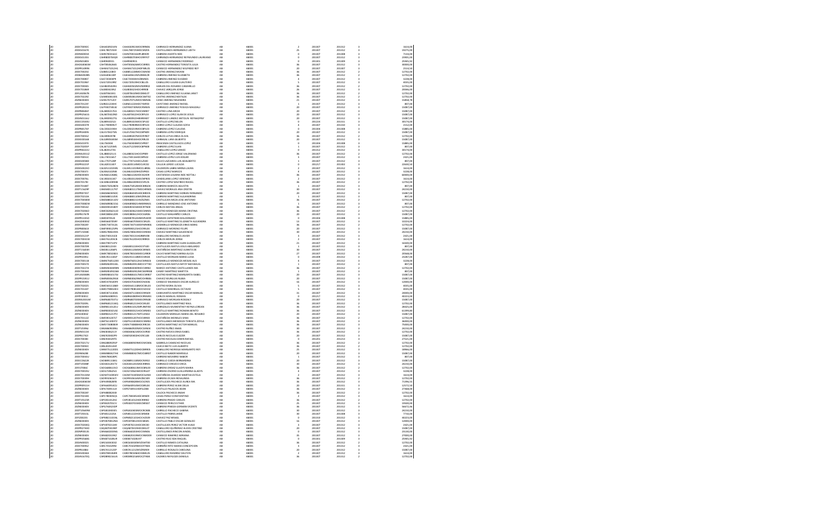| 20       | 20DST0092C               | CAHJ650921KN                 | CAHJ650921MOCRRN06                       | CARRASCO HERNANDEZ JUANA                                            | AB       | AB001          |                                              | 201307           | 201312           |                          |
|----------|--------------------------|------------------------------|------------------------------------------|---------------------------------------------------------------------|----------|----------------|----------------------------------------------|------------------|------------------|--------------------------|
|          | 20DES0167K               | CAHI 78072559                | CAHL780725MOCSRZ05                       | CASTELLANOS HERNANDEZ LIZETH                                        | 4Ŕ       | <b>AR001</b>   | 25                                           | 201307           | 201312           |                          |
| 20<br>20 | 20DNS0001K               | CAHN7003161C                 | CAHN700316HPLBRX09                       | CABRERA HUERTA NOE                                                  | AB       | AB001          | $\circ$                                      | 201307           | 201308           |                          |
|          | 20DES01355               | CAHR800704QR                 | CAHR800704HOCRRY07                       | CARRANZA HERNANDEZ REYMUNDO LAUREANO                                | 4R       | <b>AR001</b>   | $\theta$                                     | 201307           | 201312           |                          |
| 20<br>20 |                          |                              |                                          | CANSECO HERNANDEZ RODRIGO                                           |          |                |                                              |                  |                  | 3                        |
|          | 20DJN0180V               | CAHR940915                   | CAHR940915                               |                                                                     | AB       | AB001          | $\theta$                                     | 201301           | 201309           |                          |
| 20<br>20 | 20ADG0065N               | CAHT85062665                 | CAHT850626MOCSRR01                       | CASTRO HERNANDEZ TERESITA JULIA                                     | AB       | AB001          | 36                                           | 201307           | 201312           |                          |
|          | 20DPR1499N               | CAHW671012H1                 | CAHW671012HDFNRL05                       | CANSECO HERNANDEZ WILFRIDO REY                                      | AB       | AB001          | 20                                           | 201307           | 201307           |                          |
| 20       | 20DST0025E               | CAJB851228ID                 | CAIB851228MOCSMV00                       | CASTRO JIMENEZ BIVANI                                               | AB       | AB001          | 36                                           | 201307           | 201312           |                          |
| 20       | 20DBA0028N               | CAJE6406138Y                 | CAJE640613MVZBML09                       | CABRERA JIMENEZ ELIZABETH                                           | AB       | AB001          | 36                                           | 201307           | 201312           | $\overline{2}$           |
| 20       | 20DST0085T               | CAJE720304P9                 | CAJE720304HVZBMS01                       | CABRERA JIMENEZ EUSEBIO                                             | AB       | AB001          | $\frac{4}{5}$                                | 201307           | 201312           |                          |
| 20       | 20DST0196Y               | CAJG720519RZ                 | CAJG720519HOCBLL05                       | CABALLERO JULIAN GUALTERIO                                          | AB       | AB001          |                                              | 201307           | 201312           |                          |
| 20       | 20DST0004S               | CAJH820502R4                 | CAJH820502MVZMRR02                       | HARLEN DEL ROSARIO CAMARILLO                                        | AB       | AB001          | 36                                           | 201307           | 201312           |                          |
|          | 20DST01868               | CALISO0423N2                 | CAUS00423HOCHRR08                        | CHAVEZ IAROUIN IORGE                                                | 4R       | <b>AR001</b>   |                                              | 201307           | 201312           |                          |
| 20<br>20 | 20FUA0067B               | CAJJ87061041                 | CAJJ870610MOCBML07                       | CABALLERO JIMENEZ JULIANA JANET                                     | AB       | AB001          | 26<br>36                                     | 201307           | 201312           |                          |
|          | 20DST0229Z               | CAIM850813DS                 | CAIM850813MOCSMT02                       | CASTRO JIMENEZ MATILDE                                              | 4R       | <b>AR001</b>   |                                              |                  | 201312           | $\overline{ }$           |
| 20<br>20 |                          |                              |                                          |                                                                     |          |                | 36                                           | 201307           |                  |                          |
|          | 20ZNE0040V               | CAJN570712CF                 | CAJN570712MOCNMS06                       | CANO JIMENEZ NISANDRA                                               | AB       | AB001          | 21                                           | 201307           | 201312           |                          |
| 20       | 20DST0123F               | <b>CAJR651224HK</b>          | CAJR651224HOCYMF00                       | CAYETANO JIMENEZ RAFAEL                                             | AB       | AB001          | $\mathbf 1$                                  | 201307           | 201312           | $\overline{3}$           |
| 20       | 20DPR2815S               | CAJY930730LW                 | CAJY930730MOCRMS05                       | CARRASCO JIMENEZ YESSICA MAGDALI                                    | AB       | AB001          | 20                                           | 201307           | 201312           |                          |
| 20       | 20DPB0606Y               | CALA800217EA                 | CALA800217HOCSNR07                       | CASTRO LUNA ARCHI                                                   | AB       | AB001          | 20                                           | 201307           | 201312           |                          |
| $_{20}$  | 20DPR2561G               | CALA870422ND                 | CALA870422HOCRPL03                       | CARRASCO LOPEZ ALAN DE JESUS                                        | AB       | AB001          | 20                                           | 201307           | 201312           |                          |
|          | 20DJN0116L               | CALA900922TG                 | CALA900922HBSRNN07                       | CARRASCO LANDEZ ANTOLIN REYNADYNY                                   | AB       | AB001          |                                              | 201307           | 201312           |                          |
| 20       |                          |                              |                                          |                                                                     |          |                | 20                                           |                  |                  |                          |
| 20       | 20DCC0530U               | CALB8910252J                 | CALB891025MOCSPL02                       | CASTILLO LOPEZ BELEN                                                | AB       | AB001          | $\begin{smallmatrix}0\\4\end{smallmatrix}$   | 201224           | 201311           |                          |
| 20       | 20DES0037R               | CALC790909UT                 | CALC790909MOCRPL03                       | CARRO LOPEZ CLAUDIA SOFIA                                           | AB       | AB001          |                                              | 201307           | 201310           |                          |
|          | 20DPR0176V               | CALC8502194H                 | CALC850219MOCRPL03                       | CARRERA LOPEZ CLAUDIA                                               | 4R       | <b>AR001</b>   |                                              | 201304           | 201308           |                          |
| 20<br>20 | 20DPR3409S               | CALE5704275N                 | CALE570427HOCBPN09                       | CABRERA LOPEZ ENRIQUE                                               | <br>АВ   | AB001          | $\begin{smallmatrix}0\0\20\end{smallmatrix}$ | 201307           | 201312           |                          |
| 20<br>20 | 20DST00552<br>20DEE0016B | CALE8902078I<br>CALG890504SM | CALE890207MOCRYR07                       | CARLOS LEYVA ERIKA OLIVIA<br>CARBAJAL LARA GILBERTO                 | AB       | <b>AR001</b>   | 36<br>20                                     | 201307           | 201312           |                          |
|          |                          |                              | CALG890504HOCRRL03                       |                                                                     | AB       | AB001          |                                              | 201307           | 201312           |                          |
| 20       | 20DES0197E               | CALI760304                   | CALI760304MOCSPR07                       | <b>IRASCEMA CASTILLEJOS LOPEZ</b>                                   | AB       | AB001          | $\,$ 0                                       | 201304           | 201308           | $\overline{3}$           |
|          |                          |                              |                                          |                                                                     |          |                |                                              |                  |                  |                          |
| 20       | 20DST0205F               | <b>CALI671225MS</b>          | CALI671225MOCBPN08                       | CABRERA LOPEZ JUAN                                                  | AB       | AB001          | $\mathbf{1}$                                 | 201307           | 201312           |                          |
| 20       | 20DPR0222U               | CALJ82012741                 |                                          | CABALLERO LOPEZ JANICE                                              | AB       | AB001          | $\circ$                                      | 201312           | 201312           |                          |
| 20       | 20DML00112               | CALI880321U1                 | CALI880321HOCSPR09                       | CASTILLO LOPEZ JORGE VALERIANO                                      | AB       | AB001          | 36                                           | 201307           | 201312           |                          |
| 20       | 20DST0051C               | CALL73011657                 | CALL730116HOCBPS02                       | CABRERA LOPEZ LUIS EDGAR                                            | AB       | AB001          | $\overline{\mathbf{3}}$                      | 201307           | 201312           |                          |
| 20       | 20DES0058D               | CALL7707128P                 | CALL770712HOCLZS00                       | CALVO LAZCARES LUIS ADALBERTO                                       | AB       | AB001          | $\mathbf{1}$                                 | 201307           | 201312           |                          |
| 20       | 20DPR3221F               | CALL820114EY                 | CALL820114MOCLRC02                       | CALLEJA LERDO LUCILDA                                               | AB       | AB001          | $\theta$                                     | 201217           | 201302           |                          |
|          | 20DES00230               | CALM5110193N                 | CALMS11019MOCLBR06                       | CALDERON LABRA MIRNA LAURA                                          | 4R       | <b>AR001</b>   |                                              | 201307           | 201312           |                          |
| 20<br>20 | 20DST0037J               | CALM631029JB                 | CALM631029HVZSPR03                       | CASAS LOPEZ MARCOS                                                  | <br>АВ   | AB001          | $\begin{array}{c} 2 \\ 4 \end{array}$        | 201307           | 201312           | $\frac{3}{3}$            |
|          |                          |                              |                                          |                                                                     |          |                |                                              |                  |                  |                          |
| 20<br>20 | 202NE0040V               | CALN6612268Q                 | CALN661226HOCSGX09                       | CASTAñEDA LEGARIA NOE NEFTALI                                       | AB       | <b>AR001</b>   | $\begin{array}{c} 36 \\ 2 \end{array}$       | 201307           | 201312           |                          |
|          | 20DST0076L               | CALV85031347                 | CALV850313MOCNPR05                       | CANDELARIA LOPEZ VERENICE                                           | AB       | AB001          |                                              | 201307           | 201312           |                          |
| 20<br>20 | 20DST0178                | CALW861009HB                 | CALW861009HOCSPL05<br>CAMA750528HOCBRG04 | CASTRO LOPEZ WILFRIDO RACIEL<br>CABRERA MARCOS AGUSTIN              | AB       | <b>AR001</b>   | 36                                           | 201307           | 201312           | $\overline{\mathbf{c}}$  |
|          | 20DST0184T               | CAMA750528EN                 |                                          |                                                                     | AB       | AB001          | $\overline{1}$                               | 201307           | 201312           |                          |
|          | 20DTV1629F               | CAMA80111797                 | CAMA801117MOCHRN05                       | CHAVEZ MORALES ANA CRISTIN                                          | AB       | AB001          | $\begin{array}{c} 30 \\ 20 \end{array}$      | 201307           | 201312           |                          |
| 20<br>20 | 20DPR0735T               | CAMA860305DC                 | CAMA860305HOCBRD05                       | CABRERA MARTINEZ ADRIAN FERNANDO                                    | AB       | AB001          |                                              | 201307           | 201312           | $\overline{3}$           |
|          |                          | CAMA880110VE                 | CAMA880110MVZRRL04                       |                                                                     | AB       | AB001          |                                              | 201307           |                  |                          |
| 20<br>20 | 20DST0210A               |                              |                                          | CARRERA MARTINEZ ALEJANDRINA                                        |          |                |                                              |                  | 201312           |                          |
|          | 20DST0058W               | CAMA880211DV                 | CAMA880211HVZSZN01                       | CASTILLEJOS MEZA JOSE ANTONIO                                       | AB       | AB001          | 36                                           | 201307           | 201312           | $\overline{\phantom{a}}$ |
| 20       | 20DST0082W               | CAMA8908215G                 | CAMA890821HMSRNN01                       | CARRILLO MANZANO JOSE ANTONIO                                       | AB       | AB001          |                                              | 201307           | 201312           |                          |
| 20       | 20DST0014Z               | CAMA901018DY                 | CAMA901018HOCRTN00                       | CARLOS MATIAS ANGEL                                                 | AB       | AB001          | 36                                           | 201307           | 201312           | $\overline{2}$           |
| 20       | 20DST02060               | CAMC820621UD                 | CAMC820621MOCSNR05                       | CASTRO MENDOZA MARIA CRISTINA                                       | AB       | AB001          | 36                                           | 201307           | 201312           |                          |
| 20       | 20DPB1767R               | CAMC880612D9                 | CAMC880612HOCSGR06                       | CASTILLO MAGARIÑO CARLOS                                            | AB       | AB001          | 20                                           | 201307           | 201312           | ٩                        |
| 20       | 20DPR1335D               | CAMD870524                   | CAMD870524HMSPLM09                       | DAMIAN CAPISTRAN MALDONADO                                          | AB       | AB001          | $\pmb{\mathsf{o}}$                           | 201304           | 201308           |                          |
| 20       | 2046000032               | CAME660705RE                 | CAME660705MOCSRL05                       | CASTILLO MARTINEZ ELIZARETH ALEIANDRA                               | ΔR       | <b>AR001</b>   | 13                                           | 201307           | 201312           | ۹                        |
| 20       |                          | CAME73073126                 | CAME730731MDFMNR06                       |                                                                     |          |                | 36                                           |                  |                  |                          |
|          | 20DST0024F               |                              |                                          | CAMARILLO MENDOZA ERIKA MARG                                        | AB       | AB001          |                                              | 201307           | 201312           | $\overline{2}$           |
| 20<br>20 | 20DPB0061X               | CAMF890125PN                 | CAMF890125HOCRRL04                       | CARRASCO MORENO FELIPE                                              | AB       | AB001          | 20<br>30                                     | 201307           | 201312           |                          |
|          | 20DTV10380               | CAMG780619HS                 | CAMG780619HOCHRD04                       | CHAVEZ MARTINEZ GAUDENCIO                                           | AB       | AB001          |                                              | 201307           | 201312           | 3                        |
| 20<br>20 | 20DES0121P               | CAMJ740131E8                 | CAMJ740131HGRBRV08                       | CABALLERO MORALES JAVIER                                            | AB       | AB001          | $\overline{\mathbf{3}}$                      | 201307           | 201312           |                          |
|          | 20DST0041W               | CAMJ76120SCB                 | CAMJ761205HOCRRR03                       | CARLOS MERLIN JORGE                                                 | AB       | AB001          | $\overline{2}$                               | 201307           | 201312           |                          |
| 20       | 202NE0040V               | CAMJ790711PV                 |                                          | CABRERA MARTINEZ JUAN GUADALUPE                                     | AB       | AB001          | $^{21}$                                      | 201307           | 201312           |                          |
| 20       | 20DST0070R               | CAMJ80122431                 | CAMJ801224HOCSTS00                       | CASTILLEJOS MATUS JESUS ABELARDO                                    | AB       | AB001          | $\mathbf{1}$                                 | 201307           | 201312           |                          |
| 20       | 20DTV1644H               | CAMJ811206PS                 | CAMJ811206MOCSRN05                       | CASTAÑEDA MARTINEZ JUANITA DE                                       | AB       | AB001          | 30                                           | 201307           | 201312           |                          |
|          |                          |                              |                                          |                                                                     |          |                |                                              |                  |                  |                          |
| 20       | 202NE0040V               | CAMK780104E4                 | CAMK780104MOCLRR09                       | CALVO MARTINEZ KARINA ALICIA                                        | AB       | AB001          | 27                                           | 201307           | 201312           |                          |
| 20       | 20DPR3391J               | CAML9511181P                 | CAML951118MOCSRS04                       | CASTILLO MORGAN MARIA LUISA                                         | AB       | AB001          | $\theta$                                     | 201309           | 201312           |                          |
| 20<br>20 | 20DST0011R               | CAMM760512KX                 | CAMM760512HICMNS03                       | CAMARILLO MENDOZA MESIAS ALIS                                       | 4R       | <b>AR001</b>   | $\overline{4}$                               | 201307           | 201312           |                          |
|          | 20DST0057X               | CAMM820913EL                 | CAMM820913MOCSTT00                       | CASTILLEJOS MATUS MITZY MAYAHUEL                                    | AB       | AB001          | $\mathbf{1}$                                 | 201307           | 201312           |                          |
| 20<br>20 | 20DST0227A               | CAMMR30409KN                 | CAMM830409HOCSBR02                       | MARCO ANTONIO CASTELLANOS MA                                        | 4R       | <b>AR001</b>   | 36                                           | 201307           | 201312           | $\overline{ }$           |
|          | 20DST0036K               | CAMM8509226B                 | CAMM850922MCSMRR08                       | CAMEY MARTÍNEZ MARTITA                                              | AB       | AB001          | $\mathbf{1}$                                 | 201307           | 201312           |                          |
| 20       | 20FUA0048N               | CAMM881017GI                 | CAMM881017MOCSRR07                       | CASTRO MARTINEZ MARGARITA ISABEL                                    | AB       | AB001          | 20                                           | 201307           | 201312           | $\overline{3}$           |
| 20       |                          |                              |                                          |                                                                     |          |                |                                              |                  |                  |                          |
|          | 20DPR1591U               | CAMN830629GK                 | CAMN830629MOCHRB06                       | CHAVEZ MURGUIA NUBIA                                                | AB<br>AB | AB001          | 20                                           | 201307           | 201312           |                          |
| 20       | 202NE0040V               | CAMO470320F9                 | CAMO470320HOCNJS06                       | CANSECO MIJANGOS OSCAR AURELIO                                      |          | AB001          | 16                                           | 201307           | 201312           |                          |
| $_{20}$  | 20DST0202S               | CAMO64111869                 | CAMO641118MOCSRL03                       | CASTRO MORA OLIVIA                                                  | AB       | AB001          | $\frac{5}{5}$                                | 201307           | 201312           | 3                        |
| 20       | 20DST0143T               | CAMO790814K3                 | CAMO790814HOCSDC02                       | CASTILLO MADRIGAL OCTAVIO                                           | AB       | AB001          |                                              | 201307           | 201312           |                          |
| 20       | 202NE0040V               | CAMO8711304S                 | CAMO871130HOCRRS09                       | CARAVANTES MARTINEZ OSCAR MANUEL                                    | AB       | AB001          | 31                                           | 201307           | 201312           |                          |
| 20       | 20FPF0001C               | CAMR65080915                 | CAMR650809HOCRNM03                       | CARLOS MANUEL ROMAN                                                 | AB       | AB001          | $\overline{0}$                               | 201217           | 201312           |                          |
|          | 20DML0031M               | CAMR680703TLL                | CAMR680703MOCRRS08                       | CARRASCO MORGAN ROSDALY                                             | 4R       | <b>AR001</b>   | 20                                           | 201307           | 201312           | 3                        |
| 20<br>20 | 20DST0209L               | CAMR6812134Q                 | CAMR681213HOCSRL00                       | CASTELLANOS MARTINEZ RAUL                                           | AB       | AB001          | 36                                           | 201307           | 201312           |                          |
|          | 202NE0040V               | CAMR811012EU                 | CAMR811012MPLRMY00                       | CARRIZALES MUMENTHEY REYNA LOREAN                                   | 4R       | <b>AR001</b>   |                                              | 201307           | 201312           | ۹                        |
| 20<br>20 |                          |                              |                                          |                                                                     |          |                | 36<br>36                                     |                  |                  |                          |
|          | 20ZNE0040V               | CAMR830321AE                 | CAMR830321HOCSRM03                       | CASTILLO MARTINEZ ROMAN BENITO                                      | AB       | AB001          |                                              | 201307           | 201312           |                          |
| 20       | 20FSE00032               | CAMR831217FV                 | CAMR831217MTCLRS02                       | CALDERON MORALES MARIA DEL ROSARIO                                  | AB       | AB001          | 20                                           | 201307           | 201312           | $\overline{3}$           |
| 20       | 20DST01122               | CAMS901207LT                 | CAMS901207HOCSRR00                       | CASTAÑEDA MORALES SINAI                                             | AB       | AB001          | 36<br>36                                     | 201307           | 201312           | $\overline{2}$           |
| 20       | 20ZNE0040V               | CAMT611003TZ                 | CAMT611003MOCSNR02                       | CASTELLANOS MENDOZA TERESITA ZOYLA                                  | AB       | AB001          |                                              | 201307           | 201312           |                          |
| $_{20}$  | 202NE0040V               | CAMV73080839                 | CAMV730808HOCRRC04                       | CARTAS MARTINEZ VICTOR MANUEL                                       | AB       | AB001          | 36                                           | 201307           | 201312           | $\overline{3}$           |
| 20       | 20DTV0396J               | CANA860920NU                 | CANA860920MOCSXN04                       | CASTRO NUÑEZ ANAIS                                                  | AB       | AB001          | 30                                           | 201307           | 201312           |                          |
| 20       | 20DJN0113X               | CANE8306211Y                 | CANE830621MOCSVR00                       | CASTRO NIEVES ERIKA ISABEL                                          | AB       | AB001          | 36                                           | 201307           | 201312           | $\overline{2}$           |
| 20       | 20DPB1742I               | CANE920402P9                 | CANE920402HOCRCL08                       | CARLOS NICOLAS ELIEZER                                              | AB       | AB001          | $\overline{20}$                              | 201307           | 201312           |                          |
|          | 20DST0038L               | CANE930329TF                 |                                          | CASTRO NICOLAS EDWIN RAEAEL                                         | 4R       | <b>AR001</b>   | $\begin{array}{c} 0 \\ 36 \end{array}$       | 201201           | 201213           |                          |
| 20<br>20 | 20DST0217L               | CANG8809291P                 | CANG880929MOCMCB06                       | GABRIELA CAMACHO NICOLAS                                            | <br>АВ   | AB001          |                                              | 201307           | 201312           |                          |
|          |                          | <b>CANL810514HF</b>          |                                          |                                                                     | AB       | <b>AR001</b>   |                                              |                  | 201312           |                          |
|          |                          |                              |                                          |                                                                     |          |                |                                              | 201307           |                  | $\overline{2}$           |
| 20<br>20 | 20DST0092C<br>20ZNE0040V | CANM751220D1                 | CANM751220HOCBRR05                       | CAIICA NIETO LUIS ALBERTO<br>CABALLERO NORIEGA MARGARITO REY        | AB       | AB001          | 36<br>25                                     | 201307           | 201312           |                          |
| 20<br>20 | 20DIN0628E               | CANM880427AK                 | CANM880427MOCSBR07                       | CASTILLO NABOR MARISELA                                             | AB       | <b>AR001</b>   | $\begin{array}{c} 20 \\ 1 \end{array}$       | 201307           | 201312           |                          |
|          | 20DST0043L               | CANN780428PC                 |                                          | CARRERA NAVARRO NABOR                                               | AB       | AB001          |                                              | 201307           | 201312           |                          |
| 20<br>20 | 20DCC0622K               | CAOB89111841                 | A0B891118MOCRJR02                        | CARRILLO OJEDA BERNARDINA                                           | AB       | AB001          | $\begin{array}{c} 20 \\ 30 \end{array}$      | 201307           | 201312           |                          |
|          | 20DTV0598F               | CAOE831201TV                 | CAOE831201MOCRRR01                       | CARRASCO OROZCO ERICA                                               | AB       | AB001          |                                              | 201307           | 201312           |                          |
|          | 20FJS7006C               | CAOG680613V2                 | CAOG680613MOCBRL00                       | CABRERA ORDAZ GLADYS MARIA                                          | AB       | AB001          | 36                                           | 201307           | 201312           |                          |
| 20<br>20 |                          | CAOG720625J1                 |                                          |                                                                     |          |                |                                              |                  |                  |                          |
|          | 20DST0019L<br>20DST0133M | CAOM731005KV                 | CAOG720625MOCRSL07<br>CAOM731005MOCSLR04 | CARRERA OSORIO GUILLERMINA GLADYS<br>CASTAÑEDA OLMEDO MARTHA ESTELA | AB<br>AB | AB001<br>AB001 | $\overline{4}$                               | 201307<br>201307 | 201312<br>201312 |                          |
| 20       |                          |                              |                                          |                                                                     |          |                |                                              |                  |                  |                          |
| 20<br>20 | 20DST0039H               | CAOR91061671                 | CAOR910616MV7RCS09                       | CARRERA OCA5A ROSALINDA                                             | 4R       | <b>AR001</b>   | 36<br>36                                     | 201307           | 201312           | $\overline{ }$           |
|          | 20ADG0065M               | CAPA490828F8                 | CAPA490828MOCSCR05                       | CASTILLEJOS PACHECO AUREA MA                                        | AB       | AB001          |                                              | 201307           | 201312           |                          |
| 20<br>20 | 20DPR0911H<br>20ZNE0040V | CAPA640914CU<br>CAPA730911LH | CAPA640914MOCBRL04                       | CABRERA PEREZ ALMA DELIA                                            | AB       | <b>AR001</b>   | 20<br>36                                     | 201307           | 201311           |                          |
|          |                          |                              | CAPA730911HDFSLD08                       | CASTILLO PALACIOS ADAN                                              | AB       | AB001          |                                              | 201307           | 201312           |                          |
|          | 20DST0024F               | CAPARROR244X                 |                                          | CALOCA PACHECO ANAHI                                                | AB       | <b>AR001</b>   |                                              | 201307           | 201312           | $\overline{\mathbf{c}}$  |
| 20<br>20 | 20DST0234K               | CAPC780305Q5                 | CAPC780305HOCSRN09                       | CASAS PEREZ CONSTANTINO                                             | AB       | AB001          | $\begin{array}{c} 36 \\ 2 \end{array}$       | 201307           | 201312           |                          |
|          |                          |                              |                                          |                                                                     |          | AB001          |                                              |                  |                  |                          |
| 20<br>20 | 20DTV0125F               | CAPC851012H2                 | CAPC851012HOCRRR02                       | CARRERA PRADO CARLOS                                                | AB       |                | 36<br>25                                     | 201307           | 201312           |                          |
|          | 20ZNE0040V               | CAPE820701CV                 | CAPE820701MOCNRS07                       | CANSECO PEREZ ESTHER                                                | AB       | AB001          |                                              | 201307           | 201312           |                          |
| 20<br>20 | 202NE0040V               | CAPG760423DP                 |                                          | CABRERA PINEDA GERMAN VICENTE                                       | AB       | AB001          | 36<br>30                                     | 201307           | 201312           |                          |
|          | 20DTV0649W               | CAPG810403E5                 | CAPG810403MOCRCB08                       | CARRILLO PACHECO GABINA                                             | AB       | AB001          |                                              | 201307           | 201312           |                          |
| 20       | 20DTV0015L               | CAPJ851222SA                 | CAPJ851222HOCSRM08                       | CASTILLO PARRA JAIME                                                | AB       | AB001          | 30                                           | 201307           | 201308           |                          |
| 20       | 20FIZ0023S               | CAPM821101NL                 | CAPM821101HOCH2509                       | CHAVEZ PAZ MISAEL                                                   | AB       | AB001          | $\circ$                                      | 201310           | 201312           |                          |
| 20       | 202NE0040V               | CAPO870812NA                 | CAPO870812HOCSBS05                       | CASTILLO PABLO OSCAR GERALDO                                        | AB       | AB001          | 16                                           | 201307           | 201312           |                          |
| 20       | 20DST0204Q               | CAPV870213A9                 | CAPV870213HOCSRC00                       | CASTILLEJOS PEREZ VICTOR HUGO                                       | AB       | AB001          | $\overline{3}$                               | 201307           | 201312           |                          |
| 20       |                          | CAQA8704198Y                 |                                          |                                                                     | AB       | AB001          | 20                                           | 201307           | 201312           |                          |
|          | 20DPR27440               |                              | CAQA870419HOCBXL07<br>CARA660203HOCSNN06 | CABALLERO QUIÑONEZ ALEXIS CRISTINO                                  |          |                |                                              |                  |                  |                          |
| 20<br>20 | 20DNP0013S               | CARA660203NG                 |                                          | CASTELLANOS RINCON AINDEL                                           | ΔR       | <b>AR001</b>   | $\circ$                                      | 201307           | 201312           |                          |
|          | 20ZNE0040V               | CARA820319KZ                 | CARA820319MOCNMD09                       | CANSECO RAMIREZ ADRIANA                                             | AB       | AB001          | 35                                           | 201307           | 201312           |                          |
|          | 20DPR35680               | CARA871028U9                 | CARAS71028LI97                           | CASTRO RUIZ ADA RAQUEL                                              | 4R       | <b>AR001</b>   | $\circ$                                      | 201301           | 201309           |                          |
| 20<br>20 | 20DJN0002S               | CARC63043032                 | CARC630430MVZSMT00                       | CASTILLO RAMOS CATALINA                                             | AB       | AB001          | 36                                           | 201307           | 201312           |                          |
| 20       | 20DST00952               | CARC701029NI                 | CARC701029MOCRTN03                       | CARREÑO RITO MARIA CONCEPCION                                       | ΔR       | AB001          | $\mathsf 3$                                  | 201307           | 201312           | $\overline{\mathbf{3}}$  |
| 20       | 20DPB1486                | CARC911212EP                 | CARC911212MVZRSR09                       | CARRILLO ROSALES CAROLINA                                           | AB       | AB001          | 20                                           | 201307           | 201312           |                          |
|          | 20DES0044A               | CARD780106RR                 | CARD780106HOCBML05                       | CABALLERO RAMIREZ DALTON                                            | AB       | AB001          |                                              | 201307           | 201312           |                          |
|          | 20DJN1670Q               | CARD890216UA                 | CARD890216MOCZYN04                       | CAZARES RAYGOZA DANIELA                                             | AB       | AB001          | 36                                           | 201307           | 201312           | $\overline{2}$           |
|          |                          |                              |                                          |                                                                     |          |                |                                              |                  |                  |                          |

# 1614,00 3 19275,00 3 7134,00 3 23901,00 3 25945,92 3 30000,00 3 2514,50 2 12702,00 2 12702,00 3 3228,00 3 4035,00 2 12702,00 3 20046,00 2 12702,00 2 12702,00 3 15858,78 3 807,00 3 15087,00 3 15087,00 3 15087,00 3 15087,00 3 30174,00 3 2152,00 3 15885,00 3 15087,00 2 12702,00 3 15087,00 3 15885,00 3 807,00 3 30174,00 2 12702,00 3 2421,00 3 807,00 3 22630,50 3 1614,00 3 3228,00 3 60000,00 3 1614,00 2 12702,00 3 807,00 3 24210,00 3 15087,00 3 807,00 2 12702,00 3 807,00 2 12702,00 2 12702,00 3 15087,00 3 15885,00 3 10224,00 2 12702,00 3 15087,00 3 24210,00 3 2421,00 3 1614,00 3 16500,00 3 807,00 3 24210,00 3 20568,00 3 23287,00 3 3228,00 3 807,00 2 12702,00 3 807,00 3 15087,00 3 15087,00 3 12000,00 3 4035,00 3 4035,00 3 24000,00 3 40223,00 3 15087,00 2 12702,00 3 28425,00 3 61399,80 3 15087,00 2 12702,00 3 36000,00 3 75000,00 3 24210,00 2 12702,00 3 15087,00 3 27521,00 2 12702,00 2 12702,00 3 18966,00 3 15087,00 3 807,00 3 15087,00 3 24210,00 2 12702,00 3 3228,00 3 1614,00 2 12702,00 3 71396,55 3 12572,50 3 27468,00 2 12702,00 3 1614,00 2 12702,00 3 19500,00 3 56672,46 3 24210,00 3 7710,00 3 40223,00 3 12000,00 3 2421,00 3 15087,00 3 23130,00 3 27000,00 3 25945,92 2 12702,00 3 2421,00 3 15087,00 3 1614,00 2 12702,00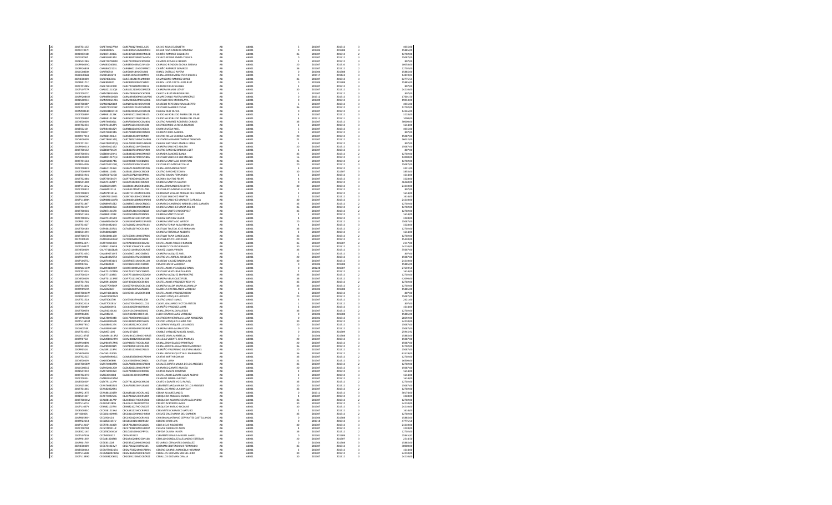|                                        |                          |                              |                                          |                                                                        | AB              | AB001                 | $\overline{\mathbf{S}}$                       |                  |                  |
|----------------------------------------|--------------------------|------------------------------|------------------------------------------|------------------------------------------------------------------------|-----------------|-----------------------|-----------------------------------------------|------------------|------------------|
| 20<br>20                               | 20DST01132<br>20DCC1927J | CARE740127RM<br>CARE800925   | CARE740127MOCLJL05<br>CARE800925HMSBMD04 | CALVO ROJAS ELIZABETH<br>EDGAR IVAN CABRERA RAMIREZ                    | AB              | AB001                 | $\overline{0}$                                | 201307<br>201304 | 201312<br>201308 |
|                                        |                          |                              | CARE871203MOCRML08                       |                                                                        | AB              | -<br>AB001            |                                               | 201307           |                  |
| 20<br>20                               | 20DDI0011D<br>20DCI0006T | CARE871203E6<br>CARE930419T4 | CARE930419MOCSVM04                       | CARIÑO RAMIREZ ELIZABETH<br>CASAOS RIVERA EMMA YESSICA                 | AB              | AB001                 | $\begin{array}{c} 36 \\ 0 \end{array}$        | 201307           | 201312<br>201312 |
|                                        | 20DES0228H               | CARF710708MR                 | CARF710708HOCMSR08                       | CAMPOS ROSALES FERMIN                                                  | AB              | AB001                 |                                               | 201307           | 201312           |
| 20<br>20<br>20                         | 20DPR0639Q               | CARG850406U1                 | CARG850406MCLRNL00                       | CARRILLO RENDON GLORIA SUSANA                                          | AB              | AB001                 | 20                                            | 201307           | 201310           |
|                                        | 20DPR2683R               | CARG8602123L                 | CARG860212HOCRMR01                       | CARIÑO RAMIREZ GERARDO                                                 | AB              | AB001                 | 36                                            | 201307           | 201312           |
| 20<br>20                               | 20DCC0820K<br>20ADG0068J | CARI780914                   | CARI780914HOCSVS06<br>CARI8S1026HOCBMT07 | <b>ISRAEL CASTILLO RIVERA</b><br>CABALLERO RAMIREZ ITZER EULISES       | AB<br>AB        | <b>AR001</b>          | $\begin{smallmatrix}0\\0\\0\end{smallmatrix}$ | 201304           | 201308           |
|                                        |                          | CARI851026T8                 |                                          |                                                                        |                 | AB001                 |                                               | 201117           | 201124           |
| 20<br>20                               | 202NE0040V<br>20DPB0171C | CARJ740621IA<br>CARK890920   | CARJ740621HPLMMR00<br>CARK890920MOCSZR02 | CAMPUZANO RAMIREZ JORGE<br>KAREN LUCIA CASTILLEJOS RUIZ                | AB<br>AB        | AB001<br>AB001        | $\begin{array}{c} 36 \\ 0 \end{array}$        | 201307<br>201304 | 201312<br>201308 |
|                                        |                          | CARL720129RD                 |                                          |                                                                        |                 | AB001                 |                                               |                  | 201312           |
| 20<br>20                               | 20DST0108N<br>20DTV0777R | CARL821213QN                 | CARL720129MOCRZL13                       | CARRASCO RUIZ LILIANA                                                  | AB<br>AB        | AB001                 | 30                                            | 201307<br>201307 | 201312           |
|                                        | 20DST0027C               |                              |                                          |                                                                        |                 | AB001                 |                                               | 201307           |                  |
| 20<br>20                               | 20DPR2084W               | CARM7805306N<br>CARM8902061B | CARM780530HOCHZR03<br>CARM890206MOCMVR06 | CHACON RUIZ MARIO RAFAEL<br>CAMPECHANO RIVERA MARICRUZ                 | AB<br>AB        | AB001                 | $\begin{smallmatrix}1\\0\end{smallmatrix}$    | 201312           | 201312<br>201312 |
|                                        | 20DES0095H               | CARM9406122U                 | CARM940612MOCSSR06                       | CASTILLO RIOS MOROSLAVA                                                | AB              | AB001                 | $\pmb{0}$                                     | 201309           | 201312           |
| 20<br>20<br>20<br>20<br>20<br>20       | 20DST0048P               | CARN6912018R                 | CARN691201HOCNYH08                       | CANSECO REYES NAHUM ALBERTO                                            | AB              | AB001                 |                                               | 201307           | 201312           |
|                                        | 20DST0117V               | CARO700221NZ                 | CARO700221HOCSMS09                       | CASTILLO RAMIREZ OSCAR                                                 | AB              | AB001                 | 36                                            | 201307           | 201312           |
|                                        | 20DNP0014R               | CARO8410311D                 | CARO841031MOCHZL01                       | CHAVEZ RUIZ OLIVIA                                                     | AB              | AB001                 | $\circ$                                       | 201307           | 201312           |
|                                        | 20DST0089P<br>20DST0089P | CARP691012SK<br>CARP691012SK | CARP691012MOCRBL05<br>CARP691012MOCRBL05 | CARDONA ROBLEDO MARIA DEL PILAR<br>CARDONA ROBLEDO MARIA DEL PILAR     | AB<br>AB        | AB001<br>AB001        | $\overline{4}$                                | 201307<br>201311 | 201312<br>201311 |
|                                        | 202NE0040V               | CARR760606L1                 | CARR760606HOCSMB01                       | CASTRO RAMIREZ ROBERTO CARLOS                                          | AB              | AB001                 | 36                                            | 201307           | 201312           |
|                                        | 20DST02250               | CARR761212TV                 | CARR761212HOCSSC08                       | CASTREJON DE LA ROSA RICARDO                                           |                 | <b>AR001</b>          |                                               | 201307           | 201312           |
| 20<br>20                               | 20DES0210                | CARR8102182Y                 | CARR810218HOCHDL04                       | CHARIS RUEDA ROEL                                                      | AB<br>AB        | AB001                 | $\frac{2}{5}$                                 | 201307           | 201312           |
|                                        | 20DST0003T               | CARS7908194G                 | CARS790819MOCRSN09                       | CARREÑO RIOS SANDRA                                                    | AB              | AB001                 | $\mathbf{1}$                                  | 201307           | 201312           |
|                                        | 20DPR1721X               | CARS881204LK                 | CARS881204MVZSIN09                       | CASTRO ROJAS SANDRA KARINA                                             | AB              | AB001                 | 20                                            | 201307           | 201312           |
|                                        | 202NE0040V               | CART780515TQ                 | CART780515MMCSMR05                       | CASTAñEDA RAMIREZ MARIA TRINIDAD                                       | AB              | AB001                 | $_{21}$                                       | 201307           | 201312           |
|                                        | 20DST0123F               | CASA790202QQ                 | CASA790202MOCHNM09                       | CHAVEZ SANTIAGO AMABEL IRMA                                            | AB              | AB001                 | $\mathbf{1}$                                  | 201307           | 201312           |
|                                        | 20DPR0021X               | CASA930121B2                 | CASA930121MVZBND03                       | CABRERA SANCHEZ ADILENI                                                | AB              | AB001                 | $^{20}$                                       | 201307           | 201312           |
|                                        | 20DST00132               | CASB810701D9                 | CASB810701MOCSNR00                       | CASTRO SANCHEZ BRENDA LIZET                                            | AB              | AB001                 | $\overline{1}$                                | 201307           | 201312           |
| 20<br>20<br>20<br>20<br>20<br>20<br>20 | 20DST0033N<br>207NF0040V | CASB840103N1<br>CASB8912270H | CASB840103MOCRNN09<br>CASB891227MOCSNB06 | CARRADA SANCHEZ BANIA<br>CASTILLO SANCHEZ BIBI MELINA                  | AB<br>AB        | AB001<br><b>AR001</b> | 36                                            | 201307<br>201307 | 201312<br>201312 |
|                                        | 20DST0152A               | CASC9208174G                 | CASC920817HOCBNR03                       | CABRERA SANTIAGO CRHISTIAN                                             | $\overline{AB}$ | AB001                 | 16<br>36                                      | 201307           | 201312           |
|                                        |                          | CASD7501109Q                 |                                          | CASTILLEJOS SANCHEZ DALIA                                              |                 | AB001                 | 20                                            | 201307           | 201312           |
|                                        | 20DPR3409S               | CASE67122459                 | CASD750110MCSSNL07<br>CASE671224MOCBND06 | CABALLERO SANCHEZ EDIT                                                 | AB<br>AB        | AB001                 |                                               | 201307           | 201312           |
|                                        | 20DST0099W               | CASE86112091                 | CASE861120HOCSND08                       | CASTRO SANCHEZ EDWIN                                                   | AB              | AB001                 | 30                                            | 201307           | 201307           |
| 20<br>20<br>20<br>20<br>20<br>20<br>20 | 20DES0191K               | CASF650712G8                 | CASF650712HOCSMR01                       | CASTRO SIMON FERNANDO                                                  | AB              | AB001                 |                                               | 201307           | 201312           |
|                                        | 20DST0248N               | CASF730504GY                 | CASF730504HOCZNL09                       | CAZARIN SANTOS FELIPE                                                  | AB              | AB001                 | $\begin{smallmatrix}2\2\4\end{smallmatrix}$   | 201307           | 201312           |
|                                        | 20DES0140D               | CASG751128TT                 | CASG751128HOCBNS05                       | CABRERA SANTOS GASPAR                                                  | AB              | AB001                 | $\theta$                                      | 201301           | 201312           |
|                                        | 20DTV1111V               | CASJ860414DR                 | CASJ860414MOCBND06                       | CABALLERO SANCHEZ JUDITH                                               | AB              | AB001                 | 30                                            | 201307           | 201312           |
|                                        | 20DST0081X               | <b>CASI 841221111</b>        | <b>CASI 841221MOCSI 708</b>              | CASTILLEJOS SALINAS LUZCINA                                            | AR              | <b>AR001</b>          | $\,$ 1 $\,$                                   | 201307           | 201312           |
|                                        | 20DST0083V               | CASM7111016L                 | CASM711101MOCRLR06                       | CARRIZOZA SOLANO MIRIAM DEL CARMEN                                     | AB              | AB001<br><b>AR001</b> | $\overline{2}$                                | 201307           | 201312           |
| 20<br>20                               | 20DSN0009C<br>20DTV1498N | CASM760130KS<br>CASM8401187B | CASM760130HOCSNR09<br>CASM840118MOCRNR04 | CASTILLO SANCHEZ MARTIN<br>CARRERA SANCHEZ MARGOT EUFRACIA             | AB<br>AB        | AB001                 | $30^{-}$                                      | 201307<br>201307 | 201312<br>201312 |
|                                        |                          |                              |                                          |                                                                        |                 | AB001                 |                                               |                  |                  |
| 20<br>20                               | 20DST0184T<br>20DST0213Y | CASN890716E2<br>CASR8008105U | CASN890716MOCRND01<br>CASR800810MOCBNS03 | CARRASCO SANTIAGO NADXIELLI DEL CARMEN<br>CABRERA SANCHEZ MARIA DEL RO | AB<br>AB        | AB001                 | 36<br>36                                      | 201307<br>201307 | 201312<br>201312 |
|                                        |                          |                              |                                          |                                                                        |                 | AB001                 |                                               |                  |                  |
| 20<br>20                               | 20DST0036K<br>20DES0154G | CASR87121678<br>CASS8601193X | CASR871216HOCSNS02<br>CASS860119HOCBNN04 | CASTILLO SANTOS ROOSEVELT<br>CABRERA SANTOS SEINY                      | AB<br>AB        | AB001                 | $\frac{36}{2}$                                | 201307<br>201307 | 201312<br>201312 |
| 20<br>20                               | 20DST0033N               | CASU751215CX                 | CASU751215HOCHNL00<br>CASW840406MOCBNN04 | CHAVEZ SANCHEZ ULVER<br>CABRERA SANTIAGO WENDY                         | AB<br>AB        | AB001                 | $\frac{4}{20}$                                | 201307           | 201312           |
|                                        | 20DPR0129O               | CASW840406DP                 |                                          |                                                                        |                 | AB001                 |                                               | 201307           | 201312           |
| 20                                     | 20DST0102T               | CATA64082143                 | CATA640821MOCRRL03                       | CARRERA TORIJA ALBA REINALDA                                           | AB              | AB001                 |                                               | 201307           | 201312           |
| 20<br>20                               | 20DST0018V<br>20DES0129H | CATA681207G1<br>CATA80060189 | CATA681207HOCSLB04                       | CASTILLO TOLEDO JOSE ABRAHAM<br>CARRERA TZITZIHUA ALBERTO              | AB<br>AB        | <b>AR001</b><br>AB001 | $\frac{36}{2}$                                | 201307<br>201307 | 201312<br>201312 |
|                                        |                          |                              |                                          |                                                                        |                 | AB001                 |                                               |                  |                  |
| 20<br>20                               | 20DST0057X<br>20FZF0013O | CATC6004116H<br>CATF830520EW | CATC600411MOCSPN06<br>CATF830520HOCSLL08 | CASTILLO TAPIA CANDELARIA<br>CASTILLEJOS TOLEDO FELIX                  | AB<br>AB        | AB001                 | 36<br>20                                      | 201307<br>201307 | 201312<br>201312 |
|                                        |                          |                              |                                          |                                                                        |                 | AB001                 |                                               |                  |                  |
| 20<br>20                               | 20DPR2437H               | CATR710110DC<br>CATR811006N8 | CATR710110HOCSLM12<br>CATR811006HOCRLM00 | CASTELLANOS TOLEDO RAMON<br>CARRASCO TOLEDO RAMIRO                     | AB<br>AB        | AB001                 | 36<br>30                                      | 201307<br>201307 | 201307<br>201312 |
|                                        |                          |                              | CAUV711028MOCHLR07                       | CHAVEZ ULLOA VIRGEN                                                    |                 | AB001                 |                                               | 201307           |                  |
| 20<br>20                               | 202NE0040V               | CAUV711028AB<br>CAVA690714VE | CAVA690714HOCBSB01                       | CABRERA VASQUEZ ABEL                                                   | AB<br>AB        | AB001                 | $\begin{array}{c} 36 \\ 1 \end{array}$        | 201307           | 201312<br>201312 |
|                                        | 20DPR1998J               | CAVA840427TA                 | CAVA840427MOCSLN00                       | CASTRO VILLARREAL ANGELICA                                             | AB              | AB001                 | $\begin{array}{c} 20 \\ 30 \end{array}$       | 201307           | 201312           |
| 20<br>20<br>20<br>20<br>20<br>20       | 20DTV0675U               | CAVB740331V2                 | CAVB740331MOCNLL00                       | CANSECO VALDEZ BALBINA ALI                                             | AB              | AB001                 |                                               | 201307           | 201312           |
|                                        | 20DPR0216J               | CAVC860330<br>CAVD931004RY   | CAVC860330HOCHZS00                       | CESAR CHAVEZ VASQUEZ                                                   | AB              | AB001                 | $\,$ 0 $\,$                                   | 201304           | 201308           |
|                                        | 20DJN0213W               |                              | CAVD931004MOCSLL09                       | CASTELLANOS VELASQUEZ DALIA                                            | AB              | AB001                 | $\circ$                                       | 201220           | 201307           |
|                                        | 20DST0103S<br>20DST0022H | CAVE751027PW<br>CAVE771108JG | CAVE751027HOCSND05<br>CAVE771108MOCBZM00 | CASTILLO VENTURA EDUARDO<br>CABRERA VAZQUEZ EMPERATRIZ                 | AB<br>AB        | AB001<br>AB001        |                                               | 201307<br>201307 | 201312<br>201312 |
|                                        | 202NE0040V               | CAVF701113ME                 | CAVF701113HOCBLD08                       | CABRERA VELASQUEZ FIDEL                                                | AB              | AB001                 | 36<br>36                                      | 201307           | 201312           |
|                                        | 20DST0176K               | CAVF891006JW                 | CAVF891006HOCSSR04                       | CASTELLANOS VASQUEZ FREDY YO                                           |                 | <b>AR001</b>          |                                               | 201307           | 201312           |
| 20<br>20                               | 20DST0180X               | CAVG7709306P                 | CAVG770930MOCBLD11                       | CABRERA VALOR MARIA GUADALUP                                           | AB<br>AB        | AB001                 | 36<br>36                                      | 201307           | 201312           |
|                                        | 20DPR0959A               | CAVG860607                   | CAVG860607MV2SSB03                       | GABRIELA CASTELLANOS VASQUEZ                                           | AB              | AB001                 | $\circ$                                       | 201304           | 201308           |
| 20<br>20<br>20<br>20<br>20<br>20<br>20 | 20DST0041W               | CAVH7401116W                 | CAVH740111MOCSSD04                       | CASTELLANOS VASQUEZ HEIDY                                              | AB              | AB001                 |                                               | 201307           | 201312           |
|                                        | 20DPR0502D               | CAVH780901M1                 |                                          | CAMERO VASQUEZ HIPOLITO                                                | AB              | AB001                 | 20                                            | 201307           | 201312           |
|                                        | 20DST0152A               | CAVI750627HJ                 | CAVI750627HGRSLS08                       | CASTRO VALLE ISMAEL                                                    | AB              | AB001                 | $\overline{\mathbf{3}}$                       | 201307           | 201312           |
|                                        | 20DES0201A               | CAV17709293V                 | CAGV770929HOCLLC01                       | CLAVEL GALLARDO VICTOR ANTON                                           | AB              | AB001                 |                                               | 201307           | 201312           |
|                                        | 20DST0048P               | CAVJ830609E1                 | CAVJ830609HOCRSM04                       | CARRENO VASQUEZ JAIME                                                  | AB              | AB001                 | $\overline{2}$                                | 201307           | 201312           |
|                                        | 20DST0005R<br>20DPR0600E | CAVJ910104AU<br>CAVJ940215   | CAVJ910104HOCBLS02<br>CAVIG40215HOCHSL05 | CABALLERO VALDIVIA JESUS<br>JULIO CESAR CHAVEZ VASQUEZ                 | AB<br>AB        | AB001<br><b>AR001</b> | 36                                            | 201307<br>201304 | 201312<br>201308 |
|                                        | 20FMP0016O               | CAVL78093048                 | CAVL780930MOCSCL07                       | CASTREJON VICTORIA LILIANA ARANZAZU                                    | $\overline{AB}$ | AB001                 | $\begin{matrix} 0 \\ 0 \end{matrix}$          | 201301           | 201312           |
|                                        | 20DTV1581M               | CAVL830905MJ                 | CAVL830905MOCSSL05                       | CASTRO VASQUEZ LILIANA YUR                                             |                 | AB001                 |                                               | 201307           | 201312           |
|                                        | 20DPB0763O               | CAVL880512EX                 | CAVL880512HOCLSS07                       | CALDERON VASQUEZ LUIS ANGEL                                            | AB<br>AB        | AB001                 | 30<br>20                                      | 201307           | 201312           |
|                                        | 20DIN0255F               | CAVL890916SP                 | CAVL890916MOCRGR04                       | CARRERA VERA LAURA EDITH                                               | AB              | AB001                 | $\pmb{0}$                                     | 201307           | 201312           |
|                                        | 20DST0105Q               | CAVM671205                   | CAVM671205                               | CHABLE VASQUEZ MIGUEL ANGEL                                            | AB              | AB001                 | $\begin{smallmatrix}0\\0\\0\end{smallmatrix}$ | 201301           | 201309           |
|                                        | 20DCC1474Z               | CAVM841013R2                 | CAVM841013MOCHDR05                       | CHAVEZ VIDAL MARBELLA                                                  | AB              | AB001                 |                                               | 201304           | 201308           |
| 20<br>20<br>20<br>20<br>20<br>20<br>20 | 20DPR0752J<br>20DPR1089K | CAVM880129AY<br>CAVP840717MS | CAVM880129HOCLCN09<br>CAVP840717HOCBLR02 | CALLEJAS VICENTE JOSE MANUEL<br>CABALLERO VELASCO PRIMITIVO            | AB<br>AB        | AB001<br>AB001        | 20<br>20<br>36<br>20                          | 201307<br>201307 | 201312<br>201312 |
|                                        | 2001N11499               | CAVPR90901RY                 | CAVPR90901HOCBLB09                       | CABALLERO VILLEGAS PRISCO ANTONIO                                      | AR              | <b>AR001</b>          |                                               | 201307           | 201312           |
|                                        | 20DPR0514                | CAVS891119P4                 | CAVS891119MOCRLL04                       | CARREÑO VALERIANO SULEYMA ABADIS                                       | AB              | AB001                 |                                               | 201307           | 201312           |
|                                        | 202NE0040V               |                              |                                          |                                                                        |                 | <b>AR001</b>          |                                               | 201307<br>201307 |                  |
| 20<br>20                               | 20DST02522               | CAVY65123065<br>CAWR850906LC | CAWR850906MOCRRX09                       | CABALLERO VASQUEZ YAEL MARGARITA<br>CARTAS WIRTH ROXANA                | AB<br>AB        | AB001                 | 36<br>36                                      |                  | 201312<br>201312 |
| 20<br>20                               | 202NE0040V<br>20DST0058W | CAXJ450606HJ<br>CAZA740802TN | CAXJ450606HOCSXN01<br>CAZA740802MOCSRN03 | CASTILLO JUAN<br>CASALES ZURITA MARIA DE LOS ANGELES                   | AB<br>AB        | AB001                 | 21<br>36                                      | 201307<br>201307 | 201312<br>201312 |
|                                        |                          |                              |                                          |                                                                        |                 | AB001                 |                                               |                  |                  |
| 20<br>20                               | 20DCC0061S               | CAZA920212DH<br>CAZC72091059 | CAZA920212MOCRRR07<br>CAZC720910HOCRRR06 | CARRASCO ZARATE ARACELI                                                | AB<br>AB        | AB001<br>AB001        | 20<br>$\overline{2}$                          | 201307<br>201307 | 201312<br>201312 |
|                                        | 20DST02470               | CAZJ630430B8                 | CAZJ630430HOCSRM00                       | CASTELLANOS ZARATE JAIME ALBINO                                        | AB              | AB001                 | $\overline{\mathbf{c}}$                       | 201307           | 201312           |
| 20<br>20<br>20                         | 20DST0035L               | CAZR820529AM                 |                                          | CANSECO ZORRILLA ROSIO                                                 | AB              | AB001                 | $\overline{2}$                                | 201307           | 201312           |
|                                        | 20DES0030Y               | CAZY791112PH                 | CAZY791112HOCNRL04                       | CANTON ZARATE YOEL RAFAEL                                              | AB              | AB001                 | 36                                            | 201307           | 201312           |
|                                        | 20DJN1536K               | CEAA760802US                 | CEAA760802MPLLRN04                       | CLEMENTE ARIZA MARIA DE LOS ANGELES<br>CEBALLOS ARRIOLA ADANELLY       |                 | <b>AR001</b>          |                                               | 201307           | 201312           |
| 20<br>20                               | 20DST0144S               | CEAA820629K1                 |                                          |                                                                        | AB<br>AB        | AB001                 | $\begin{array}{c} 20 \\ 36 \end{array}$       | 201307           | 201312           |
| 20<br>20                               | 20DPR21972<br>20DES0134T | CEAA881101TH<br>CEAC710225K6 | CEAA881101HOCRLN02<br>CEAC710225HOCRNR09 | CERNA ALVAREZ ANGEL<br>CERQUEDA ANGELES CARLOS                         | AB<br>AB        | AB001                 | $\begin{array}{c} 0 \\ 4 \end{array}$         | 201311<br>201307 | 201312<br>201312 |
|                                        |                          |                              |                                          |                                                                        |                 | AB001<br>AB001        |                                               |                  |                  |
| 20<br>20                               | 20DST0034M               | CEAC881017AP<br>CEAJ76112895 | CEAC881017HOCRGS01<br>CEAJ761128HOCRCV03 | CERQUEDA AGUIRRE CESAR ALEJANDRO<br>CRESPO ACEVEDO JAVIER              | AB<br>AB        | AB001                 | 36<br>30                                      | 201307<br>201307 | 201312<br>201312 |
|                                        |                          |                              |                                          |                                                                        | AB              | AB001                 |                                               | 201307           |                  |
| 20<br>20                               | 20DTV1067Y               | CEBN821027NI<br>CECA581215KA | CEBN821027HOCRSC07<br>CECA581215HOCRRR02 | CERQUEDA BASILIO NICOLAS<br>CERVANTES CARRASCO ARTURO                  | AB              | AB001                 | $\frac{30}{2}$                                | 201307           | 201312<br>201312 |
|                                        | 20FIS0030S               | CECC811009MS                 | CECC811009MOCHRR02<br>CECC900124HOCRSH01 | CHEVEZ CRUZ MARIA DEL CARMEN                                           | AB              | AB001                 | 36                                            | 201307           | 201312           |
|                                        | 20DPB0596H               | CECC900124                   |                                          | CHRISMAN ANTONIO CERVANTES CASTELLANOS                                 | AB              | AB001                 | $\circ$                                       | 201304           | 201308           |
|                                        | 20DPR2211B               | CECL850315FV                 | CECL850315HOCRRS02                       | CERERO CRUZ LUIS                                                       | AB              | AB001                 | $\ddot{\text{o}}$                             | 201310           | 201312           |
|                                        | 20DTV1216P               | <b>CECR781218SR</b>          | CECR781218HOCLLG06                       | CELIS CELIS RIGOBERTO                                                  | AB              | AB001                 | $\begin{array}{c} 30 \\ 4 \end{array}$        | 201307           | 201312           |
|                                        | 20DST0070R<br>20DES0214E | CECZ740921UF<br>CEDJ780304KW | CECZ740921MOCHRD07                       | CHEVEZ CARRASCO ZEIDY<br>CEPEDA DURAN JAVIER                           | AB<br>AB        | AB001<br>AB001        | 36                                            | 201307<br>201307 | 201312<br>201312 |
|                                        | 20DTV0735S               | CEDM920522                   | CEDJ780304HOCPRV01<br>CEDM920522         | CLEMENTE DAVILA MIGUEL ANGEL                                           | AB              | AB001                 | $\mathfrak o$                                 | 201301           | 201309           |
| 20<br>20<br>20<br>20<br>20<br>20<br>20 | 20DPR0136Y               | CEGA8102086K                 |                                          | CEDILLO GONZALEZ ALEJANDRO ESTEBAN                                     |                 | <b>AR001</b>          |                                               | 201307           | 201307           |
|                                        | 20DPB0176Y               | CEGE831028                   | CEGA810208HOCDNL08<br>CEGE831028HMCRND02 | EDUARDO CERVANTES GONZALEZ                                             | AB<br>AB        | AB001                 | $\begin{matrix} 20 \\ 0 \end{matrix}$         | 201304           | 201308           |
|                                        | 202NE0040V               | CEGL701023V7                 | CEGL701023HDFNZS05                       | <b>GUZMAN CENTENO LUIS FERNANDO</b>                                    | AB              | AB001                 | 36                                            | 201307           | 201312           |
|                                        | 20DES0044A               | CEGM75062131                 | CEGM750621MOCRBR01                       | CERERO GABRIEL MARICELA HOSANNA                                        | AB              | AB001                 | $\overline{2}$                                | 201307           | 201312           |
| 20<br>20<br>20<br>20                   | 20DTV1638X               | CEGM860929BW                 | CEGM860929HOCBZG00                       | CEBALLOS GUZMAN MIGUEL JERO                                            | AB              | AB001                 | 30                                            | 201307           | 201312           |
|                                        | 20DTV1389G               | CEGO891206DQ                 | CEGO891206MOCBZR02                       | CEBALLOS GUZMAN ORALIA                                                 | AB              | AB001                 | 30                                            | 201307           | 201312           |
|                                        |                          |                              |                                          |                                                                        |                 |                       |                                               |                  |                  |

# 4035,00 3 15885,00 2 12702,00 3 15087,00 3 807,00 3 10058,00 2 12702,00 3 15885,00 3 14819,04 3 62775,54 3 15885,00 3 807,00 3 24210,00 3 807,00 3 17601,50 3 19053,00 3 4035,00 2 12702,00 3 14346,00 3 3228,00 3 1000,00 3 30000,00 3 1614,00 3 4035,00 3 807,00 3 15087,00 3 16032,00 3 807,00 3 15087,00 3 807,00 2 12702,00 3 12000,00 2 12702,00 3 15087,00 3 2421,00 3 3855,00 3 1614,00 3 3228,00 3 46260,00 3 24210,00 3 807,00 3 1614,00 3 1614,00 3 24210,00 2 12702,00 2 12702,00 2 12702,00 3 1614,00 3 3228,00 3 15087,00 3 3228,00 2 12702,00 3 1614,00 2 12702,00 3 15420,00 2 2117,00 3 24210,00 3 35667,00 3 807,00 3 15087,00 3 24210,00 3 15885,00 3 27659,50 3 1614,00 2 12702,00 3 42090,00 2 12702,00 2 12702,00 3 15885,00 3 807,00 3 15087,00 3 2421,00 3 807,00 3 1614,00 2 12702,00 3 15885,00 3 28692,00 3 24210,00 3 15087,00 3 15087,00 3 25945,92 3 15885,00 3 15087,00 3 15087,00 2 12702,00 3 15087,00 3 63519,00 2 12702,00 3 16500,00 2 12702,00 3 15087,00 3 1614,00 3 1614,00 3 1614,00 2 12702,00 3 15087,00 2 12702,00 3 30174,00 3 3228,00 2 12702,00 3 24210,00 3 24210,00 3 1614,00 2 12702,00 3 15885,00 3 47775,50 3 24210,00 3 3228,00 2 12702,00 3 25945,92 3 2514,50 3 15885,00 3 30000,00 3 1614,00 3 24210,00 3 24210,00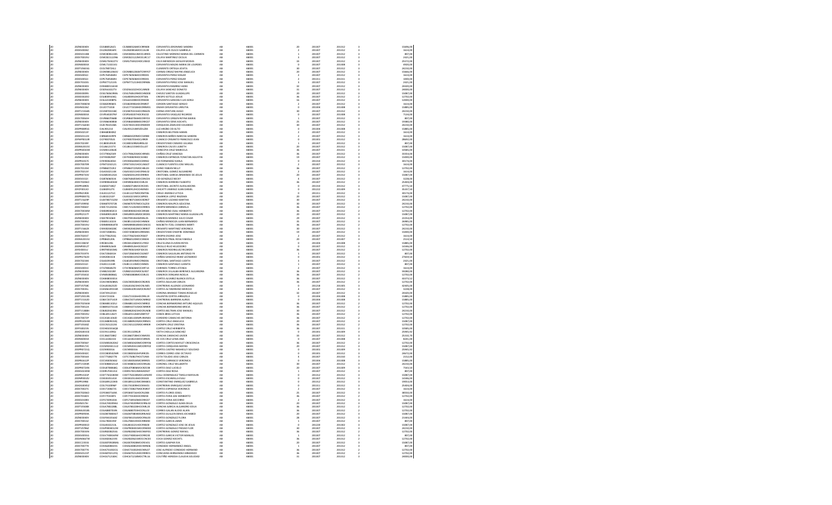|                                         |                          | CEJS880526CS                       | CEISBROS26MOCRRNOS                       | CERVANTES JERONIMO SANDRA                                         | <b>AR</b>       | 48001                 | 20                                      | 201307           | 201312           |  |
|-----------------------------------------|--------------------------|------------------------------------|------------------------------------------|-------------------------------------------------------------------|-----------------|-----------------------|-----------------------------------------|------------------|------------------|--|
| 20<br>20<br>20<br>20                    | 202NE0040V<br>20DES0004Z | CELD820816FK                       | CELD820816MOCLSL08                       | CELAYA LUIS DULCE GABRIELA                                        | AB              | AB001                 |                                         | 201307           | 201312           |  |
|                                         | 20DES0118B               | CEMC80061345                       | CEMC800613MOCLRR05                       | CELESTINO MORENO MARIA DEL CARMEN                                 | AB              | AB001                 |                                         | 201307           | 201312           |  |
|                                         | 20DST0019U               | CEMC821122N6                       | CEMC821122MOCLRC17                       | CELAYA MARTINEZ CECILIA                                           | AB<br>AB        | AB001                 |                                         | 201307           | 201312           |  |
|                                         | 202NE0040V<br>20DNS0001K | CEMG750422TV<br>CEML71102141       | CEMG750422HOCLNS02                       | CELIS MENDOZA GEISLER MOISES<br>CERVANTES MAZAS MARIA DE LOURDES  | AB              | AB001<br>AB001        | 33<br>$\theta$                          | 201307<br>201307 | 201312<br>201308 |  |
| 20<br>20                                | 20DTV0655G               | CEOJ780724L1                       |                                          | CLEMENTE ORTEGA JOVITA                                            | AB              | AB001                 | 30                                      | 201307           | 201312           |  |
| 20<br>20                                | 202NF0040V               | CEOM8812065V                       | CEOM881206MTCRRY07                       | CERNAS ORDAZ MAYRA ANGELICA                                       | AR              | <b>AR001</b>          | 20                                      | 201307           | 201312           |  |
|                                         | 20DES0052J<br>20DES0052  | CEPE760506R4<br>CEPE760506R4       | CEPE760506HOCRRD01<br>CEPE760506HOCRRD01 | CERVANTES PEREZ EDGAR<br>CERVANTES PEREZ EDGAR                    | AB              | AB001<br><b>AR001</b> | $\overline{2}$                          | 201307<br>201311 | 201312<br>201311 |  |
| 20<br>20                                | 20DST0103S               | CEPM77121315                       | CEPM771213HOCRRN06                       | CERVANTES PEREZ JOSE MANUEL                                       | AB<br>AB        | AB001                 |                                         | 201307           | 201312           |  |
|                                         | 202NE0040V<br>202NE0040V | CERA8001165W                       |                                          | CERVANTES RAMIREZ AIDEE<br>CELAYA SANCHEZ DONATO                  |                 | AB001                 |                                         | 201307           | 201312           |  |
| 20<br>20                                |                          | CESD561022TV                       | CESD561022HOCLNN00                       |                                                                   | AB<br>AB        | AB001                 | $\begin{array}{c} 32 \\ 31 \end{array}$ | 201307           | 201312           |  |
| 20<br>20                                | 20DEE0009S               | CESG760619M6<br>CESJ8009104Q       | CESG760619MOCHND00                       | CHEVEZ SANTOS GUADALUPE<br>CRESPO SOTELO JOSUE                    | AB<br>AB        | AB001                 | $\begin{array}{c} 20 \\ 36 \end{array}$ | 201307<br>201307 | 201312<br>201312 |  |
|                                         | 202NE0040V               |                                    |                                          |                                                                   | AB              | AB001<br>AB001        | $16\,$                                  | 201307           | 201312           |  |
| 20<br>20                                | 20DST0082W               | CESL631008PG<br>CESS820906KS       | CESL631008HOCRNS08                       | CERVANTES SANCHEZ LUIS SERGI<br>CEROON SANTIAGO SERGIO            | AB              | AB001                 |                                         | 201307           | 201312           |  |
| 20<br>20                                | 20DJN0226Z               | CEU0771018                         | CEUO771018HOCRRM01                       | OMAR CERVANTES URRUTIA                                            | AB              | AB001                 |                                         | 201304           | 201308           |  |
|                                         | 20DTV1556N               | CEVH870315BC                       | CEVH870315HOCRNG05                       | CERNA VENTURA HUGO                                                | AB              | AB001                 | 30                                      | 201307           | 201312           |  |
| 20<br>20<br>20<br>20                    | 20DNS0001K<br>20DST0063H | CEVR540207NF<br>CEVR86070688       | CEVR540207HOCRSC02<br>CEVR860706MOCRRY03 | CERVANTES VASQUEZ RICARDO<br>CERVANTES VIRGEN REYNA MARIA         | AB<br>AB        | AB001<br>AB001        | $\bf{0}$                                | 201307<br>201307 | 201308<br>201312 |  |
|                                         | 202NE0040V               | CEVX860408SB                       | CEVX860408MOCRRC07                       | CERVANTES VERA XOCHITL                                            | AB              | AB001                 | 25                                      | 201307           | 201312           |  |
|                                         | 20DTV1644H               | CEZE7810138A                       | CEZE781013HOCRMD09                       | CERQUEDA ZAMUDIO EDUARDO                                          | AB              | AB001                 | 30                                      | 201307           | 201312           |  |
| 20<br>20<br>20                          | 20DPR0895G               | CIAL901214                         | CIAL901214MVZDLZ04                       | LUZ ARIZBE CID ALTO                                               | AB              | AB001                 | $\mathbf 0$                             | 201304           | 201308           |  |
|                                         | 20DES0213F<br>20DES0112H | CIBH680830KZ<br>CIBN681029PX       | CIBN681029MOCSXR08                       | <b>CISNEROS BELTRAN HARAN</b><br>CISNEROS BAÑOS NARCISA SANDRA    | AB<br>AB        | AB001<br>AB001        | $\overline{2}$                          | 201307<br>201307 | 201312<br>201312 |  |
|                                         | 20FMP0013R               | CICF900705J5                       | CICF900705HOCLRR09                       | CLIMACO CRISANTO FRANCISCO JEAN                                   | AB              | <b>AR001</b>          | $\theta$                                | 201301           | 201312           |  |
| 20<br>20                                | 20DST0239F               | CICJ800109UR                       | CICJ800109MGRRSL02                       | CRISOSTOMO CISNERO JULIANA                                        | AB              | AB001                 |                                         | 201307           | 201312           |  |
| 20<br>20                                | 20DML0015V               | CICL861215T4                       | CICL861215MOCSLL07                       | CISNEROS CALVO LILIBETH                                           | AB              | AB001                 | 20                                      | 201307           | 201312           |  |
|                                         | 20DPR3033W<br>202NE0040V | CICM8112063E                       |                                          | CHINCOYA CRUZ MARICELA                                            | AB              | AB001                 | 36                                      | 201307           | 201311<br>201312 |  |
|                                         | 202NE0040V               | CICV79062549<br>CIEY930829EP       | CICV790625MOCHRN01<br>CIEY930829HOCSSN02 | CHIÑAS CRUZ VANESSA<br>CISNEROS ESPINOZA YONATAN AGUSTIN          | AB<br>AB        | AB001<br>AB001        | 19                                      | 201307<br>201307 | 201312           |  |
| 20<br>20<br>20<br>20                    | 20DPR3357C               | CIFK900630SH                       | CIFK900630MOCDRR02                       | CID FERNANDEZ KARLA                                               | AB              | AB001                 | $\,$ 0 $\,$                             | 201310           | 201312           |  |
|                                         | 20DST0070R               | CIFM71032121                       | CIFM710321HOCLNG07                       | <b>CLIMACO FUENTES JOSE MIGUEL</b>                                | AB              | AB001                 | $\overline{2}$                          | 201307           | 201312           |  |
|                                         | 20DST0135K               | CIFN860722K2                       | CIFN860722MOCHBL03                       | CHINO FABIAN NELLY                                                | AB              | AB001                 | 36                                      | 201307           | 201312           |  |
| 20<br>20<br>20                          | 20DST0213Y<br>20DPR0733V | CIGAS502114X<br>CIGA850412GA       | CIGA550211HOCRML02<br>CIGA850412HOCRRR04 | CRISTOBAL GOMEZ ALEJANDRO<br>CRISTOBAL GARCIA ARMANDO DE JESUS    | AB<br>AB        | AB001<br>AB001        | $\overline{2}$<br>20                    | 201307<br>201307 | 201312<br>201312 |  |
|                                         | 20DES0152L               | <b>CIGR76060534</b>                | CIGB760605MOCDNC04                       | CID GONZALEZ RECKY                                                | AB              | <b>AR001</b>          | $\Delta$                                | 201307           | 201312           |  |
| 20<br>20                                | 20DST0206Q               | CIHF890630GW                       | CIHF890630HOCSRL03                       | <b>CISNEROS HERRERA FILIBERTO</b>                                 | AB              | AB001                 | 36                                      | 201307           | 201312           |  |
| 20<br>20                                | 20DPR1890S               | CIJA850718Q7                       | CIJA850718MOCRCX05                       | CRISTOBAL JACINTO AUXILIADORA                                     | AB              | AB001                 | $\bf{0}$                                | 201310           | 201312           |  |
|                                         | 20FZF0013O               | CIJJ840912TE                       | CIJJ840912HOCHMN03                       | CHICATTI JIMENEZ JUAN DANIEL                                      | AB<br>AB        | AB001<br>AB001        | $\bf{0}$<br>$\circ$                     | 201222           | 201309<br>201312 |  |
| 20<br>20<br>20                          | 20DPB2190E<br>20DPR0837Q | <b>CIJL811227UC</b><br>CIU810221EP | CIJL811227MOCRMT06<br>CILI810221MOCGPR05 | CIRILO JIMENEZ LETICIA<br>CIGARROA LOPEZ IRAZEMA                  | AB              | AB001                 | 20                                      | 201311<br>201307 | 201312           |  |
|                                         | 20DTV1629P               | CILM7807152M                       | CILM780715MOCRZR07                       | CRISANTO LOZANO MARTHA                                            | AB              | AB001                 | 30                                      | 201307           | 201312           |  |
| 20                                      | 20DTV0995E               | CIMA8707072B                       | CIMA870707MOCSLZ03                       | CISNEROS MALPICA AZUCENA                                          | AB              | AB001                 | 30                                      | 201307           | 201312           |  |
| 20                                      | 20DST0065F               | CIMC7212025G                       | CIMC721202MOCRRR01                       | CRISPIN MIRANDA CARMELA                                           | AB              | AB001                 | 36                                      | 201307           | 201312           |  |
| 20<br>20                                | 20DST0034M<br>20DPR2157Y | CIME890402C4<br>CIMG890518V9       | CIME890402HOCDRS08<br>CIMG890518MOCSRD01 | CID MORENO ESAU HERIBERTO<br>CISNEROS MARTINEZ MARIA GUADALUPE    | AB<br>AB        | AB001<br>AB001        | 36<br>$\overline{20}$                   | 201307<br>201307 | 201312<br>201312 |  |
|                                         | 207NF0040V               | <b>CIM17901061K</b>                | CIMIZ90106HGRSNL05                       | CISNEROS MENDEZ JULIO CESAR                                       | AB              | <b>AR001</b>          |                                         | 201307           | 201312           |  |
| 20<br>20                                | 20DST00952               | CIMJ85110224                       | CIMJ851102HOCHNN04                       | CHIÑAS MENDOZA JUAN BERNARDO                                      | AB              | AB001                 | 29<br>35                                | 201307           | 201312           |  |
| 20<br>20                                | 20DST0019U               | CIMM890818T8                       | CIMM890818MOCSRC01                       | MACBETH ITZEL CISNEROS MARTI                                      | AB              | <b>AR001</b>          | 36                                      | 201307           | 201312           |  |
|                                         | 20DTV1662X               | CIMV8204028C                       | CIMV820402MOCRRR07                       | CRISANTO MARTINEZ VERONICA                                        | AB              | AB001                 | 30                                      | 201307           | 201312           |  |
| 20<br>20<br>20                          | 202NE0040V<br>20DST0201T | CIOD7208045L<br>CI0J770625SQ       | CIOD720804HVZRNM01<br>CI0J770625HOCRSS07 | CRISOSTOMO ONOFRE DOMINGO<br>CRISPIN OSORIO JOSE                  | AB<br>AB        | AB001<br>AB001        | 19                                      | 201307<br>201307 | 201312<br>201312 |  |
|                                         | 20DML0015V               | CIPR860120IL                       | CIPR860120MOCSNS04                       | CISNEROS PINAL ROSA FABIOLA                                       | AB              | AB001                 | $^{20}$                                 | 201307           | 201307           |  |
| 20                                      | 20DCC0825F               | CIRC841206                         | CIRC841206MOCLYR02                       | CRUZ ELENA OLIVERA REYES                                          | AB              | AB001                 | $\circ$                                 | 201304           | 201308           |  |
| 20                                      | 20DNP0012T               | CIRH8905264X                       | CIRH890526HOCRZL07                       | CRIOLLO RUIZ HELIODORO                                            | AB              | AB001                 |                                         | 201307           | 201312           |  |
| 20<br>20                                | 20FE10001U               | CIRR790501MG<br>CISA7206041H       | CIRR790501HDFSDC01<br>CISA720604HOCSGN07 | <b>CISNEROS RODRIGUEZ RICARDO</b><br>CISNEROS SAGUILAN ANTONIO FR | AB<br>AB        | AB001<br>AB001        | 36                                      | 201307<br>201307 | 201312<br>201312 |  |
|                                         | 20DST0197X<br>20DPR2762D | <b>CISI920815CR</b>                | CISI920815HV2HNR02                       | CHIÑAS SANCHEZ IRIAM LEONARDO                                     | <b>AR</b>       | <b>AR001</b>          | $\theta$                                | 201301           | 201312           |  |
| 20<br>20                                | 20DST0234K               | CISJ650919RS                       | CISJ650919MOCRND06                       | CRISTOBAL SANTIAGO JUDITH                                         | AB              | AB001                 |                                         | 201307           | 201312           |  |
| 20<br>20                                | 20DES01521<br>20DES0001C | CISJ8111134R<br>CITA7806067D       | CISJ811113MOCSNN05                       | CISNEROS SANTIAGO ILIANITA                                        | AB              | <b>AR001</b>          |                                         | 201307           | 201312           |  |
|                                         |                          |                                    | CITA780606MOCHRT14                       | CHIRINOS TORRES ATENEA                                            | $\overline{AB}$ | AB001                 |                                         | 201307           | 201312           |  |
| 20<br>20                                | 202NE0040V<br>20DTV0541E | CIVB8210228F<br>CIVN8508086Q       | CIVB821022MOCSLR07<br>CIVN850808MOCSRL01 | CISNEROS VILLALBA BERENICE ALEJANDRA<br>CISNEROS VERGARA NOELIA   | AB<br>AB        | AB001<br>AB001        | 36<br>36                                | 201307<br>201307 | 201312<br>201312 |  |
|                                         | 202NE0040V               | .<br>COAB48033014                  |                                          |                                                                   | AB              | AB001                 |                                         | 201307           | 201312           |  |
| 20<br>20                                | 20ZNE0040V               | COAC900508ML                       | COAC900508HOCRGR05                       | CORTES ALVAREZ BLANCA ESTELA<br>CORTES AGUILAR CARLOS             | AB              | AB001                 | $\frac{36}{36}$                         | 201307           | 201312           |  |
| 20<br>20                                | 20DTV07580               | COAL8106232D<br>COAM610915SR       | COAL810623HOCNLN05<br>COAM610915MOCRLR07 | CONTRERAS ALLENDE LEONARDO                                        | AB              | AB001                 |                                         | 201218           | 201305           |  |
|                                         | 20DST0035L<br>202NE0040V | COAT491221KI                       |                                          | CORTES ALTAMIRANO MERCED<br>CORONA ARANGO TOMAS ROGELIO           | AB<br>AB        | AB001<br>AB001        | 32                                      | 201307<br>201307 | 201312<br>201312 |  |
| $\begin{array}{c} 20 \\ 20 \end{array}$ | 20DTV0013N               | COAV721026                         | COAV721026HOCRRL19                       | VALENTIN CORTES ARRAZOLA                                          | AB              | AB001                 | $\circ$                                 | 201304           | 201308           |  |
| 20                                      | 20DTV1532D               | COBA72071419                       | COBA720714MOCNRR02                       | CONTRERAS BARRERA AUREA                                           | AB              | AB001                 |                                         | 201304           | 201308           |  |
| 20<br>20                                | 20DST0256W               | COBA881102UJ                       | COBA881102HOCNRR02                       | CONCHA BERNARDINO ARTURO AQUILES                                  | AB              | <b>AR001</b>          | 36<br>36                                | 201307           | 201312           |  |
|                                         | 20DST0012A               | COBB910731UB                       | COBB910731MOCNRR09<br>COBM820423HOCRLN08 | CONCHA BERNARDINO BRICIA                                          | $\overline{AB}$ | AB001<br>AB001        |                                         | 201307<br>201307 | 201312<br>201312 |  |
| 20<br>20                                | 20DTV1388H               | COBJ820423RA<br>COBL691126CY       | COBL691126MVZBRT07                       | CORTES BELTRAN JOSE MANUEL<br>COBOS BRAS LETICIA                  | AB<br>AB        | AB001                 | 30<br>36                                | 201307           | 201312           |  |
| 20<br>20                                | 20DST0072P               | COCA581104JD                       | COCA581104MPLRMN03                       | CORDERO CAMACHO ANTONIA<br>CORTES CRUZ ANGELICA                   | AB              | <b>AR001</b>          | $\frac{36}{20}$                         | 201307           | 201312           |  |
|                                         | 20DPR1053W               | COCA880923JQ                       | COCA880923MOCRRN01                       |                                                                   | AB              | AB001                 |                                         | 201307           | 201312           |  |
| 20<br>20                                | 20DTV0530Z               | COCC9212223E                       | COCC921222MOCHRR09                       | CHOMPA CRUZ CRISTINA                                              | AB              | AB001                 | 36<br>36                                | 201307           | 201312           |  |
|                                         | 20FFS0021N<br>20ADG0015E | COCH810316Q8<br>COCI911109GJ       | COCI911109GJ9                            | CORTEZ CRUZ HERIBERTA<br>IVETH CHOLULA SANCHEZ                    | AB<br>AB        | AB001<br>AB001        |                                         | 201307<br>201301 | 201311<br>201309 |  |
| $\begin{array}{c} 20 \\ 20 \end{array}$ | 202NE0040V               | COCJ860728KZ                       | COCJ860728HOCNMV01                       | CONCHA CAMACHO JAVIER                                             | AB              | AB001                 | 33                                      | 201307           | 201312           |  |
|                                         | 20DNS0001K               | COCL610615SI                       | COCL610615MOCSRN05                       | DE COS CRUZ LENIA ANA                                             | AB              | AB001                 |                                         | 201307           | 201308           |  |
| 20<br>20<br>20<br>20                    | 20DST0056Y               | COCM850420AZ                       | COCM850420MOCRRY06                       | CORTES CORTES MAYLET CRESCENCIA                                   | AB              | AB001                 | 36                                      | 201307           | 201312           |  |
|                                         | 20DPR0172C<br>20DPR0721Q | COCM920411U2<br>COCN900316         | COCM920411MOCRRY02<br>COCN900316         | CORTES CERQUEDA MAYRA<br>CORTES CASTRO NASHIELLY SOLEDAD          | AB<br>AB        | AB001<br>AB001        | 20<br>$\circ$                           | 201307<br>201301 | 201312<br>201309 |  |
|                                         | 20DES0042C               | COCO800502MR                       | COCO800502HPLRRC05                       | CORRES CORRO JOSE OCTAVIO                                         | AB              | AB001                 | $\bf{0}$                                | 201301           | 201312           |  |
| 20<br>20<br>20                          | 20DST0016X               | COCT75082778                       | COTCZ50827HOCTLB04                       | COTA TOLEDO JOSE CARLOS                                           | <b>AR</b>       | <b>AR001</b>          |                                         | 201307           | 201310           |  |
|                                         | 20DPB1612F               | COCV830504A2                       | COCV830504MCSRRR05                       | CORTES CARRASCO VERONICA                                          | AB              | AB001<br><b>AR001</b> | $\circ$                                 | 201304           | 201308           |  |
| 20<br>20                                | 20DTV1593R<br>20DPR0724N | COCW880321LR<br>CODL8708068Q       | COCW880321HOCRRL06<br>CODL870806MOCRZC08 | CORONEL CRUZ WILLBERTH<br>CORTES DIAZ LUCIELO                     | AB<br>AB        | AB001                 | 30<br>20                                | 201307<br>201307 | 201312<br>201309 |  |
|                                         | 20DES0230W               | CODR57041314                       | CODR570413MHGRZS07                       | CORTES DIAZ ROSA                                                  | AB              | AB001                 |                                         | 201307           | 201312           |  |
| 20<br>20                                | 20DPR1555F               | CODT7502283M                       | CODT750228MOCLMW09                       | COLLI DOMINGUEZ TWIGUI MAYALIN                                    | AB              | AB001                 | $\theta$                                | 201312           | 201312           |  |
|                                         | 20DNP0010V               | COEE8105141K                       | COEE810514HOCRSS03                       | CORTES ESCAMILLA ESAU                                             | AB              | AB001                 |                                         | 201307           | 201312           |  |
| 20<br>20<br>20<br>20                    | 20DPR1998J<br>20ADG00452 | COEG891223KB<br>COEJ7410096P       | COEG891223MCSNNB01<br>COEJ741009HOCNNV01 | CONSTANTINO ENRIQUEZ GABRIELA<br>CONTRERAS ENRIQUEZ JAVIER        | AB<br>AB        | AB001<br>AB001        | $\theta$<br>$\mathbf 0$                 | 201312<br>201311 | 201312<br>201312 |  |
|                                         | 20DST0027C               | COEV720827JS                       | COEV720827MOCRSR07                       | CORTES ESPINOSA VERONICA                                          | AB              | AB001                 |                                         | 201307           | 201312           |  |
|                                         | 20DST02060               | COFE8407169A                       | COFE840716HOCRLD08                       | CORTES FLORES EDSEL                                               | AB              | AB001                 | 25                                      | 201307           | 201312           |  |
| 20<br>20<br>20                          | 20DST0182V               | COFIZZO330ES                       | COFI770330HOCRR704                       | CORTES FERIA 17AI HERIBERTO                                       | <b>AR</b>       | <b>AR001</b>          | 36                                      | 201307           | 201312           |  |
|                                         | 20DES0108V<br>20DJN0176  | COFS7309103A<br>COGA740209A4       | COFS730910MOCRRC07<br>COGA740209MOCRNL02 | CORTES FERIA SOCORRO<br>CORTES GONZALEZ ALMA DELIA                | AB<br>AB        | AB001<br><b>AR001</b> |                                         | 201307<br>201307 | 201312<br>201312 |  |
| 20<br>20                                | 20DTV0508X               | COGA7802288L                       | COGA780228HOCNRL20                       | CONCHA GARCIA ALEJANDRO EDUA                                      | AB              | AB001                 | $\begin{array}{c} 20 \\ 36 \end{array}$ | 201307           | 201312           |  |
|                                         | 20DML0018S               | COGA880703IN                       | COGA880703HOCRLL03                       | CORRES GALAN ALEXEI ALAIN                                         | AB              | AB001                 | 36                                      | 201307           | 201312           |  |
| 20<br>20<br>20<br>20<br>20              | 20DPR0959A               | COGD870804GT                       | COGD870804MGRRLN02                       | CORTES GUILLEN DENIS JOCHABED                                     | AB              | AB001                 | 20                                      | 201307           | 201312           |  |
|                                         | 202NE0040V               | COGF841016AZ                       | COGF841016MOCRNL00                       | CORTES GONZALEZ FLORA                                             | AB              | AB001                 | 28                                      | 201307           | 201312           |  |
|                                         | 20DST00132<br>20DPR3001D | COGJ780419SF<br>COGJ8102213L       | COGJ780419HOCRRM00<br>COGJ810221HOCRNS00 | CORTES GARCIA JAIME<br>CORTEZ GONZALEZ JOSE DE JESUS              | AB<br>AB        | AB001<br>AB001        | $\circ$                                 | 201307<br>201220 | 201312<br>201302 |  |
|                                         | 20DTV07862               | COGP9004012W                       | COGP900401MOCRND00                       | CORTES GONZALEZ PIEDAD FLOR                                       | AB              | AB001                 | 30                                      | 201307           | 201312           |  |
| 20<br>20                                | 20DST0033N               | COGR8208255G                       | COGR820825HOCNMF01                       | CONTRERAS GOMEZ RAFAEL                                            | AB              | AB001                 | 36                                      | 201307           | 201312           |  |
| 20<br>20                                | 20DES0055G               | COGV740816FM                       | COGV740816HOCBBC00                       | CORTES GARCIA VICTOR MANUEL                                       | <b>AR</b>       | <b>AR001</b>          |                                         | 201307           | 201312           |  |
|                                         | 20DJN0667W               | COGX82062193                       | COGX820621MOCCNC03                       | COCA GOMEZ XOCHITL<br>CORTES GASPAR EVA                           | AB              | AB001<br><b>AR001</b> | 36                                      | 201307<br>201307 | 201312<br>201312 |  |
| 20<br>20                                | 20DCC23555<br>20DST0077K | COGX870928MG<br>COHA640802H1       | CXGE870928MOCRSV01<br>COHA640802HOCNRN06 | CONDADO HERNANDEZ ANGEL                                           | AB<br>AB        | AB001                 | 20                                      | 201307           | 201312           |  |
|                                         | 20DST0077K               |                                    | COHA731002HOCNRL07                       |                                                                   | AB              | <b>AR001</b>          |                                         | 201307           | 201312           |  |
| 20<br>20<br>20                          | 20DES0121P               | COHA731002CG<br>COHA870212FQ       | COHA870212HOCRRROS                       | JOSE ALFREDO CONDADO HERNAND<br>CONCUERA HERNANDEZ ARMANDO        | AB              | AB001                 | $\begin{array}{c} 36 \\ 36 \end{array}$ | 201307           | 201312           |  |
|                                         | 202NE0040V               | COHC671218AC                       | COHC671218MOCTRL16                       | COUTIÑO HEREDIA CLAUDIA SOLEDAD                                   | AB              | AB001                 | 31                                      | 201307           | 201312           |  |
|                                         |                          |                                    |                                          |                                                                   |                 |                       |                                         |                  |                  |  |

# 15696,00 3 1614,00 3 807,00 3 2421,00 3 25572,00 3 4920,00 3 24210,00 3 15666,00 3 1614,00 3 1000,00 3 2421,00 3 24420,00 3 24000,00 3 15087,00 2 12702,00 3 12000,00 3 1614,00 3 15885,00 3 24210,00 3 7134,00 3 807,00 3 19380,00 3 24210,00 3 15885,00 3 1614,00 3 1614,00 3 28692,00 3 807,00 3 15087,00 2 10585,00 3 33354,00 3 15000,00 3 30174,00 3 1614,00 2 12702,00 3 1614,00 3 15087,00 3 3228,00 2 25404,00 3 47775,50 3 35337,50 3 30174,00 3 15087,00 3 24210,00 3 24210,00 2 12702,00 2 12702,00 3 15087,00 3 22254,00 3 26985,00 2 12702,00 3 24210,00 3 15000,00 3 1614,00 3 2514,50 3 15885,00 3 14346,00 2 12702,00 3 807,00 3 27659,50 3 2421,00 3 807,00 3 1614,00 3 59280,00 2 12702,00 3 43373,52 2 12702,00 3 42405,00 3 3228,00 3 24420,00 3 15885,00 3 15885,00 2 12702,00 2 12702,00 3 24210,00 2 12702,00 2 12702,00 3 15087,00 2 12702,00 2 10585,00 3 25945,92 3 25310,70 3 8241,00 2 12702,00 3 15087,00 3 25945,92 3 24672,00 3 2152,00 3 15885,00 3 24210,00 3 7543,50 3 807,00 3 15087,00 3 14346,00 3 19053,00 3 25404,00 3 1614,00 3 38550,00 2 12702,00 3 1614,00 3 15087,00 2 12702,00 2 12702,00 3 15087,00 3 21444,00 3 807,00 3 15087,00 3 24210,00 2 12702,00 3 807,00 2 12702,00 3 15087,00 3 807,00 2 12702,00 2 12702,00 3 24000,00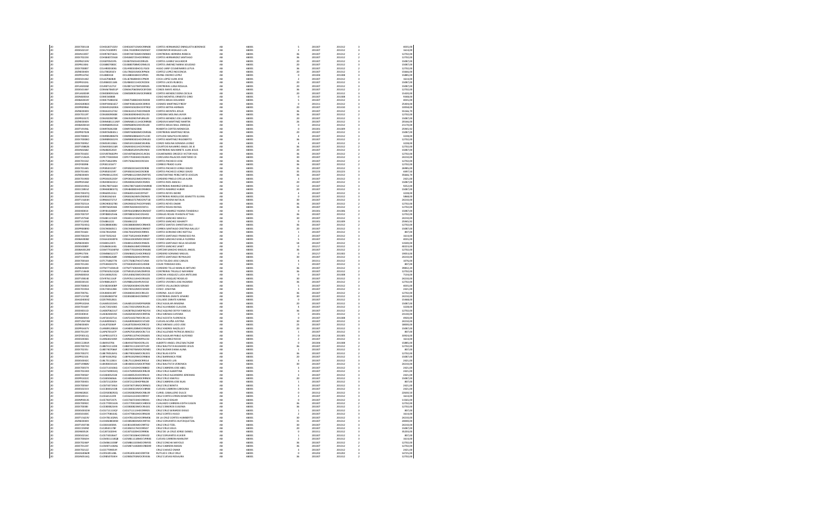| 20<br>20      | 20DST0011B<br>20DES0213F | COHE630715DV                 | COHE630715MOCRRN08<br>COHL741009HOCMDS07 | CORTES HERNANDEZ ENRIQUETA BERENICE                    | <b>AR</b><br>AB | <b>AR001</b><br>AB001 | $\overline{\mathbf{S}}$                    | 201307<br>201307 | 201312<br>201312 |               |
|---------------|--------------------------|------------------------------|------------------------------------------|--------------------------------------------------------|-----------------|-----------------------|--------------------------------------------|------------------|------------------|---------------|
|               | 20DJN1305T               | COHL741009P2<br>COHR740726A1 | COHR740726MOCNRB03                       | COMONFOR HIDALGO LUIS<br>CONTRERAS HERRERA REBECA      | AB              | A9001                 |                                            | 201307           | 201312           |               |
| 20<br>20      | 20DST0223E               | COHS840725G8                 | COHS840725HOCRRN02                       | CORTES HERNANDEZ SANTIAGO                              | AB              | AB001                 | 36<br>36                                   | 201307           | 201312           |               |
| 20            | 20DPB2159\               | COJS870501PA                 | COJS870501HOCRRL05                       | CORTES JUAREZ SALVADOR                                 | AB              | AB001                 | $\overline{20}$                            | 201307           | 201312           |               |
| $_{20}$       | 20DPB1304J               | COJS880708DC                 | COJS880708MOCRML01                       | CORTES JIMENEZ MARIA SOLEDAD                           | AB              | AB001                 | 20                                         | 201307           | 201312           |               |
| 20            | 20DST0085T               | COLH900330IG                 | COLH900330HOCLYG03                       | HUGO JARIF COLMENARES LEYVA                            | AB              | AB001                 | 36                                         | 201307           | 201312           |               |
| 20            | 202NE0040V               | COLI780201EV                 | COLI780201MOCRPN04                       | CORTEZ LOPEZ INOCENCIA                                 | AB              | AB001                 | 20                                         | 201307           | 201312           |               |
| 20            | 20DPR1476C               | COLI880418                   | OOLI880418HOCSPR01                       | IRVING OSORIO LOPEZ                                    | AB              | AB001                 | $\theta$                                   | 201304           | 201308           |               |
| 20<br>20      | 200ES01447               | COL167060818                 | COLL670608HOCCPN09                       | COCA LOPEZ ILIAN IOSE                                  | AB<br>AB        | <b>AR001</b>          |                                            | 201307           | 201312           |               |
|               | 20DPR3324L               | COLR8402116N                 | COLR840211HOCRCD04                       | CORTES LACES RUBICEL                                   |                 | AB001                 | 20                                         | 201307           | 201312           |               |
| 20<br>20      | 20FUA0028Z               | COLR871227LF<br>COMA6706051P | COLR871227MPLNNS05                       | CONTRERAS LUNA ROSALIA                                 | AB<br>AB        | <b>AR001</b>          | $\begin{array}{c} 20 \\ 36 \end{array}$    | 201307           | 201312           |               |
|               | 20DES0146Y               |                              | COMA670605MOCBYD04                       | COBOS MAYO ADELA                                       |                 | AB001                 |                                            | 201307           | 201312           |               |
| 20<br>20      | 20FUA0003R               | COMD890915A4                 | COMD890915MOCRNR00                       | CORTES MENDEZ DORA CECILIA                             | AB<br>AB        | <b>AR001</b>          | 20                                         | 201307           | 201312           |               |
|               | 20DNS0001K<br>20DBA0034Y | <b>COME540808</b>            |                                          | COSIO MONTIEL ERNESTO CIRIO                            |                 | AB001                 | $\circ$                                    | 201307           | 201308           |               |
| 20<br>20      | 20ADG00820               | COME7508025E                 | COME750802HOCRID00                       | CORTES MEJIA EDUARDO                                   | AB              | AB001                 | $\overline{0}$                             | 201307           | 201312           |               |
|               |                          | COMF93061657<br>COMH910420KA | COMF930616HOCSRR03<br>COMH910420HOCRTR02 | <b>COSMES MARTINEZ FREDY</b>                           | AB              | AB001<br>AB001        |                                            | 201311<br>201307 | 201312<br>201310 |               |
| 20<br>20      | 20DPR0996E<br>20ZNE0040V | COMJ610127A2                 | COMJ610127HOCRNS09                       | CORTES MITRA HERNAN<br><b>CORTES MONTES JOSUE</b>      | AB<br>AB        | AB001                 | $\begin{array}{c} 20 \\ 36 \end{array}$    | 201307           | 201312           |               |
| 20            | 20DST0119T               | COMJ8309048X                 | COMJ830904HOCRLV03                       | CORDOBA MOLINA JAVIER                                  | AB              | AB001                 | 36                                         | 201307           | 201312           |               |
| $_{20}$       | 20DPR3357C               | COMJ9209078R                 | COMJ920907HPLRNL09                       | CORTES MENDEZ JOEL ALBERO                              | AB              | AB001                 | 20                                         | 201307           | 201312           |               |
| 20            | 202NE0040V               | COMM681111M                  | COMM681111HOCRRR08                       | CORDOVA MARTINEZ MARTIN                                | AB              | AB001                 | $\overline{26}$                            | 201307           | 201312           |               |
| $_{20}$       | 20DBA0041H               | COMR680922G4                 | COMR680922HOCRJL00                       | CORTES MEJIA RAUL ENRIQUE                              | AB              | AB001                 | $\theta$                                   | 201312           | 201312           |               |
| 20            | 20DTV0196L               | COMR760423BI                 | COMR760423BI6                            | ROBERTA CORTES MENDOZA                                 | AB              | AB001                 | $\mathbf 0$                                | 201301           | 201309           |               |
| $_{20}$       | 20DPR0702B               | COMR760830L1                 | COMR760830MOCNRS06                       | CONTRERAS MARTINEZ ROSA                                | AB              | AB001                 | 20                                         | 201307           | 201312           |               |
| 20            | 20DST0083V               | COMR850806TB                 | COMR850806HOCYLC00                       | COYUCHI MALPICA RICARDO                                | AB              | AB001                 |                                            | 201307           | 201312           |               |
| 20            | 20DST00080               | COMBRAD301FK                 | COMBRAD301HOCBBG03                       | CORTES MARTINEZ RIGORERTO                              | <b>AR</b>       | <b>AR001</b>          | 36                                         | 201307           | 201312           |               |
| 20            | 20DST0095Z               | COMS591106SJ                 | COMS591106MCSRLR06                       | CORZO MOLINA SORAIDA LEONIC                            | AB              | AB001                 |                                            | 201307           | 201312           |               |
| 20<br>20      | 20DTV0882B               | CONA9304116R                 | CONA930411HOCRVN03                       | COURTOIS NAVARRO ANGEL DE JE                           | AB<br>AB        | AB001                 | $\begin{array}{c} 36 \\ 20 \end{array}$    | 201307           | 201312           |               |
|               | 20DJN0268Z               | CONJ860520L9                 | CONJ860520HVZNVN03                       | CONTRERAS NAVARRETE JUAN JESUS                         |                 | AB001                 |                                            | 201307           | 201312           |               |
| 20<br>20      | 20DST0165E               | COOV870602PH                 | COOV870602HOCLRC06                       | COLMENARES OROZCO VICTOR HUG                           | AB              | AB001                 | 36<br>30                                   | 201307           | 201312           |               |
|               | 20DTV1262A               | COPE770303M4                 | COPE770303HOCRLM01<br>COPJ750623HOCRCS04 | CORCUERA PALACIOS EMETERIO CE<br>CORTES PACHECO JOSE   | AB              | AB001<br>AB001        |                                            | 201307<br>201307 | 201312<br>201312 |               |
| 20<br>$_{20}$ | 20DST0153Z<br>20FZF0009B | COPJ750623RN<br>COPJ811016T7 |                                          | CORREO PRADO JUAN                                      | AB<br>AB        | AB001                 | 36<br>36                                   | 201307           | 201312           |               |
| 20            | 20DST0144S               | COPJ85031597                 | COPJ850315HOCRCR08                       | CORTES PACHECO JORGE DAVID                             | AB              | AB001                 | 35                                         | 201307           | 201312           |               |
| $_{20}$       | 20DST0144S               | COPJ85031597                 | COPJ850315HOCRCR08                       | CORTES PACHECO JORGE DAVID                             | AB              | AB001                 | 35                                         | 201223           | 201223           |               |
| 20            | 202NE0040V               | COPM841223VC                 | COPM841223MVZNRT05                       | CONSTANTINO PEREZ MITZI JOCELIN                        | AB              | AB001                 | 36                                         | 201307           | 201312           |               |
| 20            | 20DST0190D               | COPO810523DY                 | COPO810523MOCRNF01                       | CORDERO PINELO OFELIA AURA                             | AB              | AB001                 | $\overline{3}$                             | 201307           | 201312           |               |
| 20            | 20DPR35582               | CORA900423CU                 | CORA900423MOCRSR01                       | CORTES RIOS ARACELI                                    | AB              | AB001                 | 20                                         | 201307           | 201312           |               |
|               | 20DES0195G               | CORG7807166H                 | CORG780716MOCNMR08                       | CONTRERAS RAMIREZ GRISELDA                             | AB              | <b>AR001</b>          | 12                                         | 201307           | 201312           |               |
| 20<br>20      | 20DCC0855Z               | CORH8408037Q                 | CORH840803HOCRMB03                       | CORTES RAMIREZ HUBER                                   | AB              | AB001                 | $\overline{20}$                            | 201307           | 201312           |               |
|               | 20DST0047Q               | CORI6005155U                 | CORI600515HOCRYS07                       | CORTES REYES ISIDRO                                    | AB              | <b>AR001</b>          | $\overline{a}$                             | 201307           | 201312           |               |
| 20<br>20      | 20AGD0003Z               | CORJ810624J4                 | CORJ810624MVZNDN05                       | CONTRERAS REBOLLEDO JEANETTE ELVIRA                    | AB              | AB001                 | $\theta$                                   | 201307           | 201312           |               |
| 20            | 20DTV1644H               | CORN810727LF                 | CORN810727MOCRVT18                       | CORTES RIVERA NATALIA                                  | AB              | AB001                 | 30                                         | 201307           | 201312           |               |
| $_{20}$       | 20DST0251A               | CORO900327B3                 | CORO900327HOCRYM05                       | <b>CORTES REYES OMAR</b>                               | AB              | AB001                 | 36                                         | 201307           | 201312           |               |
| 20            | 20DES0142B               | CORR760204AE                 | CORR760204HOCRJF11                       | CORTEZ ROJAS RAFAEL                                    | AB              | AB001                 | 36                                         | 201307           | 201312           |               |
| $_{20}$       | 20DDI0001X               | CORY8102085P                 | CORY810208MOCRMD07                       | CORTES RAMIREZ YADIRA ITANDEHUI                        | AB              | AB001                 | $\theta$                                   | 201301           | 201306           |               |
| 20            | 20DST0072P               | CORY880325H6                 | CORY880325HOCRJH02                       | CORALES ROJAS YEHISON ATTHAI                           | AB              | AB001                 | 36                                         | 201307           | 201312           |               |
| $_{20}$       | 20DTV0756E               | COSA811215ER                 | COSA811215MOCRNR10                       | CORTES SANCHEZ ARACELI                                 | AB              | AB001                 | 30                                         | 201307           | 201312           |               |
| 20            | 20DTV1239Z               | COSA861222                   | COSA861222                               | CORTES SANCHEZ ASHANTY                                 | AB              | AB001                 |                                            | 201301           | 201309           |               |
| 20            | 20DST02450               | COSCRROR308U                 | <b>COSC880830MOCRNH05</b>                | CORTEZ SANTOS CHRISTIAN ILILI                          | AB              | <b>AR001</b>          | 36                                         | 201307           | 201312           |               |
| 20            | 20DPR0089D               | COSC940605C1                 | COSC940605MOCRNR07                       | CORREA SANTIAGO CRISTINA NALLELY                       | AB              | AB001                 | 20                                         | 201307           | 201312           |               |
| 20<br>20      | 20DST0160J               | COSE781029JX                 | COSE781029HOCRRR01                       | CORTES SORIANO ERIC NEFTALI                            | AB              | <b>AR001</b>          | $\mathbf{1}$                               | 201307           | 201312           |               |
|               | 20DST0022H               | COSF750524J2                 | COSF750524HOCRNR07                       | CORTES SANTIAGO FRANCISCO RA                           | AB              | AB001                 |                                            | 201307           | 201312           |               |
| 20            | 20DBA00082               | COSG610430FN                 | COSG610430MOCSNS07                       | COSME SANCHEZ GISELA FLORINA                           | AB              | <b>AR001</b>          | k                                          | 201307           | 201312           |               |
| $_{20}$       | 202NE0040V               | COSI8012207J                 | COSI801220MOCRNS05                       | CORTES SANTIAGO ISELA SOLEDAD                          | AB              | AB001                 | 18                                         | 201307           | 201312           |               |
| 20            | 20DES0080F               | COSJ8606144G                 | COSJ860614MOCRNN04                       | CORTES SANCHEZ JANET                                   | AB              | AB001                 | $\circ$                                    | 201217           | 201312           |               |
| $_{20}$       | 20DBA0012M               | COSM770104FM                 | COSM770104HOCRNG06                       | CORTZAR SANCHO MIGUEL ANGEL                            | AB              | AB001<br>AB001        | 36                                         | 201307           | 201312           |               |
| 20<br>$_{20}$ | 20DPR1759J<br>20DTV1608C | COSM86012177<br>COSR8606268R | COSM860121HOCRRG02<br>COSR860626HOCRNY05 | CORDERO SORIANO MIGUEL<br>CORTES SANTIAGO REYNALDO     | AB<br>AB        | AB001                 | $\mathbf 0$<br>30                          | 201217<br>201307 | 201302<br>201312 |               |
| 20            | 20DST0016X               | COTC75082778                 | COTC750827HOCTLR04                       | COTA TOLEDO JOSE CARLOS                                | AB              | AB001                 |                                            | 201311           | 201312           |               |
| Σñ            | 2005T0124F               | COTES30201TR                 | COTES30201HOCLBD08                       | COLIN TRINIDAD EDEL                                    | AB              | <b>AR001</b>          |                                            | 201307           | 201312           |               |
| 20            | 202NE0040V               | COTM771004UD                 | COTM771004HOCRLN0                        | CORDERO TELLO MANLIO ARTURO                            | AB              | AB001                 | 36                                         | 201307           | 201312           |               |
|               | 20DTV1464X               | COTN910521QW                 | COTN910521MVZNRY03                       | CONTRERAS TRUJILLO NAVAREM                             | AB              | <b>AR001</b>          |                                            | 201307           | 201312           |               |
| 20<br>20      | 20DNS0001K               | COVL4406253U                 | COVL440625MOCNSC03                       | CONCHA VASQUEZ LUCIA ANTELMA                           | AB              | AB001                 | $\begin{array}{c} 36 \\ 0 \end{array}$     | 201307           | 201308           |               |
|               | 20DTV0814E               |                              |                                          | CORTES VASQUEZ ROGELIO                                 |                 | <b>AR001</b>          |                                            | 201307           | 201312           |               |
| 20<br>20      | 20DEE0013E               | COVR761114JF<br>COVR88120371 | COVR761114HOCRSG05<br>COVR881203HPLRVC02 | CORTES VIVEROS JOSE RICARDO                            | AB<br>AB        | AB001                 | 30<br>36                                   | 201307           | 201312           |               |
|               | 20DST0081X<br>20DST0193A | COVS820430BF                 | COVS820430HOCRLB09                       | CORTES VILLALOBOS SERGIO                               |                 | AB001                 | s                                          | 201307           | 201312           |               |
| 20<br>20      |                          | COXJ740122BA                 | COXJ740122MOCSXS00                       | COSIO JOSEFINA                                         | AB<br>AB        | AB001                 |                                            | 201307           | 201312           |               |
| 20<br>20      | 20DST0076L               | COXJ840413RT<br>COZJ850803TW | COXJ840413HOCRXL03                       | CORONA JULIO CESAR                                     | AB<br>AB        | <b>AR001</b>          | 36<br>30                                   | 201307           | 201312           |               |
|               | 20DTV1578Z               |                              | COZJ850803HOCNRN07                       | CONTRERAS ZARATE JENARO                                |                 | AB001                 |                                            | 201307           | 201312           |               |
| 20            | 20AGD00032               | CO2K79052815                 |                                          | COLLADO ZARATE KARINA                                  | AB              | AB001                 |                                            | 201307           | 201312           |               |
| $_{20}$       | 20DPR1024A               | <b>CUAA851015H5</b>          | CUAA851015MDFRGR08                       | CRUZ AGUILAR ARIADNA                                   | AB              | AB001                 | 20                                         | 201307           | 201312           |               |
| 20            | 20DST0164F               | CUAC7202106S                 | CUAC720210MOCRLL01                       | CRUZ ALVARADO CLAUDIA                                  | AB              | AB001                 |                                            | 201307           | 201312           |               |
| 20<br>20      | 2000/00110               | <b>CUADR70621UT</b>          | CUADR70621MDEROV04                       | CRUZ AOUINO DEVSY FABIOLA                              | AB              | <b>AR001</b>          | 36                                         | 201307           | 201312           |               |
|               | 20FZE0001K               | CUAE82040194                 | CUAE820401MOCRRF06                       | CRUZ ARENAS EUFEMIA                                    | $\overline{AB}$ | AB001                 | ō                                          | 201301           | 201312           |               |
| 20<br>20      | 20DNS0001K               | CUAF541027LA                 | CUAE541027MOCRCL01                       | CRUZ ACOSTA FLORENCIA                                  | AB<br>AB        | <b>AR001</b>          | $\Omega$                                   | 201307           | 201308           |               |
|               | 20DTV0673W               | CUAJ690926C1                 | CUAI690926MOCVCS00                       | CUEVAS ACUÑA JUSTINA                                   |                 | AB001                 | $30^{-1}$                                  | 201307           | 201312           |               |
| 20<br>20      | 202NE0040V<br>20DPR3447V | <b>CUAL870206IP</b>          | CUAL870206HOCRRC02<br>CUAN891208MOCRNZ04 | CRUZ ARENAS LUCIO JOSE                                 | AB<br>AB        | AB001                 | $\begin{array}{c} 23 \\ 20 \end{array}$    | 201307           | 201312           |               |
|               | 20DST0123F               | CUAN891208GX<br>CUAP6703147F | CUAP670314MOCRLT14                       | CRUZ ANDRES NAZZLLELY<br>CRUZ ALLENDE PATRICIA ARACELI |                 | AB001<br>AB001        |                                            | 201307<br>201307 | 201312<br>201312 |               |
| 20<br>20      | 20FZF0011Q               | CUAP901107C3                 | CUAP901107HOCRGB05                       | CRUZ AGUILAR PABLO ALFONSO                             | AB<br>AB        | AB001                 | $\begin{smallmatrix}1\\0\end{smallmatrix}$ | 201218           | 201305           |               |
|               | 20DES00369               | CUAR640210SR                 | CUAR640210MDFRLC02                       | CRUZ ALVAREZ ROCIO                                     | AB              | AB001                 |                                            | 201307           | 201312           |               |
| 20<br>20      | 20DCC2281R               | CUBA910706                   | CUBA910706HOCRLL01                       | ALBERTO ANGEL CRUZ BALTAZAR                            | AB              | AB001                 | $\begin{smallmatrix}2\\0\end{smallmatrix}$ | 201304           | 201308           |               |
| 20            | 20DST00730               | CUBB741112D                  | CUBB741112HOCRTL09                       | CRUZ BAUTISTA BULMARO JESUS                            | AB              | AB001                 | 36                                         | 201307           | 201312           |               |
| $_{20}$       | 20DST0235J               | CUBD7407066F                 | CUBD740706MOCRDN01                       | CRUZ BUDAR DIANA ALINA                                 | AB              | AB001                 | $\overline{1}$                             | 201307           | 201312           |               |
| 20            | 20DST0027C               | CUBE790526FG                 | CUBE790526MOCRLD01                       | CRUZ BLAS EDITH                                        | AB              | AB001                 |                                            | 201307           | 201312           |               |
| $_{20}$       | 20DPR3210J               | CUBF910429QJ                 | CUBF910429MOCRRB04                       | CRUZ BARRANCA FEBE                                     | AB              | AB001                 | 20                                         | 201307           | 201312           |               |
| 20            | 20DES0042C               | CUBL7511281V                 | CUBL751128HOCRRS14                       | CRUZ BRAVO LUIS                                        | AB              | AB001                 |                                            | 201307           | 201312           |               |
| 20            | 20DTV0988V               | CUBV8003314X                 | CUBV800331MOCRTR00                       | CRUZ BAUTISTA VERONICA                                 | AB              | AB001                 | 30                                         | 201307           | 201312           |               |
| 20            | 20DST0057X               | CUCA7110106G                 | CUCA711010HOCRBB02                       | CRUZ CABRERA JOSE ABEL                                 | AB              | AB001                 |                                            | 201307           | 201312           |               |
| 20            | 20DST0224D               | CUCA7509053Q                 | CUCA750905MOCRRL00                       | CRUZ CRUZ ALBERTINA                                    | AB              | AB001                 | b.                                         | 201307           | 201312           |               |
| 20            | 20DST0056Y               | CUCA84052538                 | CUCA840525HOCRRL03                       | CRUZ CRUZ ALEJANDRO JEREMIAS                           | AB              | AB001                 | 3                                          | 201307           | 201312           |               |
| 20<br>20      | 20DPR10220               | CUCARSOSOSIS                 | <b>CUCARSO606MOCRRN0</b>                 | CRUZ CRUZ ANAYELI                                      | AB              | AB001                 | $\overline{20}$                            | 201307           | 201312           |               |
|               | 20DST0045S               | CUCB7212205H                 | CUCB721220HDFRBL08                       | CRUZ CABRERA JOSE BLAS                                 | AB              | AB001                 |                                            | 201307           | 201312           |               |
| 20<br>20      | 20DST0056Y               | CUCB730719G3                 | CUCB730719MOCRRN0:                       | CRUZ CRUZ BENITA                                       | AB<br>AB        | AB001                 |                                            | 201307           | 201312           |               |
|               | 20DES0231V               | CUCC840321DB                 | CUCC840321MOCVBR08                       | CUEVAS CABRERA CAROLINA                                |                 | AB001                 |                                            | 201307           | 201312           |               |
| 20            | 20DIN0282C               | CUCD9208292Q                 | CUCD920829MOCRBL09                       | CURIEL CABALLERO DULCE                                 | AB              | AB001                 |                                            | 201312           | 201312           |               |
| $_{20}$       | 20DES0011J               | CUCE6412229                  | CUCE641222HOCRRF07                       | CRUZ CORTES EFREN DEMETRIO                             | AB              | AB001                 |                                            | 201307           | 201312           |               |
| 20            | 20DNP0013S               | CUCE76072375                 | CUCE760723HOCRRD01                       | CRUZ CRUZ EDGAR                                        | AB              | AB001                 |                                            | 201307           | 201312           |               |
| 20            | 20DST0092C               | <b>CUCE770915GN</b>          | CUCE770915MOCHRD03                       | CUAUHIZO CARRERA EDITH EUGEN                           | AB              | AB001<br>AB001        | 36                                         | 201307           | 201312<br>201312 |               |
| 20<br>$_{20}$ | 20DST0038<br>20DES0032W  | CUCE800823AN<br>CUCG711113QF | CUCE800823MOCRSG01<br>CUCG711113HOCRRR05 | CRUZ CISNEROS EUGENIA<br>CRUZ CRUZ GERARDO DIEGO       | AB<br>AB        | AB001                 | 36                                         | 201307<br>201307 | 201312           |               |
| 20            | 20DES0100C               | CUCH770810JQ                 | CUCH770810HOCRRG00                       | CRUZ CORTES HUGO                                       | AB              | AB001                 |                                            | 201307           | 201312           |               |
|               | 200TV1623V               | CUCH781102ML                 | CUCH781102HOCRRMOS                       | DE LA CRUZ CORTES HUMBERTO                             | AB              | <b>AR001</b>          | 30                                         | 201307           | 201312           |               |
| 20<br>20      | 20ZNE0040V               | <b>CUCH850803KM</b>          | CUCH850803MOCRRT03                       | CRUZ CERVANTES HUITZIQUETZAL                           | AB              | AB001                 | 31                                         | 201307           | 201312           |               |
|               | 20DTV0073B               | CUCI831005RA                 | CUCI831005MOCRRT02                       | CRUZ CRUZ ITZEL                                        | AB              | <b>AR001</b>          | 30                                         | 201307           | 201312           |               |
| 20<br>20      | 20DCC0599Z               | <b>CUCJ8501178F</b>          | CUCJ850117HOCRRS07                       | CRUZ CRUZ JESUS                                        | AB              | AB001                 | 20                                         | 201307           | 201312           |               |
| 20            | 20DIN0052K               | <b>CUCJ871020HV</b>          | CUCJ871020HOCRRR06                       | CRUZ DE LA CRUZ JORGE DANIEL                           | AB              | AB001                 | $\circ$                                    | 201311           | 201312           |               |
| $_{20}$       | 20DES0216C               | <b>CUCK730106AT</b>          | CUCK730106HOCRRV02                       | CRUZ CERVANTES KUVIER                                  | AB              | AB001                 |                                            | 201307           | 201312           |               |
| 20            | 20DST0063H               | CUCM811118Q8                 | CUCM811118MOCVRR06                       | CUEVAS CARRERA MARLENY                                 | AB              | AB001                 | $\overline{z}$                             | 201307           | 201312           |               |
| $_{20}$       | 20DST0246P               | CUCM861103BF                 | CUCM861103MOCRNY05                       | CRUZ CONCHA MAYOLO                                     | AB              | AB001                 | 36                                         | 201307           | 201312           |               |
|               | 20DST0123F               | <b>CUCM871106NL</b>          | CUCM871106MOCRBD09                       | CRUZ CABRERA MADA                                      | AB              | AB001                 | 36                                         | 201307           | 201312           |               |
| $_{20}$       | 20DST0212Z               | CUCO7709054Y                 |                                          | CRUZ CHAVEZ OMAR                                       | AB              | AB001                 | $\overline{3}$                             | 201307           | 201312           |               |
| 20            | 20ADG0060F               | CUCR5305148L                 | CUCR530514HOCRRT00                       | RUTILIO E CRUZ CRUZ                                    | AB              | AB001                 |                                            | 201202           | 201202           |               |
|               | 20D INOS16O              | CUCR850703KH                 | CUCR850703MOCRVS06                       | CRUZ CUEVAS ROSAURA                                    | <b>AR</b>       | <b>AR001</b>          | 36                                         | 201307           | 201312           | $\mathcal{L}$ |
|               |                          |                              |                                          |                                                        |                 |                       |                                            |                  |                  |               |

# 4035,00 3 1614,00 2 12702,00 2 12702,00 3 15087,00 3 15087,00 2 12702,00 3 15666,00 3 15885,00 3 1614,00 3 15087,00 3 15087,00 2 12702,00 3 15420,00 3 9348,00 3 4035,00 3 25404,00 3 10058,00 3 55166,70 2 12702,00 3 15087,00 3 20166,00 3 21170,00 3 25945,92 3 15087,00 3 3228,00 2 12702,00 3 3228,00 2 12702,00 3 15087,00 2 12702,00 3 24210,00 2 12702,00 2 12702,00 3 26985,00 3 4497,50 3 35666,70 3 2421,00 3 15087,00 3 9252,00 3 15087,00 3 3228,00 3 5868,00 3 24210,00 2 12702,00 2 12702,00 3 15087,00 2 12702,00 3 24210,00 3 25945,92 2 12702,00 3 15087,00 3 807,00 3 1614,00 3 4035,00 3 13500,00 3 40223,00 2 12702,00 3 19053,00 3 24210,00 3 1076,00 3 807,00 3 39832,20 2 12702,00 3 7134,00 3 24210,00 2 12702,00 3 4035,00 3 2421,00 2 12702,00 3 24210,00 3 15468,00 3 15087,00 3 3228,00 2 12702,00 3 23130,00 3 4920,00 3 24210,00 3 18000,00 3 15087,00 3 807,00 3 33924,00 3 1614,00 3 15885,00 2 12702,00 3 807,00 2 12702,00 3 15087,00 3 2421,00 3 24210,00 3 2421,00 3 2421,00 3 2421,00 3 15087,00 3 807,00 3 2421,00 3 2421,00 3 22630,50 3 1614,00 3 11565,00 2 12702,00 2 12702,00 3 807,00 3 1614,00 3 24210,00 3 24000,00 3 24210,00 3 15087,00 3 35203,00 3 807,00 3 1614,00 2 12702,00 2 12702,00 3 2421,00 3 14725,00 2 12702,00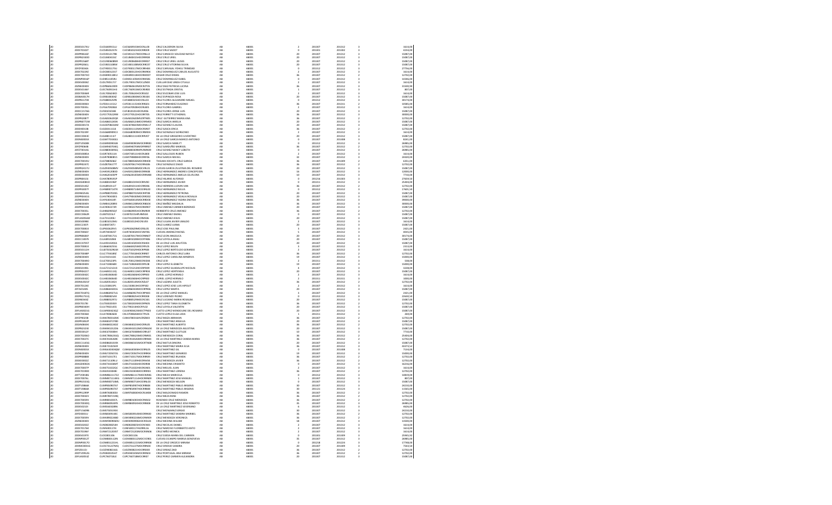| 20<br>20 | 20DES0174U               | CUCS640915LU                 | CUCS640915MOCRLL00                       | CRUZ CALDERON SILVIA<br>CRUZ CRUZ SADOT                |                 | AB001                 |                                                | 201307           | 201312 |                         |
|----------|--------------------------|------------------------------|------------------------------------------|--------------------------------------------------------|-----------------|-----------------------|------------------------------------------------|------------------|--------|-------------------------|
|          | 20DST0102T               | CUCS8503237H                 | CUCS850323HOCRRD09                       |                                                        | AB              | AB001                 | $\mathbf{0}$                                   | 201301           | 201302 |                         |
|          | 20DPR0616F               | CUCS931217RB                 | CUCS931217MOCRNLL0                       | CRUZ CANSECO SOLEDAD NAYELY                            | AB              | A9001                 |                                                | 201307           | 201312 |                         |
| 20<br>20 | 20DPB2330O               | CUCU840415IZ                 | CUCU840415HOCRRR08                       | CRUZ CRUZ URIEL                                        | AB              | AB001                 | $\begin{array}{c} 20 \\ 20 \end{array}$        | 201307           | 201312 |                         |
| 20       | 20DPR1568T               | <b>CUCU900608NR</b>          | CUCU900608HOCRRR07                       | CRUZ CRUZ URIEL ULISES                                 | AB              | AB001                 | 20                                             | 201307           | 201312 |                         |
| $_{20}$  | 20DPR2061L               | CUCV801108IW                 | CUCV801108MOCRRC07                       | CRUZ CRUZ VITORINA SILVIA                              | AB              | AB001                 | 20                                             | 201307           | 201312 |                         |
| 20       | 20F2F0034A               | CUCY9001175U                 | CUCY900117MOCRRH04                       | CRUZ CARVAJAL YOHELI TRINIDAD                          | AB              | AB003                 | $\dot{\text{o}}$                               | 201312           | 201312 |                         |
|          | 20DST02292               | CUDC8001231T                 | CUDC800123HOCRMR04                       |                                                        | AB              | AB001                 | $\overline{2}$                                 | 201307           | 201312 |                         |
| 20       |                          |                              |                                          | CRUZ DOMINGUEZ CARLOS AUGUSTO                          |                 |                       |                                                |                  |        |                         |
| 20       | 20DST00730               | <b>CUDE890118KU</b>          | CUDE890118HOCRMD07                       | EDGAR CRUZ DIMAS                                       | AB              | AB001                 | 36                                             | 201307           | 201312 |                         |
| 20<br>20 | 20DNP0016F               | CUDIR511059U                 | CUDIRS1105MOCRMS06                       | CRUZ DOMINGUEZ ISAREL                                  | AB<br>AB        | <b>AR001</b>          | $\begin{smallmatrix}0\\2\end{smallmatrix}$     | 201307           | 201312 |                         |
|          | 20DES0004Z               | CUDL790517J7                 | CUDL790517MOCLZN00                       | CUELLAR DIAZ LINDA CITLALLI                            |                 | AB001                 |                                                | 201307           | 201312 |                         |
| 20<br>20 | 202NE0040V<br>20DES0146Y | CUDP860619D9                 | CUDP860619MOCRZT05                       | CRUZ DIAZ PATRICIA LUCINA                              | AB<br>AB        | <b>AR001</b>          | $\begin{array}{c} 36 \\ 1 \end{array}$         | 201307<br>201307 | 201312 |                         |
|          |                          | CUEC760915H3                 | CUEC760915MOCRSR00                       | CRUZ ESTRADA CRISTAL                                   |                 | AB001                 |                                                |                  | 201312 |                         |
| 20<br>20 | 20DST0046F               | <b>CUEL700624KD</b>          | CUEL700624HOCRSS02<br>CUER810830MOCRSS04 | CRUZ ESCOBAR JOSE LUIS                                 | AB<br>AB        | <b>AR001</b>          | $\overline{ }$                                 | 201307           | 201312 |                         |
|          | 20DBA0017H               | CUER8108304Z                 |                                          | CRUZ ESPINOZA ROSA                                     |                 | AB001                 | $20\,$                                         | 201307           | 201312 |                         |
|          |                          | CUFA880325P8                 |                                          |                                                        |                 | 48001                 |                                                | 201312           |        |                         |
| 20<br>20 | 20DPB1170K<br>20DEE0006V |                              | CUFA880325HOCRLL03<br>CUFE811115HOCRRG01 | CRUZ FLORES ALEJANDRO MISAEL<br>CRUZ FERNANDEZ EUGENIO | AB<br>AB        |                       | $\begin{array}{c} 0 \\ 36 \end{array}$         |                  | 201312 |                         |
|          |                          | CUFE81111512                 |                                          |                                                        |                 | AB001                 |                                                | 201307           | 201311 |                         |
| 20<br>20 | 20DST0035L               | CUFG670928L8                 | CUFG670928HOCRLB01                       | CRUZ FLORES GABRIEL<br>CRUZ FLORES JORGE LUIS          | AB<br>AB        | AB003                 | $\begin{smallmatrix}2\\20\end{smallmatrix}$    | 201307           | 201312 |                         |
|          | 20DCC2176G               | CUFJ810101BE                 | CUFJ810101HOCRLR06                       |                                                        |                 | AB001                 |                                                | 201307           | 201312 | $\overline{\mathbf{3}}$ |
|          | 202NE0040V               | CUFO770522RW                 | CUFO770522HOCRRT05                       | CRUZ FERRETTI OTHONIEL                                 |                 | AB001                 | 36                                             | 201307           | 201312 |                         |
| 20<br>20 | 20DPR2087T               | CUGA810620QR                 | CUGA810620MVZRTN05                       | CRUZ GUTIERREZ MARIA ANA                               | AB<br>AB        | AB001                 | 36                                             | 201307           | 201312 |                         |
| 20       | 20DPB0772W               | CUGA860124SN                 | CUGA860124MOCRRM03                       | CRUZ GARCIA AMELIA                                     | AB              | AB003                 | $\mathbf{20}$                                  | 201307           | 201312 |                         |
| $_{20}$  | 20DEE0017A               | <b>CUGC870823AM</b>          | CUGC870823MOCRML17                       | CRUZ GOMEZ CLAUDIA                                     | AB              | AB001                 | 20                                             | 201307           | 201312 |                         |
|          |                          |                              |                                          |                                                        |                 |                       |                                                |                  |        |                         |
| 20       | 20DDI0013B               | CUGE831113JJ                 | CUGE831113MOCRSR07                       | CRUZ GASCA ERICA                                       | AB              | AB001                 | 36                                             | 201307           | 201312 |                         |
| 20       | 20DST0239                | CUGG680909C3                 | CUGG680909HOCRNR04                       | CRUZ GONZALEZ GORGONIO                                 | AB              | AB001                 | $\overline{2}$                                 | 201307           | 201312 |                         |
| 20       | 20DCC00430               | CUGJ881111/7                 | CUGJ881111HOCRRV07                       | DE LA CRUZ GREGORIO JUVENTINO                          | AB              | AB001                 | $20\,$                                         | 201307           | 201312 |                         |
| 20<br>20 | 20DNS0001K               | CUGM770330LS                 |                                          | DE LA CRUZ GARCIA MARCO ANTONIO                        | <b>AR</b>       | <b>AR001</b>          | $\mathbf 0$                                    | 201307           | 201308 |                         |
|          | 20DTV0508X               | CUGM900903JB                 | CUGM900903MOCRRR00                       | CRUZ GARCIA MARLYT                                     | AB              | AB001                 | $\rm ^{o}$                                     | 201312           | 201312 |                         |
|          | 20FZP0064B               |                              | CUGM940704MDFRRR07                       | CRUZ GARDUÑO MARISOI                                   |                 | AB003                 |                                                | 201307           | 201312 |                         |
| 20<br>20 | 20FZT0014G               | CUGM940704IQ<br>CUGN8003095Q | CUGN800309MPLRMN09                       | CRUZ GOMEZ NANCY LIZBETH                               | AB<br>AB        | AB001                 | 36<br>0                                        | 201307           | 201312 | $\overline{\mathbf{3}}$ |
|          |                          |                              |                                          |                                                        |                 |                       |                                                |                  |        |                         |
| 20<br>20 | 20DES0085/               | CUGR730511IA                 | CUGR730511HOCRLB00                       | CRUZ GALLEGOS RUBEN                                    | AB<br>AB        | AB003                 |                                                | 201307           | 201312 |                         |
|          | 20ZNE0040V               | CUGR790808V1                 | CUGR790808HOCRRF06                       | CRUZ GARCIA RAFAEL                                     |                 | AB001                 | 32                                             | 201307           | 201312 |                         |
| 20       | 20DST0019U               | CUGT880506IZ                 | CUGT880506MOCRRH00                       | THELMA XOCHITL CRUZ GARCIA                             | AB              | AB003                 | 36                                             | 201307           | 201309 |                         |
| $_{20}$  | 20DPR02470               | CUG28706177T                 | CUGZ870617HOCRNG06                       | CRUZ GONZALEZ ZAGID                                    | AB              | AB001                 | 36                                             | 201307           | 201312 |                         |
| 20       | 20DPR2417U               | CUG2930508MV                 | CUG2930508MOCVRL01                       | CUEVAS GARCIA ZULEYMA DEL ROSARIO                      | AB              | AB001                 | $^{20}$                                        | 201307           | 201312 |                         |
| $_{20}$  | 202NE0040V               | CUHA5912083D                 | CUHA591208HOCRRN08                       | CRUZ HERNANDEZ ANDRES CONCEPCION                       | AB              | AB001                 | 16                                             | 201307           | 201312 |                         |
| 20       | 20DEE0004X               | CUHA620105PP                 | CUHA620105MOCRRM08                       | CRUZ HERNANDEZ AMELIA CELIFLORA                        | AB              | AB001                 | $10$                                           | 201307           | 201312 |                         |
| 20       | 20DPB0413J               | CUHA7809191P                 |                                          | CRUZ HILARIO ALFONSO                                   | AB              | AB001                 | $\circ$                                        | 201216           | 201303 |                         |
|          |                          |                              |                                          |                                                        |                 |                       |                                                |                  |        |                         |
| 20       | 20ADG0081D               | CUHJ8810196P                 | CUHJ881019HOCRRV00                       | CRUZ HERNANDEZ JAVIER                                  | AB              | AB001                 | $\mathbf 0$                                    | 201311           | 201312 |                         |
|          | 20DES01457               | CUHI 891011 IT               | CUHL891011HOCRRD06                       | CRUZ HERRERA LUDVIN VAN                                | AB              | <b>AR001</b>          | 36                                             | 201307           | 201312 |                         |
| 20<br>20 | 20DPR3007Y               | <b>CUHN890714TR</b>          | CUHN890714MOCRRL00                       | CRUZ HERNANDEZ NELVA                                   | $\overline{AB}$ | AB001                 | $\circ$                                        | 201312           | 201312 |                         |
| 20<br>20 | 20DIN02540               | CUHP880701N5                 | CUHP880701MOCRRT08                       | CRUZ HERNANDEZ PETRONA                                 | AB              | <b>AR001</b>          | 20                                             | 201307           | 201312 |                         |
|          | 20DPR0441G               | <b>CUHV790430ES</b>          | CUHV790430MOCRRD02                       | CRUZ HERNANDEZ VIDALIA ROSALIA                         | $\overline{AB}$ | AB001                 | 20                                             | 201307           | 201312 |                         |
| 20       | 20ZNE0040V               | CUHY640414FI                 | CUHY640414MOCRRD00                       | CRUZ HERNANDEZ YADIRA ENEYDA                           | AB              | AB001                 | 36                                             | 201307           | 201312 |                         |
|          |                          |                              |                                          |                                                        |                 |                       |                                                |                  |        |                         |
| $_{20}$  | 202NE0040V               | CUIM84120893                 | CUIM841208MOCRBG04                       | CRUZ IBAÑEZ MIGDALIA                                   | AB              | AB001                 | 36                                             | 201307           | 201312 |                         |
| 20       | 20DPR0314K               | CUJC9002272R                 | CUJC900227MOCRMR07                       | CRUZ JIMENEZ CARMEN BERENICE                           | AB              | <b>AR001</b>          | $20\,$                                         | 201307           | 201312 |                         |
| $_{20}$  | 20DST0035L               | <b>CUJH860905QF</b>          | CUJH860905HOCRMR09                       | HERIBERTO CRUZ JIMENEZ                                 | AB              | AB001                 | 36                                             | 201307           | 201312 |                         |
| 20       | 20DCC0062R               | CUJI870215LF                 | CUJI870215HPLRMS04                       | CRUZ JIMENEZ ISMAEL                                    | AB              | AB003                 | $\mathfrak{o}$                                 | 201307           | 201312 |                         |
| $_{20}$  | 20FUA0056W               | CUJJ741220EJ                 | CUJJ741220HOCRMS06                       | CRUZ JIMENEZ JESUS                                     | AB              | AB001                 | 20                                             | 201307           | 201312 |                         |
| 20       | 20DES0098E               | CUJJ801012MU                 | CUJJ801012HOCRLV03                       | CRUZ JULIAN JAVIER UBALDO                              | AB              | AB001                 | $\frac{1}{2}$                                  | 201307           | 201312 |                         |
|          | 200002307                | CUUR40720TL                  |                                          | CRUZ JUAREZ JUANA                                      | AB              | <b>AR001</b>          | 20                                             | 201307           | 201312 |                         |
| 20<br>20 | 20DST0081X               | <b>CUJP650629VS</b>          | CUJP650629MOCRSL05                       | CRUZ JOSE PAULINA                                      | AB              |                       |                                                | 201307           |        |                         |
|          |                          |                              |                                          | CUEVAS IIMENEZ RAFAEL                                  |                 | AB001<br><b>AR001</b> | $\overline{\mathbf{3}}$<br>$\bar{\mathbf{x}}$  |                  | 201312 |                         |
| 20<br>20 | 20DST00658               | CUJR7403025T                 | CUJR740302HOCVMF06                       |                                                        | AB              |                       |                                                | 201307           | 201312 |                         |
|          | 20DPB0606Y               | <b>CULA870417UL</b>          | CULA870417MOCRNN07                       | CRUZ LEON ANGELICA                                     | $\overline{AB}$ | AB001                 | 20                                             | 201307           | 201312 |                         |
| 20       | 20DCC1007E               | CULA8910284I                 | CULA891028MOCRYN06                       | CRUZ LOYOLA ANALI                                      | AB              | <b>AR001</b>          | $20\,$                                         | 201307           | 201312 |                         |
| $_{20}$  | 20DCC07051               | CULA931020GS                 | CULA931020HOCRSH04                       | DE LA CRUZ LUIS AHUITZOL                               | AB              | AB001                 | 20                                             | 201307           | 201312 |                         |
| 20       | 20DST0081X               | CULB6604255G                 | CULB660425MOCRPL05                       | CRUZ LOPEZ BELEN                                       | AB              | AB001                 | $\overline{\mathbf{3}}$                        | 201307           | 201312 |                         |
| $_{20}$  | 20DES0112H               | <b>CULB750329GM</b>          | CULB750329HOCRPR08                       | CRUZ LOPEZ BERTOLDO GERARDO                            | AB              | AB001                 | $\overline{2}$                                 | 201307           | 201312 |                         |
| 20       | 20DST0048F               | CULC77041892                 | CULC770418HOCRRR07                       | CARLOS ANTONIO CRUZ LARA                               | AB              | AB001                 | 36                                             | 201307           | 201312 |                         |
|          |                          |                              |                                          |                                                        |                 |                       |                                                |                  |        |                         |
| $_{20}$  | 202NE0040V               | CULC910110JC                 | CULC910110MOCRPR00                       | CRUZ LOPEZ CAROLINA MINERVA                            | AB              | AB001                 | 19                                             | 201307           | 201312 |                         |
| 20       | 20DST0049Q               | CULE700123PS                 | CUXL700123MOCRXD04                       | CRUZ LEID                                              | AB              | AB003                 |                                                | 201311           | 201312 |                         |
| 20       | 202NF0040V               | <b>CULE7108268X</b>          | CULE710826MOCRPL08                       | CRUZ LOPEZ ELIZARETH                                   | <b>AR</b>       | <b>AR001</b>          | 19                                             | 201307           | 201312 |                         |
| 20       | 20DES0190                | CULG721212U3                 | CULG721212HOCRPD09                       | CRUZ LOPEZ GUADALUPE NICOLAS                           | AB              | AB001                 |                                                | 201307           | 201312 |                         |
| 20<br>20 | 20DPR04211               | CULH690111IQ                 | CULH690111MOCRPR04                       | CRUZ LOPEZ HORTENSIA                                   | AB              | <b>AR001</b>          | $\begin{array}{c} 20 \\ 2 \end{array}$         | 201307           | 201312 |                         |
|          | 20DES0042C               | CULH8106064D                 | CULH810606HOCRPR00                       | CURIEL LOPEZ HERMILO                                   | AB              | AB001                 |                                                | 201307           | 201312 |                         |
|          | 20DES00420               | CULH8106064D                 | CULH810606HOCRPR00                       |                                                        |                 | <b>AR001</b>          | $\overline{2}$                                 | 201311           | 201311 |                         |
| 20<br>20 | 20DML0021F               | CULJ820514G4                 | CULJ820514MOCRZL07                       | CURIEL LOPEZ HERMILO<br>CRUZ LAZARO JULIETA            | AB<br>AB        | AB001                 | 36                                             | 201307           | 201312 |                         |
|          |                          |                              |                                          |                                                        |                 | AB001                 |                                                |                  | 201312 |                         |
| 20<br>20 | 20DST0124E               | CULL550813P1<br>CULM860430C6 | CULL550813HOCRPS02<br>CULM860430MOCRPR06 | CRUZ LOPEZ JOSE LUIS HIPOLIT<br>CRUZ LOPEZ MARTA       | AB<br>AB        |                       | $\overline{2}$                                 | 201307<br>201307 |        |                         |
|          | 20TAI0140S               |                              |                                          |                                                        |                 | AB001                 | $20^{-}$                                       |                  | 201312 |                         |
| 20<br>20 | 20DST0187Q               | CULM860927LG                 | CULM860927HOCRPN03                       | DE LA CRUZ LOPEZ MANUEL                                | AB<br>AB        | <b>AR001</b>          | $\begin{smallmatrix} 3 \\ 0 \end{smallmatrix}$ | 201307           | 201312 |                         |
|          | 20DPB1751Q               | CULP880825A9                 | CULP880825HOCRRD08                       |                                                        |                 | AB001                 |                                                | 201312           | 201312 | $\overline{\mathbf{3}}$ |
| 20       | 20DIN03442               | CULR8805297U                 | CULR880529MOCRCS01                       | CRUZ LUCIANO MARIA ROSALBA                             | AB              | AB003                 | $_{\rm 20}$                                    | 201307           | 201312 |                         |
| $_{20}$  | 20DST0178                | CULT830203S9                 | CULT830203MOCRPN05                       | CRUZ LOPEZ TANIA ELIZABETH                             | AB              | AB001                 | 36                                             | 201307           | 201312 |                         |
| 20       | 20DPB0340H               | CULV79021455                 | CILV790214HOCRYL02                       | CRUZ LOYOLA VALENTIN                                   | AB              | AB001                 | $20\,$                                         | 201307           | 201312 |                         |
|          | 20EU40021G               | CLILW90042307                | CULW900423MOCTPN03                       | CUETO LOPEZ WENDOLINE DEL ROSARIO                      | 4R              | <b>AR001</b>          |                                                | 201307           | 201312 |                         |
| 20<br>20 | 20DST0036                | CULX700826EB                 | CXLO700826MOCTPL05                       | CUETO LOPEZ OLGA LIDIA                                 | AB              | AB001                 | $\begin{array}{c} 20 \\ 1 \end{array}$         | 201311           | 201312 |                         |
|          |                          |                              |                                          |                                                        |                 |                       |                                                |                  |        |                         |
| 20<br>20 | 20FZP0023B               | CUMA780316MC                 | CUMA780316HVZRZB03                       | CRUZ MAZA ARRAHAN                                      | AB              | <b>AR001</b>          | $\frac{36}{20}$                                | 201307           | 201312 |                         |
|          | 20DPR1852F               | CUMA8107278D                 |                                          | CRUZ MARTINEZ ARGELIA                                  | AB              | AB001                 |                                                | 201307           | 201312 |                         |
|          |                          | CUMA840224DZ                 | CUMA840224HOCRRL05                       |                                                        |                 | <b>AR001</b>          |                                                |                  | 201312 |                         |
| 20<br>20 | 20DJN0843K<br>20DPB2323E | CUMA941012D6                 | CUMA941012MOCRNG04                       | CRUZ MARTINEZ ALBERTO<br>DE LA CRUZ MENDOZA AGUSTINA   | AB<br>AB        | AB001                 | $\begin{array}{c} 36 \\ 20 \end{array}$        | 201307<br>201307 | 201312 |                         |
| 20<br>20 | 20DEE0012F               | CUMC670308HI                 | CUMC670308MOCRRI 07                      | CRUZ MARTINEZ CLOTILDE                                 | AB<br>AB        | A9001                 | $\begin{array}{c} 10 \\ 36 \end{array}$        | 201307           | 201312 |                         |
|          |                          | CUMC780623GQ                 | CUMC780623MOCRNR01                       | CRUZ MENDOZA CORAL                                     |                 | AB001                 |                                                | 201307           | 201312 |                         |
| 20<br>20 | 20DST00270               | CUMC910426RC                 | CUMC910426MOCRRN04                       | DE LA CRUZ MARTINEZ CANDIA MARIA                       | AB<br>AB        | AB003                 | $\begin{array}{c} 36 \\ 20 \end{array}$        | 201307           | 201312 |                         |
|          | 20DCC1145G               | CUMD8601019X                 | CUMD860101MOCRTN08                       | CRUZ MATUS DINORA                                      |                 | AB001                 |                                                | 201307           | 201312 |                         |
|          | 202NE0040V               | <b>CUME731025ER</b>          |                                          | CRUZ MARTINEZ MARIA ELSA                               |                 | AB003                 | 36                                             | 201307           | 201312 |                         |
| 20<br>20 |                          |                              | CUMG630304HOCRRL05                       |                                                        | AB<br>AB        |                       |                                                |                  |        |                         |
|          | 20DNS0001K               | CUMG630304QM                 |                                          | CRUZ MARTINEZ GIL                                      |                 | AB001                 | $\circ$                                        | 201307           | 201308 |                         |
|          | 202NE0040V               | CUMG720507JG                 | CUMG720507HOCRRR04                       | CRUZ MARTINEZ GERARDO                                  |                 | AB001                 | 19                                             | 201307           | 201312 |                         |
| 20<br>20 | 20DPR0888X               | CUMI710317E1                 | CUMI710317MOCRRR09                       | CRUZ MARTINEZ IRLANDA                                  | AB<br>AB        | AB001                 | 36                                             | 201307           | 201312 |                         |
| 20       | 20DEE00022               | CUMJ711109LU                 | CUMJ711109HOCRNV04                       | CRUZ MENDOZA JAVIER                                    | AB              | AB001                 | 36                                             | 201307           | 201312 |                         |
| 20       | 20AGD0002A               | CUMJ731026MT                 | CUMJ731026HOCRDR08                       | CRUZ MEDINA CRISANTO                                   | AB              | AB001                 | $\circ$                                        | 201307           | 201312 | $\overline{\mathbf{3}}$ |
| 20       | 20DST0007P               | CUMJ751022QC                 | CUMJ751022HOCRGN01                       | CRUZ MIGUEL JUAN                                       | AB              | AB001                 | $\mathbf 2$                                    | 201307           | 201312 |                         |
| 20       | 20DST0190D               | CUML910304BI                 | CUML910304MOCRRR03                       | CRUZ MARTINEZ LORENA                                   | AB              | AB001                 | 36                                             | 201307           | 201312 |                         |
| 20       | 20FTV0018G               | CUMM86111722                 | CUMM861117MOCRJR06                       | CRUZ MEJIA MARICELA                                    | AB              | AB001                 | $\mathfrak o$                                  | 201312           | 201312 |                         |
|          |                          |                              |                                          |                                                        |                 |                       |                                                |                  |        |                         |
| 20<br>20 | 20DST0076L               | CUMM871114KG                 | CUMM871114HOCRRN09                       | CRUZ MARTÍNEZ JOSE MANUEL                              | AB<br>AB        | AB003                 | $\begin{smallmatrix}1\\0\end{smallmatrix}$     | 201307           | 201312 |                         |
|          | 20DPB1553Q               | <b>CUMN900714ML</b>          | CUMN900714HOCRNL03                       | CRUZ MENDOZA NELSON                                    |                 | AB001                 |                                                | 201307           | 201312 |                         |
| 20<br>20 | 20DTV0866K<br>20DTV0866K | CUMP850907A7                 | CUMP850907HOCRRB08                       | CRUZ MARTINEZ PABLO ARGENIS                            | AB<br>AB        | AB003                 | 30                                             | 201307           | 201312 |                         |
|          |                          | <b>CUMP850907A7</b>          | CUMP850907HOCRRB08                       | CRUZ MARTINEZ PABLO ARGENIS                            |                 | AB001                 | 30                                             | 201121           | 201124 |                         |
|          | 20DPR1299R               | CUMR760830DJ                 | CUMR760830HOCRLM08                       | CRUZ MALDONADO RAMON                                   |                 | AB001                 | 36                                             | 201307           | 201312 |                         |
| 20<br>20 | 20DST0042V               | CUMR780721RQ                 |                                          | CRUZ MEZA RENE                                         | AB<br>AB        | AB001                 | 36                                             | 201307           | 201312 |                         |
| 20       | 20DST0059\               | CUMR8010037L                 | CUMR801003HOCRNS02                       | ROSENDO CRUZ MENDOZA                                   | AB              | AB001                 |                                                | 201307           | 201312 |                         |
| $_{20}$  | 20DST0030Q               | <b>CUMR840924PX</b>          | CUMR840924HOCRRB08                       | DE LA CRUZ MARTINEZ JOSE ROBERTO                       | AB              | AB001                 | $\frac{36}{35}$                                | 201307           | 201312 |                         |
|          |                          |                              |                                          |                                                        |                 |                       |                                                |                  |        |                         |
| 20       | 20DES0210                | CUMS56032896                 |                                          | DE LA CRUZ MARTINEZ SEVERIANO                          | AB              | AB001                 | 6                                              | 201307           | 201312 |                         |
| 20       | 20DTV1609E               | CUMS7505193X                 |                                          | CRUZ MONJARAZ SERGIO                                   | AB              | AB001                 | 30                                             | 201307           | 201312 |                         |
| 20       | 20FE10001U               | CUMS8309144C                 | CUMS830914MOCRRN00                       | CRUZ MARTINEZ SANDRA MARIBEL                           | AB              | AB001                 | 36                                             | 201307           | 201312 |                         |
|          | 20DST0059V               | CLIMVR90224RD                | CUMV890224MOCRNR09                       | CRUZ MENDOZA VERONICA                                  | <b>AR</b>       | <b>AR001</b>          | 36                                             | 201307           | 201312 |                         |
| 20<br>20 | 20ZNE0040V               | CUMW9009069U                 | CUMW900906HOCRDL03                       | CRUZ MEDINA WILIAM                                     | AB              | AB001                 | $^{\rm 18}$                                    | 201307           | 201312 |                         |
|          | 20DES02022               | CUND8208254H                 | CUNDR20825HOCRCN03                       | CRUZ NICOLAS DANIEL                                    | AB              | <b>AR001</b>          | $\overline{2}$                                 | 201307           | 201312 |                         |
| 20<br>20 | 20DST0176K               | CUNF690117/4                 | CUNF690117HVZRRL16                       | CRUZ NARCISO FLORIBERTO ANTO                           | AB              |                       | $\overline{2}$                                 | 201307           |        |                         |
|          |                          |                              |                                          |                                                        | AB              | AB001<br>AB001        | $\overline{ }$                                 |                  | 201312 |                         |
| 20<br>20 | 20DST0196                | CUNM7212035T                 | CUNM721203MOCRXN06                       | CRUZ NIÑO MONICA                                       |                 |                       |                                                | 201307           | 201312 |                         |
|          | 20DES0197E               | CUOC801106                   | CUOC801106                               | CRUZ OJEDA MARIA DEL CARMEN                            | AB              | AB001                 | $\theta$                                       | 201301           | 201309 |                         |
| 20       | 20DNP0012T               | CUOM800112IN                 | CUOM800112MOCVCR01                       | CUEVAS OCAMPO MARISA GENOVEVA                          | AB              | AB001                 | 35                                             | 201307           | 201312 |                         |
| $_{20}$  | 20DNP0017O               | CUOM851221HL                 | CUOM851221MOCRRR08                       | DE LA CRUZ OROZCO MIRIAM                               | AB              | AB001                 | $\circ$                                        | 201218           | 201224 |                         |
|          | 20HMC0001G               | CU0S731227MQ                 | CU0S731227MOCRRN04                       | CRUZ OROSIO SANDRA                                     | AB              | AB003                 | $\overline{20}$                                | 201307           | 201309 |                         |
| $_{20}$  | 20FIZ0115I               | CU029008216G                 | CU0Z900821HOCRRD00                       | CRUZ ORDAZ ZAID                                        | AB              | AB001                 | 36                                             | 201307           | 201312 |                         |
|          | 20DTV0952G               | CUPA940105H7                 | CUPA940105MOCRRN03                       | CRUZ PORTUGAL ANA MIRIAM                               | AB              | AB00                  | 36                                             | 201307           | 201312 |                         |
|          | 20EU400532               | CUPC760718LF                 | CUPC760718MOCRR07                        | CRUZ PEREZ CARMEN ALEIANDRA                            | <b>AR</b>       | <b>AR001</b>          | 20                                             | 201307           | 201312 |                         |
|          |                          |                              |                                          |                                                        |                 |                       |                                                |                  |        |                         |
|          |                          |                              |                                          |                                                        |                 |                       |                                                |                  |        |                         |

# 1614,00 3 4234,00 3 15087,00 3 15087,00 3 15087,00 3 15087,00 3 27756,00 3 1614,00 2 12702,00 3 14346,00 3 1614,00 3 31500,90 3 807,00 3 1614,00 3 15087,00 3 30174,00 2 10585,00 3 1614,00 3 15087,00 3 30000,00 2 12702,00 3 15087,00 3 15087,00 2 12702,00 3 1614,00 3 15087,00 3 8241,00 3 26985,00 2 12702,00 3 26985,00 3 1614,00 3 24420,00 2 6351,00 2 12702,00 3 15087,00 3 12000,00 3 7710,00 3 27659,50 3 25404,00 2 12702,00 3 17601,50 3 15087,00 3 15087,00 3 39000,00 3 30000,00 3 15087,00 2 12702,00 3 15087,00 3 15087,00 3 1614,00 3 15087,00 3 2421,00 3 4035,00 3 30174,00 3 15087,00 3 15087,00 3 2313,00 3 1614,00 2 12702,00 3 15000,00 3 538,00 3 15000,00 3 3228,00 3 15087,00 3 1614,00 3 1000,00 2 12702,00 3 1614,00 3 15087,00 3 2421,00 3 22630,50 3 15087,00 2 12702,00 3 15087,00 3 15087,00 3 269,00 2 12702,00 3 15087,00 2 12702,00 3 15087,00 3 7710,00 2 25404,00 2 12702,00 3 15087,00 3 43373,52 3 7134,00 3 15000,00 2 12702,00 2 12702,00 3 16216,00 3 1614,00 2 12702,00 3 14819,00 3 807,00 3 15087,00 3 24210,00 3 11565,00 2 12702,00 2 12702,00 2 12702,00 3 26985,00 3 4626,00 3 24210,00 2 12702,00 2 12702,00 3 13500,00 3 1614,00 3 1614,00 3 1614,00 3 25945,92 3 26985,00 3 17748,00 3 7543,50 2 12702,00 2 12702,00 3 15087,00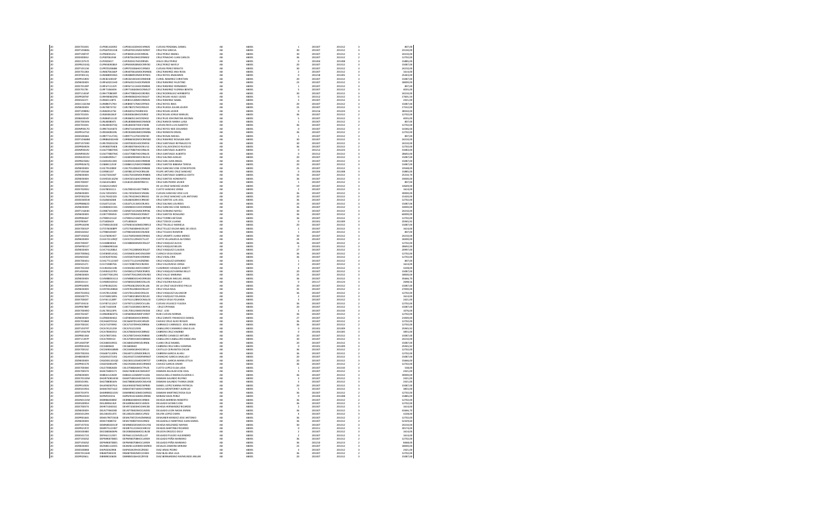|                 | 20DST0103S               | CUPD81102092                 | CUPD811020HOCVRN05                       | CUEVAS PERZABAL DANIEL                                     |                 |
|-----------------|--------------------------|------------------------------|------------------------------------------|------------------------------------------------------------|-----------------|
| 20<br>20        | 20DTV0580G               | CUPG8703131B                 | CUPG870313MOCRZR07                       | CRUZ PAZ GRECIA                                            | AB              |
|                 |                          |                              |                                          |                                                            |                 |
| 20              | 20DTV0874T               | CUPI830412IU                 | CUPI830412HOCRRS06                       | CRUZ PEREZ ISMAEL                                          | AB              |
| $_{20}$         | 20DDI0004U               | CUPJ87061944                 | CUPJ870619HOCRNN02                       | CRUZ PINACHO JUAN CARLOS                                   | AB              |
| 20              | 20DCC07572               | CUPJ920417                   | CUPJ920417HOCRRS05                       | <b>JESUS CRUZ PEREZ</b>                                    | AB              |
|                 | 20DPB1553Q<br>20DTV0115K | CUPN930928LR<br>CUPR701006BB | CUPN930928MOCRRY00<br>CUPR701006HOCVRN03 | CRUZ PEREZ NAYELY<br>CUEVAS PEREZ RENATO                   | AB<br>AB        |
| 2C<br>2C        |                          |                              |                                          |                                                            |                 |
|                 |                          |                              | CURA870616MOCRMN06                       |                                                            |                 |
| 20<br>20        | 20DST0128A<br>20FZF0011Q | CURA8706166P<br>CURA880919GS |                                          | CRUZ RAMIREZ ANA ROSA<br>CRUZ REYES ANAKAREN               | AB<br>AB        |
|                 |                          |                              | CURA880919MOCRYN01                       |                                                            |                 |
| 20<br>20        | 20DPR1590V<br>20ZNE0040V | CURC821001SP<br>CURF620215HD | CURC821001HOCRMH08                       | CURIEL RAMIREZ CHRISTIAN<br>CRUZ RAMIREZ FAUSTINO          | AB<br>AB        |
|                 |                          |                              | CURF620215HOCRMS09                       |                                                            |                 |
|                 | 20DST0130P               | CURF6711133Y                 | CURF671113HOCRMR04                       | CRUZ RAMIREZ FERNANDO<br>CRUZ RAMIREZ FERNANDO             |                 |
| 20<br>20        |                          |                              |                                          |                                                            | AB<br>AB        |
|                 | 20DST0178                | CURF710604IN                 | CURF710604MOCRML07                       |                                                            |                 |
| 20              | 20DTV1455P               | <b>CURH770803RY</b>          | CURH770803HOCRDR01                       | CRUZ RODRIGUEZ HERIBERTO                                   |                 |
| $_{20}$         | 20DPR2876F               | CURH9006029G                 | CURH900602HOCRJG07                       | CRUZ ROJAS HUGO ULISES                                     | AB<br>AB        |
| 20<br>20        | 20DES0227                | CURI831128TE                 | CURI831128MOCRMS05                       | CRUZ RAMIREZ ISABEL                                        | AB              |
|                 | 20DCC1023W               | <b>CURI890717NV</b>          | CURI890717MOCRYR03                       | CRUZ REYES IRAIS                                           | AB              |
| 20              |                          |                              |                                          |                                                            |                 |
|                 | 202NE0040V               | CURI78072722                 | CURJ780727HOCRDL04                       | CRUZ RUEDA JULIAN JAVIER                                   | AB              |
| 20              | 20DTV0989L               | CURJ8201275E                 | CURJ820127HSRRJV03                       | CRUZ ROJAS JAVIER                                          | AB              |
| 2c              | 20DST0103S               | CURI830618UF                 | CURJ830618HOCRJR02                       | CRUZ ROJAS JORGE MANUEL                                    | AB              |
| 20              | 20DBA0034Y               | CURJ860511UD                 | CURJ860511HOCRZH02                       | CRUZ RUIZ JOHONATAN ADONAI                                 | AB              |
| 20              | 20DST0033N               | CURL800804TJ                 | CURL800804MOCRMS00                       | CRUZ RAMOS MARIA LUISA                                     | AB              |
|                 | 20DST0103S               | CURL8403073Q                 | CURLB40307HOCVSS08                       | <b>CUEVAS RIOS LUIS ALBERTO</b>                            |                 |
| 20<br>20        |                          |                              |                                          |                                                            | AB<br>AB        |
|                 | 20DNP0017O               | CURN73101875                 | CURN731018HOCRYX08                       | CRUZ REYES NOE EDUARDO                                     |                 |
|                 | 20DPR1475D               | CURO8308109L                 | CURO830810MOCRNR06                       | CRUZ RENDON ORIZEL                                         |                 |
| 20<br>20        | 20DES0044A               | CURR7711272Q                 | CURR771127HOCRSF00                       | CRUZ ROSAS RAFAEL                                          | AB<br>AB        |
| 20              | 20DTV0468M               | CURR860302HW                 | CURR860302MOCRMS00                       | CRUZ RAMIREZ ROSALBA ADR                                   | AB              |
| $_{20}$         | 20DTV0739Q               | CURS700201CW                 | CUSR700201HOCRNY04                       | CRUZ SANTIAGO REYNALDO FE                                  | AB              |
| 20              |                          |                              |                                          |                                                            |                 |
|                 | 20DPR0492N               | CURV800704EB                 | CURV800704HOCRLV15                       | CRUZ VILLAVICENCIO RUVELIO                                 | AB              |
| $_{20}$         | 20DNP0010V               | CUSA770807MC                 | CUSA770807HOCRNL05                       | CRUS SANTIAGO ALBERTO                                      | AB              |
| --<br>20<br>20  | 20DNP0010V               | CUSA770807MC                 | CUSA770807HOCRNL05                       | CRUS SANTIAGO ALBERTO                                      | AB              |
|                 | 20DML0015V               | CUSA850905LT                 | CUSA850905MOCRLD14                       | CRUZ SALINAS ADALID                                        | AB              |
| 2c              | 20DPB2358U               | <b>CUSA910513KK</b>          | CUSA910513HOCRNN08                       | CRUZ SAN JUAN ANGEL                                        | AB              |
|                 | 200PR02670               | <b>CUSR8411253F</b>          | CUSR841125MOCRNR08                       | CRUZ SANTOS BIBIANA TERESA                                 | <b>AR</b>       |
| 20<br>20        |                          |                              |                                          |                                                            |                 |
|                 | 202NE0040V               | CUSC791208SF                 | CUSC791208HOCRNN08                       | CRUZ SANCHEZ JOSE CONCEPCION                               | AB              |
|                 | 20DTV0016K               | CUSF881107                   | CUSERR1107HOCRNL08                       | FELIPE ARTURO CRUZ SANCHEZ                                 |                 |
| 20<br>20        | 202NE0040V               | CUSG750104JT                 | CUSG750104MOCRNB05                       | CRUZ SANTIAGO GABRIELA EDITH                               | AB<br>AB        |
|                 | 202NE0040V               | CUSH5501162W                 | CUSH550116HOCRNN04                       | CRUZ SANTOS HONORATO                                       | AB              |
| 20<br>20        |                          |                              |                                          |                                                            |                 |
|                 | 20DST0003T               | CUSJ610128KE                 | CUSJ610128HDFRNV11                       | CRUZ SAN PEDRO JAVIER                                      | AB              |
| 20              | 20DES0210                | CUSJ621214MZ                 |                                          | DE LA CRUZ SANCHEZ JAVIER                                  | AB              |
| $_{20}$         | 20DST0200U               | CUSJ78033111                 | CUSJ780331HOCTNR05                       | <b>CUETO SANCHEZ JORGE</b>                                 | AB              |
| 20              | 202NE0040V               | <b>CUSL72010SFH</b>          | CUSL720105HOCVNS06                       | CUEVAS SANCHEZ JOSE LUIS                                   | AB              |
| $_{20}$         | 20FZF0022W               | CUSL7910232D                 | CUSL791023HOCRNS02                       | DE LA CRUZ SANCHEZ LUIS ANTONIO                            | AB              |
|                 |                          |                              |                                          |                                                            |                 |
| 20              | 20DEE0005W               | CUSL860428JB                 | CUSL860428HOCRNS00                       | CRUZ SANTOS LUIS JOEL                                      | AB              |
| $\overline{2}$  | 20DPB0862O               | CUSL87121116                 | CUSL871211MOCRLR01                       | CRUZ SALINAS LOURDES                                       | AB              |
| 20              | 202NE0040V               | CUSM840215S1                 | CUSM840215HOCHNN08                       | CRUZ SANCHEZ JOSE MANUEL                                   | AB              |
|                 | 20DTV1644H               | CUSN871013N9                 | CUSN871013MOCRRY06                       | CRUZ SORIANO NAYELL                                        | AB              |
| 2C<br>2C        | 202NE0040V               | <b>CUSR770904VE</b>          | CUSR770904HOCRNS07                       | CRUZ SANTOS ROSALINO                                       | AB              |
|                 | 20DPR0636T               |                              |                                          |                                                            |                 |
|                 |                          |                              | CUTB901215MOCRRT00                       |                                                            |                 |
| 20<br>20        | 20FZP0056T               | CUTB90121522<br>CUTL800619   | CUTL800619                               | CRUZ TORRES BETZAID<br>CRUZ TZEECK LILIANA                 | AB<br>AB        |
| 20              | 20DPR1659K               | CUTM8310103E                 | CUTM831010MOCRRR13                       | CRUZ TRUJILLO MARIELA                                      | AB              |
| $_{20}$         | 20DST0031P               | CUTO760308PF                 | CUTO760308HOCRLS07                       | CRUZ TELLEZ OSCAR ABEL DE JESUS                            | AB              |
| 20              | 20DES0202Z               | CUTR801003KF                 | CUTR801003HOCRLN00                       | CRUZ TOLEDO RANFERI                                        | AB              |
| $_{20}$         |                          |                              |                                          | CRUZ URIARTE JUANA MERCE                                   |                 |
|                 | 20DTV05052               | CUUJ7609245T                 | CUUJ760924MOCRRN01                       |                                                            | AB              |
| 20              | 202NE0040V               | CUVA721129QT                 | CUVA721129HOCTLL07                       | CUETO VILLANUEVA ALFONSO                                   | AB              |
| $_{20}$         | 20DST0003T               | CUVA880404JI                 | CUVA880404MOCRSL07                       | CRUZ VASQUEZ ALICIA                                        | AB              |
| 20              | 20FMP0011T               | CUVB860901G8                 |                                          | CRUZ VASQUEZ BELEN                                         | AB              |
| 20              | 202NE0040V               | <b>CUVC741208LA</b>          | CUVC741208MOCRSL07                       | CRUZ VASQUEZ CLAUDIA                                       | AB              |
| 20              | 20DST0006Q               | CUVE8405141Q                 | CUVE840514HOCNGD09                       | CUENCA VEGA EDGAR                                          | AB              |
|                 | 2001N03502               | <b>CLIVE920703SG</b>         | CUVE920203HOCRDR00                       | CRUZ VIDAL FRIK                                            |                 |
| 2C<br>2C        |                          |                              |                                          |                                                            | AB<br>AB        |
|                 | 20DST0043U               | CUVG771121M7                 | CUVG771121HVZRZR00                       | CRUZ VAZQUEZ GERARDO                                       |                 |
| 2C<br>2C        | 20DES0127J<br>20DST0224D | CUVJ720807GS<br>CUVJ810611HB | CUVJ720807HOCRLR04                       | CRUZ VALDIVIESO JORGE<br>CUADRADO VASQUEZ JANETT           | AB<br>AB        |
|                 |                          |                              | CUVJ810611MOCDSN07                       |                                                            |                 |
|                 |                          |                              |                                          |                                                            |                 |
| 20<br>20        | 20FUA0036I<br>20ZNE0040V | CUVK841227R1<br>CUVM770412R1 | CUVK841227MOCRSR01<br>CUVM770412MOCRLR03 | CRUZ VASQUEZ KARINA NELLY<br>CRUZ VALLE MARIANA            | AB<br>AB        |
|                 |                          |                              |                                          |                                                            |                 |
| 20<br>20        | 202NE0040V               | CUVM88033113                 | CUVM880331HOCRRG04                       | CRUZ VARGAS MIGUEL ANGEL<br>CRUZ VILORIA NALLELY           | AB<br>AB        |
|                 | 20DES0111                |                              |                                          |                                                            |                 |
| 20<br>20        | 20DPR3409S               | CUVP8106223U                 | CUVP810622MOCRLL06                       | DE LA CRUZ VALDIVIESO PAULA<br>CRUZ VEGA RAUL              | AB<br>AB        |
|                 | 20ZNE0040V               |                              | CUVR781208HOCRGL07                       |                                                            |                 |
|                 |                          |                              |                                          |                                                            |                 |
| 20<br>20        | 20DST0105Q               | CUVS7811204D                 | CUVS781120HOCRSL03                       | CRUZ VASQUEZ SALVADOR                                      | AB<br>AB        |
|                 | 20DES0077S               | CUVY580218FG                 | CUVY580218MOCRZL02                       | CRUZ VAZQUEZ YOLANDA                                       |                 |
| 20              | 20DST0003T               | CUVY611128FF                 | CUVY611128MOCNGL03                       | CUENCA VEGA YOLANDA                                        | AB              |
|                 |                          |                              | CUVY871112MOCVLL06                       | CUEVAS VELASCO YULIDIA                                     |                 |
| 2C<br>2C        | 20DTV0413J<br>20DPR0788Y | CUVY871112A7<br>CUXE710203IR | CUXE710203MOCRXPC6                       | CRUZ EPIFANIA                                              | AB<br>AB        |
|                 |                          |                              |                                          |                                                            |                 |
| 20<br>20        | 20DST00490<br>20DST0242T | CUXL700123PS<br>CUXN690603TG | CUXL700123MOCRXD04<br>CUXN690603MDFVXR07 | CRUZ . LEID<br>RUBI CUEVAS NORMA                           | AB<br>AB        |
|                 |                          |                              |                                          |                                                            |                 |
|                 |                          |                              | CUZF800404HOCRRR05                       |                                                            |                 |
| 20<br>20        | 202NE0040V<br>20DST0186R | CUZF800404Q5<br>CXCA6407015A | CXCA640701HOCHRL09                       | CRUZ ZARATE FRANCISCO DANIEL<br>CHAVEZ CRUZ ALDO ROGER     | AB<br>AB        |
|                 |                          |                              |                                          |                                                            |                 |
| 20<br>20        | 20DST0010C<br>20DTV0379T | CXCA71070992<br>CXCA74121259 | CXCA710709HOCRRR06                       | CARRASCO CARRASCO JOSE ARMA<br>CABALLERO CAMARGO ANA ELLIA | AB<br>AB        |
|                 |                          |                              | CXCA741212595                            |                                                            |                 |
| 20<br>20        | 20DTV0567M               | CXCA78040353<br>CXCA780724IG | CXCA780403HOCBRN02<br>CXCA780724HOCRNR00 | CABRERA CRUZ ANARBO                                        | AB<br>AB        |
|                 | 20DPB0136X               |                              |                                          | CARREÑO CANSECO ARTURO                                     |                 |
|                 | 20DTV1397P               | CXCA790915II                 | CXCA790915MOCBBN04                       | CABALLERO CABALLERO ANGELINA                               | AB              |
| 20<br>20        | 20FUA0070F               | CXCA840109CG                 | CXCA840109MVZLRN06                       | CLARA CRUZ ANABEL                                          | AB              |
|                 |                          |                              |                                          |                                                            |                 |
| 20              | 20DPR0103G               | CXCA840602                   | CXCA840602                               | CABRERA CRUZ ARELI GEMIMA                                  | AB              |
| $_{20}$         | 20DST00132               | CXCO690418MB                 | CXCO690418HOCSRS13                       | CASTILLO CERVANTES OSCAR                                   | AB              |
|                 | 20DST0023G               | CXGA871120P6                 | CXGA871120MOCBRL01                       | CABRERA GARCIA ALHELI                                      | AB              |
| --<br>20<br>20  | 20HBD0003Y               | CXGA910721R2                 | CXGA910721MDFMRN07                       | CAMACHO GARCIA ANALLELY                                    | AB              |
| 20              | 202NE0040V               | CXGO831101QD                 | CXG0831101MOCRRT07                       | CARRIZAL GARCIA MARIA OTILIA                               | AB              |
| 20              | 20DPR0157K               | CXGO920814PE                 | CXGO920814HOCHRM03                       | CHAVEZ GARCIA OMAR                                         | AB              |
|                 |                          |                              |                                          |                                                            |                 |
| 20              | 20DST0036K               | CXLO700826EB                 | CXLO700826MOCTPL05                       | CUETO LOPEZ OLGA LIDIA                                     | AB              |
| 20<br>20        | 2005T00578               | <b>DAAF76081571</b>          | DAAF760815HCSMGX07                       | DAMIAN AGUILAR IOSE EXAL                                   | AB              |
|                 | 20ZNE0040V               | DABE611226SR                 | DABE611226MDFVLG06                       | DAVILA BELLO MARIA EUGENIA C.                              | $\overline{AB}$ |
|                 | 20DST0133M               | DAGR750814EM                 | DAGR750814HOCMLF01                       |                                                            |                 |
| 20<br>20        |                          | DAGT880816IN                 | DAGT880816MOCMLH04                       | DAMIAN GALINDO RUFINO<br>DAMIAN GALINDO THANIA ZAIDE       | AB<br>AB        |
|                 | 20DES0190L               |                              |                                          |                                                            |                 |
| 20<br>20        | 20DPR1450V               | DALK940307G4                 | DALK940307MOCNPR00                       | DANIEL LOPEZ KARINA PATRICIA                               | AB<br>AB        |
|                 | 20DES0195G               | DAMA740716JZ                 | DAMA740716HOCVNR04                       | DAVILA MONTERREY AURELIO                                   |                 |
|                 | 20DST0197X               | DAMR8902103V                 | DAMR890210MOCMRS01                       | DAMIAN MARTINEZ ROSA ELIA                                  | AB              |
| 20<br>20        | 20DPB1033H               | DAPM910216                   | DAPM910216MOCZRR06                       | MIRIAM DAZA PEREZ                                          | AB              |
| 20              | 20DJN0131M               | DEBR86030892                 | DEBR860308HOCHRB04                       | DEHEZA BARRERA ROBERTO                                     | AB              |
|                 |                          |                              |                                          |                                                            |                 |
| 20              | 20DES0095H               | DEGJ890614LR                 | DEGJ890614HOCLMS03                       | DELGADO GOMEZ JOSE                                         | AB              |
| 2c              | 20DST0057X               | DEHR71040332                 | DEHR710403HOCHRC08                       | DEHESA HERNANDEZ RICARDO                                   | AB              |
| 20              | 202NE0040V               | DELN770602K8                 | DELN770602MOCLND05                       | DELGADO LEON NADIA EMMA                                    | AB              |
| 20              | 20DES0129H               | <b>DELO810514TE</b>          | DELO810514MOCLPS02                       | DELFIN LOPEZ OSIRIS                                        | AB              |
|                 | 20DPR0166S               |                              | DEMA790725HVZMNN02                       | DEMUNER MENDEZ JOSE ANTONIO                                | AB              |
| 20<br>20        |                          | DEMA790725GB<br>DEMJ740807JZ |                                          |                                                            |                 |
|                 | 20ZNE0040V               |                              | DEMJ740807HCHLRN02                       | DELGADILLO MARTINEZ JUAN DANIEL                            | AB              |
| 20<br>20        | 20DTV0735S               | <b>DEMN8502013F</b>          | DEMN850201MOCHLY06                       | DEHESA MELENDEZ NAYMA                                      | AB              |
|                 | 20DPR21972               | <b>DEMR751219ET</b>          | DEMR751219HOCHRC02                       | DEHEZA MARTINEZ RICARDO                                    | AB              |
| 20              | 20DES0048X               | DEOD800606P6                 | DEOD800606MOCLRL08                       | DELEON OROZCO DEILY                                        | AB              |
| $\overline{20}$ | 20DES0171X               | DEPA611123EY                 | DEPA611123HVZLLL07                       | DELGADO PULIDO ALEJANDRO                                   | AB              |
|                 |                          |                              |                                          |                                                            |                 |
| 20              | 20DTV05052               | <b>DEPM900708ES</b>          | DEPM900708HOCLXR09                       | DELGADO PEÑA MARIANO                                       | AB              |
| $\overline{2}$  | 20DTV05052               | <b>DEPM900708ES</b>          | DEPM900708HOCLXR09                       | DELGADO PEÑA MARIANO                                       | AB              |
|                 | 202NE0040V               | <b>DEZM811220CS</b>          | DEAM811220MOCSMR03                       | DESALES ZAMORA MIRIAM                                      |                 |
|                 | 20DES0084B               | DIAP650429KB                 | DIAP650429HOCZRD02                       | DIAZ ARIAS PEDRO                                           | AB              |
|                 |                          |                              |                                          |                                                            |                 |
|                 |                          |                              |                                          |                                                            |                 |
|                 | 20DST0116W               | DIBA8704023X                 | DIBA870402MOCZLN03                       | DIAZ BLAS ANA LILIA                                        |                 |
| 20              | 200PR2061L               | DIRR890106D8                 | DIRR890106HOCZRY00                       | DIAZ BERNARDINO RAYMUNDO ANUAR                             | <b>AR</b>       |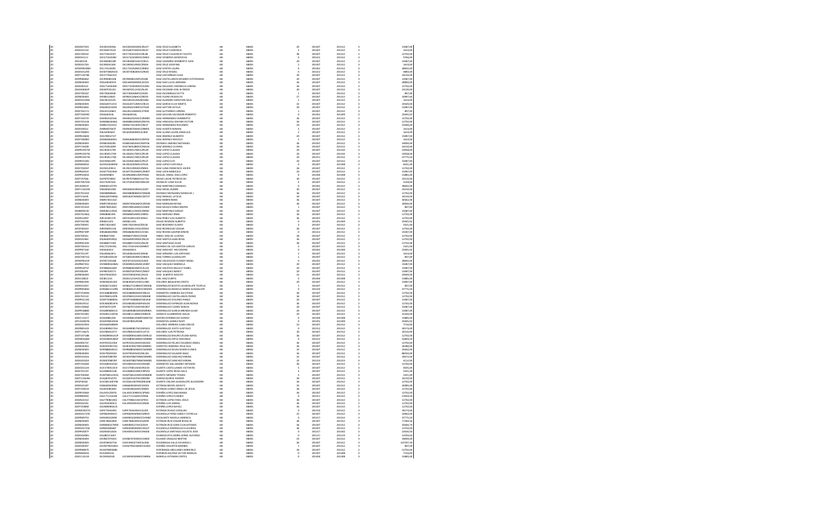|                                               | 20DJN0750V<br>20DES011SE | DICE810305NL<br>DICE640725LR      | DICE810305MOCZRL07<br>DICE640725MOC2RL07 | DIAZ CRUZ ELIZABETH                                              | AB<br><b>AR</b> | AB001<br><b>AR001</b> | 20                                     | 201307<br>201307 | 201312<br>201312 |  |
|-----------------------------------------------|--------------------------|-----------------------------------|------------------------------------------|------------------------------------------------------------------|-----------------|-----------------------|----------------------------------------|------------------|------------------|--|
| $\begin{array}{c} 20 \\ 20 \end{array}$       | 20DST00142               | DICF730101KY                      | DICF730101HOCZRL08                       | DIAZ CRUZ FLORENCIA<br>DIAZ CRUZ FULGENCIO FAUSTO                | AB              | AB001                 | $\overline{ }$<br>36                   | 201307           | 201312           |  |
|                                               | 20DES0111                | DICG71010383                      | DICG710103MOC75N01                       | DIAZ CISNEROS GENOVEVA                                           | AB              | <b>AR001</b>          | $\Omega$                               | 201312           | 201312           |  |
| $\begin{array}{c} 20 \\ 20 \end{array}$       | 20FJI0013K               | DICH820821BF                      | DICH820821HOCZSR13                       | DIAZ CASIMIRO HERIBERTO IVAN                                     | AB              | AB001                 | 20                                     | 201307           | 201312           |  |
|                                               | 20DES0176S               | DICJ900413AK                      | DICJ900413MOCZRS04                       | DIAZ CRUZ JOSEFINA                                               | AB              | AB001                 |                                        | 201307           | 201312           |  |
| $\begin{array}{c} 20 \\ 20 \end{array}$       | 20FMP0018M               | DICL741202R1                      | DICL741202MOCZRR02                       | DIAZ CORTES LAURA                                                | AB              | AB001                 | $\circ$                                | 201301           | 201312           |  |
| 20<br>20                                      | 20DES0123N               | DICM730820UG                      | DICM730820HOCZRS01                       | DIAZ CRUZ MISAEL                                                 | AB              | AB001                 |                                        | 201312           | 201312           |  |
|                                               | 20DTV1674B               | DICO770622V2                      |                                          | DIAZ CASTAÑEDA OLGA                                              | AB              | AB001                 | 30                                     | 201307           | 201312           |  |
| $\begin{array}{c} 20 \\ 20 \\ 20 \end{array}$ | 20DPR06062<br>20ZNE0040V | DICR900831K8<br>DIDL6903047A      | DICR900831MPLZSS08<br>DIDL690304MOCZZC04 | DIAZ CASTELLANOS ROSARIO ESTEPHANIA<br>DIAZ DIAZ LUCIA ADRIANA   | AB<br>AB        | AB001<br>AB001        | $^{20}$<br>36                          | 201307<br>201307 | 201312<br>201312 |  |
|                                               | 20DDI0012C               | DIDV710303DX                      | DIDV710303MOCZLR00                       | DIAZ DELGADO VERONICA LORENA                                     | AB              | AB001                 | 36                                     | 201307           | 201312           |  |
| $\begin{array}{c} 20 \\ 20 \end{array}$       | 20ADG0062P               | DIEA870311DJ                      | DIEA870311HOCZSL09                       | DIAZ ESCOBAR JOSE ALFREDO                                        | AB              | AB001                 | 30                                     | 201307           | 201312           |  |
| $\overline{20}$                               | 20DST00142               | DIEI740630GB                      | DIEI740630MOCZSV05                       | DIAZ ESCARRAGA IVETTE                                            | AB              | AB001                 | $\overline{1}$                         | 201307           | 201312           |  |
|                                               | 202NF0040V               | DIFRR31206IV                      | DIFR831206HOC2RD05                       | DIAZ FLORES RODOLEO                                              | AB              | <b>AR001</b>          | 27                                     | 201307           | 201312           |  |
| $\begin{array}{c} 20 \\ 20 \end{array}$       | 20DES0124M               | DIGC851012FL                      | DIGC851012HGRZZH06                       | DIAZ GUZMAN CHRISTIAN SAUL                                       | AB              | AB001                 |                                        | 201307           | 201312           |  |
| 20                                            | 202NE0040V               | DIGE620712CD                      | DIGE620712MOCZRL01                       | DIAZ GARCIA ELVA MARTA                                           | AB              | AB001                 | 32                                     | 201307           | 201312           |  |
| $_{20}$                                       | 20DPB23660               | DIGE850219JM                      | DIGE850219MOCZYS04                       | DIAZ GAYTAN ESTELA                                               | AB              | AB001                 | 20                                     | 201307           | 201312           |  |
| 20<br>20                                      | 20DST0217U<br>20DTV00290 | DIGL811206EC<br>DIGS640318.       | DIGL811206MOCZTR09<br>DIGS640318.        | DIAZ GUTIERREZ LORENA<br>DIAZ GALVAN SALVADOR ROBERTO            | AB<br>AB        | AB001<br>AB001        | $\overline{1}$<br>$\circ$              | 201307<br>201301 | 201312<br>201309 |  |
| 20                                            | 20DTV0473Y               | DIHH810325G5                      | DIHH810325HOCZRM09                       | DIAZ HERNANDEZ HUMBERTO                                          | AB              | AB001                 | 36                                     | 201307           | 201312           |  |
| 20                                            | 20DST0151B               | DIHM88100465                      | DIHM881004MVZZNY01                       | DIAZ HINOJOSA MAYARI VICTORI                                     | AB              | AB001                 | 36                                     | 201307           | 201312           |  |
| 20                                            | 202NE0040V               | DIHR6710141H                      | DIHR671014HOCZRL07                       | DIAZ HERNANDEZ ROLANDO                                           | AB              | AB001                 | 19                                     | 201307           | 201312           |  |
|                                               | 20DES0052                | DIHR6907067F                      | DIHR690706HOCZRM05                       | <b>DIAZ HUERTA ROMAN</b>                                         | AB              | AB001                 | $\overline{2}$                         | 201307           | 201312           |  |
| 20<br>20                                      | 20DST0083V               | <b>DIIL650926AT</b>               | DIIL650926MOCZLR04                       | DIAZ ILLANA LAURA ANGELICA                                       | AB              | AB001                 |                                        | 201307           | 201312           |  |
| $\begin{array}{c} 20 \\ 20 \end{array}$       | 200PR14604               | DUG780527U7                       |                                          | DIAZ IIMENEZ GILBERTO                                            | <b>AR</b>       | <b>AR001</b>          | 20                                     | 201307           | 201312           |  |
|                                               | 20DST00080<br>202NE0040V | <b>DUM640604EG</b><br>DUN8106028S | DIJM640604HOCZMY02<br>DUN810602HOCNMT06  | DIAZ JIMENEZ MAYOLO<br>DIONISIO JIMENEZ NATANAEL                 | AB<br>AB        | AB001<br><b>AR001</b> | 36                                     | 201307<br>201307 | 201312<br>201312 |  |
| $\begin{array}{c} 20 \\ 20 \end{array}$       | 20DTV1630E               | DIJO7605283R                      | DIJO760528MOCZML04                       | DIAZ JIMENEZ OLVERIA                                             | AB              |                       | 30                                     |                  |                  |  |
| 20                                            | 20DPR1937W               | DILC85051709                      | DILC850517MOCZPL09                       | DIAZ LOPEZ CLAUDIA                                               | AB              | AB001<br>AB001        | 20                                     | 201307<br>201307 | 201312<br>201310 |  |
| 20                                            | 20DPR1937W               | <b>DILC85051709</b>               | DILC850517MOCZPL09                       | DIAZ LOPEZ CLAUDIA                                               | AB              | AB001                 | 20                                     | 201307           | 201310           |  |
| 20                                            | 20DPR1937W               | DILC850517Q9                      | DILC850517MOCZPL09                       | DIAZ LOPEZ CLAUDIA                                               | AB              | AB001                 | 20                                     | 201311           | 201312           |  |
| 20                                            | 20DPR2318U               | DILE930614PS                      | DILE930614MOCZPL07                       | DIAZ LOPEZ ELSY                                                  | AB              | AB001                 | 20                                     | 201307           | 201312           |  |
| 20                                            | 20DNS0001K               | DILF810204MW                      | DILF810204MOCZPL06                       | DIAZ LOPEZ FLOR ISELA                                            | AB              | AB001                 |                                        | 201307           | 201308           |  |
| 20<br>20                                      | 20DST0205F               | DILF83120913                      | DILF831209HOCZNR04                       | DIAZ LUNA FRANCISCO JAVIER                                       | AB              | AB001                 | 36                                     | 201307           | 201312           |  |
| 20                                            | 20DPB2052C<br>200PR3305X | DILM770324IM<br>DILM920801        | DILM770324MOCZNR07<br>DILM920801HDFZPG06 | DIAZ LEON MARICELA<br>MIGUEL ANGEL DIAZ LOPEZ                    | AB<br>AR        | AB001<br><b>AR001</b> | $\overline{20}$<br>$\Omega$            | 201307<br>201304 | 201312<br>201308 |  |
| 20                                            | 20DTV0766L               | <b>DILP8707085C</b>               | DILP870708MOCGCT01                       | DIEGO LACHE PATRICIA MI                                          | AB              | AB001                 | 30                                     | 201307           | 201312           |  |
|                                               | 20DST0075M               | <b>DILS750501E6</b>               | DILS750501MOCNNL09                       | DIONICIO I UNA SILVIA                                            |                 | <b>AR001</b>          | $\overline{a}$                         | 201307           | 201312           |  |
| $\begin{array}{c} 20 \\ 20 \end{array}$       | 20FUE0001P               | DIME821207P3                      |                                          | DIAZ MARTINEZ EMANUEL                                            | AB<br>AB        | AB001                 |                                        | 201301           | 201312           |  |
|                                               | 20DTV1622W<br>20DST0125D | DIMI840419JD<br>DIMI88080665      | DIMJ840419MOCZJZ07                       | DIAZ MEJIA JAZMIN                                                |                 | AB001                 |                                        | 201307           | 201312           |  |
| $\begin{array}{c} 20 \\ 20 \end{array}$       |                          |                                   | DIMJ880806MOCNNS08                       | DIONISIO MONJARAZ MARIA DE J                                     | AB<br>AB        | AB001                 | 30<br>36                               | 201307           | 201312           |  |
| 20<br>20                                      | 20DTV1619                | DIML820704M6                      | DIML820704MOCZNT07                       | DIAZ MANUEL LETICIA                                              | AB<br>AB        | AB001                 | 30<br>36                               | 201307           | 201312           |  |
|                                               |                          | DIMN730114JZ                      |                                          | <b>DIAZ MARIN NORA</b>                                           |                 | AB001                 |                                        | 201307           | 201312           |  |
| $\begin{array}{c} 20 \\ 20 \end{array}$       | 20ZNE0040V               | DIMR73050263                      | DIMR730502MOCZRY08                       | DIAZ MORGAN REYNA                                                | AB              | AB001                 | 36                                     | 201307           | 201312           |  |
|                                               | 20DST0125D               | <b>DIMS780526EC</b>               | DIMS780526MOCZJN04                       | DIAZ MUJICA SONIA MAYRA<br>DIAZ MARTINEZ SERGIO                  | AB              | AB001<br>AB001        | $\overline{1}$                         | 201307           | 201312<br>201312 |  |
| 20<br>20                                      | 20HBD0013E<br>20DST0146Q | DIMS8611292G<br>DINI6808149S      | DIMS861129HOCZRR00<br>DINI680814MOCZRR01 | DIAZ NARVAEZ IRMA                                                | AB<br>AB        | AB001                 | 20<br>36                               | 201307<br>201307 | 201312           |  |
|                                               | 20DJN1283Y               | DIPL9108117K                      | DIPL910811HOCZRS01                       | DIAZ PEREZ LUIS ALBERTO                                          | AB              | AB001                 | 36                                     | 201307           | 201312           |  |
| $\begin{array}{c} 20 \\ 20 \end{array}$       | 20DTV05785               | DIRA811201                        | DIRA811201                               | DIEGO RENDON ALBERTO                                             | AB              | AB001                 | $\circ$                                | 201301           | 201309           |  |
| $\overline{20}$                               | 20DST00920               | DIRE73021820                      | DIRE730218HV2ZDL00                       | DIAZ REDONDO ELADIO                                              | AB              | AB001                 |                                        | 201307           | 201312           |  |
| $\begin{array}{c} 20 \\ 20 \end{array}$       | 20FZF0054O<br>20DPR0739P | DIRE900911V6<br>DIRG860819M4      | DIRE900911HOCZDD04<br>DIRG860819HOCZVS05 | DIAZ RODRIGUEZ EDGAR<br>DIAZ RIVERA GASPAR ERWIN                 | AB<br>AB        | AB001                 | $\begin{array}{c} 36 \\ 0 \end{array}$ | 201307           | 201312           |  |
|                                               |                          |                                   |                                          |                                                                  |                 | AB001                 |                                        | 201312           | 201312           |  |
| 20<br>20                                      | 20DST00350<br>20DES0196  | DIRI8607194J<br>DISA640919QD      | DIRI860719HOCZSS08<br>DISA640919MOCZNL02 | <b>ISRAEL DIAZ DE LA ROSA<br/>DIAZ SANTOS ALBA ROSA</b>          | AB<br>AB        | AB001                 | 36<br>36                               | 201307           | 201312<br>201312 |  |
|                                               | 20DPR0120                |                                   | DISA880715HOCZNL00                       | DIAZ SANTIAGO ALAN                                               | AB              | AB001<br>AB001        | 36                                     | 201307<br>201307 | 201312           |  |
| $\begin{array}{c} 20 \\ 20 \end{array}$       | 20DST0241U               | DISA8807159X<br>DISC7210319Q      | DISC721031HOCNNR07                       | DIONISIO DE LOS SANTOS CARLOS                                    | AB              | AB001                 |                                        | 201307           | 201312           |  |
|                                               |                          | DISH630413                        | DISH630413                               |                                                                  | AB              | AB001                 |                                        | 201301           | 201309           |  |
| 20<br>20                                      | 20DPR0716E<br>20DST0119T | DISL830616FU                      | DISL830616HOCZRS08                       | DIAZ SANCHEZ HELIODORO<br>DIAZ SORIANO LUIS ANTONIO              | AB              | AB001                 | $\overline{2}$                         | 201307           | 201312           |  |
| 20<br>20                                      | 20DST0071Q               | DITG801003LM                      | DITG801003MOCZRD05                       | DIAZ TORRES GUADALUPE                                            | AB              | AB001                 |                                        | 201307           | 201312           |  |
|                                               | 20FMP0015F               | DIVF871031BB                      | DIVF871031HOCZLN03                       | DIAZ VALDIVIEZO FUENDY ISRAEL                                    | AB              | AB001                 | $\circ$                                | 201301           | 201312           |  |
| $\frac{20}{20}$                               | 20DPB0735S               | DIVM890324MU                      | DIVM890324MOC2SR07                       | DIAZ VASQUEZ MARISELA                                            | AB              | AB001                 | 20                                     | 201307           | 201312           |  |
|                                               | 20DPR18752               | DIVN8606164R                      | DIVN860616MOCZLL03                       | DIAZ VALDIVIA NALLELY ISABEL                                     | AB              | AB001                 | 20                                     | 201307<br>201307 | 201312<br>201312 |  |
| $\begin{array}{c} 20 \\ 20 \\ 20 \end{array}$ | 20FI20024R<br>20ZNE0040V | DIVN8702077J<br>DIXA700420SG      | DIVN870207MOC2SN07<br>DIXA700420HOCZXL02 | DIAZ VASQUEZ NANCY<br>DIAZ ALBERTO ADOLFO                        | AB<br>AB        | AB001<br>AB001        | $^{20}$<br>31                          | 201307           | 201312           |  |
|                                               | 20DCC0822                | DIZJ811231                        | DIZJ811231HOCZRL03                       | JOEL DIAZ ZURITA                                                 | AB              | AB001                 | $\circ$                                | 201304           | 201308           |  |
| $\begin{array}{c} 20 \\ 20 \\ 20 \end{array}$ | 20DPB0339S               | DOBC850412KE                      | DOBC850412HOCLLR00                       | DOLORES BALBUENA CRISTO                                          | AB              | AB001                 | 20                                     | 201307           | 201312           |  |
| $\overline{20}$                               | 20DES0105Y               | DOBG671228UI                      | DOBG671228MOCMSD06                       | DOMINGUEZ BUSTOS GUADALUPE TEOFILA                               | AB              | AB001                 | $\overline{1}$                         | 201307           | 201312           |  |
| $\begin{array}{c} 20 \\ 20 \end{array}$       | 200PR05840               | DOBG8412129N                      | DOBG841212MOCMDD05                       | DOMINGUEZ BADIOLA MARIA GUADALUPE                                | AB              | <b>AR001</b>          | $\Omega$                               | 201310           | 201312           |  |
|                                               | 20DTV0300G               | DOCE8808049H                      | DOCE880804MOCRRL01                       | DORANTES CABRERA ELEUTERIA                                       | AB              | AB001                 | 36                                     | 201307           | 201312           |  |
| 20<br>$_{20}$                                 | 20DST01122               | DOCP840122P8<br>DODP750808V6      | DOCP840122HOCMSD08<br>DODP750808HOCMLB18 | DOMINGUEZ CASTELLANOS PEDRO<br>DOMINGUEZ DOLORES PABLO           | AB              | AB001                 | 36<br>20                               | 201307           | 201312           |  |
|                                               | 20DPR3114G<br>20DJN1951Z | DOEA850814FN                      | DOEA850814HDFMSL00                       | DOMINGUEZ ESPINOZA ALAN BOWIE                                    | AB<br>AB        | AB001<br>AB001        | 36                                     | 201307<br>201307 | 201312<br>201312 |  |
| $\begin{array}{c} 20 \\ 20 \end{array}$       | 20DCC00462               | DOFS870722PI                      | DOFS870722HOCMLR07                       | DOMINGUEZ FLORES SERGIO                                          | AB              | AB001                 | 20                                     | 201307           | 201312           |  |
| 20                                            | 20DPR1888D               | DOGB900801CE                      | DOGB900801MGRMRR05                       | DOMINGUEZ GARCIA BRENDA GUAD                                     | AB              | AB001                 | 20                                     | 201307           | 201312           |  |
| $_{20}$                                       | 20DST0158V               | DOGI8S1118TM                      | DOGI851118MOCNRD04                       | DONATO GUARNEROS IDALIA                                          | AB              | AB001                 | 20                                     | 201307           | 201312           |  |
| $\begin{array}{c} 20 \\ 20 \\ 20 \end{array}$ | 20DCC1521T               | DOGM881204                        | DOGM881204MPLMMY02                       | MAYRA DOMINGUEZ GOMEZ                                            | AB              | AB001                 | $\circ$                                | 201304           | 201308           |  |
|                                               | 20FUA0007N               | DOGR780529VB                      | DOGR780529VB8                            | DORANTES GOMEZ RUDY                                              | AB              | AB001                 | $\circ$                                | 201301           | 201309           |  |
| $^{20}$                                       | 20DES0195G<br>20DPR0532X | DOHJ640308M9<br>DOIG890817AH      | DO IG890817HOCMSS01                      | DOLORES HERRERA JUAN CARLOS<br>DOMINGUEZ JUSTO GUSTAVO           | AB<br><b>AR</b> | AB001<br><b>AR001</b> | 10<br>$\Omega$                         | 201307<br>201312 | 201312<br>201312 |  |
| $\begin{array}{c} 20 \\ 20 \end{array}$       | 20DTV1667S               | DOLP800331T3                      | DOLP800331MOCLST15                       | DOLORES LUIS PETRONA                                             | AB              | AB001                 | 30                                     | 201307           | 201312           |  |
|                                               | 20DTV0718B               | <b>DOMZ890414UF</b>               | DOMZ890414MOCMRL02                       | DOMINGUEZ MAURO ZELMA NAYEL                                      | AB              | AB001                 | 36                                     | 201307           | 201312           |  |
| $\begin{array}{c} 20 \\ 20 \end{array}$       | 20DIN0166M               | DOOH800528GP                      | DOOH800528MOCMRR08                       | DOMINGUEZ ORTIZ HERLINDA                                         | AB              | AB001                 | $\circ$                                | 201312           | 201312           |  |
| 20                                            | 20DJN057SF               | DOPE9101245R                      | DOPE910124HOCMLD03                       | DOMINGUEZ PELAEZ EDUARDO ANGEL                                   | AB              | AB001                 | 36                                     | 201307           | 201312           |  |
| 20                                            | 20ZNE0040V               | DORC870927A4                      | DORC870927MOCRMR03                       | DOROTEO RAMIREZ CRUZ ELIA                                        | AB              | AB001                 | 36                                     | 201307           | 201312           |  |
| 20                                            | 202NE0040V<br>202NE0040V | DORN88020412<br>DOSI790205NV      | DORN880204MOCMJM09<br>SODI790205HOCMLS01 | DOMINGUEZ ROJAS NOEMI EUNICE<br>DOMINGUEZ SALAZAR ISAAC          | AB<br>AB        | AB001<br>AB001        | 33<br>36                               | 201307<br>201307 | 201312<br>201312 |  |
| 20<br>20                                      | 20DES0102A               | DOSK870807BY                      | DOSK870807MMCMNR05                       | DOMINGUEZ SANCHEZ KARINA                                         | AB              | AB001                 | $\overline{32}$                        | 201307           | 201312           |  |
| 20                                            | 20DES0102A               | DOSK870807BY                      | DOSK870807MMCMNR05                       | DOMINGUEZ SANCHEZ KARINA                                         | AB              | AB001                 | 32                                     | 201223           | 201223           |  |
| 20                                            | 20DTV0160X               | DOVA891021K2                      | DOVA891021HOCRLR08                       | DORANTES VALLADAREZ ARTEMIO                                      | AB              | AB001                 | 36                                     | 201307           | 201312           |  |
| 20<br>20                                      | 200ES0112H               | DUCV700514C9                      | DUCV700514HOCR5C03                       | DUARTE CASTELLANOS VICTOR RE                                     | AR              | <b>AR001</b>          | $\frac{5}{3}$                          | 201307           | 201312           |  |
|                                               | 20DST0114Y               | <b>DULR6804154K</b>               | DULR680415MOCRPS02                       | DUARTE LOPEZ ROSA ISELA                                          | AB              | AB001                 |                                        | 201307           | 201312           |  |
| 20<br>20                                      | 20DST0036K               | DUMT6812241Q                      | DUMT681224HOCRNM08                       | <b>DUARTE MENDEZ TOMAS</b>                                       | AB              | AB001                 | Ŀ,                                     | 201307           | 201312           |  |
|                                               | 20DTV1564W               | DUQJ870107FZ                      | DUQJ870107HOCRRH09                       | DURAN QUIROZ JHONNY<br>DUARTE VIELMA GUADALUPE ALEJANDRA         | AB<br>AB        | AB001<br>AB001        | 30<br>36                               | 201307<br>201307 | 201312           |  |
| 20<br>20                                      | 20FZF0018J<br>20DES0134T | DUVG811007HB<br>EABA600430D6      | DUVG811007MGRRLD08<br>EABA600430HOCSXD01 | ESTRADA BAñOS ADOLFO                                             | AB              | AB001                 | 35                                     | 201307           | 201312<br>201312 |  |
| 20                                            | 20DTV0651K               | EAJA910816NZ                      | EAJA910816HOCSRN04                       | ESTRADA JUAREZ ANGEL DE JESUS                                    | AB              | AB001                 | 36                                     | 201307           | 201312           |  |
|                                               | 20DPR1936X               | EALA931209T6                      | EALA931209MOCSPN01                       | ESPAÑA LOPEZ ANA MARIA                                           | AB              | AB001                 | 36                                     | 201307           | 201312           |  |
| 20<br>20                                      | 20DPB0444C               | EALE7712165W                      | EALE771216HOCSPS06                       | ESPAÑA LOPEZ EUSEBIO                                             | AB              | AB001                 | $\overline{\mathbf{0}}$                | 201311           | 201312           |  |
| 20                                            | 20DJN22312               | EALF790821NO                      | EALF790821HOCSPX01                       | <b>ESTRADA LOPEZ FIDEL JESUS</b>                                 | AB              | AB001                 | 36                                     | 201307           | 201312           |  |
| 20                                            | 20DES0224L               | <b>EALH920305C5</b>               | EALH920305HOCSSN04                       | ESPAÑA LUIS HANSEL                                               | AB              | AB001                 | 36                                     | 201307           | 201312           |  |
| 20<br>20                                      | 20DTV0389Z<br>20HMC0027C | EALN890902UD<br>EAPE75041092      | EAPE750410HOCSLZ05                       | <b>ESPAÑA LOPEZ NAYELI</b><br>ESTRADA PLIEGO EZEQUIEL            | AB<br>AB        | AB001<br>AB001        | 36                                     | 201307<br>201310 | 201312<br>201312 |  |
|                                               | 20DES0172W               | FAPKR20930U3                      | FAPK820930MOCSRR19                       |                                                                  | AB              | <b>AR001</b>          |                                        | 201307           | 201312           |  |
| $\begin{array}{c} 20 \\ 20 \end{array}$       | 20DPR0975S               | EARA90102099                      | EARA901020MOCSVM00                       | ESCAMILLA PEREZ KARELY ESTRELLA<br>ESCALANTE RAVIELA AMERICA     | AB              | AB001                 | $\begin{array}{c} 22 \\ 0 \end{array}$ | 201217           | 201312           |  |
|                                               |                          | EARE78061858                      | EARE780618HOCSZD09                       |                                                                  |                 | <b>AR001</b>          |                                        | 201307           | 201312           |  |
| $\begin{array}{c} 20 \\ 20 \end{array}$       | 202NE0040V<br>202NE0040V | EARE800527MW                      | EARE800527HJCSZD19                       | ESTRADA RUIZ EDGAR ROGELIO<br>ESTRADA RUIZ EDEN CUAUHTEMOC       | AB<br>AB        | AB001                 | 36<br>36                               | 201307           | 201312           |  |
| 20<br>20                                      | 20DES0172W<br>20DPR3007Y | EARE8208266T                      | EARE820826MOCSDL07                       | ESCAMILLA RODRIGUEZ ELIA ERIKA<br>ESCAMILLA SANTIAGO AGUSTO JOSE | AB<br>AB        | AB001                 | $\begin{array}{c} 36 \\ 0 \end{array}$ | 201307           | 201312           |  |
|                                               |                          | EASA93012626                      | EASA930126HOCSNG06                       |                                                                  |                 | AB001                 |                                        | 201217           | 201302           |  |
| $\begin{array}{c} 20 \\ 20 \end{array}$       | 20DES0208U               | EASJ801116AY<br>EAVB670703CC      | EAVB670703MOCSSR04                       | EVANGELISTA SIERRA JORGE ALFONSO<br>ESLAMA VASQUEZ BERTHA        | AB<br>AB        | AB001<br>AB001        | $\theta$<br>23                         | 201117<br>201307 | 201124<br>201312 |  |
|                                               | 202NE0040V               | EAVE49032756                      | AVE490327HOCSLD06                        | ESCARRAGA VALLE EDUARDO J                                        | AB              | AB001                 | 36                                     | 201307           | 201312           |  |
| 20<br>20                                      | 20DES0035T               | EAVM7903185H                      | EAVM790318MOCSLR00                       | ESPAÑA VALENTIN MARIBEL                                          | AB              | AB001                 | $\overline{1}$                         | 201307           | 201312           |  |
| $\begin{array}{c} 20 \\ 20 \end{array}$       | 20DPR0897E               | EEAM7809308S                      |                                          | ESPERANZA ARELLANES MARICRUZ                                     | AB              | AB001                 | 36                                     | 201307           | 201312           |  |
|                                               | 20DNS0001K               | EEAV830216                        |                                          | <b>ESPERON ASCONA VICTOR MANUEL</b>                              | AB              | AB001                 | $\circ$                                | 201307           | 201308           |  |
| $^{20}$                                       | 20DCC1011R               | EECM930330                        | EECM930330MOCSRR06                       | MARIELA ESTEBAN CORTES                                           | AB              | AB001                 |                                        | 201304           | 201308           |  |
|                                               |                          |                                   |                                          |                                                                  |                 |                       |                                        |                  |                  |  |

# 15087,00 3 1614,00 2 12702,00 3 9766,00 3 15087,00 3 1614,00 3 28692,00 3 4883,00 3 24210,00 3 15087,00 3 28800,00 2 12702,00 3 23130,00 3 807,00 3 20997,60 3 1614,00 3 24420,00 3 15087,00 3 807,00 3 25945,92 2 12702,00 2 12702,00 3 15000,00 3 1614,00 3 1614,00 3 15087,00 3 1614,00 3 54000,00 3 24210,00 3 10058,00 3 10058,00 3 47775,50 3 15087,00 3 8241,00 2 12702,00 3 15087,00 3 15885,00 3 24210,00 3 3228,00 3 28692,00 3 24210,00 2 12702,00 3 24210,00 3 40362,00 3 30000,00 3 807,00 3 15087,00 2 12702,00 2 12702,00 3 25945,92 3 2421,00 2 12702,00 3 23287,00 2 12702,00 2 12702,00 2 12702,00 3 2421,00 3 25945,92 3 1614,00 3 807,00 3 28692,00 3 15087,00 3 15087,00 3 15087,00 3 24000,00 3 15885,00 3 15087,00 3 807,00 3 47775,50 2 12702,00 2 12702,00 3 15087,00 2 12702,00 3 15087,00 3 15087,00 3 15420,00 3 15885,00 3 25945,92 3 7710,00 3 30174,00 3 24210,00 2 12702,00 3 52804,50 2 12702,00 3 34380,00 3 25602,00 3 88350,00 3 24672,00 3 4112,00 2 12702,00 3 4035,00 3 2421,00 3 2421,00 3 24210,00 2 12702,00 3 26985,00 2 12702,00 2 12702,00 3 27659,50 2 12702,00 2 12702,00 2 12702,00 3 30174,00 3 16962,00 3 47775,50 3 77260,56 3 35666,70 2 12702,00 3 22630,50 3 12593,04 3 18000,00 3 147297,30 3 807,00 2 12702,00 3 7134,00 3 15885,00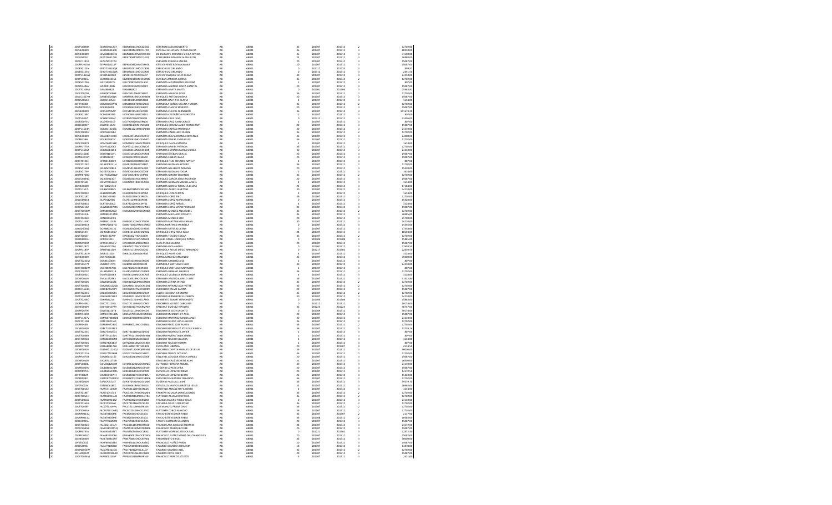|                                         | 20DTV0890K               | EEDR830112D7                 |                                          |                                                                  |               |                       | 36                                                |                  |                |                      |
|-----------------------------------------|--------------------------|------------------------------|------------------------------------------|------------------------------------------------------------------|---------------|-----------------------|---------------------------------------------------|------------------|----------------|----------------------|
| 20<br>20<br>20<br>20                    | 202NE0040V               |                              | EEDR830112HOCSZG02<br>EEGF840424MDFSLT09 | <b>ESPERON DAZA RIGOBERTO</b><br>ESTEFAN GILLESSEN FATIMA SILVIA | AB<br>AB      | AB001<br>AB001        | 201307<br>36<br>201307                            | 201312<br>201312 |                | 12702,00<br>88350,00 |
|                                         | 20ZNE0040V               | EEGF840424DR                 | EEMS880407MOCSRH09                       | DE ESESARTE MORALES SHEILA DIVINA                                | AB            | AB001                 | 36<br>201307                                      | 201312           |                | 31500.00             |
|                                         | 20DLI0001F               | EEPA790417NU                 | EEPA790417MOCCLL02                       | ECHEVERRIA PALAFOX ALMA RUTH                                     | AB            | AB001                 | $\bf{22}$<br>201307                               | 201312           |                | 16980,00             |
| 20                                      | 20DCC1141K               | EEPE790327D3                 |                                          | <b>ESESARTE PERALTA ENEIDA</b>                                   | AB            | AB001                 | 20<br>201307                                      | 201312           |                | 15087.00             |
|                                         | 20DPR1913M               | EEPR8508221F                 | EEPR850822MOCSRY06                       | ESTEVA PEREZ REYNA KARINA                                        | AB            | AB001                 | 20<br>201307                                      | 201312           |                | 15087,00             |
| 20<br>20<br>20<br>20<br>20<br>20<br>20  | 20DES0123N               | EER0710615QR                 | EERO710615HOCSZR09                       | ESPEJO RUIZ ORLANDO                                              | AB            | AB001                 | $\circ$<br>201117                                 | 201124           |                | 899.52               |
|                                         | 20DES0123N               | EER0710615QR                 | EERO710615HOCSZR09                       | ESPEJO RUIZ ORLANDO                                              | AB            | AB001                 | $\mathbf 0$<br>201312                             | 201312           |                | 2441,50              |
|                                         | 20DTV1465W               | EEVJ81122069                 | <b>EEVI811220HOCSSL07</b>                | ESTEVA VASQUEZ JULIO CESAR                                       | AB            | <b>AR001</b>          | 201307                                            | 201312           |                | 24210.00             |
|                                         | 20DTV0015L               | EEZK89042551                 | EEZK890425MOCSMR06                       | ESTEBAN ZAMORA KARINA                                            | AB            | AB001                 | $\begin{array}{c} 30 \\ 36 \end{array}$<br>201307 | 201312           |                | 12702,00             |
|                                         | 20DES0229G               | EIAJ730902T5                 | EIAJ730902MOCSLS04                       | ESPINOZA ALTAMIRANO JOSEFINA                                     | AB            | <b>AR001</b>          | $\,$ 1 $\,$<br>201307                             | 201312           | $\overline{a}$ | 807,00               |
|                                         | 20DPR3406V               | EIAJ9001048S                 | EIAJ900104MOCSRS07                       | ESPINOSA ARANGO JESICA SHANTAL                                   | AB            | AB001                 | 20<br>201307                                      | 201312           |                | 15087.00             |
|                                         | 20DST0109M               | EIAM880822                   | EIAM880822                               | ESPINOZA ANAYA MAYTE                                             | AB            | AB001                 | $\mathbf 0$<br>201301                             | 201309           |                | 25945,92             |
| 20<br>20                                | 20DST0070R               | EIAN790109NE                 | EIAN790109HOCSRL07                       | <b>ESPINOZA ARAGON NOEL</b>                                      | AB            | AB001                 | 36<br>201307                                      | 201312           | $\overline{2}$ | 12702.00             |
|                                         | 20DCC1627M               | EIAR850926QA                 | EIAR850926MOCNNN03                       | ENRIQUEZ ANTONIO REINA                                           | AB            | AB001                 | $\mathbf{20}$<br>201307                           | 201312           |                | 15087,00             |
|                                         | 20DES0064O               | EIBF81100533                 | EIBF811005MOCSTL08                       | ESPINOZA BAUTISTA FLAVIA                                         | AB            | AB001                 | $\overline{2}$<br>201307                          | 201312           |                | 1614.00              |
| 20<br>20                                | 20FZF0038X               | EIBM840507RQ                 | EIBM840507MOCSXL07                       | ESPINDOLA BAÑOS MELINA YURIDIA                                   | AB            | AB001                 | 36<br>201307                                      | 201312           |                | 12702,00             |
| $\begin{array}{c} 20 \\ 20 \end{array}$ | 20HMC0025O               | <b>FICERSO62011</b>          | <b>FICERSO620HOCSHR07</b>                | <b>FSPINOZA CHAVEZ FRNESTO</b>                                   | <b>AR</b>     | <b>AR001</b>          | $\begin{array}{c} 20 \\ 36 \end{array}$<br>201307 | 201312           |                | 15087.00             |
|                                         | 202NE0040V               | EICF510705AP                 | EICF510705HOCSVR00                       | ESPINOSA CUEVAS FERNANDO                                         | AB            | AB001                 | 201307                                            | 201312           |                | 141673,20            |
|                                         | 20DES0158C               |                              |                                          |                                                                  | AB            | <b>AR001</b>          | 201307                                            | 201312           |                |                      |
| $\begin{array}{c} 20 \\ 20 \end{array}$ | 20DTV0397                | EICF6006037S<br>EICI890705MC | EICF600603MOCSSL01<br>EICI890705HOCSRV03 | ESPINOZA CASTAÑEDA FLORECITA<br>ESPINOSA CRUZ IVAN               | AB            | AB001                 | 201312<br>$\theta$                                | 201312           |                | 807,00<br>42405,00   |
|                                         | 20DES0075U               | EICJ790922C9<br>EICJ8911132D | EICJ790922HOCSRN04<br>EICJ891113MOCNHN01 | ESPINOSA CRUZ JUAN CARLOS<br>ENRIQUEZ CHAVEZ JANET MONSERRAT     |               | <b>AR001</b>          | 201307                                            | 201312           |                | 807,00               |
| 20<br>20                                | 20DEE0003Y               |                              |                                          |                                                                  | AB<br>AB      | AB001                 | $20\,$<br>201307                                  | 201312           |                | 15087,00             |
| 20<br>20                                | 20DTV1614N               | EICM81122156<br>EICR76061984 | EICM811221MOCSRR08                       | ESPINOSA CARTAS MARDIOLA                                         | AB            | AB001                 | $\begin{array}{c} 30 \\ 36 \end{array}$<br>201307 | 201312           |                | 24210,00<br>12702,00 |
|                                         | 20DST0039H               |                              |                                          |                                                                  | AB            | AB001                 | 201307                                            | 201312           |                |                      |
| 20<br>20                                | 202NE0040V               | EIDA840111QA                 | EIDA840111MOCSZD17                       | ESPINOZA DIAZ ADRIANA HORTENSIA                                  | AB            | AB001                 | $\begin{array}{c} 31 \\ 36 \end{array}$<br>201307 | 201312           |                | 24000,00             |
|                                         | 20DPR3566                | EIDE9306302C                 | EIDE930630HOCSNM07                       | ESPINOZA DANIEL EMMANUEL                                         | AB            | AB001                 | 201307                                            | 201312           |                | 12702.00             |
| 20                                      | 20DST0087R               | EIDM7603158P                 | EIDM760315MOCNVR00                       | ENRIQUEZ DAVILA MARINA                                           | AB            | AB001                 | 201307                                            | 201312           |                | 1614,00              |
| $\begin{array}{c} 20 \\ 20 \end{array}$ | 20DPR1775A               | EIDP731220RX                 | FIDP731220MOCSNT29                       | ESPINOZA DANIEL PATRICIA                                         | AB            | <b>AR001</b>          | $\begin{array}{c} 36 \\ 30 \end{array}$<br>201307 | 201312           | $\overline{ }$ | 12702.00             |
|                                         | 20DTV1636Z               | EIEG860110E4                 | EIEG860110MOCSSD04                       | ESPINOZA ESTRADA MARIA GUADA                                     | AB            | AB001                 | 201307                                            | 201312           |                | 24210,00             |
|                                         |                          |                              |                                          |                                                                  |               | <b>AR001</b>          | 201307                                            | 201312           |                |                      |
| 20<br>20                                | 20DCC1618E<br>20DML0012Y | EIEO931011FL<br>EIFI8401229T | EIEO931011MOCPSR04<br>EIFI840122MOCSBS00 | EPITACIO ESTEBAN ORALIA<br>ESPINOSA FABIAN ISAILA                | AB<br>AB      | AB001                 | $\begin{array}{c} 20 \\ 20 \end{array}$<br>201307 | 201312           |                | 15087,00<br>15087,00 |
| 20<br>20                                | 20DST0124E               | EIFR821030G9<br>EIGA8208231H | EIFR821030MOCNLS03                       | ENRIQUEZ FILIO ROSARIO NAYELY<br>ESPINOSA GUZMAN ARTURO          | AB<br>AB      | AR001                 | 201307                                            | 201312           |                | 807,00               |
|                                         |                          |                              | EIGA820823HOCSZR07                       |                                                                  |               | AB001                 | $\begin{array}{c} 1 \\ 36 \end{array}$<br>201307  | 201312           |                | 12702,00             |
| 20<br>20                                | 20DES0160R<br>20DES0179P | EIGA850108LA<br>EIGE6706244V | EIGA850108HOCSLR00                       | ESPINOZA GALLEGOS ARGENIS                                        | AB            | AB001                 | $_{\rm 20}$<br>201307                             | 201312           |                | 15420,00             |
|                                         |                          |                              | EIGE670624HOCSZD08                       | ESPINOSA GUZMAN EDGAR                                            | AB            | AB001                 | $\overline{2}$<br>201307                          | 201312           |                | 1614,00              |
| $\begin{array}{c} 20 \\ 20 \end{array}$ | 20DPR0738Q               | EIGF740528QW                 | EIGF740528HOCSRR00                       | ESPINOZA GIRON FERNANDO<br>ENRIQUEZ GARCIA JESUS RODRIGO         | AB            | AB001                 | 36<br>201307                                      | 201312           |                | 12702,00             |
|                                         | 20DCC0394G               | EIGJ850313OT                 | EIGJ850313HOCNR507                       |                                                                  | AB            | AB001                 | 20<br>201307                                      | 201312           |                | 15087.00             |
|                                         | 20DST0160J               | EIGM79051872                 | EIGM790518HOCSZG04                       | ESPINOZA GUZMAN MIGUEL ANGEL                                     | AB            | AB001                 | 201307                                            | 201312           |                | 1614,00              |
|                                         | 20ZNE0040V               | EIGT6802174K                 |                                          | ESPINOZA GARCIA TEODULA CELINA                                   | AB            | AB001                 | 22<br>201307                                      | 201312           |                | 17184.00             |
|                                         | 20DTV1517L               | EUL860708M5                  | EUL860708MOCMZN06                        | EMIGDIO LAZARO JANETTHE                                          | AB            | AB001                 | 30<br>201307                                      | 201312           |                | 24210,00             |
|                                         | 20DST0092C               | EILE8009053N                 | EILE800905HOCNPR04                       | <b>ENRIQUEZ LOPEZ ERWIN</b>                                      | AB            | AB001                 | $\overline{2}$<br>201307                          | 201312           |                | 1614.00              |
|                                         | 20DST0218T               | EILE8010293D                 | EILE801029HOCSPR05                       | ESPINOZA LOPEZ ERIC                                              | AB            | AB001                 | 36<br>201307                                      | 201312           |                | 12702,00             |
|                                         | 20DCE0001B               | EILI791129SG                 | FIL1791129MOCSPS08                       | ESPINOZA LOPEZ MARIA ISABEL                                      | $\mathsf{AB}$ | <b>AR001</b>          | $\mathbf 0$<br>201307                             | 201312           | ٠              | 15420.00             |
|                                         | 20DST0081X               | EILR730120LG                 | EILR730120HOCSPF01                       | ESPINOSA LOPEZ RAFAEL                                            | AB            | AB001                 | 201307                                            | 201312           |                | 3228,00              |
|                                         | 20DJN0210Z               | EILW860307MA                 | EILW860307MOCSPN04                       | ESPINOZA LOPEZ WENDY ROXANA                                      | AB            | AB001                 | $_{\rm 20}$<br>201307                             | 201312           |                | 15087,00             |
|                                         | 20DST0058W               |                              | EIMA800329MOCSNN05                       | ESPINOZA MENDEZ ANA ISABEL                                       | AB            | AB001                 | 36<br>201307                                      | 201312           |                | 12702.00             |
|                                         | 20DTV0114L               | EIMD801212ME                 |                                          | ESPINOZA MACHADO DONATO                                          | AB            | AB001                 | 35<br>201307                                      | 201312           |                | 26985,00             |
|                                         | 20DST0206O               | EIME850529J1                 |                                          | <b>ESPINOSA MENDEZ ERIC</b>                                      | AB            | AB001                 | 20<br>201307                                      | 201312           |                | 25700.00             |
| 20<br>20                                | 20DTV11590               | EIMF841101BJ                 | EIMF841101HOCSTB08                       | ESPINOZA MATADAMAS FABIAN                                        | AB            | AB003                 | 30<br>201307                                      | 201312           |                | 24210,00             |
|                                         | 20DCE0001B               | EIMM720607EJ                 | EIMM720607MOCSRR03                       | <b>ESPINA MARTINEZ MARISELA</b>                                  | AB            | AB001                 | $\circ$<br>201307                                 | 201312           | $\overline{a}$ | 14346.00             |
| 20<br>20<br>20<br>20<br>20<br>20<br>20  | 20AGD00042               | EIOA88030121                 | EIOA880301MOCSRZ06                       | ESPINOZA ORTIZ AZUCENA                                           | AB            | AB001                 | 201307<br>$\mathbf 0$                             | 201312           |                | 17338,00             |
|                                         | 20DES01271               | <b>FIORR1111507</b>          | FIORR11115MOCNRS02                       | ENRIQUEZ ORTIZ ROSA ISELA                                        | AB            | <b>AR001</b>          | $^{24}$<br>201307                                 | 201312           |                | 18504.00             |
|                                         | 20DST0065F               | EIPE851027KP                 | EIPE851027HOCSLD09                       | ESPINOZA TOLEDO EDGAR                                            | AB            | AB001                 | $\frac{1}{36}$<br>201307                          | 201312           |                | 12702,00             |
|                                         | 20DPR0024U               | EIPM931031                   | EIPM931031HPLNNG01                       | MIGUEL ANGEL ENRIQUEZ PONCE                                      | AB            | <b>AR001</b>          | $\bf{0}$<br>201304                                | 201308           | $\overline{a}$ | 15885.00             |
|                                         | 20DPB1949Z               | EIPS921005QU                 | EIPS921005MOCLRN03                       | ELIAS PEREZ SANDRA                                               | AB            | AB001                 | 20<br>201307                                      | 201312           |                | 15087.00             |
|                                         | 20DPR2297Y               | EIRA65072794                 | EIRA650727MOCSSN02                       | ESPINOSA RIOS ANABEL                                             | AB            | AB001                 | 201301<br>$\bf{0}$                                | 201312           |                | 27659,50             |
| 20<br>20                                | 20DPR1183P               | EIRD931113L9                 | EIRD931113HOCSSG02                       | ESPINDOLA ROSAS DIEGO ARMANDO                                    | AB            | AB001                 | $\theta$<br>201217                                | 201302           |                | 22630.50             |
|                                         | 20DST0181W               | EIRJ81112021                 | EIRJ811120HOCNVS08                       | ENRIQUEZ RIVAS JOSE                                              | AB            | AB001                 | 201307                                            | 201312           |                | 3228,00              |
|                                         | 20ZNE0040V               | EISA760616EE                 |                                          | ESPINA SANCHEZ ARMANDO                                           | AB            | AB001                 | 36<br>201307                                      | 201312           |                | 75000.00             |
| 20<br>20                                | 20DST0232M               | EISA831030IN                 | EISA831030MOCSNC09                       | ESPINOZA SANCHEZ AICE                                            | AB            | AB001                 | 201307                                            | 201312           |                | 807,00               |
| $\begin{array}{c} 20 \\ 20 \end{array}$ | 200TV0577T               | <b>FISI800117PO</b>          | EISJ800117HOCSNL04                       | <b>ESPINDOLA SANTIAGO ILILIO</b>                                 | <b>AR</b>     | <b>AR001</b>          | $\begin{array}{c} 30 \\ 1 \end{array}$<br>201307  | 201312           |                | 24210.00             |
|                                         | 20DST0082W               | EISS780227Q8                 | EISS780227HOCNNL03                       | ENRIQUEZ SANTIAGO SALVADOR                                       | AB            | AB001                 | 201307                                            | 201312           |                | 807,00               |
| $\begin{array}{c} 20 \\ 20 \end{array}$ | 20DST0072P<br>20DES0042C | EIUA8510021B<br>EIVB761204KR | EIUA851002MOCSRN00<br>EIVB761204MOCNLR03 | ESPINOZA URBANO ANGELES<br>ENRIQUEZ VALENCIA BARBALINDA          | AB<br>AB      | <b>AR001</b>          | $\begin{array}{c} 36 \\ 4 \end{array}$<br>201307  | 201312           |                | 12702,00<br>3228,00  |
|                                         |                          |                              |                                          |                                                                  |               | AB001                 | 201307                                            | 201312           |                |                      |
| 20<br>20                                | 202NE0040V<br>20DST0060K | EIVC410529KS<br>EIZW8105268E | EIVC410529HOCSLR09                       | ESPINOSA VALENCIA CIRILO JOSE<br>ESPINOZA ZETINA WENDI           | AB<br>AB      | <b>AR001</b>          | 36<br>36<br>201307                                | 201312           |                | 41422.80             |
|                                         |                          |                              | EIZW810526MOCSTN00                       |                                                                  |               | AB001                 | 201307                                            | 201312           |                | 12702,00             |
| 20<br>20                                | 20DST0036K               | EOAA800122QD                 | EOAA800122MOCFLD01<br>EOCK820527MOCSLR09 | ESCOBAR ALVAREZ ADA IVETTE<br>ESCOBEDO CALVO KARINA              | AB            | AB001                 | $\frac{36}{20}$<br>201307                         | 201312           |                | 12702,00<br>15087,00 |
|                                         | 20DCC1664Q               |                              |                                          |                                                                  | AB            | AB001                 | 201307                                            | 201312           |                |                      |
| 20<br>20                                | 20DST0245Q               | EOGJ870306T1                 | EOGJ870306MOCSRL09                       | <b>JULITA ESCOBAR JERONIMO</b>                                   | AB            | AB001                 | 36<br>201307                                      | 201312           |                | 12702,00             |
|                                         | 20DTV0410M               | EOHE681216K2                 | EOHE681216MOCSRL02                       | ESCOBAR HERNANDEZ ELIZABETH                                      | AB            | AB001                 | 30<br>201307                                      | 201312           |                | 24210.00             |
| 20                                      | 20DST0206O               | EOHH821214                   | EOHH821214HOCLRR04                       | HERIBERTO ELBORT HERNANDEZ                                       | AB            | AB001                 | $\mathbf 0$<br>201304                             | 201308           |                | 15885,00             |
| 20<br>20                                | 20DPR3448LL              | EOJC771129KL<br>EOJH41010779 | EQJC771129MOCSCR03                       | ESCOBEDO JACINTO CAROLINA<br>ERNOOLT JIMENEZ HIPOLITO            | AB<br>AB      | <b>AR001</b>          | 201312<br>$\theta$                                | 201312           |                | 30174.00             |
|                                         | 202NE0040V               |                              | EOJH410107HOCRMP02                       |                                                                  |               | AB001                 | 36<br>201223                                      | 201223           |                | 46747,06             |
|                                         | 20DPR2679E               |                              |                                          |                                                                  |               | <b>AR001</b>          | 201309<br>$\circ$                                 | 201312           |                | 30174,00             |
| 20<br>20                                | 20DPR1314R               | EOLJ531110TB<br>EOMA7705118S | EOLIS31110HOCSNC04<br>EOMA770511MOCSMC06 | <b>ESCOBAR DE LEON JACINTO</b><br>ESCOBAR MUMENTHEY ACEL         | AB<br>AB      | AB001                 | 201307<br>20                                      | 201312           |                | 15087,00             |
| 20<br>20                                | 20DTV1227V               | EOMK870808DB                 | EOMK870808MOCSRR04                       | ESCOBAR MARTINEZ KARINA ANGE<br>ESCOBAR PULIDO LUIS EUGENIO      | AB<br>AB      | AR001                 | $\begin{array}{c} 30 \\ 36 \end{array}$<br>201307 | 201312           |                | 24210,00             |
|                                         |                          |                              |                                          |                                                                  |               | AB001                 | 201307                                            | 201312           |                | 12702,00             |
| 20<br>20                                | 20DPR0456                | EOPR890723UZ                 | EOPR890723HOCSRB01                       | ESCOBAR PEREZ JOSE RUBEN                                         | AB            | AB001                 | 36<br>36<br>201307                                | 201312           |                | 12702,00             |
|                                         | 20ZNE0040V               |                              |                                          | ESCOBAR RODRIGUEZ JOSE DE CARMEN                                 | AB            | AB001                 | 201307                                            | 201312           |                | 33739,26             |
| 20<br>20                                | 20DST0225C               | EORJ731016G1                 | EORJ731016HOCSDV01                       | ESCOBAR RODRIGUEZ JAVIER                                         | AB            | AB001                 | 201307<br>$\,$ 1 $\,$                             | 201312           |                | 807,00               |
|                                         | 20DST0046R               | EORT7911151V                 | EORT791115MGRSVN04                       | <b>ESCOBAR RIVERA TANIA ISABEL</b>                               | AB            | AB001                 | $\overline{1}$<br>201307                          | 201312           |                | 807.00               |
|                                         | 20DST0036K               | EOTC860906N9                 | EOTC860906MOCSLL05                       | ESCOBAR TOLEDO CLAUDIA                                           | AB            | AB001                 | 201307                                            | 201312           |                | 1614,00              |
|                                         | 20DST0036K               | EOTN7806182T                 | EOTN780618MOCSLR02                       | <b>ESCOBAR TOLEDO NORMA</b>                                      | AB            | AB001                 | 201307<br>$\overline{1}$                          | 201312           |                | 807.00               |
|                                         | 20DPR1720Y               | EOXL6808178A                 | EOXL680817MTSSXB01                       | ESTOLANO LIBRADA                                                 | AB            | AB001                 | 20<br>201307                                      | 201307           |                | 2514,50              |
|                                         | 202NF0040V               | <b>EO2M67122401</b>          | FOZM671224HORSPN01                       | ESCOBEDO ZAPATA MANUEL DE JESUS                                  | AR            | <b>AR001</b>          | 36<br>201307                                      | 201312           |                | 36000.00             |
|                                         | 20DST0221G               | EOZO771026BB                 | EO2O771026HOCSRC01                       | ESCOBAR ZARATE OCTAVIO                                           | AB            | AB001<br><b>AR001</b> | 36<br>201307                                      | 201312           |                | 12702,00             |
|                                         | 20DPR1675B               | EUAJ86021167                 | EUAJ860211MOCSGS06                       | ESQUIVEL AGUILAR JESSICA LURDES<br>ESCUDERO CRUZ JEENESIS ALAN   | AB            |                       | $\begin{array}{c} 20 \\ 21 \end{array}$<br>201307 | 201312           | ٠              | 15087,00             |
|                                         | 202NE0040V               | EUCJ871127DB                 |                                          |                                                                  | AB            | AB001<br>AB001        | 201307                                            | 201312           |                | 16500,00             |
|                                         | 20DTV0428L               | EUHA861201R9                 | EUHA861201MOCFRN07                       | EUFRACIO HERRERA ANABEL                                          | AB            |                       | 30<br>201307                                      | 201312           |                | 23130,00             |
|                                         | 20DPB1029V<br>20DPR0973U | EULE8802121N                 | EULE880212MOCGPL09                       | EUGENIO LOPEZ ELVIRA                                             | AB<br>AB      | AB001<br>AB001        | 20<br>201307<br>201307                            | 201312           |                | 15087.00<br>12572,50 |
|                                         | 20FZF0012P               | EULR820619M5<br>EULR830107JH | EURL820619HOCSPD09<br>EULR830107HOCSPB05 | ESTUDILLO LOPEZ RODRIGO<br><b>ESTUDILLO LOPEZ ROBERTO</b>        | AB            | AB001                 | $20\,$<br>20<br>201307                            | 201311<br>201312 |                | 15420.00             |
|                                         |                          |                              |                                          |                                                                  |               | AB001                 |                                                   |                  |                |                      |
|                                         | 20DPR0892J<br>202NE0040V | EUMO870322PU<br>EUPJ670521ST | EUMO870322HOCSRR06<br>EUPJ670521HOCGSM06 | ESCUDERO MARTINEZ ORLANDO<br>EUGENIO PASCUAL JAIME               | AB<br>AB      | AB001                 | 36<br>201307<br>36<br>201307                      | 201312<br>201312 |                | 12702,00<br>59279.70 |
|                                         | 20FZF0023V               | EUSJ900818EC                 | EUSJ900818HOCSNR02                       | ESTUDILLO SANTOS JORGE DE JESUS                                  | AB            | AB001                 | $\bf{22}$<br>201307                               | 201312           |                | 16962,00             |
|                                         | 20DST00147               | FAAF631120DH                 | <b>FAAF631120HOCSNL06</b>                | FAUSTINO ANACLETO FILIBERTO                                      | AB            | <b>AR001</b>          | $\overline{ }$<br>201307                          | 201312           |                | 1614.00              |
|                                         | 20DST0184T               | FAAJ710417E2                 | FAAJ710417HOCRGM04                       | FARRERA AGUILAR JAIME ALONSO                                     | AB            | AB001                 | 36<br>201307                                      | 201312           |                | 12702,00             |
|                                         | 20DST0063H               |                              |                                          | FLATCHER AGUILAR PATRICIA                                        | $\mathsf{AB}$ | <b>AR001</b>          | 36<br>201307                                      | 201312           | $\overline{z}$ | 12702,00             |
|                                         | 20DTV0066S               | FAAP830916U8<br>FAAP860924B2 | FAAP830916MOCLGT04<br>FAAP860924HOCRGB05 | FRANCO AGUERO PABLO JESUS                                        | AB            | AB001                 | $\theta$<br>201307                                | 201312           |                | 23130.00             |
|                                         | 20DST0163G               | FACF7410166F                 | FACF741016HOCCRL09                       | FACHADA CRUZ FLORENTINO                                          | AB            | AB001                 | 36<br>201307                                      | 201312           |                | 12702,00             |
|                                         | 20DST0056Y               | FACL751109PN                 | FACL751109HOCRRS04                       | LUIS MANUEL FRAGA CRUZ                                           | AB            | AB001                 | 36<br>201307                                      | 201312           | $\overline{2}$ | 12702.00             |
| 20<br>20                                | 20DST0063H               | FACM7201168Q                 | FACM720116HOCLBY02                       | FLATCHER COBOS MAYOLO                                            | AB            | AB001                 | 36<br>201307                                      | 201312           |                | 12702,00             |
|                                         | 20DNP0011U               | <b>FAEI870305ME</b>          | FAEI870305HOCSSK01                       | <b>FASCIO ESTEVES IKER FABIO</b>                                 | AB            | AB001                 | 36<br>201307                                      | 201307           | $\overline{z}$ | 2117.00              |
| 20<br>20                                | 20DNP0011U               | <b>FAEI870305ME</b>          | FAEI870305HOCSSK01                       | <b>FASCIO ESTEVES IKER FABIO</b>                                 | AB            | AB001                 | 36<br>201308                                      | 201312           |                | 10585,00             |
|                                         | 200CC0935L               | <b>FAGV791029PN</b>          | FAGV791029HOCS7L01                       | FALISTO GUZMAN VALENTIN                                          | <b>AR</b>     | <b>AR001</b>          | 201307                                            | 201312           |                | 15087.00             |
| 20<br>20                                | 20DST0032Q               | FALG821115LR                 | FALG821115MOCRRL00                       | FRANCO LARA GILDA GETSEMANI                                      | AB            | AB001                 | $\begin{array}{c} 20 \\ 32 \end{array}$<br>201307 | 201312           |                | 24672,00             |
|                                         |                          |                              |                                          |                                                                  | AB            | <b>AR001</b>          | 201307                                            | 201312           |                |                      |
| $\begin{array}{c} 20 \\ 20 \end{array}$ | 20DCC0585X<br>20DPR0733V | FAMF9303195Q<br>FAMJ930505ET | FAMF930319MOCRRB06<br>FAMJ930505MOCLRS01 | FRANCISCO MARQUEZ FEBE<br>FLATCHER MORENO JESSICA YAEL           | AB            | AB001                 | $\begin{array}{c} 20 \\ 0 \end{array}$<br>201221  | 201302           |                | 15087,00<br>12572,50 |
|                                         | 20DPR1003O               | FANA8309206U                 | FANA830920MOCRXN04                       |                                                                  | AB            | <b>AR001</b>          | 201307                                            | 201312           |                | 15087.00             |
| 20<br>20                                | 202NE0040V               | FANE760815N7                 | FANE760815HOCBTR01                       | FRANCISCO NUÑEZ MARIA DE LOS ANGELES<br>FABIAN NIETO ERICEL      | AB            | AB001                 | $\begin{array}{c} 20 \\ 36 \end{array}$<br>201307 | 201312           |                | 30000.00             |
|                                         | 20FSE00022               | FANP850102B3                 |                                          |                                                                  | AB            | AB001                 | 201307                                            | 201312           |                | 15087,00             |
| 20<br>20                                | 20DES0093J               | FAOA791008LR                 | FANP850102HOCRXB02<br>FAOA791008HOCJLB06 | FRANCISCO NUÑEZ PABLO<br>FAJARDO OLMEDO ABRAHAM                  | AB            | AB001                 | $\begin{array}{c} 20 \\ 18 \end{array}$<br>201307 | 201312           |                | 13878.00             |
|                                         | 20DJN0056V               | FA0J780322CQ                 | FAOJ780322HOCJLL07                       | FAJARDO OLMEDO JOEL                                              | AB            | AB003                 | 36<br>201307                                      | 201312           |                | 12702,00             |
| 20<br>20<br>20                          | 20FUA0012Z               | FA008701064D                 | FAOO870106HOCJRB04                       | FAJARDO ORTIZ OBED                                               | AB            | AB001                 | 20<br>201307                                      | 201312           |                | 15087.00             |
|                                         | 20DST0034M               | FAPE800228SP                 | FAPE800228MPLRRL09                       | FRANCISCO PEREZ ELIZCETTE                                        | AB            | AB001                 | 201307                                            | 201312           |                | 2421,00              |
|                                         |                          |                              |                                          |                                                                  |               |                       |                                                   |                  |                |                      |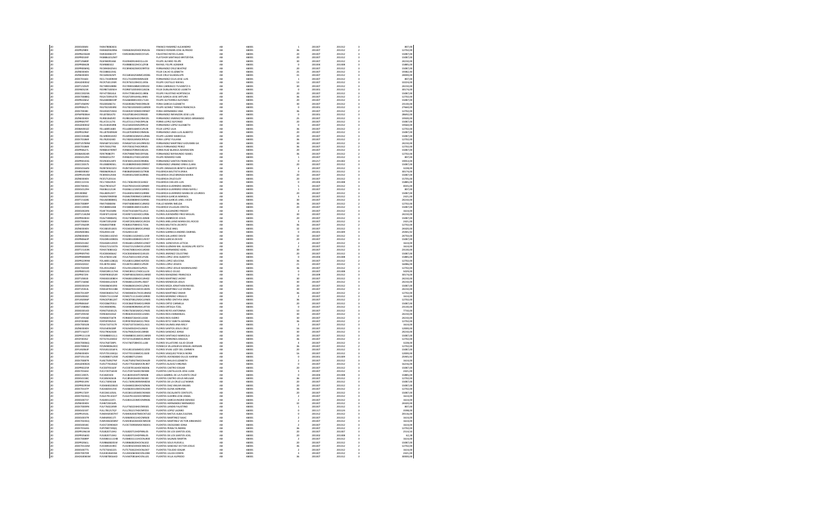| 20<br>20      | 20DES0069J<br>20DPR2989  | FARA78082655<br>FARA820420N6         | FARA820420HOCRML06                       | FRANCO RAMIREZ ALEJANDRO<br>FRANCO ROMAN JOSE ALFREDO             | AB                    | AB001<br>AB001        | 36                                            | 201307<br>201307 | 201312<br>201312 |                |
|---------------|--------------------------|--------------------------------------|------------------------------------------|-------------------------------------------------------------------|-----------------------|-----------------------|-----------------------------------------------|------------------|------------------|----------------|
|               | 20DPB2356W               | FARC8308237F                         | FARC830823MOCSYL05                       |                                                                   | AB<br>AB              | AB001                 |                                               | 201307           | 201312           |                |
| 20<br>20      | 20DPR0104F               | FASB861012M7                         |                                          | FAUSTINO REYES CLARA<br>FLATCHER SANTIAGO BRITZEYDA               | AB                    | AB001                 | $\begin{array}{c} 20 \\ 20 \end{array}$       | 201307           | 201312           |                |
| 20            | 20DTV0680F               | FEAF8409146E                         | FEAF840914HOCLLL03                       | FELIPE ALFARO FELIPE                                              | AB                    | AB001                 | 30                                            | 201307           | 201312           |                |
| $_{20}$       | 20DPR0842B               | FEAR880322                           | FEAR880322HOCLZF08                       | RAFAEL FELIPE AZAMAR                                              | AB                    | AB001                 | $\circ$                                       | 201304           | 201308           |                |
| 20            | 20DPR0069Q               | FECB940425K4                         | FECB940425MOCRRT03                       | FERNANDEZ CRUZ BEATRIZ                                            | AB                    | AB001                 | $\overline{20}$                               | 201307           | 201312           |                |
| 20            | 202NF0040V               | FFCF880223IO                         |                                          | FELIX CALVO ELIZARETH                                             | <b>AR</b>             | <b>AR001</b>          | 25                                            | 201307           | 201312           |                |
| 20            | 202NE0040V               | <b>FECG850425PI</b>                  | FECG850425MMCLRD06                       | FELIX CRUZ GUADALUPE                                              | AB                    | AB001                 | $\overline{31}$                               | 201307           | 201312           |                |
|               | 102101601                | FECL7310094W                         | FECT 731009HMSRLS00                      | FERNANDEZ CELIS JOSE LUIS                                         |                       | <b>AR001</b>          |                                               | 201307           | 201312           |                |
| 20<br>20      | 20AGD0003                | FECR7501193R                         | FECR750119HOCLSF06                       | FELIPE CASTILLO RAFAEL                                            | AB<br>AB              | AB001                 | $\overline{13}$                               | 201307           | 201312           |                |
| 20<br>20      | 20DTV1050Y               | FECY890108R8<br>FEDR871005EH         | FECY890108MOCRRV02                       | FERIA CARRASCO YUVANITZI S<br>FELIX DUBLAN ROCIO LILIBETH         | AB<br>AB              | <b>AR001</b>          |                                               | 201307           | 201312           |                |
|               | 20DIN0523K               |                                      | FEDR871005MOCLBC06                       |                                                                   |                       | AB001                 | $\overset{30}{_{0}}$                          | 201301           | 201312           |                |
| 20<br>20      | 20DCC0025N               | FEFH770814L4<br>FEGA7209147D         | FEFH770814HOCLSR06                       | FELIPE FAUSTINO HORTENCIA                                         | AB                    | AB001                 | $\begin{array}{c} 20 \\ 36 \end{array}$       | 201307           | 201312           |                |
|               |                          |                                      | FEGA720914HSLLRR01                       |                                                                   | AB                    | AB001                 |                                               | 201307           | 201312           |                |
| 20<br>20      | 20DPB10652               | FEGA8408019F<br>FEGE850827JJ         | FEGA840801HOCLTL04                       | FELIPE GUTIERREZ ALFONZO                                          | AB                    | AB001                 | 20<br>30                                      | 201307           | 201312           |                |
|               | 20DTV0609\               |                                      | FEGE850827MOCRRL00                       | FERIA GARCIA ELIZABETH                                            | AB                    | AB001                 |                                               | 201307           | 201312           |                |
| 20<br>20      | 20DPR0627L               | FEGT821003RE                         | FEGT821003MOCLMR09                       | FELIPE GOMEZ TERESA FRANCISCA                                     | AB                    | AB001                 |                                               | 201301           | 201312           |                |
|               | 20DST0038I               | FEHA92072043                         | FEHA920720MOCRRN07                       | FERIA HERNANDEZ ANA                                               | AB                    | AB001                 | 36                                            | 201307           | 201312           |                |
| 20            | 20FMP0006H               | FEIL8708147D                         | FEIL870814HOCRNS00                       | FERNANDEZ INFANZON JOSE LUIS                                      | AB                    | AB001                 |                                               | 201301           | 201312           |                |
| $_{20}$       | 202NE0040V               | FEJR810605PZ                         | FEJR810605HOCRMC05                       | FERNANDEZ JIMENEZ RICARDO ARMANDO                                 | AB                    | AB001                 | 25                                            | 201307           | 201312           |                |
| 20<br>$_{20}$ | 20DPR0479T<br>20AGD00032 | FELA721117IE<br><b>FELES40203RB</b>  | FELA721117HOCRPL06<br>FELES40203MVZRPL02 | FERRA LOPEZ ALFONSO<br>FERNANDEZ LOPEZ ELIZABETH                  | AB<br>AB              | AB001<br>AB001        | $^{20}$<br>$\circ$                            | 201307<br>201307 | 201312<br>201312 |                |
| 20            |                          |                                      |                                          | FELIX LOPEZ LILIA                                                 | AB                    | AB001                 | 36                                            | 201307           | 201312           |                |
| 20            | 20DBA00322<br>20DPR3296F | FELL68051683<br>FELL870309GW         | FELL680516MOCLPL09<br>FELL870309HOCRMS06 | FERNANDEZ LIMA LUIS ALBERTO                                       | AB                    | AB001                 | 20                                            | 201307           | 201312           |                |
| 20            | 20DCC0358E               | FELM900103FZ                         | FELM900103MOCLZR06                       | FELIPE LAZARO MARICELA                                            | AB                    | AB001                 | 20                                            | 201307           | 201312           |                |
|               | 20DST0186R               | FFI YR20324ID                        | FFI Y820324MOCRPL04                      | FERIA LOPEZ YULIANA                                               | AB                    | <b>AR001</b>          |                                               | 201307           | 201312           |                |
| 20<br>20      | 20DTV0789W               | FEMG871011MV                         | FEMG871011HVZRRV02                       | FERNANDEZ MARTINEZ GIOVANNI GA                                    | AB                    | AB001                 | 36<br>30                                      | 201307           | 201312           |                |
|               | 20DST0186R               | FEPJ700327NS                         | FEPJ700327HOCRRS05                       | JESUS FERNANDEZ PEREZ                                             | AB                    | AB001                 | 36                                            | 201307           | 201312           |                |
| 20<br>20      | 20DPR0627L               | <b>FERB810709NT</b>                  | FERB810709MCSRZL05                       | FERRA RUIZ BLANCA ADORACION                                       | AB                    | AB001                 | 20                                            | 201307           | 201312           |                |
|               | 20DBA0024R               | FERI790807FI                         | FERI790807MOCRYS06                       | FERNANDEZ RAYMUNDO ISABEL                                         | AB                    | AB001                 | 36                                            | 201307           | 201312           |                |
| 20<br>20      | 20DES0129H               | <b>FERI820127IY</b>                  | FERI820127HOCLMV00                       | FELIPE ROMERO IVAN                                                | AB                    | AB001                 | $\mathbf{1}$                                  | 201307           | 201312           |                |
| 20            | 20DPR0103G               | FESF830124F9                         | FESF830124HOCRNR06                       | FERNANDEZ SANTOS FRANCISCO                                        | AB                    | AB001                 | $\mathbf{0}$                                  | 201217           | 201302           |                |
| $_{20}$       | 20DCC00379               | FEUE880905EL                         | FEUE880905MOCRRR07                       | FERNANDEZ URBANO ERIKA CLARA                                      | AB                    | AB001                 | 20                                            | 201307           | 201312           |                |
| 20            | 20DES0164M               | FEZB730321DV                         | FEZB730321HOCLRN03                       | FELIPE ZARAGOZA BENITO ALBERTO                                    | AB                    | AB001                 | $\ddot{a}$                                    | 201307           | 201312           |                |
| 20            | 20HBD0006\               | FIBE860926UE                         | FIBE860926MOCGTR08                       | <b>FIGUEROA BAUTISTA ERIKA</b>                                    | AB                    | AB001                 | $\theta$                                      | 201311           | 201312           |                |
| 20            | 20DPR1913M               | FICB930125MJ                         | FICB930125MCSGRR06                       | FIGUEROA CRUZ BRENDA MARIA                                        | AB                    | AB001                 | 20                                            | 201307           | 201312           |                |
| 20<br>20      | 207NF0040V               | FICES7120114                         |                                          | FIGUEROA CRUZ ELOY                                                | AB                    | <b>AR001</b>          | 20                                            | 201307           | 201312           |                |
|               | 20DCC2215S               | FICL730619V4                         | FICL730619HOCGHS02                       | <b>FIGUEROA CHELIOS LUIS</b>                                      | AB                    | AB001                 | $\bf{0}$                                      | 201304           | 201308           |                |
| 20<br>20      | 20DST0045S               | FIGA7901012T                         | FIGA790101HOCGRN09                       | <b>FIGUEROA GUERRERO ANDRES</b>                                   | AB                    | AB001                 | k                                             | 201307           | 201312           |                |
|               | 20DES0129H               | FIGE8611213K                         | FIGE861121MOCGRR01                       | FIGUEROA GUERRERO ERIKA NAYELI                                    | AB                    | AB001                 | $\mathbf{1}$                                  | 201307           | 201312           |                |
| 20            | 20FJI0008Z               | FIGL840523F7                         | FIGL840523MOCGRR08                       | FIGUEROA GUERRERO MARIA DE LOURDES                                | AB                    | AB001                 | 20                                            | 201307           | 201312           |                |
| $_{20}$       | 20DES0053I               | FIGM67090958                         | FIGM670909MOCGRR04<br>FIGU820808HOCGRR06 | <b>FIGUEROA GARCIA MARISOL</b>                                    | AB                    | AB001<br>AB001        | $\overline{3}$                                | 201307           | 201312           |                |
| 20            | 20DTV14289               | <b>FIGU820808KQ</b>                  |                                          | FIGUEROA GARCIA URIEL VICEN                                       | AB                    |                       | 30                                            | 201307           | 201312           |                |
| $_{20}$       | 20DST0089P<br>20DCC2094X | FIMI740804NI<br>FIVC880814A8         | FIMI740804MOCLRM02<br>FIVC880814MOCGLR01 | FIALLO MARIN IMELDA<br><b>FIGUEROA VILLEGAS CRISTAL</b>           | AB<br>AB              | AB001<br>AB001        | 36                                            | 201307<br>201307 | 201312<br>201312 |                |
| 20<br>$_{20}$ | 20DES0024N               | FOAF741018RJ                         | FOAF741018HTCLLR13                       | <b>FLORES ALEJANDRO FREDDY</b>                                    | AB                    | AB001                 | 20<br>$\overline{2}$                          | 201307           | 201312           |                |
| 20            | 20DTV1342M               | FOAF87110244                         | FOAF871102HOCLVR0                        | FLORES AVENDAÑO FRED MIGUEL                                       | AB                    | AB001                 | 30                                            | 201307           | 201312           |                |
|               | 20DPR0283H               | FOA1730806FO                         | FOA1730806HOCLMS08                       | FLORES AMBROCIO JESUS                                             | <b>AR</b>             | <b>AR001</b>          |                                               | 201307           | 201312           |                |
| 20<br>20      | 20DST0083V               | FOAR720524SF                         | FOAR720524MOCLRC04                       | FLORES ARELLANO MARIA DEL ROCIO                                   | AB                    | AB001                 | $\frac{20}{3}$                                | 201307           | 201312           |                |
|               | 20DTV0620F               | FOBJ810708I8                         | FOBJ810708HOCLTC06                       | <b>FLORES BAUTISTA JACINTO</b>                                    | AB                    | AB001                 | 36                                            | 201307           | 201312           |                |
| 20<br>20      | 20ZNE0040V               | FOCA81051815                         | FOCA810518MOCLRN02                       | <b>FLORES CRUZ ANEL</b>                                           | AB                    | AB001                 | 32                                            | 201307           | 201312           |                |
| 20            | 20DJN0038G               | FOGA931130                           | FOGA931130                               | FLORES GARNICA ANDRES DARINEL                                     | AB                    | AB001                 | $\circ$                                       | 201301           | 201309           |                |
| $_{20}$       | 202NE0040V               | FOGD811102V0                         | FOGD811102HOCLLV00                       | <b>FLORES GALLARDO DAVID</b>                                      | AB                    | AB001                 | 32                                            | 201307           | 201312           |                |
| 20            | 20DPB0663F               | FOGD851008DG                         | FOGD851008HOCLRV07                       | <b>FLORES GARCIA DEIVID</b>                                       | AB                    | AB001                 | $\overline{20}$                               | 201307           | 201312           |                |
| $_{20}$       | 20DES01442               | FOGE681120VD                         | FOXG681120MOCLXN07                       | <b>FLORES GENOVEVA LETICIA</b>                                    | AB                    | AB001                 | $\overline{2}$                                | 201307           | 201312           |                |
| 20            | 20DES0083C               | FOGG7212107A                         | FOGG721210MOCLZD00                       | FLORES GUZMAN MA. GUADALUPE EDITH                                 | AB                    | AB001                 |                                               | 201307           | 201312           |                |
| $_{20}$       | 20DTV1143N               | FOHA73083101                         | FOHA730831HOCLRD00                       | <b>FLORES HERNANDEZ ADIEL</b>                                     | AB                    | AB001                 | 30                                            | 201307           | 201312           |                |
| 20            | 20DPR0979O               | FOJC830406AZ                         | FOJC830406HOCLML03                       | <b>FLORES JIMENEZ CELESTINO</b>                                   | AB                    | AB001                 | 20                                            | 201307           | 201312           |                |
|               | 20DPR0848W               | <b>FOI 4760311AF</b>                 | FOLA760311HOCLPL06                       | FLORES LOPEZ JOSE ALBERTO                                         | <b>AR</b>             | <b>AR001</b>          | $\circ$                                       | 201304           | 201308           |                |
| 20<br>20      | 20DPR2299W               | FOLA801128QQ                         | FOLA801128MCHLPZ03                       | FLORES LOPEZ AZUCENA                                              | AB                    | AB001                 | 36                                            | 201307           | 201312           |                |
| 20<br>20      | 20DES02022               | FOLI870118AE<br>FOLI931206EZ         | FOLI870118MOCLPS09<br>FOLJ931206HCSLPS01 | <b>FLORES LOPEZ JOSEFA</b>                                        | AB<br>AB              | <b>AR001</b>          | $\begin{array}{c} 21 \\ 36 \end{array}$       | 201307           | 201312           |                |
|               | 20DST0203R               |                                      |                                          | FLORES LOPEZ JOSUE MAXIMILIANO                                    |                       | AB001                 |                                               | 201307           | 201312           |                |
| 20<br>20      | 20DPB00120<br>20DPR0729I | FOMC891117HX<br>FOMF90032539         | FOMC891117HOCLLL03<br>FOMF900325MOCLNR00 | FLORES MELO CELSO<br>FLORES MANZANO FRANCISCA                     | AB<br>AB              | <b>AR001</b>          | $\begin{smallmatrix}0\\0\\0\end{smallmatrix}$ | 201307           | 201308           |                |
|               |                          |                                      |                                          |                                                                   |                       | AB001                 |                                               | 201309           | 201312           |                |
| 20<br>20      | 20DTV0810I               | FOM IR3100RFH                        | FOMJ831008HOCLRH02                       | <b>FLORES MARTINEZ JHONY</b>                                      | AB                    | <b>AR001</b>          | 30<br>30                                      | 201307           | 201312           |                |
|               | 20DTV1606E               | FOMJ841225E9                         |                                          | <b>FLORES MENDOZA JESUS</b>                                       | AB                    | AB001<br>AB001        |                                               | 201307<br>201307 | 201312<br>201312 |                |
| 20<br>20      | 20DEE0010H<br>20DTV0353L | FOMJ86041093<br>FOML870311BB         | FOMJ860410HOCLZN03<br>FOML870311MOCLR205 | FLORES MEZA JONATHAN RAFAEL<br>FLORES MARTINEZ LUZ DIVINA         | AB<br>AB              | AB001                 | 20<br>30                                      | 201307           | 201312           |                |
| 20            | 20DST0130P               | FOMO840317UC                         | FOMO840317HOCLRM02                       | FLORES MARTINEZ OMAR                                              | AB                    | AB001                 | 36                                            | 201307           | 201312           |                |
| $_{20}$       | 20DES00042               | <b>FOMV711115NF</b>                  | FOMV711115HOCLRR00                       | <b>FLORES MORENO VIRGILIO</b>                                     | AB                    | AB001                 | $\overline{2}$                                | 201307           | 201312           |                |
| 20            | 20FUA0046F               | <b>FONC870812AT</b>                  | FONC870812MOCLXN05                       | FLORES NIÑO CINTHYA SINA                                          | AB                    | AB001                 | 36                                            | 201307           | 201312           |                |
|               | 20DPB0656F               | FOOC8607051                          | FOOC860705MOCLRR09                       | <b>FLORES ORTIZ CARMELA</b>                                       |                       | <b>AR001</b>          |                                               | 201307           | 201312           |                |
| 20<br>20      | 20DTV0808U               | FOOI900909SL                         | FOOI900909MMCLRT00                       | FLORES ORTEGA ITZEL                                               | AB<br>AB              | AB001                 | $\begin{array}{c} 20 \\ 0 \end{array}$        | 201307           | 201312           |                |
|               | 20DEE0014D               |                                      |                                          | <b>FLORES REYES ANTONINA</b>                                      |                       | AB001                 | $10$                                          | 201307           | 201312           |                |
| 20<br>20      | 20DTV09192               | FORA75030125<br>FORE820103JZ         | FORA750301MOCLYN05<br>FORE820103HOCLSM01 | FLORES RIOS EMMANUEL                                              | AB<br>AB              | AB001                 | 30                                            | 201307           | 201312           |                |
|               | 20DTV0918Z               |                                      | FORI830726HOCLSS04                       | FLORES RIOS ISIDRO                                                | AB                    | <b>AR001</b>          | 30                                            | 201307           | 201312           |                |
| 20<br>20      | 20FZF0048D               | FORI830726TR<br>FORY870925IC         | FORY870925MOCLTR03                       | FLORES RITO YARETH ADINNA                                         | AB                    | AB001                 | 36                                            | 201307           | 201312           |                |
|               | 20DST00528               | FOSA71073179                         | FOSA710731MOCLLN11                       | FLORES SALINAS ANA MELY                                           | AB                    | AB001                 |                                               | 201307           | 201312           |                |
| 20<br>20      | 20ZNE0040V               | FOSJ5405028P                         | FOSJ540502HCSLNS03                       | <b>FLORES SANTOS JESUS CRUZ</b>                                   | AB                    | AB001                 | $\begin{array}{c} 2 \\ 16 \end{array}$        | 201307           | 201312           |                |
| 20            | 20DTV1625T               | FOSJ790425D8                         | FOSJ790425HOCLNR08                       | FLORES SANCHEZ JORGE                                              | AB                    | AB001                 | 30                                            | 201307           | 201312           |                |
| $_{20}$       | 20DPR1111W               | FOSM880311L1                         | FOSM880311MOCLNR09                       | <b>FLORES SANTIAGO MARICELA</b>                                   | AB                    | AB001                 | 20                                            | 201307           | 201312           |                |
| 20            | 20FZF0035Z               | FOTA731204DZ                         | FOTA731204MOCLRN09                       | <b>FLORES TERRONES ANGELIS</b>                                    | AB                    | AB001                 | 36                                            | 201307           | 201312           |                |
| $_{20}$       | 20DST0006Q               | FOVJ760728P1                         | FOVJ760728HOCLLL08                       | FLORES VILLATORO JULIO CESAR                                      | AB                    | AB001                 | $\overline{4}$                                | 201307           | 201312           |                |
| 20            | 20DST0081X<br>20FUA0063F | FOVM800624CC<br>FOVU811016FA         | FOVU811016MOCLV203                       | FONSECA VILLANUEVA MIGUEL BERSAIN<br>FLORES VIVAS UZZY DEL CARMEN | AB<br>AB              | AB001<br>AB001        | 36<br>20                                      | 201307<br>201307 | 201312<br>201312 |                |
| 20<br>20      |                          |                                      |                                          |                                                                   |                       |                       |                                               |                  |                  |                |
|               | 202NE0040V<br>2007V0115K | FOVY701104QU<br><b>FLIAD880712SW</b> | FOVY701104MOCLSS00<br>FLIADRR0712SW4     | FLORES VASQUEZ YESICA NORA<br>FUENTES AVENDARO DULCE KARINA       | AB<br><b>AR</b>       | AB001<br><b>AR001</b> | 16<br>$\mathbf 0$                             | 201307<br>201301 | 201312<br>201309 |                |
| 20<br>20      | 20DST0087R               | FUAE750927NY                         | FUAE750927MOCNHL09                       | FUENTES AHUJA ELIZABETH                                           | AB                    | AB001                 | $\overline{2}$                                | 201307           | 201312           |                |
|               | 20AGD0002A               | FUAV770226GZ                         | FUAV770226MOCRLR07                       | <b>FUERTES ALAVEZ VIRGINIA</b>                                    | AB                    | AB001                 | $\Omega$                                      | 201307           | 201312           |                |
| 20<br>20      | 20DPR0225F               | FUCE8705163F                         | FUCE870516HOCNSD06                       | <b>FUENTES CASTRO EDGAR</b>                                       | AB                    | AB001                 | 20                                            | 201307           | 201312           |                |
| 20            | 20DST0165E               | FUCJ720716SW                         | FUCJ720716HOCNSN08                       | FUENTES CASTILLEJOS JOSE JUAN                                     | AB                    | AB001                 | 3                                             | 201307           | 201312           |                |
| $_{20}$       | 20DCC2007L               | FUCJ820103                           | FUCJ820103HTCNRS08                       | JESUS GABRIEL DE LA FUENTE CRUZ                                   | AB                    | AB001                 | $\theta$                                      | 201304           | 201308           |                |
| 20            | 20DES0158C               | FUCJ8504261B                         | FUCJ850426HOCNSS00                       | <b>FUENTES CASTRO JESUS MELGAR</b>                                | AB                    | AB001                 | 36                                            | 201307           | 201312           |                |
| $_{20}$       | 20DPR0139\               | FUCL730923JB                         | FUCL730923MMSNRZ04                       | FUENTES DE LA CRUZ LUZ MARIA                                      | AB                    | AB001                 | 20                                            | 201307           | 201312           |                |
| 20            | 20DPR0295M               | FUDA840228UD                         | FUDA840228HOCNZN06                       | FUENTES DIAZ ANUAR ANUBIS                                         | AB                    | AB001                 | 20                                            | 201307           | 201312           |                |
| 20            | 20DST0147P               | <b>FUEA820313VE</b>                  | FUEA820313MOCNLD00                       | <b>FUENTES ELENA ADRIANA</b>                                      | AB                    | AB001                 | 36                                            | 201307           | 201312           |                |
| 20            | 20DPR1720Y               | FUEC8411054L                         | FUEC841105MOCNSN04                       | FUENTES ESCALANTE CENTEOTL                                        | AB                    | AB001                 | 20                                            | 201307           | 201312           |                |
|               | 20DST02450               | FUGA7911022T                         | FUGA791102HOCNRN02                       | FUENTES GUERRA JOSE ANGEL                                         | <b>AR</b>             | <b>AR001</b>          | $\overline{2}$                                | 201307           | 201312           |                |
| 20<br>20      | 20DES0071Y               | FUGI831223TJ                         | FUGI831223MOCNRN06                       | FUENTES GARCIA INGRID DENISSE                                     | AB                    | AB001                 |                                               | 201307           | 201312           |                |
|               | 202NE0040V               | FUHB720416PL                         |                                          | <b>FUENTES HERNANDEZ BERNARDO</b>                                 | AB                    | AB001                 | 32                                            | 201307           | 201312           |                |
| 20<br>20      | 20DST0009M               | FULF760224N9                         | FULF760224HOCNNS01                       | <b>FUENTES LANDIS FAUSTINO</b>                                    | AB                    | AB001                 | $\mathbf{1}$                                  | 201307           | 201312           |                |
| 20            | 20DES0233T               | FULL781217QY                         | FULL781217HOCNPZ03                       | FUENTES LOPEZ LAZARO                                              | AB                    | AB001                 | $\circ$                                       | 201117           | 201124           |                |
| $_{20}$       | 20DPR1914L               | FUMA920307H7                         | FUMA920307MOCNTL02                       | <b>FUENTES MATUS ALBA ZULEMA</b>                                  | AB                    | AB001                 | $\circ$                                       | 201312           | 201312           |                |
| 20            | 20DES0037R               | FUMI690411TI                         | FUMI690411HOCNRS00                       | <b>FUENTES MARTINEZ ISAAC</b>                                     | AB                    | AB001                 |                                               | 201307           | 201312           |                |
| $_{20}$       | 20DST0245Q               | <b>FUMV850204NY</b>                  | FUMV850204HOCNRC00                       | FUENTES MARTINEZ VICTOR ARMANDO                                   | AB                    | AB001                 | $\overline{2}$                                | 201307           | 201312           |                |
| 20            | 20DES0018C               | FUOE720904G9                         | FUOE720904MOCNSD01                       | <b>FUENTES OSOGOBIO EDNA</b>                                      | AB                    | AB001                 |                                               | 201307           | 201312           |                |
| $_{20}$       | 20DST0163G               | FUPI78071900                         |                                          | <b>FUENTES PERALTA INDIRA</b>                                     | AB                    | AB001                 | 36                                            | 201307           | 201312           |                |
| 20            | 20DPR1961W               | <b>FUSJ820713HU</b>                  | FUSJ820713HDFNNL05                       | FUENTES DE LOS SANTOS JOEL                                        | AB                    | AB001                 | 20                                            | 201307           | 201307           |                |
| 20<br>20      | 20DPR35600               | <b>FLISIR20713HLL</b>                | ELISI820713HDENNL0S                      | FUENTES DE LOS SANTOS JOEL                                        | <b>AR</b>             | <b>AR001</b>          | 20                                            | 201302           | 201308           |                |
|               | 20DST0089F               | <b>FUSM831111HE</b>                  | FUSM831111HOCNLR00                       | <b>FUENTES SALINAS MARTIN</b>                                     | AB                    | AB001                 | $\frac{1}{2}$                                 | 201307           | 201312           |                |
| 20<br>20      | 20DPR2061L<br>20DST0133M | FLISR860820SW<br><b>FUSV891019KC</b> | FUSR860820HOCNLS02<br>FUSV891019HOCNNC02 | <b>FUENTES SOLIS RUSVELL</b><br>FUENTES SANCHEZ VICTOR JOSUE      | AB                    | <b>AR001</b><br>AB001 | 20<br>36                                      | 201307<br>201307 | 201312<br>201312 |                |
|               |                          | FUTE75042225                         | FUTE750422HOCNLD07                       | <b>FUENTES TOLEDO EDGAR</b>                                       | $\overline{AB}$<br>AB | <b>AR001</b>          |                                               | 201307           | 201312           |                |
| 20<br>20      | 20DES0077S<br>20DST0070R | FUUE8106035B                         | FUUE810603HOCNLD08                       | <b>FUENTES ULLOA EDWIN</b>                                        | AB                    | AB001                 | $\overline{2}$                                | 201307           | 201312           | $\overline{3}$ |
|               | 20ADG0065M               | <b>FUVA870816AD</b>                  | FUVA870816HOCNLL01                       | <b>FUENTES VILLA ALFREDO</b>                                      | AB                    | AB001                 | 36                                            | 201307           | 201312           | 3              |
|               |                          |                                      |                                          |                                                                   |                       |                       |                                               |                  |                  |                |
|               |                          |                                      |                                          |                                                                   |                       |                       |                                               |                  |                  |                |

# $\begin{array}{cccc} \textbf{151} & \textbf{152} \\ \textbf{153} & \textbf{153} \\ \textbf{154} & \textbf{153} \\ \textbf{155} & \textbf{153} \\ \textbf{156} & \textbf{153} \\ \textbf{157} & \textbf{158} \\ \textbf{158} & \textbf{158} \\ \textbf{159} & \textbf{158} \\ \textbf{159} & \textbf{159} \\ \textbf{159} & \textbf{159} \\ \textbf{159} & \textbf{159} \\ \textbf{159} & \textbf{15$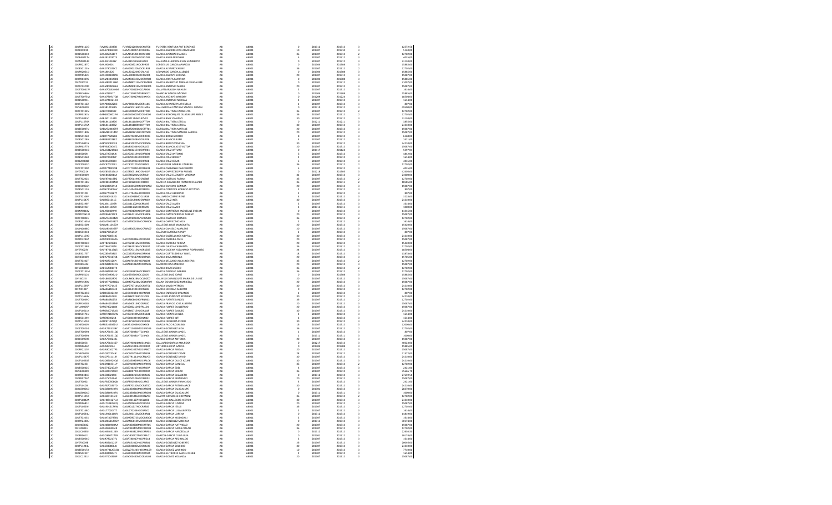| 20             | 20DPR0112O               | FUVR9212033D                 | FUVR921203MOCNNT08                       | <b>FUENTES VENTURA RUT BERENICE</b>                               |           | AB001                 |                                         | 201312<br>$\circ$                                 | 201312           |                         | 12572,50             |
|----------------|--------------------------|------------------------------|------------------------------------------|-------------------------------------------------------------------|-----------|-----------------------|-----------------------------------------|---------------------------------------------------|------------------|-------------------------|----------------------|
| 20             | 2000/0001X               | GAAA740827BR                 | GAAA740827HDERGR06                       | GARCIA AGUIRRE IOSE ARMANDO                                       | <b>AR</b> | <b>AR001</b>          | $10^{-1}$                               | 201307                                            | 201310           |                         | 5140,00              |
| 20             | 20DES0041D               | GAAA850528F7                 | GAAA850528HOCRVN08                       | GARCIA AVENDAñO ANGEL                                             | AB        | AB001                 | 36                                      | 201307                                            | 201312           |                         | 12702,00             |
|                | 20DBA0017H               | GAAE811020T3                 | GAAF811020HOCBGD09                       | GARCIA AGUILAR EDGAR                                              | <b>AR</b> | <b>AR001</b>          |                                         | k<br>201307                                       | 201312           |                         | 4035.00              |
| 20<br>20       |                          | GAAJ8310308Z                 |                                          | GALEANA ALARCON JESUS HUMBERTO                                    |           |                       |                                         |                                                   |                  |                         | 23130,00             |
|                | 20DNP0014R               |                              | GAAJ831030HGRLLS02                       |                                                                   | AB        | AB001                 |                                         | 201307<br>$\circ$                                 | 201312           |                         |                      |
|                | 20DPB2267C               | GAAJ900601<br>GAAK790320CC   | GAAJ900601HOCRPR05                       | JORGE LUIS GARCIA APARICIO                                        | AB        | AB001                 |                                         | 201304                                            | 201308           |                         | 15885,00             |
| 20             | 20DES0123N               |                              | GAAK790320MOCRLR03                       | <b>GARCIA ALVAREZ KARINE</b>                                      | AB        | AB001                 | 36                                      | 201307                                            | 201312           |                         | 12702,00             |
|                | 20DPB2051D               | GAAL801220                   | GAAL801220HOCRLN13                       | LEONARDO GARCIA ALLENDE                                           | AB        | AB001                 |                                         | 201304                                            | 201308           |                         | 15885,00             |
| $_{20}$        | 20DPR0542E               | GAAL9001028W                 | GAAL900102MOCRGR01                       | <b>GARCIA AGUAYO LORENA</b>                                       | AB        | AB001                 | 20                                      | 201307                                            | 201312           | 3                       | 15087.00             |
| 20             | 20DPB0339S               | GAAM830323DE                 | GAAM830323MOCRRR02                       | <b>GARCIA ARISTA MARTINA</b>                                      | AB        | AB001                 |                                         | $\bf{0}$<br>201304                                | 201308           |                         | 15885,00             |
| $_{20}$        | 20FZF0001J               | GAAM8801136D                 | GAAM880113MOCRMR03                       | GARCIA AMBROSIO MIRIAM GUADALUPE                                  | AB        | AB001                 |                                         | $\circ$<br>201301                                 | 201312           |                         | 31097.00             |
| 20             | 20DCC0178R               | GAAM89081563                 | GAAM890815MOCRNR01                       | GARCIA ANTONIO MARIA                                              | AB        | AB001                 | 20                                      | 201307                                            | 201312           |                         | 15087,00             |
| $_{20}$        | 20DST0041W               | GAAN700810NM                 | GAAN700810HOCLRH00                       | <b>GALVAN ARAGON NAHUM</b>                                        | AB        | AB001                 |                                         | $\overline{2}$<br>201307                          | 201312           | ٩                       | 1614.00              |
| 20             | 20DPB1696N               | GAAN730917                   | GAAN730917MGRRXY01                       | NAYROBY GARCIA AÑORVE                                             | AB        | AB001                 |                                         | 201304<br>$\bf{0}$                                | 201308           |                         | 15885,00             |
| $_{20}$        | 20DST0075M               | GAAN730917QB                 | GAAN730917MOCRXY04                       | <b>GARCIA AñORVE NAYROBY</b>                                      | AB        | AB001                 |                                         | $\theta$<br>201209                                | 201224           |                         | 18504.00             |
| 20             | 20DES0091L               | GAAN740321D3                 |                                          | <b>GARCIA ANTONIO NICOLAS</b>                                     | AB        | AB001                 |                                         | 201307<br>$\overline{2}$                          | 201312           |                         | 1614,00              |
|                | 2005T01127               | GAAPROOF22BC                 | GAAPROOF22MOCRLLOS                       | GARCIA ALVAREZ PILAR EVELIA                                       | AB        | <b>AR001</b>          |                                         | 201307<br>$\overline{1}$                          | 201312           |                         | 807.00               |
| 20<br>20       | 20ZNE0040V               | GAAS81041685                 | GAAS810416HOCLLM06                       | GALLARDO ALCANTARA SAMUEL JERSON                                  | AB        | AB001                 |                                         | 201310                                            |                  |                         | 49500,00             |
|                |                          |                              | GABC700807MOCRTR00                       |                                                                   | AB        | <b>AR001</b>          |                                         | $\circ$<br>201307                                 | 201312<br>201312 |                         |                      |
| 20<br>20       | 20DST0132N               | GABC700807LF<br>GABG800602PH |                                          | GARCIA BAUTISTA CARMELITA                                         |           |                       | 36                                      |                                                   |                  |                         | 12702,00             |
|                | 20DPR0262V               |                              | GABG800602MOCRHD00                       | GARCIA BOHORQUEZ GUADALUPE ARECE                                  | AB        | AB001                 | 36                                      | 201307                                            | 201312           |                         |                      |
| 20             | 20DTV0345C               | GABJ9011142D                 | GABJ901114HPLRZV02                       | <b>GARCIA BAEZ JOVANNY</b>                                        | AB        | AB001                 |                                         | 30<br>201307                                      | 201312           |                         | 23130,00             |
| $_{20}$        | 20DTV1576A               | GABL84110876                 | GABL841108MOCRTT09                       | <b>GARCIA BAUTISTA LETICIA</b>                                    | AB        | AB001                 |                                         | $\overline{0}$<br>201211                          | 201211           |                         | 3855.00              |
| 20             | 20DTV1576A               | GABL84110852                 | GABL841108MOCRTT09                       | <b>GARCIA BAUTISTA LETICIA</b>                                    | AB        | AB001                 | 30                                      | 201307                                            | 201312           |                         | 24210,00             |
| $_{20}$        | 20DEE0007U               | GABM720406RT                 | GABM720406MOCTTT01                       | <b>GATICA BAUTISTA MATILDE</b>                                    | AB        | AB001                 | 20                                      | 201307                                            | 201312           | 3                       | 15087.00             |
| 20             | 20DPR1180S               | GABM8812141P                 | GABM881214HOCRTN08                       | GARCIA BAUTISTA MANUEL ANDRES                                     | AB        | AB001                 | $\overline{20}$                         | 201307                                            | 201312           |                         | 15087,00             |
| $_{20}$        | 20DES0126K               | GABR770202B1                 | GABR770202MOCRRC06                       | <b>GARCIA BORGES ROCIO</b>                                        | AB        | AB001                 |                                         | 8<br>201307                                       | 201312           |                         | 6168.00              |
| 20             | 20DES0228H               | GABR801028KC                 | GABR801028HOCRLF08                       | GARCIA BLANCO RUFO                                                | AB        | AB001                 |                                         | 201307                                            | 201312           |                         | 2421,00              |
| $_{20}$        | 20DTV0421S               | GABV810827E3                 | GABV810827MOCRRN06                       | <b>GARCIA BRAVO VANESSA</b>                                       | AB        | AB001                 | 30                                      | 201307                                            | 201312           | 3                       | 24210.00             |
| 20             | 20DPR0277X               | GABV830304EC                 | GABV830304HOCRLC03                       | GARCIA BLANCO JOSE VICTOR                                         | AB        | AB001                 | 20                                      | 201307                                            | 201312           |                         | 15087,00             |
|                | 20DES0021Q               | GACA681215NU                 | GACA681215HOCRRR04                       | GARCIA CRUZ ARTURO                                                | AB        | <b>AR001</b>          |                                         | $\Omega$<br>201117                                | 201124           |                         | 5397.04              |
| 20<br>20       |                          |                              |                                          |                                                                   |           |                       |                                         |                                                   |                  |                         |                      |
|                | 20DES0069J               | GACA720319JK                 | GACA720319HOCRRN08                       | <b>GARCIA CRUZ ANTONIO</b>                                        | AB        | AB001                 |                                         | 201307<br>6                                       | 201312           |                         | 4842,00              |
| 20             | 20DES0106X               | GACB790301JP<br>GACC850906RI | GACB790301HOCRRR09                       | <b>GARCIA CRUZ BRUSLY</b>                                         | AB<br>AB  | <b>AR001</b>          |                                         | $\overline{2}$<br>201307                          | 201312           |                         | 1614.00              |
| 20             | 20DBA00082               |                              | GACC850906HOCRRS08                       | <b>GARCIA CRUZ CESAR</b>                                          |           | AB001                 |                                         | 5<br>201307                                       | 201312           |                         | 4035,00              |
| 20             | 20DST00320               | GACC870227KI                 | GACC870227HOCBBS03                       | CESAR JOSUE GABRIEL CABRERA                                       | AB        | AB001                 | 36                                      | 201307                                            | 201312           |                         | 12702,00             |
| $_{20}$        | 20DST0190D               | GACD77100298                 | GACD771002HOCRRG03                       | GARCIA CARRANZA DAGOBERTO                                         | AB        | AB001                 |                                         | 5<br>201307                                       | 201312           |                         | 4035.00              |
| 20             | 20FZF0021X               | GACE850519AU                 | GACE850519HOCRHD07                       | GARCIA CHAVEZ EDWIN RUSBEL                                        | AB        | AB001                 |                                         | $\mathbf 0$<br>201218                             | 201305           |                         | 42405,00             |
| $_{20}$        | 202NE0040V               | GACE8602011A                 | GACE860201MOCRRL0                        | <b>GARCIA CRUZ ELIZABETH VIRGINIA</b>                             | AB        | AB001                 | 31                                      | 201307                                            | 201312           |                         | 24000.00             |
| 20             | 20DST0202S               | GACF870119BG                 | GACF870119HOCRSB08                       | GARCIA CASTILLO FABIAN                                            | AB        | AB001                 | 36                                      | 201307                                            | 201312           |                         | 12702,00             |
| $_{20}$        | 20DST0118U               | GACF881203NM                 | GACF881203HOCRBR07                       | GARC=A CABALLERO FRANCISCO JAVIER                                 | AB        | AB001                 | 36                                      | 201307                                            | 201311           | $\overline{2}$          | 10585.00             |
|                | 20DCC0066                | GACG830509LX                 | GACG830509MOCRNM02                       | GARCIA CANCINO GEMMA                                              | AB        | AB001                 | 20                                      | 201307                                            | 201312           |                         | 15087,00             |
| $_{20}$        | 20DES0212G               | GACH7404096V                 | GACH740409HOCRRR01                       | GARCIA CORDOVA HORACIO OCTAVIO                                    | AB        | AB001                 |                                         | $\overline{1}$<br>201307                          | 201312           |                         | 807.00               |
| 20             | 20DST0120                | GACH77042677                 | GACH770426HOCRRR09                       | <b>GARCIA CRUZ HERMINIO</b>                                       | AB        | AB001                 |                                         | 201307                                            | 201312           |                         | 807,00               |
|                | 20DST0106E               | GACI6309182G                 | GACI630918MOCLSR08                       | GALLARDO COSME IRENE                                              | AB        | <b>AR001</b>          |                                         | 201307                                            | 201312           |                         | 3228.00              |
| 2C<br>2C       |                          |                              |                                          |                                                                   |           |                       |                                         |                                                   |                  |                         |                      |
|                | 20DTV1647E               | GACI8501241C                 | GACI850124MOCRRN02                       | GARCIA CRUZ INES                                                  | AB        | AB001                 | $\overline{30}$                         | 201307                                            | 201312           |                         | 24210,00             |
|                | 20DES01968               |                              | GACJ841102HOCRRV09<br>GACJ841102HOCRRV09 | <b>GARCIA CRUZ JAVIER</b>                                         |           | <b>AR001</b>          |                                         | 201307<br>$\overline{2}$                          | 201312           |                         | 1614.00              |
| 20<br>20       | 20DES01968               | GACJ8411026R<br>GACJ8411026R |                                          | GARCIA CRUZ JAVIER                                                | AB<br>AB  | AB001                 |                                         | 201311                                            | 201311           |                         | 1000,00              |
| 2C<br>2C       | 20DNP0010V               | GACJ900409N9<br>GACK861215CK | GACJ900409MOCRNQ08<br>GACK861215MOCRHR06 | GARCIA CONTRERAS JAQUELINE EVELYN<br>GARCIA CHAVEZ KRISTAL TAEENY | AB<br>AB  | <b>AR001</b>          |                                         | 201307<br>$\circ$                                 | 201312           |                         | 14346.00             |
|                | 20DPR1961W               |                              |                                          |                                                                   |           | AB001                 | 20                                      | 201307                                            | 201312           |                         | 15087,00             |
| 20<br>20       | 20DST0004S               | GACM7405042X                 | GACM740504MVZRSN08                       | GARCIA CASTILLO MONICA                                            | AB<br>AB  | AB001                 | 36                                      | 201307                                            | 201312           |                         | 12702,00<br>1614,00  |
|                | 20DES0165M               |                              | GACM790203MOCRHN06                       |                                                                   |           | AB001                 |                                         | $\overline{2}$<br>201307                          | 201312           |                         |                      |
| 20             | 20DES0160R               | GACM8110167A                 |                                          | GALLEGOS CRUZ MARGARITA                                           | AB        | AB001                 | $^{20}$                                 | 201307                                            | 201312           |                         | 15420,00             |
| $_{20}$        | 20DJN0086Q               | GACM830926TF                 | GACM830926MOCRNR07                       | <b>GARCIA CANSECO MARLENE</b>                                     | AB        | AB001                 | 20                                      | 201307                                            | 201312           |                         | 15087.00             |
|                | 20DES0101B               | GACN7905255Y                 |                                          | GALENO CARRERA NANCY                                              | AB        | AB001                 |                                         | 201307                                            | 201312           |                         | 807,00               |
| $_{20}$        | 20DTV11590               | GACN790831IG                 |                                          | <b>GARCIA CASTELLANOS NEPTALI</b>                                 | AB        | AB001                 | 30                                      | 201307                                            | 201312           | 3                       | 24210.00             |
| 20             | 20DPR32442               | GACO900326A5                 | GAC0900326HOCRRS00                       | GARCIA CARRERA OSIEL                                              | AB        | AB001                 | $\overline{20}$                         | 201307                                            | 201312           |                         | 15087,00             |
|                | 2005T00320               | <b>GACT821015BS</b>          | GACT821015MOCRRR06                       | GARCIA CARRERA TERESA                                             | <b>AR</b> | <b>AR001</b>          |                                         | 201307                                            | 201312           |                         | 15420.00             |
| $_{20}$        |                          |                              |                                          |                                                                   |           |                       | 20                                      |                                                   |                  |                         |                      |
| 20             | 20DST0238G               | GACY861026NI                 | GACY861026MOCRRS07                       | YASMIN GARCIA CARRANZA                                            | AB        | AB001                 | $\frac{1}{36}$                          | 201307                                            | 201312           |                         | 12702,00             |
| 2C<br>2C       | 20F2F0023V<br>20DES0175T |                              | GACY870115MHGRDZ05                       | GARCIA CADENA YOZAHANDI FIORDIALISO                               |           | <b>AR001</b>          |                                         | 201307                                            | 201312           |                         | 18504.00             |
|                |                          | GACY870115Q5<br>GACZ85070815 | CACZ850708MOCRRH08                       | GARCIA CORTES ZHERLY NINEL                                        | AB<br>AB  | AB001                 | $\begin{array}{c} 24 \\ 18 \end{array}$ | 201307                                            | 201312           |                         | 13878,00             |
| 20<br>20       | 202NE0040V<br>20DST0102T | GADA770117SB<br>GADA870126PI | GADA770117MOCRZN05                       | GARCIA DIAZ ANTONIA<br>GARCIA DELGADO AQUILINO ERIC               | AB<br>AB  | AB001                 | $\begin{array}{c} 20 \\ 36 \end{array}$ | 201307                                            | 201312           |                         | 15705,00<br>12702,00 |
|                |                          |                              | GADA870126HOCRLQ08                       |                                                                   |           | AB001                 |                                         | 201307                                            | 201312           |                         |                      |
|                | 20DIN03442               | GADA881012CG                 | GADA881012MOCRZM05                       | GARRIDO DIAZ AMERICA<br>GARCIA DIAZ EUSEBIO                       |           | <b>AR001</b>          | 20                                      | 201307                                            | 201312           |                         | 15087,00             |
| 20<br>20       | 20FSE0008U               | GADE620814TX                 |                                          |                                                                   | AB<br>AB  | AB001                 | 36                                      | 201307                                            | 201312           |                         | 12702,00             |
|                | 20DST0133M               | GADG8408031K<br>GADJ670906UD | GADGR40803HOCRNB07                       | GARCIA DIONISIO GABRIEL                                           |           | AB001                 |                                         | $\begin{array}{c} 36 \\ 0 \end{array}$<br>201307  | 201312           |                         | 12702,00             |
| 20<br>20       |                          |                              | GADJ670906HOCLZR05                       | GALLEGOS DIAZ JORGE                                               | AB<br>AB  | AB001                 |                                         | 201304                                            | 201308           |                         | 15885,00             |
|                |                          |                              | GADL860628MOCLMZ07                       | GALINDO DOMINGUEZ MARIA DE LA LUZ                                 |           | AB001                 |                                         |                                                   |                  |                         | 15087,00             |
| 20<br>20       | 20FJI0015I<br>20DPR1590V | GADL8606287G<br>GADM770226QA | GADM770226MOCLMR09                       | <b>GALAN DOMINGUEZ MARICELA</b>                                   | AB<br>AB  | AB001                 | $\begin{array}{c} 20 \\ 20 \end{array}$ | 201307<br>201307                                  | 201312<br>201312 |                         | 15087,00             |
|                |                          |                              |                                          |                                                                   |           |                       |                                         |                                                   |                  |                         |                      |
| 20             | 20DTV1595P               | GADP7707142E                 | GADP770714MOCRVT01                       | <b>GARCIA DAVID PATRICIA</b>                                      | AB        | AB001                 | 30                                      | 201307                                            | 201312           |                         | 24210,00             |
| $_{20}$        | 20FZ(0133Y               | GAEA8611034K                 | GAEA861103HOCRSL06                       | <b>GARCIA ESCOBAR ALBERTO</b>                                     | AB        | AB001                 |                                         | $\overline{0}$<br>201307                          | 201312           |                         | 12702.00             |
| 20             | 20DST0245Q               | GAE0690424IW                 | GAEO690424HOCRNR03                       | GARCIA ENRIQUEZ ORLANDO                                           | AB        | AB001                 |                                         | 201307                                            | 201312           |                         | 807,00               |
| $_{20}$        | 20DTV1664V               | GAER8605233E                 | GAER860523HOCLSD03                       | GALLEGOS ESPINOZA RODRIGO                                         | AB        | AB001                 | 30                                      | 201307                                            | 201312           |                         | 24210.00             |
| 20             | 20DST0049Q               | GAFA880802T8                 | GAFA880802HDFRNN02                       | GARCIA FUENTES ANGEL                                              | AB        | AB001                 | 36                                      | 201307                                            | 201312           |                         | 12702,00             |
|                | 20DPR1028X<br>20FUA0005P | GAFA940913MP                 | GAFA940913HOCRRL00                       | GARCIA FRANCO JOSE ALBERTO<br>GARCIA FLORES GUILLERMO             | AB<br>AB  | <b>AR001</b>          |                                         | $\begin{array}{c} 20 \\ 20 \end{array}$<br>201307 | 201312           |                         | 15087.00             |
| 2C<br>2C       |                          | GAFG7802108X                 | GAFG780210HDFRLL04                       |                                                                   |           | AB001                 |                                         | 201307                                            | 201312           |                         | 15087.00             |
|                | 20DTV0511K<br>20DES0174U | GAFG800715AG<br>GAFH7211092W | GAFG800715HOCRLL08<br>GAFH721109MOCRNL01 | GARCIA FLORES GALILEO<br>GARCIA FUENTES HILDA                     |           | AB001                 | 30                                      | 201307                                            | 201312           |                         | 24210,00             |
| 20<br>20       |                          |                              |                                          |                                                                   | AB<br>AB  | AB001                 |                                         | 201307<br>$\overline{2}$                          | 201312           |                         | 1614.00              |
|                |                          |                              | GAFI780402HOCRLN02                       |                                                                   |           | <b>AR001</b>          |                                         | 201307                                            | 201312           |                         | 1614,00              |
| 20<br>20       | 20DES0129H<br>20DTV1501K | GAF17804025B                 | GAPF871229HOCRGD08                       | GARCIA FLORES INTI                                                | AB<br>AB  | AB001                 |                                         | $\begin{array}{c} 2 \\ 30 \end{array}$<br>201307  | 201312           |                         | 24210,00             |
|                |                          |                              |                                          | GARCIA FACIO ROSALINO                                             |           | AB001                 |                                         |                                                   | 201312           |                         |                      |
| 20<br>20       | 202NE0040V<br>20DST0023G | GAFR510906DU<br>GAGA7103189Y | GAXR510906HOCRXS06<br>GAGA710318MOCRND06 |                                                                   | AB<br>AB  | AB001                 |                                         | 16<br>36<br>201307                                |                  | $\overline{2}$          | 12000,00<br>12702,00 |
|                |                          |                              |                                          | GARCIA GONZALEZ AIDA                                              |           |                       |                                         | 201307                                            | 201312           |                         |                      |
| 20<br>$_{20}$  | 20DST0069B               | GAGA760331QD<br>GAGA760331OD | GAGA760331HTCLRN04                       | <b>GALLEGOS GARCIA ANGEL</b>                                      | AB<br>AB  | AB001                 | $\,$                                    | 201307<br>$\overline{1}$                          | 201312           |                         | 807,00               |
|                | 20DST0069B               |                              | GAGA760331HTCLRN04                       | <b>GALLEGOS GARCIA ANGEL</b>                                      |           | AB001                 |                                         | 201311                                            | 201311           |                         | 1000.00              |
| 20             | 20DCC0969B               | GAGA7710242L                 |                                          | GARCIA GARCIA ANTONIA                                             | AB        | AB001                 | 20                                      | 201307                                            | 201312           |                         | 15087,00             |
| $_{20}$        | 20DES0053I               | GAGA79021467                 | GAGA790214MOCLRN04                       | GALLARDO GARCIA ANA ROSA                                          | AB        | AB001                 |                                         | $\overline{0}$<br>201217                          | 201312           |                         | 40223.00             |
| 20             | 20DPB0606Y               | GAGA851024                   | GAGA851024HOCRRR02                       | ARTURO GARCIA GARCIA                                              | AB        | AB001                 |                                         | $\,$ 0 $\,$<br>201304                             | 201308           |                         | 15885,00             |
| $_{20}$        | 20DPR2215Y               | GAGA901027PS                 | GAGA901027MOCRRB07                       | <b>GARCIA GARCIA ABIGAIL</b>                                      | AB        | AB001                 | 20                                      | 201307                                            | 201312           |                         | 15087.00             |
| 20             | 202NE0040V               | GAGC800704IK                 | GAGC800704HOCRNS09                       | GARCIA GONZALEZ CESAR                                             | AB        | AB001                 | $^{28}$                                 | 201307                                            | 201312           |                         | 21372,00             |
| $_{20}$        | 20DTV1647E               | GAGD791111IR                 | GAGD791111HOCRNV03                       | <b>GARCIA GONZALEZ DAVID</b>                                      | AB        | AB001                 | 30                                      | 201307                                            | 201312           | $\overline{\mathbf{3}}$ | 24210.00             |
| 20             | 20DTV0530Z               | GAGD850929Q6                 | GAGD850929MOCRRL06                       | GARCIA GARCIA DULCE AZURE                                         | AB        | AB001                 | 30                                      | 201307                                            | 201312           |                         | 24210,00             |
| 20             | 20DST0236                | GAGD910331LP                 | GAGD910331MOCRRN06                       | <b>GARCIA GARCIA DANIELA</b>                                      | AB        | <b>AR001</b>          | 36                                      | 201307                                            | 201312           |                         | 12702.00             |
| 20             | 20DES0042C               | GAGE740217A9                 | GAGE740217HOCRRD07                       | <b>GARCIA GARCIA EDEL</b>                                         | AB        | AB001                 |                                         | 201307                                            | 201312           |                         | 2421,00              |
|                | 202NE0040V               | GAGE800729H9                 | GAGES00729HOCRRD02                       | GARCIA GARCIA EDGAR                                               |           | <b>AR001</b>          |                                         | 36<br>201307                                      | 201312           |                         |                      |
| 20<br>20       |                          |                              |                                          |                                                                   | AB<br>AB  |                       |                                         |                                                   |                  |                         | 35666,70<br>27659,50 |
|                | 20DPB0384E               | GAGE880215IC                 | GAGE880215MOCRRL05                       | <b>GARCIA GARCIA ELIZABETH</b>                                    |           | AB001                 |                                         | $\circ$<br>201312                                 | 201312           |                         |                      |
| 20<br>20       | 20DPR07042               | GAGF750529A2<br>GAGF850508QB | GAGF750529HOCRRR03                       | GARCIA GARCIA FERNANDO                                            | AB<br>AB  | AB001                 | 20                                      | 201307                                            | 201312           |                         | 15087,00             |
|                | 20DST0062I               |                              | GAGF850508HOCLRR03                       | <b>GALLEGOS GARCIA FRANCISCO</b>                                  |           | AB001                 |                                         | $\overline{3}$<br>201307                          | 201312           |                         | 2421.00              |
| 20             | 20DTV0100                | GAGF8703307D                 | GAGF870330MOCRRT00                       | GARCIA GARCIA FATIMA ARCE                                         | AB        | AB001                 | 30                                      | 201307                                            | 201312           |                         | 24210,00             |
| $_{20}$        | 20AGS0001D               | GAGG8609107X                 | GAGG860910MOCRRD03                       | <b>GARCIA GARCIA GUADALUPE</b>                                    | AB        | AB001                 |                                         | $\overline{0}$<br>201301                          | 201312           |                         | 28270.00             |
| 20             | 20AGS0001D               | GAGG8609107X                 | GAGG860910MOCRRD03                       | GARCIA GARCIA GUADALUPE                                           | AB        | AB001                 |                                         | 201311                                            | 201311           |                         | 1000,00              |
| $_{20}$        | 20DTV1191X               | GAGG891216JC                 | GAGG891216HOCSNV03                       | <b>GASPAR GONZALEZ GIOVANNI</b>                                   | AB        | AB001                 | 36                                      | 201307                                            | 201312           | $\overline{2}$          | 12702.00             |
| 20             | 20DTV0842A               | GAGH831127LU                 | GAGH831127HOCLLC06                       | GALLEGOS GALLEGOS HECTOR                                          | AB        | AB001                 |                                         | 30<br>201307                                      | 201312           |                         | 24210,00             |
| $_{20}$        | 20DPR0681F               | GAGJ720826UQ                 | GAGJ720826MOCRRS03                       | <b>GARCIA GARCIA JUSTINA</b>                                      | AB        | AB001                 | 20                                      | 201307                                            | 201312           |                         | 15087.00             |
| 20             | 20DTV0529J               | GAGJ901217HW                 | GAGJ901217HOCRRS06                       | <b>GARCIA GARCIA JESUS</b>                                        | AB        | AB001                 | 36                                      | 201307                                            | 201312           |                         | 12702,00             |
| 20             | 2005T01480               | GAGI 770204T7                | GAGI 770204HOCRRS02                      | GARCIA GARCIA LUIS ALBERTO                                        | AB        | <b>AR001</b>          |                                         | $\overline{z}$<br>201307                          | 201312           |                         | 1614.00              |
| 20             | 20DTV0634L               | GAGL900116UR                 | GAGL900116MOCRRR01                       | GARCIA GARCIA LORENA                                              | AB        | AB001                 |                                         | 201312<br>$\bf{0}$                                | 201312           |                         | 14819,00             |
|                | 2005T01035               | GAGM780723BL                 | GAGM780723MOCRRD06                       | GARCIA GARCIA MODIGIALL                                           |           | <b>AR001</b>          |                                         | 201307<br>$\overline{2}$                          | 201312           |                         | 1614.00              |
| 20<br>20       |                          |                              |                                          |                                                                   | AB<br>AB  |                       |                                         |                                                   |                  |                         |                      |
|                | 20DPR2400U<br>20DIN0384Z | GAGM861129GV<br>GAGN860908AA | GAGM861129MOCRNN08<br>GAGN860908MOCRRT05 | <b>GARCIA GONZALEZ MINERVA</b><br><b>GARCIA GARCIA NATIVIDAD</b>  |           | AB001<br><b>AR001</b> |                                         | $\theta$<br>201311<br>201307                      | 201312           |                         | 30174,00             |
| 20             |                          |                              |                                          |                                                                   | AB        |                       | $_{\rm 20}$                             |                                                   | 201312           |                         | 15087,00             |
| 20             | 20FEI0001U               | GAGN930405JR                 | GAGN930405MOCRRD03                       | <b>GARCIA GARCIA NADIA CITLALI</b>                                | AB        | AB001                 | 36                                      | 201307                                            | 201312           |                         | 12702,00             |
| 20             | 20DCC0565J               | GAGN94031249                 | GAGN940312MOCRRR03                       | <b>GARCIA GARCIA NARCEDALIA</b>                                   | AB        | AB001                 |                                         | 201312<br>$\theta$                                | 201312           |                         | 22630,50             |
| $_{20}$        | 20DPR0612J               | GAGO8007272B                 | GAGO800727MOCRRL01                       | <b>GARZON GARCIA OLGA LILIA</b>                                   | AB        | AB001                 |                                         | 201301<br>$\theta$                                | 201312           |                         | 30174.00             |
| 20             | 20DES00640               | GAGR780217F1                 | GAGR780217HOCRRG14                       | GARCIA GARCIA REGINALDO                                           | AB        | AB001                 |                                         | 201307                                            | 201312           |                         | 1614,00              |
| $\overline{2}$ | 20FZF0009B               | GAGR851012KF                 | GAGR851012HOCRNB01                       | <b>GARCIA GONZALEZ ROBERTO</b>                                    | AB        | AB001                 | 26                                      | 201307                                            | 201312           |                         | 20046.00             |
|                | 20DTV1244L               | GAGS830806JU                 | GAGS830806MOCRRL00                       | GARCIA GARCIA SOLEDAD                                             |           | AB003                 | 30                                      | 201307                                            | 201312           |                         | 24210,00             |
|                | 20DEE0017A               | GAGW7312032Q                 | GAGW731203HOCRML09                       | <b>GARCIA GOMEZ WILFRIDO</b>                                      | AB        | AB001                 | 10                                      | 201307                                            | 201312           | 3                       | 7710.00              |
|                | 20DES0233T               | GAGX820804TJ                 | GAGX820804MOCRTS04                       | GARCIA GUTIERREZ XASSEL DENEB                                     | AB        | AB001                 | $\overline{\mathbf{2}}$                 | 201307                                            | 201312           |                         | 1614,00              |
|                | 200CC2231L               | GAGY700430RP                 | GAGYZ00430MOCRML05                       | GARCIA GOMEZ YOLANDA                                              | <b>AR</b> | <b>AR001</b>          | 20                                      | 201307                                            | 201312           |                         | 15087,00             |
|                |                          |                              |                                          |                                                                   |           |                       |                                         |                                                   |                  |                         |                      |
|                |                          |                              |                                          |                                                                   |           |                       |                                         |                                                   |                  |                         |                      |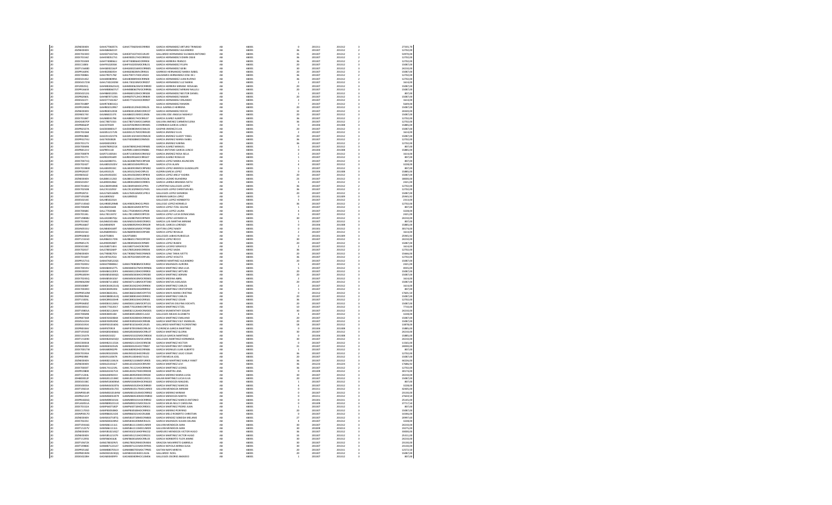| 20<br>20                               | 20ZNE0040V<br>202NE0040V | GAHA770605TA<br>GAHA8606015Y       | GAHA770605HOCRRR00                       | GARCIA HERNANDEZ ARTURO TRINIDAD<br>GARCIA HERNANDEZ ALEJANDRO      | <b>AR</b>                    | AB001<br>AB001        | $\Omega$<br>36                                | 201311<br>201307 | 201312<br>201312 |  |
|----------------------------------------|--------------------------|------------------------------------|------------------------------------------|---------------------------------------------------------------------|------------------------------|-----------------------|-----------------------------------------------|------------------|------------------|--|
|                                        |                          | GAHE871027AA                       |                                          |                                                                     | AB<br>AB                     | A9001                 |                                               | 201307           |                  |  |
| 20<br>20                               | 20DST02300<br>20DST0154Z | GAHE900517V1                       | GAHE871027HOCLRL09<br>GAHE900517HOCRRD02 | GALLARDO HERNANDEZ ELESBAN ANTONIO<br>GARCIA HERNANDEZ EDWIN OSSIE  | AB                           | AB001                 | 35<br>36                                      | 201307           | 201312<br>201312 |  |
|                                        | 20DST0104R               | GAHF740806LU                       | GEHF740806HOCRRR04                       | GARCIA HERRERA FRANCO                                               | AB                           | AB001                 | 36                                            | 201307           | 201312           |  |
| 20<br>20<br>20                         | 20DCC1085                | GAHF910205SK                       | GAHF910205MOCRRL01                       | <b>GARCIA HERNANDEZ FELIPA</b>                                      | AB                           | AB001                 | 20                                            | 201307           | 201312           |  |
|                                        | 20DTV1648D               | GAHG830216JP                       | GAHG830216MOCRRB05                       | GARCIA HERNANDEZ GEIBI                                              | AB                           | AB001                 | 30                                            | 201307           | 201312           |  |
|                                        | 20DPR16090               | GAHI8208205H                       | GAHI820820MVZRRS01                       | GARRIDO HERNANDEZ MARIA ISABEL                                      | AB                           | AB001                 |                                               | 201307           | 201312           |  |
| 20<br>20                               | 20DST0086S               | GAHJ79071782                       | GAHJ790717HOCLRS03                       | GALDAMES HERNANDEZ JOSE DE J                                        | AB                           | AB001                 | $\begin{array}{c} 20 \\ 36 \end{array}$       | 201307           | 201312           |  |
| 20<br>20                               | 20DES01452               | <b>GAHISOORO9RA</b>                | <b>GAHISOOSO9HOCRRNOO</b>                | GARCIA HERNANDEZ ILIAN RUEINO                                       | AB<br>AB                     | <b>AR001</b>          | $\begin{array}{c} 36 \\ 2 \end{array}$        | 201307           | 201312           |  |
|                                        | 20DES0172W               | GAHL730224DM                       | GAHL730224MOCRR207                       | GARCIA HERNANDEZ LUZ MARIA                                          |                              | AB001                 |                                               | 201307           | 201312           |  |
| 20<br>20                               | 20FIZ0025Q<br>20DPR1663X | GAHM830625UQ<br>GAHM880607UT       | GAHM830625MOCRRR09                       | GARCIA HERRERA MIRIAM ROSALBA<br>GARCIA HERNANDEZ MIRIAM NALLELI    | AB<br>AB                     | AB001                 | $\begin{array}{c} 20 \\ 20 \end{array}$       | 201307           | 201312<br>201312 |  |
|                                        |                          |                                    | GAHM880607MOCRRR06                       |                                                                     |                              | AB001                 |                                               | 201307           |                  |  |
| 20<br>20                               | 20DES0212G<br>20DPB2060L | GAHN840120SS<br>GAHN870712K6       | GAHN840120HOCRRS08                       | GARCIA HERNANDEZ NESTOR DANIEL<br>GARCIA HERNANDEZ NABOR            | AB<br>AB                     | <b>AR001</b>          | $\begin{smallmatrix}1\\20\end{smallmatrix}$   | 201307<br>201307 | 201312<br>201312 |  |
|                                        |                          |                                    | GAHN870712HOCRRB09                       |                                                                     |                              | AB001<br>AB001        |                                               |                  |                  |  |
| 20<br>20                               | 20DES0227                | GAHO77102267<br>GAHR730831Q1       | GAHO771022HOCRRR07                       | GARCIA HERNANDEZ ORLANDO<br>GARCIA HERNANDEZ RAMON                  | AB<br>AB                     | AB001                 | $\frac{2}{7}$                                 | 201307<br>201307 | 201312<br>201312 |  |
|                                        |                          | GAHR810129N7                       | GAHR810129HOCRRL05                       | RAUL GARNELO HERRERA                                                |                              | AB001                 |                                               | 201307           | 201312           |  |
| 20<br>20                               | 20DPR1949A<br>20ZNE0040V | GAHR8301203K                       | GAHR830120MOCRRC07                       | GARCIA HERNANDEZ ROCIO                                              | AB<br>AB                     | AB001                 | $\begin{array}{c} 20 \\ 32 \end{array}$       | 201307           | 201312           |  |
|                                        | 20DIN0174V               | GAJA8602137E                       | GAJA860213MOCLSN06                       | GALVAN JOSE ANGELA NASHELY                                          | AB                           | AB001                 |                                               | 201307           | 201312           |  |
| 20<br>20                               | 20DST0184T               | GAJA880417BE                       | GAJA880417HOCRRL07                       | <b>GARCIA JUAREZ ALBERTO</b>                                        | AB                           | AB001                 | $\begin{array}{c} 20 \\ 36 \end{array}$       | 201307           | 201312           |  |
|                                        | 20ADG0070Y               | GAJC78071553                       | GAJC780715MOCLMR04                       | GALVAN JIMENEZ CARMEN ELENA                                         | AB                           | AB001                 | $\begin{matrix} 36 \\ 0 \end{matrix}$         | 201307           | 201312           |  |
|                                        | 20DPB0663F               | GAIC870509                         | GAJC870509MOCRNN05                       | CONRRADA GARCIA JUNCO                                               | AB                           | AB001                 |                                               | 201304           | 201308           |  |
|                                        | 20DPB2327A               | GAJE830803U7                       | GAJE830803MOCSML03                       | GASPAR JIMENEZ ELVA                                                 | AB                           | AB001                 | $\begin{array}{c} 20 \\ 2 \end{array}$        | 201307           | 201312           |  |
| 20<br>20<br>20<br>20                   | 20DST0226B               | <b>GAJE851217UN</b>                | GAJE851217MOCRML00                       | <b>GARCIA JIMENEZ ELVA</b>                                          | AB                           | AB001                 |                                               | 201307           | 201312           |  |
|                                        | 20DPR0288C<br>20DPR3274U | GAJG911021TN<br><b>GAUZ4050828</b> | GAJG911021MOCRML04<br>GAJI740508MOCRMS03 | GARCIA JIMENEZ GLEIDY YISSEL<br>GARCIA IIMENEZ MARIA ISAREI         | AB<br><b>AR</b>              | AB001<br><b>AR001</b> | $\overline{20}$                               | 201307<br>201307 | 201312<br>201312 |  |
| 20<br>20                               | 20DST0117V               | GAJK840109CE                       |                                          | <b>GARCIA JIMENEZ KARINA</b>                                        | AB                           | AB001                 | $\frac{36}{36}$                               | 201307           | 201312           |  |
|                                        |                          |                                    | GAJM780922HOCRRN05                       |                                                                     |                              |                       |                                               |                  |                  |  |
| 20<br>20                               | 20DST0069B<br>20DPB0121V | GAIM7809221K                       | GAJP891118HOCRNB06                       | GARCIA JUAREZ MANUEL<br>PABLO ANTONIO GARCIA JUNCO                  | AB<br>AB                     | AB001<br>AB001        | $\begin{smallmatrix}1\\0\end{smallmatrix}$    | 201307<br>201304 | 201312<br>201308 |  |
|                                        | 20DST0087R               | GAJR71100544                       | GAJR711005MOCRMS02                       | GARCIA JIMENEZ ROSA ISELA                                           | AB                           | AB001                 |                                               | 201307           | 201312           |  |
| 20<br>20                               | 20DST0177J               | GAJR810916NY                       | GAJR810916HOCRRG07                       | <b>GARCIA JUAREZ ROGELIO</b>                                        | AB                           | AB001                 | $\mathbf{1}$                                  | 201307           | 201312           |  |
|                                        | 20DST0071Q               | GALA630807CL                       | GALA630807MOCRPS08                       | GARCIA LOPEZ MARIA ASUNCION                                         | AB                           | AB001                 |                                               | 201307           | 201312           |  |
| 20<br>20<br>20<br>20<br>20<br>20       | 20DST02421               | GALA801010DV                       | GALA801010HSPRYL04                       | <b>GARCIA LOYA ALAIN</b>                                            | AB                           | AB001                 | $\Delta$                                      | 201307           | 201312           |  |
|                                        | 20DST0198W               | GALA830919JC                       | GALA830919MOCRPM02                       | GARCÍA LOPEZ AMERICA GUADALUPE                                      | AB                           | AB001                 |                                               | 201307           | 201312           |  |
|                                        | 20DPR2814T               | GALA910125                         | GALA910125HOCRPL01                       | ALDRIN GARCIA LOPEZ                                                 | AB                           | AB001                 | $\circ$                                       | 201304           | 201308           |  |
|                                        | 20DIN05422               | GALA910502EC                       | GALA910502MOCRPR03                       | GARCIA LOPEZ ARELY YADIRA                                           | AB                           | AB001                 | 20                                            | 201307           | 201312           |  |
|                                        | 202NE0040V               | GALB84111263                       | GALB841112MOCRZL06                       | GARCIA LAZARO BLANDINA                                              | AB                           | AB001                 | $\overline{23}$                               | 201307           | 201312           |  |
|                                        | 20DES0105Y<br>20DST0183U | GALB9003286C<br>GALCR40918MF       | GALB900328MOCRRR01<br>GALCRAPH SHOCLPPD1 | GARCIA LARREA BRIANDA IVETH<br>CUPERTINO GALLEGOS LOPEZ             | AB                           | AB001<br><b>AR001</b> | $\overline{\mathbf{3}}$                       | 201307<br>201307 | 201312           |  |
| 20<br>20                               |                          |                                    |                                          |                                                                     | AB                           |                       | 36<br>36                                      |                  | 201312           |  |
|                                        | 20DST0250B               | GALC9110291F                       | GALC911029MOCLPH01<br>GALG760516MOCLPR13 | <b>GALLEGOS LOPEZ CHRISTIAN BEL</b>                                 | AB                           | AB001<br>AB001        |                                               | 201307<br>201307 | 201312<br>201312 |  |
| 20<br>20                               | 20DPR2872J<br>20DTV0528  | GALG760516MN<br>GALG890502         | GALG890502                               | GALLEGOS LOPEZ GERARDA<br><b>GERMAN GARCIA LOPEZ</b>                | AB<br>AB                     | AB001                 | 20                                            | 201301           | 201309           |  |
|                                        | 20DES0214E               | GALH850223JA                       |                                          | GALLEGOS LOPEZ HERIBERTO                                            | $\mathbb{A}\mathbb{B}$       | AB001                 | $\begin{smallmatrix}0\\3\end{smallmatrix}$    | 201307           | 201312           |  |
|                                        | 20DTV1456O               | GALH900529M8                       | GALH900529HOCLPR03                       | <b>GALLEGO LOPEZ HERMELO</b>                                        | AB                           | AB001                 | 36                                            | 201307           | 201312           |  |
|                                        | 20DST0069B               | GALI860416AK                       | GALI860416MOCRPT01                       | GARCIA LOPEZ ITZEL SELENE                                           | AB                           | AB001                 | $\overline{1}$                                | 201307           | 201312           |  |
|                                        | 20DST0068C               | GALL7702048J                       | GALL770204MOCLPR08                       | <b>GALLEGOS LOPEZ LAURA</b>                                         | AB                           | AB001                 | $\overline{4}$                                | 201307           | 201312           |  |
| 20<br>20<br>20<br>20<br>20             | 20DST0134L               | GALL78113072                       | GALL781130MOCRPC03                       | GARCIA LOPEZ LUCIA DONACIANA                                        | AB                           | AB001                 | $\overline{3}$                                | 201307           | 201312           |  |
| 20<br>20                               | 20DTV0808L               | GALL810807QU                       | GALL810807MOCRPN09                       | <b>GARCIA LOPEZ LEONIDES SI</b>                                     | AB                           | AB001                 | 30                                            | 201307           | 201312           |  |
|                                        | 20DST01942               | GALM60101446                       | GALM601014MOCRSR01                       | GARCIA LUIS MARTHA MIRIAM                                           | AB                           | AB001                 |                                               | 201307           | 201312           |  |
| 20<br>20                               | 70DPR1666T               | GAI MR40929                        | GAI MR40929HOCRRG09                      | MIGUEL GARCIA LORENZO                                               | AB                           | <b>AR001</b>          | $\Omega$                                      | 201304           | 201308           |  |
|                                        | 20DJN0553U               | GALN8404169T                       | GALN840416MOCYPD08                       | <b>GAYTAN LOPEZ NAIDY</b>                                           | AB                           | AB001                 | $\mathbf 0$                                   | 201301           | 201312           |  |
| 20<br>20                               | 20DES0216C               | GALR680903EU                       | GALR680903MOCRPS08                       | GARCIA LOPEZ ROSALIA<br>GALLEGOS LABIAS RUBICELIA                   | $\mathsf{AB}$                | 48001                 | $\overline{ }$                                | 201307           | 201312           |  |
|                                        | 20DPR3083D               | GALR750801                         | GALR750801<br>GALR860117MOCRPC09         | GARCIA LOPEZ ROCIO                                                  | AB                           | AB001<br>AB001        | $\bf{0}$                                      | 201301<br>201307 | 201309<br>201312 |  |
| 20<br>20<br>20<br>20<br>20<br>20<br>20 | 20DTV15550<br>20DPB0517E | GALR860117DN<br>GALR9009288T       | GALR900928HOCRPB09                       | <b>GARCIA LOPEZ RUBEN</b>                                           | $\mathbb{A}\mathbb{B}$<br>AB | AB001                 | 30                                            | 201307           | 201312           |  |
|                                        | 20DES0158C               | GALS580714E4                       | GALS580714HOCRCR09                       | <b>GARCIA LUCERO SERAFICO</b>                                       | AB                           | .<br>AB001            | $\begin{array}{c} 20 \\ 2 \end{array}$        | 201307           | 201312           |  |
|                                        | 20DST0201T               | GALS780526KP                       | GALS780526MOCRRD04                       | GARCIA LOPEZ SAIDA                                                  | AB                           | AB001                 | 36                                            | 201307           | 201312           |  |
|                                        | 202NE0040V               | GALT900827DV                       | GALT900827MOCRNN05                       | GARCIA LUNA TANIA IVETTE                                            | AB                           | AB001                 | $rac{20}{36}$                                 | 201307           | 201312           |  |
|                                        | 20DST0164F               | GALV870225GJ                       | GALV870225MOCRPL06                       | <b>GARCIA LOPEZ VIOLETA</b>                                         | AB                           | AB001                 |                                               | 201307           | 201312           |  |
|                                        | 20DPR1571G               | GAMA760522QS                       |                                          | GARRIDO MARTINEZ ALEJANDRO                                          | AB                           | AB001                 | 20                                            | 201307           | 201312           |  |
|                                        | 20DST0200U               | GAMA790808LC                       | GAMA790808MOCRIB02                       | <b>GARCIA MILANGOS ALIRORA</b>                                      | AB<br>AB                     | <b>AR001</b>          | $\frac{3}{5}$                                 | 201307           | 201312           |  |
|                                        | 20DST0019U               | GAMA840327TL                       | GAMA840327MOCRRN0E                       | GARCIA MARTINEZ ANA LILIA                                           |                              | AB001                 |                                               | 201307           | 201312           |  |
| 20<br>20                               | 20DEE0003Y<br>20DPB1859H | GAMA841220F3                       | GAMA841220HOCRRR03                       | GARCIA MARTINEZ ARTURO                                              | AB<br>AB                     | <b>AR001</b>          | $\begin{array}{c} 20 \\ 20 \end{array}$       | 201307           | 201312           |  |
|                                        |                          | GAMA850304Q5                       | GAMA850304HOCRRD00                       | GARCIA MARTINEZ ADRIAN                                              |                              | AB001                 |                                               | 201307           | 201312           |  |
| 20<br>20                               | 20DST0245Q               | GAMA850410LF<br>GAMA871118D2       | GAMA850410MOCRDB01<br>GAMA871118MOCRTD00 | GARCÍA MEDINA ABRIL<br>GARCIA MATIAS ADELAIDA                       | AB<br>AB                     | <b>AR001</b>          | $\begin{smallmatrix}2\\20\end{smallmatrix}$   | 201307<br>201307 | 201312<br>201312 |  |
|                                        |                          |                                    |                                          |                                                                     |                              | AB001<br>AB001        |                                               |                  |                  |  |
| 20<br>20                               | 20DES0080F<br>20DST0049O | GAMC810422UQ<br>GAMC8309249J       | GAMC810422HOCRRR04<br>GAMC830924HGRRRR02 | GARCIA MARTINEZ CARLOS<br>GARCIA MARTINEZ CRISTOPHER                | AB<br>AB                     | AB001                 | $\sqrt{2}$<br>$\mathbf{1}$                    | 201307<br>201307 | 201312<br>201312 |  |
|                                        |                          | GAMC8602241L                       | GAMC860224MOCRYT05                       | GARCIA MAYA MARIA CRISTINA                                          |                              | AB001                 |                                               | 201312           |                  |  |
| 20<br>20                               | 20DPR0510M<br>20DPB0296K | GAMC880814UQ                       | GAMC880814HOCRRR01                       | <b>GARCIA MARTINEZ CARLOS</b>                                       | AB<br>AB                     | AB001                 | $\begin{smallmatrix}0\0\20\end{smallmatrix}$  | 201307           | 201312<br>201312 |  |
|                                        | 20DTV1005L               | GAMC890103HR                       | GAMC890103HOCRRS01                       | GARCIA MARTINEZ CESAR                                               | AB                           | AB001                 | 36                                            | 201307           | 201312           |  |
| 20<br>20<br>20                         | 20DPR36002               | GAMD8311269U                       | GAMD831126MOCRTL01                       | <b>GARCIA MATIAS DELFINA XOCHITL</b>                                | AB                           | AB001                 |                                               | 201307           | 201312           |  |
|                                        | 20DEE00012               | GAME77022017                       | GAME770220MOCRRT04                       | GARCIA MARTINEZ ETZEL                                               | AB                           | AB001                 | $\begin{array}{c} 20 \\ 10 \end{array}$       | 201307           | 201312           |  |
| 20<br>20                               | 20DTV0801A               | GAMER21126HV                       | GAMES21126HOCRMD05                       | GARCIA MUMENTHEY FDGAR                                              | <b>AR</b>                    | <b>AR001</b>          | $\begin{array}{c} 30 \\ 4 \end{array}$        | 201307           | 201312           |  |
|                                        | 20DST0069B               | GAME840518JI                       | GAME840518MOCLJL02                       | GALLEGOS MEJIAS ELIZABETH                                           | AB                           | AB001                 |                                               | 201307           | 201312           |  |
| 20<br>20                               | 20DPB0736F<br>20DJN1423H | GAME920208AX                       | GAME920208HOCRRM03                       | <b>GARCIA MARTINEZ EMILIANO</b>                                     | AB<br>AB                     | <b>AR001</b>          | $\begin{array}{c} 20 \\ 20 \end{array}$       | 201307<br>201307 | 201312<br>201312 |  |
|                                        |                          | GAME930924NC                       | GAME930924HOCRRS08                       | GARCIA MARTINEZ ESLY EMANUEL                                        |                              | AB001<br>AB001        |                                               |                  |                  |  |
| 20<br>20                               | 20DES0191K<br>20DPB0336V | GAMF831016DG<br>GAMF870919         | GAMF831016HOCLRL05<br>GAMF870919MOCRRL04 | GALLARDO MARTINEZ FLORENTINO<br>FLORENCIA GARCIA MARTINEZ           | AB<br>AB                     | AB001                 | $\begin{smallmatrix} 18\\0 \end{smallmatrix}$ | 201307<br>201304 | 201312<br>201308 |  |
|                                        |                          | GAMG8504066G                       | GAMG850406MOCRRL07                       |                                                                     |                              | AB001                 |                                               |                  | 201312           |  |
| 20<br>20                               | 20DTV05302<br>20DCC0107X | GAMG921022                         | GAMG921022MOCRRD04                       | GARCIA MARTINEZ GLORIA                                              | AB<br>AB                     | AB001                 | $\begin{matrix} 30 \\ 0 \end{matrix}$         | 201307<br>201304 | 201308           |  |
| 20<br>20                               | 20DTV1549D<br>20DCE0001B | GAMH820425QV                       | GAMH820425MOCLRR04<br>GAMH821115HOCRRC08 | GALLEGOS MARTINEZ HERMINDA                                          | AB                           | AB001                 | $\begin{array}{c}\n 30 \\  0\n \end{array}$   | 201307           | 201312           |  |
|                                        |                          | GAMH8211153A                       |                                          | <b>GARCIA MARTINEZ HECTOR</b>                                       | AB                           | AB001                 |                                               | 201307           | 201312           |  |
| 20<br>20                               | 202NE0040V               | GAMI830325UN                       | GAMI830325HOCTRN07                       | GATICA MARTINEZ INTI XINEMI                                         | AB                           | AB001                 | $\begin{array}{c} 31 \\ 1 \end{array}$        | 201307           | 201312           |  |
|                                        | 20DST0017W               | GAMJ680902P9                       | GAMJ680902HOCRRN06                       | <b>GARCIA MORALES JUAN ALBERTO</b>                                  | AB                           | AB001                 |                                               | 201307           | 201312           |  |
| 20<br>20<br>20<br>20<br>20<br>20       | 20DST0193A<br>20DPR0398I | GAMJ901023EN<br>GAMJ9110047K       | GAMJ901023HOCRRL02<br>GAMJ911004HOCYJL01 | GARCIA MARTINEZ JULIO CESAR<br><b>GAYTAN MEJIA JOEL</b>             | AB<br>AB                     | AB001<br>AB001        | 36<br>20<br>36<br>36                          | 201307<br>201307 | 201312<br>201312 |  |
|                                        | 202NE0040V               | GAMK821104LN                       | GAMK821104MDFLRR05                       | GALLARDO MARTINEZ KARLA YANET                                       | AB                           | AB001                 |                                               | 201307           | 201312           |  |
|                                        | 202NE0040V               | GAML651016J7                       | GAML651016HOCRRV09                       | <b>GARCIA MARTINEZ LEVI</b>                                         | AB                           | AB001                 |                                               | 201223           | 201224           |  |
|                                        | 20DST0003T               | GAML741121RL                       | GAML741121HOCRRN09                       | GARCIA MARTINEZ LEONEL                                              | AB                           | AB001                 |                                               | 201307           | 201312           |  |
|                                        | 20DPR1980K               | GAML810327UX                       | GAML810327MOCRRD00                       | <b>GARCIA MARTIN LIDIA</b>                                          | AB                           | AB001                 | $\begin{matrix} 36 \\ 0 \end{matrix}$         | 201309           | 201312           |  |
|                                        | 20DTV1244                | GAML8409201V                       | GAML840920MOCRRS00                       | GARCIA MERINO MARIA LUISA                                           | AB                           | AB001                 | 30                                            | 201307           | 201312           |  |
| 20<br>20                               | 20HBD0012R               | GAML851213MC<br>GAMM530409AA       | GAMLB51213MOCLRC01<br>GAMM530409HOCRNG03 | GALAN MARTINEZ LUCIA ELVA<br>GARCIA MENDOZA MAGDIEL                 | AB<br>AB                     | AB001                 | $\begin{array}{c} 20 \\ 1 \end{array}$        | 201307           | 201312           |  |
|                                        |                          |                                    |                                          |                                                                     |                              | AB001                 |                                               | 201307           | 201312           |  |
| 20<br>20                               | 20DES0003A               | GAMM650320T6                       | GAMM650320HOCRRR09                       | GARCIA MARTINEZ MARCOS                                              | AB                           | AB001<br>AB001        | $\ddot{4}$                                    | 201307           | 201312           |  |
|                                        | 20DTV0651K               | GAMM810517EE                       | GAMM810517MOCLNR03                       | GALVAN MENDOZA MIRIAM                                               | AB                           |                       | $\mathbf 0$                                   | 201311           | 201312           |  |
| 20<br>20                               | 20DNP0014R               | GAMM831014HW                       | GAMM831014MOCRRR02                       | GARCIA MERINO MIRIAM                                                | AB                           | AB001                 | $\mathbb O$                                   | 201307           | 201312           |  |
|                                        | 20DPB2131F               | GAMM84053079                       | GAMM840530MOCRNR02                       | <b>GARCIA MENDOZA MARTA</b>                                         | AB                           | AB001                 | $\circ$                                       | 201311           | 201312           |  |
|                                        | 20DPB1826Q<br>20FUA0051A | GAMM8901014J<br>GAMN890221UX       | GAMM890101HOCRRR02<br>GAMN890221MOCRJL03 | GARCIA MARTINEZ MARCO ANTONIO<br><b>GARCIA MEJIA NELLY CAROLINA</b> | AB<br>AB                     | AB001<br>AB001        | $\mathbb O$<br>$\circ$                        | 201301<br>201309 | 201311<br>201312 |  |
|                                        | 20DST0152A               | GAMP640718CP                       | GAMP640718HOCRRD01                       | GARCIA MARTINEZ PEDRO JUAN                                          | AB                           | AB001                 |                                               | 201307           | 201312           |  |
| 20<br>20<br>20<br>20                   | 20DCC1701D               | GAMP830508KX                       | GAMP830508HOCRRR03                       | <b>GARCIA MERINO PORFIRIO</b>                                       | AB                           | AB001                 | 20                                            | 201307           | 201312           |  |
|                                        | 20DNP00170               | GAMR860321DE                       | GAMR860321HOCRLB08                       | GARCIA MELO ROBERTO CHRISTIAN                                       | AB                           | AB001                 | $\,$ 0 $\,$                                   | 201307           | 201312           |  |
|                                        | 207NF0040V               | <b>GAMS810718TO</b>                | GAMS810718MOCRNB03                       | GARCIA MENDEZ SOREIDA MELANIE                                       | <b>AR</b>                    | <b>AR001</b>          |                                               | 201307           | 201312           |  |
| 20<br>20                               | 20DST0225C               | GAMS830220N3                       | GAMS830220MMCRJL01                       | GARCIA MIJANGOS SULMA DALINA                                        | AB                           | AB001                 | $\frac{27}{4}$                                | 201307           | 201312           |  |
| 20<br>20                               | 20DTV0416G               | GAMS861111LS                       | GAMS861111MOCLNR09                       | GAI VAN MENDOZA SARA                                                | AB                           | <b>AR001</b>          |                                               | 201307           | 201312           |  |
|                                        | 20DTV1227V               | GAMS861111LS                       | GAMS861111MOCLNR09                       | GALVAN MENDOZA SARA                                                 | AB                           | AB001                 |                                               | 201009           | 201013           |  |
|                                        | 202NE0040V               | GAMV810214Q7                       | GAMV810214HDFRNC02                       | GARDUñO MENDOZA VICTOR HUGO                                         | AB                           | AB001                 |                                               | 201307           | 201312           |  |
|                                        | 202NE0040V               | GAMV85121379                       | GAMV851213HOCRRC01                       | <b>GARCIA MARTINEZ VICTOR HUGO</b>                                  | AB                           | AB001<br>.<br>AB001   |                                               | 201307           | 201312           |  |
| 20<br>20<br>20<br>20                   | 20DTV1295S               | GANF860416J6                       | GANF860416MOCRRL03                       | GARCIA NORBERTO FLOR JANINE                                         | AB                           |                       |                                               | 201307           | 201312           |  |
|                                        | 20DTV0672X<br>20DTV0980C | GANG780329V5<br>GANM871221A7       | GANG780329MOCRVB04<br>GANM871221MOCRYR01 | <b>GRACIDA NAVARRETE GABRIELA</b><br>GARCIA NOYOLA MIRNA ELISA      | AB<br>AB                     | AB001<br>AB001        | 30<br>30<br>36<br>33<br>30<br>30<br>30        | 201307<br>201307 | 201312<br>201312 |  |
|                                        | 20DPR35182               | GANM880705UV                       | GANM880705MOCTPR05                       | <b>GAITAN NAPE MIREYA</b>                                           | AB                           | AB001                 | 20                                            | 201307           | 201311           |  |
| 20<br>20                               | 20DPB0194N               | GANO831023QQ                       | GAXN831023HOCLXL06                       | GALLARDO NOEL                                                       | AB                           | AB001                 | 20                                            | 201307           | 201312           |  |
|                                        | 20DES0228H               | GAOA830409F9                       | GAOAR30409HOCLSM06                       | GALLEGOS OSORIO AMADEO                                              | <b>AR</b>                    | <b>AR001</b>          | $\overline{1}$                                | 201307           | 201312           |  |
|                                        |                          |                                    |                                          |                                                                     |                              |                       |                                               |                  |                  |  |

# $\begin{array}{l} \textbf{1.511} \textbf{2.12} \textbf{3.23} \textbf{1.34} \textbf{2.35} \textbf{2.35} \textbf{3.35} \textbf{3.35} \textbf{3.35} \textbf{4.35} \textbf{5.35} \textbf{5.35} \textbf{6.35} \textbf{7.35} \textbf{8.35} \textbf{9.35} \textbf{1.35} \textbf{1.35} \textbf{1.35} \textbf{1.35} \textbf{1.35} \textbf{1.35} \textbf{1.35} \textbf{1$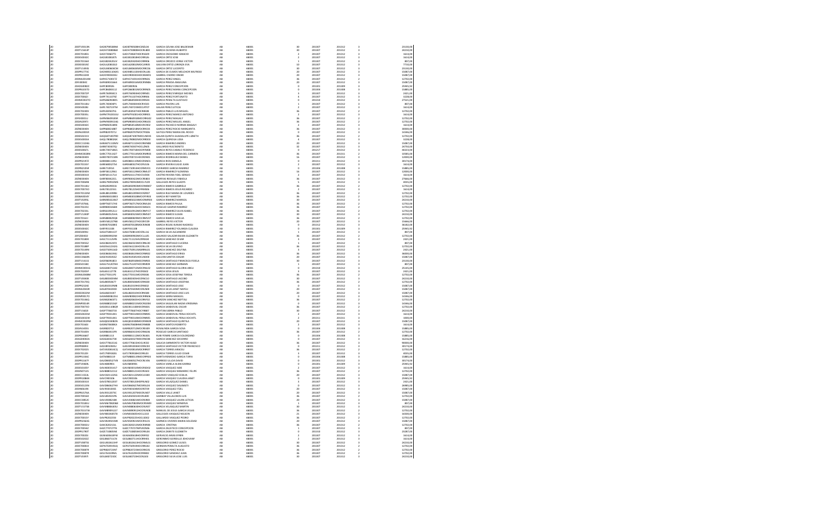| 20<br>20       | 20DTV0013N               | GAOB790508N4                 | GAOB790508HCSRZL04                       | GARCIA OZUNA JOSE BALDEMAR                               | AR              |
|----------------|--------------------------|------------------------------|------------------------------------------|----------------------------------------------------------|-----------------|
|                | 20DTV1653F               | GAOH73080868                 | GAOH730808HOCRLB00                       | GARCIA OLIVERA HUBERTO                                   | AB              |
|                | 2005T01855               | <b>GAOI230602TI</b>          | GA01730607HOCRSG09                       | GARCIA OSOGORIO IGNACIO                                  | <b>AR</b>       |
| 20<br>20       | 20DES00420               | GA0J81081875                 | GA0J810818HOCRRS26                       | <b>GARCIA ORTIZ JOSE</b>                                 | AB              |
|                | 20DST0156X               | GA0J820420UV                 | GAO1820420HOCRRR06                       |                                                          | <b>AR</b>       |
| 20             |                          |                              |                                          | GARCIA OROZCO JORGE VICTOR                               |                 |
| 20             | 20DEE0019Z               | GAOL620810LD                 | GAOL620810MOCLRR05                       | GALVAN ORTIZ LORENZA EVA                                 | AB              |
| 20             | 20DTV1493S               | GAOL840604CM                 | GAOL840604MOCRRC06                       | <b>GARCIA ORTIZ LUCERITO</b>                             | AB              |
| 20             | 20DPR17730               | GAOM851104A5                 | GAOM851104HOCRLL06                       | GARCIA DE OLMOS MELCHOR WILFRIDO                         | AB              |
| 20             | 20DPB1324X               | GA00900303EJ                 | GA00900303HOCBSM01                       | GABRIEL OSORIO OMAR                                      | AB              |
|                |                          |                              |                                          |                                                          |                 |
| 20             | 20DML0014W               | GAPA571001TZ                 | GAPA571001HOCRRN26                       | <b>GARCIA PEREZ ANGEL</b>                                | AB              |
| 20             | 20FJI0004C               | GAPA89031664                 | GAPA890316MOCRNN06                       | GARCIA PINEDA ANGELINA                                   | AB              |
| 20             | 20ADG00820               | GAPC800926                   | GAPC800926                               | <b>GARCIA PEREZ CONCEPCION</b>                           | AB              |
| 20             | 20DPB1037D               | GAPC86083112                 | GAPC860831MOCRRN05                       | GARCIA PEREZ MARIA CONCEPCION                            | AB              |
| 20             | 2005T0072P               | GAPE760904C3                 | GAPE760904HOCRRN01                       | GARCIA PEREZ ENRIQUE MOISES                              | <b>AR</b>       |
|                |                          |                              |                                          |                                                          |                 |
| 20             | 20DST0062                | GAPF7411079Z                 | GAPF741107HOCRRR06                       | <b>GARCIA PEREZ FORTUNATO</b>                            | AB              |
| 20<br>20       | 20HMC0027C               | GAPG860928D5                 | GAPGR60928HOCRRS03                       | <b>GARCIA PERALTA GUSTAVO</b>                            | AB              |
|                | 20DST0118U               | GAPL740404P1                 | GAPL740404HOCRVS03                       | GARCIA PAVON LUIS                                        | AB              |
|                |                          |                              | GAPL740723MOCLRT07                       |                                                          |                 |
| 20<br>20       | 20DES0028J<br>20DST0240V | GAPL740723TM<br>GAPL830507IG | GAPL830507HOCRBS08                       | <b>GALAN PEREZ LETICIA</b><br>GARCIA PABLO LUIS MIGUEL   | AB<br>AB        |
|                |                          |                              |                                          |                                                          |                 |
|                | 20DST0035L               | GAPM791001GU                 |                                          | GARCIA PEREZ MARCO ANTONIO                               |                 |
| 20<br>20       | 20FE10001U               | GAPM8609185R                 | GAPM791001HOCRRR01<br>GAPM860918MOCRRG02 | <b>GARCIA PEREZ MAGALY</b>                               | AB<br>AB        |
| 20<br>20       | 20DJN2097J               | GAPM9009154G                 | GAPM900915HOCRRG03                       | GARCIA PEREZ MIGUEL ANGEL                                | AB<br>AB        |
|                | 20DES0042C               |                              | GAPN850518MOCRCR02                       | GARCIA PACHECO NORMA MAGALY                              |                 |
|                |                          |                              |                                          |                                                          |                 |
| 20             | 202NE0040V               | GAPR68021887                 | GAPR680218MOCRRC03                       | GARCIA PEREZ ROCIO MARGARITA                             | AB              |
| 20             | 20DNL0001F               | GAPR8207071J                 | GAPR820707MOCTRS06                       | GATICA PEREZ MARIA DEL ROCIO                             | AB              |
| 20             | 20DES0231V               | GAQG871007RD                 | GAQG871007MOCLND03                       | GALAN QUINTA GUADALUPE LIZBETH                           | AB              |
| 20             | 20DES0003A               | GAOL780802GK                 | GAOL780802MOCRRD03                       | <b>GARCIA QUIROGA LIDIA</b>                              | AB              |
| 20             | 20DCC1104G               | GARA871110MV                 | GARA871110HOCRMN08                       | GARCIA RAMIREZ ANDRES                                    | AB              |
|                | 202NE0040V               |                              |                                          |                                                          | AB              |
| 20<br>20       | 20DES0067L               | GARB730307QJ<br>GARC700718G5 | GARB730307HOCLZN05<br>GARC700718HOCRYM08 | GALLARDO RUIZ BENITO<br>GARCIA REYES CAMILO FEDERICO     | $\overline{AB}$ |
|                |                          |                              |                                          |                                                          |                 |
| 20<br>20       | 20HMC0028M               | GARC77011427<br>GARD7007218N | GARC770114MOCRMR03                       | GARCIA RAMOS MARIA DEL CARMEN<br>GARCIA RODRIGUEZ DANIEL | AB<br>AB        |
|                | 202NE0040V               |                              | GARD700721HOCRDN01                       |                                                          |                 |
| 20<br>20       | 20DPR21972               | GARD8811195J                 | GARD881119MOCRSN01<br>GARE680327HOCRVL06 | GARCIA RIOS DANIELA<br>GARCIA RIVERA ELIGIO JUAN         | AB<br>AB        |
|                | 20DST0155Y               |                              |                                          |                                                          |                 |
|                |                          |                              |                                          |                                                          |                 |
| 20             | 20DPB2105F               | GARE710914                   | GARE710914HOCRMV01                       | EVERARDO GARCIA RAMIREZ                                  | AB              |
| 20             | 202NE0040V               | GARF58112961                 | GARF581129MOCRML07                       | <b>GARCIA RAMIREZ FILOMENA</b>                           | AB              |
| 20             | 20DES0031X               | GARF641117L4                 | GARF641117HOC5VD04                       | CASTRO RIVERA FIDEL SERGIO                               | AB              |
| 20             | 202NE0040V               | GARF800422CL                 | GARF800422MOCRSB03                       | <b>GARFIAS ROSALES FABIOLA</b>                           | AB              |
| 20             | 20DST0069B               | GARG790910M5                 | GARG790910MOCLYL09                       | GALLEGOS REYES GLADYS                                    | AB              |
|                | 20DST0118U               | GARG8509033J                 | GARG850903MOCRMB07                       | <b>GARCIA RAMOS GABRIELA</b>                             | AB              |
| 20             |                          |                              |                                          |                                                          |                 |
| 20             | 20DST0073C               | GARJ78122551                 | GARJ781225HDFRMS06                       | GARCIA RAMOS JESUS RICARDO                               | AB              |
|                | 20DST0133M               | GARL881209RH                 | GARL881209MOCRZR07                       | GARCIA RUIZ MARIA DE LOURDES                             | AB              |
| 20<br>20       | 20DBA0034Y               | GARM830108E3                 | GARM830108MOCRYR03                       | <b>GARCIA REY MARITZA</b>                                | AB              |
|                | 20DTV0295L               | GARM85022467                 | GARM850224MOCRMB04                       | GARCIA RAMIREZ MARISOL                                   | AB              |
| 20             |                          |                              |                                          |                                                          |                 |
| 20             | 20DTV0766L               | GARP760717H3                 | GARP760717MOCRML04                       | <b>GARCIA RAMOS PAULA</b>                                | AB              |
| 20             | 20DST0225C               | GARR800326BX                 | GARR800326HOCSMG01                       | ROGELIO GASPAR RAMIREZ                                   | AB              |
| 20             | 20DST0233L               | GARS610912LU                 | GARS610912MOCRMY17                       | GARCIA RAMIREZ SILVIA ISABEL                             | AB              |
| 20             | 20DTV1240P               | GARS840525HA                 | GARS840525MOCRMS07                       | GARCIA RAMOS SUSAN                                       | AB              |
| 20             | 20DST0161                | GARS880829Q8                 | GARS880829MOCRMV07                       | <b>GARCIA RAMOS SAVELIA</b>                              | AB              |
|                | 202NE0040V               |                              |                                          |                                                          | AB              |
| 20             |                          | GARV581227N8                 | GARVS81227HOCBYC09                       | <b>GABRIEL REYES VICTOR</b>                              |                 |
| 20             | 202NE0040V               | GARX870328KE                 | GARX870328MOCRJN08                       | GARCIA ROJAS XUNAXI NADXIELI                             | AB              |
| 20             | 20DES0042C               | GARY931108                   | GARY931108                               | GARCIA RAMIREZ YOLANDA CLAUDIA                           | AB              |
|                | 20DES0093J               | GASA75081137                 | GASA750811HOCRLL16                       | <b>GARCIA SILVA ALEJANDRO</b>                            | AB              |
| 20<br>20       | 20FIZ0045D               | GASB900902IM                 | GASB900902MOCLLL05                       | GALINDO SALAZAR BILMA ELIZABETH                          | AB              |
|                | 20DST0180X               |                              | GASC711125HV7RNS04                       | GARCIA SANCHEZ CESAR                                     | <b>AR</b>       |
| 20             |                          | GASC711125PB                 |                                          |                                                          |                 |
| 20             | 20DST00552               | GASC860323FX                 | GASC860323MOCRNL00                       | GARCIA SANTIAGO CLICERIA                                 | AB              |
| 20             | 20DST0188F               | GASD5612242G<br>GASD7509116D | GASD561224HOCRLLOS                       | <b>GARCIA SILVA DELFINO</b>                              | AB              |
| 20             | 20DST0149N               |                              | GASD750911MGRRNL01                       | <b>GARCIA SANCHEZ DELFINA</b>                            | AB              |
| 20             | 202NE0040V               | GASE8606194U                 | GASE860619MOCRNR02                       | <b>GARCIA SANTIAGO ERIKA</b>                             | AB              |
|                |                          |                              |                                          |                                                          |                 |
| 20             | 20DCC0660N               | GASE910505EZ                 | GASE910505HOCLND00                       | <b>GALVAN SANTOS EDGAR</b>                               | AB              |
| 20             | 20DTV1411S               | GASF860918E3                 | GASF860918MOCRNR03                       | GARCIA SANTIAGO FRANCISCA FIDELA                         | AB              |
| 20             | 20DES0158C               | GASG751207HH                 | GASG751207HOCRNR09                       | <b>GARCIA SANCHEZ GERMAIN</b>                            | AB              |
| 20             | 20HMC0001G               | GASG840713A2                 | GASG840713MOCRNL02                       | GARCIA SANTIAGO GLORIA ARELI                             | AB              |
| 20             | 20DST0205P               | GASJ65112778                 | GASJ651127HOCRSS02                       | GARCIA SOSA JESUS                                        | AB              |
|                |                          |                              |                                          |                                                          |                 |
| 20             | 20DML0048M               | GASJ770311P2                 | GASJ770311MOCRSS06                       | GARCIA SOSA JOSEFINA TERESA                              | AB              |
| 20<br>20       | 200TV0040K               | <b>GASIS00305NM</b>          | GASI800305HOCRNC10                       | GARCIA SANTIAGO IACORO                                   | <b>AR</b>       |
|                | 20DST0170Q               | GASJ80050677                 | GASJ800506MOCRNS00                       | GARCIA SANTIAGO JOSEFINA                                 | $\overline{AB}$ |
|                | 20DPR2324E               |                              |                                          | <b>GARCIA SANTIAGO JOSE</b>                              | AB              |
| 20<br>20       | 20DML0043R               | GASJ810319M8<br>GASJ870420DD | GASJ810319HOCRNS02<br>GASJ870420MOCRLN00 | GARCIA SILVA JANET NAYELI                                | $\overline{AB}$ |
|                |                          |                              |                                          |                                                          |                 |
| 20<br>20       | 20DEE0022M               | GASL86031017                 | GASL860310HOCRNS08                       | GARCIA SANTIAGO JOSE LUIS<br>GARCIA SERRA MANUEL         | AB<br>AB        |
|                | 20DNP0017O               | GASM80082254                 | GASM800822HOCRRN06                       |                                                          |                 |
| 20             | 20DST0146Q               | GASN820603T1                 | GASN820603HOCRNF02                       | GARZON SANCHEZ NEFTALI                                   | AB              |
| 20             | 20DNP0014F               | GASN880215GF                 | GASN880215MOCRGD04                       | <b>GARCIA SAGUILAN NADIA VIRIDIANA</b>                   | AB              |
|                |                          |                              |                                          |                                                          |                 |
| 20             | 20DST00730               | GASO811108QR                 | GASO811108HOCRNS01                       | GARCIA SANDOVAL OSCAR                                    | AB              |
| 20             | 20DTV1602I               | GASP77060733                 | GASP770607HOCYRB07                       | <b>GAYTAN SIERRA PABLO</b>                               | AB              |
| 20             | 20DES0025N               | GASP790314K1                 | GASP790314MOCRNR05                       | GARCIA SANDOVAL PERLA XOCHITL                            | AB              |
|                | 20DES0032W               | GASP790314K1                 | GASP790314MOCRNR05                       | GARCIA SANDOVAL PERLA XOCHITL                            | <b>AR</b>       |
| 20<br>20       | 20HMC0029M               | GASQ8103082N                 | GASQ810308MOCRNN09                       | GARCIA SANTIAGO QUINTILA                                 | $\overline{AB}$ |
|                |                          |                              | GASR670608HMCRNR08                       | <b>GARCIA SANTOS ROBERTO</b>                             | AB              |
| 20<br>20       | 20DST0160J<br>20DJN1405S | GASR670608KA<br>GASR820712   |                                          |                                                          |                 |
|                |                          |                              | GASR820712MOCRSS09                       | ROSALINDA GARCIA SOSA                                    | AB              |
| 20<br>20       | 20DST0100V<br>20DPB1666T | GASR860415PX                 | GASR860415HOCRNG06                       | ROGELIO GARCIA SANTIAGO<br>RUBI YENIRE GARCIA SOLORZANO  | AB<br>AB        |
|                |                          | GASR881113                   | GASR881112MOCRLB01                       |                                                          |                 |
|                | 20AGD0002/               | GASS6403273K<br>GASV7706151G | GASS640327MOCRNC08                       | GARCIA SANCHEZ SOCORRO<br>GALICIA SARMIENTO VICTOR HUGO  |                 |
| 20<br>20       | 20ZNE0040V               |                              | GASV770615HOCLRC02                       |                                                          | AB<br>AB        |
|                |                          |                              |                                          |                                                          |                 |
| 20             | 20DPR0893                | GASV8910045J<br>GATA920814CQ | GASV891004HOCRNC00                       | GARCIA SANTIAGO VICTOR FRANCISCO                         | AB<br>AB        |
| 20             | 20DST0202S               |                              | GATA920814MOCRRR07                       | <b>GARCIA TORRES ARACELI</b>                             |                 |
| 20             | 20DST0120I               | GATJ7909182G                 | GATJ790918HOCRRL03                       | GARCIA TORRES JULIO CESAR                                | AB              |
| 20             | 20DPR13360               | GATM880119                   | GATM880119MOCRPR03                       | MARTA REMEDIO GARCIA TAPIA                               | AB              |
| 20             | 20DPR1167Y               | GAUD840527VB                 | GAUD840527HOCRLV06                       | GARRIDO ULLOA DAVID                                      | AB              |
|                | 20DTV0469L               | GAVA800901                   | GAVA800901                               | GARCIA VARELA ALMA KARINA                                | AB              |
| 20             |                          |                              |                                          |                                                          |                 |
| 20             | 20DES0105Y               | GAVA83031417                 | GAVA830314MOCRSD02                       | GARCIA VASQUEZ AIDE                                      | AB              |
| 20             | 20DJN0712S               | GAVB88012112                 | GAVB880121HOCRSS03                       | GARCIA VASQUEZ BISMARKC FELIPE                           | AB              |
| 20             | 20DCC1553L               | GAVC821122SG                 | GAVC821122MOCLSS00                       | <b>GALINDO VASQUEZ CESILIA</b>                           | AB              |
|                | 20DPR1086M               | GAVC900106                   | GAVC900106                               |                                                          |                 |
| 20<br>20       | 20DES0031X               | GAVD78012037                 | GAVD780120HDFRLN02                       | GARCIA VASQUEZ CLAUDIA JANET<br>GARCIA VELAZQUEZ DANIEL  | AB<br>AB        |
|                |                          |                              |                                          |                                                          |                 |
| 20<br>20       | 20DES0123N               | GAVD860627HV<br>GAVI93010455 | GAVD860627MOSRSL04                       | GARCIA VASQUEZ DALIBASTI<br>GARCIA VASQUEZ ITZEL         | AB<br>AB        |
|                | 20DIN0619X               |                              | GAVI930104MOCRST09                       |                                                          |                 |
| 20             | 20DPB1576A               | GAVJ9312073C                 | GAVJ931207MOCRLN07                       | GARCIA VALLE JANET                                       | AB              |
| $_{20}$        | 20DST0016X               | GAVL850501P6                 | GAVL850501HOCRL800                       | <b>GARIBAY VILLALOBOS LUIS</b>                           | AB              |
|                |                          |                              |                                          |                                                          |                 |
| 20             | 20DCC08520               | GAVL930821BK                 | GAVL930821MOCRSR00                       | GARCIA VASQUEZ LAURA LETICIA                             | AB              |
| 20             | 20DST0183U               | GAVM67082068                 | GAVM670820MOCRSN09                       | <b>GARCIA VASQUEZ MINERVA</b>                            | AB              |
| 20             | 20DTV1575B               | GAVM8806305J                 | GAVM880630HOCRLR07                       | GARCIA VELASQUEZ MARTIN                                  | AB              |
| 20             | 20DST0157W               | GAVM890912J7                 | GAVM890912HOCRLN08                       | MANUEL DE JESUS GARCIA VELAS                             | AB              |
| $_{20}$        | 202NE0040V               | GAVN810605T8                 | CAVN810605HOCLLS10                       | GALLEGOS VASQUEZ NELSON                                  | AB              |
|                | 2005T0015Y               | GAVPR20225SL                 | GAVPR20225HOCLSD02                       | GALLARDO VASOUEZ PEDRO                                   | <b>AR</b>       |
| 20<br>20       |                          |                              |                                          |                                                          |                 |
|                | 20DPR2363G               | GAVS920921MK                 | GAVS920921MOCRVL01                       | GARNICA VIVEROS MARIA SOLEDAD                            | AB              |
| 20             | 20DST0002L               | GAXC820213JL                 | GAXCR20213MOCRXR08                       | <b>GARCIA CRISTINA</b>                                   | AB              |
| 20             | 20DST0054Z               | GAZC770727TB                 | GAZC770727MPLRCN06                       | GARCIA ZACATECO CONCEPCION                               | AB              |
| 20             | 20DPR1790T               |                              | GAZE710805MOCRRL04                       | GARCIA ZARATE ELIZABETH                                  | AB              |
|                |                          | GAZE710805NE                 |                                          |                                                          |                 |
| 20             | 20DST0020J               | GEAE600618FW                 | GEAE600618HOCRRF02                       | <b>GERVACIO ARIAS EFREN</b>                              | AB              |
|                | 20DES0202Z               | GEGJ860711CN                 | GEGJ860711HOCRRH01                       | <b>GERONIMO GORDILLO JEHOVANY</b>                        | AB              |
|                |                          | GEGU810613HY                 | GEGU810613HOCRML01                       | <b>GREGORIO GOMEZ ULISES</b>                             | AB              |
|                | 20DTV08759               |                              |                                          | GERMAN PERALTA AUGUSTO                                   | AB              |
| 20<br>20       |                          |                              |                                          |                                                          |                 |
|                | 20DST0081X               | GEPA750919GQ                 | GEPA750919HOCRRG02                       |                                                          |                 |
|                | 20DST0087R               | GEPR820723NT                 | GEPR820723MOCRRC05                       | <b>GREGORIO PEREZ ROCIO</b>                              | AB              |
| 20<br>20<br>20 | 20DST0087F               | GESJ761029ML                 | GESJ761029HOCRNN02                       | GREGORIO SANCHEZ JUAN                                    | AB              |
| 20             | 200TV0397L               | GESL840723DC                 | GESL840723HOCRLS03                       | GREGORIO SILVA IOSE LLIIS                                | <b>AR</b>       |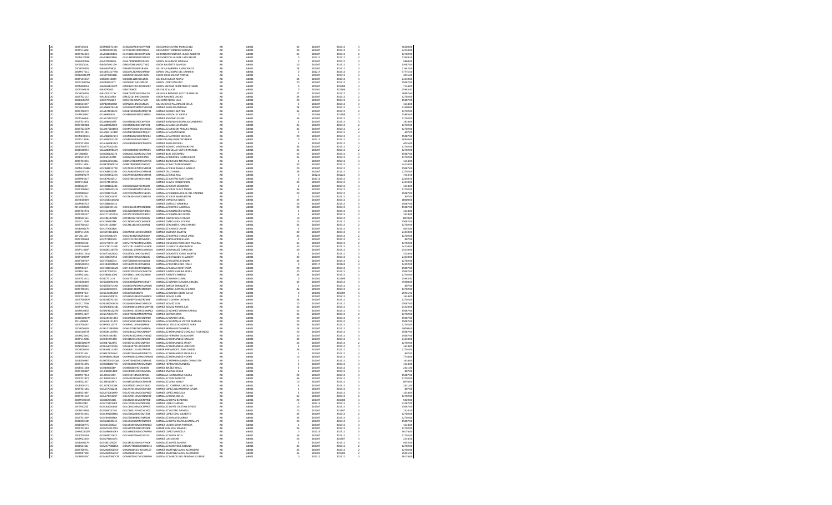| 20<br>20       | 20DTV0554                | GESM8507133X                        | GESM850713HOCRVR04                       | <b>GREGORIO SEVERO MARCELINO</b>                                  |                 | AB001                 | 30                                            | 201307           | 201312           |                |
|----------------|--------------------------|-------------------------------------|------------------------------------------|-------------------------------------------------------------------|-----------------|-----------------------|-----------------------------------------------|------------------|------------------|----------------|
|                | 20DTV1618J               | GETF8502019Q                        | GETF850201MOCRRL03                       | <b>GREGORIO TERRERO FELICIANA</b>                                 | AB              | AB001                 | 30                                            | 201307           | 201312           |                |
| 20<br>20       | 20DST0245Q<br>20DML0009  | GEVH880408K5<br><b>GEVL880108FH</b> | GEVH880408HOCRNG02<br>GEVL880108MOCRLD02 | GERONIMO VENTURA HUGO ALBERTO<br>GREGORIO VILLAFAÑE LADY BELEN    | AB<br>AB        | AB001<br>AB001        | 36<br>$\theta$                                | 201307<br>201311 | 201312<br>201312 |                |
| 20             | 20AGD0003Z               | GIAA790908GL                        | GIAA790908MOCRLD04                       | GIRON ALVARADO ADRIANA                                            | AB              | AB001                 | $\mathbf{0}$                                  | 201307           | 201312           |                |
|                |                          |                                     | GIBG870911MOCJTN02                       |                                                                   |                 | <b>AR001</b>          |                                               | 201307           | 201312           |                |
| 20<br>20       | 20FSE0001A<br>20ZNE0040V | GIBG870911EH<br>GIBJ640708Q2        | GIBJ640708HGRLRN08                       | GIJON BAUTISTA GIANELLI<br>GIL DE LA BARRERA JUAN CARLOS          | AB<br>AB        | AB001                 | $\begin{array}{c} 20 \\ 28 \end{array}$       | 201307           | 201312           |                |
|                | 20DPR1711Q               | GICD871217NW                        | GICD871217MOCRRR00<br>GICM790106MDFJRY05 | GIRON CRUZ DORA DEL CARMEN<br>GIJON CRUZ MAYRA IVONNE             |                 | AB001                 |                                               | 201217           | 201312           |                |
| 20<br>20       |                          |                                     |                                          |                                                                   | AB<br>AB        | AB001                 | $\frac{0}{5}$                                 | 201307           | 201312           |                |
| 20<br>20       | 20DTV0125R               | GIDC8411282X                        | GIDC841128HOCLZR03                       | GIL DIAZ CARLOS MANU                                              |                 | AB001                 |                                               | 201307           | 201312           |                |
|                | 20DCC0470W               | GILP9006221Y                        | GILP900622HOCRPL00                       | <b>GIRON LOPEZ PAULINO</b>                                        | AB<br>AB        | AB001                 | $\begin{array}{c} 30 \\ 20 \end{array}$       | 201307           | 201312           |                |
| 20<br>20       | 20DNS0001K               | GIMD601222PP                        | GIMD601222HOCRDM02                       | <b>GIRON MEDINA DEMETRIO ESTEBAN</b>                              | AB              | AB001                 | $\begin{smallmatrix}0\\0\\0\end{smallmatrix}$ | 201307           | 201308           |                |
|                | 20DTV0032B               | GIRA790805                          | GIRA790805                               | <b>GRIS RUIZ ALICIA</b>                                           | AB              | AB001                 |                                               | 201301           | 201309           |                |
| 20<br>20       | 202NE0040V               | GIRH7002175Y                        | GIHR700217HOCRMC03                       | GRIJALVA ROMERO HECTOR MANUEL                                     | AB              | AB001                 | $\overline{27}$                               | 201307           | 201312           |                |
|                | 20DST02112               | GIRL921019PA                        | GIRL921019HOCJMR08                       | <b>GUON RAMIREZ LAURO</b>                                         | AB              | AB001                 | 36                                            | 201307           | 201312           |                |
| --<br>20<br>20 | 20ADG0070Y               | GISK770426E2                        | GISK770426MPLLTS09                       | GIL SOTO KEISSY LILIA                                             | AB              | AB001                 | $^{20}$                                       | 201307           | 201312           |                |
|                | 20DES0105Y               | GISP820418HM                        | GISP820418MOCLNL05                       | GIL SANCHEZ PALOMA DE JESUS                                       | AB              | AB001                 | $\overline{2}$                                | 201307           | 201312           |                |
| 20             | 202NE0040V<br>2005T00270 | GOAA860704HB<br>GOAB7403067S        | GOAA860704MOCMGD08<br>GOARZ40306MVZMOT01 | GOMEZ AGUILAR ADRIANA<br>GOMEZ AOUINO BEATRIZ                     | AB<br>AR.       | AB001<br><b>AR001</b> | 28<br>36                                      | 201307<br>201307 | 201312<br>201312 |                |
| 20<br>20       | 20DPB10380               | GOAB860810                          | GOAB860810MOCNRB01                       | BIBIANA GONZALEZ ARISTA                                           | AB              | AB001                 | $\mathfrak{o}$                                | 201304           | 201308           |                |
|                | 20DTV0634U               | GOAF7510170T                        |                                          | GOMEZ ANTONIO FELIPE                                              | AB              | <b>AR001</b>          |                                               | 201307           | 201312           |                |
| 20<br>20       | 20DST0197X               | GOAI68010255                        | GOAI680102HOCMVS02                       | GOMEZ AVELINO ISIDORO ALEJANDRINO                                 | $\overline{AB}$ | AB001                 | $\begin{array}{c} 36 \\ 2 \end{array}$        | 201307           | 201312           |                |
|                | 20DST0028B               | GOAJ800128UX                        | GOAJ800128HOCNNV01                       | <b>GONZALEZ ANGELES JAVIER</b>                                    | AB              | AB001                 | 36                                            | 201307           | 201312           |                |
| 20<br>20       | 20DST0256W               | GOAM751010S1                        | GOAM751010HOCNRG04                       | <b>GONZALEZ ARAGON MIGUEL ANGEL</b>                               | AB              | AB001                 | 36                                            | 201307           | 201312           |                |
| 20             | 20DST0118U               | GOAN8311284D                        | GOAN831128HOCNQL07                       | GONZALEZ AQUINO NOEL                                              | AB              | AB001                 | $\mathbf 1$                                   | 201307           | 201312           | $\overline{3}$ |
| $_{20}$        | 20HMC0023S               | GOAN860321F4                        | GOAN860321HOCNNC04                       | <b>GONZALEZ ANTONIO NICOLAS</b>                                   | AB              | AB001                 | 20                                            | 201307           | 201312           |                |
| $\frac{1}{20}$ | 20DTV1859H               | GOAP850523DP                        | GOAP850523HOCRLR07                       | GORDON ALQUISIREZ PORFIRIO                                        | AB              | AB001                 | $\ddot{\mathbf{0}}$                           | 201312           | 201312           |                |
|                | 20DST0100V               | GOAU840830K1                        | GOAU840830HOCMGR09                       | <b>GOMEZ AGUILAR URIEL</b>                                        | AB              | AB001                 | $\overline{\mathbf{S}}$                       | 201307           | 201312           |                |
| 20             | 20DST0057X               | GOAV79102454                        |                                          | GOMEZ AQUINO VIRGEN ARLENE                                        | AB              | AB001                 | 36                                            | 201307           | 201312           |                |
| 20<br>20       | 200ES009SH               | GOAV800906V9                        | GOAV800906HOCMRC01                       | GOMEZ ARGUELLO VICTOR MANUEL                                      | AR.             | <b>AR001</b>          | 36                                            | 201307           | 201312           |                |
|                | 20F120086D               | GOBC861202FX                        | GOBC861202MOCMLT02                       | GOMEZ BLAS COTZORELI                                              | AB              | AB001                 | 20                                            | 201307           | 201312           |                |
| 20<br>20       | 20DES0147X               | GORI6911221F                        | GOBI691122HDENRN01                       | <b>GONZALEZ BRIONES JUAN CARLOS</b>                               | AB              | <b>AR001</b>          | $\begin{array}{c} 36 \\ 2 \end{array}$        | 201307           | 201312           |                |
|                | 20DST01035<br>20DTV1590U | GOBN67013016<br>GOBR780808TH        | GOBN670130MOCMRT05<br>GOBR780808MOCNLS00 | GOMEZ BARRANCO NATALIA AMELI<br>GONZALEZ BALTAZAR ROSARIO         | AB<br>AB        | AB001<br>AB001        |                                               | 201307<br>201307 | 201312<br>201312 |                |
| 20<br>20       | 20DML0048M               | GOCA82012728                        | GOCA820127MOCNRN04                       | GONZALEZ CRUZ ANGELA NALLELY                                      | AB              | AB001                 | 30<br>20                                      | 201307           | 201312           |                |
| 20             | 20ADG0011                | GOCA8802255E                        | GOCA880225HOCMRN08                       | <b>GOMEZ CRUZ ANIBAL</b>                                          | AB              | AB001                 | 36                                            | 201307           | 201312           |                |
| 20             | 20DPB0917A               | GOCA930522EX                        | GOCA930522MOCNRN08                       | <b>GONZALEZ CRUZ ANA</b>                                          | AB              | AB001                 | $\mathbf 0$                                   | 201221           | 201224           |                |
|                | 20DPR0421T               | GOCB780105LI                        | GOCB780105HOCNSR04                       | GONZALEZ CASTRO BARTOLOME                                         | AB              | AB001                 | $\overset{\cdot}{\mathbf{0}}$                 | 201312           | 201312           |                |
| $\frac{1}{20}$ | 20DTV1858                | GOCC741129SA                        |                                          | <b>GOMEZ CLAVEL CONCEPCION</b>                                    | AB              | AB001                 | 30                                            | 201307           | 201312           |                |
| 20             | 20DES0227                | GOCD8106224S                        | GOCD810622HOCNSS00                       | <b>GONZALEZ CASAS DESIDERIO</b>                                   | AB              | AB001                 | $\overline{2}$                                | 201307           | 201312           |                |
|                | 20DST0006Q               | GOCD840425LN                        | GOCD840425MOCNRL04                       | <b>GONZALEZ CRUZ DULCE MARIA</b>                                  | AB              | AB001                 | 36                                            | 201307           | 201312           |                |
| 20<br>20       | 20DPB0854R               | GOCD91071621                        | GOCD910716MOCNBL05                       | GONZALEZ CABRERA DULCE DEL CARMEN                                 | AB              | AB001                 | $\mathbf{20}$                                 | 201307           | 201312           |                |
|                | 20DST02351               | GOCF630414VF                        | GOCE630414MOCNRD03                       | GONZALEZ CRUZ MARIA EDITH                                         |                 | <b>AR001</b>          |                                               | 201307           | 201312           |                |
| 20<br>20       | 202NE0040V               | GOCE680114MQ                        |                                          | GOMEZ CHAGOYA ELISEO                                              | AB<br>AB        | AB001                 | $\frac{1}{23}$                                | 201307           | 201312           |                |
| 20<br>20       | 20DPR05712<br>20FSE0006W | GOCG860501J1<br>GOCG861011GI        |                                          | GOMEZ CASTILLO GABRIELA<br>GONZALEZ CORTES GABRIELA               | AB<br>AB        | AB001                 | $\substack{20\\20}$                           | 201307           | 201312           |                |
|                |                          |                                     | GOCG861011MVZNRB08                       |                                                                   |                 | AB001                 |                                               | 201307           | 201312           |                |
| 20<br>20       | 20DST0197X<br>20DST0015Y | GOCJ620308JT<br>GOCJ771110GH        | GOCJ620308MOCNBN04                       | GONZALEZ CABALLERO JUANA                                          | AB<br>AB        | AB001                 | $\begin{smallmatrix}2\\2\\2\end{smallmatrix}$ | 201307           | 201312           |                |
|                |                          |                                     | GOCJ771110MOCNBD07                       | GONZALEZ CABALLERO JUDID                                          |                 | AB001                 |                                               | 201307           | 201312           |                |
| 20<br>20       | 20DES0214E               | GOCJ8612272N                        | GOCJ861227HOCMHS05                       | GOMEZ CHEVEZ JESUS OMAR<br>GOMEZ CARRO JUAN YOVANI                | AB<br>AB        | AB001                 | $\begin{array}{c} 10 \\ 20 \end{array}$       | 201307           | 201312           |                |
|                | 20DCC1228                | GOCJ9006248C                        | GOCJ900624HOCMRN08                       |                                                                   |                 | AB001                 |                                               | 201307           | 201312           |                |
| 20             | 20DST00142               | GOCJ9111021F                        | GOCJ911102HOCMRR01                       | <b>GOMEZ CERVANTES JORGE MARIO</b>                                | AB              | AB001                 | 36                                            | 201307           | 201312           |                |
| 20<br>20       | 20DBA0017H<br>20DTV1572E | GOCL790618JA<br>GOCM781110K2        | GOCM781110HOCMBR09                       | <b>GONZALEZ CHAVEZ LAURA</b><br><b>GOMEZ CABRERA MARTIN</b>       | AB              | AB001<br>AB001        | $\overline{\mathbf{S}}$<br>30                 | 201307<br>201307 | 201312<br>201312 |                |
|                | 20FI20116H               | GOCO910425IY                        | GOCO910425HV2NRS02                       | <b>GONZALEZ CORTEZ OSMAR URIEL</b>                                | AB              | <b>AR001</b>          |                                               | 201307           | 201312           |                |
| 20<br>20       | 20DST0046R               | GOCP731202IA                        | GOCP731202HOCMVR01                       | GOMEZ CUEVAS PRISCILIANO                                          | AB<br>AB        | AB001                 | $\begin{array}{c} 36 \\ 1 \end{array}$        | 201307           | 201312           |                |
|                |                          |                                     | GOCV770711MOCMHR05                       |                                                                   |                 | AB001                 |                                               | 201307           | 201312           |                |
| 20<br>20       | 20DDI0012C<br>20DTV0564F | GOCV770711NP<br>GOCV781114SB        | GOCV781114MOCMLN08                       | GOMEZ CHINCOYA VERONICA PAULINA<br>GOMEZ CLEMENTE VENERANDA       | AB<br>AB        | AB001                 | 36<br>30                                      | 201307           | 201312           |                |
|                | 20DTV1646F               |                                     | GODC801105MOCMMR04                       | <b>GOMEZ DOMINGUEZ CAROLINA</b>                                   |                 | AB001                 |                                               | 201307           | 201312           |                |
| 20<br>20       | 20DES0124M               | GODC801105TB<br>GODJ7304232Q        | GODJ730423HOCMRR07                       | GOMEZ DORANTES JORGE MARTIN                                       | AB<br>AB        | AB001                 | $\begin{array}{c} 30 \\ 4 \end{array}$        | 201307           | 201312           |                |
|                | 20DTV0009A               | GOEE80070956<br>GOFE7806034L        | GOEE800709MOCNSL06<br>GOFE780603HOCNGD01 | GONZALEZ ESTILLADO ELIZABETH<br>GONZALEZ FIGUEROA EDWIN           |                 | AB001                 |                                               | 201307           | 201312           |                |
| 20<br>20       | 20DST0072F               |                                     |                                          |                                                                   | AB<br>AB        | AB001                 | 30<br>36                                      | 201307           | 201312           |                |
| 20<br>20       | 20DES0021Q               | GOFE840921M4                        | GOFE840921HOCNLD04<br>GOFH810126MOCNBR06 | GONZALEZ FLORES EDER JOSUE                                        | AB<br>AB        | AB001                 | $\circ$                                       | 201117           | 201124           |                |
|                | 20DPR0217I               | GOFH810126M4                        |                                          | <b>GONZALEZ FABIAN HORTENSIA</b>                                  |                 | AB001                 | 20                                            | 201307           | 201312           |                |
| 20<br>20       | 20DPR3266L               | GOFR770927LF                        | GOFR770927MOCMNY06                       | <b>GOMEZ FUENTES MARIA REYES</b>                                  | AB              | AB001                 | 20                                            | 201307           | 201312           |                |
|                | 20DPR2318U               | GOFS8001109G                        | GOFS800110HOCMNR00                       | <b>GOMEZ FUENTES SIRENIO</b>                                      | AB              | AB001                 | 36                                            | 201307           | 201312           |                |
| 20             | 20DST0101U               | GOGC771116                          | GOGC771116                               | <b>GONZALEZ GARCIA CLARA</b>                                      | AB              | AB001                 | $\mathfrak{o}$                                | 201301           | 201309           |                |
| 20             | 202NE0040V               | GOGC800920JW                        | GOGC800920MOCNRL07                       | <b>GONZALEZ GARCIA CLAUDIA ARACELI</b>                            | AB              | AB001                 | 36                                            | 201307           | 201312           |                |
| 20             | 20DES00862<br>20DST0019U | GOGE650715AN<br>GOGE821010F1        | GOGE650715MOCMRN06<br>GOGE821010MVZNRN09 | <b>GOMEZ GARCIA ENRIQUETA</b><br>EUNICE ANABEL GONZALEZ GARCI     | AB<br>AB        | AB001<br>AB001        | $\mathbf{1}$<br>36                            | 201307<br>201307 | 201312<br>201312 | $\overline{a}$ |
| 20<br>20       | 20DPR0713H               | GOGG760818GF                        | GOGG760818GP4                            | <b>GONZALEZ GARCIA GEIBY ELENA</b>                                | AB              | AB001                 | $\bf{0}$                                      | 201301           | 201309           |                |
|                | 20DST0146O               | GOG1650208TG                        | GOGI650208HOCMMN03                       | GOMEZ GOMEZ ILIAN                                                 | 4Ŕ              | <b>AR001</b>          | $\overline{ }$                                | 201307           | 201312           |                |
| 20<br>20       | 20DST0058W               | GOGL680701GV                        | GOGL680701MVZRZN03                       | <b>GORDILLO GUZMAN LEONOR</b>                                     | AB              | AB001                 | 36                                            | 201307           | 201312           |                |
|                | 20DCC1728K               |                                     | GOGL860506HOCMMS09                       |                                                                   |                 | AB001                 | 20                                            | 201307           | 201312           |                |
| 20<br>20       | 20DTV0766                | GOGL860506CM<br>GOGM86011481        | GOGM860114MOCMMY08                       | GOMEZ GOMEZ LUIS<br>GOMEZ GOMEZ MAYRA ILSE                        | AB<br>AB        | AB001                 | 30                                            | 201307           | 201312           |                |
| 20<br>20       | 20DPB10652               | GOGM941225FK                        | GOGM941225MOCNMR12                       | <b>GONZALEZ GOMEZ MIRIAM KARINA</b>                               | AB              | AB001                 | 20                                            | 201307           | 201312           |                |
|                | 20DPR3432T               | GOGS79021279                        | GOGS790212MMCMPN06                       | <b>GOMEZ GOPAR SONIA</b>                                          | AB              | AB001                 | 36                                            | 201307           | 201312           |                |
| 20             | 20DEE0005W               | GOGU84011313                        | GOGU840113HOCNRR00                       | <b>GONZALEZ GARCIA URIEL</b>                                      | AB              | AB001                 | $\overline{20}$                               | 201307           | 201312           |                |
| 20             | 20FUA0060I               | GOGV69121471                        | GOGV691214HOCNNC04                       | <b>GONZALEZ GONZALEZ VICTOR MANUEL</b>                            | AB              | AB001                 | 20                                            | 201307           | 201312           |                |
|                | 20DST0024F               | GOHF901125TE                        | GOHF901125HBSNRR08                       | FERNANDO JESUS GONZALEZ HERR                                      | AB              | AB001                 | 36                                            | 201307           | 201312           |                |
| 20<br>20<br>20 | 202NE0040V               | GOHG770807AN                        | GOHG770807HCSMRB06                       | <b>GOMEZ HERNANDEZ GABRIEL</b>                                    | AB              | AB001                 | 23                                            | 201307           | 201312           |                |
|                | 20DCC0473T<br>200PR23040 | GOHG841027DI<br>GOHG910623U         | GOHG841027HOCNRN07<br>GOHG910623MOCNRD12 | GONZALEZ HERNANDEZ GONZALO FLORENCIO<br>GONZAGA HERRERA GUADALUPE | AB<br>4Ŕ        | AB001<br><b>AR001</b> | 20<br>20                                      | 201307<br>201307 | 201312<br>201312 |                |
| 20<br>20       | 20DTV1208G               | GOHI810713TB                        | GOHI810713HOCNRG08                       | <b>GONZALEZ HERNANDEZ IGNACIO</b>                                 | AB              | AB001                 | 30                                            | 201307           | 201312           |                |
|                | 20DEE0005W               | GOHJ871124T6                        | GOHJ871124HOCNRV02                       | <b>GONZALEZ HERNANDEZ JAVIER</b>                                  | AB              | <b>AR001</b>          | 36                                            | 201307           | 201312           |                |
| 20<br>20       | 20DES0064Q               | GOHL630721QH                        | GOHL630721HOCNRR07                       | GONZALEZ HERNANDEZ LORENZO                                        | AB              | AB001                 | $\overline{2}$                                | 201307           | 201312           |                |
| 20<br>20       | 202NE0040V               | GOHL881111NV                        | GOHL881111HOCPRN08                       | GOPAR HERNANDEZ LENIN DANIEL                                      | AB              | AB001                 | 36                                            | 201307           | 201312           |                |
|                | 20DST0160J               | GOHM750526CJ                        | GOHM750526MDFNRY04                       | <b>GONZALEZ HERNANDEZ MAYERLI A</b>                               | AB              | AB001                 | $\mathbf{1}$                                  | 201307           | 201312           |                |
| 20             | 20DEE0022M               | GOHN800122QW                        | GOHM800122MMCNRM04                       | GONZALEZ HERNANDEZ NOEMI                                          | AB              | AB001                 | $10$                                          | 201307           | 201312           |                |
| $_{20}$        | 20DES0098E               | GOHS760415QW                        | GOHS760415MOCNRN06                       | GONZALEZ HERRERA SANTA CARMELITA                                  | AB              | AB001                 | $\overline{2}$                                | 201307           | 201312           |                |
| 20             | 20DST0149N               | GOHS840807V8                        | GOHS840807MOCMRN19                       | GOMEZ HERNANDEZ SANDRA                                            | AB              | AB001                 |                                               | 201307           | 201312           |                |
| 20<br>20       | 20DES0118B               | GOII800602BP                        | GO1800602HOCMBS09                        | <b>GOMEZ IBAÑEZ ISRAEL</b>                                        | AB              | AB001                 | $\overline{3}$                                | 201307           | 201312           |                |
|                | 20DST0048F               | GOJC800114DD                        | GOJC800114HOCMMS06                       | <b>GOMEZ JIMENEZ CESAR</b>                                        | AB              | AB001                 |                                               | 201307           | 201312           |                |
| 20<br>20       | 20DPR1721X               | GOI/910714RF                        | GO 1910714MOCNNS04                       | GONZAGA ILIAN MARIA ISAURA                                        | <b>AR</b>       | <b>AR001</b>          | $\infty$                                      | 201307           | 201312           |                |
|                | 20DST0182V<br>20DES02331 | GOJM920105I7<br>GOJN8510287L        | GOJM92010SHOCNSR07<br>GOJN851028MOCNNN08 | <b>GONZALEZ JOSE MARCOS</b><br><b>GONZALEZ JUAN NANCY</b>         | AB<br>AB        | AB001<br><b>AR001</b> | 36                                            | 201307<br>201307 | 201312<br>201312 |                |
| 20<br>20       |                          | GOJO790321NK                        | GOXJ790321MOCNXS00                       | GONZALEZ JOSEFINA CAROLINA                                        | $\overline{AB}$ | AB001                 | 10                                            | 201307           |                  |                |
|                | 20DES0017D<br>20DST0118U | GOLA57042248                        | GOLAS70422MOCMPL08                       | GOMEZ LOPEZ ALEJANDRINA EVELIA                                    | AB              | AB001                 | 3<br>$\mathbf{1}$                             | 201307           | 201312<br>201312 |                |
| 20<br>20       | 20DES0196F               | GOLA710619H9                        | GOLA710619MOCMPN07                       | GOMEZ LOPEZ ANGELICA                                              | AB              | AB001                 | $\overline{2}$                                | 201307           | 201312           |                |
| 20             | 20DST0113Z               | GOLA790112UT                        | GOLA790112MOCNND08                       | GONZALEZ LUNA ADELA                                               | AB              | AB001                 | 36                                            | 201307           | 201312           |                |
| 20             | 20DPR3033W               | GOLB820531IE                        | GOLB820531MOCNPR08                       | <b>GONZALEZ LOPEZ BERENICE</b>                                    | AB              | AB001                 | 20                                            | 201307           | 201308           |                |
|                | 20DPR1882J               | GOLC791013RP                        | GOLC791013HVZMPH06                       | GOMEZ LOPEZ CHARVEL                                               | AB              | AB001                 | $\ddot{\mathbf{0}}$                           | 201312           | 201312           |                |
| 20<br>20<br>20 | 20FZP00252               | GOLC840206SN                        | GOLC840206MOCNPR05                       | <b>GONZALEZ LOPEZ CRISTIAN DENISE</b>                             | AB              | AB001                 | 20                                            | 201307           | 201312           |                |
|                | 20DPR1936X               | GOLD86010262                        | GOLD860102HOCNCN02                       | GONZALEZ LUCERO DANIELS                                           | AB              | AB001                 | $\overline{20}$                               | 201307           | 201307           |                |
| 20<br>20       | 20DST01035               | GOLF900204NG                        | GOLF900204HOCMTS03                       | GOMEZ LOPEZ ESALL GILBERTO                                        | 4R              | <b>AR001</b>          | 36<br>36                                      | 201307           | 201312           |                |
|                | 20DST0130F               | GOLE9006086A                        | GOLE900608HOCNRD08                       | GONZALEZ LURIA EDUARDO                                            | AB              | AB001                 |                                               | 201307           | 201312           |                |
| 20<br>20       | 20DDI0011D<br>20DES0077S | GOLG810402E5                        | GOLG810402MOCNPD03                       | GONZALEZ LOPEZ MARIA GUADALUPE                                    | AB<br>AB        | <b>AR001</b>          | $\begin{array}{c} 20 \\ 2 \end{array}$        | 201307           | 201312           |                |
|                |                          | GOLK810920AI                        | GOLK810920MOCMNN03                       | GOMEZ LANDIS KENIA PATRICIA                                       |                 | AB001                 |                                               | 201307           | 201312           |                |
| 20<br>20       | 20DST0234K<br>20HMC0020V | GOLM720120CU<br>GOLM860630KY        | GOLM720120HOCPSN08<br>GOLM860630MOCMPR04 | GOPAR LUIS JOSE MANUEL<br>GOMEZ LOPEZ MARICELA                    | AB<br>AB        | AB001<br>AB001        | $\begin{array}{c} 36 \\ 0 \end{array}$        | 201307<br>201310 | 201312<br>201312 |                |
|                |                          |                                     | GOLN890716HOCNPL01                       |                                                                   |                 | AB001                 |                                               |                  | 201312           |                |
| 20<br>20       | 20DST0029A<br>20DPR2233N | GOLN890716TY                        |                                          | GONZALEZ LOPEZ NOEL<br><b>GOMEZ LUIS OSCAR</b>                    | AB<br>AB        | AB001                 | $\begin{array}{c} 36 \\ 20 \end{array}$       | 201307<br>201307 | 201307           |                |
|                | 20DBA0017H               | GOLS8510302S                        |                                          | GONZALEZ LOPEZ SANDRA                                             | AB              | AB001                 |                                               | 201307           | 201312           |                |
| 20<br>20       | 20DES0168J               | GOMA770828SA                        | GOLS851030MOCNPN06<br>GOMA770828MOCNRD15 | <b>GONZALEZ MARTINEZ ADELINA</b>                                  | AB              | AB001                 | $\frac{5}{36}$                                | 201307           | 201312           | $\overline{a}$ |
|                | 20DST0076L               | GOMA8205235V                        | GOMA820523HOCMRL07                       | GOMEZ MARTINEZ ALAIN ALEJANDRO                                    | AB              | AB001                 | 36                                            | 201307           | 201312           |                |
| 20<br>20       | 20DPR07180               | GOMA8205235V                        | GOMA8205235V9                            | GOMEZ MARTINEZ ALAIN ALEJANDRO                                    | AB              | AB001                 | 36                                            | 201301           | 201309           |                |
|                | 20DPR0800C               | GOMA870917CW                        | GOMA870917MOCNRR06                       | GONZALEZ MARCELINO ARIADNA SOLEDAD                                |                 | AB001                 | $\mathbf{0}$                                  | 201312           | 201312           |                |
|                |                          |                                     |                                          |                                                                   |                 |                       |                                               |                  |                  |                |

# $\begin{array}{cccc} 4.111000\\ 1.1211000\\ 1.1211000\\ 1.1211000\\ 1.1211000\\ 1.1211000\\ 1.1211000\\ 1.1211000\\ 1.1211000\\ 1.1211000\\ 1.1211000\\ 1.1211000\\ 1.1211000\\ 1.1211000\\ 1.1211000\\ 1.1211000\\ 1.1211000\\ 1.1211000\\ 1.1211000\\ 1.12$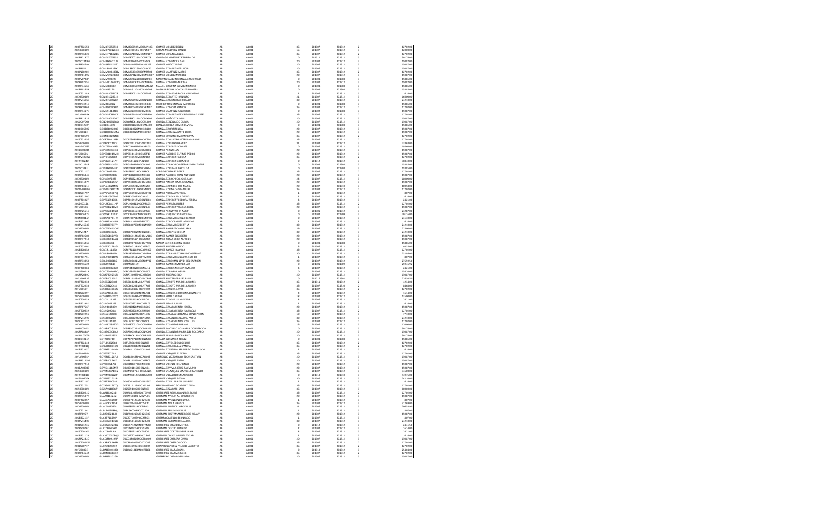| 20<br>20                   | 20DST0255X<br>20ZNE0040V | GOMB76050536                  | GOMB760505MOCMNL06                       | <b>GOMEZ MENDEZ BELEN</b>                                        | <b>AR</b>              | <b>AR001</b>   | $\begin{array}{c} 36 \\ 16 \end{array}$       | 201307           | 201312           |                |
|----------------------------|--------------------------|-------------------------------|------------------------------------------|------------------------------------------------------------------|------------------------|----------------|-----------------------------------------------|------------------|------------------|----------------|
|                            |                          | GOMD780126C3                  | GOMD780126HOCPLN07                       | GOPAR MELENDEZ DANIEL                                            | AB                     | AB001<br>AB001 |                                               | 201307           | 201312           |                |
| 20<br>20                   | 20DPR1632D               | GOME771102Q6<br>GOME87072951  | GOME771102MOCMRL07                       | GOMEZ MIRANDA ELDA<br>GONZAGA MARTINEZ EZMERALDA                 | AB                     |                | $\begin{array}{c} 36 \\ 0 \end{array}$        | 201307           | 201312<br>201312 |                |
|                            |                          |                               | GOME870729MOCNRZ08                       |                                                                  | AB                     | AB001          |                                               | 201311           |                  |                |
| 20                         | 20DCC1849W               | GOMI880612UN                  | GOMI880612HOCNNS08                       | GONZALEZ MENDEZ ISAEL                                            | AB                     | AB001          | 20                                            | 201307           | 201312           |                |
| 20<br>20                   | 20DPR3479N<br>20DPR0511L | GOMI920515KT<br>GOML880125JY  | GOMI920515MOCMXS07                       | <b>GOMEZ MUñOZ ISIDRA</b><br>GONZALEZ MARTINEZ LUCIA             | AB                     | AB001<br>AB001 | 20                                            | 201307<br>201307 | 201312<br>201312 |                |
|                            | 20DJN0020H               | GOMM6004098V                  | GOML880125MOCNRC10<br>GOMM600409HDEMRR03 | GOMEZ MARTINEZ MARIO                                             | AB<br>AB               | <b>AR001</b>   | $\overline{20}$                               | 201307           | 201312           |                |
| 20<br>20                   | 20DPR0139V               | GOMM791230GI                  | GOMM791230MOCMNR0                        | GOMEZ MENDEZ MARIBEL                                             | AB                     | AB001          | $\begin{array}{c} 36 \\ 20 \end{array}$       | 201307           | 201312           |                |
|                            |                          | GOMM900220                    | GOMM900220HOCNRR03                       |                                                                  |                        | <b>AR001</b>   |                                               |                  | 201308           |                |
| 20<br>20                   | 20DTV0738P<br>20DPB0715E | GOMM9106127Q                  | GOMM910612MOCNLR06                       | MARVIN JOAQUIN GONZALEZ MORALES<br>GONZALEZ MELO MARITZA         | AB<br>AB               | AB001          | $\begin{smallmatrix}0\\20\end{smallmatrix}$   | 201304<br>201307 | 201312           |                |
|                            |                          | GOMN880602                    | GOMN880602MOCMNL02                       |                                                                  |                        | AB001          |                                               |                  | 201308           |                |
| 20<br>20                   | 20DPR3456C<br>20DPB0265R | GOMN891201                    | GOMN891201MOCNNT08                       | NALLELI CRISTINA GOMEZ MENDEZ<br>NATALIA REYNA GONZALEZ MONTES   | AB<br>AB               | AB001          | $\begin{smallmatrix}0\\0\\0\end{smallmatrix}$ | 201304<br>201304 | 201308           |                |
|                            |                          |                               | GOMP830521MOCNZL05                       |                                                                  |                        |                |                                               |                  |                  |                |
| 20<br>20                   | 20DST0128A               | GOMP830521TF                  |                                          | GONZALEZ MAZAS PAOLA VALENTINA<br>GONZALEZ MATEO RANULFO         | AB<br>AB               | AB001<br>AB001 | $\begin{smallmatrix}2\\21\end{smallmatrix}$   | 201307<br>201307 | 201312<br>201312 |                |
|                            |                          |                               |                                          |                                                                  |                        |                |                                               |                  |                  |                |
| 20<br>20                   | 20DTV1606E               | GOMR750902LX                  | GOMR750902MOCNNS08                       | GONZALEZ MENDOZA ROSALIA                                         | AB                     | AB001          | $\begin{array}{c} 30 \\ 0 \end{array}$        | 201307           | 201312           |                |
|                            | 20DPR3321O               | GOMR860402                    | GOMR860402HOCNRG05                       | RIGOBERTO GONZALEZ MARTINEZ                                      | AB                     | AB001          |                                               | 201304           | 201308           |                |
|                            | 20DPR1936X               | GOMR900408PC                  | GOMR900408HOCNRM07                       | GONZALEZ MORA RAMON                                              | AB                     | AB001          | 36                                            | 201307           | 201312           |                |
| 20<br>20<br>20<br>20       | 20DPR1417N               | GOMS910104ED                  | GOMS910104HOCMRL06                       | <b>GOMEZ MARTINEZ SALVADOR</b>                                   | AB                     | AB001          | $\circ$                                       | 201302           | 201308           |                |
|                            | 20FUA0014X               | GOMV850814KE                  | GOMV850814MOCNRR00                       | GONZALEZ MARTINEZ VIRIDIANA CELESTE                              | AB                     | AB001          | 36                                            | 201307           | 201312           |                |
|                            | 20DPR1282P               | GOMY890110GX                  | GOMY890110MOCMXS04                       | <b>GOMEZ MUÑOZ YASMIN</b>                                        | AB                     | AB001          | 20                                            | 201307           | 201312           |                |
|                            | 20DCC0700                | GON0860616AQ                  | GONO860616MOCNLL09                       | <b>GONZALEZ NOLASCO OLIVIA</b>                                   | AB                     | AB001          | $\overline{20}$                               | 201307           | 201312           |                |
| 20<br>20                   | 20DCC1269R               | GOOD841020                    | GOOD841020MOCMLN00                       | DIANA FABIOLA GOMEZ OLVERA                                       | AB                     | <b>AR001</b>   | $\circ$                                       | 201304           | 201308           |                |
|                            | 20DCC0689S               | GOOE810920KC                  | GOOE810920MOCNRL00                       | GONZALEZ ORTIZ ELIDA                                             | AB                     | AB001          | $\overline{20}$                               | 201307           | 201312           |                |
| 20<br>20                   | 20FIZ0041H               | GOOE880825MA                  | GOOE880825MOCNLR02                       | <b>GONZALEZ OLOZAGASTE ERIKA</b>                                 | AB                     | AB001          |                                               | 201307           | 201312           |                |
|                            | 20DST0059V               | GOON830222N8                  |                                          | <b>GOMEZ ORTIZ NORMA MINERVA</b>                                 | AB                     | AB001          | 20<br>36<br>36                                | 201307           | 201312           |                |
| 20<br>20                   | 20DST0163G               | GOOP76031848                  | GOOP760318MOCNLT04                       | GONZALEZ OLIVERA PATRICIA MARIBEL                                | AB                     | .<br>AB001     |                                               | 201307           | 201312           |                |
|                            | 20ZNE0040V               | GOPB780110KE                  | GOPB780110MOCNDT03                       | <b>GONZALEZ PEDRO BEATRIZ</b>                                    | AB                     | AB001          | $\begin{array}{c} 31 \\ 0 \end{array}$        | 201307           | 201312           |                |
|                            | 20AGD00032               | GOPD790916R5                  | GOPD790916MOCNRL05                       | GONZALEZ PEREZ DOLORES                                           | AB                     | AB001          |                                               | 201307           | 201312           |                |
| 20<br>20<br>20             | 20HBD0008T               | GOPE8204033N                  | GOPE820403MOCMRL04                       | <b>GOMEZ PEREZ ELSA</b>                                          | AB                     | AB001          | 20                                            | 201307           | 201312           |                |
|                            | 20FIZ0069N               | GOPE831119MH                  | GOPE831119HOCMCT13                       | GOMEZ PACHECO EUTIMO PEDRO                                       | AB                     | AB001          | 20                                            | 201307           | 201312           |                |
| 20<br>20                   | 20DTV1069W               | GOPE91052082                  | GOPE910520MOCNRR09                       | GONZALEZ PEREZ FABIOLA                                           | AB                     | <b>AR001</b>   | $\begin{array}{c} 36 \\ 0 \end{array}$        | 201307           | 201312           |                |
|                            | 20F2F0024U               | GOPG691121PF                  | GOPG691121HPLNRL04                       | <b>GONZALEZ PEREZ GILDARDO</b>                                   | AB                     | AB001          |                                               | 201312           | 201312           |                |
| 20<br>20                   | 20DCC1291R               | GOPG860314GJ                  | GOPG860314HOC1CR00                       | GONZALEZ PACHECO GERARDO BALTAZAR                                | AB                     | AB001          | $\circ$                                       | 201304           | 201308           |                |
|                            | 20DCC2031L               | GOPG880904EZ                  | GOPG880904MOCNLR04                       | GONZALEZ PELAEZ GRICELDA                                         | AB                     | AB001          | $\mathbf 0$                                   | 201304           | 201308           |                |
|                            | 20DST0113Z               | GOPJ780422AB                  | GOPJ780422HOCNRR08                       | JORGE GONZALEZ PEREZ                                             | AB                     | AB001          | 36                                            | 201307           | 201312           |                |
|                            | 20DPR06840               | GOPJ8002083G                  | GOPJ800208HOCMCN00                       | GOMEZ PACHECO JUAN ANTONIO                                       | AB                     | AB001          | 20                                            | 201307           | 201312           |                |
|                            | 202NE0040V               | GOPJ830722ST                  | GOPJ830722HOCNCN05                       | GONZALEZ PACHECO JOSE JUAN                                       | AB                     | AB001          | 23                                            | 201307           | 201312           |                |
| 20<br>20<br>20<br>20<br>20 | 20DCC1127R               | GOPK9308252V                  | GOPK930825MOCMNR04                       | <b>GOMEZ PINEDA KIARA STEFANIA</b>                               | AB                     | AB001          | 20                                            | 201307           | 201312           |                |
|                            | 20DPR0311N               | GOPL640524MS                  | GOPL640524MOCNNZ01                       | GONZALEZ PINELO LUZ MARIA                                        | AB                     | AB00           | $^{20}$                                       | 201307           | 201310           |                |
| 20<br>20                   | 20DTV0970W               | GOPM9108107N                  | GOPM910810HOCNNN05                       | GONZALEZ PINACHO MANUEL                                          | AR                     | <b>AR001</b>   | $\frac{36}{1}$                                | 201307           | 201312           |                |
|                            | 20DES0179P               | GOPP7609307Q                  | GOPP760930MOCMRT01                       | GOMEZ PORRAS PATRICIA                                            | AB                     | AB001          |                                               | 201307           | 201312           |                |
| 20<br>20                   | 20DES0150K               | GOPS820507M6                  | GOPS820507HOCNCL01<br>GOPT610917MOCNRD03 | GONZALEZ PECH SAUL DAVID<br>GONZALEZ PEREZ TEODORA TERESA        | AB<br>AB               | <b>AR001</b>   | $\frac{2}{3}$                                 | 201307           | 201312           |                |
|                            | 20DST0102T               | GOPT610917KB                  |                                          |                                                                  |                        | AB001          |                                               | 201307           | 201312           |                |
| 20<br>20                   | 20DDI0012C               | GOPU900811HP<br>GOPY840216MI  | GOPU900811HOCMRL05<br>GOPY840216MOCNRL03 | GOMEZ PERALTA ULISES<br>GONZALEZ PEREZ YULIANA CECIL             | AB<br>AB               | AB001          | $\begin{array}{c} 36 \\ 20 \end{array}$       | 201307           | 201312           |                |
|                            | 20FIZ0018G               |                               |                                          |                                                                  |                        | AB001          |                                               | 201307           | 201312           |                |
|                            |                          |                               |                                          | GOMEZ PEREZ YASHIR AMET                                          |                        | AB001          |                                               |                  |                  |                |
| 20<br>20                   | 20DPR2561G<br>20DPB1647E | GOPY860615GD<br>GOQC861230LZ  | GOPY860615HOCMRS03<br>GOQC861230MOCNNR07 | <b>GONZALES QUINTAS CAROLINA</b>                                 | AB<br>AB               | AB001          | $\begin{smallmatrix}0\\0\\0\end{smallmatrix}$ | 201301<br>201302 | 201312<br>201309 |                |
| 20<br>20                   | 20DNP0016R               | GORA730701HT                  | GORA730701MOCNMN01                       | GONZALEZ RAMIREZ ANA BEATRIZ<br>GONZALEZ RODRIGUEZ AZUCENA       | AB                     | AB001          | $\begin{smallmatrix}0\\2\end{smallmatrix}$    | 201307           | 201312           |                |
|                            |                          | GORA821014PN                  | GORA821014MDFNDZ01                       |                                                                  | AB                     | AB001          |                                               | 201307           | 201312           |                |
| 20                         | 20DTV1553Q               | GORB830703TP                  | GORB830703MOCNMR09                       | <b>GONZALEZ RAMIREZ BERTHA</b>                                   | $\mathbb{A}\mathbb{B}$ | AB001          | 30                                            | 201307           | 201312           |                |
| 20<br>20                   | 207NF0040V               | GORC740613CW                  |                                          | <b>GOMEZ RAMIREZ CANDELARIA</b>                                  | AB                     | <b>AR001</b>   | 29<br>30                                      | 201307           | 201312           |                |
|                            | 20DTV1247                | GORC8703028L                  | GORC870302MOCNYC01                       | GONZALEZ REYES CECILIA                                           | AB                     | AB001          |                                               | 201307           | 201312           |                |
|                            | 20DPR0260X               | GORE861124V8<br>GORE890517AQ  | GORE861124MOCMML06<br>GORE890517HOCMSR09 | GOMEZ RAMOS ELIZABETH<br>GOMEZ ROSAS ERICK ALFREDO               | AB<br>AB               | <b>AR001</b>   |                                               | 201307<br>201307 | 201312<br>201312 |                |
| 20<br>20                   | 20DPR1721X               |                               |                                          |                                                                  |                        | AB001          | $\begin{array}{c} 20 \\ 20 \end{array}$       |                  |                  |                |
| 20<br>20                   | 20DCC16250               | GORE890708<br>GORF7401288G    | GORE890708MOCMYS01                       | MARIA ESTHER GOMEZ REYES                                         | AB<br>AB               | AB001          | $^{\rm o}_{\rm s}$                            | 201304<br>201307 | 201308           |                |
|                            |                          |                               | GORF740128HOCMZR00                       | <b>GOMEZ RUIZ FERNANDO</b>                                       |                        | AB001          |                                               |                  | 201312           |                |
|                            |                          | GORI781118EQ                  | GORI781118MOCMMR07                       |                                                                  | AB                     |                |                                               | 201307           | 201312           |                |
| 20<br>20                   | 20DES0085A               | GORI880430AD                  | GORI880430MOCNMR09                       | GOMEZ RAMOS IRLANDA<br>GONZALEZ RAMIREZ IRAIS MONSERRAT          | AB                     | AB001<br>AB001 | $\frac{36}{30}$                               | 201307           | 201312           |                |
| 20<br>20                   | 20DST0175L               | GORL730511LW                  | GORL730511MDFNMR09                       | GONZALEZ RAMIREZ LAURA ESTHER                                    | AB                     | AB001          |                                               | 201307           | 201312           |                |
|                            | 20DPR3305X               | GORL900601B6                  | GORL900601MOCNMY02                       | GONZALEZ ROMAN LEYDI DEL CARMEN                                  | AB                     | AB001          | 20                                            | 201307           | 201312           |                |
|                            | 20DPR1652R               | GORM920119                    | GORM920119                               | GOMEZ RAMIREZ MORET JAIR                                         | AB                     | AB001          | $\bf{0}$                                      | 201301           | 201309           |                |
| 20<br>20<br>20<br>20       | 20DST0036K               | GORN84082859                  | GORN840828HOCNSL11                       | GONZALEZ RIOS NELSON AMILCAR                                     | AB                     | AB001          | $\overline{3}$                                | 201307           | 201312           |                |
|                            | 20DCE0001B               | GORO730203BQ                  | GORO730203HOCNVS05                       | GONZALEZ RIVERA OSCAR                                            | AB                     | AB001          | $\mathbf 0$                                   | 201307           | 201312           |                |
|                            | 20DPR2639D               | GORR720925DS                  | GORR720925HOCMZG06                       | <b>GOMEZ RUIZ ROGELIO</b>                                        | AB                     | AB001          | 20                                            | 201307           | 201312           |                |
|                            | 20FUA0023E               | GORT810313LE                  | GORT810313MOCMZR03                       | GOMEZ RUIZ TERESA DE JESUS                                       | AB                     | AB001          | $\circ$                                       | 201217           | 201302           |                |
|                            | 20DST0203R               | GOSC66120489                  | GOSC661204MNLNTR09                       | GONZALEZ SOTO MA, DEL CARMEN                                     | AB                     | <b>AR001</b>   |                                               | 201311           | 201312           |                |
| 20<br>20                   | 20DST0203R               | GOSC661204SS                  | GOSC661204MNLNTR09                       | GONZALEZ SOTO MA. DEL CARMEN                                     | AB                     | AB001          | 36<br>36                                      | 201307           | 201310           |                |
|                            | 20FIZ0019F               | GOSD860406GS                  | GOSD860406HOCNLV02                       | <b>GONZALEZ SILVA DAVID</b>                                      | AB                     | AB001          | 36                                            | 201307           | 201312           |                |
| 20<br>20                   | 20DES0209T               | GOSG740604KE                  | GOSG740604MDFNLR01                       | GONZALEZ SILVA GEORGINA ELIZABETH                                | AB                     | AB001          | $\overline{2}$                                | 201307           | 201312           |                |
|                            | 202NE0040V               | GOSG910528TQ                  | GOSG910528HOCMTN05                       | GOMEZ SOTO GANDHI                                                | AB                     | .<br>AB001     | 18                                            | 201307           | 201312           |                |
| 20<br>20                   | 20DST0053A               | GOSJ7411134T                  | GOSJ741113HOCNSL01                       | <b>GONZALEZ SOSA JULIO CESAR</b>                                 | AB                     | AB001          | $\overline{3}$                                | 201307           | 201312           |                |
|                            | 20DES0198D               | GOSJ800522PS                  | GOSJ800522MOCMBL03                       | GOMEZ SIBAJA JULISSA                                             | AB                     | AB001          | $\overline{a}$                                | 201307           | 201312           |                |
| 20<br>20<br>20             | 20DPR0756F               | GOSJ910428G9                  | GOSJ910428MOCNRS06                       | <b>GONZALEZ SARMIENTO JOSEFA</b>                                 | AB                     | AB001          | 20                                            | 201307           | 201312           |                |
|                            | 20DST0063H               | GOSJ920908I8                  | GOSJ920908HOCNRN06                       | GONZALEZ SARMIENTO JUAN AQUI                                     | AB                     | AB001          |                                               | 201307           | 201312           |                |
|                            | 20DES0195G               | GOSL 621209SB                 | GOSL621209MOCNLC05                       | GONZALEZ SALAS LEOCADIA CONCEPCION                               | AB                     | <b>AR001</b>   |                                               | 201307           | 201312           |                |
| 20<br>20                   | 20DTV1672D               | GOSL800629IQ                  | GOSL800629MOCNNR05                       | GONZALEZ SANCHEZ LAURA PAOLA                                     | AB                     | AB001          | $\begin{array}{c} 36 \\ 10 \\ 30 \end{array}$ | 201307           | 201312           |                |
|                            | 20DST0112Z               | GOSL9312175S                  | GOSL931217HOCNRS09                       | GONZALEZ SARMIENTO JOSE LUIS                                     | AB                     | AB001          |                                               | 201307           | 201312           |                |
| 20<br>20                   | 20ZNE0040V               | GOSM8703277D                  | GOSM870327MOCNNR00                       | <b>GONZALEZ SANTOS MIRIAM</b>                                    | AB                     | AB001          | $\begin{array}{c} 36 \\ 16 \end{array}$       | 201307           | 201312           |                |
|                            | 20HMC0013I               | GOSR830731PA                  | GOSR830731MOCMNS04                       | GOMEZ SANTIAGO ROSANELA CONCEPCION                               | AB                     | AB001          | $\,0\,$                                       | 201301           | 201312           |                |
| 20<br>20<br>20<br>20<br>20 | 20DPR0838F               | GOSR900308BU                  | GOSR900308MOCNNC06                       | GONZALEZ SANTOS MARIA DEL SOCORRO                                | AB                     | AB001          | 20                                            | 201307           | 201312           |                |
|                            | 20DML0002R               | GOSS8606135V                  | GOSS860613MOCMRN01                       | GOMEZ SERNAS SANDRA RUTH                                         | AB                     | AB001          | $^{20}$                                       | 201307           | 201312           |                |
|                            | 20DCC1011R               | GOTA870710                    | GOTA870710MOCNLM09                       | AMALIA GONZALEZ TELLEZ                                           | AB                     | AB001          |                                               | 201304           | 201308           |                |
|                            | 20DST0244R               | GOTL850629C8                  | GOTL850629HOCNLS09                       | GONZALEZ TOLEDO JOSE LUIS                                        | AB                     | AB001          | $\begin{smallmatrix}0\0\36\end{smallmatrix}$  | 201307           | 201312           |                |
|                            | 20E2E0011O               | GOLLER2080109                 | GOLLER20801MOCNL701                      | GONZALEZ ULLOA LUZ YANIRA                                        | <b>AR</b>              | <b>AR001</b>   |                                               | 201307           | 201312           |                |
| 20<br>20                   | 20DES01032               | GOVB621204M4                  | GOVB621204HOCNLR04                       | GONZALEZ VIELMA BERNARDO FRANCISCO                               | AB                     | AB001          | $\begin{array}{c} 36 \\ 2 \end{array}$        | 201307           | 201312           |                |
|                            | 20DTV0695H               |                               |                                          |                                                                  |                        | <b>AR001</b>   |                                               |                  | 201312           |                |
| 20<br>20                   | 20FUA0061H               | GOVE7507283L<br>GOVE8501287U  | GOVE850128HOCRCD05                       | GOMEZ VASQUEZ ELEAZAR<br>GORDILLO VICTORIANO EDDY KRISTIAN       | AB<br>AB               | AB001          | $\begin{array}{c} 36 \\ 20 \end{array}$       | 201307<br>201307 | 201312           |                |
|                            |                          |                               |                                          |                                                                  | AB                     | AB001          |                                               | 201307           | 201312           |                |
| 20<br>20                   | 20DPR3125M<br>20DPR1721X | GOVF810526FZ<br>GOVI8405176J  | GOVF810526HOCMZR05<br>GOVI840517HOCMCD03 | GOMEZ VAZQUEZ FREDY<br>GOMEZ VICENTE IDELFONSO                   | AB                     | AB001          | $\begin{array}{c} 20 \\ 20 \end{array}$       | 201307           | 201312           |                |
| 20<br>20                   | 20DBA0003E               | GOVJ641116M7<br>GOVJM690714EZ | GOVI641116HOCNVS04<br>GOVM690714HOCMLN05 | GONZALEZ VIVAR JESUS RAYMUND<br>GOMEZ VELAZQUEZ MANUEL FRANCISCO | AB<br>AB               | AB001          | $\begin{array}{c} 20 \\ 36 \end{array}$       | 201307<br>201307 | 201312<br>201312 |                |
|                            |                          |                               |                                          |                                                                  |                        | AB001          |                                               |                  |                  |                |
| 20                         | 20FZF0011Q               | GOVM900122IT                  | GOVM900122MOCMLR09                       | GOMEZ VILLALOBOS MARYBETH                                        | AB                     | AB001          | $\,$ 0 $\,$                                   | 201310           | 201310           |                |
|                            | 20DTV0607X               | GOVP6602231R                  |                                          | GOMEZ VASQUEZ PEDRO                                              | AB                     | AB001          |                                               | 201307           | 201312           |                |
| 20<br>20                   | 20DES0219Z               | GOVS7610058P                  | GOVS761005MOCNLG07                       | <b>GONZALEZ VILLARREAL SUGEIDY</b>                               | AB                     | AB001          | $\begin{array}{c} 30 \\ 2 \end{array}$        | 201307           | 201312           |                |
|                            |                          |                               | GOZB911129HOCNVL04                       | BELEN ANTONIO GONZALEZ ZAVAL                                     | AB                     | <b>AR001</b>   |                                               | 201307           | 201312           |                |
| 20<br>20                   | 20DST0175L<br>20ZNE0040V | GOZB911129TQ<br>GOZS791105G7  | GOZS791105HOCNRL03                       | GONZALEZ ZARATE SAUL                                             | AB                     | AB001          | 36<br>36                                      | 201307           | 201312           |                |
|                            | 20DES0051K               | GUAA8410234I                  | GUAA841023MOCTGN06                       |                                                                  |                        | <b>AR001</b>   |                                               |                  |                  |                |
| 20<br>20                   | 20DPR3507T               | GUAA91042412                  | GUAA910424HMSZVL01                       | GUTIERREZ AGUILAR ANABEL TAYDE<br>GUZMAN AVELAR ALI CRISTOFER    | AB<br>AB               | AB001          | $\begin{array}{c} 36 \\ 20 \end{array}$       | 201307<br>201307 | 201312<br>201312 |                |
|                            |                          |                               |                                          | GUZMAN AVENDANO ELVIRA                                           |                        | AB001          |                                               | 201307           | 201312           |                |
| 20<br>20                   | 20DST0205P<br>20ZNE0040V | GUAE670125RT<br>GUAE7804195R  | GUAE670125MOCZVL00                       | <b>GUZMAN AVILA ELFEGO</b>                                       | AB<br>AB               | AB001          | $\frac{1}{36}$                                | 201307           | 201312           |                |
|                            | 20ZNE0040V               |                               | GUAJ780202HDFZLR03                       | GUZMAN ALLENDE JORGE LUIS                                        |                        |                |                                               | 201307           | 201312           |                |
| 20<br>20                   | 20DST0134L               | GUAI78020228                  | GUBL660708HOCZLS09                       | <b>GUZMAN BELLO JOSE LUIS</b>                                    | AB<br>AB               | AB001<br>AB001 | $\begin{array}{c} 21 \\ 1 \end{array}$        | 201307           | 201312           |                |
|                            | 20DPR0967J               | GUBR900210JH                  | GUBR900210MOCZSC06                       | <b>GUZMAN BUSTAMANTE ROCIO ADALY</b>                             | AB                     | AB001          | 20                                            | 201307           | 201312           |                |
| 20<br>20                   | 20DES0213F               | GUCB7710296P                  | GUCB771029HOCRSR03                       | <b>GUERRA CASTILLO BERNARDO</b>                                  | AB                     | AB001          | $\overline{1}$                                | 201307           | 201312           |                |
|                            | 20DTV1549D               | GUCC850113GQ                  | GUCC850113MOCZRL00                       | GUZMAN CARRASCO CLAUDIA                                          | AB                     | AB001          | 30                                            | 201307           | 201312           |                |
| 20<br>20<br>20<br>20<br>20 | 20DES0123N               | GUCD5712228G                  | GUCD571222MOCTRM04                       | <b>GUTIERREZ CRUZ DEMETRIA</b>                                   | AB                     | AB001          | $\circ$                                       | 201312           | 201312           |                |
|                            | 20DES0076T               | GUCJ780625KV                  | GUCJ780625HOCZSN07                       | <b>GUZMAN CASTRO JUANITO</b>                                     | AB                     | AB001          |                                               | 201307           | 201312           |                |
|                            | 20DST0016X               | GUCJ780713IA                  | GUCJ780713HOCTRS00                       | <b>GUTIERREZ CORTES JOSUE JAHIR</b>                              | AB                     | AB001          | $\overline{\mathbf{z}}$<br>$\overline{3}$     | 201307           | 201312           |                |
|                            | 20DES0112H               | GUCM770108Q5                  | GUCM770108HOCZLS07                       | <b>GUZMAN CLAVEL MISAEL EDGAR</b>                                | AB                     | AB001          | $\overline{2}$                                | 201307           | 201312           |                |
|                            | 200PR22320               | GUCO880919AP                  | GUCO880919HOCTRM09                       | GUTIERREZ CARRERA OMAR                                           | AB                     | <b>AR001</b>   |                                               | 201307           | 201312           |                |
| 20<br>20                   | 20DST0058W               | GUCR890916GR                  | GUCR890916MOCTSC06                       | <b>GUTIERRES CASTRO ROCIO</b>                                    | AB                     | AB001          | $\begin{array}{c} 20 \\ 36 \end{array}$       | 201307           | 201312           |                |
|                            | 20DES0071Y               | GUCY940905F2                  | GUCY940905HOCNRD07                       | <b>GUANDULAY CRUZ YEUDIEL ALBERTO</b>                            | AB                     | AB001          | 36                                            | 201307           | 201312           | $\overline{a}$ |
| 20<br>20                   | 20FIZ0085E               | GUDA8610139D                  | GUDA861013MOCTZB08                       | <b>GUTIERREZ DIAZ ABIGAIL</b>                                    | AB                     | AB001          | $\circ$                                       | 201310           | 201312           |                |
|                            | 20DPR0464R               | GUDM830303ET                  |                                          | GUTIERREZ DIAZ MARLENE                                           | AB                     | AB001          | 36                                            | 201307           | 201312           |                |
|                            | 20ZNE0040V               | GUDR870222GH                  |                                          | <b>GUERRERO DAZA ROSALINDA</b>                                   | AB                     | AB001          | 20                                            | 201307           | 201312           |                |
|                            |                          |                               |                                          |                                                                  |                        |                |                                               |                  |                  |                |

# 12702,00 3 12000,00 2 12702,00 3 30174,00 3 15087,00 3 15087,00 3 15087,00 2 12702,00 3 15087,00 3 15885,00 3 15087,00 3 15885,00 3 15885,00 3 1614,00 3 16500,00 3 24210,00 3 15885,00 2 12702,00 3 15087,00 2 12702,00 3 15087,00 3 15087,00 3 15885,00 3 15087,00 3 15087,00 2 12702,00 2 12702,00 3 23868,00 3 19560,00 3 15087,00 3 15087,00 2 12702,00 3 30840,00 3 15885,00 3 15885,00 2 12702,00 3 15087,00 3 18000,00 3 15087,00 3 10058,00 2 12702,00 3 807,00 3 1614,00 3 2421,00 2 12702,00 3 15087,00 3 23287,00 3 20116,00 3 23130,00 3 1614,00 3 24210,00 3 22500,00 3 24210,00 3 15087,00 3 15087,00 3 15885,00 3 4035,00 2 12702,00 3 23286,00 3 807,00 3 27659,50 3 25945,92 3 2421,00 3 15420,00 3 15087,00 3 22630,50 2 4234,00 2 8468,00 2 12702,00 3 1614,00 3 13500,00 3 2421,00 3 1614,00 3 15087,00 2 12702,00 3 7710,00 3 24210,00 2 12702,00 3 12000,00 3 30174,00 3 15087,00 3 30174,00 3 15885,00 2 12702,00 2 12702,00 3 1614,00 2 12702,00 3 15087,00 3 15087,00 3 15087,00 3 15087,00 3 34500,00 3 44975,00 3 24210,00 3 1614,00 2 12702,00 3 60000,00 2 12702,00 3 15087,00 3 807,00 3 31269,00 3 20658,90 3 807,00 3 15087,00 3 807,00 3 24210,00 3 2441,50 3 1614,00 3 2421,00 3 1614,00 3 15087,00 2 12702,00 2 12702,00 3 25404,00 2 12702,00 3 15087,00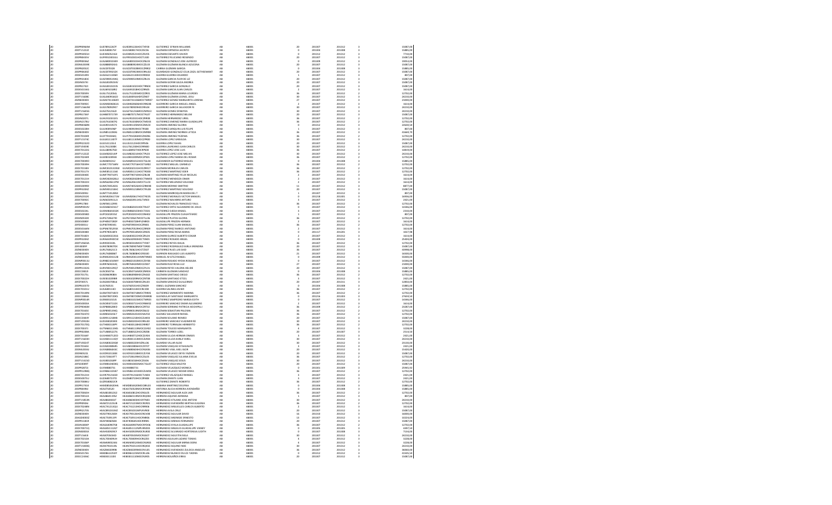| 20<br>20       | 20DPR0964M               | GUEF8912267F                 | GUXE891226HOCTXF00 | <b>GUTIERREZ EFRAIN WILLIAMS</b>                                             | A <sub>R</sub>  | <b>AR001</b>          | 20                                            | 201307           | 201312           |                         |
|----------------|--------------------------|------------------------------|--------------------|------------------------------------------------------------------------------|-----------------|-----------------------|-----------------------------------------------|------------------|------------------|-------------------------|
|                | 20DTV12222               | GUEJ5808175F                 | GUEJ580817HOC2SC06 | <b>GUZMAN ESPINOSA JACINTO</b>                                               | AB              | AB001                 | $\bf{0}$                                      | 201304           | 201308           |                         |
|                | 20DPR3055H               | GUEX85052163                 | GUEX850521HOCZSV05 | <b>GUZMAN ESESARTE XAVIER</b>                                                | AB              | AB001                 | $\mathbf{0}$                                  | 201312           | 201312           |                         |
| 20<br>20       | 20DPB0435V               | GUFR910301GU                 | GUFR910301HOCTLS00 | <b>GUTIERREZ FELICIANO ROSENDO</b>                                           | AB              | AB001                 | 20                                            | 201307           | 201312           | $\overline{\mathbf{3}}$ |
| 20             | 20DPR00362               | GUGA80010349                 | GUGA800103HOCZNL03 | GUZMAN GONZALEZ JOSE ALFREDO                                                 | AB              | AB001                 | $\mathbf 0$                                   | 201309           | 201312           |                         |
| 20             | 20DML0039E               | GUGB880924JG                 | GUGB880924MOCZZL03 | GUZMAN GUZMAN BLANCA AZUCENA                                                 | AB              | AB001                 | 20                                            | 201307           | 201312           | $\overline{\mathbf{3}}$ |
| 20             | 20DPB20520               | GUGC870328                   | GUGC870328MOCZRR02 | CARINA GUZMAN GARCIA                                                         | AB              | AB001                 | $\dot{\mathbf{0}}$                            | 201304           | 201308           |                         |
|                | 20DPR06302               | GUGC8709232X                 | GUGC870923MOCRNL02 | GUARDADO GONZALEZ CELIA ZAZIL GETHSEMANT                                     | <b>AR</b>       | <b>AR001</b>          |                                               | 201307           | 201312           | $\overline{3}$          |
| 20<br>20       | 20DES0149V               | GUGE62113069                 | GUGE621130HOCRRD02 | GUERRA GUERRA EDUARDO                                                        | AB              | AB001                 | $\begin{array}{c} 20 \\ 1 \end{array}$        | 201307           | 201312           |                         |
|                | 20DPR3183C               | GUGF890519AO                 |                    | <b>GUZMAN GARCIA FLOR DE LIZ</b>                                             | AB              | <b>AR001</b>          |                                               | 201307           |                  |                         |
| 20<br>20       |                          |                              | GUGF890519MOCZRL01 |                                                                              |                 |                       | $\begin{array}{c} 20 \\ 20 \end{array}$       |                  | 201312           | $\frac{3}{3}$           |
|                | 20DJN0374                | GUGG8109234V                 |                    | GUZMAN GOPAR GILDA ANDREA                                                    | AB              | AB001                 |                                               | 201307           | 201312           |                         |
| 20<br>20       | 20DPB1742                | GUGG83102235                 | GUGG831022HOCTRN04 | <b>GUTIERREZ GARCIA GONZALO</b>                                              | AB              | AR001                 | $\begin{array}{c} 20 \\ 2 \end{array}$        | 201307           | 201312           |                         |
|                |                          | GUGJ691018R2                 | GUGJ691018HOCZRN05 | <b>GUZMAN GARCIA JUAN CARLOS</b>                                             | AB              | AB001                 |                                               | 201307           | 201312           | $\overline{\mathbf{3}}$ |
| 20<br>20       | 20DST0059V               | GUGL7512054L                 | GUGL751205MOCZZR01 | <b>GUZMAN GUZMAN MARIA LOURDES</b>                                           | AB              | AB001                 | 36<br>30                                      | 201307           | 201312           | $\frac{2}{3}$           |
|                | 20DTV1608C               | GUGL840916GD                 | GUGL840916HDFZZN07 | GUZMAN GUZMAN LEONEL JOSU                                                    | AB              | AB001                 |                                               | 201307           | 201312           |                         |
|                | 202NE0040V               | GUGM741106K9                 | GUGM741106MOCTMR07 | GUTIERREZ GOMEZ MARGARITA LORENA                                             | AB              | AB001                 | $\overline{27}$                               | 201307           | 201312           |                         |
| 20<br>20       | 20DST0092C               | GUGM8206061A                 | GUGM820606HOCRRG08 | <b>GUERRERO GARCIA MIGUEL ANGEL</b>                                          | AB              | AB001                 | $\overline{2}$                                | 201307           | 201312           | $\overline{\mathbf{3}}$ |
| 20             |                          |                              |                    |                                                                              |                 | AB001                 | 30                                            |                  | 201312           |                         |
|                | 20DTV1663W               | GUGS780929K7                 | GUGS780929HOCRRL04 | GUERRERO GARCIA SALVADOR FE                                                  | AB              |                       |                                               | 201307           |                  |                         |
| 20             | 20DTV1645G               | GUGZ76121621                 | GUGZ761216MOCZMN13 | <b>GUZMAN GOMEZ ZENAYDA</b>                                                  | AB              | AB001                 | 30                                            | 201307           | 201312           | $\overline{\mathbf{3}}$ |
| 20             | 20DPB1736Y               | GUHB87071739                 | GUHB870717MOCTRL07 | GUTIERREZ HERNANDEZ BELEM                                                    | AB              | AB001                 | $^{20}$                                       | 201307           | 201312           |                         |
| 20             | 20DJN0207L               | GUHU910331E5                 | GUHU910331HOCZRR08 | <b>GUZMAN HERNANDEZ URIEL</b>                                                | AB              | AB001                 | 36                                            | 201307           | 201312           | $\overline{a}$          |
| 20             | 20DJN2178U               | GUJG7610307G                 | GUJG761030MOCTMD03 | GUTIERREZ JIMENEZ MARIA GUADALUPE                                            | AB              | AB001                 | 36                                            | 201307           | 201312           | $\overline{a}$          |
| 20<br>20       | 20DPR0368N               | GUIG90110573                 | GUJG901105MOCZML03 | GUZMAN JIMENEZ GLORIA                                                        | <b>AR</b>       | <b>AR001</b>          | $\mathbf 0$                                   | 201312           | 201312           | $\overline{a}$          |
|                | 20DES0228H               | GUJL9009196P                 | GUJL900919HOCTRS08 | <b>GUTIERREZ JARQUIN LUIS FELIPE</b>                                         | AB              | AB001                 | $\,$ 1                                        | 201307           | 201312           | 3                       |
|                | 20ZNE0040V               | GUJN8512283G                 | GUJN851228MOCZMR08 | <b>GUZMAN JIMENEZ NORMA LETICIA</b>                                          | AB              | <b>AR001</b>          | 36                                            | 201307           | 201312           | 3                       |
| 20<br>20       | 20DST0104R               | GUJY791026IQ                 | GUJY791026MOCZMZ06 | <b>GUZMAN JIMENEZ YEZENIA</b>                                                | AB              | AB001                 | 36                                            | 201307           | 201312           | $\overline{a}$          |
|                | 20DTV1574C               | GULG8111307Y                 | GULG811130MOCZPR00 | <b>GUZMAN LOPEZ GRISELDA</b>                                                 | AB              | AB001                 | 30                                            | 201307           | 201312           | 3                       |
| 20<br>20       | 20DPR2232O               | <b>GULIS31123LK</b>          | GULI531123HOCRPS06 | <b>GUERRA LOPEZ ISAIAS</b>                                                   | AB              | AB001                 | 20                                            | 201307           | 201312           | $\overline{\mathbf{3}}$ |
|                |                          |                              |                    |                                                                              |                 |                       |                                               |                  |                  |                         |
| 20             | 20DTV0459E               | GULJ7612308X                 | GULJ761230HOCRRN00 | GUERRA LAUREANO JUAN CARLOS                                                  | AB              | AB001                 | 30                                            | 201307           | 201312           |                         |
| 20             | 20DST0122G               | GULL6809276D                 | GULL680927HOCRPS00 | <b>GUERRA LOPEZ JOSE LUIS</b>                                                | AB              | AB001                 | 36                                            | 201307           | 201312           | $\overline{a}$          |
| 20             | 20DTV12222               | GULM820214IP                 | GULM820214HOCTPL03 | <b>GUTIERREZ LOPEZ JOSE MELVIS</b>                                           | AB              | AB001                 | 30                                            | 201307           | 201312           |                         |
| 20<br>20       | 20DST0244R               | GULR831009IR                 | GULD831009MOC2PS01 | GUZMAN LOPEZ MARIA DEL ROSAR                                                 | <b>AR</b>       | <b>AR001</b>          | $\begin{array}{c} 36 \\ 0 \end{array}$        | 201307           | 201312           | $\overline{z}$          |
|                | 20DST0049Q               | GUMA891012                   | GUMA891012HOCTGL04 | ALEXANDER GUTIERREZ MIGUEL                                                   | AB              | AB001                 |                                               | 201304           | 201308           | 3                       |
| 20<br>20       | 20DST0039H               | GUMC770716RV                 | GUMC770716HOCTGR02 | <b>GUTIERREZ MIGUEL CARMELO</b>                                              | AB              | <b>AR001</b>          | 36                                            | 201307           | 201312           | $\overline{a}$          |
|                | 20DST0158V               | GUMC810131NW                 | GUMC810131HOCZRR17 | <b>GUZMAN MORALES CARLOS</b>                                                 | AB              | AB001                 | 36                                            | 201307           | 201312           | $\overline{\mathbf{2}}$ |
| 20             | 20DST0117V               | GUME8511116E                 | GUME851111HOCTRD00 | <b>GUTIERREZ MARTINEZ EDER</b>                                               | AB              | AB001                 | 36                                            | 201307           | 201312           | $\overline{2}$          |
| $_{20}$        | 20DES00408               | GUMF790710FS                 | GUMF790710HOCZRL08 | <b>GUZMAN MARTINEZ FELIX NICOLAS</b>                                         | AB              | AB001                 |                                               | 201307           | 201312           | $\overline{\mathbf{3}}$ |
|                |                          |                              |                    |                                                                              | AB              | AB001                 | $\begin{smallmatrix}2\\2\\2\end{smallmatrix}$ | 201307           |                  |                         |
| --<br>20<br>20 | 20DST0121H               | GUMO820428LU                 | GUM0820428HOCTNM03 | GUTIERREZ MENDOZA OMAR                                                       |                 |                       |                                               |                  | 201312           |                         |
|                | 20DST0022H               | GUMS620611PW                 | GUMS620611MOCTLL03 | <b>GUTIERREZ MELENDEZ SOLEDAD</b>                                            | AB              | AB001                 | $\overline{2}$                                | 201307           | 201312           | $\overline{\mathbf{3}}$ |
| 20             | 20DES0099D               | GUMS74052655                 | GUMS740526HOCZRM08 | <b>GUZMAN MERINO SIMITRIO</b>                                                | AB              | AB001                 | $\overline{11}$                               | 201307           | 201312           |                         |
|                | 200PR32042               | GUMS901218AC                 | GUMS901218MOCTRL08 | GUTIERREZ MARTINEZ SOLEDAD                                                   | <b>AR</b>       | <b>AR001</b>          | 20                                            | 201307           | 201312           | $\overline{\mathbf{a}}$ |
| 20<br>20       | 20DES0093J               | GUMT7101285X                 |                    | GUZMAN MARROQUIN MARIA DEL T                                                 | AB              | AB001                 | $\overline{\mathbf{1}}$                       | 201307           | 201312           |                         |
|                | 20DJN2352K               | GUMV8206171W                 | GUMV820617HOCTRCOS | <b>GUTIERREZ MORALES VICTOR MANUEL</b>                                       | AB              | <b>AR001</b>          |                                               | 201218           | 201301           |                         |
| 20<br>20       | 20DST0092C               | GUNA650911LA                 | GUNA650911HSLTVR03 | GUTIERREZ NAVARRO ARTURO                                                     | AB              | AB001                 | $\begin{smallmatrix}0\\3\end{smallmatrix}$    | 201307           | 201312           | 3<br>3                  |
|                |                          | GUNF84112993                 |                    |                                                                              | AB              | <b>AR001</b>          |                                               | 201307           | 201312           |                         |
| 20<br>20       | 20DPR1784                | GU0A860101G7                 | GUOA860101HOCTRL07 | <b>GUZMAN NOVALES FRANCISCO YALIL<br/>GUTIERREZ ORTIZ ALEJANDRO DE JESUS</b> | AB              | AB001                 | $\begin{array}{c} 36 \\ 0 \end{array}$        | 201307           | 201312           | $\frac{2}{3}$           |
|                | 20DES0224L               |                              |                    |                                                                              |                 |                       |                                               |                  |                  |                         |
| 20<br>20       |                          | GUOM8601032K                 | GUOM860103HOCTJS01 | GUTIERREZ OJEDA MISAEL                                                       | AB              | <b>AR001</b>          | $\begin{array}{c} 3 \\ 1 \end{array}$         | 201307           | 201312           | $\frac{3}{3}$           |
|                | 20DES0058D               | GUPC810201SZ                 | GUPC810201HOCDNH02 | <b>GUADALUPE PINZON CUAUHTEMOC</b>                                           | AB              | AB001                 |                                               | 201307           | 201312           |                         |
|                | 20DJN0550X               | GUPG720627ID                 | GUPG720627MOCTLL06 | <b>GUTIERREZ PLATAS GLORIA</b>                                               | AB              | AB001                 |                                               | 201307           | 201312           |                         |
| 20<br>20       | 20DES00808               | GUPH850728DF                 | GUPH850728HPLDNR03 | <b>GUADALUPE PINZON HERNAN</b>                                               | AB              | <b>AR001</b>          | $\begin{array}{c} 36 \\ 2 \end{array}$        | 201307           | 201312           | $\frac{2}{3}$           |
| 20             | 20FE10001L               | GUPJ87090341                 | GUPJ870903HOCZRN01 | <b>GUZMAN PEREZ JUAN MANUEL</b>                                              | AB              | AB001                 | 36                                            | 201307           | 201312           | $\overline{a}$          |
| 20<br>20       | 20DES0164N               | GUPM6705291K                 | GUPM670529HOCZRR09 | <b>GUZMAN PEREZ MARCO ANTONIO</b>                                            | AB              | <b>AR001</b>          | $\begin{smallmatrix}2\\0\end{smallmatrix}$    | 201307           | 201312           | $\overline{\mathbf{3}}$ |
|                | 20DES0048X               | GUPR790518FX                 | GUPR790518MOCZRS05 | GUZMAN PEREZ ROSA MARIA                                                      | AB              | AB001                 |                                               | 201117           | 201201           |                         |
|                | 20DST0182V               | GUQA830222G6                 | GUQA830222HOCZRL04 | <b>GUZMAN QUIROZ ALBERTO EDGAR</b>                                           | AB              | <b>AR001</b>          |                                               | 201307           | 201312           |                         |
| 20<br>20       | 20DPR32042               | GURA650930CW                 | GURA650930HOCTSN01 | GUTIERREZ ROSADO ANGEL                                                       | AB              | AB001                 | $\begin{array}{c} 2 \\ 0 \end{array}$         | 201309           | 201312           | $\frac{3}{3}$           |
|                |                          |                              | GURI930310MOCTYD07 | <b>GUTIERREZ REYES IDALIA</b>                                                | AB              | AR001                 |                                               | 201307           |                  |                         |
| 20<br>20       | 20DTV0603A               | GURI930310IL                 | GURK780907MDFTDR00 |                                                                              |                 |                       | $\begin{array}{c} 36 \\ 20 \end{array}$       |                  | 201312           | $\frac{2}{3}$           |
|                | 20FJI0009Y               | GURK780907DX                 |                    | GUTIERREZ RODRIGUEZ KARLA ERENDIRA                                           | AB              | AB001                 |                                               | 201307           | 201312           |                         |
| 20<br>20       | 202NE0040V<br>202NE0040V | GURL760621C3                 | GURL760621HOCT2S07 | GUTIERREZ RUIZ LUIS SAID                                                     | AB              | AB001                 | $\begin{array}{c} 36 \\ 21 \end{array}$       | 201307           | 201312           | $\frac{3}{3}$           |
|                |                          | GURL7608086T                 | GURL760808HOCRSS00 | <b>GURRION RASGADO LUIS ALBERTO</b>                                          | AB              | AB001                 |                                               | 201307           | 201312           |                         |
| 20<br>20       | 202NE0040V               | GURM4204112B                 | GURM420411HMNTNN03 | MANUEL M GTEZ RANGEL                                                         | AB              | AB001                 | $\begin{smallmatrix}0\\0\\0\end{smallmatrix}$ | 201309           | 201312           |                         |
|                | 20DNP0011U               | GURN821010MY                 | GURN821010MOCZSY08 | GUZMAN ROSADO NYDIA ROSALBA                                                  | AB              | AB001                 |                                               | 201307           | 201312           | $\overline{\mathbf{3}}$ |
| 20             | 202NE0040V               | GURR760424JQ                 | GURR760424MOCZZS07 | GUZMAN RUIZ ROSA LUZ                                                         | AB              | AB001                 | $\overline{27}$                               | 201307           | 201312           |                         |
| 20             | 20DPR1332G               | GURV940129Q7                 | GURV940129MOCZYL01 | <b>GUZMAN REYES VALERIA HELIDE</b>                                           | AB              | AB001                 | 20                                            | 201307           | 201312           | $\overline{\mathbf{3}}$ |
| 20             | 20DCC0822                | GUSC850716                   | GUSC850716MOCZNR04 | CARMEN GUZMAN SANCHEZ                                                        | AB              | AB001                 | $\bf{0}$                                      | 201304           | 201308           |                         |
| 20             | 20DST0175L               | GUSD860908IA                 | GUSD860908HOCZNG02 | <b>GUZMAN SANTIAGO DIEGO</b>                                                 | AB              | AB001                 | 36                                            | 201307           | 201312           | $\overline{a}$          |
| 20             | 20DST0022H               | GUSE810209BR                 | GUSE810209MOCZNT08 | <b>GUZMAN SANTIAGO ETCEL</b>                                                 | AB              | AB001                 |                                               | 201307           |                  |                         |
|                | 20E2E0057L               | GUSG830708L6                 | GUSGR30708HOC2NL03 | GUZMAN SANCHEZ GUILLERMO                                                     | <b>AR</b>       | <b>AR001</b>          | $\overline{\mathbf{3}}$                       | 201307           | 201312<br>201311 | 3<br>à                  |
| 20<br>20       |                          |                              |                    |                                                                              |                 |                       | $\frac{20}{0}$                                |                  |                  |                         |
|                | 20DPB1037D               | GUSI760531                   | GUSI760531HOCZNS09 | ISRAEL GUZMAN SANCHEZ                                                        | AB              | AB001                 |                                               | 201304           | 201308           | 3                       |
|                | 20DST0101U               | GUSJ680114CI                 | GUSJ680114HOCRLV08 | <b>GUERRA SALINAS JAVIER</b>                                                 | AB              | <b>AR001</b>          | 36                                            | 201307           | 201312           | $\overline{a}$          |
| 20<br>20       | 20DST0149N               | GUSM700718C9                 | GUSM700718MOCTRR05 | <b>GUTIERREZ SARMIENTO MARINA</b>                                            | AB              | AB001                 | 36                                            | 201307           | 201312           | $\overline{a}$          |
| 20<br>20       | 20DCC0846S               | GUSM780720KS                 | GUSM780720MOCNNR08 | <b>GUENDULAY SANTIAGO MARGARITA</b>                                          | AB              | AB001                 | $\mathbb O$                                   | 201216           | 201303           | 3                       |
|                | 20DNP0014R               | GUSN831015J5                 | GUSN831015MOCTMR03 | GUTIERREZ SAMPEDRO NARDA EDITH                                               | AB              | AB001                 | $\circ$                                       | 201307           | 201312           | $\overline{\mathbf{3}}$ |
| 20             | 20DES0003A               | GUSO850711EX                 | GUSO850711HOCRNM02 | GUERRERO SANCHEZ OMAR ALEJANDRO                                              | AB              | AB001                 | $\overline{a}$                                | 201307           | 201312           |                         |
| 20             | 20FZP0046M               | GUSP880628KD                 | GUSP880628MOCZRT02 | <b>GUZMAN SERRANO PATRICIA XOCHIPILLI</b>                                    | AB              | AB001                 | 36                                            | 201309           | 201312           | $\overline{a}$          |
| 20             | 20DST0165E               | GUSP8905194Q                 | GUSP890519MDFZBL02 | <b>GUZMAN SEBASTIAN PALOMA</b>                                               | AB              | AB001                 | 36                                            | 201307           |                  |                         |
|                | 20DST02470               | GUSR850325F7                 | GUSR850325HOCMLE02 | GUEMEZ SALVADOR RAFAEL                                                       | <b>AR</b>       | <b>AR001</b>          |                                               | 201307           | 201312<br>201312 | $\overline{z}$          |
| 20<br>20       |                          |                              |                    |                                                                              |                 |                       | $\frac{36}{20}$                               |                  |                  |                         |
|                | 20DCC0444Y               | GUSR911218HB                 | GUSR911218HOCZLM03 | <b>GUZMAN SOLANO ROMEO</b>                                                   | AB              | AB001                 |                                               | 201307           | 201312           | 3                       |
|                | 20DTV0910H               | GUSV840203KX                 | GUSV840203HOCRNL00 | GUERRERO SANCHEZ VLADIMIR RO                                                 | AB              | <b>AR001</b>          | 30                                            | 201307           | 201312           | $\overline{3}$          |
| 20<br>20       | 20DST0170Q               | GUTH830118PY                 | GUTH830118HOCRRR07 | <b>GUERRERO TORRALBA HERIBERTO</b>                                           | AB              | AB001                 | 36                                            | 201307           | 201312           | $\overline{\mathbf{2}}$ |
| 20             | 20DST0037J               | GUTM68111945                 | GUTM681119MOCZLR02 | <b>GUZMAN TOLEDO MARGARITA</b>                                               | AB              | AB001                 | $\sqrt{4}$                                    | 201307           | 201312           | 3                       |
| $_{20}$        | 20DPR0208A               | GUTU88052276                 | GUTU880522HOCZRZ08 | <b>GUZMAN TORRES UZIEL</b>                                                   | AB              | AB001                 | 20                                            | 201307           | 201307           | $\overline{\mathbf{3}}$ |
| --<br>20<br>20 | 20DST0164F               | GUUH840712ED                 | GUUH840712HOCZLR04 | GUZMAN ULLOA HERNAN ONASIS                                                   | AB              | AB001                 | $\frac{1}{2}$                                 | 201307           | 201312           |                         |
|                | 20DTV1603H               | GUUK841113QY                 | GUUK841113MOCZLR04 | <b>GUZMAN ULLOA KARLA YAREL</b>                                              | AB              | AB001                 | 30                                            | 201307           | 201312           | $\overline{\mathbf{3}}$ |
| 20             | 20DTV0024T               | GUVA800220Q9                 | GUVA800220HVZRLL06 | <b>GUARDIA VILLAR ALDO</b>                                                   | AB              | AB001                 | 30                                            | 201307           | 201312           |                         |
|                | 2005T0165F               | GUVAR1080695                 | GUVAR10806HOC2ST07 | GUZMAN VASOUEZ ATAHUALPA                                                     | <b>AR</b>       | <b>AR001</b>          | $\overline{a}$                                | 201307           | 201312           | ٩                       |
| 20<br>20       | 20DML0034J               | GUVA8806043C                 | GUVA880604HOCRGX06 | GUERRERO VIGIL AXEL IGOR                                                     | AB              | AB001                 | $\overline{20}$                               | 201307           | 201312           |                         |
|                | 2001N0522L               | GUVD9101183E                 | GUVD910118MOCZLY04 | <b>GUZMAN VELASCO DEYSI YAZMIN</b>                                           | AB              | <b>AR001</b>          |                                               | 201307           | 201312           |                         |
| 20<br>20       |                          |                              |                    |                                                                              |                 |                       | $\begin{array}{c} 20 \\ 36 \end{array}$       |                  |                  | $\frac{3}{2}$           |
|                | 20DJN2186C               | GUVJ720619TT                 | GUVJ720619MOCZSL05 | GUZMAN VASQUEZ JULIANA EVELIA                                                | AB              | AB001<br><b>AR001</b> |                                               | 201307<br>201307 | 201312           |                         |
| 20<br>20       | 20DTV14150<br>20FSE0009T | GUVJ801018PF<br>GUVM810403IQ | GUVJ801018HOCZSS06 | GUZMAN VASQUEZ JESUS<br>GUTIERREZ VEGA MILEYDI                               | AB              |                       | $\begin{array}{c} 30 \\ 20 \end{array}$       |                  | 201312           | 3                       |
|                |                          |                              | GUVM810403MOCTGL07 |                                                                              | AB              | AB001                 |                                               | 201307           | 201312           |                         |
|                |                          | GUVM880731                   | GUVM880731         | GUZMAN VELAZQUEZ MONICA                                                      | AB              | <b>AR001</b>          |                                               | 201301           | 201309           | $\frac{3}{2}$           |
| 20<br>20       | 20DPR2872J<br>20DPR1298Q | GUVN86110187                 | GUVN861101MOCZLM03 | <b>GUZMAN VELASCO NOEMI ERIKA</b>                                            | AB              | AB001                 | $\begin{array}{c} 0 \\ 36 \end{array}$        | 201307           | 201312           |                         |
| 20             | 20DST0121H               | GUVR791216SD                 | GUVR791216HOCTLN04 | GUTIERREZ VELAZQUEZ RANGEL                                                   | AB              | AB001                 | 3                                             | 201307           | 201312           |                         |
| 20             | 20DES0075U               | GUZJ680723TD                 | GUZJ680723HOCZRN08 | <b>GUZMAN ZARATE JUAN</b>                                                    | AB              | AB001                 | $\overline{3}$                                | 201307           | 201312           | $\overline{\mathbf{3}}$ |
| 20             | 20DST0084U               | GUZR580822CR                 |                    | <b>GUTIERREZ ZARATE ROBERTO</b>                                              | AB              | AB001                 | 36                                            | 201307           | 201312           | $\overline{2}$          |
|                | 20DPR1741K               | <b>HAMD850420HA</b>          | HEMD850420MOCBBL03 | HABANA MARTINEZ DELFINA                                                      | AB              | <b>AR001</b>          |                                               | 201304           | 201308           | $\overline{\mathbf{3}}$ |
| 20<br>20       | 20DPB0496                | <b>HEAA750520</b>            | HEAA750520MOCRVN08 | ANTONIA ALICIA HERRERA AVENDAÑO                                              | AB              | AB001                 | $\begin{smallmatrix}0\\0\\0\end{smallmatrix}$ | 201304           | 201308           |                         |
|                | 20DST0063H               | HEAA810812G2                 | HEAA810812HOCRGL05 | HERNANDEZ AGUILAR ALEX JAIR                                                  | AB              | <b>AR001</b>          |                                               | 201307           | 201312           |                         |
| 20<br>20       |                          |                              |                    |                                                                              |                 | AB001                 | $\begin{array}{c} 36 \\ 1 \end{array}$        | 201307           |                  | $\frac{2}{3}$           |
|                | 20DST0012A               | HEAA8601195Z                 | HEAA860119MOCRQD04 | HERRERA AQUINO ADRIANA                                                       | AB              |                       |                                               |                  | 201312           |                         |
| 20<br>20       | 20DTV1853N               | HFAA860403JT                 | HEAA860403HOCRTN03 | HERNANDEZ ATILANO JOSE ANTONI<br>HERNANDEZ AVENDAÑO BERTHA EUGENIA           | AB              | AR001                 | $\begin{array}{c} 30 \\ 36 \end{array}$       | 201307           | 201312           | $\frac{3}{2}$           |
|                | 20DPR0926J               | <b>HEAB721223UB</b>          | HEAB721223MOCRVR01 |                                                                              | AB              | AB001                 |                                               | 201307           | 201312           |                         |
| 20<br>20       | 20DST0248N               | <b>HEAC741213QU</b>          | HEAC741213HOCRRR06 | HERNANDEZ ARGUELLES CARLOS ALBERTO                                           | AB              | AB001                 | $\begin{smallmatrix}2\\20\end{smallmatrix}$   | 201307           | 201312           | $\frac{3}{3}$           |
|                | 20DPR2170S               | HEAC891031MZ                 | HEAC891031MPLRVR00 | HERRERA AVILA CRUZ                                                           | AB              | AB001                 |                                               | 201307           | 201312           |                         |
| 20<br>20       | 202NE0040V               | <b>HEAD790126SH</b>          | HEAD790126HOCRGV08 | HERNANDEZ AGUILAR DAVID                                                      | AB              | AB001                 | $16\,$                                        | 201310           | 201312           |                         |
|                | 20AGD00032               | HEAE7S09119Y                 | HEAE750911HOCRNR06 | HERNANDEZ ANDRADE ERNESTO                                                    | AB              | AB001                 | 13                                            | 201307           | 201312           | $\overline{\mathbf{3}}$ |
| 20             | 20DPR1181R               | HEAF90060584                 | HEAF900605HOCRRR05 | HERNANDEZ ARENAS FERNANDO                                                    | AB              | AB001                 | $\overline{20}$                               | 201307           | 201312           |                         |
| 20             | 20DJN1804P               | <b>HEAG640907SB</b>          | HEAG640907MOCRYD06 | HERNANDEZ AYALA GUADALUPE                                                    | AB              | AB001                 | 36                                            | 201307           | 201312           | $\overline{a}$          |
| 20             | 20DST0071Q               | HEAG851112GT                 | HEAG851112MPLRND03 | HERNANDEZ ANGELES GUADALUPE VIANEY                                           | AB              | AB001                 | $\bf{0}$                                      | 201305           | 201305           |                         |
| 20             | 20DNS0001K               | <b>HEAH500929CF</b>          | HEAH500929MOCRLR00 | HERNANDEZ ALVARADO HORTENSIA JUDITH                                          | AB              | AB001                 | $\theta$                                      | 201307           | 201308           | $\overline{\mathbf{3}}$ |
| 20             | 20DTV1643I               | HEAI8705034D                 | HEAI870503MOCRGS07 | HERNANDEZ AGUSTIN ISELA                                                      |                 | AB001                 |                                               |                  |                  |                         |
|                | 20DST0210A               | HEAL700409UH                 | HEAL200409HOCRG203 | HERRERA AGUILAR LAZARO TOMAS                                                 | AB<br><b>AR</b> | <b>AR001</b>          | 30<br>$\overline{4}$                          | 201307<br>201307 | 201312<br>201312 | $\overline{\mathbf{3}}$ |
| 20<br>20       |                          |                              |                    |                                                                              |                 |                       |                                               |                  |                  |                         |
|                | 20DST0106F               | HEAM6905244J                 | HEAM690524MOCRGR03 | HERNANDEZ AGUILAR MIRNA DORA                                                 | AB              | AB001                 | $\ddot{a}$                                    | 201307           | 201312           |                         |
| 20             | 20DTV1000Q               | <b>HEAN791011RL</b>          | HEAN791011HOCRQX02 | HERNANDEZ AQUINO NOE                                                         | AB              | <b>AR001</b>          | 30                                            | 201307           | 201312           | $\overline{3}$          |
| 20             | 20ZNE0040V               | HEAZ8402099B                 | HEAZ840209MOCRVL05 | HERNANDEZ AVENDAÑO ZULEICA ANGELES                                           | AB              | AB001                 | 36                                            | 201307           | 201312           | $\overline{\mathbf{3}}$ |
|                | 20DES0176S               | HEBD861225DY                 | HEBD861225MOCRLL06 | HERNANDEZ BLANCO DULCE YADIRA                                                | $\triangle$     | AB001                 | $\theta$                                      | 201312           | 201312           |                         |
|                | 20DCC2436C               | HEBE831110IE                 | HEBE831110MOCRLR05 | HERRERA BOLAÑOS ERIKA                                                        | AB              | AB001                 | 20                                            | 201307           | 201312           | $\overline{\mathbf{3}}$ |
|                |                          |                              |                    |                                                                              |                 |                       |                                               |                  |                  |                         |

# 15087,00 3 15885,00 3 7710,00 3 15087,00 3 19053,00 3 15087,00 3 15885,00 3 15087,00 3 807,00 3 15087,00 3 15087,00 3 15087,00 3 1614,00 2 12702,00 3 24210,00 3 21000,00 3 1614,00 3 24210,00 3 24210,00 3 15087,00 2 12702,00 2 12702,00 3 22630,50 3 807,00 3 41669,70 2 12702,00 3 24210,00 3 15087,00 3 24210,00 2 14819,00 3 24210,00 2 12702,00 3 15885,00 2 12702,00 2 12702,00 2 12702,00 3 1614,00 3 1614,00 3 1614,00 3 8877,00 3 15087,00 3 807,00 3 16936,00 3 2421,00 2 12702,00 3 14346,00 3 2310,00 3 807,00 2 12702,00 3 1614,00 2 12702,00 3 1614,00 3 1027,98 3 1614,00 3 25404,00 2 12702,00 3 15087,00 3 43998,00 3 16500,00 3 55000,00 3 14346,00 3 21000,00 3 15087,00 3 15885,00 2 12702,00 3 2421,00 3 12850,00 3 15885,00 2 12702,00 2 12702,00 3 27659,50 3 14346,00 3 1614,00 2 23287,00 2 12702,00 2 12702,00 3 15087,00 3 24210,00 2 12702,00 3 3228,00 3 2514,50 3 2421,00 3 24210,00 3 23130,00 3 2421,00 3 15420,00 3 15087,00 2 12702,00 3 24210,00 3 15087,00 3 25945,92 2 12702,00 3 2421,00 3 2421,00 2 12702,00 3 15885,00 3 15885,00 2 12702,00 3 807,00 3 24210,00 2 12702,00 3 1614,00 3 15087,00 3 16000,00 3 10224,00 3 15087,00 2 12702,00 3 4497,50 3 7134,00 3 24210,00 3 3228,00 3 3228,00 3 24210,00 3 36060,00 3 41505,50 3 15087,00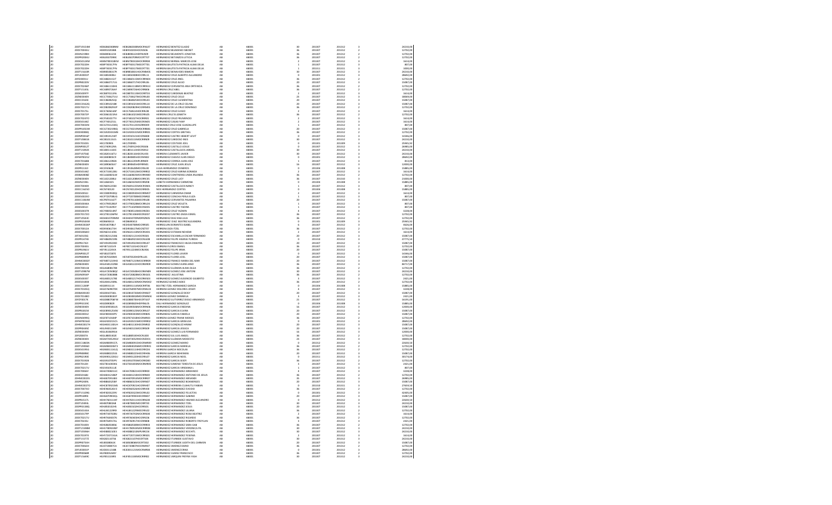|                                                         | 20DTV0154M<br>20DST0043U | HEBG860308NM                               | HEBG860308MOCRNL07                       | HERNANDEZ BENITEZ GLADIZ<br>HERNANDEZ BEJARANO ISBOSET                 |                 | AB001          |                                             | 201307           | 201312<br>201312 |                          | 24210,00<br>12702,00 |
|---------------------------------------------------------|--------------------------|--------------------------------------------|------------------------------------------|------------------------------------------------------------------------|-----------------|----------------|---------------------------------------------|------------------|------------------|--------------------------|----------------------|
| 20<br>20                                                |                          | HEBI910203BB                               | HEBI910203HOCRJS06                       |                                                                        | AB              | AB001          | $\begin{array}{c} 30 \\ 36 \end{array}$     | 201307           |                  |                          |                      |
| 20<br>20                                                | 20DJN2198H               | HEBJ80061234<br>HEBL850709KK               | HEBJ800612HDFRLN09                       | HERNANDEZ BELMONTE JONATAN                                             | AB<br>AB        | AB001          | $\frac{36}{36}$                             | 201307           | 201312           |                          | 12702,00             |
|                                                         | 20DPR2004U               |                                            | HEBL850709MOCRTT07                       | HERNANDEZ BETANZOS LETICIA                                             |                 | AB001          |                                             | 201307           | 201312           |                          | 12702,00             |
| 20                                                      | 20DES0124M               | <b>HEBM780318EM</b>                        | HEBM780318HOCRRR04                       | HERNANDEZ BERNAL MARCOS JOSE                                           | AB              | AB001          |                                             | 201307           | 201312           |                          | 1614,00              |
|                                                         | 20DST0220H               | HEBP740317FN                               | HEBP740317MOCRTT01                       | HERRERA BAUTISTA PATRICIA ALMA DELIA                                   | AB              | AB001          | $\overline{1}$                              | 201307           | 201312           |                          | 807.00               |
| 20<br>20                                                |                          | HEBP740317FN                               | HEBP740317MOCRTT01                       |                                                                        |                 | AB001          |                                             |                  | 201311           |                          | 1000,00              |
|                                                         | 20DST0220H               |                                            |                                          | HERRERA BAUTISTA PATRICIA ALMA DELIA                                   | AB              |                |                                             | 201311           |                  |                          |                      |
| 20<br>20                                                | 20DTV1610R<br>20FUE0001P | HEBR8508317R<br>HECA850408LI               | HEBR850831HOCRNM05                       | HERNANDEZ BENAVIDES RAMON                                              | AB              | <b>AR001</b>   | $\begin{array}{c} 30 \\ 0 \end{array}$      | 201307           | 201312           |                          | 24210.00             |
|                                                         |                          |                                            | HECA850408HOCRRL11                       | HERNANDEZ CRUZ ALBERTO ALEJANDRO                                       | AB              | AB001          |                                             | 201301           | 201312           |                          | 28692,00             |
| 20<br>20                                                | 20FE10001U<br>20DPB0220V | HECA860115JT<br>HECA860717LG               | HECA860115MOCRRN04                       | HERNANDEZ CRUZ ANEL<br>HERNANDEZ CRUZ ALEJO                            | AB<br>AB        | <b>AR001</b>   | $\frac{36}{20}$                             | 201307<br>201307 | 201312           | $\overline{ }$           | 12702,00<br>15087,00 |
|                                                         |                          |                                            | HECA860717HOCRRL06                       |                                                                        |                 | AB001          |                                             |                  | 201312           |                          |                      |
| 20<br>20                                                | 20DST0246P               | HECA861118HE<br>HECA890726AF               | HECA861118MOCRRN13                       | HERNANDEZ CERVANTES ANA ORTENCIA<br>HERRERA CRUZ ABEL                  | AB<br>AB        | AB001          | 36<br>36                                    | 201307<br>201307 | 201312           |                          | 12702,00             |
|                                                         | 20DTV1145L               |                                            | HECA890726HOCRRB06                       |                                                                        |                 | AB001          |                                             |                  | 201312           |                          | 12702,00             |
|                                                         | 20DES0097F               | HECB870113F6<br>HECC730627UU               | HECB870113MOCRRT03                       | HERNANDEZ CARDENAS BEATRIZ                                             |                 | AB001          |                                             |                  | 201312           |                          | 1614,00              |
| 20<br>20                                                | 20ZNE0040V               |                                            | HECC730627MOCRRL00                       | HERNANDEZ CRUZ CIELO                                                   | AB<br>AB        | AB001          | $\frac{2}{23}$                              | 201307<br>201307 |                  |                          |                      |
|                                                         |                          |                                            |                                          |                                                                        |                 |                |                                             |                  | 201312           |                          | 18069,00             |
| 20<br>20                                                | 20DCC0169J               | HECC860825QJ                               | HECC860825MOCRRL03                       | HERNANDEZ CRUZ CLEMENTINA                                              | AB              | AB001          | 20                                          | 201307           | 201312           |                          | 15087,00             |
|                                                         | 20DCC0162Q               | <b>HECC891021BK</b>                        | HECC891021MOCRRL14                       | HERNANDEZ DE LA CRUZ CELINA                                            | AB              | AB001          | 20                                          | 201307           | 201312           |                          | 15087.00             |
| 20                                                      | 20DST0217U               | <b>HECD820829UF</b>                        | HECD820829HOCRRM01                       | HERNANDEZ DE LA CRUZ DOMINGO                                           | AB              | AB001          | 36                                          | 201307           | 201312           |                          | 12702,00             |
|                                                         | 20DST0175L               | <b>HECE760614AP</b>                        | HECE760614HOCRRL08                       | HERNANDEZ CRUZ ELISEO                                                  | AB              | AB001          | $\overline{2}$                              | 201307           | 201312           |                          | 1614.00              |
| 20<br>20<br>20<br>20                                    | 20DST0072P               | HECE861021N4                               | HECE861021MOCRRL05                       | HERRERA CRUZ EUZABETH                                                  | AB              | AB001          | 36                                          | 201307           | 201312           |                          | 12702,00             |
|                                                         | 20DST0247Q               | <b>HECF5810277V</b>                        | HECF581027HOCRRR01                       | HERNANDEZ CRUZ FRUMENCIO                                               | AB              | AB001          | $\overline{2}$                              | 201307           | 201312           |                          | 1614.00              |
|                                                         | 20DES0144Z               | HECF7401251L                               | HECF740125MOCRSN05                       | HERNANDEZ CASAS FANY                                                   | AB              | AB001          | $\overline{2}$                              | 201307           | 201312           |                          | 1614,00              |
|                                                         | 20DST0033N               |                                            | HECG701123HVZRRD09                       | HENANDEZ CRUZ JOSE GUADALUPE                                           | AB              | <b>AR001</b>   | $\overline{1}$                              | 201307           | 201312           |                          | 807.00               |
| 20<br>20                                                |                          | HECG7011234Q                               |                                          |                                                                        |                 |                |                                             |                  |                  |                          |                      |
|                                                         | 20DPR1053W               |                                            | HECG730219MOCRRB06                       | HERNANDEZ CRUZ GABRIELA                                                | $\overline{AB}$ | AB001          | 20                                          | 201307           | 201312           |                          | 15087,00             |
| 20<br>20                                                | 20DDI0008Q               | HECG920331MB                               | HECG920331MOCRRR01                       | HERNANDEZ CORTES GRETHEL                                               | AB              | AB001          | 36                                          | 201307           | 201312           | $\overline{ }$           | 12702,00             |
|                                                         | 20DNP0016F               | <b>HECH9101218T</b>                        | HECH910121HOCRSB08                       | HERNANDEZ CASTRO HEBERT LEVIT                                          | AB              | AB001          | $\theta$                                    | 201307           | 201312           |                          | 14346.00             |
| 20<br>20                                                | 20DTV0841B               | HECI810115U5                               | HECI810115MOCRRN09                       | HERNANDEZ CARDOSO INES                                                 | AB              | AB001          | 30                                          | 201307           | 201312           |                          | 24210,00             |
|                                                         | 20DST0103S               | <b>HECJ700905</b>                          | <b>HECJ700905</b>                        | HERNANDEZ COSTEDO JOEL                                                 | AB              | AB001          | $\overline{0}$                              | 201301           | 201309           |                          | 25945.92             |
| 20                                                      | 20DNP0012T               | HECJ740912RA                               | HECJ740912HOCRSS06                       | HERNANDEZ CASTILLO JOSUE                                               | AB              | AB001          | $\,$ 0 $\,$                                 | 201307           | 201312           |                          | 26985,00             |
|                                                         | 20DTV1092X               | <b>HECJ801113DE</b>                        | HECJ801113HOCRSR12                       | HERNANDEZ CASTILLEJOS JARDIEL                                          | AB              | AB001          | 30                                          | 201307           | 201312           |                          | 24210.00             |
| 20<br>20                                                | 20DTV0756E               | HECJ820116TU                               | HECJ820116HOCRLV03                       | HERRERA CLEMANTE JAVIER                                                | AB              | AB001          | 30                                          | 201307           |                  |                          | 24210,00             |
|                                                         | 20EMP00212               | HEC1840805C9                               | HECIRADROSHOCRHNO2                       | HERNANDEZ CHAVEZ JUAN DIEGO                                            | AB              | <b>AR001</b>   | $\circ$                                     | 201301           | 201312<br>201312 |                          | 28692.00             |
| 20<br>20                                                |                          |                                            |                                          |                                                                        |                 |                |                                             |                  |                  |                          |                      |
|                                                         | 20DST0168B               | HECJ8612296N                               | HECJ861229HPLRRN09                       | HERNANDEZ CORREA JUAN JOSE                                             | $\overline{AB}$ | AB001          | $\,$ 1                                      | 201307           | 201312           |                          | 813,00               |
| 20<br>20                                                | 202NE0040V               | HECJ890605A7                               | HECJ890605HDFRRN01                       | HERNANDEZ CRUZ JUAN JESUS                                              | AB              | AB001          | 16                                          | 201307           | 201312           |                          | 12000,00             |
|                                                         | 20DPR1132I               | <b>HECJ910628</b>                          | HECJ910628MOCRSL00                       | JULIA HERNANDEZ CISNEROS                                               | AB              | AB001          | $\circ$                                     | 201304           | 201308           |                          |                      |
| 20                                                      | 20DES0144Z               | HECK7104128U                               | HECK710412MOCRRR02                       | HERNANDEZ CRUZ KARINA SORAIDA                                          | AB              | AB001          | $\overline{2}$                              | 201307           | 201312           |                          | 1614,00              |
| $_{20}$                                                 | 20DBA00082               | <b>HECL66082SLW</b>                        | HECL660825MOCRNN00                       | HERNANDEZ CONTRERAS LINDA IRLANDA                                      | AB              | AB001          | 36                                          | 201307           | 201312           |                          | 12702.00             |
| 20                                                      | 202NE0040V               | HECL821208UJ                               | HECL821208MOCRRC05                       | HERNANDEZ CRUZ LUCY                                                    | AB              | AB001          | 36                                          | 201307           | 201310           |                          | 21000,00             |
|                                                         |                          |                                            |                                          | LIZBETH HERNANDEZ CARMONA                                              |                 |                |                                             |                  |                  |                          |                      |
| 20<br>20                                                | 20DJN2194L               | <b>HECL860325</b>                          | HECL860325MOCRRZ08                       |                                                                        | AB              | AB001          | $\overline{0}$                              | 201304           | 201308           |                          | 15885.00             |
|                                                         | 20DST0040X               | HECN691225BI                               | HECN691225MOCRSN01                       | HERNANDEZ CASTILLEJOS NANCY                                            | AB              | AB001          |                                             | 201307           | 201312           |                          | 807,00               |
|                                                         | 2000016250               | HECN740120                                 | HECN740120HOCRRX05                       | NOE HERNANDEZ CORTES                                                   | <b>AR</b>       | <b>AR001</b>   | $\Omega$                                    | 201304           | 201308           |                          | 15885.00             |
| 20<br>20                                                | 20DES0052J               | HECO800930QJ                               | HECO800930HOCRRM07                       | HERNANDEZ CARMONA OMAR                                                 | AB              | AB001          |                                             | 201307           | 201312           |                          | 1614,00              |
|                                                         | 20DES00230               |                                            | HECP720708MOCRNR02                       |                                                                        |                 | <b>AR001</b>   |                                             | 201307           | 201312           |                          | 807.00               |
| 2C<br>2C                                                | 20DCC1064W               | HECP720708UG<br>HECP8701167T               | HECP870116MOCRRL08                       | HERNANDEZ CONCHA PERLA ELIZA<br>HERNANDEZ CERVANTES PALMIRIA           | AB<br>AB        | AB001          | 20                                          | 201307           | 201312           |                          | 15087,00             |
|                                                         |                          |                                            |                                          |                                                                        |                 | <b>AR001</b>   |                                             | 201307           | 201312           |                          |                      |
| 20<br>20                                                | 20DES0044A<br>20DES0012I | HECV790528GF<br>HECY7510295Y               | HECV790528MOCRRL04<br>HECY751029MOCRSD05 | HERNANDEZ CRUZ VIOLETA<br>HERNANDEZ CASTRO YADIRA                      | AB<br>AB        | AB001          |                                             | 201307           | 201312           |                          | 807,00<br>807,00     |
|                                                         |                          |                                            |                                          |                                                                        |                 |                |                                             |                  |                  |                          |                      |
| 20<br>20                                                | 20DES0037R               | HECY800514NT<br>HECZ781106PM               | HECY800514MOCRR203                       | HERNANDEZ CRUZ YAZMIN<br>HERNANDEZ CASTRO ZAIDA EXMEL                  | AB<br>AB        | <b>AR001</b>   |                                             | 201307<br>201307 | 201312           |                          | 3228,00              |
|                                                         | 20DST0172O               |                                            | HECZ781106MOCRSD07                       |                                                                        |                 | AB001          | 36                                          |                  | 201312           |                          | 12702,00             |
|                                                         | 20DTV05430               | HEDA810709MM                               | HEDA810709MDFRZN05                       | HERNANDEZ DIAZ ANA LILIA                                               | AB              | AB001          | 36                                          | 201307           | 201312           |                          | 12702,00             |
| 20<br>20                                                | 20DPR3504W               | HEDB690413                                 | HEDB690413                               | HERNANDEZ DIAZ BEATRIZ ALEJANDRA                                       | AB              | AB001          | $\circ$                                     | 201301           | 201309           |                          | 25945,92             |
| 20                                                      | 20HMC0026                | <b>HEDIS40708LF</b>                        | HEDIS40708MOCRRS05                       | HERREGUIN DORANTES ISABEL                                              | AB              | AB001          |                                             | 201307           | 201312           |                          | 4626,00              |
|                                                         |                          |                                            | HEDI930617MOCRZT07                       | HERRERA DIZA ITZEL                                                     | AB              | <b>AR001</b>   |                                             | 201307           | 201312           |                          | 12702.00             |
| 20<br>20                                                | 20DST0012A<br>20DES0064O | HEDI9306173H<br>HEEN631110SS               | HEEN631110MOCRSH01                       | HERNANDEZ ESTEBAN NOHEMI                                               | AB              | AB001          | $\begin{array}{c} 36 \\ 2 \end{array}$      | 201307           | 201312           |                          | 1614,00              |
|                                                         |                          |                                            | HEEO821121HOCRSS01                       |                                                                        |                 | <b>AR001</b>   |                                             |                  |                  |                          |                      |
| 20<br>20                                                | 20TAI0135G<br>20DPR1474E | HEEO821121B6<br>HEFH8609219N               |                                          | HERNANDEZ ESCAMILLA OSCAR FERNANDO<br>HERNANDEZ FELIPE HIGINIA YURIDIA | AB<br>AB        |                | $\overset{20}{_{0}}$                        | 201307<br>201310 | 201312           |                          | 15087,00<br>47775,50 |
|                                                         |                          |                                            | HEFH860921MOCRLG08                       |                                                                        |                 | AB001          |                                             |                  | 201312           |                          |                      |
|                                                         | 20DPB1742                | <b>HEFH910922KD</b>                        | HEFH910922MOCRRL07                       |                                                                        |                 | AB001          |                                             |                  | 201312           |                          |                      |
| 20<br>20                                                | 20DST0045S               | HEFI871101V9                               | HEFI871101HOCRLS07                       | HERNANDEZ FRANCISCO HILDA OMAYRA                                       | AB<br>AB        | AB001          | $\begin{array}{c} 20 \\ 36 \end{array}$     | 201307<br>201307 | 201312           |                          | 15087,00<br>12702,00 |
|                                                         |                          | <b>HEFI911224VA</b>                        | HEFI911224MOCRLR06                       |                                                                        |                 | AB001          |                                             |                  | 201312           |                          | 15087,00             |
| 20<br>20                                                | 20DPB1961V<br>20DNP0012T | HEFJ8107287E                               |                                          | HERNANDEZ FELIPE IRMA<br>HERNANDEZ FLORES JAVIER                       | AB<br>AB        | AB001          | $\begin{array}{c} 20 \\ 0 \end{array}$      | 201307<br>201307 | 201312           |                          | 14346,00             |
| 20<br>20                                                | 20DPB0890                | HEFJ870320M4                               | HEFJ870320HDFRLL01                       | HERNANDEZ FLORES JOEL                                                  | AB              | AB001          | 20                                          | 201307           | 201312           |                          | 15087,00             |
|                                                         | 20HMC0002R               | HEFM871219H3                               | HEFM871219MOCRRR09                       | HERNANDEZ FRANCO MARIA DEL MAR                                         | AB              | AB001          | 20                                          | 201307           | 201312           |                          | 15087.00             |
| 20                                                      |                          |                                            | HEGAS81222HOCRMR09                       |                                                                        |                 |                | 36                                          |                  |                  |                          |                      |
|                                                         | 202NE0040V               | HEGA581222NB                               |                                          | HERNANDEZ GOMEZ AURELIANO                                              | AB              | AB001          |                                             | 201307           | 201312           |                          | 84717,00             |
| 20<br>20<br>20<br>20                                    | 20DST0011B               | <b>HEGA6808178K</b>                        |                                          | HERNANDEZ GUZMAN ALMA OLGA                                             | AB              | AB001          | 36                                          | 201307           | 201312           |                          | 12702.00             |
|                                                         | 20DTV0987W               | HEGA720508QZ                               | HEGA720508HOCRMN09                       | HERNANDEZ GOMEZ JOSE ANTONI                                            | AB              | AB001          | 30                                          | 201307           | 201312           |                          | 24210,00             |
|                                                         | 20DJN0954P               | <b>HEGA720828BB</b>                        | HEXA720828MOCRXG01                       | HERNANDEZ AGUSTINA                                                     | AB              | AB001          | 36                                          | 201307           | 201312           | $\overline{\phantom{a}}$ | 12702.00             |
|                                                         | 20DES0035T               | HEGA8012178E                               | HEGA801217HOCRMS03                       | HERNANDEZ GOMEZ AUSENCIO GILBERTO                                      | AB              | AB001          | $\overline{\mathbf{3}}$                     | 201307           | 201312           |                          | 2421,00              |
| 20<br>20                                                | 200E501838               | <b>HEGA841230NL</b>                        | HEGAR41230MOCRMD02                       | HERNADEZ GOMEZ AIDEE                                                   | AB              | <b>AR001</b>   | $\begin{array}{c} 36 \\ 0 \end{array}$      | 201307           | 201312           |                          | 12702.00             |
|                                                         | 20DCC1269F               | HEGB931114                                 | HEGB931114MOCRRT06                       | BEATRIZ ITZEL HERNANDEZ GARCIA                                         | AB              | AB001          |                                             | 201304           | 201308           |                          | 15885,00             |
|                                                         | 20DST0105Q               | <b>HEGD760907DK</b>                        | HEGD760907MOCRML03                       | HERRERA GOMEZ DOLORES JOSEFI                                           | AB              | AB001          | $\overline{4}$                              | 201307           | 201312           |                          | 3228.00              |
| 20<br>20                                                | 20DBA0010C               | <b>HEGD810726IL</b>                        | HEGD810726MOCRNS07                       | HERNANDEZ GONZALEZ DEISY                                               | AB              | AB001          | 20                                          | 201307           | 201312           |                          | 15087.00             |
|                                                         |                          |                                            |                                          |                                                                        |                 | AB001          | $\overline{3}$                              | 201307           |                  |                          |                      |
| 20<br>20                                                | 20DST01480               | HEGD8308183Y                               | HEGD830818MOCRMN04                       | HERRERA GOMEZ DANNIELA                                                 | AB              |                |                                             |                  | 201312           |                          | 2421,00              |
|                                                         | 20FZF0017K               | <b>HEGD880706FW</b>                        | HEGD880706HOCRTG07                       | HERNANDEZ GUTIERREZ DIEGO ARMANDO                                      | AB              | AB001          | 21                                          | 201307           | 201312           | в                        | 16191.00             |
| 20                                                      | 20DPR3159C               | HEGD890829                                 | HEGD890829HDFRNL05                       | DALI HERNANDEZ GONZALEZ                                                | AB              | AB001          | $\,$ 0 $\,$                                 | 201304           | 201308           |                          | 15885,00             |
| 20<br>20                                                | 202NE0040V               | <b>HEGE690506UA</b>                        | HEGE690506MOCRRN06                       | HERNANDEZ GARCIA ENEDINA                                               | AB              | AB001          | 16                                          | 201307           | 201312           |                          | 12000.00             |
|                                                         | 20DPB1815K               | HEGE8901254W                               | HEGE890125MOCRRL07                       | HERNANDEZ GARCIA ELVIRA                                                | AB              | AB001          | $20\,$                                      | 201307           | 201312           |                          | 15087,00             |
|                                                         | 20DEE00012               | HEGEROOSO3PV                               | <b>HEGEROO303MOCRRBOS</b>                | HERNANDEZ GARCIA FABIOLA                                               | AB              | <b>AR001</b>   |                                             | 201307           | 201312           |                          | 15087.00             |
| 20<br>20                                                | 20DJN0499Q               | HEGF8710184P                               | HEGF871018HOCRMR03                       | HERRERA GOMEZ FRANK MOISES                                             | $\overline{AB}$ | AB001          | $\begin{array}{c} 20 \\ 36 \end{array}$     | 201307           | 201312           |                          | 12702,00             |
|                                                         | 20FMP0016C               | HEGG920215C5                               | HEGG920215MOCRRR02                       | HERNANDEZ GARCIA GRISELDA                                              |                 | AB001          | $\circ$                                     | 201301           | 201312           |                          |                      |
| 20<br>20                                                |                          |                                            |                                          |                                                                        | AB              |                |                                             |                  |                  |                          | 28692,00<br>15087,00 |
|                                                         | 20HMC0017H               | <b>HEGH831130UH</b>                        | HEGH831130HOCRNR02<br>HEGJ940115MOCRRS09 | HERNANDEZ GONZALEZ HIRAM                                               | AB              | AB001<br>AB001 | 20                                          | 201307           | 201312           |                          | 15087,00             |
| 20                                                      | 20DPR0449Z               | <b>HEGJ940115KR</b>                        |                                          | HERNANDEZ GARCIA JESSICA                                               | AB              |                | $_{\rm 20}$                                 | 201307           | 201312           |                          |                      |
| $_{20}$                                                 | 202NE0040V               | HEGL810609G4                               |                                          | HERNANDEZ GOMEZ LUIS FERNANDO                                          | AB              | AB001          | 16                                          | 201307           | 201312           |                          | 12000.00             |
| 20                                                      | 20FIZ0007A               | HEGL8805302E                               | HEGL880530HOCRLS00                       | HERNANDEZ GIL LUIS ANGEL                                               | AB              | AB001          | 36                                          | 201307           | 201312           |                          | 12702,00             |
|                                                         | 202NE0040V               | HEGM730529GV                               | HEGM730529HOCRZD01                       | HERNANDEZ GUZMAN MODESTO                                               | AB              | AB001          | 23                                          | 201307           | 201312           |                          | 18000.00             |
| 20<br>20                                                | 20DCC1865N               | HEGM8009157L                               | HEGM800915HOCRMR09                       | HERNANDEZ GOMEZ MARIO                                                  | AB              | AB001          | $\ddot{\text{o}}$                           | 201312           | 201312           |                          | 22630,50             |
| 20<br>20                                                | 200TV00060               | HEGM840206T3                               | HEGM840206MOCRRR01                       | HERNANDEZ GARCIA MARIELA                                               | <b>AR</b>       | <b>AR001</b>   | 36<br>36                                    | 201307           | 201312           |                          | 12702.00             |
|                                                         | 20DES0195G               | HEGN831114LQ                               | HEGN831114HOCRRC04                       | HERRERA GARCIA NOCOLAS                                                 | AB              | AB001          |                                             | 201307           | 201312           |                          | 12702,00             |
|                                                         | 200PR08980               | HEGN88022555                               | HEGN880225HOCRRHO6                       | HERRERA GARCIA NEHEMIAS                                                |                 | <b>AR001</b>   |                                             | 201307           | 201312           |                          | 15087.00             |
| 2C<br>2C                                                | 20DPB2190E               | <b>HEGN901220GU</b>                        | HEGN901220HOCRRL07                       | HERNANDEZ GARCIA NOEL                                                  | AB<br>AB        | AB001          | $\overset{20}{_{0}}$                        | 201311           | 201312           |                          | 30174,00             |
|                                                         |                          |                                            | HEGS910705MOCRRD00                       |                                                                        |                 | <b>AR001</b>   |                                             |                  | 201312           |                          |                      |
| 20<br>20                                                | 20DST0192B<br>20DST0120  | HEGS910705PV<br>HEGT831003K6               | HEGT831003MOCRMR05                       | HERNANDEZ GARCIA SEIDY<br>HERNANDEZ GIMENO TERESITA DE JESUS           | AB<br>AB        | AB001          | 36<br>$\overline{\mathbf{3}}$               | 201307<br>201307 | 201312           |                          | 12702,00<br>2421,00  |
|                                                         |                          |                                            |                                          |                                                                        |                 |                |                                             |                  |                  |                          |                      |
| 20<br>20                                                | 20DST0217U               | HEGV810511JE<br>HEHA700821UC               |                                          | HERNANDEZ GARCIA VIRIDIANA L<br>HERNANDEZ HERNANDEZ ARMANDO            | AB<br>AB        | <b>AR001</b>   | $\frac{1}{4}$                               | 201307<br>201307 | 201312           |                          | 807,00               |
|                                                         | 20DST0065F               |                                            | HEHA700821HOCRRR00                       |                                                                        |                 | AB001          |                                             |                  | 201312           |                          | 3228,00              |
| 20                                                      | 20DES0168J               | HEHA8412186P                               | HEHA841218HOCRRN00                       | HERNANDEZ HERNANDEZ ANTONIO DE JESUS                                   | AB              | AB001          | 36                                          | 201307           | 201312           |                          | 12702,00             |
|                                                         | 20HMC0023S               | HEHA87091483                               | HEHA870914MOCRRR07                       | HERNANDEZ HERNANDEZ ARISANDI                                           | AB              | AB001          | 35                                          | 201307           | 201312           |                          | 26985.00             |
| 20<br>20                                                | 20DPR2409L               | <b>HEHB860325BF</b>                        | HEHB860325HOCRRN07                       | HERNANDEZ HERNANDEZ BOANERGES                                          | AB              | AB001          | $\mathbf{20}$                               | 201307           | 201312           |                          | 15087,00             |
|                                                         | 20HMC0027C               |                                            | HEHC870921HOCRRH07                       |                                                                        |                 | <b>AR001</b>   | $\Omega$                                    | 201310           | 201311           |                          | 27659.50             |
| 20<br>20                                                | 20DST00730               | HEHC870921MS<br>HEHE960526V3               | HEHE960526HOCRRV00                       | HERNANDEZ HERRERA CUAHUTLI FABIAN<br>HERNANDEZ HERNANDEZ EVODIO        | AB<br>AB        | AB001          | 36                                          | 201307           | 201312           |                          | 12702,00             |
|                                                         |                          |                                            | HEHF820322MOCRRL02                       |                                                                        |                 | <b>AR001</b>   |                                             |                  | 201312           |                          | 42405.00             |
| 20<br>20                                                | 20DTV1109G<br>20DPR1899J | HEHF8203229V<br>HEHG870903QL               |                                          | HERNANDEZ HERNANDEZ FELICITAS<br>HERNANDEZ HERNANDEZ GABINO            | AB<br>AB        |                | $\begin{smallmatrix}0\\20\end{smallmatrix}$ | 201301<br>201307 |                  |                          |                      |
|                                                         |                          |                                            | HEHG870903HOCRRB07                       |                                                                        |                 | AB001          |                                             |                  | 201312           |                          | 15087,00             |
| 20<br>20                                                | 20DPB1517L               | HEHH760111HF                               | HEHH760111HOCRRG00                       | HERNANDEZ HERNANDEZ HIGINIO ALEJANDRO<br>HERNANDEZ HERNANDEZ ITZEL     | AB<br>AB        | AB001          | $\,$ 0 $\,$                                 | 201312           | 201312           |                          | 22630,50<br>24210,00 |
|                                                         | 20DTV0493L               |                                            | HEHI870802MOCRRT00                       |                                                                        |                 | AB001          | 30                                          | 201307           | 201312           |                          |                      |
| 20<br>20                                                | 20DPR3138Q<br>20DES0143A | <b>HEHJ850102HS</b>                        | HEHJ850102HOCRRS01                       | HERNANDEZ HERNANDEZ JESUS                                              | AB              | AB001          | $\begin{array}{c} 20 \\ 36 \end{array}$     | 201307<br>201307 | 201312           |                          | 15087,00             |
|                                                         |                          | <b>HEHL841229RX</b>                        | HEHL841229MOCRRL02                       | HERNANDEZ HERNANDEZ LILIANA                                            | AB              | AB001          |                                             |                  | 201312           |                          | 12702,00             |
| 20<br>20                                                | 20DES0179P               | HEHR7307028U                               | HEHR730702MOCRRS00                       | HERNANDEZ HERNANDEZ ROSA BEATRIZ                                       | AB              | AB001          |                                             | 201307           | 201312           |                          | 1614,00              |
|                                                         | 20DST0217U               | HEHR76040376                               | HEHR760403HOCRRC06                       | HERNANDEZ HERNANDEZ RICARDO                                            | AB              | AB001          | 36                                          | 201307           | 201312           | $\overline{2}$           | 12702.00             |
|                                                         |                          | <b>HEHR760917AL</b>                        | HEHR760917HOCRRB08                       | HERNANDEZ HERNANDEZ ROBERTO FROYLAN                                    | AB              | AB001          |                                             | 201307           | 201312           |                          | 2421,00              |
|                                                         |                          |                                            |                                          | HERNANDEZ HERNANDEZ SARA GAB                                           | AB              | AB001          | 36                                          | 201307           | 201312           |                          | 12702.00             |
|                                                         | 20DST0235J               |                                            |                                          |                                                                        |                 | AB001          |                                             |                  |                  |                          |                      |
|                                                         | 20DST0100V               | <b>HEHS860508S6</b>                        | HEHS860508MOCRRR03                       |                                                                        |                 |                |                                             |                  |                  |                          |                      |
|                                                         | 20DTV1598M               | <b>HEHV780924NP</b>                        | HEHV780924MOCRRR08                       | HERNANDEZ HERNANDEZ VERONICA PA                                        | AB              |                | 30                                          | 201307           | 201312           |                          | 24210,00             |
|                                                         | 20DTV0596H               | HEHX880210E3                               | HEHX880210MPLRRC04                       | HERNANDEZ HERNANDEZ XOCHITL                                            | AB              | AB001          | 30                                          | 201307           | 201312           |                          | 24210.00             |
|                                                         | 20DST0197X               | <b>HEHY720715GA</b>                        | HEHY720715MOCRRS01                       | HERNANDEZ HERNANDEZ YESENIA                                            | AB              | AB001          | $\overline{2}$                              | 201307           | 201312           |                          | 1614,00              |
|                                                         | 20DTV15772               | HEIG82110756                               | HEIG821107HOCRTS04                       | HERNANDEZ ITURBIDE GUSTAVO                                             | <b>AR</b>       | <b>AR001</b>   | 30                                          | 201307           | 201312           |                          | 24210.00             |
|                                                         | 20DPR0754H               | <b>HEIJ8508061K</b>                        | HEIJ850806MOCRTD02                       | HERNANDEZ ITURBIDE JUDITH DEL CARMEN                                   | AB              | AB001          | $\overline{20}$                             | 201307           | 201312           |                          | 15087,00             |
|                                                         | 20DST0063H               | <b>HEJD720807CA</b>                        | HEJD720807HOCRMR07                       | HERNANDEZ JIMENEZ DARIO                                                | AB              | AB001          |                                             | 201307           | 201312           | $\overline{ }$           | 12702,00             |
|                                                         | 20FUE0001P               | HEJE831121BB                               | HEJE831121MOCRMR04                       | HERNANDEZ JIMENEZ ERIKA                                                | AB              | AB001          | 36<br>$\circ$                               | 201301           | 201312           |                          | 28692.00             |
| 20<br>20<br>20<br>20<br>20<br>20<br>20<br>20<br>$_{20}$ |                          |                                            |                                          |                                                                        |                 |                |                                             |                  |                  |                          |                      |
|                                                         | 20DPR0068F<br>20DTV1649C | <b>HEJF800526NY</b><br><b>HEJF851104RS</b> | HEJF851104MOCRRR02                       | HERNANDEZ JUAREZ FRANCISCO<br>HERNANDEZ JAROUIN FREYRA YASH            | AB<br>AB        | AB001<br>AB001 | 36<br>30                                    | 201307<br>201307 | 201312<br>201312 | $\overline{\mathbf{3}}$  | 12702,00<br>24210.00 |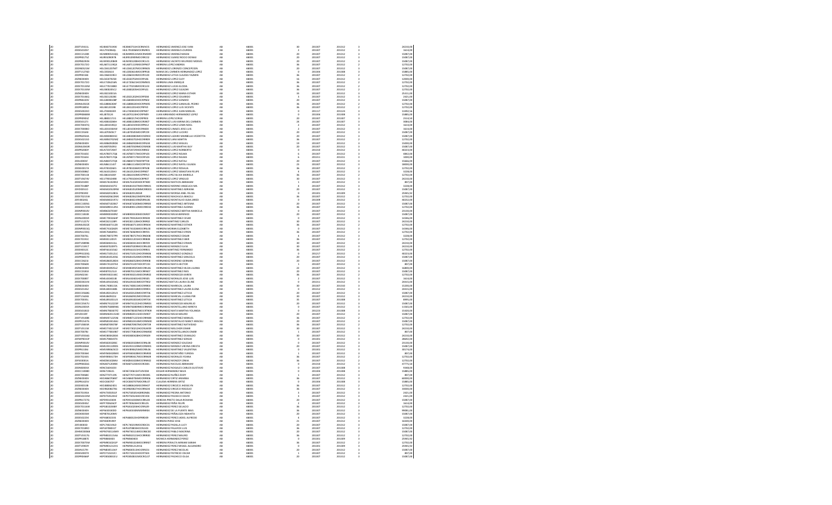| 20<br>20                                | 20DTV0411L<br>20DES0105Y | <b>HEJI840731NW</b><br><b>HEJL791006QL</b> | HEJI840731HOCRMVOS<br>HEJL791006MOCRMR01        | HERNANDEZ JIMENEZ JOSE IVAN<br>HERNANDEZ JIMENEZ LOURDES           | AR<br>AB        | AB001<br>AB001        | 30                                          | 201307<br>201307 | 201312<br>201312 |                          | 24210,00<br>1614,00  |
|-----------------------------------------|--------------------------|--------------------------------------------|-------------------------------------------------|--------------------------------------------------------------------|-----------------|-----------------------|---------------------------------------------|------------------|------------------|--------------------------|----------------------|
|                                         | 20DCC2128X               |                                            | HEJM890531MOCRMD09                              | HERNANDEZ JIMENEZ MADAI                                            | AB              | AR001                 |                                             | 201307           | 201312           |                          | 15087,00             |
| $\begin{array}{c} 20 \\ 20 \end{array}$ | 20DPR01752               | HEJM890531QQ                               | HEJR910909MOCRRC02                              | HERNANDEZ JUAREZ ROCIO DONAJI                                      | AB              | AB001                 | $\begin{array}{c} 20 \\ 20 \end{array}$     | 201307           | 201312           |                          | 15087,00             |
| 20                                      | 20DPB0293M               | HEJW90120849                               | HEJW901208HOCRCL01                              | HERNANDEZ JACINTO WILFRIDO MOISES                                  | AB              | AB003                 | 20                                          | 201307           | 201312           |                          | 15087,00             |
| 20                                      | 20DST0172Q               | <b>HELA871119QX</b>                        | HELA871119MOCRPN07                              | HERRERA LOPEZ ANDREA                                               | AB              | AB001                 | 36                                          | 201307           | 201312           | $\overline{2}$           | 12702.00             |
| $_{20}$                                 | 20DIN0521M               | <b>HELC841207MT</b>                        | HELC841207MOCRRN05                              | HERNANDEZ LORENZO CONCEPCION                                       | AB              | AB003                 | $\overline{20}$                             | 201307           | 201312           |                          | 15087,00             |
| $\overline{20}$<br>$\frac{1}{20}$       | 20DTV1276D<br>20DPR0158J | HELCBS0614<br>HELC860319E3                 | HELC850614MOCRPR18<br>HELC860319MOCRYL00        | MARIA DEL CARMEN HERNANDEZ LOPEZ<br>HERNANDEZ LEYVA CLAUDIA YAZMIN | <b>AR</b><br>AB | <b>AR001</b><br>AB003 | $\circ$<br>36                               | 201304<br>201307 | 201308<br>201312 |                          | 15885.00<br>12702,00 |
| $\overline{20}$                         |                          |                                            | HELE650702HOCRPL06                              |                                                                    | AB              | <b>AR001</b>          |                                             |                  | 201312           |                          | 12000.00             |
| 20                                      | 202NE0040V<br>20DST0172O | HELE65070258<br>HELE7206216N               | HELE720621HOCRMN01                              | HERNANDEZ LOPEZ ELOY<br>HERRERA LIMA ENRIQUE                       | AB              | AB00                  | $\begin{array}{c} 16 \\ 36 \end{array}$     | 201307<br>201307 | 201312           |                          | 12702.00             |
| 20                                      |                          |                                            | HELE770218MOCRCL03                              | HERNANDEZ LUCAS ELODIA                                             | AB              | <b>AR001</b>          |                                             | 201307           | 201312           |                          | 12702,00             |
| $\overline{20}$                         | 20DST0133M<br>20DST0133M | HELE770218BD<br>HELE800205C2               | HELE800205HOCRPL01                              | HERNANDEZ LOPEZ ELEAZAR                                            | AB              | AB001                 | 36<br>36                                    | 201307           | 201312           |                          | 12702,00             |
| 20                                      | 20ZNE0040\               | HELE8210015A                               |                                                 | HERNANDEZ LOPEZ MARIA ESTHER                                       | AB<br>AB        | ABOO*                 | 33                                          | 201307           | 201312           |                          | 25311,00             |
| 20                                      | 20DST0146Q               | <b>HELE821202BE</b>                        | HELE821202HOCRPD04                              | HERNANDEZ LOPEZ EDUARDO                                            |                 | AB001                 | $\overline{\mathbf{3}}$                     | 201307           | 201312           |                          | 2421,00              |
|                                         | 20DPB0220V               | <b>HELG840810BP</b>                        | HELG840810HOCRPN02<br>HELG880630HOCRPM05        | HERNANDEZ LOPEZ GENARO                                             | AB              | AB003                 | 20<br>36                                    | 201307           | 201312           |                          | 15087,00             |
| 20                                      | 20DML0022E               | <b>HELG880630AF</b>                        |                                                 | HERNANDEZ LOPEZ GAMALIEL PEDRO                                     | AB              | AB001                 |                                             | 201307           | 201312           | $\overline{\phantom{a}}$ | 12702.00             |
| 20                                      | 20DPR1805E<br>20DES00230 | HELI84120198<br><b>HELJ740402ER</b>        | HELI841201HOCPRPV0<br>HELI740402HOCRPN07        | HERNANDEZ LOPEZ LUIS VICENTE<br>HERNANDEZ LOPEZ JUAN MANUEL        | AB<br>AB        | AB003<br>AB001        | 36<br>$\circ$                               | 201307<br>201117 | 201312<br>201124 |                          | 12702,00<br>13492.56 |
| $^{20}$                                 | 20DPR0848W               | <b>HELJ870124</b>                          | HELJ870124HOCRPN09                              | JUAN ARMANDO HERNANDEZ LOPEZ                                       | AB              | AB003                 |                                             | 201304           | 201308           |                          | 15885,00             |
| 20                                      | 20DPR09032               | HELJ880217U1                               | HELJ880217HOCRPR03                              | HERRERA LOPEZ JORGE                                                | AB              | AB001                 | 20                                          | 201307           | 201307           |                          | 2514.50              |
| 20                                      | 20DES0127J               | <b>HELK8810284H</b>                        | HELK881028MOCRSR07                              | HERNANDEZ LUIS KARINA DEL CARMEN                                   | AB              | AB001                 | $^{24}$                                     | 201307           | 201307           |                          | 3084,00              |
| 20                                      | 2005T00470               | <b>HELL80101903</b>                        | HELLS01019HOCRPN12                              | HERNANDEZ LOPEZ LENIN NOEL                                         | AR              | <b>AR001</b>          | $\overline{2}$                              | 201307           | 201312           |                          | 1614.00              |
| $_{20}$                                 | 20DST0008Q               | <b>HELL831030AW</b>                        | HELL831030HOCRNS00                              | HERNANDEZ LINAJES JOSE LUIS                                        | AB              | AB001                 |                                             | 201307           | 201312           |                          | 1614,00              |
| 20                                      | 20DCC0169J               | <b>HELL870505C7</b>                        | HELL870505MOCRPC09                              | HERNANDEZ LOPEZ LUCERO                                             | AB              | <b>AR001</b>          | $\begin{array}{c} 20 \\ 20 \end{array}$     | 201307           | 201312           |                          | 15087.00             |
| 20                                      | 20DPB2054A               | HELM8308035C                               | HELM830803MOCRZR03                              | HERNANDEZ LAZARO MARBELLA VICENTITA                                | AB              | AB001                 |                                             | 201307           | 201312           |                          | 15087,00             |
| 20                                      | 20DES0215D               | HELM850702MZ                               | HELM850702HOCRRR09                              | HERNANDEZ LARA MARTIN                                              | AB              | AB001                 | 36                                          | 201307           | 201312           |                          | 12702,00             |
| 20                                      | 202NE0040V               | <b>HELM860928D8</b>                        | HELM860928HOCRPG04                              | HERNANDEZ LOPEZ MIGUEL                                             | AB              | AB001<br>AB003        | 19                                          | 201307           | 201312           |                          | 15000.00<br>15087,00 |
| 20                                      | 20DML0043F<br>20DPR2000Y | HELM8705091<br><b>HELN720729AT</b>         | HELM870509MOCRSR08<br>HELN720729HOCRRR02        | HERNANDEZ LUIS MARTHA ISUY<br>HERNANDEZ LOPEZ NORBERTO             | AB<br>AB        | AB001                 | 20<br>$\theta$                              | 201307<br>201310 | 201312<br>201312 |                          | 40223.00             |
| $^{20}$                                 | 20DST0165E               | HELN780717Q6                               | HELN780717MOCRPL03                              | HERNANDEZ LOPEZ NELMA                                              | AB              | AB001                 |                                             | 201307           | 201312           |                          | 4842,00              |
| 20                                      | 20DST0165E               | HELN780717Q6                               | HELN780717MOCRPL03                              | HERNANDEZ LOPEZ NELMA                                              | AB              | AB001                 | k.                                          | 201311           | 201311           |                          | 1000.00              |
| 20                                      | 20DLI0001F               | <b>HELN840727QX</b>                        | HELN840727MDFRPT00                              | HERNANDEZ LOPEZ NATALI                                             | AB              | AB001                 | 20                                          | 201307           | 201312           |                          | 15666,00             |
| 20                                      | 20ZNF0040V               | HELN861114IT                               | HELN861114MOCRPY04                              | HERNANDEZ LOPEZ NAYELI GUADA                                       | <b>AR</b>       | <b>AR001</b>          | 23<br>36                                    | 201307           | 201312           |                          | 18000.00             |
| $_{20}$                                 | 20DEE0017A               | <b>HELR781026ES</b>                        | HELR781026MOCRPS08                              | HERNANDEZ LOPEZ ROSALIA                                            | AB              | AB001                 |                                             | 201307           | 201312           |                          | 12702,00             |
| 20                                      | 20DES00862               | HELS610120A3                               | HELS610120HOCRPB07                              | HERNANDEZ LOPEZ SEBASTIAN FELIPE                                   | AB              | <b>AR001</b>          | $\overline{4}$                              | 201307           | 201312           |                          | 3228.00              |
| 20<br>20                                | 20DST0011E               | HELS8610106Y                               | HELS861010MOCPRPL0                              | HERRERA LOPEZ SILVIA MARIELA                                       | AB<br>AB        | AB001<br>AB001        | 36                                          | 201307           | 201312           |                          | 12702,00             |
| 20                                      | 20DTV0674V<br>20DES0100C | HELV79010498<br><b>HEMA761020K4</b>        | HELV790104HOCRPR07<br><b>HEMA761020HOCRTB00</b> | HERNANDEZ LOPEZ VIRGILIO<br>HERNANDEZ MATEOS ABRAHAM               | AB              | AB001                 | 30                                          | 201307<br>201307 | 201312<br>201312 |                          | 24210,00<br>807.00   |
| $20^{-1}$                               | 20DST0188F               | HEMA8101075I                               | HEMA810107MOCRRN01                              | HERNANDEZ MERINO ANGELICA MA                                       | AB              | AB003                 | $\frac{1}{4}$                               | 201307           | 201312           |                          | 3228,00              |
| 20                                      | 20FZI0051O               | <b>HEMA810520RW</b>                        | HEMA810520MMCRRD01                              | HERNANDEZ MARTINEZ ADRIANA                                         | AB              | AB001                 | 20                                          | 201307           | 201312           |                          | 15087.00             |
| $\overline{20}$                         | 20FZP0039C               | HEMA820128C6                               | HEMA820128C69                                   | HERNANDEZ MORGA ANEL FELISA                                        | AB              | AB003                 |                                             | 201301           | 201309           |                          | 25945,92             |
| 20                                      | 20DST0215W               | <b>HFMA820622MK</b>                        | HEMAR20622MDERCR03                              | HERNANDEZ MACHUCA ARACELL                                          | AR              | <b>AR001</b>          |                                             | 201307           | 201312           | $\overline{\phantom{a}}$ | 12702.00             |
| $\overline{20}$                         | 20FJI0024Q               | HEMA8402197U                               | HEMA840219MZSRNL06                              | HERNANDEZ MONTALVO ALBA JARED                                      | AB              | AB003                 | $\begin{array}{c} 36 \\ 0 \end{array}$      | 201309           | 201312           |                          | 40232,00             |
| 20                                      | 20DCC1005G<br>20DES0172W | HEMA87102067<br>HEMA890112N1               | HEMAR71020MOCRRR00                              | HERNANDEZ MARTINEZ ARTEMIA                                         | <b>AR</b>       | <b>AR001</b>          | $\begin{array}{c} 20 \\ 36 \end{array}$     | 201307           | 201312           |                          | 15087.00             |
| $\frac{1}{20}$                          |                          |                                            | HEMA890112MOCRRD02                              | HERNANDEZ MARTINEZ AUDINA                                          | AB              | AB001                 |                                             | 201307           | 201312           |                          | 12702,00             |
| $\overline{20}$                         | 20DNP0010V               | <b>HEMB6507034F</b>                        |                                                 | HERNANDEZ MENDEZ BERTHA MARCELA<br>HERNANDEZ MEJIA BERENICE        | AB              | <b>AR001</b>          | $\begin{smallmatrix}0\0\0\end{smallmatrix}$ | 201307           | 201312           |                          | 23130.00             |
| 20                                      | 20DCC1810K               | HEMB900330RZ                               | HEMB900330MOCRJR07                              |                                                                    | AB<br>AB        | AB001<br>AB001        |                                             | 201307           | 201312           |                          | 15087.00             |
| $\begin{array}{c} 20 \\ 20 \end{array}$ | 20DNL0001R<br>20DTV1227V | <b>HEMC790326HP</b><br><b>HEMC821128PI</b> | HEMC790326HOCRRS00<br>HEMC821128HOCRRR02        | HERNANDEZ MARTINEZ CESAR<br>HERRERA MARTINEZ CARLOS                | AB              | AB001                 | $\begin{array}{c} 0 \\ 30 \end{array}$      | 201307<br>201307 | 201312<br>201312 |                          | 14346,00<br>24210,00 |
| $_{20}$                                 | 20DML00228               | HEME6607112B                               | HEME660711MOCRRS04                              | HERNANDEZ MARTINEZ ESTHER                                          | AB              | AB003                 | 36                                          | 201307           | 201312           |                          | 12702,00             |
| 20                                      | 20DNP0015Q               | <b>HEME741026ER</b>                        | HEME741026MOCRRL00                              | HERRERA MORAN ELIZABETH                                            | AB              | AB001                 | $\circ$                                     | 201307           | 201312           |                          | 14346.00             |
| $\overline{20}$                         | 20DJN1233Q               | HEME760609S1                               | HEME760609HOCRRF01                              | HERNANDEZ MARTINEZ EFREN                                           | AB              | AB003                 | 36                                          | 201307           | 201312           |                          | 12702,00             |
| 20                                      | 2005T0076L               | <b>HFMF780727PR</b>                        | HEME780727HOCRND08                              | HERNANDEZ MENDEZ EDGAR                                             | <b>AR</b>       | <b>AR001</b>          |                                             | 201307           | 201312           |                          | 3228.00              |
| $\overline{20}$                         | 20DST0191C               | HEME811201FI                               | HEME811201HOCRRB08                              | HERNANDEZ MARTINEZ EBER                                            | AB              | AB003                 | $\overline{36}$                             | 201307           | 201312           |                          | 12702,00             |
| 20                                      | 20DTV0899B<br>20DTV1591T | <b>HEME840413LL</b><br>HEME870209TS        | HEME840413HOCRRF09<br>HEME870209MOCRNL00        | HERNANDEZ MARTÍNEZ EFRAIN<br>HERNANDEZ MENDEZ ELVIA                | AB              | <b>AR001</b>          | 30<br>30                                    | 201307           | 201312           |                          | 24210.00             |
| $\overline{20}$                         |                          |                                            |                                                 |                                                                    | $\overline{AB}$ | AB001                 |                                             | 201307           | 201312           |                          | 24210,00             |
| 20                                      | 20DDI0012C<br>20DPR3220Q | HEMF66101562<br>HEMG710512LC               | HEMF661015HOCRRR01                              | HERRERA MARTINEZ FERNANDO<br>HERNANDEZ MENDEZ GONZALO              | AB<br>AB        | <b>AR001</b>          | $\begin{array}{c} 36 \\ 0 \end{array}$      | 201307           | 201312           |                          | 12702.00             |
| 20                                      |                          |                                            | HEMG710512HOCRNN06                              |                                                                    |                 | AB001<br>AB003        |                                             | 201217           | 201312           |                          | 40223.00             |
| 20<br>20                                | 20DPR0857E               | HEMG81052056<br>HEMG860528D4               | HEMG810520MOCRRR05<br>HEMG860528HOCRRR08        | HERNANDEZ MARTINEZ GRACIELA<br>HERNANDEZ MORENO GERMAN             | AB<br>AB        | AB001                 | $\begin{array}{c} 20 \\ 20 \end{array}$     | 201307<br>201307 | 201312<br>201312 |                          | 15087,00<br>15087,00 |
|                                         | 20DST0060K               | HEMH741207E4                               | HEMH741207HOCRTC03                              | HERNANDEZ MATA HECTOR                                              |                 | AB003                 |                                             | 201307           | 201312           |                          | 807,00               |
| 20                                      | 202NE0040\               | <b>HEMH830925LZ</b>                        | HEMH830925MOCRRL06                              | HERNANDEZ MARTINEZ HILDA LILIANA                                   | AB<br>AB        | AB001                 | $\frac{1}{22}$                              | 201307           | 201312           |                          | 16800.00             |
| 20                                      | 20DCC0181E               | <b>HEMI870121LX</b>                        | HEMI870121MOCRRN07                              | HERNANDEZ MARTINEZ INES                                            | AB              | AB003                 | 20                                          | 201307           | 201312           |                          | 15087,00             |
| 20                                      | 20DJN0234                | <b>HEMK9302144C</b>                        | HEMK930214MOCRNR02                              | HERNANDEZ MENDOZA KAREN                                            | AB              | AB001                 | 36                                          | 201307           | 201312           | $\overline{\phantom{a}}$ | 12702.00             |
| $^{20}$                                 | 20DST00851               | HEML65040118                               | HEML650401HOCRRS05                              | HERNANDEZ MORALES JOSE LUIS                                        | AB              | AB001                 | $\overline{2}$                              | 201307           | 201312           |                          | 1614,00              |
| 20                                      | 20DEE0021N               | HEML691023AO                               | HEML691023MOCRTR02                              | HERNADEZ MATUS LAURA CELINE                                        | AB              | AB001                 | $\theta$                                    | 201311           | 201312           |                          | 24415.00             |
| $^{20}$                                 | 202NE0040V               | <b>HEML740811SA</b>                        | HEML740811MOCRRR03                              | HERNANDEZ MARISCAL LAURA                                           | AB              | AB001                 | 30                                          | 201307           | 201310           |                          | 15200,00             |
| 20                                      | 200ES01457               | HEMI 84031885                              | HEMI R40318MOCRRR01                             | HERNANDEZ MARTINEZ LAURA ELENA                                     | AR              | <b>AR001</b>          | $\Omega$                                    | 201312           | 201312           | ٩                        | 24415.00             |
| 20<br>20                                | 20DCC0568G<br>20DTV16269 | HEML850120U3<br>HEML860922JJ               | HEML850120MOCRRT06<br>HEML860922MOCRRL04        | HERNANDEZ MARTINEZ LETICIA<br>HERNANDEZ MARCIAL LILIANA PER        | AB<br><b>AR</b> | AB001<br><b>AR001</b> | 20                                          | 201307<br>201307 | 201312<br>201312 |                          | 15087,00<br>24210.00 |
| $_{20}$                                 | 20DST0035L               | HEML891001U3                               | HEML891001MOCRRT04                              | HERNANDEZ MARTINEZ LETICIA                                         | AB              | AB001                 | 30<br>35                                    | 201307           | 201308           |                          | 8995,00              |
|                                         | 20DCC0547L               | <b>HEMM7412223F</b>                        | HEMM741222HOCRNR03                              | HERNANDEZ MENDOZA MAURILIO                                         | AB              | AB003                 | $^{20}$                                     | 201307           | 201312           |                          | 15087,00             |
| 20                                      | 20DNL0001F               | HEMM76080946                               | HEMM760809MOCRNR00                              | HERNANDEZ MONTELLANO MIREYA                                        | AB              | AB001                 | $\circ$                                     | 201307           | 201312           |                          | 11565.00             |
| 20                                      | 20DES0181D               | HEMM780307FZ                               | HEMM780307MOCRTR09                              | HERNANDEZ MATA MARTHA YOLANDA                                      | AB              | AB003                 |                                             | 201223           | 201308           |                          | 15420,00             |
| 20                                      | 20FIZ0159F               | <b>HEMM820115HD</b>                        | HEMM820115HOCRJR07                              | HERNANDEZ MEJIA MAURO                                              | AB              | AB001                 | 20                                          | 201307           | 201312           |                          | 15087.00             |
| $_{20}$                                 | 20DTV0148                | <b>HEMM871225NJ</b>                        | HEMM871225HOCRRN08                              | HERNANDEZ MARTINEZ MANUEL                                          | AB              | AB001                 | $\frac{36}{20}$                             | 201307           | 201312           |                          | 12702,00             |
| 20                                      | 20DPR1547G               | <b>HEMN8104146U</b>                        | HEMN810414MOCRNN00                              | HERNANDEZ MONTALVO NANCY ARACELI                                   | AB              | AB001                 |                                             | 201307           | 201312           |                          | 15087.00             |
| $^{20}$<br>$\overline{20}$              | 20DTV0835F<br>20DTV0115K | <b>HEMN870907BF</b><br>HEMO730212UP        | HEMN870907MOCRRT09<br>HEMO730212HOCRLM09        | HERNANDEZ MARTINEZ NATIVIDAD<br>HERNANDEZ MELCHOR OMAR             | AB<br><b>AR</b> | AB001<br><b>AR001</b> | 36                                          | 201307<br>201307 | 201312<br>201312 | ۹                        | 12702,00<br>24210.00 |
| $_{20}$                                 | 20DST0078J               | HEMO770819B7                               | HEMO770819HOCRNM00                              | HERNANDEZ MONTELLANOS OMAR                                         | AB              | AB001                 | 30<br>$\,$ 1                                | 201307           | 201312           |                          | 807,00               |
| $_{20}$                                 | 20DTV05560               | HEMO80042834                               | HEMO800428HOCRRS09                              | HERNANDEZ MARTINEZ OSWALDO                                         | AB              | <b>AR001</b>          | 30                                          | 201307           | 201312           |                          | 24210,00             |
| $_{20}$                                 | 20FMP0015F               | HEMS79081974                               |                                                 | HERNANDEZ MARTINEZ SERGIO                                          | AB              | AB001                 | $\circ$                                     | 201301           | 201312           |                          | 28692,00             |
| 20                                      | 20DNP0010V               | <b>HEMS820328SC</b>                        | HEMS820328MOCRNL08                              | HERNANDEZ MENDEZ SOLEDAD                                           | AB              | AB001                 | $\theta$                                    | 201307           | 201312           |                          | 23130,00             |
| 20                                      | 20DPB1836X               | <b>HEMU931109DS</b>                        | HEMU931109MOCRNR01                              | HERNANDEZ MENDEZ URCINA ORESTA                                     | AB              | AB001                 | 20                                          | 201307           | 201312           |                          | 15087.00             |
| 20                                      | 20DPB1106J               | <b>HEMV890625CD</b>                        | HEMV890625MOCRRL06                              | HERNANDEZ MARTINEZ VALENTINA                                       | AB              | AB003                 | $\dot{\mathbf{0}}$                          | 201301           | 201312           |                          | 30174,00             |
| 20<br>$\overline{20}$                   | 20DST0036K<br>20DST02439 | <b>HEMY840428MX</b><br>HEMY8904173H        | HEMY840428MOCRNR00<br>HEMY890417MOCRRN09        | HERNANDEZ MONTAÑO YURIDIA<br>HERNANDEZ MORALES YOANA               | AB<br>AB        | AB001<br>AB003        | 36                                          | 201307<br>201307 | 201312<br>201312 |                          | 807.00<br>12702,00   |
| 20                                      | 20ESE0001A               | <b>HFM7841028AV</b>                        | HEM7841028MOCRNN02                              | HERNANDEZ MONZOY ZINIIA                                            | AR              | <b>AR001</b>          | 36                                          | 201307           | 201312           |                          | 12702.00             |
| $\overline{20}$                         | 20DPR0656G               | <b>HENA871204NX</b>                        | HENA871204HOCRCB01                              | HERNANDEZ NICOLAS ABRAHAM                                          | AB              | AB003                 |                                             | 201310           | 201312           |                          | 47775,50             |
| $\overline{20}$                         | 20DNS0001K               | HENC5604103I                               |                                                 |                                                                    | <b>AR</b>       | <b>AR001</b>          | $\Omega$                                    | 201307           | 201308           |                          | 9348.00              |
| $\overline{20}$                         | 20DCC1008D               | <b>HENE720615</b>                          | HENE720615HTLRVD04                              | HERNANDEZ NOGALES CARLOS GUSTAVO<br>EDGAR HERNANDEZ NAVA           | AB              | AB003                 | $\ddot{\text{o}}$                           | 201304           | 201308           |                          | 15885,00             |
| 20                                      | 20DST00680               | HENZ7707119S                               | HENZ770711MOCRXD05                              | HERNANDEZ NUÑEZ ZEIDY                                              | AB              | AB001                 |                                             | 201307           | 201312           |                          | 807,00               |
| 20                                      | 202NE0040V               | <b>HEOA860706NT</b>                        | HEQA860706MOCRRR06                              | HERNANDEZ ORTIZ ARIANNA                                            | AB              | AB001                 | 36                                          | 201307           | 201312           |                          | 60000.00             |
| $\overline{20}$                         | 20DPB1425V               | HEOC830707                                 | HEOC830707MOCRRL07                              | CLAUDIA HERRERA ORTIZ                                              | AB              | AB001                 | $\mathfrak{o}$                              | 201304           | 201308           |                          | 15885,00             |
| 20<br>20                                | 20DDI0013B<br>202NE0040V | HEQJ880624D1<br>HEOR820827B1               | HEOJ880624MOCRRH07<br>HEOR820827HOCRRG04        | HERNANDEZ OROZCO JHOSELYN<br>HERNANDEZ OROZCO ROGELIO              | AB<br>AB        | AB001<br>AB003        | 36<br>36                                    | 201307<br>201307 | 201312<br>201312 |                          | 12702.00<br>33000,00 |
| 20                                      | 20DST0193A               | <b>HEPA730505GF</b>                        | HEPA730505HGRRDN06                              | HERNANDEZ PIEDRA ANTONIO                                           | AB              | AB001                 | $\overline{3}$                              | 201307           | 201312           |                          | 2421.00              |
| $\overline{20}$                         | 20DES0223M               | HEPD750524HZ                               | HEPD750524HOCRCV04                              | HERNANDEZ PACHECO DAVID                                            | AB              | AB003                 |                                             | 201307           | 201312           |                          | 2421,00              |
| $\overline{20}$                         | 20DPR17270               | HEPD931030IX                               | HEPD931030MOCRRL00                              | HEREDIA PRIETO DALIA ROXANA                                        | <b>AR</b>       | <b>AR001</b>          |                                             | 201307           | 201312           |                          | 15087.00             |
| $\frac{1}{20}$                          | 20DES0045Z               | HEPF700626CP                               | HEPF700626HOCRXL05                              | HERNANDEZ PEÑA FELIPE                                              | AB              | AB003                 | $\begin{array}{c} 20 \\ 2 \end{array}$      | 201307           | 201312           |                          | 1614,00              |
| $\overline{20}$                         | 20DST0116W               | HEPG8102048Y<br>HEPI630330DD               | HEPG810204HOCRRL09                              | HERNANDEZ PEREZ GELACIO                                            | <b>AR</b>       | <b>AR001</b>          | 36<br>36                                    | 201307           | 201312           |                          | 12702.00             |
| $\overline{20}$                         | 202NE0040V               |                                            | HEPI630330MMSRNR04                              | HERNANDEZ DE LA PUENTE IRAIS                                       | AB              | AB003                 |                                             | 201307           | 201312           |                          | 99081.00             |
| 20<br>$\overline{20}$                   | 20EDI0035M               | HEPI870120MV<br>HEPJ6803233S               |                                                 | HERNANDEZ PEÑALOZA INDAHITA<br>HERNANDEZ PEREZ JADIEL ALFREDO      | AB<br>AB        | <b>AR001</b>          | 20                                          | 201307           | 201312           |                          | 15087,00<br>3228,00  |
|                                         | 20ZNE0040\               |                                            | HEPJ680323HDFRRD09                              |                                                                    |                 | AB001<br>ABOO*        |                                             | 201307<br>201307 | 201312<br>201312 |                          | 16500,00             |
| 20<br>20                                | 20FJI0003D               | HEPJ830919KY<br>HEPL740219LD               | HEPL740219MOCRDC01                              | HERRERA PEREZ JOSE<br>HERNANDEZ PADILLA LUCY                       | AB<br>AB        | AB001                 | $\begin{array}{c} 21 \\ 20 \end{array}$     | 201307           | 201312           |                          | 15087.00             |
|                                         | 20DST01890               | HEPL8708031T                               | HEPL870803HOCRLS03                              | HERNANDEZ PALAFOX LUIS                                             | AB              | AB003                 | 36                                          | 201307           | 201312           |                          | 12702,00             |
| $_{20}$                                 | 20HMC0006E               | HEPM740114M9                               | HEPM740114MOCRBC00                              | HERNANDEZ PABLO MACRINA                                            | AB              | AB001                 | 20                                          | 201307           | 201312           |                          | 15087,00             |
|                                         | 20DTV0317G               | HEPM810115A6                               | HEPM810115HOCRRR00                              | HERNANDEZ PEREZ MAURO                                              | AB              | AB003                 | 36                                          | 201307           | 201312           |                          | 12702,00             |
| 20                                      | 20DPR1887E               | HEPM840403                                 | HEPM840403                                      | MONICA HERNANDEZ PEREZ                                             | AB              | AB001                 | $\theta$                                    | 201301           | 201309           |                          | 25945.92             |
|                                         | 20DST0075M               | HEPM9010241P                               | HEPM901024MOCRRR07                              | HERRERA PERALTA MIRIAM SARAHI                                      | AB              | AB003                 | 36                                          | 201307           | 201312           |                          | 12702,00             |
| 20                                      | 20DTV0903Y<br>20DJN1579I | HEPM901212H1<br><b>HEPN830513AY</b>        | HEPM901212H16                                   | HERNANDEZ PEREZ MISAEL ALEJANDRO                                   | AB<br>AB        | AB001<br>AB001        | $\circ$<br>20                               | 201301<br>201307 | 201309           | $\overline{\mathbf{3}}$  | 25945.92<br>15087,00 |
| 20<br>20                                | 200E500078               | HFP0710222CL                               | HEPN830513HOCRRC01<br>HEPO710222HOCRTS04        | HERNANDEZ PEREZ NICOLAS<br>HERNANDEZ PATRICIO OSCAR                | AR              | <b>AR001</b>          | $\overline{1}$                              | 201307           | 201312<br>201312 |                          | 807.00               |
| 20                                      | 20DPR0466F               | HEPO850831EU                               | HEPO850831MOCRCL07                              | HERNANDEZ PACHECO OLGA                                             | AB              | AB001                 | 20                                          | 201307           | 201312           |                          | 15087,00             |
|                                         |                          |                                            |                                                 |                                                                    |                 |                       |                                             |                  |                  |                          |                      |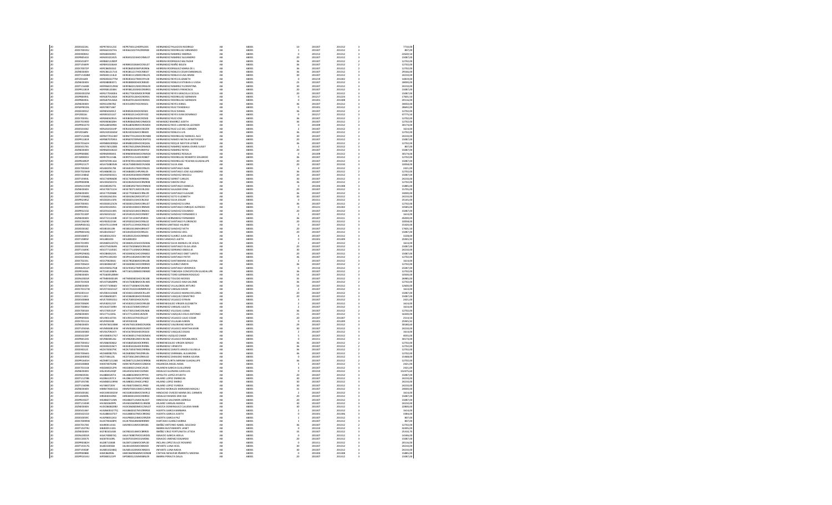| 20            | 20DES0224L               | HEPR7401121E                               | HEPR740112HDFRLD01                       | HERNANDEZ PALACIOS RODRIGO                                              | AB              | AB001          | 10                                             | 201307           | 201312           |                |
|---------------|--------------------------|--------------------------------------------|------------------------------------------|-------------------------------------------------------------------------|-----------------|----------------|------------------------------------------------|------------------|------------------|----------------|
| 20<br>20      | 20DST0019U               | HERA631027HL                               | HERA631027HVZRDR08                       | HERNANDEZ RODRIGUEZ ARMANDO                                             | <b>AR</b>       | <b>AR001</b>   | $\overline{1}$                                 | 201307           | 201312           |                |
|               | 20DDI0004U               | <b>HERA830309CI</b>                        |                                          | HERNANDEZ RAMIREZ ANDREA                                                | AB              | AB001          | $\circ$                                        | 201312           | 201312           |                |
| 20<br>20      | 20DPR0541E               | HFRA91022425                               | HERA910224HOCRML07                       | HERNANDEZ RAMIREZ ALEIANDRO                                             | AB              | <b>AR001</b>   | 20<br>36                                       | 201307           | 201312           |                |
|               | 20DES0187Y               | <b>HERB821228DF</b>                        |                                          | HERRERA RODRIGUEZ BALTAZAR                                              | AB              | AB001          |                                                | 201307           | 201312           | $\overline{2}$ |
| 20<br>20      | 20DTV0449Y<br>20DST0072P | HERB910106AX<br>HERC860503J2               | HERB910106MOCRXL07<br>HERC860503MPLRDR06 | HERNANDEZ RIAÑO BELEN<br>HERRERA RODRIGUEZ MARIA DE L                   | AB<br>AB        | AB001<br>AB001 | 36<br>36                                       | 201307<br>201307 | 201312<br>201312 |                |
|               |                          |                                            |                                          |                                                                         |                 | AB001          |                                                |                  | 201312           |                |
| 20<br>20      | 202NE0040V<br>20DTV1458M | HERC861217US<br>HERE841114L8               | HERC861217HOCRBS07<br>HERE841114MOCRBLOS | HERNANDEZ ROBLES CESAR EMMANUEL<br>HERNANDEZ ROBLES ELISA ARIAN         | AB<br>AB        | AB001          | 36<br>30                                       | 201307<br>201307 | 201312           |                |
| 20            | 20FIZ0164R               | HERE850227TM                               | HERE850227MOCRYL00                       | HERNANDEZ REYES ELIZABETH                                               | AB              | AB001          | $\rm ^{o}$                                     | 201219           | 201302           |                |
| 20            | 202NE0040V               | HERE88083071                               | HERE880830HOCRBS00                       | HERNANDEZ ROBLES ESTEBAN U UVISH                                        | AB              | AB001          | 23                                             | 201307           | 201312           |                |
| 20            | 20DTV1638X               | HERF860212NW                               | HERF860212MOCRML09                       | HERNANDEZ RAMIREZ FLORENTINA                                            | AB              | AB001          | 30                                             | 201307           | 201312           |                |
| 20            | 20DPR1181R               | <b>HERF881203BV</b>                        | HERF881203MOCRMR01                       | HERNANDEZ RAMOS FRANCISCA                                               | AB              | AB001          | $\overline{20}$                                | 201307           | 201312           |                |
| 20            | 20DEE0022M               | HERG770430E6                               | HERG770430MOCRYR08                       | HERNANDEZ REYES GRACIELA CECILIA                                        | AB              | AB001          | $\overline{20}$                                | 201307           | 201312           |                |
|               | 20DPR0493L               | HERGR70126SA                               | HERG870126HOCRDR01                       | <b>HERNANDEZ RODRIGUEZ GERMAIN</b>                                      | AB              | <b>AR001</b>   |                                                | 201217           | 201224           |                |
| 20<br>20      | 20DPB0493L               | <b>HERG870126SA</b>                        | HERG870126HOCRDR01                       | HERNANDEZ RODRIGUEZ GERMAIN                                             | $\overline{AB}$ | AB001          | $\begin{matrix} 0 \\ 0 \end{matrix}$           | 201301           | 201308           |                |
|               | 202NE0040V               | <b>HERIS10907BZ</b>                        | HEXI510907HOCRXS01                       | HERNANDEZ REYES ISRAEL                                                  | AB              | <b>AR001</b>   |                                                | 201307           | 201312           |                |
| 20<br>20      | 20FMP0019L               | HERI7807146T                               |                                          | HERNANDEZ RUIZ ITANDEHUI                                                | AB              | AB001          | 36<br>$\mathbf 0$                              | 201301           | 201312           |                |
|               | 20DEE0001Z               | <b>HERI850420CZ</b>                        | HERI850420HOCR2S03                       | HERNANDEZ RUIZ ISMAEL                                                   | AB              | AB001          |                                                | 201307           | 201312           |                |
| 20<br>$_{20}$ | 20FIZ0016I               | <b>HERI901011GT</b>                        | HERI901011HOCRYV02                       | HERNANDEZ REYES IVAN DOMINGO                                            | AB              | AB001          | 36<br>$\overline{0}$                           | 201217           | 201312           |                |
| 20            | 20DST0035L               | <b>HERJ840429VA</b>                        | HERJ840429HOCRZS00                       | HERNANDEZ RUIZ JOSE                                                     | AB              | AB001          | 36                                             | 201307           | 201312           |                |
| $_{20}$       | 20DST0190D               | <b>HERJ900602BH</b>                        | HERJ900602MOCRMD03                       | HENANDEZ RAMIREZ JUDITH                                                 | AB              | AB001          | 36                                             | 201307           | 201312           |                |
| 20            | 20DPR03270               | HERL6805099A                               | HERL680509MOCRSM04                       | HERNANDEZ RIOS LUMINOSA LEONOR                                          | AB              | AB00           | $\,$ 0 $\,$                                    | 201309           | 201312           |                |
| $_{20}$       | 20DES01042               | <b>HERL810531HP</b>                        | HERL810531MOCRZZ09                       | HERNANDEZ RUIZ LUZ DEL CARMEN                                           | AB              | AB001          | $\overline{2}$                                 | 201307           | 201312           |                |
| 20            | 20FI20168N               | <b>HERL920326SW</b>                        | HERL920326HOCRBS00                       | HERNANDEZ ROBLES LUIS                                                   | AB              | AB001          | 36                                             | 201307           | 201312           |                |
|               | 200TV1220F               | HERM770124KF                               | HERM770124HOCRON09                       | HERNANDEZ RODRIGUEZ MANUEL ALEI                                         | 4Ŕ              | <b>AR001</b>   |                                                | 201307           | 201312           |                |
| 20<br>20      | 20DPR1181F               | HERN87070955                               | HERN870709MOCRMT01                       | HERNANDEZ RAMOS NATALIA NATIVIDAD                                       | AB              | AB001          | $\begin{array}{c} 30 \\ 20 \end{array}$        | 201307           | 201312           |                |
|               | 20DST0162H               | HERN881009OH                               | HERN881009HOCROS06                       | HERNANDEZ ROQUE NESTOR LEYBER                                           | AB              | <b>AR001</b>   |                                                | 201307           | 201312           |                |
| 20<br>20      | 20DES0176S               | HERO76012085                               | HERO760120MVZRMS05                       | HERNANDEZ RAMIREZ MARIA OSIRIS SUGEY                                    | AB              | AB001          | $\begin{array}{c} 36 \\ 1 \end{array}$         | 201307           | 201312           |                |
|               | 202NE0040V               | HERR6001061D                               | HERR600106HPLRMY02                       | HERNANDEZ RAMIREZ REYES                                                 | AB              | AB001          | 20                                             | 201307           | 201312           |                |
| 20<br>20      | 20DPR00080               | HERR69090415                               | HERR690904MOCRMS04                       | HERNANDEZ RAMIREZ ROSALIA                                               | AB              | AB001          |                                                | 201309           | 201312           |                |
| 20            | 20TAR0005V               | <b>HERR791115BL</b>                        | HERR791115HOCRDB07                       | HERNANDEZ RODRIGUEZ ROBERTO EDUARDO                                     | AB              | AB001          | $\begin{array}{c} 0 \\ 36 \end{array}$         | 201307           | 201312           |                |
| $_{20}$       | 20DPB1892F               | HERY87091164                               | HERY870911MOCRSD00                       | HERNANDEZ RODRIGUEZ YESENIA GUADALUPE                                   | AB              | AB001          | 20                                             | 201307           | 201312           |                |
| 20            | 20DPR2157Y               | HESA750803VB                               | HESA750803MOCRLN08                       | HERNANDEZ SILVA ANA                                                     | AB              | AB003          | 20                                             | 201307           | 201310           |                |
| $_{20}$       | 20DST0026D               | <b>HESA810517BI</b>                        | HESA810517MOCRNL01                       | HERNANDEZ SANTIAGO ALBA                                                 | AB              | AB001          | $\overline{3}$                                 | 201307           | 201312           |                |
| 20            | 20DST0256W               | HESA8608111J                               | HESA860811HPLRNL05                       | HERNANDEZ SANTIAGO JOSE ALEJANDRO                                       | AB              | AB001          | 36                                             | 201307           | 201312           |                |
| 20            | 20DCC04847               | HFSA92050321                               | HESA920503MOCRNR09                       | HERNANDEZ SANCHEZ ARACELL                                               | <b>AR</b>       | <b>AR001</b>   |                                                | 201307           | 201312           |                |
| 20            | 20DTV0493L               | HESC740906D8                               | HESC740906HDFRRR06                       | HERNANDEZ SERRET CARLOS                                                 | AB              | AB001          | 20<br>30                                       | 201307           | 201312           |                |
|               | 20DPR0009E               | <b>HESCRS050374</b>                        | <b>HESCRSOSO3HOCRMR08</b>                | HERNANDEZ SIMON CRUZ                                                    |                 | <b>AR001</b>   |                                                | 201307           | 201312           |                |
| 20<br>20      | 20DJN1319V               | HESD850927IS                               | HESD850927MOCRNN04                       | HERNANDEZ SANTIAGO DANIELA                                              | AB<br>AB        | AB001          | $\begin{array}{c} 36 \\ 0 \end{array}$         | 201304           | 201308           |                |
|               |                          |                                            |                                          |                                                                         |                 | <b>AR001</b>   |                                                |                  | 201312           |                |
| 20<br>20      | 202NE0040V<br>202NE0040V | HESE700711CH<br>HESE770206BK               | HESE700711MOCRLD02<br>HESE770206HOCRNL09 | HERNANDEZ SALAZAR EDNA<br>HERNANDEZ SANTIAGO ELEAZAR                    | AB<br>AB        | AB001          | $\begin{array}{c} 20 \\ 36 \end{array}$        | 201307<br>201307 | 201312           |                |
|               |                          | HESE810622E6                               | HESE810622MOCRTL07                       | HERNANDEZ SOTO ELIZABETH                                                |                 | <b>AR001</b>   |                                                | 201307           | 201312           |                |
| 20<br>20      | 20DTV0068Q               | HESE820115F8                               | HESE820115HOCRLD02                       | HERNANDEZ SILVA EDGAR                                                   | AB<br>AB        | AB001          | $\begin{array}{c} 30 \\ 0 \end{array}$         | 201311           | 201312           |                |
|               | 20DST0045S               | <b>HESE830125CN</b>                        | HESE830125MOCRNL07                       | HERNANDEZ SANCHEZ ELVIRA                                                |                 | <b>AR001</b>   |                                                | 201307           | 201312           |                |
| 20<br>20      | 20DPR0991J               | HESE90103051                               | HESE901030HOCRNN00                       | HERNANDEZ SANTIAGO ENRIQUE ALFREDO                                      | AB<br>AB        | AB001          | $\begin{array}{c}\n 36 \\  0\n \end{array}$    | 201221           | 201302           |                |
|               |                          |                                            |                                          |                                                                         |                 | AB001          |                                                |                  | 201312           |                |
| 20<br>20      | 20DPR3215E<br>20DST0130P | HESE91021495<br>HESF691012JZ               | HESE910214HOCRND01<br>HESF691012HOCRNR07 | HERNANDEZ SANCHEZ EDUARDO<br>HERNANDEZ SANCHEZ FERNANDO E               | AB<br>AB        | AB001          | $\begin{array}{c} 20 \\ 2 \end{array}$         | 201307<br>201307 | 201312           |                |
|               | 202NE0040V               |                                            | HESF721123HPLRNR03                       |                                                                         |                 | AB001          |                                                | 201307           | 201311           |                |
| 20<br>20      | 20DCC0629D               | <b>HESF721123HR</b><br>HESF8202233K        | HESF820223HOCRNL02                       | SANCHEZ HERNANDEZ FERNANDO<br>HERNANDEZ SANTIAGO FLORENCIO              | AB<br>AB        | AB001          | $\begin{array}{c} 36 \\ 20 \end{array}$        | 201312           | 201312           |                |
| 20            | 20DNP0015Q               |                                            | HESH751119HOCRNL02                       | HERRERA SANTIAGO HILARIO                                                | AB              | AB001          | $\overset{\cdot}{\mathbf{0}}$                  | 201307           | 201312           |                |
|               |                          | HESH751119HR<br>HESI8104139I               | HESI810413MHGRNV07                       | HERNANDEZ SANCHEZ IVETH                                                 |                 | <b>AR001</b>   |                                                | 201307           | 201312           |                |
| 20<br>20      | 20DEE0018Z<br>20DPB0010Q | HESJ810502J7                               | HESJ810502HOCRNL01                       | HERNANDEZ SANCHEZ JOEL                                                  | AB<br>AB        | AB001          | $\begin{array}{c} 20 \\ 20 \end{array}$        | 201307           | 201312           |                |
|               | 20DES00872               | HESJ8501255V                               |                                          |                                                                         |                 | <b>AR001</b>   |                                                |                  |                  |                |
| 20<br>20      | 20DTV0895F               | HESL881003                                 | HESJ850125HOCRRN00<br>HESL881003         | HERNANDEZ SUAREZ JUAN JOSE<br>HERAS SANCHEZ LILIETH                     | AB<br>AB        | AB001          | $\begin{smallmatrix} 4 \\ 0 \end{smallmatrix}$ | 201307<br>201301 | 201312<br>201309 |                |
|               | 20DST0199V               | HESM691225TQ                               |                                          | HERNANDEZ SILVA MANUEL DE JESUS                                         |                 | AB001          | $\overline{2}$                                 | 201307           | 201312           |                |
| 20<br>20      | 20DDI0010E               | <b>HESO750206FB</b>                        | HESM691225HOCRLN06<br>HESO750206MOCRNL00 | HERNANDEZ SANTIAGO OLGA LIDIA                                           | AB<br>AB        | AB001          | 20                                             | 201307           | 201312           |                |
|               |                          |                                            | HESO771105MOCRRB02                       | HERNANDEZ SERRANO OBDULIA                                               |                 | AB001          |                                                | 201307           | 201312           |                |
| 20<br>20      | 20DTV16490<br>20DPR2940Q | HESO771105EC<br><b>HESO840421FL</b>        | HESO840421HOCRNB02                       | HERNANDEZ SANTIAGO OBET SANTO                                           | AB<br>AB        | AB001          | 30<br>20                                       | 201307           | 201312           |                |
|               |                          |                                            |                                          | HERNANDEZ SANTIAGO PATSY                                                |                 | AB001          |                                                | 201307           | 201312           |                |
| 20<br>20      | 20ADG0066L<br>20DST0233L | HESP9110024D<br><b>HESS790206IU</b>        | HESP911002MOCRNT08<br>HESS790206MOCRNL08 | HERNANDEZ SANTAMARIA SULEYNA                                            | AB<br>AB        | AB001          | $\frac{36}{2}$                                 | 201307           | 201312           |                |
| 20            |                          |                                            |                                          |                                                                         |                 |                | 36                                             |                  | 201312           |                |
| $_{20}$       | 20DST0063H<br>20DML0012Y | HESS83082187<br>HESV930527Q8               | HESS830821HOCRRRM0<br>HESV930527MPLRNR09 | HERNANDEZ SUAREZ SIMON<br>HERNANDEZ SANTIAGO VERONICA                   | AB<br>AB        | AB001<br>AB001 | $\circ$                                        | 201307<br>201310 | 201312           |                |
| 20            |                          |                                            | HETC601208MOCRBN00                       |                                                                         |                 | AB001          |                                                | 201307           |                  |                |
| $_{20}$       | 20DPR1658L<br>20ZNE0040V | HETC601208P6<br><b>HETG600528MH</b>        |                                          | HERNANDEZ TABOADA CONCEPCION GUADALUPE<br>HERNANDEZ TORO GERMAN ROGELIO | AB<br>AB        | AB001          | $\frac{36}{14}$                                | 201307           | 201312<br>201312 |                |
|               | 20DNL0001R               |                                            |                                          |                                                                         |                 | AB001          |                                                | 201307           | 201312           |                |
| 20<br>20      | 20DST0192B               | HETM8304014R<br><b>HEVA750828PN</b>        | HETM830401HOCRLS08<br>HEVA750828MOCRLN05 | HERNANDEZ TOLEDO MOISES<br>HERNANDEZ VELASCO ANA SALOME                 | AB<br>AB        | AB001          | $\frac{1}{35}$                                 | 201307           | 201312           |                |
| 20            | 202NE0040V               | <b>HEVA7710066V</b>                        | HEVA771006HOCRLR08                       | HERNANDEZ VILLALOBOS ARTURO                                             | AB              | AB001          | $16$                                           | 201307           | 201312           |                |
|               | 20DST0157W               | <b>HFVD741021GT</b>                        | HFVD741021HMNRRV02                       | HERNANDEZ VARGAS DAVID                                                  | AB              | <b>AR001</b>   |                                                | 201307           | 201312           |                |
| 20<br>20      | 20FSE0011H               | HEVD8311044B                               | HEVD831104MOCRLL09                       | HERNANDEZ VELASCO MARIA DOLORES                                         | AB              | AB001          | $\frac{2}{20}$                                 | 201307           | 201312           |                |
|               | 20DCC1341                | HEVD8608187I                               | HEVD860818HOCRSM04                       | HERNANDEZ VASQUEZ DEMETRIO                                              | AB              | AB001          | 20                                             | 201307           | 201312           |                |
| 20<br>20      | 20DES0084B               | HEVE7009101U                               | HEVE700910HOCRLF05                       | HERNANDEZ VELASCO EFRAIN                                                | AB              | AB001          | $\overline{\mathbf{3}}$                        | 201307           | 201312           |                |
|               |                          |                                            |                                          |                                                                         |                 |                | $\overline{2}$                                 | 201307           | 201312           |                |
| 20<br>$_{20}$ | 20DST0060K<br>20DST0084U | <b>HEVE820121IF</b><br><b>HEVJ610720RH</b> | HEVE820121MOCRRL08<br>HEVJ610720MOCRRL07 | HERMENEGILDO VIRGEN ELIZABETH<br>HERNANDEZ VARGAS JULIETA               | AB<br>AB        | AB001<br>AB001 | $\overline{2}$                                 | 201307           | 201312           |                |
| 20            | 20DST0016X               | <b>HEVJ730515JP</b>                        | HEVJ730515MOCRLN06                       | HERNARDEZ VILLEGAS JUANA                                                | AB              | AB001          | 36                                             | 201307           | 201312           |                |
| $_{20}$       | 20ZNE0040V               | <b>HEVJ771220SL</b>                        | HEVJ771220HCLRZS09                       | HERNANDEZ VAZQUEZ JESUS ANTONIO                                         | AB              | AB001          | 21                                             | 201307           | 201312           |                |
| 20            | 20DPR0934S               | HEVJ901107D1                               | HEVJ901107HOCRLL07                       | HERNANDEZ VELASCO JULIO CESAR                                           | AB              | AB001          | $^{20}$                                        | 201307           | 201307           |                |
| 20            | 20DST0111A               | <b>HEVK930108</b>                          | <b>HEVK930108</b>                        | HERNANDEZ VILLALBA KAREN                                                | AB              | AB001          | $\circ$                                        | 201301           | 201309           |                |
| 20            | 202NE0040V               | HEVM760130BK                               | HEVM760130MOCRLR06                       | HERNANDEZ VALERIANO MARTA                                               | AB              | AB001          | $^{29}$                                        | 201307           | 201312           |                |
|               | 200TV05044               | HEVMR30813IW                               | HEVM830813MOCRLB07                       | HERNANDEZ VELASCO MARTHA MARI                                           | AB              | <b>AR001</b>   |                                                | 201307           | 201312           |                |
| 20<br>20      | 20DES0058D               | HEVO6709247I                               | HEVO670924HOCRSS03                       | HERNANDEZ VASQUEZ OSEAS                                                 | AB              | AB001          | $\begin{array}{c} 30 \\ 2 \end{array}$         | 201307           | 201312           |                |
|               | 20DES0220P               | HEVO840517G7                               | HEVO840517HOCRZM04                       | HERRERA VAZQUEZ OMAR                                                    | AB              | <b>AR001</b>   |                                                | 201307           | 201312           |                |
| 20<br>20      | 20DPB0124S               | HEVR8208126J                               | HEVR820812MOCRLS06                       | HERNANDEZ VELASCO ROSABLANCA                                            | AB              | AB001          | $\begin{smallmatrix}5\\0\end{smallmatrix}$     | 201311           | 201312           |                |
| 20            | 20DST0043U               | HEVS86050662                               | HEVS860506HOCRRR01                       | HERMENEGILDO VIRGEN SERGIO                                              | AB              | AB001          | 36                                             | 201307           | 201312           |                |
| $_{20}$       | 20DST0192B               | <b>HEXE850226CY</b>                        | HEXE850226HOCRXR06                       | HERNANDEZ ERNESTO                                                       | AB              | AB001          |                                                | 201307           | 201312           |                |
| 20            | 20DDI0012C               | HEZA73050790                               | HEZA730507MOCRRR06                       | HERNANDEZ ZARATE ARACELI GUISELA                                        | AB              | AB001          | 36<br>36                                       | 201307           | 201312           |                |
| $_{20}$       | 20DST0064G               | <b>HEZA800827DS</b>                        | HEZA800827MVZRRL06                       | HERNANDEZ ZARRABAL ALEJANDRA                                            | AB              | AB001          | 36                                             | 201307           | 201312           | $\overline{a}$ |
| 20            | 20AGD00032               | HEZ1730612IL                               | HE2/730612MV2RML02                       | HERNANDEZ ZAMUDIO MARIA ILEANA                                          | AB              | AB001          | $\overline{\mathbf{0}}$                        | 201307           | 201312           |                |
| $_{20}$       | 20DPR1645H               | HEZM8712126B                               | HEZM871212MOCRRR06                       | HERRERA ZURITA MIRIAM GUADALUPE                                         | AB              | AB001          | 36                                             | 201307           | 201312           |                |
| 20            | 20DES0084B               | HIAN740702NE                               | HIAN740702MOCGND04                       | HIGAREDA ANGEL NIDIA                                                    | AB              | AB001          | $\overline{\phantom{a}}$                       | 201307           | 201312           |                |
|               | 2005T0151B               | HIGGR40212PX                               | HIGGR40212HOCLRL05                       | HILARION GARCIA GUILLERMO                                               | <b>AR</b>       | <b>AR001</b>   | $\overline{a}$                                 | 201307           | 201312           |                |
| 20<br>20      | 202NE0040V               | HIGJ450524QP                               | HIGJ450524HOCDZN04                       | HIDALGO GUZMAN JUAN LUIS                                                | AB              | AB001          | $\mathbf{o}$                                   | 201310           | 201312           |                |
|               | 20DIN0359A               | <b>HILA880320TA</b>                        | HILA880320MOCPPY01                       | HIPOLITO LOPEZ AYUDITH                                                  |                 | <b>AR001</b>   |                                                | 201307           | 201312           |                |
| 20<br>20      | 20DTV1278B               | HILD861207C3                               | HILD861207MOCLPM02                       | HILARIO LOPEZ DMINICAS                                                  | AB<br>AB        | AB001          | $\begin{array}{c} 20 \\ 30 \end{array}$        | 201307           | 201312           |                |
|               | 20DTV05785               | HILM800119RW                               | HILM800119HOCLPR02                       | HILARIO LOPEZ MARIO                                                     | AB              | AB001          |                                                | 201307           | 201312           |                |
| 20<br>20      | 20DTV1609B               | HILY840720IV                               | HILY840720MOCLPR00                       | HILARIO LOPEZ YURIDIA                                                   | AB              | AB001          |                                                | 201307           | 201312           |                |
| 20            | 202NE0040V               | HIMM740415UL                               | HIMM740415MOCLRR03                       | HILERIO MORALES MORAIMA MAGALI                                          | AB              | AB001          | 30<br>30<br>31                                 | 201307           | 201312           |                |
| $_{20}$       | 20DES0018C               | HIOC6903302W                               | HIOC690330MOCNVR12                       | HINOJOSO OVIEDO MARIA DEL CARMEN                                        | AB              | AB001          | $\overline{2}$                                 | 201307           | 201312           |                |
| 20            | 20FUA0009L               | HIRE840410NX                               | HIRE840410HOCDMR02                       | HIDALGO RAMOS ERIK ISAI                                                 | AB              | AB001          | 20                                             | 201307           | 201312           |                |
| $_{20}$       | 20DPB1922T               | <b>HISA860711NN</b>                        | HISA860711MOCNLD07                       | HINOJOSA SALOMON ADRIELA                                                | AB              | AB001          |                                                | 201307           | 201312           |                |
| 20            | 20DTV1593R               | HIVA810609PS                               | HIVA810609MOCLRM08                       | HILARIO VARGAS AMADA                                                    | AB              | AB001          | 20<br>30                                       | 201307           | 201312           |                |
| 20            | 20ZNE0040V               | <b>HUDC860820BV</b>                        | HUDC860820MOCZML07                       | HUEZCA DOMINGUEZ CLAUDIA IMARI                                          | AB              | AB001          | 30                                             | 201307           | 201312           |                |
| 20            | 20DES0146Y               | HUGB6003277Q                               | HUGB600327MVZRRR04                       | HUERTA GARCIA BARBARA                                                   | AB              | AB001          | $\overline{\mathbf{r}}$                        | 201307           | 201312           |                |
|               | 20DES02150               | <b>HUGIRR0107D7</b>                        | HUGIRR0107MOCRRD02                       | HUERTA GARCIA IUDITH                                                    | AB              | <b>AR001</b>   |                                                | 201301           | 201306           |                |
| 20<br>20      | 20DES0059C               | HUGP8001241                                | HUGP800124MOCRR209                       | HUERTA GARCIA PAZ                                                       | AB              | AB001          | $\begin{smallmatrix}0\\1\end{smallmatrix}$     | 201307           | 201312           |                |
|               | 20DST0099W               | HUJK790428PX                               | HUJK790428MSRRRR09                       | HURTADO JUAREZ KARINA                                                   |                 | <b>AR001</b>   | $\overline{1}$                                 | 201307           | 201312           |                |
| 20<br>20      | 20DST0176K               | IAAI9001141G                               | IAAI900114MOCBNS06                       | IBAÑEZ ANTONIO ISABEL SOLEDAD                                           | AB<br>AB        | AB001          | 36                                             | 201307           | 201312           |                |
|               | 20DTV0279U<br>20ZNE0040V | IABJ8301132G                               |                                          | <b>IBARRA BUSTAMANTE JANET</b>                                          |                 | <b>AR001</b>   | $\,$ 0                                         | 201310           | 201312           |                |
| 20<br>20      |                          | IACF80101438                               | IACF801014MOCBRR05                       | <b>IBAÑEZ CRUZ FORTUNATA LETICIA</b>                                    | AB<br>AB        | AB001          | 33                                             | 201307           | 201312           |                |
|               | 20DNL0001F               | IAGA740807JQ                               | IAGA740807MOCGRD05                       | <b>IGNACIO GARCIA ADELA</b>                                             |                 | <b>AR001</b>   |                                                | 201307           | 201312           |                |
| 20<br>20      | 20DCC0037S               | IAJE870310RL                               | IAJE870310HOCGMD06                       | <b>IGNACIO JIMENEZ EDGARDO</b>                                          | AB<br>AB        | AB001          | $\frac{0}{20}$                                 | 201307           | 201312           |                |
|               | 20DPR0382H               | IALD871106I8                               | IALD871106MOCNPL00                       | INCLAN LOPEZ DULCE ROSARIO                                              |                 | AB001          | $\mathfrak o$                                  | 201311           | 201312           |                |
| 20<br>20      | 20DTV0317G               | IALI83100558                               | IALI831005MOCNNX00                       | INFANTE LUNA IXCEL                                                      | AB<br>AB        | AB001          | 30                                             | 201307           | 201312           |                |
|               | 20DTV0458F               | IALN851024BQ                               | IALN851024MOCNND01                       | INFANTE LUNA NADIA                                                      | AB              | AB001          | 30                                             | 201307           | 201312           |                |
| 20<br>20      | 20DPR0088E               | IAMC860906                                 | IAMC860906MMCXDN08                       | CINTHIA NENUFAR IÑARRITU MEDINA                                         | AB              | AB001          | $\circ$                                        | 201304           | 201308           |                |
|               | 20DPR1014U               | IAPD800121PF                               | IAPD800121MMSBRL09                       | <b>IBARRA PERALTA DALIA</b>                                             | AB              | AB001          | 20                                             | 201307           | 201312           |                |
|               |                          |                                            |                                          |                                                                         |                 |                |                                                |                  |                  |                |

# $\begin{array}{l} \textbf{0.3}\textbf{1.3}\textbf{2.3}\textbf{3.4}\textbf{3.5}\textbf{3.5}\textbf{4.5}\textbf{5.6}\textbf{5.7}\textbf{0.7}\textbf{0.7}\textbf{0.8}\textbf{7.8}\textbf{8.8}\textbf{8.9}\textbf{1.8}\textbf{1.9}\textbf{1.9}\textbf{1.9}\textbf{1.9}\textbf{1.9}\textbf{1.9}\textbf{1.9}\textbf{1.9}\textbf{1.9}\textbf{1.9}\textbf{1.9}\textbf{1.9}\textbf{1.9}\textbf{1.9}\textbf$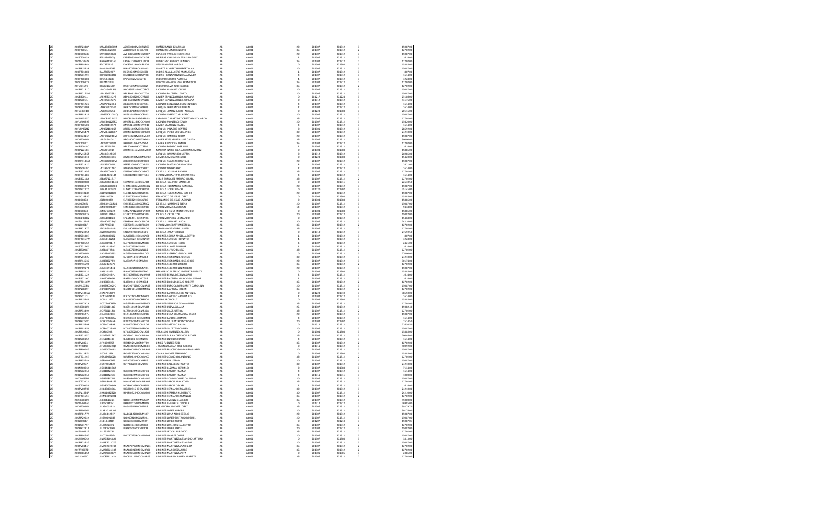|          | 20DPR2388F               | ASA830808UM                  | IASA830808MOCRNR07                       | BAÑEZ SANCHEZ ARIANA                                           |           | AB001        | 20                                           | 201307           | 201312 |                          | 15087,00             |
|----------|--------------------------|------------------------------|------------------------------------------|----------------------------------------------------------------|-----------|--------------|----------------------------------------------|------------------|--------|--------------------------|----------------------|
| 20<br>20 | 20DST0061J               | IASB85092058                 | IASB850920HOCBLN00                       | <b>IBAÑEZ SOLANO BENIGNO</b>                                   | AB        | AB001        | 36                                           | 201307           | 201312 |                          | 12702.00             |
| 20       | 20DCC0058E               | IAVH880508A6                 | IAVH880508MOCGRR07                       | <b>IGNACIO VARGAS HORTENSIA</b>                                | AB        | AB001        | 20                                           | 201307           | 201312 |                          | 15087,00             |
| $_{20}$  | 20DST0033N               | IEAS850930QI                 | IEAS850930MOCGVL03                       | <b>IGLESIAS AVALOS SOLEDAD MAGALY</b>                          | AB        | AB001        | $\overline{2}$                               | 201307           | 201312 |                          | 1614.00              |
| 20       | 20DTV1067Y               | IERG841207AG                 | IERG841207HOCLGN08                       | ILDEFONSO REGINO GENARO                                        | AB        | AB001        | 36                                           | 201307           | 201312 |                          | 12702,00             |
|          | 20DPR0894H               |                              |                                          |                                                                |           | <b>AR001</b> |                                              | 201304           | 201308 |                          |                      |
| 20<br>20 | 20DPR1553R               | IEVY870119<br>IIAH85022035   | IEVY870119MOCRRS04<br>IIAH850220HOCRLM03 | YESENIA IRENE VARGAS<br>IRIARTE ALVAREZ HUMBERTO JAC           | AB<br>AB  | AB001        | $\begin{smallmatrix}0\\20\end{smallmatrix}$  | 201307           | 201312 |                          | 15885,00<br>15087,00 |
|          |                          |                              |                                          |                                                                |           | AB001        |                                              |                  |        |                          |                      |
| 20<br>20 | 20DST0180X               | IIAL750529L7<br>IIHN810803TQ | IIAL750529MOCSLC08                       | ISIDRO ALVA LUCERO MANUELITA<br>ISIDRO HERNANDEZ NIDIA AUVADA  | AB<br>AB  |              |                                              | 201307<br>201307 | 201312 |                          | $807,00$<br>1614,00  |
|          | 20DES0129H               |                              |                                          |                                                                |           | AB001        | $\overline{2}$                               |                  | 201312 |                          |                      |
| 20<br>20 | 20DST0040X               | IIIP75040235                 | IIIP750402MV2SST00                       | ISIDORO ISIDORO PATRICIA<br>IRIGOYEN LANDIZ JOSE FRANCISCO     | AB<br>AB  | AB001        |                                              | 201307           | 201312 |                          | 3228,00              |
|          | 20DST0042V               |                              |                                          |                                                                |           | AB001        | 36                                           | 201307           | 201312 |                          | 12702,00             |
| 20<br>20 | 20FIZ0167O               | IIRS871026HR                 | IIRS871026MOCSLB02                       | ISIDORO SILVA RUBI HAYDEE                                      | AB        | AB001        | 36                                           | 201307           | 201312 |                          | 12702,00             |
|          | 20DPB2151C               | JAA085071849                 | JAAO850718MOCCLP05                       | JACINTO ALMARAZ OFELIA                                         | AB        | AB001        | 20                                           | 201307           | 201312 |                          | 15087.00             |
| 20       | 20DPB2175N               | JABL890925R1                 | JABL890925MOCCT203                       | JACINTO BAUTISTA LIZBETH                                       | AB        | AB001        | $^{20}$                                      | 201307           | 201312 |                          | 15087,00             |
| $_{20}$  | 20DES0011J               | JAEH850322P6                 | JAEH850322MOCVSL09                       | JAVIER ESPINOZA HILDA ADRIANA                                  | AB        | AB001        | $\overline{0}$                               | 201217           | 201224 |                          | 25186.00             |
| 20       | 20DES0011J               | JAEH850322P6                 | JAEH850322MOCVSL09                       | JAVIER ESPINOZA HILDA ADRIANA                                  | AB        | AB001        |                                              | 201312           | 201312 |                          | 43176,00             |
| 20       | 20DST0122G               | JAGJ770523K4                 | JAGJ770523HOCCNS04                       | JACINTO GONZALEZ JESUS ENRIQUE                                 | AB        | AB001        | $\bf{0}$<br>$\overline{2}$                   | 201307           | 201312 | ٠                        | 1614.00              |
|          |                          |                              |                                          |                                                                |           |              |                                              |                  |        |                          |                      |
| 2c       | 20DES0200B               | JAHR760715JP                 | JAHR760715HCSRRB09                       | JARQUIN HERNANDEZ RUBEN                                        | AB        | AB001        | $\overline{2}$                               | 201307           | 201312 |                          | 1614,00              |
|          | 20ESE0011H               | 141185070654                 | IAU850706MOCRRD07                        | <b>IAROUIN ILIAREZ ILIDITH ARIGAIL</b>                         | <b>AR</b> | <b>AR001</b> | $\Omega$                                     | 201223           | 201308 |                          | 20116.00             |
| 20<br>20 | 20DPR0292P               | JALG930822MQ                 | JALG930822HOCCRL03                       | JACINTO LORENZO GILBERTO                                       | AB        | AB001        | 20                                           | 201307           | 201312 |                          | 15087,00             |
|          | 20DJN1555Z               | JAMC88101437                 | IAMC881014HDGRRR03                       | JARAMILLO MARTINEZ CRISTOBAL EDUARDO                           | AB        | <b>AR001</b> | $\frac{36}{20}$                              | 201307           | 201312 |                          | 12702.00             |
| 20<br>20 | 20FUA0029Z               | JAME801125PX                 | JAME801125HOCCND02                       | JACINTO MONTERO EDWIN                                          | AB        | AB001        |                                              | 201307           | 201312 |                          | 15420,00             |
| 20<br>20 | 20DST0060K               | JAMI581105PT                 | JAMI581105MOCVR510                       | JAVIER MARTINEZ ISABEL                                         | AB        | AB001        | $\overline{2}$                               | 201307           | 201312 |                          | 1614,00              |
|          | 20FMP00212               | JAPB821026GR                 | JAPB821026MOCRNT08                       | <b>JARQUIN PINACHO BEATRIZ</b>                                 | AB        | AB001        | $\theta$                                     | 201301           | 201312 |                          | 28692.00             |
| 20       | 20DTV05472               | JAPM841209KP                 | JAPM841209HOCRRG00                       | JARQUIN PEREZ MIGUEL ANGE                                      | AB        | AB001        | 30                                           | 201307           | 201312 |                          | 24210,00             |
| $_{20}$  | 20DCC2315R               | JARF940201EM                 | JARF940201MOCRML02                       | JARQUIN RAMIREZ FLORA                                          | AB        | AB001        | 20                                           | 201307           | 201312 |                          | 15087.00             |
| 20       | 202NE0040V               | JARG830101U2                 | JARG830101MNTVYD03                       | JAVIER REYES GUADALUPE CRISTAL                                 | AB        | AB001        | 36                                           | 201307           | 201312 |                          | 30000,00             |
|          |                          |                              |                                          |                                                                |           |              |                                              |                  |        |                          |                      |
| 20       | 20DST0037J               | JARK900105DT                 | JARK900105HVZVZR04                       | JAVIER RUIZ KEVIN OSMAR                                        | AB        | AB001        | 36                                           | 201307           | 201312 | $\overline{2}$           | 12702.00             |
| 2c       | 20DES0018C               | JARL570602LL                 | JARLS70602HOCCSS04                       | JACINTO ROSADO JOSE LUIS                                       | AB        | AB001        | $\overline{2}$                               | 201307           | 201312 |                          | 1614,00              |
| 20<br>20 | 20DIN2218F               | <b>IARM910415</b>            | JARM910415MOCRMR07                       | MARTHA NADXHIFI Y IAROUIN RAMIREZ                              | <b>AR</b> | <b>AR001</b> | $\Omega$                                     | 201304           | 201308 |                          | 15885.00             |
|          | 20DTV1526T               | JARN831225KS                 |                                          | JARQUIN RAYMUNDO NEFTIS                                        | AB        | AB001        | $\circ$                                      | 201312           | 201312 |                          | 26985,00             |
| 20<br>20 | 20DES0181D               | JARZ830930CG                 | IAR7830930MGRMMR02                       | IAIMES RAMOS ZAIRE IAEL                                        | AB<br>AB  | <b>AR001</b> | $\Omega$                                     | 201223           | 201308 |                          | 15420.00             |
|          | 20DPR1186M               | JASC900506PM                 | JASC900506HOCRRH03                       | JARQUIN SUAREZ CHRISTIAN                                       |           | AB001        | 20                                           | 201307           | 201312 |                          | 15087,00             |
| 20<br>20 | 20DES0191K               | JASF851004UU                 | JASF851004HOCCNR05                       | JACINTO SANTIAGO FRANCISCO                                     | AB        | AB001        | $\overline{\mathbf{3}}$                      | 201307           | 201312 |                          | 2421,00              |
|          | 20DES0018C               | JATE850621EQ                 | JATE850621HOCCRR07                       | <b>JACINTO TORRES ERIC</b>                                     | AB        | AB001        |                                              | 201307           | 201312 |                          | 1614.00              |
| 20       | 20DES0195G               | JEAB900709CS                 | JEAB900709MOCSGV03                       | DE JESUS AGUILAR BIVIANA                                       | AB        | AB001        | 36                                           | 201307           | 201312 |                          | 12702,00             |
| $_{20}$  | 20DST0148Q               | JEBO84021144                 | JEBO840211HOCRTS04                       | JERONIMO BAUTISTA OSCAR IVAN                                   | AB        | AB001        | $\overline{2}$                               | 201307           | 201312 |                          | 1614.00              |
|          |                          |                              |                                          |                                                                |           | AB001        |                                              |                  |        |                          |                      |
| 20       | 20DES0218A               | JEEA7712151Y                 |                                          | JESUS ENRIQUEZ ARTURO ISRAEL                                   | AB        |              | 36                                           | 201307           | 201312 |                          | 12702,00             |
| $_{20}$  | 20DPB00988               | JEGM8901164N                 | JEGM890116HOCSLR04                       | DE JESUS GALINDO MARCELO                                       | AB        | AB001        | $\overline{0}$                               | 201302           | 201311 |                          | 22630.50             |
| 20       | 20DPB0607X               | JEHM840805EB                 | JEHM840805MOCSRN02                       | DE JESUS HERNANDEZ MINERVA                                     | AB        | AB001        | 20                                           | 201307           | 201312 |                          | 15087,00             |
| 20       | 20DJN2232Y               | JELA8112293V                 | JELA811229MOCSPR08                       | DE JESUS LOPEZ ARACELI                                         | AB        | AB001        | $\circ$                                      | 201220           | 201307 |                          | 25145.00             |
| 20       | 20DCC1018K               | JELE910428CU                 | JELE910428MOCSCS06                       | DE JESUS LUCAS MARIA ESTHER                                    | AB        | AB001        | $\overline{20}$                              | 201307           | 201312 |                          | 15087,00             |
|          | 200CC14836               | JELF810709                   | JELF810709HMCSPR01                       | FRANCISCO DE JESUS LOPEZ                                       |           | <b>AR001</b> |                                              | 201304           | 201308 |                          | 15885.00             |
| 2C<br>2C | 20DCC0863                | JELF890329                   | JELF890329HOCSGR00                       | FERNANDO DE JESUS LAGUNES                                      | AB<br>AB  | AB001        | $_{\rm 0}^{\rm 0}$                           | 201304           | 201308 |                          | 15885,00             |
|          | 20DIN0565J               | JEME891018G4<br>JEME900713PT | JEME891018MOCSRL02<br>JEME900713HOCRRF08 | DE JESUS MARTINEZ ELENA<br>JERONIMO MARIA EFRAIN               |           | <b>AR001</b> |                                              | 201307           | 201312 |                          | 15087,00<br>9438,00  |
| 2C<br>2C | 202NE0040V               |                              |                                          |                                                                | AB<br>AB  | AB001        | $\begin{array}{c} 20 \\ 12 \end{array}$      | 201307           | 201312 |                          |                      |
|          | 20DCC0863I               |                              | JEMM770122HDFSNR02                       | MARIO DE JESUS MONTERRUBIO                                     |           | <b>AR001</b> |                                              | 201304           | 201308 |                          | 15885.00             |
| 20<br>20 | 20DJN0037H               | JEMM770122<br>JEOI901118VE   | JEOI901118MOCSRT09                       | DE JESUS ORTIZ ITZEL                                           | AB<br>AB  | AB001        | $\begin{smallmatrix}0\0\0\end{smallmatrix}$  | 201307           | 201312 |                          | 15087,00             |
|          |                          |                              |                                          |                                                                |           | AB001        |                                              |                  |        |                          |                      |
| 20<br>20 | 20AGD00032               | JEPL640411IX<br>JESA800623QG | JEPL640411HOCRRN06<br>JESA800623MOCSNL08 | JERONIMO PEREZ LEONARDO                                        | AB<br>AB  |              | $\,$ 0 $\,$                                  | 201307           | 201312 |                          | 15468,00<br>24210,00 |
|          | 20DTV1592S               |                              |                                          | DE JESUS SANCHEZ ALICIA                                        |           | AB001        | 30                                           | 201307           | 201312 |                          |                      |
| 20       | 20DLI0001F               | JESE770531II                 | JESE770531MOCRBS09                       | JERONIMO SEBASTIAN ESTELA                                      | AB        | AB001        | 36                                           | 201307           | 201312 |                          | 12702,00             |
| 20       | 20DPR21972               | <b>JEVU890818IR</b>          | JEVU890818HOCRNL00                       | JERONIMO VENTURA ULISES                                        | AB        | AB001        | 36                                           | 201307           | 201312 | $\overline{\phantom{a}}$ | 12702.00             |
| 20       | 20DPR23952               | JEZD790709SK                 | JEZD790709HCSSRG07                       | DE JESUS ZARATE DIEGO                                          | AB        | AB001        | $\overline{0}$                               | 201310           | 201312 |                          | 27659,50             |
|          | 20DES0180E               | ILAAROOSO4R2                 | <b>ILAAROORD4HOCMGNOO</b>                | JIMENEZ AGUILA ANGEL ALBERTO                                   | AB<br>AB  | <b>AR001</b> |                                              | 201307           | 201312 |                          | 807.00               |
| 2C<br>2C | 20DST0157W               | JIAD60102251                 | JIAD601022HOCMNN09                       | JIMENEZ ANTONIO DONATO                                         |           | AB001        |                                              | 201307           | 201312 |                          | 3228,00              |
|          | 20DST00552<br>20DST0156X | JIAE780901HY<br>JIAE820223NZ | JIAE780901HOCMND08<br>JIAE820223HOCMLY11 | JIMENEZ ANTONIO EDDIE<br>JIMENEZ ALAVEZ EYMMAR                 | AB<br>AB  | <b>AR001</b> |                                              | 201307           | 201312 |                          | 2421,00<br>1614,00   |
| 2C<br>2C |                          |                              |                                          |                                                                |           | AB001        |                                              | 201307           | 201312 |                          |                      |
|          |                          |                              | JIAE880723HOCMLL02                       |                                                                |           | <b>AR001</b> |                                              | 201307           | 201312 |                          | 12702,00             |
| 20<br>20 | 20DEE0008T<br>20ZNE0040V | JIAE88072318<br>JIAG65010993 | JIAG650109MDFMLD01                       | JIMENEZ ALFAYO ELISEO<br>JIMENEZ ALGREDO GUADALUPE             | AB<br>AB  | AB001        | $\begin{array}{c} 36 \\ 0 \end{array}$       | 201309           | 201312 |                          | 27000,00             |
|          | 20DTV0122U               |                              | JIAJ760718HOCMVS04                       |                                                                |           | AB001        |                                              |                  | 201312 |                          |                      |
| 20<br>20 | 20DPR1453S               | JIAJ760718LL<br>JIAJ830727RV | JIAJ830727HOCMVR01                       | <b>IMENEZ AVENDAÑO JUSTINO<br/>JIMENEZ AVENDAÑO JOSE JORGE</b> | AB<br>AB  |              | $\begin{array}{c} 30 \\ 20 \end{array}$      | 201307<br>201307 |        |                          | 24210,00<br>30174,00 |
|          |                          |                              |                                          |                                                                |           | AB001        |                                              |                  | 201312 |                          |                      |
| 20<br>20 | 20DPR1659K               | JIAL8212267Y                 |                                          | JIMENEZ ALBERTO LIZBETH                                        | AB<br>AB  | AB003        | $\begin{array}{c} 36 \\ 20 \end{array}$      | 201307           | 201312 |                          | 12702,00             |
|          | 20DPR0917B               | JIAL930914E1                 | JIAL930914HOCMLN01                       | JIMENEZ ALBERTO LENIN IBETH                                    |           | AB001        |                                              | 201307           | 201312 |                          | 15087,00             |
| 20<br>20 | 20DPR0512K               | JIBB920325                   | JIBB920325HDFMTR00                       | BERNARDO ALFREDO JIMENEZ BAUTISTA                              | AB        | AB001        | $\mathbf 0$                                  | 201304           | 201308 |                          | 15885,00             |
|          | 20DES0112H               | JIBE740925PU                 | JIBE740925MGRMRM08                       | JIMENEZ BERMUDEZ EMA CRUZ                                      | AB        | AB001        | $\overline{2}$                               | 201307           | 201312 |                          | 1614.00              |
| 20       | 20DES0216C               | JIBI6703266H                 | JIBI670326HOCMTG03                       | JIMENEZ BAUTISTA IGNACIO SALVADOR                              | AB        | AB001        |                                              | 201307           | 201312 |                          | 1614,00              |
| $_{20}$  | 20DST0116W               | JIBJ890913F4                 | JIBJ890913HOCMRS04                       | JIMENEZ BRIONES JESUS ROBERT                                   | AB        | AB001        | 36                                           | 201307           | 201312 |                          | 12702.00             |
| 20       | 20DML0034J               | JIBM790702PD                 | JIBM790702MOCMRR07                       | JIMENEZ BURGOA MARGARITA CAROLINA                              | AB        | AB001        | $^{20}$                                      | 201307           | 201312 |                          | 15087,00             |
| 20       | 20DJN0889                | JIBN840701J9                 | JIBN840701MOCMTM02                       | JIMENEZ BAUTISTA NOEMI                                         | AB        | AB001        | 36                                           | 201307           | 201312 | $\overline{2}$           | 12702.00             |
| 20       | 20DTV1325W               | JICA670120PX                 |                                          | JIMENEZ CARRASQUEDO ANTONIA                                    | AB        | AB001        | $\circ$                                      | 201223           | 201310 |                          | 38550,00             |
|          | 200ES0111L               | JICA76073121                 | IICA760731MOCMSR05                       | JIMENEZ CASTILLO ARCELIA ELS                                   | AB        | <b>AR001</b> | $\overline{2}$                               | 201307           | 201312 |                          | 1614.00              |
| 20<br>20 | 20DPB1554P               | JICA821217                   | JICA821217MOCRRN01                       | ANAHI JIRON CRUZ                                               | AB        | AB001        | $\circ$                                      | 201304           | 201308 |                          | 15885,00             |
|          |                          |                              |                                          |                                                                |           | AB003        |                                              |                  |        |                          |                      |
| 20<br>20 | 20DJN1792A               | JICG770808ED                 | JICG770808MOCMSM06                       | JIMENEZ CISNEROS GEMA ANAHI                                    | AB<br>AB  |              | 36<br>25                                     | 201307           | 201312 |                          | 12702,00             |
|          | 20ZNE0040V               | JICJ651101Q6                 | JICJ651101MOCMVN04                       | JIMENEZ CUEVAS JUANA                                           |           | AB001        |                                              | 201307           | 201312 |                          | 19382,40             |
| 20<br>20 | 20DPR3339N               | JICJ790101RD                 | IICJ790101MOCMRS08                       | JIMENEZ CRUZ JUSTINA                                           | AB        | AB001        | 36                                           | 201307           | 201312 |                          | 12702,00             |
|          | 20DPR0627L               | JICL910628LC                 | JICL910628MOCMRR09                       | JIMENEZ DE LA CRUZ LAURA YANET                                 | AB        | AB001        | 20                                           | 201307           | 201312 |                          | 15087.00             |
| 20       | 20DES0085A               | JICO7303305A                 | JICO730330HOCMRM04                       | <b>JIMENEZ CARBALLO OMAR</b>                                   | AB        | AB001        | $\overline{2}$                               | 201307           | 201312 |                          | 1614,00              |
| $_{20}$  | 20DPR3258C               | JICP870505NB                 | JICP870505MDFMRT08                       | JIMENEZ CRUZ PATRICIA YAZMIN                                   | AB        | AB001        | 20                                           | 201307           | 201307 |                          | 2514.50              |
| 20       | 20DPB1569R               | JICP94020893                 | JICP940208MOCMSL06                       | JIMENEZ CASTILLO PAULA                                         | AB        | AB001        | $\,$ 0 $\,$                                  | 201312           | 201312 |                          | 22630,50             |
| 20       | 20DPB0235X               | <b>JICT840725NU</b>          | JICT840725HOCMRD00                       | JIMENEZ CRUZ TEODOMIRO                                         | AB        | AB001        | 20                                           | 201307           | 201312 | ۹                        | 15087.00             |
| 2c       | 20DPB1058Q               | JICY880502                   | JICY880502MOCMLR05                       | YERALDINI JIMENEZ CALLEJA                                      | AB        | AB001        | $\circ$                                      | 201304           | 201308 |                          | 15885,00             |
| 20<br>20 | 200E501457               | JIDO7902126X                 | IIDO790212MOCMRR0                        | JIMENEZ DURAN ORTENCIA ESTHER                                  | <b>AR</b> | <b>AR001</b> | 26                                           | 201307           | 201312 |                          | 20046.00             |
|          | 20DES00452               | JIEJ610404QI                 | JIEJ610404HOCMNR07                       | JIMENEZ ENRIQUEZ JAIRO                                         | AB        | AB001        | $\overline{2}$                               | 201307           | 201312 |                          | 1614,00              |
|          | 20DTV0851I               | JIFI9409295R                 | IFI940929MOCMNT09                        | JIMEZ FUENTES ITZEL                                            | AB        | <b>AR001</b> | 36                                           | 201307           | 201312 |                          | 12702,00             |
| 20<br>20 | 20FZF0019I               | JIFM830825QK                 | JIFM830825HOCMBG03                       | . JIMENEZ FABIAN JOSE MIGUEL                                   | AB        | AB001        | $\circ$                                      | 201311           | 201312 |                          | 40092,00             |
|          |                          |                              |                                          |                                                                |           | AB001        |                                              |                  |        |                          |                      |
| 20       | 20DPR0004G               | JIFM900704FS                 | JIFM900704MOCMRR04                       | JIMENEZ FRUCTUOSO MARIELA ISABEL                               | AB        |              | 20                                           | 201307           | 201312 |                          | 15087,00             |
| $_{20}$  | 20DTV1287J               | JIFO861229                   | JIFO861229HOCMRM01                       | OMAR JIMENEZ FERNANDO                                          | AB        | AB001        | $\begin{smallmatrix}0\0\36\end{smallmatrix}$ | 201304           | 201308 |                          | 15885.00             |
| 20       | 20DST0124E               | JIGA8906102B                 | JIGA890610HOCMRN07                       | JIMENEZ GORGONIO ANTONIO                                       | AB        | AB001        |                                              | 201307           | 201312 |                          | 12702,00             |
| $_{20}$  | 20DPR3578N               | JIGE90090993                 | JIGE900909HOCNRF05                       | JINEZ GARCIA EFRAIN                                            | AB        | AB001        | 20                                           | 201307           | 201312 |                          | 15087.00             |
| 20       | 20DTV0967                | JIGF790621K5                 | JIGF790621HOCMLS07                       | <b>JIMENEZ GALLEGOS FAUSTO</b>                                 | AB        | AB003        | 30                                           | 201307           | 201312 |                          | 24210,00             |
| 20       | 20DNS0001K               | JIGH440113GR                 |                                          | JIMENEZ GUZMAN HERMILO                                         | AB        | AB001        | $\overline{0}$                               | 201307           | 201308 |                          | 7134.00              |
| 20       | 20DES0201A               | JIGI8104227K                 | JIGI810422MOCMRT04                       | <b>JIMENEZ GARZON ITAMAR</b>                                   | AB        | AB001        | $\frac{1}{2}$                                | 201307           | 201312 |                          | 1614,00              |
| 20<br>20 | 200E50201A               | <b>IIGIR104227K</b>          | IIGIR10422MOCMRT04                       | JIMENEZ GARZON ITAMAR                                          | AB        | <b>AR001</b> | $\overline{ }$                               | 201311           | 201311 |                          | 1000.00              |
|          | 20EDI0035M               | JIGI850807N1                 | JIGI850807MOCMRM07                       | JIMENEZ GORDILLO IMELDA ANAHI                                  | AB        | AB001        | 20                                           | 201307           | 201312 |                          | 15087,00             |
|          | 20DST0202S               | JIGM88033153                 | IIGM880331HOCMRH02                       | JIMENEZ GARCIA MAHATMA                                         |           | <b>AR001</b> |                                              | 201307           | 201312 |                          | 12702.00             |
| 20<br>20 | 20DST0005R               | JIGO800206GK                 | JIGO800206HOCMRS01                       | JIMENEZ GARCIA OSCAR                                           | AB<br>AB  | AB001        | $\frac{1}{2}$                                | 201307           | 201312 |                          | 1614,00              |
| 20       | 20DTV0073B               | JIHG880916GL                 | JIHG880916HOCMRB03                       | JIMENEZ HERNANDEZ GABRIEL                                      | AB        | AB001        | 30                                           | 201307           | 201312 |                          | 24210,00             |
| $_{20}$  | 20DTV1554P               | JIHH8403252D                 | JIHH840325HOCMRM02                       | JIMENEZ HERRERA HUMBERTO                                       | AB        | AB001        | 30                                           | 201307           | 201312 |                          | 24210.00             |
| 20       | 20DST0165E               | JIHM83091091                 |                                          | JIMENEZ HERNANDEZ MANUEL                                       | AB        | AB001        | 36                                           | 201307           | 201312 |                          | 12702,00             |
|          |                          |                              |                                          |                                                                |           |              |                                              |                  |        |                          |                      |
| $_{20}$  | 202NE0040V               | JUE801102L4                  | JUE801102MDFMML07                        | JIMENEZ JIMENEZ ELIZABETH                                      | AB        | AB001        | 36                                           | 201307           | 201312 |                          | 45000.00             |
| 20       | 20DTV0416G               | JUF860812H1                  | JUF860812MOCMML03                        | JIMENEZ JIMENEZ FLORICELA                                      | AB        | AB003        | $\overline{0}$                               | 201312           | 201312 |                          | 26985,00             |
| 20       | 202NE0040V               | JILA5405241V                 | JILAS40524HOCMPL03                       | ALEJANDRO JIMENEZ LOPEZ                                        | AB        | AB001        | 36                                           | 201307           | 201312 |                          | 59279.70             |
| 20       | 20DPB0606Y               | JILA8101013M                 |                                          | <b>JIMENEZ LOPEZ AURORA</b>                                    | AB        | AB001        | $\overline{20}$                              | 201307           | 201312 |                          | 30174,00             |
|          | 20DPR0177Y               | III A861122LY                | III AR61122HOCMNL07                      | JIMENEZ LUNA ALDO CECILIO                                      | <b>AR</b> | <b>AR001</b> | 20                                           | 201307           | 201312 |                          | 15087.00             |
| 2C<br>2C | 20DPR2902N               | JILG9009148B                 | JILG900914HOCMPS01                       | JIMENEZ LOPEZ GUSTAVO MIGUEL                                   | AB        | AB001        | $\overline{20}$                              | 201307           | 201312 |                          | 15087,00             |
|          | 20DLI0001F               | III IR104048X                | III IR10404HOCMPS07                      |                                                                |           | <b>AR001</b> |                                              |                  | 201213 |                          | 15087.03             |
| 2C<br>2C | 20DES0175T               | JILJ820104FL                 | JILJ820104HOCMSR03                       | <b>JIMENEZ LOPEZ ISIDRO</b><br>JIMENEZ LUIS JORGE ALBERTO      | AB<br>AB  | AB001        | $\begin{array}{c} 0 \\ 36 \end{array}$       | 201207<br>201307 | 201312 |                          | 12702,00             |
|          | 20DPR2231F               |                              | JILJ880509HOCMPR08                       |                                                                |           | <b>AR001</b> |                                              | 201307           | 201312 |                          |                      |
| 2C<br>2C | 20DTV0441F               | JILJ880509KW<br>JILL7912078L |                                          | JIMENEZ LOPEZ JORGE<br>JIMENEZ LEYVA LAURENCIO                 | AB<br>AB  | AB001        | $\begin{array}{c} 20 \\ 36 \end{array}$      | 201307           | 201312 |                          | 15087,00<br>12702,00 |
|          |                          |                              | JILO750223HOCMNM08                       |                                                                |           | AB001        |                                              |                  | 201312 |                          | 15087,00             |
| 20<br>20 | 20DPR0479T<br>20DNS0001K | JILO750223FV<br>JIMA731018AJ |                                          |                                                                | AB<br>AB  | AB001        | $\begin{array}{c} 20 \\ 0 \end{array}$       | 201307<br>201307 | 201308 |                          | 3813,00              |
|          |                          |                              |                                          |                                                                |           | AB001        |                                              |                  | 201312 |                          |                      |
| 20<br>20 | 20DPR2363G<br>20DTV0441F | JIMA820127FG<br>JIMA87070742 | JIMA870707MOCMRN03                       | JIMENEZ MARTINEZ ALEJANDRA<br>JIMENEZ MARTINEZ ANAHI LILIA     | AB<br>AB  |              | $\begin{array}{c} 20 \\ 36 \end{array}$      | 201307           |        | $\overline{2}$           | 15087,00<br>12702,00 |
|          |                          |                              |                                          |                                                                |           | AB001        |                                              | 201307           | 201312 |                          |                      |
| 20<br>20 | 20FZF0007D               | JIMA880213BT                 | JIMA880213MOCMRR06                       | JIMENEZ MARQUEZ ARISBE                                         | AB        | AB001        | 36                                           | 201307           | 201312 |                          | 12702,00             |
|          | 20DPB06452               | JIMA890608JV                 | JIMA890608MOCMRN09                       | JIMENEZ MARTINEZ ANITA                                         | AB        | AB001        | $\overline{0}$                               | 201301           | 201306 |                          | 2385.00              |
|          | 20FJS1006O               | JIMC8511143V                 | JIMC851114MOCMRR05                       | JIMENEZ MARIN CARMEN MARITZA                                   |           | AB001        | 36                                           | 201307           | 201312 |                          | 12702,00             |
|          |                          |                              |                                          |                                                                |           |              |                                              |                  |        |                          |                      |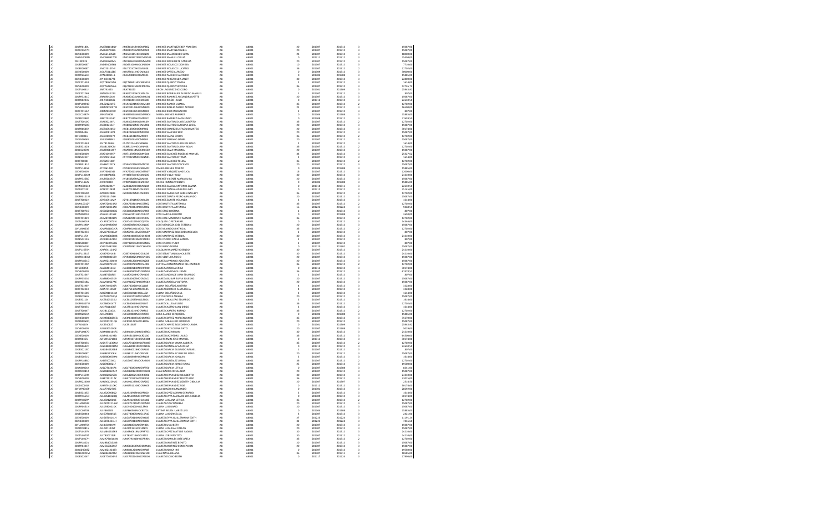| 20<br>20      | 20DPR0180L               | JIME881018QY<br>JIMI8407049A | JIME881018HOCMRB02                       | JIMENEZ MARTINEZ EBER PRAXEDIS<br>JIMENEZ MARTINEZ ISABEL            |
|---------------|--------------------------|------------------------------|------------------------------------------|----------------------------------------------------------------------|
|               | 20DCC05770               |                              | JIMI840704MOCMRS01                       |                                                                      |
|               | 202NE0040V               |                              | JIMJ661105HOCMLN09                       | .<br>JIMENEZ MALDONADO JUAN                                          |
| 20<br>20      | 20ADG0081D               | JIMJ6611052R<br>JIMO860927CR | JIMO860927MOCMND09                       | JIMENEZ MANUEL ODILIA                                                |
|               |                          |                              |                                          |                                                                      |
| 20            | 20FJI0002E               | JINC830628V5                 | IINC830628MOCMVM08                       | JIMENEZ NAVARRETE CAMELIA                                            |
| 20            | 20DEE0008T               | JIND6910096N                 | JIND691009MOCMLN09                       | JIMENEZ NOLASCO DIONISIA                                             |
| 20            | 20DEE0008T               | JINL720107HY                 | JINL720107HOCMLC08                       | JIMENEZ NOLASCO LUCIANO                                              |
|               | 207NF0040V               | <b>IIOA750112RF</b>          | <b>IIOA750112HOCMRL10</b>                | <b>IIMENEZ ORTIZ ALEREDO</b>                                         |
| 20<br>20      | 20DPR2664C               | JIPA620811HL                 | JIPA620811HOCMCL05                       | JIMENEZ PACHECO ALFREDO                                              |
|               |                          |                              |                                          |                                                                      |
| 20<br>20      | 202NE0040V               | JIPH8310177E<br>JIQT780601AG |                                          | JIMENEZ PEREZ HILDA JANET<br>JIMENEZ QUIROZ TOMAS                    |
|               | 20DST0145R               |                              | JIQT780601HOCMRM10                       |                                                                      |
| 20<br>20      | 202NE0040V               | JIQV760225AG                 | JIQV760225MOCMRC06<br>JIRA791023         | JIMENEZ QUIROZ VICTORIA<br>JIRON LAGUNEZ DIOSCORO                    |
|               | 20DTV0041J               |                              |                                          |                                                                      |
|               |                          |                              |                                          |                                                                      |
|               | 20DST0226B               |                              |                                          |                                                                      |
| 20<br>20      | 20DPR32410               | JIRA80011214<br>JIRA890101KI | JIRA800112HOCMDL05<br>JIRA890101MOCMML01 | JIMENEZ RODRIGUEZ ALFREDO MANUEL<br>JIMENEZ RAMIREZ ALEJANDRA IVETTE |
| 20<br>20      | 20DPB0223S               | JIRH9104018L<br>JIRL921221FG | JIRH910401HOCMXG00                       | JIMENEZ RIAÑO HUGO                                                   |
|               | 20DTV0094O               |                              | JIRL921221MOCMML00                       | <b>JIMENEZ RAMOS LILIANA</b>                                         |
|               |                          |                              |                                          |                                                                      |
| 20            | 202NE0040V               | JIRM7801097W                 | JIRM780109HOCMBR09                       | JIMENEZ ROBLES MARIO ARTURO                                          |
| 20            | 20DST01542               | JIRM780307RF                 | JIRM780307HOCMZR05                       | JIMENEZ RUIZ MARGARITO                                               |
| 20            | 20DCC2087N               | JIRN870608                   | JIRN870608MOCMMB04                       | NUBIA JIMENEZ RAMIREZ                                                |
| 20            | 20DPR1898#               | JIRR7703153C                 | JIRR770315HOCMMY01                       | JIMENEZ RAMIREZ RAYMUNDO                                             |
| 20            | 20DST0010C               | JISA630224FL                 | JISA630224HOCMNL09                       | JIMENEZ SANTIAGO JOSE ALBERTO                                        |
|               | 20DPR0960Q               | JISC801213J7                 | JISC801213MOCMNR06                       | JIMENEZ SANTOS CAROLINA LUCIA                                        |
| 20<br>20      |                          |                              |                                          |                                                                      |
|               | 20DPB0606Y               | JISE8109205D                 | JISE810920HOCMRS02                       | JIMENEZ SUAREZ EUSTAQUIO MATEO                                       |
| 20            | 20DPR0496                | IISE820815PR                 | IISER2081SHOCMNR08                       | <b>IIMENEZ SANCHEZ ERIC</b>                                          |
| 20            | 20FE10001U               | JISE8411017K                 | JISE841101HPLMND07                       | JIMENEZ SAENZ EDSON                                                  |
| 20            | 20DJN1006V               | JISI830928N3                 | JISI830928MOCMRS04                       | JIMENEZ SORIANO ISABEL                                               |
| 20            | 20DST0244R               | JISJ79122464                 | JISJ791224HOCMNS06                       | JIMENEZ SANTIAGO JOSE DE JESUS                                       |
|               |                          |                              |                                          |                                                                      |
| 20            | 20DES0142B               | JISJ881219CM                 | JISJ881219HOCMNN08                       | JIMENEZ SANTIAGO JUAN ADAN                                           |
| 20            | 20DCC20691               | JISM900114F7                 | JISM900114MOCMLC02                       | JIMENEZ SILVA MACRINA                                                |
| 20            | 20ZNE0040\               | JISR710929EP                 | ISR710929HOCMNG04                        | JIMENEZ SANCHEZ ROGELIO MANUEL                                       |
| 20            | 20DES0233T               | JIST790214AX                 | JIST790214MOCMNN01                       | JIMENEZ SANTIAGO TANIA                                               |
| 20            | 20DST0038                | JIST8207148F                 |                                          | JIMENEZ SANCHEZ TELMA                                                |
|               | 20DPR0181K               | JISV860225TX                 | JISV860225HOCMNC00                       | JIMENEZ SANTIAGO VICENTE                                             |
| 20<br>20      |                          |                              |                                          |                                                                      |
|               | 20DTV1435B               | JITO861030                   | JITO861030HOCMLM02                       | OMAR JIMENEZ TOLEDO                                                  |
| 20            | 207NF0040V               | <b>IIVA76041341</b>          | IIVA760413MOCM7N07                       | JIMENEZ VASQUEZ ANGELICA                                             |
| 20            | 20DTV1301M               | JIVH8807189L                 | JIVH880718HOCMLG05                       | JIMENEZ VILLA HUGO                                                   |
| 20            | 20DPR3258C               | <b>JIVL850825CR</b>          | JIVL850825MVZMCS04                       | JIMENEZ VICENTE MARIA LUISA                                          |
|               |                          |                              |                                          |                                                                      |
| 20            | 20DTV1452S               | JIVR870820                   | JIVR870820HOCMCC02                       | RACIEL JIMENEZ VICENTE                                               |
| 20            | 20HMC0024F               | JIZA841204JY                 | JIZA841204HOCMVN02                       | JIMENEZ ZAVALA ANTONIO ZAMNA                                         |
| 20            | 20DDI0012C               | JIZA87012834                 | JIZA870128MOCMXD02                       | JIMENEZ ZUÑIGA ADILENE LIVEY                                         |
| 20            | 20DST0050D               | JIZK9002288B                 | JIZK900228MOCMRR07                       | JIMENEZ ZARAGOZA KAREN NALLELY                                       |
| 20            | 20DPR0121W               | JIZP701017GH                 |                                          | JIMENEZ ZURITA PEDRO ARMANDO                                         |
|               |                          |                              |                                          |                                                                      |
| 20            | 20DST0022H               | JIZY610911MP                 | JIZY610911MOCMRL08                       | JIMENEZ ZARATE YOLANDA                                               |
| 20            | 20DML0012Y               | JOBA720314AX                 | JOBA720314MOCSTR02                       | JOSE BAUTISTA ARTEMISA                                               |
| 20            | 202NE0040V               | JOBA720314AX                 | JOBA720314MOCSTR02                       | JOSE BAUTISTA ARTEMISA                                               |
|               | 20DST0073Q               | IDCC820208GG                 | IOCC820208MOCSBB05                       | JOSE CRUZ CRISTINA                                                   |
| 20<br>20      |                          | JOGAS31115LF                 | JOGA531115HOCSRL07                       | JOSE GARCIA ALBERTO                                                  |
|               | 20DNS0001K               |                              |                                          |                                                                      |
|               |                          |                              | JOJM870401HOCSSR05                       |                                                                      |
| 20<br>20      | 20DST0182V<br>20DNL0001R | JOJM870401RV<br>JOLR740207FN | JOLR740207HOCQPF05                       | JOSE JOSE MARCIANO AMADO<br>JOAQUIN LOPEZ RAFAEL                     |
| 20            | 20DPR1398F               | JOMJ690806AR                 | JOMJ690806HOCSNL00                       | JOSE MENDOZA JOEL ESTEBAN                                            |
| 20            | 20FUA0023E               | JOMP801001CR                 | JOMP801001MOCSJT04                       | JOSE MIJANGOS PATRICIA                                               |
|               |                          |                              |                                          |                                                                      |
| 20            | 20DST0225C               | JOMS790413AY                 | JOMS790413MOCSRL07                       | JOSE MARTINEZ SOLEDAD ANGELICA                                       |
| 20            | 20DTV1172                | JOMY840826R8                 | JOMY840826MOCSRS03                       | JOSE MARTINEZ YESENIA                                                |
| 20            | 20DES0212G               | JOOK80112352                 | JOOK801123MOCSSR03                       | JOSE OSORIO KARLA YANIRA                                             |
|               | 20DES0080E               | JOOY820716KG                 | <b>IOOY820716MOCSSN06</b>                | <b>IOSE OSORIO YUNIT</b>                                             |
| 20<br>20      | 20DPR2620R               | JORN7508219K                 | JORN750821MOCSXM00                       | JOSE RIAÑO NOEMI                                                     |
|               |                          | IORR641124N7                 |                                          | <b>IOAOUIN RAMIREZ ROSENDO</b>                                       |
| 20<br>20      | 20DTV1655N<br>20DTV1531E |                              |                                          |                                                                      |
|               |                          | JOSB790914IB                 | JOSB790914MOCSBL09                       | JOSE SEBASTIAN BLANCA ESTE                                           |
| 20<br>20      | 20DPB1383M<br>20DPR1851Q | JOVR88082599<br>JUAA921208JW | JOVR880825MOCSNC06<br>JUAA921208MOCRLZ08 | JOSE VENTURA ROCIO<br>JUAREZ ALVARADO AZUCENA                        |
|               |                          |                              |                                          |                                                                      |
|               |                          |                              | JUAC900721MOCSLR03                       |                                                                      |
| 20<br>20      | 20DST01292<br>20FSE0005X | JUAC900721CX                 |                                          | JUSTO ALFONSIN MARIA DEL CARMEN<br>JUAREZ ARREOLA ERIKA              |
|               |                          | JUAE84011412                 | JUAE840114MOCRRR00                       |                                                                      |
|               | 20ZNE0040\               | JUAF690901HP                 | JUAF690901MOCRRN03                       | JUAREZ ARMENGOL FANNI                                                |
| 20<br>20      | 20DST0164F               | JUAJ870208L5                 | JUAJ870208HOCRNN05                       | JUAREZ ANDRADE JUAN EDUARDO                                          |
|               |                          | JUAS880405D9                 |                                          |                                                                      |
| 20            | 20DPR3523K               |                              | JUAS880405MOCRGL01                       | JUAREZ AGUILAR SILVIA SOLEDAD                                        |
| 20            | 20DIN0318A               | <b>JUAV910627AE</b>          | JUAV910627MOCRRC02                       | JUAREZ ARREOLA VICTORIA                                              |
| 20            | 20DST0196Y               | JUBA740220SR                 | JUBA740220HOCLLL08                       | <b>JULIAN BOLAÑOS ALBERTO</b>                                        |
| 20            | 20DST0234K               | JUBA751105BT                 | JUBA751105MPLRRL05                       | JUAREZ BERMEJO ALMA DELIA                                            |
| 20            | 20DST0150C               | JUBS7810114M                 | JUBS781011HOCLLL02                       | <b>JULIAN BOLAÑOS SAUL</b>                                           |
|               | 20DPB1964S               | JUCA910703QA                 | JUCA910703MOCSRN07                       | <b>JUSTO CORTES ANGELA</b>                                           |
| 20<br>20      |                          |                              |                                          |                                                                      |
|               | 20DES0110J               | JUCE8105235U                 | JUCE810523HOCLBD01                       | JULIAN CABALLERO EDUARDO                                             |
| 20<br>20      | 20DPR0807W               | JUCE860614T7<br>JUCI781110GT | JUCE860614HOCRLL07<br>JUCJ781110HOCRSN01 | <b>JUAREZ CALLEJA ELISEO</b>                                         |
|               | 20DST0045S               |                              |                                          | JUAREZ CASTRO JUAN DIEGO                                             |
|               | 20DST0044T               | JUCJ8110101L                 |                                          | JUAREZ CARREÑO RUFINO                                                |
| 20<br>20      |                          |                              | JUCJ811010HOCRRF02                       |                                                                      |
|               | 20DPB2054A               | JUCL700803                   | JUCL700803MOCRRD07                       | LIDIA JUAREZ CERQUEDA                                                |
| 20            | 202NE0040V               |                              | JUCM840825MOCRRR03                       | JUAREZ CORTEZ MARLEN JANET                                           |
| 20            | 20DPB0860Q               | JUCM840825EG<br>JUCM840825EG | JUCR911221HOCLBD06                       | <b>JULIAN CABALLERO RODRIGO</b>                                      |
| 20            | 20TAI0110Y               | JUCS910827                   | JUCS910827                               | JUAREZ CHAVEZ SOLEDAD YOLANDA                                        |
| 20            | 202NE0040V               | <b>JUDL820520K8</b>          |                                          | JUAREZ DIAZ LORENA DAYCI                                             |
|               |                          |                              |                                          |                                                                      |
| 20            | 20DTV0047D               | JUDM8401047C                 | JUDM840104MOCRZR01                       | <b>JUAREZ DIAZ MIRIAM</b>                                            |
| 20<br>20      | 202NE0040V               | JUDP4610193D                 | JUDP461019HOCRZD00                       | JUAREZ DIAZ PEDRO LAURO                                              |
|               | 20DPB0355J               | JUFM91071882                 | JUFM910718HOCNRN04                       | JUAN FERMIN JOSE MANUEL                                              |
| 20            | 20DST00455               | <b>ILIGA771130NU</b>         | ILIGA771130MOCRRN09                      | <b>ILIAREZ GARCIA MARIA ANDREA</b>                                   |
| 20            | 20DPB06420               | JUGA880101FM                 | JUGA880101MOCRN206                       | JUAREZ GONZALEZ AZUCENA                                              |
|               | 20DES0219Z               | JUGG840326BR                 | JUGG840326HOCRRL06                       | JUAREZ GARCIA GILDARDO RAFAEL                                        |
| 20            |                          |                              |                                          |                                                                      |
| 20            | 20DEE0008T               | <b>JUGI881210KH</b>          | JUGI881210HOCRNS08                       | JUAREZ GONZALEZ JOSE DE JESUS                                        |
| 20            | 20DES0051K               | JUGJ680603HM                 | JUGJ680603HOCRRQ03                       | JUAREZ GARCIA JOAQUIN                                                |
| 20            | 20DPR1888E               | <b>JUGJ700724KL</b>          | JUGJ700724MOCRNN05                       | JUAREZ GONZALEZ JUANA                                                |
| 20            | 202NE0040V               | JUGJ7806021F                 |                                          | JUAREZ GARCIA JORGE ISAIAS                                           |
|               |                          |                              |                                          |                                                                      |
| 20            | 20DNS0001K               | JUGL73020474                 | JUGL730204MOCRRT00                       | <b>JUAREZ GARCIA LETICIA</b>                                         |
| 20            | 20DPB1081R               | JUGR880122UP                 | JUGR880122MOCNRS03                       | <b>JUAN GARCIA ROSALINDA</b>                                         |
| 20<br>20      | 20DTV1559                | JUHA820625EU                 | JUHA820625HOCRRD06                       | JUAREZ HERNANDEZ ADALBERTO                                           |
|               | 202NE0040V               | JUHF7101217X                 | JUHF710121HOCRRR04                       | JUAREZ HERNANDEZ FRUCTUOSO                                           |
| 20            | 20DPR2240W               | JUHL901229MC                 | ILIHI 901229MOCRRZ00                     | JUAREZ HERNANDEZ LIZBETH OBDULIA                                     |
|               |                          |                              |                                          |                                                                      |
| 20            | 20DDI0004U               | JUHN791110KC                 | JUHN791110HOCRRX09                       | JUAREZ HERNANDEZ NOE                                                 |
| 20            | 20FMP0015F               | JUJA770827U6<br>JULA520908Q2 |                                          | JUAN JOAQUIN ARMANDO                                                 |
| 20            | 20DES0145Z               |                              | JULAS20908HOCRPD02                       | JUAREZ LOPEZ ADRIAN GERARDO                                          |
| 20            | 20DPR16550               | JULA851026QQ                 | JULA851026MOCRYN00                       | JUAREZ LEYVA MARIA DE LOS ANGELES                                    |
| 20            | 20DPR1869F               | <b>JULA921206UE</b>          | JULA921206MOCLSN02                       | JULIAN LUIS ANA LETICIA                                              |
|               |                          |                              |                                          |                                                                      |
| 20            | 20FUA0003F               | <b>JULD871211AW</b>          | JULD871211MOCRPN08                       | JUAREZ LOPEZ DANIELA                                                 |
| 20            | 20DPR0451N               | <b>JULD930401KK</b>          | JULD930401HOCLSR04                       | JULIAN LUIS DARIO                                                    |
| 20            | 20DCC0870S               | <b>JULF860505</b>            | JULF860505MOCRST01                       | FATIMA BELEN JUAREZ LUIS                                             |
|               | 20DES0084B               | JULG78080515                 | JULG780805MOCLSR10                       | <b>ILILIAN LUIS GRICELDA</b>                                         |
| 20<br>20      | 202NE0040V               |                              | JULG870414MOCRYL06                       |                                                                      |
|               |                          | <b>JULG870414LH</b>          |                                          | JUAREZ LEYVA GUILLERMINA EDITH                                       |
|               | 207NF0040V               | <b>JULG870414LH</b>          | ILII G870414MOCRYLO6                     |                                                                      |
| 20<br>20      | 20FUA0075K               | JULI821004IW                 | JULI821004MOCRNB01                       | JUAREZ LEYVA GUILLERMINA EDITH<br>JUAREZ LUNA IBETH                  |
|               | 20DPR1081S               | JULJ9011235T<br>JULM840619K9 | JULJ901123HOCLSN01<br>JULM840619MDFRPT03 | JULIAN LUIS JUAN CARLOS<br>JUAREZ LOPEZ MATILDE YADIRA               |
| 20<br>20      | 20DTV0197K               |                              |                                          |                                                                      |
|               |                          |                              |                                          |                                                                      |
| 20            | 20DTV05702               | JULT830715JR<br>JUMA7910182M | JULT830715HOCLRT02<br>JUMA791018HOCRRR01 | JULIAN LORENZO TITO<br>JULIAN LORENZO TITO                           |
| 20            | 20DTV0217H               |                              |                                          |                                                                      |
| 20            | 20DPR1822V               | JUMB830321B6                 |                                          | JUAREZ MARTINEZ BENITO                                               |
| 20            |                          | JUMC6606296T                 | JUMC660629MOCRRN06                       | JUAREZ MARTINEZ CONSEPCION                                           |
|               | 20DPR0421T               |                              |                                          |                                                                      |
|               |                          |                              |                                          |                                                                      |
|               | 20AGD0003                | JUMI82122493                 | JUMI821224MOCRJR08                       | <b>JUAREZ MOJICA IRIS</b>                                            |
|               | 20DEE0022M               | JUNH8408221Z                 | JUNH840822MCSNVL08                       | <b>JUAN NAVA HILIANA</b>                                             |
| 20<br>$_{20}$ | 20DES0204Y               | JU0E770204NE                 | JUOE770204MOCRSD06                       | JUAREZ OSORIO EDITH                                                  |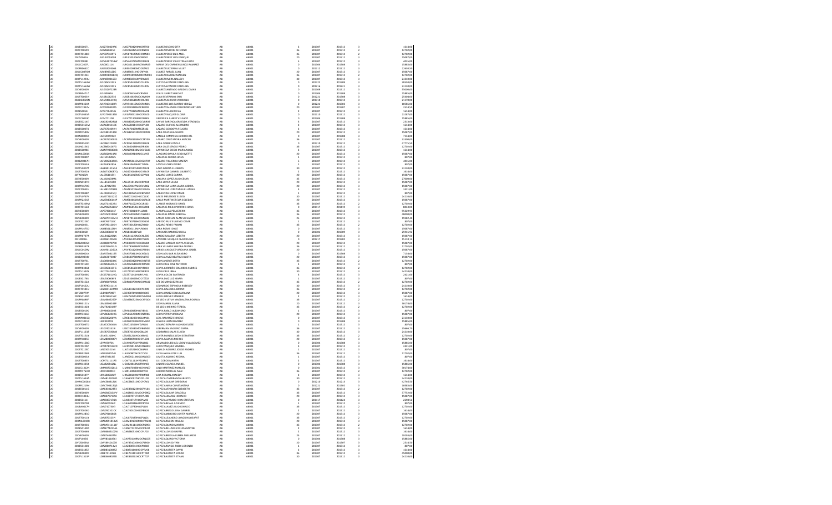| 20<br>20       |
|----------------|
|                |
| 20             |
| $_{20}$        |
| 20             |
|                |
| 2C<br>2C       |
|                |
|                |
| 20<br>20       |
| 20<br>20       |
|                |
|                |
| 20<br>20       |
|                |
| 20             |
| $_{20}$        |
|                |
| 20             |
| $_{20}$        |
| 20             |
| 20             |
|                |
| 2c             |
| 20             |
| 20             |
|                |
| 20<br>20       |
|                |
|                |
| 20<br>20       |
| 20             |
| $_{20}$        |
|                |
| 20             |
| $_{20}$        |
| 20             |
| $_{20}$        |
|                |
| 20             |
| 20             |
| 20             |
|                |
| 20<br>20       |
|                |
|                |
| 20<br>20       |
|                |
| 20             |
| $_{20}$        |
| 20             |
| $_{20}$        |
| 20             |
|                |
| $_{20}$        |
| 20             |
|                |
| 2C<br>2C       |
|                |
|                |
| 20<br>20       |
| 20             |
| $_{20}$        |
| 20             |
|                |
| $_{20}$        |
| 20             |
| $_{20}$        |
| 20             |
| $_{20}$        |
|                |
| 20             |
|                |
| 20<br>20       |
|                |
| 2C<br>2C       |
|                |
| 20<br>20       |
|                |
|                |
| 20<br>20       |
|                |
| 20<br>20       |
|                |
|                |
| 20<br>20       |
|                |
| 20             |
|                |
| 2C<br>2C       |
|                |
|                |
| 20<br>20       |
|                |
| 20<br>20       |
|                |
| 20<br>20       |
|                |
| 20<br>20       |
|                |
|                |
| 20<br>20       |
|                |
| 20             |
| $_{20}$        |
| 20             |
| $_{20}$        |
|                |
| 20             |
| 20             |
| 20             |
| 20<br>20       |
|                |
|                |
| 20<br>20       |
|                |
| 20             |
| $_{20}$        |
|                |
| 20             |
| $_{20}$        |
| 20             |
| 20             |
| 2c             |
|                |
| 20             |
| 20             |
|                |
| 20<br>20       |
|                |
| 20<br>20       |
|                |
| 20             |
| $_{20}$        |
| 20             |
|                |
| $\overline{2}$ |
|                |
|                |
| 20             |
|                |
|                |
|                |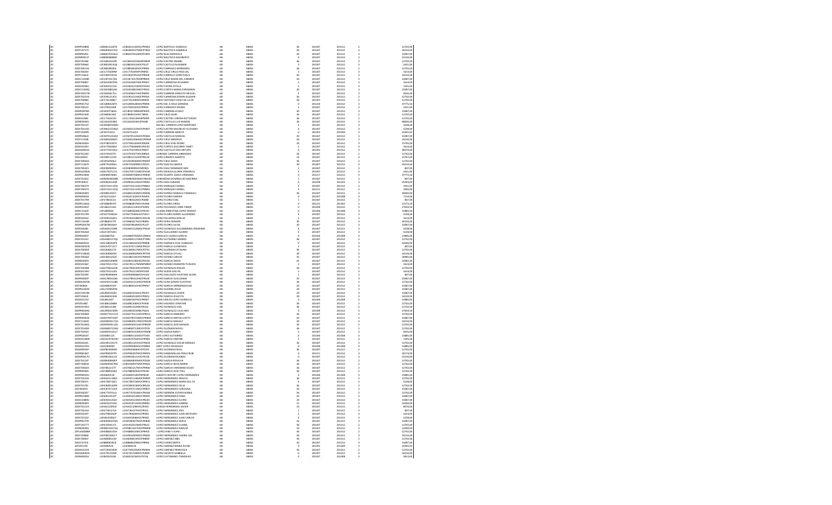| 20<br>20 | 200PR1980K               | LOBG81122676<br>LOBG850227KH | LOBG811226HOCPRN04                       | LOPEZ BARTOLO GONZALO                                   | ΔR              | AB001 | 36<br>30                                | 201307           | 201312 |                          | 12702,00<br>24210,00 |
|----------|--------------------------|------------------------------|------------------------------------------|---------------------------------------------------------|-----------------|-------|-----------------------------------------|------------------|--------|--------------------------|----------------------|
|          | 20DTV0717C               |                              | LOBG850227MOCPTB03                       | LOPEZ BAUTISTA GABRIELA                                 | AB              | AB001 |                                         | 201307           | 201312 |                          |                      |
|          | 20DPR0595J               |                              | LOBM670316MVZPLR05                       |                                                         |                 | AROOS | $_{\rm 20}$                             | 201307           | 201312 |                          | 15087,00             |
| 20<br>20 | 20DNP00121               | LOBM670316LG<br>LOBR830808KD |                                          | LOPEZ BLAS MARICELA<br>LOPEZ BAUTISTA RIGOBERTO         | AB<br>AB        | AB001 | $\mathbf 0$                             | 201307           | 201312 |                          | 23130,00             |
| 20       | 20DTV0198J               | LOCA841031PR                 | LOCA841031MGRPSN09                       | LOPEZ CASTRO ANABEL                                     | AB              | AB001 | 36                                      | 201307           | 201312 |                          | 12702,00             |
| 20       | 20DST0066E               | LOCB81091304                 | LOCB810913HOCPSL07                       | LOPEZ CASTILLO BLADIMIR                                 | AB              | AB001 | $\overline{3}$                          | 201307           | 201312 | $\overline{\mathbf{3}}$  | 2421.00              |
| 20       | 20DST0011B               | LOCB8508183L                 | LOCB850818HOCPRR04                       | LOPEZ CARRASCO BERNARDO                                 | AB              | AB001 | 36                                      | 201307           | 201312 |                          | 12702,00             |
| 20       | 20DST0024F               | LOCC770209NF                 | LOCC770209HPLPRR03                       | LOPEZ CRUZ CIRILO PASCUAL                               | AB              | AB001 | $\overline{2}$                          | 201307           | 201312 |                          | 1614.00              |
| 20       | 20DTV1642J               | LOCC820705TB                 | LOCC820705HOCPRH09                       | LOPEZ CARRILLO CHRISTIAN G                              | AB              | AB001 | 30                                      | 201307           | 201312 |                          | 24210,00             |
|          | 20DCC1028F               | LOCC871017KG                 | LOCC871017MSRPRR04                       | LOPEZ CRUZ MARIA DEL CARMEN                             |                 | AB001 |                                         | 201307           | 201312 |                          | 15087.00             |
| 20<br>20 | 20DST0085T               | LOCE610407NG                 | LOCE610407HOCPRD07                       | LOPEZ CARRIZOSA EDUARDO                                 | AB<br>AB        | AB001 | $\begin{array}{c} 20 \\ 2 \end{array}$  | 201307           | 201312 |                          | 1614,00              |
|          | 20DES0208L               |                              | LOCE810121MOCPHS02                       |                                                         |                 | AB001 |                                         | 201307           | 201311 |                          | 1345.00              |
| 20<br>20 | 20DCC2200Q               | LOCE81012135<br>LOCE810801AG | LOCE810801MOCPRS01                       | LOPEZ CHORA ESTELA<br>LOPEZ CORTES MARIA ESPERANZA      | AB<br>AB        | AB001 | $^{20}$                                 | 201307           | 201312 |                          | 15087,00             |
|          |                          |                              |                                          | LOPEZ CABRERA ERNESTO MIGUEL                            |                 | AB001 |                                         | 201307           | 201312 |                          | 4035.00              |
| 20<br>20 | 20DST0017W<br>20DST0231N | LOCE830617UJ<br>LOCE901213CS | LOCE830617HOCPBR04<br>LOCE901213HOCPRD04 | LOPEZ CARMONA EDWIN ALDAHIR                             | AB<br>AB        | AB001 | $\frac{5}{36}$                          | 201307           | 201312 |                          | 12702,00             |
|          |                          |                              |                                          |                                                         |                 | AB001 |                                         |                  |        |                          |                      |
| 20<br>20 | 20DST0068C               | LOCF761208E7<br>LOCG890528T5 | LOCF761208HOCPRR09<br>LOCG890528HOCPRR00 | FREDY ANTONIO LOPEZ DE LA CR<br>LOPEZ DEL A CRUZ GERMAN | AB<br>AB        |       | $\begin{array}{c} 36 \\ 0 \end{array}$  | 201307           | 201312 |                          | 12702,00<br>47775,50 |
|          | 20DPR01752               |                              |                                          |                                                         |                 | AB001 |                                         | 201310           | 201312 |                          |                      |
| 20<br>20 | 20DST0015Y               | LOCI790224AR<br>LOCI810718AA | LOCI790224HOCPRR03                       | LOPEZ CARRASCO IRVING                                   | AB<br>AB        | AB001 |                                         | 201307           | 201312 |                          | 2421,00              |
|          | 20DPR2878D               |                              | LOCJ810718MGRPRH05                       |                                                         |                 | AB001 | 20                                      | 201307           | 201312 |                          | 15087,00             |
| 20       | 20DPR21506               | LOCJ86061362                 | LOCJ860613HOCTRS05                       | LOPEZ CRUZ JASIEL                                       | AB              | AB001 | 36                                      | 201307           | 201312 |                          | 12702,00             |
| 20       | 20DES0168J               | LOCL720221S5                 | LOCL720221MGRPSR09                       | LOPEZ CASTRO LORENA NATIVIDAD                           | AB              | AB001 | 36                                      | 201307           | 201312 | $\overline{\phantom{a}}$ | 12702.00             |
| 20       | 202NE0040V               | LOCL8103238Q                 | LOCL810323HCSPSS08                       | LOPEZ CASTILLO LUIS RAMON                               | AB              | AB001 | 36                                      | 201307           | 201312 |                          | 48000,00             |
| 20       | 20DST0213Y               | LOCM580720M1                 |                                          | MA DEL CARMEN LOPEZ MARTINEZ                            | AB              | AB001 | $\overline{4}$                          | 201307           | 201312 |                          | 3228.00              |
| 20       | 20DST0210A               | LOCM621219QS                 | LOCM621219HOCPSR07                       | LOPEZ CASTRO MAURILIO FLUVIANO                          | AB              | AB001 |                                         | 201307           | 201312 |                          | 3228,00              |
| 20       | 20DTV0309Y               | LOCM751012                   | LOCM751012                               | LOPEZ CABRERA MIREYA                                    | AB              | AB001 | $\theta$                                | 201301           | 201309 | $\overline{\mathbf{3}}$  | 25945.92             |
| 20       | 20DPR2862C               | LOCM791224A3                 | LOCM791224HOCPSN02                       | LOPEZ CASTILLO MANUEL                                   | AB              | AB001 | 20                                      | 201307           | 201312 |                          | 15087,00             |
| 20<br>20 | 200TV1558L               | LOCM8103065F                 | LOCM810306MOCPRN09                       | LOPEZ CRUZ MINERVA                                      | <b>AR</b>       | AB001 | 30                                      | 201307           | 201312 |                          | 24210.00             |
|          | 20ZNE0040V               | LOCP78013074                 | LOCP780130HOCPRD08                       | LOPEZ CRUZ JOSE PEDRO                                   | AB              | AB001 | $20\,$                                  | 201307           | 201312 |                          | 15705,00             |
| 20<br>20 | 20DES0105Y               | LOCS770628AA<br>LOCX770219HU | LOCS770628MOCPRC02                       | LOPEZ CORTES SOCORRO YANET                              | AB<br>AB        | AB001 | $\stackrel{2}{_{0}}$                    | 201307           | 201312 |                          | 1614,00              |
|          | 20AGS0001E               |                              | LXCA770219HOCPSR07                       |                                                         |                 | AB001 |                                         | 201301           | 201312 |                          | 28270,00             |
| 20       | 20DST0124E               | LOCX791027FI                 | LOCX791027HOCRRR03                       | LORENZO CARRERA ARMANDO<br>LOPEZ CAMPOS ALBERTO         | AB              | AB001 | $\begin{array}{c} 36 \\ 14 \end{array}$ | 201307           | 201312 |                          | 12702,00             |
| $_{20}$  | 20DLI0001F               | LOCX801115FZ                 | LOCX801115HDFPML04                       |                                                         | AB              | AB001 |                                         | 201307           | 201312 |                          | 10767.00             |
| 20       | 20DST0063H               | LOC2910926L2                 | LOCZ910926MOCPRD09                       | LOPEZ CRUZ ZAIDA                                        | AB              | AB001 | 36                                      | 201307           | 201312 |                          | 12702,00             |
| 20       | 20DTV1562Y               | LODE791009AL                 | LODE791009MOCPZL01                       | LOPEZ DIAZ AULAMPIA                                     | AB              | AB001 | 30                                      | 201307           | 201312 |                          | 24210.00             |
| 20       | 20DST0042V               | LODF8009091E                 | LODF800909HYNPZR05                       | LOPEZ DIAZ FERNANDO NOE                                 | AB              | AB001 |                                         | 201307           | 201312 |                          | 807,00               |
| 20       | 20DES0206W               | LODG75071112                 | LODG750711MOCPHL06                       | LOPEZ DEHESA GLORIA VERONICA                            | AB              | AB001 | $\overline{3}$                          | 201307           | 201312 | $\overline{\mathbf{a}}$  | 2421.00              |
| $_{20}$  | 20DPR2369A               | LODK890706R1                 | LODK890706MOCPRR00                       | LOPEZ DUARTE KARLA VIRIDIANA                            | AB              | AB001 | $\bf{0}$                                | 201217           | 201312 |                          | 47775,50             |
|          | 20DST0165E               | LODM82060388                 | LODM820603MOCRMC01                       | LORENZANA DOMINGUEZ MACRINA                             | AB              | AB001 | $\overline{1}$                          | 201307           | 201312 |                          | 807.00               |
| 20<br>20 | 20FPF0001C               | LODZ850514QP                 | LODZ850514MOCPZR00                       | LOPEZ DIAZ ZURIAMI                                      | AB              | AB001 | $\bf{0}$                                | 201209           | 201224 |                          | 25404,00             |
| 20       | 2005T00578               | LOED710111DQ                 | LOED710111HOCPNN03                       | LOPEZ ENRIOUEZ DANIEL                                   | <b>AR</b>       | AB001 | $\overline{a}$                          | 201307           | 201312 |                          | 2421.00              |
| 20       | 20DST0057X               | LOED710111DQ                 | LOED710111HOCPNN03                       | LOPEZ ENRIQUEZ DANIEL                                   | AB              | AB001 |                                         | 201311           | 201311 |                          |                      |
|          | 202NE0040V               | LOED8012027J                 | LOED801202MOCPSN06                       |                                                         | AB              | AB001 |                                         | 201307           |        |                          | 1000,00<br>30000,00  |
| 20       |                          |                              |                                          | LOPEZ ESPINO DANIELA ITANDEHUI                          |                 |       | 36                                      |                  | 201312 |                          |                      |
| 20       | 20DNS0001K               | LOFE621102LY                 | LOFE621102HOCPLM03                       |                                                         | AB              | AB001 | $\circ$                                 | 201307           | 201308 |                          | 7134,00              |
| 20       | 20DST0179H               | LOFE7803221J                 | LOFE780322HOCPLB08                       | LÓPEZ FLORES EDEL                                       | AB              | AB001 | $\mathbf 1$                             | 201307           | 201312 |                          | 807,00               |
| 20       | 20DPR1356C               | LOFE880907FZ                 | LOFE880907MOCPLR08                       | LOPEZ FLORES ERIKA                                      | AB              | AB001 | $\circ$                                 | 201221           | 201302 |                          | 12572.50             |
| 20       | 20DPR33022               | LOFL86121361                 | LOFL861213HOCPGN05                       | LOPEZ FIGUEROA LENIN YAMIR                              | AB              | AB001 | $\circ$                                 | 201309           | 201312 |                          | 27659,50             |
| 20       | 20DCC1542F               | LOFL880920                   | LOFL880920MOCPRL09                       | LILIANA ERNESTINA LOPEZ FRANCO                          | AB              | AB001 | $\circ$                                 | 201304           | 201308 |                          | 15885.00             |
| 20       | 20DST0179H               | LOFM77030551                 | LOFM770305HOCPLR17                       | LOPEZ FLORES MARIO ALEJANDRO                            | AB              | AB001 |                                         | 201307           | 201312 |                          | 3228,00              |
| 20       | 20DES02022               | LOFN78101821                 | LOFN781018MOCPGL06                       | LOPEZ FIGUEROA NOELIA                                   | AB              | AB001 | $\overline{2}$                          | 201307           | 201312 |                          | 1614.00              |
| 20       | 20DTV1610R               | LOFS860417FY                 | LOFS860417HOCPRR06                       | LOPEZ FERIA SERAFIN                                     | AB              | AB001 | 30                                      | 201307           | 201312 |                          | 24210,00             |
| 20       | 20DPR2647M               | LOES870816KH                 | LOES870816MOCPLL07                       | LOPEZ FLORES SILVIA                                     | <b>AR</b>       | AB001 | 20                                      | 201307           | 201312 | ٩                        | 15087.00             |
| 20       | 20DES0028J               | LOGA691214RK                 | LOGA691214MOCPNL02                       | LOPEZ GONZALEZ ALEJANDRINA JERONIMA                     | AB              | AB001 | $\ddot{a}$                              | 201307           | 201312 |                          | 3228,00              |
| 20       | 20DST0026D               | LOGA720710CJ                 |                                          | LOPEZ GUILLERMO ALVARO                                  | AB              | AB001 | $\overline{a}$                          | 201307           | 201312 |                          | 3228.00              |
| 20       | 20DPB2004T               | LOGA860703                   | LOGA860703MOCZRN03                       | ANGELICA LOZADA GARCIA                                  | AB              | AB001 | $\circ$                                 | 201304           | 201308 |                          | 15885,00             |
| 20       | 20DST0155Y               | LOGA900117Q6                 | LOGA900117HMCPTN00                       | LOPEZ GUTIERREZ ANDRES                                  | AB              | AB001 | 36                                      | 201307           | 201312 | $\overline{ }$           | 12702,00             |
| 20       | 20DNS0001K               | LOGC580202PK                 | LOGC580202HOCPRR08                       | LOPEZ GARNICA JOSE CORNELIO                             | AB              | AB001 | $\circ$                                 | 201307           | 201312 |                          | 14346.00             |
| 20       | 20DES0032W               | LOGC670711CT                 | LOGC670711MOCPRL02                       | LOPEZ GARCIA CLEMENCIA                                  | AB              | AB001 |                                         | 201307           | 201312 |                          | 807,00               |
| 20       | 20DST0005R               | LOGC840617JF                 | LOGC840617MOCPZT01                       | LOPEZ GUZMAN CATALINA                                   | AB              | AB001 | 36                                      | 201307           | 201312 | $\overline{2}$           | 12702.00             |
| 20       | 20DTV1082Q               | LOGC840820JV                 | LOGC840820MOCPRT04                       | LOPEZ GARCIA CITLALI                                    | AB              | AB001 | 30                                      | 201307           | 201312 |                          | 24210,00             |
| 20       | 20DST0026D               | LOGC881105JA                 | LOGC881105HOCPMR02                       | LOPEZ GOMEZ CARLOS                                      | AB              | AB001 | 35                                      | 201307           | 201312 |                          | 26985.00             |
| 20       | 202NE0040V               | LOGD831206RR                 | LOGD831206HOCPRV06                       | LOPEZ GARCIA DAVID                                      | AB              | AB001 | 25                                      | 201307           | 201312 |                          | 19382,40             |
| 20       | 200ES0146Y               | LOGE 78111703                | LOGE 78111 7MM SPM ROZ                   | LOPEZ GOMEZ ERANDYNI YUNUEN                             | <b>AR</b>       | AB001 | $\overline{z}$                          | 201307           | 201312 |                          | 1614.00              |
| 20       | 20DST0028B               | LOGE790414UB                 | LOGE790414HOCPND02                       | LOPEZ GONZALEZ EDGAR                                    | AB              | AB001 | 36                                      | 201307           | 201312 |                          | 12702,00             |
|          | 20DES01390               |                              |                                          |                                                         | AB              | AB001 | $\overline{2}$                          | 201307           | 201312 |                          | 1614.00              |
| 20<br>20 | 20DST0239F               | LOGE791211KE<br>LOGF850906KN | LOGE791211MDFPJV04<br>LOGF850906MOCPLS02 | LOPEZ GUON EVELYN<br>LOPEZ GALLEGOS FAUSTINA VILMA      | AB              | AB001 |                                         | 201307           | 201312 |                          | 807,00               |
|          |                          |                              |                                          |                                                         |                 | AB001 |                                         |                  |        |                          |                      |
| 20<br>20 | 20DPR2850Y<br>20DML0025B | LOGG7803128A<br>LOGG921212BB | LOGG780312HOCPRL00<br>LOGG921212HOCPMS09 | LOPEZ GARCIA GUILLERMO<br>LOPEZ LENA GOMEZ GUSTAVO      | AB<br>AB        |       | 20<br>36                                | 201307           | 201312 |                          | 15087,00<br>12702,00 |
|          |                          |                              |                                          |                                                         |                 | AB001 |                                         | 201307           | 201312 |                          |                      |
| 20<br>20 | 20FJI0006A<br>20DPR1202N | LOGH800315IF<br>LOGJ720902FM | LOGH800315HOCPRR07                       | LOPEZ GARCIA HERMENEGILDO<br>LOPEZ GUERRA JESUS         | AB<br>AB        | AB001 | $\begin{array}{c} 20 \\ 20 \end{array}$ | 201307<br>201307 | 201312 |                          | 15087,00<br>15087,00 |
|          |                          |                              |                                          |                                                         |                 | AB001 |                                         |                  | 201312 |                          |                      |
| 20<br>20 | 20DCC0974N               | LOGJ8201018U                 | LOGJ820101HOCPNV07                       | LOPEZ GONZALEZ JAVIER                                   | AB<br>AB        | AB001 | 20<br>30                                | 201307           | 201312 |                          | 15087,00             |
|          | 20DTV0653I               |                              | LOGJ840415MOCPRS01                       |                                                         |                 | AB001 |                                         | 201307           | 201312 |                          | 24210,00             |
| 20       | 20DJN2272Z               | LOGJ861007                   | LOGJ861007HOCPRN07                       | JUAN CARLOS LOPEZ GORDILLO                              | AB              | AB001 | $\theta$                                | 201304           | 201308 |                          | 15885,00             |
| 20       | 20FIZ0148Z               | LOGJ8812068N                 | LOGJ881206HOCPLN06                       | LOPEZ GALINDO JONATAN                                   | AB              | AB001 | 36                                      | 201307           | 201312 | $\overline{\phantom{a}}$ | 12702.00             |
| 20       | 20DES01950               | LOGJ891222NJ                 | LOGJ891222HBCPNL05                       | LOPEZ GONZALEZ JOEL                                     | AB              | AB001 | 36                                      | 201307           | 201312 |                          | 12702,00             |
|          | 20DPR06390               | LOG1900415MR                 | LOGI900415MRCPNL01                       | LOPEZ GONZALEZ ILILIA INES                              | AR              | AB001 | $\Omega$                                | 201309           | 201312 |                          | 27659.50             |
| 20<br>20 | 20DST0046F               | LOGM770111LX                 | LOGM770111HOCPRR11                       | LOPEZ GARCIA MARIANO                                    | $\overline{AB}$ | AB001 | 36                                      | 201307           | 201312 |                          | 12702,00             |
|          | 20DPR0492N               |                              | LOGM790725MOCPRR05                       | LOPEZ GARCIA MATHA LIZETH                               |                 | AB001 |                                         | 201307           | 201312 |                          | 15087.00             |
| 20<br>20 | 20DTV1560Z               | LOGM79072587<br>LOGM8305172A | LOGM830517MOCPRG09                       | LOPEZ GARCIA MAGALY                                     | AB<br>AB        | AB001 | $\begin{array}{c} 20 \\ 30 \end{array}$ | 201307           | 201312 |                          | 24210,00             |
| 20<br>20 | 20DST0146Q<br>20DST0104R | LOGM930411JB<br>LOGN840712NG | LOGM930411HOCPRN09<br>LOGN840712MOCPZY05 | LOPEZ GARCIA JOSE MANUEL<br>LOPEZ GUZMAN NAYELI         | AB<br>AB        | AB001 | 36<br>36                                | 201307           | 201312 |                          | 12702,00<br>12702,00 |
|          |                          |                              |                                          |                                                         |                 | AB001 |                                         | 201307           | 201312 |                          |                      |
|          |                          |                              | LOGN870122MOCPZN08                       |                                                         |                 | AR001 |                                         | 201307           | 201312 |                          | 4035,00              |
| 20<br>20 | 20DST02025<br>20DPR2814T | LOGN870122UT                 | LOGN891125HOCPTX04                       | LOPEZ GAZGA NANCY<br>NOE LOPEZ GUTIERREZ                | AB<br>AB        | AB001 | $^5_{\rm o}$                            | 201304           | 201308 |                          | 15885,00             |
|          | 20DES0148V               | LOG0670702HH                 | LOG0670702HOCPRN02                       |                                                         |                 | AB001 |                                         | 201307           | 201311 |                          | 1345,00              |
| 20<br>20 | 20DES0224L               | LOGO851231TK                 | LOGO851231HOCPNS04                       | LOPEZ GARCIA ONOFRE<br>LOPEZ GONZALEZ OSCAR MANUEL      | AB<br>AB        | AB001 | 36                                      | 201307           | 201312 |                          | 12702,00             |
| 20       | 20DJN22250               | LOG0900405                   | LOGO900405HOCPNB03                       | OBET LOPEZ GONZALEZ                                     | AB              | AB001 | $\mathbf 0$                             | 201304           | 201308 |                          | 15885,00             |
| 20       | 20DJN0954F               | LOGP810406FB                 | LOGP810406HOCPZV05                       | LOPEZ GUZMAN PAVEL                                      | AB              | AB001 | 36                                      | 201307           | 201312 |                          | 12702.00             |
| 20       | 20DPB0536T               | LOGP900207P5                 | LOGP900207MOCPNR01                       | LOPEZ GANDARILLAA PERLA RUBI                            | AB              | AB001 | $\mathbf 0$                             | 201311           | 201312 |                          | 30174,00             |
| 20       | 20DNP0017O               | LOGR81061132                 | LOGR810611HOCPZC08                       | LOPEZ GUZMAN RICARDO                                    | AB              | AB001 | $\circ$                                 | 201307           | 201312 | 3                        | 23130.00             |
| 20       | 20DST0123F               | LOGR830830EP                 | LOGR830830MOCPZS08                       | LOPEZ GAZGA ROSALVA                                     | AB              | AB001 | 36                                      | 201307           | 201312 |                          | 12702,00             |
|          | 20DTV0825K               | LOGR930927RQ                 | LORG930927MOCPRS02                       | LOPEZ GARCIA ROSA MARIA                                 | AB              | AB001 | 36                                      | 201307           | 201312 | $\overline{z}$           | 12702.00             |
| 20<br>20 | 20DST0063H               | LOGY861217IT                 | LOGY861217MOCPRR00                       | LOPEZ GARCIA YARIDIANA SOLED                            | AB              | AB001 | 36                                      | 201307           | 201312 |                          | 12702,00             |
| 20       | 20DPR09400               | LOGY880503KZ                 | LOGY880503HOCPRL00                       | LOPEZ GARCIA JOSE YOEL                                  | AB              | AB001 | 36                                      | 201307           | 201312 | $\overline{\phantom{a}}$ | 12702.00             |
|          | 20DPR0024U               | LOHA820118                   | LOHA820118HYNPRL00                       | ALBERTO KEN REY LOPEZ HERNANDEZ                         | AB              | AB001 |                                         |                  |        |                          |                      |
| 20       |                          |                              |                                          |                                                         |                 | AB001 | $\ddot{\phantom{0}}$                    | 201304           | 201308 |                          | 15885,00             |
| 20<br>20 | 20DST0210/               | LOHA9211184A                 | LOHA921118MOCPRR09<br>LOHC780716MOCPRR11 | LOPEZ HERNANDEZ ARACELI<br>LOPEZ HERNANDEZ MARIA DEL CA | AB              |       | $\begin{array}{c} 36 \\ 4 \end{array}$  | 201307           | 201312 |                          | 12702,00             |
|          | 20DST0037J               | LOHC780716E1                 |                                          |                                                         | AB              | AB001 |                                         | 201307           | 201312 |                          | 3228,00              |
| 20       | 20DST0178                | LOHC800516PN                 | LOHC800516MOCRRL06                       | LOPEZ HERNANDEZ CELIA                                   | AB<br>AB        | AB001 | $\begin{array}{c} 36 \\ 20 \end{array}$ | 201307           | 201312 |                          | 12702,00             |
| $_{20}$  | 20FJI0020U               |                              | LOHC870711MOCPRR07                       | LOPEZ HERNANDEZ CAROLINA                                |                 | AB001 |                                         | 201307           | 201312 |                          | 15087,00             |
| 20       | 20DES0035T               | LOHE770701UJ                 | LOHE770701MOCPRS08                       | LOPEZ HERRERA ESTHER MARIA                              | AB              | AB001 | 36                                      | 201307           | 201312 |                          | 12702,00             |
| 20       | 20DPB1508D               | LOHE851013JP                 | LOHE851013MOCPRD05                       | LOPEZ HERNANDEZ EDNA                                    | AB              | AB001 | 20                                      | 201307           | 201312 | 3                        | 15087.00             |
| 20       | 20DCC0489L               | LOHE920125EX                 | LOHE920125MOCPRL09                       | LOPEZ HERNANDEZ ELVIRA                                  | AB              | AB001 | $\overline{20}$                         | 201307           | 201312 |                          | 15087,00             |
| 20       | 202NE0040V               | LOHG910714AJ                 | LOHG910714HOCPRB05                       | LOPEZ HERNANDEZ GABRIEL                                 | AB              | AB001 | 21                                      | 201307           | 201312 |                          | 16500.00             |
| 20       | 20DST0121H               | LOHJ621109UZ                 | LOHJ621109HOCZRV05                       | LOAEZA HERNANDEZ JAVIER                                 | AB              | AB001 | $10$                                    | 201307           | 201312 |                          | 8070,00              |
| 20       | 20DST0216V               | LOHJ730127LG                 | LOHJ730127HOCPRL01                       | LOPEZ HERNANDEZ JOEL                                    | AB              | AB001 | $\mathbf{1}$                            | 201307           | 201312 |                          | 807.00               |
| 20       | 20DES0233T               | LOHJ790626DP                 | LOHJ790626HOCPRN01                       | LOPEZ HERNANDEZ JUAN ANTELMO                            | AB              | AB001 | $\overline{2}$                          | 201307           | 201312 |                          | 1614,00              |
| 20<br>20 | 20DST01532               | LOHI810206CF                 | LOHIS10206HOCPRN05                       | LOPEZ HERNANDEZ JUAN CARLOS                             | <b>AR</b>       | AB001 | $\Delta$                                | 201307           | 201312 |                          | 3228.00              |
|          | 20DPR0279\               | LOHK940507QR                 | LOHK940507MOCPRR00                       | LOPEZ HERNANDEZ KARLA                                   | AB              | AB001 | 20                                      | 201307           | 201312 |                          | 15087,00             |
| 20       | 20DTV0577T               | LOHL9104127L                 | LOHL910412MOCPRL01                       | LOPEZ HERNANDEZ LILIANA                                 | AB              | AB001 | $\begin{array}{c} 36 \\ 19 \end{array}$ | 201307           | 201312 | $\overline{ }$           | 12702,00             |
| 20       | 20ZNE0040V               | LOHN8110273Q                 | LOHN811027HOCPRM09                       | LOPEZ HERNANDEZ NAHUM                                   | AB              | AB001 |                                         | 201307           | 201312 |                          | 15000,00             |
| 20       | 20FUA0008M               | LOHS880410CH                 | LOHS880410MCSPRH03                       | LOPEZ HIRA Y SUHEI                                      | AB              | AB001 | 36                                      | 201307           | 201312 |                          | 12702,00             |
| 20       | 20DTV0086F               | LOHY841005CT                 | LOHY841005MOCPRD05                       | LOPEZ HERNANDEZ YADIRA LIZE                             | AB              | AB001 | 30                                      | 201307           | 201312 |                          | 24210.00             |
| 20       | 20DST0065F               | LOJA8408132D                 | LOJA840813HOCPMB00                       | LOPEZ JIMENEZ ABEL                                      | AB              | AB001 | 36                                      | 201307           | 201312 |                          | 12702,00             |
| 20       | 20DCC0723                | LOJB880629C8                 | LOJB880629MOCPRR06                       | LOPEZ JUAREZ BERTA                                      | AB              | AB001 | 20                                      | 201307           | 201312 | $\overline{\mathbf{a}}$  | 15087.00             |
| 20       | 20FIZ0119E               | LOJE840524                   | LOJE840524                               | LOPEZ JIMENEZ MARIA ELENA                               | AB              | AB001 |                                         | 201301           | 201309 |                          | 25945,92             |
| 20       | 20DJN2222R               | LOJF7303236W                 | LOJF730323MOCPMR06                       | LOPEZ JIMENEZ FRANCISCA                                 | AB              | AB001 | 36                                      | 201307           | 201312 | $\overline{2}$           | 12702.00             |
| 20       | 20AGD0002A               | LOJG791210GP                 | LOJG791210MOCPCB00                       | LOPEZ JACINTO GABRIELA                                  | AB              | AB001 |                                         | 201307           | 201312 |                          | 16216,00             |
| 20       | 20DNS0001K               | LOUR2010108                  | LOUS20101MOCPST06                        | LOPEZ JUSTINIANO ITANDEHUI                              | <b>AR</b>       | AB001 | $\Omega$                                | 201307           | 201308 |                          | 3813,00              |
|          |                          |                              |                                          |                                                         |                 |       |                                         |                  |        |                          |                      |
|          |                          |                              |                                          |                                                         |                 |       |                                         |                  |        |                          |                      |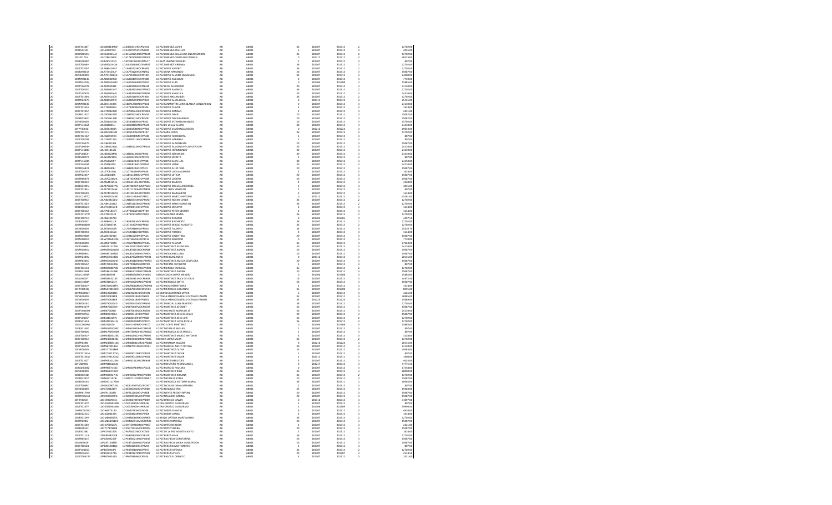| 20<br>20      | 20DST01841               | LOJJ860414MW                 | LOJJ860414HOCPMV01                       | LOPEZ JIMENEZ JAVIER                                                   |                 | AB001                 | 36                                      | 201307           | 201312           |                                                    |
|---------------|--------------------------|------------------------------|------------------------------------------|------------------------------------------------------------------------|-----------------|-----------------------|-----------------------------------------|------------------|------------------|----------------------------------------------------|
|               | 20DES0210I               | LOJL6907075C                 | LOJL690707HOCPMS09                       | LOPEZ JIMENEZ JOSE LUIS                                                | AB              | AB001                 | ×,                                      | 201307           | 201312           |                                                    |
| 20<br>20      | 20DJN0850U<br>20FIZ0171A | LOJ0660325UZ<br>LOJO780108FX | LOJ0660325MOCPML04<br>LOJO780108MOCPMS05 | LOPEZ JIMENEZ OLGA LIDIA ENCARNACION<br>LOPEZ JIMENEZ OSIRES DELCARMEN | AB<br>AB        | AB001<br>AB001        | 36<br>$\theta$                          | 201307<br>201217 | 201312<br>201312 | $\overline{\mathbf{3}}$                            |
| 20            | 20DES0039                | LOJR7902125D                 | LOJR790212HOCZMG17                       | LOAEZA JIMENEZ ROGERS                                                  | AB              | AB001                 |                                         | 201307           | 201312           |                                                    |
|               | 20DST0048F               | LOJV850814CW                 | LOJV850814MOCPMR07                       | LOPEZ IIMENEZ VIRGINIA                                                 |                 | <b>AR001</b>          |                                         | 201307           | 201312           |                                                    |
| 20<br>20      | 20DST0205F               | LOLA680103N7                 | LOLA680103HOCPPN09                       | LOPEZ LOPEZ ANTERO                                                     | AB<br>AB        | AB001                 | $\begin{array}{c} 36 \\ 36 \end{array}$ | 201307           | 201312           | $\frac{2}{2}$                                      |
|               | 20DBA0015J               | LOLA770120UF                 | LOLA770120HOCPNR02                       | LOPEZ LUNA ARMANDO                                                     |                 | AB001                 |                                         | 201307           | 201312           |                                                    |
| 20<br>20      | 202NE0040V               | LOLA791208QG                 | LOLA791208HOCPPL00                       | LOPEZ LOPEZ ALVARO EMMANUEL                                            | AB<br>AB        | AB001                 | $\begin{array}{c} 20 \\ 31 \end{array}$ | 201307           | 201312           | $\frac{3}{3}$                                      |
| 20<br>20      | 20DNP0013S               | LOLA800409ED                 | LOLA800409HOCPPN08                       | LOPEZ LOPEZ ANCELMO                                                    | AB<br>AB        | AB001                 | $_{\rm 0}^{\rm 0}$                      | 201307           | 201312           | $\frac{3}{3}$                                      |
|               | 20DPR3479N               | LOLA800526M3                 | LOLA800526MOCPPL00                       | LOPEZ LOPEZ ALBA                                                       |                 | AB001                 |                                         | 201304           | 201308           |                                                    |
| 20<br>20      | 20DTV0672X               | LOLA8102288C                 | LOLA810228HOCPNL04                       | LOPEZ LEON ALEJANDRO                                                   | AB<br>AB        | AB001                 | 30<br>36                                | 201307           | 201312           |                                                    |
|               | 20DST0025E               | LOLA830915HT                 | LOLA830915MOCPPM03                       | LOPEZ LOPEZ AMERICA                                                    |                 | AB001                 |                                         | 201307           | 201312           | $\overline{2}$                                     |
| 20            | 20DTV0767K               | LOLA840926H5                 | LOLA840926MOCPPN08                       | LOPEZ LOPEZ ANGELICA                                                   | AB<br>AB        | AB001                 | 30                                      | 201307           | 201312           |                                                    |
| $_{20}$       | 20DST0149N               | LOLA870116CX                 | LOLA870116HOCPSR00                       | <b>LOPEZ LUIS ARQUIMIDES</b>                                           |                 | AB001                 | 36                                      | 201307           | 201312           | $\overline{2}$                                     |
| 20            | 20DPR2247Q               | LOLA880509FR                 | LOLA880509MOCPPL09                       | LOPEZ LOPEZ ALMA DELIA                                                 | AB              | AB001                 | $\bf{0}$                                | 201311           | 201312           |                                                    |
| 20            | 20DNP0013S               | LOLB871230B5                 | LOLB871230MOCPRL01                       | LOPEZ SANMARTIN LORIA BLANCA CONCEPCION                                | AB              | AB001                 | $\circ$                                 | 201307           | 201312           | $\overline{\mathbf{3}}$                            |
| 20            | 20DST0162H<br>2005T01957 | LOLC790909E3<br>LOLD7909247D | LOLC790909HOCPPL06<br>LOLD790924HOCPPM03 | LOPEZ LOPEZ CLAVER<br>LOPEZ LOPEZ DAMIAN                               | AB<br>AR        | AB001<br><b>AR001</b> | $\overline{2}$<br>$\overline{a}$        | 201307<br>201307 | 201312<br>201312 | $\overline{\mathbf{3}}$<br>$\overline{a}$          |
| 20<br>20      | 20DPR22320               | LOLD8706257D                 | LOLD870625HOCPPV09                       | LOPEZ LOPEZ DAVID                                                      | AB              |                       | 20                                      |                  |                  |                                                    |
|               | 20DPR3593E               | LOLD9106129R                 | LOLD910612HOCPPV00                       | LOPEZ LOPEZ DAVIS MANUEL                                               | AB              | AB001<br><b>AR001</b> |                                         | 201307<br>201307 | 201312<br>201312 | 3<br>$\overline{\mathbf{3}}$                       |
| 20<br>20      | 20ZNE0040V               | LOLE540815MJ                 | LOLE540815HOCPPS02                       | LOPEZ LOPEZ ESTANISLAO ANGEL                                           | $\overline{AB}$ | AB001                 | $\frac{20}{20}$                         | 201307           | 201312           | 3                                                  |
|               | 20DTV16362               | LOLE810825JJ                 | LOLE810825MOCPZL03                       | LOPEZ DE LA LUZ ELVIRA                                                 | AB              | AB001                 | 30                                      | 201307           | 201312           | $\overline{\mathbf{3}}$                            |
| 20<br>20      | 20FPF0001C               | LOLE8302081R                 | LOLE830208MOCPPS02                       | LOPEZ LOPEZ ESMERALDA ROCIO                                            | AB              | AB001                 | $\circ$                                 | 201212           | 201224           | $\overline{\mathbf{3}}$                            |
| 20            | 20DST0217U               | LOLE851005NN                 | LOLE851005HOCPRF07                       | LOPEZ LARA EFREN                                                       | AB              | AB001                 | 36                                      | 201307           | 201312           | $\overline{2}$                                     |
| $_{20}$       | 20DST02122               | LOLF680929KX                 | LOLF680929MOCPPL08                       | LOPEZ LOPEZ FLORIBERTA                                                 | AB              | AB001                 | $\mathbf{1}$                            | 201307           | 201312           | $\overline{\mathbf{3}}$                            |
| 20            | 20DST0070R               | LOLG760711LV                 | LOLG760711MOCPPB09                       | LOPEZ LOPEZ GABRIELA                                                   | AB              | AB001                 |                                         | 201307           | 201312           |                                                    |
| 20            | 20DCC0537N               | LOLG84021913                 |                                          | LOPEZ LOPEZ GLADISELMA                                                 | AB              | AB001                 | 20                                      | 201307           | 201312           | $\overline{\mathbf{3}}$                            |
| 20            | 20DTV0054M               | LOLG880123Q1                 | LOLG880123MOCPPD01                       | LOPEZ LOPEZ GUADALUPE CONCEPCION                                       | AB<br>AB        | AB001                 | 30                                      | 201307           | 201312           | $\overline{\mathbf{3}}$                            |
| 20            | 200TV16480               | LOLH81101616                 |                                          | LOPEZ LOPEZ HERMELINDO                                                 |                 | <b>AR001</b>          | 30                                      | 201307           | 201312           | $\overline{a}$                                     |
| 20            | 20DTV0852H               | LOLI860623MG                 | LOU860623MOCPPS04                        | LOPEZ LOPEZ ISBI MADAI                                                 | AB              | AB001                 | 30                                      | 201307           | 201312           |                                                    |
| 20<br>20      | 20DES00078               | LOLI650421DO                 | LOLI650421MOCPPC01                       | LOPEZ LOPEZ JACINTA                                                    | AB<br>AB        | <b>AR001</b>          | $\mathbf{1}$<br>$30^{-}$                | 201307           | 201312           | $\overline{\mathbf{3}}$                            |
|               | 20DTV1658<br>20DTV0504A  | LOLJ760620P7<br>LOLJ7908245E | LOLJ760620HOCPPN08<br>LOLJ790824HOCPPM04 | LOPEZ LOPEZ JUAN LUIS<br>LOPEZ LOPEZ JAIME                             | AB              | AB001<br><b>AR001</b> |                                         | 201307<br>201307 | 201312<br>201312 | $\overline{\mathbf{3}}$<br>$\overline{\mathbf{3}}$ |
| 20<br>20      | 20DPB1692F               | LOLJ8809308J                 | LOLI880930HOCPPL01                       | LOPEZ LOPEZ JULIO IVAN                                                 | AB              | AB001                 | $\frac{30}{20}$                         | 201307           | 201312           | $\overline{\mathbf{3}}$                            |
| 20            | 20DST0072P               | LOLL770813NL                 | LOLL770813MPLPPC08                       | LOPEZ LOPEZ LUCILA AURORA                                              | AB              | AB001                 | $\,$ 2                                  | 201307           | 201312           | 3                                                  |
| $_{20}$       | 20DPR2231F               | <b>LOLL851108IK</b>          | LOLL851108MOCPPT07                       | LOPEZ LOPEZ LETICIA                                                    | AB              | AB001                 | 20                                      | 201307           | 201312           | $\overline{\mathbf{3}}$                            |
| 20            | 20DPB0607                | LOLL870220MA                 | LOLL870220MOCPPC08                       | LOPEZ LOPEZ LUCERO                                                     | AB              | AB001                 | $\overline{20}$                         | 201307           | 201312           |                                                    |
| $_{20}$       | 20DST0032Q               | <b>LOLM641125HL</b>          | LOLM641125HOCPPR06                       | LOPEZ LOPEZ MARCOS                                                     | AB              | AB001                 |                                         | 201307           | 201312           | $\overline{\mathbf{3}}$                            |
| 20            | 20DES0109L               | LOLM700207PG                 | LOLM700207HMCPPG04                       | LOPEZ LOPEZ MIGUEL ARCANGEL                                            | AB              | AB001                 | $\begin{array}{c} 4 \\ 5 \end{array}$   | 201307           | 201312           |                                                    |
| $_{20}$       | 20DST0183U               | LOLM7112146K                 | LOLM711214HOCPNR01                       | LOPEZ DE LEON MARCELO                                                  | AB              | AB001                 | $\mathbf{1}$                            | 201307           | 201312           | $\overline{\mathbf{3}}$                            |
| 20            | 20DST0059V               | LOLM740110CQ                 | LOLM740110HOCPPR09                       | LOPEZ LOPEZ MARGARITO                                                  | AB              | AB001                 |                                         | 201307           | 201312           |                                                    |
|               | 20DCC23570               | LOLM911024NF                 | LOLM911024HOCPPR11                       | LOPEZ LOPEZ MARCO ANTONIO                                              |                 | <b>AR001</b>          | $\theta$                                | 201312           | 201312           |                                                    |
| 20<br>20      | 20DST00952               | LOLN820315DU                 | LOLN820315MOCPPM07                       | LOPEZ LOPEZ NOEMI LOYDA                                                | AB<br>AB        | AB001                 | 36                                      | 201307           | 201312           | $\frac{3}{2}$                                      |
| 20<br>20      | 20DST0162H               | LOLN89110212<br>LOLO740115VD | LOLN891102MOCPPN00                       | LOPEZ LOPEZ NANCY MARILYN<br>LOPEZ LOPEZ OCTAVIO                       | AB<br>AB        | <b>AR001</b>          | $\begin{array}{c} 36 \\ 2 \end{array}$  | 201307           | 201312           | $\overline{2}$                                     |
|               |                          |                              | LOLO740115HOCPPC15                       |                                                                        |                 | AB001                 |                                         | 201307           | 201312           |                                                    |
| 20<br>20      | 20DST00132               | LOLP790102QT                 | LOLP790102HOCPPT00                       | LOPEZ LOPEZ PETER NESTOR                                               | AB<br>AB        | <b>AR001</b>          | $\overline{2}$                          | 201307           | 201312           | $\frac{3}{2}$                                      |
|               | 20DST0157W               | LOLR790101JR                 | LOLR790101MOCPZY04                       |                                                                        |                 | AB001                 | 36                                      | 201307           | 201312           |                                                    |
| 20<br>20      | 20DST0071Q               | LOLR8610079V                 |                                          | LOPEZ LOPEZ ROSARIO                                                    | AB<br>AB        | AB001                 | $\begin{array}{c} 0 \\ 36 \end{array}$  | 201305           | 201305           | $\frac{3}{2}$                                      |
|               | 20DES0035T               | LOLR880511LR                 | LOLR880511HOCPPG06                       | LOPEZ LOPEZ RIGOBERTO                                                  |                 | AB001                 |                                         | 201307           | 201312           |                                                    |
| 20            | 20DPR0848W               | LOLS7210074X                 | LOLS721007HOCPPR06                       | LOPEZ LOPEZ SERGIO AUGUSTO                                             | AB              | AB001                 | 36                                      | 201307           | 201312           | $\overline{2}$                                     |
| 20            | 202NE0040V<br>20DST0029A | LOLT6709161R<br>LOLT6904165B | LOLT670916HOCPPR02<br>LOLT690416HOCPPR01 | LOPEZ LOPEZ TAURINO                                                    | AB              | AB001<br>AB001        | 33                                      | 201307<br>201307 | 201312<br>201312 | $\overline{\mathbf{3}}$                            |
| 20            | 20DPR19484               | LOLV8410291V                 | LOLV841029MV7PPL01                       | LOPEZ LOPEZ TORIBIO<br>LOPEZ LOPEZ VALENTINA                           | AB              | <b>AR001</b>          |                                         | 201307           | 201312           |                                                    |
| 20<br>20      | 20DNL0001F               | LOLW730603CM                 | LOLW730603HOCPPL14                       | LOPEZ LOPEZ WILFRIDO                                                   | AB<br>AB        | AB001                 | $\overset{20}{_{0}}$                    | 201307           | 201312           | $\frac{3}{3}$                                      |
|               |                          | LOLY850718RG                 | LOLY850718MOCPPG06                       | LOPEZ LOPEZ YESENIA                                                    |                 | <b>AR001</b>          |                                         | 201307           | 201312           | $\overline{\mathbf{3}}$                            |
| 20<br>20      | 202NE0040V<br>20DTV0948U | LOMA791227JN                 | LOMA791227MOCPRS01                       | LOPEZ MARTINEZ ASUNCION                                                | AB<br>AB        | AB001                 | 36<br>30                                | 201307           | 201312           |                                                    |
|               |                          | LOMA8502014W                 |                                          | LOPEZ MARTINEZ AARON                                                   |                 | <b>AR001</b>          |                                         | 201307           | 201312           |                                                    |
| 20<br>20      | 20DPR2044V<br>20DPB0064U | LOMA85100616                 | LOMA850201HOCPRR08<br>LOMA851006MOCPJN04 | LOPEZ MEJIA ANA LUISA                                                  | AB<br>AB        | AB001                 | $\begin{array}{c} 20 \\ 20 \end{array}$ | 201307           | 201312           | $\frac{3}{3}$                                      |
| 20<br>20      | 20DPR2300V               | LOMA8705282Q                 | LOMA870528MOCPRN01                       | LOPEZ MORGAN ANAHI<br>LOPEZ MARTINEZ AMELIA CELIFLORA                  | AB<br>AB        | <b>AR001</b>          | $\begin{array}{c} 0 \\ 20 \end{array}$  | 201312           | 201312           | $\frac{3}{3}$                                      |
|               | 20DPR04040               | LOMA930105HE                 | LOMA930105MOCPRM03                       |                                                                        |                 | AB001                 |                                         | 201307           | 201312           |                                                    |
| 20<br>20      | 20DST00552               | LOMC790320R6                 | LOMC790320HGRPRT09                       | LOPEZ MORAN CUTBERTO                                                   | AB<br>AB        | AB001                 | $\begin{array}{c} 1 \\ 36 \end{array}$  | 201307           | 201312           | $\frac{3}{2}$                                      |
|               | 20DST0255X               | LOMC850807DB                 | LOMC850807MOCPNR08                       | LOPEZ MENDEZ CARMELA                                                   |                 | AB001                 |                                         | 201307           | 201312           |                                                    |
| 20<br>20      | 20DPR3358B               | LOMD8610198E                 | LOMD861019MOCPRN03                       | LOPEZ MARTINEZ DANIRA                                                  | AB              | AB001                 | $^{20}$                                 | 201307           | 201312           |                                                    |
|               | 20DCC1028F               | LOMD880508                   | LOMD880508HOCPNG04                       | DIEGO EDSON LOPEZ MENDEZ                                               | AB              | AB001                 | $\circ$                                 | 201304           | 201308           | $\overline{\mathbf{3}}$                            |
| 20<br>$_{20}$ | 20DLI0001F<br>20DCC1028F | LOME83032133<br>LOME910525JY | LOME830321HOCPRR03<br>LOME910525MOCPND02 | LOPEZ MARTINEZ ERICK DE JESUS<br>LOPEZ MENDOZA EDITH                   | AB<br>AB        | AB001<br>AB001        | 19<br>20                                | 201307<br>201307 | 201312<br>201312 | $\overline{\mathbf{3}}$                            |
| 20            | 20DST0031P               | LOMG780108TK                 | LOMG780108MOCPMN00                       | LOPEZ MUMENTHEY GINA                                                   | AB              | AB001                 |                                         | 201307           | 201312           |                                                    |
| 20            | 20FZF0011Q               | LOMG870810DH                 | LOMG870810HOCPNV03                       | LOPEZ MENDOZA GIOVANNI                                                 | AB              | AB001                 | $\begin{array}{c} 2 \\ 35 \end{array}$  | 201307           | 201308           | $\overline{\mathbf{3}}$                            |
| 20            | 20HMC0002                | LOMJ630201N5                 | LOMJ630201HOCNRV00                       | LONGINOS MARTINEZ JAVIER                                               | AB              | AB001                 | $\boldsymbol{6}$                        | 201307           | 201312           | $\overline{\mathbf{3}}$                            |
|               | 202NF0040V               | LOM1700818P8                 | LOM1700818HDEYNS01                       | LOYZAGA MENDOZA JESUS OCTAVIO FABIAN                                   | AB              | <b>AR001</b>          |                                         | 201307           | 201312           | $\overline{a}$                                     |
| 20<br>20      | 202NE0040V               | LOMJ700818P8                 | LOMJ700818HDFYNS01                       | LOYZAGA MENDOZA JESUS OCTAVIO FABIAN                                   | AB              | AB001                 | 35<br>35                                | 201223           | 201224           | $\overline{\mathbf{3}}$                            |
|               | 20DEE0014D               | LOMJ7909224D                 | LOMJ790922HOCPRN04                       | LOPEZ MARCIAL JUAN ERNESTO                                             | AB<br>AB        | AB001                 |                                         | 201307           | 201312           |                                                    |
| 20<br>20      | 20DPR0307A               | LOMJ870607U9                 | LOMJ870607MOCPRC07                       | LOPEZ MARTINEZ JOCABET                                                 |                 | AB001                 | $\begin{array}{c} 36 \\ 20 \end{array}$ | 201307           | 201312           | $\frac{2}{3}$                                      |
| 20<br>20      | 20DTV0410M               | LOMJ870626IJ                 | LOMJ870626MOCPRS05                       | LOPEZ MORALES MARIA DE JE                                              | AB<br>AB        | AB001                 | 30                                      | 201307           | 201312           |                                                    |
|               | 20DPR1076G               | LOMJ890319L4                 | LOMJ890319HOCPRS05                       | LOPEZ MARTINEZ JOSE DE JESUS                                           |                 | AB001                 | 20                                      | 201307           | 201312           | $\overline{\mathbf{3}}$                            |
| 20            | 20DTV0465R               | LOML840129JV                 | LOML840129HDFPRS08                       | LOPEZ MARTINEZ JOSE LUIS                                               | AB<br>AB        | AB001                 | 36                                      | 201307           | 201312           |                                                    |
| $_{20}$       | 20DES0143A               | LOML890304LO                 | LOML890304MOCPRC01                       | LOPEZ MARTINEZ LUCIA ESTELA                                            |                 | AB001                 | 36                                      | 201307           | 201312           | $\overline{2}$                                     |
| 20<br>20      | 20DCC0009W<br>20DES0140D | LOML911029<br>LOMM620929KX   | LOML911029MOCPRC07<br>LOMM620929HOCPRG02 | LUCERO LOPEZ MARTINEZ<br>LOPEZ MORALES MIGUEL                          | AB<br>AB        | AB001<br>AB001        | $\bf{0}$<br>$\mathbf{1}$                | 201304<br>201307 | 201308<br>201312 | $\overline{\mathbf{3}}$                            |
| 20            | 20DST0060K               | LOMM750910D9                 | LOMM750910HOCPNG00                       | LOPEZ MENDOZA JOSE MIGUEL                                              | AB              | AB001                 | $\,$ 1                                  | 201307           | 201312           | $\overline{\mathbf{3}}$                            |
|               | 20DST0031P               | LOMM820412FK                 | LOMM820412HOCPRR06                       | LOPEZ MARTINEZ MARCO ANTONIO                                           | AR              | <b>AR001</b>          | $\overline{a}$                          | 201307           | 201312           | $\overline{a}$                                     |
| 20<br>20      | 20DST00952               | LOMM830404RL                 | LOMM830404MOCPJN06                       | MONICA LOPEZ MEJIA                                                     | AB              | AB001                 | 36                                      | 201307           | 201312           |                                                    |
|               | 20DPR0398                | LOMM88081146                 | LOMM880811MOCPRD08                       | <b>I OPEZ MIRANDA MADAHI</b>                                           |                 | <b>AR001</b>          | $\theta$                                | 201216           | 201224           | $\overline{\mathbf{3}}$                            |
| 20<br>20      | 20DTV0672X               | LOMN870911GJ                 | LOMN870911MOCPRL01                       | LOPEZ MARCIAL NELLY CINTHIA                                            | AB<br>AB        | AB001                 | 30                                      | 201307           | 201312           | 3                                                  |
| 20<br>20      | 202NE0040V               | LOMO770528HE                 |                                          | LOPEZ MARTINEZ OLIVIA                                                  | AB              | AB001                 | 25                                      | 201307           | 201312           | 3                                                  |
|               | 20DST0133M               | LOM07901201Q                 | LOMO790120HOCPRS02                       | <b>LOPEZ MARTINEZ OSCAR</b>                                            | AB              | AB001                 | $\mathbf{1}$                            | 201307           | 201312           | $\frac{3}{3}$                                      |
| 20            | 20DST0133M               | LOMO7901201Q                 | LOMO790120HOCPRS02                       | LOPEZ MARTINEZ OSCAP                                                   | AB              | AB001                 | $\mathbf{1}$                            | 201311           | 201311           |                                                    |
| $_{20}$       | 20DST0102T               | LOMP631012SM                 | LOMP631012MCSPRR08                       | <b>LOPEZ PEREZ MERCEDES</b>                                            | AB              | AB001                 | 5                                       | 201307           | 201312           | $\overline{\mathbf{3}}$                            |
| 20            | 20FIZ0090Q               | LOMP810628LM                 |                                          | LOPEZ MONTERO PEDRO ANGEL                                              | AB              | AB001                 | $\ddot{\text{o}}$                       | 201217           | 201312           |                                                    |
| $_{20}$       | 20AGD00042<br>202NE0040V | LOMP8507146C<br>LOMR8301195F | LOMP850714MOCPCL01                       | LOPEZ MARCIEL PAULINA<br>LOPEZ MARTINEZ RUBI                           | AB              | AB001<br>AB001        | $\circ$                                 | 201307<br>201307 | 201312<br>201312 | $\overline{\mathbf{3}}$                            |
| 20            | 2000/00110               | LOMR900927HS                 | LOMB900927MOCPRX00                       | <b>LOPEZ MARTINEZ ROXANA</b>                                           | AB<br>AR        | <b>AR001</b>          | 36                                      | 201307           | 201312           | $\overline{z}$                                     |
| 20<br>20      | 20DPR33022               | LOMS871107BL                 | LOMS871107MOCPRN07                       | LOPEZ MORALES SONIA                                                    | AB              | AB001                 | $\begin{array}{c} 36 \\ 20 \end{array}$ | 201307           | 201312           |                                                    |
|               | 20DEE0014D               | LOMV6711176W                 |                                          | LOPEZ MENDOZA VICTORIA MARIA                                           |                 | <b>AR001</b>          | 36                                      | 201307           | 201311           | $\overline{2}$                                     |
| 20<br>20      | 20DST0068C               | LOND8109073N                 | LOND810907MOCPCN07                       | LOPEZ NICOLAS DIANA MARISSA                                            | AB<br>AB        | AB001                 | $\,$ 1                                  | 201307           | 201312           | 3                                                  |
|               | 202NE0040V               | LONE7001015Y                 | LONE700101HOCPGR00                       | LOPEZ NOGALES ERIC                                                     | AB              | AB001                 | 25                                      | 201307           | 201312           | 3                                                  |
| 20<br>20      | 20DPR0179W               | LONF911202SI                 | LONF911202HOCPVR08                       | LOPEZ NIEVES FREDDY BRYAN                                              | AB              | AB001                 | 20                                      | 201307           | 201312           |                                                    |
| 20            | 20DPR1855M               | LONK900924PG                 | LONK900924MOCPVR03                       | LOPEZ NAVARRO KARINA                                                   | AB              | AB001                 | $20\,$                                  | 201307           | 201312           | $\frac{3}{3}$                                      |
| $_{20}$       | 20FZF0043I               | LOOE90070945                 | LOOE900709HOCPRD09                       | LOPEZ OROSCO EDWIN                                                     | AB              | AB001                 | $\circ$                                 | 201312           | 201312           | $\overline{\mathbf{3}}$                            |
| 20            | 20DST0147P               | LOOG550903MM                 | LOOGS50903HSPRRL06                       | LOERA OROZCO GUILLERMO                                                 | AB              | AB001                 |                                         | 201307           | 201312           |                                                    |
| $_{20}$       | 20DST0147P               | LOOG550903MM                 | LOOG550903HSPRRL06                       | LOERA OROZCO GUILLERMO                                                 | AB              | AB001                 | $\mathbf{1}$                            | 201309           | 201309           | $\overline{\mathbf{3}}$                            |
| 20            | 20HMC0010C               | LO016407314G                 | LOOI640731HOCPJG08                       | LOPEZ OJEDA IGNACIO                                                    | AB              | AB001                 | 6                                       | 201307           | 201312           |                                                    |
| 20<br>20      | 20DES02210               | 100162082394                 | LOOI620823MOCPIN09                       | LOPEZ O IFDA ILIANA                                                    | AB              | <b>AR001</b>          | $\overline{ }$                          | 201307           | 201312           | $\overline{\mathbf{3}}$                            |
|               | 20DES0129H<br>200PR29061 | LOOM8006097L<br>LOOM860911K1 | LOOM800609HOCRRR09<br>LOOM860911MOCPRR00 | LORENZO ORTEGA MARTIMIANO<br>LOPEZ ORTIZ MARITZA                       | AB              | AB001<br><b>AR001</b> | 36                                      | 201307<br>201307 | 201312<br>201312 |                                                    |
| 20<br>20      | 20DST0158V               | LOON7509267L                 | LOON750926MOCPRR07                       | LOPEZ ORTIZ NEREIDA                                                    | AB<br>AB        | AB001                 | $\frac{20}{3}$                          | 201307           | 201312           | $\frac{3}{3}$                                      |
|               | 20DEE0012F               | LOOY7710168B                 | LOOY771016MOCPRD03                       | LOPEZ ORTIZ YADIRA                                                     |                 | <b>AR001</b>          |                                         | 201307           | 201312           | $\overline{\mathbf{3}}$                            |
| 20<br>20      | 20DES0168J               | LOPA7502157K                 | LOPA750215HOCPZG06                       | LOPEZ DE LA PAZ AGUSTIN ANTO                                           | AB<br>AB        | AB001                 | $\begin{array}{c} 20 \\ 2 \end{array}$  | 201307           | 201312           | $\overline{\mathbf{3}}$                            |
|               | 20DST0111A               | LOPA850820UR                 | LOPA850820MOCPRL08                       | LOPEZ PEREZ ALMA                                                       |                 | AR001                 |                                         | 201307           | 201312           | $\overline{\mathbf{c}}$                            |
| 20<br>20      | 20DPB0541E               | LOPC8305215F                 | LOPC830521MOCPCN06                       | LOPEZ PACHECO CONSTATINA                                               | AB<br>AB        | AB001                 | $\begin{array}{c} 36 \\ 20 \end{array}$ | 201307           | 201312           | $\overline{\mathbf{3}}$                            |
|               | 20DIN0361P               | LOPC871208TB                 | LOPC871208MOCPCN02                       | LOPEZ PACHECO MARIA CONCEPCION<br>LOPEZ PEREZ DAVID TIMOTEO            |                 | AB001                 | 20                                      | 201307           | 201312           |                                                    |
| 20<br>20      | 20DST0052B               | LOPD801004Q3                 |                                          |                                                                        | AB<br>AB        | AB001                 | $\,$ 1                                  | 201307           | 201312           | $\overline{\mathbf{3}}$                            |
|               | 20DTV0416G               | LOPE870918PJ                 | LOPE870918MOCPRF07                       | LOPEZ PEREZ EUFEMIA                                                    | AB<br>AB        | AB001                 | 36                                      | 201307           | 201312           |                                                    |
| 20            | 20DPB1613O               | LOPE9401272A                 | LOPE940127MOCPRV08                       | LOPEZ PEREZ EVELYN                                                     |                 | AB001                 | 20                                      | 201307           | 201307           | $\overline{\mathbf{3}}$                            |
|               | 20DST0041W               | LOPF6709241G                 | LOPF670924HOCPSL04                       | LOPEZ PASOS FLORENCIO                                                  | AB              | AB001                 |                                         | 201307           | 201312           |                                                    |
|               |                          |                              |                                          |                                                                        |                 |                       |                                         |                  |                  |                                                    |

# 12702,00 3 4035,00 2 12702,00 3 40223,00 3 807,00 2 12702,00 2 12702,00 3 15087,00 3 24000,00 3 7710,00 3 15885,00 3 23130,00 2 12702,00 3 24210,00 2 12702,00 3 25145,00 3 23130,00 3 1614,00 3 2421,00 3 15087,00 3 15087,00 3 15705,00 3 24210,00 3 19053,00 2 12702,00 3 807,00 3 807,00 3 15087,00 3 24210,00 3 24210,00 3 24210,00 3 807,00 3 24210,00 3 24210,00 3 15087,00 3 1614,00 3 15087,00 3 15087,00 3 3228,00 3 4035,00 3 807,00 3 1614,00 3 45261,00 2 12702,00 2 12702,00 3 1614,00 3 1614,00 2 12702,00 3 4497,50 2 12702,00 2 12702,00 3 25310,70 3 1614,00 3 15087,00 3 7710,00 3 27963,00 3 24210,00 3 15087,00 3 15087,00 3 20116,00 3 15087,00 3 807,00 2 12702,00 3 15087,00 3 15885,00 3 14972,40 3 15087,00 3 1614,00 3 8995,00 3 4626,00 3 26985,00 3 15689,60 2 12702,00 3 15087,00 3 24210,00 3 15087,00 2 12702,00 2 12702,00 3 15885,00 3 807,00 3 807,00 3 3228,00 2 12702,00 3 20116,00 3 23130,00 3 19383,00 3 807,00 3 1000,00 3 4035,00 3 47775,50 3 17338,00 3 60000,00 2 12702,00 3 15087,00 2 10585,00 3 807,00 3 19383,00 3 15087,00 3 15087,00 3 31097,00 3 807,00 3 39990,40 3 4626,00 3 1614,00 2 12702,00 3 15087,00 3 2421,00 3 15087,00 3 1614,00 2 12702,00 3 15087,00 3 15087,00 3 807,00 2 12702,00 3 2514,50 3 2421,00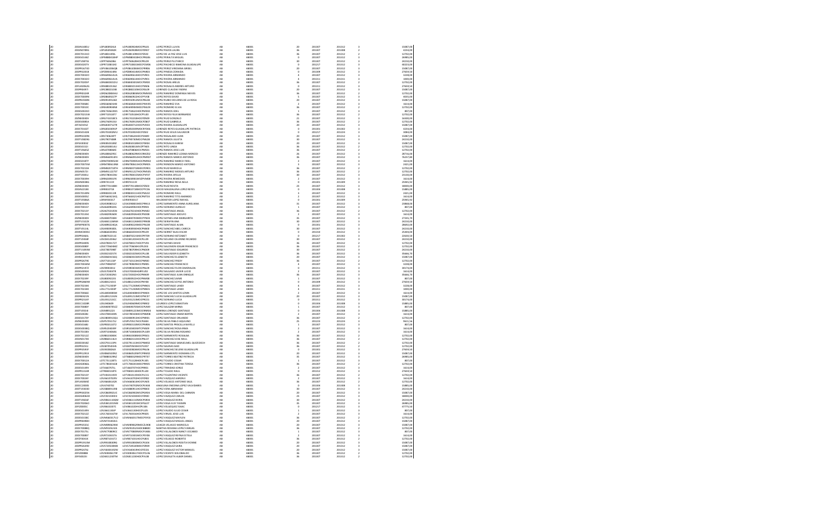| 20<br>20      | 20DJN1485U               | LOPL800924LX                 | LOPL800924MOCPRL01                       | LOPEZ PEREZ LLUVIA                                             |                 | AB001          | 20                                      | 201307           | 201312           |                          | 15087,00<br>4234.00     |
|---------------|--------------------------|------------------------------|------------------------------------------|----------------------------------------------------------------|-----------------|----------------|-----------------------------------------|------------------|------------------|--------------------------|-------------------------|
|               | 20DJN0789G               | LOPL8509282K                 | LOPL850928MOCPZR07                       | LOPEZ PAZOS LAURA                                              | AB              | AB001<br>AB001 | 36                                      | 201307           | 201308           |                          |                         |
| 20<br>20      | 20DST01310<br>20DES01442 | LOPL881109JL<br>LOPM880418HP | LOPL881109HOCPZS02<br>LOPM880418HOCPRG06 | LOPEZ DE LA PAZ JOSE LUIS<br>LOPEZ PERALTA MIGUEL              | AB<br>AB        | AB001          | 36<br>$\circ$                           | 201307<br>201307 | 201312<br>201312 |                          | 12702,00<br>26985.00    |
| 20            | 20DTV0875S               | LOPP7606286J                 | LOPP760628HOCPRL09                       | LOPEZ PEREZ PLUTARCO                                           | AB              | AB001          | 30                                      | 201307           | 201312           |                          | 24210,00                |
|               |                          |                              |                                          |                                                                | AB              | AB001          |                                         |                  | 201312           |                          | 40223.00                |
| 20<br>20      | 20DES0207V<br>20DPR1673D | LOPR710831KE<br>LOPV861006QB | LOPR710831MOCPCM06<br>LOPV861006MOCPRR06 | LOPEZ PACHECO RAMONA GUADALUPE<br>LOPEZ PEREZ VIRIDIANA GRISEL | $\overline{AB}$ | AB001          | $_{{\bf 20}}^{\bf 0}$                   | 201217<br>201307 | 201312           |                          | 15087,00                |
|               | 20DPR3201B               | LOPZ890414RA<br>LORA690614UA | LOPZ890414MOCPNR03                       | LOPEZ PINEDA ZORAIDA                                           |                 | AB001          | $\mathbb O$                             | 201309<br>201307 | 201312           |                          | 27659,50                |
| 20<br>20      |                          |                              | LORA690614HOCPVR01                       |                                                                | AB<br>AB        | AB001          | $\overline{4}$                          |                  | 201312           |                          |                         |
| 20<br>20      | 20DST0032O               | LORA690614UA<br>LORA840301DU | LORA690614HOCPVR01                       | LOPEZ RIVERA ARMANDO                                           | AB<br>AB        | AB001          |                                         | 201311           | 201311           |                          | 1000,00                 |
|               | 20DST0205F               |                              | LORA840301MOCPSR00                       |                                                                |                 | AB001          | 36                                      | 201307           | 201312           |                          | 12702,00                |
| 20<br>20      | 20FUA0062G               | LORA88101362                 | LORA881013HOCPSN06                       | LOPEZ ROSALES ANDRES ARTURO                                    | AB              | AB001          |                                         | 201311           | 201312           |                          | 27659,50<br>15087,00    |
|               | 20DPR0497I               | LORC88021038                 | LORC880210MOCRSL09                       | LORENZO CLAUDIA YADIRA                                         | AB              | AB001          | 20                                      | 201307           | 201312           |                          |                         |
| 20            | 20DPR0324F               | LORD620804HU                 | LORD620804MOCPMM03                       | LOPEZ RAMIREZ DOMINGA NIEVES                                   | AB              | AB001          | 36                                      | 201307           | 201312           |                          | 12702,00                |
| 20            | 20DST0009N               | LORD8609227P                 | LORD860922HOCPYV08                       | LOPEZ REYES DAVID                                              | AB              | AB001          | 5                                       | 201307           | 201312           |                          | 4035.00                 |
| 20            | 20DPB1928N               | LORD9109126X                 | LORD910912MOCPBL08                       | LOPEZ RUBIO DOLORES DE LA ROSA                                 | AB              | AB001          | 20                                      | 201307           | 201312           |                          | 15087,00                |
| 20            | 20DST0068C               | LORE660601HB                 | LORE660601MOCPMV05                       | LOPEZ RAMIREZ EVA                                              | AB              | AB001          | $\overline{2}$                          | 201307           | 201312           | 3                        | 1614.00                 |
| 20            | 20DST0010C<br>20DES00230 | LORE690904N8<br>LORE750622M1 | LORE690904MOCPML09<br>LORE750622HOCPMD02 | LOPEZ ROMERO ELVIA<br>LOPEZ RAMOS EDEL                         | AB<br>AB        | AB001<br>AB001 | 36<br>$\overline{1}$                    | 201307<br>201307 | 201312<br>201312 |                          | 12702,00<br>807.00      |
| 20<br>20      | 20DST0215W               | LORF71051877                 | LORF710518HOCPYL00                       | LOPEZ REYES FELIX BERNARDO                                     | AB              | AB001          | 36                                      | 201307           | 201312           |                          | 12702,00                |
| 20            | 207NF0040V               | LORG741018C5                 | LORG741018HOCP7N09                       | LOPEZ RUIZ GONZALO                                             | <b>AR</b>       | AB001          |                                         | 201307           | 201312           |                          | 16500.00                |
| 20            | 20DES0085A               | LORG760913UI                 | LORG760913MOCPZB07                       | LOPEZ RUIZ GABRIELA                                            | AB              | AB001          | $\begin{array}{c} 21 \\ 36 \end{array}$ | 201307           | 201312           |                          | 12702,00                |
| 20            | 20TAI0191Z               | LORG8307127R                 | LORG830712HOCPVD03                       | LOPEZ RIVERA GUADALUPE<br>LORENZO REYES GUADALUPE PATRICIA     | AB              | AB001          | 20                                      | 201307           | 201312           |                          | 15087,00<br>4234,00     |
| 20            | 20DST0102T               |                              | LORG850309MOCRYD06                       |                                                                | AB              | AB001          | $\circ$                                 | 201301           | 201302           |                          |                         |
| 20            | 20DES0142B               | LORJ701002MU                 | LORJ701002HOCPZS02                       | LOPEZ RUIZ JESUS SALVADOR                                      | AB              | AB001          | $\mathbf 0$                             | 201217           | 201224           |                          | 3084,00                 |
| 20            | 20DPR3339N               | LORJ730624P7                 | LORJ730624HOCPGN09                       | LOPEZ REGALADO JUAN                                            | AB              | AB001          | 20                                      | 201307           | 201312           |                          | 15087.00                |
| 20            | 20DTV0829G               | LORJ7907308R                 | LORJ790730MOCPML08                       | LOPEZ RAMOS JULIETA                                            | AB              | AB001          | 30                                      | 201307           | 201312           |                          | 24210,00                |
| 20            | 20FSE0003Z               | LORK8503189Z                 | LORK850318MOCPSR04                       | <b>LOPEZ ROSALES KAREM</b>                                     | AB              | AB001          | 20                                      | 201307           | 201312           |                          | 15087.00                |
| 20            | 20DES0152                | LORL8508314U                 | LORL850831MV2PTN05                       | LOPEZ RITO LINDA                                               | AB              | AB001          | 36<br>36                                | 201307           | 201312           |                          | 12702,00                |
| 20<br>20      | 20DTV06452               | LORL870806KE                 | LORL870806HOCPMS01                       | LOPEZ RAMOS JOSE LUIS                                          | AB              | AB001          |                                         | 201307           | 201312           | $\overline{ }$           | 12702.00                |
|               | 202NE0040V<br>202NF0040V | LORL8806295C<br>LORM660914F4 | LORL880629MOCRM202<br>LORM660914HOCPMR07 | LORENZO RAMIREZ LIZANIA MERCED<br>LOPEZ RAMOS MARCO ANTONIO    | AB<br><b>AR</b> | AB001<br>AR001 | 26                                      | 201307<br>201307 | 201312<br>201312 |                          | 28716,00<br>76237.80    |
| 20<br>20      | 20DES0187Y               | LORM700905JM                 | LORM700905HOCPMR02                       | LOPEZ RAMIREZ MARCO FIDEL                                      | AB              | AB001          | $\begin{array}{c} 36 \\ 2 \end{array}$  | 201307           | 201312           |                          | 1614,00                 |
| 20            | 20DST0075M               | LORM780613N8                 | LORM780613HOCPNR05                       | LOPEZ RENDON MARCO ANTONIO                                     | AB              | AB001          | $\overline{a}$                          | 201307           | 201312           |                          | 2421.00                 |
| 20            | 20DST0210A               | LORM820718TH                 | LORM820718MOCPZR01                       | LOPEZ RUIZ MARICELA                                            | AB              | AB001          | 36                                      | 201307           | 201312           |                          | 12702,00                |
| 20            | 20DJN0572I               | LORM9112275T                 | LORM911227HOCPMS05                       | LOPEZ RAMIREZ MOISES ARTURO                                    | AB              | AB001          | 36                                      | 201307           | 201312           | $\overline{ }$           | 12702,00                |
| 20            | 20DTV0041J               | LORO780415NJ                 | LORO780415MOCPVF07                       | LOPEZ RIVERA OFELIA                                            | AB              | AB001          | 30                                      | 201307           | 201312           |                          | 23130.00                |
| 20            | 20DST0039H               | LORR630901FK                 | LORR630901MVZPVM08                       | LOPEZ RIVERA REMEDIOS                                          | AB              | AB001          | $\overline{2}$                          | 201307           | 201312           |                          | 1614,00                 |
| 20            | 20DJN0038G               | LORR741119                   | LORR741119                               | LOPEZ RAMIREZ ROSA ISELA                                       | AB              | AB001          | $\theta$                                | 201301           | 201309           |                          | 25945.92                |
| 20            | 202NE0040V               | LORR7701188H                 | LORR770118MOCPZS03                       | LOPEZ RUIZ ROSITA                                              | AB              | AB001          | $\overline{\bf 23}$                     | 201307           | 201312           |                          | 18000,00                |
| 20            | 20DJN2218E               | LORR810718                   | LORR810718MOCPYC06                       | ROCIO MAGDALENA LOPEZ REYES                                    | AB              | AB001          | $\circ$                                 | 201304           | 201308           |                          | 15885.00                |
| 20            | 20DST0149M               | LORR830311IR                 | LORR830311HOCPML02                       | LOPEZ ROMERO RAUL                                              | AB              | AB001          |                                         | 201307           | 201312           |                          | 2421,00                 |
| 20            | 20DES00052               | LORT660421KQ                 | LORT660421HOCPMT03                       | LOPEZ RAMIREZ TITO AMANDO                                      | AB              | AB001          | $\overline{2}$                          | 201307           | 201312           |                          | 1614.00                 |
| 20            | 20DTV0586/               | LORW930317                   | LORW930317                               | WILDEMEYER LOPEZ RAFAEL                                        | AB              | AB001          | $\mathbf 0$                             | 201301           | 201309           |                          | 25945,92                |
| 20<br>20      | 207NF0040V               | LOSA59080112                 | LOSAS90801MOCPRN13                       | LOPEZ SARMIENTO ANNA AURELIANA                                 | AR              | AB001          | $\begin{array}{c} 31 \\ 1 \end{array}$  | 201307           | 201312           |                          | 23868.00                |
|               | 20DST0015Y               | LOSA64090245                 | LOSA640902HOCPRR01                       | LOPEZ SORIANO AURELIO                                          | $\overline{AB}$ | AB001          |                                         | 201307           | 201312           |                          | 807,00                  |
| 20<br>20      | 20DST0213Y<br>20DST0135K | LOSA6702105N<br>LOSA820926DK | LOSA670210HOCPNN02                       | LOPEZ SANTIAGO ANGEL<br>LOPEZ SANTIAGO ADOLFO                  | AB              | AB001          | $\begin{array}{c} 36 \\ 2 \end{array}$  | 201307           | 201312           |                          | $12702,00$<br>$1614,00$ |
|               |                          |                              | LOSA820926HOCPND08                       |                                                                | $\overline{AB}$ | AB001          |                                         | 201307           | 201312           |                          |                         |
| 20<br>20      | 202NE0040V<br>20DTV1522X | LOSA8407038V<br>LOSA841126NM | LOSA840703MOCPYN03<br>LOSA841126MOCPRN08 | LOPEZ SAYNES ANA MARGARITA<br>LOPEZ SERAFIN ANA                | AB<br>AB        | AB001<br>AB001 | 35<br>30                                | 201307<br>201307 | 201312           |                          | 27335,70<br>24210,00    |
| 20            | 20FMP0007G               | LOSA890224QA                 | LOSA890224MOCPNL08                       | LOPEZ SANTIAGO ALMA                                            | AB              | AB001          | $\,$ 0 $\,$                             |                  | 201312           |                          |                         |
| 20            | 20DTV0114L               | LOSA900930DL                 | LOSA900930HOCPNB00                       | LOPEZ SANCHEZ ABEL CARECA                                      | AB              | AB001          | 30                                      | 201301<br>201307 | 201312<br>201312 |                          | 28692,00<br>24210.00    |
| 20            | 20HMC0005C               | LOSB660203N1                 | LOSB660203HOCPRL09                       | LOPEZ SERRET BLAS OSCAR                                        | AB              | AB001          | $\overline{0}$                          | 201310           | 201312           |                          | 25404,00                |
| 20            | 20DPR3464L               | LOSB8702211E                 | LOSB870221MOCPRT09                       | LOPEZ SORIANO BETZABET                                         | AB              | AB001          | $\circ$                                 | 201217           | 201302           |                          | 22630.50                |
| 20            | 20DTV0458F               | LOSC84120362                 | LOSC841203HOCPLL09                       | LOPEZ SOLANO CELERINO RICARDO                                  | AB              | AB001          | $\overline{30}$                         | 201307           | 201312           |                          | 24210,00                |
|               | 200PR34095               | 105078031727                 | LOSD780317HOCPYV01                       | LOPEZ SAYNES DAVID                                             | AR              | AB001          |                                         | 201307           | 201312           |                          | 12702.00                |
| 20<br>20      | 20DES0080                | LOSE770604M2                 | LOSE770604HVZPLD03                       | LOPEZ SALOMON EDGAR FRANCISCO                                  | AB              | AB001          | 36<br>36                                | 201307           | 201312           |                          | 12702,00                |
|               | 20DTV1093W<br>20ZNE0040V | LOSE7807098T                 | LOSE 780709HOCPND0S                      |                                                                | AB              | AB001          |                                         | 201307           | 201312           |                          | 24210.00                |
| 20<br>20      |                          | LOSE8210257X                 | LOSE821025MOCPLL08                       | LOPEZ SANTIAGO EDGARDO<br>LOPEZ SALVADOR ELIZABETH             | $\overline{AB}$ | AB001          | 30<br>36                                | 201307           | 201312           |                          | 35666,70                |
| 20<br>20      | 20HMC0017H<br>20DPR2679E | LOSE8604156Q<br>LOSF710113JP | LOSE860415MOCPNL06<br>LOSF710113HOCPNR00 | LOPEZ SANCHEZ ELIZABETH<br>LOPEZ SANCHEZ FREDY                 | AB<br>AB        | AB001          | 20<br>36                                | 201307<br>201307 | 201312           |                          | 15087,00<br>12702,00    |
|               |                          |                              |                                          |                                                                |                 | AB001          |                                         |                  | 201312           |                          |                         |
| 20<br>20      | 20DST0034M               | LOSF7908293T                 | LOSE790829HOCPNR05<br>LOSF890301MOCPNL09 | LOPEZ SANCHEZ FRANCISCO<br>LOPEZ SANCHEZ FLOR ESMERALDA        | AB<br>AB        | AR001          |                                         | 201307           | 201312           |                          | 3228,00                 |
|               |                          |                              |                                          |                                                                |                 | AB001          | $\stackrel{.}{_{0}}$                    | 201311           | 201312           |                          | 30174,00                |
| 20<br>20      | 20DES0092K               | LOSJ570304TR<br>LOSJ720302N3 | LOSJ570304HGRPLV02<br>LOSJ720302HOCPNN09 | LOPEZ SALGADO JAVIER LUCIO                                     | AB<br>AB        | AB001          |                                         | 201307           | 201312           |                          | 1614,00                 |
|               | 20ZNE0040V               |                              |                                          | LOPEZ SANTIAGO JUAN ENRIQUE                                    |                 | AB001          | 36                                      | 201307           | 201312           |                          | 35666,70                |
| 20<br>$_{20}$ | 20DST0239F               | LOSJ80092235<br>LOSJ88121015 | LOSJ800922HOCPNM08<br>LOSJ881210HOCPNY08 | LOPEZ SANCHEZ JAIME<br>LOPEZ SANCHEZ JOYSE ANTONIO             | AB<br>AB        | AB001          |                                         | 201307           | 201312           |                          | 807,00                  |
| 20            | 20DPR2869W<br>20DST0234K | LOSL7712303P                 | LOSL771230MOCPNN01                       | LOPEZ SANTIAGO LANDI                                           | AB              | AB001<br>AB001 | $\bf{0}$                                | 201309<br>201307 | 201312<br>201312 |                          | 27659,50<br>3228,00     |
| 20            | 20DST0234K               | LOSL7712303P                 | LOSL771230MOCPNN01                       | LOPEZ SANTIAGO LANDI                                           | AB              | AB001          | $\overline{4}$                          | 201311           | 201311           |                          | 1000.00                 |
| 20            | 20DST0066E               | LOSL840408SM                 | LOSL840408HOCPNN04                       | LOPEZ DE LOS SANTOS LENIN                                      | AB              | AB001          |                                         | 201307           | 201312           |                          | 1614,00                 |
|               | 20DIN0421N               | LOSL891213GN                 | LOSL891213MOCPNC07                       | LOPEZ SANCHEZ LUCIA GUADALUPE                                  | AB              | AB001          | 20                                      | 201307           | 201312           |                          | 15087.00                |
| 20<br>20      | 20DPR2314Y               | LOSL931213CC                 | LOSL931213MOCPRC01                       | LOPEZ SORIANO LUCIA                                            | AB              | AB001          | $\theta$                                | 201311           | 201312           |                          | 30174,00                |
|               |                          | LOSL940609<br>LOSM690705CZ   | LOSL940609MOCPBR02                       | LOURDES LOPEZ SEBASTIAN<br>LOPEZ SALAZAR MIRNA                 |                 | AB001          | $\mathbb O$                             | 201304           | 201308           |                          | 15885.00                |
| 20<br>20      | 20DCC1028R<br>20DST0080Y |                              | LOSM690705MOCPLR09                       |                                                                | AB<br>AB        | AB001          | $\mathbf{1}$                            | 201307           | 201312           |                          | 807.00                  |
| 20<br>20      | 20DTV0554                | LOSM891223<br>LOSO780104IN   | LOSM891223MOCRNR04                       | MARINA LORENZO SANTIAGO                                        | AB<br>AB        | AB001          |                                         | 201304<br>201307 | 201308           |                          | 15885,00                |
|               | 20DES0028J               |                              | LOSO780104HOCPNM08                       | LOPEZ SANTIAGO OMAR BERTIN                                     |                 | AB001          |                                         |                  | 201312           |                          | 1614,00                 |
| 20<br>20      | 20DES0170Y               | LOSO800913QU                 | LOSO800913HOCPNR01                       | LOPEZ SANTIAGO ORLANDO                                         | AB<br>AB        | AB001          | 36<br>25                                | 201307           | 201312           |                          | 12702,00                |
|               | 20ZNE0040V               |                              | LOSP570517HOCPLB04                       |                                                                |                 | AB001          |                                         | 201223           | 201224           |                          | 9611,56                 |
| 20            | 20DES0168J               | LOSP85011072                 | LOSP850110MOCPNR06                       | LOPEZ SANTOS PRISCILLA NAYELLI                                 | AB              | AB001          |                                         | 201307           | 201312           |                          | 807,00                  |
| 20            | 20DES0038Q               | LOSR5204039F                 | LOSR520403MTCPNS09                       | LOPEZ SANCHEZ ROSA IRMA                                        | AB              | AB001<br>AB001 | $\overline{2}$                          | 201307           | 201312           |                          | 1614.00                 |
| 20<br>20      | 20DST0158V<br>20DST02122 | LOSR71040646<br>LOSR8103083K | LOSR710406MOCPLG09<br>LOSR810308MOCPRS01 | LOPEZ SILVA REGINA ROSARIO<br>LOPEZ SARMIENTO ROSALBA          | AB<br>AB        | AB001          | 36                                      | 201307<br>201307 | 201312<br>201312 |                          | 1614,00<br>12702.00     |
| 20            | 20DJN0174K               | LOSR860114LH                 | LOSR860114HOCPNL07                       | LOPEZ SANCHEZ JOSE RAUL                                        | AB              | AB001          | 36                                      | 201307           | 201312           |                          | 12702,00                |
| 20            | 20DEE00182               | LOSS791113P4                 | LOSS791113HOCPNM02                       | LOPEZ SANTIAGO SAMUELMEL QUIZEDECH                             | AB              | AB001          | 36                                      | 201307           | 201312           | $\overline{\phantom{a}}$ | 12702.00                |
| $_{20}$       | 20DPR3251J               | LOSS870503HS                 | LOSS870503HOCPLD07                       | LOPEZ SALINAS SAID                                             | AB              | AB001          | 36                                      | 201307           | 201312           |                          | 12702,00                |
|               | 20DPR35938               | 10559208261X                 | LOSS920826MOCPNL06                       | LOPEZ SANCHEZ SELENE GUADALUPE                                 | <b>AR</b>       | AB001          | $\Omega$                                | 201301           | 201312           |                          | 27659.50                |
| 20<br>20      | 20DPR1291X               | LOSX860520N2                 | LOSX860520MTCPRM02                       | LOPEZ SARMIENTO XIOMARA CITL                                   | AB              | AB001          | 20                                      | 201307           | 201312           |                          | 15087,00                |
| 20            | 207NF0040V               | LOTB880329NZ                 | LOTB880329MOCPRT07                       | LOPEZ TORRES BEATRIZ PATRICIA                                  | AB              | AB001          | 35                                      | 201307           | 201312           |                          | 26985.00                |
| 20            | 20DST0012A               | LOTC751128T5                 | LOTC751128HOCPLS05                       | LOPEZ TOLEDO CESAR                                             | AB              | AB001          | $\,$ 1                                  | 201307           | 201312           |                          | 807,00                  |
| 20            | 20ADG0066                | LOTC780201GB                 | LOTC780201MOCPRR05                       | LOPEZ TORRES CRISTINA TERESA                                   | AB              | AB001          | 36                                      | 201307           | 201312           |                          | 12702,00                |
| 20            | 20DES0149V               | LOTJ660707LL                 | LOTJ660707HOCPRR01                       | LOPEZ TRINIDAD JORGE                                           | AB              | AB001          | $\overline{2}$                          | 201307           | 201312           |                          | 1614.00                 |
| 20            | 20DPR1314R               | LOTR840118TE                 | LOTR840118HOCPLL00                       | LOPEZ TOLEDO RAUL                                              | AB              | AB001          | $\mathbf 0$                             | 201312           | 201312           |                          | 27659,50                |
| 20            | 20DST0213Y               | LOTV810119C9                 | LOTV810119HOCPLC15                       | LOPEZ TOLENTINO VICENTE                                        | AB              | AB001<br>AB001 | 36                                      | 201307           | 201312<br>201312 | $\overline{z}$           | 12702.00                |
| 20<br>20      | 20DST0024F<br>20FUA00692 | LOVA6107029V<br>LOVA6606142K | LOVA610702HOCPZR02<br>LOVA660614HOCPLN05 | LOPEZ VAZQUEZ AARON E<br>LOPEZ VELASCO ANTONIO SAUL            | AB<br>AB        | AB001          | 36                                      | 201307<br>201307 | 201312           | $\overline{\phantom{a}}$ | 1614,00<br>12702.00     |
| $_{20}$       | 20DCC2000S               | LOVA740702                   | LOVA740702MOCPLN04                       | ANGELINA ENEDINA LOPEZ VALVIDARES                              | AB              | AB001          | $\,$ 0 $\,$                             | 201304           | 201308           |                          | 15885,00                |
|               | 20DTV0303D               | LOVA880911RB                 | LOVA880911HOCPRB03                       | LOPEZ VERA ABRAHAM                                             | AB              | AB001          | 30                                      | 201307           | 201312           |                          | 24210.00                |
| 20<br>20      | 20DPR3025N               | LOVC860902UC                 | LOVC860902MVZPGR04                       | LOPEZ VEGA MARIA DEL CARMEN                                    | AB              | AB001          | 20                                      | 201307           | 201312           |                          | 15087,00                |
| 20            | 2040600630               |                              | LOVC921030HOCPZR00                       | LOPEZ VAZQUEZ CARLOS                                           | <b>AR</b>       | AB001          | 23                                      | 201307           | 201312           |                          | 18000.00                |
| 20            | 20DTV0656F               | LOVC921030D3<br>LOVD861110QM | LOVD861110MOCPSR04                       | LOPEZ VASQUEZ DORIS                                            | AB              | AB001          | 30                                      | 201307           | 201312           |                          | 24210,00                |
| 20            | 20DST0206Q               | LOVE841201NW                 | LOVE841201MCSPGL07                       | LOPEZ VEGA ELSY YASMIN                                         | AB              | AB001          | 35                                      | 201307           | 201312           |                          | 26985,00                |
| $_{20}$       | 20FIZ0005C               |                              | LOVI861020HVZPLS06                       | LOPEZ VELAZQUEZ ISAAC                                          | AB              | AB001          | $\circ$                                 | 201217           | 201312           |                          | 47775,50                |
| 20            | 20DES0149V               | LOVJ661130JP                 | LOVI661130HOCPLL05                       | LOPEZ VALEDO JULIO CESAR                                       | AB              | AB001          |                                         | 201307           | 201312           |                          | 807,00                  |
| 20            | 20DST02122               | LOVL7603167W                 | LOVL760316HOCPRS05                       | LOPEZ VIRUEL JOSE LUIS                                         | AB              | AB001          | $\overline{2}$                          | 201307           | 201312           |                          | 1614.00                 |
| 20            | 20DES0158C               | LOVM660317U2                 | LOVM660317MOCPSY03                       | LOPEZ VASQUEZ MAYLEN                                           | AB              | AB001          | 36                                      | 201307           | 201312           |                          | 12702,00                |
| 20            | 20DPR0498F               | LOVM731002LS                 |                                          | LOPEZ VASQUEZ MIGUEL ANGEL                                     | AB              | AB001          | 20                                      | 201307           | 201312           | $\overline{\mathbf{3}}$  | 15087.00                |
| 20            | 20DPR3555C               | LOVM8906294K                 | LOVM890629MOCZLR08                       | LOAEZA VELASCO MARICELA                                        | AB              | AB001          | 20                                      | 201307           | 201312           |                          | 15087,00                |
| 20<br>20      | 20DST0088Q<br>20DST0175L | LOVM910523J5<br>LOVN770809CC | LOVM910523HOCBBB00<br>LOVN770809MOCPLN06 | MARTHA ROXANA LOPEZ VARGAS<br>LOPEZ VILLALOBOS NANCY JOCABED   | AB<br>AB        | AB001<br>AB001 | 36                                      | 201307<br>201307 | 201312<br>201312 |                          | 12702.00<br>807,00      |
| $_{20}$       | 20DST00851               | LOVR710301T6                 | LOVR710301MOCPSY08                       | LOPEZ VASQUEZ REYNA ESTELA                                     | AR              | AB001          |                                         | 201307           | 201312           |                          | 1614.00                 |
| 20            | 20FZF0041K               | LOVR871031T2                 | LOVR871031HOCPLB01                       | LOPEZ VELASCO ROBERTO                                          | AB              | AB001          | 36                                      | 201307           | 201312           |                          | 12702,00                |
|               |                          |                              |                                          | LOPEZ VILLALOBOS ROSITA IVONNE                                 | AR              | AB001          |                                         | 201307           | 201312           |                          | 15087.00                |
| 20<br>20      | 20DPR1913M<br>20DPR2639D | LOVR910830RG<br>LOVS720530MB | LOVR910830MOCPLS04<br>LOVS720530MOCPZR09 | LOPEZ VASQUEZ SAIRA                                            | AB              | AB001          | $\begin{array}{c} 20 \\ 20 \end{array}$ | 201307           | 201312           |                          | 15087,00                |
|               | 20DPR2476J               |                              | LOVV640419HOCPZC01                       |                                                                | AB              | AB001          |                                         | 201307           | 201312           |                          | 15087.00                |
| 20<br>20      | 20FIZ0088B               | LOVV6404192W<br>LOVW8306179F | LOVW830617HOCPCL06                       | LOPEZ VASQUEZ VICTOR MANUEL<br>LOPEZ VICENTE WILIOBALDO        | AB              | AB001          | $\begin{array}{c} 20 \\ 36 \end{array}$ | 201307           | 201312           |                          | 12702.00                |
|               | 20FIS0023I               | LOZA811230TM                 | LOZA811230HOCPVL08                       | LOPEZ ZAVALETA ALBER DANIEL                                    | AB              | AB001          | 36                                      | 201307           | 201312           |                          | 12702,00                |
|               |                          |                              |                                          |                                                                |                 |                |                                         |                  |                  |                          |                         |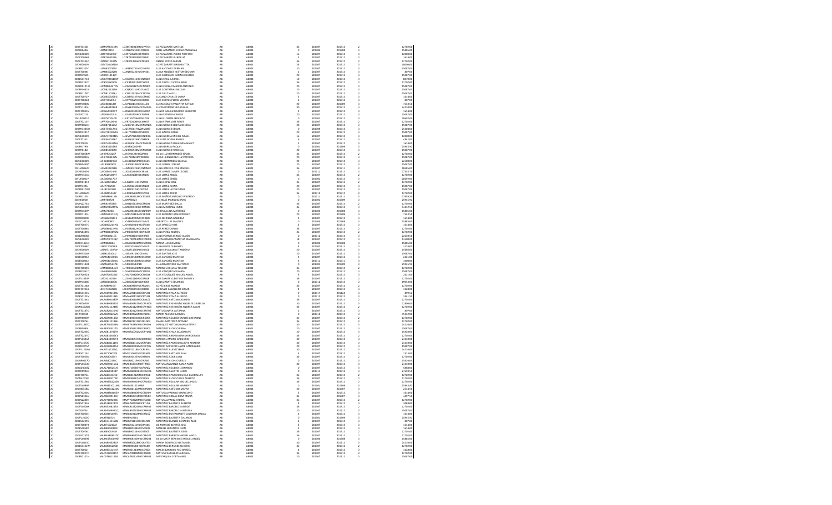| 20<br>20                                | 20DST0160J<br>20DPB0496  | LOZM7803139X<br>LOZN870210          | LOZM780313MOCPRT04<br>LOZN870210HOCRRL03        | LOPEZ ZARATE MATILDE<br>NOEL ARMANDO LORUA ZARAGOZA                                    | AB       | AB001<br>AB001        | 36<br>$\theta$                          | 201307<br>201304 | 201312<br>201308 |                         |
|-----------------------------------------|--------------------------|-------------------------------------|-------------------------------------------------|----------------------------------------------------------------------------------------|----------|-----------------------|-----------------------------------------|------------------|------------------|-------------------------|
| 20                                      | 202NE0040V               | LOZP750629QF                        | LOZP750629HOCPRD07                              | LOPEZ ZARATE PEDRO PORFIRIO                                                            | AB       | AB001                 | 16                                      | 201307           | 201312           |                         |
| 20                                      | 20DST0046R               | LOZR73032816                        | LOZR730328MOCPRB01                              | LOPEZ ZARATE RUBICELIA                                                                 | AB       | AB001                 | $\overline{2}$                          | 201307           | 201312           |                         |
| $^{20}$                                 | 20DST0245Q               | LOZR9012287N                        | LOZR901228HOCPRN05                              | RENAN LOPEZ ZARATE                                                                     | AB       | AB001                 | 36                                      | 201307           | 201312           |                         |
| 20<br>20                                | 202NE0040V               | LOZV7201061M                        | LUAG850731HOCSNR08                              | LOPEZ ZARATE VIRGINIA TITA                                                             | AR       | <b>AR001</b>          | 23                                      | 201307<br>201307 | 201312<br>201312 |                         |
|                                         | 20DPB2325C<br>20DST0038I | LUAG850731DI<br>LUAN850222HS        | LUAN850222HOCRNS01                              | LUIS ANTONIO GERMAN                                                                    | AB<br>AB | AB001<br>AB001        | $\overline{20}$                         | 201307           | 201312           |                         |
| 20<br>20                                | 20DPB1958F               | LUCC8110138Y                        |                                                 | LURIA ANGELES NESTOR GEOVANI<br>LUIS CARRASCO CARIN EDUARDO                            | AB       | AB001                 | $_{20}$                                 | 201307           | 201312           |                         |
| 20<br>20                                | 20DES0171X               | LUCG790411UW                        | LUCG790411HOCNRB02                              | LUNA CRUZ GABRIEL                                                                      | AR       | <b>AR001</b>          | 10                                      | 201307           | 201312           |                         |
|                                         | 20DPR2232C               | LUCK910601CB                        | LUCK910601MOCSST05                              | LUIS CASTILLO KATIA ARELI                                                              | AB       | AB001                 | 36                                      | 201307           | 201312           |                         |
| 20<br>20                                | 20DPR0121W<br>20DPR3032X | LUCM850427CN<br>LUCN820131MI        | LUCM850427HOCNDR05<br>LUCN820131HOCSNL07        | LUNA CEDEÑO MARCO ANTONIO<br><b>LUIS CONTRERAS NELSON</b>                              | AB<br>AB | AB001<br>AB001        | $\begin{array}{c} 20 \\ 20 \end{array}$ | 201307<br>201307 | 201312<br>201312 |                         |
|                                         | 20DPR1178D               | LUCN9110246J                        | LUCN911024MOCSRY06                              | LUIS CRUZ NAYELI                                                                       | AB       | AB001                 | 20                                      | 201307           | 201312           |                         |
| $\begin{array}{c} 20 \\ 20 \end{array}$ | 20DST0072P               | LUCO850327EG                        | LUCO850327HOCCSM00                              | <b>LUCIANO CASALES OMAR</b>                                                            | AB       | AB001                 | $\overline{2}$                          | 201307           | 201312           |                         |
| 20                                      | 20DST0046R               | LUCP770629I4                        | LUCP770629HOCSRD08                              | LUIS CORTES PEDRO VICENTE                                                              | AB       | AB001                 |                                         | 201307           | 201312           |                         |
| 20                                      | 20DPR1040S               | LUCV860112JT                        | LUCV860112HOCCLL04                              | LUCAS COLON VALENTIN TATIAN                                                            | AB       | AB001                 | 20                                      | 201307           | 201309           |                         |
| $\overline{20}$<br>20                   | 20DTV1145L<br>20DST0033N | LUDA861101AR<br>LUDG620309FP        | LUDA861101MOCCMG06<br>LUDG620309HOCGZR02        | LUCAS DOMINGUEZ AGLAEE<br>LUGOS DAZA GREGORIO GILBERTO                                 | AB<br>AB | AB001<br>AB001        | 30<br>$\overline{2}$                    | 201307<br>201307 | 201312<br>201312 |                         |
| $^{20}$                                 | 20DDI0012C               | LUEC690228L6                        | LUEC690228HOCNSR08                              | LUNA ESTRADA CARLOS                                                                    | AB       | AB001                 | 20                                      | 201307           | 201312           |                         |
| 20                                      | 20FUE0001P               | LUFF750704DD                        | LUFF750704HOCNLD03                              | <b>LUNA FLORIAN FEDERICO</b>                                                           | AB       | AB001                 | $\theta$                                | 201301           | 201312           |                         |
| $_{20}$                                 | 20DST0213Y               | LUFR700106H8                        | LUFR700106HOCNRY07                              | LUNA FERRA JOSE REYES                                                                  | AB       | AB001                 | 36                                      | 201307           | 201312           |                         |
| $\begin{array}{c} 20 \\ 20 \end{array}$ | 20DPR0864M               | LUGR87111217                        | LUGB871112MOCNMN05                              | LUNA GOMEZ BENITA DENISSE                                                              | AR       | <b>AR001</b>          | 20                                      | 201307           | 201312           |                         |
| 20                                      | 20DPR3446W<br>20DPR2231P | <b>LUGE750617HC</b><br>LUGJ770210MH | LUGE750617HVZNMD09<br>LUGJ770210HOCSRR09        | LUNA GOMEZ EDGAR<br>LUIS GARCIA JORGE                                                  | AB<br>AR | AB001<br>AB001        | $\circ$<br>20                           | 201309<br>201307 | 201312<br>201312 |                         |
| $_{20}$                                 | 202NE0040V               | LUGM770204ES                        | LUGM770204HOCNRC06                              | LUNA GARCIA MICHEL ISRAEL                                                              | AB       | AB001                 | 16                                      | 201307           | 201312           |                         |
| 20                                      | 20DST0161                | <b>LUGR561024KC</b>                 | LUGR561024HOCNPF06                              | DE LUNA GOPAR RAFAEL                                                                   | AB       | AB001                 |                                         | 201307           | 201312           |                         |
| 20                                      | 20DST0020J               | <b>LUGR740612NH</b>                 | LUGR740612MOCNMS02                              | LUNA GOMEZ ROSALINDA NANCY                                                             | AB       | AB001                 | $\overline{2}$                          | 201307           | 201312           |                         |
| 20<br>20                                | 20DPB1799.<br>20DPR0182J | LUGR830202P8<br>LUGR850930FK        | LUGR830202P89<br>LUGR850930MOCNMB04             | LUNA GARCIA RAQUEL<br>LUNA GOMEZ RUBICELA                                              | AB<br>AB | AB001<br>AB001        | 20                                      | 201301<br>201307 | 201309<br>201312 |                         |
| $^{20}$                                 | 20DST0058W               | LUHI79042267                        | LUHI790422HOCZRS04                              | DE LA LUZ HERNANDEZ ISRAEL                                                             | AB       | AB001                 | 36                                      | 201307           | 201312           |                         |
| 20                                      | 20DPR2044V               | LUHL7904235N                        | LUHL790423MVZRRZ06                              | LURIA HERNANDEZ LUZ PATRICIA                                                           | AB       | AB001                 | 20                                      | 201307           | 201312           |                         |
| $_{20}$                                 | 202NE0040V               | LUHL810829GX                        | LUHL810829MOCNRL01                              | LUNA HERNANDEZ LILIANA                                                                 | AB       | AB001                 | 29                                      | 201307           | 201312           |                         |
| $_{20}$                                 | 20DPR04492               | LUU 90082878                        | LUIL900828MOCSRR06                              | <b>LUIS JUAREZ LORENA</b>                                                              | AR       | <b>AR001</b>          | 20                                      | 201307           | 201312           |                         |
| $_{20}$                                 | 20FUA0062G<br>202NF0040V | LUJM930223FB<br><b>LUIORS0214HK</b> | LUJM930223HOCNMN02<br><b>LUIORS0214HOCSRL08</b> | LUNA JIMENEZ JOSE MANUEL<br>LUIS JUAREZ OLIVER LEONEL                                  | AB<br>AR | AB001<br><b>AR001</b> | 36<br>$\theta$                          | 201307<br>201311 | 201311<br>201312 |                         |
| $\begin{array}{c} 20 \\ 20 \end{array}$ | 20DPR1554Q               | LULA620108NT                        | LULA620108HOCSPN05                              | LUIS LOPEZ ANGEL                                                                       | AB       | AB001                 | 36                                      | 201307           | 201312           |                         |
| 20                                      | 20FUE0001P               | LULG830117GF                        |                                                 | LUIS LOPEZ GRISEL                                                                      | AB       | AB001                 | $\circ$                                 | 201301           | 201312           |                         |
| $_{20}$                                 | 20DPR0181K               | LULJ580911CM                        | LULJ580911HOCNPS03                              | LUNA LOPEZ JOSE                                                                        | AB       | AB001                 | 36                                      | 201307           | 201312           |                         |
| 20                                      | 20DPR3391J               | LULJ770625IB                        | LULJ770625MOCSPN03                              | LUIS LOPEZ JUANA                                                                       | AB       | AB001                 | 20                                      | 201307           | 201312           |                         |
| 20<br>20                                | 20DPR0179W<br>20FUA0062G | LULJ810922LU<br>LULR840524BY        | LULJ810922HOCSPC04<br>LULR840524MOCSPC06        | LUIS LOPEZ JACOB ISRAEL<br>LUIS LOPEZ ROCIO                                            | AB<br>AB | AB001<br>AB001        | 20<br>36                                | 201307<br>201312 | 201312<br>201312 |                         |
| 20                                      | 20DPR1105L               | LUMA8806139J                        | LUMA880613HOCSXN01                              | LUIS MUÑOZ ANTONIO WILFRIDO                                                            | AB       | AB001                 | $\theta$                                | 201311           | 201312           |                         |
| 20                                      | 202NE0060                | LUMI780723                          | LUMI780723                                      | LUENGAS MARQUEZ IRAIS                                                                  | AB       | AB001                 |                                         | 201301           | 201309           |                         |
| 20                                      | 20DJN2274X               | LUMI810702IG                        | LUMI810702MOCSRD04                              | LUIS MARTINEZ IDALIA                                                                   | AB       | AB001                 | 36                                      | 201307           | 201312           |                         |
| 20                                      | 202NE0040V               | LUMJ5905245W                        | LUMJ590524HDFNRM00                              | LUNA MARTINEZ JAIME                                                                    | AB       | AB001                 | 36                                      | 201307           | 201312           |                         |
| 20<br>20                                | 200PR1629F<br>20DPR1105L | <b>LUMI 780401</b><br>LUMR570313JQ  | LUMI 780401MOCNRR09<br>LUMR570313HOCSRD03       | <b>I ORENA I UNA MARTINEZ</b><br>LUIS MORENO JOSE RODRIGO                              | AR<br>AB | <b>AR001</b><br>AB001 | $\Omega$<br>$\overline{20}$             | 201304<br>201307 | 201308<br>201309 |                         |
|                                         | 20DSN00090               | LUNG860920FS                        | LUNG860920MOCSRB05                              | <b>LUIS NORIFGA GARRIFI A</b>                                                          | AR       | <b>AR001</b>          |                                         | 201307           | 201312           |                         |
| $\begin{array}{c} 20 \\ 20 \end{array}$ | 20DCC1021Y               | LUOA880803                          | LUOA880803HOCSVL05                              | ALBERTO LUIS OVALLES                                                                   | AB       | AB001                 | $\ddot{\text{o}}$                       | 201304           | 201308           |                         |
| 20                                      | 20DST0027C               | LUON800214PQ                        | LUON800214HOCSRX08                              | LUIS OROZCO NOE                                                                        | AB       | AB001                 | $\overline{2}$                          | 201307           | 201312           |                         |
| 20                                      | 20DST0086S               | LUPC680412AW                        | LUPC680412HOCSRR03                              | LUIS PEREZ CARLOS                                                                      | AB       | AB001                 | 36                                      | 201307           | 201312           |                         |
| 20<br>20                                | 20DJN1489C<br>20DBA0006B | LUPM8302096M<br>LUPS900821E6        | LUPM830209HOCNRL02<br>LUPS900821HOCNRR07        | LUNA PEREZ MILTON<br>LUNA PORRAS SERGIO JAVIER                                         | AB<br>AB | AB001<br>AB001        | 36<br>$\circ$                           | 201307<br>201312 | 201312<br>201312 |                         |
| 20                                      | 202NE0040V               | LURM7007134V                        | LURM700713MOCCMR00                              | LUCAS RAMIREZ MARTHA MARGARITA                                                         | AB       | AB001                 | $\frac{1}{18}$                          | 201307           | 201312           |                         |
| 20                                      | 20DCC1451O               | LURM850804                          | LURM850804MOCSMR06                              | MARIA LUIS RAMIREZ                                                                     | AB       | AB001                 | $\theta$                                | 201304           | 201308           |                         |
| 20                                      | 20DST0088Q               | LURO720306E9                        | LURO720306HOCNYL00                              | LUNA REYES OLEGARIO                                                                    | AB       | AB001                 |                                         | 201307           | 201312           |                         |
| 20                                      | 20ZNE0040V               | LUSA871130FW                        | LUSA871130MOCNLL00                              | LUNA SILVA ALMA ITANDEHUI                                                              | AB       | AB001                 | 20                                      | 201307           | 201312           |                         |
| 20                                      | 20DPR3516A<br>20DES00047 | LUSJ910910CU<br>LUSM640130DU        | LUSJ910910HOCSNS01<br>LUSM640130MOCSNR00        | LUIS SANTOS JOSE<br><b>HIS SANCHEZ MARTINA</b>                                         | AB<br>AR | AB001<br><b>AR001</b> | 20                                      | 201307<br>201307 | 201312<br>201312 |                         |
| $\begin{array}{c} 20 \\ 20 \end{array}$ | 20DES0004Z               | LUSM640130DU                        | LUSM640130MOCSNR00                              | LUIS SANCHEZ MARTINA                                                                   | AB       | AB001                 |                                         | 201311           | 201311           |                         |
|                                         | 200PR3143P               | LUSM690523PB                        | LUSM690523PB8                                   |                                                                                        | AR       | <b>AR001</b>          | $\theta$                                | 201301           | 201309           |                         |
| $\begin{array}{c} 20 \\ 20 \end{array}$ | 20DST0049Q               | LUTM830604V3                        | LUTM830604MOCNLR06                              | LUJAN MARTINEZ SANTIAGO<br>MARISOL DELUNA TOLEDO                                       | AB       | AB001                 | 36                                      | 201307           | 201312           |                         |
| $\begin{array}{c} 20 \\ 20 \end{array}$ | 20DPR1851Q<br>20DST0052B | LUVA9006059B                        | LUVA900605MOCSSD03<br>LUVM700326HOCSLG08        | LUIS VASQUEZ ADELAIDA<br>LUIS VELAZQUEZ MIGUEL ANGEL                                   | AB       | <b>AR001</b>          | 20                                      | 201307           | 201312           |                         |
|                                         |                          | LUVM7003261E                        |                                                 |                                                                                        | AB<br>AB | AB001<br>AB001        |                                         | 201307<br>201307 | 201312<br>201312 |                         |
| 20<br>20                                | 20DTV1455P<br>20DPR1648E | LUZC9210169V                        | LUZC921016MOCSRL08                              | LUIS ZARATE CLEOTILDE MAGALY<br>LUNA ZARATE EDUARDO                                    | AB       | AB001                 | 36<br>$\theta$                          | 201312           | 201312           |                         |
|                                         | 20DST0128A               | LXCA880925IE                        | LXCA880925HOCPRM01                              | LOPEZ CRUZ AMADO                                                                       | AB       | AB001                 | 36                                      | 201307           | 201312           |                         |
| 20<br>20                                | 20DST0193A               | LXCO7306098U                        | LXCO730609HOCRBZ08                              | LORENZO CABALLERO OZCAR                                                                | AB       | AB001                 |                                         | 201307           | 201312           |                         |
| 20<br>20                                | 20DES0123N               | MAAA690112KU                        | MAAA690112HOCRYL08                              | MARTINEZ AYALA ALFREDO                                                                 | AB       | AB001                 |                                         | 201117           | 201124           |                         |
|                                         | 20DES0123M<br>20DST0144S | MAAA690112KU<br>MAAA8001087R        | MAAA690112HOCRYL08                              | MARTINEZ AYALA ALFREDO                                                                 | AB<br>AB | AB001<br>AB001        | $\theta$<br>36                          | 201312<br>201307 | 201312<br>201312 |                         |
| 20                                      | 202NF0040V               | MAAA890802C6                        | MAAA800108HOCRNL01<br>MAAA890802MOCRVN09        | MARTINEZ ANTONIO ALBARO<br>MARTINEZ AVENDAÑO ANGELES GRISELDA                          | AR       | <b>AR001</b>          |                                         | 201307           | 201312           |                         |
| $\begin{array}{c} 20 \\ 20 \end{array}$ | 20DML0020G               | MAAA921124B5                        | MAAA921124MOCRVN03                              | MARTINEZ AVENDAÑO ANDREA ANAHI                                                         | AB       | AB001                 | 30<br>36                                | 201307           | 201312           |                         |
| $\begin{array}{c} 20 \\ 20 \end{array}$ | 20DST0187Q<br>20FZF0041K | MAAC820125HD<br>MAAC890626VC        | MAAC820125MOCTNT05                              | MATUS ANAYA CATARINA                                                                   | AB       | <b>AR001</b>          |                                         | 201307           | 201312           |                         |
|                                         |                          |                                     | MAAC890626MOCRLR04                              | MARIN ALONSO CARMEN                                                                    | AB       | AB001                 |                                         | 201312           | 201312           |                         |
| 20<br>20                                | 20DPR0020Y<br>20DST0076L | MAAC8909103Z<br>MAAD8212116E        | MAAC890910HOCRGR05<br>MAAD821211HOCRLN02        | MARTINEZ AGUERO CARLOS GIOVANNI<br>DANIEL MASTINEZ ALVAREZ                             | AB<br>AB | <b>AR001</b><br>AB001 | 36<br>36                                | 201307<br>201307 | 201312<br>201312 |                         |
|                                         | 20DTV1867Q               | MAAE740330SM                        | MAAE740330MOCRNS09                              |                                                                                        | AB       | AB001                 |                                         | 201307           | 201312           |                         |
| 20<br>20                                | 20DPB0990J               | MAAE900531T5                        | MAAE900531MOCRLR03                              | MARQUEZ ANTONIO MARIA ESTHE<br>MARTINEZ ALONSO ERIKA                                   | AB       | AB001                 | $\begin{array}{c} 30 \\ 20 \end{array}$ | 201307           | 201312           |                         |
| 20<br>20                                | 20DST0206C               | MAAG810702TK                        | MAAG810702MOCRYD02                              | MARTINEZ AYALA GUADALUPE<br>MARTINEZ AYALA GUADALUPE<br>MARTINEZ ARANDA GANDHI RODRIGO | AB       | AB001                 | 20<br>36                                | 201307           | 201312           |                         |
|                                         | 20DST0247Q               | MAAG830409CV                        |                                                 |                                                                                        | AB       | AB001                 |                                         | 201307           | 201312           |                         |
| $\begin{array}{c} 20 \\ 20 \end{array}$ | 20DTV05462<br>20DTV1672D | MAAG840927T4<br>MAAG881111KV        | AAAG840927HOCRMR03<br>MAAG881111MOCRPL06        | MARCIAL AMARO GREGORIO<br>MARTINEZ APARICIO GLADYS ARIADNA                             | AB<br>AB | AB001<br>AB001        | 30<br>30                                | 201307<br>201307 | 201312<br>201312 |                         |
| 20                                      | 20DPB18752               | MAAH90040253                        | MAAH900402MOCRCY05                              | MAURO ACEVEDO HAYDE CANDELARIA                                                         | AB       | AB001                 | 20                                      | 201307           | 201312           |                         |
| 20                                      | 20DTV1226W               | MAAI731219SQ                        | MAAI731219MOCRLR01                              | MARTINEZ ALAVEZ IRMA                                                                   | AB       | AB001                 | 30                                      | 201307           | 201312           |                         |
| $^{20}$                                 | 20DES0214E               | MAAJ710607PX                        | MAAJ710607HOCRNN05                              | MARTINEZ ANTONIO JUAN                                                                  | AB       | AB001                 |                                         | 201307           | 201312           |                         |
| 20                                      | 20DST0050D               | MAAJ830425FJ                        | MAAJ830425HOCRZN03                              | MARTINEZ AZAIR JUAN                                                                    | AB       | AB001                 | 36<br>$\circ$                           | 201307           | 201312           |                         |
| $^{20}$<br>20                           | 20DNP0017O<br>20DTV0563Q | MAAJ880219LC<br>MAAK850615G2        | MAAJ880219HOCRLS06<br>MAAK850615MDFTRR03        | MARTINEZ ALONSO JESUS<br>MATUS ARIZMENDI KARLA PATRI                                   | AB<br>AB | AB001<br>AB001        | 30                                      | 201307<br>201307 | 201312<br>201312 |                         |
| $^{20}$                                 | 20AGD00032               | MAAL710626LN                        | MAAL710626HOCRGN02                              | MARTINEZ AGUERO LEONARDO                                                               | AB       | AB001                 | $\circ$                                 | 201307           | 201312           |                         |
| $\begin{array}{c} 20 \\ 20 \end{array}$ | 20DPR0994G               | MAAL 8603038P                       | MAAM860303HOCRGC06                              | MARTINEZ AGUSTIN LUCIO                                                                 | AR       | <b>AR001</b>          | $\theta$                                | 201311           | 201312           |                         |
|                                         | 20DST0076L               | MAAL881212NJ                        | MAAL881212MOCRPC08                              | MARTINEZ APARICIO LUCILA GUADALUPE                                                     | AB       | AB001                 | 36                                      | 201307           | 201312           |                         |
| 20<br>20                                | 20DML0034                | MAAL89091728                        | MAAL890917HOCRLS04                              | MARTINEZ ALONSO LUIS ALBERTO                                                           | AB       | AB001                 | 36<br>36                                | 201307           | 201312           |                         |
|                                         | 20DST0156X<br>20DTV0586/ | MAAM690228SB<br>MAAM851021MF        | MAAM690228HOCRGG04<br>MAAM851021MRA             | MARTINEZ AGUILAR MIGUEL ANGEL<br>MARTINEZ AGUILAR MARLENY                              | AB<br>AB | AB001<br>AB001        |                                         | 201307<br>201301 | 201312<br>201309 |                         |
| $\begin{array}{c} 20 \\ 20 \end{array}$ | 20DIN0318A               | MAAM861122DS                        | MAAM861122MOCRNY03                              | MARTINEZ ANTONIO MAYRA                                                                 | AB       | AB001                 | 20                                      | 201307           | 201307           |                         |
| 20                                      | 20DST0200L               | MAAM880406EV                        | MAAM880406HOCTLR09                              | MATUS ALVARADO MARCELINO                                                               | AB       | AB001                 |                                         | 201307           | 201312           |                         |
| 20                                      | 20DJN1106U               | MAAR840913CC                        | MAAR840913MOCRRS02                              | MARTINEZ ARMAS ROSA MARIA                                                              | AB       | AB001                 | 35                                      | 201307           | 201307           |                         |
| $\overline{20}$<br>20                   | 20DJN2280H<br>20DES0195G | MAAY760920BC<br>MABA780428CN        | MAAY760920MOCTLD08<br>MABA780428HOCRTL04        | MATUS ALVAREZ YADIRA<br>MARTINEZ BAUTISTA ALBERTO                                      | AB<br>AB | AB001<br>AB001        | 36<br>$\overline{4}$                    | 201307<br>201307 | 201312<br>201312 |                         |
| $^{20}$                                 | 20DTV0508X               | MABA91082433                        | MABA910824MOCRRN01                              | MARTINEZ BARCELOS ANTIDE                                                               | AB       | AB001                 | 36                                      | 201307           | 201312           |                         |
| 20                                      | 20FZI0079U               | MABA930903CO                        | MABA930903MOCRRN03                              | MARTINEZ BARCELOS ANTONIA                                                              | AB       | AB001                 | 20                                      | 201307           | 201312           |                         |
| $^{20}$                                 | 20DST0066E               | MABC810102TS                        | MABC810102MOCRSL02                              | MARTINEZ BUSTAMANTE COLUMBA DALILA                                                     | AB       | AB001                 | $\overline{2}$                          | 201307           | 201312           |                         |
| $\begin{array}{c} 20 \\ 20 \end{array}$ | 200TV10020               | MARF910514                          | <b>MARF910514</b>                               | MARTINEZ BALITISTA EDUARDO                                                             | AR       | <b>AR001</b>          | $\Omega$                                | 201301           | 201309           |                         |
| 20                                      | 20DES0229G<br>20DST0087R | MABG7411158Q<br>MABJ750210AT        | MABG741115HOCRLR09<br>MABJ750210HOCRNS06        | MARTINEZ BLANCO GERARDO ALBE<br>DE MARCOS BENITEZ JOSE                                 | AB<br>AR | AB001<br>AB001        | $\overline{ }$                          | 201307<br>201307 | 201312<br>201312 |                         |
| 20                                      | 20DES0058D               | MABJ800308U8                        | MABJ800308HOCNTN09                              | MANUEL BETANZOS JUAN                                                                   | AB       | AB001                 |                                         | 201307           | 201312           |                         |
| 20                                      | 20DST0076L               | MABJ890324SR                        | MABJ890324HOCRTS05                              | MARTINEZ BAUTISTA JESUS                                                                | AB       | AB001                 | 36                                      | 201307           | 201312           |                         |
| 20                                      | 20DJN2257G               | MABM680802DD                        | MABM680802HOCRRG01                              | MARTINEZ BARRIOS MIGUEL ANGEL                                                          | AB       | AB001                 | 36                                      | 201307           | 201312           |                         |
| 20                                      | 20DTV0339S               | MABM681009NT                        | MABM681009HOCTRG04                              | DE LA MATA BERENICE MIGUEL ANGEL                                                       | AB       | AB001                 | $\overline{0}$                          | 201304           | 201308           |                         |
| 20<br>20                                | 20DTV0815D<br>20DES0131W | MABN850628CN<br>MABS890620QK        | MABN850628HOCRNT03<br>MABS890620HOCRRL00        | MARIN BONIFACIO NATANAEL<br>MARTINEZ BERNABE SILVERIO                                  | AB<br>AB | AB001<br>AB001        | 30<br>36                                | 201307<br>201307 | 201312<br>201312 |                         |
| 20                                      | 20DST0062I               | MABY851214N7                        | MABY851214MOCCRS04                              | MACES BARROSO YESI BRITZEL                                                             | AB       | AB001                 |                                         | 201307           | 201312           |                         |
| 20                                      | 20DST0027C               | MACA700108AT                        | MACA700108MOCTSR08                              | MATUS CASTILLEJOS ARCELIA                                                              | AB       | AB001                 | 36                                      | 201307           | 201312           |                         |
| 20                                      | 20DPR2222H               | MAC478011426                        | MACA780114MOCYRN04                              | MAYORQUIN CORTA ANEL                                                                   | AR       | <b>AR001</b>          | 20                                      | 201307           | 201312           | $\overline{\mathbf{a}}$ |
|                                         |                          |                                     |                                                 |                                                                                        |          |                       |                                         |                  |                  |                         |

# 12702,00 3 15885,00 3 12000,00 3 1614,00 2 12702,00 3 18000,00 3 15087,00 3 807,00 3 15087,00 3 8070,00 2 12702,00 3 15087,00 3 15087,00 3 15087,00 3 1614,00 3 807,00 3 7543,50 3 24210,00 3 1614,00 3 15087,00 3 28692,00 2 12702,00 3 15087,00 3 25404,00 3 15087,00 3 12000,00 3 4842,00 3 1614,00 3 25945,92 3 15087,00 2 12702,00 3 15087,00 3 22500,00 3 15087,00 2 10585,00 3 27335,70 2 12702,00 3 28692,00 2 12702,00 3 15087,00 3 15087,00 2 12702,00 3 27659,50 3 25945,92 2 12702,00 3 54412,50 3 15885,00 3 7543,50 3 1614,00 3 15885,00 3 1614,00 2 12702,00 2 12702,00 3 22630,50 3 13500,00 3 15885,00 3 3228,00 3 15666,00 3 15087,00 3 2421,00 3 1000,00 3 25945,92 2 12702,00 3 15087,00 3 2421,00 2 12702,00 3 19053,00 2 12702,00 3 3228,00 3 899,52 3 2441,50 2 12702,00 3 22800,00 2 12702,00 3 807,00 3 45232,00 2 12702,00 2 12702,00 3 24210,00 3 15087,00 3 15420,00 2 12702,00 3 24210,00 3 24210,00 3 15087,00 3 24210,00 3 2313,00 2 12702,00 3 15420,00 3 24210,00 3 5868,00 3 27659,50 2 12702,00 2 12702,00 2 12702,00 3 25945,92 3 2514,50 3 1614,00 3 4497,50 2 12702,00 3 3084,00 2 12702,00 3 15087,00 3 1614,00 3 25945,92 3 807,00 3 1614,00 3 1614,00 2 12702,00 2 12702,00 3 15885,00 3 24210,00 2 12702,00 3 3228,00 2 12702,00 3 15087,00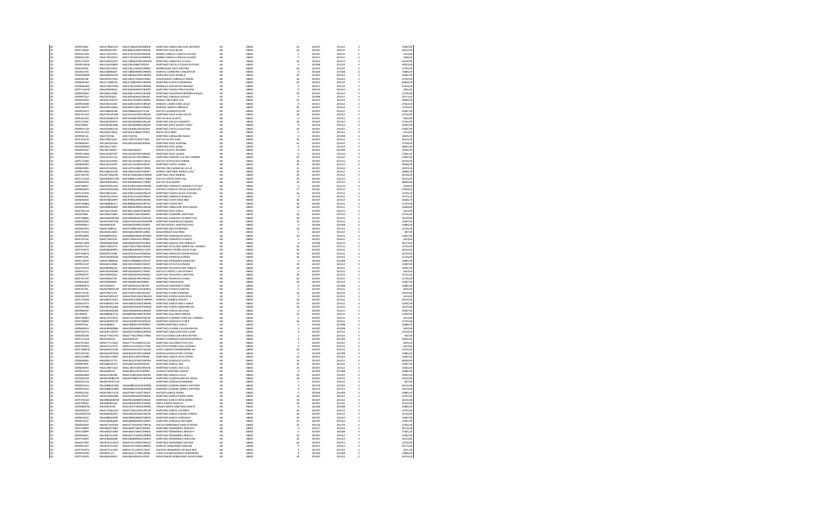| 20       | 20DPR1586  | MACA7806225H                 | MACA780622HOCRBN00                       | MARTINEZ CABALLERO JOSE ANTONIO                         | AB              | AB001        | 20                                      | 201307 | 201312 |
|----------|------------|------------------------------|------------------------------------------|---------------------------------------------------------|-----------------|--------------|-----------------------------------------|--------|--------|
| 20       | 20DTV1605F | MACB830129ET                 | MACB830129MOCRRL06                       | MARTINEZ CRUZ BELEN                                     | AB              | AB001        | 30                                      | 201307 | 201312 |
|          | 200ES0129H | MACC78120311                 | MACC781203HOCRNR00                       | MARIN CANSECO CARLOS CLAUDIO                            | <b>AR</b>       | <b>AR001</b> | $\overline{2}$                          | 201307 | 201312 |
| 20<br>20 | 20DES0129H | MACC78120311                 | MACC781203HOCRNR00                       | MARIN CANSECO CARLOS CLAUDIO                            | AB              | AB001        |                                         | 201311 | 201311 |
|          | 20DTV1187K | MACCROO425UY                 | MACC800425MOCRMT00                       | MARTINEZ CAMACHO CITLALLI                               | <b>AR</b>       | <b>AR001</b> | 30                                      | 201307 | 201312 |
| 20<br>20 |            |                              |                                          |                                                         |                 |              |                                         |        |        |
|          | 20DPR1565W | MACC8410085R                 | MACC841008HTSRSS01                       | MARTINEZ CASTILLO CESAR GUSTAVO                         | AB              | AB001        | $\bf{0}$                                | 201309 | 201312 |
| 20       | 20DES0190L | MACC841126E6                 | MACC841126MOCRRR02                       | MARROQUIN CRUZ CRISTINA                                 | AB              | AB001        | 36                                      | 201307 | 201312 |
| 20       | 20DJN1074S | MACC8808302T                 | MACC880830MOCRRN04                       | MARCIAL CARMONA CONCEPCION                              | AB              | AB001        | $^{\circ}$                              | 201304 | 201308 |
| 20       | 20DML0009  | MACD8603223G                 | MACD860322MOCRRN02                       | MARTINEZ CRUZ DANIELA                                   | AB              | AB001        | 20                                      | 201307 | 201312 |
| $_{20}$  | 20DDI0013B | MACD910719A1                 | MACD910719HMCLRN02                       | MALDONADO CARRASCO DANIEL                               | AB              | AB001        | 36                                      | 201307 | 201312 |
|          | 202NE0040V | MACE7308011R                 | MACE730801MOCRHS00                       | MARTINEZ CHAVEZ ESPERANZA                               | AB              | AB001        | 36                                      | 201307 | 201312 |
| 20       |            |                              |                                          |                                                         |                 |              |                                         |        |        |
| $_{20}$  | 20DPR0639Q | MACE790114MS                 | MACE790114MOCRRN06                       | MARQUEZ CERVANTES ENEDINA                               | AB              | AB001        | $\theta$                                | 201311 | 201312 |
| 20       | 20DTV1441M | MACE830304S2                 | MACE830304MOCRHR07                       | MARTINEZ CHAVEZ ERIKA SELENE                            | AB              | AB001        |                                         | 201223 | 201223 |
| Σñ       | 202NF0040V | MACE8612299F                 | MACER61229MOCRLB06                       | MARTINEZ CALDERON FRENDIRA RAQUEL                       | <b>AR</b>       | <b>AR001</b> | 20                                      | 201307 | 201312 |
| 20       | 20DPR0731X | MACE870620LI                 | MACE870620HOCRRV02                       | MARTINEZ CARDOZA EVODIO                                 | AB              | AB001        | $\theta$                                | 201309 | 201312 |
|          | 20DPR1939U | <b>MACE871203E9</b>          | MACER71203MOCNRS01                       |                                                         | AB              | <b>AR001</b> | 35                                      | 201307 | 201312 |
| 20<br>20 | 20DPB1508D | MACE891010EC                 | MACE891010MOCRRD07                       | MANZO CRISTOBAL ESVI<br>MARCIAL CARRO EDNA LESLIE       | AB              | AB001        | ō                                       | 201311 | 201312 |
|          |            |                              |                                          |                                                         |                 |              |                                         |        |        |
|          | 20DST0007P | MACE8912285B                 | MACE891228HOCRRN03                       | <b>ENRIQUE MARIN CARRASCO</b>                           | AB              | <b>AR001</b> |                                         | 201307 | 201312 |
| 20<br>20 | 20DPR21972 | MACF88060168                 | MACF880601HOCTLL06                       | MATUS CALDERON FELIPE                                   | $\overline{AB}$ | AB001        | $\begin{array}{c} 36 \\ 20 \end{array}$ | 201307 | 201312 |
|          | 20DST0131O |                              |                                          | MARTINEZ CRUZ FLORA ISELDA                              | AB              | <b>AR001</b> | 36                                      | 201307 | 201312 |
| 20<br>20 | 20DES0119A | MACF901027ME<br>MACG650822UP | MACF901027MOCRRL08<br>MACG650822MMNTRL04 | MATUS CRUZ GLADYS                                       | AB              | AB001        | 6                                       | 201307 | 201312 |
|          | 20DTV12360 | MACG87020937                 | MACG870209MOCRLL06                       | MARTINEZ CALLEJA GILBERTA<br>MARTINEZ CRUZ GLADYS YANET | AB              | AB001        | 36                                      | 201307 | 201312 |
| 20<br>20 |            | MACG870630B9                 | MACG870630MOCRRL05                       |                                                         | AB              |              | $^{\circ}$                              |        | 201312 |
|          | 20FZF0008C |                              |                                          |                                                         |                 | AB001        |                                         | 201310 |        |
| 20<br>20 | 20DPR0112C | MACG9308212X                 | MACG930821HOCRSS04                       | MARTINEZ CASTILLO GASTON                                | AB              | AB001        | 20                                      | 201307 | 201312 |
|          | 20DST0172Q | MAC1630728GX                 | MACI630728MOCTRR01                       | MATA CRUZ IRMA                                          | AB              | AB001        | $\overline{\mathbf{2}}$                 | 201307 | 201312 |
| 20       | 20DPR0313L | MAC1730706                   | MAC1730706                               | MARTINEZ CABALLERO ISAIAS                               | AB              | AB001        | $\ddot{\text{o}}$                       | 201301 | 201309 |
| 20       | 20DTV0127F | MACJ780731SX                 | MACJ780731HOCTLN03                       | MATUS CELAYA JUAN                                       | AB              | AB001        | 30                                      | 201307 | 201312 |
| 20       | 202NE0040V | MACJ801025GH                 | MACJ801025MOCRRS06                       | MARTINEZ CRUZ JOSEFINA                                  | AB              | AB001        | 35                                      | 201307 | 201312 |
|          | 20FMP0006H | MACJ8311105Y                 |                                          | MARTINEZ CRUZ IORGE                                     | AB              | <b>AR001</b> | $\circ$                                 | 201301 | 201312 |
| 20<br>20 | 20DJN0250Z | <b>MACJ851206EF</b>          | MACJ851206EF2                            | MACES CALIXTO JOVANNY                                   | $\overline{AB}$ | AB001        | $\theta$                                | 201301 | 201309 |
|          |            | MACL8105078T                 | MACL810507MOCRRL06                       |                                                         | AB              | <b>AR001</b> | $\circ$                                 | 201312 | 201312 |
| 20<br>20 | 20DPR1100C |                              |                                          | MARTINEZ CRUZ LILIANA                                   |                 |              |                                         |        |        |
|          | 20DPR0201H | MACL8110171A                 | MACL811017MVZRRZ01                       | MARTINEZ CORCINO LUZ DEL CARMEN                         | AB              | AB001        | 20                                      | 201307 | 201312 |
| 20<br>20 | 20DTV1146K | MACL811019EH                 | MACL811019MOCTSR14                       | MATUS CASTILLEJOS LORENA                                | AB              | AB001        | 30                                      | 201307 | 201312 |
|          | 20ZNE0040V | MACL8110254Y                 | MACL811025MOCRRL07                       | MARTINEZ CORTE LILIANA                                  | AB              | AB001        | 36                                      | 201307 | 201312 |
| 20<br>20 | 202NE0040V | MACL870109QJ                 | MACL870109MOCTR209                       | MATIAS CRUZ MARIA DE LA LUZ                             | AB              | AB001        | 31                                      | 201307 | 201312 |
|          | 20DPR1939U | MACL881015D8                 | MACL881015MOCNRS07                       | MANZO CRISTOBAL MARIA LUISA                             | AB              | AB001        | 35                                      | 201307 | 201312 |
| 20       | 20DTV0474X | MACM7508229L                 | MACM750822MOCRRR04                       | MARTINEZ CRUZ MARINA                                    | AB              | AB001        | 30                                      | 201307 | 201312 |
| $_{20}$  | 20DTV1522X | MACM800712HD                 | MACM800712MOCTRR06                       | MATUS CORTES MARY SOL                                   | AB              | AB001        | 30                                      | 201307 | 201312 |
|          |            |                              |                                          |                                                         |                 |              |                                         |        |        |
| 20       | 202NE0040V | MACM8206061                  | MACM820606HGTTRR00                       | MATUS CRUZ MARIO                                        | AB              | AB001        | 36                                      | 201307 | 201312 |
| $_{20}$  | 20DST0065F | MACN790513H7                 | MACN790513MOCRRD06                       | MARTINEZ CARRASCO NADXIELY CITLALY                      | AB              | AB001        | $\overline{4}$                          | 201307 | 201312 |
| 20       | 20ZNE0040V | MACO8709103Q                 | MAC0870910MCSTNF04                       | MATEOS CANSECO OFELIA GUADALUPE                         | AB              | AB001        | $\overline{27}$                         | 201307 | 201312 |
| 20       | 20DTV1029\ | MACO891231JL                 | MACO891231MOCRHL01                       | MARTINEZ CHAVEZ OLGA CATALINA                           | AB              | AB001        | 36                                      | 201307 | 201312 |
| 20       | 20DPR2609J | MACR761231H3                 | MACR761231MOCRRS01                       | MARTINEZ CARRASCO ROSALIA                               | AB              | AB001        | $\circ$                                 | 201310 | 201312 |
|          | 207NF0040V | MACR780220PV                 | MACR780220MOCRRS06                       | MARTINEZ CORTE ROSA INES                                | <b>AR</b>       | <b>AR001</b> | 36                                      | 201307 | 201312 |
| 20<br>20 |            |                              |                                          |                                                         |                 |              |                                         |        |        |
|          | 20DST0088Q | MACR8808247J                 | MACR880824MOCRRT07                       | MARTINEZ CORTES RUT                                     | AB              | AB001        | 36                                      | 201307 | 201312 |
| 20<br>20 | 202NE0040V | MACR890928QP                 | MACR890928MOCRBS08                       | MARTINEZ CABALLERO ROSA MARIA                           | AB              | AB001        | 20                                      | 201307 | 201312 |
|          | 20DST0011B | MACS8212024X                 | MACS821202MOCRRH01                       | MARTINEZ CRUZ SHEILA                                    | AB              | AB001        | $\overline{\mathbf{2}}$                 | 201307 | 201312 |
| 20       | 20FIZ0158G | MACS860718KA                 | MACS860718HPLRMN07                       | MARTINEZ CAAMAÑO SANTIAGO                               | AB              | AB001        | 36                                      | 201307 | 201312 |
| 20       | 20DTV0889\ | MACW820402AB                 | MACW820402HOCRRL09                       | MARTINEZ CARRASCO WILBERT OFE                           | AB              | AB001        | 30                                      | 201307 | 201312 |
| 20       | 20DBA0002F | MADA750913JW                 | MADA750913HOCRMM00                       | MARTINEZ DOMINGUEZ AMADO                                | AB              | AB001        | $\overline{20}$                         | 201307 | 201312 |
| $_{20}$  | 20DPB2081Y | MADA820428                   | MADA820428HOCRZR01                       | ARTURO MISAEL MARTINEZ DIAZ                             | AB              | AB001        | $\circ$                                 | 201304 | 201308 |
|          |            |                              |                                          |                                                         |                 |              |                                         |        |        |
| 20       | 20DJN0232K | MADE790801JI                 | MADE790801MOCR2S18                       | MARTINEZ DIAZ ESPERANZA                                 | AB              | AB001        | 36                                      | 201307 | 201312 |
| 20       | 20DST0118L | MADI690128SH                 | MADI690128MOCLZR06                       | MALDONADO DIAZ IRMA                                     | AB              | AB001        | $\overline{1}$                          | 201307 | 201312 |
| 20       | 20DPR1089K | MADI880918T2                 | MADI880918MOCRMD09                       | MARTINEZ DOMINGUEZ IDALIA                               | AB              | AB001        | 20                                      | 201307 | 201312 |
|          | 20DST0124F | MADI 730912PL                | MADI 730912HOCRRN03                      | MARTINEZ DORANTES LEONCIC                               | <b>AR</b>       | <b>AR001</b> | $\overline{ }$                          | 201307 | 201312 |
| 20<br>20 | 20DPR1796N | MADR9006302B                 | MADR900630HOCRHB00                       | MARTINEZ DEHESA JOSE ROBERTO                            | AB              | AB001        | $\circ$                                 | 201309 | 201312 |
|          | 20DJN1751A | MAEC700227FV                 | MAEC700227MOCRSR04                       | MARTINEZ ESTILLADO MARIA DEL CARMEN                     | AB              | AB001        | 36                                      | 201307 | 201312 |
| 20<br>20 |            |                              |                                          |                                                         |                 |              |                                         |        |        |
|          | 20DTV03072 | MAED881009K5                 | MAED881009MOCLSL09                       | MALDONADO ESPAÑA DULCE ELIZA                            | AB              | AB001        | 30                                      | 201307 | 201312 |
| 20       | 20DTV06872 | MAEE870724BE                 | MAEE870724HOCRND00                       | MARTINEZ ENRIQUEZ EDGAR MANUE                           | AB              | AB001        | 30                                      | 201307 | 201312 |
| 20       | 20DPR1518L | MAEG900405QE                 | MAEG900405MOCRSN07                       | MARTINEZ ESPINOZA GENISIZ                               | AB              | AB001        | 36                                      | 201307 | 201312 |
| 20       | 20DCC1007E | MAES6708081G                 | MAES670808MOCRSC05                       | MARTINEZ ESPERANZA MARIA DEL                            | AB              | AB001        | $\overline{0}$                          | 201304 | 201308 |
| $_{20}$  | 20DPR2231F | MAES821204B6                 | MAES821204MOCRSH07                       | MARTINEZ ESTEVA SHUNASHI                                | AB              | AB001        | 20                                      | 201307 | 201312 |
| 20       | 20DCC0701X | MAFA85082432                 | MAFA850824MOCRGN15                       | MARTINEZ FIGUEROA ANA ONEIDA                            | AB              | AB001        | $\overline{20}$                         | 201307 | 201312 |
| $_{20}$  | 20DES0127J | MAFC850420N6                 | MAFC850420HOCTNH07                       | MATUS FUENTES CUAUHTEMOC                                | AB              | AB001        | $\overline{2}$                          | 201307 | 201312 |
|          |            |                              |                                          |                                                         |                 |              |                                         |        |        |
| 20       | 20DPR0479T | MAFC890420J4                 | MAFC890420HOCRGH03                       | MARTINEZ FIGUEROA CHRISTIAN                             | AB              | AB001        | 36                                      | 201307 | 201312 |
|          | 20DST0179H | MAFFRS042781                 | MAFF850427MOCRRL02                       | MARTINEZ FRANCISCO ELENA                                | <b>AR</b>       | <b>AR001</b> | 36                                      | 201307 | 201312 |
| 20<br>20 | 20DPB16602 | MAFI940905R4                 | MAFI940905HOCRBR01                       | MARTINEZ FABIAN IRAIS                                   | AB              | AB001        | $\overline{20}$                         | 201307 | 201312 |
| 20<br>20 | 20DPB0497H | MAFL840923<br>MAFM790915JW   | MAFL840923HOCRLP04<br>MAFM790915HOCRNR14 | LEOPOLDO MARTINEZ FLORES<br>MARTINEZ FUENTES MARTIN     | AB              | <b>AR001</b> | $\bf{0}$                                | 201304 | 201308 |
|          | 20DST0178  |                              |                                          |                                                         | AB              | AB001        |                                         | 201307 | 201312 |
|          | 20DTV1574C | MAFS790711SY                 | MAFS790711MOCRLD02                       | MARTINEZ FLORES SIDRONIA                                | AB              | <b>AR001</b> | 30                                      | 201307 | 201312 |
| 20<br>20 | 20DES0037R | MAGA750911D7                 | MAGA750911MOCRML03                       | MARTINEZ GOMEZ ALMA ROSA                                | AB              | AB001        | $\overline{2}$                          | 201307 | 201312 |
|          |            |                              |                                          |                                                         |                 |              |                                         |        |        |
| 20       | 20DTV1644H | MAGA831230EY                 | MAGA831230MOCNMR03                       | MANUEL GAMBOA ARACELI                                   | AB              | AB001        | 30                                      | 201307 | 201312 |
| $_{20}$  | 20DJN1047V | MAGA840327H9                 | MAGA840327MOCRRR09                       | MARTINEZ GARCIA ARELY ANAHI                             | AB              | AB001        | 20                                      | 201307 | 201312 |
| 20       | 20DTV0798D | MAGA850316N5                 | MAGA850316HOCRMB00                       | MARTINEZ GOMEZ ABRAHAM ERI                              | AB              | AB001        | 30                                      | 201307 | 201312 |
| $_{20}$  | 20DPB0045F | MAGA92040568                 | MAGA920405MOCRRZ04                       | MARTINEZ GARCIA AZUCENA                                 | AB              | AB001        | $\theta$                                | 201307 | 201312 |
| 20       | 20FJI0004C | MAGB890827LQ                 | MAGB890827MDFRLN03                       | MARTINEZ GALLARDO BIANCA                                | AB              | AB001        | $\overline{20}$                         | 201307 | 201312 |
|          | 20DST0084U | MAGC7912307LL                | MAGC791230MOCR7L09                       | MAROUEZ GUZMAN CLARA DEL CARMEN                         | <b>AR</b>       | <b>AR001</b> | $\overline{2}$                          | 201307 | 201312 |
| 20<br>20 | 20DST0089F | MAGC82090778                 |                                          | MARTINEZ GONZALEZ CLIPER                                | AB              | AB001        | 36                                      | 201307 | 201312 |
|          |            |                              | MAGC820907HOCRNL00                       |                                                         |                 |              |                                         |        |        |
| 20<br>20 | 20DPB1916  | MAGC880827<br>MAGC890408RH   | MAGC880827HOCRRR02<br>MAGC890408MOCRRL05 | CRISPIN MARTINEZ GARCIA                                 | AB              | <b>AR001</b> | $\circ$                                 | 201304 | 201308 |
|          | 20DNS0001K |                              |                                          | MARTINEZ GUERRA CLAUDIA BELEM                           | AB              | AB001        |                                         | 201307 | 201308 |
|          | 20DTV0077  |                              | MAGD871029MOCRRT02                       | MARTINEZ GARCIA DETSIVE LILIAN                          | AB              | <b>AR001</b> | $\circ$                                 | 201307 | 201312 |
| 20<br>20 | 20DES0010K | MAGD87102975<br>MAGE770617DG | MAGE770617MOCTNR01                       | MATUS GUENDULAIN ERICA BETINA                           | AB              | AB001        | $\mathbf{1}$                            | 201307 | 201312 |
| 20<br>20 | 20DTV1121E | MAGE900224                   | MAGEROOTA                                | MARIN GUERRERO ELOIR MASCHIARELLI                       | AB              | AB001        | $\circ$                                 | 201301 | 201209 |
|          | 20DST0145R | MAGF771123GF                 | MAGF771123MOCRLL04                       | MARTINEZ GALLARDO FELICITAS                             | AB              | AB001        | 5                                       | 201307 | 201312 |
|          |            |                              |                                          | MATUS GUTIERREZ JOSE GUADALU                            | AB              | AB001        |                                         | 201307 | 201312 |
| 20<br>20 | 20DST0030Q | MAGG7212137J                 | MAGG721213HOCTTD01                       |                                                         |                 |              |                                         |        |        |
|          | 20DST0082W | MAGH650212JB                 | MAGH650212HOCNLG04                       | HUGO ALBERTO MANZANARES GIL                             | AB              | AB001        | 36                                      | 201307 | 201312 |
| 20<br>20 | 20DTV07769 | MAGI810307MQ                 | MAGI810307MOCZNR08                       | MAZON GONZALEZ IRIS VIVIANA                             | AB              | AB001        |                                         | 201304 | 201308 |
|          | 20DCC1288D | MAGJ820118MY                 | MAGJ820118HOCRRS00                       | MARTINEZ GARCIA JESUS PEDRO                             | AB              | AB001        | 20                                      | 201307 | 201312 |
| 20       | 202NE0040V | MAGJ8312275T                 | MAGJ831227MOCRNV04                       | MARTINEZ GONZALEZ JOVITA                                | AB              | AB001        | 36                                      | 201307 | 201312 |
| 20       | 20DPR0199J | MAGJ881021CP                 | MAGJ881021HOCRRL08                       | MARTINEZ GARCIA JOEL                                    | AB              | AB001        | 20                                      | 201307 | 201312 |
| 20       | 202NE0040V | MAGL780714UZ                 | MAGL780714HOCRMS26                       | MARTINEZ GOMEZ JOSE LUIS                                | AB              | AB001        | $\overline{20}$                         | 201307 | 201312 |
| $_{20}$  | 20DPB13212 | MAGL860119                   | MAGL860119HOCRRN07                       | <b>LEONCIO MARTINEZ GARCIA</b>                          | AB              | AB001        | $\circ$                                 | 201304 | 201308 |
|          |            |                              |                                          |                                                         |                 |              |                                         |        |        |
| 20       | 20DPB0289A | MAGL910814NL                 | MAGL910814MOCRRC09                       | MARTINEZ GARCIA LUCILA                                  | AB              | AB001        | 20                                      | 201307 | 201312 |
| 20<br>20 | 20TAI0013W | MAGM7808057B                 | MAGM780805HOCRZG08                       | MARTINEZ GUZMAN MIGUEL ANGEL                            | AB              | AB001        | 36                                      | 201307 | 201312 |
|          | 20DES0215D | MAGM791017UD                 |                                          | MARTINEZ GONZALEZ MARIANA                               | AB              | AB001        | $\mathbf{1}$                            | 201307 | 201312 |
|          | 20DPR1014U | MAGM881019RZ                 | MAGM881019HOCRZR08                       | MARIANO GUZMAN MARCO ANTONIO                            | AB              | AB001        |                                         | 201219 | 201303 |
| 20<br>20 | 20DPR1014U | MAGM881019RZ                 | MAGM881019HOCRZR08                       | MARIANO GUZMAN MARCO ANTONIO                            | AB              | AB001        | $\circ$                                 | 201312 | 201312 |
|          | 20DPR14760 | MAGP780712UA                 | MAGP780712HOCTRD07                       | MATEOS GARCIA PEDRO                                     | AB              | AB001        |                                         | 201304 | 201308 |
| 20<br>20 | 20DST0102T | MAGP9309109N                 | MAGP930910HOCRRD00                       | MARTINEZ GARCIA PEDRO ADAN                              | AB              | AB001        | 36                                      | 201307 | 201312 |
|          |            |                              |                                          |                                                         |                 |              |                                         |        |        |
| 20       | 20DTV0033A | MAGR820609HW                 | MAGR820609MOCRRS01                       | MARTINEZ GARCIA ROSA MARIA                              | AB              | AB001        | 30                                      | 201307 | 201312 |
| 20       | 20DST00952 | MAGR8209195J                 | MAGR820919HOCYRG00                       | MAYA GARCIA ROGELIO                                     | AB              | AB001        | 36                                      | 201307 | 201312 |
| 20       | 20DPR0097M | MAGV870726                   | MAGV870726MOCRRR05                       | VIRGEN MARIA MARTINEZ GARCIA                            | AB              | AB001        | $\circ$                                 | 201304 | 201308 |
| $_{20}$  | 20DJN0047O | MAGY7506122R                 | MAGY750612MOCRRL08                       | MARTINEZ GARCIA YOLANDA                                 | AB              | AB001        | 36                                      | 201307 | 201312 |
| 20       | 20ADG0072W | MAG2820202K3                 | MAG2820202MOCRRL02                       | MARTINEZ GARCIA ZUILMA YURIDIA                          | AB              | AB001        | 36                                      | 201307 | 201312 |
|          | 200PR1631F | MAGZ880320PR                 | MAGZ880320MOCRRR00                       | MARTINEZ GARCIA ZURIZADAY                               | AR              | <b>AR001</b> | 20                                      | 201307 | 201312 |
| 20       |            |                              |                                          |                                                         |                 |              |                                         |        |        |
| 20       | 20DPR1353T | MAG2890826NC                 | MAG2890826MOCRNF07                       | MARTINEZ GONZALEZ ZEFERINA                              | AB              | AB001        | 20                                      | 201307 | 201312 |
| 20<br>20 | 202NF0040V | <b>MAHA770105ML</b>          | MAHA770105HOCTRM22                       | MATUS HERNANDEZ AMEUO PEDRO                             | AB              | <b>AR001</b> | 32                                      | 201223 | 201224 |
|          | 20DCC00891 | MAHA830718B3                 | MAHA830718HOCRRR03                       | MARTINEZ HERNANDEZ ARNULFO                              | AB              | AB001        | $\theta$                                | 201217 | 201224 |
| 20       | 20DCC0089Y | MAHA830718B3                 | MAHA830718HOCRRR03                       | MARTINEZ HERNANDEZ ARNULFO                              | AB              | AB001        | $\circ$                                 | 201301 | 201308 |
| $_{20}$  | 20DPR2061L | MAHA871210PV                 | MAHA871210MOCRRR06                       | MARTINEZ HERNANDEZ ARACELI                              | AB              | AB001        | 20                                      | 201307 | 201312 |
|          | 20DTV04491 | MAHC800606BF                 | MAHC800606MOCRRR01                       | MARTINEZ HERNANDEZ CAROLINA                             | AB              | AB001        |                                         | 201307 | 201312 |
| 20       |            |                              |                                          |                                                         |                 |              | 30                                      |        |        |
| $_{20}$  | 20DJN1798V | MAHD741126U6                 | MAHD741126MOCRRL02                       | MARTINEZ HERNANDEZ DELFINA                              | AB              | AB001        | 36                                      | 201307 | 201312 |
| 20       | 20DPR21972 | MAHD791219SU                 | MAHD791219MCSNRR02                       | MANUEL HERNANDEZ DARLENE                                | AB              | AB001        | $\circ$                                 | 201311 | 201312 |
| $_{20}$  | 20DST0187Q | <b>MAHH771110ES</b>          | MAHH771110HOCTRL07                       | MATEOS HERNANDEZ HELMER NOE                             | AB              | AB001        | $\overline{3}$                          | 201307 | 201312 |
| 20       | 20DPR34780 | MAHJ631117                   | MAHJ631117HMSLRN08                       | JUAN LUIS MALDONADO HERNANDEZ                           | AB              | AB001        |                                         | 201304 | 201308 |
|          | 200TV0220V | <b>MAHIR41020R1</b>          | MAHIR41020HOCLBV05                       | MAI DONADO HERNANDEZ IAVIER RAMO                        | AR              | <b>AR001</b> | 30                                      | 201307 | 201312 |
|          |            |                              |                                          |                                                         |                 |              |                                         |        |        |
|          |            |                              |                                          |                                                         |                 |              |                                         |        |        |

# $\begin{array}{l} \textbf{193} \\ \textbf{194} \\ \textbf{195} \\ \textbf{196} \\ \textbf{197} \\ \textbf{198} \\ \textbf{199} \\ \textbf{199} \\ \textbf{199} \\ \textbf{199} \\ \textbf{199} \\ \textbf{199} \\ \textbf{199} \\ \textbf{199} \\ \textbf{199} \\ \textbf{199} \\ \textbf{199} \\ \textbf{199} \\ \textbf{199} \\ \textbf{199} \\ \textbf{199} \\ \textbf{199} \\ \textbf{199} \\ \textbf{19$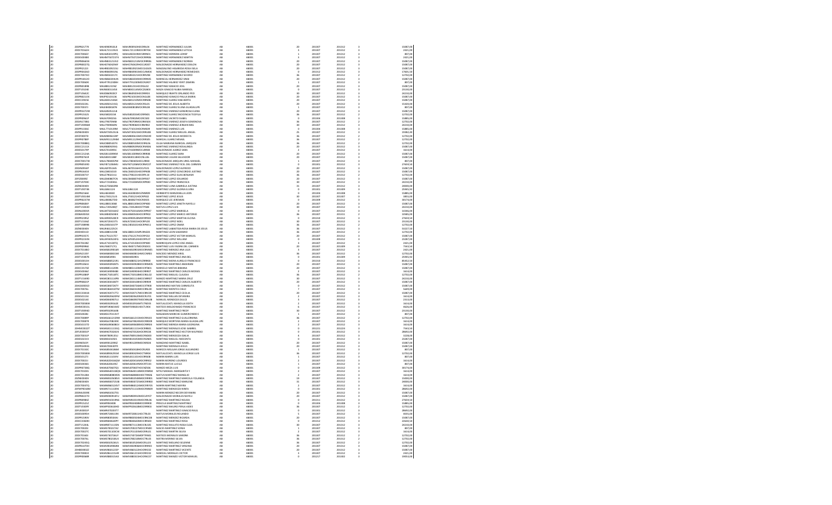| 20<br>20      | 20DPB2177K               | MAHJ900910L8                        | MAHJ900910HOCRRL04                       | MARTINEZ HERNANDEZ JULIAN                                        |              | AB001                 | 20                                             | 201307           | 201312           |                         |
|---------------|--------------------------|-------------------------------------|------------------------------------------|------------------------------------------------------------------|--------------|-----------------------|------------------------------------------------|------------------|------------------|-------------------------|
|               | 20DST0162H<br>20DST0065F | MAHL721119U3<br>MAHL850319PQ        | MAHL721119MOCRRT04<br>MAHL850319MCSRRN01 | MARTINEZ HERNANDEZ LETICIA<br>MARTINEZ HERRERA LENNY             | AB           | AB001<br>AR001        |                                                | 201307<br>201307 | 201312<br>201312 |                         |
| 20<br>20      | 20DES0048X               | MAHM75072374                        | MAHM750723HOCRRR06                       | MARTINEZ HERNANDEZ MARTIN                                        | AB<br>AB     | AB001                 | $\begin{smallmatrix}1\\1\\3\end{smallmatrix}$  | 201307           | 201312           |                         |
| 20            | 20DPB0665N               | MAHN831213V2                        | MAHN831213MOCRRR06                       | MARTINEZ HERNANDEZ NORMA                                         | AB           | AB001                 | 20                                             | 201307           | 201312           |                         |
| $_{20}$       | 20DPB0027Q               | MAH0760429AF                        | MAHO760429HOCLRD07                       | MALDONADO HERNANDEZ ODILON                                       | AB           | AB001                 | 20                                             | 201307           | 201312           | $\overline{\mathbf{3}}$ |
| 20            | 20DPR2122                | MAHR8109215U                        | MAHR810921MOCGGS05                       | MAGDALENO HIGAREDA ROSA ISELA                                    | AB           | AB001                 | 20                                             | 201307           | 201312           |                         |
| 20            | 200PR04260               | MAHRR40901NL                        | MAHRR40901MOCLRM04                       | MAI DONADO HERNANDEZ REMEDIOS                                    | AR.          | <b>AR001</b>          | $\circ$                                        | 201312           | 201312           |                         |
| 20            | 20DST00730               | MAHS8502217C                        | MAHS850221HOCRRV08                       | MARTINEZ HERNANDEZ SEVERO                                        | AB           | AB001                 | 36                                             | 201307           | 201312           |                         |
| 20<br>20      | 20DPR1812C<br>20DST0060K | MAHSR60204UN                        | MAHS860204MOCRRN0S<br>MAHY791230MOCRLR07 | MARISCAL HERNANDEZ SINAL<br>MARTINEZ HILARIO YERIT ZAMIRA        | AB<br>AB     | <b>AR001</b><br>AB001 | $\begin{array}{c} 20 \\ 1 \end{array}$         | 201307<br>201307 | 201312<br>201312 |                         |
|               | 20DPB01898               | MAHY7912308H                        |                                          |                                                                  |              | <b>AR001</b>          |                                                | 201307           | 201312           |                         |
| 20<br>20      | 20DTV0104E               | MAIJ881231NZ<br>MAIN8301145X        | MAU881231HOCRGL02<br>MAIN830114MOCZGB03  | MARTINEZ IGNACIO JOEL<br>MAZA IGNACIO NUBIA MARISOL              | AB<br>AB     | AB001                 | $\begin{smallmatrix} 20 \ 0 \end{smallmatrix}$ | 201307           | 201312           |                         |
|               |                          | MAIO860920CF                        | MAIO860920HOCRRR03                       |                                                                  |              | A9001                 |                                                | 201307           | 201312           |                         |
| 20<br>20      | 20DTV0642C<br>20DPB0211N | MAIP92103136                        | MAIP921031MOCNGL08                       | MARQUEZ IRIARTE ORLANDO PED<br>MANZANO IGNACIO PAULA MARIA       | AB<br>AB     | AB001                 | $\begin{array}{c} 30 \\ 20 \end{array}$        | 201307           | 201312           |                         |
| 20<br>20      | 20DCC0925E               | MAJA841210GK                        | MAJA841210MOCRRN08                       | MARTINEZ JUAREZ ANA BERTA                                        | AB<br>AB     | AB001                 | $\begin{array}{c} 20 \\ 20 \end{array}$        | 201307           | 201312           |                         |
|               | 20DES0224L               | MAJA850121SQ                        | MAJA850121MOCRSL01                       | MARTINEZ DE JESUS ALBERTA                                        |              | AB001                 |                                                | 201307           | 201312           | $\overline{\mathbf{3}}$ |
| 20<br>20      | 20DST0037J               | MAJE8408187B                        | MAJE840818MOCRRL08                       | MARTINEZ JUAREZ ELENA GUADALUPE                                  | AB<br>AB     | AB001                 |                                                | 201307           | 201312           |                         |
|               | 20DPR3272W               | MAJG850512L8                        |                                          | MARTINEZ JIMENEZ GENEROSA ELENA                                  |              | AB001                 | 20                                             | 201307           | 201312           | $\overline{\mathbf{a}}$ |
| 20<br>20      | 20DPR1552S<br>20DPR0961P | MAJI580201SK<br>MAJI670902SG        | AAJI580201MOCRRN01<br>MAJI670902MOCRCS00 | MARTINEZ JUAREZ INOCENCIA TEOFILA<br>MARTINEZ JACINTO ISABEL     | AB<br>AB     | AB001<br>AB001        | 36<br>$\circ$                                  | 201307<br>201304 | 201312<br>201308 |                         |
| 20            | 20DJN1738G               | MAJJ790709AB                        | MAJJ790709MOCRMS04                       | MARTINEZ JIMENEZ JOSEFA SEMENOVA                                 |              | AB001                 | 36                                             | 201307           | 201312           |                         |
| 20            | 20DTV0096M               | MAJJ7909069N                        | MAJJ790906HOCRMR02                       | MARTINEZ JIMENEZ JERSAIN MIG                                     | AB<br>AB     | AB001                 | 30                                             | 201307           | 201312           | $\overline{\mathbf{3}}$ |
| 20            | 20DPR1336C               | MAJL7710139M                        | MAJL771013HOCRMS09                       | MARTINEZ JIMENEZ LUIS                                            | AB           | AB001                 | $\pmb{\circ}$                                  | 201304           | 201308           |                         |
| 20            | 202NE0040V               | MAJM730523U6                        | MAJM730523HOCRRG08                       | MARTINEZ JUAREZ MIGUEL ANGEL                                     | AB           | AB001                 | 25                                             | 201307           | 201312           | $\overline{\mathbf{3}}$ |
| 20            | 20F2F0007D               | MAJM800615RP                        | MAJM800615MOCRSD09                       | MARTINEZ DE JESUS MODESTA                                        | AB           | AB001                 | 36                                             | 201307           | 201312           |                         |
| 20<br>20      | 20DPR0788Y               | MAIM9111294M                        | MAIM911129HOCRRSOS                       | MARCIAL ILIAREZ MISAEL                                           | AB<br><br>АВ | <b>AR001</b>          | 36<br>36                                       | 201307           | 201312           |                         |
|               | 20DST0088Q               | MAJ088053074                        | MAJO880530MOCRRL06                       | OLGA MARIANA MARCIAL JARQUIN                                     |              | AB001<br>AB001        |                                                | 201307<br>201307 | 201312           |                         |
| 20<br>20      | 20DCC2111X<br>20DES0179F | MAJR8809293G<br>MAJS741009SC        | MAJR880929MOCRMS06<br>MAJS741009MOCLRR08 | MARTINEZ JIMENEZ ROSALINDA<br>MALDONADO JUAREZ SARA              | AB<br>AB     | AB001                 | $\begin{array}{c} 20 \\ 2 \end{array}$         | 201307           | 201312<br>201312 | $\overline{\mathbf{a}}$ |
|               | 20DCC2124A               | MAJ\$811009KM                       | MAJS811009MOCRRR08                       | MARTINEZ JUAREZ SARA                                             | AB           | AB001                 | 20                                             | 201307           | 201312           |                         |
| 20<br>20      | 20DPR0761R               | MAJS830118BF                        | MAJS830118HOCNLL06                       | MANZANO JULIAN SALVADOR                                          | AB           | AB001                 | 20                                             | 201307           | 201312           |                         |
| 20            | 20DST0017W               | MAJU780405PW                        | MAJU780405HOCLRR00                       | MALDONADO JARQUIN URIEL MANUEL                                   | AB<br>AB     | AB001                 | $\overline{\mathbf{1}}$                        | 201307           | 201312           |                         |
| $_{20}$       | 20DPB0559D               | MAJY871206MU                        | MAJY871206MOCRMC07                       | MARTINEZ JIMENEZ YICEL DEL CARMEN                                |              | AB001                 | $\theta$                                       | 201301           | 201312           | $\overline{\mathbf{3}}$ |
| 20            | 20DJN0954P               | MALA870516I5                        | MALA870516HOCLPL01                       | MALDONADO LOPEZ ALFREDO                                          | AB           | AB001                 | $^{20}$                                        | 201307           | 201312           |                         |
| 20<br>20      | 20DPB1641K<br>20DES0071Y | MALC840101EI<br>MALE7902211J        | MALC840101HOCRPN08<br>MALE790221HOCRPL10 | MARTINEZ LOPEZ CONCORDIO JUSTINO<br>MARTINEZ LOPEZ ELIAS BENJAMI | AB<br>AB     | AB001<br>AB001        | 20<br>36                                       | 201307           | 201312<br>201312 | $\overline{\mathbf{3}}$ |
|               | 20E1200092               | MALE840807CN                        | MAI FR40807HOCRPD07                      | MARTINEZ LOPEZ EDUARDO                                           | AB           | <b>AR001</b>          |                                                | 201307<br>201307 | 201312           |                         |
| 20<br>20      | 20DTV0700C               | MALF721004UL                        | MALF721004MOCRPR00                       | MARTINEZ LÓPEZ FRANCISCA                                         | <br>АВ       | AB001                 | $\begin{array}{c} 20 \\ 30 \end{array}$        | 201307           | 201312           |                         |
|               | 202NE0040V               | MALG750602RB                        |                                          | MARTINEZ LUNA GABRIELA JUSTINA                                   |              | <b>AR001</b>          | 31                                             | 201307           | 201312           |                         |
| 20<br>20      | 20DTV0073B               | MALG861124                          | MALG861124                               | MARTINEZ LOPEZ GLORIA ELVIRA                                     | AB<br>AB     | AB001                 | $\bf{0}$                                       | 201301           | 201309           | $\overline{\mathbf{3}}$ |
| 20            | 20DPB2166E               | MALH650830                          | MALH650830HVZNNR09                       | HERIBERTO MANZANILLA LEON                                        | AB           | AB001                 | $\theta$                                       | 201304           | 201308           |                         |
| $_{20}$       | 20DTV0014M               | MALJ730121US                        | MALI730121HOCRPS02                       | MARTINEZ LOPEZ JESUS                                             | AB           | AB001                 | 30                                             | 201307           | 201307           | $\overline{\mathbf{3}}$ |
| 20            | 20DPR0237W               | MALI840827DD                        | MALI840827HOCRXX05                       | MARQUEZ LEE JEREMIAS                                             | AB           | AB001                 | $\bf{0}$                                       | 201309           | 201312           |                         |
| $_{20}$<br>20 | 20DPB0606Y<br>20DTV10430 | MALJ88013068<br>MALL720528QT        | MALI880130MOCRPN00<br>MALL720528HOCTPS08 | MARTINEZ LOPEZ JANETH NAYELLI<br>MATUS LOPEZ LUIS                | AB<br>AB     | AB001<br>AB001        | 20<br>30                                       | 201307<br>201307 | 201312<br>201312 | $\overline{\mathbf{3}}$ |
| $_{20}$       | 20DNL0001R               | MALM750316HZ                        | MALM750316MOCRPR07                       | MARTINEZ LOPEZ MARISELA                                          | AB           | AB001                 | $\circ$                                        | 201307           | 201312           |                         |
| 20            | 20DBA0035X               | MALM840504EK                        | MALM840504HOCRPR02                       | MARTINEZ LOPEZ MARCO ANTONIO                                     | AB           | AB001                 | 36                                             | 201307           | 201311           |                         |
| 20<br>20      | 200PR23952               | MAI M90052809                       | MAI M900528MDERPR00                      | MARTINEZ LOPEZ MARTHA ELOISA                                     | AB           | <b>AR001</b>          | $\theta$                                       | 201310           | 201312           |                         |
|               | 20DTV1536Z               | MALN720415T5                        | MALN720415HOCRPL00                       | MARTINEZ LOPEZ NOEL                                              | AB           | AB001                 | $30^{-1}$                                      | 201307           | 201312           |                         |
| 20<br>20      | 20DTV0899B               | MALO850101TP                        | MALO850101HOCRPM11                       | MARTINEZ LOPEZ OMAR                                              | AB<br>AB     | <b>AR001</b>          | 36                                             | 201307           | 201312           | $\overline{2}$          |
|               | 20ZNE0040V<br>20DDI0011D | MALR461225CX<br>MALS88013198        | MALS880131MPLRNG03                       | MARTINEZ LABASTIDA ROSA MARIA DE JESUS<br>MARTINEZ LEON SAGRARIO | AB           | AB001<br>AB001        | 36<br>36                                       | 201307<br>201307 | 201312<br>201312 |                         |
| 20<br>$_{20}$ | 20DPR3357C               | MALV761217E7                        | MALV761217HOCRPC02                       | MARTINEZ LOPEZ VICTOR MANUEL                                     | AB           | AB001                 | 20                                             | 201307           | 201312           |                         |
| 20            | 20DPR2233N               | MALW930524FG                        | MALW930524HOCRPL07                       | MARTINEZ LOPEZ WILLIAM                                           | AB           | <b>AR001</b>          | $\overset{\cdot}{\mathbf{0}}$                  | 201309           | 201312           |                         |
| $_{20}$       | 20DST02282               | MALX710130TQ                        | MALA710130HOCRPN00                       | MARROQUIN LOPEZ JOSE ANGEL                                       | AB           | AB001                 | $\overline{3}$                                 | 201307           | 201312           | $\overline{\mathbf{3}}$ |
| 20            | 20DPR09968               | MALY840717CL                        | MALY840717MOCRSD01                       | MARTINEZ LUIS YADIRA DEL CARMEN                                  | AB           | AB001                 | 20                                             | 201307           | 201309           |                         |
| $_{20}$       | 20DST0148Q               | MAMA8109016R                        | MAMA810901MOCRNN05                       | MARTINEZ MENDEZ ANA LILIA                                        | AB           | AB001                 | $\overline{3}$                                 | 201307           | 201312           |                         |
| 20            | 20DJN21331<br>200TV0387R | MAMA840831MI<br>MAMAR50901          | MAMA840831HMCCNR03<br>MAMAR50901         | MACEDO MENDEZ ARIEL<br>MARTINEZ MARTINEZ ANA REL                 | AB<br>AB     | AB001<br><b>AR001</b> | 36                                             | 201307<br>201301 | 201312<br>201309 |                         |
| 20<br>20      | 20DES0013H               | MAMA880521R1                        | MAMA880521HVZRRR00                       | MARTINEZ MORA AURELIO FRANCISCO                                  | AB           | AB001                 | $\begin{smallmatrix}0\\0\\0\end{smallmatrix}$  | 201310           | 201312           |                         |
|               | 20DPR1061E               | MAMA93092875                        | MAMA930928MOCRRM05                       |                                                                  |              | <b>AR001</b>          |                                                | 201307           | 201312           |                         |
| 20<br>20      | 20DCC0170Z               | <b>MAMB851120IN</b>                 | MAMB851120MOCRTB01                       | MARTINEZ MARTINEZ AMAIRANI<br>MARCELO MATIAS BIBIANA             | AB<br>AB     | AB001                 | $\begin{array}{c} 20 \\ 20 \end{array}$        | 201307           | 201312           |                         |
| 20<br>20      | 20DES00462<br>20DPR1084P | MAMC6909048E                        | MAMC690904HOCRRR07                       | MARTINEZ MARTINEZ CARLOS MOISES                                  | AB<br>AB     | <b>AR001</b>          | $\overline{2}$                                 | 201307           | 201312           |                         |
|               |                          | MAMC750518TC                        | MAMC750518MOCRGL02                       | MARTINEZ MIGUEL CLAUDIA                                          |              | AB001                 | 36                                             | 201307           | 201312           |                         |
| 20<br>20      | 20DTV1549D               | MAMC801114PB                        | MAMC801114MOCNRR07                       | MANZO MARTINEZ MARIA CRUZ<br>MARTINEZ MARTINEZ CARLOS ALBERTO    | AB<br>AB     | <b>AR001</b>          | $\frac{30}{20}$                                | 201307           | 201312           |                         |
|               | 20DPR0821P               | MAMC8301087Y<br>MAMC840726TY        | MAMC830108HOCRRR09<br>MAMC840726MOCXTR00 | MAXIMIANO MATIAS CARMELITA                                       |              | AB001<br>AB001        |                                                | 201307<br>201307 | 201312<br>201312 | $\overline{\mathbf{3}}$ |
| 20<br>20      | 20AGS0001D<br>20DST0076L | MAMC860410TM                        | MAMC860410MOCRNL00                       | MARTINEZ MONTES CIELO                                            | AB<br>AB     | <b>AR001</b>          | $\frac{0}{7}$                                  | 201307           | 201312           | $\overline{\mathbf{3}}$ |
| 20            | 20DCC0341B               | MAMC920717T2                        | MAMC920717MOCRRC09                       | MARTINEZ MARTINEZ CECILIA                                        |              | AB001                 | 20                                             | 201307           | 201312           |                         |
| $_{20}$       | 20DES0115E               | MAMD820620FM                        | MAMD820620MOCRLY01                       | MARTINEZ MILLAN DEYANIRA                                         | AB<br>AB     | AB001                 | $\overline{2}$                                 | 201307           | 201312           | $\overline{\mathbf{3}}$ |
| 20            | 20DES0214E               | MAMD840907UJ                        | MAMD840907MOCNNL08                       | MANUEL MENDOZA DULCE                                             | AB           | AB001                 |                                                | 201307           | 201312           |                         |
| 20<br>20      | 20DST0058W               | MAME8109162E                        | MXME810916MTLTND03                       | MATLALCOATL MANCILLA EDITH                                       | AB<br>AB     | <b>AR001</b>          | $\begin{array}{c} 2 \\ 6 \end{array}$          | 201307           | 201312           |                         |
|               | 20HMC0013L               | MAMF590601MZ                        | MAMF590601HOCTLR04                       | MATEOS MALDONADO FRANCISCO                                       |              | AB001<br><b>AR001</b> |                                                | 201307           | 201312           |                         |
| 20<br>20      | 20DTV00940<br>20DES0028J | MAMF81091648<br>MAMG570113V7        |                                          | MARTINEZ MARTINEZ FREDY<br>MAGADAN MARICHE GUMERCINDO E          | AB<br>AB     | AB001                 | 30<br>$\mathbf{1}$                             | 201307<br>201307 | 201312<br>201312 |                         |
|               | 20DST0089R               | MAMG661215RW                        | MAMG661215MOCRR103                       |                                                                  |              | <b>AR001</b>          |                                                | 201307           | 201312           |                         |
| 20<br>20      | 20DST0087R               | MAMG6708249C                        | MAMG670824MOCRRD09                       | MARTINEZ MARTINEZ GUILLERMINA<br>MARQUEZ MORTERA MARIA GUADALUPE | AB<br>AB     | AB001                 | $\begin{array}{c} 36 \\ 2 \end{array}$         | 201307           | 201312           |                         |
| 20<br>20      | 20DES0157D               | MAMG690608G\                        | MAMG690608MOCRRR04                       | MARTINEZ MERIDA MARIA GEORGINA                                   | AB<br>AB     | AB001                 | $\begin{smallmatrix}2\\0\end{smallmatrix}$     | 201307           | 201312           |                         |
|               | 20HMC00221               | MAMG811115SQ                        | MAMG811115HOCRRB01                       | MARTINEZ MORALES JOSE GABRIEL                                    |              | AB001                 |                                                | 201221           | 201224           | $\overline{\mathbf{3}}$ |
| 20<br>20      | 20FUE0001P<br>20DST0031P | MAMH670326V4<br>MAMI7809135U        | MAMH670326HOCRRC04<br>MAMI780913MOCRND00 | MARTINEZ MARTINEZ HECTOR WILFRIDO<br>MARTINEZ MENDOZA IDALIA     | AB<br>AB     | AB001<br>AB001        | $\mathbf 0$<br>$\overline{4}$                  | 201301<br>201307 | 201312<br>201312 | $\overline{a}$          |
|               |                          |                                     |                                          |                                                                  |              | AB001                 | $\theta$                                       | 201301           | 201312           |                         |
| 20<br>$_{20}$ | 20DES0231V<br>20DIN0543Y | MAMI810105IS<br>MAMI9012094Z        | MAMI810105MOCRGN05<br>MAMI901209MOCNRS04 | MARTINEZ MIGUEL INOCENTA<br>MANZANO MARTINEZ ISABEL              | AB<br>AB     | AB001                 | 20                                             | 201307           | 201312           |                         |
| 20            | 20DPR3493G               | MAMJ700430TR                        |                                          | MARTINEZ MORALES JESUS                                           | AB<br>AB     | AB001                 | $^{20}$                                        | 201307           | 201312           |                         |
| 20            | 20DST0150C               | MAMJ8504186M                        | MAMJ850418HOCRLR03                       | MARCOS MELGAR JORGE ALEJANDRO                                    |              | AB001                 | $\mathbf{1}$                                   | 201307           | 201312           |                         |
| 20            | 20DST0058W               | MAMJ8904291M                        | MAMJ890429HOCTNR04                       | MATLALCOATL MANCILLA JORGE LUIS                                  | AB           | AB001                 | 36                                             | 201307           | 201312           |                         |
| 20<br>20      | 20DES01271               | <b>MAMI 811101RV</b>                | MAMLR11101HOCRRS08                       | MARIN MARIN LUIS                                                 | AB<br>AB     | <b>AR001</b>          | $\mathbf 1$<br>$\overline{2}$                  | 201307           | 201312           |                         |
|               | 20DST0021<br>20DES00369  | MAML820416QM<br>MAML820619IZ        | MAML820416MOCRRR02<br>MAML820619MOCRTC03 | MARIN MORENO LOURDES<br>MARIN MATUS LUCILA                       |              | AB001<br><b>AR001</b> | $\overline{1}$                                 | 201307<br>201307 | 201312<br>201312 |                         |
| 20<br>20      | 20DPR0738Q               | MAML870607QS                        | MAML870607HOCNZS06                       | MANZO MEZA LUIS                                                  | AB<br>AB     | AB001                 | $\circ$                                        | 201309           | 201312           |                         |
| 20            | 20DST0103S               | MAMM640118QN                        | MAMM640118MOCRNR04                       | MTEZ MANUEL MARGARITA Y                                          | AB           | <b>AR001</b>          | $\overline{2}$                                 | 201307           | 201312           |                         |
| 20            | 20DST0128A               | MAMM680804SN                        | MAMM680804HOCTRN06                       | MATUS MARTINEZ MANGLIO                                           | AB           | AB001                 | $\overline{2}$                                 | 201307           | 201312           | $\overline{\mathbf{3}}$ |
| 20            | 202NE0040V               | MAMM810508V3                        | MAMM810508MOCRRR01                       | MARTINEZ MARTINEZ MARCELA YOLANDA                                | AB<br>AB     | AB001                 | 19                                             | 201307           | 201312           |                         |
| $_{20}$       | 20ZNE0040V               | MAMM83072538                        | MAMM830725MOCRRR00                       | MARTINEZ MARTINEZ MARLENE                                        |              | AB001                 | 31                                             | 201307           | 201312           |                         |
| 20<br>20      | 20DST0047Q<br>20FMP0018M | MAMM860124V7<br>MAMN71111094        | MAMM860124MOCRRY05<br>MAMN711110MOCRNN09 | MARIN MARTINEZ MAYRA<br>MARTINEZ MENDOZA NINFA                   | AB<br>AB     | AB001<br>AB001        | $\overline{2}$<br>$\circ$                      | 201307<br>201301 | 201312<br>201312 |                         |
| 20            | 20DML0039E               | MAMN810327SS                        |                                          | MARIN MENDEZ NECERI DEYANIRA                                     | AB           | AB001                 | 20                                             | 201307           | 201312           |                         |
|               | 20DPR0227O               | MAMN900910FU                        | MAMN900910MOCLBY07                       | MAI DONADO MORALES NAYELL                                        | AB           | <b>AR001</b>          | 20                                             | 201307           | 201312           | $\overline{a}$          |
| 20<br>20      | 20DPB09842               | MAMN910319N6                        | MAMN910319MOCRRL06                       | MARTINEZ MARTINEZ NELIDA                                         | AB           | AB001                 | $\mathbf 0$                                    | 201311           | 201312           |                         |
| 20<br>20      | 20DPR15212               | MAMPR50408                          | MAMPRS0408MOCRRR00                       | PRISCILA MARTINEZ MARTINEZ                                       | AB<br>AB     | <b>AR001</b>          | $\circ$                                        | 201304           | 201308           |                         |
|               | 20DTV0309Y               | MAMP920618HD                        | MAMP920618MOCRRR03                       | MARTINEZ MAURO PERLA AIDEE                                       |              | AB001                 | 36                                             | 201307           | 201312           |                         |
| 20            | 20FUE0001P               | MAMR470203T7                        |                                          | MARTINEZ MARTINEZ IGNACIO RAUL                                   | AB           | <b>AR001</b>          | $\mathbb O$                                    | 201301           | 201312           |                         |
| 20            | 20DES0095H<br>20DPR1590V | MAMR7208119X<br>MAMR800504AI        | MAMR720811HOCTRL03<br>MAMR800504MOCRNC08 | MATUS MORALES ROLANDO<br>MARTINEZ MENDEZ RICARDA                 | AB<br>AB     | AB001<br>AB001        | $\overline{\mathbf{S}}$                        | 201307<br>201307 | 201312<br>201312 | 3                       |
| 20<br>$_{20}$ | 20DCC0369H               | MAMR840630PY                        | MAMR840630MOCRRS00                       | MARTINEZ MARTINEZ ROSA                                           | AB           | AB001                 | 20<br>$\bf{0}$                                 | 201312           | 201312           | $\overline{\mathbf{3}}$ |
| 20            | 20DTV1244L               | MAMR8711135N                        | MAMR871113MOCRLS05                       | MARTINEZ MULATO ROSA ELDA                                        | AB           | AB001                 | 30                                             | 201307           | 201312           |                         |
| $_{20}$       | 20DST0020J               | MAMS700227AZ                        | MAMS700227MOCCRN00                       | MACES MARTINEZ SONIA                                             | AB           | AB001                 | $\mathbf{1}$                                   | 201307           | 201312           | $\overline{\mathbf{3}}$ |
| 20            | 20DST0027C               | MAMS701103CW                        | MAMS701103MOCRRL01                       | MARTINEZ MARTIN SILVIA                                           | AB           | AB001                 |                                                | 201307           | 201312           |                         |
| 20            | 20DST01601               | <b>MAMS730726UF</b>                 | MAMS730726MDETRN01                       | MATEOS MORALES SANDRA                                            | 4Ŕ           | <b>AR001</b>          | 36                                             | 201307           | 201312           |                         |
| 20            | 20DST0076<br>20DST02450  | MAMS780218UX<br><b>MAMS810526US</b> | MAMS780218MOC7RL03<br>MAMS810526MOCRLL03 | MATRA MERINO SILVIA<br>MARTINEZ MOLANO SELENNE                   | AB           | AB001<br><b>AR001</b> | 36                                             | 201307<br>201307 | 201312<br>201312 |                         |
| 20<br>20      | 20DPB1470H               | MAMV850906RB                        | MAMV850906MOCRRR03                       | MARTINEZ MARTINEZ VIRGINIA                                       | AB<br>AB     | AB001                 | 36<br>20                                       | 201307           | 201312           |                         |
|               | 20HBD00022               | MAMVR601225P                        | MAMVS60122HOCRRCO2                       | MARTINEZ MARTINEZ VICENTE                                        |              | <b>AR001</b>          | 20                                             | 201307           | 201312           |                         |
| 20<br>20      | 20DST0081X               | MAMV861215H9                        | MAMV861215HOCRRC02                       | MARCIAL MORALES VICTOR                                           | AB<br>AB     | AB001                 |                                                | 201307           | 201312           |                         |
|               | 20DPR0068R               | MAMV880315AX                        | MAMV880315HOCRNC07                       | MARTINEZ MANZO VICTOR MANUEL                                     | AB           | AB001                 | $\mathbf 0$                                    | 201217           | 201302           |                         |
|               |                          |                                     |                                          |                                                                  |              |                       |                                                |                  |                  |                         |

# 15087,00 3 2421,00 3 807,00 3 2421,00 3 15087,00 3 15087,00 3 15087,00 3 17601,50 2 12702,00 3 15087,00 3 807,00 3 15087,00 3 23130,00 3 24210,00 3 15087,00 3 15087,00 3 15420,00 3 807,00 3 15087,00 2 12702,00 3 15885,00 2 12702,00 3 24210,00 3 15885,00 3 19382,40 2 12702,00 2 12702,00 2 12702,00 3 15087,00 3 1614,00 3 15087,00 3 15087,00 3 807,00 3 27659,50 3 15087,00 3 15087,00 2 12702,00 3 15087,00 3 24210,00 3 24000,00 3 25945,92 3 15885,00 3 3855,00 3 30174,00 3 15087,00 3 24210,00 3 14346,00 2 10585,00 3 27659,50 3 23130,00 2 12702,00 3 53227,50 2 12702,00 3 15087,00 3 23287,00 3 2421,00 3 7543,50 3 2421,00 2 12702,00 3 25945,92 3 85452,50 3 15087,00 3 15087,00 3 1614,00 2 12702,00 3 24210,00 3 15087,00 3 15087,00 3 5649,00 3 15087,00 3 1614,00 3 2313,00 3 1614,00 3 4626,00 3 23130,00 3 807,00 2 12702,00 3 1614,00 3 1614,00 3 7543,50 3 28692,00 3 3228,00 3 23287,00 3 15087,00 3 15087,00 3 807,00 2 12702,00 3 807,00 3 1614,00 3 807,00 3 30174,00 3 1614,00 3 1614,00 3 15000,00 3 24000,00 3 1614,00 3 28692,00 3 15087,00 3 15087,00 3 27659,50 3 15885,00 2 12702,00 3 28692,00 3 4035,00 3 15087,00 3 22630,50 3 24210,00 3 807,00 3 1614,00 2 12702,00 2 12702,00 2 12702,00 3 15087,00 3 15087,00 3 2421,00 3 19053,00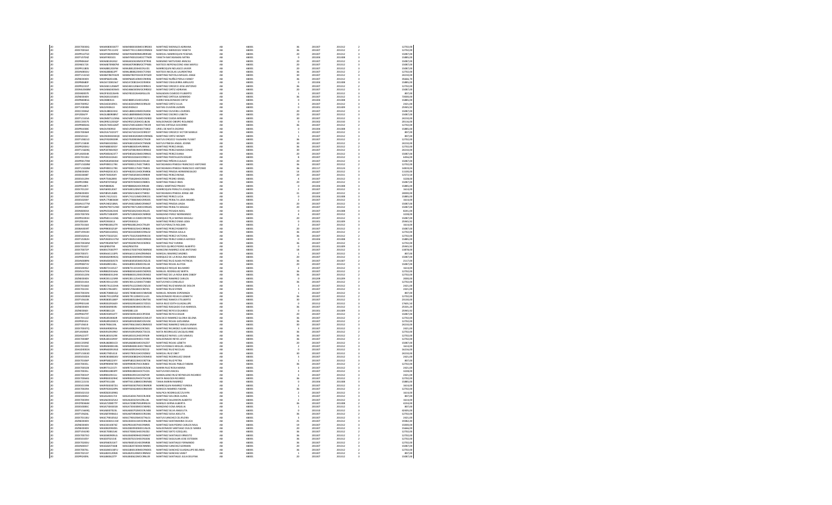|                                   | 20DST0030Q               | MAMX80033077                      | MAMX800330MOCRRD03                       | MARTINEZ MORALES ADRIANA                                       | <b>AR</b>            |                       |                                         | 201307           | 201312           |                         |                      |
|-----------------------------------|--------------------------|-----------------------------------|------------------------------------------|----------------------------------------------------------------|----------------------|-----------------------|-----------------------------------------|------------------|------------------|-------------------------|----------------------|
| 20<br>20                          | 20DST0016X               | MAMY791113FZ                      | MAMY791113MOCRNN03                       | MARTINEZ MENDOZA YANETH                                        | AB                   | AB001<br>AB001        | 36<br>36                                | 201307           | 201312           |                         | 12702,00<br>12702,00 |
| 20                                | 20DPR1475D               | MAMY840909NZ                      | MAMVRADODMCRRRCOR                        | MARCIAL MARROQUIN YESENIA                                      | AB                   | AR001                 | $_{\rm 20}$                             | 201307           | 201312           |                         | 15087,00             |
| 20                                | 20DTV07042               | MAMY900101                        | MAMY900101MOCTTN09                       | YANETH MATADAMAS MITRA                                         | AB                   | AB001                 | $\circ$                                 | 201304           | 201308           |                         | 15885,00             |
| 20                                | 20DPB0656R               | MANA810424J2                      | MANA810424MOCRTR04                       | MARIANO NATIVIDAD ARACELI                                      | AB                   | AB001                 | 20                                      | 201307           | 201312           |                         | 15087,00             |
| 20                                | 20DIN0172X               | MANA8709087M                      | MANA870908MOCTPN06                       | MATEOS NEPONUCENO ANA MAYELI                                   | AB                   | AB001                 | 20                                      | 201307           | 201312           | $\overline{\mathbf{3}}$ | 15087.00             |
| 20                                | 20DPR11809               | MANJ881203FM                      | MANJ881203HOCRLV01                       | MARROQUIN NOLASCO JAVIER                                       | AB                   | AB003                 | $^{20}$                                 | 201307           | 201312           |                         | 15087,00             |
| 20<br>20                          | 20DJN0850L<br>20DTV1415Q | MANL880822PT<br>MANM78070329      | MANL880822MOCTCR04<br>MANM780703HOCRYG09 | MATEOS NICOLAS LAURENTINA<br>MARTINEZ NOYOLA MIGUEL ANGE       | AB<br>AB             | AB001<br>AB001        | 36<br>30                                | 201307<br>201307 | 201312<br>201312 | $\overline{ }$          | 12702.00<br>24210,00 |
|                                   | 202NF0040V               | MANP6605108L                      | MANP660510MOCRXR06                       | MARTINEZ NUÑEZ PERLA VIANEY                                    | AB                   | <b>AR001</b>          |                                         | 201307           | 201312           | $\overline{a}$          |                      |
| 20<br>20                          | 20DPB0680                | MAOA72081567                      | MAOA720815HOCRSR04                       | MARTINEZ OSIGUERRA ARNULFO                                     | $\overline{AB}$      | AB001                 | $\begin{array}{c} 36 \\ 0 \end{array}$  | 201304           | 201308           |                         | 35666,70<br>15885,00 |
| $_{20}$                           | 20DPR2231F               | MAOA811206MT<br>MAOA860305M3      | MAOA811206HOCRRN15                       | MARTINEZ OROZCO JOSE ANTONIO<br>MARTINEZ ORTIZ ADRIANA         | AB                   | <b>AR001</b>          |                                         | 201307           | 201312           |                         | 12702.00             |
| $\frac{1}{20}$                    | 20DML0048M               |                                   | MAOA860305MOCRRD02                       |                                                                | AB                   | AB001                 | $\frac{36}{20}$                         | 201307           | 201312           |                         | 15087,00             |
| 20                                | 20DSN0007E               | MAOF810226HN                      | MAOF810226HGRGLL05                       | MAGADAN OLMEDO FILIBERTO                                       | AB<br>AB             | <b>AR001</b>          | $\begin{array}{c} 1 \\ 36 \end{array}$  | 201307           | 201312           |                         | 807.00               |
| 20                                | 202NE0040V               | MAOG811016K3                      |                                          | MARTINEZ ORTEGA GERARDO                                        |                      | AB001                 |                                         | 201307           | 201312           |                         | 72000,00             |
| 20                                | 20DPB00850               | MA01880515                        | MAOI880515HOCLRS01<br>MAOI650109MOCRRL00 | ISIDRO MALDONADO ORTIZ                                         | AB                   | AB001                 | $\,$ 0                                  | 201304           | 201308           |                         | 15885,00             |
| 20                                | 20DST00952               | MA0J650109C1                      |                                          | MARTINEZ ORTIZ JULIA                                           | AB                   | AB001                 |                                         | 201307           | 201312           |                         | 2421,00              |
| 20                                | 20FTV0030E               | MA0J930613                        | MAOJ930613                               | MATIAS OLIVERA JAZMIN                                          | AB                   | AB003                 |                                         | 201301           | 201309           |                         | 25945,92             |
| 20<br>20                          | 20DCC0046<br>20FIZ0067F  | MAOL8802241E<br>MAOL880908N7      | MAOL880224MOCRLR04                       | MARTINEZ OLIVERA LOURDES<br>MARTINEZ OSORIO LISBETH            | AB                   | AB001<br>AB001        | 20                                      | 201307<br>201307 | 201312<br>201312 |                         | 15087,00             |
| 20                                | 20DTV1535A               | MAOM871125N6                      | MAOL880908MOCRSS06<br>MAOM871125MOCRJR00 | MARTINEZ OJEDA MIRIAM                                          | AB<br>AB             | AB001                 | $^{20}$<br>30                           | 201307           | 201312           |                         | 15087,00<br>24210.00 |
| 20                                | 20DCC00379               | MAOR921203QP                      | MAOR921203HOCLBL06                       | MALDONADO OBISPO ROLANDO                                       | AB                   | AB001                 | $\circ$                                 | 201302           | 201310           |                         | 20116,00             |
| 20                                | 20DPR0854G               | MA0S740516MT                      | MAOS740516MOCTRC09                       | MATIAS ORTEGA SOCORRO                                          | AB                   | AB001                 | 36                                      | 201307           | 201312           |                         | 12702.00             |
| 20                                | 20DPB10380               | MAOU930910                        | MAOU930910HOCTSR02                       | URIEL DE MATA OSORIO                                           | AB                   | AB001                 | $\,$ 0                                  | 201304           | 201308           |                         | 15885,00             |
| 20                                | 20DST0046F               | MAOV671021P7                      | MAOV671021HOCRRC07                       | MARTINEZ OROZCO VICTOR MANUE                                   | AB                   | AB001                 | $\mathbf{1}$                            | 201307           | 201312           | $\overline{\mathbf{3}}$ | 807.00               |
| 20                                | 20DES0152I               | MAOW830204QX                      | MAOW830204MOCRRN06                       | MARTINEZ ORTIZ WENDY                                           | AB                   | AB001                 |                                         | 201307           | 201312           |                         | 807,00               |
| $\overline{20}$                   | 20DTV0821O               | MAOY9209039R                      | MAOY920903MOCTRI09                       | MATUS OROZCO VAIAHIRA VUSSET                                   | <b>AR</b>            | AB001                 | 36                                      | 201307           | 201312           |                         | 12702.00             |
| 20                                | 20DTV1583K               | MAPA8410206S                      | MAPA841020HOCTNN08                       | MATUS PINEDA ANGEL JOENN                                       | AB                   | AB001                 | $\overline{30}$                         | 201307           | 201312           |                         | 24210,00             |
| 20                                | 20DPR2004U               | MAPA8803055Y                      | MAPA880305HPLRRR04                       | MARTINEZ PEREZ ARGEL                                           | AB                   | AB003                 | 36<br>30                                | 201307           | 201312           |                         | 12702,00             |
| 20<br>20                          | 20DTV1669Q<br>20FUA0034  | MAPC870819QY                      | MAPC870819MOCRRN02<br>MAPD850423MOCRRN01 | MARTINEZ PEREZ MARIA CONCE                                     | AB<br>AB             | AB001<br>AB003        |                                         | 201307           | 201312<br>201312 |                         | 24210,00             |
| 20                                | 20DST0118U               | MAPD850423T7<br>MAPE81022643      | MAPE810226HOCRND11                       | MARTINEZ PEREZ DIANA<br>MARTINEZ PANTALEON EDGAR               | AB                   | AB001                 | 20                                      | 201307<br>201307 | 201312           |                         | 15087,00<br>6456.00  |
| 20                                | 20DPR0179W               | MAPE8509303W                      | MAPE850930HOCRXL00                       | MARTINEZ PIÑON EULALIO                                         | AB                   | AB001                 | 20                                      | 201307           | 201312           |                         | 15087,00             |
| 20                                | 20DTV1028W               | MAPF890117R4                      | MAPF890117HOCTNR01                       | MATADAMAS PINEDA FRANCISCO ANTONIO                             | AB                   | AB001                 | 36                                      | 201307           | 201312           |                         | 12702.00             |
| 20                                | 20DTV1028V               | MAPF890117R4                      | MAPF890117HOCTNR01                       | MATADAMAS PINEDA FRANCISCO ANTONIO                             | AB                   | AB001                 | $\frac{36}{14}$                         | 201117           | 201124           |                         | 14819,04             |
| 20                                | 202NE0040V               | MAPH820313CS                      | MAPH820313HOCRNR06                       | MARTINEZ PINEDA HERMENEGILDO                                   | AB                   | AB001                 |                                         | 201307           | 201312           | $\overline{\mathbf{a}}$ | 11100.00             |
| 20                                | 20DEE00081               | MAPI740505KY                      | MAPI740505MOCRRR09                       | MARTINEZ PEREZ IRENIA                                          | AB                   | AB001                 | 20                                      | 201307           | 201311           |                         | 12572,50             |
| 20                                | 20DES0129H               | MAPI75062893                      | MAPI750628HOCRDS05                       | MARTINEZ PEDRO ISRAEL                                          | AB                   | AB001                 | $\overline{4}$                          | 201307           | 201312           |                         | 3228.00              |
| 20                                | 20DPR1998J               | MAPI870704QZ                      | MAPI870704MOCRBR01                       | MARTINEZ PABLO IRAIS                                           | AB                   | AB001                 | $20\,$                                  | 201307           | 201312           |                         | 15087,00             |
| $_{20}$                           | 20DPR1487L               | MAPIRROR26                        | MAPISSOR26HOCRRSOR                       | ISRAEL MARTINEZ PRADO                                          | <b>AR</b>            | <b>AR001</b>          | $\circ$                                 | 201304           | 201308           |                         | 15885.00             |
| 20<br>$_{20}$                     | 20DST0123F<br>202NE0040V | MAPJ69012047<br>MAPJ8501268N      | MAPJ690120MOCRRQ05<br>MAPJ850126HOCTNR02 | MARROQUIN PERALTA JOAQUINA                                     | AB<br>AB             | AB001<br><b>AR001</b> | $\overline{2}$                          | 201307           | 201312           |                         | 1614,00              |
|                                   |                          | MAPL74121321                      |                                          | MATADAMAS PINEDA JORGE ARI                                     |                      |                       | 31                                      | 201307           | 201312           |                         | 24000.00<br>15885,00 |
| 20<br>$_{20}$                     | 20DTV0918Z<br>20DES0204Y | MAPL7708036M                      | MAPL741213MOCRRC01<br>MAPL770803MOCRRD05 | MARTINEZ PEREZ LUCIA<br>MARTINEZ PERALTA LIDIA ANABEL          | AB<br>AB             | AB001<br>AB001        | $\circ$<br>$\overline{2}$               | 201304<br>201307 | 201308<br>201312 |                         | 1614,00              |
| 20                                | 20DJN1377M               | MAPL940218ML                      | MAPL940218MOCRNN07                       | MARTINEZ PINEDA LINDA                                          | AB                   | AB001                 | 20                                      | 201307           | 201312           |                         | 15087.00             |
| 20                                | 20DPR1568T               | MAPM790712ND                      | MAPM790712MOCRRG05                       | MARTINEZ PERALTA MAGALI                                        | AB                   | AB001                 | $\overline{20}$                         | 201307           | 201312           |                         | 15087,00             |
| 20                                | 20DNS0001K               | MAPN550423HE                      | MAPN550423HOCRSL05                       | MARTINEZ POSADA NOEL                                           | AB                   | AB001                 | $\mathbf 0$                             | 201307           | 201308           |                         | 8241.00              |
| 20                                | 20DST0074M               | MAPN7108309Y                      | MAPN710830HOCNRR00                       | MANZANO PEREZ NORMANDO                                         | AB                   | AB003                 |                                         | 201307           | 201312           |                         | 3228,00              |
| 20                                | 20DPR3393H               | MAPN811115NG                      | MAPN811115MOCRXY06                       | MARQUEZ PE: A NAYMA MAGALI                                     | AB                   | AB001                 | 20                                      | 201307           | 201312           |                         | 15087.00             |
| 20                                | 20FIZ0024R               | MAP0930413                        | MAP0930413                               | <b>MARTINEZ PEREZ ORAIS LIDIA</b>                              | AB                   | AB001                 | $\circ$                                 | 201301           | 201309           |                         | 25945,92             |
| 20                                | 20DST0156X               | MAPRR10812TR                      | MAPRR10812HOCTRL09                       | MATUS PERAUTA ROLDAN                                           | AR                   | <b>AR001</b>          | $\overline{ }$                          | 201307           | 201312           | $\overline{\mathbf{a}}$ | 1614.00              |
| 20                                | 20DBA00391               | MAPR9003253P                      | MAPR900325HOCRRB06<br>MAPS831020MOCRNL02 | MARTINEZ PEREZ ROBERTO                                         | AB<br><b>AR</b>      | AB001<br><b>AR001</b> | 20                                      | 201307<br>201307 | 201312           |                         | 15087,00             |
| $_{20}$                           | 20DTV0910H               | MAPS831020EQ                      |                                          | MARTINEZ PINEDA SAULA                                          |                      |                       | 36<br>36                                |                  | 201312           |                         | 12702.00             |
| 20<br>$_{20}$                     | 20DES0201A<br>20DTV0282H | MAPV7502252C<br>MAPV830515TM      | MAPV750225MDFRRC03<br>MAPV830515MOCRRN03 | MARTINEZ PEREZ VICTORIA<br>MARTINEZ PEREZ VIANCA HAYDED        | AB<br>AB             | AB001<br>AB001        | $\mathbf 0$                             | 201307<br>201304 | 201312<br>201308 | $\overline{a}$          | 12702,00<br>15885.00 |
| 20                                | 20DST0034M               | MAPY850907MT                      | MAPY850907MOCRZR03                       | MARTINEZ PAZ YURIRIA                                           | AB                   | AB001                 | 36                                      | 201307           | 201312           |                         | 12702.00             |
| 20                                | 20DST0102T               | MAQP850704                        | MAQP850704                               | MATEOS QUIROZ PEDRO ALBERTO                                    | AB                   | AB001                 | $\overline{0}$                          | 201301           | 201309           |                         | 25945,92             |
| 20                                | 20DST0072F               | MARAS70307P7                      | MARAS70307HOCNMN04                       | MANCERA RAMIREZ JOSE ANTONIO                                   | AB                   | AB001                 | 18                                      | 201307           | 201312           |                         | 13878.00             |
| 20                                | 20DST0037J               | MARA641110P5                      | MARA641110HVZRMN04                       | MARCIAL RAMIREZ ANDRES                                         | AB                   | AB003                 |                                         | 201307           | 201312           |                         | 807,00               |
| 20                                | 20DPR02332               | MARA8209092Q                      | MARA820909MOCRSN00                       | MARQUEZ DE LA ROSA ANA MARIA                                   | AB                   | AB001                 |                                         | 201307           | 201312           |                         | 15087.00             |
| 20                                | 20DJN0089M               | MARA8305057X                      | MARA830505MOCRZL05                       | MARTINEZ RUIZ ALMA PATRICIA                                    | AB                   | AB001                 | $\begin{array}{c} 20 \\ 36 \end{array}$ | 201307           | 201307           |                         | 2117,00              |
| $\overline{20}$                   | 200PR0873V               | MARA890130LL                      | MARA890130MOCRIL04                       | MARTINEZ ROIAS ALEYDA                                          | AR                   | <b>AR001</b>          | $\overset{20}{_{2}}$                    | 201307           | 201312           | $\overline{\mathbf{a}}$ | 15087.00             |
| 20                                | 20DES00452<br>20DIN1475N | MARB73110127                      | MARB731101HOCRQL08<br>MARR820416MOCNDR01 | MARQUEZ ROQUE BULMARO                                          | AB<br>A <sub>R</sub> | AB001<br><b>AR001</b> |                                         | 201307<br>201307 | 201312<br>201312 |                         | 1614,00              |
| $_{20}$<br>$\frac{1}{20}$         | 20DES0123M               | MARB820416A6<br>MARB840312HX      | MARB840312MOCRSN02                       | MANUEL RODRIGUEZ BERTA<br>MARTINEZ DE LA ROSA BANI ZABDY       | AB                   | AB001                 | 36<br>36                                | 201307           | 201312           |                         | 12702.00<br>12702,00 |
| $_{20}$                           | 20ZNE0040\               | MARC851125RR                      | MARCR51125HOCRMR06                       | MARTINEZ RAMIREZ CARLOS                                        | AB                   | <b>AR001</b>          | $\circ$                                 | 201209           | 201209           |                         | 2000.00              |
| $\frac{1}{20}$                    | 20DES0143A               | MARC9011219D                      | MARC901121MOCTSN00                       | MATUS RIOS CONSUELO                                            | $\overline{AB}$      | AB001                 | 36                                      | 201307           | 201312           |                         | 12702.00             |
| 20                                |                          |                                   | MARD761222MOCRZL03                       | MARTINEZ RUIZ MARIA DE DOLOR                                   | AB                   | AB001                 | $\overline{3}$                          | 201307           | 201312           |                         |                      |
| 20                                | 20DST0166D<br>20DST0223E | MARD761222HA<br>MARE570618FC      | MARE570618HOCRZF05                       | MARTINEZ RUIZ EFREN                                            | AB                   | AB001                 | $\overline{3}$                          | 201307           | 201312           |                         | 2421,00<br>2421,00   |
| 20                                | 20DST0033M               | MARE700801Q2                      | MARE700801MOCNMS08                       | MANUEL ROMAN ESPERANZA<br>MALDONADO ROJAS ELIZABETH            | $\mathsf{AB}$        | <b>AR001</b>          |                                         | 201307           | 201312           |                         | 807,00               |
| 20                                | 20DES0008W               | MARE791120PW                      | MARE791120MOCLIL01                       |                                                                | AB                   | AB001                 | $\frac{1}{36}$                          | 201307           | 201312           |                         | 12702,00             |
| 20                                | 20DTV0610                | MARE800518KP                      | MARE800518HOCRMT06                       | MARTINEZ RAMOS ETELBERTO                                       | AB                   | AB003                 | 30                                      | 201307           | 201312           |                         | 23130,00             |
| 20                                | 20DPR03148               | MARE810916E9                      | MARE810916MOCYZD15                       | MAYA RUIZ EDITH GUADALUPE                                      | AB                   | AB001                 | $\circ$                                 | 201312           | 201312           | $\overline{\mathbf{3}}$ | 17601.50             |
| 20                                | 202NE0040V               | MARE840903RJ                      | MARE840903MOCRSV01                       | MARTINEZ RASGADO EVA MARISOL                                   | AB                   | AB001                 | 36                                      | 201307           | 201312           |                         | 25501,20             |
| $\overline{20}$<br>$\frac{1}{20}$ | 202NF0060L<br>20DPR04791 | <b>MARESS1120</b><br>MARE930914TT | <b>MARESS1120</b><br>MARE930914HOCRYD04  | MARTINEZ REYES EDUARDO<br>MARTINEZ REYES EDGAR                 | A <sub>R</sub><br>AB | AB001<br>AB001        | $\Omega$<br>20                          | 201301<br>201307 | 201309<br>201312 |                         | 25945.92<br>15087,00 |
|                                   |                          | MARGRS0406IR                      | MARGRS0406MOCCML07                       |                                                                | <b>AR</b>            | <b>AR001</b>          |                                         | 201307           | 201312           |                         | 12702,00             |
| 20<br>20                          | 20DST01122<br>20DPR0555I | MARG891004CX                      | MARG891004MOCRJV04                       | MACOCO RAMIREZ GLORIA SELENA<br>MARTINEZ ROJAS GIOVANNA        | $\overline{AB}$      | AB001                 | 36<br>36                                | 201307           | 201312           |                         | 12702,00             |
|                                   |                          |                                   | MARI790615MOCRMM03                       |                                                                | AB                   | AB001                 | 30                                      | 201307           | 201312           |                         | 24210,00             |
| 20<br>20                          | 20DTV0653I<br>20DST0047Q | MARI7906159L<br>MARJ69082916      | MARJ690829HOCRCN01                       | MARTINEZ RAMIREZ IMELDA ANAHI<br>MARTINEZ RICARDEZ JUAN MANUEL | AB                   | AB001                 |                                         | 201307           | 201312           |                         | 2421.00              |
| 20                                | 20FUA0060                | MARJ910919NV                      | MARJ910919MOCTDC01                       | MATA RODRIGUEZ JACQUELINNE                                     | AB<br>AB             | AB001                 | 36<br>36                                | 201307           | 201312           |                         | 12702,00             |
| 20                                | 20DJN22371               | MARL8010129X                      | MARL801012HOCRFS09                       | MARQUEZ RAFAEL LUIS SAMUEL                                     |                      | AB001                 |                                         | 201307           | 201312           |                         | 12702,00             |
| 20                                | 20DST0048                | MARL841029HY                      | MARL841029HOCLYV00                       | MALDONADO REYES LEVIT                                          | AB                   | AB00                  | $\frac{36}{20}$                         | 201307           | 201312           |                         | 12702,00             |
| 20                                | 20DCC05992               | MARL860801CD                      | MARL860801MOCRJZ07                       | MARTINEZ ROJAS LIZBETH                                         | AB                   | AB001                 |                                         | 201307           | 201312           |                         | 15087,00             |
| 20<br>20                          | 20DST01500<br>20AGD0002A | MARM840813KL<br>MARN600919GE      | MARM840813HOCTBG02<br>MARJ600919HOCRZC02 | MATUS ROBLES MIGUEL ANGEL<br>MARTINEZ RUIZ NICOLAS             | AB<br>AB             | AB003<br>AB001        | $\overline{2}$<br>$\Omega$              | 201307<br>201307 | 201312<br>201312 |                         | 1614,00<br>16216.00  |
| 20                                |                          |                                   |                                          |                                                                |                      | AB001                 |                                         | 201307           |                  |                         | 24210,00             |
| 20                                | 20DTV1043O<br>20DES0102A | MARO7905313I<br>MAR08308026V      | MARO790531HOCRZB02<br>MARO830802HOCRDM03 | MARCIAL RUIZ OBET<br>MARTINEZ RODRIGUEZ OMAR                   | AB<br>AB             | AB001                 | 30<br>$\overline{3}$                    | 201307           | 201312<br>201312 | $\overline{\mathbf{a}}$ | 2421.00              |
| 20                                | 20DST0106F               | MARP580223FY                      | MARP580223MOCRZT06                       | MARTINEZ RUIZ PETRA                                            | AB                   | AB001                 |                                         | 201307           | 201312           |                         | 807,00               |
| 20                                | 20DST0035L               | MARP8909074R                      | MARP890907HOCRJB03                       | MARTINEZ ROJAS PABLO FABIAN                                    | AB                   | AB001                 | 36                                      | 201307           | 201312           | $\overline{ }$          | 12702.00             |
| 20                                | 20DST0052B               | MARR73121571                      | MARR731215MOCRZS06                       | MARIN RUIZ ROSA MARIA                                          | AB                   | AB001                 | 3                                       | 201307           | 201312           |                         | 2421,00              |
| 20                                | 20DST0035L               | MARR810803PF                      | MARR810803HOCTSC01                       | MATUS RIOS RACIEL                                              | AB                   | AB001                 | $\overline{4}$                          | 201307           | 201312           | $\overline{ }$          | 3228.00              |
| 20                                | 20DST0031F               | MARR8109151J                      | MARR810915HCSNZY09                       | MANDUJANO RUIZ REYNOLDS RICARDO                                | AB                   | AB001                 | $\overline{3}$                          | 201307           | 201312           |                         | 2421,00              |
| 20<br>20                          | 20DST00640               | MARR830329HC                      | MARR830329HOCTGC08                       | MATA RAIGOZA RICARDO                                           | AB                   | AB001                 | 36                                      | 201307           | 201312           |                         | 12702,00             |
|                                   | 20DCC2215S               | MART931108                        | MART931108MOCRMN06                       | TANIA MARIN RAMIREZ                                            | AB                   | AB001                 | $\mathbf 0$                             | 201304           | 201308           |                         | 15885,00             |
| 20<br>20                          | 20DES0159E<br>20DST0029A | MARY8303072U<br>MARY920424PN      | MARY830307MOCRMR09<br>MARY920424MOCRMD09 | MARROQUIN RAMIREZ YURIDIA<br>MARCOS RAMIRES YADIRA             | AB<br>AB             | AB003<br>AB001        | 36                                      | 201307<br>201307 | 201312<br>201312 |                         | 1614,00<br>12702,00  |
| 20                                | 20DES0215D               | MARZ820109KG                      |                                          | MALPICA RODRIGUEZ ZUVYRI                                       | AB                   | AB001                 | $\overline{2}$                          | 201307           | 201312           |                         | 1614,00              |
| 20                                | 20DES00052               | MASA540417JX                      | MASA540417MOCRLR00                       | MARTINEZ SOLORZA AURIA                                         | AB                   | AB001                 | $\mathbf{1}$                            | 201307           | 201312           | $\overline{\mathbf{a}}$ | 807.00               |
| 20                                | 20DST0039H               | MASA630325A3                      | MASA630325HVZRLL06                       | MARTINEZ SALOMON ALBERTO                                       | AB                   | AB001                 |                                         | 201307           | 201312           |                         | 1614,00              |
| 20                                | 20FZP0046M               | MASA7208077P                      | MASA720807MGRRRL04                       | MARILES SERNA ALBERTA                                          | AB                   | AB001                 | 36                                      | 201307           | 201308           | $\overline{ }$          | 4234.00              |
| 20                                | 20DES00830               | MASA7304301B                      | MASA730430MOCNSR01                       | MANZANO SOSA ARGELIA                                           | AB                   | AB001                 |                                         | 201307           | 201312           |                         | 807,00               |
| 20                                | 20DTV1669Q               | MASA8307023L                      | MASA830702MOCRLN08                       | MARTINEZ SILVA ANGELITA                                        | AB                   | AB001                 | $\circ$                                 | 201310           | 201312           |                         | 42405.00             |
| 20                                | 20DTV0626                | MASA870906G1                      | MASA870906MOCRSD06                       | MARTINEZ SOSA ADELITA                                          | AB                   | AB001                 | 36                                      | 201307           | 201312           |                         | 12702,00             |
| $\overline{20}$                   | 20DST0118U               | MASC790105G2                      | MASC290105MOCTNL01                       | MATUS SANCHEZ CELIFLORA                                        | <b>AR</b>            | <b>AR001</b>          | $\overline{a}$                          | 201307           | 201312           |                         | 2421.00              |
| 20<br>$_{20}$                     | 20ZNE0040V<br>202NF0040V | MASC8304111W<br>MASC8310074Z      | MASC830411MOCRNL08<br>MASPR31007HOCRNR05 | MARTINEZ SANTAMARIA CELICA<br>MARTINEZ SAN PEDRO CARLOS RAUL   | AB<br><b>AR</b>      | AB001<br><b>AR001</b> | 25                                      | 201307<br>201307 | 201312<br>201312 |                         | 19382,40<br>15000,00 |
| 20                                | 20ZNE0040V               | MASD820930S5                      | MASD820930MOCLNL05                       | MALDONADO SANTIAGO DULCE MARIA                                 | AB                   | AB001                 | $\begin{array}{c} 19 \\ 20 \end{array}$ | 201307           | 201312           |                         | 15666,00             |
| $_{20}$                           | 20DTV0419D               | MASE700815AE                      | MASE700815HOCRX202                       | MARTINEZ SIXTO EZEQUIEL                                        | AB                   | AB001                 | 36                                      | 201307           | 201312           |                         | 12702,00             |
| 20                                | 20DST0073Q               | MASE840909LG                      | MASE840909HOCRNN07                       | MARTINEZ SANTIAGO ERNESTO                                      | AB                   | AB001                 | 36                                      | 201307           | 201312           |                         | 12702.00             |
| 20                                | 20DES0105Y               | MASE870215IE                      | MASE870215HOCRGS06                       | MARTINEZ SAGUILAN JOSE ESTEBAN                                 | AB                   | AB001                 | 36                                      | 201307           | 201312           |                         | 12702,00             |
| 20                                | 20DST0200L               | MASF840531KT                      | MASF840531HOCRNR08                       | MARTINEZ SANTIAGO FERNANDO                                     | AB                   | AB001                 | 36                                      | 201307           | 201312           | $\mathcal{L}$           | 12702.00             |
| 20                                | 20DJN0001T               | MASG820730J8                      | MASG820730HOCNNR01                       | MANZANO SANCHEZ GERMAN                                         | AB                   | AB003                 | $\overline{20}$                         | 201307           | 201312           |                         | 15087,00             |
| 20                                | 20DST0076L               | MASG840130FU                      | MASG840130MOCRND01                       | MARTINEZ SANCHEZ GUADALUPE BELINDA                             | AB                   | AB001                 | 36                                      | 201307           | 201312           | $\overline{2}$          | 12702.00             |
| 20                                | 20DST0213<br>200PR2409L  | MASJ820120ME<br>MASI840622TP      | MASJ820120MOCRNN02<br>MASI840622MOCRNL09 | MARTINEZ SANCHEZ JANET                                         | AB<br>AR             | AB003<br><b>AR001</b> |                                         | 201307<br>201307 | 201312<br>201312 |                         | 807,00               |
| 20                                |                          |                                   |                                          | MARTINEZ SANTIAGO JULIA DELFINA                                |                      |                       | 20                                      |                  |                  |                         | 15087,00             |
|                                   |                          |                                   |                                          |                                                                |                      |                       |                                         |                  |                  |                         |                      |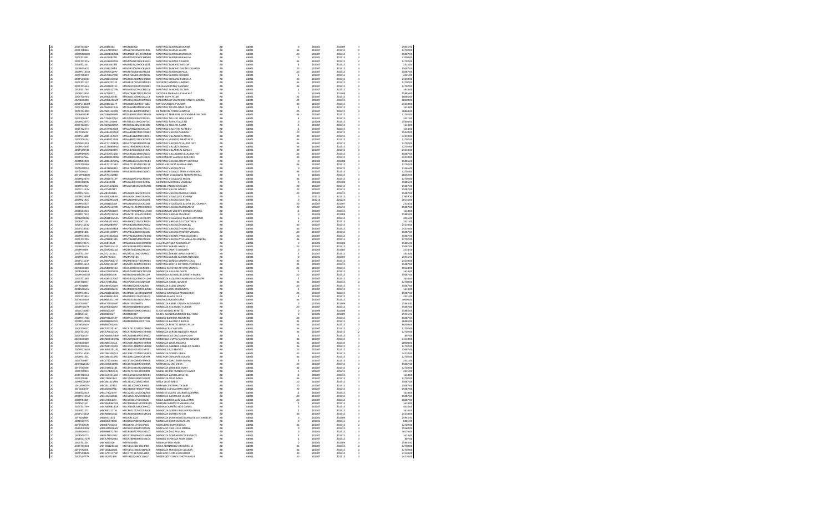|                                         | 20DST0106P               | MASK880302                          | MASK880302                               | MARTINEZ SANTIAGO KARINA                                               | AB                    | AB001                 | $\circ$                                       | 201301           | 201309           |                |
|-----------------------------------------|--------------------------|-------------------------------------|------------------------------------------|------------------------------------------------------------------------|-----------------------|-----------------------|-----------------------------------------------|------------------|------------------|----------------|
|                                         | 20DST0086S               | MASL671019HV                        | MASL671019MOCRLR06                       | MARTINEZ SALINAS LAURA                                                 | AB                    | AB001                 | 36                                            | 201307           | 201312           |                |
| $\overline{20}$                         | 20DPR0038W               | MASM88010588                        | MASM88010SHOCRNR09                       | MARTINEZ SANTIAGO MARCOS                                               | AR                    | <b>AR001</b>          | 20                                            | 201307           | 201312           |                |
| $_{20}$                                 | 20DST0209L               | MASN75092041                        | MASN750920HOCHRN08                       | MARTINEZ SANTIAGO NAHUM                                                | AB                    | AB001                 | $\rm _0$                                      | 201301           | 201312           |                |
| 20<br>20                                | 20DST0231N<br>20DES0224L | MASN760207FB<br>MASN8104236I        | MASN760207HOCRNV03<br>MASN810423HOCRNL01 | MARTINEZ SANTOS NIVARDO<br>MARTINEZ SANCHEZ NELSON                     | AB<br>AB              | AB001<br>AB001        | 36                                            | 201307<br>201307 | 201312<br>201312 |                |
| $_{20}$                                 | 20DPR0542E               | MASO90100441                        | MASO901004HOCRNS09                       | MARTINEZ SANCHEZ OSCAR EDUARDO                                         | AB                    | AB001                 | 20                                            | 201307           | 201312           |                |
| 20                                      | 20DPR1145M               | MASP870520PV                        | MASP870520HOCRNL04                       | MARTINEZ SANTIAGO PAUL                                                 | AB                    | AB001                 | $\begin{array}{c} 20 \\ 3 \end{array}$        | 201307           | 201312           |                |
| 20                                      | 20DST0042V               | MASR760619AD                        | MASR760619HOCRNC06                       | MARTINEZ SANTOS RICARDO                                                | AB                    | AB001                 |                                               | 201307           | 201312           |                |
| 20<br>$_{20}$                           | 20DTV0303D<br>20DST0212Z | MASR821230NZ<br>MASS81070733        | MASR821230MOCRRB00<br>MASS810707HOCRMV03 | MARTINEZ SORIANO RUBICELA<br>SEVERINO MARTIN SUMANO                    | AB<br>AB              | AB001<br>AB001        | 30<br>36                                      | 201307<br>201307 | 201312<br>201312 |                |
| 20                                      | 20DST0163G               | MAST8210015C                        | MASTR21001MOCRNR02                       | TERESA MARTINEZ SANCHEZ                                                | AR                    | <b>AR001</b>          |                                               | 201307           | 201312           |                |
| $_{20}$                                 | 20DES0176S               | MASV650127FB                        | MASV650127HOCRNC06                       | MARTINEZ SANCHEZ VICTOR                                                | AB                    | AB001                 | $\begin{array}{c} 36 \\ 2 \end{array}$        | 201307           | 201312           |                |
| 20                                      | 20DPR1345K               | MASV790917<br>MASY801205RS          | MASV790917MOCRNC02<br>MASY801205MOCRLL12 | VICTORIA MARAVILLA SANCHEZ                                             | AB<br>AB              | <b>AR001</b>          | $\begin{smallmatrix}0\21\end{smallmatrix}$    | 201304           | 201308           |                |
| $\overline{20}$                         | 20DST0074N               |                                     |                                          | MARIN SILVA YELMI                                                      |                       | AB001                 |                                               | 201307           | 201312           |                |
| $_{20}$<br>$\overline{20}$              | 202NE0040V<br>20DTV1482M | MASY851216MP<br>MASY880122FP        | MASY851216MOCIMN05<br>MASY880122MOCTNZ07 | MALDONADO SAMPEDRO YANETH KARINA<br>MATUS SANCHEZ YAZMIN               | AB<br>AB              | AB001<br>AB001        | 23<br>30                                      | 201307<br>201307 | 201312<br>201312 |                |
|                                         |                          |                                     |                                          |                                                                        |                       | AB001                 |                                               |                  | 201312           |                |
| 20<br>20                                | 20DST0040X               | MATA650419UH<br>MATA851120R8        | MATA650419MDFRVL02<br>MATA851120MVZRRN07 | MARTINEZ TOVAR ALMA DELIA<br>DE MARCOS TORRES ANAYELI                  | AB<br>AB              | AB001                 | $\frac{2}{20}$                                | 201307<br>201307 | 201312           |                |
|                                         | 20DBA0019F<br>20DST0014Z |                                     | MATG890901MOCRRV06                       | MARQUEZ TERRAZAS GIOVANNA REMEDIOS                                     |                       | AB003                 | 36                                            | 201307           | 201312           |                |
| $\begin{array}{c} 20 \\ 20 \end{array}$ |                          | MATG890901PN<br>MATI790520QU        | MATI790520MOCRLX05                       | MARTINEZ TOLEDO IXMUKANET                                              | AB<br>AB              | AB001                 | $\overline{a}$                                | 201307           | 201312           |                |
| 20                                      | 20DPR2307C               | MAT1931031HK                        | MATI931031MOCRPT01                       | MARTINEZ TAPIA ITALLETZI                                               | AB                    | AB001                 | $\mathbb O$                                   | 201309           | 201312           |                |
| 20                                      | 20DST0200U               | MATJ6912229M                        | MATJ691222MOCRLN00                       | MARQUEZ TOLEDO JUANA                                                   | AB                    | AB001                 | $\overline{2}$                                | 201307           | 201312           |                |
| $^{20}$<br>20                           | 20DST0237H<br>20FZF0023V | MAVA790226GR<br>MAVA840107HD        | MAVA790226HOCRLL01<br>MAVA840107MOCRSB02 | MARTINEZ VALENTIN ALFREDO<br>MARTINEZ VASQUEZ ABIGAIL                  | AB<br>AB              | AB001<br>AB001        | 20                                            | 201307<br>201307 | 201312<br>201312 |                |
| 20                                      | 20DTV1588F               | MAVA85112072                        | MAVA851120MOCRLR01                       | MARTINEZ VILLALOBOS ARIDAI                                             | AB                    | AB001                 |                                               | 201307           | 201312           |                |
| 20                                      | 2005T0019U               | MAVARR0222V8                        | MAVARR0222HOCRZN00                       | MARISCAL VASOUEZ ANASTACIO                                             | AR                    | <b>AR001</b>          | 30<br>36<br>36                                | 201307           | 201312           |                |
| $_{20}$                                 | 20DJN0242R               | MAVC771203QD                        | MAVC771203MDFRZL08                       | MARTINEZ VAZQUEZ CLAUDIA IVET                                          | AB                    | AB001                 |                                               | 201307           | 201312           |                |
| $\begin{array}{c} 20 \\ 20 \end{array}$ | 20DPR1439Z<br>20DTV0073B | MAVC790606NG<br>MAVC870603TN        | MEVC790606MOCRLN01<br>MAVC870603HOCRLR05 | MARTINEZ VALDEZ CANDIDA<br>MARTINEZ VILLARREAL CARLOS                  | AB<br>AB              | AB00                  | 36<br>30                                      | 201307<br>201307 | 201312           |                |
|                                         |                          |                                     |                                          |                                                                        |                       | AB001                 |                                               |                  | 201312           |                |
| 20                                      | 20DPR0929G<br>20DTV0766L | MAVC9107213D<br>MAVD8003289W        | MAVC910721MOCRLL07<br>MAVD800328MOCLSL03 | MARTINEZ VALLADARES CLAUDIA IVET<br>MALDONADO VASQUEZ DOLORES          | AB<br>AB              | AB001<br>AB001        | 20<br>30                                      | 201307<br>201307 | 201312<br>201312 |                |
| 20                                      | 20DPB0494K               | MAVD861025CW                        | MAVD861025MOCRSS04                       | MARTINEZ VASQUEZ DEISY VICTORIA                                        | AB                    | AB001                 |                                               | 201304           | 201308           |                |
| 20                                      | 20DST0039H               | MAVE771215B2                        | MAVE771215MOCRLL12                       | MARES VALENCIA MARIA ELENA                                             | AB                    | AB001                 | $\begin{array}{c}\n0 \\ 0 \\ 36\n\end{array}$ | 201307           | 201312           |                |
| $_{20}$                                 | 20DNL0001R               | MAVE7806082U                        | MAVE780608MOCRSV07                       | MARTINEZ VASQUEZ EVA                                                   | AB                    | AB001                 | $\begin{array}{c} 0 \\ 0 \\ 36 \end{array}$   | 201307           | 201312           |                |
| 20                                      | 20FEI0001U               | MAVE880703MR                        | MAVE880703MOCRLR01                       | MARTINEZ VELASCO ERIKA ESPERANZA                                       | AB                    | AB001                 |                                               | 201307           | 201312           |                |
| 20                                      | 20FMP0006H               | MAVF761220BA                        |                                          | MARTIÑON VELAZQUEZ FERMIN RAFAEL                                       | AB                    | AB001                 | $\mathfrak{o}$                                | 201301           | 201312           |                |
| 20                                      | 20DPR2407N               | MAVF8207312P                        | MAVER20731HOCRLR02                       | MARTINEZ VELASQUEZ FREDY                                               | AB<br>$\overline{AB}$ | <b>AR001</b>          | $\begin{array}{c} 36 \\ 0 \end{array}$        | 201307           | 201312           |                |
| $_{20}$<br>20                           | 20DCC0870S<br>20DPR3296F | MAVG630921<br>MAVG751015BC          | MAVG630921HDFRZR06<br>MAVG751015MOCNLR06 | GERARDO MARTINEZ VAZQUEZ<br>MANUEL VALIDO GRISELDA                     |                       | AB001<br>AB001        |                                               | 201304<br>201307 | 201308<br>201312 |                |
| 20                                      | 20DCC1123V               | MAVI750421FT                        |                                          | MARTINEZ VALOIS ISAURO                                                 | AB<br>AB              | AB001                 | $\begin{array}{c} 20 \\ 20 \end{array}$       | 201307           | 201312           |                |
| $_{20}$                                 | 20DPR3254G               | MAVI83092685                        | MAVI830926MOCRSS10                       | MARTINEZ VASQUEZ MARIA ISABEL                                          | AB                    | AB001                 | 20                                            | 201307           | 201312           |                |
| 20                                      | 20DPR2309M               | MAVJ830416JW                        | MAVJ830416HOCRLH00                       | MARTINEZ VELAZQUEZ JOHNNY                                              | AB                    | AB001                 |                                               | 201311           | 201312           |                |
| 20                                      | 20DPB2192C               | MAVJ860901MB                        | MAVJ860901MOCRSS03                       | MARTINEZ VASQUEZ JUSTINA                                               | AB                    | AB001                 | $\begin{smallmatrix}0\\0\\0\end{smallmatrix}$ | 201216           | 201224           |                |
| 20                                      | 20DPR3432T               | MAVJ881021LH                        | MAVJ881021MOCRLD04                       | MARTINEZ VELAZQUEZ JUDITH DEL CARMEN                                   | AB                    | AB001                 | 20                                            | 201307           | 201307           |                |
| $_{20}$<br>$\overline{20}$              | 20DPR0652K<br>20DES0191K | MAVM7512199F<br>MAVM790208IT        | MAVM751219MOCRZR03<br>MAVM790208MOCLOM08 | MARTINEZ VASQUEZ MARGARITA                                             | AB<br>AR              | AB001<br><b>AR001</b> | $\overline{20}$<br>$\overline{ }$             | 201307<br>201307 | 201312<br>201312 |                |
| $_{20}$                                 | 20DPR1741K               | MAVM791125J6                        | MAVM791125HOCRRR00                       | MALDONADO VICENTE MONICA ANABEL<br>MARTINEZ VARGAS MAURILIO            | AB                    | AB001                 | $\overline{0}$                                | 201304           | 201308           |                |
| 20                                      | 20DBA0030B               |                                     |                                          |                                                                        | AB                    | AB001                 | $\overline{\mathbf{S}}$                       | 201307           |                  |                |
| $\frac{1}{20}$                          | 20DES0110J               | MAVM81102545<br>MAVN830215V4        | MAVM811025HOCRLR09<br>MAVN830215MOCRRL01 | MARTINEZ VELASQUEZ MARCO ANTONIO<br>MARTINEZ VARGAS NELLY KATHLIN      | $\overline{AB}$       | AB001                 |                                               | 201307           | 201312<br>201312 |                |
| $_{20}$                                 | 20DTV1623V               | MAVR820802KF                        | MAVR820802MOCRSS02                       | MARTINEZ VASQUEZ ROSALBA                                               | AB                    | AB001                 | 30                                            | 201307           | 201312           |                |
| 20                                      | 20DTV1870D               | MAVV850503D8                        | MAVV850503MOCRSL01                       | MARTINEZ VASQUEZ VILMA IDOLI                                           | AB                    | AB001                 | 30<br>20                                      | 201307           | 201312           |                |
| 20                                      | 20DPR0180L               | MAVV851008PY                        | MAVV851008HOCRSC06                       | MARTINEZ VASQUEZ VICTOR MANUEL                                         | AB                    | AB003                 |                                               | 201307           | 201312           |                |
| 20<br>$_{20}$                           | 20DPR3493G               | MAVV910626U6                        | MAVV910626MOCRCN03<br>MAVY860815MOCRLS02 | MARTINEZ VICENTE VANESSA ISABEL                                        | AB                    | AB001<br>AB001        | 20<br>36                                      | 201307<br>201307 | 201312           |                |
| 20                                      | 20DST0220H<br>2000019370 | MAVY86081585<br>MAWIR10624          | MAWIR10624HOCRNN00                       | MARTINEZ VASQUEZ YULIANHA ALEJANDRA<br><b>ILIAN MARTINEZ WUENDOLAY</b> | AB<br>AR              | <b>AR001</b>          | $\Omega$                                      | 201304           | 201312<br>201308 |                |
| $_{20}$                                 | 20DEE0017A               | MAZA840314UZ                        | MAZA840314MOCRRR06                       | MARTINEZ ZARATE ARACELI                                                | AB                    | AB001                 | $\overline{20}$                               | 201307           | 201312           |                |
| 20                                      | 200PR1009L               | MAZE870402DG                        | MAZE870402MVZRRL02                       | MARIANO ZARATE ELDAIDTH                                                |                       | <b>AR001</b>          |                                               | 201305           | 201305           |                |
| $\overline{20}$                         | 20DST0123F               | MAZJ72111511                        | MAZJ721115NOCRRR02                       | MARTINEZ ZARATE JORGE ALBERTO                                          | AB<br>AB              | AB001                 | $\begin{smallmatrix}0\\2\end{smallmatrix}$    | 201307           | 201312           |                |
| $_{20}$                                 | 20DPR0316                | MAZM790104<br>MAZM8706271T          | MAZM790104<br>MAZM870627HOCRXR03         | MARTINEZ ZARATE MARCO ANTONIO<br>MARTINEZ ZUÑIGA MARTIN EDUA           | AB<br>AB              | AB001                 | $\begin{array}{c} 0 \\ 30 \end{array}$        | 201301<br>201307 | 201309<br>201312 |                |
| $\overline{20}$                         |                          |                                     |                                          |                                                                        |                       | AB001<br>AB001        |                                               |                  |                  |                |
| 20<br>20                                | 20DPB1361A               | MAZV8712234P<br>MEAA49090113        | MAZV871223MOCRRC03<br>MEAA490901HOCNNR01 | MARTINEZ ZURITA VICTORIA VERONICA<br>MENDEZ ANTONIO ARTURO SAMUEL      | AB<br>AB              | AB001                 | $\frac{35}{25}$                               | 201307<br>201307 | 201312<br>201312 |                |
|                                         |                          | MEAD750201D8                        | MEAD750201HOCNGV09                       | MENDOZA AGUILAR DAVID                                                  |                       | AB003                 |                                               | 201307           | 201312           |                |
| $\begin{array}{c} 20 \\ 20 \end{array}$ | 20DES0085A<br>20DPR1053W | MEAE85061491                        | MEAE850614MVZNLL09                       | MENDIOLA ALVAREZ ELIZABETH MARIA                                       | AB<br>AB              | AB001                 | $\begin{smallmatrix}2\\20\end{smallmatrix}$   | 201307           | 201312           |                |
| 20                                      | 20DST0156X               | MEAG80122062                        | MEAG801220MOCNLD09                       | MENDOZA ALQUISIRIS MARIA GUADALUPE                                     | AB                    | AB001                 | $\,$ 2 $\,$                                   | 201307           | 201312           |                |
| 20                                      | 20DST0003T               | MEAI770412CG                        | MEAI770412HOCNNG07                       | MENDOZA ANGEL IGNACIO                                                  | AB                    | AB001                 | 36                                            | 201307           | 201312           |                |
| $^{20}$<br>20                           | 20TAI0186N<br>20DES0065N | MEAI840720QH<br>MEAM8002223J        | MEAI840720HOCNL205<br>MEAM800222MOCJGR08 | MENDOZA ALDAZ IZAURO<br>MEJIA AGUIRRE MARGARITA                        | AB<br>AB              | AB001<br>AB001        | $_{\rm 20}$<br>$\overline{2}$                 | 201307<br>201307 | 201312<br>201312 |                |
| 20                                      | 20DPR1491V               | MEAM881111M1                        | MEAM881111MOCNRN09                       | MENDEZ ARCINIEGA MONSERRAT                                             | AB                    | AB001                 | $^{20}$                                       | 201307           | 201312           |                |
| 20                                      | 2005T0183U               | MFAO800317V9                        | MEAO800317MOCRLL03                       | MERINO ALAVEZ OLGA                                                     | AR                    | <b>AR001</b>          | $\overline{\mathbf{a}}$                       | 201307           | 201312           |                |
| $_{20}$                                 | 202NE0040V               | MEAX851011H9                        | MXAS851011MOCCRR04                       | MECINAS ARAGON SARA                                                    | AB                    | AB001                 | 36                                            | 201307           | 201312           |                |
| $\begin{array}{c} 20 \\ 20 \end{array}$ | 20DST0003T<br>20DPR1017R | <b>MEAY750508MT</b>                 | MEAY750508MT5                            | MENDOZA ANGEL YAZMIN ALEJANDRA                                         | AB<br>AB              | AB001                 | $\begin{smallmatrix}0\0\0\end{smallmatrix}$   | 201301<br>201307 | 201309           |                |
|                                         |                          | MEAY900428AV                        | MEAY900428MOCNLR03                       | MENDOZA ALVARADO YURIDIA                                               |                       | AB001                 |                                               |                  | 201312           |                |
|                                         | 20DCC1008E               | MEBE800209                          | MEBE800209MOCNNL02                       | ELIDA MENDEZ BENITEZ                                                   | AB<br>AB              | AB001                 | $\mathbb O$                                   | 201304           | 201308           |                |
| 20                                      | 20DES0152I               | MEBK881027                          | MEBK881027                               | KAREN ALONDRA MERINO BAUTISTA                                          |                       | AB001                 | $\theta$                                      | 201301           | 201309           |                |
| 20<br>20                                | 20DPR1178D<br>20DPR1490W | MEBP911205RP<br>MEBR880828ED        | MEBP911205HOCNRR08<br>MEBR880828HOCNTF01 | MENDEZ BARRERA PROSPERO<br>MENDOZA BAUTISTA RAFAEL                     | AB<br>AB              | AB001<br>AB001        | 20<br>35                                      | 201307<br>201307 | 201312<br>201312 |                |
| $_{20}$                                 | 202NE0040V               | MEBS8009226G                        |                                          | MENDOZA BENITEZ SERGIO FELIX                                           | AB                    | AB001                 |                                               | 201307           | 201312           |                |
| 20                                      | 20DST0003T               | MECA74120167                        | MECA741201MOCDRR07                       | MEDINA CRUZ ARCELIA                                                    | AB                    | AB001                 | $\frac{36}{36}$                               | 201307           | 201312           |                |
| 20                                      | 20DST01532               | MECA790225DU                        | MECA790225MOCNRN03                       | MENDOZA CERON ANGELITA ANAHI                                           | AB                    | AB001                 | $\begin{array}{c} 36 \\ 36 \\ 1 \end{array}$  | 201307           | 201312           |                |
| 20                                      | 20DST0015Y               | MECA8308148W                        | MECAR30814MOCRRS07                       | MERINO DE LA CRUZ ASUNCION                                             | AB                    | <b>AR001</b>          |                                               | 201307           | 201312           |                |
| $_{20}$<br>20                           | 202NE0040V<br>202NE0040V | MECA870103NW<br>MECA891216LE        | MECA870103HOCNHN08<br>MECA891216MOCNRR03 | MENDIOLA CHAVEZ ANTOINE RAMON                                          | $\overline{AB}$       | AB001<br>AB001        | $\overline{36}$                               | 201307<br>201307 | 201312           |                |
| 20                                      | 20DST0023G               | MECA911218A9                        | MECA911218MOCNBN08                       | MENDOZA CRUZ ARIADNA<br>MENDOZA CABRERA ANGELICA MARIA                 | AB<br>AB              | AB001                 | 36<br>36                                      | 201307           | 201310<br>201312 |                |
| $_{20}$                                 | 20DPR2258W               | MECB850201UQ                        | MECB850201MOCNRT01                       | MENDEZ CRUZ BEATRIZ                                                    | AB                    | AB001                 | 20                                            | 201307           | 201312           |                |
| 20                                      | 20DTV1570G               | MECD841007G3                        | MECD841007MOCNRN01                       | MENDOZA CORTES DENIA                                                   | AB                    | AB001                 |                                               | 201307           | 201312           |                |
| 20                                      | 20DPR3126L               | MECD861028PD                        | MECD861028HOCLRV09                       | MELCHOR CERVANTES DAVID                                                | AB                    | AB001                 | 30<br>36                                      | 201307           | 201312           |                |
| 20                                      | 20DST0085T               | <b>MECE7S0106BA</b>                 | MECE750106MDFNRR08                       | MENDOZA CARO ERIKA REYNA                                               | AB                    | AB001                 | $\overline{3}$                                | 201307           | 201312           |                |
| $_{20}$<br>$\overline{20}$              | 20DIN0265N<br>20FZF0044H | MECE8706109M<br>MFCF92102183        | MECE870610MOCRJR02<br>MECE921021MOCNSM01 | MERINO CAJERO ERIKA<br>MENDOZA CISNEROS EMILY                          | AB                    | AB001<br><b>AR001</b> | $\overline{20}$                               | 201307<br>201307 | 201312<br>201312 |                |
| $_{20}$                                 | 20DST0092C               | MECF671203LQ                        | MECF671203HOCDRR09                       | MEDEL CORRO FRANCISCO JAVIER                                           | AB<br>$\overline{AB}$ | AB001                 | $\begin{array}{c} 36 \\ 3 \end{array}$        | 201307           | 201312           |                |
| 20                                      | 20DST0053A               | MECG69121583                        | MECG691215HOCNRH03                       | MENDOZA CARBALLO GEHU                                                  |                       | AB001                 | $\overline{2}$                                | 201307           | 201312           |                |
| 20                                      | 20DST0038I               | MEC1790624H2                        | MECI790624MOCNRS00                       | MENDOZA CRUZ ISABEL                                                    | AB<br>AB              | AB001                 | 36                                            | 201307           | 201312           |                |
| $_{20}$                                 | 20HMC0026F               | MECI801021MN                        | MECI801021MOCJRS04                       | MEJIA CRUZ ISABEL                                                      | AB                    | AB001                 | 20                                            | 201307           | 201312           |                |
| 20                                      | 20FUA0007N               | MECI81102923                        | MECI811029HOCRRR07                       | MERINO CERON IRUTH ZAIR                                                | AB                    | AB001                 | 20<br>20                                      | 201307           | 201312           |                |
| 20                                      | 20FSE0007V               | MECI8305073C                        | MECI830507MOCNVR05                       | MENDEZ CUEVAS IRMA JUDITH                                              | AB                    | AB003                 |                                               | 201307           | 201312           |                |
| 20<br>$_{20}$                           | 20DES0201A               | MECL73021191<br>MECL850425NS        | MECL730211MOCNLR05<br>MECL850425MOCNRL00 | MENESES CLAVEL LOURDES ADRIANA                                         | AB                    | AB001<br>AB001        | $\overline{2}$                                | 201307<br>201307 | 201312           |                |
| 20                                      | 20DPR3125M<br>20DPR0440H | MFCI 930617IV                       | MECL930617HOCIRS06                       | MENDOZA CARRASCO LILIANA<br>ME IIA CARRERA LUIS GUILLERMO              | AB<br>AR              | <b>AR001</b>          | 20                                            | 201307           | 201312<br>201312 |                |
| $_{20}$                                 | 20DES0152                | MECM690601KF                        | MECM690601MOCRRG05                       | MERINO CARRASCO MAGDALENA                                              | AB                    | AB001                 | $\begin{array}{c} 20 \\ 2 \end{array}$        | 201307           | 201312           |                |
| 20                                      | 20DST0179H               | MECN830814DX                        | MECN830814HOCDRX02                       |                                                                        | AB                    | <b>AR001</b>          |                                               | 201307           |                  |                |
| $\overline{20}$                         | 20DES0227                | MECR801127J6                        | MECR801127HOCNRG08                       | MEDINA CARREÑO NOE DANIEL<br>MENDOZA CORTES RIGOBERTO ANGEL            | $\overline{AB}$       | AB001                 | $\frac{5}{2}$                                 | 201307           | 201312<br>201312 |                |
| $_{20}$                                 | 20DTV16352<br>20TAI0186N | MECR8406161Z<br>MEDA911025          | MECR840616MOCNRC04<br>MEDA911025         | MENDOZA CORTES ROCIO<br>MENDOZA DOMINGUEZ MARIA DE LOS ANGELES         | AB<br>AB              | AB001                 | $\begin{array}{c} 30 \\ 0 \end{array}$        | 201307<br>201301 | 201312<br>201309 |                |
| $\frac{1}{20}$                          |                          |                                     |                                          |                                                                        |                       | AB001                 |                                               |                  |                  |                |
| 20<br>20                                | 20DES0077S               | MEDE8507088                         | MEDE850708HOCNML03<br>MEDJ870417HOCXRS01 | MENDOZA DOMINGUEZ ELOY                                                 | AB<br>AB              | <b>AR001</b>          | $\begin{array}{c} 0 \\ 36 \end{array}$        | 201301<br>201307 | 201311           |                |
|                                         |                          | MEDJ87041743<br>MEDL821006M2        |                                          |                                                                        | AB                    | AB001<br>AB003        | $\bf{0}$                                      | 201307           | 201312<br>201312 |                |
| $\begin{array}{c} 20 \\ 20 \end{array}$ | 20AGD00032<br>20DPB2024G | MEDP880727BX                        | MEDL821006MOCR2S05<br>MEDP880727MOCN2L07 | MERCADO DIAZ LUISA DRIANA<br>MENDOZA DIAZ PAULINA                      | AB                    | AB001                 | $\bf{0}$                                      | 201301           | 201312           |                |
| 20                                      | 20DES0077S               | MEDS78052952                        | MEDS780529HOCNMR05                       | MENDOZA DOMINGUEZ SERVANDO                                             | AB                    | AB001                 | $\overline{2}$                                | 201307           | 201312           |                |
| 20                                      | 20DES0172W               | MEEA7809204U                        | MEEA780920MOCNSL04                       | MENDEZ ESPINOZA ALMA DELIA                                             | AB                    | AB001                 |                                               | 201307           | 201312           |                |
|                                         | 20DST0120                | MEFA850326                          | MEFA850326                               | MEDINA FERIA ASAEL                                                     | AB                    | AB001                 |                                               | 201301           | 201309           |                |
| 20                                      | 20DST0192B               | MEFC8112144Q                        | MEFC811214HOCJRR07                       | MEJIA FERNANDEZ CRHISTIAN JE                                           | AB                    | AB001                 | 36                                            | 201307           | 201312           | $\overline{2}$ |
| 20<br>20                                | 20FZF0030E<br>200TV0882R | MEFC851224RZ<br><b>MFFG771117NP</b> | MEFC851224MOCNRL06<br>MEEG771117HOCLIROS | MENDOZA FRANCISCO CLAUDIA<br>MELCHOR ELORES GREGORIO                   | AB<br>AR              | AB001<br><b>AR001</b> | 36<br>30 <sub>0</sub>                         | 201307<br>201307 | 201312<br>201312 |                |
| 20                                      | 20DTV0777R               | MEFJ8207249V                        | MEFJ820724HOCLLH07                       | MELENDEZ FLORES JEHOVA ANUA                                            | AB                    | AB001                 | 30                                            | 201307           | 201312           |                |
|                                         |                          |                                     |                                          |                                                                        |                       |                       |                                               |                  |                  |                |

# 25945,92 2 12702,00 3 15087,00 3 37008,00 2 12702,00 3 2313,00 3 15087,00 3 15087,00 3 2421,00 3 24210,00 2 12702,00 2 12702,00 3 1614,00 3 15885,00 3 16086,00 3 18000,00 3 24210,00 3 1614,00 3 30840,00 2 12702,00 3 2421,00 3 25404,00 3 1614,00 3 1614,00 3 15420,00 3 24210,00 2 12702,00 2 12702,00 2 12702,00 3 24210,00 3 15087,00 3 24210,00 3 15885,00 2 12702,00 3 11565,00 2 12702,00 3 28692,00 2 12702,00 3 15885,00 3 15087,00 3 15087,00 3 15087,00 3 27659,50 3 20116,00 3 2514,50 3 15087,00 3 1614,00 3 15885,00 3 4035,00 3 2421,00 3 24210,00 3 24210,00 3 15087,00 3 15087,00 2 12702,00 3 15885,00 3 15087,00 3 2514,50 3 1614,00 3 25945,92 3 24210,00 3 15087,00 3 19563,00 3 1614,00 3 15087,00 3 1614,00 2 12702,00 3 15087,00 3 1614,00 3 15087,00 3 2421,00 3 30000,00 3 25945,92 3 15087,00 3 15885,00 3 25945,92 3 15087,00 3 26985,00 3 88350,00 2 12702,00 2 12702,00 3 807,00 3 63519,00 3 20000,00 2 12702,00 3 15087,00 3 24210,00 2 12702,00 3 2421,00 3 15087,00 2 12702,00 3 2421,00 3 1614,00 2 12702,00 3 15087,00 3 15087,00 3 15087,00 3 1614,00 3 15087,00 3 15087,00 3 1614,00 3 4035,00 3 1614,00 3 24210,00 3 25945,92 3 8481,00 2 12702,00 3 19560,00 3 30174,00 3 1614,00 3 807,00 3 25945,92 2 12702,00 2 12702,00 3 23130,00 3 24210,00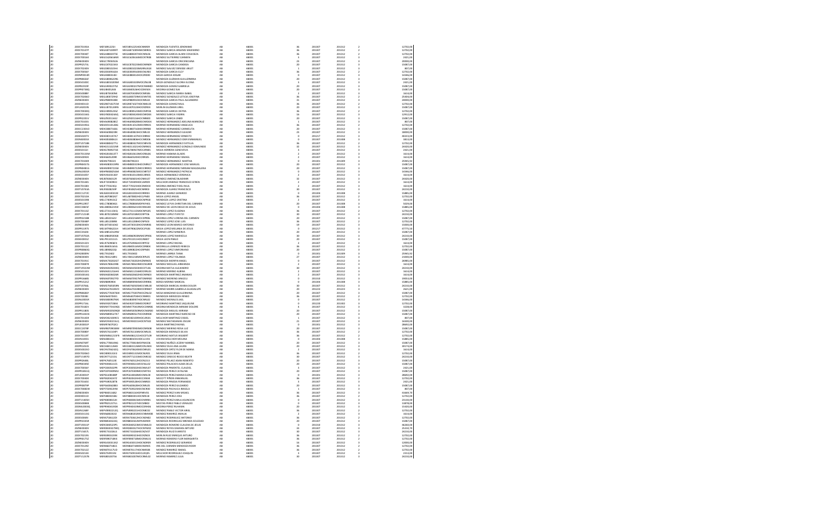| 20             | 20DST0193A               | MEFJ891225II                 | MEFJ891225HOCNNR09                       | MENDOZA FUENTES JERONIMO                                            |                 | AB001        | 36                                      | 201307           | 201312           |                | 12702,00             |
|----------------|--------------------------|------------------------------|------------------------------------------|---------------------------------------------------------------------|-----------------|--------------|-----------------------------------------|------------------|------------------|----------------|----------------------|
|                | 2005T0147P               | MFGA8710099T                 | MEGAR71009HMCNRR01                       | MENDEZ GARCIA ARGENIS MAXIMINO                                      | <b>AR</b>       | <b>AR001</b> | 36                                      | 201307           | 201312           |                | 12702,00             |
| 20<br>20       | 20DST0044T               | MEGA8802075E                 | MEGA880207HOCNRL06                       | MENDOZA GARCIA ALARII COSIJOEZA                                     | AB              | AB001        | 36                                      | 201307           | 201312           |                | 12702,00             |
|                | 20DST0016X               | <b>MEGC620616ME</b>          | MEGC620616MOCNTR08                       | MENDEZ GUTIERREZ CARMEN                                             | AB              | <b>AR001</b> | $\overline{a}$                          | 201307           | 201312           |                |                      |
| 20<br>20       |                          | MEGC79050526                 |                                          |                                                                     |                 |              |                                         |                  |                  |                | 2421,00              |
|                | 20ZNE0040V               |                              |                                          | MENDOZA GARCIA CRECENCIANA                                          | AB              | AB001        | 23                                      | 201307           | 201312           |                |                      |
|                | 20DPR2573L               | MEGC87022343                 | MEGC870223MOCNRN09                       | MENDOZA GARCIA CANDIDA                                              | AB<br>AB        | AB001        | 20                                      | 201307           | 201312           |                | 15087,00             |
| $_{20}$        | 20DST0240V               | MEGD801023HJ                 | MEGD801023MGRNLN18                       | MENDEZ GALVEZ DENISSE ARLET                                         |                 | AB001        | $\overline{1}$                          | 201307           | 201312           |                | 807.00               |
| 20             | 20DST0056Y               | MEGE8309163A                 | MEGE830916MOCNLR03                       | MENDOZA GARCIA ELCY                                                 | AB              | AB001        | 36                                      | 201307           | 201312           |                | 12702,00             |
| $_{20}$        | 20DNP0014F               | MEGE880414EI                 | MEGE880414HOCZRD00                       | MEZA GARCIA EDGAR                                                   | AB              | AB001        | $\overline{0}$                          | 201307           | 201312           | в              | 14346.00             |
| 20             | 20DPB0656R               | MEGG80062296                 |                                          | MENDOZA GUZMAN GUILLERMINA                                          | AB              | AB001        | 20                                      | 201307           | 201312           |                | 15087,00             |
| 20             | 20DES0100C               | MEGG801020SM                 | MEGG801020MOCZNL08                       | MEZA GONZALEZ GLORIA ELOINA                                         | AB              | AB001        | $\overline{3}$                          | 201307           | 201312           |                | 2421.00              |
| 2c             | 20DPB1919F               | MEGG90022752                 | MEGG900227MOCNMB00                       | MENDOZA GOMEZ GABRIELA                                              | AB              | AB001        | 20                                      | 201307           | 201312           |                | 15087,00             |
| 20             | 20DPR0738Q               | MEGI840526SI                 | MEGI840526HOCDMS04                       | MEDINA GOMEZ ISAI                                                   | AB              | AB001        | 20                                      | 201307           | 201312           |                | 15087.00             |
| 20             |                          | MEGI870430N4                 | MEGI870430MOCNRS06                       | MENDEZ GARCIA MARIA ISABEL                                          | AB              |              | $\overline{2}$                          | 201307           |                  |                |                      |
|                | 20DES0088Y               |                              |                                          |                                                                     |                 | AB001        |                                         |                  | 201312           |                | 1614,00              |
| 20<br>20       | 20DST0206Q               | MEGL800729H2                 | MEGL800729MOCNNT05                       | MENDEZ GONZALEZ LETICIA JOSEFINA                                    | AB              | <b>AR001</b> | $\begin{array}{c} 36 \\ 31 \end{array}$ | 201307           | 201312           |                | 25404.00             |
|                | 202NE0040V               | MEGP8809108K                 | MEGP880910HOCNRL02                       | MENDOZA GARCIA PAUL ALEJANDRO                                       | $\overline{AB}$ | AB001        |                                         | 201307           | 201312           |                | 24000,00             |
| 20<br>20       | 20DDI0011D               | MEGR871027CM                 | MEGR871027HOCNML03                       | MENDOZA GOMEZ RAUL                                                  | AB              | <b>AR001</b> | $\frac{36}{20}$                         | 201307           | 201312           | $\overline{ }$ | 12702,00             |
|                | 20FUA0019S               | MEGU870124RN                 | MEGU870124HOCRZR04                       | MERLIN GUZMAN URIEL                                                 | AB              | AB001        |                                         | 201307           | 201312           |                | 15087,00             |
| 20             | 20DST0030Q               | MEGV890523SZ                 | MEGV890523MOCNRY04                       | MENDOZA GARCIA VIEYRA                                               | AB              | AB001        | 36                                      | 201307           | 201312           |                | 12702,00             |
| $_{20}$        | 20DES0154G               | MEGY800424AQ                 | MEGY800424MOCNRD04                       | MENDEZ GARCIA YADIRA                                                | AB              | AB001        | 16                                      | 201307           | 201312           |                | 12912.00             |
|                |                          |                              |                                          |                                                                     |                 |              |                                         |                  |                  |                |                      |
| 20             | 20DPR2201V               | MEG2920116S2                 | MEG2920116HOCNRB00                       | MENDEZ GARCIA ZABDI                                                 | AB              | AB001        | $^{20}$                                 | 201307           | 201312           |                | 15087,00             |
| $_{20}$        | 20DST0103S               | MEHA690828EZ                 | MEHA690828MOCNRD04                       | MENDEZ HERNANDEZ ADELINA MARICRUZ                                   | AB              | AB001        | $\overline{1}$                          | 201307           | 201312           |                | 807.00               |
| 20             | 20DES0195G               | MEHA911012BG                 | MEHA911012MOCRRN01                       | MERINO HERNANDEZ ANGELICA                                           | AB              | AB001        | 36                                      | 201307           | 201312           |                | 12702,00             |
| 20             | 20DCC2301Q               | MEHC880716S6                 | MEHC880716MOCRRR08                       | MERINO HERNANDEZ CARMELITA                                          | AB              | AB001        | 20                                      | 201307           | 201312           |                | 15087.00             |
| 20             | 202NE0040V               | MEHE6008239K                 | MEHE600823HOCNRL02                       | MENDEZ HERNANDEZ ELEAZAR                                            | AB              | AB001        | $_{23}$                                 | 201307           | 201312           |                | 18000,00             |
| 20<br>20       | 200E50202V               | MEHE801107A7<br>MEHE85080613 | MEHER01107HOCDRR02                       | MEDINA HERNANDEZ FRNESTO                                            | <b>AR</b>       | <b>AR001</b> | $\Omega$                                | 201217           | 201312           |                | 40223.00             |
|                | 20DNS0001K               |                              | MEHE850806HOCNRD06                       | MENDEZ HERNANDEZ EDER EMMANUEL                                      | $\overline{AB}$ | AB001        |                                         | 201307           | 201308           |                | 3813,00              |
|                | 20DTV0718B               | MEHE880427TU                 | MEHE880427MOCNRV05                       | MENDOZA HERNANDEZ EVITELIA                                          |                 | <b>AR001</b> |                                         | 201307           | 201312           | $\overline{ }$ | 12702.00             |
| 20<br>20       | 20ZNE0040V               | MEHG511021N9                 | MEHG511021HOCNRN01                       | MENDEZ HERNANDEZ GONZALO EDMUNDO                                    | AB<br>AB        | AB001        | $\begin{array}{c} 36 \\ 32 \end{array}$ | 201307           |                  |                |                      |
|                |                          |                              |                                          |                                                                     |                 | AB001        |                                         |                  | 201312           |                | 24420,00             |
| 20<br>20       | 20DES0152I               | MEHG7809271B                 | MEHG780927MOCJRN01                       | MEJIA HERRERA GENOVEVA                                              | AB              |              | $\overline{\mathbf{3}}$                 | 201307           | 201312           |                | 2421,00              |
|                | 20DST0133M               | MEHG810613T7                 | MEHG810613MOCRBL06                       | MERINO HABANA GLADIS                                                | AB              | AB001        | $\overline{2}$                          | 201307           | 201312           |                | 1614.00              |
| 20             | 20DES0092K               | MEHI6605209R                 | MEHI660520HOCRRS05                       | MERINO HERNANDEZ ISMAEL                                             | AB              | AB001        | $\overline{2}$                          | 201307           | 201312           |                | 1614,00              |
| $_{20}$        | 20DST0104R               | MEHM790223                   | MEHM790223                               | MENDEZ HERNANDEZ MARTHA                                             | AB              | AB001        | $\circ$                                 | 201301           | 201309           |                | 25945.92             |
| 20             | 20DPB0457G               | MEHM800319PB                 | MEHM800319HOCNRN17                       | MENDOZA HERNANDEZ JOSE MANUEL                                       | AB              | AB003        | 20                                      | 201307           | 201312           |                | 15087,00             |
| $_{20}$        | 20DPB0481G               | <b>MEHM890722GE</b>          | MEHM890722MOCRRR01                       | MERINO HERNANDEZ MIRIAM MAGDALENA                                   | AB              | AB001        | 20                                      | 201307           | 201312           |                | 15087.00             |
| 20             | 20DNL0001R               | MEHP840825GM                 | MEHP840825MOCNRT07                       | MENDEZ HERNANDEZ PATRICIA                                           | AB              | AB001        | $\mathfrak{o}$                          | 201307           | 201312           |                | 14346,00             |
|                | 20DES010SY               | <b>MFHV8103136Y</b>          | MEHV810313MOCIRROS                       | ME IIA HERNANDEZ VERONICA                                           | <b>AR</b>       | <b>AR001</b> | -2                                      | 201307           | 201312           |                | 1614.00              |
| 20<br>20       |                          |                              |                                          |                                                                     |                 |              |                                         |                  |                  |                |                      |
|                | 202NE0040V               | MEJB76060129                 | MEJB760601HOCNML07                       | MENDEZ JIMENEZ BLADIMIR                                             | AB              | AB001        | 32                                      | 201307           | 201312           |                | 24420,00             |
|                | 2005T01445               | MEJF720309EH                 | MEIE720309HOCLMR09                       |                                                                     |                 | <b>AR001</b> |                                         | 201307           | 201312           |                | 1614.00              |
| 2C<br>2C       | 20DST0158V               | MEJF770323QJ                 | MEJF770323HOCDMD03                       | MELCHOR JIMENEZ FRANCISCO EFREN<br>MEDINA JIMENEZ FIDEL RAUL        | AB<br>AB        | AB001        | $\frac{2}{2}$                           | 201307           | 201312           |                | 1614,00              |
|                |                          |                              |                                          |                                                                     |                 | AB001        |                                         |                  |                  |                |                      |
| 20<br>20       | 20DTV0743A               | MEJF8508259P<br>MEJG8310031W | MEJF850825HOCNRR03<br>MEJG831003HOCRRR03 | MENDOZA JUAREZ FRANCISCO<br>MERINO JUAREZ GERARDO                   | AB<br>AB        | AB001        | $\begin{array}{c} 30 \\ 0 \end{array}$  | 201307<br>201304 | 201312<br>201308 |                | 24210,00<br>15885,00 |
|                |                          |                              |                                          |                                                                     |                 | <b>AR001</b> |                                         |                  | 201312           |                | 12702.00             |
| 20<br>20       | 20DST0210A               | MELA870802GT<br>MELC740915CZ | MELA870802HOCLPN00<br>MELC740915MOCNPR18 | MEJIA LOPEZ ANGEL<br>MEJIA LOPEZ ANGEL                              | AB<br>AB        |              | $\begin{array}{c} 36 \\ 2 \end{array}$  | 201307<br>201307 |                  |                |                      |
|                |                          |                              |                                          |                                                                     |                 | AB001        |                                         |                  | 201312           |                | 1614.00              |
| 20<br>20       | 20DPR1295T               | MELC780804G1<br>MELD800621KW | MELC780804MDFNYH01                       | MENDEZ LEYVA CHRISTIAN DEL CARMEN<br>MENDEZ DE LEON DIEGO DE JESUS  | AB<br>AB        | AB001        |                                         | 201307           | 201308           |                | 5029,00              |
|                |                          |                              | MELD800621HOCNNG00                       |                                                                     |                 | AB001        | $\begin{array}{c} 20 \\ 0 \end{array}$  | 201304           | 201308           |                | 15885,00             |
| 20<br>20       | 20DST0113Z               | MELE731115KQ                 | MELE731115MOCNPG05                       | MENDEZ LOPEZ EUGENIA                                                | AB              | AB001        | 36<br>30                                | 201307           | 201312           |                | 12702,00             |
|                | 20DTV1214R               | <b>MELI870218MM</b>          | MELI870218MOCRPT06                       | MERINO LOPEZ ITAYETZI                                               | AB              | AB001        |                                         | 201307           | 201312           |                | 24210,00             |
|                | 20DPR3218B               | MELL850216JV                 | MELL850216MOCDPR06                       | MEDINA LOPEZ LORENA DEL CARMEN                                      | AB              | AB001        | 20                                      | 201307           | 201312           |                | 15087,00             |
| 20<br>20       | 20DST0048P               | <b>MELL851208R8</b>          | MELL851208HOCNPS03                       | MENDEZ LOPEZ JOSE LUIS                                              | AB              | AB001        | 36                                      | 201307           | 201312           | $\overline{ }$ | 12702.00             |
| 20             | 202NE0040V               | MELM73031042                 | MELM730310HOCNNR06                       | MENDEZ LEON MARCO ANTONIO                                           | AB              | AB001        | 19                                      | 201307           | 201312           |                | 15000,00             |
|                |                          |                              |                                          |                                                                     |                 | <b>AR001</b> | $\circ$                                 |                  | 201312           |                | 47775.50             |
| 20<br>20       | 20DPR1197S<br>20DCC0169J | MELM790622LH<br>MELM8510129W | MELM790622MOCJPL06                       | MEJIA LOPEZ MELANIA DE JESUS<br>MERINO LOPEZ MINERVA                | AB<br>AB        |              |                                         | 201217<br>201307 |                  |                |                      |
|                |                          |                              |                                          |                                                                     |                 | AB001        | 20                                      |                  | 201312           |                | 15087,00             |
| 20<br>20       | 20DTV0702A<br>20DEE0001Z | MELM860920G8                 | MELM860920MMCSPR06                       | MESINAS LOPEZ MARICELA<br>MEJIA LEON PABLO                          | AB<br>AB        | <b>AR001</b> | $\begin{array}{c} 30 \\ 20 \end{array}$ | 201307<br>201307 | 201312           |                | 24210,00             |
|                |                          | MELP911011U5                 | MELP911011HOCJNB07                       |                                                                     |                 | AB001        |                                         |                  | 201312           |                | 15087.00             |
| 20<br>20       | 20DES0132V               | MELR750906F4<br>MELR8405165G | MELR750906HOCRPF02<br>MELR840516MOCDRB04 | MERINO LOPEZ RAFAEL                                                 | AB<br>AB        | AB001        | $\frac{2}{36}$                          | 201307<br>201307 | 201312           |                | 1614,00              |
|                | 20DST0112Z               |                              |                                          | MEDINILLA LORENZO REBECA                                            |                 | AB001        |                                         |                  | 201312           |                | 12702,00             |
|                |                          | MELS890822QI<br>MELT910402   | MELS890822HOCRPN04                       | MERINO LOPEZ SINFORIANO                                             |                 | AB001        | 20                                      | 201307           | 201312           |                | 15087,00             |
| 20<br>20       | 20DPB0860Q<br>20FAD0009V |                              | MELT910402                               |                                                                     | AB<br>AB        | AB001        | $\circ$                                 | 201301           | 201309           |                | 25945,92             |
|                |                          |                              |                                          |                                                                     |                 |              |                                         |                  |                  |                |                      |
| 20<br>20       | 202NE0040V               | MELY841218R1<br>MEMA730202GT | MELY841218MOCRPL05                       | MERINO LOPEZ YOLANDA                                                | AB<br>AB        | AB001        | 27                                      | 201307           | 201312           |                | 21000,00             |
|                | 20DST0191C               |                              | MEMA730202HVZNRN05                       | MENDOZA MORFIN ANGEL                                                |                 | AB001        | $\overline{0}$                          | 201307           | 201312           |                | 26985.00             |
| 20             | 20DST0087R               | MEMA78061998                 | MEMA780619MOCNGR09                       | MENDEZ MOGUEL ARMANDA                                               | AB              | AB001        |                                         | 201307           | 201312           |                | 1614,00              |
| $_{20}$        | 20DTV0533W               | MEMA810503KO                 | MEMA810503HOCDTL06                       | MEDINA MATLA ALEJANDRO                                              | AB              | AB001        | 30                                      | 201307           | 201312           |                | 24210.00             |
| --<br>20<br>20 | 20DES0132V               | MEMA811216H4                 | MEMA811216MOCRRL03                       | MERINO MERINO ALBINA                                                | AB              | AB001        |                                         | 201307           | 201312           |                | 1614,00              |
|                | 20DES0014G               | MEMA8206026R                 | MEMA820602HOCNRN03                       | MENDOZA MARTINEZ ANANIAS                                            | AB              | AB001        | $\overline{2}$                          | 201307           | 201312           |                | 1614.00              |
| 2c             | 20DPR1668S               | MEMA870927FD                 | MEMA870927MTONRR00                       | MENDEZ MORENO ARACELI                                               | AB              | AB001        | $\bf{0}$                                | 201310           | 201312           |                | 19053,00             |
|                | 20DPR15212               | MEMB890904                   | MEMB890904MOCRRR06                       | BEREA MERINO MARCIAL                                                | AB              | AB001        | $\circ$                                 | 201304           | 201308           |                | 15885.00             |
| 20<br>20       |                          |                              |                                          |                                                                     |                 |              |                                         |                  |                  |                |                      |
|                | 20DTV0766L               | MEMD7605059N                 | MEMD760505MOCNRL00                       | MENDOZA MARCIAL MARIA DOLOR                                         | AB              | AB001        | 30                                      | 201307           | 201312           |                | 24210,00             |
|                | 202NF0040V               | <b>MFMG670228VD</b>          | MEMG670228MOCRRB07                       | MERINO MARIN GARRIELA GUADALUPE                                     | AB              | <b>AR001</b> |                                         | 201223           | 201223           |                | 2621.00              |
| 20<br>20       | 20DPB0606Y               | MEMG7702076W                 | MEMG770207MOC2NL02                       | MESA MANZANO GUILLERMINA                                            | $\overline{AB}$ | AB001        | $\begin{array}{c} 20 \\ 20 \end{array}$ | 201307           | 201312           |                | 15087,00             |
| 20<br>20       | 20DST0038                | MEMI640704E1<br>MEMI800907MK | MEMI640704HOCNNR01                       | MENDOZA MENDOZA IRINEO                                              | AB              | AB001        | 36                                      | 201307           | 201312           |                | 12702,00<br>14346,00 |
|                | 20DNL0001R               |                              | MEMJ800907HOCNRL02                       | MENDEZ MORALES JAEL                                                 | AB              | AB001        | $\circ$                                 | 201307           | 201312           |                |                      |
| 20             | 20DPR1716L               | MEMJ92072844                 | MEMJ920728MOCRDR07                       | MEDRANO MARTINEZ JAQUELINE                                          | AB              | AB001        | $\mathbf 0$                             | 201220           | 201302           |                | 12702,00             |
| $_{20}$        | 20DST0182V               | MEMM770419QS                 | MEMM770419MOCDNR06                       | MEDINA MENDOZA MIRIAM DOLORE                                        | AB              | AB001        | $\overline{4}$                          | 201307           | 201312           |                | 3228.00              |
|                |                          |                              |                                          |                                                                     |                 |              |                                         |                  |                  |                |                      |
| --<br>20<br>20 | 20DPR1180S               | MEMM920509QR                 | MEMM920509MOCNGR00                       | MENDOZA MIGUEL MIRIAM                                               | AB              | AB001        | 20                                      | 201307           | 201312           |                | 15087,00             |
|                | 20DPR1441N               | MEMN890527K7                 | MEMN890527HOCNRR08                       | MENDOZA MARTINEZ NARCISO DE                                         | AB              | AB001        | 20                                      | 201307           | 201312           |                | 15087.00             |
| 20             | 20DST0145R               | MEMO821009C5                 | MEMO821009HOCLRS01                       | MELCHOR MARTINEZ OSSIEL                                             | AB              | AB001        | $\,$                                    | 201307           | 201312           |                | 807,00               |
| 20             | 202NE0040V               | MEM0930215LO                 | MEMO930215HOCNTS02                       | MENDEZ MATADAMAS OSCAR                                              | AB              | AB001        | $_{21}$                                 | 201307           | 201312           |                | 16500.00             |
| 20             | 20FUE0001P               | MEMR760702CJ                 |                                          | MEJIA MARTINEZ RAFAEL                                               | AB              | AB001        | $\circ$                                 | 201301           | 201312           |                | 28692,00             |
|                | 200CC2078F               | MFMRR709038W                 | MEMB870903MOCNBS08                       | MENDEZ MERINO ROSA LUZ                                              | AB              | <b>AR001</b> | 20                                      | 201307           | 201312           |                | 15087.00             |
| 20<br>20       | 20DST0080Y               | MEMS761104PI                 | MEMS761104MOCNRL01                       | MENDOZA MORALES SILVIA                                              | $\overline{AB}$ | AB001        | 36                                      | 201307           | 201312           |                | 12702,00             |
|                | 20DST0119T               | MEMW861215FR                 | MEMW861215HOCDTL09                       | MEDRANO MATUS WILBERT                                               |                 | <b>AR001</b> | 36                                      | 201307           | 201312           |                |                      |
| 20<br>20       | 20DJN1405S               | MENJ881031                   | MEMJ881031HOCLLV04                       | JOVANI MELCHOR MOLINA                                               | AB<br>AB        | AB001        | $\circ$                                 | 201304           | 201308           |                | 12702,00<br>15885,00 |
|                | 20DJN0769T               | MENL770814NG                 | MENL770814MDFNXC06                       | MENDEZ NUÑEZ LICZENY MARBEL                                         |                 | AB001        | $_{\rm 20}$                             | 201307           | 201312           |                | 15087,00             |
| 20             |                          |                              |                                          |                                                                     | AB              |              |                                         |                  |                  |                |                      |
| $_{20}$        | 20DPR1453S               | MEOA841126KE                 | MEOA841126MOCNLN04                       | MENDEZ OLEA ANA LAURA                                               | AB              | AB001        | 20                                      | 201307           | 201312           |                | 30174.00             |
| 20             | 20DES00230               | MEOF6706242Q                 | MEOF670624MOCNRL01                       | MENDOZA ORTIZ FLOR DE MARIA                                         | AB              | AB001        | $\overline{2}$                          | 201307           | 201312           |                | 1614,00              |
| $_{20}$        | 20DST0206Q               | MEOI890131K3                 | MEOI890131MOCNLR01                       | MENDEZ OLEA IRMA                                                    | AB              | AB001        | 36                                      | 201307           | 201312           | $\overline{2}$ | 12702.00             |
| 20             | 20DTV1497Q               | <b>MEOR771215IL</b>          | MEOR771215MOCNRC02                       | MENDEZ OROCIO ROCIO BEATR                                           | AB              | AB001        | 30                                      | 201307           | 201312           |                | 24210,00             |
| $_{20}$        | 20DPR2648L               | MEPA760512IE                 | MEPA760512HOCRLD13                       | MERINO PELAEZ ADAN ROBERTO                                          | AB              | AB001        | 20                                      | 201307           | 201312           |                | 15087.00             |
| 20             | 20DPB0349Z               | MEPA940611CS                 | MEPA940611MOCNLL02                       | MENDEZ PALACIOS ALMA DELIA                                          | AB              | AB001        | 20                                      | 201307           | 201312           |                | 15087,00             |
|                | 20DST0056Y               | MFPC830502PR                 | MEPCR30502HOCNML07                       | MENDOZA PIMENTEL CLAUDEL                                            | AB              | <b>AR001</b> | в                                       | 201307           | 201312           |                | 2421.00              |
| 2C<br>2C       | 20DPR1851Q               | MEPC870309MU                 | MEPC870309MOCNRT03                       | MENDOZA PEREZ CATALINA                                              | AB              | AB001        | $\overline{20}$                         | 201307           | 201312           |                | 15087,00             |
|                | 20FUE0001P               | MEPE6108188P                 | MEPE610818MOCNBL00                       | MENDOZA PEREZ MARIA ELENA                                           |                 | <b>AR001</b> | $\Omega$                                | 201301           | 201312           |                | 28692.00             |
| 20<br>20       |                          |                              |                                          |                                                                     | AB<br>AB        |              |                                         |                  |                  |                |                      |
|                | 20DST0040X               | MEPE82042472                 | MEPE820424HOCCXN04                       | MECOTT PIÑON ENMANUEL                                               |                 | AB001        | 36                                      | 201307           | 201312           |                | 12702,00             |
| 20             | 20DST0165E               | MEPF690528TB                 | MEPF690528HOCNNR03                       | MENDOZA PINEDA FERNANDO                                             | AB<br>AB        | <b>AR001</b> | $\overline{\mathbf{3}}$                 | 201307           | 201312           |                | 2421,00              |
| $_{20}$        | 20DPR0879F               | MEPG60062883                 | MEPG600628HOCNRL05                       | MENDOZA PEREZ GILDARDO                                              |                 | AB001        | 20                                      | 201307           | 201312           |                | 15087.00             |
| 20             | 20DST0082W               | MEP1750922HW                 | MEPI750922MOCNCR00                       | MENDOZA PACHUCA IRASELA                                             | AB              | AB001        | $\overline{1}$                          | 201307           | 201312           |                | 807,00               |
| $_{20}$        | 202NE0040V               | MEPI840116B2                 | MEPI840116HDFNRV01                       | MENDEZ PEREZ IVAN MISAEL                                            | AB              | AB001        | 36                                      | 201307           | 201312           |                | 41669.70             |
| 20             | 20DDI0011D               | MEPJ880301BU                 | MEPJ880301HOCNRS18                       | MENDOZA PEREZ JOSE                                                  | AB              | AB001        | 36                                      | 201307           | 201312           |                | 12702,00             |
| $_{20}$        | 20DTV1405H               | MEPK800815JH                 | MEPK800815MOCNRR01                       | MENDEZ PEREZ KARLA ASUNCION                                         | AB              | AB001        | $\circ$                                 | 201307           | 201312           |                | 23130.00             |
| 20             | 20DES0084B               |                              | MEPP821227HOCSRB02                       | MESTAS PEREZ PABLO VERALDO                                          | AB              | AB001        |                                         | 201307           | 201312           |                | 13878,00             |
|                |                          | MEPP821227UL                 |                                          |                                                                     |                 |              |                                         |                  |                  |                |                      |
| 20             | 20DML0003Q               | MEPR940419D8                 | MEPR940419MOCDRH06                       | MEDINA PEREZ RUHAMA                                                 | AB              | AB001        | 20                                      | 201307           | 201312           |                | 15420.00             |
| 20             | 20DJN1268                | MEPV8902212Q                 | MEPV890221HOCNBC02                       | MENDEZ PABLO VICTOR ARIEL                                           | AB              | AB001        | 36                                      | 201307           | 201312           |                | 12702,00             |
| 2C<br>2C       | 200ES01136               | MFRA68020212                 | MERA680202MOCNMM08                       | MENDEZ RAMIREZ AMALIA                                               | AB              | <b>AR001</b> | $\overline{z}$                          | 201307           | 201312           |                | 1614.00              |
|                | 20DES0069J               | MERA750612DI                 | MERA750612HOCNDN02                       | MENDEZ RODRIGUEZ ANTONIO                                            | AB              | AB001        | 36                                      | 201307           | 201312           |                | 12702,00             |
|                | 20DPR3335R               |                              | MERB850422MPLNDR09                       |                                                                     |                 | <b>AR001</b> |                                         |                  | 201312           |                |                      |
| 2C<br>2C       | 20DTV0011P               | MERB850422JQ<br>MERC840523P5 | MERC840523MOCNML03                       | MENDOZA RODRIGUEZ BRENDA SOLEDAD<br>MENDOZA ROMERO CLAUDIA DE JESUS | AB<br>AB        | AB001        | $\overset{20}{_{0}}$                    | 201307<br>201310 | 201312           |                | 15087,00<br>46260,00 |
|                | 202NE0040V               |                              |                                          |                                                                     |                 | <b>AR001</b> |                                         |                  | 201312           |                |                      |
| 20<br>20       | 20DTV1657L               | MERD830327MQ                 | MERD830327HOCNYM02<br>MERE731026HOCNZV07 | MENDEZ REYES DAMIAN ARTURO<br>MENDOZA RUIZ EVARISTO                 | AB<br>AB        | AB001        | 33<br>30                                | 201307<br>201307 | 201312           |                | 25310,70<br>24210,00 |
|                |                          |                              |                                          |                                                                     |                 |              |                                         |                  |                  |                |                      |
| 20<br>20       | 20DST0219S<br>20DPR0175Z | MERE8903239X<br>MERF890718K4 | MERE890323HOCRZN03<br>MERF890718MOCRML01 | MERLIN RUIZ ENRIQUE ARTURO<br>MERLIN RUIZ ENRIQUE ARTURO            | AB<br>AB        | AB001        | $\frac{36}{36}$                         | 201307<br>201307 | 201312           |                | 12702,00             |
|                |                          |                              |                                          |                                                                     |                 | AB001        |                                         |                  | 201312           |                | 12702,00             |
| 20<br>20       | 202NE0040V               | MERG43031342<br>MERI860718G5 | MERG430313HOCNDR09                       | MENDEZ RODRIGUEZ GERARDO<br>IRIS DEL CARMEN MENDOZA RODR            | AB              | AB001        | 16                                      | 201307           | 201312           |                | 12000,00             |
|                |                          |                              | MERI860718MOCNDR05                       |                                                                     | AB              | AB001        | 36                                      | 201307           | 201312           | $\overline{2}$ | 12702,00             |
|                | 20DST0129Z               |                              |                                          |                                                                     |                 |              |                                         |                  |                  |                |                      |
|                | 20DST0212Z               | MERI870117UD                 | MERI870117HOCNMS08                       | MENDEZ RAMIREZ ISMAEL                                               | AB              | AB001        | 36                                      | 201307           | 201312           |                | 12702,00             |
| $_{20}$        | 20DES0214E               | MERJ7509159J                 | MERJ750915HOCLDQ05                       | MELCHOR RODRIGUEZ JOAQUIN                                           | AB              | AB001        | $\overline{\mathbf{3}}$                 | 201307           | 201312           |                | 2313.00              |
|                | 20DTV12378               | MERJ80100756                 | MERJ801007MOCRML02                       | MERINO RAMIREZ JULIA                                                |                 | AB001        | 30                                      | 201307           | 201312           |                | 24210,00             |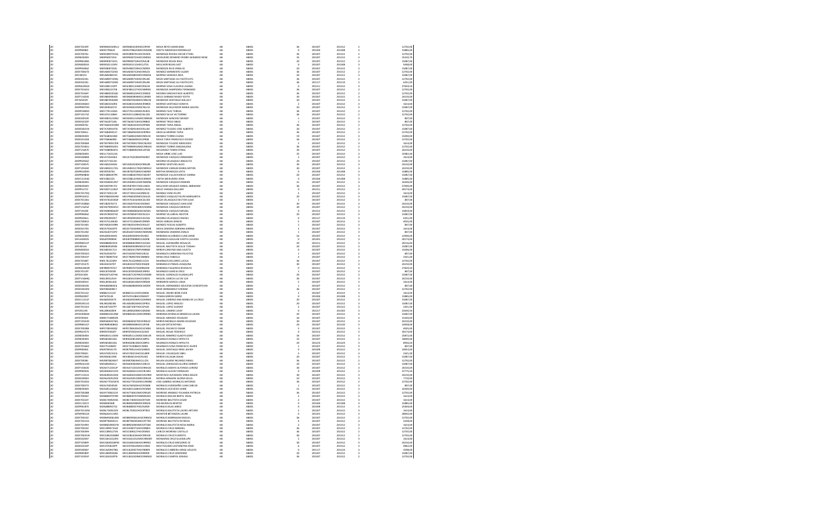|                                         |                          | MERM810109UU                 | MERM810109HOCJRY09                       | MEJIA REYES MARCIANA                                                      | AR              | AB001                 | 36                                             | 201307           | 201312           |                         |
|-----------------------------------------|--------------------------|------------------------------|------------------------------------------|---------------------------------------------------------------------------|-----------------|-----------------------|------------------------------------------------|------------------|------------------|-------------------------|
| $\frac{1}{20}$                          | 20DST0239F<br>20DPR0084I | MERO790625                   | MERO790625MOCNDD08                       | ODETH MENDOZA RODRIGUEZ                                                   | AB              | AB001                 | $\theta$                                       | 201304           | 201308           |                         |
| $_{20}$                                 | 20DST0076L               | MER0890701SQ                 | MERO890701HOCNVS05                       |                                                                           | AB              | A9001                 |                                                | 201307           | 201312           |                         |
| $_{20}$                                 | 20ZNE0040V               | MERP600725SI                 | MERP600725HOCXMD02                       | MENDOZA RIVERA OSCAR ETHIEL<br>MEIXUEIRO ROMERO PEDRO GERARDO RENE        | AB              | AB001                 | 36<br>33                                       | 201307           | 201312           |                         |
| $_{20}$                                 | 20DPB0248/               | MERR90071015                 | MERR900710HOCNJL08                       | MENDOZA ROJAS RAUL                                                        | AB              | AB001                 | $\overline{20}$                                | 201307           | 201312           |                         |
| 20                                      | 20DNS0001K               | <b>MERS501115RV</b>          | MERS501115HOCLIT01                       | MELCHOR ROJAS SAIT                                                        | AB              | AB001                 | $\circ$                                        | 201307           | 201308           |                         |
| $_{20}$                                 | 20DPR30062               | MERV8007202L                 | MERV800720HOCNZR03                       | MENDOZA RUIZ VIRGILIO                                                     | AB              | AB001                 | $\overline{20}$                                | 201307           | 201312           |                         |
| $\overline{20}$<br>$_{20}$              | 20DST0067D<br>20FJI0015I | MFSAR30722N3<br>MESA850801V5 | MESAR30722HOCNRL03<br>MESA850801MOCRND04 | MENDEZ SARMIENTO ALDER<br>MERINO SANCHEZ AIDA                             | AR<br>AB        | <b>AR001</b><br>AB001 | $\begin{array}{c} 36 \\ 20 \end{array}$        | 201307<br>201307 | 201312<br>201312 |                         |
| 20                                      | 20DES0224L               | <b>MESA890710NG</b>          |                                          |                                                                           |                 | <b>AR001</b>          |                                                | 201307           | 201312           |                         |
| $\overline{20}$                         | 20DES0224L               | MESA890710NG                 | MESA890710HOCZNL08<br>MESA890710HOCZNL08 | MEZA SANTIAGO ALI YAOTECATL<br>MEZA SANTIAGO ALI YAOTECATL                | AB<br>AB        | AB001                 | 36<br>36                                       | 201117           | 201119           |                         |
| 20                                      | 20DML00429               | MESC881123PY                 |                                          |                                                                           |                 | AB001                 |                                                |                  | 201312           |                         |
| $\overline{20}$                         | 20DST0162H               | MESF8812275B                 | MESC881123MOCRSL04<br>MESF881227HOCNMR04 | MERINO SOSA CLAUDIA LILIANA<br>MENDOZA SAMPEDRO FERNANDO                  | AB<br>AB        | AB001                 | $\begin{array}{c} 0 \\ 36 \end{array}$         | 201311<br>201307 | 201312           |                         |
| 20                                      | 20DST0164F<br>20DTV1650S | MESN840102QK                 | MESN840102HOCDNX02<br>MESN840904MOCLRN09 | MEDINA SANCHEZ NOE ALBERTO<br>MELO SARABIO NANCY EDITH                    | AB<br>AB        | AB001                 | 36<br>30                                       | 201307<br>201307 | 201312<br>201312 |                         |
| 20                                      |                          | MESN840904E8                 |                                          |                                                                           |                 | AB001                 |                                                |                  |                  |                         |
| $\begin{array}{c} 20 \\ 20 \end{array}$ | 20TAI0250Y<br>20DES0064O | MESN870504NX                 | MESN870504MOCNNL00<br>MESS801010MOCRNR04 | MENDOZA SANTIAGO NALLELY                                                  | AB<br>AB        | AB003                 | $\begin{smallmatrix} 20 \ 2 \end{smallmatrix}$ | 201307           | 201312           |                         |
|                                         |                          | MESS801010R4                 |                                          | MERINO SANTIAGO SORAYA                                                    |                 | AB001                 |                                                | 201307           | 201312           |                         |
| 20                                      | 20DPR09790<br>20DPR18940 | MESS9404227C                 | MESS940422MOCNLL02                       | MENDOZA SALVADOR MARIA SALOM                                              | AB              | AB001                 | $^{20}$                                        | 201307           | 201312           |                         |
| 20                                      |                          | MEST791124GS                 | MEST791124MOCRLR01                       | MERINO FILIO TERESA                                                       | AB              | AB001                 | 36                                             | 201307           | 201312           |                         |
| 20<br>20                                | 20DTV0175Z<br>20DES0010K | MESV9111086Y<br>MESW831210N2 | MESV911108HOCNLC00<br>MESW831210MOCNNN03 | MENDEZ SILVA VICTORINO<br>MENDOZA SANCHEZ WENDY                           | AB<br>AB        | AB001<br>AB001        | 36<br>$\mathbf{1}$                             | 201307<br>201307 | 201312<br>201312 |                         |
| $_{20}$                                 | 20DES0220F               | META630714EL                 | META630714HOCRRB02                       | MERINO TREJO ABAD                                                         | AB              | AB001                 |                                                | 201307           | 201312           |                         |
| 20                                      | 20DJN0076J               | META681025NM                 | META681025HOCRPN05                       | MERINO TAPIA ANGEL                                                        | AB              | AB001                 | 36                                             | 201307           | 201312           |                         |
| 20                                      | 20DEE0021N               | META760914T8                 | META760914HOCNLL00                       | MENDEZ TOLEDO JOSE ALBERTO                                                | AB              | AB001                 | 20                                             | 201307           | 201312           |                         |
| $\overline{20}$                         | 20DST0061L               | MFT48609251T                 | META860925MOCRPR01                       | ARCELIA MERINO TAPIA                                                      | AB              | <b>AR001</b>          |                                                | 201307           | 201312           |                         |
| 20                                      | 202NE0040V               | METE680423BX                 | METE680423MOCNRL04                       | MENDEZ TORRES ELENA                                                       | $\overline{AB}$ | AB001                 | $\begin{array}{c} 36 \\ 19 \end{array}$        | 201307           | 201312           |                         |
| 20                                      | 20DES0142B               | METF860609DI                 | METF860609HOCJPR08                       | MEJIA TAPIA FRANCISCO OVIDIO                                              | AB<br>AB        | AB001                 | 36                                             | 201307           | 201312           |                         |
| 20                                      | 20DST0046F               | METM790917KR                 | METM790917MOCNLR03                       | MENDOZA TOLEDO MERCEDES                                                   |                 | AB001                 | $\overline{2}$                                 | 201307           | 201312           |                         |
| 20                                      | 20DST0183L               | METM890910SS                 | METM890910MOCRRG05                       | MERINO TORRES MAGDALENA                                                   | AB              | AB001                 | 36                                             | 201307           | 201312           |                         |
| 20                                      | 20DTV1647E               | METO880902FA                 | METO880902HOCLRT08                       | MELENDEZ TERAN OTNIEL                                                     | AB              | AB001                 | 30                                             | 201307           | 201312           |                         |
| 20<br>20                                | 202NE0040V<br>20DES0084B | MEUL71031216<br>MEVA750228J3 | MEVA750228HDFNZR07                       | MEJIA URIBE JOSE LUIS<br>MENDOZA VAZQUEZ ARMANDO                          | AB<br>AB        | AB001<br>AB001        | $\overline{25}$<br>$\overline{2}$              | 201307<br>201307 | 201312<br>201312 |                         |
| $_{20}$                                 | 20DPR20562               | MEVA77101331                 |                                          | MEDINA VELASQUEZ ANGELITA                                                 | AB              | AB001                 | $^{20}$                                        | 201307           | 201312           |                         |
| 20                                      | 20DTV00070               | MEVA810330AI                 | MEVA810330HOCRNL08                       | MERINO VENTURA ALDO                                                       | AB              | AB001                 | 30                                             | 201307           | 201312           |                         |
| 20                                      | 20DTV05302               | MEVA8501172G                 | MEVA850117MOCNRN12                       | MENDOZA VARGAS MARIA ANTON                                                | AB              | AB001                 | 30                                             | 201307           | 201312           |                         |
| $\overline{20}$                         | 200PR1009H               | MEVB700703                   | MEVB700703MOCNSR09                       | BERTHA MENDOZA VISTA                                                      | AB              | <b>AR001</b>          | $\circ$                                        | 201304           | 201308           |                         |
| 20                                      | 20DPR0980D               | MEVC880207PK                 | MEVC880207MOCNLR07                       | MENDOZA VILLAVICENCIO CARINA                                              | $\overline{AB}$ | AB001                 | 20                                             | 201307           | 201312           |                         |
| 20                                      | 20DCC2234G               | MEVC881225                   | MEVC881225MOCXRN05                       | CINTIA MEIXUEIRO VERA                                                     | AB              | AB001                 | $\circ$                                        | 201304           | 201308           |                         |
| 20                                      | 202NE0040V               | MEVD690412N7                 | MEVD690412HOCNSM06                       | MENDOZA VASQUEZ DAMIAN                                                    | AB              | AB001                 | 21                                             | 201307           | 201312           |                         |
| 20                                      | 202NE0040V               | MEVD870917IV                 | MEVD870917HOCLSN01                       | MELCHOR VASQUEZ DANIEL ABRAHAM                                            | AB              | AB001                 | 36                                             | 201307           | 201312           |                         |
| 20                                      | 20DPR1272I               | MEVD871124GF                 | MEVD871124MOCLRL04                       | MELO VARGAS DALLANY                                                       | AB              | AB001                 | $\begin{smallmatrix}0\\2\end{smallmatrix}$     | 201311           | 201312           |                         |
| 20                                      | 20DST0170Q               | MEVF7305113F                 | MEVF730511HVZNRL02                       | MENDEZ VERA FELIPE                                                        | AB              | AB003                 |                                                | 201307           | 201312           |                         |
| 20                                      | 20DPR1631E               | <b>MEVF860205HM</b>          | MEVF860205MOCNSL05                       | MENDEZ VASQUEZ FELIPA MARGARITA                                           | AB              | AB001                 | 20                                             | 201307           | 201312           |                         |
| $_{20}$                                 | 20DST0118U               | MEVH761010Q9                 | MEVH761010HOCZLC08                       | MEZA VELASQUEZ HECTOR JULIO                                               | AB              | AB001                 |                                                | 201307           | 201312           |                         |
| 20<br>$_{20}$                           | 20DTV0286D<br>20DTV16352 | MEVJ820701T4<br>MEVM790924V1 | MEVJ820701HOCNSN02<br>MEVM790924MOCNSR06 | MENDOZA VASQUEZ JUAN JOSÉ<br>MENDOZA VASQUEZ MERCED                       | AB<br>AB        | AB001<br>AB001        | 30<br>30                                       | 201307<br>201307 | 201312<br>201312 |                         |
| $\overline{20}$                         |                          | MFVM800826DT                 | MEVM800826HOCN2S01                       | MENDOZA VAZQUEZ MISAEL                                                    |                 | <b>AR001</b>          |                                                | 201312           | 201312           |                         |
| $\overline{20}$                         | 20DTV01001<br>20DPR06062 | MEVN78030742                 | MEVN780307HOCRLS15                       | MERINO VILLAREAL NESTOR                                                   | AB<br>AB        | AB001                 | $\begin{smallmatrix}0\0\20\end{smallmatrix}$   | 201307           | 201312           |                         |
| 20                                      |                          |                              |                                          |                                                                           |                 | AB001                 | $\circ$                                        |                  |                  |                         |
| $\overline{20}$                         | 20DPR2061L<br>20DST0081X | MEVR920910J7<br>MEVS7512063D | MEVR920910HOCDLF06<br>MEVS751206HOCZRR09 | MEDINA VELASQUEZ RAFAEL<br>MEZA VARGAS SERGIO                             | AB<br>AB        | AB001                 |                                                | 201117<br>201307 | 201119<br>201312 |                         |
| 20                                      | 20DST0144S               | MEYA8203199N                 | MEYA820319HOCNSL07                       | MENDEZ YESCAS ALBERTO                                                     | AB              | AB001                 |                                                | 201307           | 201312           |                         |
| 20                                      | 20DES01769               | MEZA7S0420TE                 | MEZA750420MOCJMD08                       | MEJIA ZAMORA ADRIANA KARINA                                               | AB              | AB001                 | $\overline{2}$                                 | 201307           | 201312           |                         |
| 20                                      | 20DST01292               | MEZE630723PV                 | MEZE630723MOCNMM01                       | MENENDEZ ZAMORA EMILIA                                                    | AB              | AB001                 |                                                | 201307           | 201312           |                         |
| 20                                      | 202NE0040V               | MIAJ690430AN                 | MIAI690430HOCRLN02                       | MIRANDA ALVARADO JUAN JAIME                                               | AB              | AB001                 | 16                                             | 201307           | 201312           |                         |
| $_{20}$                                 | 20FUA00029               | MIAJ870908HK                 | MIAI870908MOCJGD08                       | MIJANGOS AGUILAR JUDITH CLAUDIA                                           | AB              | AB001                 | $\dot{\mathbf{0}}$                             | 201301           | 201312           |                         |
| 20                                      | 200PR0011E               | MIARRROR19CN                 | MIARRROR19MOCGVS03                       | MIGUEL AVENDARO ROSALVA                                                   | AR              | <b>AR001</b>          | 20                                             | 201311           | 201312           |                         |
| $_{20}$<br>20                           | 20FJI0014J<br>20DNS0001K | MIBD8405093B<br>MICA850317L3 | MIBD840509MMCGTL02<br>MICA850317MPLRNN08 | MIGUEL BAUTISTA DULCE TONAHI                                              | AB              | AB001<br><b>AR001</b> | $\overline{20}$                                | 201307<br>201307 | 201312<br>201312 |                         |
| $\overline{20}$                         | 20DST00320               | MICF620307SF                 | MICF620307MOCJRL02                       | MIRON CANCINO ANA JULIETA<br>MIJANGOS CARDENAS FELICITAS                  | AB<br>AB        | AB001                 | $\begin{smallmatrix}0\\1\end{smallmatrix}$     | 201307           | 201312           |                         |
| 20                                      |                          |                              |                                          |                                                                           |                 | AB001                 | a                                              |                  |                  |                         |
| $\overline{20}$                         | 20DST0031P<br>20DST0184T | MICF780907SW<br>MIDL761224NY | MICF780907MCSNRB03<br>MIDL761224MOCJLC01 | MINA CRUZ FABIOLA<br>MIJANGOS DOLORES LUCILA                              | AB<br>AB        | AB001                 | 36                                             | 201307<br>201307 | 201312<br>201312 |                         |
| 20                                      |                          | MIEJ810107KT                 |                                          |                                                                           |                 | A9001                 |                                                | 201307           | 201312           |                         |
| 20                                      | 20DTV0147C               | MIFR890707G7                 | MIEJ810107MOCRSQ00<br>MIFR890707HGRRGD00 | MIRANDA ESTRADA JOAQUINA<br>MIRANDA FIGUEROA RODOLFO                      | AB<br>AB        | AB001                 | $\begin{array}{c} 30 \\ 0 \end{array}$         | 201311           | 201312           |                         |
|                                         | 20DST0119T               | MIGC870503IF                 |                                          |                                                                           |                 | AB00                  |                                                | 201307           | 201312           |                         |
| $\begin{array}{c} 20 \\ 20 \end{array}$ | 20FZI0130A               | MIGG871207H6                 | MIGC870503MOCJRR03<br>MIGG871207MOCGND08 | MIJANGOS GARCIA CRUZ<br>MIJANGOS GARCIA CRUZ<br>MIGUEL GONZALEZ GUADALUPE | AB<br>AB        | AB001                 | 20                                             | 201307           | 201312           |                         |
|                                         | 20DTV1669Q               | MIGL850125IH                 | MIGL850125MOCGR201                       | MIGUEL GARCIA LUZ DE LOS                                                  | AB              | AB001                 | 30                                             | 201307           | 201312           |                         |
| 20                                      | 20DES0001C               | MIGL8506144C                 | MIGL850614MOCRRD04                       | MIRAMON GARCIA LOIDA                                                      | AB              | AB001                 | $\overline{2}$                                 | 201307           | 201312           |                         |
| 20                                      | 20DES0010K               | MIHA860804C6                 | MIHA860804MOCGR209                       | MIGUEL HERNANDEZ AZUCENA CONCEPCION                                       | AB              | AB001                 |                                                | 201307           | 201312           |                         |
| 20                                      | 20DES0024N               | MIHY840408C7                 |                                          | MIER HERNANDEZ YURIANA                                                    | AB              | AB001                 | 36                                             | 201307           | 201312           |                         |
| $_{20}$<br>20                           | 20DST0112Z<br>20DPB2004T | MIIB8212113F<br>MIIT670128   | MIIB821211HOCGSN06<br>MIIT670128HOCRSM07 | MIGUEL ISIDRO BENE-EVER<br>TOMAS MIRON ISIDRO                             | AB<br>AB        | AB001<br>AB001        | $\overline{2}$<br>$\theta$                     | 201307<br>201304 | 201312<br>201308 |                         |
| 20                                      | 20DCC1211P               | MUA82050373                  | MIJA820503MOCGMN04                       | MIGUEL JIMENEZ ANA MARIA DE LA CRUZ                                       | AB              | AB001                 | 20                                             | 201307           | 201312           |                         |
|                                         |                          | MILA810823BJ                 | MILA810823MOCGPR01                       | MIGUEL LOPEZ ARACELI                                                      |                 | AB001                 |                                                |                  |                  |                         |
| 20<br>20                                | 20DEE0011G<br>20DST0152A | MILG871007P7                 | MILG871007HOCGPL04                       | MIGUEL LOPEZ GLENNY                                                       | AB<br>AB        | AB001                 | $\begin{array}{c} 20 \\ 3 \end{array}$         | 201307<br>201307 | 201312<br>201312 |                         |
|                                         | 20FIZ0119E               | MILL890420ER                 | MILL890420MOCGND00                       | MIGUEL LINARES LEIDY                                                      |                 | AB003                 |                                                | 201217           | 201302           |                         |
| $\begin{array}{c} 20 \\ 20 \end{array}$ | 20FSE0006W               | MIMB810412NB                 | MIMB810412MOCRRR05                       | MIRANDA MORALES BRISDELIA LAURA                                           | AB<br>AB        | AB001                 | 20                                             | 201307           | 201312           |                         |
| 20                                      | 20FZF0050S               | MIMO710805F8                 |                                          | MIGUEL MENDEZ OSVALDO                                                     | AB              | AB001                 | $\begin{array}{c} 20 \\ 30 \end{array}$        | 201307           | 201312           |                         |
| 20                                      | 20DTV0542D               | MIMS8404276Q                 | MIMS840427MOCRRL02                       | MIRON MORALES MARIA SOLEDAD                                               | AB              | AB001                 |                                                | 201307           | 201312           |                         |
| 20                                      | 20DPB0011P               | MIOR8904084Q                 | MIOR890408HOCLRY08                       | MILLAN ORTIZ REYNEL                                                       | AB              | AB001                 | 20                                             | 201307           | 201310           |                         |
| 20                                      | 20DST0028E               | MIP078043002                 | MIPO780430HOCGCM04                       | MIGUEL PACHECO OMAR                                                       | AB              | AB001                 | 5                                              | 201307           | 201312           |                         |
| $_{20}$<br>20                           | 20DPB2357V<br>202NE0040V | MIRF870302EY<br>MIRG8511134W | MIRF870302HOCGJD03<br>MIRG851113MOCGML09 | MIGUEL ROJAS FEDERICO<br>MIGUEL RAMIREZ GLADYS GENY                       | AB<br>AB        | AB001<br>AB001        | $\rm _0$<br>34                                 | 201312<br>201307 | 201312<br>201312 |                         |
| 20                                      | 202NE0040V               | MIRH650813DL                 | MIRH650813MOCJBP01                       | MIJANGOS ROBLES HIPOLITA                                                  | AB              | AB001                 | $_{\rm 23}$                                    | 201307           | 201312           |                         |
| $\overline{20}$                         | 207NF0040V               | <b>MIRH650813DI</b>          | MIRH650813MOCIRP01                       | MILANGOS ROBLES HIPOLITA                                                  | AB              | <b>AR001</b>          | 20                                             | 201223           | 201224           |                         |
| 20                                      | 20DST0166D               | MISF7510083Y                 | MISF751008HOCJSR04                       | MIJANGOS SOSA FRANCISCO JAVIER                                            | AB              | AB001                 | $\,$ 1                                         | 201307           | 201312           |                         |
| 20                                      | 20DPR0694J               | MISR79053179                 | MISR790531HOCGNN01                       | MIGUEL SANTIAGO RENE JAVIER                                               |                 | AB001                 | $\circ$                                        | 201309           | 201312           |                         |
| 20                                      | 20DST0062                | MIVA740215CG                 | MIVA740215HOCGLB09                       | MIGUEL VELASQUEZ ABEL                                                     | AB<br>AB        | AB001                 |                                                | 201307           | 201312           |                         |
| 20                                      | 20DPR1336C               | MIVI8506139N                 | MIVI850613HOCRLS02                       | MIRON VILLALBA ISAIAS                                                     | AB              | AB001                 | $_{\rm 20}$                                    | 201307           | 201312           |                         |
| 20                                      | 20DST0038                | MIVR870824M7                 | MIVR870824HOCLLC01                       | MILAN VALERIO RICARDO ISRAEL                                              | AB              | AB001                 | 36                                             | 201307           | 201312           |                         |
| $\overline{20}$                         | 20DPB1613O               | MIZG830402L2                 | MIZG830402MOCGRL01                       | MIGUEL ZARAGOZA GLORIA DARNEY                                             | AB              | AB001                 | 20                                             | 201307           | 201312           |                         |
| 20<br>$_{20}$                           | 20DTV03635               | MOAA711031JP<br>MOAD60021193 | MOAA711031HOCRML03<br>MOAD600211HOCRLN03 | MORALES AMAYA ALFONSO LORENZ                                              | AB              | AB001<br>AB001        | 30<br>$\mathfrak{o}$                           | 201307<br>201309 | 201312<br>201312 |                         |
| 20                                      | 20DPR0050S<br>20DTV15519 | MOAE850310HK                 | MOAE850310MOCNVR09                       | MORALES ALAVEZ DONALDO<br>MONTARO AVENDARO ERIKA BELEN                    | AB<br>AB        | AB001                 | 30                                             | 201307           | 201312           |                         |
| 20                                      | 20DEE0006V               | MOAG4505192E                 | MOAG450519MOCRRL04                       | MORGA ARAGON GLORIA DELIA                                                 | AB              | AB001                 | 10                                             | 201307           | 201312           |                         |
| $\overline{20}$                         | 20DST01636               | MOAG770310CN                 | MOAG770310HOCCRMB0                       | IOSE GABRIEL MORALES ANTONIO                                              | AB              | <b>AR001</b>          | 36                                             | 201307           | 201312           |                         |
| 20                                      | 20DST0057X               | MOAJ760505S9                 | MOAJ760505HOCRVN08                       | MORALES AVENDAÑO JUAN CARLOS                                              | $\overline{AB}$ | AB001                 | $\overline{1}$                                 | 201307           | 201312           |                         |
| 20                                      | 20ZNE0040\               | MOAJ851228Q2                 | MOAJ851228HOCRCM04                       | MORALES ACEVEDO JAIME                                                     | AB              | AB001                 | 21                                             | 201307           | 201312           |                         |
| 20                                      | 20DST0028E               | MOAY74061519                 | MOAY740615MOCRRL05                       | MORENO ARANGO YOLANDA PATRICIA                                            | AB              | AB001                 | 36                                             | 201307           | 201312           |                         |
| 20                                      | 20DST0056Y               | MOBB830707RR                 | MOBB830707HMNRLR01                       | MORALES BOLAN BERTIL VIDAL                                                | AB              | AB001                 | $\,$ 2                                         | 201307           | 201312           |                         |
| 20                                      | 20DST0222F               | MOBC7409259A                 | MOBC740925HOCRTS09                       | MORENO BAUTISTA CESAR                                                     | AB              | AB001                 | $\overline{2}$                                 | 201307           | 201312           |                         |
| 20                                      | 20DCC1021Y               | MOBI830308                   | MOBI830308MOCRNS05                       | ISIS MORALES BENITEZ                                                      | AB              | AB00:                 | $\mathbf{0}$                                   | 201304           | 201308           |                         |
| 20                                      | 20DPR0187E               | MOBJ88092752                 | MOBJ880927HOCRLR09                       | MORALES BLAS JARED                                                        | AB              | AB001                 | $\theta$                                       | 201309           | 201312           |                         |
| $_{20}$<br>20                           | 20DST0133M<br>20FMP0012S | MOBL7509222N<br>MOBL810115RD | MOBL750922HOCRTR01                       | MORALES BAUTISTA LAURO ARTURO<br>MONTOR RETANZOS LAURA                    | AB<br>AB        | AB001<br>AB001        | $\theta$                                       | 201307<br>201301 | 201312<br>201312 |                         |
| $_{20}$                                 | 20DST0014Z               | MOBM930614KK                 | MOBM930614HOCRRG03                       | MORALES BARRAGAN MIGUEL                                                   | AB              | AB001                 | 36                                             | 201307           | 201312           |                         |
| $\overline{20}$                         | 20DST0221G               | MOBP7803051V                 | MOBP780305MOCRTT00                       | MORENO BALITISTA PATRICIA                                                 |                 | <b>AR001</b>          | $\overline{4}$                                 | 201307           | 201312           |                         |
| $\frac{1}{20}$                          | 20DST0199V               | MOBR650905FW                 | MOBR650905MOCRT500                       | MORALES BAUTISTA ROSA MARIA                                               | AB<br>AB        | AB001                 |                                                | 201307           | 201312           |                         |
| 20                                      |                          |                              |                                          |                                                                           |                 | AB001                 |                                                |                  | 201312           |                         |
| $\overline{20}$                         | 20DST0014Z<br>20DST0039H | MOCA900715AZ<br>MOCC890127JN | MOCA900715HOCRRB01<br>MOCC890127HOCRSR01 | MORALES CRUZ ABIMAEL<br>CARLOS MORENO CASTILLO                            | AB<br>AB        | AB001                 | 36<br>36                                       | 201307<br>201307 | 201312           |                         |
| 20                                      | 20DST0041W<br>20DES0204Y | MOCE8610268M                 | MOCE861026HOCRRV00                       | MORALES CRUZ EVARISTO                                                     | AB<br>AB        | <b>AR001</b>          | $\begin{array}{c} 36 \\ 2 \end{array}$         | 201307<br>201307 | 201312<br>201312 |                         |
| 20                                      |                          | MOCG651012RV                 | MOCG651012MOCNRD09                       | MONJARAS CRUZ GUADALUPE                                                   |                 | AB001                 |                                                |                  |                  |                         |
| 20                                      | 20DTV05891               | MOCG830106PM<br>MOCI970610PP | MOCG830106HOCRRR02<br>MOCI970610MOCCSR03 | MORALES CRUZ GREGORIO CE<br>MOCTEZUMA CASTANEYRA IRAIS                    | AB<br>AB        | AB001                 | $\begin{array}{c} 30 \\ 6 \end{array}$         | 201307           | 201312           |                         |
| 20                                      | 20DES0220F               |                              |                                          |                                                                           |                 | AB001                 |                                                | 201307           | 201312           | $\overline{\mathbf{3}}$ |
| 20                                      | 20DES0006Y<br>20DPB0589Y | MOCJ6209278Q<br>MOCJ800930AB | MOCJ620927HOCRBR09<br>MOCJ800930HVZRRR09 | MORALES CABRERA JORGE ADULFO<br>MORALES CRUZ JERONIMO                     | AB<br>AB        | AB001<br>AB001        | $\mathbf{0}$<br>20                             | 201117<br>201307 | 201124<br>201312 |                         |
| $_{20}$                                 | 20DTV02918               | MOCJ810329TB                 | MOCJ810329MOCRMN03                       | MORALES CAMPOS JONASA                                                     | AB              | AB001                 |                                                | 201307           | 201312           |                         |
|                                         |                          |                              |                                          |                                                                           |                 |                       |                                                |                  |                  |                         |

# 12702,00 3 15885,00 2 12702,00 3 25310,70 3 15087,00 3 9348,00 3 15087,00 2 12702,00 3 15087,00 2 12702,00 2 6351,00 3 27659,50 2 12702,00 2 12702,00 3 24210,00 3 15087,00 3 1614,00 3 15087,00 2 12702,00 2 12702,00 3 807,00 3 807,00 2 12702,00 3 15087,00 2 12702,00 3 15000,00 2 12702,00 3 1614,00 2 12702,00 3 24210,00 3 19382,40 3 1614,00 3 15087,00 3 24210,00 3 24210,00 3 15885,00 3 15087,00 3 15885,00 3 16500,00 3 57000,00 3 30174,00 3 1614,00 3 15087,00 3 807,00 3 24210,00 3 24210,00 3 14819,00 3 15087,00 3 6351,00 3 4035,00 3 807,00 3 1614,00 3 807,00 3 12000,00 3 30174,00 3 20116,00 3 15087,00 3 14346,00 3 807,00 3 2421,00 2 12702,00 3 24210,00 3 27659,50 3 807,00 3 15087,00 3 24210,00 3 1614,00 3 807,00 2 12702,00 3 1614,00 3 15885,00 3 15087,00 3 15087,00 3 2421,00 3 22630,50 3 15087,00 3 15420,00 3 24210,00 3 10058,00 3 4035,00 3 30174,00 3 25872,00 3 18000,00 3 8926,04 3 807,00 3 19053,00 3 2421,00 3 15087,00 2 12702,00 3 15087,00 3 24210,00 3 47775,50 3 24210,00 3 7710,00 2 12702,00 3 807,00 3 16500,00 2 12702,00 3 1614,00 3 1614,00 3 15885,00 3 25404,00 3 1614,00 3 28692,00 2 12702,00 3 3228,00 3 1614,00 2 12702,00 2 12702,00 2 12702,00 3 1614,00 3 24210,00 3 4842,00 3 3598,00 3 15087,00 2 12702,00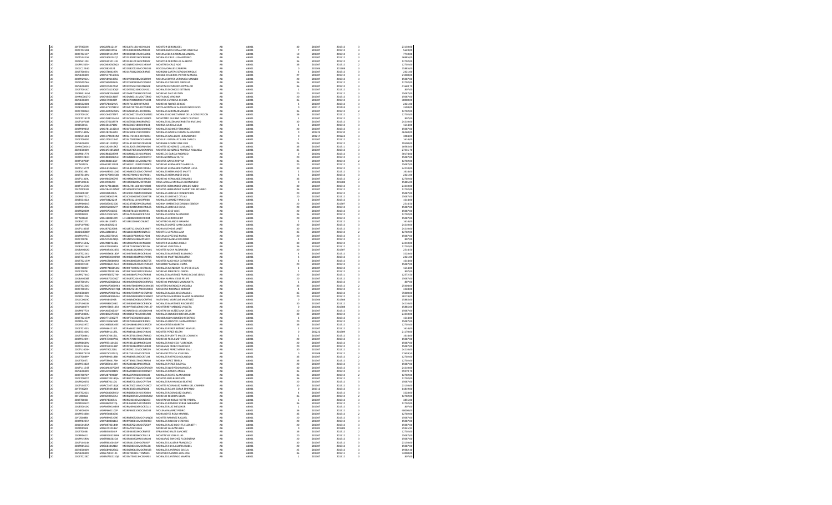| 20                                      | 20FZF0003H               | MOCJ8711212Y                 | MOCJ871121HOCNRL04                       | MONTOR CERON JOEL                                                                             | AB       | AB001                 | $\begin{array}{c} 30 \\ 7 \end{array}$       | 201307           | 201312           |
|-----------------------------------------|--------------------------|------------------------------|------------------------------------------|-----------------------------------------------------------------------------------------------|----------|-----------------------|----------------------------------------------|------------------|------------------|
| 20                                      | 20DST0250B               | MOCJ88031956                 | MOCJ880319MVZNRS02                       | MONDRAGON CERVANTES JOSEFINA                                                                  | AB       | AB001                 |                                              | 201307           | 201312           |
| 20<br>20                                | 2005T0213Y<br>20DTV0115K | MOCK891117PA<br>MOCL800101Q7 | MOCK891117MOCLIB06                       | MOUNA CELIS KAREN ALEIANDRA<br>MORALES CRUZ LUIS ANTONIO                                      | AR<br>AB | <b>AR001</b><br>AB001 | 10<br>35                                     | 201307<br>201307 | 201312<br>201312 |
| $_{20}$                                 | 20DJN2119E               | MOCL851011JN                 | MOCL800101HOCRRS08<br>MOCL851011HOCNRS07 | MONTOR CERON LUIS ALBERTO                                                                     |          | <b>AR001</b>          |                                              | 201307           | 201312           |
| 20                                      | 20DPR1505H               | MOCN890309QV                 | MOCN890309HOCNRX07                       | MONTARO CRUZ NOE                                                                              | AB<br>AB | AB001                 | 36<br>36                                     | 201307           | 201312           |
| $_{20}$                                 | 20DCC2234G               | MOCR820524                   | MOCR820524MOCRBC05                       |                                                                                               | AB       | AB001                 | $\mathbf{0}$                                 | 201304           | 201308           |
| 20                                      | 20DST0033N               | MOCS7604227K                 | MOCS760422HOCRRR0S                       | ROCIO MORALES CABRERA<br>MORGAN CARTAS SERGIO ENRIQUE                                         | AB       | AB001                 | $\overline{3}$                               | 201307           | 201312           |
| 20                                      | 202NE0040V               | MOCV470510UG                 |                                          | MONGE CISNEROS VICTOR MANUEL                                                                  | AB       | AB001                 | 27                                           | 201307           | 201312           |
| 20                                      | 20DPR2912U               | MOCV89110856                 | MOCV891108MOCLRR09                       | MOLINA CORTES VERONICA MARLEN                                                                 | AB       | AB001                 | 20                                           | 201307           | 201312           |
| 20                                      | 20DJN1976H               | MOCX6909054V                 | MOCX690905MOCRS802                       | MORALES CISNEROS OBDULIA                                                                      | AB       | AB001                 | 36                                           | 201307           | 201312           |
| 20                                      | 20ZNE0040V               | MOCX7502273A                 | MOCX750227HOCNSS08                       | MONTAñO CISNEROS OSWALDO                                                                      | AB       | AB001                 | 36                                           | 201307           | 201312           |
| 20                                      | 20DST0014Z               | MODE781230QF                 | MODE781230HOCRNS11                       | MORALES DIONICIO ESTEBAN                                                                      | AB       | AB001                 |                                              | 201307           | 201312           |
| 20                                      | 20DPR0154M               | MODM870406B2                 | MODM870406HOCR7L00                       | MORENO DIAZ MILTON                                                                            | AR       | <b>AR001</b>          | 20                                           | 201307           | 201312           |
| 20                                      | 20HMC0027O               | MODV860131BT                 | MODV860131MOCTZR00                       | MOTA DIAZ VIRGINIA                                                                            | AB       | AB001                 | $\overline{20}$                              | 201307           | 201312           |
| $_{20}$                                 |                          |                              |                                          |                                                                                               |          | <b>AR001</b>          |                                              | 201307           | 201312           |
| $\frac{1}{20}$                          | 202NE0040V<br>20DES0200B | MOEC790408PI<br>MOFS711029V5 | MOEC790408MOCNSC04<br>MOFS711029HDFRLR05 | MONTES ESPINOSA CECILIA<br>MORENO FLORES SERGIO                                               | AB<br>AB | AB001                 | $\begin{array}{c} 36 \\ 3 \end{array}$       | 201307           | 201312           |
|                                         |                          |                              |                                          |                                                                                               |          | <b>AR001</b>          | $\mathbf{0}$                                 |                  |                  |
| $\begin{array}{c} 20 \\ 20 \end{array}$ | 20DES0082D<br>20DST0006Q | MOGA710728FU<br>MOGA820505NN | MOGA710728HOCYNR09<br>MOGA820505HOCRRR06 | MOYA GONZALEZ AURELIO INOCENCIO<br>MORALES GIRON ARMANDO                                      | AB<br>AB | AB001                 | 36                                           | 201117<br>201307 | 201124<br>201312 |
|                                         | 20DST0010C<br>20DST0181W | MOGC640725FT<br>MOGD830124GA | MOGC640725MOCRMN21<br>MOGD830124HOCNRN01 | MORALES GOMEZ MARIA DE LA CONCEPCION<br>MONTAÑO GUERRA DANNY CASTULO                          |          | AB001                 |                                              | 201307           | 201312           |
| $\begin{array}{c} 20 \\ 20 \end{array}$ |                          |                              |                                          |                                                                                               | AB<br>AB | AB001                 | $\begin{array}{c} 36 \\ 1 \end{array}$       | 201307           | 201312           |
|                                         | 20DTV0718B               |                              |                                          |                                                                                               | AB       | AB001                 |                                              | 201307           |                  |
| $\begin{array}{c} 20 \\ 20 \end{array}$ | 20DES0011J               | MOGE7610297K                 | MOGE761029HGRRZR00<br>MOGE810718HOCRRL01 | MORALES GUZMAN ERNESTO RIVELINO<br>MORGA GARCIA ELIUD                                         | AB       | AB001                 | $\begin{array}{c} 30 \\ 2 \end{array}$       | 201307           | 201312<br>201312 |
|                                         | 20DPR09032               | MOGF811102UU                 | MOGF811102HOCRMR07                       |                                                                                               | AB       | AB001                 | 20                                           | 201307           | 201312           |
| $\begin{array}{c} 20 \\ 20 \end{array}$ | 20DTV1490V               | MOGF820617RJ                 | MOGF820617HOCRRR02                       | MORALES GOMEZ FERNANDO<br>MORALES GARCIA FERMIN ALEJANDRO                                     | AB       | <b>AR001</b>          | $\bf{0}$                                     | 201223           | 201310           |
| 20                                      | 20DES0142B               | MOGH721013IM                 | MOGH721013HOCRLR04                       | MORALES GALLEGOS HERMELINDO                                                                   | AB       | AB001                 | $\circ$                                      | 201217           | 201224           |
| 20                                      | 20DST0040X               | MOGJ700128HZ                 | MOGJ700128HOCGNN03                       | MOGUEL GONZALEZ JUAN CARLOS                                                                   | AB       | AB001                 | $\overline{2}$                               | 201307           | 201312           |
| $_{20}$                                 | 202NE0040V               | MOGL811207QZ                 | MOGL811207HOCRMS08                       | MORGAN GOMEZ JOSE LUIS                                                                        | AB       | AB001                 | 25                                           | 201307           | 201312           |
|                                         |                          |                              |                                          |                                                                                               |          | <b>AR001</b>          |                                              | 201307           |                  |
| $\begin{array}{c} 20 \\ 20 \end{array}$ | 20HMC0004D<br>20ZNE0040V | MOGL820915KZ<br>MOGM730514DF | MOGL820915HGRNNS06<br>MOGM730514MOCNNR01 | MONTES GONZALEZ LUIS ANGEL<br>MONTES GONZALEZ MARIELA YOLANDA                                 | AB<br>AB | AB001                 | 36<br>35                                     | 201307           | 201311<br>201312 |
|                                         |                          |                              |                                          |                                                                                               |          | AB001                 |                                              |                  | 201312           |
| $\begin{array}{c} 20 \\ 20 \end{array}$ | 20DPB0177X               | MOGR8402239R<br>MOGR880813SH | MOGR840223HOCRRD06<br>MOGR880813MOCRNT07 | MORELOS GARCIA RODRIGO                                                                        | AB<br>AB | AB001                 | $\begin{smallmatrix}0\0\20\end{smallmatrix}$ | 201301<br>201307 | 201312           |
|                                         | 20DTV0738P<br>20TAI0291Y | MOGR881113JF                 | MOGR881113MOCNLY00<br>MOHG911128MOCRRB05 | MONTES GALVEZ REYNA<br>MORENO HERNANDEZ GABRIELA                                              |          | AB001                 |                                              | 201307           |                  |
| $\begin{array}{c} 20 \\ 20 \end{array}$ |                          |                              |                                          |                                                                                               | AB<br>AB | AB001                 | 36<br>20                                     | 201307           | 201312<br>201312 |
|                                         | 20DTV15772               | <b>MOHL810605HI</b>          | MOHL810605MOCRRS04<br>MOHM850310MOCRRY07 | MORENO HERNÁNDEZ MARÍA LUISA                                                                  |          | AB001                 | 30                                           | 201307           | 201312           |
| $\begin{array}{c} 20 \\ 20 \end{array}$ | 20DES0168J               | MOHM8503104G                 |                                          | MORALES HERNANDEZ MAYTE                                                                       | AB<br>AB | <b>AR001</b>          | $\overline{2}$                               | 201307           | 201312           |
| 20                                      | 20DST0149N               | MOHO7909154B                 | MOHO790915HOCRRS01                       | MORALES HERNANDEZ OSIEL                                                                       | AB       | AB001                 |                                              | 201307           | 201312           |
| 20                                      | 20DTV1319L               | MOHR8609079S                 | MOHR860907HOCRRM04                       | MORENO HERNANDEZ RAMSES                                                                       | AB       | AB001                 | 36                                           | 201307           | 201312           |
| $^{20}$                                 | 20DTV0913E               | MOHR901209                   | MOHR901209MDFRRS00                       | ROSA ARIANA MORALES HERNANDEZ                                                                 | AB       | AB001                 | $\rm ^o$                                     | 201304           | 201308           |
| 20                                      | 20DTV1672D               | MOHU7811184K                 | MOHU781118HOCNRB02                       | MONTES HERNANDEZ UBALDO ABDO                                                                  | AB       | AB001                 | 30                                           | 201307           | 201312           |
| $_{20}$                                 | 20FZP0003O               | MOHY841107NW                 | MOHY841107HOCNRM06                       | MONTES HERNANDEZ YAMIRT DEL ROSARIO                                                           | AB       | AB001                 | 36                                           | 201307           | 201312           |
| 20                                      | 20DIN0139P               | MOJC891208J5                 | MOJC891208MOCRMN00                       | MORALES JIMENEZ CONCEPCION                                                                    | AB       | AB001                 | 20                                           | 201307           | 201312           |
| $_{20}$                                 | 20DPR0721Q               | MOJC930615PR                 | MOJC930615MOCRMT08                       | MORALES JIMENEZ CITLALI                                                                       | AB       | AB001                 | $\overline{20}$                              | 201307           | 201312           |
| $_{20}$                                 | 20DES0102A               | MOJE83121249                 | MOIF831212HOCRRROS                       | MORALES JUAREZ FRANCISCO                                                                      | AB       | <b>AR001</b>          |                                              | 201307           | 201312           |
| 20                                      | 20DPR0004G               | MOJG870325DD                 | MOJG870325MVZRMR06                       | MORAN JIMENEZ GEORGINA ESBEIDY                                                                | AB       | AB001                 | $\frac{2}{20}$                               | 201307           | 201307           |
| 20                                      | 20DPR2598U               | MOJ0920405P7                 | MOJ0920405MOCRML05                       | MORALES JIMENEZ OLIVA                                                                         | AB       | AB001                 |                                              | 201307           | 201312           |
| $_{20}$                                 | 20DPB2030R               | MOJY870413KZ                 | MOJY870413HOCRSV01                       | MORENO JOSE YAVE                                                                              | AB       | <b>AR001</b>          | $\begin{array}{c} 20 \\ 20 \end{array}$      | 201307           | 201312           |
| $_{20}$                                 | 20DPR0019                | MOLA710526PU                 | MOLA710526HOCRPL03                       | MORALES LOPEZ ALEJANDRO                                                                       | AB       | AB001                 | 36                                           | 201307           | 201312           |
| 20                                      | 20TAI0064C               | MOLH800810PC                 | LOLH800810MOCRRD04                       | MORALES LERDO HEIDY                                                                           | AB       | AB001                 |                                              | 201307           | 201312           |
| 20                                      | 20DES0227                | MOLI841106TX                 | MOLI841106HOCNLB07                       | MONTERO LLANOS IBRAHIM                                                                        | AB       | AB001                 | $\begin{array}{c} 20 \\ 2 \end{array}$       | 201307           | 201312           |
| 20                                      | 20DTV0798D               | MOLJ84092216                 |                                          | MORALES LOPEZ JUAN CARLOS                                                                     | AB       | AB001                 | 30                                           | 201307           | 201312           |
| $_{20}$                                 | 20DTV1420Z               | MOLJ871220D8                 | MOLJ871220MOCRNN07                       | MORA LUENGAS JANET                                                                            | AB       | AB001                 | 30                                           | 201307           | 201312           |
| 20                                      | 20ADG0008V               | <b>MOLL821010LE</b>          | MOLL821010MOCNPL03                       | MONTIEL LOPEZ LILIANA                                                                         | AB       | AB001                 | 36                                           | 201307           | 201312           |
| $_{20}$                                 | 20DPR1971C               | MOLL850730U6                 | MOLL850730MOCLPZ04                       | MOLINA LOPEZ LUZ MARIA                                                                        | AB       | AB001                 | $\overline{20}$                              | 201307           | 201312           |
| $_{20}$                                 | 20DST00781               | MOLN750328Q5                 | MOLN750328HVZNNC01                       | MONTERO LANDA NICEFORO                                                                        |          | <b>AR001</b>          |                                              | 201307           | 201312           |
| 20                                      | 20DTV1524V               | MOLP8107248G                 | MOLP810724HOCNGB00                       | MONTOR LAGUNES PABLO                                                                          | AB<br>AB | AB001                 | $\begin{array}{c} 1 \\ 30 \end{array}$       | 201307           | 201312           |
| 20                                      | 20DES0214E               | MOLR710509AX                 | MOLR710509HOCRPL06<br>MOMA810424MOCNYL01 | MORENO LOPEZ RAUL                                                                             | AB       | AB001                 | 36                                           | 201307           | 201312           |
| 20                                      | 20DBA0042G               | MOMA8104245S                 |                                          | MONTES MOYA ALEJANDRA                                                                         | AB       | <b>AR001</b>          | 20                                           | 201307           | 201307           |
| $_{20}$                                 | 20DST0224D               | MOMB760618DP                 | MOMB760618HOCRRL00                       | MORALES MARTINEZ BULMARO                                                                      | AB       | AB001                 | $\ddot{4}$                                   | 201307           | 201312           |
| 20                                      | 20DST0215W               | MOMB830302RW                 | MOMB830302MOCRRT05                       | MORENO MARTINEZ BEATRIZ                                                                       | AB       | AB001                 | $\overline{3}$                               | 201307           | 201312           |
| 20                                      | 20DST0215W               | MOMC800602KX                 | MOMC800602HOCNCT05                       | MONTES MACHUCA CUTBERTO                                                                       | AB       | AB001                 |                                              | 201307           | 201312           |
| 20                                      | 20DDI0012C               | MOMD860125LK                 | MOMD860125MOCNNN07                       | MONRROY MANUEL DIANA                                                                          | AB       | AB001                 | 20                                           | 201307           | 201312           |
| 20                                      | 20DST0003T               | MOMF710205M2                 | MOMF710205HOCRNL06                       | MORALES MENDOZA FELIPE DE JESUS                                                               | AB       | AB001                 | $\overline{2}$                               | 201307           | 201312           |
| 20                                      | 20DST0078J               | MOMF7401014N                 | MOMF740101MOCRNL04                       | MORENO MENDEZ FLORICEL                                                                        | AB       | AB001                 |                                              | 201307           | 201312           |
| $\overline{20}$                         | 20DPR27440               | MOMF860727NH                 | MOMF860727HOCRRR03                       | MORALES MARTINEZ FRANCISCO DE JESUS                                                           | AB       | AB001                 | 20                                           | 201307           | 201311           |
| 20                                      | 20DBA00082               | MOMJ870204QT                 | MOM1870204HOCRRS09                       | MORAN MARIN IFSUS FEUPE                                                                       | AR       | <b>AR001</b>          |                                              | 201307           | 201312           |
| $\frac{1}{20}$                          | 20DST0019U               | MOMM690206AK                 | MOMM690206MOCRRR01                       | MORENO MORALES MARGARITA                                                                      | AB       | AB001                 | $\begin{array}{c} 20 \\ 1 \end{array}$       | 201307           | 201312           |
|                                         | 20DST02300<br>20DST0019U | MOMM700609K3<br>MOMM721017Q1 | MOMM700609MOCNNC06<br>MOMM721017MOCSRR04 | MONTERO MENDOZA MICAELA<br>MOSCOSO MORALES MIRIAM                                             |          | AB001                 |                                              | 201307<br>201307 | 201312<br>201312 |
| $\begin{array}{c} 20 \\ 20 \end{array}$ |                          |                              |                                          |                                                                                               | AB<br>AB | AB001                 | $\begin{array}{c} 36 \\ 4 \end{array}$       |                  |                  |
|                                         | 202NE0040V<br>20DPR2170S | MOMM770907AS<br>MOMM90030444 | MOMM770907HOCRZN00<br>MOMM900304MOCNRY07 | MORALES MAZA JOSE MANUEL<br>MONTAñO MARTINEZ MAYRA ALEJANDRA                                  |          | <b>AR001</b>          |                                              | 201307           | 201312<br>201312 |
| $\begin{array}{c} 20 \\ 20 \end{array}$ |                          |                              |                                          |                                                                                               | AB<br>AB | AB001                 | 36<br>20                                     | 201307           |                  |
| $^{20}$                                 | 20DCC0019C               | MOMN840908                   | MOMN840908MOCRRT02                       | NATIVIDAD MORELOS MARTINEZ                                                                    | AB       | AB001                 | $\bf{0}$                                     | 201304           | 201308           |
| 20                                      | 20DTV0610K               | MOMR800206CJ                 | MOMR800206HOCRRG06                       | MORALES MARTINEZ RIGOBERTO                                                                    | AB       | AB001                 | 30                                           | 201307           | 201312           |
| 20                                      | 20DJN1047V               | MOMV780510SX                 | MOMV780510MOCNNL07                       | MONTERREY MENDEZ VIOLETA                                                                      | AB       | AB001                 | $\,$ 0 $\,$                                  | 201304           | 201308           |
| 20                                      | 20DPR0772X               | MONA850421DY                 | MONA850421MOCNXN08                       | MONTALVO NUÑEZ ANA DELIA                                                                      | AB       | AB001                 | 20                                           | 201307           | 201312           |
| $\overline{20}$                         | 20DTV0320U               | MO0B850704QB                 | MOOB850704MOCRLR03                       | MORALES OLMEDO BRENDA JAZM                                                                    | AB       | AB001                 | 30                                           | 201307           | 201312           |
| 20                                      | 20DST0215W               | <b>MOOF7103027T</b>          | MOOF710302HOCNLD01                       | MONDRAGON OLMEDO FEDERICO                                                                     | AB<br>AB | <b>AR001</b>          | $\overline{2}$                               | 201307           | 201312           |
| $\frac{1}{20}$                          | 20DPR2476J               | MOOJ730626RR                 | MOOJ730626HOCRRN03                       | MORALES OROZCO JUAN ANTONIO                                                                   |          | AB001                 | $20^{-}$                                     | 201307           | 201312           |
|                                         |                          |                              |                                          |                                                                                               |          | AB001                 | $\frac{36}{2}$                               | 201307<br>201307 | 201312<br>201312 |
| $\begin{array}{c} 20 \\ 20 \end{array}$ | 20DJN13972<br>20DST0103S | MOON8608165E<br>MOPA6612157L | MOON860816MOCRRZ09<br>MOPA661215HOCRRR03 | MORA ORTIZ NAZARETH<br>MORALES PEREZ ARTURO MANUEL                                            | AB<br>AB | AB001                 |                                              |                  |                  |
| $\begin{array}{c} 20 \\ 20 \end{array}$ | 20DES0100C<br>20DST0084U | MOPB8911125L<br>MOPC6704151L | MOPB891112MOCNRL05<br>MOPC670415MOCRNR00 | MONTES PEREZ BELEM<br>MORALES PUENTE MA.DEL CARMEN                                            | AB<br>AB | <b>AR001</b>          | $\begin{smallmatrix}0\\2\end{smallmatrix}$   | 201222           | 201309<br>201312 |
|                                         |                          |                              |                                          |                                                                                               |          | AB001                 |                                              | 201307           |                  |
| $\frac{20}{20}$                         | 20DPR3229H               | MOPE770407KQ                 | MOPE770407HOCRXM02                       | MORENO PEÑA EMETERIO<br>MORALES PACHECO FLORENCIA                                             | AB<br>AB | AB001                 | $\begin{array}{c} 20 \\ 20 \end{array}$      | 201307           | 201312           |
|                                         |                          |                              |                                          |                                                                                               |          | AB001                 |                                              | 201307           | 201312           |
| $\begin{array}{c} 20 \\ 20 \end{array}$ | 20DCC2355S               | MOPF930124BP<br>MOPI790121BL | MOPF930124MOCNRR02                       | MONJARAZ PEREZ FRANCISCA<br>MONJARAZ PEREZ MARIA IDALI                                        | AB<br>AB | AB001                 | 20<br>30                                     | 201307           | 201312           |
|                                         | 20DTV1603H               |                              |                                          |                                                                                               |          | AB001                 |                                              | 201307           | 201312           |
| 20                                      | 20DPR0732W<br>20DST0089P | MOPJ750315EQ                 | MOPJ750315MOCRTS01<br>MOPR890313HOCRTL08 | MORA PATATUCHI JOSEFINA                                                                       | AB<br>AB | AB001                 | $\pmb{\circ}$                                | 201309           | 201312           |
| 20                                      |                          | MOPR8903138K                 |                                          | MORALES PATRICIO ROLANDO                                                                      |          | AB001                 | 36                                           | 201307           | 201312           |
| 20<br>20                                | 20DST0037J<br>20DPR33022 | MOPT890417BH<br>MOPZ8301139H | MOPT890417MOCRRR08<br>MOPZ830113MOCRRL06 | MORAN PEREZ TERESA<br>MORALES PEREZ ZULEYCA                                                   | AB<br>AB | AB001<br>AB001        | 36                                           | 201307<br>201307 | 201312<br>201312 |
| $^{20}$                                 | 20DTV1154T               | MOQM820702KT                 | MOQM820702MOCRVR09                       | MORALES QUEVEDO MARCELA                                                                       | AB       | AB001                 | 20<br>30                                     | 201307           | 201312           |
| 20                                      | 20ZNE0040V               | MORA491001RV                 | MORA491001HOCRMN07                       | MORALES RAMOS ANGEL                                                                           | AB       | AB001                 | 36                                           | 201307           | 201312           |
| $_{20}$                                 | 20DST0072P               | MORA8709068P                 | MORA870906HOCRYL09                       | MORALES REYES ALAN MIROD                                                                      | AB       | AB001                 | 36                                           | 201307           | 201312           |
|                                         |                          |                              |                                          |                                                                                               |          | AB001                 |                                              |                  |                  |
| $\frac{20}{20}$                         | 20DST0007P<br>20DPB2005S | MORB770318QA<br>MORB87011011 | MORB770318MOCNSR04<br>MORB870110MOCRYT09 | MONTES RIOS BERENIZZE<br>MONTES RIOS BERENIZZE                                                | AB<br>AB | AB001                 | $\frac{36}{20}$                              | 201307<br>201307 | 201312<br>201312 |
|                                         |                          |                              |                                          |                                                                                               |          | AB001                 |                                              |                  |                  |
| $\begin{array}{c} 20 \\ 20 \end{array}$ | 20DTV02270<br>20FZF0020Y | MORC730714QK<br>MORE850914D8 | MORC730714MOCNDR07<br>MORE850914HVZRJD08 | MONTES RODRIGUEZ MARIA DEL CARMEN<br>MORALES ROJAS EDFAR EPIFANIO                             | AB<br>AB | AB001                 | $\begin{array}{c} 30 \\ 0 \end{array}$       | 201307<br>201312 | 201312<br>201312 |
|                                         |                          | MORG680624SU                 |                                          |                                                                                               |          | AB001                 |                                              |                  |                  |
| 20<br>$_{20}$                           | 20DST0202S<br>20FIZ0006B | MORG9005035J                 | MORG680624HOCRDB03<br>MORG900503MOCRNM02 | MORALES RODRIGUEZ GABRIEL                                                                     | AB<br>AB | AB001                 | 36                                           | 201307<br>201307 | 201312<br>201312 |
|                                         |                          |                              |                                          |                                                                                               |          | AB001                 | s                                            |                  |                  |
| 20<br>20                                | 20DST0020J<br>20DPR2052D | MORI7403052L<br>MORJ860917QL | MORI740305MOCNSV03<br>MORJ860917HOCRMR09 | MONTALVO ROSAS IVETTE YADIRA<br>MONTALVO ROSAS IVETTE YADIRA<br>MORALES RAMIREZ JORGE ABRAHAM | AB<br>AB | AB001                 | 36                                           | 201307<br>201307 | 201312<br>201312 |
| $^{20}$                                 | 20DES0010K               | MORM69010649                 | MORM690106HOCRZL13                       | MORALES RUIZ MELCHOR                                                                          | AB       | AB001                 |                                              | 201307           | 201312           |
| 20                                      | 20ZNE0040V               | MORP6601102P                 | MORP660110HOCLMD03                       | MOLINA RAMIREZ PEDRO                                                                          | AB       | AB001                 | 36                                           | 201307           | 201312           |
| 20                                      | 20DPR3438N               | MORR76083036                 |                                          | MORA REYES ROSA MARIBEL                                                                       | AB       | AB001                 | 36                                           | 201307           | 201312           |
| 20                                      | 20E120088B               | MORRR905209F                 | MORRR90520MOCNMO00                       | MONTES RAMIREZ RAOUEL                                                                         | AB       | <b>AR001</b>          | 20                                           | 201307           | 201312           |
| $_{20}$                                 | 20DPR0235Y               | MORV80081163                 | MORV800811MOCRNR03                       | MORALES RINCON VERENICE                                                                       | AB       | AB001                 | $\overline{20}$                              | 201307           | 201312           |
| $_{20}$                                 | 20DCC0185A               | MORX8702144N                 | MORX870214MOCRZC07                       | MORALES RUIZ XOCHITL ELIZABETH                                                                |          | <b>AR001</b>          |                                              | 201307           | 201312           |
| 20                                      | 20DPR0950J               | MOSA791013LZ                 | MOSA791013LZA                            | MORENO SALAZAR ABEL                                                                           | AB<br>AB | AB001                 | $\frac{20}{0}$                               | 201301           | 201309           |
| 20                                      | 20DST0038                | MOSE640503JP                 |                                          | EFRAIN MORALES SANCHEZ                                                                        | AB       | AB001                 |                                              | 201307           | 201312           |
| 20                                      | 20DPR0612J               | MOSE920328MH                 | MOSE640503HOCRNF07<br>MOSE920328HOCNSL19 | MONTALVO SOSA ELIAS                                                                           | AB       | <b>AR001</b>          | 36<br>20                                     | 201307           | 201312           |
| $_{20}$                                 | 20DPR1590V               | MOSF840202Q4                 | MOSF840202MOCNNL03                       | MONJARAZ SANCHEZ FLORENTINA                                                                   | AB       | AB001                 | 20                                           | 201307           | 201312           |
| 20                                      | 20DTV0214K               | MOSF841004SW                 | MOSF841004HOCRLR07                       | MORALES SALAZAR FRANCISCO                                                                     | AB       | AB001                 | 30                                           | 201307           | 201312           |
| 20                                      | 20DPB0556G               | MOSG8404218J                 | MOSG840421MOCRLL08                       | MORALES SILVA GLORIA ISABEL                                                                   | AB       | AB001                 | 20                                           | 201307           | 201312           |
| 20                                      | 20ZNE0040V               | MOSG890625G2                 | MOSG890625MOCRNS03                       | MORALES SANTIAGO GISELA                                                                       | AB       | AB001                 | 25                                           | 201307           | 201312           |
| $_{20}$                                 | 202NE0040V               | MOSL7903112S                 | MOSL790311HTCNNS01                       | MONTERO SANTOS LUIS JOSE                                                                      | AB       | AB001                 | 36                                           | 201307           | 201311           |
| 20                                      | 20DST02287               | MOSM75021306                 | MOSM750213HCSRNR03                       | MORALES SANTIAGO MARTIN                                                                       | AB       | <b>AR001</b>          | $\overline{1}$                               | 201307           | 201312           |
|                                         |                          |                              |                                          |                                                                                               |          |                       |                                              |                  |                  |

# $\begin{array}{l} \textbf{13.3 a} \textbf{14.4 } \\ \textbf{25.4 } \\ \textbf{36.5 } \\ \textbf{47.5 } \\ \textbf{58.5 } \\ \textbf{59.5 } \\ \textbf{69.5 } \\ \textbf{7.5 } \\ \textbf{81.5 } \\ \textbf{9.5 } \\ \textbf{19.5 } \\ \textbf{19.5 } \\ \textbf{19.5 } \\ \textbf{19.5 } \\ \textbf{19.5 } \\ \textbf{19.5 } \\ \textbf{19.5 } \\ \textbf{19.5 } \\ \textbf{19.5 } \\ \textbf{19.5 } \\ \textbf{1$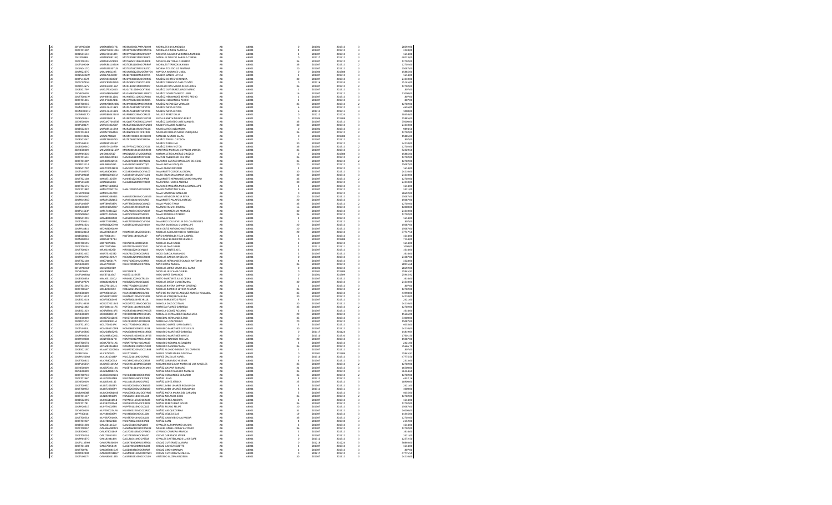|                                  | 20FMP0016O               | MOSM8305173J                        | MOSM830517MPLRLN09                        | MORALES SILVA MONICA                                       |                            | AB001                 | $\theta$                                      | 201301           | 201312           |
|----------------------------------|--------------------------|-------------------------------------|-------------------------------------------|------------------------------------------------------------|----------------------------|-----------------------|-----------------------------------------------|------------------|------------------|
| 20                               | 20DST0130                | MOSP730221M4                        | MOSP730221MOCRMT06                        | MORALES SIMON PATRICIA                                     | AB<br>AB                   | AB001                 |                                               | 201307           | 201312           |
|                                  | 20DES0153H               | <b>MOSV701213TH</b>                 | MOSV701213MGRNLR07                        | MONTES SALAZAR VERONICA MARIREL                            | AR                         | <b>AR001</b>          | $\overline{2}$                                | 201307           | 201312           |
| 20<br>20                         | 20FIZ0088B               | MOTF8008216Q                        | MOTF800821MOCRLB05                        | MARALES TOLEDO FABIOLA TERESA                              | AB                         | AB001                 | $\mathbf{0}$                                  | 201217           | 201312           |
| 20<br>20                         | 20DST0019U               | MOTG850210K5                        | MOTG850210HVZGRR08                        | MOGOLLAN TORAL GERARDO                                     | AB                         | AB001                 | 36                                            | 201307           | 201312           |
|                                  | 20DTV0904X               | MOTK881106UH                        | MOTK881106MOCRRR07                        | MORALES TERRAZAS KARINA                                    | AB                         | AB001<br>AB001        | 36                                            | 201307           | 201312           |
|                                  | 20DJN0417Q<br>20DPB2267C | MOTL870307US<br>MOUM861225          | MOTL870307MOCRL200<br>MOUM861225MOCRNY04  | MORAN TOLEDO LIZ ARIANNA<br>MAYOLA MORALES UNDA            | AB<br>AB                   | AB001                 | 20<br>$\bf{0}$                                | 201307<br>201304 | 201312<br>201308 |
| 20<br>20<br>20<br>20<br>20       | 20DES0206W               | MUBL790430KF                        | MUBL790430MGRXXT05                        | MUÑOS BAÑOS LETICIA                                        | AB                         | AB001                 | $\overline{z}$                                | 201307           | 201312           |
|                                  | 20DTV1352T               | MUCV8306064F                        | MUCV830606MOCXRR05                        | MUÑOZ CORTES VERONICA                                      |                            | AB001                 | 30                                            | 201307           | 201312           |
|                                  | 20DCC0735N               | MUDC890427G9                        | MUDC890427HOCXLR02                        | MUÑOZ DELGADO CARLOS SAID                                  | AB<br>AB                   | AB001                 | $\mathfrak{o}$                                | 201216           | 201224           |
| 20<br>20                         | 20DPR1467V               | MUDL830211EZ                        | MUDL830211MDFRZR07                        | MURILLO DIAS MARIA DE LOURDES                              | AB                         | AB001                 | 36                                            | 201307           | 201312           |
|                                  | 20DES0179P<br>207NF0040V | MUGJ751026K3<br>MUGM8806098D        | MUGJ751026HOCXTR00<br>MUGM880609HPLXMR02  | MUÑOZ GUTIERREZ JORGE MARIO<br>MUÑOZ GOMEZ MARCO URIEL     | AB                         | AB001<br><b>AR001</b> |                                               | 201307<br>201307 | 201312<br>201312 |
| 20<br>20                         | 20DST0041W               | MUHB650112AL                        | MUHB650112HOCXRN08                        | MUÑOZ HERNANDEZ BENITO PEDRO                               | AB<br>AB                   | AB001                 | $\begin{array}{c} 16 \\ 1 \end{array}$        | 201307           | 201312           |
|                                  |                          |                                     |                                           |                                                            |                            | AB001                 |                                               |                  |                  |
| 20<br>20                         | 20DST0144S<br>20DST0023G | MUHP7601214E<br>MUMV8809238S        | MUHP760121HOCXRD05<br>MUMV880923MOCXNR04  | MUÑOZ HERNANDEZ PEDRO<br>MUÑOZ MENDOZA VIRIMADI            | AB<br>AB                   | AB001                 | 36                                            | 201307<br>201307 | 201312<br>201312 |
| 20<br>20                         | 20HMC0021U               | MUNL761118K1                        | MUNL761118MTLXVT03<br>MUNL761118MTLXVT03  | MUÑOZ NAVA LETICIA                                         | AB<br>AB                   | AB001                 | 6                                             | 201307           | 201312           |
|                                  | 20HMC0021U               |                                     |                                           |                                                            |                            | AB001                 | 6                                             | 201311           | 201311           |
| 20<br>20                         | 20DNP00170<br>20DES0034U | MUPD880429LW<br>MUPR790319          | MUPD880429MOCJRL02<br>MUPR790319MOCNRT02  | MUJICA PEREZ DALIA<br>RUTH JEANETH MUNDO PEREZ             | AB<br>AB                   | AB001                 | $\begin{smallmatrix}0\\0\\0\end{smallmatrix}$ | 201212           | 201224           |
|                                  |                          |                                     |                                           |                                                            |                            | AB001                 |                                               | 201304           | 201308           |
| 20<br>20                         | 202NE0040V<br>20DTV0017J | MUQM7704053E<br>MURA730626CP        | MUQM770405HOCXVN07<br>MURA730626MOCNML03  | MUÑOZ QUEVEDO JOSE MANUEL<br>MUNIVE RAMOS ALBERTA          | AB<br>AB                   | AB001<br>AB001        | 36<br>30                                      | 201307<br>201307 | 201312<br>201312 |
|                                  | 20DES0231V               | MURA851119AK                        | MURA851119MOCRSL06                        | MURCIA RIOS ALEJANDRA                                      |                            | AB001                 |                                               | 201301           | 201312           |
| 20<br>20                         | 20DST0244R               | MURN790621JA                        | MURN790621FOCRFR09                        | MURILLO ROMAN NORA ENRIQUETA                               | AB<br>AB                   | AB001                 | 36                                            | 201307           | 201312           |
| 20                               | 20DCC1010S               | MUSM740820                          | MUSM740820HOCXLN09                        | MANUEL MUÑOZ SALAS                                         | AB<br>AB                   | AB001                 | $\pmb{\circ}$                                 | 201304           | 201308           |
| 20<br>20                         | 20DES0204Y               | <b>MUTE760507KS</b>                 | MUTE760507HV2XRD06                        | MUÑOZ TRUJILLO EDSON                                       |                            | AB001                 | $\mathbf{1}$                                  | 201307           | 201312           |
|                                  | 20DTV0413J               | MUTE81100187                        |                                           | MUÑOZ TAPIA EVA                                            | AB                         | AB001<br>AB001        | 30                                            | 201307           | 201312           |
| 20<br>20                         | 20DES00640               | MUTV7910275H                        | MUTV791027HOCXPC04<br>MXMO801211HOCRRS02  | MUÑOZ TAPIA VICTOR<br>MARTINEZ MARCIAL OSVALDO MOISES      | AB<br>AB                   | AB001                 | 36<br>36                                      | 201307<br>201307 | 201312<br>201312 |
|                                  |                          | MXON820517                          | MXON820517MOCRRR06                        |                                                            |                            | AB001                 |                                               | 201304           | 201308           |
| 20<br>20                         | 20DPR0502D<br>20DST0165E | NAAD860419BU                        | NAAD860419MOCFVL08                        | NORMA LETICIA MERAZ OROZCO<br>NAFATE AVENDAÑO DEL MAR      | AB<br>AB                   | AB001                 | 36                                            | 201307           | 201312           |
| 20<br>20                         | 20DST0130P               | NAAD870429EX                        | NAAD870429HOCRNS01                        | NARANJO ANTAñO DASSAEVD DE JESUS                           | AB<br>AB                   | AB001                 | 36                                            | 201307           | 201312           |
|                                  | 20DPR2311A               | NAAJ860503S1                        | NAAJ860503HGRVYQ02                        | NAVA AYONA JOAQUIN                                         |                            | AB001                 | 20                                            | 201307           | 201312           |
| --<br>20<br>20                   | 20DES0179P<br>20DTV0597G | NAAP700128KW<br>NACA830606IA        | NAAP700128HOCVRD01<br>NXCA830606MOCVNL07  | NAVA ARAGON PEDRO<br>NAVARRETE CONDE ALONDRA               |                            | AB001<br>AB001        | 30                                            | 201307<br>201307 | 201312<br>201312 |
| 20                               | 20DTV0918Z               | NAED810913EU                        | NAED810913MOCTSL04                        | NATO ESCALONA MARIA DOLOR                                  |                            | AB001                 | 30                                            | 201307           | 201312           |
|                                  | 20DST0210A               | NAHJ87122559                        | NAHJ871225HOCVRR08                        | NAVARRETE HERNANDEZ JAIRO RAMIRO                           | AB<br>AB<br>AB<br>AB<br>AB | AB001                 | 36                                            | 201307           | 201312           |
| 20<br>20                         | 20DTV0160X               | NAJA820628GI                        | NAJA820628MOCTRN02                        | NATIVIDAD JUAREZ ANDREA                                    |                            | AB001                 | 30                                            | 201307           | 201312           |
| 20<br>20                         | 20DST0217U               | NAMG71100652                        |                                           | NARVAEZ MAGAÑA MARIA GUADALUPE                             | AB<br>AB                   | <b>AR001</b>          | $\overline{2}$                                | 201307           | 201312           |
|                                  | 20DST0188P               | NAMJ700907DU                        | NAMJ700907HOCNRN00                        | NANDEZ MARTINEZ JUAN                                       |                            | AB001                 | $\overline{\mathbf{3}}$                       | 201307           | 201312           |
| 20<br>20                         | 20FMP0003K               | NAMR740527PJ                        |                                           | NAVA MARTINEZ RANULFO                                      | AB                         | AB001                 | $\theta$                                      | 201301           | 201312           |
|                                  | 20DPR30062               | NAMR920804JS                        | NAMR920804MOCVNS06                        | NAVA MENDOZA ROSA ELVIA<br>NAVARRETE PALAFOX AURELIO       | AB                         | AB001<br>AB001        | 20                                            | 201307           | 201312           |
|                                  | 20DPB1596O<br>20DTV0366P | NAPA910821CC<br>NAPT8907033V        | NAPA910821HOCVLR03<br>NAPT890703MOCVRN03  | NAVA PRADO TANIA                                           | AB<br>AB                   | AB001                 | 20<br>36                                      | 201307<br>201307 | 201312<br>201312 |
| 20<br>20<br>20<br>20<br>20       | 202NE0040V               | NARC940529U7                        | NARC940529HOCZZH06                        | NAZARIO RUIZ CHRISTIAN                                     | AB                         | AB001                 | $16$                                          | 201307           | 201312           |
|                                  | 20DTV1513P               | NARL74031522                        | NARL740315HOCVMS07                        | NAVA RAMIREZ LUIS MANUEL                                   |                            | AB001                 | 30                                            | 201307           | 201312           |
|                                  | 20DJN0006O               | NARP7105054H                        | NARP710505HCSVDD02                        | NAVA RODRIGUEZ PEDRO                                       | AB<br>AB                   | AB001                 | 36                                            | 201307           | 201312           |
| 20<br>20                         | 20DES0129H               | NASA8003043D                        | NAXS800304MOCRXR03                        | NARVAEZ SARA                                               | AB<br>AB                   | <b>AR001</b>          | $\overline{z}$                                | 201307           | 201312           |
|                                  | 20DST0043U<br>20DPR0262V | NASE770509EQ                        | NASE770509MOCVLV04                        | NAVARRO SOLIS EVELIN DE LOS ANGELES                        |                            | AB001<br><b>AR001</b> |                                               | 201307<br>201307 | 201312<br>201312 |
| 20<br>20                         | 20DPR1881K               | NASG8512039W<br><b>NEOA640908HH</b> | NASG851203MVZJND02                        | NAJERA SANDOVAL GUADALUPE<br>NERI ORTIZ ANTONIO NATIVIDAD  | AB<br>AB                   | AB001                 | 20                                            |                  |                  |
|                                  | 20DCC2016T               | NIAM9305143P                        | NIAM930514MOCCGH01                        | NICOLAS AGUILAR NOEHLI FLORICELA                           | AB                         | AB001                 | 20<br>20                                      | 201307<br>201307 | 201312<br>201312 |
| 20<br>20<br>20<br>20<br>20<br>20 | 20DES0042C               | NICF7001144I                        | NICF700114HCLXRL07                        | NIÑO CARRIZALES FELIX GABRIEL                              | AB                         | AB001                 | $\overline{2}$                                | 201307           | 201312           |
|                                  | 20DNS0001K               | NIDB5207078H                        |                                           | NINO DIAZ BENEDICTO ERMELO                                 | AB                         | AB001                 | $\circ$                                       | 201307           | 201308           |
|                                  | 20DST0019U               | NID1720704K6                        | NIDI720704MOCC2S01                        | NICOLAS DIAZ ISABEL                                        | AB                         | AB001                 | $\overline{2}$                                | 201307           | 201312           |
|                                  | 20DST0019U               | NID1720704K6                        | NIDI720704MOCC2S01                        | NICOLAS DIAZ ISABEL                                        | AB                         | AB001                 |                                               | 201311           | 201311           |
|                                  | 20DST0042V               | NIFJ6010226D                        | NIFJ601022HOCVNL03                        | NIVON FUENTES JOEL                                         | AB<br>AB                   | AB001                 | $\overline{2}$                                | 201307           | 201312           |
|                                  | 20DES0103Z<br>20DPR2679E | NIGA73102532<br>NIGA921229UV        | NIGA731025HOCCRR01<br>NIGA921229MOCCRN03  | NICIO GARCIA ARMANDO<br>NICOLAS GARCIA ANGELICA            |                            | AB001<br><b>AR001</b> | $\Omega$                                      | 201307<br>201309 | 201312<br>201312 |
| 20<br>20                         | 20DST0210A               | NIHC710601FR                        | NIHC710601HMCCRR04                        | NICOLAS HERNANDEZ CARLOS ANTONIO                           | AB<br>AB                   | AB001                 |                                               | 201307           | 201312           |
|                                  |                          |                                     | NILA770903MOCXPM06                        |                                                            |                            | <b>AR001</b>          |                                               |                  | 201312           |
| 20<br>20                         | 202NE0040V<br>20FMP0015P | NILA770903IC<br>NILC690507DY        |                                           | NIÑO LOPEZ AMELIA<br>NICOLAS LOPEZ MARIA DEL CARM          | AB<br>AB                   | AB001                 | $\begin{array}{c} 36 \\ 0 \end{array}$        | 201307<br>201301 | 201312           |
| 20<br>20                         | 202NE00601<br>20DTV0038W | NILC900824                          | <b>NILC900824</b>                         | NICOLAS LEE CAMILO URIEL                                   | AB<br>AB                   | AB001                 | $\begin{smallmatrix}0\\0\\0\end{smallmatrix}$ | 201301           | 201309<br>201309 |
|                                  |                          | NILE671116AT                        | <b>NILE671116ATS</b>                      |                                                            |                            | AB001                 |                                               | 201301           |                  |
| 20<br>20                         | 20DES0085A<br>20DTV0787Y | NIMJ631202QJ<br>NIOG820329VB        | NIMJ631202HOCTRL00<br>NIOG820329MOCCJL06  | NIETO MARTINEZ JULIO CESAR<br>NICOLAS OJEDA GUILLERMINA    | AB<br>AB                   | AB001<br>AB001        | $\frac{2}{30}$                                | 201307<br>201307 | 201312<br>201312 |
|                                  | 20DST0159U               | NIRD770126U1                        | NIRD770126HCSCVR07                        | NICOLAS RIVERA DARWIN CRISTINO                             |                            | AB001                 |                                               | 201307           | 201312           |
| 20<br>20                         | 20DST0056Y               | NIRL82061992                        | NIRL820619MOCCMT01                        | NICOLAS RAMIREZ LETICIA YESENIA                            | AB<br>AB                   | AB001                 | 36                                            | 201307           | 201312           |
| 20<br>20                         | 202NE0040V               | NIVA4903156K<br>NIVM840129DZ        | NIVA490315MOCXLR06                        | NIÑO DE RIVERA VELASQUEZ ARACELI YOLANDA                   | AB                         | AB001                 | 36                                            | 201307           | 201312           |
|                                  | 20DTV1591T               |                                     | NIVM840129MOCCSR09                        | NICOLAS VASQUEZ MAURA                                      | AB                         | AB001                 | 30                                            | 201307           | 201312           |
| 20                               | 20DES0101B               | NOBF58082495                        | NOBF580824HTLYRL18                        | NOYA BARRIENTOS FELIPE                                     | AB                         | AB001                 |                                               | 201307           | 201312           |
| 20<br>20                         | 20DTV1633B<br>20DJN2148Z | NODO770219V3<br>NOFG84111176        | NODO770219MOCYZC08<br>NOFG841111MOCRLB05  | NOYOLA DIAZ OCOTLAN<br>NORIEGA FLORES GABRIELA             | AB<br>AB                   | <b>AR001</b>          | 30<br>36                                      | 201307           | 201312<br>201312 |
|                                  |                          | NOGR850414F5                        |                                           |                                                            |                            | AB001<br>AB001        |                                               | 201307<br>201307 | 201312           |
| 20<br>20                         | 20DES0132V<br>20ZNE0040V | NOHC8908119F                        | NOGR850414MOCYMS05<br>NOHC890811MOCGRL05  | NOYOLA GOMEZ ROSARIO<br>NOGALES HERNANDEZ CLARA LUCIA      | AB<br>AB                   | AB001                 | $\frac{2}{20}$                                | 201307           | 201312           |
|                                  | 202NE0040V               | NOHZ760128HE                        |                                           | NOCEDAL HERNANDEZ ZAID                                     |                            |                       |                                               | 201307           | 201312           |
| 20<br>20                         | 20DPR1575C               | NOLD830827JA                        | NOH2760128HOCCRD06<br>NOLD830827HOCRPG03  | NORIEGA LOPEZ DIEGO                                        | AB<br>AB                   | AB001<br>AB001        | $\begin{array}{c} 36 \\ 20 \end{array}$       | 201307           | 201312           |
| 20<br>20                         | 20DST0187Q               | NOLJ770324PX                        | NOLI770324HOCLPN01                        | NOLASCO LOPEZ JUAN GABRIEL<br>NOLASCO MARTINEZ ELVIS JESUS | AB<br>AB                   | AB001                 |                                               | 201307           | 201312           |
|                                  | 20DTV0353L               | NOME861105P8                        | NOME861105HOCLRL08                        |                                                            |                            | AB001                 | 30                                            | 201307           | 201312           |
|                                  | 20DTV0580G<br>20DPR0632X | NOMG8803295J<br>NOMN83102021        | NOMG880329MOCLRB06<br>NOMN831020MOCLRY06  | NOLASCO MARTINEZ GABRIELA<br>NOLASCO MARTINEZ NAYELI       | AB<br>AB                   | AB001<br>AB001        | $\pmb{0}$<br>$\circ$                          | 201117<br>201310 | 201124<br>201310 |
| 20<br>20<br>20<br>20             | 20DPR1028X               | NONT930427IX                        | NONT930427MOCLRH00                        | NOLASCO NARCIZO THELMA                                     |                            | AB001                 | 20                                            | 201307           | 201312           |
|                                  | 20DST0057X               | NORA770711AS                        | NORA770711HOCLML09                        | NOLASCO ROMAN ALEJANDRO                                    | AB<br>AB                   | AB001                 | $\overline{3}$                                | 201307           | 201312           |
|                                  | 202NE0040V               | NOSM830611H5                        | NOSM830611HMCLNX00                        | NOLASCO SANCHEZ MAAI                                       | AB                         | AB001                 | 36                                            | 201307           | 201312           |
| 20<br>20                         | 20DES02192               | NUAM730209GA                        | NUAM730209MOCXLR08                        | NUÑEZ ALONSO MIREYA DEL CARMEN                             | AB<br>AB                   | <b>AR001</b>          | $\overline{1}$                                | 201307           | 201312           |
|                                  | 20DPR1916J<br>20DPR1500M | <b>NUCA750915</b>                   | <b>NUCA750915</b>                         | NUĐEZ CONTI MARIA AZUCENA                                  |                            | AB001<br>AB001        | $\bf{0}$<br>$\theta$                          | 201301<br>201310 | 201309           |
| 20<br>20                         | 20DST0081X               | NUCL921014EP<br>NUCY890203LA        | NUCL921014HOCXRS00<br>NUCY890203MOCXRS02  | NUREZ CRUZ LUIS YARIEL<br>NUÑEZ CARRASCO YESENIA           | AB<br>AB                   | AB001                 | 3                                             | 201307           | 201312<br>201312 |
|                                  | 20DTV0525N               | NUGA931101AA                        | NUGA931101MOCCLN00                        | NUCAMENDI GALAN MARIA DE LOS ANGELES                       | AB                         | AB001                 | 36                                            | 201307           | 201312           |
| 20<br>20<br>20<br>20<br>20       | 20ZNE0040V               | NUGB7010112A                        | NUGB701011HOCXSM04                        | NUÑEZ GASPAR BUMARO                                        | AB                         | AB001                 | 21                                            | 201307           | 201312           |
|                                  | 202NE0040V               | NUGR640802HV                        |                                           | NUÑEZ GINEZ RANULFO MANUEL                                 | AB                         | AB001                 | 36                                            | 201307           | 201312           |
|                                  | 20DST00730               | NUHG830101C1                        | NUHG830101HOCXRR07                        | NUÑEZ HERNANDEZ GERARDO                                    | AB                         | AB001                 | 36                                            | 201307           | 201312           |
|                                  | 20DST0196Y<br>207NF0040V | NUJU780624EB<br>NULIS3103142        | NUXJ780624HOCXXN08<br>NULLIS31031MOCXPS02 | NUÑEZ JUAN<br>NUÑEZ LOPEZ JESSICA                          | AB                         | AB001<br><b>AR001</b> | 25                                            | 201311<br>201307 | 201312<br>201312 |
| 20<br>20                         | 20DST00952               | NULR720305PY                        | NULR720305MOCRNS09                        | NURICUMBO LINARES ROSALINDA                                | AB<br>AB                   | AB001                 | $\overline{\mathbf{3}}$                       | 201307           | 201312           |
|                                  | 20DST00952               |                                     | NULR720305MOCRNS09                        |                                                            |                            | AB001                 |                                               | 201311           | 201311           |
| 20<br>20                         | 20DBA00082               | NULR720305PY<br>NUMC6908144E        | NUMC690814MOCXYR05                        | NURICUMBO LINARES ROSALINDA<br>NUÑEZ MOYA MARIA DEL CARMEN | AB<br>AB                   | AB001                 | 5                                             | 201307           | 201312           |
|                                  | 20DST0114Y               | NUNJ920418P9                        | NUNJ920418HOCXLS04                        | NUÑEZ NOLASCO JESUS                                        | AB                         | AB001                 | 36                                            | 201307           | 201312           |
| 20<br>20<br>20<br>20<br>20       | 20DES0229G               | <b>NUPA651115LB</b>                 | NUPA651115MOCXRL08                        | NUÑEZ PEREZ ALBERTA                                        | AB                         | AB001                 |                                               | 201307           | 201312           |
|                                  | 20DST0178                | <b>NUPE820925AR</b>                 | NUPE820925MOCXRR02                        | NUÑEZ PEREZ ERIKA NOEMI                                    | AB                         | AB001                 | 36                                            | 201307           | 201312           |
|                                  | 20DPR2051E<br>202NE0040V | <b>NUPF791025PK</b><br>NUVE900224JW | NUPF791025HOCXCL02<br>NUVE900224MOCXSR00  | NUÑES PICASO FELIPE<br>NUÑEZ VASQUEZ ERIKA                 | AB<br>AB                   | AB001<br>AB001        | 20<br>31                                      | 201307<br>201307 | 201312<br>201312 |
|                                  | 20FPF0001C               | NUVJ860606RY                        | NUVJ860606HOCXLS08                        | NUÑEZ VELEZ JESUS                                          |                            | AB001                 | 19                                            | 201307           | 201312           |
| 20<br>20                         | 20DST0053A               | NUVS8709146A                        | NUVS870914HOCXLL04                        | NUÑEZ VALDIVIESO SALVADOR                                  | AB<br>AB                   | AB001                 | 36                                            | 201307           | 201312           |
|                                  | 20DST0196Y               | NUXJ780624EB                        | NUX1780624HOCXXNO8                        | NUÑEZ JUAN                                                 |                            | <b>AR001</b>          | $\begin{array}{c} 4 \\ 2 \end{array}$         | 201307           | 201310           |
| 20<br>20                         | 20DES0130X               | 0A4J661116LV                        | OAAJ661116HVZVLL03                        | OVALLES ALTAMIRANO JULIO C                                 | AB<br>AB                   | AB001                 |                                               | 201307           | 201312           |
| 20<br>20                         | 20DST00952<br>20DES00042 | <b>OAAM660801CS</b>                 | 0AAM660801HOCRNG08<br>0ACA780318MOCVBR00  | MIGUEL ANGEL ORDAZ ANTONIO<br>OVANDO CABRERA ARMIDA        | AB<br>AB                   | AB001                 | $\begin{array}{c} 36 \\ 2 \end{array}$        | 201307           | 201312<br>201312 |
|                                  |                          | OACA7803184P                        |                                           |                                                            |                            | AB001<br><b>AR001</b> |                                               | 201307           |                  |
| 20<br>20                         | 20DST0023G<br>20DPR0467O | OACJ730510E4<br>OACL810414IN        | 0ACJ730510HOCRRV00<br>OACL810414HOCVSS02  | ORDAZ CARRASCO JAVIER<br>OVALLES CASTELLANOS LUIS FELIPE   | AB<br>AB                   | AB001                 | $\theta$                                      | 201307<br>201312 | 201312<br>201312 |
|                                  | 20DTV1359M               |                                     |                                           |                                                            |                            | AB001                 | $\circ$                                       |                  |                  |
| 20<br>20                         | 20DST0110B               | 0AGA7803062H                        | 0AGA780306MOCRTR08<br>0AGC790504MOCRLZ03  | ORDAZ GUTIERREZ AURORA<br>ORDAZ GALVEZ COZETTE             | AB<br>AB                   | AB001                 | $\overline{2}$                                | 201216<br>201307 | 201224<br>201312 |
| 20<br>20                         | 20DST0078J               | OAGD830816U9                        | OAGD830816HOCRRR07                        | ORDAZ GIRON DARWIN<br>ORDAZ GUTIERREZ MENUELA              | AB                         | AB001                 |                                               | 201307           | 201312           |
|                                  | 20DPR0290R               | OAGM820118HY                        | OAGM820118MOCRTN01                        |                                                            | AB                         | AB001                 | $\circ$                                       | 201217           | 201312           |
|                                  |                          |                                     | OAGN830314MOCNZL09                        | ANTONIO GUZMAN NOELIA                                      | AB                         | AB001                 | 30                                            | 201307           | 201312           |
|                                  | 20DTV0017J               | OAGN830314S5                        |                                           |                                                            |                            |                       |                                               |                  |                  |

# 28692,00 3 3228,00 3 1614,00 3 40223,00 2 12702,00 2 12702,00 3 15087,00 3 15885,00 3 1614,00 3 24210,00 3 25145,00 2 12702,00 3 807,00 3 12000,00 3 807,00 3 807,00 2 12702,00 3 4626,00 3 1000,00 3 38454,00 3 15885,00 3 75000,00 3 24210,00 3 9894,50 2 12702,00 3 15885,00 3 807,00 3 24210,00 2 12702,00 3 52329,60 3 15885,00 2 12702,00 2 12702,00 3 15087,00 3 1614,00 3 24210,00 3 24210,00 2 12702,00 3 24210,00 3 1614,00 3 2421,00 3 28692,00 3 15087,00 3 15087,00 2 12702,00 3 12000,00 3 24210,00 2 12702,00 3 1614,00 3 807,00 3 15087,00 3 15087,00 3 37717,50 3 1614,00 3 7134,00 3 1614,00 3 1000,00 3 1614,00 3 1614,00 3 23287,00 3 3228,00 3 28915,68 3 28692,00 3 25945,92 3 25945,92 3 1614,00 3 24210,00 3 807,00 2 12702,00 3 43998,00 3 24210,00 3 2421,00 3 24210,00 2 12702,00 3 1614,00 3 15666,00 3 33000,00 3 15087,00 3 4035,00 3 24210,00 3 14819,04 3 17601,50 3 15087,00 3 2421,00 3 35666,70 3 807,00 3 25945,92 3 47775,50 3 2313,00 2 12702,00 3 16500,00 3 36144,60 2 12702,00 3 4432,16 3 18900,00 3 2421,00 3 1000,00 3 4035,00 2 12702,00 3 1614,00 2 12702,00 3 15087,00 3 24000,00 3 14346,00 2 12702,00 3 2152,00 3 1614,00 2 12702,00 3 1614,00 3 2421,00 3 12572,50 3 30840,00 3 1614,00 3 807,00 3 47775,50 3 24210,00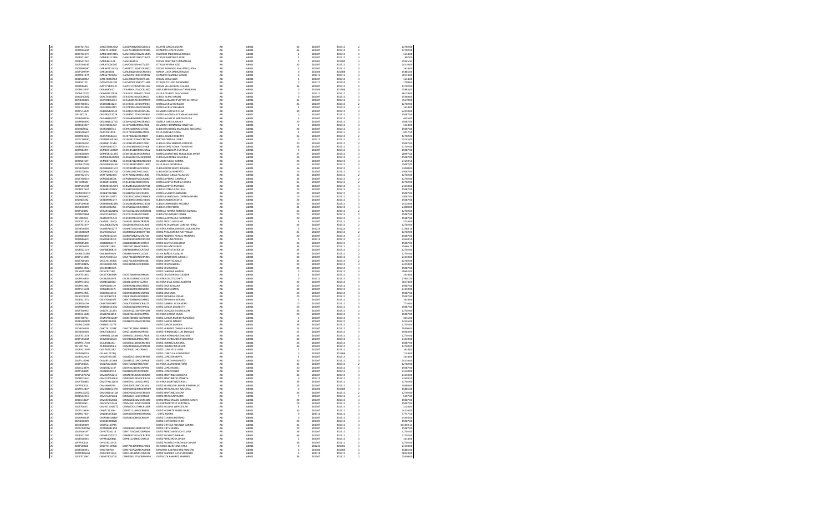| 20<br>20                  | 20DST01720<br>20DPR26502 | OAGO700426S2<br>OALE7511089P | OAGO700426HOCLRS14<br>OALE751108MOCCPN00 | OLARTE GARCIA OSCAR<br>OCAMPO LOPEZ EUNICE                 | AB                    | AB001<br>AB001        | 36                                      | 201307<br>201307 | 201312<br>201312 |                         | 12702,00<br>12702.00 |
|---------------------------|--------------------------|------------------------------|------------------------------------------|------------------------------------------------------------|-----------------------|-----------------------|-----------------------------------------|------------------|------------------|-------------------------|----------------------|
| 20                        | 20DST0237H               | OAME7807231V                 | OAME780723HVZGNN05                       | OGARRIO MENDOZA ENRIQUE                                    | AB                    | AB001                 | $\overline{2}$                          | 201307           | 201312           |                         | 1614,00              |
| 20                        | 20DES0146Y               | OAME8311226U                 | OAME831122HOCTRV05                       | OTAQUI MARTINEZ EVER                                       | AB                    | AB001                 | $\overline{1}$                          | 201307           | 201312           |                         | 807.00               |
| $_{20}$                   | 20DES0225K               | OAME861123                   | <b>OAME861123</b>                        | ORDAZ MARTINEZ EMMANUEL                                    | AB                    | AB001                 |                                         | 201301           | 201309           |                         | 25945,92             |
| $_{20}$                   |                          | OARA70030362                 | OARA700303HOCTV205                       | OTAQUI RIVERA AZIZ<br>ORDAZ RASGADO ANA WALQUIDIA          | AB                    | <b>AR001</b>          | 30                                      | 201307           | 201312           |                         | 24210.00             |
| 20                        | 20DTV0814E<br>20DSN0009C | OARA8711243Q                 | OARA871124MOCRSN02                       |                                                            | $\overline{AB}$       | AB001                 | $\overline{2}$                          | 201307           | 201312           |                         | 1614.00              |
| 20                        | 20DTV0979M               | OARL840201                   | OARL840201MOCRMS04                       | MARIA LUISA ORDAZ RAMOS<br>OCAMPO RAMIREZ SERGIO           | AB                    | AB001                 | $\circ$                                 | 201304           | 201308           |                         | 15885,00             |
| 20                        | 20DPR21972               | OARS67021956                 | OARS670219HOCCMR12                       |                                                            | AB                    | AB001                 | $\circ$                                 | 201311           | 201312           |                         | 30174,00             |
| 20<br>20                  | 20DES00042<br>20DES0127J | OASE780307G9<br>OATM7505109I | OASE780307MOCRSL06<br>OATM750510HOCTLH04 | ORDAZ SOSA ELISA<br>OTAQUI TOLEDO MOHAMED                  | AB<br>AB              | AB003<br>AB001        | $\theta$                                | 201307<br>201117 | 201312<br>201124 |                         | 1614,00<br>1799,04   |
| 20                        | 20DPR0695                | OAVC711203J9                 | OAVC711203MOCRLL06                       | ORDAZ VILLALOBOS CLAUDIA                                   | AB                    | AB001                 | 36                                      | 201307           | 201312           |                         | 12702,00             |
| 20                        | 20DPB15501               | OEAA890417                   | OEAA890417MOCRLN00                       | ANA KAREN ORTEGA ALTAMIRANO                                | AB                    | AB001                 | $\circ$                                 | 201304           | 201308           |                         | 15885.00             |
| 20                        | 20DML00272               | OEAG82122856                 | OEAG821228HOCLCD03                       | OLEA ACEVEDO GUADALUPE                                     | AB                    | AB001                 | $\mathbf 0$                             | 201311           | 201312           |                         | 30174,00             |
| 20                        | 20AGD0003Z               | OEAL7401019X                 | OEXA740101MOCJXL01                       | OJEDA ALMA VIRGEN                                          | AB                    | AB001                 | $\circ$                                 | 201307           | 201312           |                         | 15468.00             |
| 20                        | 202NE0040V               | OEAV840523L1                 | OEAV840523HOCRMC09                       | ORTEGA AMADOR VICTOR ALFONSO                               | AB                    | AB001                 | $\frac{36}{36}$                         | 201307           | 201312           |                         | 35670,00             |
| 20                        | 20DST0043U               | OECH8311123I                 | OECH831112HOCRRR04                       | ORTEGA CRUZ HORACIO                                        | AB                    | AB001                 |                                         | 201307           | 201312           | $\overline{2}$          | 12702.00             |
| 20<br>$\overline{20}$     | 20DST0248M<br>200TV16320 | OEC28005241Y<br>OFFO85122143 | OEC2800524MOCRRH01<br>OFFORS1221MOCLSL06 | ORTEGA CRUZ ZHULEMA<br>OLMEDO ESTEVEZ OLGA                 | AB<br>AR              | AB001<br>AR001        | $\overline{2}$                          | 201307<br>201307 | 201312<br>201312 |                         | 1614,00<br>24210.00  |
| 20                        | 20FJI0022S               | OEGF8501277B                 | OEGF850127HOCRNB02                       | ORTEGA GONZALEZ FABIAN AVELINO                             | AB                    | AB001                 | 30<br>$\mathbf 0$                       | 201307           | 201312           |                         | 15087,00             |
| $_{20}$                   | 20DRA0041H               | OEGN68052877                 | OFGN680528MOCRRR07                       | ORTEGA GARCIA NARDA OLIVIA                                 | <b>AR</b>             | <b>AR001</b>          |                                         | 201307           | 201312           |                         | 4035.00              |
| 20                        | 20DPR0639Q               | OEGN910127VD                 | OEGN910127MVZRRN01                       | ORTELA GARCIA NANCY                                        | AB                    | AB001                 | 20                                      | 201307           | 201312           |                         | 15087,00             |
| $_{20}$                   | 20DES0105Y               | OEHJ7603126V                 | OEHJ760312MOCLRS01                       | OLMEDO HERNANDEZ JOSEFINA                                  | AB                    | AB001                 | $\overline{z}$                          | 201307           | 201312           |                         | 1614,00              |
| 20                        | 20DIN05012               | OEIR921007L5                 | OEIR921007MOCITS02                       | OJEDA ITURBIDEZ MARIA DEL SOCORRO                          | AB                    | AB001                 | 20                                      | 201307           | 201312           |                         | 15087.00             |
| 20                        | 20DES0063F               | OEJC700102IE                 | OEJC700102MPLLML01                       | OLEA JIMENEZ CLARA                                         | AB                    | AB001                 | $\overline{3}$                          | 201307           | 201311           |                         | 2017,50              |
| 20<br>20                  | 20DPR0323S<br>20DCC0039Q | OEJR700606G3<br>OELM8410036V | OEJR700606HOCJRB07<br>OELM841003HOCRPT06 | OJEDA JUAREZ ROBERTO<br>MATEO ORTEGA LOPEZ                 | AB<br>AB              | AB001<br>AB003        | 36<br>$\overline{\phantom{a}}$          | 201307<br>201312 | 201312<br>201312 |                         | 12702.00<br>25145,00 |
| 20                        | 20DEE0020C               | OELP8812154U                 | OELP881215MOCJPR00                       | OJEDA LOPEZ BRENDA PATRICIA                                | AB                    | AB001                 | 20                                      | 201307           | 201312           | $\overline{\mathbf{a}}$ | 15087.00             |
| 20                        | 20DEE0014D               | OELS910815D7                 | OELS910815MOCJPN08                       | OJEDA LOPEZ SONIA ITANDEHUI                                | AB                    | AB001                 | 36                                      | 201307           | 201312           |                         | 12702,00             |
| $\overline{20}$           | 200PR0299H               | OFMESS1109DR                 | OFMERS1109MOCINS02                       | ΟΙΕΒΑ ΜΕΝΒΩΖΑ ΕΙΙSΤΩΠΑ                                     | AR                    | AR001                 | $\Omega$                                | 201307           | 201312           |                         | 15087.00             |
| 20                        | 202NE0040V               | <b>OEMF581213TG</b>          | OEMF581213HOCRRR19                       | ORTEGA MARTINEZ FRANCISCO JAVIER                           | AB                    | AB001                 | 27                                      | 201307           | 201312           |                         | 20997,60             |
| $_{20}$                   | 20DPR08820               | <b>OEMG831227NO</b>          | OFMG831227MOCIRROS                       | OIFDA MARTINEZ GRACIELA                                    | <b>AR</b>             | <b>AR001</b>          | $\begin{array}{c} 20 \\ 20 \end{array}$ | 201307           | 201312           |                         | 15087.00             |
| 20<br>$_{20}$             | 20DJN0769T<br>20DML00240 | OEMK87112416                 | OEMK871124MMCLLR03<br>OEOG840301MOCLLR00 | OLMEDO MELO KARINA                                         | AB<br>AB              | AB001<br>AB001        |                                         | 201307<br>201307 | 201312           |                         | 27659,50             |
| 20                        | 20ZNE0040V               | 0E0G840301NU<br>0E0N820415C2 | OEON820415HOCJRS03                       | OLEA OLEA GEORGINA<br>OJEDA ORTIZ NESTOR DANIEL            | AB                    | AB001                 | 20<br>36                                | 201307           | 201312<br>201312 |                         | 15087,00<br>33000.00 |
| 20                        | 20ESC0004A               | OEOR810617QZ                 | OEOR810617HOCJJB01                       | OJEDA OJEDA ROBERTO                                        | AB                    | AB001                 | $_{\rm 20}$                             | 201307           | 201312           |                         | 15087,00             |
| 20                        | 20DST0217L               | OEPF72042394                 | OEPF720423MOCJLR00                       | FRANCISCA OJEDA PALACIOS                                   | AB                    | AB001                 | 36                                      | 201307           | 201312           |                         | 12702.00             |
| 20                        | 20DST0063H               | <b>OEPG860807IK</b>          | OEPG860807MOCRDB07                       | ORTEGA PEDRO GABRIELA                                      | AB                    | AB003                 | 36                                      | 201307           | 201312           |                         | 12702,00             |
| 20                        | 20FCJ0002K               | OERL801124CQ                 | OERL801124MOCRYL02                       | ORTEGA REYES MARIA LILIANA                                 | AB                    | AB001                 | 36                                      | 201307           | 201312           | $\overline{2}$          | 12702.00             |
| 20                        | 20DTV05702               | OERM810526P1                 | OERM810526HOCRYY02                       | ORTEGA REYES MAYOLO                                        | AB                    | AB003                 | 30                                      | 201307           | 201312           |                         | 24210,00             |
| 20<br>20                  | 20DPR22542               | OESA891202HV                 | OESA891202MOCJTD00                       | OJEDA SOTELO ADA LILIA                                     | AB                    | AB001                 | $\substack{20\\20}$                     | 201307           | 201312           |                         | 15087.00             |
|                           | 20HMC0027C<br>20DPR0960C | OESB8703238H<br>OESC8910263T | OESB870323HOCRNR01<br>OESC891026MOCRNN09 | ORTEGA SANTOS BERNABE<br>ORTEGA SANDOVAL CINTHYA NAYELI    | AB<br><b>AR</b>       | AB001<br><b>AR001</b> |                                         | 201307<br>201307 | 201312<br>201312 |                         | 15087,00<br>15087.00 |
| 20<br>20                  | 20DIN03192               | OESE890915H7                 | OESE890915MOCJND06                       | OJEDA SANCHEZ EDITA                                        | $\overline{AB}$       | AB001                 | $\begin{array}{c} 20 \\ 20 \end{array}$ | 201307           | 201312           |                         | 15087,00             |
| $_{20}$                   | 20DTV09548               | OESM8408243N                 | OESM840824MOCJRC04                       |                                                            | AB                    | <b>AR001</b>          |                                         | 201307           | 201312           |                         | 24210.00             |
| $\frac{1}{20}$            | 202NE0040V               | OESP610222EL                 | OESP610222HOCJTD12                       | OJEDA SARMIENTO MICAELA<br>OJEDA SOTO PEDRO                | AB                    | AB001                 | $\begin{array}{c} 30 \\ 31 \end{array}$ | 201307           | 201312           |                         | 24000,00             |
| 20                        | 20DTV0496I<br>20DPB1906E | OETA9312228W                 | OETA931222MOCRRM04                       | ORTEGA TORRES AMERICA GUADAL<br>OJEDA VELAZQUEZ CENEN      | AB<br>AB              | <b>AR001</b>          | $\begin{array}{c} 36 \\ 20 \end{array}$ | 201307           | 201312           |                         | 12702.00             |
| 20                        |                          |                              | OEVC911204HOCJLN00                       |                                                            |                       | AB001                 |                                         | 201307           | 201312           |                         | 15087,00             |
| 20<br>20                  | 20FIZ0025Q               | OEZF870712UX<br>OIAA851130QS | OEZF870712HOCRVR08<br>OIAA851130MVZRRZ08 | ORTEGA ZAVALETA FERNANDO<br>ORTIZ ARCEO AZUCENA            | AB                    | AB001<br>AB001        | $^{20}$                                 | 201307<br>201307 | 201312           |                         | 15087,00<br>3228,00  |
| $_{20}$                   | 20DST0152A<br>20DST0147F | OIAL840827MW                 | OIAL840827MOCRLR03                       | ORTIZ ALTAMIRANO LORENA HERM                               | AB<br>AB              | AB003                 | 36                                      | 201307           | 201312<br>201312 |                         | 12702,00             |
| 20                        | 20ZNE0040\               | OIAM871012T7                 | OIAM871012HOCLRG03                       | OLIVERA ARENAS MIGUEL ALEJANDRO                            | AB                    | AB001                 | $\circ$                                 | 201223           | 201224           |                         | 21588.16             |
| 20                        | 20EDI0035N               | OIAN940525IZ                 | OIAN940525MOCRYT08                       | ORTIZ AYALA MARIA NATIVIDAD                                | AB                    | AB001                 | 36                                      | 201307           | 201312           |                         | 12702,00             |
| 20<br>20                  | 20DPR0606Y               | OIAR870212V4                 | OIARR70212HMCRLEOD                       | ORTIZ ALBERTO RAFAFI MARIANO                               | AB                    | <b>AR001</b>          | $\overset{20}{_{0}}$                    | 201307           | 201312           |                         | 15087.00             |
|                           | 20DPB06420               | OIAR930203FR                 | OIAR930203MOCRNC09                       | ORTIZ ANTUNEZ ROCIO                                        | $\overline{AB}$       | AB001                 |                                         | 201312           | 201312           |                         | 22630,50             |
| $_{20}$<br>$\frac{1}{20}$ | 20DPB05006<br>202NE0040V | OIBB880831FY<br>OIBE79011813 | OIBB880831MOCRTT07<br>OIBE790118HOCRLR09 | ORTIZ BAUTISTA BEATRIZ<br>ORTIZ BOLAÑOS ERICK              | AB<br>$\overline{AB}$ | <b>AR001</b><br>AB001 | $\begin{array}{c} 20 \\ 36 \end{array}$ | 201307<br>201307 | 201312<br>201312 |                         | 15087,00<br>35666,70 |
| 20                        | 20DES0211H               | OIBF8808082G                 | <b>OIRESS0S0SMOCRTD05</b>                |                                                            |                       | <b>AR001</b>          |                                         | 201307           | 201312           |                         | 12702.00             |
| 20                        | 20DML0016U               | OIBJ860704UX                 | OIBJ860704HOCLXQ05                       | ORTIZ BAUTISTA FIDELIA<br>OLIVA BAÑOS JOAQUIN              | AB<br>AB              | AB001                 | 36<br>36                                | 201307           | 201312           |                         | 12702,00             |
|                           | 20DTV1589                | OICA791025G4<br>OICG751230E6 | OICA791025MOCRNR01                       | ORTIZ CONTRERAS ARACELI<br>ORTIZ CHONTAL GALO              | AB                    | AB001                 | 30<br>36                                | 201307           | 201312           |                         | 24210,00             |
| 20<br>20                  | 20DST0018V               |                              | OICG751230HVZRHL08                       |                                                            | AB                    | AB001                 |                                         | 201307           | 201312           | $\overline{2}$          | 12702,00             |
| 20                        | 20DTV0889                | OICG8309125N                 | OICG830912HOCRRB06                       | ORTIZ CRUZ GABRIEL                                         | AB                    | AB003                 | $\frac{30}{20}$                         | 201307           | 201312           |                         | 24210,00             |
| 20                        | 20DPB1490V               | OICJ830419UA                 |                                          | ORTIZ CRUZ JORGE                                           | AB                    | AB001                 |                                         | 201307           | 201312           |                         | 15087,00             |
| 20<br>20                  | 20FMP0018N<br>20DST0185S | OICS730719IC<br>OICS770605GR | OICS770605HOCRRR08                       | ORTIZ CABRERA SAMUEL<br>ORTIZ CRUZ SERGIO ELEAZAR          | AB<br>AB              | AB001<br>AB001        |                                         | 201301<br>201307 | 201312<br>201312 |                         | 28692,00<br>1614.00  |
| 20                        | 20DPR1645H               | OICX821029ES                 | OICX821029MOCLRC05                       | OLIVERA CRUZ XOCHITL                                       | AB                    | AB001                 |                                         | 201312           | 201312           |                         | 17601,50             |
| 20                        | 20DPR1335D               | OIDJ861202GJ                 | OIDJ861202HOCLZR03                       | OLIVERA DIAZ JORGE ALBERTO                                 | AB                    | AB001                 | 20                                      | 201307           | 201312           |                         | 30174.00             |
| 20                        | 20DPR3290L               | OIDR92041119                 | OIDR920411MOCRZS07                       | ORTIZ DIAZ ROSALBA                                         | AB                    | AB001                 | $^{20}$                                 | 201307           | 201312           |                         | 15087,00             |
| 20                        | 20DTV1550T               | OIDS840224PJ                 | OIDS840224HOCRZR08                       | ORTIZ DIAZ SERAFIN                                         | AB                    | AB001                 | 30                                      | 201307           | 201312           | $\overline{ }$          | 24210.00             |
| 20                        | 20DPR3290L               | OIDS90032919                 | OIDS900329MOCRZR00                       | ORTIZ DIAZ SARA                                            | AB                    | AB001                 | 20                                      | 201307           | 201312           |                         | 15087,00             |
| $_{20}$<br>20             | 20ESC0001D<br>20DES0157D | OIFF870607F9<br>OIEN700826FE | OIFF870607HOCRSD00<br>OIEN700826MOCRSR02 | ORTIZ ESPINOSA EDGAR<br>ORTIZ ESPINOSA NORMA               | <b>AR</b><br>AB       | AB001<br>AB001        | $_{\rm 20}$<br>$\overline{2}$           | 201307<br>201307 | 201312           |                         | 15087.00<br>1614,00  |
| 20                        | 20DEE0010H               |                              | OIGA700209HOCRBL07                       | ORTIZ GABRIEL ALEJANDRO                                    | AB                    | AB003                 |                                         | 201307           | 201312<br>201312 |                         | 7710,00              |
| 20                        | 20DPB0020                | OIGA7002096T<br>OIGE860123DG | OIGE860123MOCRRL02                       | ORTIZ GARCIA ELIZABETH                                     | AB                    | AB001                 | $\begin{array}{c} 10 \\ 20 \end{array}$ | 201307           | 201312           |                         | 15087,00             |
| 20                        | 20DST00952               | OIGG74121253                 | OIGG741212MVZRND09                       | ORTIZ GONZALEZ GUADALUPE                                   | AB                    | AB001                 | 36                                      | 201307           | 201312           |                         | 12702,00             |
| 20                        | 20DCC2118Q               | OIGJ8706185D                 | OIGJ870618HOCLRM06                       | OLIVERA GARCIA JAIME                                       | AB                    | AB001                 | 20                                      | 201307           | 201312           |                         | 15087.00             |
| 20                        | 20DST0076L               | OIGM780326BF                 | OIGM780326HOCRRR00                       | ORTIZ GARCIA MARIO FRANCISCO                               | AB                    | AB001                 |                                         | 201307           | 201312           |                         | 4035,00              |
| 20                        | 20DES0008W               | OIGN87033014                 | OIGN870330MOCRRD03                       | ORTIZ GARCIA NADINE                                        | AB                    | AB001                 | 18                                      | 201307           | 201312           |                         | 14526.00             |
| 20<br>20                  | 20DML0043F<br>202NE0040V | OIGS821227F9<br>OIHC7912183E | OIHC791218HSPRRR00                       | ORTIZ GARCIA SANDRA<br>ORTIZ HERBERT CARLOS ABDON          | AB<br>AB              | AB001<br>AB001        | $\frac{36}{25}$                         | 201307<br>201307 | 201312<br>201312 | $\overline{\mathbf{3}}$ | 12702,00<br>19500.00 |
| 20                        | 20ZNE0040\               | OIHL710824C5                 | OIHL710824HOCRRS00                       | ORTIZ HERNANDEZ LUIS ENRIQUE                               | AB                    | AB001                 | 25                                      | 201307           | 201312           |                         | 19383,00             |
| $_{20}$                   | 20DST0151R               | OIHM851124N8                 | OIHM851124HOCLBS09                       | OLIVERA HERNANDEZ MOISES                                   | <b>AR</b>             | AB001                 |                                         | 201307           | 201312           |                         | 12702.00             |
| 20                        | 20DTV0530Z               | OIHV8306066A                 | OIHV830606MOCLRR07                       | OLIVERA HERNANDEZ VERONICA                                 | AB                    | AB001                 | 36<br>30                                | 201307           | 201312           |                         | 24210,00             |
| $_{20}$                   | 20DPR3173W               | OUA9301147J                  | OUA930114MOCRMR03                        | ORTIZ JIMENEZ ARIADNA                                      | AB                    | <b>AR001</b>          | 20                                      | 201307           | 201312           |                         | 15087.00             |
| 20<br>$_{20}$             | 20FIZ0171A               | OUM820928HJ                  | OUM820928HMCRML08                        | ORTIZ JIMENEZ MELCHOR                                      | AB                    | AB001<br>AB001        | 36<br>$\overline{2}$                    | 201307           | 201312           |                         | 12702,00             |
|                           | 20DES0230W               | OILF740521RX                 | OILF740521HOCRNL01                       | ORTIZ LUNA FELIX JUAN                                      | AB                    |                       |                                         | 201307           | 201312           |                         | 1614,00              |
| 20<br>20                  | 20DNS0001K<br>20DES0201A | OILI64122730<br>OILM670716JZ | OILM670716MOCRPN06                       | ORTIZ LOPEZ JUAN DEMETRIO<br>ORTIZ LOPEZ MINERVA           | AB<br>AB              | AB001<br>AB001        | $\circ$<br>$\overline{2}$               | 201307<br>201307 | 201308<br>201312 |                         | 7134.00<br>1614,00   |
| 20                        | 20DTV1609E               | OILM851212H8                 | OILM851212HOCRPR08                       | ORTIZ LOPEZ MARGARITO                                      | AB                    | AB001                 | 30                                      | 201307           | 201312           |                         | 24210.00             |
| 20                        | 20DTV0452                | OILN760210AB                 | OILN760210HOCLRC09                       | OLIVERA LAURO NICEFORO                                     | AB                    | AB003                 | 36                                      | 201307           | 201312           |                         | 12702,00             |
| 20                        | 20DCC2387K               | OILN9212113F                 | OILN921211MOCRPY06                       | ORTIZ LOPEZ NAYELI                                         | AB                    | AB001                 | 20                                      | 201307           | 201312           | $\overline{\mathbf{3}}$ | 15087.00             |
| 20<br>$\overline{20}$     | 20DTV0400<br>200TV0707W  | OILR8003073K<br>OIMA8705221C | OILR800307HOCRPB00<br>OIMA870522MOCRR703 | ORTIZ LOPEZ RUBEN                                          | AB<br><b>AR</b>       | AB003<br>AB001        | 30                                      | 201307<br>201307 | 201312<br>201312 |                         | 23130,00<br>24210.00 |
| 20                        | 20DPR1554Q               | <b>OIME780524EN</b>          | OIME780524MOCRRL01                       | ORTIZ MARTINEZ AZUCENA<br>ORTIZ MARTINEZ ELIZABETH         | AB                    | AB001                 | 30<br>$\circ$                           | 201312           |                  |                         | 22630,50             |
| $_{20}$                   | 20DST00869               | OIME791112KW                 | OIME791112HOCLRR02                       | OLIVERA MARTINEZ ERICEL                                    | AB                    | <b>AR001</b>          |                                         | 201307           | 201312<br>201312 | $\overline{ }$          | 12702,00             |
| 20                        | 20FPF0001C               | OIML600925II                 | OIML600925HOCRJN01                       | ORTIZ MIJANGOS LEONEL ESMERALDO                            | AB                    | AB001                 | $\frac{36}{25}$                         | 201307           | 201312           |                         | 19380,00             |
| $_{20}$                   | 20DPR1282R               | OIMN8405137B                 | OIMN840513MOCRTN09                       | ORTIZ MATA NANCY AZUCENA                                   | AB                    | AB001                 | $\overline{0}$                          | 201304           | 201308           |                         | 15885.00             |
| 20                        | 20DML00272               | OIM0920101G8                 | OIMO920101HOCRRS03                       | ORTIZ MARTINEZ OSCAR                                       | AB                    | AB001                 | $\begin{array}{c} 36 \\ 7 \end{array}$  | 201307           | 201312           | $\overline{2}$          | 12702.00             |
| 20                        | 20DES0221O               | OIMS760716A8                 | OIMS760716HOCRTL04                       | ORTIZ MATA SALVADOR                                        | AB                    | AB001                 |                                         | 201307           | 201312           |                         | 5397,00              |
| 20<br>20                  | 20DCC1822R               | OIMS920626G4                 | OIMS920626MOCRLN09                       | ORTIZ MALDONADO SANDRA KAREN                               | AB                    | AB001<br>AB003        | 20                                      | 201307<br>201307 | 201312<br>201312 |                         | 15087.00<br>15087,00 |
| 20                        | 20DPR2061L<br>20DST0037J | OIMV76011245<br>OIMW72042772 | OIMV760112MOCLRR03<br>OIMW720427HBCRLN08 | OLIVER MARTINEZ VERONICA<br>ORTIZ MOLINA WENCESLAO         | AB<br>AB              | AB001                 | $^{20}$                                 | 201307           | 201312           |                         | 3228.00              |
| 20                        | 20DTV1644                | OIN1771116IH                 | OINI771116MOCRGS06                       | ORTIZ NEGRETE MARIA ISABE                                  | AB                    | AB003                 | 30                                      | 201307           | 201312           |                         | 24210,00             |
| $\overline{20}$           | 20DPR1743H               | OINO850530LD                 | OIXN850530MOCRXM08                       | ORTIZ NOFMI                                                | <b>AR</b>             | AB001                 | $\Omega$                                | 201312           | 201312           |                         | 37717.50             |
| 20                        | 20DNP0014F               | OIOF8801088W                 | OIOF880108HOCRLR09                       | ORTIZ OLIVERA FORTINO                                      | AB                    | AB001                 |                                         | 201307           | 201312           |                         | 14346,00             |
| 20<br>20                  | 202NF0040V               | OIOH8509082B<br>OIOR52110745 |                                          | ORTIZ ONTIVEROS HEIDI                                      | AB                    | <b>AR001</b>          | $\begin{array}{c} 20 \\ 36 \end{array}$ | 201307           | 201312           |                         | 15087.00             |
| $_{20}$                   | 202NE0040V               |                              | OIOR850813MOCRRY02                       | ORTIZ ORTEGA ROSALBA CARINA                                | $\overline{AB}$<br>AB | AB001<br><b>AR001</b> |                                         | 201307<br>201307 | 201312           |                         | 104440,14            |
| 20                        | 20DCC0470V<br>20DJN1619T | OIOR850813N8<br>OIPA77030214 | OIPA770302MOCRRN04                       | ORTIZ ORTIZ REYNA<br>ORTIZ PEREZ ANGELICA ELVIRA           | AB                    | AB001                 | $\begin{array}{c} 20 \\ 36 \end{array}$ | 201307           | 201312<br>201312 |                         | 15087,00<br>12702,00 |
| 20                        | 20DES0220F               |                              | OIPM820701MOCRCR09                       |                                                            | AB                    | AR001                 | 36                                      | 201307           | 201312           |                         | 12702,00             |
| 20                        | 20DES0064Q               | OIPM820701TZ                 | OIPR811208MOCRRS13                       | ORTIZ PACHECO MERARI                                       | AB                    | AB001                 | $\overline{2}$                          | 201307           | 201312           |                         | 1614,00              |
| 20                        | 20FPF0001C               | 01PV720115C6<br>01QY7911096D |                                          | ORTIZ PACHECO VERONICA CONSU<br>OLIVARES QUINTANA YARA     | AB                    | AB00                  | 36                                      | 201307           | 201312           |                         | 12702,00             |
| 20                        | 20DTV0018                |                              | OIQY791109MOCLNR04                       |                                                            | AB                    | AB001                 | $\circ$                                 | 201223           | 201306           |                         | 23130,00             |
| 20                        | 20DES0034U<br>20DPR0056M | OIRD760702<br>OIRE7405126G   | OIRD760702MBCRMN08<br>OIRE740512MOCRML09 | DINORAH JUDITH ORTIZ ROMERO<br>ORTIZ RAMIREZ ELVIA SOCORRO | AB<br>AB              | AB003<br>AB001        | $\Omega$                                | 201304<br>201310 | 201308<br>201312 |                         | 15885,00<br>40223.00 |
|                           | 20DST0206Q               | OIRM78032781                 | OIRM780327MDFRMR09                       | ORTIGOZA RAMIREZ MARIBEL                                   | AB                    | AB001                 | 36                                      | 201307           | 201312           |                         | 25404,00             |
|                           |                          |                              |                                          |                                                            |                       |                       |                                         |                  |                  |                         |                      |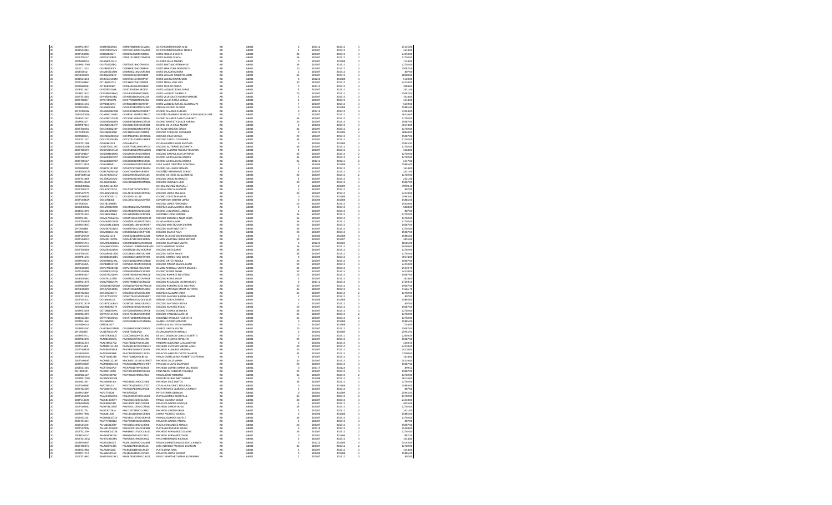| 20       | 20DPR1295T               | OIRR8708298Q                 | OIRR870829MOCLMS01                         | OLIVO ROMERO ROSA AIDE                                                  |          | AB001                 | $\theta$                                      | 201312           | 201312           |                         |
|----------|--------------------------|------------------------------|--------------------------------------------|-------------------------------------------------------------------------|----------|-----------------------|-----------------------------------------------|------------------|------------------|-------------------------|
| 20       | 20DES0208L               | OIRT701107M3                 | OIRT701107MOCLMR02                         | OLIVO ROMERO MARIA TERESA                                               | AB<br>AB | AB001                 |                                               | 201307           | 201312           |                         |
|          | 20DTV0300G               | OIRX821202FL                 | OIRX821202MOCRRC03                         | ORTIZ ROBLES XOCHITI                                                    | 4R       | <b>AR001</b>          | 30 <sub>0</sub>                               | 201307           | 201312           |                         |
| 20<br>20 | 20DST00132               | OIRY910108PA                 | OIRY910108MOCRMS01                         | ORTIZ RAMOS YESICA                                                      | AB       | AB001                 | 36                                            | 201307           | 201312           |                         |
| 20       | 20DNS0001K               | OISAS80521FH                 |                                            | OLIVERA SILVA ANDRES                                                    | AB       | AB001                 | $\circ$                                       | 201307           | 201308           | $\overline{\mathbf{3}}$ |
| 20       | 20DPR0179W               | OISF730529EQ                 | OISF730529HOCRNR03                         | ORTIZ SANTIAGO FERNANDO                                                 | AB       | AB001                 | 36                                            | 201307           | 201312           |                         |
| 20       | 20DCC1101J               | OISF880920CV                 | OISF880920HOCRBR09                         | ORTIZ SEBASTIAN FRANCISCO                                               | AB<br>AB | AB001                 | $_{\rm 20}$                                   | 201307           | 201312           | $\overline{\mathbf{3}}$ |
| 20<br>20 | 20DES0012<br>202NE0040V  | OISM640213H3<br>OISR4602062D | OISM640213MOCRLR04<br>OISR460206HOCRLB00   | ORTIZ SALAZAR MAURA<br>ORTIZ SOLANO ROBERTO JAIME                       | AB       | AB001<br><b>AR001</b> | $\mathbf{1}$<br>36                            | 201307<br>201307 | 201312<br>201312 | $\overline{\mathbf{3}}$ |
| 20       | 20DES0181D               | OISR550315QM                 | OISR550315HOCRRY07                         | ORTIZ SUAREZ RAYMUNDO                                                   |          | AB001                 | $\circ$                                       | 201223           | 201308           | $\overline{\mathbf{3}}$ |
| 20       | 20DTV03860               | OITL86052713                 | OITL860527HOCRRS09                         | ORTIZ TERAN JOSE LUIS                                                   | AB<br>AB | AB001                 | 30                                            | 201307           | 201312           |                         |
| 20       | 20DSN0004H               | OITR640506PI                 | OITR640506HOCRLB09                         | ORTIZ TOLEDO RUBEN                                                      | AB       | AB001                 |                                               | 201312           | 201312           | $\overline{\mathbf{3}}$ |
| 20       | 20DES01442               | <b>OIVE780520AK</b>          | OIVE780520HCSRZS00                         | ORTIZ VAZQUEZ ESAU ELIPAS                                               | AB       | AB001                 | $\begin{smallmatrix}0\\3\end{smallmatrix}$    | 201307           | 201312           |                         |
| 20<br>20 | 200PR22320               | OIVG900108HQ                 | OIVG900108MOCRSB01                         | ORTIZ VASOUEZ GARRIELA                                                  | AB<br>AB | <b>AR001</b>          | $\begin{array}{c} 20 \\ 2 \end{array}$        | 201307           | 201312           | $\frac{3}{3}$           |
|          | 20DST0166D               | OIVH8203164Q                 | OIVH820316HMCRLL03                         | ORTIZ VELASQUEZ HILARIO MANUEL                                          |          | AB001                 |                                               | 201307           | 201312           |                         |
| 20<br>20 | 20DST0085T<br>20DES0154G | OIVK77093071<br>OIVR810319I4 | OIVK770930MOCRLR03                         | ORTIZ VILLAR KARLA YAMAL                                                | AB<br>AB | <b>AR001</b>          | $\frac{2}{7}$                                 | 201307           | 201312           | $\frac{3}{3}$           |
|          |                          |                              | OIVR810319HOCRSF09                         | ORTIZ VASQUEZ RAFAEL GUADALUPE                                          |          | AB001                 |                                               | 201307           | 201312           |                         |
| 20<br>20 | 20DPB1009H<br>20FZF0022W | OOAA870304<br>OOAA870829D8   | OOAA870304MOCSLN02<br>OOAA870829HOCSLR07   | ANGELA OSORIO ALFARO<br>OSORIO ALVAREZ AURELIO                          | AB<br>AB | <b>AR001</b><br>AB001 | $\begin{smallmatrix}0\\0\\0\end{smallmatrix}$ | 201304<br>201312 | 201308<br>201312 | $\frac{3}{3}$           |
|          |                          | OOAB54113035                 |                                            |                                                                         |          | AB001                 |                                               | 201307           | 201312           |                         |
| 20<br>20 | 20AGD0002A<br>20DES0214E | OOAC891129UN                 | OOAB541130MOCRRL07<br>OOCA891129HOCSLR06   | ORDOÑO ARMENTA BLANCA OCELIA GUADALUPE<br>OSORIO ALVAREZ CARLOS ALBERTO | AB<br>AB | AB001                 | $\bf{0}$<br>36                                | 201307           | 201312           | $\frac{3}{2}$           |
| 20       | 20DPR0217                | OOBD870408EN                 | OOBD870408MOCSTL04                         | OSORIO BAUTISTA DULCE KARINA                                            | AB       | AB001                 | 20                                            | 201307           | 201312           |                         |
| 20       | 20DPR07010               | OOCA801204TP                 | OOCA801204HOCSRN02                         | OSORIO DE LA CRUZ ANUAR                                                 | AB       | AB001                 | $\theta$                                      | 201301           | 201312           | $\overline{\mathbf{3}}$ |
| 20       | 20DST0036K               | OOCC9008224P                 | OOCC900822MOCRRT06                         | CATALINA OROZCO CIRILO                                                  | AB       | AB001                 | 36                                            | 201307           | 201312           |                         |
| 20       | 20FZF0013O               | OOCJ8609306R                 | OOCJ860930HOCRRR00                         | OROZCO CORDERO JERONIMO                                                 | AB       | AB001                 | $\circ$                                       | 201222           | 201309           | $\overline{\mathbf{3}}$ |
| 20       | 20DPB0832U               | OOCM860904SU                 | OOCM860904HOCRRS06                         | OROSCO CRUZ MOISES                                                      | AB       | AB001                 | $^{20}$                                       | 201307           | 201312           |                         |
| 20       | 20DST01132               | OOCV751003RN                 | OOCV751003MOCRSR08                         | OROZCO CASTILLO VIRGINIA                                                | AB       | AB001                 | 36                                            | 201307           | 201312           | $\overline{2}$          |
| 20       | 20DST0110B               | OOGA861013                   | OOGA861013                                 | OCHOA GAMEZ ALMA ANTONIA                                                | AB       | AB001                 | $\,$ 0                                        | 201301           | 201309           |                         |
| 20<br>20 | 20ADG0042E               | OOGE7702123C                 | OOGE770212MOCRTL04                         | OROZCO GUTIERREZ ELIZABETH                                              | AB<br>AB | AB001                 | $\begin{array}{c} 36 \\ 4 \end{array}$        | 201307           | 201312           | $\frac{2}{3}$           |
|          | 20DST0059V               | OOGF680515U2                 |                                            | ONOFRE GUZMAN FIDELFA YOLANDA                                           |          | AB001                 |                                               | 201307           | 201312           |                         |
| 20       | 20DTV0441F<br>20DST0056Y | OOGJ891019HD                 | OOGJ891019HOCRSN04                         | OROZCO GASPAR JOAN ANTONIO                                              | AB<br>AB | AB001                 | $\frac{36}{36}$                               | 201307           | 201312           | $\frac{2}{2}$           |
| 20       | 20DST0056Y               | OOGL800819D7<br>OOGL800819D7 | OOGL800819MOCSRS06<br>OOGL800819MOCSRS06   | OSORIO GARCIA LUISA KARINA<br>OSORIO GARCIA LUISA KARINA                |          | AB001<br>AB001        | 36                                            | 201307<br>201211 | 201312<br>201211 |                         |
| 20       | 20DCC2281F               | OOGL880601                   | OOGL880601MOCRND09                         | <b>LIDIA YANET ORDOÑEZ GONZAGA</b>                                      | AB<br>AB | AB001                 | $\circ$                                       | 201304           | 201308           | $\overline{\mathbf{3}}$ |
| 20       | 20DSN0009C               | OOGR721019RZ                 | OOGR721019HOCSLM04                         | OSORIO GALLEGOS ROMAN                                                   | AB       | AB001                 |                                               | 201307           | 201312           |                         |
| 20       | 20DES0032W               | OOHS740908Q9                 | OOHS740908HPLRRR07                         | ORDOÑEZ HERNANDEZ SERGIO                                                | AB       | AB001                 | $\overline{\mathbf{3}}$                       | 201307           | 201312           | $\overline{\mathbf{3}}$ |
| 20       | 20DTV0871W               | OOJG790501SU                 | OOJG790501MOCSSL05                         | OSORIO DE JESUS GUILLERMINA                                             | AB<br>AB | AB001                 | 36                                            | 201307           | 201312           |                         |
| 20       | 20DST0186R               | OQJI690201MD                 | OOJI690201HOCRRG06                         | OROZCO JARQUIN IGNACIO                                                  |          | AB001                 | $\overline{\mathbf{3}}$                       | 201307           | 201312           | $\overline{\mathbf{3}}$ |
| 20       | 20DPR3446W               | OOJL830328SS                 | OOJL830328MOCRMB06                         | OROZCO JIMENEZ LUBIA                                                    | AB       | AB001                 | 20                                            | 201307           | 201312           |                         |
| 20       | 2046000024               | OOIM63121272                 |                                            | OCHOA IIMENEZ MANUEL I                                                  | AB<br>AB | <b>AR001</b>          | $\,$ 0 $\,$                                   | 201309           | 201309           | $\overline{\mathbf{3}}$ |
| 20       | 20DST0057X               | OOLA7607175F                 | OOLA760717MCSCPL02                         | OCHOA LOPEZ ALEJANDRA                                                   |          | AB001                 | $\,$ 1                                        | 201307           | 201312           | $\overline{\mathbf{3}}$ |
| 20       | 20DTV0777F               | OOLA8102103Q                 | OOLA810210MOCRPN14                         | OROZCO LOPEZ ANA LILIA                                                  | AB       | AB001                 | 30                                            | 201307           | 201312           | $\overline{\mathbf{3}}$ |
| 20       | 20DTV00352               | OOLB74033111                 | OOLB740331118                              | OSORIO LOPEZ BENJAMIN                                                   | AB       | AB001                 | $\circ$                                       | 201301           | 201309           | $\overline{\mathbf{3}}$ |
| 20       | 20DTV0446A               | OOLC901106                   | OOLC901106MOCSPN05                         | CONSEPCION OSORIO LOPEZ                                                 | AB       | AB001                 | $\mathbf 0$                                   | 201304           | 201308           | 3                       |
| 20       | 20FZF0043I<br>20AGD00032 | OOLF810906FS<br>OOLM5802239K | OOLM580223MPLRRR06                         | OROZCO LOPEZ FERNANDO<br>OROPEZA LARA MARTHA IRENE                      | AB<br>AB | AB001<br>AB001        | 20<br>$\rm ^o$                                | 201307<br>201307 | 201312<br>201312 | $\overline{\mathbf{3}}$ |
| 20<br>20 | 20DES0149V               | OOLM640907JV                 | OOLM640907HOCSSG25                         | OSORIO LUIS MIGUEL ANGEL                                                | AB       | AB001                 | $\overline{1}$                                | 201307           | 201312           | $\overline{\mathbf{3}}$ |
| 20       | 20DST0245Q               | OOLS881008K4                 | OOLS881008MOCRPN08                         | ORDOÑEZ LOPEZ SANDRA                                                    | AB       | AB001                 | 36                                            | 201307           | 201312           |                         |
|          | 20DPR3391L               | 00MA700522V6                 | COMAZ00522MOCRRL04                         | OROZCO MORALES ALMA DELIA                                               | AB       | <b>AR001</b>          |                                               | 201307           | 201312           | $\overline{z}$          |
| 20<br>20 | 20DST0058W               | OOMA8510103F                 | OOMA851010MVZCJN03                         | OCHOA MEJIA ANAHI                                                       | AB       | AB001                 | 36<br>36                                      | 201307           | 201312           |                         |
| 20       | 200PR15960               | OOMC881108DN                 | OOMC881108HOCRCR07                         | OROZCO MOCTEZUMA CRISPIN                                                |          | <b>AR001</b>          |                                               | 201307           | 201312           |                         |
| 20       | 20F1Z0088B               | OOME871011L6                 | OOME871011MOCRRD05                         | OROZCO MARTINEZ EDITH                                                   | AB<br>AB | AB001                 | $\begin{array}{c} 20 \\ 36 \end{array}$       | 201307           | 201312           | $\frac{3}{2}$           |
| 20       | 20DPR0242H               | OOMI830611AQ                 | OOMI830611HOCRTV08                         | OROZCO MATUS IVAN                                                       | AB       | AB001                 | $_{\rm 20}$                                   | 201307           | 201312           | $\overline{\mathbf{3}}$ |
| 20       | 20DTV0672X               | OOMJ621118                   | OOMJ621118MOCSLS04                         | MARIA DE JESUS OSORIO MELCHOR                                           | AB       | AB001                 | $\circ$                                       | 201304           | 201308           | $\frac{3}{3}$           |
| 20       | 20DTV0491N               | OOMJ871107AL                 | OOJM871107HOCLRR05                         | OLMOS MARTINEZ JORGE BRYANT                                             | AB       | AB001                 | 30                                            | 201307           | 201307           |                         |
| 20       | 20DPR1571G               | OOMM840801EL                 | OOMM840801MOCRRL04                         | OROZCO MARTINEZ MELVA                                                   | AB       | AB001                 | $\circ$                                       | 201221           | 201302           | $\overline{\mathbf{3}}$ |
| 20       | 202NE0040V               | OOMN67100924                 | OOMN671009MMNRRM04                         | OROS MARTINEZ NOEMI                                                     | AB       | AB001                 | 36                                            | 201307           | 201312           |                         |
| 20       | 20DST0046R               | OOM2821015JN<br>OOOA84041926 | OOMZ821015MOCRZR07<br>OOOA840419HOCRJN08   | OROZCO MEZA ZARAJ                                                       | AB<br>AB | AB001<br>AB001        | 36                                            | 201307<br>201307 | 201312<br>201312 | $\overline{2}$          |
| 20       | 20DST0010C<br>20DPR0113N | 0000860418FS                 | COODS60418HDESSV00                         | OROZCO OJEDA ANAIN<br>OSORIO OSORIO JOSE DAVID                          |          | <b>AR001</b>          | 36                                            | 201309           | 201312           | $\overline{\mathbf{3}}$ |
| 20<br>20 | 20DPR1031K               | 000F860223AL                 | OOOF860223MOCSRB08                         | OSORIO ORTIZ FABIOLA                                                    | AB<br>AB | AB001                 | $\begin{smallmatrix}0\\20\end{smallmatrix}$   | 201307           | 201312           |                         |
|          | 20DTV0592L               |                              | OOPB841211MOCRNN03                         | OROZCO PINEDA BIANCA GUAD                                               |          | <b>AR001</b>          |                                               | 201307           | 201312           |                         |
| 20<br>20 | 202NE0040V               | 00PB841211VD<br>00PV780302QB | OOPV780302HOCLRC00                         | OLMOS PERZABAL VICTOR MANUEL                                            | AB<br>AB | AB001                 | $\begin{array}{c} 30 \\ 33 \end{array}$       | 201307           | 201312           | $\frac{3}{3}$           |
|          | 20DTV0538F<br>20DPR0401F | OORA800128Q9                 | OORA800128HOCSVN07<br>OORE790220HOCRML06   | OSORIO RIVERA ANGEL<br>OROZCO RAMIREZ ELEUTERIO                         |          | <b>AR001</b>          |                                               | 201307           | 201312           |                         |
| 20<br>20 |                          |                              |                                            |                                                                         | AB<br>AB | AB001                 | $\begin{array}{c} 30 \\ 20 \end{array}$       | 201307           | 201312           | $\frac{3}{3}$           |
| 20       | 20DES0038Q               | OORJ7811255D                 | OORJ781125HOCRYM03                         | OROZCO REYES JIMMY                                                      | AB<br>AB | AB001                 | $\begin{smallmatrix}2\\0\end{smallmatrix}$    | 201307           | 201312           | $\frac{3}{3}$           |
| 20       | 20DPR21972               | OORV7908157R                 | OORV790815HOCRGC06                         | OROZCO REGALADO VICTOR HUGO                                             |          | AB001                 |                                               | 201311           | 201312           |                         |
| 20       | 20DPR0838F               | OORW810720QW                 | OORW810720HOCRML06                         | OROZCO ROMERO JOSE WILFRIDO                                             | AB       | AB001                 | $\begin{array}{c} 20 \\ 36 \end{array}$       | 201307           | 201312           |                         |
| 20       | 20ZNE0040V               | OOSA750510RA                 | OOSA750510MOCSN094                         | OSORIO SANTIAGO MARIA ANTONIA                                           | AB       | AB001                 |                                               | 201307           | 201312           | $\overline{\mathbf{3}}$ |
| 20<br>20 | 20DST0206Q<br>20DST0152A | OOSE850107TJ<br>OOSK770411PV | OOSE850107MOCRLR09<br>OOSK770411MGRRNR07   | OROPEZA SALAZAR ERIKA<br>OROZCO SANCHEZ KARINA JANINE                   | AB<br>AB | AB001<br>AB001        | 36<br>$\overline{1}$                          | 201307<br>201307 | 201312<br>201312 | $\overline{\mathbf{3}}$ |
| 20       | 20DTV0122U               | OOSM881101                   | OOSM881101MOCCNL05                         | MELINA OCHOA SANTOS                                                     | AB       | AB001                 | $\,$ 0 $\,$                                   | 201304           | 201308           |                         |
|          |                          | OOSR7501068U                 | OOSR750106MOCRNY03                         |                                                                         |          | <b>AR001</b>          | $\overline{1}$                                | 201307           | 201312           |                         |
| 20<br>20 | 20DST0181W<br>20DIN0220Q | OOSR84040374                 | OOSR840403MOCRNC05                         | OROZCO SANTIAGO REYNA<br>OROZCO SANCHEZ ROCIO                           | AB<br>AB | AB001                 | 20                                            | 201307           | 201312           | $\frac{3}{3}$           |
|          | 20DPR3335R<br>20DJN0429V | OOTD840530PC                 | OOTD840530MOCSRY06                         | OSORIO TORRES DEYANIRA                                                  |          | AB001                 |                                               | 201307           | 201312           |                         |
| 20<br>20 |                          | 00VA731112Q1                 | OOVA731112HOCRSR02                         | OROZCO VASQUEZ AURELIO                                                  | AB<br>AB | AB001                 | 36<br>36                                      | 201307           | 201312           | $\overline{2}$          |
|          | 20DES0228H               | OOVF710430UU                 | OOVF710430MOCRSL01                         | ORDOÑEZ VASQUEZ FLORECITA                                               |          | AB001                 | 36                                            | 201307           | 201312           |                         |
| 20       | 20DPB2166E               | OOZG850821                   | OO2G850821HOCSMB06                         | GABRIEL OZORIO ZAMORA                                                   | AB<br>AB | AB001                 | $\circ$                                       | 201304           | 201308           | $\frac{2}{3}$           |
| 20       | 20DNS0001K               | ORSL581027                   |                                            | ORTEGA SILVA LETICIA NOHEMI                                             | AB       | AB001                 | $\bf{0}$                                      | 201307           | 201308           |                         |
| 20       | 20DPR0519D               | OUGO861203RM                 | OUGO861203HOCRRS03                         | QUIROZ GARCIA OSCAR                                                     | AB       | AB001                 | 20                                            | 201307           | 201312           | $\overline{\mathbf{3}}$ |
| 20       | 20FIZ0049Z<br>20DPR3571U | OUNE750214PZ<br>OXDC780810JZ | <b>OUNE750214PZA</b><br>OXDC780810HVZXLR00 | OSUNA NARVAEZ ENRIQUE<br>DE LA O DELGADO CARLOS ALBERTO                 | AB<br>AB | AB001<br>AB001        | $\bf{0}$<br>$\theta$                          | 201301<br>201302 | 201309<br>201311 | $\overline{\mathbf{3}}$ |
| 20<br>20 | 20DPR0219G               | PAAH8503071S                 | PAAH850307HOCCLP09                         | PACHECO ALONSO HIPOLITO                                                 | AB       | AB001                 | 20                                            | 201307           | 201312           |                         |
| 20       | 20DES0231V               | PAAL780517GZ                 | PAAL780517HOCNLS08                         | PANAMA ALDAZABA LUIS ALBERTO                                            | AB       | AB001                 | $\circ$                                       | 201301           | 201312           | $\overline{\mathbf{3}}$ |
| 20       | 20DTV1643I               | PAAM8011212R                 | PAAM801121HOCCNG13                         | PACHECO ANTONIO MIGUEL ANGE                                             | AB       | AB001                 | 30                                            | 201307           | 201312           | $\overline{\mathbf{3}}$ |
| 20       | 20DTV0882F               | PAAVR40204VR                 | PAAVS40204MOCCLR09                         | PACHECO ALMARAZ VIRGINIA                                                | AB       | <b>AR001</b>          |                                               | 201307           | 201312           |                         |
| 20       | 202NE0040V               | PAAY830409BF                 | PAAY830409MOCLRV05                         | PALACIOS ARRIETA YVETTE SHARON                                          | AB       | AB001                 | $\frac{30}{35}$                               | 201307           | 201312           | 3                       |
| 20       | 20DES0025M               | PACF71082238                 | PACF710822HOCBSL01                         | PABLO CASTELLANOS FILIBERTO ZEFERINO                                    | AB       | <b>AR001</b>          | $\,$ 2 $\,$                                   | 201307           | 201312           | $\overline{\mathbf{3}}$ |
| 20       | 20DTV0044G               | PACM831221BR                 | MACM831221MOCCRR07                         | PACHECO CRUZ MIRNA                                                      | AB       | AB001                 | 30                                            | 201307           | 201312           | $\overline{\mathbf{3}}$ |
| 20       | 20DPR1068Y               | PACM850812Q1                 | PACM850812MOCSHR07                         | PASCUAL CHAVEZ MARYSSAY                                                 | AB       | AB001                 | $_{\rm 20}$                                   | 201307           | 201312           | $\overline{\mathbf{3}}$ |
| 20       | 20DES0126K               | PACR730107LY                 | PACR730107MVZCRC05<br>PACY801109MOCNBL04   | PACHECO CORTES MARIA DEL ROCIO                                          | AB       | AB001<br>AB001        | $\circ$                                       | 201117           | 201124           | $\overline{\mathbf{3}}$ |
| 20       | 20FJI0003D<br>20DJN0616P | PACY801109KI<br>PACY9010079Z | PACY901007MOCLRS07                         | PANTALEON CABRERA YOLANDA<br>PALMA CRUZ YOSMARA                         | AB<br>AB | AB001                 | $\bf{20}$<br>36                               | 201307<br>201307 | 201312<br>201312 | $\overline{2}$          |
| 20<br>20 | 20DPR0179W               | PADN850821R9                 |                                            | PAREDES DURAN NELY NOEMI                                                | AB       | AB001                 | $\mathbf{0}$                                  | 201309           | 201312           |                         |
| 20       | 20D IN01351              | PADSRAD613LY                 | PADSR40613HOCC2N06                         | PACHECO DIAZ SANTOS                                                     |          | <b>AR001</b>          | 36                                            | 201307           | 201312           | $\overline{z}$          |
| 20       | 20DTV0699D               | PAFC790123                   | PAFC790123MOCLGT07                         | CITLALIN PALOMEC FIGUEROA                                               | AB<br>AB | AB001                 | $\,$ 0                                        | 201304           | 201308           | $\overline{\mathbf{3}}$ |
| 20       | 20DST0220H               | PAFC860711RG                 | PACF860711MOCZNL08                         | PAZ FENTANES CLARA DEL CARMEN                                           | AB       | <b>AR001</b>          |                                               | 201307           | 201312           | $\overline{\mathbf{3}}$ |
| 20       | 20DPR1589F               | PAFG770528                   | PAFG770528                                 | PAYO FERRER GERMAN                                                      | AB       | AB001                 | $\mathbf 0$                                   | 201301           | 201309           | 3                       |
| 20       | 20DTV0532X               | PAGA9305079G                 | PAGA930507HOCLML04                         | PLAYAS GOMEZ ALDO PAUL                                                  | AB       | AB001                 | 36                                            | 201307           | 201312           | $\overline{2}$          |
| 20       | 20DTV1463Y               | PAGC810726TT                 | PAGC810726HOCLZS01                         | PAULO GUZMAN CESAR                                                      | AB       | AB001                 | $\frac{30}{5}$                                | 201307           | 201312           | $\overline{\mathbf{3}}$ |
| 20       | 20DBA0030E               | PAGE8005181I                 | PAGE800518HOCLRN08                         | PALACIOS GARCIA ENRIQUE                                                 | AB       | AB001                 |                                               | 201307           | 201312           |                         |
| 20       | 20DTV0064U               | <b>PAGH781115RT</b>          | PAGH781115HOCCRR08                         | PACHECO GARCIA HUGO                                                     | AB       | AB001                 | 36                                            | 201307           | 201312           | $\overline{2}$          |
| 20       | 20DST0175L<br>20DPB1790S | PAG1730728JA<br>PAGL861206   | PAGI730728MOCCRR01<br>PAGL861206MOCCRR04   | PACHECO GARZON IRMA<br>LAURA PACHECO GARCIA                             | AB       | AB001<br>AB001        | $\begin{array}{c} \end{array}$<br>$\circ$     | 201307<br>201304 | 201312<br>201308 | $\overline{\mathbf{3}}$ |
| 20<br>20 | 20DDI0012C               | PAGN85110723                 | PAGN851107MOCRRY08                         | PARADA GARNICA NAYELY                                                   | AB<br>AB | AB001                 | 36                                            | 201307           | 201312           |                         |
|          | 20DST0124F               | PAGY770801C7                 | PAGY770801MOCLRD06                         | PALACIOS GARCIA YADIRA                                                  |          | <b>AR001</b>          | $\overline{1}$                                | 201307           | 201312           |                         |
| 20<br>20 | 20DCC0169J               | PAHA860120PF                 | PAHA860120HOCLRD00                         | PLAZA HERNANDEZ ADRIAN                                                  | AB<br>AB | AB001                 | 20                                            | 201307           | 201312           | $\frac{3}{3}$           |
|          |                          |                              | PAHA910915MOCLRN08                         |                                                                         |          | <b>AR001</b>          | $\circ$                                       | 201310           | 201312           | $\overline{\mathbf{3}}$ |
| 20<br>20 | 20DTV0749V<br>20DST0220H | PAHA910915GR<br>PAHG88031736 | PAHG880317MOCCRL00                         | PLAYAS HERNANDEZ ANAHI<br>PACHECO HERNANDEZ GLADYS                      | AB<br>AB | AB001                 | 36                                            | 201307           | 201312           |                         |
| 20       | 20DPB1613C               | PAHN94090116                 | PAHN940901HOCCRL01<br>PAHR720919HGRCRC02   | PACHECO HERNANDEZ NOEL<br>PACO HERNANDEZ RICARDO                        | AB<br>AB | <b>AR001</b>          | $\bf{0}$                                      | 201301           | 201306           | 3                       |
| 20       | 20DST0133M               | <b>PAHR720919KU</b>          |                                            |                                                                         |          | AB001                 | $\overline{2}$                                | 201307           | 201312           | $\overline{\mathbf{3}}$ |
|          | 20DPR3036T<br>20DST0047Q | PAJA910802EE<br>PALA840714T5 | PAJA910802MOCLMN08                         | PALMA JIMENEZ ANGELES DEL CARMEN                                        | AB       | AB001                 | $\mathbf 0$                                   | 201222           | 201309           | $\frac{3}{2}$           |
| 20       |                          | PALR640518SJ                 | PALA840714HOCCRL01<br>PALR640518HOCLNL00   | JOSE ALFREDO PACHECO LAUREAN<br>PLATA LUNA RAUL                         | AB       | AB001<br>AB001        | 36                                            | 201307<br>201307 | 201312<br>201312 |                         |
| 20       | 20DES0198D<br>20DPR1171K | PALS860401AK                 | PALS860401MOCLPN07                         | PALACIOS LOPEZ SANDRA                                                   | AB<br>AB | AB001                 | $\theta$                                      | 201304           | 201308           | $\overline{\mathbf{3}}$ |
|          | 20DST0166D               | PAMA740529K2                 | PAMA740529MOCLRL01                         | PAULO MARTINEZ MARIA ALEJANDRA                                          |          | AB001                 |                                               | 201307           | 201312           |                         |
|          |                          |                              |                                            |                                                                         |          |                       |                                               |                  |                  |                         |

# 25145,00 3 1614,00 3 24210,00 2 12702,00 3 7134,00 2 12702,00 3 15087,00 3 807,00 3 60000,00 3 5140,00 3 24210,00 3 3084,00 3 2421,00 3 15087,00 3 1614,00 3 1614,00 3 5649,00 3 15885,00 3 33924,00 3 16216,00 2 12702,00 3 15087,00 3 30174,00 2 12702,00 3 30840,00 3 15087,00 2 12702,00 3 25945,92 2 12702,00 3 3228,00 2 12702,00 2 12702,00 2 2117,00 3 15885,00 3 1614,00 3 2421,00 2 12702,00 3 2421,00 3 15087,00 3 39990,40 3 807,00 3 24210,00 3 25945,92 3 15885,00 3 15420,00 3 5868,00 3 807,00 2 12702,00 2 12702,00 2 12702,00 3 15087,00 2 12702,00 3 15087,00 3 15885,00 3 3855,00 3 10585,00 3 59280,00 2 12702,00 2 12702,00 3 30174,00 3 15087,00 3 24210,00 3 25310,70 3 24210,00 3 15087,00 3 1614,00 3 27659,50 3 15087,00 3 41666,70 2 12702,00 3 807,00 3 15885,00 3 807,00 3 15087,00 2 12702,00 2 12702,00 2 12702,00 3 15885,00 3 7134,00 3 15087,00 3 25945,92 3 22630,50 3 15087,00 3 4240,50 3 24210,00 3 24210,00 3 27000,00 3 1614,00 3 24210,00 3 15087,00 3 899,52 3 15087,00 2 12702,00 3 20116,00 2 12702,00 3 15885,00 3 807,00 3 25945,92 2 12702,00 3 24210,00 3 4035,00 2 12702,00 3 2421,00 3 15885,00 2 12702,00 3 807,00 3 15087,00 3 25404,00 2 12702,00 3 1987,50 3 1614,00 3 25145,00 2 12702,00 3 1614,00 3 15885,00 3 807,00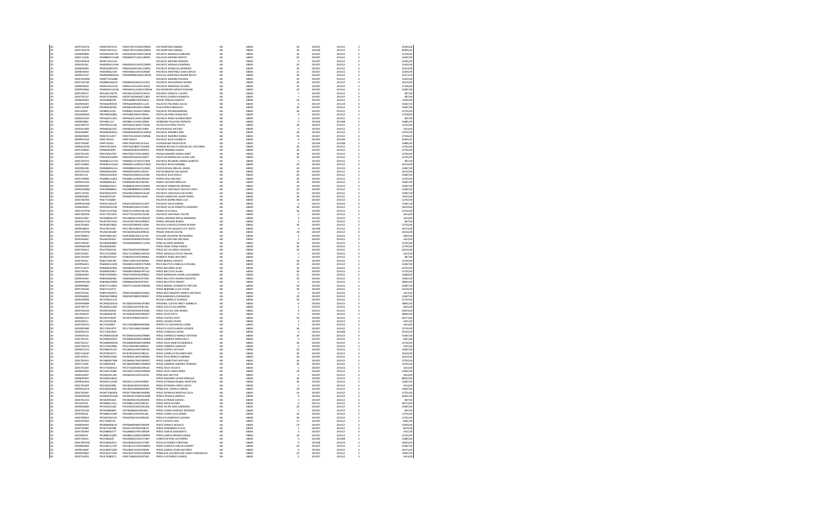| 20<br>20                                      | 20DTV0327N               | PAMA7907315J                 | PAMA790731MOCZRN05                       | PAZ MARTINEZ ANABEL                                          |                        | AB001                 | 30                                      | 201307           | 201312           |                | 25304,06<br>81894,44 |
|-----------------------------------------------|--------------------------|------------------------------|------------------------------------------|--------------------------------------------------------------|------------------------|-----------------------|-----------------------------------------|------------------|------------------|----------------|----------------------|
|                                               | 20DTV0327N<br>20DPR0990K | PAMA7907315J                 | PAMA790731MOCZRN05                       | PAZ MARTINEZ ANABEL                                          | AB                     | AB001<br>AB001        | 30                                      | 201209<br>201307 | 201213<br>201312 |                |                      |
| $\frac{20}{20}$                               | 20DCC1324S               | PAMA9202077B<br>PAMB830711QM | PAMA920207MOCCRD09<br>PAMB830711HOCLRN09 | PACHECO MORALES ADRIANA<br>PALACIOS MERINO BENITO            | AB<br>AB               | AB001                 | 36<br>20                                | 201307           | 201312           |                | 12702,00<br>15087.00 |
| 20                                            | 20DCE0001B               | PAME710312L2                 |                                          | PACHECO MEDINA ENRIQUE                                       | AB                     | AB001                 |                                         | 201307           | 201312           |                | 14346,00             |
|                                               | 20DES0224L               |                              | PAME850511MOCCRN05                       | PACHECO MORALES ENEDINA                                      | AB                     | <b>AR001</b>          |                                         | 201307           | 201312           |                | 15420.00             |
| 20<br>20                                      | 202NE0040V               | PAME850511AW<br>PAMG630923P3 | PAMG630923HOCCNR02                       | PACHECO MUNGUIA GERARDO                                      | $\mathbb{A}\mathbb{B}$ | AB001                 | $\begin{array}{c} 20 \\ 29 \end{array}$ | 201307           | 201312           |                | 22254.00             |
|                                               | 202NE0040V               | PAMJ940621DF<br>PAMM8908142G | PAMJ940621HOCCRN08<br>PAMM890814MOCSRY02 | PACHECO MARTINEZ JUAN CARLOS<br>PASCUAL MARTINEZ MAYRA ROCIO | $\mathsf{AB}$          | AB001                 |                                         | 201307<br>201307 | 201312           |                |                      |
| $\begin{array}{c} 20 \\ 20 \end{array}$       |                          |                              |                                          |                                                              | AB                     | AB001                 | $\begin{array}{c} 21 \\ 20 \end{array}$ |                  | 201312           |                | 16500,00<br>25113,50 |
| 20<br>20                                      | 20DST0109M               | PAMP770226BD<br>PAMR81042679 |                                          | ACHECO MARINO PAULINA                                        | AB                     | AB003                 | $\begin{array}{c} 20 \\ 30 \end{array}$ | 201307           | 201312           |                | 15420,00             |
|                                               | 20DTV0073B               |                              | PAMR810426HOCCLN01                       | PACHECO MALDONADO RANDY                                      | AB                     | AB001                 |                                         | 201307           | 201312           |                | 24210,00             |
| $\frac{20}{20}$                               | 202NE0040V               | PAMS510313UX                 | PAMS510313HOCCNL04                       | PACHECO MENDOZA SILVINO                                      | AB                     | AB003                 | 35                                      | 201307           | 201312           |                | 27336,00             |
|                                               | 20DPR3366K               | PAMW921122HX                 | PAMW921122MOCZNN16                       | PAZ MENDOZA WENDY ROXANA                                     | AB                     | AB001                 | 20                                      | 201307           | 201312           |                | 15087.00             |
| $\frac{20}{20}$                               | 20DST0027C               | PAOL841102TN                 | PAOL841102MOCCRC01                       | PACHECO OROZCO LUCERO                                        | AB                     | AB001                 | $\,$ 1                                  | 201307           | 201312           |                | 807,00               |
|                                               | 20DST02122               | PAOR710204DA                 | PAOR710204MOCTLB03                       | PATRICIO OLMEDO ROBERTA                                      | AB                     | AB001                 | $\overline{1}$                          | 201307           | 201312           |                | 807.00               |
| $\frac{20}{20}$                               | 202NE0040V               | PAPA5808078I                 | PAPA580807HOCRNL03                       | PRADO PINEDA ALBERTO                                         | AB                     | AB001                 | 16                                      | 201307           | 201312           |                | 12000,00             |
|                                               | 20DJN0569V               | PAPA6609051B                 | PAPA660905MOCLLL05                       | PALACIOS PALOMEC ALICIA                                      | AB                     | AB001                 | $\circ$                                 | 201107           | 201119           |                | 23287.03             |
| $\begin{array}{c} 20 \\ 20 \\ 20 \end{array}$ | 20DCC2044P               | PAPA861001B5                 | PAPA861001MOCLRN06                       | PLAZA PEREZ ANGELICA                                         | $\mathbb{A}\mathbb{B}$ | AB001                 | 20                                      | 201307           | 201312           |                | 15087,00             |
|                                               | 20EIS100SP               | <b>PAPRR41125IS</b>          | PAPRS41125MOCCNR00                       | PACHECO PIN RERNARDINA                                       | AR                     | <b>AR001</b>          | 36                                      | 201307           | 201312           |                | 12702.00             |
| $\overline{20}$                               | 20AGD00042               | PAPF680520BQ                 | PAPF680520HOCSRR04                       | PASTELIN PEREZ FRANCISCO                                     | AB                     | AB001                 | $\mathbf 0$                             | 201307           | 201312           |                | 17338,00             |
| $\begin{array}{c} 20 \\ 20 \end{array}$       | 20DES0153H               | PAPG630113EU<br>PAPH861112   | PAPG630113HOCCRM04                       | PACHECO PEREZ GUMERCINDO<br>HERMINIO PALACIOS PAREDES        | AB                     | <b>AR001</b>          | $\mathbf{1}$                            | 201307           | 201312           |                | 807.00               |
|                                               | 20DPB1896L<br>20DST0077K |                              | PAPH861112HOCLRR06                       |                                                              | AB<br>AB               | AB001<br>AB001        | $\circ$                                 | 201304<br>201307 | 201308<br>201312 |                | 15885,00<br>12702,00 |
| 20<br>20                                      | 20DES0140D               | PAPY9010113B<br>PARA820421ES | PAPY901011MOCTXD06<br>PARA820421HOCVJR00 | PATATUCHI PEÑA YEDITH<br>PAVON ROJAS ARTURO                  | AB                     | AB001                 | 36<br>$\overline{2}$                    | 201307           | 201312           |                | 1614.00              |
| 20                                            | 20DES0080F               | PARA8206261A                 | PARA820626MOCCMN06                       | PACHECO RAMIREZ ANA                                          | AB                     | AB001                 | 36                                      | 201307           | 201312           | $\overline{z}$ | 12702,00             |
| 20                                            | 20ZNE0040V               | PARD741120/T                 | PARD741120HOCCMN06                       | PACHECO RAMIREZ DANIEL                                       | AB                     | AB001                 | 35                                      | 201307           | 201312           |                | 27336.00             |
| 20                                            | 20DPR3315D               | PARE740514                   | PARE740514                               | PACHECO RUIZ ELIZABETH                                       | AB                     | AB003                 |                                         | 201301           | 201309           |                | 25945,92             |
| 20                                            | 20DTV0918Z               | PARF750201                   | PARF750201MCSVZL04                       | <b>FLORIDALMA PAVON RUIZ</b>                                 | AB                     | AB001                 | $\circ$                                 | 201304           | 201308           | ٩              | 15885.00             |
|                                               | 20DML00102               | PARI750218CR                 | PARI750218MTCDLM00                       | PADRON REVUELTA IMELDA DEL SOCORRO                           | AB                     | AB001                 | 36                                      | 201307           | 201312           |                | 12702,00             |
| $\begin{array}{c} 20 \\ 20 \end{array}$       | 200TV08447               | PARISSO430PC                 | PARISSO430HOCRMS01                       | PRADO RAMIREZ ISMAEL                                         | AR                     | <b>AR001</b>          | 36                                      | 201307           | 201312           |                | 12702.00             |
| $\overline{20}$                               | 20DST0234K               | PARJ730217NZ                 | PARJ730217HOCLMN02                       | PALMA RAMIREZ MARIA JANET                                    | AB                     | AB001                 | 36                                      | 201307           | 201312           |                | 12702,00             |
| $\begin{array}{c} 20 \\ 20 \end{array}$       | 20DPR2314Y               | PARI 950316MD                | PARL950316HOCSDR07                       | PASTELIN RODRIGUEZ LAURA VAN                                 | <b>AR</b>              | <b>AR001</b>          | 36                                      | 201307           | 201312           | $\overline{ }$ | 12702.00             |
|                                               | 20DST0247O               | PARM821217UV                 | PARM821217HOCCCR04                       | PACHECO RICARDEZ MARIO ALBERTO                               | AB                     | AB001                 | $\,$ 1                                  | 201307           | 201312           |                | 807,00               |
| 20                                            | 20DTV0389Z               | PARM851122AH                 | PARM851122MOCCYR09                       | PACHECO REYES MARIBEL                                        | AB                     | AB001                 | 30                                      | 201307           | 201312           |                | 24210,00             |
| 20                                            | 20DPR0559E               | PARM880421LA                 | PARM880421HOCVJG08                       | PAVON ROJAS MIGUEL ANGEL                                     | AB                     | AB001                 | 20                                      | 201307           | 201312           |                | 15087.00             |
| 20                                            | 20DTV0125R               | PARS830103D4                 | PARS830103HOC2DL02                       | PAZ RODRIGUEZ SALVADOR                                       | AB                     | AB001                 | 30                                      | 201307           | 201312           |                | 24210,00             |
| 20                                            | 20FIZ0171A               | PARS910103CR                 | PARS910103MOCCZH04                       | PACHECO RUIZ SHEILA                                          | AB                     | AB001                 | $\begin{array}{c} 20 \\ 36 \end{array}$ | 201307           | 201312           |                | 15087.00             |
| 20                                            | 20DTV0409X               | PASA881110KQ                 | PASA881110MOCRSD01                       | PARRA SOSA ADILENE                                           | AB                     | AB003                 |                                         | 201307           | 201312           |                | 12702,00             |
| 20                                            | 20DPR1670G               | PASB840813L3                 | PASB840813HOCBLR08                       | PABLO SALGADO BRAULIO                                        | AB                     | AB001                 | 20                                      | 201307           | 201312           | 3              | 15087.00             |
| 20                                            | 20EDI0035M               | PASB860101UJ                 | PASB860101MOCCNR04                       | PACHECO SANDOVAL BRENDA                                      | AB                     | AB003                 | $^{20}$                                 | 201307           | 201312           |                | 15087,00             |
| $_{20}$                                       | 20HMC00082               | PASC890808C4                 | PASC890808MOCCNR00                       | PACHECO SANTIAGO CRUZ DE JESUS                               | AB                     | AB001                 | $\substack{20\\20}$                     | 201307           | 201312           |                | 15087.00             |
| 20                                            | 20DCC1976S<br>207NF0040V | PASE900218T8<br>PASI600701NL | PASE900218MOCCNL00                       | PACHECO SANTIAGO ELEUTERIA                                   | AB                     | AB001<br><b>AR001</b> |                                         | 201307<br>201307 | 201312<br>201311 |                | 15087,00<br>73625.00 |
| $\begin{array}{c} 20 \\ 20 \end{array}$       | 20DST0074N               | PASI771004BV                 | PASI600701HOCLNS01                       | PALMA SANDOVAL ISAIAS PEDRO<br>PALAFOX SIERRA IRMA LILIA     | AB<br>AB               | AB001                 | $\begin{array}{c} 36 \\ 36 \end{array}$ | 201307           | 201312           |                | 12702,00             |
|                                               |                          |                              | PASK911001MOCCLR07                       |                                                              | AB                     | <b>AR001</b>          | $\Omega$                                |                  | 201224           |                |                      |
| 20<br>20                                      | 20DPR1814M<br>20ZNE0040V | PASK911001UP<br>PASR590523UN | PASR590523HOCCLB09                       | PACHECO SOLIS KARINA<br>PACHECO SILVA ROBERTO GERARDO        | AB                     | AB001                 | 36                                      | 201217<br>201307 | 201312           |                | 17601,50<br>36144,60 |
|                                               |                          |                              |                                          |                                                              | AB                     | <b>AR001</b>          | 36                                      | 201307           | 201312           |                | 12702,00             |
| 20<br>20                                      | 20DTV0707W<br>20DST0033N | PASR721107KB<br>PASV7701187R | PASR721107MOCRLL08<br>PASV770118HOCCNL08 | PARRA SILVA RAUL<br>PACHECO SANTIAGO VALFRE                  | AB                     | AB001                 | $\overline{2}$                          | 201307           | 201312           |                | 1614.00              |
|                                               | 20DES0196F               |                              |                                          |                                                              | AB                     | AB001                 | $\overline{a}$                          | 201307           | 201312           |                | 1614,00              |
| $\frac{20}{20}$                               | 20DES0172W               | PAUD8606119T                 | PAUD860611HOCRRG03<br>PAUR740723HOCRRB12 | PARRA URDIANA DIEGO ARMANDO<br>PARRA URDIANA RUBEN           | AB                     | AB001                 | $\mathbf{1}$                            | 201307           | 201312           |                | 807.00               |
| 20                                            | 20DST0166D               | PAVE920708QL                 | PAVE920708HOCLSD06                       | PALACIO VASQUEZ EDGAR JOVANY                                 | AB                     | AB003                 | 36                                      | 201307           | 201312           |                | 12702,00             |
| $_{20}$                                       | 20DPR1881K               | PAVL781214SI                 | PAVL781214MOCLLC05                       | PALACIOS VELASQUEZ LUCY EDITH                                | AB                     | AB001                 | $\circ$                                 | 201309           | 201312           |                | 30174.00             |
| 20                                            | 20DTV0707W               | PAVS81091689                 | PAVS810916MVZRRL06                       | PRADO VIRGEN SELENE                                          | AB                     | AB001                 | 30                                      | 201307           | 201312           |                | 24210,00             |
|                                               | 20DST0081X               | PAZR760813EV                 | PAZR760813HOCLCY04                       | PAULINO ZACARIAS RAYMUNDO                                    | AB                     | <b>AR001</b>          |                                         | 201307           | 201312           |                | 3855.00              |
| $\begin{array}{c} 20 \\ 20 \end{array}$       | 20DES00462               | PEAA810930JZ                 | PEAA810930MOCRLNO                        | PEREZ ALCANTARA ANTONIA                                      | AB                     | AB001                 | $\frac{5}{2}$                           | 201307           | 201312           |                | 1614,00              |
| 20<br>20                                      | 20DTV0924K<br>20DPR3033W | PEAA840608NS<br>PEAJ630405BZ | PEAA840608MOCCLD06                       | PEÑA ALVAREZ ADRIANA<br>PEREZ ARIAS JORGE EMILIO             | AB                     | <b>AR001</b>          | $\begin{array}{c} 36 \\ 36 \end{array}$ | 201307           | 201312           |                | 12702,00<br>12702,00 |
|                                               |                          |                              |                                          |                                                              | AB                     | AB001                 |                                         | 201307           | 201312           |                |                      |
| 20<br>20                                      | 20DTV0421S               | PEAJ75020518<br>PEAL7312099D | PEAJ750205HOCRNQ03<br>PEAL731209MOCRNT02 | PEREZ DE LOS ANGE JOAQUIN<br>PEREZ ANGELES LETICIA ENEIDA    | AB<br>AB               | <b>AR001</b>          | 30                                      | 201307           | 201312           |                | 24210,00             |
|                                               | 20DST01942               |                              |                                          |                                                              |                        | AB001                 | $\overline{2}$                          | 201307           | 201312           |                | 1614.00              |
| $\frac{20}{20}$                               | 20DST0220H               | PEAR650510JH<br>PEBA7109278C | PEAR650510HOCRNB02<br>PEBA710927HOCRRD01 | ROBERTO PEREZ ANTUNEZ                                        | AB                     | AB001                 | $\begin{array}{c} 1 \\ 36 \end{array}$  | 201307           | 201312           |                | 807,00               |
|                                               | 20DST0235J               |                              |                                          |                                                              | AB                     | AB001                 |                                         | 201307           | 201312           |                | 12702,00             |
| 20<br>20                                      | 20DPR2641S               | PEBA830123DN                 | PEBA830123MOCCTM00                       | PECH BAUTISTA AMELIA CATALINA                                | AB                     | AB003                 | $\begin{array}{c} 20 \\ 30 \end{array}$ | 201307           | 201312           |                | 15087,00             |
|                                               | 20DTV14372               | PEBA860410H6                 | PEBA860410HOCRLL04                       | PEREZ BOLAÑOS ALAN                                           | AB                     | AB001                 |                                         | 201307           | 201312           |                | 24210,00             |
| $\frac{20}{20}$                               | 20DST0076L               | PEBA890708CY                 | PEBA890708MOCRTL04                       | PEREZ BAUTISTA ALHELI                                        | AB                     | AB003                 | 36                                      | 201307           | 201312           |                | 12702,00             |
|                                               | 20ZNE0040V               | PEBD750904N1                 | PEBD750904HOCRRN01                       | PEREZ BARRAGAN DANIEL ALEJANDRO                              | AB                     | AB001                 | 31<br>$\mathbf{20}$                     | 201307           | 201312           |                | 23868.00<br>15087,00 |
| $\frac{20}{20}$                               | 20DPR2594Y<br>20FMP0014Q | PEBE85082946<br>PEBF860430RW | PEBE850829HOCRTD00<br>PEBF860430HOCRTR02 | PEREZ BAUTISTA EDWIN VALENTIN<br>PEREZ BAUTISTA FREDDY       | AB<br>AB               | AB001<br>AB001        | $\circ$                                 | 201307<br>201301 | 201312<br>201312 |                | 28692.00             |
|                                               | 20DPR06882               | <b>PEBH771126NC</b>          | PEBH771126HOCRRM06                       | PEREZ BERNAL HUMBERTO ARTURO                                 | AB                     | AB001                 | 20                                      | 201307           | 201312           |                | 15087,00             |
| $\begin{array}{c} 20 \\ 20 \\ 20 \end{array}$ | 20DTV0610K               | PEBJ721122TX                 |                                          | PEREZ BERNABE JULIO CESAR                                    | AB                     | AB001                 | 30                                      | 201307           | 201312           | $\overline{ }$ | 23130.00             |
|                                               | 20DST0150C               | PEBM730428T1                 | PEBM730428HOCRSR02                       | PEREZ BUSTAMANTE MARCO ANTONIO                               | AB                     | AB001                 | $\overline{2}$                          | 201307           | 201312           |                | 1614,00              |
| 20<br>20<br>20                                | 20DPR36002               | PERZ930708MF                 | PEBZ930708MVZXRR02                       | PEÑA BARRANCA ZURISADOAL                                     | <b>AR</b>              | <b>AR001</b>          |                                         | 201307           | 201312           |                | 15087.00             |
|                                               | 20DES0099D               | PECA781011U9                 |                                          | PELAEZ CARRILLO ALFREDO                                      | AB                     | AB001                 | $\begin{array}{c} 20 \\ 36 \end{array}$ | 201307           | 201312           |                | 12702,00             |
|                                               | 20FMP0008F               | PECA820204LW                 | PECA820204MOCRVR01                       | PERZABAL CUEVAS ARELY GABRIELA                               | AB                     | AB003                 | $\,$ 0 $\,$                             | 201301           | 201312           |                | 28692,00             |
| 20<br>20                                      | 20DST0072P               | PECA830124AB                 | PECA830124HOCRLL04                       | PEREZ CALLES ALEJANDRO                                       | AB                     | AB001                 | ×,                                      | 201307           | 201312           |                | 4035,00              |
| $\frac{20}{20}$                               | 20FZF0022W               | PECD870204JX                 | PECD870204HOCRVN06                       | PEREZ CUEVAS JOSE DANIEL                                     | AB                     | AB003                 |                                         | 201311           | 201312           |                | 33924,00             |
|                                               | 20FUE0001P               | PECE840407JB                 | PECE840407MOCRRD07                       | PEREZ CRUZ EDITH                                             | AB                     | AB001                 | $\Omega$                                | 201301           | 201312           |                | 28692.00             |
| $\frac{20}{20}$                               | 20DPB0121V               | PECI870730GP                 | PECI870730MOCRSV07                       | PEREZ CASTRO IVON                                            | AB                     | AB001                 | $_{\rm 20}$                             | 201307           | 201312           |                | 30174,00             |
|                                               | 20DES0011J               | PECJ720701H8                 |                                          | PEREZ CHAVEZ JAVIER                                          | AB                     | AB001                 | $\overline{\mathbf{3}}$                 | 201307           | 201312           |                | 2421.00              |
| $\begin{array}{c} 20 \\ 20 \\ 20 \end{array}$ | 20DST0247O               | PECJ730308JT                 | PECJ730308MMSRSN06                       | PERFECTO CASTANEDA JUANA                                     | AB                     | AB001                 |                                         | 201307           | 201312           |                | 1614,00              |
|                                               | 20DJN0358R               | <b>PECL720510TP</b>          | PECL720510MOCRSN00                       | PERALTA CASTELLANOS LEONOR                                   | AB                     | AB001                 | 36                                      | 201307           | 201312           | $\overline{ }$ | 12702.00             |
| 20<br>20<br>20                                | 20DJN0552V<br>20DEE0013E | PECL730516HX<br>PECM840102SW | PECM840102HOCRRR00                       | PEREZ CORDOVA LAURA<br>PEREZ CARRASCO MARCO ANTONIO          | AB<br><b>AR</b>        | AB001<br><b>AR001</b> | $\mathbf 0$                             | 201221<br>201307 | 201308<br>201312 |                | 25145,00<br>15087.00 |
|                                               |                          |                              |                                          |                                                              |                        |                       | $_{\rm 20}$                             |                  |                  |                |                      |
|                                               | 20DST0222F<br>20DST0213Y | PECM8602059T<br>PECM890905IW | PECM860205MOCRBR04<br>PECM890905MOCRRR00 | PEREZ CABRERA MIRALDELLY<br>PEREZ CRUZ MARITZA BERENICE      | AB<br>AB               | AB001<br><b>AR001</b> | 36                                      | 201307<br>201307 | 201312<br>201312 | þ              | 4035,00<br>12702,00  |
| 20<br>20                                      | 20DST0047Q               | PECO760109B6                 | PECO760109HVZRBS02                       | PEREZ CABRERA OSBALDO                                        | AB                     | AB001                 |                                         | 201307           | 201312           |                | 2421,00              |
| 20                                            | 20DPB2157X               | PECO86101219                 | PECO861012HOCRRC06                       | PEREZ CORTES OCTAVIO                                         | AB                     | AB001                 | $_{\rm 20}$                             | 201307           | 201312           |                | 15087,00             |
| 20                                            | 20DTV1653P               | PECR790105T1                 | PECR790105HOCRRL03                       | PEREZ CARRILLO ROLANDO MIG                                   | AB                     | AB001                 |                                         | 201307           | 201312           |                | 24210.00             |
| 20                                            | 20DTV0297J               | PECR840214EB                 | PECR840214MOCRRB02                       | PEREZ CRUZ REBECA SABRINA                                    | AB                     | AB001                 | $\begin{array}{c} 30 \\ 30 \end{array}$ | 201307           | 201312           |                | 24210,00             |
| 20                                            | 20DST0043U               | PECS840917BW                 | PECS840917MOCRRN07                       | PEREZ CARRETERO SINTIQUE                                     | AB                     | AB001                 | 36                                      | 201307           | 201312           |                | 12702.00             |
| $\overline{20}$                               | 20DTV1302L               | PECS860504IE                 | PECS860504MOCRBM03                       | PEREZ CABRERA SAMARA TRINIDAD                                | AB                     | AB003                 | 36                                      | 201307           | 201312           |                | 12702,00             |
| 20                                            | 20DST0135K               | PECV750305UZ                 | PECV750305MOCRRL03                       | PEREZ CRUZ VIOLETA                                           | AB                     | AB001                 | $\overline{2}$                          | 201307           | 201312           | 3              | 1614.00              |
| 20                                            | 202NE0040V               | PECV810723BK                 | PECV810723MOCRRN09                       | PEREZ CRUZ VANIA DENIS                                       | AB                     | AB003                 | 20                                      | 201307           | 201312           |                | 15087,00             |
| 20<br>20                                      | 20DES0105Y               | PEDH810311B1                 | PEDH810311HOCX2C01                       | PEÑA DIAZ HECTOR                                             | <b>AR</b>              | <b>AR001</b>          | $\overline{ }$                          | 201307           | 201312           |                | 1614.00              |
|                                               | 202NE0040V               | PEDJ690228GQ                 |                                          | PEREZ DAGNINO JAVIER ENRIQUE                                 | AB                     | AB001                 | 36                                      | 201307           | 201312           |                | 88350,00             |
| 20<br>20                                      | 20DPR0194O               | PEEE851112EM                 | PEEE851112HOCRSR09                       | PEREZ ESTEBAN ERUBIEL MANTZINI                               | AB                     | <b>AR001</b>          | 20                                      | 201307           | 201312           |                | 15087,00             |
|                                               | 20DST0244R               | PEEL820424B5                 | PEEL820424MOCRSR04                       | PEREZ ESTEBAN LOREN JUDITH                                   | AB                     | AB001                 | $\overline{2}$                          | 201307           | 201312           |                | 1614,00              |
| 20                                            | 20DPR3421N               | PEEL850330QK                 | PEEL850330MMNXSR07                       | PEÑALOZA ESPINO LORENA                                       | AB                     | AB001                 | $_{\rm 20}$                             | 201307           | 201312           |                | 15087,00             |
| 20                                            | 20DST0036K               | PEEM770829S8                 | PEEM770829MCSRSR08                       | PEREZ ESPINOSA MARTHA CIELO                                  | AB<br>AB               | AB001<br>AB001        | 36                                      | 201307           | 201312           | $\overline{2}$ | 12702.00             |
| 20<br>20                                      | 20FMP0020A               | PEEM920215QG                 | PEEM920215MOCXSR08                       | PEÑA ESPINOSA MIRIZELL                                       |                        |                       | $\mathfrak{o}$                          | 201301           | 201312           |                | 26301,00             |
| $\overline{20}$                               | 20DST0221G<br>20TAI0107K | PEES82092263<br>PEFA880115D1 | PEES820922HOCRSM05<br>PEFA880115HOCRRL04 | PEREZ ESTRADA SAMUEL<br>PEREZ FERIA ALVARO                   | AB<br>AB               | AB001<br>AB003        | $\overline{1}$                          | 201307<br>201311 | 201312<br>201312 |                | 807.00<br>30174,00   |
| 20                                            | 20DPB1948A               | PEFA92051562                 | PEFA920515MOCRLD06                       | PEREZ FELIPE AIDA GARDENIA                                   | AB                     | AB001                 | 20                                      | 201307           | 201312           |                | 15087.00             |
| 20                                            | 20DST0151B               | PEFE830806BS                 | PEFE830806HVZRLN02                       | PEREZ FLORES ENRIQUE RODRIGO                                 | AB                     | AB003                 |                                         | 201307           | 201312           |                | 807,00               |
|                                               | 20F2F0041K               | PEEG860113MP                 | PEEG860113HOCRLL06                       | PEREZ FLORES GUILLERMO                                       | <b>AR</b>              | <b>AR001</b>          |                                         | 201307           | 201312           |                | 12702.00             |
| $\begin{array}{c} 20 \\ 20 \end{array}$       | 20DST0081X               | PEFG870621V9                 | PEFG870621HOCRRV05                       | PERALTA FRANCISCO GAVINO                                     | AB                     | AB001                 | 36<br>36                                | 201307           | 201312           |                | 12702,00             |
|                                               | 200ES0195G               | PEFJ790907L6                 |                                          |                                                              | AB                     | <b>AR001</b>          |                                         | 201307           | 201312           |                | 8481.00              |
| $\begin{array}{c} 20 \\ 20 \end{array}$       | 202NE0040V               | PEFR680904LW                 | PEFR680904MOCRRS09                       | PETO FUENTES JOEL<br>PEREZ FRANCO ROSALIA                    | AB                     | AB001                 | $\begin{array}{c} 11 \\ 19 \end{array}$ | 201307           | 201312           |                | 15000,00             |
|                                               |                          |                              |                                          |                                                              | AB                     | <b>AR001</b>          | 5                                       | 201307           | 201312           |                | 8070,00              |
| 20<br>20                                      | 20DST0048P<br>20DST0040X | PEFS67100788<br>PEGA880627JT | PEFS671007MOCRRL02<br>PEGA880627HOCRRD09 | PEREZ FERNANDEZ SILVIA<br>PEREZ GARCIA ADALBERTO             | AB                     | AB001                 |                                         | 201307           | 201312           |                | 2421.00              |
| $\frac{20}{20}$                               | 20FIZ0007A               | PEGB891218PZ                 | PEGB891218MOCRRR09                       | PEREZ GARCIA BRENDA ANAH                                     | AB                     | 49001                 | 36                                      | 201307           | 201312           |                | 12702,00             |
|                                               | 20DTV0041J               | PEGC840625                   | PEGC840625HOCZTH09                       | CHRISTIAN PEZA GUTIERREZ                                     | AB                     | AB001                 | $\circ$                                 | 201304           | 201308           |                | 15885.00             |
| $\begin{array}{c} 20 \\ 20 \end{array}$       | 20DST0075M               | PEGC840625C1<br>PEGC8411272K | PEGC840625HOCZTH09                       | PEZA GUTIERREZ CHRISTIAN<br>PEREZ GUMETA CARLOS GILBERT      | AB                     | AB00                  |                                         | 201209           | 201224           |                | 18504,00             |
|                                               | 20DPR0266R               |                              | PEGC841127HOCRMR03                       |                                                              | AB                     | AB001                 | 20                                      | 201307           | 201312           |                | 15087.00             |
| $\begin{array}{c} 20 \\ 20 \end{array}$       | 20DPR1060F               | PEGC890716DV                 | PEGC890716HOCRRS06                       | PEREZ GARCIA CESAR ANTONIO                                   | AB                     | AB00                  |                                         | 201301           | 201312           |                | 30174,00             |
|                                               | 20DPR3406V               | PEGC920731ER                 | PEGC920731MOCXNN06                       | PEÑALOZA GUENDULAIN CANDY ESMERALDA                          | AB                     | AB001                 | 20                                      | 201307           | 201312           |                | 15087.00             |
| $_{20}$                                       | 20DST0100V               | PEGE75080271                 | PEGE750802HOCRTS09                       | PEREZ GUTIERREZ EUSEBIO                                      | AB                     | AB001                 |                                         | 201307           | 201312           |                | 1614,00              |
|                                               |                          |                              |                                          |                                                              |                        |                       |                                         |                  |                  |                |                      |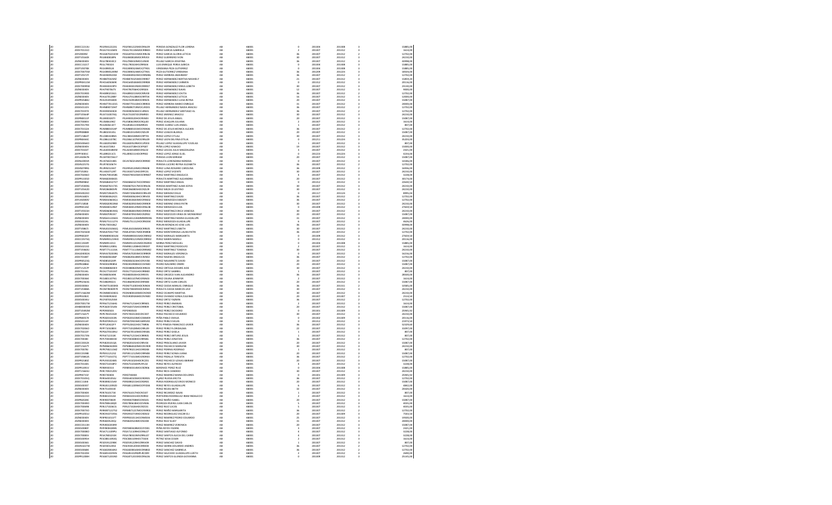| 20             | 20DCC2213U               | PEGF8412222G                        | PEGF841222MOCRNL09                       | PEREDA GONZALEZ FLOR LORENA                               | AB              | AB001                 | $\bf{0}$                                | 201304           | 201308           |                         |
|----------------|--------------------------|-------------------------------------|------------------------------------------|-----------------------------------------------------------|-----------------|-----------------------|-----------------------------------------|------------------|------------------|-------------------------|
| 20<br>20       | 20DST0131O               | PEGG741106E8                        | PEGG741106MOCRRR03                       | PEREZ GARCIA GARRIELA                                     | <b>AR</b>       | <b>AR001</b>          | $\overline{z}$                          | 201307           | 201312           |                         |
|                | 20FIZ0009Z               | PEGG870221KW                        | PEGG870221MOCRRL06                       | PEREZ GARCIA GLORIA LETICIA                               | AB              | AB001                 | 36                                      | 201307           | 201312           | $\overline{a}$          |
| 20<br>20       | 20DTV0160X               | PEGIRADRIRPS                        | PEGIRADR1RMOCRRV03                       | PEREZ GUERRERO IVON                                       | AR              | <b>AR001</b>          | 30                                      | 201307           | 201312           | à                       |
|                | 20ZNE0040V               | PEGJ780410C2                        | PEGJ780410MOCLRS00                       | PELAEZ GARCIA JOSEFINA                                    | AB              | AB001                 | 36                                      | 201307           | 201312           | 3                       |
| 20<br>20       | 20DCC1521T               | PEGL790324                          | PEGL790324HVZRRS04                       | LUIS ENRIQUE PEREA GARCIA                                 | AB              | AB001                 | $\mathbf 0$                             | 201304           | 201308           |                         |
|                | 20DTV0078X               | PEGV890524                          | PEGV890524MOCZTR01                       | VIRIDIANA PEZA GUTIERREZ                                  | AB              | AB001                 | $\circ$                                 | 201304           | 201308           | $\overline{3}$          |
| 20<br>20       | 20DST0075M<br>20DTV0572Y | PEGV8905249M<br>PEHA940922K4        | PEGV890524MOCZTR01<br>PEHA940922MOCRRM06 | PEZA GUTIERREZ VIRIDIANA<br>PEREZ HERRERA AMAIRANY        | AB<br>AB        | AB001<br>AB001        | 36<br>36                                | 201209<br>201307 | 201224<br>201312 | $\overline{a}$          |
| 20             | 202NE0040V               | PEHB870325RZ                        | PEHB870325MOCRRR07                       | PEREZ HERNANDEZ BERTHA NASHIELY                           | AB              | AB001                 | $_{21}$                                 | 201307           | 201312           |                         |
| 20             | 20DPR0411M               | <b>PEHC6405069K</b>                 | PEHC640506MOCRRR08                       | PEREZ HERNANDEZ CARMEN                                    | AB              | AB001                 | $\overline{0}$                          | 201312           | 201312           | $\overline{3}$          |
| 20             | 20DST0099W               | PEHE830419PV                        | PEHE830419MOCRRR07                       | PEREZ HERNANDEZ ERIKA LIZBETH                             | AB              | AB001                 | 30                                      | 201307           | 201312           |                         |
| 20             | 202NE0040V               | PEHI7907067V                        | PEHI790706HOCRRS04                       | PEREZ HERNANDEZ ISAIAS                                    | AB              | AB001                 | 12                                      | 201307           | 201312           |                         |
| 20             | 20DST0190D               | PEHJ890215G1                        | PEHJ890215MOCRRV00                       | PEREZ HERNANDEZ JOVITA                                    | AB              | AB001                 | 36                                      | 201307           | 201312           | $\overline{a}$          |
|                | 202NF0040V               | <b>PEHL670128BY</b>                 | PEHL670128MOCRRT04                       | PEREZ HERNANDEZ I ETICIA                                  | AR              | <b>AR001</b>          |                                         | 201307           | 201312           | $\overline{3}$          |
| 20<br>20       | 20DPR3588U               | PEHL910918DX                        | PEHL910918MOCRRS05                       | PEREZ HERNANDEZ LUISA REYNA                               | AB              | AB001                 | $\begin{array}{c} 16 \\ 20 \end{array}$ | 201307           | 201312           |                         |
|                | 202NE0040V               | PEHM77011015                        | PEHM770110HOCRRR03                       | PEREZ HERRERA MARIO ENRIQUE                               | AB              | AB001                 | 31                                      | 201307           | 201312           | 3                       |
| 20<br>20       | 20DES0132V               | <b>PEHN890719HT</b>                 | PEHN890719MOCLRD01                       | PELAEZ HERNANDEZ NADIA ARACELI                            | AB              | AB001                 | 36                                      | 201307           | 201312           | $\overline{a}$          |
|                | 20DST0197X               | <b>PEHS900504C8</b>                 | PEHS900504HOCLRN01                       | PELAEZ HERNANDEZ SANTIAGO AL                              | AB              | AB001                 | 36                                      | 201307           | 201312           | $\overline{a}$          |
| 20<br>20       | 20DTV0564F               | PEJA731007AQ                        | PEJA731007JOCRMR03                       | PEREZ JIMENEZ ARACELI                                     | AB              | AB001                 | 30                                      | 201307           | 201312           |                         |
| 20             | 20DPB0011P               | PEJA900320TI                        | PEJA900320HOCRSN03                       | PEREZ DE JESUS ANGEL                                      | AB              | AB001                 | $20\,$                                  | 201307           | 201312           |                         |
| $_{20}$        | 20DST0083V               | PEJJ580619KZ                        | PEJJ580619MOCROL00                       | PEREZ JOAQUIN JULIANA                                     | AB              | AB001                 | $\overline{2}$                          | 201307           | 201312           | $\overline{3}$          |
| 20             | 20DST0179H               | <b>PEJL850611KT</b>                 | PEJL850611HHGRRS01                       | PARDO JUAREZ LUIS ANGEL                                   | AB              | AB001                 |                                         | 201307           | 201312           |                         |
| 20             | 20DST0152A               | <b>PEJM880101AP</b>                 | PEJM880101MOCRSN06                       | PEREZ DE JESUS MONICA ALEJAN                              | AB              | AB001                 | 36                                      | 201307           | 201312           | $\overline{a}$          |
| 20             | 20DPR0888                | PELB810314SL                        | PELB810314MOCRZL09                       | PEREZ LOAEZA BLANCA                                       | AB              | AB001                 | $\overline{20}$                         | 201307           | 201312           |                         |
| 20<br>20       | 20DTV18641<br>20DPB0444C | PELC881028ML<br>PELD861107BC        | PELC881028MOCRPT01<br>PELD861107MOCRNL09 | PEREZ LOPEZ CITLALL<br>PEREZ LEON DELFINA OTILIA          | AR              | <b>AR001</b><br>AB001 | 30<br>ō                                 | 201307<br>201211 | 201312<br>201224 |                         |
|                | 20DES0064Q               | PELG82052989                        | PELG820529MOCLPD03                       | PELAEZ LOPEZ GUADALUPE YUVELKA                            | AB<br>AR        | <b>AR001</b>          |                                         | 201307           | 201312           |                         |
| 20<br>20       |                          |                                     |                                          |                                                           |                 |                       |                                         |                  |                  | 3                       |
|                | 20ZNE0040V<br>20DST0102T | PELI610728UI<br>PELJ630418MW        | PELI610728HOCXPG07<br>PELJ630418MOCRSL02 | PEÑA LOPEZ IGNACIO<br>PEREZ LESCAS JULIA MAGDALENA        | AB<br>AB        | AB001<br>AB001        | 19<br>$\overline{3}$                    | 201307<br>201307 | 201312<br>201312 | 3                       |
| 20<br>20       | 20FPF0001C               | <b>PELJ890211CS</b>                 | PELJ890211HOCRPR02                       | PEREZ LOPEZ JORGE ELIEL                                   | AB              | AB001                 | $\circ$                                 | 201223           | 201224           |                         |
| 20             | 20FUA0067B               | PELM700726U7                        |                                          | PEREDA LEON MIRIAM                                        | AB              | AB001                 | $_{\rm 20}$                             | 201307           | 201312           |                         |
| $_{20}$        | 20DNL0001R               | PELN76021485                        | OELN760214MOCRRR00                       | PERALTA LORENZANA NEREIDA                                 | AB              | AB001                 | $\circ$                                 | 201307           | 201312           | $\overline{3}$          |
| 20             | 20DJN2257G               | PELR7401067H                        |                                          | PEREDA LUCERO REYNA ELIZABETH                             | AB              | AB001                 | 36                                      | 201307           | 201312           |                         |
| $_{20}$        | 20DJN0789G               | PELR95012447                        | PELR950124MOCRNS08                       | PEREZ LUNA ROSARIO CAROLINA                               | AB              | AB001                 | 36                                      | 201309           | 201312           | $\overline{a}$          |
| 20             | 20DTV0281                | <b>PELV650712RT</b>                 | PELV650712HOCRPC01                       | PEREZ LOPEZ VICENTE                                       | AB              | AB001                 | 30                                      | 201307           | 201312           |                         |
|                | 20DST02060               | PEMA790105BS                        | PEMA790105MOCRRN07                       | PEREZ MARTINEZ ANGELICA                                   | AR              | <b>AR001</b>          | $\Delta$                                | 201307           | 201312           |                         |
| 20<br>20       | 20DPR1335D               | PEMA8204065S                        |                                          | PERALTA MARTINEZ ALEJANDRA                                | AB              | AB001                 | $^{20}$                                 | 201307           | 201312           |                         |
| 20<br>20       | 20DPR09847               | PEMAR60327V7                        | PEMAR60327HOCRRN02                       | PEREZ MARTINEZ ANGEL                                      | AR              | <b>AR001</b>          | $\circ$                                 | 201312           | 201312           |                         |
|                | 20DTV0300G               | PEMA87021735                        | PEMA870217MOCRRL06                       | PEREDA MARTINEZ ALMA SOFIA                                | AB              | AB001                 | 30                                      | 201307           | 201312           |                         |
|                | 20DTV0542D<br>20DES0023O | PEMCR60805PE                        |                                          | PEREZ MEZA CELESTINO                                      | AB              | AB001                 |                                         | 201307           | 201312           | 3<br>3                  |
| 20<br>20       |                          | PEMD72063075                        | PEMC860805HOCRZL09<br>PEMD720630MOCRNL09 | PEREZ MENDEZ DELIA                                        | AB              | AB001                 | $\begin{array}{c} 30 \\ 0 \end{array}$  | 201117           | 201124           |                         |
| 20<br>20       | 20DJN1682V               | PEMD83062421                        | PEMD830624HOCRRV03                       | PEREZ MARTINEZ DAVID                                      | AB              | AB001                 | 36<br>36                                | 201307           | 201312<br>201312 | $\frac{2}{2}$           |
|                |                          | PEME810603Q1                        | PEME810603MOCRNS02                       | PEREZ MENDOZA ESBEADY                                     | AB              | AB001                 |                                         | 201307           |                  |                         |
| 20<br>20       | 20DTV1858                | PEME820923N8                        | PEME820923MOCRRR09<br>PEME840129MOCRNL08 | PEREZ MERINO ERIKA PATRI                                  | AB<br>AB        | AB001                 | $\begin{array}{c} 30 \\ 0 \end{array}$  | 201307           | 201312           | $\frac{3}{3}$           |
|                | 20DPR01342               | <b>PEME8401296Y</b>                 |                                          | PEREZ MENDOZA ELDA                                        |                 | AB001                 |                                         | 201309           | 201312           |                         |
| 20<br>20       | 20DTV0555H               | PEME8608194Q                        | PEME860819MOCRRR04                       | PEREZ MARTINEZ ERICA VANESSA                              | AB              | AB001                 | 30                                      | 201307           | 201312           |                         |
|                | 20ZNE0040V               | PEME870923I7                        | PEME870923MOCRZR02                       | PEREZ MOZCOZO ERIKA DE MONSERRAT                          | AB              | AB001                 | 20                                      | 201307           | 201312           | ٩                       |
| 20<br>20       | 202NE0040V<br>20DES0224L | PEMG651226GS<br>PEMG75111274        | PEMG651226MMNRRD06<br>PEMG751112HOCRND04 | PEREZ MARTINEZ MARIA GUADALUPE<br>PEREZ MENDOZA GUADALUPE | AB<br>AB        | AB001<br>AB001        | $_{31}$<br>6                            | 201307<br>201307 | 201312<br>201312 | $\overline{3}$          |
| 20             | 202NE0040V               | PEML700318LZ                        |                                          | PERLIN MONZALVO JOSE LUIS                                 | AB              | AB001                 | 36                                      | 201307           | 201312           |                         |
|                |                          |                                     | PEML810106MOCRRS05                       |                                                           | AB              | AB001                 |                                         | 201307           | 201312           |                         |
| 20<br>20       | 20DTV0867J<br>20DST0256W | PEML810106GQ<br>PEML870417TM        | PEML870417MOCRNR08                       | PEREZ MARTINEZ LISBETH<br>PEREZ MONTERROSA LAURA PATRI    | $\overline{AB}$ | AB001                 | 30<br>36                                | 201307           | 201312           | $\frac{3}{2}$           |
|                | 20DPR0020Y               |                                     | PEMM890301MOCRRR02                       | PEREZ MORALES MARGARITA                                   | AB              | AB001                 | $\bf{0}$                                | 201309           | 201312           |                         |
| 20<br>20       | 20DCC0575Q               | PEMM890301AK<br>PEMM901219HX        | PEMM901219MOCRRR02                       | PEREZ MARIN MARILU                                        | AB              | AB001                 | $\theta$                                | 201312           | 201312           | 3<br>3                  |
|                | 20DCC2028Y               | PEMM911013                          | PEMM911013MOCRGR03                       | MIRNA PEREZ MOGUEL                                        |                 | AB001                 | $\mathbb O$                             | 201304           | 201308           |                         |
| 20<br>20       | 20DES0215D               | <b>PEMR811208SL</b>                 | PEMR811208HOCRRD07                       | PEREZ MARTINEZ RODOLFO                                    | AB<br>AB        | AB001                 |                                         | 201307           | 201312           | $\overline{3}$          |
|                | 20DTV0460L               | PEMT7711133A                        | PEMT771113MOCRRM02                       | PEREZ MARTINEZ TOMASA                                     | AB              | AB001                 | 30                                      | 201307           | 201312           |                         |
| 20<br>20       | 20AGD0002A               | PEMV6702039G                        | PEMV670203MOCRRR09                       | PEREZ MORALES VERONICA                                    | AB              | AB001                 | $\mathbf 0$                             | 201307           | 201312           | $\frac{3}{3}$           |
|                | 20DST0184T               | PENA8206186P                        | PENA820618MOCRJN02                       | PEREZ NAJERA ANGELICA                                     | AB              | AB001                 | 36                                      | 201307           | 201312           |                         |
| 20<br>20       | 20DPR0523Q               | PEND850324PI                        | PEND850324HOCRVV08                       | PEREZ NAVARRETE DAVID                                     | AB              | AB001                 | 20                                      | 201307           | 201312           | $\overline{3}$          |
| 20             | 20DPB1886E               | PENO8109085E                        | PENO810908HOCDVN00                       | PEDRO NAVARRO ONRRI                                       | AB              | AB001                 | 20                                      | 201307           | 201312           |                         |
| $_{20}$        | 20DTV1257F               | PEOD880820E9                        | PEOD880820MOCRRS03                       | PEREZ ORTEGA DESSIRE AIDE                                 | AB              | AB001                 | 30                                      | 201307           | 201312           | $\overline{3}$          |
| --<br>20<br>20 | 20DST0134L               | PEOG77101597                        | PEOG771015HOCRRB00                       | PEREZ ORTIZ GABRIEL                                       | AB              | AB001                 |                                         | 201307           | 201312           |                         |
|                | 202NE0040V               | PEOI8005049K                        | PEOI800504HOCRRV05                       | PEREZ OROZCO IVAN ALEJANDRO                               | AB              | AB001                 | 36                                      | 201307           | 201312           | $\overline{3}$          |
| 20             | 20DST0036K               | PEOJ801107N1                        | PEOJ801107MOCRSN03                       | PEREZ OSUNA JENNIFER                                      | AB              | AB001                 | $\overline{2}$                          | 201307           | 201312           |                         |
| 20<br>20       | 20DPR2363G               | PEOJ860902J1                        | PEOJ860902HOCRRN08                       | PEREZ ORTIZ JUAN CARLOS                                   | AB              | AB001                 | 20                                      | 201307           | 201312           |                         |
|                | 20DEE0006V<br>20DTV03884 | <b>PEOM751003KB</b><br>PEOM78040979 | PEOM751003HOCRJN04<br>PEOM780409HOCRIR04 | PEREZ OJEDA MANUEL ENRIQUE<br>PERALTA OIFDA MARCOS IAVI   | AB<br>AR        | AB001<br><b>AR001</b> | 36                                      | 201307<br>201307 | 201311<br>201312 | $\overline{3}$          |
| 20<br>20       |                          | PEOM800104EG                        | PEOM800104MOCRCR00                       | PEREZ OCAMPO MARTHA                                       |                 |                       | 30                                      |                  |                  |                         |
|                | 20DTV1663W<br>20DPR3282C | PEOS900926SD                        |                                          |                                                           | AB<br>AB        | AB001<br>AB001        | 30                                      | 201307<br>201307 | 201312<br>201307 | 3<br>3                  |
| 20<br>20       | 20DES0034U               | PEOY870325MI                        | PEOS900926MOCRVN00                       | PEREZ OVANDO SONIA ZULEIMA<br>PEREZ ORTIZ YAZMIN          | AB              | AB001                 | 20<br>36                                | 201307           | 201312           | $\overline{a}$          |
|                | 20DST0017W               | PEPA671216HG                        | PEPA671216HOCRRN01                       | PEREZ PEREZ ANANIAS                                       | AB              | AB001                 |                                         | 201307           | 201312           |                         |
| 20<br>20       | 20HBD0005W               | PEPC820725AN                        | PEPC820725HOCRRR09                       | PEREZ PEREZ CRISTOBAL                                     | AB              | AB001                 | 20                                      | 201307           | 201312           | $\overline{3}$          |
|                | 20DTV0492M               | PEPD900503                          | PEPD900503                               | PEREZ PEREZ DIODORO                                       | AB              | AB001                 | $\mathbb O$                             | 201301           | 201309           |                         |
| --<br>20<br>20 | 20DTV1637Y               | PEPE781013G9                        | PEPE781013HOCRCD07                       | PEREZ PACHECO EDUARDO                                     | AB              | AB001                 | 30                                      | 201307           | 201312           | $\overline{3}$          |
| 20             | 20DPB0057K               | PEPE8201033N                        | PEPE820103MOCXBM09                       | PEÑA PABLO EMILIA                                         | AB              | AB001                 | $\,$ 0 $\,$                             | 201302           | 201309           |                         |
| 20             | 20DES0114F               | PEPE870925UU                        | PEPE870925MOGRRV00                       | PEREZ PEREZ EVELIN                                        | AB              | AB001                 | $\theta$                                | 201312           | 201312           | $\overline{3}$          |
| 20             | 202NE0040V               | PEPF520422FY                        | PEPF520422HOCTNR06                       | PETO PINEDA FRANCISCO JAVIER                              | AB              | AB001                 | 36                                      | 201307           | 201312           |                         |
| 20<br>20       | 20DST02060               | PEPE710328DE                        | PEPE710328MOCRRL09                       | PEREZ PEREZ ELORIDAI MA                                   | AR              | <b>AR001</b>          | 22                                      | 201307           | 201312           | à                       |
|                | 20DST0222F               | <b>PEPG670510NU</b>                 | PEPG670510MOCRRS06                       | PEREZ PEREZ GISELA                                        | AB              | AB001                 | $\,$ 1                                  | 201307           | 201312           | 3                       |
| 20<br>20       | 20DST0173N               | PEPJ6712153K                        | PEPA671215HOCRRR05                       | PEREZ PEREZ ARTURO JESUS                                  | AB              | AB001                 |                                         | 201307           | 201312           | 3                       |
|                | 20DST0038I               | PEPJ7003081W                        | PEPJ700308HOCRRN06                       | PEREZ PEREZ JONATAN                                       | AB              | AB001                 | 36                                      | 201307           | 201312           |                         |
| 20             | 20DCC0032X               | PEPJ820101QA                        | PEPJ820101HOCRRV04                       | PEREZ PRISCILIANO JAVIER                                  | AB              | AB001                 | $_{\rm 20}$                             | 201307           | 201312           | 3                       |
| $_{20}$        | 20DTV1637Y               | PEPM860420DE                        | PEPM860420MOCRCR09                       | PEREZ PACHECO MARLENE                                     | AB              | AB001                 | 30                                      | 201307           | 201312           | $\overline{3}$          |
| 20             | 20DST0078J               | PEPR790211MZ                        | PEPR790211HOCRRD08                       | PEREZ PORRAS RODRIGO                                      | AB              | AB001                 | $\overline{1}$                          | 201307           | 201312           |                         |
| $_{20}$        | 20DCC0198E               | PEPS91121232                        | PEPS911212MOCRRN08                       | PEREZ PEREZ SONIA JUANA                                   | AB              | AB001                 | 20                                      | 201307           | 201312           | $\overline{3}$          |
| 20             | 20DTV0842A               | PEPT771015TQ                        | PEPT771015MOCRDR03                       | PEREZ PADILLA TERESITA                                    | AB              | AB001                 | 36                                      | 201307           | 201312           | $\overline{2}$          |
| $_{20}$        | 20DPR21802<br>20DST0144S | PEPU931024BS<br>PERA751018P2        | PEPU931024HOCRCZ01<br>PERA751018HPLRYL02 | PEREZ PACHECO UZAIAS ABIRAM<br>PEREZ REYES ALFREDO        | AB              | AB001<br>AB001        | 20                                      | 201307<br>201307 | 201312<br>201312 | $\overline{3}$          |
| 20             | 20DPR1491V               | PERR930314                          | PERR930314MOCRZR06                       | <b>RERENICE PEREZ RUIZ</b>                                | AB<br>AR        | <b>AR001</b>          | $\Omega$                                | 201304           | 201308           |                         |
| 20<br>20       | 20DTV1665U               | PERC700212DV                        |                                          | PEREZ RIOS CANDIDO                                        | AB              | AB001                 | 30                                      | 201307           | 201312           |                         |
|                | 20DPR0715F               | PERDZ40404                          | PERD740404                               | PEREZ RAMIREZ MARIA DOLORES                               | AB              | AB001                 | $\circ$                                 | 201301           | 201309           |                         |
| 20<br>20       | 20DST0105Q               | PERE640105GJ                        | PERE640105MOCRDR05                       | PreREZ RUEDA ERCITA                                       | AB              | AB001                 | 36                                      | 201307           | 201312           | 3                       |
|                | 20DCC1184                | PERE890215A9                        | PERE890215HOCRDR01                       | PEREA RODRIGUEZ ERICK MONICO                              | AB              | AB001                 | $_{\rm 20}$                             | 201307           | 201312           | 3                       |
| 20<br>20       | 20DES0035T               | PERG8112092D                        | PERG811209MOCRYD04                       | PEREZ REYES GUADALUPE                                     | AB              | AB001                 | 6                                       | 201307           | 201312           | 3                       |
|                | 202NE0040V               | PERI75100334                        |                                          | PEREZ ROJAS IBETH                                         | AB              | AB001                 | 32                                      | 201307           | 201312           |                         |
| 20<br>20       | 20DST0040X               | PERI76101734                        | PERI761017HOCRCS07                       | PEREZ RICARDEZ ISAIAS                                     | AB              | AB001                 | $\overline{1}$                          | 201307           | 201312           | $\overline{3}$          |
| 20             | 20DES02210               | PERI841031A4                        | PERI841031HOCRDR02                       | PERTIERRA RODRIGUEZ IRAM INDALECIO                        | AB              | AB001                 | $\overline{z}$                          | 201307           | 201312           |                         |
| $_{20}$        | 20DPB20280               | PERI90070839                        | PERI900708MOCRXS05                       | PEREZ RIAÑO ISABEL                                        | AB              | AB001                 | 20                                      | 201307           | 201312           | $\overline{3}$          |
| 20             | 20DST0049Q               | PERJ780618QR                        | PERJ780618HOCDVN06                       | PEDROZA RIVERA JUAN CARLOS                                | AB              | AB001                 |                                         | 201307           | 201312           |                         |
|                | 20DST0069B               | <b>PERL571026CG</b>                 | PERL571026HOCRZC01                       | PEREZ RUIZ LUCAS                                          | AB              | AB001                 | s                                       | 201307           | 201312           |                         |
| 20<br>20       | 20DST0073C               | PERM87122752                        | PERM871227MOCRXR03                       | PEREZ RIAÑO MARGARITA                                     | AB              | AB001                 | 36                                      | 201307           | 201312           |                         |
|                | 200PR1055L               | PER09107195G                        | PERO910719HOCRDS02                       | PEREZ RODRIGUEZ OSCAR ELI                                 | AR              | <b>AR001</b>          |                                         | 201307           | 201309           |                         |
| 20<br>20       | 202NE0040V               | PERP831011FT                        | PERP831011HOCRMD04                       | PEREZ RAMIREZ PEDRO EDUARDO                               | $\overline{AB}$ | AB001                 | 20<br>25                                | 201307           | 201312           | 3<br>3                  |
| 20<br>20       | 202NE0040V               | PERS820524QJ                        | PERS820524MOCRZJ08                       | PEREZ RUIZ SUJEY                                          | AR              | <b>AR001</b>          | $\begin{array}{c} 31 \\ 20 \end{array}$ | 201307           | 201312           |                         |
|                | 20DCC0113H               | PERV850203R9                        |                                          | PEREZ RAMIREZ VERONICA                                    | $\overline{AB}$ | AB001                 |                                         | 201307           | 201312           |                         |
| 20<br>20       | 20DES0080F<br>20DST0008O | PERY800428SN<br>PESA711109PU        | PERY800428MOCXYD01                       | PEÑA REYES YADIRA<br>PEREZ SANTIAGO ALFONSO               | AB              | AB001                 | $\overline{3}$                          | 201307           | 201312           |                         |
|                |                          |                                     | PESA711109HOCRNL07                       |                                                           | AB              | AB001                 |                                         | 201307           | 201312           |                         |
| 20<br>20       | 20DST0083V               | PESA7803233X<br>PESC8811092Q        | PESA780323MVZRNL07                       | PEREZ SANTOS ALICIA DEL CARM                              | AB              | AB001                 |                                         | 201307           | 201312<br>201312 |                         |
|                | 20DES0095H               |                                     | PESC881109HOCTSS04                       | PETRIZ SOSA CESAR                                         | AB              | AB001                 |                                         | 201307           |                  |                         |
| 20<br>20       | 20DES0036S               | PESD5912298K                        | PESD591229HVZRNV09                       | PEREZ SANCHEZ DAVID                                       | AB              | AB001                 |                                         | 201307           | 201312           | $\frac{3}{2}$           |
|                | 20DJN1657W<br>20DES0068H | PESE930120SE                        | PESE930120HOCRRD00                       | PEREZ SIERRA EDUARDO ANDRES                               | AB<br>AB        | AB001<br>AB001        | 36                                      | 201307<br>201307 | 201312<br>201312 |                         |
| 20<br>20       | 20DST0220H               | PESG820816N3<br>PESG8510293N        | PESG820816MOCRNB02<br>PESG851029MPLRCD09 | PEREZ SANCHEZ GABRIELA<br>PÉREZ SAUCEDO GUADALUPE LIZETH  | AB              | AB001                 | 36<br>$\overline{2}$                    | 201307           | 201312           | $\overline{\mathbf{3}}$ |
|                | 20DPR1208H               | PESG871201ND                        | PESG871201MOCRNL06                       | PEREZ SANTOS GLENDA GIOVANNA                              | AB              | AB001                 | $\mathbf 0$                             | 201309           | 201312           |                         |
|                |                          |                                     |                                          |                                                           |                 |                       |                                         |                  |                  |                         |

# 15885,00 3 1614,00 2 12702,00 3 24210,00 3 43998,00 3 15885,00 3 15885,00 3 18504,00 2 12702,00 3 15859,20 3 20116,00 3 23130,00 3 9000,00 2 12702,00 3 12000,00 3 15087,00 3 24000,00 2 12702,00 2 12702,00 3 24210,00 3 15087,00 3 1614,00 3 807,00 2 12702,00 3 15087,00 3 24210,00 3 35203,00 3 807,00 3 15000,00 3 2421,00 3 4234,00 3 15087,00 3 14346,00 2 12702,00 2 16936,00 3 24210,00 3 3228,00 3 30174,00 3 22630,50 3 24210,00 3 24210,00 3 8995,04 2 12702,00 2 12702,00 3 24210,00 3 27659,50 3 24210,00 3 15087,00 3 24000,00 3 4626,00 3 43998,00 3 24210,00 2 12702,00 3 27659,50 3 20116,00 3 15885,00 3 1614,00 3 24210,00 3 16216,00 2 12702,00 3 15087,00 3 15087,00 3 24210,00 3 807,00 3 28500,00 3 1614,00 3 15087,00 2 10585,00 3 24210,00 3 24210,00 3 2514,50 2 12702,00 3 1614,00 3 15087,00 3 25945,92 3 24210,00 3 20116,00 3 21973,50 3 52329,60 3 31097,00 3 807,00 3 807,00 2 12702,00 3 15087,00 3 24210,00 3 807,00 3 15087,00 2 12702,00 3 15087,00 3 3228,00 3 15885,00 3 24210,00 3 25945,92 2 12702,00 3 15087,00 3 4842,00 3 24420,00 3 807,00 3 1614,00 3 15087,00 3 4035,00 3 4035,00 2 12702,00 3 7543,50 3 19500,00 3 24000,00 3 15087,00 3 2421,00 3 3228,00 3 3228,00 3 1614,00 3 807,00 2 12702,00 2 12702,00 3 2690,00 3 25145,00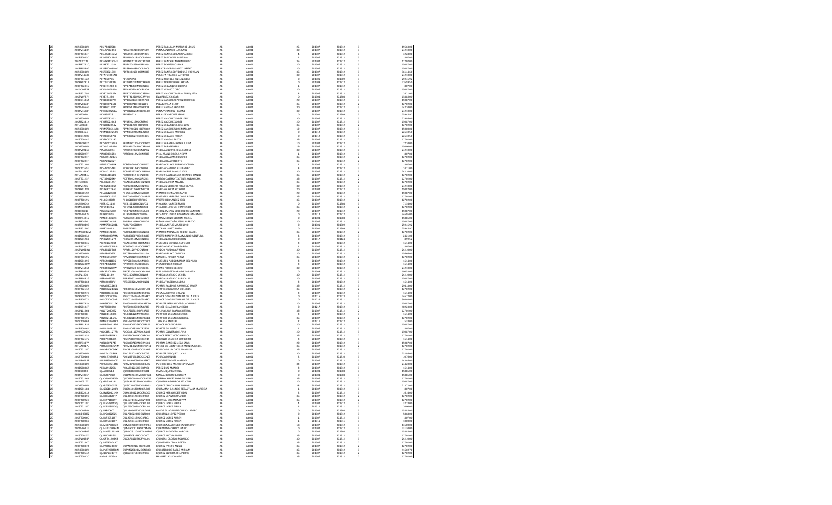|                | 202NE0040V               | PESJ73010518<br>PESL7706215K |                                          | PEREZ SAGUILAN MARIA DE JESUS                                       | AB                    | AB001          | $\begin{array}{c} 25 \\ 30 \end{array}$        | 201307           | 201312<br>201312 |                          | 19563,00<br>24210,00 |
|----------------|--------------------------|------------------------------|------------------------------------------|---------------------------------------------------------------------|-----------------------|----------------|------------------------------------------------|------------------|------------------|--------------------------|----------------------|
| 20<br>20       | 20DTV1610R               |                              | PESL770621HOCXNS09                       | PEÑA SANTIAGO LUIS RAUL                                             | AB                    | AB001          |                                                | 201307           |                  |                          |                      |
| 20<br>20       | 20DST0184T               | PESL8501132M<br>PESM6804184S | PESL850113HOCRNR01                       | PEREZ SANTIAGO LARRY ANDREI<br>PEREZ SANDOVAL MINERVA               | AB<br>AB              | AR001          | $\overline{a}$                                 | 201307           | 201312           |                          | 3228,00              |
|                | 20DES0083C               |                              | PESM680418MOCRNN02                       |                                                                     |                       | AB001          | $\overline{1}$                                 | 201307           | 201312           |                          | 807,00               |
| 20             | 20FZT0011J               | PESM881231M2                 | PESM881231HOCRNX04                       | PEREZ SANCHEZ MAXIMILIANO                                           | AB                    | AB001          | 36                                             | 201307           | 201312           |                          | 12702,00             |
| $_{20}$        | 20DPR2742Q               | <b>PESR870113PK</b>          | PESR870113HOCRYS09                       | PEREZ SAYNES ROSMAR                                                 | AB                    | AB001          | 20                                             | 201307           | 201312           | 3                        | 15087.00             |
| 20             | 20DPR05892               | PESS800408DW                 | PESS800408MOCRSN09                       | PERRY ESCOBAR SANDY JAREHT                                          | AB                    | AB001          | $\overline{20}$                                | 201307           | 201312           |                          | 15087,00             |
|                | 207NF0040V               | PEST630217IH                 |                                          |                                                                     |                       | <b>AR001</b>   |                                                | 201307           | 201312           |                          | 36144.60             |
| 20<br>20       | 20DTV1463Y               |                              | PEST630217HOCRND08                       | PEREZ SANTIAGO TEODULO FROYLAN<br>PERALTA TRUJILLO ANTONIO          | AB<br>AB              |                | 36<br>30                                       | 201307           |                  |                          | 24210,00             |
|                |                          | PETA771021AQ                 |                                          |                                                                     |                       | AB001          |                                                |                  | 201312           |                          |                      |
| 2C<br>2C       | 20DST01122<br>20DPR0731X | PETA870706<br>PETD92102823   | <b>PETA870706</b>                        | PEREZ TRUJILLO ANEL NAYELI<br>PEREZ TREJO DIANA LARISSA             | AB<br>AB              | <b>AR001</b>   | $_{\rm 0}^{\rm 0}$                             | 201301<br>201309 | 201309           |                          | 25945,92<br>27659,50 |
|                |                          |                              | PETD921028MOCRRN09                       |                                                                     |                       | AB001          |                                                |                  | 201312           |                          |                      |
| 20<br>20       | 20DST0231N<br>20DCC0475R | PEVB741230H8<br>PEVC910714AA | PEVB741230MOCRLB03                       | PEREZ VELAZQUEZ BIBIANA                                             | AB<br>AB              | <b>AR001</b>   |                                                | 201307           | 201312           |                          | 807,00               |
|                |                          |                              | PEVC910714HOCRLR09                       | PEREZ VELASCO CIRO                                                  |                       | AB001          | 20                                             | 201307           | 201312           |                          | 15087,00             |
| 20<br>20       | 20DES0179P<br>20DTV0727J | PEVE710715TY                 | PEVE710715MOCRSN01<br>PEVE791220MOCRRV02 | PEREZ VASQUEZ MARIA ENRIQUETA                                       | AB<br>AB              | AB001          | $\begin{smallmatrix} 3 \\ 0 \end{smallmatrix}$ | 201307           | 201312           |                          | 2421,00              |
|                |                          | PEVE791220                   |                                          | <b>EVA PEREZ VARGAS</b>                                             |                       | AB001          |                                                | 201304           | 201308           |                          | 15885,00             |
|                | 20DCC1136Z               |                              | PEVE860407HOCRSP08                       | PEREZ VASQUEZ EPIFANIO RUFINO                                       |                       | AB001          |                                                | 201307           | 201312           |                          | 15087,00             |
| 20<br>20       | 20DTV0458F               | PEVE86040774<br>PEVE8907163B | PEVE890716HOCLLL07                       | PELAEZ VILLA ELIUT                                                  | AB<br>AB              | AB001          | $\begin{array}{c} 20 \\ 36 \end{array}$        | 201307           | 201312           | $\overline{\phantom{a}}$ | 12702.00             |
|                |                          |                              |                                          |                                                                     |                       |                |                                                |                  |                  |                          |                      |
| 20             | 20DTV0556G               | PEVF8611182C                 | PEVF861118HOCRRR03                       | PEREZ VARGAS FROYLAN                                                | AB                    | AB001          | 30                                             | 201307           | 201312           |                          | 24210,00             |
| $_{20}$        | 20DTV1588F               | <b>PEVH820726EA</b>          | PEVH820726MOCXRL00                       | PEÑA VERACRUZ HELIANE                                               | AB                    | AB001          | 30                                             | 201307           | 201312           |                          | 24210.00             |
| 20             | 202NE0060I               | PEVI850223                   | <b>PEVI850223</b>                        | PERALES VASQUEZ ISABEL                                              | AB                    | AB001          | $\,$ 0 $\,$                                    | 201301           | 201309           |                          | 25945,92             |
| $_{20}$        | 202NE0040V               | PEVJ770824S2                 |                                          | PEREZ VASQUEZ JORGE ERIK                                            | AB                    | AB001          | 30                                             | 201307           | 201312           | 3                        | 22986.00             |
| 20             | 20DPB2331N               | PEVJ850216C8                 | PEVJ850216HOCRZR03                       | PEREZ VAZQUEZ JORGE                                                 | AB                    | AB001          | 20                                             | 201307           | 201312           |                          | 15087,00             |
| 20<br>20       | 20ELS0003L               | PEVI 6812054V                | PEVL681205HOCRLS06                       | PEREZ VELAZOUEZ JOSE LUIS                                           | AB                    | <b>AR001</b>   | 36                                             | 201307           | 201312           |                          | 12702.00             |
|                | 202NE0040V               | PEVM790614M8                 | PEVM790614HOCRSR02                       | PEREZ VASQUEZ JOSE MARLON                                           | AB                    | AB001          | 19                                             | 201307           | 201312           |                          | 15000,00             |
|                | 20DPB0454J               | <b>PEVM850225BX</b>          | PEVM850225MSLRLR05                       | PEREZ VELASCO MARIBEL                                               |                       | <b>AR001</b>   | $\mathbf{0}$                                   | 201312           | 201312           |                          | 22630.50             |
| 20<br>20       | 20DCC12890               | PEVR800627BJ                 | PEVR800627HOCRLB01                       | PEREZ VELASCO RUBEN                                                 | AB<br>AB              | AB001          | $\mathbf 0$                                    | 201312           | 201312           |                          | 22630,50             |
|                | 20DST0024F               | PEV28007129G                 |                                          | PEREZ VARGAS ZAETH                                                  | AB                    | AB001          | 36                                             | 201307           | 201312           |                          | 12702,00             |
| 20<br>20       | 20DEE0003Y               | PEZM700130FA                 | PEZM700130MOCRRR00                       | PEREZ ZARATE MARTHA JULISA                                          | AB                    | AB001          | 10                                             | 201307           | 201312           |                          | 7710.00              |
| 20             |                          |                              |                                          |                                                                     |                       | AB001          | 19                                             |                  |                  |                          |                      |
| $_{20}$        | 202NE0040V<br>20DTV0915C | PEZN921024BG<br>PIAA8507054I | PEZN921024MOCRRR04<br>PIAA850705HOCNON02 | PEREZ ZARATE NERI<br>PINEDA AQUINO JOSE ANTONI                      | AB<br>AB              | AB001          | 30                                             | 201307<br>201307 | 201312<br>201312 |                          | 15000,00<br>24210.00 |
|                |                          |                              |                                          |                                                                     |                       |                |                                                |                  |                  |                          |                      |
| 20             | 20DES0097F               | PIAR800612F3                 | PIAR800612MOCNRS03                       | PINA ARANGO ROSA NELVA                                              | AB                    | AB001          |                                                | 201307           | 201312           |                          | 807,00               |
| 20             | 20DST0201T               | PIBM891224US                 |                                          | PINEDA BLAS MARIO JARED                                             | AB                    | AB001          | 36                                             | 201307           | 201312           | $\overline{\phantom{a}}$ | 12702.00             |
| 20             | 20DST0201T               | PIBR7202262T                 |                                          | PINEDA BLAS ROBERTO                                                 | AB                    | AB001          | 36                                             | 201307           | 201312           |                          | 12702,00             |
| 20<br>20       | 2005T0130E               | PIRLIG1020RUK                | PICB610208HOCNLN07                       | PINEDA CELAYA BUENAVENTURA                                          | AB                    | <b>AR001</b>   | $\overline{1}$                                 | 201307           | 201312           |                          | 807.00               |
|                | 20DST0165E               | PICA770614FE                 | PICA770614HOCNSL06                       | PINEDA CASTILLO ALEJANDRO                                           | AB                    | AB001          |                                                | 201307           | 201312           |                          | 2421,00              |
|                | 20DTV1649C               | PICM821225IU                 | PICM821225HOCNRN08                       | PINELO CRUZ MANUEL DE J                                             | AB                    | <b>AR001</b>   | 30                                             | 201307           | 201312           |                          | 24210,00             |
| 20<br>20       | 20FUA0041L               | PICR8501128U                 | PICR850112HOCNSC08                       | PINTOR CASTELLANOS RICARDO DANIEL                                   | AB                    | AB001          | 36                                             | 201307           | 201312           |                          | 12702,00             |
| 20             | 20DST0123F               | PICT890429KP                 | PICT890429MOCRSZ03                       | PRIEGO CASTRO TZATZILTL ALEJANDRA                                   | AB                    | AB001          | 36                                             | 201307           | 201312           |                          | 12702,00             |
| $_{20}$        | 20FJS4008G               | PIGA860615SF                 | PÍGA860615MOCNRN00                       | PINEDA GARCIA ANABEL                                                | AB                    | AB001          | 36                                             | 201307           | 201312           |                          | 12702.00             |
| 20             | 20DTV1206                | PIGR820830GF                 | PIGR820830MOCNRS07                       | PINEDA GUERRERO ROSA OLIVIA                                         | AB                    | AB001          | 30                                             | 201307           | 201312           |                          | 24210,00             |
|                |                          |                              |                                          |                                                                     |                       |                |                                                |                  |                  |                          |                      |
| $_{20}$        | 20DPR0178X               | PIGR830126AG                 | PIGR830126HOCNRC08                       | PINEDA GARCIA RICARDO                                               | AB                    | AB001          | 20                                             | 201307           | 201312           |                          | 15087.00             |
| 20             | 20DEE0019Z               | PIHA761203RB                 | PIHA761203MOCZRY07                       | PIZARRO HERNANDEZ AYDI                                              | AB                    | AB001          | 20                                             | 201307           | 201312           |                          | 15087,00             |
| 2C<br>2C       | 202NF0040V               | <b>PIHD7909255F</b>          | PIHD790925MOCMRR01                       | PIMENTEL HERRERA DORA REINA                                         | AB                    | <b>AR001</b>   |                                                | 201307           | 201312           |                          | 12702.00             |
|                | 20DST0019U               | PIHJ861030TK                 | PIHJ861030HVZRRL06                       | PRIETO HERNANDEZ JOEL                                               | AB                    | AB001          | 36<br>36                                       | 201307           | 201312           |                          | 12702,00             |
|                | 20DNS0001K               |                              | PUE810211HOCNRF01                        | PINACHO JUAREZ EFRAIN                                               |                       | <b>AR001</b>   | $\circ$                                        | 201307           | 201308           |                          | 7134.00              |
| 20<br>20       | 20DML0019F               | PUE810211NI<br>PUF791129JZ   | PUF791129HOCNRR04                        | PINACHO JARQUIN FRANCISCO                                           | AB<br>AB              | AB001          | 36                                             | 201307           | 201312           |                          | 12702,00             |
|                | 20DCI0001Y               |                              | PUS870225MOCXML03                        |                                                                     |                       | <b>AR001</b>   |                                                | 201307           | 201312           |                          | 15087,00             |
| 20<br>20       | 20DTV0517E               | PIJS8702258W<br>PILJ850202JZ | PILJ850202HOCCPV05                       | PIÑON JIMENEZ SOLEDAD TONANTZIN<br>PICHARDO LOPEZ JEOVANNY EMMANUEL | AB<br>AB              | AB001          | $\begin{array}{c} 20 \\ 0 \end{array}$         | 201312           | 201312           |                          | 34695,00             |
|                | 20DPR1491V               | PIMG910518TE<br>PIMJ880101R8 | PIMG910518HOCZDR09<br>PIMJ880101HOCXNS05 | PIZZA MEDINA GERSON RAFAEL<br>PIÑON MONTAÑO JESUS ALFREDO           |                       | AB001          | $\overline{0}$                                 | 201304<br>201307 | 201308           |                          | 15885,00<br>15087,00 |
| 20<br>20       |                          |                              |                                          |                                                                     | AB<br>AB              | AB001          | $20\,$                                         |                  | 201312           |                          |                      |
| 20             | 20DPR00490               | PIMM75062041                 | PIMM750620419                            | PINEDA MATUS MARCELINO                                              | AB                    | AB001          | $\mathbf 0$                                    | 201301           | 201309           |                          | 25945,92             |
| $_{20}$        | 20DES0150K               | PIMP740313                   | PIMP740313                               | PATRICIA PINTO MATA                                                 | AB                    | AB001          | $\circ$                                        | 201301           | 201309           |                          | 25945.92             |
| 20             | 20HMC0012M               | PIMP8612108A                 |                                          | PIZARRO MONTAÑO PEDRO DANIEL                                        | AB                    | AB001          | 36                                             | 201307           | 201312           |                          | 12702,00             |
|                | 200E50003A               | PIMR800907MN                 | PIMP861210HOCZND06<br>PIMR800907HOCRRY00 |                                                                     |                       | <b>AR001</b>   |                                                | 201307           | 201312           |                          | 2421.00              |
| 2C<br>2C       |                          |                              |                                          | PRIETO MARTINEZ RAYMUNDO VENTURA                                    | AB<br>AB              |                | $\overline{a}$<br>$\overline{0}$               |                  |                  |                          |                      |
|                | 20DES0126K               | PINX72051272                 | PINX720512MOCNZC03                       | PINEDA NAZARIO XOCHITL                                              |                       | AB001          |                                                | 201117           | 201124           |                          | 899,52               |
| 20<br>20       | 20DST0033N<br>20DES02022 | PIOA810220K4<br>PIOM700321RA | PIOA810220HOCMLN03                       | PIMENTEL OLIVERA ANTONIO<br>PINEDA ORDAZ MARGARITA                  | AB<br>AB              | <b>AR001</b>   | $\overline{2}$                                 | 201307           | 201312           |                          | 1614,00              |
|                |                          |                              | PIOM700321MOCNRR02                       |                                                                     |                       | AB001          |                                                | 201307           | 201312           |                          | 807.00               |
|                |                          |                              | PIPA841207HOCNRL06                       |                                                                     |                       | <b>AR001</b>   |                                                | 201307           | 201312           |                          | 24210,00             |
| 20<br>20       | 20DTV0649W<br>20ZNE0040V | PIPA841207GB<br>PIPC6804062E | PIPC680406MOCNLL09                       | PINZON PRADO ALFREDO<br>PINEDA PELAYO CLAUDIA                       | AB<br>AB              | AB001          | $\begin{array}{c} 30 \\ 20 \end{array}$        | 201307           | 201312           |                          | 15666,00             |
|                | 20DST0019U               | PIPM870109BV                 |                                          |                                                                     |                       | AB001          |                                                | 201307           | 201312           |                          |                      |
| 20<br>20       | 20DES01390               | PIPP620318DG                 | PIPM870109HOCNRG07<br>PIPP620318MMSMLL04 | MAGDIEL PINEDA PEREZ<br>PIMENTEL PLIEGO MARIA DEL PILAR             | AB<br>AB              | AB001          | $\begin{array}{c} 36 \\ 2 \end{array}$         | 201307           | 201312           |                          | 12702,00<br>1614,00  |
|                | 20DES0230W               | PIPR7405125D                 | PIPR740512MOCCRS05                       | PICAZO PEREZ ROSELIA                                                |                       | AB001          |                                                | 201307           | 201312           |                          | 1614,00              |
| 20<br>20       | 20DTV1625T               | PIPR820920AW                 | PIPR820920HOCRXG06                       | PRIMO PIO RIGOBERTO                                                 | AB<br>AB              | AB001          | 30                                             | 201307           | 201312           |                          | 24210.00             |
|                | 20DPR09788               | PIRC821001FM                 | PIRC821001MOCXMR04                       | PIÑA RAMIREZ MARIA DE CARMEN                                        | AB                    | AB001          | $\mathbf 0$                                    | 201309           | 201312           |                          | 19053,00             |
| 20<br>20       | 20DTV1503I               | PISJ72101391                 | PISJ721013HOCNNV08                       | PINEDA SANTIAGO JAVIER                                              | AB                    | AB001          | 30                                             | 201307           | 201312           |                          | 24210.00             |
| 20             | 20DPR0482G               | PISR920622PS                 | PISR920622MOCNNB03                       | PINEDA SANTIAGO RUBIDALIA                                           | AB                    | AB001          | 20                                             | 201307           | 201312           |                          | 15087,00             |
| 20             | 20DST0046R               | PITS600328PV                 | PITS600328MOCNLN01                       | PINEDA TOLEDO SANDRA                                                | AB                    | AB001          | $\overline{2}$                                 | 201307           | 201312           |                          | 1614.00              |
| 2c             |                          |                              |                                          |                                                                     |                       |                |                                                |                  |                  |                          |                      |
|                | 202NE0040V               | POAA660726E8                 |                                          | PORRAS ALLENDE ARMANDO JAVIER                                       | AB                    | AB001          | 36                                             | 201307           | 201312           |                          | 29418,00             |
| 20<br>20       | 2005T02112               | PORDR50213NG                 | POBD850213MOCRTL04                       | PORTILLO BALITISTA DOLORES                                          | AR                    | <b>AR001</b>   | 36                                             | 201307           | 201312           | $\overline{ }$           | 12702.00             |
|                | 20DST0027C               | POCO820403BQ                 | POCO820403MOCSRR07                       | POSADA CORTES ORLANE                                                | AB                    | AB001          | $\overline{2}$                                 | 201307           | 201312           |                          | 1614,00              |
| 20<br>20       | 20DES0077S               | POGC72040596                 | POGC720405MVZNNR01                       | PONCE GONZALEZ MARIA DE LA CRUZ                                     | AB<br>AB              | <b>AR001</b>   | $\theta$                                       | 201216           | 201223           |                          | 24672.00             |
|                | 20DES0077S               |                              | POGC720405MVZNNR01                       | PONCE GONZALEZ MARIA DE LA CRUZ                                     |                       | AB001          | $\circ$                                        | 201224           | 201311           |                          | 30840,00             |
| 20             | 20DPR0733V               | POHG800511EX                 | POHG800511MOCBRD00                       | POBLETE HERNANDEZ GUADALUPE                                         |                       | AB001          | 20                                             | 201307           | 201312           |                          | 15087,00             |
| $_{20}$        | 20DES0134T               | POIF700606S8                 | POIF700606HOCNGR00                       | PONCE IGNACIO FRANCISCO                                             | AB<br>AB              | AB001          | $\overline{0}$                                 | 201217           | 201312           |                          | 40223.00             |
|                | 20DJN1156B               | POLC72050292                 | POLC720502MDFLRR06                       | POLINA LARA MARIA CRISTINA                                          | AB                    | AB001          | 36                                             | 201307           | 201312           |                          | 12702,00             |
| --<br>20<br>20 | 20DST0038                | <b>POLE811128KK</b>          | POLE811128MVZRGS04                       | PORFIRIO LAGUNES ESTHER                                             | AB                    | AB001          | $\overline{2}$                                 | 201307           | 201312           |                          | 1614.00              |
| 20             |                          |                              |                                          |                                                                     | AB                    |                |                                                |                  |                  |                          |                      |
|                | 20DST0019U<br>20DST0046R | POLR821116PA<br>POMA570602P1 | POLR821116MOCRGQ08<br>POXM570602HOCSXN05 | PORFIRIO LAGUNES RAQUEL<br>. POSADA MANUEL                          | AB                    | AB001<br>AB001 | $\begin{array}{c} 36 \\ 2 \end{array}$         | 201307<br>201311 | 201312<br>201312 |                          | 12702,00<br>538.00   |
| 20             |                          |                              |                                          |                                                                     |                       |                |                                                |                  |                  |                          |                      |
| 20             | 20DPR0193P               | POMP900129T4                 | POMP900129HOCNRL04                       | PONCE MORENO PAUL                                                   | AB                    | AB001          | 20                                             | 201307           | 201312           |                          | 15087,00             |
| 20<br>20       | 200E500365               | PONIR1053141                 | PONIS10531MV2RX501                       | PORTES GIL NUÑEZ ISAREL                                             | AB<br>$\overline{AB}$ | <b>AR001</b>   | $\overline{1}$                                 | 201307           | 201312           |                          | 807.00               |
|                | 20HMC0025Q               | POOD83112773                 | POOD831127MOCRLL05                       | PORRAS OLIVERA DELFINA                                              |                       | AB001          | 20                                             | 201307           | 201312           |                          | 15087,00             |
|                | 20DJN1333P               |                              | POPV790801HOCNRC02                       | PONCE PEREZ VICTOR HUGO                                             | AB                    | AB001          | 36                                             | 201307           | 201312           |                          | 12702,00             |
| 20<br>20       | 20DST0217U               | POPV790801K2                 | POSC750319HOCRNT19                       | ORCALLO SANCHEZ CUTBERTO                                            | AB                    | AB001          | $\overline{2}$                                 | 201307           | 201312           |                          | 1614,00              |
| 20             | 20DPR3337P               | POSL80071743                 | POSL800717MOCRNS04                       | PORRAS SANCHEZ LESLI SARAI                                          | AB                    | AB001          | $_{\rm 20}$                                    | 201307           | 201312           |                          | 15087,00             |
| $_{20}$        | 20FUA0017L               | POTM810325NM                 | POTM810325MOCNLN11                       | PONCE DE LEON TELLEZ MONICA ISABEL                                  | AB                    | AB001          | 36                                             | 201307           | 201312           |                          | 12702.00             |
| 20             | 20DST0119T               | POVA810805GX                 | POVA810805MOCSLN06                       | POSADA VILLALOBOS ANA LIDIA                                         | AB                    | AB001          | 36                                             | 201307           | 201312           |                          | 12702,00             |
| $_{20}$        | 202NE0040V               | <b>POVL741018AH</b>          | POVL741018HOCBSC06                       | POBLETE VASQUEZ LUCAS                                               | AB                    | AB001          | 30                                             | 201307           | 201312           | 3                        | 23286.00             |
| 20             | 20DST0046R               | POXM570602P1                 | POXM570602HOCSXN05                       | POSADA MANUEL                                                       | AB                    | AB001          | $\overline{2}$                                 | 201307           | 201310           |                          | 1076,00              |
| 20             | 20DNP0014F               | PULM890609C7                 | PULM890609MOCRPR02                       | PRUDENTE LOPEZ MARISOL                                              | AR                    | <b>AR001</b>   | $\Omega$                                       | 201307           | 201312           |                          | 14346.00             |
| 20             | 202NE0040V               | PURM8706184C                 | PURM870618HOCCBL06                       | PUCH ROBLES MILTHON YOVANY                                          | AB                    | AB001          | 32                                             | 201307           | 201312           |                          | 24420,00             |
|                | 20DES0086Z               | PXDA891226JL                 | PXDA891226HOCRZNO6                       | ΡΕΒΕΖ ΒΙΔΖ ΔΜΔΒΩ                                                    |                       | <b>AR001</b>   | $\overline{z}$                                 | 201307           | 201312           |                          | 1614.00              |
| 2C<br>2C       | 20DCC0823H               | QUAI860618                   | QUAI860618HOCRVS01                       | ISMAEL QUIROZ AVILA                                                 | AB<br>AB              | AB001          | $\overline{0}$                                 | 201304           | 201308           |                          | 15885,00             |
|                |                          |                              |                                          |                                                                     |                       |                |                                                |                  |                  |                          |                      |
| 20<br>20       | 20DTV1001P               | QUBM870405                   | QUBM870405MOCRTG08                       | MAGALI QUERO BAUTISTA                                               | AB                    | AB001          | $\circ$                                        | 201304           | 201308           |                          | 15885,00             |
|                | 20DST0186R               | QUCM901030l9                 | QUCM901030MOCRHY19                       | QUERO CHAVEZ MAYRELI YIZEL                                          | AB                    | AB001          | 36                                             | 201307           | 201312           |                          | 12702.00             |
| 20             | 20DIN05172               | QUGA910323IL                 | QUGA910323MOCNM208                       | QUINTANA GAMBOA AZUCENA                                             | AB                    | AB001          | $20\,$                                         | 201307           | 201312           |                          | 15087,00             |
| $_{20}$        | 202NE0040V               | QUGL73080572                 | QUGL730805MOCRRN02                       | QUIROZ GARCIA LINA AMABEL                                           | AB                    | AB001          | 28                                             | 201307           | 201312           |                          | 21372.00             |
| 20             | 20DES0118B               | QUGS6101203R                 | QUGS610120MOCZLB08                       | QUIZAMAN GALINDO SEBASTIANA MARICELA                                | AB                    | AB003          |                                                | 201307           | 201312           |                          | 807,00               |
| $_{20}$        | 20DES0201A               | <b>QUHV820421NK</b>          | QUHV820421HOCRRD00                       | QUIROZ HERNANDEZ VIDAL                                              | AB                    | AB001          | $\overline{2}$                                 | 201307           | 201312           |                          | 1614.00              |
| 20             | 20DST00490               | QULB850128TP                 | QULB850128HOCRPR05                       | QUIROZ LEPEZ BERNARDO                                               | AB                    | AB001          | 36                                             | 201307           | 201312           |                          | 12702,00             |
|                | 2005T00920               | QULC7711069T<br>QULE6503042Q | QUI C771106MOC2YR08                      | CRISTINA QUEZADA LEYVA                                              | AB                    | <b>AR001</b>   |                                                | 201307           | 201312           |                          | 12702.00             |
| 2C<br>2C       | 20DST0119T               |                              | QULE650304MOCRPL03                       | QUIROZ LOPEZ ELENA                                                  | $\overline{AB}$       | AB001          | $\begin{array}{c} 36 \\ 4 \end{array}$         | 201307           | 201312           |                          | 3228,00              |
|                | 20DST0119T               |                              | QULE650304MOCRPL03                       |                                                                     |                       | <b>AR001</b>   | $\overline{4}$                                 | 201311           | 201311           |                          | 2000.00              |
| 2C<br>2C       | 20DCC0820K               | QULE6503042Q                 | QULH800607MOCRZY03                       | QUIROZ LOPEZ ELENA<br>HAYDE GUADALUPE QUERO LAZARO                  | AB<br>AB              | AB001          | $\ddot{\circ}$                                 | 201304           | 201308           |                          | 15885,00             |
|                |                          |                              |                                          |                                                                     |                       | AB001          | $\bf{0}$                                       | 201307           | 201312           |                          |                      |
| 20<br>20       | 20AGD0003Z<br>20DST0006Q | QULP68022025<br>QULR750316F7 | QULP680220HOCNPD00                       | QUINTANA LOPEZ PEDRO<br>QUIROZ LOPEZ RUBEN                          | AB<br>AB              | AB001          | $\mathbf{1}$                                   | 201307           | 201312           |                          | 5868,00              |
|                |                          |                              | QULR750316HOCRPB01                       |                                                                     |                       | <b>AR001</b>   |                                                |                  |                  |                          | 1000,00              |
| 20<br>20       | 20DST0006Q<br>20ZNE0040V | QULR750316F7<br>QUMC8708092P | QUMC870809HOCRRR04                       | QUIROZ LOPEZ RUBEN<br>QUIROGA MARTINEZ CARLOS URIT                  | AB<br>AB              | AB001          | $18\,$                                         | 201311<br>201307 | 201311<br>201312 |                          | 13500,00             |
|                |                          |                              |                                          |                                                                     |                       |                |                                                |                  |                  |                          |                      |
| 20<br>20       | 20DTV0611J               | QUME8109184M                 | QUME810918HOCZRM08                       | QUEZADA MORENO EMILIO                                               | AB                    | AB001          |                                                | 201307           | 201312           |                          | 23130,00             |
|                | 20DCC08802               | QUMN791102NR                 | QUMN791102MOCRNR05                       | QUIROZ MENDOZA NARCISA                                              | AB                    | AB001          | $\Omega$                                       | 201304           | 201308           |                          | 15885,00             |
| 20             | 20DST0015Y               | QUNI8708161S                 | QUNI870816HOCRCV07                       | QUIROZ NICOLAS IVAN                                                 | AB                    | AB001          | 36                                             | 201307           | 201312           |                          | 12702,00             |
| $_{20}$        | 20DTV0424F               | QUOR741205K3                 | QUOR741205HDFNRL01                       | QUINTAS OROZCO ROLANDO                                              | AB                    | AB001          | 30                                             | 201307           | 201312           |                          | 24210.00             |
| 20             | 20DST0184T               | QUPA730804AC                 |                                          | QUINTO POLITO ALBERTO                                               | AB                    | AB001          | 36                                             | 201307           | 201312           |                          | 12702,00             |
| $\overline{2}$ | 20DST0087R               | QUPA8202169Y                 | QUPA820216HOCRRN03                       | QUIROZ PRIETO ANGEL                                                 | AB                    | AB001          | 36                                             | 201307           | 201312           | $\overline{2}$           | 12702.00             |
| 20             | 202NE0040V               | QUPM7208288N                 | QUPM720828MOCNBR01                       | QUINTERO DE PABLO MIRIAM                                            | AB                    | AB001          | 36                                             | 201307           | 201312           |                          | 41669,70             |
| 20             | 2005T00547               | QUQ1710713TT                 | QUQJ710713HOCRRL07                       | OUROZ OUROZ IOEL PEDRO                                              | AR                    | <b>AR001</b>   | 36                                             | 201307           | 201312           |                          | 12702.00             |
|                | 20DST0032O               | RAAA8104264A                 |                                          | RAMIREZ AGUDO AIDE                                                  | AB                    | AB001          | 36                                             | 201307           | 201312           | $\overline{a}$           | 12702,00             |
|                |                          |                              |                                          |                                                                     |                       |                |                                                |                  |                  |                          |                      |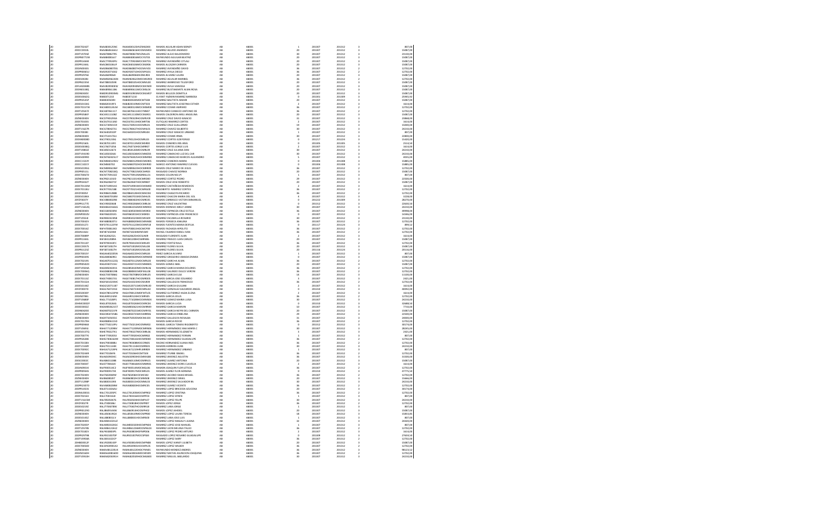| 20             | 20DST0242T               | RAAA830125NC                 | RAAA830125HVZMGD00                       | RAMOS AGUILAR ADAN SIDNEY                                       |                 | AB001                 | 201307                                                          | 201312           |                          | 807,00               |
|----------------|--------------------------|------------------------------|------------------------------------------|-----------------------------------------------------------------|-----------------|-----------------------|-----------------------------------------------------------------|------------------|--------------------------|----------------------|
|                | 200CC0010L               | <b>RAAAR60616AU</b>          | RAAARG0616HOCMGM03                       | <b>RAMIREZ AGUIDO AMANDO</b>                                    | <b>AR</b>       | <b>AR001</b>          | 20<br>201307                                                    | 201312           |                          | 15087,00             |
| 20<br>20       | 20DTV0704Z               | RAAB780827R5                 | RAAB780827MVZMLL05                       | RAMIREZ ALEJO BALDOMERO                                         | AB              | AB001                 | 30<br>201307                                                    | 201312           |                          | 23130,00             |
|                | 20DPR0772W               | RAAR84081617                 | RAARS40816MOCYGT03                       | RAYMUNDO AGUILAR BEATRIZ                                        | AB              | <b>AR001</b>          | 201307                                                          | 201312           |                          |                      |
| 20<br>20       |                          |                              |                                          |                                                                 | $\overline{AB}$ |                       | $\begin{array}{c} 20 \\ 20 \end{array}$                         |                  |                          | 15087,00             |
|                | 20DPR1444K               | RAAC770924PU                 | RAAC770924MOCMVT01                       | RAMIREZ AVENDAÑO CITLALI                                        |                 | AB001                 | 201307                                                          | 201312           |                          |                      |
|                | 20DPR1344L               | RAAC840106UF                 | RAAC840106MOCMLR06                       | RAMOS ALCAZAR CARMEN                                            | AB<br>AB        | AB001                 | $^{20}$<br>201307                                               | 201312           |                          | 15087,00             |
| $_{20}$        | 20DJN0043S               | RAAD860807DG                 | RAAD860807HOCMVV03                       | RAMIREZ AVENDAÑO DAVID                                          |                 | AB001                 | 36<br>201307                                                    | 201312           |                          | 12702.00             |
| 20             | 20DPR0065U               | RAAD920710A2                 | RAAD920710HOCMYG01                       | RAMIREZ AYALA DIEGO                                             | AB              | AB001                 | 36<br>201307                                                    | 201312           |                          | 12702,00             |
| $_{20}$        | 20DPR2976E               | RAAL8609064I                 | RAAL860906MVZMLR04                       | RAMOS ALVAREZ LAURA                                             | AB              | AB001                 | 20<br>201307                                                    | 201312           |                          | 15087.00             |
| 20             | 20DES0028J               | RAAM8206226N                 | RAAM820622MOCMGR03                       | RAMIREZ AGUILAR MARIBEL                                         | AB              | AB001                 | 36<br>201307                                                    | 201312           |                          | 12702,00             |
| $_{20}$        | 20DPB2235K               | RAAT8801059E                 | RAAT880105HOCMML00                       | RAMIREZ AMBROSIO TELESFORO                                      | AB              | AB001                 | 20<br>201307                                                    | 201312           | $\overline{\mathbf{a}}$  | 15087.00             |
| 20             | 20FUA0048M               | RAAV820930EW                 | RAAV820930MOCMVN09                       | RAMIREZ AVILA VANESSA                                           | AB              | AB001                 | $^{20}$<br>201307                                               | 201312           |                          | 15087,00             |
| 20             | 20DIN0138Q               | RABA890611B6                 | RABA890611MOCMSL04                       | RAMIREZ BUSTAMANTE ALMA ROSA                                    | AB              | AB001                 | 20<br>201307                                                    | 201312           | $\overline{ }$           | 15087.00             |
| 20             | 20DIN0430V               | RABD910903MG                 | RABD910903MOCMLM07                       | RAMOS BELLEZA DOMITILA                                          | AB              |                       | $20\,$<br>201307                                                |                  |                          |                      |
|                | 20DES00620               |                              |                                          | FI YANT YAZMIN RAMIREZ RARROSA                                  |                 | AB001<br><b>AR001</b> | $\Omega$                                                        | 201312<br>201309 |                          | 15087,00             |
|                |                          |                              | RABE871210                               |                                                                 | AB              |                       | 201301                                                          |                  |                          | 25945.92             |
| 20<br>20       | 20DPR3535F               | RABE871210<br>RABI8305049I   | RABI830504MOCMTS08                       | RAMIREZ BAUTISTA ISMARI                                         | AB              | AB001                 | 20<br>201307                                                    | 201312           |                          | 15087,00             |
| 20             | 20DES0154G               | RABJ820319FS                 | RABJ820319MOCMTS03                       | RAMIREZ BAUTISTA JOSEFINA ESTHER                                | AB              | <b>AR001</b>          | $\,2\,$<br>201307                                               | 201312           |                          | 1614.00              |
| 20             | 20DST0157W               | RACA800124LM                 | RACA800124MOCMSM00                       | RAMIREZ COSME AMPARO                                            | AB              | AB001                 | 36<br>201307                                                    | 201312           |                          | 12702,00             |
| 20             | 20DTV05472               | RACA87061117                 | RACA870611HOCYNN07                       | RAYMUNDO CANSECO ANTONIO DE                                     | AB              | AB001                 | 36<br>201307                                                    | 201312           |                          | 12702,00             |
| $_{20}$        | 20DPR3584Y               | RACA911110BZ                 | RACA911110MOCMLR01                       | RAMOS CALDERON ARELI ANGELINA                                   | AB              | AB001                 | 20<br>201307                                                    | 201312           |                          | 15087.00             |
| 20             | 202NE0040V               | RACD7903293A                 | RACD790329HOCMRV09                       | RAMIREZ CRUZ DAVID IGNACIO                                      | AB              | AB001                 | 31<br>201307                                                    | 201312           |                          | 23868,00             |
|                |                          |                              |                                          |                                                                 |                 |                       |                                                                 |                  |                          |                      |
| $_{20}$        | 20DST0103S               | RACE670113AD                 | RACE670113HOCMRT06                       | EUTIQUIO RAMIREZ CORTES                                         | AB              | AB001                 | $\overline{2}$<br>201307                                        | 201312           |                          | 1614.00              |
| 20             | 202NE0040V               | RACG73092159                 | RACG730921HOCMRL01                       | RAMIREZ CRUZ GUILLERMO                                          | AB              | AB001                 | 19<br>201307                                                    | 201312           |                          | 15000,00             |
| $\overline{2}$ | 20DTV1627R               | RACG780427LS                 | RACG780427HOCMHL01                       | RAMIREZ CHAVEZ GILBERTO                                         | AB              | AB001                 | 30<br>201307                                                    | 201312           |                          | 24210.00             |
| 20             | 20DST0038                | RACI640201DP                 | RACI640201HOCMRG04                       | RAMIREZ CRUZ IGNACIO URBANO                                     | AB              | AB001                 | ï<br>201307                                                     | 201312           |                          | 807,00               |
| 2C<br>2C       | 202NF0040V               | RAC1751017GU                 |                                          | <b>RAMIREZ COSME IRMA</b>                                       | AB              | <b>AR001</b>          | 30<br>201307                                                    | 201312           |                          | 22800.00             |
|                | 20DSN0008D               | RAC1790123SG                 | RAC1790123HOCMRL03                       | RAMIREZ CORTES ILDEFONSO                                        | $\overline{AB}$ | AB001                 | ō<br>201217                                                     | 201224           |                          | 15420,00             |
|                | 20DPR2160L               | RACI870113F0                 | RACI870113MOCMSR00                       | RAMOS CISNEROS IRIS ANEL                                        |                 | <b>AR001</b>          | $\circ$<br>201305                                               | 201305           |                          | 2514.50              |
| 20<br>20       | 20DES0038Q               | RACJ76071056                 | RACJ760710HOCMRR07                       | RAMOS CORTES JORGE LUIS                                         | AB<br>AB        | AB001                 | 201307<br>$\overline{2}$                                        | 201312           |                          | 1614,00              |
| 20             | 20DTV08022               | RACJ85012673                 | RACJ850126MOCMRL09                       | RAMIREZ CRUZ JULIANA DAN                                        | AB              | AB001                 | 30<br>201307                                                    | 201312           |                          | 24210,00             |
| $_{20}$        | 20DTV0419D               | RACL8503264J                 | RACL850326MOCMMZ03                       | RAMIREZ CAMACHO LUZ DEL CAR                                     | AB              | AB001                 | 30<br>201307                                                    | 201312           |                          | 24210.00             |
|                |                          |                              |                                          |                                                                 |                 |                       |                                                                 |                  |                          |                      |
| 20             | 20DES0099D               | RACM760425U7                 | RACM760425HOCMMR04                       | RAMIREZ CAMACHO MARCOS ALEJANDRO                                | AB              | AB001                 | $\overline{\mathbf{S}}$<br>201307                               | 201312           |                          | 4035,00              |
| $_{20}$        | 20DCC1533Y               | RACM840129GV                 | RACM840129MOCMSR05                       | RAMIREZ CISNEROS MAIRA                                          | AB              | AB001                 | $\circ$<br>201304                                               | 201308           |                          | 15885.00             |
| 20             | 20DCC1021Y               | RACM840702                   | RACM840702HOCMVR00                       | MARCO ANTONIO RAMIREZ CUEVAS                                    | AB              | AB001                 | 201304                                                          | 201308           |                          | 15885,00             |
| $_{20}$        | 20DES0195G               | RACM8906196F                 | RACM890619HOCMRR09                       | RAMOS CRUZ MARIO DE JESUS                                       | AB              | AB001                 | 36<br>201307                                                    | 201312           | $\overline{2}$           | 12702.00             |
| 20             | 20DPR0511L               | RACN7708218Q                 | RACN770821MOCSHR03                       | RASGADO CHAVEZ NORMA                                            | AB              | AB001                 | 20<br>201307                                                    | 201312           |                          | 15087,00             |
| 20             | 2005T00670               | RACN77091322                 | RACN770913MGRMLL01                       | <b>RAMOS COLON NELVY</b>                                        | AR              | <b>AR001</b>          | $\overline{1}$<br>201307                                        | 201312           |                          | 807.00               |
| 20             | 202NE0040V               | RACP821101ID                 | RACP821101HOCMRD00                       | RAMIREZ CORTEZ PEDRO                                            | AB              | AB001                 | 29<br>201307                                                    | 201312           |                          | 22500,00             |
|                | 200PR3432T               | RACR6206071F                 | RACR620607HOCMRR07                       |                                                                 |                 | <b>AR001</b>          | 201307                                                          | 201312           |                          | 15087.00             |
| 2C<br>2C       | 20DST0133M               | RACR710901A3                 | RACR710901MOCMSM00                       | RAMOS CRUZ JOSE ROBERTO<br>RAMIREZ CASTAÑEDA REMEDIOS           | AB<br>AB        | AB001                 | $\begin{array}{c} 20 \\ 2 \end{array}$<br>201307                | 201312           |                          | 1614,00              |
|                |                          |                              |                                          |                                                                 |                 |                       |                                                                 |                  |                          |                      |
|                | 20DST0118U<br>20FZF0005F |                              |                                          |                                                                 |                 | AB001                 | 201307<br>201307                                                | 201312<br>201312 |                          | 12702,00<br>12702,00 |
| 20<br>20       |                          | RACR770321BE<br>RACR86012888 | RACR770321HOCMRG00<br>RACR860128HOCMHO04 | RIGOBERTO RAMIREZ CORTES<br>RAMIREZ CHAGOYA RICARDO             | AB<br>AB        | AB001                 | $\begin{array}{c} 36 \\ 36 \end{array}$                         |                  |                          |                      |
| 20<br>20       | 20DES0184A               | RACS8407018M                 | RACS840701MOCMHL05                       |                                                                 | AB<br>AB        | <b>AR001</b>          | 201307                                                          | 201312           |                          | 3228.00              |
|                | 20FZF0037Y               |                              | RACV880402HOCMRC05                       |                                                                 |                 | AB001                 | 201222<br>$\mathbf 0$                                           | 201309           |                          | 28270,00             |
| 20<br>20       | 20DPR1177E               | RACV90020618                 | RACV900206MOCMRL04                       | RAMIREZ CRUZ VALENTINA                                          | AB<br>AB        | AB001                 | $\mathbf 0$<br>201312                                           | 201312           |                          | 22630,50<br>24210,00 |
|                | 20DTV1652Q               | RADA861016GG                 | RADA861016MOCMNR03                       | RAMOS DIONISIO ARELY JANNE                                      |                 | AB001                 | 30<br>201307                                                    | 201312           |                          |                      |
|                | 202NE0040V               | RAEC600503R4                 | RAEC600503MOCMSR03                       |                                                                 |                 | AB001                 | 36<br>201307                                                    | 201312           |                          | 49998,00             |
| 20<br>20       | 20DNP0010\               | RAEF860201K5                 | RAEF860201HOCMSR03                       | RAMIREZ ESPINOZA CRUZ ESTELA<br>RAMIREZ ESPINOZA JOSE FRANCISCO | AB<br>AB        | AB001                 | $\circ$<br>201307                                               | 201312           |                          | 14346,00             |
|                |                          |                              |                                          |                                                                 |                 |                       |                                                                 |                  |                          |                      |
| 20<br>20       | 20DTV0554                | RAER850323NB                 | RAER850323MOCMSS09                       | RAMIREZ ESCAMILLA ROSARIO                                       | AB              | AB001                 | 30<br>201307                                                    | 201312           |                          | 23130,00             |
|                | 20DST0042V               | RAFA880820TU                 | RAFA880820MOCMNN08                       | RAMOS FONSECA ANALINA                                           | AB              | AB001                 | 36<br>201307                                                    | 201312           | $\overline{2}$           | 12702.00             |
| 20             | 20DES0127J               | RAFD741122FW                 | RAFD741122MOCMNF18                       | RAMOS FUENTES MARIA DEIFILIA                                    | AB              | AB001                 | $\rm ^o$<br>201117                                              | 201124           |                          | 899,52               |
| 20<br>20       | 20DST00142<br>20DJN1363J | RAFH700813K3<br>RAFI871024MI | RAFH700813HOCMCP09                       | RAMOS FACHADA HIPOLITO                                          | AB<br>AB        | <b>AR001</b>          | $\begin{array}{c} 36 \\ 36 \end{array}$<br>201307<br>201307     | 201312           |                          | 12702,00<br>12702,00 |
|                |                          |                              | RAFI871024HMNFJS09                       | RAFAEL FAJARDO ISRAEL IVAN                                      |                 | AB001                 |                                                                 | 201312           |                          |                      |
| 20<br>20       | 20DST0089P<br>20DPR1344L | RAFJ6206252L<br>RAFJ8412089A | RAFJ620625HOCSLN09                       | RASGADO FLORENTE JUAN<br>RAMIREZ FRASCO JUAN CARLOS             | AB<br>AB        | <b>AR001</b>          | $\begin{smallmatrix}2\\20\end{smallmatrix}$<br>201307<br>201307 | 201312           |                          | 1614,00              |
|                |                          |                              | RAFJ841208HCSMRN06                       |                                                                 |                 | AB001                 |                                                                 | 201312           |                          | 15087,00             |
|                | 20DST0114Y               |                              |                                          | RAMIREZ FORTIZ RAUL                                             |                 | AB001                 | 201307                                                          | 201312           |                          | 12702,00             |
| 20<br>20       | 20DCC0037S               | RAFR790410FC<br>RAFS8710027H | RAFR790410HOCMRL09<br>RAFS871002MOCMLL08 | RAMIREZ FLORES SILVIA                                           | AB<br>AB        | AB001                 | $\begin{array}{c} 36 \\ 20 \end{array}$<br>201307               | 201312           |                          | 15087,00             |
|                |                          |                              | RAFS871002MOCMLL08                       |                                                                 |                 | AB001                 |                                                                 |                  |                          | 20116,00             |
| 20<br>20       | 20DPB1123Z               | RAFS8710027H                 |                                          | RAMIREZ FLORES SILVIA                                           | AB<br>AB        |                       | $^{20}$<br>201116                                               | 201124           |                          |                      |
|                | 20DST0015Y               | RAGA6402205N                 | RAGA640220HOCMRL04                       | RMEZ GARCIA ALVARO                                              |                 | AB001                 | 201307<br>$\overline{1}$                                        | 201312           |                          | 807,00               |
| 20<br>20       | 20DPR0439S               | RAGA800609CJ                 | RAGA800609MOCMRM00                       | RAMIREZ GREGORIO AMADA ENIMIA                                   | AB              | AB001                 | 201307                                                          | 201312           |                          | 15087,00             |
|                | 20DST0219S               | RAGA8701122Q                 | RAGA870112MOCMRL00                       | RAMIREZ GARC=A ALMA                                             | AB              | AB001                 | 36<br>201307                                                    | 201312           | $\overline{ }$           | 12702.00             |
| 20             | 20DPR0502D               | RAGA930721HJ                 | RAGA930721HOCMMB05                       | RAMOS GOMEZ ABEL                                                | AB              | AB001                 | 20<br>201307                                                    | 201312           |                          | 15087,00             |
| $_{20}$        | 20DTV0504A               | RAGD8504201S                 | RAGD850420MOCMRL06                       | RAMIREZ GARCIA MARIA DOLORES                                    | AB              | AB001                 | 36<br>201307                                                    | 201312           |                          | 12702.00             |
| 20             | 20DST0006Q               | RAGD8808319B                 | RAGD880831MDFMLL08                       | RAMIREZ GALINDO DULCE VERONI                                    | AB              | AB001                 | $\begin{array}{c} 36 \\ 14 \end{array}$<br>201307               | 201312           |                          | 12702,00             |
| $_{20}$        | 202NE0040V               | RAGE7007086G                 | RAGE700708MOCMRL05                       | RAMIREZ GARCIA ELSA                                             | AB              | AB001                 | 201307                                                          | 201312           | 3                        | 11100.00             |
| 20             | 20DST01132               | RAGE740817JG                 | RAGE740817HOCMRD05                       | RAMOS GARCIA JOSE EDUARDO                                       | AB              | AB001                 | 201307<br>$\overline{\mathbf{3}}$                               | 201312           |                          | 2421,00              |
| 20             | 20DST0152A               | RAGF641023MC                 | RAGF641023HOCMLR09                       | RAMIREZ GALLEGOS FRANCISCO                                      | AB              | AB001                 | 36<br>201307                                                    | 201312           |                          | 12702.00             |
|                |                          |                              |                                          |                                                                 |                 |                       |                                                                 |                  |                          |                      |
| 20             | 20DES01442               | RAGG520711B7                 | RAGG520711MOCMRL00                       | RAMIREZ GARCIA GIULIANI                                         | AB              | AB001                 | 201307<br>$\overline{2}$                                        | 201312           |                          | 1614,00              |
|                | 20E2E0007D               | RAGG760723S3                 | RAGG760723HOCMNL02                       | RAMIREZ GONZALEZ GILDARDO ANGEL                                 | AB              | <b>AR001</b>          | $\circ$<br>201310                                               | 201312           |                          | 40092.00             |
| 20<br>20       | 20DES0030Y               | RAGH780123PW                 | RAGH780123MDFMTL05                       | RAMIREZ GUTIERREZ HILDA ELENA                                   | $\overline{AB}$ | AB001                 | 201307<br>$\overline{2}$                                        | 201312           |                          | 1614,00              |
| 20<br>20       | 20DJN0784L               | RAGJ690124JM                 | RAGJ690124HOCMRS05                       | RAMOS GARCIA JESUS                                              | AB              | AB001                 | 36<br>201307                                                    | 201312           |                          | 12702,00             |
|                | 20DTV0680F               | RAGL771028P1                 | RAGL771028MOCMMS04                       | RAMIREZ GOMEZ MARIA LUISA                                       | AB              | AB001                 | 30<br>201307                                                    | 201312           |                          | 24210,00             |
| 20             | 20HMC0002R               | RAGL870326IG                 | RAGL870326MOCMRC04                       | RAMOS GARCIA LUCIA                                              | AB              | AB001                 | $\circ$<br>201310                                               | 201312           |                          | 32688,50             |
| $_{20}$        | 20DEE00022               | RAGM8506215T                 | RAGM850621HOCMRR09                       | <b>RAMIREZ GARCIA MARVIN</b>                                    | AB              | AB001                 | 10<br>201307                                                    | 201312           |                          | 7710.00              |
| 20             |                          |                              |                                          |                                                                 |                 | AB001                 |                                                                 | 201312           |                          |                      |
|                | 20DIN0420O               | RAGN870221F9                 | RAGN870221MOCMRY01                       | RAMIREZ GARCIA NEYRI DEL CARMEN                                 | AB              |                       | 20<br>201307                                                    |                  |                          | 15087,00             |
| $_{20}$        | 202NE0040V               | RAGO85072586                 | RAGO850725MCSMRR06                       | RAMIREZ GARCIA ORBELINA                                         | AB              | AB001                 | 29<br>201307                                                    | 201312           | 3                        | 22500.00             |
| 20             | 202NE0040V               | RAGR7505055C                 | RAGR750505MOCMLS03                       | RAMIREZ GALLEGOS ROSALBA                                        | AB              | AB001                 | 31<br>201307                                                    | 201312           |                          | 24000,00             |
| $_{20}$        | 20DST0179H               | RAGR8806115D                 |                                          | RAMOS GARCIA ROCIO                                              | AB              | AB001                 | 36<br>201307                                                    | 201312           |                          | 12702.00             |
| 20             | 20DPR0946X               | RAGT750213PU                 | RAGT750213HOCNRM02                       | RANGEL GARCIA TOMAS RIGOBERTO                                   | AB              | AB001                 | 201312<br>$\mathbf 0$                                           | 201312           |                          | 30174,00             |
| 20<br>20       | 200TV06931               | RAHA771209RV                 | RAHA771209MOCMRN06                       | RAMIREZ HERNÁNDEZ ANA MARÍA C                                   | AB              | <b>AR001</b>          | 30<br>201307                                                    | 201312           | 3                        | 28245.00             |
|                | 20DES0137Q               | RAHE790227K1                 | RAHE790227MOCMRL06                       | RAMOS HERNANDEZ ELIZABETH                                       | AB              | AB001                 | 201307<br>$\overline{\mathbf{3}}$                               | 201312           |                          | 2421,00              |
|                | 20DST0077K               | RAHF77092053                 | RAHF770920HOCMRR02                       | RAMIREZ HERNANDEZ FERMIN                                        |                 | <b>AR001</b>          | 201307                                                          | 201312           |                          | 807,00               |
| 20<br>20       | 20DPR2638E               | RAHG7406164W                 | RAHG740616HOCMRD00                       | RAMIREZ HERNANDEZ GUADALUPE                                     | AB<br>AB        | AB001                 | 36<br>201307                                                    | 201312           |                          | 12702,00             |
| 20             | 20DST0158V               | RAHJ7903088U                 | RAHJ790308MOCCRN05                       | RACINE HERNANDEZ JUANA INES                                     | AB              | AB001                 | 36<br>201307                                                    | 201312           | $\overline{ }$           | 12702,00             |
| $_{20}$        | 20DTV15381               | RAHJ7911144K                 | RAHJ791114HOCMRN01                       | RAMON HERRERA JUAN                                              | AB              | AB001                 | 30<br>201307                                                    | 201312           |                          | 24210.00             |
| 20             | 20DST0092C               | RAHU671219P4                 | RAHU671219HPLMRR09                       | RAMIREZ HERNANDEZ URBANO                                        | AB              | AB001                 | 1<br>201307                                                     | 201312           |                          | 807,00               |
|                |                          |                              |                                          |                                                                 |                 |                       |                                                                 |                  |                          |                      |
| $_{20}$        | 20DST0244R               | RAI/770106FB                 | RAII770106HOCMTS04                       | RAMIREZ ITURBE ISMAEL                                           | AB              | AB001                 | 36<br>201307                                                    | 201312           | $\overline{2}$           | 12702.00             |
| 20             | 202NE0040V               | RAJA650903KC                 | RAJA650903HOCMMG08                       | RAMIREZ JIMENEZ AGUSTIN                                         | AB              | AB001                 | 36<br>201307                                                    | 201312           |                          | 31500,00             |
| $\overline{2}$ | 20ESC00020               | RAJA86011088                 | RAJA860110MOCMRN15                       | RAMIREZ JUAREZ ANTONIA                                          | AB              | AB001                 | 20<br>201307                                                    | 201312           |                          | 15087.00             |
| 20             | 20DST0003T               | RAID770816IV                 | RAID770816MOCMMR01                       | RAMIREZ JIMENEZ DORIS CLAVELIA                                  | AB              | AB001                 | 201307                                                          | 201312           |                          | 1614,00              |
| 20             | 20D IN0901K              | RAIF900514C2                 | RAIF900514MOCMOL06                       | RAMON JOAOUIN FLOR LETICIA                                      | <b>AR</b>       | <b>AR001</b>          | 36<br>201307                                                    | 201312           | $\overline{\phantom{a}}$ | 12702.00             |
| 20             | 20DPR0934S               | RAJF9009173K                 | RAJF900917MOCMRL01                       | RAMOS JUAREZ FLOR ADRIANA                                       | AB              | AB001                 | $\mathfrak{o}$<br>201310                                        | 201312           |                          | 47775,50             |
|                | 20DST0240V               | RAJ17602069W                 | RAIL760206HOCMCS02                       | RAMIREZ JACOBO ISAIAS MISAEL                                    |                 | <b>AR001</b>          | 201307                                                          | 201312           | $\overline{ }$           | 12702.00             |
| 20<br>20       | 20ZNE0040V               | RAJI860802ET                 | RAJI860802HOCMMS08                       | RAMIREZ JIMENEZ ISRAEL                                          | AB<br>AB        | AB001                 | $\begin{array}{c} 36 \\ 20 \end{array}$<br>201307               | 201312           |                          | 15666,00             |
| 20             | 20DTV1298P               | RAJS800315RX                 | RAIS800315HOCMML03                       | RAMIREZ JIMENEZ SALVADOR RA                                     | AB              | <b>AR001</b>          | 30<br>201307                                                    | 201312           |                          | 24210,00             |
| $_{20}$        | 20DPR2307C               | RAJV6808208W                 | RAJV680820HOCMRC05                       | RAMIREZ JUAREZ VICENTE                                          | AB              | AB001                 | 36<br>201307                                                    | 201312           |                          | 12702.00             |
| 20             | 20DPR1453S               | RALB711026AU                 |                                          | RAMIREZ LOPEZ BRICEIDA AZUCENA                                  | AB              | AB001                 | 20<br>201307                                                    | 201312           |                          | 30174,00             |
| $_{20}$        | 20DML00019               | RALC701205PC                 | RALC701205MOCMPR02                       | RAMIREZ LOPEZ CRISTINA                                          | AB              | AB001                 | 201307                                                          | 201312           | $\overline{2}$           | 12702.00             |
| 20             |                          |                              |                                          |                                                                 |                 | AB001                 | $\begin{array}{c} 36 \\ 1 \end{array}$                          |                  |                          |                      |
|                | 20DST0216V               | RALE7003163I                 | RALE700316HOCMPF03                       | RAMIREZ LOPEZ EFREN                                             | AB              |                       | 201307                                                          | 201312           |                          | 807,00               |
| $_{20}$        | 20DTV1615M               | RALF85050476                 | RALF850504HOCMPL07                       | RAMIREZ LOPEZ FELIPE                                            | AB              | AB001                 | 30<br>201307                                                    | 201312           |                          | 24210.00             |
| 20             | 20F2F0027R               | RALJ7308186J                 | RALI730818HOCMPR07                       | RAMOS LOPEZ JORGE                                               | AB              | AB001                 | 36<br>201307                                                    | 201312           |                          | 12702,00             |
| $\overline{2}$ | 20DES0219Z               | RALJ7704078W                 | RALI770407HOCMRR18                       | RAMIREZ LARA JORGE                                              | AB              | AB001                 | $\overline{1}$<br>201307                                        | 201312           |                          | 807.00               |
| 20             | 20DPR0129O               | RALJ8609144W                 | RALJ860914HOCMPH02                       | RAMOS LOPEZ JAHDIEL                                             | AB              | AB001                 | $\overline{20}$<br>201307                                       | 201312           |                          | 15087,00             |
|                | 202NF0040V               | RALL850619Q4                 | RALL850619MOCMPR00                       | RAMIREZ LOPEZ LAURA TERESA<br>RAMIREZ LARA JOSE LUIS            | AB              | <b>AR001</b>          | $\begin{array}{c} 18 \\ 1 \end{array}$<br>201307                | 201312           |                          | 15833.85             |
| 2C<br>2C       | 20DES01452               | RALL880831LV                 | RALL880831HOCMRS00                       |                                                                 | $\overline{AB}$ | AB001                 | 201307                                                          | 201312           |                          | 807,00               |
|                | 202NE0040V               |                              |                                          |                                                                 |                 | <b>AR001</b>          |                                                                 | 201312           |                          | 24420.00             |
| 2C<br>2C       | 20DST0205P               | RALM841023UZ<br>RALM850320GC | RALM850320HOCMPN04                       | RAMIREZ LOPEZ MAGALY LILIANA<br>RAMIREZ LOPEZ JOSE MANUEL       | AB<br>AB        | AB001                 | $\begin{array}{c} 32 \\ 1 \end{array}$<br>201307<br>201307      | 201312           |                          | 807.00               |
|                | 20DTV0578S               |                              |                                          |                                                                 |                 | <b>AR001</b>          | 36                                                              | 201312           |                          |                      |
| 20<br>20       | 20DST0182V               | RALM86122612<br>RALP650803PS | RALM861226MOCMNL04<br>RALP650803HDFMPD06 | RAMIREZ LEON MELINA ITALIVI<br>RAMIREZ LOPEZ PEDRO ARTURO       | AB<br>AB        | AB001                 | 201307<br>201307<br>$\overline{2}$                              | 201312           |                          | 12702,00<br>1614,00  |
|                | 20DPR2979E               |                              | RALR921007MOCSPS04                       |                                                                 |                 | AB001                 | $\mathbf 0$                                                     |                  |                          | 27659,50             |
| 20<br>20       |                          | RALR921007DP<br>RALS831022CP |                                          | RASGADO LOPEZ ROSARIO GUADALUPE<br>RAMIREZ LOPEZ SAIRY          | AB<br>AB        |                       | 201309<br>201307                                                | 201312           |                          |                      |
|                | 20DTV0958A               |                              |                                          |                                                                 |                 | AB001                 | 36                                                              | 201312           |                          | 12702,00             |
| 20<br>20       | 20HBD0012R               | RALV9208143P                 | RALV920814MOCMPN08<br>RALW920901HOCMPL05 | RAMOS LOPEZ VIANEY LILIBETH                                     | AB              | AB001                 | 20<br>201307                                                    | 201312           |                          | 15087,00             |
|                | 20DST0050D               | RALW920901A3                 |                                          | RAMIREZ LOPEZ WILBER                                            | AB              | AB001                 | 36<br>201307                                                    | 201312           | $\overline{2}$           | 12702,00             |
|                | 202NE0040V               | <b>RAMA481220UK</b>          | RAMA481220HOCYNN01                       | RAYMUNDO MENDEZ ANDRES                                          | AB              | AB001                 | 36<br>201307                                                    | 201312           |                          | 98123,52             |
| $_{20}$        | 20DJN0160H               | RAMA630816DD                 | RAMA630816MOCMIS09                       | RAMIREZ MATIAS ASUNCION JOAQUINA                                | AB              | AB001                 | 36<br>201307                                                    | 201312           | 2                        | 12702.00             |
|                | 20DTV0910H               | RAMA8205091H                 | RAMA820509HOCMGB00                       | RAMIREZ MIGUEL ABELARDO                                         |                 | AB001                 | 30<br>201307                                                    | 201312           |                          | 24210,00             |
|                |                          |                              |                                          |                                                                 |                 |                       |                                                                 |                  |                          |                      |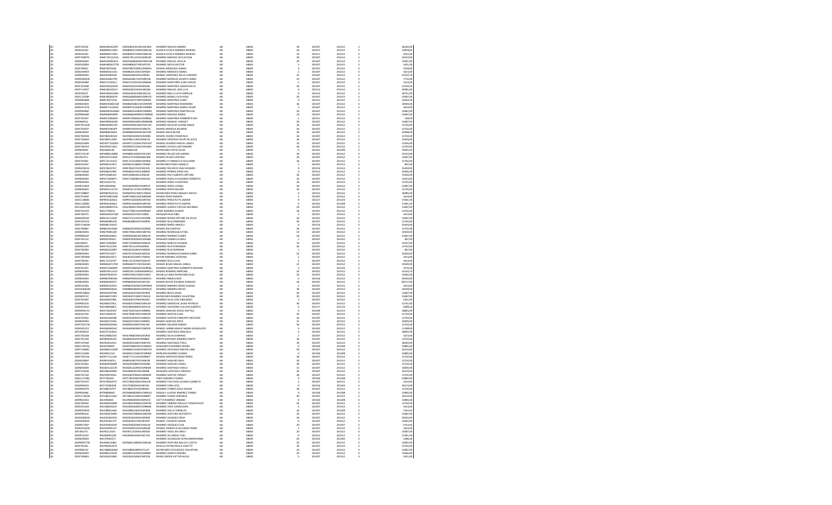| 20<br>20       | 20DTV0554                | RAMA891022DP                 | RAMA891022HOCMCN05                       | RAMIREZ MACIAS ANDRES                                              | AB        | AB001                 | 30                                          | 201307           | 201312           |                          |
|----------------|--------------------------|------------------------------|------------------------------------------|--------------------------------------------------------------------|-----------|-----------------------|---------------------------------------------|------------------|------------------|--------------------------|
|                | 20DES0224L               | RAMB900710F6                 | RAMB900710MOCMRL08                       | BLANCA ESTELA RAMIREZ MERINO                                       | AB        | AB001                 | 18                                          | 201307           | 201312           |                          |
| 20<br>$_{20}$  | 20DES0224L<br>20DTV0897D | RAMB900710F6<br>RAMC781122UQ | RAMB900710MOCMRL08<br>RAMC781122HOCMNC00 | <b>BLANCA ESTELA RAMIREZ MERINO</b><br>RAMIREZ MENDEZ CECILIO RUB  | AB<br>AB  | AB001<br>AB001        | 18<br>30                                    | 201211<br>201307 | 201213<br>201312 |                          |
| 20             | 202NE0040V               | RAMC830826UV                 | RAMC830826MOCMGC08                       | RAMIREZ MIGUEL CECILIA                                             | AB        | AB001                 | 20                                          | 201307           | 201312           |                          |
|                | 20DES0208U               | RAMH800427TM                 | RAMH800427HPLMYC00                       | RAMIREZ MOYA HECTOR                                                | AB        | <b>AR001</b>          |                                             | 201307           | 201312           | $\overline{\mathbf{3}}$  |
| 20<br>20       | 20DST0062I               | RAMI7807028L                 | RAMI780702MOCMND03                       | RAMOS MENDOZA IDANIA                                               | AB        | AB001                 |                                             | 201307           | 201312           |                          |
|                |                          | RAMI830215SG                 | RAMI830215HOCMNS04                       | RAMIREZ MENESES ISMAEL                                             |           | AB001                 | $\overline{ }$                              | 201307           | 201312           |                          |
| 20<br>20       | 20DES0095H               | RAMJ650810JB                 | RAMJ650810HOCNRS05                       | RANGEL MARTINEZ JESUS LORENZO                                      | AB<br>AB  | AB001                 | 33                                          | 201307           | 201312           |                          |
| 20<br>20       | 20DEE0005W               | RAMJ65081799                 | RAMJ650817HOCMRC08                       | RAMIREZ MORALES JACINTO ARMA                                       | AB<br>AB  | AB001                 | 10                                          | 201307           | 201312           |                          |
|                | 20DES0048X               | RAMJ731202C1                 | RAMJ731202HOCMNN06                       | RAMIREZ MONTAÑO JUAN CARLOS                                        |           | AB001                 | $\overline{2}$                              | 201307           | 201312           |                          |
| 20<br>20       | 20DTV0528                | RAMJ930322LM                 | RAMJ930322HPLMRH06                       | RAMIREZ MARTINEZ JHONATAN JO                                       | AB        | AB001                 | 36                                          | 201307           | 201312           |                          |
|                | 20DTV12941               | <b>RAML84010SCV</b>          | RAML840105HOCMGS05                       | RAMIREZ MIGUEL JOSE LUIS                                           | AB        | AB001                 | $\circ$                                     | 201312           | 201312           |                          |
| 20             | 20FZF0025T               | RAML8404226W                 | RAML840422HMCMLC01                       | RAMIREZ MELO LUCIO ENRIQUE                                         | AB        | AB001                 | $\mathbf 0$                                 | 201312           | 201312           |                          |
| $_{20}$        | 20DCC1028F               | RAML8408267R                 | RAML840826MOCMRC02                       | RAMIREZ MORA LUCIA ROSA                                            | AB        | AB001                 | 20                                          | 201307           | 201312           |                          |
| --<br>20<br>20 | 20DPB0368N               | RAML9207275L                 | RAML920727MOCMRZ04                       | RAMIREZ MARTINEZ LIZBET                                            | AB        | AB001                 | $\bf{0}$                                    | 201312           | 201312           |                          |
|                | 202NE0040V               | RAMM450821GR                 | RAMM450821HOCMRX09                       | RAMIREZ MARTINEZ MAXIMINO                                          | AB        | AB001                 | 36                                          | 201307           | 201312           | $\overline{\mathbf{3}}$  |
| 20             | 20DES0137Q<br>20DPR04082 | RAMM731226FX<br>RAMM810528NH | RAMM731226HOCMRR00<br>RAMMR10528HOCMRR03 | RAMIREZ MARTINEZ MARIO CESAR<br>RAMIREZ MARTINEZ MARTIN ELIA       | AB<br>AR  | AB001<br><b>AR001</b> | 20                                          | 201307<br>201307 | 201312<br>201312 |                          |
| 20<br>20       | 20DPR0628K               | RAMM860409PI                 | RAMM860409MOCMNR00                       | RAMIREZ MENDEZ MARIA                                               | AB        | AB001                 | $20\,$                                      | 201307           | 201312           |                          |
|                | 20DST0242T               | RAMN720606RY                 | RAMN720606HOCMRR06                       | RAMIREZ MARTINEZ NORRERTO MA                                       | AB        | <b>AR001</b>          | $\overline{2}$                              | 201311           | 201312           |                          |
| 20<br>20       | 20DIN0051L               | RAMY8904262R                 | RAMY890426MVZMNM08                       | RAMIREZ MANUEL YAMILET                                             | AB        | AB001                 | $_{20}$                                     | 201307           | 201312           |                          |
|                | 20DST0116W               | RANG820821PA                 | RANG820821MOCMCL09                       | RAMIREZ NICOLAS GLORIA ANAHI                                       | AB        | AB001                 | 36                                          | 201307           | 201312           | $\overline{2}$           |
| 20<br>20       | 20DST0205P               | RANR870403PP                 | RANR870403HOCMRC03                       | RAMOS NORIEGA RICARDO                                              | AB        | AB001                 | 36                                          | 201307           | 201312           | $\overline{2}$           |
| 20             | 202NE0040V               | RANR890430LD                 | RANR890430MOCMVY09                       | RAMOS NAVA REYNA                                                   | AB        | AB001                 | 36                                          | 201307           | 201312           | $\overline{\mathbf{3}}$  |
| $_{20}$        | 20DST0050D               | RAOF8010022H                 | RAOF801002MOCMSR06                       | RAMOS OSORIO FRANCISCA                                             | AB        | AB001                 | 36                                          | 201307           | 201312           | $\overline{2}$           |
| $\frac{1}{20}$ | 20DST02060               | RAOF881119PS                 | RAOF881119HOCMRL03                       | RAMIREZ OROPEZA FELIPE DE JESUS                                    | AB        | AB001                 | 36                                          | 201307           | 201312           |                          |
|                | 20DES0160R               | RAOM771102RU                 | RAOM771102HOCMVG07                       | RAMOS OVANDO MIGUEL ANGEL                                          | AB        | AB001                 | 16                                          | 201307           | 201312           | $\overline{\mathbf{3}}$  |
| 20             | 20DST0053A               | RAOR920710L6                 | RAOR920710HOCMCM00                       | RAMIREZ OCHOA JOSE RAMIRO                                          | AB        | AB001                 | 36                                          | 201307           | 201312           |                          |
| 20<br>20       | 202NF0060L               | <b>RAOS660128</b>            | <b>RAOS660128</b>                        | RAYMUNDO ORTIZ SILVIA                                              | AR        | <b>AR001</b>          | $\Omega$                                    | 201301           | 201309           |                          |
|                | 20DTV1513F<br>20FI20137U | RAPA8801268M<br>RAPC670724QR | RAPA880126MOCMLD03<br>RAPC670724MGRMLR08 | RAMIREZ PELAEZ ADI KARINA<br>RAMOS PELAEZ CRISTINA                 | AB<br>AB  | AB001<br><b>AR001</b> | 30                                          | 201307<br>201307 | 201312<br>201312 |                          |
| 20<br>20       | 20DST0160J               | RAPC731214US                 | RAPC731214MOCMSR00                       | RAMIREZ P CARMELITA GUILLERM                                       | AB        | AB001                 | 20<br>36                                    | 201307           | 201312           | $\overline{\mathbf{2}}$  |
|                | 20DES0105Y               | RAPD8312181Y                 | RAPD831218MOCYRN09                       | RAYMUNDO PEREZ DANIELA                                             | AB        | AB001                 | $\mathbf{1}$                                | 201307           | 201312           |                          |
| 20<br>20       | 20HMC0013I               | RAPE780227EY                 | RAPE780227HOCMCS05                       | RAMIREZ PACHECO ESAU GENARO                                        | AB        | AB001                 | $\theta$                                    | 201310           | 201312           |                          |
| 20             | 20DTV10662               | RAPE860519DF                 | RAPE860519HOCMRR05                       | RAMIREZ PORRAS ERVIK ISAI                                          | AB        | AB001                 | $\mathbf 0$                                 | 201312           | 201312           |                          |
| $_{20}$        | 20ZNE0040V               | RAPF43082425                 | RAPF430824HOCMZL06                       | RAMIREZ PAZ FILIBERTO ARTURO                                       | AB        | AB001                 | 36                                          | 201307           | 201312           |                          |
| --<br>20<br>20 | 202NE0040V               | RAPG710608T1                 | RAPG710608HOCMDL03                       | RAMIREZ PADILLA GILDARDO ROBERTO                                   | AB        | AB001                 | 36                                          | 201307           | 201312           |                          |
|                | 202NE0040V               | RAPJ4101273L                 |                                          | RAMIREZ PEREZ JUVENTINO                                            | AB        | AB001                 | 20                                          | 201307           | 201312           | $\overline{\mathbf{3}}$  |
| 20             | 20DPR1181R               | RAPL8405096I                 | RAPL840509HOCMRN19                       | RAMIREZ PEREZ LEONEL                                               | AB        | AB001                 | 20                                          | 201307           | 201312           |                          |
|                | 202NE0040V               | RAPM35112179                 | RAMP351121HOCMRR02                       | RAMIREZ PEREZ MAURO                                                | AB        | AB001                 | 20                                          | 201307           | 201312           |                          |
| 20<br>20       | 20DTV0886Y               | RAPM8705213U                 | RAPM870521MOCYRG05                       | RAYMUNDO PEREZ MAGALY NAYELI                                       | AB        | AB001                 | $\dot{\text{o}}$                            | 201312           | 201312           |                          |
| 20<br>20       | 20DST0106E               | RAPR720831AW                 | RAPR720831HOCMRM08                       | RAMOS PEREZ RAMON                                                  | AB<br>AB  | <b>AR001</b>          | $\overline{2}$                              | 201307           | 201312           |                          |
|                | 20DCC1800E               | RAPR931026GC                 | RAPR931026MOCMRT04                       | RAMIREZ PEREZ RUTH JAZMIN                                          |           | AB001                 | $\overline{0}$                              | 201217           | 201224           |                          |
| 20<br>20       | 20DCC1800D<br>20FUA0015W | RAPR931026GC<br>RAQC890927CG | RAPR931026MOCMRT04                       | RAMIREZ PEREZ RUTH JAZMIN<br>RAMIREZ QUIROZ CINTHIA NATANIEL       | AB<br>AB  | AB001<br>AB001        | $\theta$                                    | 201301<br>201307 | 201308           |                          |
|                |                          |                              | RAQC890927MOCMRN09                       | JAIME RAMIREZ QUIROZ                                               |           | <b>AR001</b>          | 20                                          |                  | 201312           | $\overline{2}$           |
| 20<br>20       | 20DST0125D<br>20DST0027C | RAQJ7708211                  | RAQJ770821HOCMRM02<br>RARA590107HOCSZB02 | RASGADO RUIZ ABEL                                                  | AB<br>AB  | AB001                 | $\begin{array}{c} 36 \\ 2 \end{array}$      | 201307<br>201307 | 201312<br>201312 |                          |
|                | 20DEE0010H               | RARA7211225B                 | RARA721122HOCMVR08                       |                                                                    |           | AB001                 |                                             | 201307           | 201312           |                          |
| 20<br>20       | 20DST0231N               | RARA830801ER                 | RARA830801HOCMZR09                       | RAMIREZ RIVERA ARTURO DE JESUS<br>RAMIREZ RUIZ ARMANDO             | AB<br>AB  | AB001                 | 20<br>36                                    | 201307           | 201312           | $\frac{3}{2}$            |
| 20             | 20DTV1465W               | RARA841102H7                 |                                          | RAMIREZ RIAÑO ARACELI                                              | AB        | AB001                 | $\circ$                                     | 201310           | 201312           |                          |
|                | 20DST0080Y               | RARB610520JM                 | RARB610520MOCMZR00                       | RAMOS RUIZ BERTHA                                                  | AB        | AB001                 | 36                                          | 201307           | 201312           | $\overline{2}$           |
| 20<br>20       | 202NE0040V               | RARE79081269                 | RARE790812MOCMDT02                       | RAMIREZ RODRIGUEZ ETHEL                                            | AB        | AB001                 | $\overline{14}$                             | 201307           | 201312           |                          |
|                | 30DPR0663F               | RARESS0406GL                 | RARESS0406HOCMML09                       | <b>RAMIREZ RAMIREZ EI MER</b>                                      |           | <b>AR001</b>          |                                             | 201307           | 201312           |                          |
| 20<br>20       | 20DST0212Z               | RARE8705031                  | RARE870503MOCSMN08                       | RASGADO RAMOS EUNICE                                               | AB<br>AB  | AB001                 | $\begin{array}{c} 20 \\ 1 \end{array}$      | 201307           | 201312           |                          |
| 20<br>20       | 20DLI0001F<br>20DPR0139V | RARF720308AP<br>RARF791212PR | RARF720308MOCMBL04                       | RAMIREZ ROBLES FILEMON                                             | AB<br>AB  | AB001                 | $\begin{array}{c} 14 \\ 36 \end{array}$     | 201307           | 201312           |                          |
|                |                          |                              | RARF791212HPLMZR04                       | RAMIREZ RUIZ FERNANDO                                              |           | AB001                 |                                             | 201307           | 201312           |                          |
| 20<br>20       | 20DST0018V               | RARG810528PF                 | RARG810528HOCMZR05                       | RAMIREZ RUIZ GERMAIN                                               | AB<br>AB  | <b>AR001</b>          |                                             | 201307           | 201312           |                          |
|                | 202NE0040V               | RARI791105V7                 | RARI791105MOCMDS03                       | RAMIREZ RODRIGUEZ MARIA ISABEL                                     |           | AB001                 | $\overline{32}$                             | 201307           | 201312           |                          |
| 20<br>20       | 20DST0034M               | RARJ650225CV                 | RARI650225MOCYMS04<br>RARL731107MOCMZV07 | RAYON RAMIREZ JOSEFINA                                             | AB<br>AB  | AB001                 | $\frac{2}{2}$                               | 201307           | 201312           |                          |
|                |                          | RARL73110797                 |                                          | RAMIREZ RUIZ LUVIA                                                 |           | AB001                 |                                             | 201307           | 201312           |                          |
| 20<br>20       | 202NE0040V               | RARM640717KR<br>RARM720606RY | RARM640717HOCMJG05<br>RAMN720606HOCMRR06 | RAMOS ROJAS MIGUEL ANGEL<br>RAMIREZ MARTINEZ NORBERTO MANUEL       | AB<br>AB  | AB001                 | 25                                          | 201307           | 201312           |                          |
|                | 20DST0242T               |                              | RARM781110MGRMMR13                       |                                                                    |           | AB001<br>AB001        | $\overline{2}$                              | 201307<br>201307 | 201310<br>201312 |                          |
| 20<br>20       | 202NE0040V<br>20ZNE0040V | RARM7811101F<br>RARM790321IP | RARM790321MOCYZ003                       | RAMOS ROMERO MARTINA<br>MICHELLE IRAIS RAYMUNDO RUIZ               | AB<br>AB  | AB001                 | 33<br>25                                    | 201307           | 201312           |                          |
| 20             | 202NE0040V               | RARN870905AK                 | RARN870905HOCMMX03                       | RAMIREZ RAMOS NOE                                                  | AB        | AB001                 | $\,$ 0                                      | 201310           | 201312           |                          |
| 20             | 20ZNE0040V               | RARR600402TE                 | RARR600402HOCMCC05                       | RAMOS ROCHE RICARDO HORACIO                                        | AB        | AB001                 | 36                                          | 201307           | 201312           |                          |
| 20             | 20DES0130X               | RARR691020CV                 | RARR691020MOCMMN05                       | RAMIREZ RAMIREZ REINA GUADAL                                       | AB        | AB001                 |                                             | 201307           | 201312           |                          |
| 20             | 20ADG0065M               | RARR89030654                 | RARR890306MOCMMC05                       | RAMIREZ RAMIREZ ROCIO                                              | AB        | AB001                 | 36                                          | 201307           | 201312           | $\overline{\mathbf{3}}$  |
| 20             | 20DPR1380Q               | RARS920207NK                 | RARS920207MOCNYR09                       | RAMIREZ REYES SARAI                                                | AB        | AB001                 | 20                                          | 201307           | 201312           |                          |
| 20<br>20       | 20DIN0372V               | RARV830722RY                 | RARV830722MOCYML03                       | RAYMUNDO RAMIREZ VALENTINA                                         | <b>AR</b> | <b>AR001</b>          | $\overline{20}$                             | 201307           | 201312           |                          |
|                | 20DST01942               | RASA6403198L                 | RASA640319HOCMLB02                       | RAMIREZ SILVA JOSE ABELARDO                                        | AB        | AB001                 | $\overline{3}$                              | 201307           | 201312           |                          |
| 20<br>20       | 20DPR0323S               | RASA850729LC                 | RASA850729MOCMNL09                       | RAMIREZ SANDOVAL ALMA PATRICIA<br>RAMIREZ SAAVEDRA CLAUDIA ALBERTA | AB<br>AB  | AB001                 | 36                                          | 201307           | 201312           |                          |
|                | 20DES0102A               | RASC680408L4                 | RASC680408MOCMVL04                       |                                                                    |           | AB001                 | $\circ$                                     | 201117           | 201124           |                          |
| 20<br>20       | 20DNP00170<br>20DES0176S | RASE7502019Y<br>RASE760607JK | RASE750201HOCMNR09<br>RASE760607MOCMNL09 | RAMOS SANCHEZ ERICEL NEFTALI<br>RAMIREZ SANTOS ELISA               | AB<br>AB  | AB001<br>AB001        | 36                                          | 201209<br>201307 | 201213<br>201312 | $\overline{2}$           |
| 20             |                          |                              |                                          |                                                                    |           |                       |                                             | 201307           | 201312           |                          |
| 20             | 20DST0195Z<br>202NE0040V | RASE810505N2<br>RASE81071045 | RASE810505HOCMND03<br>RASE810710HOCMNR01 | RAMIREZ SANTOS EDMURTH ANTONIO<br>RAMOS SANCHEZ ERICK              | AB<br>AB  | AB001<br>AB001        | 36<br>31                                    | 201307           | 201312           |                          |
| 20             | 20DST0157W               | RASE850220QA                 | RASE850220MV2MLS06                       | RAMIREZ SALAZAR ESBANY                                             | AB        | AB001                 | 36                                          | 201307           | 201312           |                          |
|                | 20DES0231V               | RASG640603AZ                 | RASG640603MOCNRD04                       | RANGEL SARRELANGUE MARIA GUADALUPE                                 | AB        | AB001                 | $\circ$                                     | 201301           | 201312           | $\overline{\mathbf{3}}$  |
| 20<br>20       | 20FUE0001P               | RASG751026AL                 |                                          | RAMIREZ SANTIAGO GRACIELA                                          | AB        | AB001                 | $\mathbf 0$                                 | 201301           | 201312           |                          |
| 20<br>20       | 20DST0226R               | RASG7808233C                 | RASG 780823HOCMLR04                      | RAMIREZ SILVA GERARDO                                              | <b>AR</b> | <b>AR001</b>          | $\overline{ }$                              | 201307           | 201312           |                          |
|                | 20DST0176K               | RASI800305HD                 | RASI800305HOCMNB04                       | IBERTH ANTONIO RAMIREZ SANTO                                       | AB        | AB001                 | 36                                          | 201307           | 201312           |                          |
| 20<br>20       | 20DTV07042               | RASI920412GU                 | RASI920412MOCMMT03                       | RAMIREZ SANTIAGO ITZELL                                            | AB        | AB001                 | 30                                          | 201307           | 201312           | $\overline{\mathbf{3}}$  |
|                | 20DCC1937Q               | RASM790822<br>RASM841214DP   | RASM790822MOCMRR10<br>RASM841214MOCMNT03 | MARGARITA RAMIREZ SIERRA                                           | AB<br>AB  | AB001<br>AB001        | $\circ$                                     | 201304           | 201308<br>201312 |                          |
| 20<br>20       | 20DTV1068X               |                              |                                          | RAMIREZ SANTIAGO MAITHE JANE                                       |           |                       | 30                                          | 201307           |                  |                          |
| 20             | 20DCC2230H<br>20DST0231N | RASM921216<br>RASR77111158   | RASM921216MOCMRR03<br>RASR771111HOCMNN07 | MERLINA RAMIREZ SUAREZ<br>RAMOS SANTIAGO RENE PEDRO                | AB<br>AB  | AB001<br>AB001        | $\circ$<br>36                               | 201304<br>201307 | 201308<br>201312 | $\frac{1}{2}$            |
| $_{20}$        | 20DJN1985P               | RASR910407LL                 | RASR910407HOCMNL08                       | RAMIREZ SANCHEZ RAUL                                               | AB        | AB001                 | 36                                          | 201307           | 201312           | $\overline{2}$           |
| 20             | 20DST0165E               | RASS820508MF                 | RASS820508HOCMND08                       | RAMIREZ SANCHEZ SAIDEL                                             | AB        | AB001                 | 36                                          | 201307           | 201312           |                          |
| 20             | 202NE0040V               | RASS831222UR                 | RASS831222MOCMNH08                       | RAMIREZ SANTIAGO SHEILA                                            | AB        | AB001                 | 31                                          | 201307           | 201312           |                          |
| 20             | 20DTV1650S               | RASV860505B4                 | RASV860505HOCSNR08                       | RASGADO SANTIAGO VIRGILIO                                          | AB        | AB001                 | $\overline{30}$                             | 201307           | 201312           |                          |
| 20<br>20       | 20DST0176K               | RASY830705JG                 | RASY830705MOCMNN00                       | <b>RAMIREZ SANTOS YENISEY</b>                                      | <b>AR</b> | <b>AR001</b>          | 36                                          | 201307           | 201312           | $\overline{\phantom{a}}$ |
|                | 20DCC1739Q               | RATF781029                   | RATF781029HSPMRR05                       | FREDI RAMIREZ TORRES                                               | AB        | AB001                 | $\mathbf 0$                                 | 201304           | 201308           |                          |
|                | 20DST0147P               | RATG780325T2                 | RATG780325MOCMLL06                       | RAMIREZ TALLEDOS GLORIA ELIZABETH                                  | AB        | AB001                 | $\overline{ }$                              | 201307           | 201312           |                          |
| 20<br>20       | 20DJN0014X               | RATJ75082028                 | RATJ750820HOCMPL00                       | RAMIREZ TAPIA JOEL                                                 | AB        | AB001                 | $\circ$                                     | 201216           | 201303           |                          |
| 20<br>20       | 20DPR0297K               | RATJ880707PT                 | RATJ880707HOCMRS03                       | RAMIREZ TORRES JESUS EDGAR                                         | AB        | AB001                 | 36                                          | 201307           | 201312           | $\overline{2}$           |
|                | 20DPR2648L               | RATM840820                   | RATM840820MOCMRG01<br>RATV861214MOCMBR07 | MAGALY LUCERO RAMIREZ TORRES<br>RAMIREZ TERAN VERONICA             | AB<br>AB  | AB001<br>AB001        | $\circ$                                     | 201304           | 201308<br>201312 |                          |
| 20<br>$_{20}$  | 20DTV1301M<br>20DPB1425V | RATV861214A3<br>RAUI900605   | RAUI900605MOCMRV02                       | <b>IVETTE RAMIREZ URBANO</b>                                       | AB        | AB001                 | $\overline{30}$<br>$\circ$                  | 201307<br>201304 | 201308           |                          |
| 20             | 20DST00542               | RAUN891006RF                 | RAUN891006MOCMRY00                       | RAMIREZ URBANO NALLELY CONCEPCION                                  | AB        | AB001                 | 36                                          | 201307           | 201312           |                          |
|                | 20DES0154G               | RAVC800202SX                 | RAVC800202MOCMRN08                       | RAMIREZ VERA CANDELARIA                                            | AB        | AB001                 | $\overline{2}$                              | 201307           | 201312           |                          |
| 20<br>20       | 20DPR2902N               | RAVC8805166F                 | RAVC880516HOCMLR08                       | RAMIREZ VALLE CORNELIO                                             | AB        | AB001                 | $^{20}$                                     | 201307           | 201309           |                          |
|                | 20DPR0916C               | RAVDR307089V                 | RAVD830708MOCMNY09                       | RAMIREZ VENTURA DEYCIRETH                                          | <b>AR</b> | <b>AR001</b>          |                                             | 201307           | 201312           |                          |
| 20<br>20       | 20ADG0063O               | RAVE810619CG                 | RAVE810619HOCMSR09                       | RAMIREZ VASQUEZ ERICK                                              | AB        | AB001                 | 20<br>36                                    | 201307           | 201312           |                          |
|                | 20AGD0003Z               | RAVE8106277F                 | RAVE810627HOCNCD05                       | RANGEL VICENCIO EDGAR                                              |           | <b>AR001</b>          |                                             | 201307           | 201312           |                          |
| 20<br>20       | 20DPB1736Y               | RAVE93050259                 | RAVE930502MOCMSL04                       | RAMIREZ VASQUEZ ELSA                                               | AB<br>AB  | AB001                 | $\begin{smallmatrix}0\\20\end{smallmatrix}$ | 201307           | 201307           |                          |
| 20<br>20       | 20DES0165M               | RAVG920913J7                 | RAVG920913HOCMRL08                       | RAMOS VARGAS GUILLERMO FRANC                                       | AB<br>AB  | <b>AR001</b>          | $\overline{z}$                              | 201307           | 201312           |                          |
|                | 20FJI0017G               | RAVI811101IV                 | RAVI811101MOCMDS05                       | RAMIREZ VIDAL ISIS ARELY                                           |           | AB001                 | $\overline{20}$                             | 201307           | 201312           |                          |
| 20<br>20       | 20DPR1423Y               | RAVI8309222B<br>RAVJ7909137J | RAVI830922MOCMLT09                       | RAMIREZ VILLAREAL ITZEL                                            | AB<br>AB  | 49001                 | $\begin{smallmatrix}0\0\0\end{smallmatrix}$ | 201312           | 201312           |                          |
|                | 20ZNE0040V               |                              |                                          | RAMIREZ VELASQUEZ JOHN HAMMURAB                                    |           | AB001                 |                                             | 201302           | 201302           |                          |
| 20<br>20       | 20DPR0377W               | RAVN861108SJ                 | RAVN861108MOCMNL06                       | RAMIREZ VENTURA NALLELY LIZETH                                     | AB        | AB001                 | 20<br>36                                    | 201307           | 201312           |                          |
|                | 20DIN0613C               | RAVP8203267A                 | RAVV880620MOCYLL07                       | RAVELO VEYAN PAOLA LISSETTE                                        | AB        | AB001<br>AB001        |                                             | 201307<br>201307 | 201312<br>201312 |                          |
| 20<br>20       | 20ZNE0040V               | RAVV880620QD<br>RAZD801102OY | RAZD801102MOCMRB04                       | RAYMUNDO VELAZQUEZ VALENTINA<br>RAMIREZ ZARATE DEBORA              | AB<br>AB  | AB001                 | 20<br>20                                    | 201307           | 201312           |                          |
|                | 20DST0084U               | RAZV810218BU                 | RAZV810218HOCMPC08                       | RAMO ZAPIEN VICTOR HUGO                                            | AB        | AB001                 |                                             | 201307           | 201312           |                          |
|                |                          |                              |                                          |                                                                    |           |                       |                                             |                  |                  |                          |

# $\begin{array}{cccc} \textbf{0.13}_{30} & \textbf{0.14}_{30} & \textbf{0.15}_{30} & \textbf{0.15}_{30} & \textbf{0.15}_{30} & \textbf{0.15}_{30} & \textbf{0.15}_{30} & \textbf{0.15}_{30} & \textbf{0.15}_{30} & \textbf{0.15}_{30} & \textbf{0.15}_{30} & \textbf{0.15}_{30} & \textbf{0.15}_{30} & \textbf{0.15}_{30} & \textbf{0.15}_{30} & \textbf{0.15}_{30} & \textbf{0$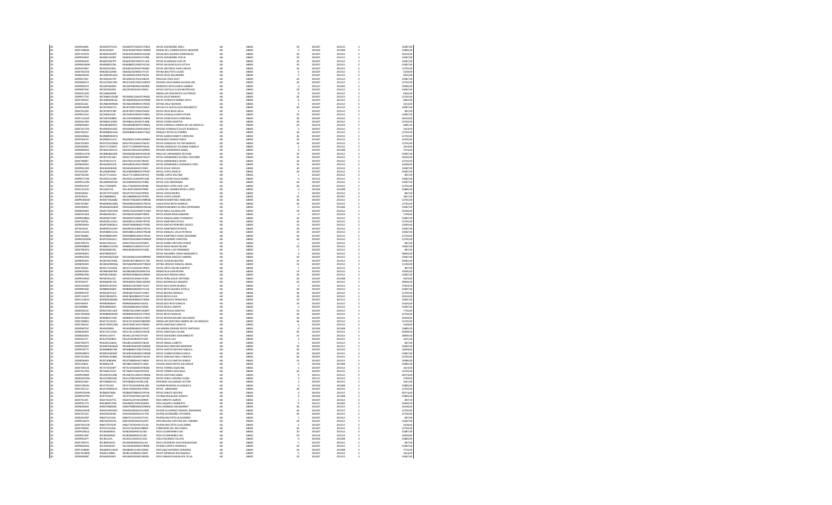|                      | 20DPR2409L               |
|----------------------|--------------------------|
| 20<br>20             | 20DTV0894G               |
|                      |                          |
| 20<br>20             | 20DTV0767K               |
|                      | 20DPR24932               |
| 20                   | 20DPR0634V               |
|                      |                          |
| 2C<br>2C             | 20DPB2240W<br>20DES0185Z |
|                      |                          |
|                      |                          |
| 20<br>20             | 20DST0231N<br>20DBA0033Z |
| 20<br>20             | 20DPB1742                |
|                      |                          |
|                      |                          |
| 20<br>20             | 20DPR04072<br>20DPR0759C |
|                      |                          |
|                      | 20DES0154G               |
| 20<br>20             | 20DPR1773C               |
|                      |                          |
|                      | 20DST0045S               |
| 20<br>20             | 20DES0226J               |
| 20                   | 20DPR1850R               |
|                      | 20DST0129Z               |
|                      |                          |
| 20<br>20<br>20<br>20 | 20DPB1155S               |
|                      | 20DTV1415O               |
|                      | 20DES0129H               |
|                      | 202NF0040V               |
| 20<br>20             |                          |
|                      | 20DST0173N               |
|                      | 20DST0015Y               |
| 20<br>20             | 20ADG0066                |
|                      | 20FZF0013O               |
| 20<br>20             | 20DST0240V               |
|                      |                          |
| 20                   | 20DES0036S               |
| 20                   | 20DNS0001K               |
| --<br>20<br>20       | 20DPB1127W               |
|                      | 202NE0040V               |
|                      |                          |
| 2c                   | 20DST0085T               |
| 20<br>20             | 202NF0040V               |
|                      | 20DPR0129O               |
|                      | 20TAI0102P               |
| 20<br>20             |                          |
|                      | 20DST0229Z               |
| 20<br>20             | 20DPR1774B               |
|                      | 20DPR1219N               |
| 20                   | 20DPR2231P               |
|                      |                          |
| $_{20}$              | 20DCC2213L               |
| 20                   | 20DES0093J               |
| $_{20}$              | 20FZF0019                |
| 20                   | 20DPR1855M               |
|                      |                          |
| 20                   | 20DST0196Y               |
| 20                   | 20DDI0004U               |
|                      | 202NF0040V               |
| 2C<br>2C             | 20DES0142B               |
|                      | 20DPR2486Q               |
| 2C<br>2C             |                          |
|                      | 20DST0076L               |
| 20                   | 202NE0040V               |
| $_{20}$              | 20TAI0191Z               |
| 20                   | 20DCC0532S               |
|                      |                          |
| $_{20}$              | 20DST0068C               |
| 20                   | 20HMC0029M               |
| 20                   | 20DST0057X               |
| 20                   | 20DPR2984N               |
|                      | 20DST0047Q               |
| 2C<br>2C             |                          |
|                      | 20FMP0005                |
|                      | 200PR32546               |
| 2C<br>2C             | 202NE0040V               |
|                      |                          |
| 2C<br>2C             |                          |
|                      | 202NE0040V<br>20DST0020J |
| 20<br>20             | 202NE0040V<br>20DPR0478U |
|                      |                          |
|                      |                          |
| 20<br>20             | 20DPR19930               |
|                      |                          |
| 20<br>20             | 20DCC0410H<br>20DPB0918Z |
|                      |                          |
|                      | 20DPR0474Y               |
| 20<br>20             |                          |
|                      | 20DTV1547F               |
| 20                   | 20DCC24410               |
|                      | 20FZF0005F<br>20FIZ0086D |
| 2C<br>2C             |                          |
|                      |                          |
| 2C<br>2C             | 20DEE0013E<br>20DST0034M |
|                      |                          |
|                      |                          |
| 20<br>20             | 20DST02060<br>20DST0084U |
|                      |                          |
|                      |                          |
| 20<br>20             | 20DST0013Z               |
|                      |                          |
| 20<br>20             | 202NE0040V<br>202NE0040V |
|                      | 20DES0227                |
| 20<br>20             | 20DST0057X               |
|                      |                          |
| 20                   | 20DPR33022               |
| $_{20}$              | 20DPR1877Y               |
| --<br>20<br>20       | 20DPB1887D               |
|                      | 20DST0104R               |
|                      |                          |
| 20                   | 202NE0040V               |
| 20<br>20             | 20DCC0822I               |
|                      | 20DST0011B               |
|                      | 2005T01700               |
| 20<br>20             |                          |
|                      | 20DPR1990R               |
| 20<br>20             | 20DES0223M               |
|                      | 20DES0146Y               |
|                      | 20DCC0823H               |
| 20<br>20             |                          |
|                      | 20DST0211Z               |
|                      | 20DPR1029W               |
| 20<br>20             | 20DPR3479N               |
| 20                   | 20DST0120                |
|                      | 20DPR3177S               |
|                      |                          |
|                      | 202NE0040V               |
|                      | 20DML0043F               |
| 20<br>20<br>20<br>20 | 20DST0112Z               |
|                      | 200E50220P               |
| 20<br>20             |                          |
|                      | 20DPR1847D               |
|                      | 20DST0215W               |
| 20<br>20             | 20DST0060K               |
| 20                   | 20DPR1851Q               |
| $\overline{20}$      | 20DPR2190F               |
|                      |                          |
| 20                   | 20DPR3507T               |
| $\overline{2}$       |                          |
|                      | 20DST0057X               |
|                      |                          |
|                      | 20DPB2024G               |
|                      | 20DTV0484D               |
| 20                   | 20DST0198W               |
|                      | 20DPR04082               |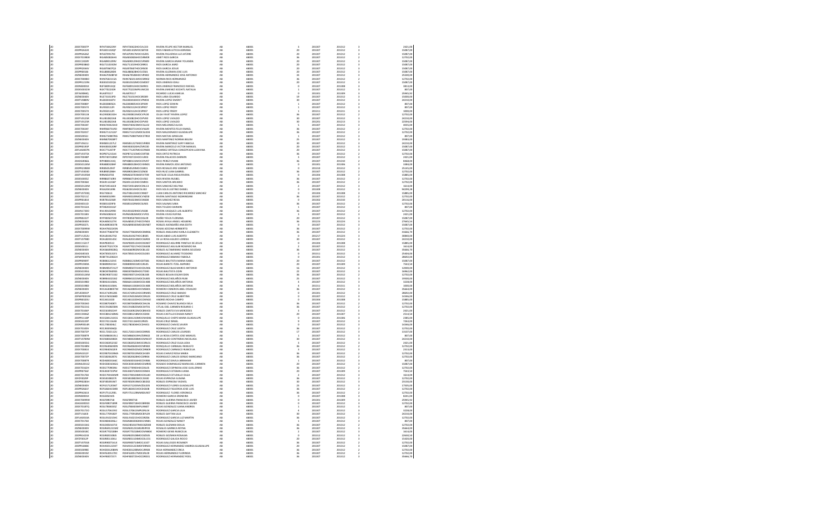|                | 20DST0007P<br>20DPR2632K | <b>RIFH730422NY</b>          | RIFH730422HOCVLC03                       | RIVERA FELIPE HECTOR MANUEL<br>RIOS FABIAN LETICIA ADRIANA             | AR        | AB001        |                                             | 201307           | 201312<br>201312 |                | 2421,00<br>15087,00  |
|----------------|--------------------------|------------------------------|------------------------------------------|------------------------------------------------------------------------|-----------|--------------|---------------------------------------------|------------------|------------------|----------------|----------------------|
| 20<br>20       |                          | RIFL801102QF                 | RIFL801102MOCSBT00                       |                                                                        | AB        | AB001        | 20                                          | 201307           |                  |                |                      |
| 20<br>20       | 20DPR26262               | RIFL870917KC<br>RIGA850826H4 | RIFL870917MOCVGZ05                       | RIVERA FIGUEROA LUZ JATZIRE<br>AMET RIOS GARCIA                        | AB<br>AB  | AR001        | $\begin{array}{c} 20 \\ 36 \end{array}$     | 201307           | 201312           |                | 15087,00             |
|                | 20DST0198W               |                              | RIGA850826HOCSRM09                       |                                                                        |           | AB001        |                                             | 201307           | 201312           |                | 12702,00             |
| 20             | 20DCC2028Y               | RIGA8901299V                 | RIGA890129HOCVRN09                       | RIVERA GARCIA ANAHI YOLANDA                                            | AB        | AB001        | 20                                          | 201307           | 201312           |                | 15087,00             |
| $_{20}$        | 20DPR0386D               | RIGJ7110192M                 | RIGJ711019HOCSRR01                       | RIOS GARCIA JAIRO                                                      | AB        | AB001        | 20                                          | 201307           | 201312           |                | 15087.00             |
| 20             | 20DPR2044V               | RIGJ870607Q5                 | RIGJ870607HOCSR500                       | RIOS GARCIA JOSUE                                                      | AB        | AB001        | 20                                          | 201307           | 201312           |                | 15087,00             |
|                | 200PR0018L               | RIGI 880628DK                | RIGI 880628HOCV2S01                      | RIVERA GUZMAN JOSE LUIS                                                | AR        | <b>AR001</b> |                                             | 201307           | 201312           |                | 15087.00             |
| 20             |                          |                              |                                          |                                                                        |           |              | $\begin{array}{c} 20 \\ 33 \end{array}$     |                  |                  |                |                      |
| 20             | 202NE0040V               | RIHA670508FM                 | RIHA670508HOCVRN02                       | RIVERA HERNANDEZ JOSE ANTONIO                                          | AB        | AB001        |                                             | 201307           | 201312           |                | 25500,00             |
| 2C<br>2C       | 20DST0008Q               | RIHN7602115A<br>RIJE810102QG | RIHN760211MOCSRR02                       | NORMA RIOS HERNANDEZ<br>RIOS JIMENES EDALI                             | AB<br>AB  | <b>AR001</b> | $\begin{array}{c} 36 \\ 20 \end{array}$     | 201307           | 201312           | $\overline{ }$ | 12702.00             |
|                | 20DPR1219N               |                              | RUE810102MOCSMD07                        |                                                                        |           | AB001        |                                             | 201307           | 201312           |                | 15087,00             |
| 20<br>20       | 20DNS0001K               | RUF580913QC<br>RUX770223D9   | RUF580913HOCSMR01<br>RUX770223MPLVMC00   | RIOS JIMENEZ FRANCISCO RAFAEL<br>RIVERA JIMENEZ XOCHITL NATALIA        | AB<br>AB  | <b>AR001</b> | $\mathbf 0$                                 | 201307<br>201307 | 201308           |                | 3813,00              |
|                | 20DES0032W               |                              |                                          |                                                                        |           | AB001        |                                             |                  | 201312           |                | 807.00               |
| 20<br>20       | 20TA/0084Q               | RILA870117<br>RILE731013PD   | RILA870117<br>RILE731013HOCSRD09         | RICARDO LUCAS AMELIA                                                   | AB<br>AB  | AR001        |                                             | 201301<br>201307 | 201309           |                | 25945,92             |
|                | 202NE0040V               |                              |                                          |                                                                        |           | AB001        | $\begin{smallmatrix}0\\19\end{smallmatrix}$ |                  | 201312           |                | 15000,00             |
|                |                          | RILE8304187V<br>RILE830805EA | RILE830418HOCVPM04                       | RIVERA LOPEZ EMERIT                                                    |           | AB001        | 30                                          | 201307           | 201312           |                | 24210,00             |
| 20<br>20       | 20DTV0889V<br>20DST0080Y |                              |                                          |                                                                        | AB<br>AB  | AB001        | $\,$ 1                                      | 201307           | 201312           |                | 807,00               |
|                |                          |                              |                                          |                                                                        |           |              |                                             |                  |                  |                |                      |
| 20<br>20       | 20DST0057X               | RILF850112FI                 | RILF850112HOCSPR07                       | RIOS LOPEZ FREDY                                                       | AB<br>AB  | AB001        |                                             | 201307           | 201312           |                | 807,00               |
|                | 20DST0057X               | RILF850112FI                 | RILF850112HOCSPR07                       | RIOS LOPEZ FREDY                                                       |           | AB001        | $\overline{1}$                              | 201311           | 201311           |                | 1000.00              |
| 20             | 20DST0011B               | RILO900815DH                 | RILO900815MOCVPL00                       | OLGA YAVET RIVERA LOPEZ                                                | AB        | AB001        | 36                                          | 201307           | 201312           |                | 12702,00             |
| $_{20}$        | 20DTV0125R               | <b>RILU810822A8</b>          | RILU810822HOCSPV00                       | RIOS LOPEZ UVALDO                                                      | AB        | AB001        | 30                                          | 201307           | 201312           |                | 24210.00             |
| 20             | 20DTV0125R               | RILU810822A8                 | RILU810822HOCSPV00                       | RIOS LOPEZ UVALDO                                                      | AB        | AB001        | 30                                          | 201201           | 201213           |                | 22594,00             |
| $_{20}$        | 20DST0024F               | RIMA740423AD                 | RIMA740423MOCSLL02                       | RIOS MELENDEZ ALICIA                                                   | AB        | AB001        | $\overline{\phantom{a}}$                    | 201307           | 201312           |                | 4035.00              |
| 20             | 20DST0024F               | RIMF860731RD                 | RIMF860731HOCVNL09                       | RIVERA MONTES FELIX ISMAEL                                             | AB        | AB001        | 36                                          | 201307           | 201312           |                | 12702,00             |
| 20             | 20DST0201T               | <b>RIMG711212LP</b>          | RIMG711212MOCSLD04                       | RIOS MALDONADO GUADALUPE                                               | AB        | AB001        | 36                                          | 201307           | 201312           | $\overline{2}$ | 12702.00             |
| 20             | 20DES0052J               | RIMG750807BG                 | RIMG750807MOCSTR02                       | RIOS MATIAS GRISELDA                                                   | AB        | AB001        | $\overline{1}$                              | 201307           | 201312           |                | 807,00               |
|                | 202NF0040V               | RIMN870928P7                 |                                          | RIOS MARTINEZ NORMA BELEM                                              | AB        | <b>AR001</b> |                                             | 201307           | 201312           |                |                      |
| 20<br>20       | 20DTV0611J               | RIMS851227LZ                 | RIMS851227MOCVRR00                       | RIVERA MARTINEZ SURY FABIOLA                                           | AB        | AB001        | $\begin{array}{c} 25 \\ 30 \end{array}$     | 201307           |                  |                | 19383,00<br>24210,00 |
|                |                          |                              |                                          |                                                                        |           |              |                                             |                  | 201312           |                |                      |
| 20<br>20       | 20DPR0193P               | RIMV830320RF                 | RIMV830320HVZVRC00<br>RIOC771207MOCCRN00 | RIVERA MARCELO VICTOR MANUEL                                           | AB<br>AB  | AB001        | 20                                          | 201307           | 201312           |                | 15087,00             |
|                | 20FUA0007N               | RIOC771207IP                 |                                          | RICARDEZ ORTEGA CONCEPCION LUDIVINA                                    |           | AB001        | 20                                          | 201307           | 201312           |                | 15087.00             |
| 20<br>20       | 20DTV0375X               | RIOP871215A4                 | RIOP871215MOCSRT08                       | RIOS ORTIZ PATRICIA                                                    | AB        | AB001        | 36                                          | 201307           | 201312           |                | 12702,00             |
|                | 20DST0048P               | RIPD7407228M                 | RIPD740722HOCVLR03                       | <b>RIVERA PALACIOS DARWIN</b>                                          | AB        | AB001        | $\overline{3}$                              | 201307           | 201312           |                | 2421.00              |
| 20             | 20ADG0066L               | RIPV880131IQ                 | RIPV880131MOCCRV07                       | RICCI PEREZ VIVANI                                                     | AB        | AB001        | 36                                          | 201307           | 201310           |                | 8468,00              |
| $_{20}$        | 20DES0124M               | RIRA880328HF                 | RIRA880328HOCVMN01                       | RIVERA RAMOS JOSE ANTONIO                                              | AB        | AB001        | $\theta$                                    | 201301           | 201306           |                | 3384.00              |
| 20             | 20DPR2398W               | RIRI8505294T                 | RIRI850529MOCSSR01                       | RIOS ROSALES IRIS VIANNEY                                              | AB        | AB001        | $\circ$                                     | 201310           | 201312           |                | 25145,00             |
| 20             | 20DTV0303D               | RIRJ8905286H                 | RIRJ890528HOCSZN00                       | RIOS RUIZ JUAN GABRIEL                                                 | AB        | AB001        | 36                                          | 201307           | 201312           | $\overline{2}$ | 12702.00             |
| 20             | 20DTV0195M               | RIRM650703                   | RIRM650703MDFJVT09                       | MATILDE CELIA RIOJA RIVERA                                             | AB        | AB001        | $\circ$                                     | 201304           | 201308           |                | 15885,00             |
|                | 20DES00057               | RIRR860710RX                 | RIRR860710HOCSVS02                       | <b>RIOS RIVERA RUSBEL</b>                                              | AB        | <b>AR001</b> |                                             | 201307           | 201312           |                | 12702.00             |
| 20<br>20       |                          |                              |                                          |                                                                        |           |              | $\frac{36}{36}$                             |                  |                  |                |                      |
|                | 20DST0036K               | RISA9112226P                 | RISA911222HOCSNR01                       | RIOS SANTOS ARCADIO                                                    | AB        | AB001        |                                             | 201307           | 201312           |                | 12702,00             |
| 20             | 20DES0124M               | RISD720516C8                 | RISD720516MOCSNL13                       | RIOS SANCHEZ DELFINA                                                   | AB        | AB001        | $\overline{2}$                              | 201307           | 201312           |                | 1614,00              |
| 20             | 20ZNE0040V               | RISJ6204149B                 | RISJ620414HOCSLS02                       | RIOS SOLIS JUSTINO DANIEL                                              | AB        | AB001        | $\circ$                                     | 201309           | 201312           |                | 94299,28             |
| 20             | 20DTV0720Q               | RISJ730613                   | RISJ730613HOCCNN07                       | JUAN CARLOS ANTONIO RICARDEZ SANCHEZ                                   | AB        | AB001        | $\circ$                                     | 201304           | 201308           |                | 15885,00             |
| $_{20}$        | 20DST0211Z               | RISN9001099                  | RISN900109MOCVNZ00                       | RIVERA SANTIAGO NIZARINDANI                                            | AB        | AB001        | 36                                          | 201307           | 201312           | $\overline{2}$ | 12702.00             |
| 20             | 20DPR0181K               | RISR7810236R                 | RISR781023MOCSNS08                       | RIOS SANCHEZ ROSA                                                      | AB        | AB001        | $\mathfrak{o}$                              | 201302           | 201310           |                | 20116,00             |
| $_{20}$        | 20DDI0011D               | RISS851029FB                 | RISS851029MOCSLR05                       | RIOS SALINAS SARA                                                      | AB        | AB001        | 36                                          | 201307           | 201312           |                | 12702.00             |
| 20             | 20DST0152A               | RITD820331GP                 |                                          | <b>RIOS TOLEDO DARWIN</b>                                              | AB        | AB001        |                                             | 201307           | 201312           |                | 807,00               |
| $_{20}$        | 20DJN17300               | RIVL9010299D                 | RIVL901029HOCVSS08                       | RIVERA VASQUEZ LUIS ALBERTO                                            | AB        | AB001        |                                             | 201307           | 201312           | $\overline{2}$ | 12702.00             |
| 20             | 20DST0158V               | RIVR6508261K                 | RIVR650826MOCVVF01                       | RIVERA VIVAS RUFINA                                                    | AB        | AB001        | $\begin{array}{c} 36 \\ 3 \end{array}$      | 201307           | 201312           |                | 2421,00              |
|                | 200PR02221               | RIYF9005072W                 | RIVER00507MOCXSL09                       | RIAÑO YESCA FLORIANA                                                   |           | <b>AR001</b> |                                             | 201307           | 201312           |                | 15087.00             |
| 20<br>20       |                          |                              |                                          |                                                                        | AB<br>AB  |              | $\begin{array}{c} 20 \\ 36 \end{array}$     |                  |                  |                |                      |
|                | 202NE0040V               | ROAA850127IX                 | ROAA850127HOCSYN03                       | ROSAS AYALA ANGEL HOLBERG                                              |           | AB001        |                                             | 201223           | 201224           |                | 27645,54             |
| 20             | 20DPR3027L               | ROAA8903037B                 | ROAA890303MOCBVN07                       | ROBLES AVENDAÑO ANA EDITH<br>ROSAS AZCONA HERIBERTO                    | AB        | <b>AR001</b> | $\circ$                                     | 201307           | 201312           |                | 15087.00             |
| 20             | 20DST0099W               | ROAH7602245N                 |                                          |                                                                        | AB        | AB001        | 36                                          | 201307           | 201312           |                | 12702,00             |
| 20             | 202NE0040V               | ROAK770604TW                 | ROAK770604MOCBNR06                       | ROBLES ANGUIANO KARLA ELIZABETH                                        | AB        | AB001        | 36                                          | 201307           | 201312           |                | 41666,70             |
| $_{20}$        | 20DTV1252U               | ROAL81042742                 | ROAL810427HOCJBS05                       | ROJAS ABAD LUIS ALBERTO                                                | AB        | AB001        | $\overline{0}$                              | 201217           | 201224           |                | 30840.00             |
| 20             | 20DTV0798D               | ROAL8203145C                 | ROAL820314MOCSGR03                       | DE LA ROSA AGUDO LORENA                                                | AB        | AB001        | $\overline{30}$                             | 201307           | 201312           |                | 24210,00             |
| $_{20}$        | 20DCC1521T               | ROAP830513                   | ROAP830513HOCDGN07                       | RODRIGUEZ AGUIRRE PANFILO DE JESUS                                     | AB        | AB001        | $\overline{0}$                              | 201304           | 201308           |                | 15885.00             |
| 20             | 20DES0011J               | ROAR770217CN                 | ROAR770217HOCDGS08                       | RODRIGUEZ AGUILAR ROSENDO BA                                           | AB        | AB001        |                                             | 201307           | 201312           |                | 1614,00              |
| $_{20}$        | 202NE0040V               | ROAS660902BQ                 | ROAS660902MOCBLL02                       | ROBLES ALTAMIRANO MARIA SOLEDAD                                        | AB        | AB001        | 36                                          | 201307           | 201312           |                | 35666.70             |
| 20             | 20ADG0010J               | ROAT850131F3                 | ROAT850131HOCDLD03                       | RODRIGUEZ ALVAREZ TEODORO                                              | AB        | AB001        | $\mathfrak{o}$                              | 201311           | 201312           |                | 25404,00             |
|                | 20EMP00076               | <b>ROBE741206GH</b>          |                                          | RODRIGUEZ BIBIANO FABIOLA                                              | AB        | <b>AR001</b> | $\Omega$                                    | 201301           | 201312           |                | 28692.00             |
| 20<br>20       | 20DPR0909T               | ROBI861210VE                 | ROBI861210MOCBTS06                       | ROBLES BAUTISTA MARIA ISABEL                                           | AB        | AB001        | 20                                          | 201307           | 201312           |                | 15087,00             |
|                |                          |                              |                                          |                                                                        |           | <b>AR001</b> |                                             |                  | 201309           |                | 7543.50              |
| 2C<br>2C       | 20DPR1949A<br>20ZNE0040V | ROBI890921SH<br>ROBM85072127 | ROBI890921MOCJRL05<br>ROBM850721HOCDLR06 | ROJAS BARETE ITZEL AMPARO<br>RODRIGUEZ BLAS MARCO ANTONIO              | AB<br>AB  | AB001        | $\begin{array}{c} 20 \\ 16 \end{array}$     | 201307<br>201307 | 201312           |                | 12000,00             |
|                |                          |                              |                                          |                                                                        |           | <b>AR001</b> |                                             |                  | 201312           |                |                      |
| 20<br>20       | 20DES0195G<br>20DES0124M | ROBO87060955<br>ROBO90071332 | RXBO870609HOCJTD00<br>RXBO900713HOCBLS08 | ROJAS BAUTISTA ODIN<br>ROBLES BOLAN OSCAR EDEN                         | AB<br>AB  | AB001        | $\begin{array}{c} 22 \\ 36 \end{array}$     | 201307<br>201307 |                  |                | 16962,00<br>12702,00 |
|                |                          |                              |                                          |                                                                        |           |              |                                             |                  | 201312           |                |                      |
| 20<br>20       | 202NE0040V               | ROBR841021B2<br>ROBX641106HL | ROBR841021MOCDLB05                       | RODRIGUEZ BOLAÑOS RUBI<br>RODRIGUEZ BOLAÑOS ANTONIA                    | AB<br>AB  | <b>AR001</b> | 25                                          | 201307<br>201307 | 201312           |                | 19500,00             |
|                | 20DES0198D               |                              | RXBA641106MOCDLN08                       |                                                                        |           | AB001        | $\overline{4}$                              |                  | 201312           |                | 3228,00              |
|                | 20DES0198D               | ROBX641106HL                 | RXBA641106MOCDLN08                       | RODRIGUEZ BOLAÑOS ANTONIA                                              |           | AB001        |                                             | 201311           | 201311           |                | 1000,00              |
| 20<br>20       | 20ZNE0040V               | ROCA630805TM                 | ROCA630805HOCMSB01                       | ROMERO CISNEROS ABEL OSVALDO                                           | AB<br>AB  | AB001        | 36                                          | 201307           | 201312           |                | 35664,00             |
| 20             | 20FUE0001P               | ROCA7109128S                 | ROCA710912HOCDRM05                       | RODRIGUEZ CRUZ AMADO                                                   | AB        | AB001        | $\bf{0}$                                    | 201301           | 201312           |                | 28692,00             |
| $_{20}$        | 20FMP0001M               | ROCA760326BD                 | ROCA760326MOCDRL03                       | RODRIGUEZ CRUZ ALBERTINA                                               | AB        | AB001        | $\circ$                                     | 201307           | 201312           |                | 14346.00             |
| 20             | 20DPB0320U               | ROCA811020                   | ROCA811020HOCCMN10                       | ANDRES ROCHA CAMPO                                                     | AB        | AB001        | $\theta$                                    | 201304           | 201308           |                | 15885,00             |
|                | 20DST0026D               |                              | ROCBS7040SMOCSHL06                       |                                                                        |           | <b>AR001</b> |                                             | 201307           | 201312           |                | 12702.00             |
| 2C<br>2C       | 20DST0221G               | ROCB87040871<br>ROCC910825BN | ROCC910825MOCSHT01                       | ROSARIO CHAVEZ BLANCA ISELA<br>CITLALI DEL CARMEN ROSARIO C            | AB<br>AB  | AB001        | 36<br>36                                    | 201307           | 201312           |                | 12702,00             |
|                |                          |                              | ROCE630922MOCBNV03                       |                                                                        |           | <b>AR001</b> |                                             | 201307           |                  |                |                      |
| 20<br>20       | 20DST0106P<br>20DCC0046Z | ROCE630922HY<br>ROCE881218MG | ROCE881218MOCJSD04                       | ROBLES CANTO EVA MERCEDES<br>ROJAS CASTILLO EDILMA NANCY               | AB<br>AB  | AB001        | 20                                          | 201307           | 201312           |                | 2421,00<br>2514,50   |
|                |                          |                              |                                          |                                                                        |           |              |                                             |                  | 201307           |                |                      |
| 20<br>20       | 20DPR1118P               | ROCG841210CG                 | ROCG841210MOCNHD06<br>ROCI741116HOCJRS05 | RONQUILLO CHEPE MARIA GUADALUPE<br>ROJAS CRUZ ISRAEL                   | AB<br>AB  | <b>AR001</b> | $\,0\,$                                     | 201301<br>201307 | 201306           |                | 2385,00              |
|                | 20DES0220P               |                              |                                          |                                                                        |           | AB001        | $\overline{9}$                              |                  | 201312           |                | 7263,00              |
| 20<br>20       | 20DNP0014F               | ROCJ780304LC<br>ROCJ830506QS | ROCJ780304HOCDHV01                       | RODRIGUEZ CHAVEZ JAVIER                                                | AB<br>AB  | AB001        |                                             | 201307           | 201312           |                | 14346,00             |
|                | 20DST0100V               |                              |                                          | RODRIGUEZ CRUZ JUDITH                                                  |           | AB001        | 36                                          | 201307           | 201312           | $\overline{2}$ | 12702,00             |
| 20             | 20DST0072P               | ROCL7202112U                 | ROCL720211MOCDRR05                       | RODRIGUEZ CARLOS LOURDES                                               | AB        | AB001        | $17$                                        | 201307           | 201312           |                | 13107,00             |
| $_{20}$        | 20DST0087R               | ROCM860419L1                 | ROCM860419HVZSRN02                       | DE LA ROSA CORTES JOSE MANUEL                                          | AB        | AB001        | $\overline{1}$                              | 201307           | 201312           |                | 807.00               |
| 20             | 20DTV0789W               | ROCN800208EK                 | ROCN800208MOCMNC07                       | ROMUALDO CONTRERAS NICOLASA                                            | AB        | AB001        | 30                                          | 201307           | 201312           |                | 24210,00             |
| $_{20}$        | 20DES0055G               | ROCO8205233Z                 | ROCO820523MOCDRL01                       | RODRIGUEZ CRUZ OLGA LIDIA                                              | AB        | AB001        | $\overline{3}$                              | 201307           | 201312           |                | 2421.00              |
| 20             | 20DST0248N               | ROCR640604DN                 | ROCR640604HOCNRN02                       | RONQUILLO CARBAJAL RANULFO                                             | AB        | AB001        | 36                                          | 201307           | 201312           |                | 12702,00             |
| $_{20}$        | 20DST0081X               | ROCR840502ER                 | ROCR840502MOCDRB09                       | RODRIGUEZ CARRASCO RUBICELIA                                           | AB        | AB001        | $\overline{\mathbf{3}}$                     | 201307           | 201312           |                | 2313.00              |
| 2c             | 20DJN1012F               | ROCR870319MA                 | ROCR870319MOCJHS09                       | ROJAS CHAVEZ ROSA MARIA                                                | AB        | AB001        | 36                                          | 201307           | 201312           |                | 12702,00             |
|                | 2005T0072P               | ROCS8206287G                 | ROCS820628HOCDRR04                       | RODRIGUEZ CARLOS SERGIO MARCIANO                                       | <b>AR</b> | <b>AR001</b> |                                             | 201307           | 201312           | $\overline{z}$ | 12702.00             |
| 20<br>20       |                          |                              |                                          |                                                                        |           |              | 36                                          |                  |                  |                |                      |
|                | 20DST0087R               | RODA8303166C                 | RODA830316HOCDVB06                       | RODRIGUEZ DAVILA ABRAHAM                                               | AB        | AB001        | $\overline{1}$                              | 201307           | 201312           |                | 807,00               |
| 20<br>20       | 20DML00112               | RODC830104GG<br>ROEG770903NJ | RODC830104MOCSMR05                       | ROSADO DOMINGUEZ MARIA DEL CARMEN<br>RODRIGUEZ ESPINOSA JOSE GUILLERMO | AB        | <b>AR001</b> | $\begin{array}{c} 20 \\ 36 \end{array}$     | 201307           | 201312           |                | 15087,00             |
|                | 20DST0162H               |                              | ROEG770903HOCDSL05                       |                                                                        | AB        | AB001        |                                             | 201307           | 201312           |                | 12702,00             |
| 20             | 20DPR0756F               | ROEJ830723PW                 | ROEJ830723MOCDSN04                       | RODRIGUEZ ESTEBAN JUANA                                                | AB        | AB001        | $_{\rm 20}$                                 | 201307           | 201309           |                | 7543,50              |
| $_{20}$        | 20DST0176K               | ROEO700104M9                 | ROEO700104MOCDSL00                       | RODRIGUEZ ESTUDILLO OLGA                                               | AB        | AB001        | $\overline{2}$                              | 201307           | 201312           |                | 1614.00              |
| 20             | 20FZF0029P               | ROES8108027E                 | ROES810802MOCJSS00                       | ROJAS ESPINOSA SUSANA                                                  | AB        | AB001        | 36                                          | 201307           | 201312           |                | 12702,00             |
| $_{20}$        | 20DPR0283H               | ROEY8509196T                 | ROEY850919MOCBSD02                       | ROBLES ESPINOSA YADIVEL                                                | AB        | AB001        | 30                                          | 201307           | 201312           | в              | 23130.00             |
| 20             | 202NE0040V               | ROFG5712036T                 | ROFG571203MVZDLD05                       | RODRIGUEZ FLORES GUADALUPE                                             | AB        | AB001        | $\overline{23}$                             | 201307           | 201312           |                | 17505,00             |
| $_{20}$        | 20DPR2661F               | ROFL860415MB                 | ROFL860415HOCDGS08                       | RODRIGUEZ FIGUEROA JOSE LUIS                                           | AB        | AB001        | 36                                          | 201307           | 201312           |                | 12702.00             |
| 20             | 20DPR4261X               | ROFV751129EL                 | ROFV751129MMSDLR07                       | RODRIGUEZ FLORES VERONICA                                              | AB        | AB001        | 36                                          | 201307           | 201312           |                | 12702,00             |
|                | 200NS0001K               | ROGERS0105                   |                                          | ROMERO GARCIA ERENDIRA                                                 | <b>AR</b> | <b>AR001</b> | $\Omega$                                    | 201307           | 201308           | в              | 8241.00              |
| 20<br>20       | 20DST0099W               | ROGF890718                   | ROGF890718                               | ROBLES GUERRA FRANCISCO JAVIER                                         | AB        | AB001        | $\bf{0}$                                    | 201301           | 201309           |                | 25945,92             |
|                | 20AGS0001D               |                              | ROGF890718HOCBRR08                       |                                                                        |           | <b>AR001</b> | $\theta$                                    | 201307           | 201312           |                |                      |
| 20<br>20       | 20DST0187Q               | ROGF8907189R<br>ROGJ7804035Z | ROGJ780403MPLJNN07                       | ROBLES GUERRA FRANCISCO JAVIER<br>ROJAS GONZALEZ JUANA ANDREA          | AB<br>AB  |              |                                             |                  |                  |                | 12702,00             |
|                |                          |                              |                                          |                                                                        |           | AB001        | $\mathbf{1}$                                | 201307           | 201312           |                |                      |
| 20             | 20DST01720               | ROGL57061592                 | ROGL570615MPLDRL04                       | RODRIGUEZ GARCIA LILIA                                                 | AB        | AB001        | $\overline{4}$                              | 201307           | 201312           |                | 3228,00              |
| $_{20}$        | 20DTV1643I               | ROGL7709182F                 | ROGL770918MOCBYL09                       | ROBLES GAYTAN LILIA                                                    | AB        | AB001        | 30                                          | 201307           | 201312           |                | 24210.00             |
| 20             | 20FUA0010A               | ROGL910215HC                 | ROGL910215HOCDR206                       | RODRIGUEZ GARCIA LUZ MARTIN                                            | AB        | AB001        | 36                                          | 201307           | 201312           |                | 12702,00             |
| $_{20}$        | 20DST0176K               | ROGN840206LJ                 | ROGN840206MOCJNN01                       | ROJAS GONZALEZ NANCY                                                   | AB        | AB001        | $\overline{1}$                              | 201307           | 201312           |                | 807.00               |
| 20             | 20DES0154G               | ROGO850107J3                 | ROGO850107MOCBZD08                       | ROBLES GUZMAN ODILIA                                                   | AB        | AB001        | 36                                          | 201307           | 201312           |                | 12702,00             |
| $\overline{2}$ | 202NE0040V               | ROGR691231MZ                 | ROGR691231MGRSRY03                       | ROSALES GARNICA REYNA                                                  | AB        | AB001        | 36                                          | 201307           | 201312           |                | 35664.00             |
| 20             | 20DES0018C               | ROGR770218BH                 | ROGR770218MOCMNB04                       | ROMERO GENIS RUBICELIA                                                 | AB        | AB001        |                                             | 201307           | 201312           |                | 1614,00              |
| $\overline{2}$ | 20DPR1423X               | ROGRR2010RIS                 | ROGRR20108MOCRZS05                       | ROBLES GOZMAN ROSALBA                                                  | <b>AR</b> | <b>AR001</b> | $\Omega$                                    | 201312           | 201312           |                | 22630.50             |
| 20             | 20FZF0012F               | ROGR851104LJ                 | ROGR851104MOCDLC01                       | RODRIGUEZ GALICIA ROCIO                                                | AB        | AB001        | $_{\rm 20}$                                 | 201307           | 201312           |                | 15420,00             |
|                |                          | ROGR900714LX                 | ROGR900714MOCJL507                       |                                                                        | AB        | <b>AR001</b> |                                             | 201307           | 201312           |                | 12702.00             |
|                | 20DTV0701B<br>20DPR1848C | ROHA921223KT                 | ROHA921223MDFDRN03                       | ROJAS GALLEGOS ROSANDY<br>RODRIGUEZ HERNANDEZ ANDREA GUADALUPE         | AB        | AB001        | 36<br>20                                    | 201307           | 201312           |                | 15087,00             |
|                | 20DES0098E               | <b>ROHE831208HN</b>          | ROHES31208MOCIRR08                       | <b>ROIA HERNANDEZ FRICA</b>                                            | AB        | <b>AR001</b> |                                             | 201307           | 201312           |                | 12702.00             |
| 20<br>20       | 20DEE0019Z               | ROHF630517DC                 | ROHF630517MOCJRL00                       | ROJAS HERNANDEZ FLORINDA                                               | AB        | AB001        | 36<br>36                                    | 201307           | 201312           |                | 12702,00             |
|                |                          | ROHF8007257I                 | ROHF800725HOCDRD01                       | RODRIGUEZ HERNANDEZ FIDEL                                              |           |              | 36                                          |                  |                  |                |                      |
|                | 20ZNE0040V               |                              |                                          |                                                                        | AB        | AB001        |                                             | 201307           | 201312           |                | 35666,70             |
|                |                          |                              |                                          |                                                                        |           |              |                                             |                  |                  |                |                      |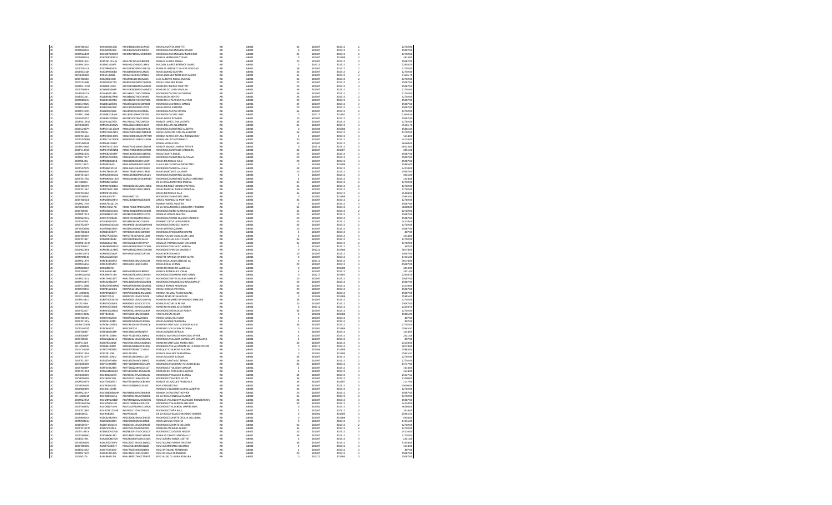| 20<br>20 | 20DST0014Z               | ROHJ8402169G<br>ROHJ850329EC        | ROHJ840216MCSCRN25<br>ROHJ850329HOCDRV07  | ROCHA HUERTA JANETTE<br>RODRIGUEZ HERNANDEZ JAVIER                    | AB                   | 48001<br>AB001        | $\begin{array}{c} 36 \\ 0 \end{array}$        | 201307<br>201307 | 201312<br>201312 |                         |
|----------|--------------------------|-------------------------------------|-------------------------------------------|-----------------------------------------------------------------------|----------------------|-----------------------|-----------------------------------------------|------------------|------------------|-------------------------|
|          | 20DPB2024G<br>20DPR2683R | ROHM871004FD                        | ROHM871004MOCDRR04                        | RODRIGUEZ HERNANDEZ MARICRUZ                                          | AB                   | <b>AROO1</b>          |                                               | 201307           | 201312           |                         |
| 20<br>20 | 20DNS0001K               | ROHT830309KU                        |                                           | ROBLES HERNANDEZ TANIA                                                | AB                   | AB001                 | 36<br>$\circ$                                 | 201307           | 201308           | $\overline{\mathbf{3}}$ |
| 20       | 20DPR0143H               | <b>ROJA781125UH</b>                 | ROJA781125HOCBRN08                        | ROBLES JUAREZ ANIBAL                                                  | AB                   | AB001                 | 20                                            | 201307           | 201312           |                         |
| 20       | 20DPR4243H               | ROJB901004FE                        | ROBJ901004MOCLRR04                        | ROLDAN JUAREZ BERENICE ISABEL                                         | AB                   | AB001                 | $\circ$                                       | 201312           | 201312           |                         |
| 20       | 20DST0012A               | ROJC880403C6                        | ROJC880403MOCSML01                        | ROSALES JIMENEZ CLAUDIA SOLEDAD                                       | AB                   | AB001                 | 36                                            | 201307           | 201312           |                         |
|          | 2000/00110               | <b>ROIGRADEDERA</b>                 | ROIG890606MOCIRLOS                        | ROIAS ILIAREZ GLAFIRA                                                 | 4R                   | <b>AR001</b>          |                                               | 201307           | 201312           |                         |
| 20<br>20 | 202NE0040V               | ROJI6312286L                        | ROJI631228HOCJMN03                        | ROJAS JIMENEZ INOCENCIO MARIO                                         | AB                   | AB001                 | 36<br>36                                      | 201307           | 201312           |                         |
|          | 20DST00680               | ROJL900614DI                        | ROJL900614HOCIMS01                        | LUIS ALBERTO ROJAS JIMENEZ                                            |                      | <b>AR001</b>          |                                               | 201307           | 201312           |                         |
| 20<br>20 | 20DCC0168K               | ROJR910527TU                        | ROJR910527MOCOMN05                        | ROQUE JIMENEZ REINA                                                   | AB<br>AB             | AB001                 | $\frac{36}{20}$                               | 201307           | 201312           |                         |
| 20<br>20 | 20DPR3173W<br>20DST0063H | ROJY890110EJ<br>ROJY8905063R        | ROJY890110MOCMMR07<br>ROJY890506MOCMNM03  | ROMERO JIMENEZ YURITZZY                                               | AB<br>AB             | <b>AR001</b>          | $\begin{array}{c} 20 \\ 36 \end{array}$       | 201307           | 201312           |                         |
|          |                          |                                     |                                           | ROMUALDO JUAN YAMILKA                                                 |                      | AB001                 |                                               | 201307           | 201312           |                         |
| 20<br>20 | 20DEE0017A               | ROLA850211EK<br>ROLB840427MK        | ROLA850211HOCDPN06                        | RODRIGUEZ LOPEZ ANTONINO                                              | AB<br>AB             | <b>AR001</b>          | $\frac{36}{36}$                               | 201307           | 201312           |                         |
|          | 20DES0224L               |                                     | ROLB840427HOCJNN00                        | ROJAS LEON BENITO                                                     |                      | AB001                 |                                               | 201307           | 201312           |                         |
| 20<br>20 | 20DPB0013N               | ROLC8103071U                        | ROLC810307HOCMPN08                        | ROMERO LOPEZ CONSTANTINO                                              | AB<br>AB             | AB003                 | 20                                            | 201307           | 201312           |                         |
|          | 20DCC1982C               | ROLD841205H5                        | ROLD841205HOCDRN08                        | RODRIGUES LORENSO DANIEL                                              |                      | AB001                 | 20                                            | 201307           | 201312           |                         |
| 20       | 20DPB1694F               | ROLE8704209P                        | ROLE870420MOCJPF01                        | ROJAS LOPEZ EUFEMIA                                                   | AB                   | AB001                 | 20                                            | 201307           | 201312           |                         |
| $_{20}$  | 20DPR1259O               | <b>ROLI890925HB</b>                 | ROLI890925HOCDPR06                        | RODRIGUEZ LOPEZ IRVING                                                | AB                   | AB001                 | 36                                            | 201307           | 201312           |                         |
| 20       | 20DPR1139B<br>20DJN1507F | ROLJ680319AW<br>ROLR801007SW        | ROLJ680319HOCDPS09<br>ROLR801007MOCJPS09  | RODRIGUEZ LOPEZ JOSE<br>ROJAS LOPEZ ROSARIO                           | AB<br>AB             | AB001<br>AB001        | $\bf{0}$<br>20                                | 201217<br>201307 | 201302<br>201312 |                         |
| 20<br>20 | 20DES0124M               | ROLV9101273X                        |                                           |                                                                       |                      | AB001                 | 36                                            | 201307           | 201312           |                         |
|          | 202NF0040V               | ROMA4603282V                        | ROLV910127HOCBPC04<br>ROMA460328HOC ILLOS | ROBLES LOPEZ LENA VICENTE<br>ROIAS MILLAN ALFIANDRO                   | AB<br>AR             | <b>AR001</b>          | 36                                            | 201307           | 201312           |                         |
| 20<br>20 | 20DCC2087N               | ROMA741115LM                        | ROMA741115HOCDRL08                        | RODRIGUEZ MARTINEZ ALBERTO                                            | AB                   | AB001                 | $\,$ 0 $\,$                                   | 201304           | 201308           |                         |
|          | 20DST0076L               | ROMC790528TQ                        | ROMC790528HOCONR03                        | ROQUE MONTES CARLOS ALBERTO                                           | AB                   | <b>AR001</b>          | 36                                            | 201307           | 201312           |                         |
| 20<br>20 | 20DST0146Q               | ROMC900130T8                        | ROMC900130MOCMTT09                        | ROMAN MATUS CITLALLI MONSERRAT                                        | AB                   | AB001                 | $\overline{2}$                                | 201307           | 201312           |                         |
|          | 20DTV0789W               | ROMD751220D6                        | ROMD751220HOCSLM09                        | ROSAS MALPICA DOMINGO                                                 | AB                   | AB001                 | 30                                            | 201307           | 201312           |                         |
| 20<br>20 | 20DTV0024T               | ROME681001IZ                        |                                           | ROSAS MOTA EDITH                                                      | AB                   | AB001                 | 30                                            | 201307           | 201312           |                         |
| 20       | 20DPR1448G               | ROME761216UV                        | ROME761216MOCBNS08                        | ROBLES MANUEL MARIA ESTHER                                            | AB                   | AB001                 | $\bf{0}$                                      | 201310           | 201312           |                         |
| 20       | 20DTV1476B               | ROME790901NB                        | ROME790901MOCDRR02                        | RODRIGUEZ MORALES ERENDIRA                                            | AB                   | AB001                 | 30                                            | 201307           | 201307           |                         |
| 20       | 20DPB0223S               | ROME820502SF                        | ROME820502HOCQTR06                        | ROQUE MATA ERICEL                                                     | AB                   | AB001                 | 20                                            | 201307           | 201312           |                         |
| 20       | 20DPB1711P               | ROMG920201QJ                        | ROMG920201HDFDRS05                        | RODRIGUEZ MARTINEZ GUSTAVO                                            | AB                   | AB001                 | 20                                            | 201307           | 201312           |                         |
| 20       | 20DPB0496                | ROMI8808205B                        | ROMI880820GOCJNV09                        | ROJAS MENDOZA IVAN                                                    | AB                   | AB001                 | $20\,$                                        | 201307           | 201312           |                         |
| 20<br>20 | 200CC1927                | <b>ROMIS00629</b>                   | ROM (ROOG29HDECNNO7                       | <b>ILIAN CARLOS ROCHA MONTAÑO</b>                                     | AB                   | <b>AR001</b>          | $\circ$                                       | 201304           | 201308           |                         |
|          | 20DTV0797E               | ROMJ86010352                        | ROMJ860103HOCDRN07                        | RODRIGUEZ MARCIAL JUAN                                                | $\overline{AB}$      | AB001                 | 30                                            | 201307           | 201312           |                         |
|          | 20DPB0606Y               | ROML7803019F                        | ROML780301MOCJRR06                        | ROJAS MARTINEZ LOURDES                                                | AB                   | <b>AR001</b>          | $_{\rm 20}$                                   | 201307           | 201312           |                         |
| 20<br>20 | 20DST0162H               | ROML830306GG                        | ROML830306MOCDRL03                        | RODRIGUEZ MARTINEZ LILIANA                                            | AB                   | AB001                 | 5                                             | 201307           | 201312           |                         |
| 20<br>20 | 20DST0176K               | ROMM640410L9                        | ROMM640410HOCDRR13                        | RODRIGUEZ MARTINEZ MARCO ANTONIO                                      | AB                   | AB001                 | $\overline{z}$                                | 201307           | 201312           |                         |
|          | 20FE10001U               | ROMM831204J7                        |                                           | DE LA ROSA MARTINEZ MIREYA                                            | AB                   | AB001                 | 36                                            | 201307           | 201312           |                         |
| 20       | 20DST0059V               | ROMN920401IG                        | ROMN920401 MMC INR06                      | ROJAS MENDEZ NORMA PATRICIA                                           | AB                   | AB001                 | 36                                            | 201307           | 201312           |                         |
| $_{20}$  | 20DST01542               | ROMP7802178N                        | ROMP780217MOCJRR08                        | ROJAS MARCIAL MARIA PRINCESA                                          | AB                   | AB001                 | 36                                            | 201307           | 201312           |                         |
| 20       | 20DST02060               | ROMP870130SU                        |                                           | ROJAS MENDOZA PAUL                                                    | AB                   | AB00                  | 36                                            | 201307           | 201312           |                         |
| 20<br>20 | 200TV0030D               | <b>ROMUR40720</b>                   | <b>ROMUR40720</b>                         | RODRIGUEZ MARTINEZ URIEL                                              | <b>AR</b>            | <b>AR001</b>          | $\begin{array}{c} 0 \\ 36 \end{array}$        | 201301           | 201309           |                         |
|          | 20DST0052B               | ROMZ800109HJ                        | ROM2800109HV2DRD03                        | ZAIDEL RODRIGUEZ MARTINEZ                                             | AB                   | AB001<br><b>AR001</b> |                                               | 201307<br>201307 | 201312<br>201312 |                         |
| 20<br>20 | 20DPR2175N<br>202NE0040V | RONA721201CH<br>RONG73061711        | RONG730617MOCSYR05                        | ROMAN NIETO AGUSTIN<br>DE LA ROSA NOYOLA GREGORIA TRINIDAD            | AB                   | AB001                 | $\circ$                                       | 201307           | 201312           |                         |
|          |                          | RONG900130CX                        | RONG900130MOCDXD03                        | RODRIGUEZ NIÑO MARIA GUADALU                                          | $\overline{AB}$      | <b>AR001</b>          | 36                                            | 201307           | 201312           |                         |
| 20<br>20 | 20DST0020J<br>20DPR0731X |                                     | ROOB810313MOCSCT05                        | ROSALES OCHOA BEATRIZ                                                 | AB<br>AB             | AB001                 | $\begin{array}{c} 36 \\ 20 \end{array}$       | 201307           | 201312           |                         |
|          | 20DJN2291N               | ROOB810313KX                        | ROOC701006MOCDRL04                        |                                                                       |                      | AB001                 |                                               |                  | 201312           |                         |
| 20<br>20 | 20DTV0793I               | ROOC70100631<br>ROOJ8505017U        | ROOJ850501HOCSRV09                        | RODRIGUEZ ORTIZ CLAUDIA CARMEN<br>ROSARIO ORTIZ JAVID RUBEN           | AB<br>AB             | AB001                 | $\begin{array}{c} 20 \\ 30 \end{array}$       | 201307<br>201307 | 201312           |                         |
| 20       | 20DST0205P               | ROOM850104A6                        | ROOM850104MOCDRN08                        | RODRIGUEZ OROZCO MANYI                                                | AB                   | AB001                 | 36                                            | 201307           | 201312           |                         |
| 20       | 20FSE0006W               | ROOZ901029D5                        | RO02901029MOCJRL09                        | ROJAS ORTEGA ZARAHI                                                   | AB                   | AB001                 | 20                                            | 201307           | 201312           |                         |
| 20       | 20DST0046R               | ROPB850930TY                        | ROPB850930HOCDRR00                        | RODRIGUEZ PEREGRINO BRYAN                                             | AB                   | AB001                 | $\,$ 1                                        | 201307           | 201312           |                         |
|          | 20DST0039H               | <b>ROPG770327DS</b>                 | ROPG770327MOCSLD09                        | ROSAS PULIDO GUADALUPE LIDIA                                          | AB                   | <b>AR001</b>          | $\overline{z}$                                | 201307           | 201312           |                         |
| 20<br>20 | 20DST0184T               | ROPJ84020693                        | ROPJ840206HOCJSL03                        | ROJAS PASCUAL JULIO CESAR                                             | AB                   | AB001                 | 36                                            | 201307           | 201312           |                         |
|          | 20DPR0121W               |                                     | ROPJ860617HOCSTV07                        |                                                                       |                      | <b>AR001</b>          |                                               | 201307           | 201312           |                         |
| 20<br>20 | 20DST0092C               | ROPJ860617BQ<br>ROPM800902UD        | ROPM800902MOCDCR06                        | ROSALES PATIÑO JAVIER EDUARDO<br>RODRIGUEZ PACHECO MIREYA             | AB<br>AB             | AB001                 | $\begin{array}{c} 36 \\ 1 \end{array}$        | 201307           | 201312           |                         |
|          | 20DJN0283F               | ROPM881223K5                        | ROPM881223MOCDNG00                        | RODRIGUEZ PINEDA MAGDELY                                              |                      | <b>AR001</b>          | $\theta$                                      | 201221           | 201308           |                         |
| 20<br>20 | 20DPR1837X               | ROPN900516AF                        | ROPN900516MOCJRY00                        | ROJAS PEREZ NAYELI                                                    | AB<br>AB             | AB001                 | $20\,$                                        | 201307           | 201312           |                         |
| 20<br>20 | 20DNP0013S               | RORA660204QH                        |                                           | ROSETTE RAVIELA ANDRES ALFRE                                          | AB<br>AB             | .<br>AB001            | $\begin{smallmatrix}0\\0\\0\end{smallmatrix}$ | 201307           | 201312           |                         |
|          | 20DPR21972               | <b>RORE840924TX</b>                 | RORE840924MOCSGL09                        |                                                                       |                      | AB001                 |                                               | 201311           | 201312           |                         |
| 20<br>20 | 20DPB1645G               | RORE920414TZ                        | RORE920414HOCJJF02                        | ROJAS ROJAS EFRAIN                                                    | AB<br>AB             | AB00                  | 20                                            | 201307           | 201312           |                         |
|          | 20DNS0001K               | RORG880701                          |                                           | ROMERO ROMERO GABRIELA                                                |                      | AB001                 | $\circ$                                       | 201307           | 201308           |                         |
| 20<br>20 | 20DST00441               | RORJ64041382                        | RORJ640413HOCBDN02                        | ROBLES RODRIGUEZ JONAS                                                | AB                   | AB001                 |                                               | 201307           | 201312           |                         |
|          | 20DPR1814M               | RORJ8907118A                        | RORJ890711MOCDMX05                        | RODRIGUEZ ROMERO JADE ISABEL                                          | AB                   | AB001                 | $\theta$                                      | 201217           | 201302           |                         |
| 20       | 20DPR2201V               | RORL7904143T                        | RORL790414MOCDYL02                        | RODRIGUEZ REYES LILIANA MARLEY                                        | AB                   | AB001                 | $^{20}$                                       | 201307           | 201312           |                         |
| 20       | 20DPR1687G               | RORL920810HP                        | RORL920810MOCDMR08                        | RODRIGUEZ RAMIREZ LORENA MAYLET                                       | AB                   | AB001                 | 20                                            | 201307           | 201312           |                         |
| 20       | 20DTV1568S<br>200PR18940 | RORM790509M5<br><b>RORPR51210B3</b> | RORM790509HOCBMR02<br>RORPR51210MOCOOT06  | ROBLES RAMOS MAURICIO<br>ROOUE ROOUE PATRICIA                         | AB<br><b>AR</b>      | AB001<br><b>AR001</b> | 30<br>20                                      | 201307<br>201307 | 201312<br>201312 |                         |
| 20<br>20 | 20FUA0019S               | RORP8911084T                        | RORP891108HGRMMD06                        | ROMAN ROMAN PEDRO MISAEL                                              | AB                   |                       | 20                                            | 201307           |                  |                         |
|          | 20DCC1028R               | RORR720513                          | ROBR720513MOCSIV08                        | MARIA REYES ROSAS ROJAS                                               | AB                   | AB001<br><b>AR001</b> |                                               | 201304           | 201312<br>201308 |                         |
| 20<br>20 | 20DPR1481O               | RORR7605153W                        | RORR760515HOCMMY01                        | ROMERO RAMIREZ RAYMUNDO ENRIQUE                                       | $\overline{AB}$      | AB001                 | $\begin{array}{c} 0 \\ 36 \end{array}$        | 201307           | 201312           |                         |
|          | 20FIZ0105B               | RORR760531RK                        | RORR760531MOCSSY20                        | ROSALES ROSALES REYNA                                                 | AB                   | AB00                  | 20                                            | 201307           | 201312           |                         |
| 20<br>20 | 20DPB1836X               | RORR9207208D                        | RORR920720HOCMMB00                        | ROMERO RAMOS JOSE RUBEN                                               | AB                   | AB001                 | $\theta$                                      | 201312           | 201312           |                         |
| 20       | 20DST0201T               | RORR930226M2                        | RORR930226HOCDGB07                        | RODRIGUEZ REGALADO RUBEN                                              | AB                   | AB001                 | 36                                            | 201307           | 201312           |                         |
| $_{20}$  | 20DCC1010S               | RORT820618                          | RORT820618MOCSJB00                        | TABITA ROSAS ROJAS                                                    | AB                   | AB001                 | $\theta$                                      | 201304           | 201308           |                         |
| 20       | 20DST0019U               | ROSB7506203C                        | ROSB750620HV2SSL03                        | ROSAS SOSOL BALTAZAR                                                  | AB                   | AB001                 | $\,$ 1                                        | 201307           | 201312           |                         |
| 20       | 20DST0132N               | ROSB781204TJ                        | ROSB781204MOCJNR06                        | ROJAS SANCHEZ BARBARA                                                 | AB                   | AB001                 | $\overline{1}$                                | 201307           | 201312           |                         |
| 20       | 20DML0030M               | ROSC861002DS                        | ROSC861002MVZMNL06                        | ROMERO SANTIAGO CLAUDIA ALICIA                                        | AB                   | AB001                 | 36                                            | 201307           | 201312           |                         |
|          | 20DTV05707               | ROSC940220                          | ROSC940220                                | ROSENDO SOLIS CARY VEDANIA                                            | <b>AR</b>            | <b>AR001</b>          | $\mathbf{0}$                                  | 201301           | 201309           |                         |
| 20<br>20 | 20DST00851               | ROSE6806188F                        | ROSE680618HTLJNF07                        | ROJAS SANCHEZ EFRAIN                                                  | AB                   | AB001                 | $\overline{2}$                                | 201307           | 201312           |                         |
|          | 20DES00808               | ROSF76120344                        |                                           | ROSADO SANTIAGO FRANCISCO JAVIER                                      |                      | <b>AR001</b>          | $\overline{3}$                                | 201307           | 201312           |                         |
| 20<br>20 | 20DST0020J               | ROSG66121211                        | ROSF761203HOCSNR01<br>ROSG661212MOCDLD02  | RODRIGUEZ SALAZAR GUADALUPE CATALINA                                  | AB<br>AB             | AB001                 |                                               | 201307           | 201312           |                         |
| 20       | 20DTV1619                | ROSI790420GE                        | ROSI790420MOCMNN04                        | ROMERO SANTIAGO MARIA INES                                            | AB                   | <b>AR001</b>          | 30                                            | 201307           | 201312           |                         |
| $_{20}$  | 20FUA0023E               | ROSK86120817                        | ROSK861208MOCDLR05                        | RODRIGUEZ SILVA KARIME DE LA CONCEPCION                               | AB                   | AB001                 | $\circ$                                       | 201311           | 201312           |                         |
| 20       | 20DCC0318A               | ROSR770905NJ                        | ROSR770905MTCSSS16                        | ROSIQUE SOSA ROSA AURORA                                              | AB                   | AB001                 | $\dot{\mathbf{0}}$                            | 201304           | 201308           |                         |
| $_{20}$  | 20DES0195G               | ROSS781108                          | ROSS781108                                | ROBLES SANCHEZ SEBASTIANA                                             | AB                   | AB001                 | $\theta$                                      | 201301           | 201309           |                         |
| 20       | 20DST0147F<br>2005T0155Y | ROSS851205IU<br>ROSS870704RA        | ROSS851205MOCJLS07<br>ROSS870704HOCSNR02  | ROJAS SALAZAR SUSANA<br>ROSARIO SANTIAGO SERGIO                       | AB<br>A <sub>R</sub> | AB001<br><b>AR001</b> | 36<br>36                                      | 201307<br>201307 | 201312<br>201312 |                         |
| 20       |                          |                                     |                                           |                                                                       |                      |                       |                                               |                  |                  |                         |
| 20       | 202NE0040V<br>20DST00898 | ROSY510908PE<br>ROTF64022455        | ROSY510908MOCDCL09<br>ROTE640224MOCDLL07  | RODRIGUEZ SOCORRO YOLANDA ELBA<br>RODRIGUEZ TOLEDO FLORALIA           | AB<br>AB             | AB001<br><b>AR001</b> | 36                                            | 201307<br>201307 | 201312<br>201312 |                         |
| 20<br>20 | 20DST0145R               | ROTG691022Q2                        | ROTG691022HOCMSL08                        | ROMUALDO TOSCANO GALDINO                                              | AB                   | AB001                 | $\frac{2}{2}$                                 | 201307           | 201312           |                         |
|          | 202NE0040V               | ROVB810427IX                        | ROVB810427MOCDSL05                        | RODRIGUEZ VASQUEZ BLANCA                                              | AB                   | AB001                 |                                               | 201307           | 201312           |                         |
| 20<br>20 | 202NE0040V               | ROVF601215IE                        | ROVF601215HVZDVL09                        | RODRIGUEZ VIVEROS FELIPE                                              | AB                   | AB001                 | 33<br>36                                      | 201307           | 201312           |                         |
| 20       | 20DPR2967X               | ROVF701005TJ                        | ROVF701005MOCBLR03                        | ROBLES VELAZQUEZ FRANCISCA                                            | AB                   | AB001                 | 36                                            | 201307           | 201307           |                         |
| $_{20}$  | 202NE0040V               | ROVIS0061821                        | ROVI500618HOCXSS05                        | ROA VASQUEZ ISAI                                                      | AB                   | AB001                 | 36                                            | 201307           | 201312           |                         |
| 20       | 20DJN0040\               | ROVJ8111022E                        |                                           | ROSADO VILLALOBOS JORGE ALBERTO                                       | AB                   | AB001                 | 36                                            | 201307           | 201312           |                         |
| $_{20}$  | 20DPR2231P               | ROVK880830MM                        | ROVK880830HVZMRR03                        | ROMAN VIERA KRISTHOPHER                                               | AB                   | AB001                 | 20                                            | 201307           | 201312           |                         |
| 20       | 20FUA00532               | ROVK89042456                        | ROVK890424MOCSNR06                        | DE LA ROSA VENEGAS KAREMI                                             | AB                   | AB001                 | 36                                            | 201307           | 201312           |                         |
|          | 200PR22952               | <b>ROVM8912018H</b>                 | ROVM891201MOCSLN06                        | ROSALES VILLANUEVA MARIA DE MONSERRATO                                | AR                   | <b>AR001</b>          | 20                                            | 201307           | 201312           |                         |
| 20<br>20 | 20DTV0673W               | ROVN75091411                        | ROVN750914HCSDLL18                        | RODRIGUEZ VILLARREAL NELSON                                           | $\overline{AB}$      | AB001                 | 30                                            | 201307           | 201312           |                         |
|          | 20DTV0435V               | ROVO810710HI                        |                                           | RODRIGUEZ VILLAREAL ORFERLINDA                                        | AB                   | <b>AR001</b>          |                                               | 201301           | 201312           |                         |
| 20<br>20 | 20DST0188F               | ROVR781127MB                        | ROVO810710MOCDLR06<br>ROVR781127HVZDXL01  | RODRIGUEZ VIÑA RAUL                                                   | $\overline{AB}$      | AB001                 | $\begin{smallmatrix}0\\2\end{smallmatrix}$    | 201307           | 201312           |                         |
|          |                          | <b>ROVR930403</b>                   | ROVR930403                                |                                                                       |                      | <b>AR001</b>          |                                               |                  | 201309           |                         |
| 20<br>20 | 20DES0011J<br>20DNS0001K | ROZC820826HV                        | ROZC820826MOCDRC09                        | DE LA ROSA VELASCO RICARDO ANDRES<br>RODRIGUEZ ZARATE CECILIA COLUMBA | AB<br>AB             | AB001                 | $\begin{smallmatrix}0\\0\\0\end{smallmatrix}$ | 201301<br>201307 | 201308           |                         |
| 20<br>20 | 20DNP0011U<br>20DES0071Y | ROZC900502JR<br>ROZD7304133V        | ROZC900502MOCJXR08                        | ROJAS ZUŘIGA CRUCITA                                                  | AB<br>AB             | <b>AR001</b>          | $\begin{array}{c} 0 \\ 36 \end{array}$        | 201307           | 201312           |                         |
|          |                          |                                     | ROZD730413MOCDRL09                        | RODRIGUEZ ZARATE DOLORES                                              |                      | AB001                 |                                               | 201307           | 201312           |                         |
| 20<br>20 | 20DST0181W               | ROZ/750520FG                        | ROZI750520HOCMCS09                        | ROMERO ZACARIAS ISIDRO                                                | AB<br>AB             | AB003                 | 36                                            | 201307           | 201312           |                         |
|          | 20DTV1661Y               | ROZN820917UB                        | ROZN820917MOCDGL05                        | RODRIGUEZ ZUGAYDE NELIDA                                              |                      | AB001                 | 30                                            | 201307           | 201312           |                         |
| 20       | 20DTV0068Q               | ROZS88061912                        | ROZS880619MOCSRN08                        | ROSALES ZARATE SANDRA LUZ                                             | AB                   | AB001                 | 36                                            | 201307           | 201312           |                         |
| $_{20}$  | 20DES0190L               | RUAA820807OA                        | RUAA820807MMCZLN05                        | RUIZ ALFARO ANNIA LIZETHE                                             | AB                   | AB001                 | $\overline{\mathbf{3}}$                       | 201307           | 201312           |                         |
| 20       | 202NE0040V               | RUAC650724PV                        | RUAC650724MOCZQR02                        | RUIZ AQUINO MARIA CRISTINA                                            | AB                   | AB001                 | 36                                            | 201307           | 201312           |                         |
| $_{20}$  | 20DST0030Q               | RUAD760409JT                        | RUAD760409MTCZLL08                        | RUIZ ALTAMIRANO DOLORES                                               | AB                   | AB001                 | $\overline{2}$                                | 201307           | 201312           |                         |
| 20       | 20DES01032<br>200PR27620 | RUAF750530ID<br><b>RUAER1031295</b> | RUAF750530HGRZNR04<br>RUAER10312HOCZGR07  | RUIZ ANTOLINO FERNANDO<br><b>RUIZ AGUILAR FERNANDO</b>                | AB<br>AR.            | AB001<br><b>AR001</b> | 20 <sub>0</sub>                               | 201307<br>201307 | 201312<br>201312 |                         |
|          |                          |                                     | RUAL880917MOCZDR07                        | RUIZ AUDELO LAURA ROSALBA                                             | AB                   | AB001                 | $\circ$                                       | 201222           | 201304           |                         |
|          | 20DJN0373J               | RUAL8809174L                        |                                           |                                                                       |                      |                       |                                               |                  |                  |                         |
|          |                          |                                     |                                           |                                                                       |                      |                       |                                               |                  |                  |                         |

# 12702,00 3 15087,00 2 12702,00 3 3813,00 3 15087,00 3 22630,50 2 12702,00 2 12702,00 3 41666,70 2 12702,00 3 15087,00 3 15087,00 2 12702,00 2 12702,00 2 12702,00 3 15087,00 3 15087,00 3 15087,00 2 12702,00 3 22630,50 3 15087,00 2 12702,00 3 35666,70 3 15885,00 2 12702,00 3 1614,00 3 24210,00 3 46260,00 3 40223,00 3 3855,00 3 15087,00 3 15087,00 3 15087,00 3 15885,00 3 24210,00 3 15087,00 3 4035,00 3 1614,00 2 12702,00 2 12702,00 2 12702,00 2 25404,00 3 25945,92 2 12702,00 3 15087,00 3 36000,00 2 12702,00 3 15087,00 3 15087,00 3 24210,00 2 12702,00 3 15087,00 3 807,00 3 1614,00 2 12702,00 2 12702,00 3 807,00 3 30174,00 3 15087,00 3 14346,00 3 30174,00 3 15087,00 3 3813,00 3 2421,00 3 22630,50 3 15087,00 3 15087,00 3 24210,00 3 15087,00 3 15087,00 3 15885,00 2 12702,00 3 15087,00 3 22630,50 2 12702,00 3 15885,00 3 807,00 3 807,00 2 12702,00 3 25945,92 3 1614,00 3 2421,00 3 807,00 3 24210,00 3 30174,00 3 15885,00 3 25945,92 2 12702,00 2 12702,00 3 84717,00 3 1614,00 3 1614,00 3 25327,62 3 51000,00 2 2117,00 3 45000,00 2 12702,00 3 15087,00 2 12702,00 3 15087,00 3 24210,00 3 46260,00 3 1614,00 3 25945,92 3 4920,00 3 14346,00 2 12702,00 2 12702,00 3 24210,00 2 12702,00 3 2421,00 3 33354,00 3 1614,00 3 807,00 3 15087,00 3 15087,00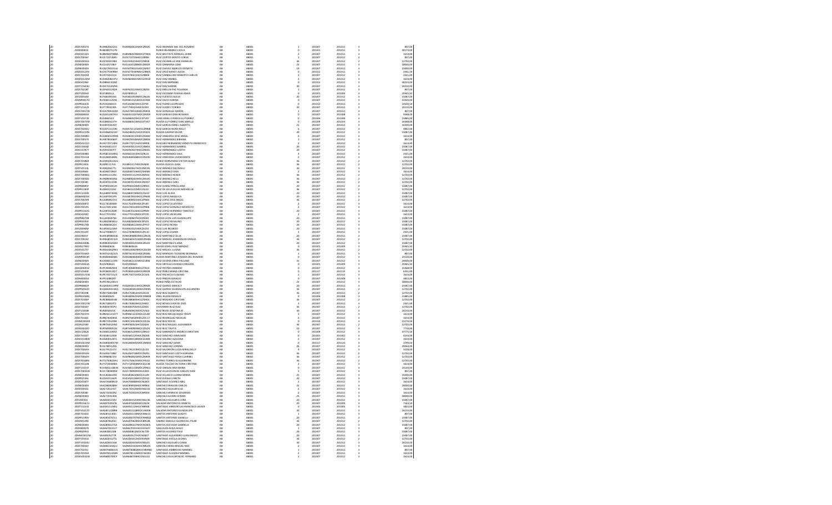| 20<br>20 | 20DST0057X               | RUAR820622LG                        | RUAR820622MOCZNS05                       | RUIZ ANDRADE MA. DEL ROSARIO                                                       | AB              | AB001          |                                         | 201307           | 201312           |                         |
|----------|--------------------------|-------------------------------------|------------------------------------------|------------------------------------------------------------------------------------|-----------------|----------------|-----------------------------------------|------------------|------------------|-------------------------|
|          | 20DDI0001X               | RUBL8007317N                        |                                          | RUBIO BEJARANO LUCILA                                                              | AB              | AB001          | $\theta$                                | 201301           | 201312           |                         |
| 20       | 20DES0132V               | RUBM8207088A                        | RUBM820708HOCZTN04                       | RUIZ BAUTISTA MANUEL JAIME                                                         | AB              | AB001          |                                         | 201307           | 201312           |                         |
| 20       | 20DST0056Y               | RUCE710726R5                        | RUCE710726HOCZRR06                       | RUIZ CORTES ERASTO JORGE                                                           | AB              | AB001          | $\ddot{\phantom{1}}$                    | 201307           | 201312           | ۹                       |
| 20       | 20DES0055G               | RUCE930219B3                        | RUCE930219HOCZNR18                       | RUIZ ESCAMILLA ERIK EMANUEL                                                        | AB              | AB001          | 36                                      | 201307           | 201312           |                         |
| 20<br>20 | 202NE0040V<br>202NE0040V | <b>RUCL620728EF</b>                 | RUCL620728MOCZRD09                       | RUIZ CARMONA LIDIA<br>RUIZ CHAVEZ MARCOS DONATO                                    | AR              | <b>AR001</b>   | 23                                      | 201307           | 201312           | 3                       |
|          |                          | RUCM790101L6                        | RUCM790101HOCZHR07                       |                                                                                    | AB              | AB001          | 19                                      | 201307           | 201312           |                         |
|          |                          |                                     | RUCN770309MOCZRN05                       |                                                                                    |                 | AB001          | $\bf{0}$                                | 201312           | 201312           | 3<br>3                  |
| 20<br>20 | 20DES0123N               | RUCN770309BH                        | RUCR740221HOCZRB08                       | RUIZ CRUZ NANCY ALICIA<br>RUIZ CRUZ NANCY ALICIA<br>RUIZ CARBALLIDO ROBERTO CARLOS | AB<br>AB        | AB001          | $\overline{3}$                          | 201307           | 201312           |                         |
| 20<br>20 | 20DES0124M               | RUDA820821PU                        | RUDA820821MOCZZN18                       | RUIZ DIAZ ANABEL                                                                   | AB              | AB001          |                                         | 201307           | 201312           |                         |
|          | 20DES0196F               | RUDB8411028Z                        |                                          | RUIZ DIAZ BERNABE                                                                  | AB              | AB001          | $\theta$                                | 201312           | 201312           | $\overline{3}$          |
| 20<br>20 | 20DTV1624U               | RUDK7512029A                        |                                          | RUIZ DIAZ KARINA                                                                   | AB              | AB001          | 30                                      | 201307           | 201312           |                         |
|          | 20DST0218T               | <b>RUEP620124DK</b>                 | RUEP620124MOCZBZ03                       | RUIZ EBELLIN PAZ YOLANDA                                                           | AB              | AB001          | $\overline{1}$                          | 201307           | 201312           |                         |
| 20       | 20DTV0036Y               | RUEY890513                          | RUEY890513                               | RUIZ ESCOBAR YESENIA ANAIS                                                         | AB              | AB001          |                                         | 201301           | 201309           |                         |
| $_{20}$  | 20FIZ0053M               | RUFA810919J6                        | RUFA810919MOCZNL06                       | RUIZ FUENTES ALICIA                                                                | AB              | AB001          | 20                                      | 201307           | 201312           | $\overline{3}$          |
| 20       | 20DNP00170               | RUFK8211259A                        | RUFK821125MOCZCR08                       | <b>RUIZ FACIO KARINA</b>                                                           | AB              | AB001          | $\bf{0}$                                | 201307           | 201312           |                         |
| 20       | 20DPB1647E               | RUFL810601CS                        | RUFL810601HOCZLP09                       | RUIZ FLORES LEOPOLDO                                                               | AB              | AB001          | $\circ$                                 | 201312           | 201312           | $\overline{3}$          |
| 20       | 20DTV1522X               | RUFT790323DL                        | RUFT790323HOCZLR03                       | <b>RUIZ FLORES TORIBIO</b>                                                         | AB              | AB001          | 30                                      | 201307           | 201312           |                         |
|          | 20DST0017W               | <b>RUGA790510DD</b>                 | RUGA790510HOCZNR04                       | <b>RUIZ GONZALEZ AARON</b>                                                         | AR              | <b>AR001</b>   | $\overline{1}$                          | 201307           | 201312           |                         |
| 20<br>20 | 20DNS0001K               | <b>RUGE811007KU</b>                 | RUGE811007MOCZRD09                       | RUIZ GARCIA EDNA ROSARIO                                                           | AB              | AB001          | $\bf{0}$                                | 201307           | 201308           |                         |
| 20<br>20 | 20DTV0573X               | <b>RUGIR60523</b>                   | RUGIS60523HOCDTV07                       | <b>IVAN JAMILLE RUEDA GUTIERREZ</b>                                                | AR              | <b>AR001</b>   | $\Omega$                                | 201304           | 201308           |                         |
|          | 20DST0075M               | RUGI8605237H                        | RUGI860523MOCDTV07                       | RUEDA GUTIERREZ IVAN JAMILLE                                                       | AB              | AB001          | $\mathbf 0$                             | 201209           | 201224           | 3                       |
|          | 202NE0040V               | RUGI870322QT                        |                                          | RUIZ GARCIA ISRAEL ALBERTO                                                         | AB              | AB001          | 21                                      | 201307           | 201312           |                         |
| 20<br>20 | 20DST0200U               | RUGN7511159C                        | RUGN751115MOCZRR08                       | <b>RUIZ GARCIA NORA NELLY</b>                                                      | AB              | AB001          | 6                                       | 201307           | 201312           |                         |
| 20       | 20DPR1219N               | RUGO860521KF                        | RUGO860521HOCDSS03                       | <b>RUEDA GASPAR OSCAR</b>                                                          | AB              | AB001          | $_{\rm 20}$                             | 201307           | 201312           |                         |
| $_{20}$  | 20DST0008Q               | RUHA8301199W                        | RUHA830119HOCZNN00                       | RUIZ HINOJOSA JOSÉ ANGEL                                                           | AB              | AB001          | $\overline{2}$                          | 201307           | 201312           | $\overline{3}$          |
| 20       | 20DST0057X               | RUHB79010697                        | RUHB790106MOCZRB04                       | RUIZ HERNANDEZ BIBIANA                                                             | AB              | AB001          |                                         | 201307           | 201312           |                         |
| $_{20}$  | 20DES0221O               | RUHE7707138H                        | RUHE770713HOCSRR00                       | RUSCHKE HERNANDEZ ERNESTO FRANCISCO                                                | AB              | AB001          | $\overline{2}$                          | 201307           | 201312           | $\overline{3}$          |
| 20       | 20DCC06582               | RUHG930111/7                        | RUHG930111HOCZRB04                       | RUIZ HERNANDEZ GABRIEL                                                             | AB              | AB001          | 20                                      | 201307           | 201312           |                         |
|          | 200CC0787T               | <b>RUHI910507FT</b>                 | RUHI910507MOCZRD01                       | <b>RUIZ HERNANDEZ IUDITH</b>                                                       | AR              | <b>AR001</b>   | 20                                      | 201307           | 201312           |                         |
| 20<br>20 | 20DES0048X               | <b>RUHS811014RQ</b>                 | RUHS811014HOCZRL01                       | RUIZ HERNANDEZ SAUL                                                                | AB              | AB001          | $\overline{\mathbf{3}}$                 | 201307           | 201312           |                         |
| 20<br>20 | 20DST0151B               | RUHUR40508IO                        | RUHU840508HOCZNV00                       | RUIZ HINOJOSA UVANI DANTE                                                          | AR              | <b>AR001</b>   | $\overline{z}$                          | 201307           | 201312           |                         |
|          | 20DST0186R               | RUHV810513GG                        |                                          | RUBIO HERNANDEZ VICTOR HUGO                                                        | AB              | AB001          | 36                                      | 201307           | 201312           | $\overline{a}$          |
| 20<br>20 | 20DPR1303L               | <b>RUU891117EA</b>                  | RUIJ891117HOCDGN00                       | RUEDA IGLECIA JUAN                                                                 | AB              | AB001          | 36                                      | 201307           | 201312           | $\overline{a}$          |
|          | 20DTV0114L               | RUJD820627TL                        | RUJD820627HOCZMC06                       | RUIZ JIMENEZ DACSSAELI                                                             | AB              | AB001          | 30                                      | 201307           | 201312           |                         |
| 20       | 20DES0069J               | RUJE840724K9                        | RUJE840724HOCZMD08                       | RUIZ JIMENEZ EDER                                                                  | AB              | AB001          | $\overline{2}$                          | 201307           | 201312           | 3                       |
| $_{20}$  | 20DST0006Q               | RUJH911112AC                        | RUJH911112HOCZMS02                       | RUIZ JIMENEZ HEISER                                                                | AB              | AB001          | 36                                      | 201307           | 201312           | $\overline{a}$          |
| 20       | 20DST0050D               | RUJN890301N6                        | RUJN890301MOCZML05                       | <b>RUIZ JIMENEZ NELLI</b>                                                          | AB              | AB001          | 36                                      | 201307           | 201312           |                         |
| $_{20}$  | 20DST0038I               | RUJO87011038                        | RUJO870110HOCZMZ07                       | RUIZ JIMENEZ OZIEL                                                                 | AB              | AB001          | 36                                      | 201307           | 201312           | $\overline{a}$          |
| 20       | 20DPB0895R               | <b>RUJP900104UH</b>                 | RUJP900104MOCZRR03                       | RUIZ JUAREZ PRISCILIANA                                                            | AB              | AB001          | 20                                      | 201307           | 201312           |                         |
| 20       | 20DPR1183F               | RUJS841222AZ                        | RUJS841222MOCZSL02                       | RUIZ DE JESUS SILVIA NAXHIELLIE                                                    | AB              | AB001          | 36                                      | 201307           | 201312           | $\overline{a}$          |
| 20       | 20DCC2230H               | RULA8007304Q                        | RULA800730MOCZSL02                       | RUIZ LUIS ALICIA                                                                   | AB              | AB001          | $\overline{20}$                         | 201307           | 201312           |                         |
|          | 20DBA0035X               | <b>RULA870915PS</b>                 | RULASZ0915MOCZPN00                       | <b>RUIZ LOPEZ ANGELICA</b>                                                         | AR              | <b>AR001</b>   |                                         | 201307           | 201312           |                         |
| 20<br>20 | 20DST0070R               | RULA890921V3                        | RULA890921HOCZPN00                       | RUIZ LOPEZ JOSE ANGEL                                                              | AB              | AB001          | $\begin{array}{c} 20 \\ 36 \end{array}$ | 201307           | 201312           |                         |
|          |                          |                                     |                                          |                                                                                    | AB              | AB001          | $\overline{z}$                          | 201307           | 201312           |                         |
| 20<br>20 | 20DES00872<br>20DST0219S | RULC761005BX<br>RULG740110HJ        | RULC761005HOCZPL00<br>RULG740110HOCZPN06 | RUIZ LOPEZ CELESTINO<br>RUIZ LOPEZ GONZALO MODESTO                                 | AB              | AB001          |                                         | 201307           | 201312           |                         |
|          | 20DPR1332G               |                                     | RULH870126HOCZPR09                       |                                                                                    | AB              | AB001          | $_{\rm 20}$                             | 201307           |                  |                         |
| 20<br>20 | 20DES0204Y               | RULH8701269R<br>RULI770110SC        | RULJ770110MOCZPC05                       | RUIZ LOPEZ HERMINIO TIMOTEO<br>RUIZ LOPEZ JACKELINE                                | AB              | AB001          | $\overline{2}$                          | 201307           | 201312<br>201312 | 3                       |
|          | 20DPR0074B               |                                     | RULL830607HOCDNS01                       | RUEDA LEON LUIS GUADALUPE                                                          |                 | AB001          |                                         | 201307           | 201312           |                         |
| 20<br>20 | 20DPR3593F               | RULL8306075G                        | RULR820830HOCZPS03                       | RUIZ LOPEZ ROSALINO                                                                | AB<br>AB        | AB001          | $\begin{array}{c} 20 \\ 20 \end{array}$ | 201307           | 201312           | $\overline{3}$          |
| 20       | 20DPR0178X               | RULR8606121V                        | RULR860612MOCZPY07                       | RUIZ LOPEZ REYNA                                                                   | AB              | AB001          | 20                                      | 201307           | 201312           |                         |
| 20       | 20FIZ0094M               | RULR910125N9                        | RULR910125HOCZSC03                       | <b>RUIZ LUIS RICARDO</b>                                                           | AB              | AB001          | 20                                      | 201307           | 201312           | $\overline{3}$          |
| 20       | 20DST0119T               | RULZ700805T7                        | RULZ700805MOCZPL10                       | RUIZ LOPEZ ZULMA                                                                   | AB              | AB001          |                                         | 201307           | 201312           |                         |
|          | 20DCI0001Y               | RUMCR9080346                        | RUMC890803MOCZRL05                       | <b>RUIZ MARTINEZ CELLA</b>                                                         | AR              | <b>AR001</b>   | $\infty$                                | 201307           | 201312           |                         |
| 20<br>20 | 20DST00142               | RUME681011LR                        | RUME681011MOCZNS06                       | RUIZ MANUEL ESMERALDA ORALIA                                                       | AB              | AB001          | $\frac{1}{36}$                          | 201307           | 201312           |                         |
|          |                          |                                     | RUMI830325MOCZRL00                       |                                                                                    | AB              | AB001          |                                         | 201307           | 201312           |                         |
| 20<br>20 | 20DML0008L<br>20DJN1799U | RUMI830325DH<br>RUMJ840616          | RUMJ840616                               | RUIZ MARTINEZ ILIANA<br>JAVIER EDHEL RUIZ MENDEZ                                   | $\overline{AB}$ | AB001          | $\begin{array}{c} 20 \\ 0 \end{array}$  | 201301           | 201309           |                         |
|          | 20DES0175T               | RUML630629K4                        | RUML630629MOCZGC09                       | RUIZ MIGUEL LUCINA                                                                 | AB              | <b>AR001</b>   | 36                                      | 201307           | 201312           |                         |
| 20<br>20 | 20DST0166D               | RUMT62101525                        | RUMT621015HOCZRD06                       | RUIZ MORALES TEODORO BEDNAGA                                                       | AB              | AB001          | $\mathbf{1}$                            | 201307           | 201312           | $\frac{2}{3}$           |
|          |                          | RUMZ84060681                        | RUMZ840606MOCDRN04                       |                                                                                    |                 | AB001          | $\Omega$                                | 201307           | 201312           |                         |
| 20<br>20 | 20DNP0014R<br>20ZNE0040V | RUOE861121RX                        | RUOE861121MOCZLR06                       |                                                                                    | AB<br>AB        | AB001          | 31                                      | 201307           | 201312           | $\frac{3}{3}$           |
|          |                          |                                     |                                          | RUIZ ORTEGA VIVIANA CORAZON                                                        |                 | AB001          | $\bf{0}$                                |                  |                  |                         |
| 20<br>20 | 20DTV0033A<br>20AGD0003Z | RUOV900621<br>RUPC400829AK          | RUOV900621<br>RUPC400829HOCZTN14         | RUIZ PATIÑO CANDIDO                                                                | AB<br>AB        | AB001          | $\mathbf 0$                             | 201301<br>201307 | 201309<br>201312 | 3                       |
|          |                          |                                     | PUPC840524MOCZRD09                       | RUIZ PEREZ MARIA CRISTINA                                                          |                 |                | $\mathbf 0$                             | 201117           | 201119           |                         |
| 20<br>20 | 20DTV0540F<br>20DES0172W | RUPC840524D7<br><b>RUPE730715US</b> | RUPE730715HOCZCG05                       | RUIZ PACHECO EUGENIO                                                               | AB<br>AB        | AB001<br>AB001 | $\overline{ }$                          | 201307           | 201312           |                         |
| 20       |                          |                                     |                                          |                                                                                    |                 |                | $\mathbf{0}$                            | 201307           |                  |                         |
| $_{20}$  | 20DNS0001K<br>202NE0040V | RUPI510802R7<br>RUPO781230U4        |                                          | RUIZ PINEDA IGNACIO<br>RUBIO PEÑA OCTAVIO                                          | AB<br>AB        | AB001<br>AB001 | 23                                      | 201307           | 201308<br>201312 | $\overline{3}$          |
| 20       | 20DPB0861P               | RUQA920113PM                        | RUQA920113HOCZRR08                       | RUIZ QUIROZ ARACELY                                                                | AB              | AB001          | $\overline{20}$                         | 201307           | 201312           |                         |
| 20       | 20DPR2052D               | RU0G8204144Q                        | RUQG820414MOCZRD05                       | RUIZ QUIROZ GUADALUPE ALEJANDRA                                                    | AB              | AB001          | 36                                      | 201307           | 201312           | $\overline{a}$          |
| 20       | 20FZT0019B               | RURA7508148R                        | RURA750814HOCZZL04                       | RUIZ RUIZ ALBERTO                                                                  | AB              | AB001          | 36                                      | 201307           | 201312           |                         |
|          | 20DPR10580               | RURAROO625                          | RURA800625MOCDNN09                       | ANEL RUEDA RENAUD                                                                  | AR              | <b>AR001</b>   | $\Omega$                                | 201304           | 201308           | à                       |
| 20<br>20 | 20DST0106P               | RURC8806054B                        | RURC880605HOCZSH04                       | RUIZ RASGADO CRISTIAN                                                              | AB              | AB001          | 36                                      | 201307           | 201312           | $\overline{a}$          |
|          |                          |                                     |                                          | RUIZ ROSAS JUAN DE DIOS                                                            |                 | AB001          |                                         | 201307           |                  |                         |
| 20<br>20 | 20DST0017W               | RURJ730819TZ                        | RURJ730819HOCZSN02<br>RURJ830705HOCZZH05 |                                                                                    | AB<br>AB        |                |                                         |                  | 201312           | $\frac{3}{2}$           |
|          | 20DST0056Y               | RURJ830705PV                        |                                          | <b>JHOVANNY RUIZ RUIZ</b>                                                          |                 | AB001          | 36                                      | 201307<br>201307 | 201312<br>201312 |                         |
| 20<br>20 | 20DTV1658K<br>20DST0237H | RURJ830915IC<br>RURM65121077        | RURJ830915MOCZVS03<br>RURM651210HOCZZL08 | RUIZ RIVAS JOSEFINA IR<br>RUIZ RUIZ MELOUIADEZ FREDY                               | AB<br>AB        | AB001<br>AB001 | 30<br>$\overline{2}$                    | 201307           | 201312           | $\overline{3}$          |
| 20       |                          |                                     |                                          |                                                                                    |                 |                |                                         | 201307           | 201312           |                         |
| $_{20}$  | 20DST0160J<br>20HMC0024F | RURN7405093E<br><b>RURR7105249K</b> | RURN740509HOCZDC17<br>RURR710524MOCZZC06 | RUIZ RODRIGUEZ NICOLAS<br>RUIZ RUIZ ROCIO                                          | AB<br>AB        | AB001<br>AB001 | $\circ$                                 | 201310           | 201312           | $\overline{3}$          |
| 20       | 20DJN2258F               | RURR760523NZ                        | RURR760523HCSZZQ04                       | RUIZ RUIZ RAQUEL ALEXANDER                                                         | AB              | AB001          | 36                                      | 201307           | 201312           |                         |
| 20       | 20DEE0020O               | RURT6909052H                        | RURT690905MOCZZV03                       | RUIZ RUIZ TAVITA                                                                   | AB              | AB001          | 10                                      | 201307           | 201312           | $\overline{3}$          |
| 20       | 20DCC2062E               | RUSA8312095A                        | RUSA831209HOCZRN13                       | RUIZ SARMIENTO ANDRES CHRISTIAN                                                    | AB              | AB001          | $\mathbf 0$                             | 201309           | 201312           | 3                       |
|          | 20DST0102T               | RUSE681120S8                        | RUSE681120HOC2ND00                       | <b>RUIZ SANCHEZ EDMUNDO</b>                                                        | AR              | <b>AR001</b>   | $\Omega$                                | 201301           | 201302           |                         |
| 20<br>20 | 20DES0148W               | RUSG840128T1                        | RUSG840128MOCZLB08                       | RUIZ SOLANO AZUCENA                                                                | AB              | AB001          |                                         | 201307           | 201312           |                         |
|          | 20DES0223M               | RUSG8404057M                        | RUSG840405MOCZNM01                       | RUIZ SANCHEZ GEMA                                                                  | AB              | <b>AR001</b>   | $\Omega$                                | 201117           | 201124           |                         |
| 20<br>20 | 20ZNE0040V               | RUSL780512QS                        |                                          | RUIZ SANCHEZ LORENA                                                                | AB              | AB001          | 26                                      | 201307           | 201312           | 3                       |
|          | 20DST0063H               | RUSL79121372                        | RUSL791213MOCZLC01                       | RUIZ SALOMON LUCIA MIRALDELLY                                                      | AB              | AB001          | $\overline{4}$                          | 201307           | 201312           |                         |
| 20<br>20 | 20DEE0010H               | RUSL85071882                        | RUSL850718MOCZNZ01                       | RUIZ SANTIAGO LIZETH ADRIANA                                                       | AB              | AB001          | 36                                      | 201307           | 201312           |                         |
| 20       | 20DST0063H               | RUSP860821SV                        | RUSP860821MOCZNR09                       | RUIZ SANTIAGO PERLA CLARIBEL                                                       | AB              | AB001          | 36                                      | 201307           | 201312           | $\overline{a}$          |
| $_{20}$  | 20DST0108N               | <b>RUTG750625HU</b>                 | RUTG750625MOCFRL02                       | <b>RUFINO TORRES GUILLERMINA</b>                                                   | AB              | AB001          | 36                                      | 201307           | 201312           | $\overline{a}$          |
| 20       | 20DST0110B               | RUTV720304B4                        | RUTV720304MOCDLC08                       | RUEDA TOLEDO VICTORIA CRISTINA                                                     | AB              | AB001          |                                         | 201307           | 201312           |                         |
| $_{20}$  | 20DTV1014T               | RUVA851118EW                        | RUVA851118MOCZRN01                       | <b>RUIZ VARGAS ANA MARIA</b>                                                       | AB              | AB001          | $\circ$                                 | 201307           | 201312           |                         |
| 20       | 20DST0041W               | RUVC780909IW                        | RUVC780909HOCZLR04                       | RUIZ VILLAVICENCIO CARLOS IVAN                                                     | AB              | AB001          |                                         | 201307           | 201312           |                         |
|          | 207NF0040V               | RUVL85061093                        | <b>RUVI 850610MOC2LL09</b>               | RUIZ VELASCO LILIANA MARIA                                                         | AR              | <b>AR001</b>   | 25                                      | 201307           | 201312           | ٩                       |
| 20<br>20 | 20DPR2136L               | RUZL810116V9                        | RUZL810116MOCZXS10                       | RUIZ ZURIGA LISBETH                                                                | AB              | AB001          | 20                                      | 201307           | 201312           |                         |
|          | 20DES0187Y               | SAAA740808UD                        | SAAA740808HOCNLB03                       | SANTIAGO ALVAREZ ABEL                                                              | AR              | <b>AR001</b>   | $\overline{2}$                          | 201307           | 201312           |                         |
| 20<br>20 | 20ZNE0040V               | SAAC890928BH                        | SAAC890928HOCNRR04                       | SANCHEZ ARAGON CARLOS                                                              | AB              | AB001          | 31                                      | 201307           | 201312           | 3                       |
|          | 20DES0050L               | SAAE7201241T                        | SAAE720124MOCNGL02                       | SANCHEZ AGUILAR ELIA                                                               | AB              | AB001          | $\overline{2}$                          | 201307           | 201312           |                         |
| 20<br>20 | 20DST0038I               | SAAE750302RZ                        | SAAE750302HOCNPD03                       | SANCHEZ APARICIO EDUARDO                                                           | AB              | AB001          | $\overline{2}$                          | 201307           | 201312           |                         |
| 20       | 202NE0040V               | SAAE770413EB                        |                                          | SANCHEZ ALVARO EFRAIN                                                              | AB              | AB001          | $^{23}$                                 | 201307           | 201312           |                         |
| $_{20}$  | 20FIZ0035X               | SAAE830125NJ                        | SAAE830125MOCNGL06                       | SANCHEZ AGUILAR ELVIRA                                                             | AB              | AB001          | 20                                      | 201307           | 201312           | $\overline{3}$          |
| 20       | 20DPR1567U               | SAAE8702047B                        | SAAE870204MOCLNL04                       | SALAZAR ANTONIO ELIZABETH                                                          | AB              | AB001          | 20                                      | 201307           | 201309           |                         |
| $_{20}$  | 20DTV1155S               | SAAF8511194Q                        | SAAF851119HOCNRR08                       | SANTIAGO ARREORTUA FRANCISCO JAVIER                                                | AB              | AB001          | $\circ$                                 | 201305           | 201305           |                         |
| 20       | 20DTV0227Q               | SAAG811228RB                        | SAAG811228MOCLND08                       | SALAZAR ANTONIO GUADALUPE                                                          | AB              | AB001          | 30                                      | 201307           | 201312           |                         |
|          | 20DST016SE               | <b>SAAGR31130IC</b>                 | <b>SAAG831130MOCNNL01</b>                | SANTOS ANTONIO GLADYS                                                              | AR              | <b>AR001</b>   | $\overline{1}$                          | 201307           | 201312           |                         |
| 20<br>20 | 20DPR1590V               | SAAG850707L3                        | SAAG850707MOCNNN02                       | SANTOS ANTONIO GIANELLI                                                            | AB              | AB001          | 20                                      | 201307           | 201312           |                         |
|          | 20DJN0139E               | SAAG870620JC                        | SAAG870620MOCBNL08                       | SABINO ANGULO GLORIA DEL PILAR                                                     | AR              | <b>AR001</b>   |                                         | 201307           | 201312           |                         |
| 20<br>20 | 202NE0040V               | SAAG8902275A                        | SAAG890227MOCNCB05                       | SANTOS ACEVEDO GABRIELA                                                            | $\overline{AB}$ | AB001          | 36<br>20                                | 201307           | 201312           |                         |
|          | 20DSN0007E               |                                     |                                          |                                                                                    | AB              | AB001          |                                         | 201307           | 201312           |                         |
| 20<br>20 | 20DPB2091E               | SAAH670331UT<br>SAAI830812D8        | SAAH670331HOCGVG07<br>SAAI830812MOCNLT09 | SAGUILAN AVILA HUGO<br>SANTOS ALVAREZ ITAVI                                        | AB              | AB001          | 20                                      | 201307           | 201312           |                         |
|          |                          |                                     |                                          | SANTIAGO ALEJANDRO JUAN EMILIO                                                     | AB              | AB001          | $^{20}$                                 | 201307           | 201312           |                         |
| 20<br>20 | 20HMC0012M               | SAAJ8505277R<br>SAAL820312TG        | SAAJ850527HOCNLN07<br>SAAL820312HOCNVN09 | SANTIAGO AVELLA LEONEL                                                             | AB              | AB001          | 36                                      | 201307           | 201312           |                         |
|          | 20DTV0320U               | SAAL820415G8                        |                                          | SANCHEZ AGUILAR LILIANA                                                            | AB              | AB001          | 30                                      | 201307           | 201312           |                         |
| 20<br>20 | 20DST0056Y               | SAAM651026JU                        | SAAL820415MOCNGL01<br>SAAM651026HOCNRG05 | SANCHEZ ARIAS MIGUEL NOE                                                           | AB              | AB001          | $\overline{2}$                          | 201307           | 201312           | $\overline{\mathbf{3}}$ |
|          | 20DST0235J               | SAAM760802US                        | SAAM760802MOCNMR06                       | SANTIAGO AMBROSIO MARIBEL                                                          | AB              | AB001          |                                         | 201307           | 201312           |                         |
| 20<br>20 | 20DST0193A               | SAAM781126MI                        | SAAM781126MOCNLR03                       | SANTIAGO ALVAREZ MARIBEL                                                           | AB              | AB001          | $\overline{ }$                          | 201307           | 201312           | $\overline{3}$          |
|          | 20DES0032W               | SAAN680709CP                        | SAAN680709HOCNGL02                       | SANCHEZ AGUILAR NOEL FERNAND                                                       | AB              | AB001          |                                         | 201307           | 201312           |                         |
|          |                          |                                     |                                          |                                                                                    |                 |                |                                         |                  |                  |                         |

# 807,00 3 30174,00 3 1614,00 3 807,00 2 12702,00 3 18000,00 3 15000,00 3 2441,50 3 2421,00 3 1614,00 3 40223,00 3 24210,00 3 807,00 3 25945,92 3 15087,00 3 15420,00 3 22630,50 3 24210,00 3 807,00 3 9348,00 3 15885,00 3 16448,00 3 16500,00 3 4842,00 3 15087,00 3 1614,00 3 807,00 3 1614,00 3 15087,00 3 15087,00 3 2421,00 3 1614,00 2 12702,00 2 12702,00 3 24210,00 3 1614,00 2 12702,00 2 12702,00 2 12702,00 3 15087,00 2 12702,00 3 15087,00 3 15087,00 2 12702,00 3 1614,00 3 1614,00 3 15087,00 3 1614,00 3 15087,00 3 15087,00 3 15087,00 3 15087,00 3 2421,00 3 15087,00 2 12702,00 3 15087,00 3 25945,92 2 12702,00 3 807,00 3 23130,00 3 24000,00 3 25945,92 3 15468,00 3 6351,00 3 1614,00 3 3813,00 3 18000,00 3 15087,00 2 12702,00 2 12702,00 3 15885,00 2 12702,00 3 2421,00 2 12702,00 3 24210,00 3 1614,00 3 1614,00 3 21170,00 2 12702,00 3 7710,00 3 47775,50 3 4234,00 3 1614,00 3 1799,04 3 20064,00 3 3228,00 2 12702,00 2 12702,00 2 12702,00 3 1614,00 3 23130,00 3 807,00 3 19200,00 3 15087,00 3 1614,00 3 24000,00 3 1614,00 3 1614,00 3 18000,00 3 15087,00 3 7543,50 3 3855,00 3 24210,00 3 807,00 3 15087,00 2 12702,00 3 15087,00 3 807,00 3 15087,00 3 15087,00 2 12702,00 3 24210,00 3 1614,00 3 807,00 3 1614,00 3 1614,00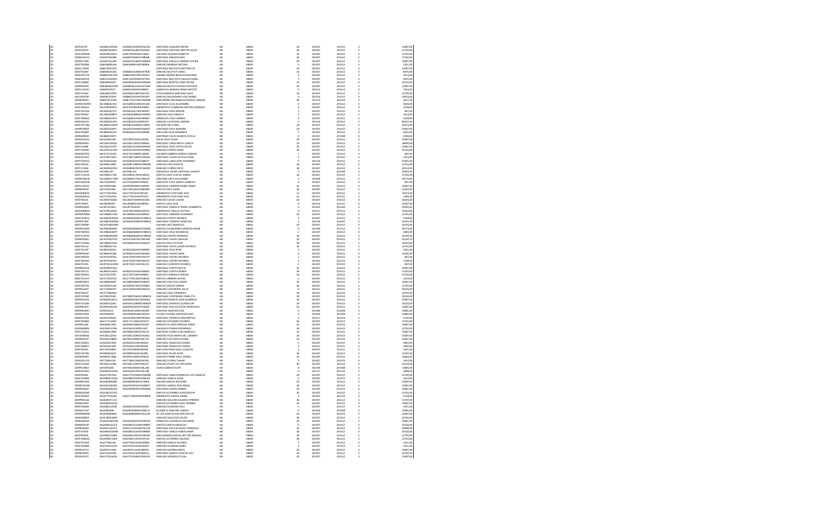| 20       | 20FZI0174Y               | SAAN851201MJ                 | SAAN851201MOCNLF06                       | SANTIAGO ALMARAZ NEFRIS                                       |           | AB001        | 20                                      | 201307           | 201312           |                          | 15087,00             |
|----------|--------------------------|------------------------------|------------------------------------------|---------------------------------------------------------------|-----------|--------------|-----------------------------------------|------------------|------------------|--------------------------|----------------------|
|          | 20E2E0031D               | <b>SAAN870618K2</b>          | SAANR70618HOCNNS05                       | SANTIAGO ANTONIO NESTOR JESUS                                 | <b>AR</b> | <b>AR001</b> | 36                                      | 201307           | 201312           |                          | 12702,00             |
| 20<br>20 | 20DST0099W               | SAAR790320SU                 | SAAR790320HOCLQB01                       | SALGADO AQUINO ROBERTO                                        | AB        | AB001        | 36                                      | 201307           | 201312           |                          | 12702,00             |
|          | 20DML0011Z               | <b>SAAS870320NE</b>          | SAAS870320HOCNRD08                       | SANTIAGO ARAGON SAID                                          | <b>AR</b> | <b>AR001</b> | 36                                      | 201307           | 201312           |                          |                      |
| 20<br>20 |                          |                              |                                          | SANTIAGO ANGULO SANDRA ESTHER                                 |           |              |                                         |                  |                  |                          | 12702,00<br>15087,00 |
|          | 20DPR1730E               | SAAS87101495                 | SAAS871014MOCNNN03                       |                                                               | AB        | AB001        | 20                                      | 201307           | 201312           |                          |                      |
|          | 20DST0028B               | SABA5809014K                 | SABA580901HOCNRR06                       | SANCHEZ BARRIGA ARTURO                                        | AB        | AB001        | $\overline{a}$                          | 201307           | 201312           |                          | 2421,00              |
| $_{20}$  | 20DCC1904Z               | SABA7401235K                 |                                          | SANTIAGO BAUTISTA ANTONIA FR                                  | AB        | AB001        | 20                                      | 201307           | 201312           |                          | 15087.00             |
| 20       | 20DST0184T               | SABA80101481                 | SABA801014MOCNTR00                       | SANCHEZ BAUTISTA ARELI                                        | AB        | AB001        | 10                                      | 201307           | 201312           |                          | 8070,00              |
| $_{20}$  | 20DES0217B               | SABB6102071M                 | SABB610207MOCRXD07                       | SARABIO BAÑOS BEDA ALDEGUNDA                                  | AB        | AB001        | $\overline{2}$                          | 201307           | 201312           | $\overline{\mathbf{3}}$  | 1614.00              |
| 20       | 20DES0021Q               | SABC510220QX                 | SABC510220MOCNTS02                       | SANTIAGO BAUTISTA CASILDA ISABEL                              | AB        | AB001        |                                         | 201307           | 201312           |                          | 4035,00              |
| $_{20}$  | 20DTV0980C               | SABC890202FT                 | SABC890202MOCNNN04                       | SANTIAGO BENITEZ CINDY BELEM                                  | AB        | AB001        | 30                                      | 201307           | 201312           |                          | 24210.00             |
| 20       | 20DPR0934S               | SABH860623MK                 | SABH860623HOCNTG08                       | SANCHEZ BAUTISTA HUGO ANTOLIN                                 | AB        | AB001        | $20\,$                                  | 201307           | 201312           |                          | 15087,00             |
|          | 200CC1025L               | <b>SARIR10505CT</b>          | SABIR10505HOCNRR03                       | SANDOVAL BARRIOS IRINEO NICETO                                | <b>AR</b> | <b>AR001</b> | $\circ$                                 | 201212           | 201214           |                          | 7543.50              |
| 20<br>20 |                          | SABL8403195D                 |                                          | LEYDI MINERVA SANTIAGO BLAS                                   | AB        |              |                                         |                  |                  |                          |                      |
|          | 20DST0160J               |                              | SABL840319MOCNLY02                       |                                                               |           | AB001        | 36<br>$\Omega$                          | 201307           | 201312           |                          | 12702,00             |
| 20<br>20 | 20FUA0070F               | SABM870105II                 | SABM870105HOCNLR07                       | SANCHEZ BALDADANO JOSE MARIO                                  | AB        | AB001        |                                         | 201310           | 201312           |                          | 19053,00             |
|          | 20ZNE0040V               | SABR7701318V                 | SABR770131MOCNHQ06                       | SANTIBAÑEZ BOHORQUEZ RAQUEL ABIGAIL                           | AB        | AB001        | 36                                      | 201223           | 201224           |                          | 2027,16              |
| 20       | 20HMC0029M               | SACA68042162                 | SACA680421MOCNLL00                       | SANTIAGO CELIS ALEJANDRA                                      | AB        | AB001        | $\boldsymbol{6}$                        | 201307           | 201312           |                          | 4626.00              |
| $_{20}$  | 20DST0063H               | SACA78100974                 | SACA781009HOCRRR02                       | SARMIENTO CARRISOSA ARTURO DIONISIO                           | AB        | AB001        | $\Delta$                                | 201307           | 201312           |                          | 3228.00              |
| 20       | 20DST0151B               | SACA810227E2                 | SACA810227HOCNRD07                       | SANTIAGO CRUZ ADRIAN                                          | AB        | AB001        |                                         | 201307           | 201312           |                          | 807,00               |
| $_{20}$  | 20DST0056Y               | SACA820308HY                 | SACA820308MOCNRR09                       | SANCHEZ CRUZ ARACELY                                          | AB        | AB001        | $\overline{2}$                          | 201307           | 201312           |                          | 1614.00              |
| 20       | 20DST0006Q               | SACA840519C9                 | SACA840519HOCNRN07                       |                                                               |           | AB001        |                                         | 201307           | 201312           |                          | 3228,00              |
|          |                          |                              |                                          | SANDOVAL CRUZ ANDRES                                          | AB        |              |                                         |                  |                  |                          |                      |
| $_{20}$  | 20DES0013H               | SACA850321D5                 | SACA850321HVZNYD07                       | SANCHEZ CAYETANO ADRIAN                                       | AB        | AB001        | $\theta$                                | 201310           | 201312           |                          | 85452.50             |
| 20       | 20DTV0778Q               | SACA861018MP                 | SACA861018MOCLRN03                       | SALAZAR CRUZ ANEL                                             | AB        | AB001        | 30                                      | 201307           | 201312           |                          | 24210,00             |
| 2C<br>2C | 200PR19050               | SACAR70104FV                 | SACAR70104MOCNRD07                       | SANTIAGO CRUZ ADRIANA                                         | AB<br>AB  | <b>AR001</b> | $\begin{array}{c} 20 \\ 5 \end{array}$  | 201307           | 201312           |                          | 15087.00             |
|          | 20DST0048P               | SACB6003312K                 | SACB600331HOCNRN06                       | SAN JUAN CRUZ BENJAMIN                                        |           | AB001        |                                         | 201307           | 201312           |                          | 4035,00              |
| 20<br>20 | 20DNS0001K               | SACB68110871<br>SACC8302109L |                                          | SANTIAGO CALVO BLANCA ESTELA<br>SALAS CRUZ CESAR              | AB<br>AB  | <b>AR001</b> | $\Omega$                                | 201307           | 201308           |                          | 9348.00              |
|          | 20HMC0013L               |                              | SACC830210HOCLRS06                       |                                                               |           | AB001        | 20                                      | 201307           | 201312           |                          | 15087.00             |
| 20       | 202NE0040V               | SACC841130Q5                 | SACC841130HOCNRR05                       | SANTIAGO CARAVANTES CARLOS                                    | AB        | AB001        | 23                                      | 201307           | 201312           |                          | 18000,00             |
| $_{20}$  | 20DCC0368                | SACC8412152P                 | SACC841215MOCNRN04                       | SANTIAGO CRUZ CINTYA ROCIO                                    | AB        | AB001        | 20                                      | 201307           | 201312           |                          | 15087.00             |
| 20       | 20DTV0610K               | SACD791101AG                 | SACD791101MOCNRR00                       | SANCHEZ CORTES DORA                                           | AB        | AB001        | 30                                      | 201307           | 201312           |                          | 23130,00             |
| $_{20}$  | 20DES0079Q               | SACE73110442                 | SACE731104MPLLBG09                       | SALAZAR CABRERA MARIA EUGENIA                                 | AB        | AB001        | $\overline{1}$                          | 201307           | 201312           |                          | 807.00               |
|          |                          |                              |                                          |                                                               |           |              |                                         |                  |                  |                          |                      |
| 20       | 20DES0143A               | SACE780716E4                 | SACE780716MOCNHS00                       | SANTIAGO CHAVEZ ESTELA DIVIN                                  | AB        | AB001        |                                         | 201307           | 201312           |                          | 1614,00              |
| $_{20}$  | 20DTV0201G               | SACE83010146                 | SACER30101HOCNRV07                       | SANTIAGO CABALLERO EVERARDO                                   | AB        | AB001        | $\circ$                                 | 201310           | 201312           |                          | 42405.00             |
| 20       | 20DST0010C               | SACE881128K1                 | SACE881128MOCNRM09                       | SANCHEZ CRUZ EMYLSE                                           | AB        | AB001        | 36                                      | 201307           | 201312           |                          | 12702,00             |
| 2C<br>2C | 20DTV1584J               | SACE890407M2                 | SACE890407MOCNHD05                       | SANCHEZ CHIÑAS EDITH                                          | AB<br>AB  | <b>AR001</b> | $\begin{array}{c} 30 \\ 0 \end{array}$  | 201307           | 201312           |                          | 24210.00             |
|          | 20DES0150K               | SACF881107                   | SACF881107                               | FRANCISCO JAVIER SANTIAGO CHAVEZ                              |           | AB001        |                                         | 201301           | 201309           |                          | 25945,92             |
| 20<br>20 | 20DTV1341N<br>20DPR1961W | SACF8905174D<br>SACG8902173M | SACF890517MOCNRL01<br>SACG890217HOCNRL09 | SANTOS CRUZ FLOR DE MARIA<br>SANTANA CRUZ GUILLERMO           | AB<br>AB  | <b>AR001</b> | $\begin{array}{c} 36 \\ 0 \end{array}$  | 201307           | 201312           |                          | 12702.00             |
|          |                          |                              |                                          |                                                               |           | AB001        |                                         | 201309           | 201312           |                          | 30174,00             |
|          | 20DST0041W               | SACI75042042<br>SACI930924B4 | SACI750420HOCNRS02<br>SACI930924MOCNRS09 | SANTIAGO CRUZ ISMAEL HERMILO<br>SANTIAGO CARRERA MARIA ISABEL |           | <b>AR001</b> | $\,$ 0                                  | 201307           | 201312           |                          | 807,00               |
| 20<br>20 | 20DCC1932V               |                              |                                          |                                                               | AB<br>AB  | AB001        | 20                                      | 201307           | 201312           |                          | 15087,00             |
|          |                          |                              |                                          |                                                               |           |              |                                         |                  |                  |                          |                      |
| 20<br>20 | 202NE0040V               | SACJ740126RL<br>SACJ770322HG | SACJ740126HOCNRM00                       | SANTOS CRUZ JAIME<br>SARMIENTO CAYETANO JOEL                  | AB<br>AB  | AB001        | $\begin{array}{c} 36 \\ 13 \end{array}$ | 201307           | 201312           |                          | 31269,00             |
|          | 20AGD0003Z               |                              | SACJ770322HOCRYL05                       |                                                               |           | AB001        |                                         | 201307           | 201312           |                          | 10224,00             |
| 20       | 20AGD00032               | SACJ770322HG                 | SACJ770322HOCRYL05                       |                                                               | AB        | AB001        |                                         | 201311           | 201311           |                          | 1000,00              |
| $_{20}$  | 20FZF0021X               | SACJ850730QB                 | SACJ850730HMCNCV06                       | SARMIENTO CAYETANO JOEL<br>SARMIENTO CAYETANO JOEL            | AB        | AB001        | $\begin{array}{c} 13 \\ 24 \end{array}$ | 201307           | 201312           |                          | 18504.00             |
| 20       | 20DTV0397                | SACJ850825PI                 | SACJ850825HOCNRS04                       | SANTOS CRUZ JOSE                                              | AB        | AB001        | $\theta$                                | 201312           | 201312           |                          | 23287,00             |
| $_{20}$  | 20DPR0290R               | SACJ871016S3                 | SACJ871016S32                            | SANTIAGO CANSECO JORGE HUMBERTO                               | AB        | AB001        | $\circ$                                 | 201301           | 201309           |                          | 25945.92             |
| 20       | 20ADG0081D               | SACK7902184D                 | SACK790218MOCRRT02                       | SARMIENTO CIRIACO KATHYA                                      | AB        | AB001        | $\,$ 0                                  | 201311           | 201312           |                          | 25404,00             |
| $_{20}$  | 20DPR0708W               | SACL860811MA                 | SACL860811HOCNBN03                       | SANTIAGO CABRERA LEONARDO                                     | AB        | AB001        | 36                                      | 201307           | 201312           | $\overline{ }$           | 12702.00             |
| 20       | 20DST0187Q               | SACM620504GB                 | SACM620504MOCNRN14                       | SANCHEZ CORTES MONICA                                         | AB        | AB001        | $\overline{4}$                          | 201307           | 201312           |                          | 3228,00              |
| 20       | 200PR2760E               | <b>SACM641028M7</b>          | SACM641028MOCNRR02                       | SANTIAGO CORDERO MARCELA                                      | <b>AR</b> | <b>AR001</b> | $\Omega$                                | 201220           | 201307           | ٩                        | 25145.00             |
| 20       |                          |                              |                                          |                                                               |           |              |                                         |                  |                  |                          |                      |
|          | 20DTV0878F               | SACM7508146W                 |                                          | SALINAS CRUZ MARCELO                                          | AB        | AB001        | 30                                      | 201307           | 201312           |                          | 24210,00             |
| 20<br>20 | 20DPR3339N               | SACM820826E5                 | SACM820826MOCNLR00<br>SACM860306MOCNRG01 | SANTOS COLMENARES MARITZA IRENE<br>SANTIAGO CRUZ MAGNOLIA     | AB<br>AB  | AB001        | $\mathfrak o$                           | 201309           | 201312           |                          | 30174,00             |
|          | 20DST0030Q               | SACM860306PY                 |                                          |                                                               |           | AB001        | $\overline{2}$                          | 201307           | 201312           |                          | 2690,00              |
| 20       | 20DTV1207H               | SACM860816SR                 | SACM860816MOCNRN05                       | SANCHEZ CORTÉS MINERVA                                        | AB        | AB001        | 30                                      | 201307           | 201312           |                          | 24210,00             |
| $_{20}$  | 202NE0040V               | SACN720307A9                 | SACN720307HOCNHH04                       | SANTIAGO CHAVEZ NAHUM                                         | AB        | AB001        | 33                                      | 201307           | 201312           |                          | 25310.70             |
| 20       | 20DTV1604G               | SACO860522GC                 | SACO860522HOCNRC02                       | SANTOS CRUZ OCTAVIO                                           | AB        | AB001        | 30                                      | 201307           | 201312           |                          | 24210,00             |
| $_{20}$  | 20DST0211Z               | SACP8003175E                 |                                          | SANTIAGO CASTELLANOS PATRICIA                                 | AB        | AB001        | 36                                      | 201307           | 201312           | $\overline{\phantom{a}}$ | 12702.00             |
| 20       | 20DST0119T               | SACR6102029L                 | SACR610202HOCNRN00                       | SANTIAGO CRUZ RENE                                            | AB        | AB001        | 3                                       | 201307           | 201312           |                          | 2421,00              |
| $_{20}$  | 20DNP0016F               | SACR6810146K                 | SACR681014HOCNHN05                       | SANTIAGO CHAVEZ RENE                                          | AB        | AB001        | $\theta$                                | 201307           | 201312           |                          | 14346.00             |
| 20       | 20DST0050D               | SACR750307E6                 | SACR750307MOCNSC07                       | SANTIAGO CASTRO RICARDA                                       | AB        | AB001        |                                         | 201307           | 201312           |                          | 807,00               |
|          | 2005T0050D               | <b>SACR750307F6</b>          | SACR750307MOCNSC07                       | SANTIAGO CASTRO RICARDA                                       | AB        | <b>AR001</b> | $\overline{1}$                          | 201201           | 201213           | 3                        | 1748.50              |
| 20<br>20 |                          |                              |                                          |                                                               |           |              |                                         |                  |                  |                          |                      |
|          | 20DST0178I               | SACR750311MW                 | SACR750311HOCNLC03                       | SANCHEZ CLEMENTE RICARDO                                      | AB        | AB001        |                                         | 201307           | 201312           |                          | 807,00               |
| 20<br>20 | 20DPB2251B               | SACR780524QV                 |                                          | SANTIAGO CORTES ROCIO                                         | AB        | <b>AR001</b> | 20                                      | 201307           | 201312           |                          | 15087,00             |
|          | 20DST0211Z               | SACR810116KN                 | SACR810116HOCNRB03                       | SANTIAGO CORTES RUBEN                                         | AB        | AB001        | 36                                      | 201307           | 201312           |                          | 12702,00             |
| 20       | 20DST0206Q               | SACS740723PS                 | SACS740723HPLNRR02                       | SANCHEZ CARRASCO SERGIO                                       | AB        | AB001        | 36                                      | 201307           | 201312           | $\overline{ }$           | 12702,00             |
| $_{20}$  | 20DST0121H               | SACS770311OT                 | SACS770311MOCNBL05                       | SANTOS CABRERA SELENE                                         | AB        | AB001        | $\overline{2}$                          | 201307           | 201312           |                          | 1614.00              |
| 20       | 20DPB2087S               | SACS88050891                 | SACS880508MOCNRL05                       | SANCHEZ CRUZ SULY MARY                                        | AB        | AB001        | $^{20}$                                 | 201307           | 201312           |                          | 15087,00             |
| $_{20}$  | 20DST0073Q               | SACS90052128                 | SACS900521MOCNHR01                       | SANTOS CHAVEZ SARAHI                                          | AB        | AB001        | 36                                      | 201307           | 201312           | $\overline{2}$           | 12702.00             |
| 20       | 20DPR1650T               | SACV740301PJ                 | SACV740301MOCNNL01                       | SANCHEZ CONTRERAS VELIA                                       | AB        | AB001        | $\mathfrak{o}$                          | 201312           | 201312           |                          | 20116,00             |
| $_{20}$  | 20DST0201T               | SACV77060942                 |                                          | SANCHEZ CRUZ VERONICA                                         | AB        | AB001        | 36                                      | 201307           | 201312           | $\overline{ }$           | 12702.00             |
| 20       | 20DTV07042               | SACY890724IR                 | SACY890724MOCNNM03                       | SANTIAGO CONTRERAS YAMILETH                                   | AB        | AB001        | 30                                      | 201307           | 201312           |                          | 23130,00             |
|          | 200PR3032X               | <b>SADDR20526VF</b>          | SADDR20526HCSNNM01                       | SANCHEZ DIONICIO JOSE DOMINGO                                 | <b>AR</b> | <b>AR001</b> | 20                                      | 201307           | 201312           |                          | 15087.00             |
| 20<br>20 |                          |                              |                                          |                                                               |           |              |                                         |                  |                  | 3                        |                      |
|          | 20DTV0716D               | SADG831228CI                 | SADG831228MOCNND04                       | SANTIAGO DIONICIO GUADALUPE                                   | AB        | AB001        | 30                                      | 201307           | 201312           |                          | 24210,00             |
|          | 20DPR0334Y               | SADG90100218                 | SADG901002HOCNZS05                       | SANTIAGO DIAZ GUSTAVO FRANCISCO                               | AB        | AB001        | 20                                      | 201307           | 201312           |                          | 15087,00             |
| 20<br>20 | 20DPB0340H               | SADJ910214                   | SADJ910214MOCNZS09                       | JOSEFINA SANCHEZ DIAZ                                         | AB        | AB001        | $\circ$                                 | 201304           | 201308           |                          | 15885,00             |
| 20       | 20DPR1345K               | SADY900605                   | SADY900605MOCNZL03                       | YULMA YOVANA SANTIAGO DIAZ                                    | AB        | AB001        | $\mathbf 0$                             | 201304           | 201308           |                          | 15885.00             |
| $_{20}$  | 20DES0142B               | SAEA670901I8                 | SAEA670901MDFNSN04                       | SANTIAGO ESPINOZA ANA BERTHA                                  | AB        | AB001        | $\circ$                                 | 201217           | 201224           |                          | 5140.00              |
| 20       | 20DST0046R               | SAEE771120AY                 | SAEE771120HOCNSD17                       | SANCHEZ ESCOBAR EDUARDO                                       | AB        | AB001        | 36                                      | 201307           | 201312           |                          | 12702,00             |
| $_{20}$  | 20DPR3128J               | SAEE800218PC                 | SAEE800218HOCNLN07                       | SANCHEZ ELORZA ENRIQUE ISRAEL                                 | AB        | AB001        | 20                                      | 201307           | 201312           |                          | 15087.00             |
| 20       | 20DJN0089N               | SAEE930131NR                 | SAEE930131MPLLSS07                       | SALAZAR ESTRADA ESPERANZA                                     | AB        | AB001        | 36                                      | 201307           | 201312           |                          | 12702,00             |
| $_{20}$  | 20DCC1051S               | SAFA890118N7                 | SAFA890118MOCNLL01                       | SANTIAGO FLORES ELBA MARCELA                                  | AB        | AB001        | 20                                      | 201307           | 201312           |                          | 15087.00             |
| 20       | 20FUA0065D               | SAFC861224EU                 | SAFC861224MOCNLR02                       | SANCHEZ FELIX MARIA DEL CARMEN                                | AB        | AB001        | $\overline{20}$                         | 201307           | 201312           |                          | 15087,00             |
|          | 200PR2359T               | <b>SAFFR4110880</b>          | SAFER4110RMOCNLT02                       | SANCHEZ ELATCHER FATIMA                                       |           | <b>AR001</b> |                                         | 201307           | 201312           |                          | 15087.00             |
| 2C<br>2C | 20DST0081X               | SAF1630521DR                 | SAFI630521HOCNRS04                       | SANTIAGO FRANCISCO ISIDRO                                     | AB<br>AB  | AB001        | $\begin{array}{c} 20 \\ 5 \end{array}$  | 201307           | 201312           |                          | 3855,00              |
|          |                          |                              |                                          |                                                               |           |              |                                         |                  |                  |                          |                      |
| 20<br>20 | 20DST0081X<br>20DST0076L | SAF1630521DR<br>SAF1701018NK | SAFI630521HOCNRS04<br>SAFI701018HOCNRS09 | SANTIAGO FRANCISCO ISIDRO<br>SAN JUAN FERIA ISAAC JOAQUIN     | AB<br>AB  | <b>AR001</b> | ×,                                      | 201311<br>201307 | 201311<br>201312 |                          | 1000,00              |
|          |                          |                              |                                          |                                                               |           | AB001        |                                         |                  |                  |                          | 2421,00              |
| 20<br>20 | 20DTV0578S<br>20ZNE0040V | SAFI890916UP<br>SAFR850118B5 | SAFI890916HOCNLR00                       | SANTIAGO FELIPE IRVIN<br>SANCHEZ FIERRO RAUL DANIEL           | AB<br>AB  | <b>AR001</b> | $\begin{array}{c} 36 \\ 20 \end{array}$ | 201307           | 201312           |                          | 12702,00<br>15666,00 |
|          |                          |                              | SAFR850118HOCNRL05                       |                                                               |           | AB001        |                                         | 201307           | 201312           |                          |                      |
| 20<br>20 | 20DES0137Q               | SAFT7809119                  | SAFT780911MDFNLH01                       | SANCHEZ FLORES THAIDE                                         | AB<br>AB  | AB001        |                                         | 201307           | 201312           |                          | 1614,00              |
|          | 20DTV1524V               | SAFV8411248A                 | SAFV841124HPLNNLCO                       | SANCHEZ FELIPE VICTOR MANU                                    |           | AB001        | 30                                      | 201307           | 201312           |                          | 24210,00             |
|          | 20DPR1485K               | SAFV891006                   | SAFV891006MOCBLL08                       | VILMA SABINO FELIPE                                           |           | AB001        | $\circ$                                 | 201304           | 201308           |                          | 15885,00             |
| 20<br>20 | 20DES01390               | SAGA650212AN                 | SAGA650212HOCNLL08                       |                                                               | AB        | AB001        | $\circ$                                 | 201117           | 201124           |                          | 2698,56              |
| 20       | 20FZF0026S               | SAGA770125KL                 | SAGA770125MOCNRN08                       | SANTIAGO GARCIA MARIA DE LOS ANGELES                          | AB        | AB001        | 36                                      | 201307           | 201312           |                          | 12702,00             |
|          | 2005T0168B               | SAGA800725DG                 | SAGAR00725MOCNRL05                       | SANCHEZ GARCIA ALMA                                           | AB        | <b>AR001</b> | $\overline{z}$                          | 201307           | 201312           |                          | 1614.00              |
| 2C<br>2C | 20DPB0763O               | SAGA80090388                 | SAGA800903HOCLRN05                       | SALINAS GARCIA ANTONIO                                        | AB        | AB001        | $20^{-}$                                | 201307           | 201312           |                          | 15087,00             |
|          |                          |                              |                                          |                                                               |           | <b>AR001</b> |                                         | 201307           | 201312           |                          |                      |
| 20<br>20 | 20DPR1913M<br>20DPR3204Z | SAGA931001BX<br>SAGA940902AZ | SAGA931001HOCNRN07                       | SANTIGO GARCIA JOSE ANGEL<br>SANTIAGO GOMEZ ANIBAL            | AB<br>AB  |              | $\begin{array}{c} 20 \\ 20 \end{array}$ | 201307           |                  |                          | 15087,00<br>15087,00 |
|          |                          |                              | SAGA940902HOCNMN02                       |                                                               |           | AB001        |                                         |                  | 201312           |                          |                      |
| 20<br>20 | 20DML00282               | SAGC681207DZ                 |                                          | SANTOS GUTIERREZ CONCEPCION<br>SARMIENTO GARCIA DIANA         | AB<br>AB  | <b>AR001</b> | $\begin{array}{c} 36 \\ 4 \end{array}$  | 201307           | 201312           |                          | 12702.00             |
|          | 20DST0026D               | SAGD7709248L                 | SAGD770924MOCRRN09                       |                                                               |           | AB001        |                                         | 201307           | 201312           |                          | 3228.00              |
| 20<br>20 | 20DPR0516G               | SAGE690711U1                 |                                          | SANCHEZ GALVAN ELEAZAR CIPRIANO                               | AB        | AB001        | $\begin{array}{c} 36 \\ 20 \end{array}$ | 201307           | 201312           |                          | 12702,00             |
|          | 20DPB1943F               | SAGE800222CQ                 |                                          | SANTOS GUTIERREZ ESAU NORBER                                  | AB        | AB001        |                                         | 201307           | 201312           |                          | 15087,00             |
| 20       | 20DST0069E               | SAGE8011244R                 | SAGE801124HOCNZS02                       | SANCHEZ GUZMAN ESAU                                           | AB        | AB001        | $\overline{a}$                          | 201307           | 201312           |                          | 2421,00              |
| $_{20}$  | 20DJN1374P               | SAGE850206                   | SAGE850206MOCNRL14                       | ELIZABETH SANCHEZ GARCIA                                      | AB        | AB001        | $\theta$                                | 201304           | 201308           |                          | 15885.00             |
| 20       | 20DPR0848W               | SAGE90082861                 | SAGE900828MOCNLV08                       | DE LOS SANTOS GALVAN EVELYN                                   | AB        | AB001        | 20                                      | 201307           | 201312           |                          | 15087,00             |
| $_{20}$  | 20DES0085A               | SAGF780526HR                 |                                          | SANCHEZ GALLEGOS FELIPE                                       | AB        | AB001        | 36                                      | 201307           | 201312           | $\overline{2}$           | 12702.00             |
| 20       | 20DBA0035X               | SAGG810822QN                 | SAGG810822HOCNNV05                       | SANDOVAL GONZALEZ GIOVANNI                                    | AB        | AB001        | $^{20}$                                 | 201307           | 201312           |                          | 15087,00             |
| $_{20}$  | 20DNP0016F               | SAGG861011E3                 | SAGG861011MOCNRR07                       | SANTOS GARCIA GRISELDA                                        | AB        | AB001        | $\overline{0}$                          | 201307           | 201312           |                          | 23130.00             |
|          |                          |                              |                                          |                                                               |           |              |                                         |                  |                  |                          |                      |
| 20       | 202NE0040V               | SAGH51120153                 | SAGH511201MOCNLL06                       | SANTIAGO GALICIA HILDA ITANDEHUI                              | AB        | AB001        | 36                                      | 201307           | 201312           |                          | 43998,00             |
| 20       | 200TV0793L               | <b>SAGHR61016MR</b>          | SAGH861016HOCNRR08                       | SANTIAGO GARCIA HERER OMAR                                    | AR        | <b>AR001</b> | 30 <sub>0</sub>                         | 201307           | 201312           |                          | 24210.00             |
| 20       | 20FZP0039C               | SAGH891230BS                 | SAGH891230HOCNRC08                       | SAN GERMAN GARCIA HECTOR MANUEL                               | AB        | AB001        | 36                                      | 201307           | 201312           |                          | 12702,00             |
| 20       | 20DTV0662Q               | SAGH900114KX                 | SAGH900114HOCNTL03                       | SANTOS GUTIERREZ HELADIO<br>SANCHEZ GARCIA IRLANDA            | AB        | <b>AR001</b> | 36                                      | 201307           | 201312           |                          | 12702.00             |
| 20       | 20DST0192B               | SAG1770621AL                 | SAGI770621MOCNRR04                       |                                                               | AB        | AB001        | $\overline{\mathbf{3}}$                 | 201307           | 201312           |                          | 2421,00              |
| 20       | 20DST0069B               | SAG1791011EW                 | SAG1791011MOCNZS07                       | SANCHEZ GUZMAN ISABEL                                         | AB        | AB001        | $\overline{3}$                          | 201307           | 201312           |                          | 2421,00              |
| $_{20}$  | 20DPR1971C               | <b>SAGI870113RK</b>          | SAGI870113HOCNRS04                       | SANCHEZ GUERRA ISRAEL                                         | AB        | AB001        | 20                                      | 201307           | 201312           |                          | 15087.00             |
|          | 202NE0040V               | SAGJ70101599                 | SAGJ701015HOCNRN11                       | SANTIAGO GARCIA JUAN DE JESU                                  | AB        | AB001        | 36                                      | 201307           | 201312           |                          | 41742,18             |
|          | 20DJN1597Y               | SAGJ770216OH                 | SAGJ770216MOCNNL09                       | SANCHEZ GONZALEZ JULIA                                        | AB        | AB001        | 20                                      | 201307           | 201312           | $\overline{\mathbf{3}}$  | 15087.00             |
|          |                          |                              |                                          |                                                               |           |              |                                         |                  |                  |                          |                      |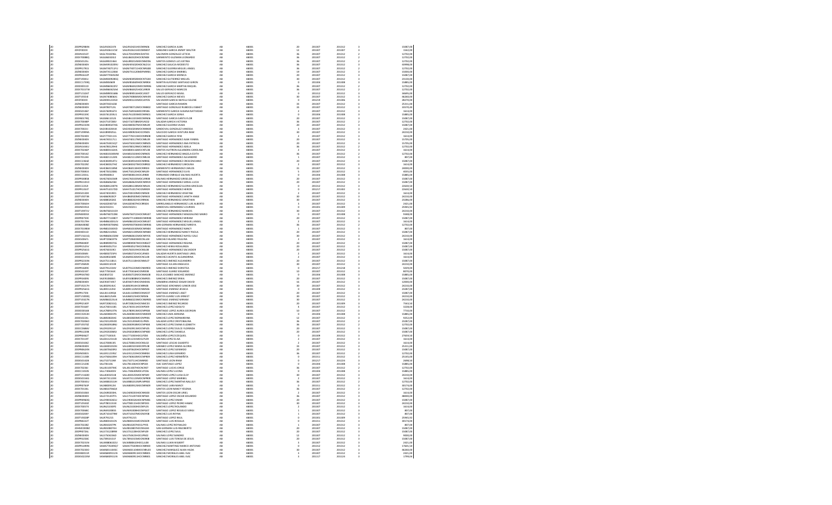| 20             | 20DPR2984N               | SAGJ910421FX                         | SAGJ910421HOCNRN06                       | SANCHEZ GARCIA JUAN                                              |                 | AB001                 | 20                                         | 201307           | 201312           |                         | 15087,00             |
|----------------|--------------------------|--------------------------------------|------------------------------------------|------------------------------------------------------------------|-----------------|-----------------------|--------------------------------------------|------------------|------------------|-------------------------|----------------------|
| 20             | 20E2E0019L               | SAG1910611CW                         | <b>SAGI910611HOCNRM07</b>                | SANGINES GARCIA IIMMY WALTER                                     | AR              | <b>AR001</b>          | 12                                         | 201307           | 201307           |                         | 1542,00              |
| 20             | 20DJN1012F               | SAGL7010296L                         | SALG701029MVZLNT03                       | SALOMON GONZALEZ LETICIA                                         | AB              | AB001                 | 36                                         | 201307           | 201312           |                         | 12702,00             |
|                | 20DST00880               | SAGI 86032012                        | SAGI 860320HOCRZNOR                      | SARMIENTO GUZMAN LEONARDO                                        | <b>AR</b>       | <b>AR001</b>          | 36                                         | 201307           | 201312           |                         | 12702.00             |
| 20<br>20       | 20DES0125L               | SAGL89021464                         | SAGL890214MOCNMZ06                       | SANTOS GOMEZ LUZ JUSTINA                                         | AB              | AB001                 | 36                                         | 201307           | 201312           | $\overline{2}$          | 12702,00             |
|                | 202NE0040V               | SAGM4910209U<br>SAGM740711FU         | SAGM491020HOCNLD14                       | SANCHEZ GALICIA MODESTO                                          | AB<br>AB        | AB001                 | 36<br>36                                   | 201307           | 201312           |                         | 43998,00             |
| 20             | 20DPR1791S               |                                      | SAGM740711HOCNRG08                       | SANCHEZ GUERRA MIGUEL ANGEL                                      |                 | AB001                 |                                            | 201307           | 201312           |                         | 12702,00             |
|                | 202NE0040V               | SAGM7411206K                         | SAGM741120MDFNRR01                       | SANCHEZ GARCIA MARIBEL                                           | AB              | AB001                 | 19                                         | 201307           | 201312           |                         | 15000,00             |
| $_{20}$        | 20DPB1612F               | SAGM7705053M                         |                                          | SANCHEZ GARCIA MONICA                                            | AB              | AB001                 | 20                                         | 201307           | 201312           | в                       | 15087.00             |
| 20             | 20DTV0041J               | SAGM830928SQ                         | SAGM830928HOCNTG04                       | SANCHEZ GUTIERREZ MIGUEL                                         | AB              | AB001                 | $\overline{30}$                            | 201307           | 201312           |                         | 23130,00             |
| $_{20}$        | 20DCC1739Q               | SAGM850609                           | SAGM850609HOCNRR04                       | MARTIN ALFONSO SANTIAGO GIRON                                    | AB              | AB001                 | $\overline{0}$                             | 201304           | 201308           |                         | 15885.00             |
| 20             | 20DDI0011D               | SAGM860422FZ                         | SAGM860422MOCNRR06                       | SANCHEZ GARCIA MARTHA RAQUEL                                     | AB              | AB001                 | 36                                         | 201307           | 201312           |                         | 12702,00             |
| $_{20}$        | 20DST0157W               | SAGM860425A4                         | SAGM860425HOCLRR09                       | SALUD GERVACIO MARCOS                                            | AB              | AB001                 | 36                                         | 201307           | 201312           | $\overline{ }$          | 12702.00             |
| 20             | 20DTV1526T               | SAGM89051686                         | SAGM890516HOCLRJ07                       | SALUD GERVACIO MIJAIL                                            | AB              | AB001                 | $\circ$                                    | 201312           | 201312           |                         | 34695,00             |
| $_{20}$        | 20DTV0554                | SAGN740806A1                         | SAGN740806MOCNRV09                       | SANCHEZ GARCIA NIEVES                                            | AB              | AB001                 | 30                                         | 201307           | 201312           |                         | 46260.00             |
| 20             | 20FZF0019I               | SAGN9012235D                         | SAGN901223MOCLRY05                       | SALVADOR GARCIA NAYELLI SELENE                                   | AB              | AB001                 | $\mathbf 0$                                | 201219           | 201306           |                         | 28270,00             |
| 20<br>20       | 202NF0040V               | <b>SAGR73021658</b>                  |                                          | SANTIAGO GARCIA RAMON                                            | AB              | <b>AR001</b>          | 33                                         | 201307           | 201312           |                         | 25311.00             |
|                | 20ZNE0040V               | SAGR780712IL                         | SAGR780712MOCNNB02                       | SANTIAGO GONZALEZ RUBIDCELI ISBHET                               | AB              | AB001                 | 33                                         | 201307           | 201312           |                         | 33570,40             |
|                | 20DES0146Y               | SAGS760916T4                         | SAGS760916MOCRRS06                       | SARMIENTO GARCIA SUSANA NATIVIDAD                                | AB              | <b>AR001</b>          | $\overline{2}$                             | 201307           | 201312           |                         | 1614.00              |
| 20<br>20       | 20DPR31590               | SAGS761203U1                         | SAGS761203MOCNRN01                       | SANCHEZ GARCIA SONIA                                             | AB              | AB001                 | $\circ$                                    | 201304           | 201308           |                         | 15885,00             |
| 20             | 20DIN0179Q               | SAGS861101J5                         | SAGS861101MOCNRN06                       | SANTIAGO GARCIA SANTA FLOR                                       | AB              | AB001                 | $_{\rm 20}$                                | 201307           | 201312           |                         | 15087,00             |
| $_{20}$        | 20DST0048F               | SAGV710728JV                         | SAGV710728MDFLRC02                       | SALAZAR GARCIA VICTORIA                                          | AB              | AB001                 | 36                                         | 201307           | 201312           |                         | 12702.00             |
| 20             | 20DPR2233N               | SAGV800507HG                         | SAGV800507MOCNRL09                       | SANCHEZ GUERRA VILMA                                             | AB              | AB001                 | $\overline{20}$                            | 201307           | 201312           |                         | 15087,00             |
| $_{20}$        | 20DST0021                | SAGV8102041K                         | SAGV810204MOCNNN00                       | SANDOVAL GONZALEZ VANESSA                                        | AB              | AB001                 | 3                                          | 201307           | 201312           |                         | 2421.00              |
| 20             | 20DTV0999A               | SAGV890925LL                         | SAGV890925HOCCRN05                       | SAUCEDO GARCIA VENTURA RAM                                       | AB              | AB001                 | 30                                         | 201307           | 201312           |                         | 24210,00             |
| $_{20}$        | 20DST0240V               | SAGY7702111S                         | SAGY770211MOCNRN08                       | SANCHEZ GARCIA YENI                                              | AB              | AB001                 | $\overline{2}$                             | 201307           | 201312           |                         | 1614.00              |
| 20             | 202NE0040V               | SAHA740117L1                         | SAHA740117MOCNRL09                       | SANTIAGO HERNANDEZ ALBA YANIRA                                   |                 | AB001                 | 20                                         | 201307           | 201312           |                         | 15705,00             |
| $_{20}$        | 202NE0040V               | SAHA750415Q7                         | SAHA750415MOCNRN05                       | SANTIAGO HERNANDEZ ANA PATRICIA                                  | AB              | AB001                 | 20                                         | 201307           | 201312           | $\overline{ }$          | 15705.00             |
| 20             | 20DJN1444U               | SAHA780129HX                         | SAHA780129MOCNRD03                       | SANTIAGO HERNANDEZ ADELA                                         | AB              | AB001                 | 36                                         | 201307           | 201312           |                         | 12702,00             |
| 20<br>20       | 20DST0246F               | <b>SAHAROO116HA</b>                  | SAHA800116MOCNTL08                       | SANTOS HUITRON ALFIANDRA CAROLINA                                | <b>AR</b>       | <b>AR001</b>          | $\overline{z}$                             | 201307           | 201312           |                         | 1614.00              |
|                | 20DST00142               | SAHA810104MW                         | SAHA810104HOCNRN05                       | SANCHEZ HERNANDEZ ANGELA EDITH                                   | AB              | AB001                 | 36                                         | 201307           | 201312           |                         | 12702,00             |
| 20             | 20DST0124E               | SAHA821112EN                         | SAHA821112MOCNRL04                       | SANTIAGO HERNANDEZ ALEJANDRO                                     | AB<br>AB        | <b>AR001</b>          | $\mathbf{1}$                               | 201307           | 201312           |                         | 807.00               |
| 20             | 20DCC2364Z               | SAHC830914TU                         | SAHC830914HOCNRR06                       | SANTIAGO HERNANDEZ CRESCENCIANO                                  |                 | AB001                 | 20                                         | 201307           | 201312           |                         | 15087,00             |
| 20             | 20DST0229Z               | SAHC840327HZ                         | SAHC840327MOCNRR02                       | SANCHEZ HERNANDEZ CAROLINA                                       | AB              | AB001                 | $\overline{2}$                             | 201307           | 201312           |                         | 1614,00              |
| $_{20}$        | 202NE0040V               | <b>SAHC860118NK</b>                  | SAHC860118HOCRRR04                       | SARMIENTO HERNANDEZ CARLOS                                       | AB              | AB001                 | 31                                         | 201307           | 201312           |                         | 24000.00             |
| 20             | 20DST0081X               | SAHE7501208G                         | SAHE750120HOCNRL09                       | SANTIAGO HERNANDEZ ELVIS                                         | AB              | AB001                 | $\overline{\mathbf{s}}$                    | 201307           | 201312           |                         | 4035,00              |
| $_{20}$        | 20DCC2031L               | SAHF840813                           | SAHF840813HOCLRR08                       | FERNANDO ENRIQUE SALINAS HUERTA                                  | AB              | AB001                 | $\circ$                                    | 201304           | 201308           |                         | 15885.00             |
| 20             | 20DPR3085B               | SAHG760103AR                         | SAHG760103MOCLRR08                       | SALINAS HERNANDEZ GRISELDA                                       | AB              | AB001                 | 20                                         | 201307           | 201312           |                         | 15087,00             |
| $_{20}$        | 20DPB1101O               | SAHG8606258J                         | SAHG860625MOCNRR19                       | SANTIAGO HERNANDEZ GRISEL LUCIA                                  | AB              | AB001                 | 20                                         | 201307           | 201312           |                         | 15087.00             |
|                | 20DCC2232I               | SAHG8812287N                         | SAHG881228MOCNRL01                       | SANCHEZ HERNANDEZ GLORIA GRICELDA                                | AB              | AB001                 | $\circ$                                    | 201312           | 201312           |                         | 22630,50             |
| $_{20}$        | 20DPR1353T               | SAHH751017DD                         | SAHH751017HOCNRR09                       | SANTIAGO HERNANDEZ HERON                                         | AB              | AB001                 | $\circ$                                    | 201217           | 201302           |                         | 22630.50             |
| 20             | 20DES0130X               | SAHJ740319D1                         | SAHJ740319MOCNRS00                       | SANCHEZ HERNANDEZ JOSEFINA                                       | AB              | AB001                 |                                            | 201307           | 201312           |                         | 1614,00              |
| 2C<br>2C       | 200TV0073R<br>202NE0040V | SAHIR60920CP                         | SAHIRG0920MOCNRN03                       | SANTIAGO HERNANDEZ IANETH ANGE                                   | AB              | <b>AR001</b>          | 30<br>30                                   | 201307<br>201307 | 201312           |                         | 24210.00             |
|                |                          | SAHJ88020265                         | SAHJ880202HOCRRN06                       | SANCHEZ HERNANDEZ JONATHAN                                       | AB              | AB001<br><b>AR001</b> |                                            | 201307           | 201312           |                         | 23286,00             |
| 2C<br>2C       | 20DST0063H               | SAHL82040718<br>SAHL910211           | SAHL820407HOCRRS04<br>SAHL910211         | SARRELANGUE HERNANDEZ LUIS ALBERTO<br>SANDOVAL HERNANDEZ LOURDES | AB<br>AB        | AB001                 | $\overline{a}$                             | 201301           | 201312<br>201309 |                         | 2421,00<br>25945,92  |
|                |                          |                                      |                                          |                                                                  |                 |                       |                                            |                  |                  |                         |                      |
| 20<br>20       | 20DTV0971V<br>20DNS0001K | SAHM76013159<br>SAHM760722BE         | SAHM760722HOCNRG07                       | SANCHEZ HERNANDEZ MARCOS<br>SANTIAGO HERNANDEZ MAGDALENO MARIO   | AB              | <b>AR001</b>          | $\begin{array}{c} 30 \\ 0 \end{array}$     | 201307           | 201312           |                         | 24210.00             |
|                |                          |                                      |                                          |                                                                  | AB              | AB001<br>AB001        |                                            | 201307           | 201308           |                         | 9348.00              |
| 20<br>20       | 20DPR0759C               | SAHM771108CY<br>SAHM861001UV         | SAHM771108MOCNRR08<br>SAHM861001HOCNRG07 | SANTIAGO HERNANDEZ MIRIAM<br>SANTIAGO HERNANDEZ MIRIAM           | AB<br>AB        |                       | 20                                         | 201307<br>201307 | 201312           |                         | 15087,00<br>1614.00  |
| 20             |                          |                                      | SAHM930706MOCNRR06                       |                                                                  |                 | AB001<br>AB001        | $\overline{2}$                             |                  | 201312           |                         |                      |
|                | 20DBA00082               | SAHM930706NG                         |                                          | SAN GERMAN HERNANDEZ MIREYA                                      | AB              |                       | 36                                         | 201307           | 201312           |                         | 12702,00             |
| $_{20}$        | 20DST0198W<br>20DDI0011D | SAHN810330VD<br>SAHN821109JG         | SAHN810330MOCNRN04<br>SAHN821109MOCNRN00 | SANTIAGO HERNANDEZ NANCY<br>SANCHEZ HERNANDEZ NANCY PAOLA        | AB<br>AB        | AB001<br>AB001        | $\overline{1}$                             | 201307<br>201307 | 201312<br>201312 |                         | 807.00<br>15087,00   |
| $_{20}$        | 20DTV1611Q               | SAHN860615DM                         | SAHN860615MOCNRY05                       | SANTIAGO HERNÁNDEZ NAYELI CALE                                   | AB              | AB001                 | 20                                         | 201307           | 201312           |                         | 24210.00             |
| 20             | 20DES0067L               | SAHP720603TN                         | SAHP720603MOCNLL04                       | SANCHEZ HILARIO PAULINA                                          | AB              | AB001                 | $\frac{30}{2}$                             | 201307           | 201312           |                         | 1614,00              |
|                | 200PR04006               | SAHRR90907C6                         | SAHR890907MOCNRG07                       | SANTIAGO HERNANDEZ REGINA                                        | AB              | <b>AR001</b>          | 20                                         | 201307           | 201312           |                         | 15087.00             |
| 2C<br>2C       | 20DPR1525V               | SAHR930527LV                         | SAHR930527MOCNRS06                       | SANCHEZ HERAS ROSALINDA                                          | $\overline{AB}$ | AB001                 | $\overline{20}$                            | 201307           | 201312           |                         | 15087,00             |
|                | 20DPR2561G               | SAHS760319CI                         | SAHS760319HOCNSL08                       | SANTIAGO HERNANDEZ SALVADOR                                      |                 | <b>AR001</b>          |                                            | 201307           | 201312           |                         | 15087.00             |
| 2C<br>2C       | 20DES0069J               | SAHS850725P4                         | SAHS850725HOCLRN03                       | SALAZAR HUERTA SANTIAGO URIEL                                    | AB<br>AB        | AB001                 | $\begin{array}{c} 20 \\ 2 \end{array}$     | 201307           | 201312           |                         | 1614,00              |
|                |                          |                                      | SAJA690226MOCNCL08                       |                                                                  |                 | <b>AR001</b>          | $\overline{z}$                             | 201307           | 201312           |                         | 1614,00              |
| 20<br>20       | 20DES0137Q               | SAJA690226RE<br>SAJA751118U1         | SAJA751118HOCNML07                       | SANCHEZ JACINTO ALEJANDRINA<br>SANCHEZ JIMENEZ ALEJANDRO         | AB<br>AB        | AB001                 | $^{20}$                                    | 201307           | 201312           |                         | 15087,00             |
|                |                          | SAJA83110139                         |                                          |                                                                  |                 | <b>AR001</b>          |                                            | 201307           | 201312           |                         | 24210,00             |
| 20<br>20       | 20DTV0692K               | SAID7912234V                         | SAJD791223MOCNMR03                       | SANTIAGO JULIAN ANGELICA<br>SANCHEZ JIMENEZ DOROTEA              | AB<br>AB        | AB001                 | $\begin{array}{c} 30 \\ 0 \end{array}$     | 201217           | 201218           |                         | 5029.00              |
|                | 20DES0233T               | SAJE770416JK                         |                                          |                                                                  |                 | AB001                 |                                            | 201307           | 201312           |                         | 8070,00              |
| 20<br>20       | 20DPR3478O               | SAJE850722                           | SAJE770416HOCNRD08<br>SAJE850722MOCNMG08 | SANTIAGO JUAREZ EDGARDO<br>EGLA JOCABED SANCHEZ JIMENEZ          | AB<br>AB        | AB001                 | $\begin{array}{c} 10 \\ 0 \end{array}$     | 201304           | 201308           |                         | 15885,00             |
|                | 20DPR3409S               |                                      | SAJE910808MOCNMR05                       | SANCHEZ JIMENEZ ERIKA                                            |                 | AB001                 |                                            | 201307           | 201312           |                         | 15087,00             |
| 20<br>20       | 20ZNE0040V               | SAJE910808J5<br>SAJE93071957         | SAJE930719HOCNMD06                       | SANABRIA JIMENEZ EDGAR DAVID                                     | AB<br>AB        | AB001                 | $\begin{array}{c} 20 \\ 16 \end{array}$    | 201307           | 201312           |                         | 12000,00             |
| 20             | 20DTV0217H               | SAJJ850914UC                         | SAJJ850914HOCNRN08                       | SANTIAGO JERONIMO JUNIOR JOSE                                    | AB              | AB001                 | 30                                         | 201307           | 201312           |                         | 24210,00             |
| $_{20}$        | 20DPR2561G               | SAU891122H2                          | SAU891122MOCNMS06                        | SANTIAGO JIMENEZ JESSICA                                         | AB              | AB001                 | $\overline{0}$                             | 201309           | 201312           |                         | 23287.00             |
| 20             | 20DPR1759J               | SAJL811109Q4                         | SAJL811109MOCNMC07                       | SANTIAGO JIMENEZ LISSET                                          | AB              | AB001                 | 20                                         | 201307           | 201312           |                         | 15087,00             |
| $_{20}$        | 20DTV1000Q               | <b>SAJL860125AN</b>                  | SAJL860125HOCNRS06                       | SANTOS JUAREZ LUIS ERNEST                                        | AB              | AB001                 | 30                                         | 201307           | 201312           |                         | 24210.00             |
| 20             | 20DTV0327N               | SAIM860223U4                         | SAJM860223MOCNMR05                       | SANTIAGO JIMENEZ MIRIAM                                          | AB              | AB001                 | 30                                         | 201307           | 201312           |                         | 24210,00             |
|                |                          |                                      | SAJR720823HOCNMC03                       | SANCHEZ JIMENEZ RICARDO                                          |                 | <b>AR001</b>          |                                            | 201307           | 201309           |                         | 7543.50              |
| 2C<br>2C       | 20DPR2140Y<br>20DST0164F | SAJR7208231Q<br>SALA740311BS         | SALA740311HOCNPD09                       | SANCHEZ LOPEZ ADOLFO                                             | AB<br>AB        | AB001                 | $\overset{20}{_{4}}$                       | 201307           | 201312           |                         | 3228.00              |
|                |                          |                                      | SALA780913MOCNPR08                       |                                                                  |                 | <b>AR001</b>          |                                            | 201307           | 201312           |                         |                      |
| 20<br>20       | 20DEE0016B<br>20DCC0253H | SALA780913TN<br>SALA830831PA         | SALA830831MOCNMD09                       | SANTIAGO LOPEZ AUREA GEORGIN<br>SANCHEZ LIMA ADRIANA             | AB<br>AB        | AB001                 | $\begin{smallmatrix}10\0\end{smallmatrix}$ | 201304           | 201308           |                         | 7710,00<br>15885,00  |
|                | 20DES0224L               | SALBRSOR20AF                         | SALBRSOR20MOCNPR06                       |                                                                  |                 | <b>AR001</b>          | $12$                                       | 201307           | 201312           |                         | 9252,00              |
| 20<br>20       | 20DST0206Q               | SALC921205DD                         | SALC921205MOCLPR05                       | SANCHEZ LOPEZ BERNARDINA<br>SALAZAR LOPEZ CRISTOBALINA           | AB<br>AB        | AB001                 | 36                                         | 201307           | 201312           |                         | 23287,00             |
|                | 20DTV0570Z               | SALD830918NU                         | SALD830918MOCNPN04                       | SANCHEZ LOPEZ DIANA ELIZABETH                                    |                 | AB001                 |                                            | 201307           | 201312           |                         | 12702,00             |
| 20<br>20       | 20DCC0686V               | SALD910911JF                         | SALD910911MOCNPL05                       | SANCHEZ LOPEZ DULCE FLORINDA                                     | AB<br>AB        | AB001                 | $\frac{36}{20}$                            | 201307           | 201312           | 3                       | 15087,00             |
|                | 20DPB1220B               | SALD920208A3                         | SALD920208MOCNPN00                       | SANCHEZ LOPEZ DANIELA                                            |                 | AB001                 | 20                                         | 201307           | 201312           |                         | 15087,00             |
| $_{20}$        | 20DPR0462T               | SALE771003JS                         | SALE771003HOCLPZ04                       | SALDAÑA LOPEZ EZEQUIEL                                           | AB<br>AB        | AB001                 | $\circ$                                    | 201309           | 201312           |                         | 27659.50             |
| 20             | 20DST0119T               | SALE811231UB                         | SALE811231MOCLPL09                       | SALINAS LOPEZ ELISA                                              | AB              | AB001                 |                                            | 201307           | 201312           |                         | 1614,00              |
| $_{20}$        | 20DES01042               | SALG700813I5                         | SALG700813HOCNSL02                       | SANTIAGO LESCAS GILBERTO                                         | AB              | AB001                 | $\overline{2}$                             | 201307           | 201312           |                         | 1614.00              |
| 20             | 202NE0040V               | SALG840101DH                         | SALG840101MOCRPL08                       | SARABIO LOPEZ MARIA GLORIA                                       | AB              | AB001                 | 33                                         | 201307           | 201312           |                         | 25311,00             |
| $_{20}$        | 20DPB0624N               | SALG870620R3                         | SALG870620HOCNPR07                       | SANCHEZ LOPEZ GERARDO                                            | AB              | AB001                 | 20                                         | 201307           | 201312           |                         | 15087.00             |
| 20             | 20DJN0381S               | SALG9112195Z                         | SALG911219HOCNNR04                       | SANCHEZ LUNA GERARDO                                             | AB              | AB001                 | 36                                         | 201307           | 201312           |                         | 12702,00             |
| $_{20}$        | 20DCC1138X               | SALH7606109H                         | SALH760610MOCNPR09                       | SANCHEZ LOPEZ HERMIÑITA                                          | AB              | AB001                 | $\circ$                                    | 201311           | 201312           | $\overline{\mathbf{3}}$ | 25145.00             |
| 20             | 20DES0142B               | SAL1710711NR                         | SALI710711HCSNNR00                       | SANTIAGO LEON IRAM                                               | AB              | AB001                 | $\bf{0}$                                   | 201217           | 201224           |                         | 2698,50              |
| 20<br>20       | 200002120E               | SAL1781106                           | <b>SALI781106HOCNPS04</b>                | ISAC SANTIAGO LOPEZ                                              | <b>AR</b>       | <b>AR001</b>          | $\Omega$                                   | 201304           | 201308           |                         | 15885.00             |
|                | 20DST0236                | SALJ811007MC                         | SALI811007HOCNCR07                       | SANTIAGO LUCAS JORGE                                             | AB              | AB001                 | 36                                         | 201307           | 201312           |                         | 12702,00             |
|                | 20DCC1010S               | SALL7306303V                         | SALL730630MOCLPC06                       | SALINAS LOPEZ LUCINA                                             |                 | <b>AR001</b>          | $\circ$                                    | 201304           | 201308           |                         | 15885.00             |
| 20<br>20       | 20DTV1160D               | SALL8303251B                         | SALL830325MOCNPS09                       | SANTOME LOPEZ LUISA ELSY                                         | AB<br>AB        | AB001                 | 30                                         | 201307           | 201312           |                         | 24210,00             |
| 20<br>20       | 20DES0154G               | SALM731123IE                         | SALM731123MOCNPR09                       | SANTIAGO LOPEZ MARIBEL<br>SANCHEZ LOPEZ MARTHA NALLELY           | AB              | AB001                 |                                            | 201307           | 201312           |                         | 1614,00              |
|                | 20DST0043U               | <b>SALM881013JH</b>                  | SALM881013MPLNPR00                       |                                                                  | AB              | AB001                 | 36                                         | 201307           | 201312           |                         | 12702.00             |
| 20             | 20DPR0763F               | SALN800912I4                         | SALN800912MOCNRN09                       | SANTIAGO LARA NANCY                                              | AB              | AB001                 | $\circ$                                    | 201311           | 201312           |                         | 30174,00             |
| $_{20}$        | 20DST0134L               | SALN810706QX                         |                                          | SANTOS LEON NANCY YESENIA                                        | AB              | AB001                 | 36                                         | 201307           | 201312           |                         | 12702.00             |
| 20             | 20DES0106X               | SALO690203HL                         | SALO690203HOCNNS00                       | SANTOS LEON OSCAR URIEL                                          | AB              | AB001                 |                                            | 201307           | 201312           |                         | 1614,00              |
| $_{20}$        | 202NE0040V               | SALO731207F5                         | SALO731207HOCNPS04                       | SANTIAGO LOPEZ OSCAR EDUARDO                                     | AB              | AB001                 | 36                                         | 201307           | 201312           | 3                       | 48000.00             |
| 20             | 20DPR0960C               | SALO9003265U                         | SALO900326HOCNPM06                       | SANCHEZ LOPEZ OMAR                                               | AB              | AB001                 | $^{20}$                                    | 201307           | 201312           |                         | 15087,00             |
| $_{20}$        | 20DTV0530Z               | SALP780115V8                         | SALP780115HOCNPD03                       | SANTIAGO LOPEZ PEDRO HABAC                                       | AB              | AB001                 | 30                                         | 201307           | 201312           |                         | 24210.00             |
| 20<br>20       | 20DST0057X<br>20DST00680 | SALR621030P2<br><b>SAI R69100855</b> | SALR621030HOCNPL05<br>SALR691008HOCNPG07 | SANCHEZ LOPEZ ROLANDO<br>SANTIAGO LOPEZ ROGELIO SERGI            | AB<br>AB        | AB001<br><b>AR001</b> | $\overline{2}$<br>$\overline{1}$           | 201307<br>201307 | 201312<br>201312 |                         | 1614,00<br>807.00    |
| 20             |                          |                                      |                                          |                                                                  |                 |                       |                                            |                  |                  |                         |                      |
|                | 20DES0204Y<br>20DTV0028F | SALR7101079M<br>SALR791215           | SALR710107MOCNSY08<br>SALR791215         | SANCHEZ LUIS REYNA<br>SANTIAGO LOPEZ RAUL                        | AB<br>AB        | AB001<br><b>AR001</b> | $\mathbf{1}$<br>$\Omega$                   | 201307<br>201301 | 201312<br>201309 |                         | 807,00<br>25945.92   |
| 20<br>20       | 20DPB0222T               | SALR800101CN                         | SALR800101MOCNSS09                       | SANTIAGO LUIS ROSALIA                                            | $\overline{AB}$ | AB001                 |                                            |                  |                  |                         | 30174,00             |
|                | 20DST02282               | SALR810207PK                         | SALR810207HOCLPY05                       | SALINAS LOPEZ REYNALDO                                           | AB              | <b>AR001</b>          | $\bf{0}$                                   | 201311<br>201307 | 201312<br>201312 |                         | 807.00               |
| 20<br>20       |                          | SALR810807EH                         |                                          | SAN GERMAN LUIS RIGOBERTO                                        | AB              |                       |                                            |                  |                  |                         |                      |
| 20             | 20HMC00082<br>20DPR0726L | SALS731228RW                         | SALR810807HOCNSG04<br>SALS731228HOCNPL09 | SANCHEZ LOPEZ SAUL                                               | AB              | AB001<br>AB001        | 20<br>20                                   | 201307<br>201307 | 201312<br>201312 |                         | 15087,00<br>15087,00 |
| $_{20}$        | 202NE0040V               | SALS7504236D                         | SALS750423HOCLPN02                       | SALINAS LOPEZ SANDRO                                             | AB              | AB001                 | 12                                         | 201307           | 201312           |                         | 9000.00              |
| 20             | 20DPR3258C               | SALT8910151F                         | SALT891015MOCNSR08                       | SANTIAGO LUIS TERESA DE JESUS                                    | AB              | AB001                 | $^{20}$                                    | 201307           | 201312           |                         | 15087,00             |
| $\overline{2}$ | 20DST0231N               | SALW8806102U                         | SALW880610HOCLJL08                       | SALINAS LUJAN WILBERT                                            | AB              | AB001                 | $\overline{3}$                             | 201307           | 201312           |                         | 2421.00              |
|                | 20DPR1499N               | SAMA770209Q7                         | SAMA770209HOCNRR00                       | SANCHEZ MARTINEZ MARCO ANTONIO                                   |                 | AB003                 |                                            | 201312           | 201312           |                         | 17601,50             |
|                | 20DST02300               | SAMA8311045C                         | SAMA831104MOCNRL03                       | SANCHEZ MARQUEZ ALMA HILDA                                       | AB              | AB001                 | 30                                         | 201307           | 201312           | 3                       | 46260.00             |
|                | 20DSN0011F               | SAMA840911JN                         | SAMA840911HOCNRB01                       | SANCHEZ MORALES ABEL ISAC                                        | AB              | AB001                 |                                            | 201307           | 201312           |                         | 2421,00              |
|                | 20DES0223M               | <b>SAMAR40911IN</b>                  | SAMAR40911HOCNRR01                       | SANCHEZ MORALES AREL ISAC                                        | <b>AR</b>       | <b>AR001</b>          | $\overline{a}$                             | 201117           | 201124           |                         | 1799,04              |
|                |                          |                                      |                                          |                                                                  |                 |                       |                                            |                  |                  |                         |                      |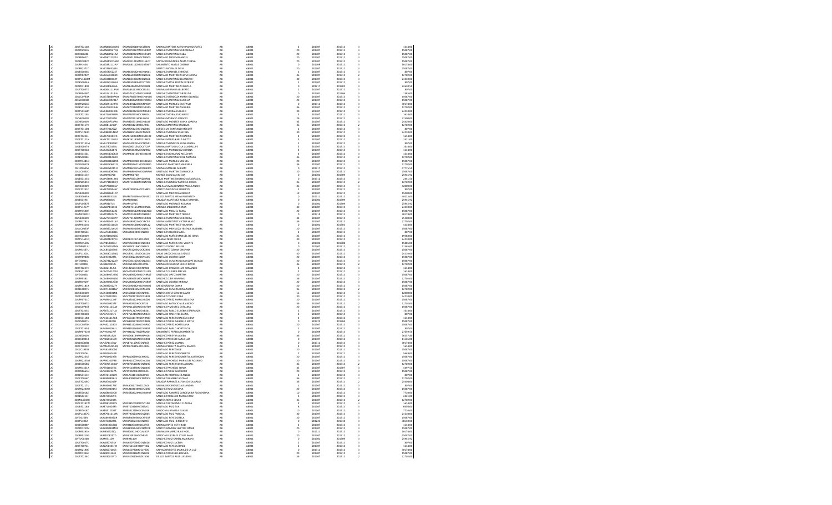| 20<br>20      | 20DST0210A               | SAMA860618MG                      | SAMA860618HOCLTN01                       | LINAS MATEOS ANTONINO SOCRATES                                                     |                 | AB001                 |                                               | 201307           | 201312           |  |
|---------------|--------------------------|-----------------------------------|------------------------------------------|------------------------------------------------------------------------------------|-----------------|-----------------------|-----------------------------------------------|------------------|------------------|--|
|               | 20DPR2914S               | SAMA870927Q2                      | SAMA870927MOCNRR07                       | SANCHEZ MARTINEZ VERONICA A                                                        | AB              | AB001                 | 20                                            | 201307           | 201312           |  |
| 20<br>20      | 20DIN0628E<br>20DPR0627L | SAMA880921AZ<br>SAMA9012282U      | SAMA880921MOCNRL09<br>SAMA901228HOCNRN05 | SANCHEZ MARTINEZ ALBA<br>SANTIAGO MORGAN ANGEL                                     | AB<br>AB        | AB001<br>AB001        | 20<br>20                                      | 201307<br>201307 | 201312<br>201312 |  |
| 20            | 20DPR1092Y               | SAMA911015M8                      | SAMA911015MOCLNL07                       | SALVADOR MENDEZ ALMA TERESA                                                        | AB              | AB001                 | $^{20}$                                       | 201307           | 201312           |  |
|               |                          | SAMC881112PV                      | SAMC881112MOCRTN07                       | SARMIENTO MATUS CINTHIA                                                            |                 | <b>AR001</b>          |                                               | 201309           | 201312           |  |
| 20<br>20      | 20DPR1404J<br>20DPR2372O | SAMD7603205U                      |                                          | SANTOS MORALES DEISI                                                               | AB<br>AB        | AB001                 | $\begin{smallmatrix}0\0\0\end{smallmatrix}$   | 201307           | 201312           |  |
|               |                          |                                   |                                          |                                                                                    |                 | AB001                 |                                               | 201307           | 201312           |  |
| 20<br>20      | 20DES0036S               | SAME6305225T<br>SAME6603084R      | SAME630522HOCNNN01<br>SAME660308MOCNRL06 | SANCHEZ MANUEL ENRIQUE<br>SANCHEZ MANUEL ENRIQUE<br>SANTIAGO MARTINEZ ELVIA ELOINA | AB<br>AB        | AB001                 | $\begin{array}{c} 1 \\ 36 \end{array}$        | 201307           | 201312           |  |
|               | 20DTV1458M               | SAME8310062Y                      | SAME831006MOCNRL06                       | SANCHEZ MARTINEZ ELIZABETH I                                                       | AB              | AB001                 | 30                                            | 201307           | 201312           |  |
| 20<br>20      | 20DES0044A               | SAME850330G4                      | SAME850330HOCNYD09                       | SANCHEZ MAYA EDWIN PATRICIO                                                        | AB              | AB001                 | $\,$ 1                                        | 201307           | 201312           |  |
|               | 20DPR3189X               | SAMF8406246A                      | SAMF840624MCSNRB01                       | SANTIAGO MARTINEZ FABIOLA                                                          | AB              | AB001                 | $\pmb{0}$                                     | 201217           | 201302           |  |
| 20<br>20      | 20DST0057X               | <b>SAMG641119NN</b>               | SAMG641119HOCLRL03                       | SALINAS MIRANDA GILBERTO                                                           | AB              | AB001                 |                                               | 201307           | 201312           |  |
| 20            | 20DPR04082               | SAMG741014L6                      | SAMG741014MOCNRR04                       | SANCHEZ MARTINEZ GRISELDA                                                          | AB              | AB001                 |                                               | 201301           | 201306           |  |
| $_{20}$       | 20DCC0783X               | SAMG780607KM                      | SAMG780607MOCNNN06                       | SANCHEZ MENDOZA MARIA GLANELLI                                                     | AB              | AB001                 | 20                                            | 201307           | 201312           |  |
| 20            | 20ESC0001D               | SAMG84092917                      | SAMG840929MOCNRD03                       | SANCHEZ MARTINEZ GUDELIA                                                           | AB              | AB001                 | $^{20}$                                       | 201307           | 201312           |  |
| 20            | 20DPR2066G               | SAMG891122F8                      | SAMG891122HOCNNS09                       | SANTIAGO MANUEL GUSTAVO                                                            | AB              | AB001                 | $\circ$                                       | 201311           | 201312           |  |
| 20            | 20DES0153H               | SAMH770228H6                      | SAMH770228MOCNRL05                       | SANTIAGO MARTINEZ HILARIA                                                          | AB              | AB001                 | 36                                            | 201307           | 201312           |  |
| 20<br>20      | 200TV0168E               | <b>SAMHR30223DH</b>               | SAMHR30223HOCNRG03                       | SANCHEZ MORALES HUGO                                                               | AR              | <b>AR001</b>          | 30                                            | 201307           | 201312           |  |
|               | 20DST0219S               | SAM1730505MR                      | SAMI730505HOCNRG01                       | SANCHEZ MORALES IGNACIO                                                            | AB              | AB001                 | $\overline{2}$                                | 201307           | 201312           |  |
| 20<br>20      | 202NE0040V               | <b>SAMI770201AR</b>               | SAMI770201HDFLRG04                       | SALINAS MORADO IGNACIO                                                             | AB              | <b>AR001</b>          | 29                                            | 201307           | 201312           |  |
|               | 202NE0040V               | SAMI820731FM                      | SAMI820731MOCNNL09                       | SANTIAGO MONTES ILIANA LORENA                                                      | AB              | AB001                 | $\frac{1}{32}$                                | 201307           | 201312           |  |
| 20<br>20      | 20DST0117V               | SAMI881121BP                      | SAMI881121MOCLRR04                       | SALINAS MARTINEZ IRAZEMA                                                           | AB              | AB001                 | 36                                            | 201307           | 201312           |  |
|               | 20DST0110B               | SAMJ7701252Z                      | SAMJ770125HOCNCR06<br>SAMJ880214MOCNNS00 | JORGE LUIS SANTIAGO MECOTT                                                         | AB              | AB001<br>AB001        |                                               | 201307           | 201312           |  |
| 20<br>$_{20}$ | 20DTV1283N<br>20DST0233L | SAMJ880214KM<br>SAMK760303FK      | SAMK760303MOCNRH09                       | SANCHEZ MENDEZ JOSEFINA<br>SANTIAGO MARTINEZ KHARINE                               | AB<br>AB        | AB001                 | 30<br>$\overline{2}$                          | 201307<br>201307 | 201312<br>201312 |  |
| 20            | 20DST0121H               | SAMK761130KU                      | SAMK761130MOCLRR03                       | SALINAS MARES KARLA IVETTE                                                         | AB              | AB001                 |                                               | 201307           | 201312           |  |
| 20            | 20DST0133M               | SAML740825NC                      | SAML740825MOCNNS01                       | SANCHEZ MENDOZA LUISA REYNA                                                        | AB              | AB001                 |                                               | 201307           | 201312           |  |
| 20            | 20DES0037R               | SAML780315RL                      | SAML780315MOCLTC07                       | SALINAS MATUS LUCILA GUADALUPE                                                     | AB              | AB001                 |                                               | 201307           | 201312           |  |
|               | 20DST0026D               | <b>SAMI 85062872</b>              | SAML850628MOCNRR02                       | SANTIAGO MAROOUEZ LORENA                                                           | AR              | <b>AR001</b>          | $\overline{ }$                                | 201307           | 201312           |  |
| 20<br>20      | 20DES0166L               | SAMM64010624                      | SAMM640106HOCNNL02                       | SANCHEZ MONJARAZ MELCHOR                                                           | AB              | AB001                 |                                               | 201307           | 201312           |  |
|               | 20DES0098E               | <b>SAMMR0122419</b>               |                                          | SANCHEZ MARTINEZ JOSE MANUEL                                                       | AB              | <b>AR001</b>          | 36                                            | 201307           | 201312           |  |
| 20<br>20      | 20DPR1481O               | SAMM8310289R                      | SAMM831028HOCNNG03                       | SANTIAGO MANUEL MIGUEL                                                             | AB              | AB001                 | $\overline{20}$                               | 201307           | 201312           |  |
|               | 20DJN20478               | SAMM8506212J                      | SAMM850621MOCLRR00                       | SALGADO MARTINEZ MARISELA                                                          | AB              | AB001                 | 36                                            | 201307           | 201312           |  |
| 20<br>20      | 20FIZ0053M               | SAMM86101511                      | SAMM861015MOCLNR05                       | SALINAS MANUEL MIRIAM                                                              | AB              | AB001                 | $\theta$                                      | 201217           | 201312           |  |
| 20            | 20DCC0362O               | SAMM880909BJ                      | SAMM880909MOCNRR06                       | SANTIAGO MARTINEZ MARICELA                                                         | AB              | AB001                 | 20                                            | 201307           | 201312           |  |
| $_{20}$       | 20DES0153H               | SAMM900720                        | SAMM900720                               | MOISES SAGUILAN MEJIA                                                              | AB              | AB001                 | $\circ$                                       | 201301           | 201309           |  |
| 20            | 20DES0123N               | SAMN76091244                      | SAMN760912MVZLRR01                       | SALAS MARTINEZ NORIKO ALTAGRACIA                                                   | AB              | AB001                 | $\overline{0}$                                | 201312           | 201312           |  |
| 20            | 20DJN0581Q               | SAMP711018QT                      | SAMP711018MOCNNT01                       | SANCHEZ MENDEZ PATRICIA ODILIA                                                     | AB              | AB001                 | 36                                            | 201307           | 201312           |  |
| 20            | 202NE0040V               | .<br>SAMP7808065V                 |                                          | SAN JUAN MALDONADO PAOLA ANAH                                                      | AB              | AB001                 | 36                                            | 201307           | 201312           |  |
| 20            | 20DST0191C               | SAMR7909045Y                      | SAMR790904HOCNNB03                       | SANTOS MENDOZA ROBERTO                                                             | AB              | AB001                 | $\mathbf{1}$                                  | 201307           | 201312           |  |
| 20            | 202NE0040V               | SAMR830601D7                      |                                          | SANTIAGO MENDOZA REBECA                                                            | AB              | AB001                 | 19                                            | 201307           | 201312           |  |
| 20<br>20      | 20DES00854               | <b>SAMR870318SL</b>               | SAMR870318HMCNNS02                       | DE LOS SANTOS MENA RUSSRELTH                                                       | AB              | <b>AR001</b>          | $\begin{smallmatrix}0\\0\\0\end{smallmatrix}$ | 201311           | 201312           |  |
|               | 20DES0193                | SAMR890816                        | SAMR890816                               | SALAZAR MARTINEZ ROQUE MANUEL                                                      | $\overline{AB}$ | AB001                 |                                               | 201301           | 201309           |  |
| 20<br>20      | 20DTV05872<br>20DTV1257P | SAMR910715<br>SAMS87111532        | SAMR910715                               | SANTIAGO MORALES ROSARIO                                                           | AB<br>AB        | <b>AR001</b>          | $\circ$                                       | 201301<br>201307 | 201309           |  |
|               |                          |                                   | SAMS8711153MOCRN06                       | SARABIA MENDOZA SONIA                                                              |                 | AB001                 | 30                                            |                  | 201312           |  |
| 20<br>20      | 20DPR3548T               | SAMT80051222                      | SAMT800512MOCNGN00<br>SAMT921014MOCNRR02 | SANTIAGO MIGUEL TANIA<br>SANTIAGO MIGUEL TANIA                                     | AB<br>AB        | <b>AR001</b>          | 20                                            | 201307           | 201312           |  |
|               |                          | SAMT92101475                      |                                          |                                                                                    |                 | AB001                 | $\circ$                                       | 201310           | 201312           |  |
| 20<br>20      | 202NE0040V               | SAMV731220PP                      | SAMV731220MOCNRR01<br>SAMV890401HOCLRC08 | SANCHEZ MARTINEZ VERONICA                                                          | AB<br>AB        | AB001                 | 33<br>36                                      | 201307           | 201312           |  |
|               | 20DPR1791S<br>20DPR0314K | SAMV8904015V<br>SAMY690118CB      | SAMY690118MOCNRL12                       | SALINAS MARTINEZ VICTOR HUGO<br>SANTIAGO MARTINEZ YOLANDA                          | AB              | AB001<br>AB001        |                                               | 201307<br>201301 | 201312<br>201302 |  |
| 20<br>20      | 20DCC0453F               | SAMY890216US                      | SAMY890216MOCNNS17                       | SANTIAGO MENDOZA YESENIA SANDIBEL                                                  | AB              | AB001                 | $\,$ 0 $\,$<br>20                             | 201307           | 201312           |  |
| 20            | 20DST0066E               | SANA760630Q6                      | SANA760630HOCNLX04                       | SANCHEZ NOLASCO AXEL                                                               | AB              | AB001                 |                                               | 201307           | 201312           |  |
|               | 207NF0040V               | <b>SANM78010156</b>               |                                          | SANTIAGO NUÑEZ MANUEL DE JESUS                                                     | AR              | <b>AR001</b>          |                                               | 201307           | 201312           |  |
| 20<br>20      | 20DTV1611Q               | SANO821217V3                      | SANO821217HOCLXS09                       | SALAZAR NIÑO OSCAR                                                                 | AB              | AB001                 | 25<br>30                                      | 201307           | 201312           |  |
|               |                          |                                   |                                          |                                                                                    | AB              | <b>AR001</b>          |                                               | 201304           | 201308           |  |
| 20<br>20      | 20DPB1510S<br>20DNP0011U | SANV8503083J<br>SAOB700914MX      | SANV850308HOCNXC08<br>SAOB700914HOCNSL03 | SANTIAGO NUÑEZ JOSE VICENTE<br>SANTOS OSORIO BELLINI                               | $\overline{AB}$ | AB001                 | $\begin{smallmatrix}0\\0\\0\end{smallmatrix}$ | 201307           | 201312           |  |
|               | 20DPB1467U               | SAOC851205U6                      | SAOC851205MOCRZR01                       |                                                                                    |                 | <b>AR001</b>          |                                               | 201307           | 201312           |  |
| 20<br>20      | 20DTV1302L               | SAOD830115NQ                      | SAOD830115MOCLRL03                       | SARMIENTO OZUNA CRISPINA<br>SALAS OROZCO DULCE AZUCE                               | AB<br>AB        | AB001                 | 20<br>30                                      | 201307           | 201312           |  |
| 20<br>20      | 20DPR0980D<br>20FEI0001U | SAOE930222FL                      | SADE930222MOCNSL06<br>SADG781212MOCNLD03 | SANTIAGO OSORIO ELIDA                                                              |                 | AB001                 | $\frac{20}{20}$                               | 201307           | 201312           |  |
|               |                          | SAOG781212A9                      |                                          | SANTIAGO OLIVERA GUADALUPE LILIANA                                                 | AB<br>AB        | AB001                 |                                               | 201307           | 201312           |  |
| 20<br>20      | 20FJS1004Q               | SAOJ8610252L                      | SAOJ861025HOCLSV06                       | SALINAS OCEGUERA JAVIER DAVID                                                      | AB              | AB001                 | $\frac{36}{2}$                                | 201307           | 201312           |  |
|               | 20DST0237H               | SAOL821212IA                      | SAOL821212HOCNRS06                       | SANTIAGO OROZCO LUIS ARMANDO                                                       | AB              | AB001                 |                                               | 201307           | 201312           |  |
| 20<br>20      | 20DES0158C               | SAOM7501201G                      | SAOM750120MOCNLL09                       | SANCHEZ OLIVERA MELVIS                                                             | AB              | AB001                 |                                               | 201307           | 201312           |  |
|               | 20FZI0086D               | SAOM8907293G                      | SAOM890729MOCNRR07                       | SANTIAGO ORTIZ MARTHA                                                              | AB              | AB001                 | 20                                            | 201307           | 201312           |  |
| 20            | 20DPR0381                | SAOM8909015G                      | SAOM890901HOCNJR03                       | SANCHEZ OJER MARIANO                                                               | AB              | AB001                 | $\frac{36}{20}$                               | 201307           | 201312           |  |
| 20            | 20DPB1919F               | SAOM9003263K                      | SAOM900326MOCNSR07                       | SANTIAGO OSORIO MIRIAM                                                             | AB              | AB001                 |                                               | 201307           | 201312           |  |
| 20            | 20DPR1181R               | SAOO890422FY                      | SAOO890422HOCNRM06                       | SAENZ ORZUNA OMAR                                                                  | AB              | AB001                 | 20<br>36                                      | 201307           | 201312           |  |
| 20            | 20DEE0007U               | SAOR710831GV                      | SAOR710831MOCNLS01                       | SANTIAGO OLIVERA ROSA MARIA                                                        | AB              | AB001                 |                                               | 201307           | 201312           |  |
| 20            | 202NE0040V<br>20DTV09192 | SAOS580201NB<br>SAQZ790107JN      | SAOS580201HOCNRR04<br>SA02790107MOCNSR01 | SANTOS ORTIZ SERGIO DAVID<br>SANCHEZ OSORIO ZARA                                   | AB<br>AR        | AB001<br><b>AR001</b> | $\frac{1}{16}$<br>30                          | 201307<br>201307 | 201312<br>201312 |  |
| 20<br>20      | 20DPR0701C               | SAPA890112KF                      | SAPA890112MOCNR206                       | SANCHEZ PEREZ MARIA AZUCENA                                                        | AB              |                       | $\frac{1}{20}$                                | 201307           |                  |  |
|               |                          |                                   |                                          |                                                                                    |                 | AB001                 |                                               |                  | 201312           |  |
| 20<br>20      | 20DST0067D<br>20DCC0746T | SAPA9209257E<br>SAPC911125LW      | SAPA920925HOCNTLI3<br>SAPC911125MOCNMT09 | SANTIAGO PATRICIO ALEJANDRO<br>SANCHEZ PIMENTEL CATALINA                           | AB<br>AB        | AB001<br>AB001        | 36<br>20                                      | 201307<br>201307 | 201312<br>201312 |  |
|               | 20DST0103S               | SAPE671217UA                      | SAPE671217MOCNBS01                       | SANTIAGO PABLO EUSEBIA ESPERANZA                                                   | AB              | AB001                 | $\overline{2}$                                | 201307           | 201312           |  |
| 20<br>20      | 20DST0040X               | SAPE751215FE                      | SAPE751215MOCNML01                       | SANTIAGO PIMENTEL ELENA                                                            | AB              | AB001                 |                                               | 201307           | 201312           |  |
| 20            | 20DES0118B               | SAPG661117GB                      | SAPG661117MOCNRR00                       | SANTIAGO PEREZ GRACIELA LIDIA                                                      | AB              | AB001                 |                                               | 201307           | 201312           |  |
| 20            | 20DJN1007U               | SAPG830307LJ                      | SAPG830307MOCNRB02                       | SANCHEZ PEREZ GABRIELA EDITH                                                       | AB              | AB001                 | $\circ$                                       | 201222           | 201304           |  |
| 20            | 20DCC0578N               | SAPH821128DS                      | SAPH821128MOCNRR00                       | SANCHEZ PEREZ HORTULANA                                                            | AB              | AB001                 | 20                                            | 201307           | 201312           |  |
| 20            | 20DST0163G               | SAPH840106UI                      | SAPH840106MOCNBR02                       | SANTIAGO PABLO HORTENCIA                                                           | AB              | AB001                 | $\mathbf{1}$                                  | 201307           | 201312           |  |
| 20            | 20DPR0732W               | SAPH910127J7                      | SAPH910127HVZRRM00                       | SARMIENTO PEREDA HUMBERTO                                                          | AB              | AB001                 | $\theta$                                      | 201309           | 201312           |  |
|               | 207NF0040V               | <b>SAPI4308132R</b>               | SAPI430813HMNNRV06                       | SANCHEZ PEREYRA JAVIER                                                             | AR              | <b>AR001</b>          | 36                                            | 201307           | 201312           |  |
| 20<br>20      | 20DCE0001B               | SAPK820125CR                      | SAPK820125MOCNCR08                       | SANTOS PACHECO KARLA LUZ                                                           | AB              | AB001                 | $\mathbf 0$                                   | 201307           | 201312           |  |
| 20<br>20      | 20DDI0008Q               | SAPL871117IW                      | SAPL871117MOCNRLOS                       | SANCHEZ PEREZ LILIANA                                                              | AB              | <b>AR001</b>          | $\theta$                                      | 201311           | 201312           |  |
|               | 20DST0032O               | SAPM6704254Q<br>SAPN8103305G      | SAPM670425HOCLRR04                       | SALINAS PERALTA MARTIN MARCO<br>SANTIAGO PEREZ NOE                                 | AB<br>AB        | AB001<br>AB001        | $\overline{ }$                                | 201307<br>201307 | 201312<br>201312 |  |
| 20<br>20      | 20DCC1935S               |                                   |                                          |                                                                                    |                 |                       | 20                                            |                  |                  |  |
| 20            | 20DST0076L<br>20DPR2254Z | SAPR810501PR<br>SAPR810629E8      | SAPR810629HOCNRG02                       | SANTIAGO PEREZ RIGOBERTO<br>SANTIAGO PEREZ RIGOBERTO AUSTRICLIN                    | AB<br>AB        | AB001<br>AB001        | $^{20}$                                       | 201307<br>201307 | 201312<br>201312 |  |
| $_{20}$       | 20DPB2233M               | SAPR90100738                      | SAPR901007MOCNCS08                       | SANCHEZ PACHECO MARIA DEL ROSARIO                                                  | AB              | AB001                 | 20                                            | 201307           | 201312           |  |
| 20            | 20DES0068K               | SAPS870516DW                      | SAPS870516MOCNRN06                       | SANTIAGO PEREZ SONIA ABIGAIL                                                       | AB              | AB001                 | 36                                            | 201307           | 201312           |  |
| 20            | 20DPB1361A               | SAPS911025VC                      | SAPS911025MOCNCN06                       | SANCHEZ PACHECO SONIA                                                              | AB              | AB001                 | 35                                            | 201307           | 201307           |  |
| 20            | 20DPB0665N               | SAPS930224PA                      | SAPS930224HOCNRL01                       | SANCHEZ PEREZ SALVADOR                                                             | AB              | AB001                 | 20                                            | 201307           | 201312           |  |
|               | 20DES0153H               | SARA761101D9                      | SARA761101HCSGDN07                       | SAGUILAN RODRIGUEZ ANGEL                                                           | AR              | <b>AR001</b>          | $\overline{1}$                                | 201307           | 201312           |  |
| 20<br>20      | 20DST0056Y               | SARA800809US                      | SARA800809HOCNMD04                       | SANCHEZ RAMIREZ ADONAY                                                             | AB              | AB001                 | 36                                            | 201307           | 201312           |  |
|               | 20DST0206Q               | SARA8701016P                      |                                          | SALAZAR RAMIREZ ALFONSO EDUARDO                                                    | AB              | <b>AR001</b>          | 36                                            | 201307           | 201312           |  |
| 20<br>20      | 20DST0217U               | SARA900417EE                      | SARA900417MOCLDL04                       | SALINAS RODRIGUEZ ALEJANDRA                                                        | AB              | AB001                 | $\overline{1}$                                | 201307           | 201312           |  |
|               | 20DPB2240W               | SARA910404K3                      | SARA910404MOCNZD00                       | SANCHEZ RUIZ ADELINA                                                               | AB              | AB001                 | 20                                            | 201307           | 201312           |  |
| 20<br>20      | 20DEE00182               | SARC680202CB                      | SARC680202MOCNMN07                       | SANTIAGO RAMIREZ CANDELARIA FLORENTINA                                             | AB              | AB001                 | 10                                            | 201307           | 201312           |  |
| 20            | 20DES0213F               | SARC730502FS                      |                                          | SANCHEZ ROBLEDO MARIA CRUZ                                                         | AB              | AB001                 | $\overline{\mathbf{3}}$                       | 201307           | 201312           |  |
| $_{20}$       | 20DML0019F               | SARC740604TS                      |                                          | SANTOS REYES CESAR                                                                 | AB              | AB001                 | 36                                            | 201307           | 201312           |  |
| 20            | 20DST0181W               | SARC881009NV                      | SARC881009MOCNYL00                       | SANCHEZ RAYMUNDO CLAUDIA                                                           | AB              | AB001                 | $\overline{2}$                                | 201307           | 201312           |  |
| 20            | 20DES0118B               | SARE71032683                      | SARE710326MVZNZV01                       | SANTIAGO RUIZ EVA                                                                  | AB              | AB001                 |                                               | 201307           | 201312           |  |
| 20            | 20DEE00182               | SARE8512289T                      | SARE851228HOCNVL08                       | SANDOVAL RAVIELA ELIASID                                                           | AB              | AB001                 | $10$                                          | 201307           | 201312           |  |
| 20<br>20      | 20DTV1867Q               | <b>SARF790121MR</b>               | <b>SARE790121MOCNZR05</b>                | SANTIAGO RUIZ FARIOLA                                                              | AR              | <b>AR001</b>          | 30                                            | 201307           | 201312           |  |
|               | 20FZI0164R               | SARG840905GR                      | SARG840905MOCNYS07                       | SANTIAGO REYES GISELA                                                              | AB              | AB001                 | $\overline{20}$                               | 201307           | 201312           |  |
| 20<br>20      | 20DTV1032I<br>20DES0088Y | <b>SARH760822RI</b>               | SARH760822HOCNZR07                       | SANTIAGO RUIZ HERIBERTO                                                            | AB<br>AB        | <b>AR001</b>          | $\begin{smallmatrix}0\\2\end{smallmatrix}$    | 201223           | 201310           |  |
|               |                          | SARH810518Q3                      | SARH810518MOCLYT05                       | SALINAS REYES HETH RUBI                                                            |                 | AB001                 |                                               | 201307           | 201312           |  |
| 20<br>20      | 20DPR1219N<br>20DPB0293N | .<br>SARH900304M3<br>SARI900922JQ | SARH900304HOCNMC08<br>SARI900922HOCLMR07 | SANTOS RAMIREZ HECTOR OMAR<br>SALINAS RAMIREZ IRAIS NOEL                           | AB<br>AB        | AB001<br>AB001        | 20<br>$\circ$                                 | 201307           | 201312<br>201312 |  |
|               | 20DPR0219G               | SARJ920825TD                      | SARJ920825HOCNBS01                       |                                                                                    |                 | AB001                 |                                               | 201311           |                  |  |
| 20<br>20      | 20FTV0030B               | SARK931109                        | SARK931109                               | SANDOVAL ROBLES JOSUE JHAIR<br>SANCHEZ RUIZ KAREN AMAIRANI                         | AB<br>AB        | AB001                 | 20<br>$\circ$                                 | 201307<br>201301 | 201312<br>201309 |  |
|               | 20DST0027C               | SARL650705KY                      | SARL650705MOCNZC06                       | SANCHEZ RUIZ LUCELIA                                                               | AB              | AB001                 |                                               | 201307           | 201312           |  |
| 20<br>20      | 20DST0076L               | SARL761103FW                      | SARL761103HOCNYN02                       | SANTIAGO REYES LEONEL                                                              | AB              | AB001                 | $\frac{1}{2}$                                 | 201307           | 201312           |  |
|               | 20DPB2190E               | SARL850720C3                      | SARL850720MOCLYZ05                       | SALVADOR REYES MARIA DE LA LUZ                                                     | AB              | AB001                 | $\theta$                                      | 201311           | 201312           |  |
| 20<br>20      | 20DPR13360               | SARL900316HJ                      | SARL900316MOCNJS01                       | SANCHEZ ROJAS LIS BRENDA                                                           | AB              | AB001                 | 20                                            | 201307           | 201312           |  |
|               | 20DST0234K               | SARL920810TD                      | SARL920810HOCN2506                       | DE LOS SANTOS RUIZ LUIS ENR                                                        | AB              | AB001                 |                                               | 201307           | 201312           |  |
|               |                          |                                   |                                          |                                                                                    |                 |                       |                                               |                  |                  |  |

# $\begin{array}{cccc} 1644000 \\ 1830000 \\ 1830000 \\ 1830000 \\ 1830000 \\ 1830000 \\ 1830000 \\ 1830000 \\ 1830000 \\ 1830000 \\ 1830000 \\ 1830000 \\ 1830000 \\ 1830000 \\ 1830000 \\ 1830000 \\ 1830000 \\ 1830000 \\ 1830000 \\ 1830000 \\ 1830000 \\ 1830000 \\ 1830000 \\ 18300$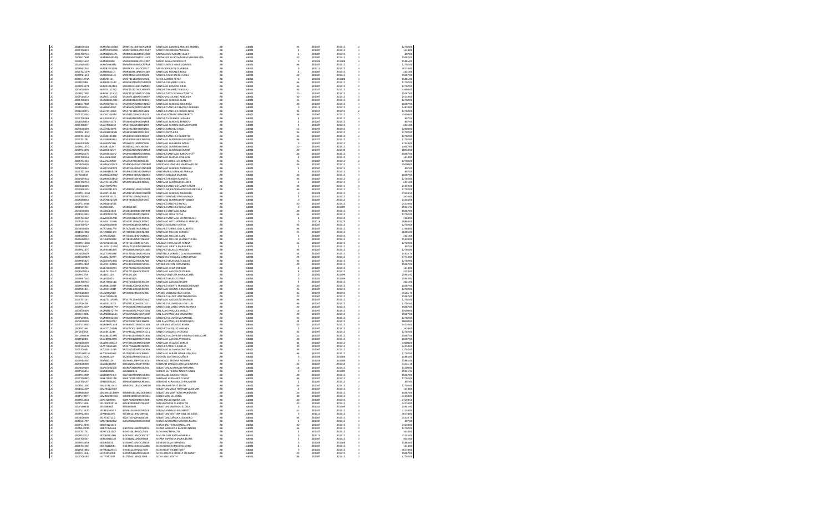|                | 20DEE0016B               | SARM7211303D                 | SARM721130HOCNMR03                       | ANTIAGO RAMIREZ MAURO ANDRES                                  |           | AB001          | 36                                      | 201307           | 201312           |                         | 12702,00             |
|----------------|--------------------------|------------------------------|------------------------------------------|---------------------------------------------------------------|-----------|----------------|-----------------------------------------|------------------|------------------|-------------------------|----------------------|
| 20<br>20       | 20DST0083V               | SARM760910KR                 | SARM760910HOCNDG07                       | SANTOS RODRIGUEZ MIGUEL                                       | AB        | AB001          | $\overline{2}$                          | 201307           | 201312           |                         | 1614.00              |
| 20             | 20DST0071Q               | SARM8210137E                 | SARM821013MOCLZR07                       | SALINAS RUIZ MIRIAM JANET                                     | AB        | AB001          |                                         | 201307           | 201312           |                         | 807,00               |
| $_{20}$        | 20DPB1769F               | SARM860405PN                 | SARM860405MOCLSG09                       | SALINAS DE LA ROSA MARIA MAGDALENA                            | AB        | AB001          | 20                                      | 201307           | 201312           |                         | 15087.00             |
| 20             | 20DPB1554F               | SARM890808                   | SARM890808HOCLDR07                       | MARIO SALAS RODRIGUEZ                                         | AB        | AB001          | $\mathbf 0$                             | 201304           | 201308           |                         | 15885,00             |
|                |                          | SARN790404SJ                 | SARN790404MOCNYR08                       |                                                               |           | <b>AR001</b>   |                                         |                  |                  | $\overline{ }$          | 12702.00             |
| 20<br>20       | 20DJN00300<br>20DPB0124S |                              |                                          | SANTOS REYES NIRIA DOLORES<br>SALVADOR REYES OLVERIDA         | AB<br>AB  |                | $\begin{array}{c} 36 \\ 0 \end{array}$  | 201307           | 201312           |                         |                      |
|                |                          | SARO8204153B                 | SARO820415MOCLYL07                       |                                                               |           | AB001          |                                         | 201311           | 201312           |                         | 30174,00             |
| 20<br>20       | 20DST0215W               | SARR890211JJ<br>SARR940531IR | SARR890211MOCNSS09                       | SANTIAGO ROSALES ROSAL<br>SANCHEZ RUIZ RAFAEL URIEL           | AB<br>AB  | AB001          | $\frac{3}{20}$                          | 201307<br>201307 | 201312           |                         | 2421,00<br>15087,00  |
|                |                          |                              | SARR940531HOCN2S01                       |                                                               |           | AB001          |                                         |                  | 201312           |                         |                      |
|                | 20DCC1274A<br>20DPR1998J | SARS781111                   | SARS781111MOCNYL00                       | SILVIA SANTOS REYEZ<br>SANCHEZ RAMIREZ SONIA                  | AB<br>AB  | AB001          | $\bf{0}$                                | 201304<br>201307 | 201308           |                         | 15885,00             |
| 20<br>20       |                          | SARS830215R2                 | SARS830215MOCNMN02                       |                                                               |           | AB001          | 36                                      |                  | 201312           |                         | 12702,00             |
| 20<br>20       | 20DPR2327B               | SARU910324UX                 | SARU910324HOCNMR07                       | SANTIAGO ROMERO URIEL                                         | AB        | AB001          | 36                                      | 201307           | 201312           |                         | 12702,00             |
|                | 202NE0040V               | SARV53112742                 | SARV531127HOCNMR05                       | SANCHEZ RAMIREZ VIRGILIO                                      | AB        | AB001          | 36                                      | 201307           | 201312           |                         | 43998.00             |
| 20             | 20DPR2748K               | SARV841115QC                 | SARV841115MOCNSD05                       | SANCHEZ RIOS VIDALA YAZBETH                                   | AB        | AB001          | $^{20}$                                 | 201307           | 201312           |                         | 15087,00             |
|                |                          |                              |                                          |                                                               |           |                |                                         |                  |                  |                         |                      |
| $_{20}$        | 20DTV0651K               | SASA871110QD                 | SASA871110MOCNLD07                       | SANDOVAL SOLANO ADELAIDA                                      | AB        | AB001          | 30                                      | 201307           | 201312           |                         | 24210.00             |
| 20             | 20DST0042V               | SASA880412ME                 | SASA880412HOCNNL03                       | SANTIAGO SANCHEZ ALAN                                         | AB        | AB001          | 36                                      | 201307           | 201312           |                         | 12702,00             |
| $_{20}$        | 20DCC17882               | SASA900705H1                 | SASA900705MOCNNN07                       | SANTIAGO SANCHEZ ANA ROSA                                     | AB        | AB001          | 20                                      | 201307           | 201312           | $\overline{\mathbf{3}}$ | 15087.00             |
| 20             | 20DPR3055H               | SASB860509SP                 | SASB860509MOCNNT03                       | SANCHEZ SANCHEZ BEATRIZ ADRIANA                               | AB        | AB001          | $\,$ 0 $\,$                             | 201312           | 201312           |                         | 14819,00             |
|                | 200EE0007U               | SASC711110SR                 | SASC711110HOCNNR06                       | SANCHEZ SANCHEZ CARLOS NOEL                                   | <b>AR</b> | <b>AR001</b>   | 36                                      | 201307           | 201312           |                         | 12702.00             |
| 20<br>20       | 20DST0206Q               | SASD8210304V                 | SASD821030HOCLRG01                       | SALAZAR SORIANO DAGOBERTO                                     | AB        | AB001          | 36                                      | 201307           | 201312           |                         | 25404,00             |
|                | 2005T0028R               | 545D8304181LI                | SASDR3041RMOCNGM04                       | SANCHEZ SIGUENZA DAMARA                                       |           | <b>AR001</b>   | $\overline{1}$                          | 201307           | 201312           |                         | 807.00               |
| 20<br>20       | 20DES0085A               | SASE690413T1                 | SASE690413HOCNNR08                       | SANTIAGO SANCHEZ ERNESTO                                      | AB<br>AB  | AB001          |                                         | 201307           |                  |                         | 807,00               |
|                |                          |                              |                                          |                                                               |           | AB001          | $\,$ 1                                  |                  | 201312           |                         |                      |
| 20<br>20       | 20DST0085T               | SASE730602SK                 | SASE730602HOCNNR09                       | SANTIAGO SANTOS ERASMO PEDRO                                  | AB        |                |                                         | 201307           | 201312           |                         | 2421,00              |
|                | 20ZNE0040V               | SASE791230PB                 | SASE791230HOCNNR01                       | SANTOS SANCHEZ ERICEL                                         | AB        | AB001          | 16                                      | 201307           | 201312           |                         | 12000.00             |
| 20             | 20DPR21330               | SASE831018NN                 | SASE831018HOCNLR03                       | SANTOS SILVA ERIK                                             | AB        | AB001          | 36                                      | 201307           | 201312           |                         | 12702,00             |
| $_{20}$        | 20DST0133M               | SASG8010183K                 | SASG801018HOCNNL05                       | SANCHEZ SANCHEZ GILBERTO                                      | AB        | AB001          | 36                                      | 201307           | 201312           |                         | 12702.00             |
| 20             | 20DST0178                | SASG900903JU                 | SASG900903HOCNNR08                       | SANTIAGO SANTIAGO GREGORIO                                    | AB        | AB001          | 36                                      | 201307           | 201312           |                         | 12702,00             |
| 20             | 20AGD00042               | SASI6507214H                 | SASI650721MOCNVS06                       | SANTIAGO SAAVEDRA ISABEL                                      | AB        | AB001          | $\overline{0}$                          | 201307           | 201312           | $\overline{\mathbf{3}}$ | 17338.00             |
| 2c             | 20DPB1157Q               | SASI891022KT                 | SASI891022HOCNNS08                       | SANTIAGO SANTIAGO ISRAEL                                      | AB        | AB001          | 20                                      | 201307           | 201312           |                         | 15087,00             |
|                | 200PR34095               | <b>SASK850325FF</b>          | SASK850325MOCNNR13                       | SANTIAGO SANTIAGO KARINA                                      | <b>AR</b> | <b>AR001</b>   | 20                                      | 201307           | 201310           |                         | 10058.00             |
| 20<br>20       | 20DPR2617S               | SASK910318FV                 | SASK910318MOCNNR06                       | SANCHEZ SANTIAGO KAREN IVETT                                  | AB        | AB001          | $20\,$                                  | 201307           | 201312           |                         | 15087,00             |
|                | 2005700534               | SASL650622GT                 | <b>SASI 650622HOCNLS07</b>               | SANTIAGO SALINAS JOSE LUIS                                    |           | <b>AR001</b>   | $\overline{2}$                          | 201307           | 201312           |                         | 1614.00              |
| 20<br>20       |                          |                              |                                          |                                                               | AB<br>AB  |                |                                         |                  |                  |                         |                      |
|                | 20DST0234K               | SASL750709DY                 | SASL750709HOCNRS01                       | SANCHEZ SERNA LUIS ERNESTO                                    |           | AB001<br>AB001 | 36                                      | 201307           | 201312           |                         | 12702,00             |
| 20<br>20       | 202NE0040V               | SASM650425C9<br>SASM760409P3 | SASM650425MOCNNR02                       | SANDOVAL SANCHEZ MARTHA PILAR                                 | AB        |                | 36                                      | 201307           | 201312           |                         | 45000,00             |
|                | 20DES0083C               |                              | SASM760409MOCNNR09                       | SANTIAGO SANCHEZ MARISELA                                     | AB        | AB001          | $\overline{1}$                          | 201307           | 201312           |                         | 807.00               |
| 20             | 20DST0210A               | SASM8410315R                 | SASM841031MOCNRR05                       | SANTAMARIA SERRANO MIRIAM                                     | AB        | AB001          | $\overline{1}$                          | 201307           | 201312           |                         | 807,00               |
| $_{20}$        | 20TAI0141R               | SASM860309DV                 | SASM860309MOCNLR04                       | SANTOS SALAZAR MARISOL                                        | AB        | AB001          | 20                                      | 201307           | 201312           |                         | 15087.00             |
| 20             | 20DJN1591D               | SASM9005185D                 | SASM900518HOCNRN06                       | SANCHEZ ARAGON MANUEL                                         | AB        | AB001          | 36                                      | 201307           | 201312           |                         | 12702,00             |
| $_{20}$        | 20DST0071Q               | SASN731116MH                 | SASN731116HOCNNL02                       | SANTIAGO SANTIAGO NELMER                                      | AB        | AB001          | $\overline{3}$                          | 201307           | 201312           |                         | 2421.00              |
| 20             | 202NE0040V               | SASN77072741                 |                                          | SANCHEZ SANCHEZ NANCY SARAHI                                  | AB        | AB001          | 33                                      | 201307           | 201311           |                         | 21250,00             |
| 20             | 20DJN0850U               | SASN820813DV                 | SASN820813MOCNRR02                       | SANTOS SIER NORMA ROCIO ITANDEHUI                             | AB        | AB001          | 36                                      | 201307           | 201312           |                         | 12702.00             |
|                |                          |                              |                                          |                                                               |           |                |                                         |                  |                  |                         |                      |
| 20             | 20DPR3125M               | SASN8711143                  | SASN871114MOCNND08                       | SANTIAGO SANCHEZ NADXHIELI                                    | AB        | AB001          | $\mathfrak{o}$                          | 201309           | 201312           |                         | 27659,50             |
| 2C<br>2C       | 2005T00300               | SASP761103J5                 | SASP761103MV7NNL02                       | SANTOS SANCHEZ PAULA MARIA                                    |           | <b>AR001</b>   | $\overline{z}$                          | 201307           | 201312           |                         | 1614.00              |
|                | 20DNS0001K               | SASR7803235M                 | SASR780323HOCNNY07                       | SANTIAGO SANTIAGO REYNALDO                                    | AB<br>AB  | AB001          | $\bar{o}$                               | 201307           | 201312           |                         | 14346,00             |
| 20<br>20       |                          |                              |                                          |                                                               |           | <b>AR001</b>   |                                         | 201307           |                  |                         |                      |
|                | 20DTV1278B<br>20DES0196F | SASR82050566<br>SASR851025   | <b>SASR851025</b>                        | SANCHEZ SANCHEZ RAFAEL<br>SANCHEZ SANCHEZ ROSA ELDA           | AB<br>AB  | AB001          | $\begin{array}{c} 30 \\ 0 \end{array}$  | 201301           | 201312<br>201309 |                         | 24210,00             |
| 20<br>20       | 202NE0040V<br>20DES0208U | SASS85081944                 | SASS850819MOCNNR09                       | SANCHEZ SANTIAGO SARAI                                        | AB<br>AB  | <b>AR001</b>   | $\begin{array}{c} 20 \\ 36 \end{array}$ | 201307           | 201312           |                         | 15087,00             |
|                |                          |                              | SAST901022MOCNSY09                       |                                                               |           | AB001          |                                         | 201307           | 201312           |                         | 12702,00             |
|                | 20DST0246P               | SASV830312ND                 | SASV830312HOCNNC06                       |                                                               |           | AB001          |                                         | 201307           | 201312           |                         | 3228,00              |
| 20<br>20       | 20DTV0116J               | SASV8312109N                 | SASV831210HOCNTN02                       | SANCHEZ SANTIAGO VICTOR HUGO<br>SANTIAGO SOTO VENANCIO MANUEL | AB<br>AB  | AB001          | $\mathbf 0$                             | 201216           | 201223           |                         | 30840,00             |
| 20             | 20DST0072P               |                              | SASV900608HOCNRRCC                       | SANTOS SORIANO VICTOR                                         |           | AB001          |                                         | 201307           | 201312           |                         | 12702,00             |
|                |                          | SASV900608N8                 |                                          |                                                               | AB        |                | 36                                      |                  |                  |                         |                      |
| 20             | 202NE0040V               | SATA710817FV                 | SATA710817HOCNRL03                       | SANCHEZ TORRES JOSE ALBERTO                                   | AB        | AB001          | 36                                      | 201307           | 201312           |                         | 27468.00             |
| 20             | 20DES0198D               | SATH900111FV                 | SATH900111HOCNLR01                       | SANTIAGO TOLEDO HERMES                                        | AB        | AB001          | 35                                      | 201307           | 201312           |                         | 26985,00             |
| 2C<br>2C       | 200E500047               | SATJ710328JA                 | SATI710328HOCNLN06                       | SANTIAGO TOLEDO JUAN                                          | AB<br>AB  | <b>AR001</b>   | $\begin{array}{c} 3 \\ 0 \end{array}$   | 201307           | 201312           |                         | 2421.00              |
|                | 20AGS0001D               | SATL830502H2                 | SATL830502MOCNLL04                       | SANTIAGO TOLEDO LILIANA YUCHEL                                |           | AB001          |                                         | 201307           | 201312           |                         | 15420,00             |
| 20<br>20       | 20DPR1128W<br>20DES0045Z | SATS751103QQ<br>SAUM7312305Q | SATS751103MOCLPL05<br>SAUM731230MVZNRR04 | SALAZAR TAPIA SILVIA TERESA<br>SANTIAGO URIETA MARGARITA      | AB<br>AB  | <b>AR001</b>   | $\begin{array}{c} 36 \\ 1 \end{array}$  | 201307           | 201312           |                         | 12702,00<br>807,00   |
|                |                          |                              |                                          |                                                               |           | AB001          |                                         | 201307           | 201312           |                         |                      |
|                |                          |                              |                                          |                                                               |           | <b>AR001</b>   |                                         | 201307           | 201312           |                         |                      |
| 20<br>20       | 20DPR2167E<br>20ZNE0040V | SAVA93081835<br>SAVC7702014E | SAVA930818MOCNLN00<br>SAVC770201MOCNRL03 | SANCHEZ VELASCO ANGELES<br>SANTAELLA VERDEJO CLAUDIA MARIBEL  | AB<br>AB  | AB001          | 36<br>33                                | 201307           | 201312           |                         | 12702,00<br>25310,70 |
|                | 20DES0008W               | SAVC821229TT                 | SAVC821229HOCNSN00<br>SAVC870724HOCNLR04 | SANDOVAL VASQUEZ CANEK DAVID                                  |           | AB001          |                                         | 201307           | 201312           |                         | 17733,00<br>12702,00 |
| 20<br>20       |                          |                              |                                          | SANCHEZ VELASQUEZ CARLOS                                      | AB<br>AB  | AB001          | $\begin{array}{c} 23 \\ 36 \end{array}$ | 201307           | 201312           | $\overline{2}$          |                      |
|                |                          |                              |                                          |                                                               |           | AB003          |                                         |                  |                  |                         | 15087,00             |
| 20<br>20       | 20DPR32042<br>20DST0076L | SAVC941009KG<br>SAVE720302K4 | SAVC941009MOCYCS02<br>SAVE720302HOCNGN00 | SAYNEZ VICENTE CASSANDRA<br>SANTIAGO VEGA ENRIQUE             | AB<br>AB  |                | 20                                      | 201307<br>201307 | 201312           |                         |                      |
|                |                          |                              |                                          |                                                               |           | AB001          | $\overline{2}$                          |                  | 201312           |                         | 1614,00              |
| 20<br>20       | 20DES0003A               | SAVE721226LP                 | SAVE721226HOCNSS03                       | SANTIAGO VASQUEZ ESTEBAN                                      | AB        | AB001          |                                         | 201307           | 201312           |                         | 3228,00              |
|                | 20DPR1370J               | SAVE871126                   | SAVE871126                               | SALINAS VENTURA MARIA ELENA                                   | AB        | AB001          | $\circ$                                 | 201301           | 201309           |                         | 25945.92             |
| 20             | 20DPR0714G               | SAVE920325<br>SAVF71051112   | SAVE920325                               | SANCHEZ VELASCO ERIKA                                         | AB        | AB001          | $\mathbf 0$                             | 201301           | 201309           |                         | 25945,92             |
| $_{20}$        | 20DST0073Q               |                              | SAVF710511HOCNSL09                       | SANTIAGO VASQUEZ FELIPE                                       | AB        | AB001          | $\overline{3}$                          | 201307           | 201312           |                         | 2421.00              |
| 20             | 20DPR1980K               | SAVF8812033F                 | SAVF881203HOCNCR04                       | SANCHEZ VICENTE FRANCISCO JAVIER                              | AB        | AB001          | 20                                      | 201307           | 201312           |                         | 15087,00             |
| 20             | 20DPR0184H               | SAVF9411094T                 | SAVF941109HOCNCR09                       | SANTIAGO VICENTE FRANCISCO                                    | AB        | AB001          | 36                                      | 201307           | 201312           | $\overline{2}$          | 12702.00             |
| 20             | 202NE0040V               | SAVI590629FR                 | SAVI590629MOCYZR06                       | SAYNES VAZQUEZ IRAIS SILVIA                                   | AB        | AB001          | 36                                      | 201307           | 201312           |                         | 35666,70             |
| 20<br>20       | 202NF0040V               | <b>SAVI 7708060D</b>         |                                          | SANCHEZ VALDEZ LIZRETH MARISOL                                | AB        | <b>AR001</b>   | $\begin{array}{c} 20 \\ 36 \end{array}$ | 201307           | 201312           |                         | 15087.00             |
|                | 20DST0114Y               | SAVL771124MA                 | SAVL771124HOCNZN02                       | SANTIAGO VAZQUEZ LEONARDO                                     | AB        | AB001          |                                         | 201307           | 201312           | $\overline{2}$          | 12702,00             |
|                |                          |                              |                                          | SANCHEZ VILLANUEVA JOSE LUIS                                  |           | AB003          |                                         |                  |                  |                         |                      |
| 20<br>20       | 20DTV0100<br>20DPR1316F  | SAVL911202CJ<br>SAVM820907PD | SAVL911202HOCNLS01<br>SAVM820907MOCNLR00 | SANTOS DEL VALLE MARA ROXANA                                  | AB<br>AB  | AB001          | $\begin{array}{c} 36 \\ 20 \end{array}$ | 201307<br>201307 | 201312<br>201312 |                         | 12702,00<br>15087,00 |
|                |                          |                              |                                          |                                                               |           |                |                                         |                  |                  |                         |                      |
| 20<br>20       | 202NE0040V               | SAVM8407277R                 | SAVM840727HOCNSS01                       | SAN JUAN VASQUEZ MISAEL                                       | AB        | AB001          | 19                                      | 201307           | 201312           |                         | 15000,00             |
|                | 20DCC1280L               | SAVM87062623                 | SAVM870626HOCNSX07                       | SAN JUAN VASQUEZ MAXIMINO                                     | AB        | AB001          | 20                                      | 201307           | 201312           |                         | 15087.00             |
| 20             | 20DTV0493L               | SAVM8903242Q                 | SAVM890324MOCNLR02                       | SANCHEZ VILLANUEVA MARIBEL                                    | AB        | AB001          | $\frac{36}{23}$                         | 201307           | 201312           |                         | 12702,00             |
| $_{20}$        | 202NE0040V               | SAVR79010737                 | SAVR790107HOCNSY08                       | SAN JUAN VASQUEZ RAYMUNDO                                     | AB        | AB001          |                                         | 201307           | 201312           |                         | 18000.00             |
| 20             | 20DTV1596O               | SAVR860713GA                 | SAVR860713MOCNLN01                       | SA GERMAN VELASCO REYNA                                       | AB        | AB001          | 30                                      | 201307           | 201312           |                         | 24210,00             |
| 20             | 20DES0166L               | SAVV7710319H                 | SAVV771031MOCNSN03                       | SANCHEZ VASQUEZ VIANNEY                                       | AB        | AB001          | $\overline{2}$                          | 201307           | 201312           | ٠                       | 1614.00              |
| 2c             | 20FSE0005X               | SAVV841223U                  | SAVV841223MOCNLC11                       | SANTOS VELASCO VICTORIA                                       | AB        | AB001          | 36                                      | 201307           | 201312           |                         | 12702,00             |
| 20<br>20       | 20EU40054Y               | SAVV861119PU                 | SAVV&61119MOCNLR06                       | SANCHEZ VALDIVIESO VIRGINIA GUADALUPE                         | <b>AR</b> | <b>AR001</b>   | $\begin{array}{c} 20 \\ 20 \end{array}$ | 201307           | 201312           |                         | 15087.00             |
|                | 20DPR2889J               | SAVV890128PU                 | SAVV890128MOCNSR06                       | SANTIAGO VASQUEZ VIRGINIA                                     | AB        | AB001          |                                         | 201307           | 201312           |                         | 15087,00             |
|                | 202NE0040V               | SAVY891006Q3                 | SAVY891006MOCNLR00                       | SANTIAGO VELAZCO YARENI                                       | AB        | <b>AR001</b>   | 31                                      | 201307           | 201312           |                         | 24000.00             |
| 20<br>20       | 20DTV0532X               | SAZA7706268R                 | SAZA770626MDFNRR05                       | SANCHEZ ZARATE ARBELIA                                        | AB        | AB001          | 30                                      | 201307           | 201312           |                         | 24210,00             |
| 20             | 20DST0038                | SAZC8101138R                 | SAZC810113MOCNCR09                       | SANTIAGO ZACARIAS CRISTINA                                    | AB        | AB001          | 36                                      | 201307           | 201312           |                         | 12702,00             |
|                |                          |                              |                                          |                                                               |           |                |                                         |                  |                  |                         |                      |
| $_{20}$        | 20DTV0021W               | SAZD870404S1                 | SAZD870404HOCNRH03<br>SAZX840219MOCNXC13 | SANTIAGO ZARATE DAHIR DAMASO                                  | AB        | AB001<br>AB001 | 36                                      | 201307           | 201312           | $\overline{2}$          | 12702.00<br>15885,00 |
| 20             | 20DCC1272C               | SAZX840219                   |                                          | XOCHITL SANTIAGO ZUÑIGA                                       | AB        |                | $\mathfrak{o}$                          | 201304           | 201308           |                         |                      |
| $_{20}$        | 20DPR3456C               | SEAF680129                   | SEAF680129HVZGGR01                       | FRANCISCO SEGURA AGUIRRE                                      | AB        | AB001          | $\circ$                                 | 201304           | 201308           |                         | 15885.00             |
| 20             | 202NE0040V               | SEA0820922I2                 | SEOA820922MDFRRR02                       | SERRANO OROZCO ARICIA KARENINA                                | AB        | AB003          | 36                                      | 201307           | 201312           |                         | 33111,30             |
| $_{20}$        | 202NE0040V               | SEAR670326E8                 | SEAR670326MOCBLT06                       | SEBASTIAN ALVARADO RUTSANA                                    | AB        | AB001          | 18                                      | 201307           | 201312           |                         | 13500.00             |
| 20             | 20DTV0541E               | <b>SEGN880826</b>            | <b>SEGN880826</b>                        | SERNAS GUTIERREZ NANCY ISABEL                                 | AB        | AB001          | $\overline{0}$                          | 201301           | 201309           |                         | 25945,92             |
| 20<br>20       | 200PR1398F               | SEGT880719L9                 | SEGT880719MOCVRR01                       | SEVERIANO GARCIA TERESA                                       | <b>AR</b> | <b>AR001</b>   | 20                                      | 201307           | 201312           |                         | 15087.00             |
|                | 20DST0088Q               | SEHE7103112R                 | SEHE710311MOCRRL07                       | SERRANO HERNANDEZ ELIDA                                       | AB        | AB001          | $\overline{36}$                         | 201307           | 201312           |                         | 12702,00             |
|                | 20DST0015Y               | <b>SEHE830328JC</b>          | SEHER30328HOCRRM01                       | SERRANO HERNANDEZ EMILIO ERIK                                 |           | <b>AR001</b>   | $\mathbf{1}$                            | 201307           | 201312           |                         | 807.00               |
| 20<br>20       | 20DES0150K               | SEME79111421                 | SEME791114MOCGRD00                       | SEGURA MARTINEZ EDITH                                         | AB<br>AB  | AB001          | 36                                      | 201307           | 201312           |                         | 12702,00             |
| 20             | 20DES0220P               | <b>SEMF851227BF</b>          |                                          | SEBASTIAN MEZA FORTINO VLADIMIR                               | AB        | AB001          | $\overline{2}$                          | 201307           | 201312           |                         | 1614,00              |
| $_{20}$        | 20DPB0606Y               | SEMM911119N9                 | SEMM911119MOCBNR01                       | SEBASTIAN MONTAÑO MARGARITA                                   | AB        | AB001          | 20                                      | 201307           | 201312           |                         | 15087.00             |
|                |                          |                              |                                          |                                                               |           | AB001          |                                         |                  |                  |                         |                      |
| 20             | 20DTV1207H               | SEMR810901U8                 | SEMR810901MOCRGS01                       | SERNA MOGUEL ROSA                                             | AB        |                | 30                                      | 201307           | 201312           |                         | 24210,00             |
| $_{20}$        | 20DPR3305X               | SEPN720909IS                 | SEPN720909MOCYLR09                       | SEYDE PULIDO NORA ELIA                                        | AB        | AB001          | 20                                      | 201307           | 201312           |                         | 27659.50             |
| 20             | 20DTV1599L               | SESC8208291M                 | SESC820829MOCNLL04                       | SEN SALOMON CLAUDIA TRI                                       | AB        | AB003          | 30                                      | 201307           | 201312           |                         | 24210,00             |
| $\overline{2}$ | 20DTV0933S               | SESE680605                   | SESE680605                               | SEBASTIAN SANTIAGO ELOISA                                     | AB        | AB001          | $\overline{0}$                          | 201301           | 201309           |                         | 25945.92             |
| 20             | 20DTV1532D               | SESR810404FY                 | SESR810404HOCRNG08                       | SERRA SANTIAGO RIGOBERTO                                      | AB        | AB001          | 30                                      | 201307           | 201312           |                         | 23130,00             |
|                | 200PR22045               | SEVIR91219TL                 | SEVIR91219HOCRNS02                       | SEBASTIAN VENTURA JOSE DE JESUS                               | <b>AR</b> | <b>AR001</b>   | $\Omega$                                | 201311           | 201312           |                         | 30174.00             |
| 2C<br>2C       | 202NE0040V               | SEZA72071212                 | SEZA720712HOCBXL08                       | SEBASTIAN ZUÑIGA ALEJANDRO                                    | AB        | AB001          | 33                                      | 201307           | 201312           |                         | 25310,70             |
|                | 20DES0179F               | SIAM78022092                 | SIAM780220MOCBVR08                       | SIBAJA AVENDAÑO MARTHA MARIA                                  |           | <b>AR001</b>   |                                         | 201307           | 201312           |                         | 807.00               |
| 2C<br>2C       | 20DTV1249G               | SIBG7412113K                 |                                          | SIBAJA BAUTISTA GUADALUPE                                     | AB<br>AB  | AB001          | $\begin{array}{c} 1 \\ 30 \end{array}$  | 201307           | 201312           |                         | 24210,00             |
|                | 20DML00015               |                              | SIBR770616MOCRLN01                       |                                                               |           | <b>AR001</b>   | 36                                      | 201307           | 201312           |                         |                      |
| 20<br>20       | 20DST0175L               | SIBR770616HB<br>SIDH710813KY | SIDH710813HOCLZP03                       | SIERRA BALBUENA RANFERI NARMI<br>SILVA DIAZ HIPOLITO          | AB<br>AB  | AB001          |                                         | 201307           | 201312           |                         | 12702,00<br>1614,00  |
|                |                          |                              | SIDK940311MOCM2T07                       |                                                               |           | AB001          |                                         |                  |                  |                         | 25145,00             |
| 20<br>20       | 20DPR1811P<br>20DST0024F | SIDK940311H5<br>SIEE830821DB | SIEE830821MOCRSL08                       | SIMUTA DIAZ KATIA GABRIELA<br>SIERRA ESPINOSA MARIA ELENA     | AB<br>AB  |                | $\bf{0}$                                | 201312<br>201307 | 201312           |                         |                      |
|                |                          |                              |                                          |                                                               |           | AB001          | 5                                       |                  | 201312           |                         | 4035,00              |
| 20<br>20       | 20DPB1435B<br>20DST0229Z | SIEG900731                   | SIEG900731MOCLSN03                       | GENESIS SILVA ESPINOSA                                        | AB        | AB001          |                                         | 201304           | 201308           |                         | 15885,00             |
|                |                          | <b>SIGE760220KL</b>          | SIGE760220HOCLMM06                       | SILVA GOMEZ EMILIO SILVANO                                    | AB        | AB001          | $\overline{2}$                          | 201307           | 201312           |                         | 1614,00              |
| 20<br>20       | 20DJN1748N               | SIHV8312293Q                 | SIHV831229HOCLYS09                       | SILVA HUEY VICENTE REY                                        | AB        | AB001          |                                         | 201301           | 201312           |                         | 30174,00             |
|                | 20DCC1124L               | SUD920510D8                  | SUD920510MOCLMS03                        | SILVA JIMENEZ DIOSELY STEPHANY                                | AB        | AB001          | 20                                      | 201307           | 201312           |                         | 15087.00             |
|                | 20DST0016X               | SIJJ770401EU                 | SUJ770401MOCLSD08                        | SILVA JOSE JUDITH                                             |           | AB001          | 36                                      | 201307           | 201312           |                         | 12702,00             |
|                |                          |                              |                                          |                                                               |           |                |                                         |                  |                  |                         |                      |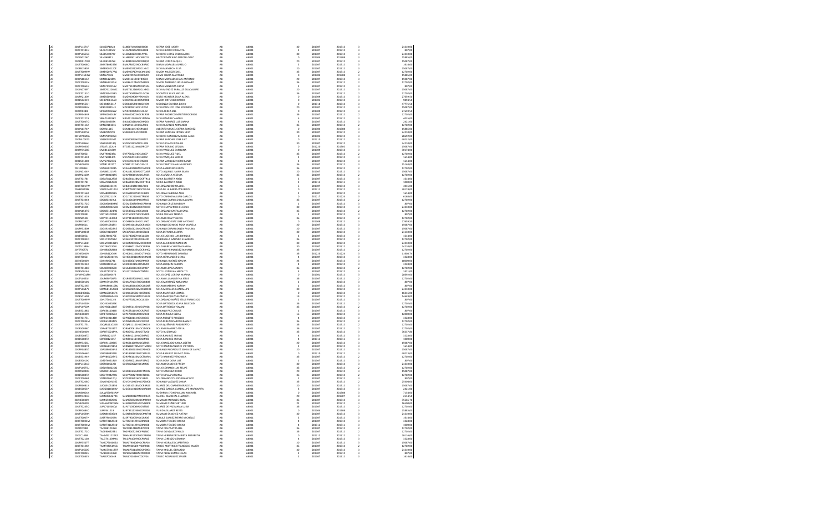| 20<br>20 | 20DTV1571F<br>20DST0183U | SIJJ860710U8<br>SILC671025RY | SUJ860710MOCRSD08                        | SIERRA JOSE JUDITH<br>SILVA LIBORIO CRISANTA               | <b>AR</b>       | AB001        | 30                                            | 201307           | 201312           |                          | 24210,00<br>807,00    |
|----------|--------------------------|------------------------------|------------------------------------------|------------------------------------------------------------|-----------------|--------------|-----------------------------------------------|------------------|------------------|--------------------------|-----------------------|
|          |                          |                              | SILC671025MOCLBR08                       |                                                            | AB              | AB001        |                                               | 201307           | 201312           |                          |                       |
| 20<br>20 | 20DTV0655G               | SILE851027KY                 | SILE851027HOCLPV06<br>SILH860811HOCMPC01 | SILVERIO LOPEZ EVER GABRIE<br>HECTOR MACARIO SIMON LOPEZ   | AB<br>AB        | AB001        | $\begin{array}{c} 30 \\ 0 \end{array}$        | 201307           | 201312           |                          | 24210,00              |
|          | 20DJN0226Z               | SILH860811                   |                                          |                                                            |                 | AB001        |                                               | 201304           | 201308           |                          | 15885,00              |
| 20       | 20DPR0179W               | SILR881022SB                 | SILR881022MOCRPQ02                       | SIERRA LOPEZ RAQUEL                                        | AB              | AB001        | 20                                            | 201307           | 201312           |                          | 15087,00              |
| $_{20}$  | 20DST0006Q               | SIMA78092556                 | SIMA780925HOCBRR00                       | SIBAJA MORALES AURELIO                                     | AB              | AB001        | $\overline{2}$                                | 201307           | 201312           |                          | 1614.00               |
| 20       | 20DPB1595F               | SIME900212CE                 | SIME900212MOCLNL01                       | SILVA MANLEON ELSA                                         | AB              | AB001        | $^{20}$                                       | 201307           | 201312           |                          | 15087,00              |
|          | 20DST0099M               | SIME920717RQ                 | SIME920717HOCMXD00                       | SIMON MU602 EDIEL                                          | AB              | <b>AR001</b> |                                               | 201307           | 201312           |                          | 12702.00              |
| 20<br>20 | 20DTV1523W               | SIMJ670926                   | SIMJ670926HOCBRM01                       | JAIME SIBAJA MARTINEZ                                      | AB              | AB001        | $\begin{array}{c} 36 \\ 0 \end{array}$        | 201304           | 201308           |                          | 15885,00              |
|          |                          |                              | SIMJ811218HDFBRS03                       |                                                            |                 | <b>AR001</b> |                                               |                  | 201312           |                          |                       |
| 2C<br>2C | 20DJN1811Z<br>20DST0033N | SIMJ811218SS<br>SIMJ8612245N |                                          | SIBAJA MORALES JESUS ANTONIO<br>SIMON MARIANO JESUS GENARO | AB<br>AB        |              | $\begin{array}{c} 20 \\ 36 \end{array}$       | 201307<br>201307 |                  |                          | 15087,00<br>12702,00  |
|          |                          |                              | SIMJ861224HOCMRS03                       |                                                            |                 | AB001        |                                               |                  | 201312           |                          |                       |
| 20<br>20 | 20DST0063H               | SIMS7110151V<br>SIMS741226MC | SIMS711015MOCBNL04<br>SIMS741226MOCLNR03 | SIBAJA MENDOZA SILVIA<br>SILVA MENDEZ SARALUZ GUADALUPE    | AB<br>AB        | <b>AR001</b> |                                               | 201307<br>201307 | 201312           |                          | 807,00<br>15087,00    |
|          |                          |                              |                                          |                                                            |                 | AB001        | $20\,$                                        |                  | 201312           |                          |                       |
| 20<br>20 | 20DST01310<br>20DPR2140Y | SIMS7604199G<br>SIM29209064I | SIMS760419HOCLGC06<br>SIMZ920906HVZXNR03 | SOCRATES SILVA MIGUEL<br>SIXTO MONTOR ZUAR ALEXIS          | AB<br>AB        | AB001        | 36                                            | 201307<br>201309 | 201312           |                          | 12702,00              |
|          |                          |                              |                                          |                                                            |                 | AB001        | $\mathbf 0$                                   |                  | 201312           |                          | 27659,50              |
|          | 20DES0231V               | SIOB790611AD                 | SIOB790611HOCMRR08                       |                                                            |                 | AB001        | $\mathfrak o$                                 | 201301           | 201312           |                          |                       |
| 20<br>20 | 20DPR0556H               | SIOD840524L7                 | SIOD840524HOCGLV09                       | SIMON ORTIZ BERNARDO<br>SIGUENZA OLIVERA DAVID             | AB<br>AB        | AB001        | $\circ$                                       | 201310           | 201312           |                          | 9894,50<br>47775,50   |
| 20       | 20DPR2044V               | SIPE910921H3                 | SIPE910921HOCLCD04                       | SILVA PACHECO JOSE EDUARDO                                 | AB              | AB001        | 20                                            | 201307           | 201312           |                          | 15087,00              |
| $_{20}$  | 20DPR0380J               | SIPJ920905GW                 | SIPJ920905MOCLRL02                       | SILVIA PEREZ JAEL                                          | AB              | AB001        | $\overline{0}$                                | 201309           | 201312           |                          | 27659.50              |
| 20       | 20DPR0464F               | SIPM6204013Y                 | SIPM620401HOCRCR08                       | SIERRA PACHECO MARTIN RODRIGO                              | AB              | AB001        | 36                                            | 201307           | 201312           |                          | 12702,00              |
| $_{20}$  | 20DST0227A               | SIRA7511036X                 | SIRA751103MOCLMN06                       | SILVA RAMIREZ ANABEL                                       | AB              | AB001        | $\overline{\phantom{a}}$                      | 201307           | 201312           | 3                        | 4035.00               |
|          |                          |                              |                                          |                                                            |                 |              |                                               |                  |                  |                          |                       |
| 20       | 20DST0047Q               | SIRL830328TX                 | SIRL830328MOCRM204                       | SIERRA RAMIREZ LUZ KARINA                                  | AB              | AB001        | 3                                             | 201307           | 201312           |                          | 2421,00               |
| $_{20}$  | 20DST01132               | SIRN6911101S                 | SIRN691110HOCLZX01                       | SILVA RUIZ NOE ARMANDO                                     | AB              | AB001        | 36                                            | 201307           | 201312           |                          | 12702.00              |
| 20       | 20DJN1374P               | SISA911115                   | SISA911115HOCRNL03                       | ALBERTO MISAEL SIERRA SANCHEZ                              | AB              | AB001        | $\mathbf 0$                                   | 201304           | 201308           |                          | 15885,00              |
| 20<br>20 | 200TV0375X               | SISI870429TU                 | SISI870429HOCRNR01                       | SIERRA SANCHEZ IRVING NEST                                 | AB              | <b>AR001</b> | 30                                            | 201307           | 201312           |                          | 24210.00              |
|          | 20FMP0020A               | SISM79093053                 |                                          | SILVERIO SANCHEZ MIGUEL ANGE                               | $\overline{AB}$ | AB001        | $\,$ 0                                        | 201301           | 201312           |                          | 28692,00              |
| 20<br>20 | 20DML00019               | SISS900823MZ                 | SISS900823HOCRNT07                       | SIERRA SANCHEZ JOSE SAIT                                   | AB<br>AB        | AB001        | $\circ$                                       | 201310           | 201312           |                          | 40232,00              |
|          | 20DTV0966J               | SISY8503213Q                 | SISY850321MOCLLR08                       | SILVA SILVA YURIDIA LIS                                    |                 | AB001        | 30                                            | 201307           | 201312           |                          |                       |
| 20       | 20DPR3030Z               | SITC871122U9                 | SITC871122MOCRRC07                       | SIERRA TORIBIO CECILIA                                     | AB<br>AB        | AB001        | $\bf{0}$                                      | 201220           | 201302           |                          | 15087,00              |
| $_{20}$  | 20DPR3568G               | SIVC811013C9                 |                                          | SILVA VASQUEZ CAROLINA                                     |                 | AB001        | $\circ$                                       | 201309           | 201312           |                          | 30174.00              |
| 20       | 20DST0062I               | SIVF7903238A                 | SIVF790323HOCLSD07                       | SILVA VASQUEZ FIDEL                                        | AB              | AB001        | 36                                            | 201307           | 201312           |                          | 12702,00              |
| $_{20}$  | 20DST0145R               | SIVS760413PS                 | SIVS760413HOCLZR02                       | SILVA VAZQUEZ SERGIO                                       | AB              | AB001        | $\overline{2}$                                | 201307           | 201312           | 3                        | 1614.00               |
| 20       | 20DES0140D               | SIVV6703233G                 | SIVV670323HOCRSC00                       | SIERRA VASQUEZ VICTORIANO                                  | AB              | AB001        | $\overline{2}$                                | 201307           | 201312           |                          | 1614,00               |
| 20       | 202NE0040V               | SIZN811122T7                 | SIZN811122HOCLRH12                       | SILVA ZARATE NAHUM ALVARO                                  | AB              | AB001        | 36                                            | 201307           | 201312           |                          | 55140.00              |
| 20       | 20FI20085E               | SOAJ6902288A                 | SOAJ690228MOCSMD08                       | SOSA AMBROSIO JUDITH                                       | AB              | AB001        | 36                                            | 201307           | 201312           |                          | 12702,00              |
|          | 2001N0104P               | SOAJ861213PS                 | SOAIR61213MOCTON07                       | SOTO AQUINO JUANA SILVIA                                   |                 | <b>AR001</b> |                                               | 201307           | 201312           |                          | 15087.00              |
| 20<br>20 |                          |                              |                                          |                                                            | AB<br>AB        |              | $\begin{array}{c} 20 \\ 36 \end{array}$       |                  |                  |                          |                       |
|          | 20DPR2410A               | SOAY880101R5                 | SOAY880101MOCLRS05                       | SOLIS ARZOLA YESENIA                                       |                 | AB001        |                                               | 201307           | 201312           |                          | 12702,00              |
| 20<br>20 | 20DST0178I               | SOBA78112838                 | SOBA781128MOCRTR11                       | SORIA BAUTISTA ARELI                                       | AB              | AB001        | $\overline{2}$                                | 201307           | 201312           |                          | 1614,00               |
|          | 20DST0178I               | SOBA78112838                 | SOBA781128MOCRTR11                       | SORIA BAUTISTA ARELI                                       | AB              | AB001        | $\overline{2}$                                | 201311           | 201311           |                          | 1000,00               |
| 20       | 20DST0017W               | SOBJ810421HK                 | SOBJ810421HOCLRL01                       | SOLORZANO BORJA JOEL                                       | AB              | AB001        | $\overline{\mathbf{S}}$                       | 201307           | 201312           |                          | 4035,00               |
| $_{20}$  | 20HBD0009S               | SOBW740217IU                 | SOBW740217HOCSRL04                       | SOSA DE LA BARRA WILFRIDO                                  | AB              | AB001        | $\circ$                                       | 201311           | 201312           |                          | 30174.00              |
| 20       | 20DST0156X               | SOCA80040765                 | SOCA800407HOCLBB07                       | SOLORZA CABRERA ABEL                                       | AB              | AB001        |                                               | 201307           | 201312           |                          | 1614,00               |
| $_{20}$  | 20DES0142B               | SOCJ751211EX                 | SOCJ751211HOCTRN06                       | SOTO CARMONA JUAN CARLOS                                   | AB              | AB001        | $\circ$                                       | 201217           | 201224           |                          | 6168.00               |
| 20       | 20DST0104R               | SOCL801019L1                 | SOCL801019MOCRRL03                       | SORIANO CARRILLO LILIA LAURA                               | AB              | AB001        | 36                                            | 201307           | 201312           |                          | 12702,00              |
| $_{20}$  | 20DST0172Q               | SOCM600809AE                 | SOCM600809MOCRRN04                       | SORIANO CRUZ MINERVA                                       | AB              | AB001        | $\overline{1}$                                | 201307           | 201312           |                          | 807.00                |
| 20       | 20DTV0100                | SOCM850426CB                 | SOCM850426HOCTHC09                       | SOTO CHAVEZ MICHEL EDUA                                    | AB              | AB001        | 30                                            | 201307           | 201312           |                          | 24210,00              |
|          | 20DJN1547Q               | SOCS831024PO                 | SOCS831024HOCLSL00                       |                                                            |                 | <b>AR001</b> |                                               | 201307           | 201312           |                          | 12702.00              |
| 2C<br>2C | 20DST0038                | SOCT6910073D                 | SOCT691007HOCRVR00                       | SOLORZANO CASTILLO SAUL<br>SORIA CUEVAS TERESO             | AB<br>AB        | AB001        | $\begin{array}{c} 36 \\ 1 \end{array}$        | 201307           | 201312           |                          | 807,00                |
|          |                          |                              |                                          |                                                            |                 | <b>AR001</b> |                                               |                  |                  |                          |                       |
| 20<br>20 | 20DJN0530J<br>20DPR1597O | SOCY911130G9<br>SODA800613LB | SOCY911130MOCLRS07<br>SODA800613HOCLSN07 | SOLANO CRUZ YESENIA<br>SOLORZANO DIAZ JOSE ANTONIO         | AB<br>AB        |              | $\begin{array}{c} 36 \\ 0 \end{array}$        | 201307           | 201312<br>201312 |                          | 12702,00<br>27659,50  |
|          |                          |                              |                                          |                                                            |                 | AB001        |                                               | 201309           |                  |                          |                       |
| 20       | 20DPB0611J               | SODR91081851                 | SODR910818MOCRNS04                       | SORIANO DIONICIO ROSA MARIELA                              | AB              | AB001        | $_{\rm 20}$                                   | 201307           | 201312           |                          | 15087,00              |
| $_{20}$  | 20DPR3260F               | SODS910622AE                 | SODS910622MOCRRN03                       | SORIANO DURAN SANDY PAULINA                                | AB              | AB001        | 20                                            | 201307           | 201312           |                          | 15087.00              |
| 20       | 20DTV0024T               | SOEG701014RP                 | SAEG701014MOCSSL01                       | SOSA ESTRADA GLORIA                                        | AB              | AB003        | 30                                            | 201307           | 201312           |                          | 23130,00              |
| $_{20}$  | 20DES0052J               | SOEL7802276E                 | SOEL780227HOCLGS08                       | SOLIS EUGENIO LUIS ENRIQUE                                 | AB              | AB001        | $\overline{2}$                                | 201307           | 201312           |                          | 1614.00               |
| 20       | 20DST0032O               | SOGE730702LZ                 | SOGE730702HOCBLL00                       | SOBREVILLA GALINDO ELIZABETH                               | AB              | AB001        | 36                                            | 201307           | 201312           |                          | 12702,00              |
|          | 200TV16181               | SOGM780102EY                 | SOGM780102MOCSRR02                       | SOSA GUERRERO MARILYN                                      | AB              | <b>AR001</b> |                                               | 201307           | 201312           |                          | 24210.00              |
| 20<br>20 | 20DTV1586H               | SOGY860210GI                 | SOGY860210MOCLRR06                       | SOLIS GARCIA YARITZA NABILA                                | AB              | AB001        | 30<br>30                                      | 201307           | 201312           |                          | 24210,00              |
|          |                          |                              | SOHRRROR26MOCRRHO2                       | SORIANO HERNANDEZ BIAHANY                                  |                 | <b>AR001</b> |                                               | 201307           | 201312           |                          | 12702.00              |
| 2C<br>2C | 20F2F0057L<br>20ZNE0040V | SOHB880826B4<br>SOHD841204HI | SOHD841204MOCTRN08                       | SOTO HERNANDEZ DANIELA                                     | AB<br>AB        | AB001        | 36<br>36                                      | 201223           | 201224           |                          | 11608,74              |
|          |                          |                              |                                          |                                                            |                 | <b>AR001</b> | $\overline{a}$                                |                  |                  |                          |                       |
| 20<br>20 | 20DST00621<br>20ZNE0040V | SOHG620411VA<br>SOJI49061731 | SOHG620411MOCSRM02<br>SOJI490617MOCRMS09 | SOSA HERNANDEZ GEMA<br>SORIANO JIMENEZ ISAURA              | AB<br>AB        | AB001        | $2\bar{3}$                                    | 201307<br>201307 | 201312<br>201312 |                          | $3228,00$<br>18000,00 |
|          |                          |                              | SOJR831015HOCSRM05                       |                                                            |                 | AB001        |                                               |                  |                  |                          | 3228.00               |
| 20<br>20 | 20DST0234K               | SOJR83101568<br>SOLA8503063K | SOLA850306HOCLPR07                       | SOSA JARQUIN RAMON<br>SOLANO LOPEZ AARON                   | AB<br>AB        |              | $\begin{array}{c} 4 \\ 36 \end{array}$        | 201307<br>201307 | 201312           |                          |                       |
|          | 20DST01480               |                              |                                          |                                                            |                 | AB001        |                                               |                  | 201312           |                          | 12702,00              |
| 20<br>20 | 20DES0014G               | SOLJ771025TG<br>SOLL651004F3 | SOLJ771025HCCTNN03                       | SOTO LEON JUAN HIPOLITO                                    | AB<br>AB        | AB001        |                                               | 201307           | 201312           |                          | 2421,00               |
|          | 20FMP0018M               |                              |                                          | SOLIS LOPEZ LORENA MARINA                                  |                 | AB001        | $\circ$                                       | 201301           | 201312           |                          | 28692,00              |
| 20       | 20DTV0553J               | SOLR690708F3                 | SOLR690708MOCLJN04                       | SOLANO LUJAN REYNA JESUS                                   | AB<br>AB        | AB001        | 36                                            | 201307           | 201312           |                          | 12702,00              |
| $_{20}$  | 20DES0010K               | SOMA791017PD                 | SOMA791017HOCLRB08                       | SOLIS MARTINEZ ABRAHAM                                     |                 | AB001        | $\mathbf{1}$                                  | 201307           | 201312           |                          | 807.00                |
| 20       | 20DST0229Z               | SOMA8604108U                 | SOMA860410HOCLRD08                       | SOLANO MERINO ADRIAN                                       | AB              | AB001        |                                               | 201307           | 201312           |                          | 807,00                |
| $_{20}$  | 20DTV0647Y               | SOMG810526K8                 | SOMG810526MOCLRD08                       | SOLIS MORALES GUADALUPE                                    | AB              | AB001        | 30                                            | 201307           | 201312           | 3                        | 24210.00              |
| 20       | 20AGD0002A               | SOML660506FX                 | SOML660506HOCSRN06                       | SOSA MARTINEZ LEONEL                                       | AB              | AB001        | $\,$ 0 $\,$                                   | 201307           | 201312           |                          | 16216,00              |
| 20       | 20DES0160R               | SOMS820604GX                 | SOMS820604MOCSRL03                       | SOSA MARQUEZ SALOMON                                       | AB              | AB001        | 19                                            | 201307           | 201312           |                          | 14649.00              |
| 20       | 20DST0099W               | SONJ770212JX                 | SONJ770212HOCLXS00                       | SOLORZANO NUÑEZ JESUS FRANCISCO                            | AB              | AB001        |                                               | 201307           | 201312           |                          | 807,00                |
|          | 20DTV0228N               | SOOJ9105024K                 |                                          | SOSA ORTIGOZA JOANA SOLEDAD<br>SOSA ORTIGOZA YOVANI        |                 | AB001        |                                               |                  | 201312           |                          | 12702,00              |
| 20<br>20 | 20DTV0702A               | SOOY8511268T                 | SOOY851126HOCSRV08                       |                                                            | AB<br>AB        | AB001        | $\frac{36}{36}$                               | 201307<br>201307 | 201312           |                          | 12702,00              |
|          |                          |                              |                                          | SORIANO PAZ CARLOS                                         |                 | AB001        |                                               |                  |                  |                          |                       |
| 20<br>20 | 20DES0188X<br>20ZNE0040V | SOPC6811046K<br>SOPE730306B4 | SOPC681104HOCRZR05<br>SOPE730306MOCSRL00 | SOSA PERALTA ELENA                                         | AB<br>AB        | AB001        | $\begin{smallmatrix} 1\\16 \end{smallmatrix}$ | 201307<br>201307 | 201312<br>201312 |                          | 807,00<br>12000,00    |
|          |                          |                              |                                          |                                                            |                 |              |                                               |                  |                  |                          |                       |
| 20       | 20DST0175L               | SOPR610114BR<br>SOPR610404AV | SOPR610114HOCSBG03                       | SOSA POBLETE ROGELIO                                       | AB<br>AB        | AB001        |                                               | 201307           | 201312           |                          | 3228,00               |
| $_{20}$  | 20DST0034M               |                              | SOPR610404HOCSRC04                       | SOSA PEREZ RICARDO ERASMO                                  |                 | AB001        | 36                                            | 201307           | 201312           |                          | 12702.00              |
| 20       | 20DST0175L               | SOQR811101D6                 | SOQR811101HOCSXG10                       | SOSA QUIÑONES RIGOBERTO                                    | AB              | AB001        | 36                                            | 201307           | 201312           |                          | 12702,00              |
| $_{20}$  | 20DES00862               | SORA8706135T                 | SORA870613MOCLMS06                       | SOLANO RAMIREZ ASELA                                       | AB              | AB001        | 36                                            | 201307           | 201312           | $\overline{2}$           | 12702.00              |
| 20       | 202NE0040V               | SORD750218VA                 | SORD750218HOCTZV00                       | SOTO RUIZ DAVID                                            | AB              | AB001        | 36                                            | 201307           | 201312           |                          | 76237,80              |
| 20       | 20DES00872               | SORI8012115F                 | SORI801211HOCSMR00                       | SOSA RAMIREZ IRVING                                        | AB              | AB001        | $\overline{4}$                                | 201307           | 201312           |                          | 3228.00               |
| 20       | 20DES00872               | SORI8012115F                 | SORI801211HOCSMR00                       | SOSA RAMIREZ IRVING                                        | AB              | AB001        |                                               | 201311           | 201311           |                          | 1000,00               |
| 20<br>20 | 200PR3266L               | SORK91100965                 | SORK911009MOCLSR05                       | SOLIS RASGADO KARLA LIZETH                                 | AB              | <b>AR001</b> | 20                                            | 201307           | 201312           |                          | 15087.00              |
|          | 20DST0087R               | SORN68072852                 | SORN680728MOCTMN03                       | SOTO RAMIREZ NANCY VICTORIA                                | AB              | AB001        | $\overline{2}$                                | 201307           | 201312           |                          | 1614,00               |
| 20<br>20 | 20DPR08852               | SORS890403N3<br>SORS89080228 | SORS890403MOCRDN06                       | SORIANO RODRIGUEZ SONIA DE LA PAZ                          | AB              | AB001        | 20                                            | 201307           | 201312           |                          | 15087,00              |
|          | 20DJN1666D               |                              | SORS890802MOCSML06                       | SOSA RAMIREZ SULIVET ALBA                                  | AB              | AB001        | $\circ$                                       | 201310           | 201312           |                          | 40223,00              |
| 20       | 20DES0194H               | SORV861023VC                 | SORV861023MOCTMR01                       | SOTO RAMIREZ VERONICA                                      | AB              | AB001        | 36                                            | 201307           | 201312           | $\overline{ }$           | 12702,00              |
| $_{20}$  | 20DES0010K               | SOSD760218L9                 | SOSD760218MDFSSR02                       | SOSA SOSA DORA LUZ                                         | AB              | AB001        | $\overline{1}$                                | 201307           | 201312           |                          | 807.00                |
| 20       | 20DTV1631D               | SOSF8606229J                 | SOSF860622HOCLNR06                       | SOLANO SANCHEZ FREDY                                       | AB              | AB001        | 30                                            | 201307           | 201312           |                          | 24210,00              |
| $_{20}$  | 20DTV0675U               | SOSL930822DQ                 |                                          | SOLIS SORIANO LUIS FELIPE                                  | AB              | AB001        | 36                                            | 201307           | 201312           | $\overline{2}$           | 12702.00              |
| 20       | 20DPR2090G               | SOSR8510267A                 | SOSR851026MOCTNC05                       | SOTO SANCHEZ ROCIO                                         | AB              | AB001        | 20                                            | 201307           | 201312           |                          | 15087,00              |
| 20       | 20DES00872               | SOSV790427KU                 | SOSV790427MOCTLR06                       | SOTO SILVAS VIRGINIA                                       | AB              | AB001        | 36                                            | 201307           | 201312           | $\overline{\phantom{a}}$ | 12702.00              |
| 20       | 20DST0046R               | SOTF810612QJ                 | SOTF810612HOCLLR03                       | SOLORZANO TOLEDO FRANCISCO                                 | AB              | AB001        |                                               | 201307           |                  |                          | 807,00                |
|          | 20DST0206Q               | SOVO9109136Z                 | SOVO910913HOCRZM08                       | SORIANO VAZOUEZ OMAR                                       | AB              | <b>AR001</b> | 36                                            | 201307           | 201312<br>201312 |                          | 25404.00              |
| 20<br>20 |                          |                              |                                          |                                                            |                 |              |                                               |                  |                  |                          |                       |
|          | 20DPB0061X               | SUCG91051856                 | SUCG910518MOCRRR04                       | SUAREZ DEL CARMEN GRACIELA                                 | AB              | AB001        | $\overline{20}$                               | 201307           | 201312           |                          | 15087,00              |
| 20<br>20 | 20DES0063P               | SUGG8110169V                 | SUGG811016MOCRRD00                       | SUAREZ GARCIA GUADALUPE MARGARITA                          | AB              | AB001        | $\overline{3}$                                | 201307           | 201312           |                          | 2421,00               |
|          | 20DNS0001K               | SULWS90903PW                 |                                          | SUGHRUA LYONS WILIAM MICHAEL                               | AB              | AB001        | $\circ$                                       | 201307           | 201308           |                          | 7134,00               |
| 20       | 20DPR4244G               | SUME89042794                 | SUME890427MOCRRL05                       | SUARE< MARISCAL ELIZABETH                                  | AB              | AB001        | $_{\rm 20}$                                   | 201307           | 201307           |                          | 2514,50               |
| $_{20}$  | 202NE0040V               | SUMI6509204G                 | SUMI650920MOCMRR02                       | SUMANO MORALES IRMA                                        | AB              | AB001        | 36                                            | 201307           | 201312           |                          | 35666.70              |
| 20       | 202NE0040V               | SUNA600901HM                 | SUNA600901HOCMXR08                       | SUMANO NUÑEZ ARTURO                                        | AB              | AB001        | $\overline{21}$                               | 201307           | 201312           |                          | 16500,00              |
| $_{20}$  | 20DST0245Q               | SUPL710506QA                 | SUPL710506MOCRZS06                       | SUAREZ DE PAZ MARIA LUISA                                  | AB              | AB001        | 36                                            | 201307           | 201312           | $\overline{2}$           | 12702.00              |
| 20       | 20DPR2664C               | SURY941219                   | SURY941219MOCRYR08                       | YURIDIA SUAREZ REYES                                       | AB              | AB001        | $\overline{0}$                                | 201304           | 201308           |                          | 15885,00              |
| 20       | 20DTV0590N               | <b>SUSN840506UK</b>          | SUSN840506MOCMNT04                       | SUMANO SANCHEZ NATALY                                      | AB              | AB001        | 30                                            | 201307           | 201312           |                          | 24210.00              |
| 20       | 20DST0007P               | SUSP790205BA                 | SUSP790205HOCCRR06                       | SCHULZ SUAREZ PIERRE MICHELLE                              | AB              | AB001        |                                               | 201307           | 201312           |                          | 1614,00               |
|          | 20DST0034M               |                              | SUTO731129HVZMLS08                       | SUMOZA TOLEDO OSCAR                                        |                 | <b>AR001</b> |                                               | 201307           | 201312           |                          | 3228.00               |
| 2C<br>2C | 20DST0034M               | SUTO7311294D<br>SUTO7311294D | SUTO731129HVZMLS08                       | SUMOZA TOLEDO OSCAR                                        | AB<br>AB        | AB001        | $\begin{array}{c} 4 \\ 4 \end{array}$         | 201311           | 201311           |                          | 1000,00               |
|          |                          |                              |                                          |                                                            |                 | <b>AR001</b> |                                               |                  |                  |                          |                       |
| 2C<br>2C | 20DPR1998J<br>20DST0172O | TACS8812185U<br>TAGP800525B1 | TACS881218MGRPRY08<br>TAGP800525HDFPNB00 | TAPIA CRUZ SAYRA IRIS<br>TAPIA GONZALEZ PABLO              | AB<br>AB        |              | 36<br>36                                      | 201307           | 201312           |                          | 12702,00<br>12702,00  |
|          |                          |                              |                                          |                                                            |                 | AB001        |                                               | 201307           | 201312           |                          |                       |
| 20<br>20 | 20DCC1498                | TAHM931220R2<br>TALG741009MU | TAHM931220MOCPRR00                       | TAPIA HERNANDEZ MIREYA ELIZABETH<br>TAPIA LORENZO GERMAN   | AB<br>AB        | <b>AR001</b> | $\circ$                                       | 201312<br>201307 | 201312           |                          | 20116,00              |
|          | 20DST0210A               |                              | TALG741009HOCPRR02                       |                                                            |                 | AB001        | $\overline{4}$                                |                  | 201312           |                          | 3228.00               |
| 20<br>20 | 20DPR3507T               | TAMC7904065U<br>TAMF9205195G | TAMC790406HOCPRP02                       | TAPIA MORALES CUPERTINO<br>TAPIA MORALES CUPERTINO         | AB              | AB001        | 20                                            | 201307           | 201312           |                          | 15087,00              |
|          |                          |                              | TAMF920519HVZDRR08                       |                                                            | AB              | AB001        | 36                                            | 201307           | 201312           | $\overline{2}$           | 12702,00              |
|          | 20DTV0502C               | TAMG75011897                 | TAMG750118HOCPGR01                       | TAPIA MIGUEL GERARDO                                       | AB              | AB001        | 30                                            | 201307           | 201312           |                          | 24210,00              |
| $_{20}$  | 20DST0004S               | TAPE8501186D                 | TAPE850118MVZPRM00                       | TAPIA PEREZ EMMA EGLAE                                     | AB              | AB001        | $\mathbf{1}$                                  | 201307           | 201312           |                          | 807.00                |
|          | 20DST0083V               | TARJ6703044R                 | TARJ670304HVZDDV04                       | TADEO RODRIGUEZ JAVIER                                     |                 | AB001        | $\overline{2}$                                | 201307           | 201312           |                          | 1614,00               |
|          |                          |                              |                                          |                                                            |                 |              |                                               |                  |                  |                          |                       |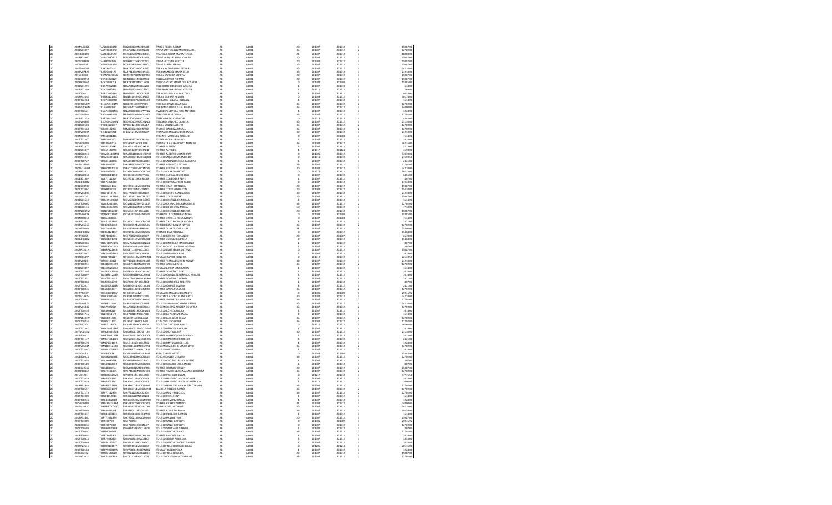| 20<br>20                  | 20DML0032<br>20DES0105Y  | TARZRROMO4AD<br>TASA760423PU        | <b>TAR7880404MV7DYL02</b><br>TASA760423HOCPNL01 | TADEO REYES ZUILMA<br>TAPIA SANTOS ALEJANDRO DANIEL              | <b>AR</b><br>AB      | AB001<br>AB001        | $\begin{array}{c} 20 \\ 36 \end{array}$ | 201307<br>201307 | 201312<br>201312 |                          | 15087,00<br>12702,00 |
|---------------------------|--------------------------|-------------------------------------|-------------------------------------------------|------------------------------------------------------------------|----------------------|-----------------------|-----------------------------------------|------------------|------------------|--------------------------|----------------------|
|                           | 202NE0040V               |                                     | TAST630605MOCRBR01                              | TRAPAGA SIBAJA MARIA TERESA                                      |                      | AR001                 |                                         | 201307           | 201312           |                          | 18000,00             |
| 20<br>20                  | 20DPR1336C               | TAST630605AH<br>TAVE870904G2        | TAVE870904HOCPSN02                              | TAPIA VASQUEZ ENLIL JOVANY                                       | $\mathsf{AB}$<br>AB  | AB001                 | $\begin{array}{c} 23 \\ 20 \end{array}$ | 201307           | 201312           |                          | 15087,00             |
| 20                        | 20DCC0970                | TAVH880225IS                        | TAVH880225HOCPCC03                              | TAPIA VICTORIA HECTOR                                            | AB                   | AB001                 | 20                                      | 201307           | 201312           |                          | 15087,00             |
| 20                        | 20TAI0141R               | TAZA9003147U                        | TAZA900314MOCPRL01                              | TAPIA ZURITA ALBINA                                              | AB                   | AB001                 | 20                                      | 201307           | 201312           | $\overline{\mathbf{3}}$  | 15087.00             |
| 20                        | 20DTV0503                | TEAE780701JF                        | TEAE780701MOCRLS00                              | TERAN ALTAMIRANO ESTHER                                          | AB                   | AB003                 | 30                                      | 201307           | 201312           |                          | 24210,00             |
| 20                        | 20DTV0742B               | TEAF79103177                        | TEAF791031MOCRNL03                              | TERRON ANGEL MARIA FELIX                                         | AB                   | AB001                 |                                         | 201307           | 201312           |                          | 24210.00             |
| 20                        | 20FSE0010                | <b>TECM700708N6</b>                 | TECM700708MOCRRR04                              | TERAN CARRERA MIREYA                                             | AB                   | AB001                 | $\begin{array}{c} 30 \\ 20 \end{array}$ | 201307           | 201312           |                          | 15087,00             |
| 20<br>20                  | 20DCC00712               | <b>TFCN83053129</b>                 | TECN830531MOCIRR06                              | TEIEDA CORTES NORMA                                              | AB<br>AB             | <b>AR001</b>          | $\begin{array}{c} 20 \\ 0 \end{array}$  | 201307           | 201312           |                          | 15087.00             |
|                           | 20DPR1956                | TECR790317L3                        | TECR790317MOCLSS08                              | TELLO CASTRO MARIA DEL ROSARIO                                   |                      | AB001                 |                                         | 201304           | 201308           |                          | 15885,00             |
| $_{20}$                   | 20DES0129                | TEDA7905281K<br>TEDA790528IK        | TEDA790528MOCLS200                              | TELESFORO DESIDERIO AZELITA<br>TELESFORO DESIDERIO AZELITA       | AB                   | AB001                 |                                         | 201307           | 201310           |                          | 538,00<br>269,00     |
| $\frac{1}{20}$            | 20DES0129H               |                                     | TEDA790528MOCLS200                              |                                                                  | $\overline{AB}$      | AB001                 |                                         | 201311           | 201312           |                          |                      |
| 20                        | 20DST0021                | TEGB77042289<br>TEGN851019BZ        | <b>TEGB770422HOCRLR09</b>                       | TERRONES GALICIA BARTOLO<br>TERAN GUERRA NELSON                  | AB<br>AB             | <b>AR001</b>          |                                         | 201307           | 201312           |                          | 4035.00              |
| 20                        |                          |                                     | TEGN851019HOCRRL03                              |                                                                  |                      | AB001                 | $\circ$                                 | 201309           | 201312           |                          | 30174,00             |
| 20<br>20                  | 20DST0226B               | TEHH740907TD<br>TELE870510QM        | TEHH740907MOCRBL03                              | TERRAZAS HABANA HILDA LIZ<br>TEPEPA LOPEZ EDGAR IVAN             | AB                   | AB001                 | $\overline{36}$                         | 201307           | 201312           |                          | 1614,00<br>12702,00  |
| 20                        | 20DST0058W               |                                     | TELE870510HVZPPD09<br>TELJ660422MOCRPL07        |                                                                  | AB                   | AB001<br>AB003        |                                         | 201307           | 201312           |                          | 54000,00             |
| 20                        | 20ADG0065M<br>20DST0062I | TELJ6604229V<br><b>TENA740803NG</b> | TENA740803HOCWYN02                              | TERRONES LOPEZ JULIA RUFINA<br>TWEEDDY NOYOLA JOSE ANTONIO       | AB<br>AB             | AB001                 | 36<br>$\overline{4}$                    | 201307<br>201307 | 201312<br>201312 |                          | 3228,00              |
| 20                        | 20FIZ0029M               | TERD8409209U                        | TERD840920MMCPSN09                              | TEPOZAN RIOS DIANA                                               | AB                   | AB001                 | 36                                      | 201307           | 201312           |                          | 12702,00             |
| 20                        | 20DES0123N               | TERR760104K7                        | TERR760104MOCJSS00                              | TEJEDA DE LA ROSA ROSA                                           | AB                   | AB001                 | $\circ$                                 | 201312           | 201312           |                          | 4883.00              |
| 20                        | 20DTV05302               | TESD900103MM                        | TESD900103MOCNNN00                              | TENORIO SANCHEZ DANIELA                                          | AB                   | AB001                 | $\overline{30}$                         | 201307           | 201312           |                          | 23130,00             |
| 20                        | 20DES0010H               | TEV083121917                        | TEVO831219HOCRLL17                              | TERAN VALENCIA OLITH                                             | AB                   | AB001                 | 36                                      | 201307           | 201312           |                          | 12702.00             |
| 20                        | 20DST0156X               | TIBM851022E3                        | TIBM851022HOCNR504                              | TINOCO BARBOZA MISAEL                                            | AB                   | AB001                 | $\frac{36}{30}$                         | 201307           | 201312           |                          | 12702,00             |
| 20                        | 20DTV0999/               | TIHE821219N4                        | TIHE821219MOCRRS07                              | TRIANA HERNÁNDEZ ESPERANZA                                       | AB                   | AB001                 |                                         | 201307           | 201312           | $\overline{\mathbf{a}}$  | 24210.00             |
| 20                        | 20DNS0001K               | TIMA68021416                        |                                                 | TRIUNFO MARQUEZ AURELIO                                          | AB                   | AB001                 | $\mathbf{0}$                            | 201307           | 201308           |                          | 7134,00              |
| $\overline{20}$           | 20DST01841               | TIMPR30607D2                        | <b>TIMPR30607HOC2RL04</b>                       | TIZAPA MORALES PALILO                                            | <b>AR</b>            | AB001                 | $\overline{z}$                          | 201307           | 201312           |                          | 1614.00              |
| 20                        | 20ZNE0040\               | TITF580612QH                        | TITF580612HOCRJR08                              | TRIANA TEJAS FRANCISCO MANUEL                                    | AB                   | AB001                 | 36                                      | 201307           | 201312           |                          | 46236,00             |
| 20<br>20                  | 20DES0187                | TOAL651207KX<br>TOAL651207KX        | TOXA651207HOCRXL11                              | TORRES ALFREDO<br>TORRES ALFREDO                                 | AB                   | AB003                 |                                         | 201307           | 201312           |                          | 3228,00              |
|                           | 20DES0187Y               |                                     | TOXA651207HOCRXL11<br>TOAM851108MOCRLN07        |                                                                  | AB                   | AB001<br>AB003        | $\overline{4}$                          | 201117           | 201124<br>201312 |                          | 3598,00              |
| 20<br>20                  | 20DES0021Q<br>20DPR3194  | TOAM851108ME<br>TOAM940711G6        | TOAM940711MOCLOR01                              | TORRES ALBERTO MONSERRAT<br>TOLEDO AQUINO MARA DILERY            | AB<br>AB             | AB001                 | $^{\circ}$                              | 201301<br>201311 | 201312           |                          | 53970,00<br>27659.50 |
| 20                        | 20DST0072F               | TOAS8411024B                        | TOAS841102MOCLLH02                              | TOLEDO ALONSO SHEILA CARMINA                                     | AB                   | AB001                 |                                         | 201307           | 201312           |                          | 2421,00              |
| 20                        | 20DTV1666                | TOBF8801242T                        | TOBF880124MOCRTT08                              | TORRES BETANZOS FATIMA                                           | AB                   | AB001                 | 36                                      | 201307           | 201312           |                          | 12702.00             |
| 20                        | 20DTV1598M               | TOBG771012FW                        | T0BG771012HOCRND06                              | TORRES BENITEZ GUADALUPE                                         | AB                   | AB001                 | 30                                      | 201307           | 201312           |                          | 24210,00             |
| 20                        | 20DPR3252I               | TOCB79090651                        | TOCB790906MOCLBT08                              | TOLEDO CABRERA BETHY                                             | AB                   | AB001                 | $\circ$                                 | 201310           | 201312           | $\overline{\mathbf{a}}$  | 40223.00             |
| 20                        | 20DES0003A               | TOCD830818SD                        | TOCD830818HPLRVG07                              | TORRES CUEVAS JOSE DIEGO                                         | AB                   | AB001                 |                                         | 201307           | 201312           |                          | 6456,00              |
| 20                        | 20DES0138F               | TOCE771112CF                        | TOCE771112HCCRBD08                              | TORRES COB EDGAR RENE                                            | AB                   | AB001                 | $\overline{1}$                          | 201307           | 201312           |                          | 807.00               |
| 20                        | 20AGD00042               | TOCF740519QF                        |                                                 | TOLEDO CONSTANTINO FABIO                                         | AB                   | AB001                 |                                         | 201307           | 201312           |                          | 17338,00             |
| $_{20}$                   | 20DCC04780               | <b>TOCHSS0111KI</b>                 | TOCH850111MOCRRR02                              | TORRES CRUZ HORTENSIA                                            | AB                   | <b>AR001</b>          | $\frac{20}{20}$                         | 201307           | 201312           |                          | 15087.00             |
| 20                        | 20DST0206Q               | TOCI8812028X                        | TOCI881202MOCRRT00                              | <b>TORRES CORTES ITAYETZIN</b>                                   | AB                   | AB001                 |                                         | 201307           | 201312           |                          | 15420,00             |
| $_{20}$                   | 20DTV0539Q               | TOCJ7701017B                        | TOCJ770101HOCLTN02                              | TOLEDO CUETO JUAN GABRIE                                         | AB                   | AB001                 | $\begin{array}{c} 30 \\ 20 \end{array}$ | 201307           | 201312           |                          | 24210,00             |
| 20                        | 20DIN0474S               | TOCL9211173M                        | TOCL921117MOCRR207                              | <b>TORRES CORTES LIZBET</b>                                      | AB                   | AB001                 |                                         | 201307           | 201312           |                          | 15087,00             |
| 20                        | 20DES0163O               | TOCM691005Q5                        | TOCM691005MOCLSR07                              | TOLEDO CASTILLEJOS MIRIAM                                        | AB                   | AB001                 | $\,$ 2                                  | 201307           | 201312           |                          | 1614,00              |
| 20<br>20                  | 20DST0060H               | <b>TOCM820425JK</b><br>TOCM830628K5 | TOCM820425MVZLUL0A<br>TOCM830628MOCLRR00        | TOLEDO CAVANZ MILAGROS DE JE                                     | AB<br>AB             | AB001                 | 36                                      | 201307           | 201312           |                          | 12702.00             |
| 20                        | 20DEE0011G<br>20DJN0049M | TOCN761127QF                        | TOCN761127HOCLSS05                              | TOLEDO DE LA CRUZ MIRNA<br>TOLEDO CASTILLEJOS NESTOR             | AB                   | AB001<br>AB001        | $10$<br>20                              | 201307<br>201307 | 201312<br>201312 |                          | 7710,00<br>15087.00  |
| 20                        | 20DTV0672X               | TOCN830219N1                        | TOCN830219MVZRRN02                              | TORRECILLA CONTRERAS NORA                                        | AB                   | AB003                 |                                         | 201304           | 201308           |                          | 15885,00             |
| 20                        | 20DNS0001K               | TOCR6408083L                        |                                                 | TORRES CASTILLO ROSA IVONNE                                      | AB                   | AB001                 | $\circ$                                 | 201307           | 201308           |                          | 7134.00              |
| 20                        | 20DES0168J               | TOCR720228GF                        | TOCR720228MOCRRC04                              | TORRES CRUZ ROCIO FRANCISCA                                      | AB                   | AB001                 |                                         | 201307           | 201312           |                          | 2421,00              |
| 20                        | 20220071005              | TODR9005245R                        | TODB900524MOCR2L05                              | TORIBIO DIAZ BLANCA NAYELL                                       | AR                   | AB001                 | 36                                      | 201307           | 201312           | $\overline{z}$           | 12702.00             |
| 20                        | 20ZNE0040V               | TODJ74031954                        | TODJ740319HDFRRL06                              | TORRES DUARTE JOSE JULIO                                         | AB                   | AB001                 | $\overline{33}$                         | 201307           | 201312           |                          | 25800,00             |
| $_{20}$                   | 20AGD00032               | TODR6912185T                        | TODR691218MOCRZS06                              | TRONCO DIAZ ROSALBA                                              | AB                   | <b>AR001</b>          | $\Omega$                                | 201307           | 201312           |                          | 15468.00             |
| 20                        | 20FZF0005F               | TOEF780829D1                        | TOEF780829HOCLSR07                              | TOLEDO ESTEVA FERNANDO                                           | AB                   | AB001                 | 20                                      | 201307           | 201307           |                          | 2570,00              |
| 20                        | 20AGD0003Z               | TOEG84011794                        | TOEG840117MOCRSB01                              | TORRES ESTEVEZ GABRIELA                                          | AB                   | AB001                 | $\mathbf 0$                             | 201307           | 201312           |                          | 15468.00             |
| 20                        | 20DES00369               | TOEM760728K5                        | TOEM760728HOCLNG08                              | TOLEDO ENRIQUEZ MAGDALENO                                        | AB                   | AB001                 | $\mathbf{1}$                            | 201307           | 201312           |                          | 807.00               |
| 20                        | 20DES00862               | TOEN790402PD                        | TOEN790402MMCSSN07                              | TOSCANO ESCUEN NANCY OFELIA                                      | AB                   | AB001                 |                                         | 201307           | 201312           |                          | 807,00               |
| 20                        | 20DPR1301N               | TOEO871226C8                        | TOE0871226HOCLCC03                              | TOLEDO ECHEVERRIA OCTAVIO                                        | AB                   | AB001                 | $^{\circ}$                              | 201307           | 201312           |                          | 15087.00             |
| 20                        | 20DES0204Y               | TOFC740925M1                        | TOFC740925HOCLBR05                              | TOLEDO FABIAN CARLOS                                             | AB                   | AB00                  |                                         | 201307           | 201312           |                          | 1614,00              |
| 20                        | 20DPB0639R               | <b>TOFH870412ET</b>                 | TOFH870412MOCMRN01                              | TOMAS FRANCO HONORIA                                             | AB                   | AB001                 | $\circ$                                 | 201312           | 201312           |                          | 22630.50             |
|                           | 20DTV0910H               | TOFY8310042E                        | TOFY831004MOCRRN07                              | TORRES FERNANDEZ YENI ASANTH                                     | AB                   | AB001                 | $\overline{\mathbf{3}}$                 | 201307           | 201312           |                          | 24210,00             |
| $\overline{20}$           | 2005T0025E               | TOGD8710132R                        | TOGD871013MV7RRF09                              | TORRES GARCIA DAENE                                              | AR                   | <b>AR001</b>          | $\begin{array}{c} 36 \\ 2 \end{array}$  | 201307           | 201312           | $\overline{\phantom{a}}$ | 12702.00             |
| 20                        | 20DES0105Y               | TOGE820202RU                        | TOGE820202MOCMRS09<br>TOGER30425HOCRND00        | TOMAS GARCIA ESMERALDA<br>TORRES GONZÁLEZ FIDEL                  | AB<br>A <sub>R</sub> | AB001<br>AB001        |                                         | 201307<br>201307 | 201312<br>201312 |                          | 1614,00<br>1614.00   |
| $_{20}$<br>$\frac{1}{20}$ | 20DST0238G<br>20DST0089F | TOGF8304259W<br>TOGG68012889        | TOGG680128HOCLNR04                              | TOLEDO GONZALEZ GERARDO MIGUEL                                   | AB                   | AB001                 |                                         | 201307           | 201312           |                          | 1614,00              |
|                           | 20DST0235J               |                                     |                                                 |                                                                  | AB                   | <b>AR001</b>          |                                         | 201307           | 201312           |                          | 2421,00              |
| 20<br>20                  | 20DST0036K               | TOGN770208JX<br>TOGR90012799        | TOGN770208MOCRNR02<br>TOGR900127HOCLTB08        | TORRES GONZALEZ NORMA<br>TOLEDO GUTIERREZ ROBERTO                | $\overline{AB}$      | AB001                 |                                         | 201307           | 201312           |                          | 807,00               |
| 20                        |                          |                                     |                                                 |                                                                  |                      | AB001                 |                                         | 201307           | 201312           |                          |                      |
| 20                        | 20DST0201T<br>20DST0004S | TOGS650911Q8<br>TOGS8804307T        | TOGS650911HOCLML08<br>TOGS880430HDGRSM09        | TOLEDO GOMEZ SILVINO<br>TORRES GASPAR SAMUEL                     | AB<br>AB             | AB001                 | 36                                      | 201307           | 201312           |                          | 2421,00<br>12702,00  |
| 20<br>20                  | 20FZP0013V               | TOHE830915BV<br>TOJB831025MF        | TOHE830915BV9                                   | TOMAS HERNANDEZ ELIZABETH                                        | AB<br>AB             | <b>AR001</b>          |                                         | 201301           | 201309           |                          | 25945,92             |
|                           | 20DTV1487H               |                                     | TOJB831025MOCSCL09                              | TOSCANO JACOBO BLANCA ESTE                                       |                      | AB001                 | $\begin{array}{c} 0 \\ 30 \end{array}$  | 201307           | 201312           |                          | 24210,00             |
| 20                        | 20DST0038                | TOJB840305JZ                        | TOJB840305MOCRML00                              | TORRES JIMENEZ BILMA EDITH                                       | AB                   | AB003                 | 36                                      | 201307           | 201312           |                          | 12702,00             |
| 20                        | 20DTV05472               | TOJE8803103N                        | TOJE880310MOCLRR08                              | TOLEDO JARAMILLO MARIA EREND                                     | AB                   | AB001                 | $\begin{array}{c} 30 \\ 36 \end{array}$ | 201307           | 201312           | $\overline{\mathbf{3}}$  | 24210.00             |
| 20                        | 20DTV01249               | TOLA7907256S                        | TOLA790725MOCSPR14                              | TOSCANO LOPEZ ARISTEA DOMITILA                                   | AB                   | AB001                 |                                         | 201307           | 201312           |                          | 12702,00             |
| $\overline{20}$           | 20DST00236               | TOI ARGORO16Y                       | TOI ASSORD THOCLPMO4                            | TOLEDO LÓPEZ AMAURI                                              | A <sub>R</sub>       | AB001                 | $\overline{z}$                          | 201307           | 201312           |                          | 1614.00              |
| $\frac{1}{20}$            | 20DES0174L               | TOLE780111FF                        | TOLE780111MOCLPS08                              | TOLEDO LOPEZ ESMERALDA                                           | AB                   | AB001                 |                                         | 201307           | 201312           |                          | 1614,00              |
| 20<br>20                  | 20DJN1483W               | TOLJ830915DB<br>TOLJ8502188D        | TOLIS30915HOCLSL02                              | TOLEDO LUIS JULIO CESAR<br>LOPEZ TOLEDO JAVIER                   | AB                   | <b>AR001</b>          | 36<br>36                                | 201307           | 201312           |                          | 12702.00             |
|                           | 20DST0023G               |                                     | TOLJ850218HOCLPV05                              |                                                                  | $\overline{AB}$      | AB001<br>AB001        |                                         | 201307           | 201312           |                          | 12702,00             |
| 20<br>20                  | 20FZP0010Y<br>20DST0234K | TOLP871130DR<br>TOMA740725R6        | TOLP871130HOCLPB08<br>TOMA740725MOCLCN06        | TOLEDO LOPEZ JOSE PABLO<br>TOLEDO MECOTT ANA LINA                | AB<br>AB             | AB001                 | $\bf{0}$                                | 201310<br>201307 | 201312           |                          | 46260,00<br>1614,00  |
|                           | 20FTV0053N               | TOMA830617GB                        |                                                 |                                                                  |                      | AB001                 | 30                                      | 201307           | 201312<br>201312 |                          | 23130,00             |
| 20<br>20                  | 20DES0051K               | TOME7402126R                        | TOMA830617HOCLYL02<br>TOME740212HOCRRD09        | TOLEDO MOYA ALBER<br>TORRES MARROQUIN EDUARDO                    | AB<br>AB             | AB001                 | $\overline{2}$                          | 201307           | 201312           |                          | 1614.00              |
|                           | 20DST0114Y               |                                     | TOMG710119MOCLRR06                              | TOLEDO MARTINEZ GRISELDA                                         | AB                   | AB00                  |                                         | 201307           | 201312           |                          | 2421,00              |
| 20<br>20                  | 20DST0057X               | TOMG710119EY                        | TOMJ710310HOCLTR02                              | TOLEDO MATUS JORGE LUIS                                          | AB                   | AB001                 |                                         | 201307           | 201312           |                          | 3228,00              |
| 20                        | 20DTV0504A               | TOML8811242B                        | TOML881124MOCSRY08                              | TOSCANO MARICHE MARIA LEYDI                                      | AB                   | AB003                 | 36                                      | 201307           | 201312           |                          | 12702,00             |
| 20                        | 20DST0204Q               | TOMU850224P2                        | TOMU850224HOCLTR01                              | TOLEDO MATUS URIEL                                               | AB                   | AB001                 | $\overline{2}$                          | 201307           | 201312           |                          | 1614.00              |
| 20                        | 20DCC0153                | TOOE850926                          | TOOE850926MOCRRL07                              | <b>ELSA TORRES ORTIZ</b>                                         | AB                   | AB001                 |                                         | 201304           | 201308           |                          | 15885,00             |
| 20                        | 20DES0031X               | TOOG8204082Z                        | TOOG820408HOCSLR05                              | TOSCANO OLEA GERMAN                                              | AB                   | AB001                 | 36                                      | 201307           | 201312           | $\overline{2}$           | 12702.00             |
| 20                        | 20DST0205F               | TOOJ860806SB                        | TOOJ860806MOCLRS01                              | TOLEDO OROZCO JESSICA IVETTE                                     | AB                   | AB001                 | $\overline{1}$                          | 201307           | 201312           |                          | 807,00               |
| 20                        | 20DST0018V               | TOOL801020ER                        | TOOL801020MOCLRZ08                              | TOLEDO OROZCO LUZ ARACELI                                        | AB                   | AB001                 | $\overline{1}$                          | 201307           | 201312           |                          | 807.00               |
| 20<br>20                  | 20DCC22569<br>20DPR0846Y | TOOV890815JJ<br><b>TOPL741018GS</b> | TOOV890815MOCRRR04<br>TOPL741018MOCRVC03        | TORRES ORONOS VIRGEN<br>TORRES PAVIA LUCASEA ANAMELI DORITA      | AB<br>AB             | AB001<br>AB001        | 20<br>36                                | 201307<br>201307 | 201312<br>201312 | $\overline{ }$           | 15087,00<br>12702.00 |
| 20                        | 20FIZ0129L               | TOPO890425MS                        | TOPO890425HOCLCS03                              | TOLEDO PACHECO OSCAR                                             | AB                   | AB001                 | $\overline{0}$                          | 201217           | 201312           |                          | 47775,50             |
|                           | 20DST0203R               |                                     |                                                 |                                                                  | AB                   | AB001                 |                                         | 201307           | 201312           |                          | 1614,00              |
| 20<br>20                  | 20DST0203F               | TORA740129LY<br>TORA740129LY        | TORA740129MOCLSL08<br>TORA740129MOCLSL08        | TOLEDO RASGADO ALICIA CONCEP<br>TOLEDO RASGADO ALICIA CONCEPCION | AB                   | AB001                 | $\overline{2}$                          | 201311           | 201311           |                          | 1000,00              |
| 20                        | 20DPR0184                |                                     | TORA860718MOCLBR02                              | TOLEDO ROBLEDO ARIANA DEL CARMEN                                 | AB                   | AB003                 |                                         | 201307           | 201312           |                          | 12702,00             |
| 20                        | 20DST0065F               | TORA860718DY<br>TORD860714PZ        | TORD860714MOCLMN04                              | DANIELA TOLEDO RAMOS                                             | AB                   | AB001                 | 36<br>36                                | 201307           | 201312           |                          | 12702,00             |
| 20                        | 20DST0117V               | TORF77112859                        | TORF771128HOCLZR02                              | TOLEDO RUIZ FRANCISCO                                            | AB                   | AB001                 | 36                                      | 201307           | 201312           |                          | 12702,00             |
| 20                        | 20DST0100\               | TORJ8105204Q                        | TORJ810520MCSLSN08                              | TOLEDO RIOS JENNY                                                | AB                   | AB001                 | $\overline{2}$                          | 201307           | 201312           |                          | 1614.00              |
| 20                        | 20DST0023G               | TORK830923ED                        | TORK830923MOCLMR00                              | TOLEDO RAMIREZ KARLA                                             | AB                   | AB001                 |                                         | 201307           | 201312           |                          | 3228,00              |
| 20                        | 202NE0040V               | TORM80101884                        | TORM801018HOCRCR06                              | <b>TORRES RICARDEZ MARIO</b>                                     | AB                   | AB001                 | 31                                      | 201307           | 201312           |                          | 24000.00             |
| 20                        | 20DTV1043O               | TORN850707QQ                        | TORN850707MOCRJT06                              | TORAL ROJAS NATHALIE                                             | AB                   | AB001                 | 30<br>36                                | 201307           | 201312           |                          | 24210,00             |
| 20                        | 202NE0040V               | TORP48011118                        | TORP480111HOCRJL05                              | <b>TORRES ROJAS PALEMON</b>                                      | AB                   | AB001                 |                                         | 201307           | 201312           |                          | 49236.00             |
| 20                        | 20DST01431               | TORR84083173                        | TORR840831HOCLBM08                              | TOLEDO ROBLEDO RAMON                                             | AB                   | AB001                 | $\overline{2}$                          | 201307           | 201312           |                          | 1614,00              |
| $\overline{20}$           | 20DPR3266L               | TORY77021359                        | TORY770213MOCLMN02                              | TOLEDO RAMOS VANET                                               | <b>AR</b>            | AB001                 | 20                                      | 201307           | 201312           |                          | 15087.00             |
| 20<br>$_{20}$             | 20DST0100\<br>2046500010 | TOSF780703<br>TOSF7807039F          | TOSF780703<br>TOSF780703HOCLNL07                | TOLEDO SANCHEZ FELIPE<br>TOLEDO SANCHEZ FELIPE                   | AB<br>AB             | AB001<br><b>AR001</b> | $\circ$<br>$\circ$                      | 201301<br>201307 | 201309<br>201312 |                          | 25945,92<br>12702.00 |
| 20                        | 20DST0059V               | TOSG801208B9                        | TOSG801208HOCLNB00                              | TOLEDO SANTIAGO GABRIEL                                          |                      |                       | $\overline{1}$                          |                  |                  |                          |                      |
| $_{20}$                   | 20DST0049C               | TOSJ74090564                        |                                                 | TOLEDO SANCHEZ JAIRO                                             | AB<br>AB             | AB001<br>AB001        | 36                                      | 201307<br>201307 | 201312<br>201312 |                          | 807,00<br>12702,00   |
| 20                        | 20DES0099D               | TOSP780629C4                        | TOSP780629MOCRNL04                              | TORRES SANCHEZ PAULA                                             | AB                   | AB001                 | $\overline{2}$                          | 201307           | 201312           |                          | 1614.00              |
| 20                        | 20DST0081X               | TOSR74030275                        | TOSR740302MOCLSB03                              | TOLEDO SESMA RUBICELIA                                           | AB                   | AB001                 |                                         | 201307           | 201312           |                          | 3855,00              |
| 20                        | 20DST0046F               | TOSV641226CY                        | TOSV641226HOCLNC01                              | TOLEDO SANCHEZ VICENTE AUREL                                     | AB                   | AB001                 |                                         | 201307           | 201312           |                          | 1614.00              |
| 20                        | 20DPR22510               | FOTD89101177                        | TOTD891011MOCLLL05                              | TOLEDO TOLEDO DULCE BEULA                                        | AB                   | AB003                 |                                         | 201205           | 201213           |                          | 20116,00             |
| 20                        | 20DST0016X               | TOTP790801KW                        | TOTP790801MOCMLR02                              | <b>TOMAS TOLEDO PERLA</b>                                        | AB                   | AB001                 |                                         | 201307           | 201312           | $\overline{\mathbf{3}}$  | 3228.00              |
|                           | 20DIN03192               | TOTR921205LH                        | TOTR921205MOCLLD03                              | TOLEDO TOLEDO RAIDA                                              | AB                   | AB003                 | 20                                      | 201307           | 201312           |                          | 15087,00             |
| 20                        | 2001N2201F               | TOVC6111088A                        | <b>TOVC611108HOCLSC01</b>                       | TOLEDO CASTILLO VICTORIANO                                       | AR                   | <b>AR001</b>          | 36                                      | 201307           | 201312           |                          | 12702,00             |
|                           |                          |                                     |                                                 |                                                                  |                      |                       |                                         |                  |                  |                          |                      |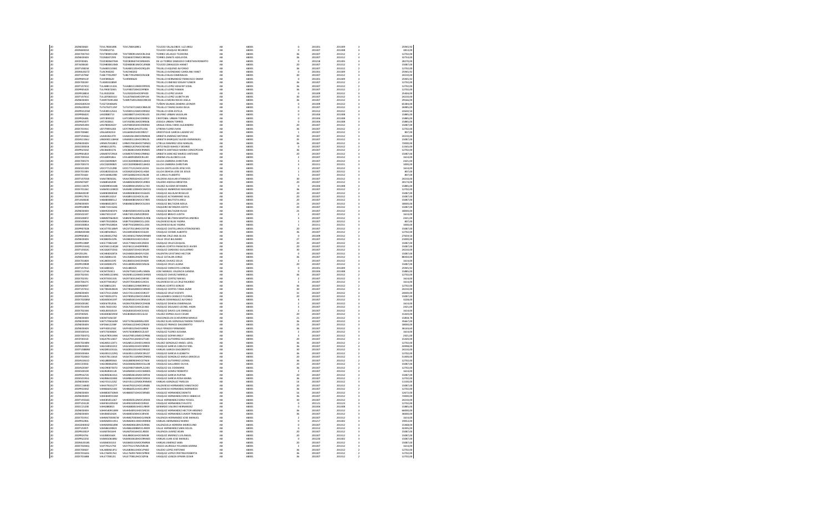| 20            | 20ZNE0060I<br>200NS0001K | TOVL7804189E<br><b>TOVR810715</b>   | TOVL7804189E1                            | TOLEDO VILLALOBOS LUZ ARELI<br>TOLEDO VASOUEZ RICARDO               | AB<br><b>AR</b> | AB001<br>AR001        | $\mathbf 0$<br>$\Omega$                              | 201301<br>201307 | 201309<br>201308 |                |
|---------------|--------------------------|-------------------------------------|------------------------------------------|---------------------------------------------------------------------|-----------------|-----------------------|------------------------------------------------------|------------------|------------------|----------------|
| 20<br>20      | 20DST00730               | TOVT890911NR                        | TOVT890911MOCRLD18                       | TORRES VELASCO TEODORA                                              | AB              | AB001                 | 36                                                   | 201307           | 201312           |                |
|               | 207NF0040V               | <b>TOZAR3072915</b>                 | TOZA830729MOCRRD06                       | TORRES ZARATE ADELAYDA                                              | 4Ŕ              | <b>AR001</b>          |                                                      | 201307           | 201312           |                |
| 20<br>20      | 20FZF0040L               | TOZC800607MA                        | TOZC800607HCSRMH05                       | DE LA TORREZ ZAMUDIO CHRISTIAN ROBERTO                              | AB              | AB001                 | $\begin{array}{c} 36 \\ 0 \end{array}$               | 201218           | 201305           | 3              |
|               | 20TAI0063D               | TOZH800813MX                        | TOZH800813MOCLRN08                       | TOLEDO ZARAGOZA HIANET                                              | AB              | AB001                 |                                                      | 201307           | 201312           |                |
| 20<br>20      | 20DTV0825K               | TUAA801105BC                        | TUAA801105HOCRQL09                       | TRUJILLO AQUINO ALFONSO                                             | AB              | AB001                 | 20<br>36                                             | 201307           | 201312           |                |
| 20            | 20DML00272               | TUAC940202                          | TUAC940202                               | TRUJILLO AVENDADO CAROLINA YANET                                    | AB              | AB001                 | $\,$ 0 $\,$                                          | 201301           | 201309           |                |
| $_{20}$       | 20DTV0796F               | TUBE77052997                        | TUBE770529MOCRLS08                       | TRUJILLO BLAS ESMERALDA                                             | AB              | AB001                 | 30                                                   | 201307           | 201312           | 3              |
| 20<br>$_{20}$ | 20DPR0913R<br>20DST0024F | TUHF890620<br>TUJE801028NR          | <b>TUHF890620</b>                        | TRUJILLO HERNANDEZ FRANCISCO OMAR<br>TRUJILLO JIMENEZ EDGAR YUNIOR  | AB<br>AB        | AB001<br>AB001        | $\rm ^{o}$<br>36                                     | 201301<br>201307 | 201309<br>201312 |                |
| 20            | 20DTV0741C               | TULA8811132A                        | TULA881113MOCRPD05                       | TRUJILLO LOPEZ ADILENY VIDAL                                        | AB              | AB001                 |                                                      | 201307           | 201312           |                |
| $_{20}$       | 20DPR0542E               | <b>TULF900720KS</b>                 | TULF900720HOCRPB09                       | TRUJILLO LOPEZ FABIAN                                               | AB              | AB001                 | $\begin{array}{c} 36 \\ 36 \end{array}$              | 201307           | 201312           | $\overline{ }$ |
| 20            | 20DPR1881K               | TULJ920205II                        | TULJ920205HOCRPV00                       | TRUJILLO LOPEZ JAVIER                                               | AB              | AB001                 | $\overline{\mathbf{0}}$                              | 201309           | 201312           |                |
| 20            | 20DTV0741C               | <b>TULL870601GU</b>                 | TULL870601MOCRPL04                       | TRUJILLO LOPEZ LILIBETH AN                                          | AB              | AB001                 | 30                                                   | 201307           | 201312           |                |
| 20            | 202NE0040V               | TUMR75091284                        | TUMR750912MOCRRC00                       | TRUJILLO MORA ROCIO ASELA                                           | AB              | AB001                 | 36                                                   | 201307           | 201312           |                |
| 20<br>20      | 204060053E               | TUSZZ204064N                        |                                          | TUÑON SALINAS ZANDRA I FONOR                                        | AB<br>AB        | <b>AR001</b>          | $\,$ 0 $\,$                                          | 201309           | 201312           |                |
|               | 20DNL0001R               | <b>TUTA750711NY</b>                 | TUTA750711MOCRML00                       | TRUJILLO TAMEZ ALMA ISELA                                           |                 | AB001                 | $\mathbf 0$                                          | 201307           | 201312           |                |
| 20<br>20      | 20DPR3125M<br>20DPR0602C | TUVE891125A1<br>UASD880713          | TUVE891125MOCRRS02<br>UASD880713HOCRGL03 | TRUJILLO VERA ESTELA                                                | AB<br>AB        | AB001                 | $\mathbf 0$                                          | 201312           | 201312           |                |
| 20            | 20DPR2648L               | <b>UATC890322</b>                   | UATC890322HOCRRR03                       | DELFINO URBAN SAGUILAN<br><b>CRISTOBAL URBAN TORRES</b>             | AB              | AB001<br>AB001        | $\circ$<br>$\circ$                                   | 201304<br>201304 | 201308<br>201308 |                |
| $_{20}$       | 20DPR3507T               | UATJ920811                          | UATJ920811MOCRRS06                       | <b>JESSICA URBAN TORRES</b>                                         | AB              | AB001                 | $\circ$                                              | 201304           | 201308           |                |
| 20            | 20DJN0549H               | UAVF800202JY                        | UAVF800202HOCRDR04                       | URAGA VIDAL FARES ALEJANDRO                                         | AB              | AB001                 | $\overline{20}$                                      | 201307           | 201312           |                |
| $_{20}$       | 20DST0191C               | UEF1790912EB                        | <b>UEFI790912HVZTLV06</b>                | <b>UTRERA FLORES IVAN</b>                                           | AB              | AB001                 | $\begin{array}{c} 36 \\ 1 \end{array}$               | 201307           | 201312           | $\overline{2}$ |
| 20            | 20DST00680               | UIGL6004253I                        | UIGL600425HOCRRZ17                       | URIOSTIGUE GARCIA LAZARO VIC                                        | AB              | AB001                 |                                                      | 201307           | 201312           |                |
| $_{20}$       | 20DTV0436L<br>20DJN1106L | UUA810613TR<br>UIMA901118HW         | UUA810613MOCRMN04<br>UIMA901118HOCRRL05  | URBIETA JIMENEZ ANTONIA<br>URBIETA MARQUEZ ALEXIS EMMANUEL          | AB              | AB001<br>AB001        | 30                                                   | 201307<br>201307 | 201312<br>201312 |                |
| 20<br>20      | 202NE0040V               | <b>UIRM570418K2</b>                 | UIRM570418HOCTMN01                       | UTRILLA RAMIREZ JOSE MANUEL                                         | AB<br>AB        | AB001                 | 35                                                   | 201307           | 201312           |                |
| 20            | 20DCE0001B               | UIRN821207EL                        | UIRN821207MOCRZH00                       | URTIZ RAZO NAHIELY DESIREE                                          | AB              | AB001                 | $\begin{array}{c} 36 \\ 0 \end{array}$               | 201307           | 201312           |                |
|               | 200PR23542               | <b>LUSCR6081576</b>                 | UISC860815MOCRNN05                       | URBIETA SANTIAGO MARIA CONCEPCION                                   | AB              | <b>AR001</b>          |                                                      | 201307           | 201312           |                |
| 20<br>20      | 20DPR0181K               | UISM870729GX                        | UISM870729HOCRNR02                       | URBIETA SANCHEZ MARCO ANTONIO                                       | <br>АВ          | AB001                 | 36<br>20                                             | 201307           | 201312           |                |
| 20<br>20      | 20DST0053A               | UIVL680918L6                        | UIVL680918MOCRLL00                       | URBINA VILLALOBOS LILIA                                             | AB<br>AB        | <b>AR001</b>          | $\overline{2}$                                       | 201307           | 201312           |                |
|               | 20DST0057X               | UOCC820908JY                        | UOCC820908HOCLBH03                       | ULLOA CABRERA CHRISTIAN<br>ULLOA CABRERA CHRISTIAN                  |                 | AB001                 | $\overline{\mathbf{3}}$                              | 201307           | 201312           |                |
| 20<br>$_{20}$ | 20DST0057X<br>20DES0130X | UOCC820908JY<br>UOCI771212R8        | UOCC820908HOCLBH03<br>UOCI771212HOCLSV04 | ULLOA CASTILLEJOS JOSE IVES                                         | AB<br>AB        | AB001<br>AB001        | $\overline{3}$<br>$\overline{2}$                     | 201311<br>201307 | 201311<br>201312 |                |
| 20            | 20DST0158V               | UODJ820102UA                        | UODJ820102HOCLHS04                       | ULLOA DEMESA JOSE DE JESUS                                          | AB              | AB001                 | $\overline{1}$                                       | 201307           | 201312           |                |
| $_{20}$       | 20DST0160J               | UXFC640822RD                        | UXFC640822HCCCNL08                       | UC CANUL FILIBERTO                                                  | AB              | AB001                 |                                                      | 201307           | 201312           |                |
| 20            | 20DTV0701B               | VAAA780502LL                        | VAAA780502HOCLGT07                       | VALDIVIA AGUILAR ATANACIO                                           | AB              | AB003                 | 30                                                   | 201307           | 201312           |                |
| $_{20}$       | 20DJN0769T               | <b>VAAB850420IK</b>                 | VAAB850420MOCLRR04                       | VALERIO ARZOLA BRISEYDA                                             | AB              | AB001                 | 20                                                   | 201307           | 201312           |                |
| 20            | 20DCC1007E               | VAAD890414AB                        | VAAD890414MOCLLY03                       | VALDEZ ALVIZAR DEYANIRA                                             | AB              | AB001                 | $\dot{\text{o}}$                                     | 201304           | 201308           |                |
| $_{20}$       | 20DST0126C               | VAAM811208CD                        | VAAM811208HOCSMC01                       | VASQUEZ AMBROSIO MACARIO                                            | AB              | AB001                 | 36                                                   | 201307           | 201312           |                |
| 20            | 20DBA0019R<br>20DPR17919 | VAAR830830HK<br>VAAS891102LF        | VAAR830830HOCSGG05<br>VAAS891102HOCSLID4 | VASQUEZ AGUILAR ROGELIO<br>VASOUEZ ALTAMIRANO SAUL                  | AB              | AB001<br><b>AR001</b> | $\overline{20}$                                      | 201307<br>201307 | 201312<br>201312 |                |
| 20<br>20      | 20FUA0064E               | VABA840801L2                        | VABA840801MOCSTR05                       | VASQUEZ BAUTISTA ARELI                                              | AB<br>AB        | AB001                 | $\begin{array}{c} 20 \\ 20 \end{array}$              | 201307           | 201312           |                |
|               |                          | VABA86022872                        | VABA860228MOCSLD03                       |                                                                     |                 | <b>AR001</b>          |                                                      | 201307           | 201312           |                |
| 20<br>20      | 202NE0040V<br>20DPR1089K | VABE710116AG                        |                                          | VASQUEZ BALTAZAR ADELA<br>VAQUERO BETANZOS EDITH                    | AB<br>AB        | AB001                 | $\begin{array}{c} 23 \\ 20 \end{array}$              | 201307           | 201312           |                |
|               | 202NE0040V               | VABH920401P4                        | VABH920401HOCSLG08                       | VASQUEZ BALTAZAR HUGO                                               |                 | <b>AR001</b>          | $\begin{smallmatrix} 23 \\ 2 \\ 2 \end{smallmatrix}$ | 201307           | 201312           |                |
| 20<br>20      | 20DES0233T               | VABJ7301151P                        | VABJ730115MVZZRD03                       | VAZQUEZ BRAVO JUDITH                                                | AB<br>AB        | AB001                 |                                                      | 201307           | 201312           |                |
| 20<br>20      | 20DES00872               | VABM8706282D                        | VARMS70628MOC2LR06                       | VAZQUEZ BELTRAN MARTHA ANDREA                                       | AB<br>AB        | AB001                 | $\overline{3}$                                       | 201307           | 201312           |                |
|               | 20DES0085A               | VABY791028DA                        | VABY791028MOCLLD03                       | VALDIVIESO BLAS YADIRA                                              |                 | AB001                 | $\overline{1}$                                       | 201307           | 201312           |                |
| 20<br>$_{20}$ | 20DES0085A<br>20DPR0702B | VABY791028DA<br>VACA770118MY        | VABY791028MOCLLD03<br>VXCA770118HOCSST08 | VALDIVIESO BLAS YADIRA<br>VASQUEZ CASTELLANOS ATENOGENES            | AB<br>AB        | AB001<br>AB001        | $\overline{1}$<br>20                                 | 201311<br>201307 | 201311<br>201312 |                |
| 20            | 20DBA0030B               | VACA891006J5                        | VACA891006HOCSSL00                       | VASQUEZ COSME ALBERTO                                               | AB              | AB00                  | 36                                                   | 201307           | 201312           |                |
| $_{20}$       | 20DPR05850               | VACA940127NZ                        | VXCA940127MMCRRN09                       | VARONA CRUZ ANA SILVIA                                              | AB              | AB001                 | $\circ$                                              | 201309           | 201312           |                |
| 20            | 202NE0040V               | VACB820531P6                        | VACB820531HOCLRL02                       | VALLE CRUZ BULMARO                                                  | AB              | AB001                 | $\overline{27}$                                      | 201307           | 201312           |                |
| 20<br>20      | 20DPR13988               | <b>VACE770821AR</b>                 | VACE770821HOC28203                       | VAZOUEZ CRUZ EZEQUIEL                                               | AB              | <b>AR001</b>          | $\begin{array}{c} 20 \\ 20 \end{array}$              | 201307           | 201312           |                |
|               | 20DPR1554Q               | VACF841114QM                        | VACF841114HDFRRR01                       | VARGAS CORTES FRANCISCO JAVIER                                      | AB              | AB001                 |                                                      | 201307           | 201312           |                |
| 20<br>20      | 20DTV05020<br>20FIZ0129L | VACG8207255G<br>VACH840328TA        | VACG820725HOCSRL09<br>VACH840328HDFLYC00 | VASQUEZ CARDOSO GUILLERMO<br>VALENTIN CAYETANO HECTOR               | AB<br>AB        | <b>AR001</b><br>AB001 | $\begin{array}{c} 30 \\ 0 \end{array}$               | 201307<br>201307 | 201312<br>201312 |                |
|               | 202NE0040V               |                                     | VACJ580812HGRLTR02                       | VALLE CATALAN JORGE                                                 |                 | <b>AR001</b>          |                                                      |                  | 201312           |                |
| 20<br>20      | 20DST0180X               | VACJ58081233<br>VACJ800315PZ        | VACJ800315HOCRHS09                       | VARGAS CHAVEZ JESUS                                                 | AB<br>AB        | AB001                 | $\begin{array}{c} 36 \\ 2 \end{array}$               | 201307<br>201307 | 201312           |                |
|               | 20DPR1990F               | <b>VACL840814TE</b>                 | VACL840814MOCSRL06                       | VASQUEZ CRUZ LILIANA                                                |                 | <b>AR001</b>          |                                                      | 201307           | 201312           |                |
| 20<br>20      | 20DTV0741C               | VACL880325                          | <b>VACL880325</b>                        | VASQUEZ CHINCOYA LORENA                                             | AB<br>AB        | AB001                 | $\begin{smallmatrix} 20 \ 0 \end{smallmatrix}$       | 201301           | 201309           |                |
| 20<br>20      | 20DCC1274A               | VACM750411                          | VACM750411HPLLNN06                       | JOSE MANUEL VALENCIA GANDIA                                         | AB<br>AB        | <b>AR001</b>          | $\circ$                                              | 201304           | 201308           |                |
|               | 20DST0243S               | VACM851224RG                        | VACM851224MOCSHR05                       | VASQUEZ CHAVEZ MARIELA                                              |                 | AB001                 | 36                                                   | 201307           | 201312           |                |
| 20<br>20      | 20DST0235J               | VACR73031335                        | VACR730313HOCSRF00                       | VASQUEZ CORTEZ RAFAEL                                               | AB<br>AB        | AB001                 | $\frac{2}{2}$                                        | 201307           | 201312           |                |
|               | 20DST0027C<br>20DJN0892T | VACR770418Q7<br>VACS880122IS        | VACR770418HOCLRC01<br>VACS880122HMCRRR12 | VALDIVIESO DE LA CRUZ RICARDO<br>VARGAS CORTES SERGIO               |                 | AB001<br>AB001        |                                                      | 201307<br>201307 | 201312<br>201312 |                |
| 20<br>20      | 20DTV0741C               | VACT850428GN                        | VACT850428MOCSRN00                       | VASQUEZ CORTES TANIA JAZMI                                          | AB<br>AB        | AB001                 | 36<br>30                                             | 201307           | 201312           |                |
| 20            | 202NE0040V               | VACV7411144M                        | VACV741114HOCSRC07                       | VASQUEZ CRUZ VICENTE                                                | AB              | AB001                 | $_{31}$                                              | 201307           | 201312           |                |
| $_{20}$       | 20DPR1692S               | VACY900522TG                        | VACY900522MOCLNR04                       | VALLADARES CANSECO YUDIRIA                                          | AB              | AB001                 | 20                                                   | 201307           | 201312           |                |
| 20            | 20DST0208M               | VADA85041591                        | VADA850415HVZRML03                       | VARGAS DOMINGUEZ ALFONSO                                            | AB              | AB001                 | $\overline{4}$                                       | 201307           | 201312           |                |
| 20<br>20      | 20DES0018C               | VADE6705203L<br>VADL760215K2        | VADE670520MOCZHS08                       | VAZQUEZ DEHESA ESMERALDA<br>VAZQUEZ DELGADO LEONEL HIGIN            | AB<br>AB        | <b>AR001</b>          | $\frac{2}{3}$                                        | 201307           | 201312           |                |
|               | 20DST0145R               |                                     | VADL760215HOCZLN02                       |                                                                     |                 | AB001                 |                                                      | 201307           | 201312           |                |
| 20<br>20      | 20DST0234K<br>20FZF0050S | VADL83010519<br>VAEJ830601NW        | VADL830105HOCSVS01<br>VAEJ830601HOCLSL02 | VÁSQUEZ DAVID LUIS ENRIQUE<br>VALDEZ ESPINA JULIO CESAR             | AB<br>AB        | <b>AR001</b><br>AB001 | 20                                                   | 201307<br>201307 | 201312<br>201312 |                |
|               | 202NE0040V               | <b>VAEM710615IF</b>                 |                                          | VASCONCELOS ECHEVERRIA MANUE                                        |                 | <b>AR001</b>          |                                                      | 201307           | 201312           |                |
| 20<br>20      | 20ZNE0040V               | VAET5706163M                        | VAET570616MSRLLR09                       | VALDEZ ELIAS GONZALEZ MARIA TERESITA                                | AB<br>AB        | AB001                 | $\begin{array}{c} 21 \\ 36 \end{array}$              | 201307           | 201312           |                |
| 20<br>20      | 202NE0040V               | VAFD661223BF                        | VAFD661223HOCZRG03                       | VASQUEZ FRANCO DAGOBERTO                                            | AB<br>AB        | AB001                 | 23<br>36                                             | 201307           | 201312           |                |
|               | 20ZNE0040V               | VAFF400125SZ                        | VAFF400125HDFLRR09                       | VALE FERADO FERNANDO                                                |                 | AB001                 |                                                      | 201307           | 201312           |                |
| 20<br>$_{20}$ | 20DES0051K<br>20DST0047Q | VAFS7503082K<br><b>VAGA790514NK</b> | VAFS750308MOCZLS07<br>VAGA790514MOCSPR06 | VAZQUEZ FLORES SUSANA<br>VASQUEZ GOPAR ARELY                        | AB<br>AB        | AB001<br>AB001        | $\,$ 2<br>$\overline{3}$                             | 201307<br>201307 | 201312<br>201312 |                |
|               |                          |                                     |                                          | VAZQUEZ GUTIERREZ ALEJANDRO                                         |                 | AB001                 |                                                      | 201307           | 201312           |                |
| 20<br>$_{20}$ | 20FZF0031D<br>20DST0248N | VAGA791126ST<br>VAGA851124T1        | VAGA791126HOCZTL00<br>VAGA851124HOCLNN03 | VALDEZ GONZALEZ ANGEL UZIEL                                         | AB<br>AB        | AB001                 | $\begin{array}{c} 20 \\ 36 \end{array}$              | 201307           | 201312           |                |
| 20            | 202NE0040V               | VAGC690222CZ                        | VAGC690222HOCSRR03                       | VASQUEZ GARCIA CARLOS FIDEL                                         | AB              | AB001                 |                                                      | 201307           | 201312           |                |
| $_{20}$       | 20DTV0888W               | VAGD851031GL                        | VAGD851031HOCRRG02                       | VARGAS GARCIA DAGOBERTO                                             | AB              | AB001                 | $\frac{1}{36}$                                       | 201307           | 201312           |                |
| 20            | 20DES0044A               | VAGE8511229Q                        | VAGE851122MOCSRL07                       | VASQUEZ GARCIA ELIZABETH                                            | AB              | AB001                 | $36$<br>$20$                                         | 201307           | 201312           |                |
| $_{20}$       | 20DST0206Q               | <b>VAGK781116UE</b>                 | VAGK781116MMCZNR01                       | VAZQUEZ GONZALEZ KARLA GRACIELA                                     | AB              | AB001                 |                                                      | 201307           | 201312           | $\overline{3}$ |
| 20            | 20DJN1061O<br>20DCC03501 | VAGL88090363<br>VAGOR4062042        | VAGL880903HOCSTN04<br>VAGOR40620MOCSLI0R | VASQUEZ GUTIERREZ LEONEL<br>VASOUEZ GALLARDO OLIVIA                 | AB<br>AB        | AB001<br><b>AR001</b> | 36                                                   | 201307<br>201307 | 201312<br>201312 |                |
| 20<br>20      | 20DJN2034Y               | VAGO90073072                        | VAG0900730MPLZLD03                       | VAZQUEZ GIL ODEMARIS                                                | AB              | AB001                 | 20<br>36                                             | 201307           | 201312           |                |
|               | 20DES0010K               | VAGR690411IX                        | VAGR690411HOCSMR05                       | VASOUEZ GOMEZ ROBERTO                                               |                 | <b>AR001</b>          |                                                      | 201307           | 201312           |                |
| 20<br>20      | 20DPR1672E               | VAGR850614U1                        | VAGR850614MOCSRF04                       | VASQUEZ GARCIA RUFINA                                               | AB<br>AB        | AB001                 | $\frac{2}{20}$                                       | 201307           | 201312           |                |
| 20<br>20      | 20DES0195G               | VAGR86102483                        | VAGR861024MOCSRS03                       | VASQUEZ GARCIA ROSA MARIA                                           | AB              | AB001                 | $\frac{36}{14}$                                      | 201307           | 201312           |                |
|               | 20ZNE0040V               | VAGY35112252                        | VAGY351122MOCRNM04                       | VARGAS GONZALEZ YMELDA                                              | AB              | AB001                 |                                                      | 201307           | 201312           |                |
| 20            | 20DCC1684E               | VAHA791012TY                        | VAHA791012HOCLRN08                       | VALDIVIESO HERNANDEZ ANASTACIO                                      | AB              | AB001                 | $\begin{array}{c} 20 \\ 36 \end{array}$              | 201307           | 201312           |                |
| $_{20}$<br>20 | 20DPR32042<br>202NE0040V | VAHB660521BC<br>VAHB830710M4        | VAHB660521HOCLRR07<br>VAHB830710HOCSRN00 | VALDIVIESO HERNANDEZ BERNARDO<br>VASQUEZ HERNANDEZ BENITO           | AB<br>AB        | AB001<br>AB001        | $\frac{1}{16}$                                       | 201307<br>201307 | 201312<br>201312 |                |
| $_{20}$       | 202NE0040V               | <b>VAHE8409155M</b>                 |                                          | VASQUEZ HERNANDEZ ERICK HABACUC                                     | AB              | AB001                 | 36                                                   | 201307           | 201312           |                |
| 20            | 20DTV0556G               | VAHE85051267                        | VAHE850512MOCLRD03                       | VALLE HERNANDEZ EDNA YOSCEL                                         | AB              | AB001                 | 30                                                   | 201307           | 201312           |                |
| 20            | 20DTV0412K               | <b>VAHF831005EW</b>                 | VAHF831005HOCSRS02                       | VASQUEZ HERNANDEZ FAUSTO                                            | AB              | AB001                 | $\mathbf 0$                                          | 201121           | 201123           |                |
| 20            | 20DCC2120E               | <b>VAHG880815</b>                   | VAHG880815HOCLRR09                       | GERARDO VALERIO HERNANDEZ                                           | AB              | AB001                 | $\circ$                                              | 201304           | 201308           |                |
| 20            | 207NF0040V               | WAF FPODZHHAV                       | VAHHS40913HOCSRC03                       | VASOUEZ HERNANDEZ HECTOR ARSENIO                                    | AB              | <b>AR001</b>          | 36                                                   | 201307           | 201312           |                |
| 20            | 20ZNE0040V<br>20DST0191C | VAHJ8401042K<br>VAHM670304CW        | VAHJ840104HOCSRV00<br>VAHM670304HOCLBN09 | VASQUEZ HERNANDEZ JAVIER TRINIDAD<br>VALENCIA HERNANDEZ JOSE MANUEL | AB              | AB001<br><b>AR001</b> | 36<br>$\overline{z}$                                 | 201307<br>201307 | 201312<br>201312 |                |
| 20<br>20      | 20DPR3290L               | VAHM69011951                        | VAHM690119HOCRRR00                       | VARGAS HERNANDEZ MARIO                                              | AB<br>AB        | AB001                 | $\mathbf 0$                                          | 201217           | 201302           |                |
|               | 20AGD00032               | VAHM6906189K                        | VAHM690618HVZLRR06                       | VALENZUELA HERRERA MARCELINO                                        | AB              | <b>AR001</b>          | $\mathbf 0$                                          | 201307           | 201312           |                |
| 20<br>20      | 20DTV0397                | VAHS86100823                        | VAHS861008MOCLRR09                       | VALLE HERNANDEZ SARA SOLEIL                                         | AB              | AB001                 | $\circ$                                              | 201312           | 201312           |                |
| 20            | 20DPB1001P               | VAJA870416HI                        | VAJA870416HOCLRD00                       | VALENCIA JUAREZ ADAN                                                | AB              | AB001                 | 20                                                   | 201307           | 201312           |                |
| $_{20}$       | 20DPR2476J               | <b>VAIL880416IX</b>                 | <b>VAJL880416HOCSMS08</b>                | VASQUEZ JIMENEZ LUIS ANGEL                                          | AB              | AB001                 | 20                                                   | 201307           | 201312           |                |
| 20            | 20DPR2225E               | VAIM810618NJ                        | VAJM810618HOCRNN03                       | VARGAS JUAN JOSE MANUEL                                             | AB              | AB001                 | $\dot{\text{o}}$                                     | 201220           | 201302           |                |
| $_{20}$       | 20DML00185<br>20DST0204Q | VAJ\$840331\$3<br>VAJY79121792      | VAJS840331MOCRMR04<br>VAJY791217MV2SRL08 | VARGAS JIMENEZ SARA<br>VASCO JAUREGUI YOLANDA KARINA                | AB<br>AB        | AB001<br>AB00         | 20                                                   | 201307<br>201307 | 201312<br>201312 |                |
| $_{20}$       | 20DST0065F               | VALA800613FU                        | VALA800613HOCLPN02                       | VALEDO LOPEZ ANTONIO                                                | AB              | AB001                 | 36                                                   | 201307           | 201312           | $\overline{2}$ |
| 20            | 20DST0163G               | VALC76091763                        | VALC760917MOCSPR0                        | VASQUEZ LOPEZ CRISTINA ROBERTA                                      | AB              | AB001                 | 36                                                   | 201307           | 201312           |                |
|               | 20DST0168B               | VALE77081211                        | VALE770812HOCSZE06                       | VASQUEZ LOAEZA EFRAIN CESAR                                         | <b>AR</b>       | <b>AR001</b>          | 36                                                   | 201307           | 201312           | $\overline{ }$ |
|               |                          |                                     |                                          |                                                                     |                 |                       |                                                      |                  |                  |                |

# $\begin{array}{l} \textbf{13.11 } \textbf{13.23 } \textbf{13.34 } \textbf{23.35 } \textbf{24.35 } \textbf{3.35 } \textbf{3.35 } \textbf{3.35 } \textbf{3.35 } \textbf{3.35 } \textbf{3.35 } \textbf{3.35 } \textbf{3.35 } \textbf{3.35 } \textbf{3.35 } \textbf{3.35 } \textbf{3.35 } \textbf{3.35 } \textbf{3.35 } \textbf{3.35 } \textbf{3.35 } \textbf{3.35 } \textbf{3.35 } \$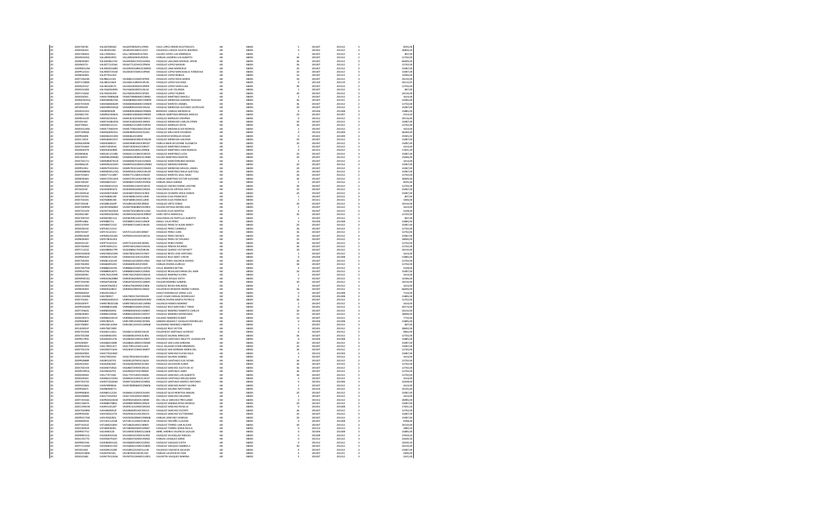| 20       | 20DST0078J               | VALE87090562                 | VALE870905HOCLPR05                       | VALE LOPEZ ERWIN XICOTENCATL                           | AB              | AB001        |                                         | 201307 | 201312 |                |
|----------|--------------------------|------------------------------|------------------------------------------|--------------------------------------------------------|-----------------|--------------|-----------------------------------------|--------|--------|----------------|
|          | 20DES00420               | VALI810913K7                 | VALIS10913MOCL2L07                       | VALENCIA LOAFZA ILILIETA IRAZEMA                       | <b>AR</b>       | <b>AR001</b> | $\mathbf 0$                             | 201301 | 201312 |                |
| 20<br>20 | 20DST0063H               | VALL7409261J                 | VALL740926HOCLPS01                       | VALDEZ LOPEZ LUIS ENRRIQUE                             | AB              | AB001        | $\,$ 1                                  | 201307 | 201312 |                |
|          | 20D IN01030              | VALL890429FV                 | VALL890429HOCR2505                       | VARGAS LAZARIN LUIS ALBERTO                            | AR              | <b>AR001</b> |                                         | 201307 | 201312 |                |
| 20<br>20 | 20ZNE0040V               | VALM590617SV                 | VALM590617HOCSGN01                       | VASQUEZ LAGUNAS MANUEL ERVIN                           | AB              | AB001        | 36<br>36                                | 201307 | 201312 |                |
|          |                          |                              |                                          |                                                        |                 |              |                                         |        |        |                |
| 20<br>20 | 20DJN0275I               | VALM77122564                 | VALM771225HOCZPN04                       | VAZQUEZ LOPEZ MANUEL                                   | AB              | AB001        | 36                                      | 201307 | 201312 |                |
|          | 20DPR0312M               | VALM9203189D                 | VALM920318MOCSMR01                       | VASQUEZ LIMA MARICRUZ                                  | AB              | AB001        | 20                                      | 201307 | 201312 |                |
| 20       | 20DPR1253U               | VALN930725SW                 | VALN930725MOCSPR00                       | VASQUEZ LOPEZ NARCEDALIA ITANDEHUI                     | AB              | AB001        | 20                                      | 201307 | 201312 |                |
| $_{20}$  | 202NE0040V               | VALR770514JD                 |                                          | VASQUEZ LOPEZ REBECA                                   | AB              | AB001        | 16                                      | 201307 | 201312 |                |
| 20       | 20DTV0624M               | VALR86121514                 | VALR861215MOCSPS00                       | VASQUEZ LOPEZ ROSA MARIA                               | AB              | AB001        | 30                                      | 201307 | 201312 |                |
| $_{20}$  | 20DTV1580N               | VALS801218L9                 | VALS801218MOCSPL00                       | VASQUEZ LOPEZ SOLEDAD                                  | AB              | AB001        | $\circ$                                 | 201103 | 201119 |                |
| 20       | 20DJN2231Z               | VALS83100575                 | VALS831005MOCSPR09                       | VASQUEZ LOPEZ SARA ELISA                               | AB              | AB001        | 36                                      | 201307 | 201312 |                |
| 20       | 20DES0140D               | VALY660503KM                 | VALY660503MOCSSL02                       | VASQUEZ LUIS YOLANDA                                   | AB              | AB001        | $\mathbf{1}$                            | 201307 | 201312 |                |
| 20       | 20DTV15602               | VALY820422FB                 | VALY820422MOCSPZ03                       | VASQUEZ LOPEZ YAZMIN                                   | AB              | AB001        | 30                                      | 201307 | 201312 |                |
|          | 20DES0050L               | VAMA790806GB                 | VAMA790806MOCSRR01                       | VASOUEZ MARTINEZ ARACEU                                | AR              | <b>AR001</b> | $\overline{z}$                          | 201307 | 201312 |                |
| 20<br>20 |                          |                              |                                          |                                                        |                 |              |                                         |        |        |                |
|          | 20HMC0025Q               | VAMA800821NC                 | VAMA800821MOCSNR09                       | VASQUEZ MENDOZA AURORA FIDELINA                        | AB              | AB001        | 36                                      | 201307 | 201311 |                |
| 20<br>20 | 20DST0192B               | VAMA840606AR                 | VAMAR40606MOCSNN09                       | VASQUEZ MONTES ANABEL                                  | AB              | AB001        | 36                                      | 201307 | 201312 | $\overline{ }$ |
|          | 20FIZ0024R               | VAMA890103Q3                 | VAMA890103HOCSNL02                       | VASQUEZ MENDOZA ALFONSO LEOPOLDO                       | AB              | AB001        | 20                                      | 201307 | 201312 |                |
| 20       | 20DJN22250               | VAMB900508                   | VAMB900508MOCRNR05                       | BERENICE VARGAS MENDIOLA                               | AB              | AB001        | $\theta$                                | 201304 | 201308 |                |
| $_{20}$  | 20DIN0174V               | VAMB921006LN                 | VAMB921006MOCRRR00                       | VARGAS MARTINEZ BRENDA ARACELI                         | AB              | AB001        | 20                                      | 201307 | 201307 |                |
| 20       | 20DPB1423X               | VAMC821025LE                 | VAMC821025MOCSRR11                       | VASQUEZ MORALES CRISPINA                               | AB              | AB001        | $\ddot{\text{o}}$                       | 201312 | 201312 |                |
| $_{20}$  | 20FIZ0143E               | VAMC9108105N                 | VAMC910810HOCSNR01                       | VASQUEZ MENDOZA CARLOS EFREN                           | AB              | AB001        | 20                                      | 201307 | 201312 |                |
| 20       | 20DST0062                | VAMD8212121J                 | VAMD821212MOCSRY03                       | VASQUEZ MORALES DEYSI                                  | AB              | AB001        | 36                                      | 201307 | 201312 |                |
| $_{20}$  | 20DES0124M               | VAME770601PA                 | VAME770601MOCZDL00                       | VAZQUEZ MEDINA ELVIA MONICA                            | AB              | AB001        |                                         | 201307 | 201312 |                |
| 20       | 20DTV0900A               | VAME84092354                 | VAME840923HOCSLD01                       | VASQUEZ MELCHOR EDUARDO                                | AB              | AB001        | $\mathbf{0}$                            | 201222 | 201309 |                |
|          | 200PR26091               | VAMER61015RD                 | VAMER61015RDR                            | VALDIVIESO MORALES EDGAR                               | AR              | <b>AR001</b> | $\theta$                                | 201301 | 201309 |                |
| 20<br>20 |                          |                              |                                          |                                                        |                 |              |                                         |        |        |                |
|          | 20DCC1655I               | VAMG8404191T                 | VAMG840419MOCSNL00                       | VASQUEZ MENDOZA GALDINA                                | $\overline{AB}$ | AB001        | 20                                      | 201307 | 201312 |                |
| 20<br>20 | 20DMI 0009               | VAMIS90801FL                 | VAMI590801MOCRRV07                       | VARELA MERLIN IVONNE ELIZABETH                         | AB              | <b>AR001</b> | 20                                      | 201307 | 201312 |                |
|          | 20DST0166D               | VAMI730505SC                 | VAMI730505HOCSRG07                       | VASQUEZ MARTINEZ IGNACIO                               | AB              | AB001        | $\overline{2}$                          | 201307 | 201312 |                |
| 20<br>20 | 20DJN0597R               | VAMJ6303289X                 | VAMJ630328HCCZRN06                       | VAZQUEZ MARTINEZ JUAN MANUEL                           | AB              | AB001        | $\theta$                                | 201312 | 201312 |                |
|          | 20DIN0464L               | VAML8112139B                 | VAML811213MOCSRC05                       | VASQUEZ MARTINEZ LUCIA                                 | AB              | AB001        | 20                                      | 201307 | 201312 |                |
| 20       | 20DLI0001F               | VAMM810906B1                 | VAMM810906HOCLRR00                       | VALDEZ MARTINEZ MARTIN                                 | AB              | AB001        | 20                                      | 201307 | 201312 |                |
| $_{20}$  | 20DST0217L               | VAMM840701JR                 | VAMM840701HOCSNS05                       | VASQUEZ MONTERRUBIO MOISES                             | AB              | AB001        | $\overline{2}$                          | 201307 | 201312 |                |
|          | 20DIN0622K               | VAMM910220EY                 | VAMM910220MOCZNR02                       |                                                        | AB              | AB001        |                                         | 201307 | 201312 |                |
| 20       |                          |                              |                                          | VAZQUEZ MENDEZ MIRIAM                                  |                 |              | 20                                      |        |        |                |
| $_{20}$  | 20DPR3391J               | VAMN791031RU                 | VAMN791031HOCSNG09                       | VASQUEZ MENDOZA MIGUEL ANGEL                           | AB              | AB001        | 20                                      | 201307 | 201312 |                |
| 20       | 20DPR0889V               | VAMN9205123Q                 | VAMN920512MOCSRL09                       | VASQUEZ MARTINEZ NAILA QUETZALI                        | AB              | AB001        | 20                                      | 201307 | 201312 |                |
| Σñ       | 2005T0182V               | VAMS771118R7                 | VAMS771118HOCSNL00                       | VASOUEZ MONTES SAUL ISAAC                              | AR              | <b>AR001</b> | 36                                      | 201307 | 201312 |                |
| 20       | 202NE0040V               | VAMVS70514D4                 | VAMV570514HOCRRC09                       | VARGAS MARTINEZ VICTOR ALFONSO                         | AB              | AB001        | 36                                      | 201307 | 201312 |                |
| 20<br>20 | 20DST0024F               | VANK800722CL                 | VANKR00722MOCRVR04                       | VARGAS NAVA KARINA                                     | AR              | <b>AR001</b> |                                         | 201307 | 201312 |                |
|          | 20DPR0205D               | VAOD940121CG                 | VAOD940121MOCSSF02                       | VASQUEZ OSORIO DAFNE LIDOYNE                           | $\overline{AB}$ | AB001        | $\frac{5}{36}$                          | 201307 | 201312 |                |
|          |                          |                              |                                          |                                                        | AB              | AB001        |                                         | 201307 | 201312 |                |
| 20<br>20 | 20TAI0235F<br>20FUA00532 | VAOE830916TX<br>VAOE840730JM | VAOE830916MOCSRD01<br>VAOE840730HOCSCR03 | VASCONCELOS ORTEGA EDITH<br>VASQUEZ OCAMPO ERICK EDWIN | $\overline{AB}$ | AB001        | $\begin{array}{c} 20 \\ 20 \end{array}$ | 201307 | 201312 |                |
|          |                          | VAOF68081318                 |                                          |                                                        |                 |              |                                         |        |        |                |
| 20<br>20 | 20DST0243S               |                              | VAOF680813HOCLLR00                       | VALDIVIA OLEA FRANCISCO                                | AB<br>AB        | AB001        |                                         | 201307 | 201312 |                |
|          | 20DST0243S               | VAOF68081318                 | VAOF680813HOCLLR00                       |                                                        |                 | AB001        | $\mathbf{1}$                            | 201311 | 201311 |                |
|          | 20DTV0018                |                              | VAOJ881202HOCZRR02                       | VASQUEZ ORTIZ JORGE                                    |                 | AB001        |                                         | 201307 | 201312 |                |
| 20<br>20 | 20DST0099W               | VAOJ881202AP<br>VAOM700608LR | VAOM700608MVZLRR01                       | VALERA ORTEGA MOIRA AIDA                               | AB<br>AB        | AB001        | $\begin{array}{c} 30 \\ 2 \end{array}$  | 201307 | 201312 |                |
|          | 20DST0132N               | VAOM7502281K                 | VAOM750228MOCLLR01                       | VALDIVIA OLEA MARTHA                                   | AB              | AB001        |                                         | 201307 | 201312 |                |
| 20<br>20 | 20DJN0138F               | VAOM910425NU                 | VAOM910425MOCRRR07                       | VARO ORTIZ MARICELA                                    | AB              | AB001        | 36                                      | 201307 | 201312 |                |
|          | 20DST00730               | VAPA87081114                 | VAPA870811HOCSRL05                       | VASCONCELOS PORTILLO ALBERTO                           | AB              | AB001        |                                         | 201307 | 201312 |                |
| 20<br>20 | 20DPR1486J               | VAPA880713                   | VAPA880713HOCLRN09                       | ANGEL VALIS PEREZ                                      | AB              | AB001        | $\theta$                                | 201304 | 201308 |                |
| 20       | 20DCC0700Y               | VAPA89072152                 | VAPA890721MOCSRL00                       | VASQUEZ PERALTA ALMA NANCY                             |                 | AB001        | 20                                      | 201307 | 201312 |                |
|          |                          | VAPC831115V1                 |                                          |                                                        | AB<br>AB        | <b>AR001</b> |                                         | 201307 | 201312 |                |
| 20<br>20 | 20DEE0013E<br>20DST0102T |                              | VAPJ721221HOCSRN07                       | VASQUEZ PEREZ CARMELA                                  |                 | AB001        | 36<br>36                                | 201307 | 201312 |                |
|          |                          | VAPJ721221D2                 |                                          | VASQUEZ PEREZ JUAN                                     | $\overline{AB}$ |              |                                         |        |        |                |
| 20<br>20 | 20DPB2303F               | VAPM92103185                 | VAPM921031HOCSRS16                       | VASQUEZ PEREZ MOISES                                   | AB              | AB001        | 20<br>23                                | 201307 | 201312 |                |
|          | 202NE0040V               | VAPO780322EE                 |                                          | VASQUEZ PEREZ OCTAVIANO                                | AB              | AB001        |                                         | 201307 | 201312 |                |
| 20<br>20 | 20DES0114F               | VAPP75103154                 | VAPP751031HOCSRD05                       | VAZQUEZ PEREZ PEDRO                                    | AB<br>AB        | AB001        | 36<br>36                                | 201307 | 201312 |                |
|          | 20DST0049Q               | VAPR7409121U                 | VAPR740912MOCSNC05                       | VASQUEZ PINEDA RICARDO                                 |                 | AB001        |                                         | 201307 | 201312 |                |
|          | 20DTV1222Z               | VAQV880617PR                 | VAQV880617HV2SRC08                       | VASQUEZ QUIROZ VICTOR NEFT                             | AB              | AB001        | 30                                      | 201307 | 201312 |                |
| 20<br>20 | 20DES0206W               | VARA780323SM                 | VARA780323HOCSYN07                       | VASQUEZ REYES JOSE ANTONIO                             | AB              | AB001        | $\overline{2}$                          | 201307 | 201312 |                |
| 20<br>20 | 20DPR0502D               | VARA8105152H                 | VARA810515HOCSZD00                       | VASQUEZ RUIZ AIDET LINCIN                              | AB              | AB001        | $\circ$                                 | 201304 | 201308 |                |
|          | 20DST0029A               | VARA8110212R                 | VARA811021MDFLVN01                       | ANA VICTORIA VALENCIA RIVERO                           | AB              | AB001        | 36                                      | 201307 | 201312 |                |
| 20       | 20DST0039H               | VARA840914SV                 | VARA840914HVZVR09                        | VARGAS RIVERA AURELIO                                  | AB              | AB001        | 36                                      | 201307 | 201312 |                |
| $_{20}$  | 20DST0075M               | VARB8601019A                 | VARB860101MOCLMT05                       | VALLE RAMIREZ BETHEL                                   | AB              | AB001        | $\Delta$                                | 201307 | 201312 |                |
| 20       |                          |                              |                                          |                                                        |                 |              |                                         | 201307 | 201312 |                |
|          | 20DPR2479G               | VARB880526TD                 | VARB880526MOCZGR05                       | VAZQUEZ REGALADO BRISA DEL MAR                         | AB              | AB001        | $^{20}$                                 |        |        |                |
| $_{20}$  | 20DES0059C               | VARE760125MS                 | VARE760125MOCSML05                       | VASQUEZ RAMIREZ ELVIRA                                 | AB              | AB001        | $\overline{2}$                          | 201307 | 201312 |                |
| 20       | 20DNP0015Q               | VARE810620BM                 | VARE810620MMCLQD01                       | VALVERDE ROQUE EDITH                                   | AB              | AB001        | $\circ$                                 | 201307 | 201312 |                |
| 20       | 20DTV0419D               | VARG870203J8                 | VARG870203HOCLMB05                       | VALEAN RAMIREZ GABRIEL                                 | AB              | AB001        | 30                                      | 201307 | 201312 |                |
| 20       | 20DES01390               | VARH670629C2                 | VARH670629MOCZJR06                       | VAZQUEZ ROJAS HIRLANDA                                 | AB              | AB001        |                                         | 201307 | 201312 |                |
|          | 202NF0040V               | VARIS30228CH                 | VARI830228MOCLNN02                       | VALDIVIESO RENDON INGRID VURIDIA                       | AR              | <b>AR001</b> | 36                                      | 201307 | 201312 |                |
| 20<br>20 | 20DNS0001K               | VARJ591206U7                 |                                          | VASCO RODRIGUEZ JORGE LUIS                             | AB              | AB001        | $\bf{0}$                                | 201307 | 201308 |                |
|          | 20DCC2030M               | VARJ780917                   | VARJ780917HOCRDL09                       | JULIO CESAR VARGAS RODRIGUEZ                           | AB              | AB001        | $\circ$                                 | 201304 | 201308 |                |
| 20<br>20 |                          |                              |                                          | VARGAS RIVERA MARTA PATRICIA                           | AB              |              | 36                                      |        |        |                |
|          | 20DST0160J               | VARM6303031H                 | VARM630303MHGRVR00                       |                                                        |                 | AB001        |                                         | 201307 | 201312 |                |
| 20       | 20DES0097F               | VARM780101AB                 | VARM780101HOCLMR04                       | VALENCIA RAMOS MARINO                                  | AB              | AB001        |                                         | 201307 | 201312 |                |
| $_{20}$  | 20DPR3446W               | VARN880316R6                 | VARN880316MOCZZD02                       | VAZQUEZ RUIZ NADTHIELY TANIA                           | AB              | AB001        | $\theta$                                | 201301 | 201312 |                |
| 20       | 20DTV0462S               | VARR8003059J                 | VARR800305HOCSMB07                       | VASQUEZ RAMIREZ ROBERTO CARLOS                         | AB              | AB001        | 30                                      | 201307 | 201312 |                |
| $_{20}$  | 202NE0040V               | VARR83100582                 | VARR831005HOCSMY07                       | VASQUEZ RAMIREZ RAYMUNDO                               | AB              | AB001        | 23                                      | 201307 | 201312 |                |
| 20       | 20DEE0007L               | VARR860104UD                 | VARR860104HOCLMB00                       | VALADEZ RAMIREZ RUBEN                                  | AB              | AB001        | 10                                      | 201307 | 201312 |                |
| 20       | 20DPB06806               | VARS780525                   | VARS780525MOCZDN05                       | SANDRA NASHIELY VASQUEZ RODRIGUEZ                      | AB              | AB001        | $\theta$                                | 201304 | 201308 |                |
| 20       | 20DST0080Y               | VARU68110358                 | VARU681103HOCLMN08                       | VALERIANO RAMIREZ UNBERTO                              | AB              | AB001        |                                         | 201307 | 201312 |                |
|          | 20EUF0001P               | VARV780728FF                 |                                          | VASOUEZ RUIZ VICTOR                                    | AR              | <b>AR001</b> | $\theta$                                | 201301 | 201312 |                |
| 20<br>20 | 20DST0192B               | VASA821118LS                 | VASA821118HOCLNL04                       | VALDIVIEZO SANTIAGO ALFREDO                            | AB              | AB001        |                                         | 201307 | 201312 |                |
|          | 20DST0226B               | VASA84061055                 | VASA840610HOCSLR04                       | VASQUEZ SALINAS ARNOLDO                                | AB              | AB001        |                                         | 201307 | 201312 |                |
| 20<br>20 |                          |                              |                                          |                                                        |                 |              |                                         |        |        |                |
|          | 20DPB1790S               | VASA850412T8                 | VASA850412MOCLNR07                       | VALENCIA SANTIAGO ARLETTE GUADALUPE                    | AB              | AB001        | $\begin{array}{c} 36 \\ 0 \end{array}$  | 201304 | 201308 |                |
| 20       | 20FSE0004Y               | VASA8601189E                 | VASA860118MOCSND08                       | VASQUEZ SAN JUAN ADRIANA                               | AB              | AB001        | 20                                      | 201307 | 201312 |                |
| $_{20}$  | 20DPR0301G               | VASC790512CY                 | VASC790512HOCLLS03                       | VALLE SALAZAR CESAR ARMANDO                            | AB              | AB001        | 20                                      | 201307 | 201312 |                |
| 20       | 20DST0231N               | <b>VASC850715HH</b>          | VASC850715MOCSNR07                       | VAZQUEZ SAN GERMAN MARIA DEL                           | AB              | AB001        | 36                                      | 201307 | 201312 |                |
| $_{20}$  | 20DJN0290A               | VASE770224MZ                 |                                          | VASQUEZ SANCHEZ ELOISA ISELA                           | AB              | AB001        | $\theta$                                | 201222 | 201304 |                |
| 20       | 20DST0075M               | VASG790324JZ                 | VASG790324HOCSLB01                       | VASQUEZ SALINAS GABRIEL                                | AB              | AB001        | $\overline{2}$                          | 201307 | 201312 |                |
| $_{20}$  | 20DPR2898F               | VASI901207FD                 | VASI901207MOCLNL04                       | VALENCIA SANTIAGO ILSE IVONN                           | AB              | AB001        | 36                                      | 201307 | 201312 |                |
| 20       | 20DJN10432               | VASJ620624AC                 | VASJ620624MOCSLN02                       | VASQUEZ SALVADOR JUANA                                 | AB              | AB001        | 36                                      | 201307 | 201312 |                |
|          | 20DST0231N               | VASIR40720G6                 | VASI840720MOCSNL01                       | VASOUEZ SANCHEZ JULITA DE JO                           | AR              | <b>AR001</b> | 36                                      | 201307 | 201312 |                |
| 20       | 20DPR1991Q               | VASJ900207S5                 | VASJ900207HOCSNR00                       | VASQUEZ SANTIAGO JAIRO                                 |                 | AB001        | 36                                      | 201307 | 201312 |                |
| 20       |                          |                              | VASI 770714HOCSNS06                      |                                                        | AB              | <b>AR001</b> |                                         |        | 201312 |                |
| 20<br>20 | 20DEE0004X               | VASL770714SC                 |                                          | VASQUEZ SANCHEZ LUIS ALBERTO                           | AB              |              | 36                                      | 201307 |        |                |
|          | 20DES0042C               | VASM6412103U                 | VASM641210HOCLNL07                       | VALENCIA SANTIAGO MELQUIADES                           | AB              | AB001        | $\overline{2}$                          | 201307 | 201312 |                |
|          | 20DTV0375X               | VASM7103204A                 | VASM710320HOCSNR02                       | VASQUEZ SANTIAGO MARCO ANTONIO                         | AB              | AB001        | $\theta$                                | 201301 | 201306 |                |
| 20<br>20 | 20DES0184A               | VASN7809063L                 | VASN780906MOCZNN06                       | VAZQUEZ SANCHES NANCY GLORIA                           | AB              | AB001        | $\overline{2}$                          | 201307 | 201312 |                |
| 20       | 20DPR2607L               | VASN8309071J                 |                                          | VASQUEZ SOLANO NATIVIDAD                               | AB              | AB001        | $\circ$                                 | 201310 | 201312 |                |
| $_{20}$  | 20DPR0683D               | VASN841122S3                 | VASN841122MOCSLR04                       | VASQUEZ SILVA NEREYDA ABIGAIL                          | AB              | AB001        | 20                                      | 201307 | 201312 |                |
| 20       | 20DES0084B               | VASO7105205E                 | VASO710520HOCSNR05                       | VASQUEZ SANCHEZ ORLANDO                                | AB              | AB001        | $\overline{2}$                          | 201307 | 201312 |                |
| $_{20}$  | 20DTV0416G               | VASP830104GW                 | VASP830104HOCLNR08                       | DEL VALLE SANCHEZ PRICILIANO                           | AB              | AB001        | $\theta$                                | 201312 | 201312 |                |
| 20       | 20DCC0697A               | VASR880708N2                 | VASR880708MOCZRS03                       | VAZQUEZ SARABIA ROSA MONICA                            | AB              | AB001        | 20                                      | 201307 | 201312 |                |
| $_{20}$  | 20DCC0941W               | VASR91101287                 | VASR911012MOCSNS04                       | VASQUEZ SANCHEZ ROSELIA                                | AB              | AB001        | $\theta$                                | 201301 | 201308 |                |
| 20       | 20DST0208M               | VASV8404052F                 | VASV840405HOCSNC01                       | VASQUEZ SANCHEZ VICENTE                                | AB              | AB001        | 36                                      | 201307 | 201312 |                |
|          | 20DPR3424K               | VASV920221TR                 | VASV920221HOCSNC01                       | VASOUEZ SANCHEZ VICTORIANO                             | AR              | <b>AR001</b> |                                         | 201307 | 201312 |                |
| 20<br>20 |                          |                              |                                          |                                                        |                 |              | 20                                      |        |        |                |
|          | 20DPR3173W               | VASV9204281L                 | VASV920428MOCRNN08                       | VARGAS SANCHEZ VANESSA                                 | $\overline{AB}$ | AB001        | $\overline{20}$                         | 201307 | 201312 |                |
| 20<br>20 | 20DNS0001K               | VATC811122QK<br>VATL860210DH | VATC811122MOCSRL05                       | VASQUEZ TREVIÑO CLAUDIA<br>VASQUEZ TORRES LAIR ALEJAN  | AB              | <b>AR001</b> | $\begin{array}{c} 0 \\ 30 \end{array}$  | 201307 | 201308 |                |
|          | 20DTV0232Z               |                              | VATL860210HOCSRR03                       |                                                        | $\overline{AB}$ | AB001        |                                         | 201307 | 201312 |                |
| 20<br>20 | 20DCE0001B               | VATS800403KL                 | VATS800403MOCSRN07<br>VAUA900130MOCLGB06 | VASQUEZ TORRES SONIA PAULA                             | AB<br>AB        | <b>AR001</b> | $\begin{matrix} 0 \\ 0 \end{matrix}$    | 201213 | 201213 |                |
|          | 20DPR0775U               | VAUA900130                   |                                          | ABRIL ANDREA VALENCIA UGALDE                           |                 | AB001        |                                         | 201304 | 201308 |                |
| 20<br>20 | 20DPR0011Q               | VAVA830101AE<br>VAVD850702A7 | VAVA830101MOCSLR00                       | VAZQUEZ VELASQUEZ ARACELI                              | AB              | AB001        | $\mathbf{0}$                            | 201309 | 201312 |                |
|          |                          |                              | VAVD850702MOCRSR02                       | VARGAS VASQUEZ DARIA                                   | AB              | AB001        | $^{\circ}$                              | 201312 | 201312 |                |
|          | 20DPR02190               | VAVE8609152Q                 | VAVE860915MOCZZD02                       | VAZQUEZ VAZQUEZ EDITH                                  | AB              | AB001        |                                         | 201312 | 201312 |                |
| 20<br>20 | 20DTV1226W               | VAVG840211DZ                 | VAVG840211MOCSSB00                       | VASQUEZ VASQUEZ GABRIELA                               | AB              | AB001        | 30                                      | 201307 | 201312 |                |
|          | 20FIZ0144D               | VAVG8912228F                 | VAVG891222HOCLLL06                       | VALENCIA VALENCIA GELASIO                              | AB              | AB001        |                                         | 201307 | 201312 |                |
| 20<br>20 | 20DES0148W               | VAVI870501KL                 | VAVI870501HOCRLV02                       | VARGAS VALDIVIESO IVAN                                 | AB              | AB001        | $\overline{a}$                          | 201307 | 201311 |                |
|          | 20DES0168J               | VAVM79122656                 | VAVM791226MOCLSR01                       | VALENTIN VASQUEZ MARINA                                | AB              | AB001        |                                         | 201307 | 201312 |                |
|          |                          |                              |                                          |                                                        |                 |              |                                         |        |        |                |
|          |                          |                              |                                          |                                                        |                 |              |                                         |        |        |                |

# 4035,00 3 26856,50 3 807,00 2 12702,00 3 66000,00 2 12702,00 3 15087,00 3 15087,00 3 12000,00 3 24210,00 3 50115,05 2 12702,00 3 807,00 3 24210,00 3 1614,00 2 10585,00 2 12702,00 3 15087,00 3 15885,00 3 2514,50 3 20116,00 3 15087,00 2 12702,00 3 1614,00 3 46260,00 3 25945,92 3 15087,00 3 15087,00 3 1614,00 3 17601,50 3 15087,00 3 15666,00 3 1614,00 3 15087,00 3 15087,00 3 15087,00 2 12702,00 3 30000,00 3 4035,00 2 12702,00 3 15087,00 3 15087,00 3 807,00 3 1000,00 3 24210,00 3 1614,00 3 3228,00 2 12702,00 3 807,00 3 15885,00 3 15087,00 2 12702,00 2 12702,00 3 15087,00 3 18000,00 2 12702,00 2 12702,00 3 24210,00 3 1614,00 3 15885,00 2 12702,00 2 12702,00 3 3228,00 3 15087,00 3 1614,00 3 14346,00 3 24210,00 3 1614,00 3 66000,00 3 7134,00 3 15885,00 2 12702,00 3 1614,00 3 30174,00 3 24210,00 3 18000,00 3 7710,00 3 15885,00 3 807,00 3 28692,00 3 4842,00 2 12702,00 3 15885,00 3 15087,00 3 15087,00 2 12702,00 3 15087,00 3 1614,00 2 12702,00 2 12702,00 2 12702,00 2 12702,00 2 12702,00 3 1614,00 3 10428,00 3 1614,00 3 25145,00 3 15087,00 3 1614,00 3 26985,00 3 15087,00 3 17601,50 2 12702,00 3 15087,00 3 15087,00 3 9348,00 3 24210,00 3 1882,50 3 15885,00 3 27659,50 3 22630,50 3 22630,50 3 24210,00 3 15087,00 3 2690,00 3 2421,00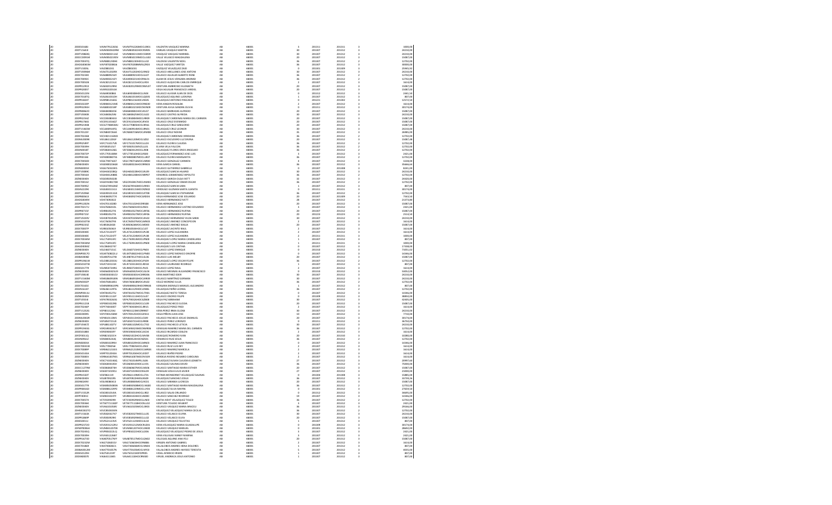|                                         | 20DES0168J               | VAVM79122656                               | VAVM791226MOCLSR01                       | VALENTIN VASQUEZ MARINA                                            |                      | <b>AR001</b>          |                                               | 201311           | 201311           |                                             |
|-----------------------------------------|--------------------------|--------------------------------------------|------------------------------------------|--------------------------------------------------------------------|----------------------|-----------------------|-----------------------------------------------|------------------|------------------|---------------------------------------------|
| $\frac{1}{20}$                          | 20DTV1643I               | VAVM830502RW                               | VAVM830502HOCRSR05                       | VARGAS VASQUEZ MARTIN                                              | AB<br>AB             | AB001                 | 30                                            | 201307           | 201312           |                                             |
| $^{20}$                                 | 20DTV0860Q               | VAVM840211AZ                               | VAVM840211MOCSSR09                       | VASQUEZ VASQUEZ MARIBEL                                            |                      | AB001                 |                                               | 201307           | 201312           |                                             |
| $_{20}$                                 | 20DCC0091M               | VAVM850219DV                               | VAVM850219MOCLLG02                       | VALLE VELASCO MAGDALENA                                            | AB<br>AB             | AB001                 | $\begin{array}{c} 30 \\ 20 \end{array}$       | 201307           | 201312           | $\frac{3}{3}$                               |
| $_{20}$                                 | 20DST0047Q               | <b>VAVN881230HE</b>                        | VAVN881230HOCLLL02                       | VALDIVIA VALENTIN NOEL                                             | AB                   | AB001                 | 36                                            | 201307           | 201312           | $\overline{\mathbf{c}}$                     |
| 20                                      | 20ADG0065M               | VAVY870208G6                               | VAVY870208MMSLZR03                       | VALLE VAZQUEZ YARITZA                                              | AB                   | AB001                 | 36                                            | 201307           | 201312           | $\overline{\mathbf{3}}$                     |
| $_{20}$                                 | 20DTV1005L               | VAVZ881031                                 | VAVZ881031                               | VAZQUEZ VELAZQUEZ ZAID                                             | AB                   | AB001                 | $\mathfrak{o}$                                | 201301           | 201309           | $\overline{\phantom{a}}$                    |
| 20<br>$_{20}$                           | 20DTV0096M<br>20DST0234K | <b>VFAA751202RX</b><br>VEAA8809216Y        | VEAA751202HOCLRN02<br>VEAA880921HOCLGL07 | VELASCO ARELLANES JOSE ANTONI<br>VELASCO AGUILAR ALBERTO RENE      | 4R<br>AB             | <b>AR001</b><br>AB001 | 30<br>36                                      | 201307<br>201307 | 201312<br>201312 | $\frac{3}{2}$                               |
| $_{20}$                                 | 20DST0092C               | <b>VEAA900221EY</b>                        | VEAA900221HOCRNL01                       |                                                                    |                      | <b>AR001</b>          |                                               | 201307           | 201312           |                                             |
| 20                                      | 20DST0052B               | <b>VEAC821215LX</b>                        | VEAC821215HOCLLR03                       | ALAM DE JESUS VERGARA ANDRAD<br>VELASCO ALQUICIRA CARLOS ENRRIQUE  | AB<br>AB             | AB001                 | $\frac{36}{2}$                                | 201307           | 201312           | $\frac{2}{3}$                               |
| $_{20}$                                 |                          | VEAE820129R4                               | VEAE820129MOCNML07                       |                                                                    |                      | AB001                 |                                               | 201307           | 201312           |                                             |
| $\overline{20}$                         | 20DPR1291X<br>20DPR2005T | <b>VEAF810201GK</b>                        |                                          | VENTURA AMBROSIO ELIZABETH<br>VEGA AGUILAR FRANCISCO JARDIEL       | AB<br>AB             | AB001                 | $\begin{array}{c} 20 \\ 20 \end{array}$       | 201307           | 201312           | $\frac{3}{3}$                               |
| $\begin{array}{c} 20 \\ 20 \end{array}$ | 20DES0123N               | VEAJ6903086S                               | VEAJ690308HOCLLN04<br>VEAL861031MOCLQD05 | VELASCO ALVEAR JUAN DE DIOS<br>VELAZQUEZ AQUINO LUDIVINA           | AB<br>AB             | AB001                 | $\begin{smallmatrix}0\\1\end{smallmatrix}$    | 201312           | 201312           | $\frac{3}{3}$                               |
|                                         | 20DST0187Q               | <b>VEAL861031DH</b>                        |                                          |                                                                    |                      | AB001                 |                                               | 201307           | 201312           |                                             |
| 20                                      | 20DPR1824T               | <b>VEAP881216SG</b>                        | VEAP881216HOCLNS05                       | VELAZQUEZ ANTONIO PASCASIO                                         | AB<br>AB             | AB001                 | $\begin{smallmatrix}0\\2\end{smallmatrix}$    | 201221           | 201302           | $\frac{3}{3}$                               |
| $_{20}$                                 | 20DES0220P               | <b>VEAR840121ME</b>                        | VEAR840121MOCRNS00                       | VERA ANGON ROSALBA                                                 |                      | AB001                 |                                               | 201307           | 201312           |                                             |
| 20                                      | 20DPR3294H               | VEAS881021BP                               | VEAS881021MOCNVN09                       | VENTURA AVILA SANDRA OLIVIA                                        | AB                   | AB001                 | $\bf{0}$                                      | 201311           | 201312           | 3                                           |
| 20                                      | 20DPB0862O               | <b>VEBA8408025E</b>                        | VEBA840802HOCLRL07                       | VELASCO BARRADAS ALFREDO                                           | AB                   | AB001                 | 20                                            | 201307<br>201307 | 201312<br>201312 | $\overline{\mathbf{3}}$                     |
| $^{20}$<br>20                           | 20DTV0040K<br>20DPR2254Z | <b>VECA840625RJ</b><br>VECC85080433        | VECA840625MOCLSL02<br>VECC850804MOCLRR09 | VELASCO CASTRO ALFREDA<br>VELASQUEZ CARDENAS MARIA DEL CARMEN      | AB<br>AB             | AB001<br>AB001        | 30<br>20                                      | 201307           | 201312           | $\overline{\mathbf{3}}$                     |
| 20                                      | 20DPB1766S               | VECE911016QT                               | VECE911016HOCLRV03                       | VELASCO CRUZ EVERARDO                                              | AB                   | AB001                 | 20                                            | 201307           | 201312           | 3                                           |
| 20                                      | 20DPR2194R               | VECG770805ML                               | VECG770805HOCLBR16                       | VELAZOUEZ CRUZ GREGORIO                                            | ΔR                   | <b>AR001</b>          |                                               | 201307           | 201312           | $\overline{a}$                              |
| $_{20}$                                 | 20DTV1465W               | <b>VECL840914FQ</b>                        | VECL840914MOCLRN01                       | VELASQUEZ CRUZ LEONOR                                              | AB                   | AB001                 | $\begin{array}{c} 20 \\ 30 \end{array}$       | 201307           | 201312           | 3                                           |
| $_{20}$                                 | 20DST0123F               | <b>VECN84072644</b>                        | VECN840726MOCLRM08                       | VELASCO CRUZ NOEMI                                                 | AB                   | <b>AR001</b>          |                                               | 201307           | 201312           |                                             |
| 20                                      | 20DST0226B               | VECV821116M3                               |                                          | VELASQUEZ CARDENAS VIRIDIANA                                       | AB                   | AB001                 | 35<br>36                                      | 201307           | 201312           | $\frac{3}{2}$                               |
| $_{20}$                                 | 20DML0009                | <b>VEEL861120GF</b>                        | VEEL861120MOCLSZ02                       | VELASCO ESCUDERO LUZ DIVINA                                        | AB                   | AB001                 | $_{\rm 20}$                                   | 201307           | 201312           | 3                                           |
| 20                                      | 20DPR2599T               | <b>VEFC751017V8</b>                        | VEFC751017MOCLLL03                       | VELASCO FLORES CLAUDIA                                             | AB                   | AB001                 | 36                                            | 201307           | 201312           | $\overline{2}$                              |
| 20                                      | 20DST0039H               | VEFE850515J7                               | VEFE850515MVZLLL01                       | ELVIRA VELA FALCON                                                 | AB                   | AB001                 | 36                                            | 201307           | 201312           |                                             |
| 20                                      | 20DJN0018T               | <b>VEFE8604126G</b>                        | VEFE860412HOCLLR08                       | VELASQUEZ FLORES ERICK ANSELMO                                     | AB                   | AB001                 | 36                                            | 201307           | 201312           | $\overline{a}$                              |
| $_{20}$<br>20                           | 20DST0072P<br>20DPR0158J | VEFL7705108M<br>VEFM800807S5               | VEFL770510HOCLRS00<br>VEFM800807MOCLLR07 | VELAZQUEZ FERNANDEZ JOSE LUIS<br><b>VELASCO FLORES MARGARITA</b>   | AB<br>AB             | AB001<br>AB001        | $\mathsf 3$<br>36                             | 201307<br>201307 | 201312<br>201312 | $\frac{3}{2}$                               |
| 20                                      | 20DST0050D               | VEGC790716S7                               | VEGC790716MOCLNR00                       | VELASCO GONZALEZ CARMEN                                            | AB                   | AB001                 | $\sqrt{4}$                                    | 201307           | 201312           | 3                                           |
| 20                                      | 207NF0040V               | VEGD800226G8                               | VEDG800226HOCRRN03                       | VERA GARCIA DANIEL                                                 | AB                   | <b>AR001</b>          |                                               | 201307           | 201312           | $\overline{3}$                              |
| $_{20}$                                 | 20DNS0001K               | VEGG750323K5                               |                                          | VELASCO GUTIERREZ GABRIELA                                         | <br>АВ               | AB001                 | $\begin{array}{c} 36 \\ 0 \end{array}$        | 201307           | 201308           | 3                                           |
| $_{20}$                                 | 20DTV0089C               | <b>VEGH650228QJ</b>                        | VEGH650228HOCLRL09                       | VELAZQUEZ GARCIA HILARIO                                           | AB                   | AB001                 | 30                                            | 201307           | 201312           | 3                                           |
| 20                                      | 20DST0016X               | <b>VEGH841208B5</b>                        | VEGH841208HOCNRP07                       | VENDREEL GRAMENDEZ HIPOLITO                                        | AB                   | AB001                 | 36                                            | 201307           | 201312           | $\overline{\mathbf{2}}$                     |
| $_{20}$                                 | 202NE0040V               | <b>VEGO850502JB</b>                        |                                          | VELASCO GARCIA OLGA IVETT                                          | AB                   | AB001                 | 32                                            | 201307           | 201312           | 3                                           |
| 20                                      | 20DST00132               | VEGO910817D8                               | VEGO910817HOCLNM03                       | VELASCO GONZALEZ OMAR OSCAR                                        | AB                   | AB001                 | $\begin{array}{c} 36 \\ 1 \end{array}$        | 201307           | 201312           | $\begin{smallmatrix}2\2\3\end{smallmatrix}$ |
| 20                                      | 20DST00952               | VEGS670916MZ                               | VEGS670916MOCLRR03                       | VELAZQUEZ GARCIA SARA                                              | AB                   | AB001                 |                                               | 201307           | 201312           |                                             |
| 20                                      | 20DJN2229K               | VEGS83011513                               | VEGS830115MOCRZN02                       | VERDUGO GUZMAN SANTA JUANITA                                       | AB                   | AB001                 | $\circ$                                       | 201311           | 201311           | $\overline{\mathbf{3}}$                     |
| $_{20}$                                 | 20DTV0296K               | VEGS901011GX                               | VEGS901011MOCLRT08                       | <b>VELASQUEZ GARCIA STEPHANNIE</b>                                 | AB                   | AB001                 | 36                                            | 201307           | 201312           | $\overline{2}$                              |
| 20                                      | 20DPR0061X               | VEHER4092774                               | VEHE840927HOCGRD04                       | VEGA HERNANDEZ JOSE EDUARDO                                        | ΔR                   | <b>AR001</b>          | $_{\rm 28}^{20}$                              | 201307           | 201309           | 3<br>3                                      |
| $_{20}$<br>20                           | 20ADG0049V<br>20DPR1202N | VEHI73092022                               | VEHJ701102HOCRRS08                       | VELASCO HERNANDEZ IVETT                                            | AB<br>AB             | AB001<br><b>AR001</b> |                                               | 201307<br>201307 | 201312<br>201312 |                                             |
| $\overline{20}$                         | 20DST0217U               | VEHJ7011028D<br>VEHJ760601DL               | VEHJ760601HOCLRS01                       | VERA HERNANDEZ JOSE<br>VELASCO HERNANDEZ JUSTINO EDUARDO           | AB                   | AB001                 | $\frac{20}{3}$                                | 201307           | 201312           | 3<br>3                                      |
| $_{20}$                                 |                          |                                            |                                          |                                                                    |                      | <b>AR001</b>          |                                               | 201307           | 201312           |                                             |
| $_{20}$                                 | 20DPR0715F<br>20DPR0715F | <b>VEHR810527IS<br/>VEHR810527IS</b>       | VEHR810527MOCLRF06<br>VEHR810527MOCLRF06 | VELAZCO HERNANDEZ RUFINA<br>VELAZCO HERNANDEZ RUFINA               | AB<br>AB             | AB001                 | $\begin{array}{c} 20 \\ 20 \end{array}$       | 201223           | 201223           | $\frac{3}{3}$                               |
|                                         | 20DTV0220V               |                                            |                                          |                                                                    |                      | AB001                 |                                               | 201307           | 201312           |                                             |
| $\frac{20}{20}$                         | 20DES0107W               | VEHV87010595<br>VEIC76050793               | VEHV870105MOCLRL02<br>VEJC760507MOCLMN03 | VELASQUEZ HERNANDEZ VILDA SARAI<br>VELASQUEZ JIMENEZ CONCEPCION    | AB<br>AB             | AB001                 | $\begin{array}{c} 30 \\ 2 \end{array}$        | 201307           | 201312           | 3<br>3                                      |
| $_{20}$                                 | 20DPR02332               | VEJI85062658                               | VEJI850626MOCLMD00                       | VELASQUEZ JIMENEZ IDALIA                                           | AB                   | AB001                 | 20                                            | 201307           | 201312           | 3                                           |
| 20                                      | 20DST0007P               | VEJR810504L9                               | VEJR810504HOCLCL07                       | VELASQUEZ JACINTO RAUL                                             | AB                   | AB001                 | $\overline{2}$                                | 201307           | 201312           | $\overline{\mathbf{3}}$                     |
| $_{20}$                                 | 20DES0040E               | <b>VELA7312247T</b>                        | VELA731224MOCLPL08                       | VELASCO LOPEZ ALEJANDRA                                            | AB                   | AB001                 | $\overline{2}$                                | 201307           | 201312           |                                             |
| 20                                      | 20DES0040E               | <b>VFI 47312247T</b>                       | VELA731224MOCLPLOS                       | VELASCO LOPEZ ALEIANDRA                                            | 4R                   | <b>AR001</b>          | $\begin{smallmatrix}2\\1\end{smallmatrix}$    | 201311           | 201311           | $\frac{3}{3}$                               |
| $_{20}$                                 | 20DST0034M               | VELC750913FC                               | VELC750913MOCLPN00                       | VELASQUEZ LOPEZ MARIA CANDELARIA                                   | AB                   | AB001                 |                                               | 201307           | 201312           |                                             |
| $_{20}$<br>$20^{-1}$                    | 20DST0034M<br>20AGD0004Z | VELC750913FC<br>VELC86042747               | VELC750913MOCLPN00                       | VELASQUEZ LOPEZ MARIA CANDELARIA<br>VELASQUEZ LUIS CINTHIA         | AB<br>AB             | <b>AR001</b><br>AB001 |                                               | 201311           | 201311           | 3<br>3                                      |
|                                         |                          |                                            |                                          |                                                                    |                      |                       | $\overline{0}$                                | 201307           | 201312           |                                             |
| $_{20}$                                 | 20ZNE0040V               | VELE4607151C<br>VELM750822LU               | VELE460715HOCLPN03<br>VELM750822HOCLPN00 | VELASCO LOPEZ ENRIQUE<br>VELASCO LOPEZ MONICO ONOFRE               | AB<br>AB             | AB001<br>AB001        | $\begin{smallmatrix}0\\0\\0\end{smallmatrix}$ | 201310           | 201312           | $\frac{3}{3}$                               |
| 20                                      | 20DNP0017O<br>20DBA00082 |                                            |                                          |                                                                    |                      |                       |                                               | 201307           | 201312           |                                             |
| $\begin{array}{c} 20 \\ 20 \end{array}$ | 20DPR1961W               | VELM8701271B<br>VELO8812033U               | VELM870127HOCLSL06<br>VELO881203HOCLPS09 | VELASCO LUIS MELBY<br>VELASQUEZ LOPEZ OSCAR FELIPE                 | AB<br>AB             | AB001<br>AB001        | 20<br>36                                      | 201307<br>201307 | 201312<br>201312 | $\frac{3}{2}$                               |
| 20                                      | 20DES0107W               | VELR7103131K                               | VELR710313HOCLRD18                       | VELASCO LAUREANO RODRIGO                                           |                      | AB001                 |                                               | 201307           | 201312           |                                             |
| $_{20}$                                 | 20DES0177R               | VELR850724RG                               | VELR850724HOCLPL05                       | VELASCO LOPEZ RAUL                                                 | AB<br>AB             | AB001                 | $\begin{smallmatrix}1\\1\\2\end{smallmatrix}$ | 201307           | 201312           | $\frac{3}{3}$                               |
|                                         | 202NE0040V               | VEMA600425U9                               | VEMA600425HOCLSL04                       | VELASCO MESINAS ALEJANDRO FRANCISCO                                | AB                   | AB001                 | $\circ$                                       | 201310           | 201312           |                                             |
| 20                                      | 20DTV0814E               | <b>VEME830301CV</b>                        | VEME830301HCSRRD06                       | VERA MARTINEZ EDER                                                 | AB                   | AB001                 | 30                                            | 201307           | 201312           | $\overline{\mathbf{3}}$                     |
| $^{20}$                                 | 20DTV1540M               | <b>VEMG860918IN</b>                        | VEMG860918HOCLRR09                       | VELASCO MARTÍNEZ GERMAN                                            | AB                   | AB001                 | $\begin{array}{c} 30 \\ 36 \\ 1 \end{array}$  | 201307           | 201312           | $\frac{3}{2}$                               |
| 20                                      | 20DJN0302P               | VEMJ76061851                               | VEMJ760618MOCLRL02                       | VELEZ MORENO JULIA                                                 | AB                   | AB001                 |                                               | 201307           | 201312           |                                             |
| $_{20}$                                 | 20DST0165E               | VEMM890619P6                               | VEMM890619HOCRRN04                       | VERGARA MORALES MANUEL ALEJANDRO                                   | AB                   | AB001                 |                                               | 201307           | 201312           | $\frac{3}{2}$                               |
| 20                                      | 20D IN 1614Y             | <b>VFNI 861129T6</b>                       | VENL861129HOCLXNO6                       | VELAZOUEZ NIÑO LEONEL                                              | AR.                  | <b>AR001</b>          | 36                                            | 201307           | 201312           |                                             |
| 20                                      | 20DNP0011U               | <b>VENT810527SJ</b>                        | VENT810527MOCLTR01                       | <b>VELASQUEZ NIETO TERESA</b>                                      | AB                   | AB001<br><b>AR001</b> | $\circ$                                       | 201307           | 201312           | 3                                           |
| $_{20}$<br>$_{20}$                      | 20ZNE0040V               | VEOF851113JP<br>VEPA7903263G               | VEOF851113HOCLSL07<br>VEPA790326HOCGZB08 | VELASCO OSORIO FELIPE<br>VEGA PAZ ABRAHAM                          | AB<br>AB             |                       | $\bf{0}$                                      | 201309           | 201312           | $\frac{1}{3}$                               |
|                                         | 20DTV0554                |                                            |                                          |                                                                    |                      | AB001                 | 30                                            | 201307<br>201307 | 201312<br>201312 | 3                                           |
| 20                                      | 20DPB1121B<br>20DST0246F | <b>VEPE801022NS</b><br><b>VEPF740430ET</b> | VEPE801022MOCLCL09<br>VEPF740430HOCLRR15 | VELASCO PACHECO ELODIA<br>VELAZQUEZ PEREZ FRED                     | AB<br>AB             | AB001<br>AB001        | $_{\rm 20}$<br>$\overline{2}$                 | 201307           | 201312           | 3<br>$\overline{\mathbf{3}}$                |
| 20                                      | 20DTV1232G               | VEPI831123AJ                               | VEPI831123MVZRRR07                       | VERA PEREZ IRMA ELIZAB                                             | AB                   | AB001                 | 30                                            | 201307           | 201312           |                                             |
| 20                                      | 20DEE0009S               | VEPJ700125BM                               | VEPJ700125HOCGXN11                       | <b>VEGA PIÑON JUAN JOSE</b>                                        | AB                   | AB001                 | 10                                            | 201307           | 201312           | $\overline{\mathbf{3}}$                     |
| $_{20}$                                 | 20DML0002R               | VEPJ810113M1                               | VEPJ810113HOCLCS09                       | VELASCO PACHECO JOSUE EMANUEL                                      | AB                   | AB001                 | $_{\rm 20}$                                   | 201307           | 201312           | 3                                           |
| 20                                      | 20ZNE0040V               | <b>VEPL850721UE</b>                        | VEPL850721HOCLRR08                       | VELASCO PEREZ LORENZO                                              | AB                   | AB001                 | $\circ$                                       | 201311           | 201312           | $\overline{3}$                              |
| $_{20}$                                 | 20DTV04472               | VEPL881102TV                               | VEPL881102MOCLCT02                       | VELASCO PACHECO LETICIA                                            | AB                   | AB001                 | 30                                            | 201307           | 201312           | 3                                           |
| 20                                      | 200PR1943G               | VERC690423UT                               | VERC690423MOCNMR06                       | VENEGAS RAMIREZ MARIA DEL CARMEN                                   | 4Ŕ                   | <b>AR001</b>          | $\frac{36}{2}$                                | 201307           | 201312           | $\overline{2}$                              |
| 20                                      | 20DES0188X               | <b>VERIS90403FF</b>                        | VERX590403HOCLXC04                       | VELASCO RICARDO ODILON                                             | AB                   | AB001                 |                                               | 201307           | 201312           | 3                                           |
| $_{20}$<br>$_{20}$                      | 20F2F0011Q               | <b>VERI821022CH</b><br>VERJ800524JQ        | VERI821022HOCLMV08<br>VERJ800524HOCN2S01 | VEASQUEZ ROMERO IVAN<br>VENANCIO RUIZ JESUS                        | AB<br>AB             | AB001<br>AB001        | 20<br>36                                      | 201307           | 201310           | 3<br>$\overline{\mathbf{2}}$                |
| $_{20}$                                 | 20DJN0961Z<br>20DNS0001K | <b>VERJ801029NV</b>                        | VERJ801029HOCLMN03                       | VELASCO RAMIREZ JUAN FRANCISCO                                     | AB                   | AB001                 | $\,$ 0 $\,$                                   | 201307<br>201307 | 201312<br>201312 | 3                                           |
| 20                                      | 20DST0041W               | VERL7708256I                               | VERL770825HOCLZS02                       | VELASCO RUIZ LUIS REY                                              | AB                   | AB001                 |                                               | 201307           | 201312           |                                             |
| 20                                      | 20DST0089P               | <b>VERM621210J5</b>                        | VERM621210MOCLMR04                       | VELASCO RAMIREZ MARCELA                                            | AB                   | AB001                 | $\begin{smallmatrix}2\\2\\2\end{smallmatrix}$ | 201307           | 201312           | 3<br>3                                      |
| 20                                      | 20DES0143A               | VERP7012043A                               | VERP701204HOCLXD07                       | VELASCO RIAÑO PEDRO                                                | AB                   | AB001                 |                                               | 201307           | 201312           | $\overline{\mathbf{3}}$                     |
| $_{20}$                                 | 20DST0083V               | VERR641007M1                               | VERR641007MOCRVS09                       | VERDEJA RIVERO ROSARIO CAROLINA                                    | AB                   | AB001                 | $\frac{2}{2}$                                 | 201307           | 201312           |                                             |
| 20                                      | 202NF0040V               | VESC741014GO                               | VESC741014MPH SL06                       | VELAZQUEZ SUSAN CLAUDIA ELIZABETH                                  | A <sub>R</sub>       | <b>AR001</b>          | 27                                            | 201307           | 201312           | $\overline{a}$                              |
| $_{20}$                                 | 202NE0040V               | <b>VESD600410SH</b>                        | VESD600410HOCLLV01                       | VELASQUEZ SALINAS DAVID                                            | AB                   | AB001                 | 36                                            | 201307           | 201312           |                                             |
| 20                                      | 20DCC1279W               | <b>VESE8606074H</b>                        | VESE860607MOCLNS06                       | VELASCO SANTIAGO MARIA ESTHER                                      | 4R                   | <b>AR001</b>          | $\begin{array}{c} 20 \\ 27 \end{array}$       | 201307           | 201312           | 3<br>3                                      |
| $\overline{20}$                         | 202NE0040V               | VESE871019CU                               | VESE871019HOCNSL09                       | VENEGAS SOSA ELIUD JAVIER                                          | AB                   | AB001                 |                                               | 201307           | 201312           |                                             |
| $_{20}$                                 | 20DPB1550T               | VESF861119                                 | VESF861119MOCLLT01<br>VESJ870922HMSLNS09 | FATIMA MONSERRAT VELASQUEZ SALINAS<br>VELAZQUEZ SANCHEZ JOSUE      | AB                   | AB001                 | $\bf{0}$                                      | 201304           | 201308           | 3                                           |
| 20<br>$\overline{20}$                   | 20ZNE0040V<br>20DIN0249V | VESJ8709229S<br>VESL90080413               | VESL900804MOCLRC01                       | VELASCO SARABIA LUCRECIA                                           | AB<br>AB             | AB001<br>AB001        | 36<br>$\mathbf{20}$                           | 201307<br>201307 | 201312<br>201312 | $\overline{\mathbf{3}}$<br>3                |
| 20                                      | 20DES0177R               | VESM850508SN                               | VESM850508MOCLNG00                       | VELASCO SANTIAGO MARIA MAGDALENA                                   | AB                   | AB001                 | 36                                            | 201307           | 201312           | $\mathbf 2$                                 |
| $_{20}$                                 | 20DPR0816D               | VESM881229P2                               | VESM881229MOCLLY04                       | VELASQUEZ SILVA MAYRA                                              | AB                   | AB001                 | $\mathfrak o$                                 | 201301           | 201312           |                                             |
| 20                                      | 20DTV1552R               | VESO831014IA                               | VESO831014HOCLLR02                       | VELASCO SALAS ORLANDO                                              | AB                   | AB001                 | $\circ$                                       | 201312           | 201312           | 3                                           |
| $_{20}$                                 | 20FPF0001C               | <b>VESR831024TF</b>                        | VESR831024HOCLND00                       | VELASCO SANCHEZ RODRIGO                                            | AB                   | AB001                 | $\frac{1}{2}$                                 | 201307           | 201312           |                                             |
| 20                                      | 20DST00578               | VFTC92092991                               | VETC920929MOCLIN03                       | CINTIA IVEHT VELAZQUEZ TOLED                                       | 4R                   | <b>AR001</b>          | $\frac{36}{3}$                                | 201307           | 201312           | $\overline{2}$                              |
| $_{20}$                                 | 20DST0036K               | VETW7711182P                               | VETW771118HOCNLL02                       | VENTURA TOLEDO WILBERT                                             | AB                   | AB001                 |                                               | 201307           | 201312           |                                             |
| 20                                      | 20ZNE0040V               | VEVA6101058V<br>VEVC850303EN               | VEVA610105MOCLSR03                       | VELASCO VASQUEZ MARIA ARACELI<br>VELAZQUEZ VELAZQUEZ MARIA CECILIA | AB<br>AB             | <b>AR001</b>          | $\begin{array}{c} 36 \\ 36 \end{array}$       | 201307           | 201312           | $\frac{3}{2}$                               |
| 20                                      | 20HMC0027O               |                                            |                                          |                                                                    |                      | AB001                 |                                               | 201307           | 201312           |                                             |
| $\begin{array}{c} 20 \\ 20 \end{array}$ | 20DTV1563X<br>20DPR1869P | VEVE82032747<br>VEVE850929KI               | VEVE820327MOCLLL05<br>VEVE850929MOCLLL02 | VELASCO VELASCO ELVIRA                                             | AB<br>AB             | AB001<br>AB001        | $\begin{array}{c} 30 \\ 20 \end{array}$       | 201307           | 201312           | 3<br>3                                      |
|                                         | 20DES0011J               |                                            |                                          | VELASCO VELASCO ELVIA                                              |                      | AB001                 |                                               | 201307<br>201307 | 201312<br>201312 |                                             |
| $\begin{array}{c} 20 \\ 20 \end{array}$ | 20DPR2372O               | <b>VEVF621123VE</b><br><b>VEVG931212RU</b> | VEVF621123MOCLSL02<br>VEVG931212MOCRLD01 | VELASCO VASQUEZ FELICITAS<br>VELASCO VASQUEZ MARIA GUADALUPE       | AB<br>AB             | AB001                 | $\begin{smallmatrix}1\\1\\0\end{smallmatrix}$ | 201309           | 201312           | $\frac{3}{3}$                               |
| 20                                      | 20FMP0006H               | <b>VEVM841207DE</b>                        | VEVM841207HOCLSN00                       | VELASCO VASQUEZ MANUEL                                             | AB                   | AB001                 |                                               | 201301           | 201312           |                                             |
| $_{20}$                                 | 20DST0245Q               | VEVP850222LQ                               | VEVP850222HOCLLD06                       | VELAZQUEZ VELAZQUEZ PEDRO DE JESUS                                 | AB                   | AB001                 | $\begin{array}{c} 0 \\ 3 \end{array}$         | 201307           | 201312           | 3                                           |
| 20                                      | 20DST0039H               | VEVV651226B7                               |                                          | <b>VERA VILLEGAS VIANEY MARINA</b>                                 | AB                   | AB001                 | 3                                             | 201307           | 201312           |                                             |
| 20                                      | 20DPR1673D               | VIAA870517MY                               | VIAA870517MOCLON02                       | VILLEGAS AQUINO ANA YELI                                           | AB                   | AB001                 | 20                                            | 201307           | 201312           | $\overline{\mathbf{3}}$                     |
| 20                                      | 20DST0232M               | VIAG7106031V                               | VIAG710603HOCRNB06                       | <b>VIRGEN ANTONIO GABRIEL</b>                                      | AB                   | AB001                 | $\overline{\mathbf{2}}$                       | 201307           | 201312           |                                             |
| 20                                      | 20DST0186R               | VIAH740606C1                               | VIAH740606MOCLNN04                       | VILLALOBOS ANDRES HENA DOLORES                                     | AB                   | AB001                 | $\mathbf{1}$                                  | 201307           | 201312           | $\overline{\mathbf{3}}$                     |
| 20<br>20                                | 20DBA0012M<br>20DES0129H | VIAH7701057N<br>VIA1750121RT               | VIAH770105MOCLNY03<br>VIA1750121HDEDPR05 | VILLALOBOS ANDRES HAYDEE TERESITA<br>VIDAL APARICIO IRWIN          | AB<br>A <sub>R</sub> | AB001<br><b>AR001</b> | 5<br>$\mathbf{1}$                             | 201307<br>201307 | 201312<br>201312 | 3<br>$\overline{a}$                         |
| 20                                      | 20DSN0007E               | VIAJ64111845                               | VIAJ641118HOCRNS00                       | VIRUEL ANDRACA JESUS ANTONIO                                       | AB                   | AB001                 | $\mathbf{1}$                                  | 201307           |                  | $\overline{\mathbf{3}}$                     |
|                                         |                          |                                            |                                          |                                                                    |                      |                       |                                               |                  | 201312           |                                             |

# 1000,00 3 24210,00 3 24210,00 3 15087,00 2 12702,00 3 30000,00 3 25945,92 3 24210,00 2 12702,00 2 12702,00 3 1614,00 3 15087,00 3 15087,00 3 2441,50 3 807,00 3 12572,50 3 1614,00 3 30174,00 3 15087,00 3 24210,00 3 15087,00 3 15087,00 3 15087,00 3 24210,00 3 26985,00 2 12702,00 3 15087,48 2 12702,00 2 12702,00 2 12702,00 3 2421,00 2 12702,00 3 3228,00 3 35666,64 3 8241,00 3 24210,00 2 12702,00 3 24420,00 2 12702,00 3 807,00 3 30174,00 2 12702,00 3 7543,50 3 21373,80 3 15087,00 3 2421,00 3 15087,00 3 2514,50 3 24210,00 3 1614,00 3 15087,00 3 1614,00 3 1614,00 3 1000,00 3 807,00 3 1000,00 3 17338,00 3 71051,02 3 14346,00 3 15087,00 2 12702,00 3 807,00 3 1614,00 3 53052,00 3 24210,00 3 24210,00 2 12702,00 3 807,00 2 12702,00 3 14346,00 3 38850,00 3 42405,00 3 15087,00 3 1614,00 3 24210,00 3 7710,00 3 30174,00 3 36750,00 3 24210,00 2 12702,00 3 1614,00 3 10280,00 2 12702,00 3 14346,00 3 1614,00 3 1614,00 3 1614,00 3 1614,00 3 20997,60 3 75000,00 3 15087,00 3 21000,00 3 15885,00 3 33739,26 3 15087,00 2 12702,00 3 27659,50 3 34695,00 3 14346,00 2 12702,00 3 2421,00 3 29166,00 2 12702,00 3 24210,00 3 15087,00 3 807,00 3 30174,00 3 28692,00 3 2421,00 3 2421,00 3 15087,00 3 1614,00 3 807,00 3 4035,00 3 807,00 3 807,00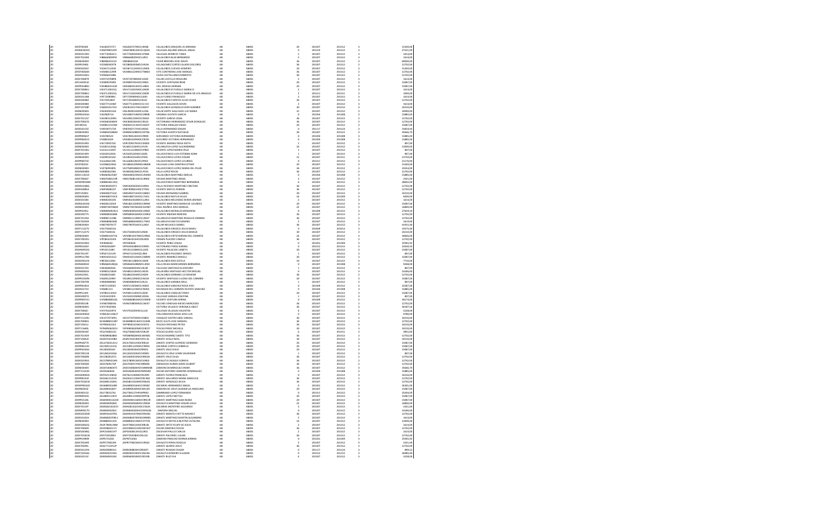| 20<br>20                                      | 20FZF0030E               | VIAL820727C7                        | VIAL820727MOCLRS08                       | VILLALOBOS ARAGON LIS ADRIANA                                    | AR.             | AB001                 | 20                                          | 201307           | 201312<br>201312 |                         | 15420,00<br>27521,00 |
|-----------------------------------------------|--------------------------|-------------------------------------|------------------------------------------|------------------------------------------------------------------|-----------------|-----------------------|---------------------------------------------|------------------|------------------|-------------------------|----------------------|
|                                               | 20HMC0023S               | VIAM780912FK                        | VIAM780912HOCLQG05                       | VILLEGAS AQUINO MIGUEL ANGEL                                     | AB              | AB001                 | $\theta$                                    | 201310           |                  |                         |                      |
| 20<br>20                                      | 20DES01390               | VIAT730402CU                        | VIAT730402MOCLPN08                       | VILLEGAS APARICIO TANIA<br>VILLALOBOS BLAS BERNARDO              | AB              | AB001                 | $\overline{\mathbf{2}}$                     | 201307           | 201312           |                         | 1614,00              |
|                                               | 20DST0244R               | VIBB660820FM                        | VIBB660820HOCLLR01                       |                                                                  | AB              | AB001                 | $\overline{2}$                              | 201307           | 201312           |                         | 1614,00              |
| 20                                            | 202NE0040V               | VIBD860321UX                        | VIBD8603218                              | VIVAR BRIONES JOSE DAVID                                         | AB              | AB001                 | 36                                          | 201307           | 201312           |                         | 69000,00             |
| 20<br>20                                      | 20DPR1940J<br>20DES02022 | VICD800303TR<br>VICH6711243E        | VICD800303MOCLRL06<br>VICH671124HOCLVM05 | VILLAGOMEZ CORTES GLADIS DOLORES<br>VILLALOBOS CUEVAS HOMERO     | AB<br>AB        | AB001<br>AB001        | 36<br>$20\,$                                | 201307<br>201307 | 201312<br>201312 | $\overline{2}$          | 12702.00<br>15420,00 |
|                                               | 20FZF0056M               | <b>VICM841229IR</b>                 | VICM841229HOCTNN03                       | VITE CONTRERAS JOSE MANUEL                                       | <b>AR</b>       | <b>AR001</b>          |                                             | 201307           | 201312           | $\overline{ }$          | 12702.00             |
| $\begin{array}{c} 20 \\ 20 \end{array}$       | 20DJN1444U               | VICR66021086                        |                                          | VIVAS CASTELLANOS ROBERTO                                        | AB              | AB001                 | $\begin{array}{c} 36 \\ 36 \end{array}$     | 201307           | 201312           |                         | 12702,00             |
|                                               | 20DST0087R               |                                     | VICR710708MOCLSS05                       |                                                                  | AB              | <b>AR001</b>          |                                             | 201307           | 201312           | $\overline{\mathbf{3}}$ | 1614.00              |
| 20<br>20                                      | 20FUA00532               | VICR710708PB<br>VICR890705RE        | VICR890705HOCCRN01                       | VILLAR CASTILLO ROSAURA<br>VICENTE CORTAZAR RENE                 | AB              | AB001                 | $\begin{smallmatrix}2\\20\end{smallmatrix}$ | 201307           | 201312           |                         | 15087.00             |
|                                               | 20DPR3588U               |                                     | VIDH860413HOCLHR04                       | VIEL DEHESA HERNAN                                               | AB              | AB001                 | $_{\rm 20}$                                 | 201307           | 201312           |                         | 15087,00             |
| 20<br>20                                      | 20DST0084U               | VIDH860413LW<br>VIEA7110015Q        | VIEA711001MOCLSN09                       | VILLALOBOS ESTUDILLO MARIA D                                     | AB              | AB001                 | $\overline{2}$                              | 201307           | 201312           |                         | 1614,00              |
|                                               | 20DST0084U               |                                     | VIEA711001MOCLSN09                       | VILLALOBOS ESTUDILLO MARIA DE LOS ANGELES                        | AB              | AB001                 |                                             | 201311           | 201311           |                         | 1000,00              |
| $\begin{array}{c} 20 \\ 20 \end{array}$       | 20DES0118B               | VIEA7110015Q                        | VIFF720909HOCLLR03                       | VILLA FLORES FRANCISCO                                           | AB              | AB001                 | $\frac{2}{2}$                               | 201307           | 201312           |                         | 1614,00              |
|                                               | 20DES0048X               | VIFJ720328J9                        | VIFJ720328HOCLNL01                       | VILLALOBOS FUENTES JULIO CESAR                                   | AB              | AB003                 | 36                                          | 201307           | 201312           |                         | 12702,00             |
| $\frac{20}{20}$                               | 20DES0048X               | VIGD7711046F                        | VIGD771104HOCCLV14                       | VICENTE GALLEGOS DAVID                                           | AB              | AB001                 | $\overline{2}$                              | 201307           | 201312           |                         | 1614.00              |
|                                               | 20DTV0738F               | VIGE831017HX                        | VIGE831017HOCLND07                       | VILLALOBOS GONZALEZ EDER HUMBER                                  | AB              | AB001                 | 30                                          | 201307           | 201312           |                         | 24210,00             |
| 20<br>20                                      | 20ZNE0040V               | VIGL8509153A                        | VIGL850915MOCLLZ06                       | VILLAFUERTE GALLEGOS LUZ MARIA                                   | AB              | AB001                 | 31                                          | 201307           | 201312           |                         | 24000.00             |
| 20                                            | 20DPB1033H               | VIGV800714                          | VIGV800714MOCCRR08                       | VIRGINIA VICENTE GARCIA                                          | AB              | AB001                 |                                             | 201304           | 201308           |                         | 15885,00             |
| $_{20}$                                       | 20DST0112Z               | VIGV801220RS                        | VIGV801220HOCCRD02                       | VICENTE GARCIA VIDAL                                             | AB              | AB001                 | 36                                          | 201307           | 201312           | $\overline{ }$          | 12702.00             |
| $_{20}$                                       | 20DST0067D               | <b>VIHC840204MX</b>                 | VIHC840204HOCCRS10                       | VICTORIANO HERNANDEZ CESAR DONALDO                               | AB              | AB001                 | 36                                          | 201307           | 201312           |                         | 12702,00             |
|                                               | 20E10012L                | <b>VIHD821211MZ</b>                 | VIHD821211HOCCDG07                       | VICTORIA HIDAI GO DIEGO                                          | <b>AR</b>       | <b>AR001</b>          | 20                                          | 201307           | 201312           |                         | 15087.00             |
| $\begin{array}{c} 20 \\ 20 \end{array}$       | 20DES0115E               | <b>VIHE9307175K</b>                 | VIHE930717HOCLRD02                       | VILLA HERNANDEZ EDGAR                                            | AB              | AB001                 | $\circ$                                     | 201117           | 201124           |                         | 14819,04             |
| 20                                            | 202NE0040V               | VIHN8501086M                        | VIHN850108MOCCRT06                       | VICTORIA HUERTA NATHALIE                                         | AB              | <b>AR001</b>          | 36                                          | 201307           | 201312           | ۹                       | 35666,70             |
| 20                                            | 20DPR0961F               | VIHS780524                          | VIHS780524HOCCRR09                       | SERVANDO VICTORIA HERNANDEZ                                      | AB              | AB001                 | $\theta$                                    | 201304           | 201308           |                         | 15885.00             |
| 20                                            | 20DPR0601D               | VIHS801029                          | VIHS801029MOCCRC05                       | SOCORRO VICTORIA HERNANDEZ                                       | AB              | AB001                 | $\mathbf 0$                                 | 201304           | 201308           |                         | 15885,00             |
| 20                                            | 20DES0149V               | <b>VUE720927GX</b>                  | VUR720927MOCCMS00                        | VICENTE JIMENEZ ROSA EDITH                                       | AB              | AB001                 | $\overline{1}$                              | 201307           | 201312           | $\overline{\mathbf{a}}$ | 807.00               |
|                                               | 202NE0040V               | VILA831126QS                        | VILA831126HOCLPL09                       | VILLANUEVA LOPEZ ALEJANDRINO                                     | AB              | AB001                 | 16                                          | 201307           | 201312           |                         | 12000,00             |
| 20<br>20                                      | 20DST0118U               | <b>VILC611124HF</b>                 | VILC611124MOCCPR05                       | VICENTE LOPEZ MARIA CRUZ                                         | AB              | AB001                 | $\mathbf{1}$                                | 201307           | 201312           |                         | 807.00               |
| $\overline{20}$                               | 20DES0149V               | VILE62012034                        | VILE620120HOCLSS00                       | VILLAVICENCIO LUIS ESTEBAN ADAN                                  | AB              | AB001                 |                                             | 201307           | 201312           |                         | 807,00               |
|                                               | 207NF0040V               | VII FR91015A7                       | VILER91015HOCLPDOS                       | VILLAVICENCIO LOPEZ EDGAR                                        | <b>AR</b>       | <b>AR001</b>          | 21                                          | 201307           | 201311           |                         | 13750.00             |
| $\begin{array}{c} 20 \\ 20 \end{array}$       | 20DPR0073C               | VILL6406133B                        | VILL640613MOCLPR02                       | VILLAVICENCIO LOPEZ LOURDES                                      | AB              | AB001                 | $\mathbf 0$                                 | 201311           | 201312           |                         | 21170,00             |
|                                               | 20FZF0023V               | VILO860220A2                        | VILO860220MMSLNM08                       | VILLEGAS LUNA OAMYRA ESTHER                                      | AB              | AB001                 |                                             | 201307           | 201312           |                         | 15420.00             |
| 20<br>20                                      | 20ZNE0040V               | <b>VILP760918PA</b>                 | VILP760918MOCLPL00                       | VILLAVICENCIO LOPEZ MARIA DEL PILAR                              | AB              | AB001                 | $\begin{array}{c} 20 \\ 36 \end{array}$     | 201307           | 201312           |                         | 33354,00             |
| 20                                            | 20DJN0048N               | VILR850622B4                        | VILR850622MOCLPC03                       | VILLA LOPEZ ROCIO                                                | AB              | AB001                 | 36                                          | 201307           | 201312           | $\overline{ }$          | 12702,00             |
| 20                                            | 20DCC14510               | VIMA690225BY                        | VIMA690225MOCLRM02                       | VILLALOBOS MARTINEZ AMELIA                                       | AB              | AB001                 | $\circ$                                     | 201304           | 201308           |                         | 15885.00             |
| 20                                            | 20DST0065F               | VIMA760811HR                        | VIMA760811HOCLRN04                       | VIELMA MARTINEZ ANGEL                                            | AB              | AB00                  |                                             | 201307           | 201312           |                         | 2421,00              |
| 20                                            | 20FMP0018M               | VIMB810611KO                        |                                          | VILLAVICENCIO MARTINEZ BERNARDA                                  | AB              | AB001                 | $\theta$                                    | 201301           | 201312           | 3                       | 28692.00             |
|                                               | 20DJN1448Q               | VIMC820502T3                        | VIMC820502HOCLRR01                       | VILLA VICENCIO MARTINEZ CRISTIAN                                 | AB              | AB003                 |                                             | 201307           | 201312           |                         | 12702,00             |
| 20                                            | 200E50085A               | VIMF900822 IT                       | VIME900822HOCCTR02                       | VICENTE MATUS FERMIN                                             | AR              | <b>AR001</b>          | 36                                          | 201307           | 201312           | $\overline{ }$          | 12702.00             |
| 20                                            | 20DTV0281                |                                     |                                          | VIELMA MONJARAZ GABRIEL                                          | AB              | AB001                 | $\begin{array}{c} 36 \\ 30 \end{array}$     | 201307           | 201312           |                         | 24210,00             |
| 20                                            | 207NF0040V               | VIMG850714J2<br><b>VIMH480723CK</b> | VIMG850714HOCLNB03<br>VIMH480723HOCLTG01 | VILLALOBOS MATUS HUGO                                            | AB              | <b>AR001</b>          |                                             | 201307           | 201309           |                         |                      |
| $\begin{array}{c} 20 \\ 20 \end{array}$       | 20DES0158C               | VIMK810410SI                        | VIMK810410MOCLLR01                       | VILLALOBOS MELENDEZ KEREN JEMIMA                                 | AB              |                       | $\begin{array}{c} 16 \\ 2 \end{array}$      | 201307           | 201312           |                         | 6000.00<br>1614,00   |
|                                               |                          |                                     |                                          |                                                                  |                 | AB001<br><b>AR001</b> |                                             |                  |                  |                         |                      |
| 20<br>20                                      | 20DML00102               | VIML861220J9<br>VIMM740706KB        | VIML861220MOCCRR08                       | VICENTE MARTINEZ MARIA DE LOURDES<br>VIGIL MUÑOZ JOSE MANUEL     | AB              |                       | $\begin{array}{c} 20 \\ 22 \end{array}$     | 201307           | 201312           |                         | 15087,00<br>16800,00 |
|                                               | 202NE0040V               |                                     | VIMM740706HOCGXN07                       |                                                                  | AB<br><b>AR</b> | AB001<br>48001        |                                             | 201307           | 201312           |                         |                      |
| 20<br>20                                      | 20DPR3391J               | VIMM830924U1<br>VIMN800426B9        | VIMM830924HOCLRN01                       | VILLALOBOS MORALES MENAHEM                                       |                 |                       | $\begin{array}{c} 0 \\ 36 \end{array}$      | 201309           | 201312           |                         | 27659.50             |
|                                               | 20DES0077S               |                                     | VIMN800426MOCCDR02                       | VICENTE MEDINA NEREIDA                                           | AB              | AB001                 |                                             | 201307           | 201312           |                         | 12702,00             |
| $\begin{array}{c} 20 \\ 20 \end{array}$       | 20DST0135K               | VIMR821119BL                        | VIMR821119MOCLRS07                       | VILLANUEVA MARTINEZ ROSALVA DIANIRA                              | AB              | AB003                 | 36                                          | 201307           | 201312           |                         | 12702,00             |
|                                               | 20DST0203R               | VIMS680603AB                        | VIMS680603MOCLTN03                       | VILLANUEVA MATUS SANDRA                                          | AB              | AB001                 | $\overline{2}$                              | 201307           | 201312           |                         | 1614,00              |
| $^{20}$                                       | 202NE0040V               | VIND790701TT                        | VIND790701HOCLLN03                       | VILLAR NOLASCO DANIEL                                            | AB              | AB001                 | 36                                          | 201307           | 201312           |                         | 41915,40             |
| $\begin{array}{c} 20 \\ 20 \end{array}$       | 20DTV1227V               | VIO17504013A                        |                                          | VILLALOBOS OROZCO JESUS MANU                                     | <b>AR</b>       | <b>AR001</b>          | $\Omega$                                    | 201009           | 201013           |                         | 19275.00             |
|                                               | 20DTV1227V               | VIOJ750401SL                        | VIOJ750401HOCLRS00                       | VILLALOBOS OROZCO JESUS MANUE                                    | AB              | AB001                 | $\overline{30}$                             | 201307           | 201312           |                         | 24210,00             |
| 20<br>20                                      | 20ZNE0040V               | VIOM8510271K                        | VIOM851027MOCLRR02<br>VIPC861015HOCRLM02 | VILLALOBOS ORTIZ MIRIAM DEL CARMEN<br>VIRGEN PLACIDO CAMILO      | AB              | <b>AR001</b>          | $\begin{array}{c} 24 \\ 36 \end{array}$     | 201307           | 201312           |                         | 18666.00             |
|                                               | 20DST0019U               | VIPC861015D3                        |                                          |                                                                  | AB              | AB001                 |                                             | 201307           | 201312           |                         | 12702.00             |
| 20<br>20                                      | 20DES0194H               | VIPI940630<br>VIPK920428FF          | VIPJ940630                               | VICENTE PEREZ JOSIAS                                             | AB              | AB001                 | $\bf{0}$                                    | 201301           | 201309           |                         | 25945,92<br>22630,50 |
|                                               | 20DPB1026Y               |                                     | VIPK920428MOCCRR05                       | VICTORIANO PEREZ KARINA                                          | AB              | AB001                 |                                             | 201312           | 201312           |                         |                      |
| $\begin{array}{c} 20 \\ 20 \end{array}$       | 20DJN0953Q               | VIPL921218IC<br>VIPS6712151R        | VIPL921218MOCCLS05                       | VICENTE PALACIOS LISBETH                                         | AB              | AB001                 | 20                                          | 201307           | 201312           |                         | 15087,00             |
|                                               | 20DST0119T               |                                     | VIPS671215HVZLLR04                       | VILLALOBOS PALOMEC SERGIO                                        | AB              | AB001                 | $\,$ 1                                      | 201307           | 201312           |                         | 807,00               |
| $\frac{20}{20}$                               | 20DPR1178D               | VIRA910215UZ                        | VIRA910215MOCCMR09                       | VICENTE RAMIREZ ARACELI                                          | AB              | AB003                 | 20                                          | 201307           | 201312           |                         | 15087,00             |
|                                               | 20DEE0021N               | <b>VIRE581128IG</b>                 | VIRE581128MOCLSS00                       | VILLALOBOS RIOS ESTELA                                           | AB              | AB001                 | 10                                          | 201307           | 201312           |                         | 7710.00              |
| $\frac{20}{20}$                               | 20DNS0001K               | VIRM660528QG                        | VIRM660528MMCLJR04                       | VILLA ROJAS MARICARMEN BERNARDA                                  | AB              | AB001                 | $\bf{0}$                                    | 201307           | 201308           |                         | 9348,00              |
|                                               | 20DES0176S               | VISE6606056S                        | VISE660605HOCLNL08                       | VILLEGAS SANTIAGO ELEODORO                                       | AB              | AB001                 | $\mathbf{1}$                                | 201307           | 201312           |                         | 807.00               |
| 20                                            | 20DNS0001K               | VISH801218JW                        | VISH801218HOCLNC05                       | VILLAFAÑA SANTIAGO HECTOR MIGUEL                                 | AB              | AB001                 |                                             | 201307           | 201312           |                         | 14346,00             |
| 20                                            | 20DJN2293L               | VISL88101685                        | VISL881016MOCLRZ09                       | VILLALOBOS SERRANO LIZ NOHEMI                                    | AB              | AB001                 | 36                                          | 201307           | 201312           | $\overline{ }$          | 12702.00             |
| $_{20}$                                       | 20DPR1929N               | VISL891229NY                        | VISL891229MOCCNC04                       | VICENTE SANTIAGO LUCINA DEL CARMEN                               | AB              | AB001                 | $20\,$                                      | 201307           | 201312           |                         | 15087,00             |
| $\begin{array}{c} 20 \\ 20 \end{array}$       | 20DST0070R               | VISR6908096X                        | VISR690809HOCLBL01                       | VILLALOROS SARARIA RALIL                                         | <b>AR</b>       | <b>AR001</b>          | $\overline{1}$                              | 201307           | 201312           |                         | 807.00               |
|                                               | 20DPR0181K               | VISR721205K3                        | VISR721205MOCLNS04                       | VILLALOBOS SANCHEZ ROSA EYDI                                     | AB              | AB001                 | $\bf{0}$                                    | 201309           | 201312           |                         | 23287,00             |
| 20                                            | 20DJN22722               | VISS881121                          | VISS881121MOCCNH05                       | SHUNASHI DEL CARMEN VICENTE SANCHEZ                              | AB              | AB001                 | $\circ$                                     | 201304           | 201308           | ۹                       | 15885.00             |
| 20                                            | 20DPR1149                | <b>VIVF801110AH</b>                 | VIVF801110HOCLZE00                       | VILLALOBOS VAZQUEZ FRIXO                                         | AB              | AB001                 | 20                                          | 201307           | 201312           |                         | 15087.00             |
| 20                                            | 20DES0007X               | VIVJ550319F8                        | VIVJ550319MMCLRS06                       | VILLEGAS VARGAS JOSEFINA                                         | AB              | AB001                 | $\mathbf{1}$                                | 201307           | 201312           |                         | 807,00               |
| 20                                            | 20DPR0973U               | VIVM860801QS                        | VIVM860801MOCCNR00                       | VICENTE VENTURA MIRNA                                            | AB              | AB001                 | $\circ$                                     | 201309           | 201312           |                         | 30174.00             |
| 20<br>20                                      | 20DDI0013B               | VIVN670805NJ                        | VIVN670805MOCLNV07                       | VILCHES VENEGAS NIEVES MERCEDES                                  | AB              | AB001                 | 36                                          | 201307           | 201312           |                         | 12702,00             |
|                                               | 20ZNE0040V               | VIVV7302036E                        |                                          | VICTORIA VELASCO VERONICA ARLET                                  | AB              | AB001                 | 36                                          | 201307           | 201312           |                         | 30187.56             |
| $_{20}$                                       | 20DST0062I               | VIVV761029TX                        | VIVV761029HOCLLL02                       | VILLEGAS VILLEGAS VALENTIN                                       | AB              | AB001                 |                                             | 201307           | 201312           |                         | 3228,00              |
|                                               | 2046000032               | VOMI 821106LIT                      |                                          | VOLLENHOVEN MEZA JOSE LUIS                                       | <b>AR</b>       | <b>AR001</b>          | $\Omega$                                    | 201307           | 201312           |                         | 9780.00              |
| $\begin{array}{c} 20 \\ 20 \end{array}$       | 20DTV1129U               | <b>VXCA770730ES</b>                 | VXCA770730HOCSSB01                       | VASQUEZ CASTRO ABEL SANDAL                                       | AB              | AB001                 | 30                                          | 201307           | 201312           |                         | 24210,00             |
| 20<br>20                                      | 20DST0083V               | XEAM880313RY                        | XEAM880313HOCCLN08                       | <b><i>DECO AULYS JOSE MANUEL</i></b>                             | AB              | AB001                 | 36                                          | 201307           | 201312           |                         | 12702,00             |
|                                               | 20DTV0611J               | YEFP850531ES                        | YEFP850531MOCSNT01                       | YESCAS FENTANEZ PETRA                                            | AB              | AB001                 | 30                                          | 201307           | 201312           |                         |                      |
| 20                                            | 20DTV1640L               | YEPM8506202U                        | YEPM850620MOCSRC07                       | YESCAS PEREZ MICAELA                                             | AB              | AB001                 | 30                                          | 201307           | 201312           | ۹                       | 24210,00             |
| 20                                            | 20DEE00192               | YEQJ760821A1                        | YEOJ760821MOCSRL09                       | YESCAS QUERO JULITA                                              | AB              | AB001                 | 6                                           | 201307           | 201311           |                         | 3855.00              |
| 20                                            | 20DST0145R               | YERD8908288A                        | YERD890828HOCSMN05                       | YESCAS RAMIREZ DANTE TITO                                        | AB              | AB003                 | 36                                          | 201307           | 201312           |                         | 12702,00             |
| 20                                            | 20DTV0642C               | ZAAN741019BZ                        | ZAAN741019HOCRYL16                       | ZARATE AYALA NOEL                                                | AB              | AB001                 | 30                                          | 201307           | 201312           | $\overline{\mathbf{3}}$ | 24210.00             |
| 20                                            | 20DPR2877E               | ZACA740212UU                        | ZACA740212HOCRRL02                       | ZARATE CORTES ALFREDO GERARDO                                    | AB              | AB003                 | $\mathbf{20}$                               | 201307           | 201312           |                         | 15087,00             |
| $\begin{array}{c} 20 \\ 20 \end{array}$       | 20DPR0613H               | ZACC891122JQ                        | <b>ZACC891122MOCCRR01</b>                | ZACARIAS CORTES CARMELA                                          | AR              | <b>AR001</b>          | $\substack{20\\20}$                         | 201307           | 201312           |                         | 15087.00             |
|                                               | 20DPR4244G               | ZACJ8509243I                        | ZACJ850924HOCRRS01                       | ZARATE CRUZ JESUS                                                | AB              | AB001                 |                                             | 201307           | 201312           |                         | 15087,00             |
| $\begin{array}{c} 20 \\ 20 \end{array}$       | 20DST0011B               | ZACL841010G6<br>ZACO830525TL        | ZACL841010HOCVRN05                       | ZAVALETA CRUZ LENIN VALDEMAR                                     | AB              | <b>AR001</b>          | $\begin{array}{c} 1 \\ 36 \end{array}$      | 201307           | 201312           |                         | 807.00               |
|                                               | 20DST0069B               |                                     | ZACO830525MOCRRL06                       | ZARATE CRUZ OLGA                                                 | AB              | AB001                 |                                             | 201307           | 201312           |                         | 12702,00             |
| 20<br>20                                      | 20DES0195G<br>20DST0050D | ZACS780921M5<br>ZADJ7609176P        | ZACS780921MOCVSR02<br>ZADJ760917HOCRRM00 | ZAVALETA CASIQUE SORAYA<br>ZARAGOZA DURAN JAIME GILBERT          | AB              | <b>AR001</b>          | 36<br>36                                    | 201307           | 201312           |                         | 12702,00<br>12702,00 |
|                                               |                          |                                     |                                          |                                                                  | AB              | AB001                 |                                             | 201307           | 201312           |                         |                      |
| $\begin{array}{c} 20 \\ 20 \end{array}$       | 20ZNE0040V               | ZADO5406047C<br>ZADO660630          | ZADO540604HOCMMM08<br>ZADO660630HDFMMS09 | <b>ZAMORA DOMINGUEZ OMAR</b><br>OSCAR ANTONIO ZAMORA DOMINGUEZ   | <b>AR</b>       | 48001                 | 36                                          | 201307           | 201312           |                         | 35666,70             |
|                                               | 20DTV1532D               |                                     |                                          |                                                                  | AB              | AB001                 | $\mathbf 0$                                 | 201304           | 201308           |                         | 15885.00             |
| 20                                            | 20AGD0002A               | ZAFF621106QX                        | ZAFF621106MOCRLR09                       | ZARATE FLORES FRANCISCA                                          | AB              | AB003                 |                                             | 201307           | 201312           |                         | 16216,00             |
| 20                                            | 20DPR0233Z               | ZAGA6211252S                        | ZAGA621125MOCRLN02                       | ZARATE GALLARDO MARIA ANGELICA                                   | AB              | AB001                 | 36                                          | 201307           | 201312           | $\overline{2}$          | 12702.00             |
| 20                                            | 20DST0181W               | ZAGS8011026V                        | ZAGS801102MOCRNL00                       | ZARATE GONZALEZ SILVIA                                           | AB              | AB001                 | 36                                          | 201307           | 201312           |                         | 12702,00             |
| $\begin{array}{c} 20 \\ 20 \end{array}$       | 20EMP00160               | ZAHA890316RR<br>ZAJA890426D7        | ZAHA890316HOCCRN00                       | <b>ZACARIAS HERNANDEZ ANGEL</b>                                  | <b>AR</b>       | <b>AR001</b>          | $\Omega$                                    | 201301           | 201312           |                         | 26301.00             |
|                                               | 20DIN03432               |                                     | ZAJA890426MOCMSL09                       | ZAMORA DE JESUS ALMADELIA ANGELINA                               | AB              | AB001                 | 20                                          | 201307           | 201312           |                         | 15087,00             |
| 20<br>20                                      | 20DDI0011D               | ZALF7801276L<br>ZALN891119C9        | ZALF780127HPLMPR03<br>ZALN891119MOCRPF06 | ZAMBRANO LOPEZ FERNANDO<br>ZARATE LOPEZ NEFTALI                  | AB              | <b>AR001</b>          | $\begin{smallmatrix}0\\20\end{smallmatrix}$ | 201311<br>201307 | 201312           | ۹                       | 25404,00             |
|                                               | 20DPB0933S               |                                     |                                          |                                                                  | AB              | AB001                 |                                             |                  | 201312           |                         | 15087.00             |
| $\begin{array}{c} 20 \\ 20 \end{array}$       | 20DPR1518L               | ZAMA9401161W                        | ZAMA940116MOCRRL09                       | -<br>ZARATE MARTINEZ ALBA NUBIA<br>ZAVALETA MARTINEZ EDGAR JESUS | AB              | AB001                 | $\begin{array}{c} 20 \\ 22 \end{array}$     | 201307           | 201312           |                         | 15087,00             |
|                                               | 20ZNE0040V               | ZAME830928JV                        | ZAME830928HOCVRD04                       |                                                                  | AB              | AB001                 |                                             | 201307           | 201312           |                         | 16800,00             |
| $\begin{array}{c} 20 \\ 20 \end{array}$       | 20DST0119T               | ZAMG821022CH<br>ZAMI830420EZ        | ZAMG821022HOCCNL04                       | ZACARIAS MONTERO GILDARDO                                        | AB              | AB003                 | $_{\rm 0}^{\rm 3}$                          | 201307           | 201312           |                         | 2421,00              |
|                                               | 20DNP0017O               |                                     | ZAXM830420HOCMXG06                       | ZAMORA MIGUEL                                                    | AB              | AB001                 |                                             | 201307           | 201312           |                         | 14346,00             |
| $\frac{20}{20}$                               | 20DES0230W               | ZAMI910107NS                        | ZAMI910107MOCRNV06                       | ZARATE MONTES IVETTE NASHELY                                     | AB              | AB003                 | 36                                          | 201307           | 201312           |                         | 12702,00             |
|                                               | 20DES0102A               | ZAMM820709L1                        | ZAMM820709HOCRRR05                       | ZARATE MARTINEZ MARTIN ALEJANDRO                                 | AB              | AB001                 | $\overline{2}$                              | 201307           | 201312           |                         | 1614.00              |
| $\frac{20}{20}$                               | 202NE0040V               | ZANB80021255                        | ZANB800212MOCVYT04                       | ZAVALETA NOYOLA BEATRIZ CATALINA                                 | AB              | AB001                 | $16\,$                                      | 201307           | 201312           |                         | 12000,00             |
|                                               | 20DES0062Q               | ZAOF780413RW                        | ZAOF780413HOCRRL06                       | ZARATE ORTIZ FELIPE DE JESUS                                     | AB              | AB001                 | $\overline{2}$                              | 201307           | 201312           |                         | 1614.00              |
| $\begin{array}{c} 20 \\ 20 \\ 20 \end{array}$ | 20DST0060K               | ZAOO860311TJ                        | ZAO0860311HOCMCS07                       | OSCAR ZAMORA OCHOA                                               | AB              | AB001                 | 36                                          | 201307           | 201312           |                         | 12702,00             |
|                                               | 20DES0038Q               | ZAPC650811HT                        | ZAPC650811HVZLLR01                       | ZALDIVAR PAULO CARLOS                                            | AB              | AB001                 | $\overline{2}$                              | 201307           | 201312           |                         | 1614.00              |
| $\overline{20}$                               | 20DST0181W<br>20DPR19908 | ZAPJ720328SV                        | ZAPJ720328HOCRLL02<br>ZAPN731002         | ZARATE PALOMEC JULIAN<br>ZAMORA PINACHO NORMA KARINA             | AB<br><b>AR</b> | AB001<br><b>AR001</b> | 36                                          | 201307<br>201301 | 201312<br>201309 |                         | 12702,00<br>25945.92 |
| $\begin{array}{c} 20 \\ 20 \end{array}$       |                          | ZAPN731002                          |                                          |                                                                  |                 |                       | $\circ$                                     |                  |                  |                         |                      |
|                                               | 20DST0244R               | ZAPR770815IN                        | ZAPR770815MOCVRS02                       | ZAVALETA PEREA ROSELIA                                           | AB<br>AB        | AB001<br>AB001        |                                             | 201307           | 201312           | $\overline{ }$          | 2421,00              |
| 20                                            | 20DST0209L               | ZAQJ771225UF                        |                                          | ZARATE QUIROZ JESUS                                              |                 |                       | 36                                          | 201307           | 201312           |                         | 12702,00             |
| 20                                            | 20DES0123N               | ZARE69080311                        | ZARE690803HVZRSD07                       | ZARATE ROSADO EDGAR                                              | AB<br>AB        | AB001                 | $\mathbf{0}$                                | 201117           | 201124           |                         | 899.52               |
| $\begin{array}{c} 20 \\ 20 \end{array}$       | 20DTV0416G<br>20DES0213F | ZARE8302193A<br>ZARE8409103K        | ZARE830219HOCVML06<br>ZARE840910MOCRZV08 | ZAVALETA ROMERO ELEAZAR<br>ZARATE RUIZ EVA                       | AB              | AB003<br>AB001        |                                             | 201312<br>201307 | 201312<br>201312 |                         | 26985,00<br>3228.00  |
|                                               |                          |                                     |                                          |                                                                  |                 |                       |                                             |                  |                  |                         |                      |